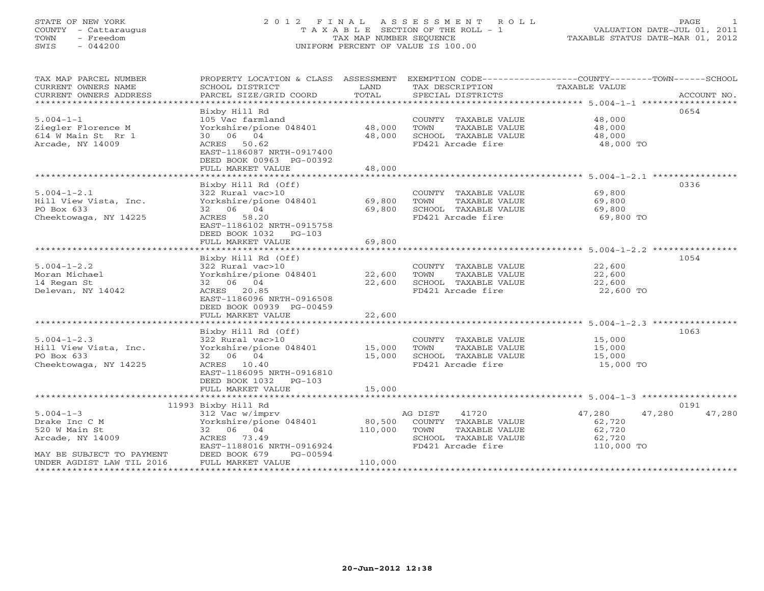## STATE OF NEW YORK 2 0 1 2 F I N A L A S S E S S M E N T R O L L PAGE 1 COUNTY - Cattaraugus T A X A B L E SECTION OF THE ROLL - 1 VALUATION DATE-JUL 01, 2011 TOWN - Freedom TAX MAP NUMBER SEQUENCE TAXABLE STATUS DATE-MAR 01, 2012 SWIS - 044200 UNIFORM PERCENT OF VALUE IS 100.00

| TAX MAP PARCEL NUMBER<br>CURRENT OWNERS NAME<br>CURRENT OWNERS ADDRESS | SCHOOL DISTRICT<br>PARCEL SIZE/GRID COORD                                        | LAND<br>TOTAL | TAX DESCRIPTION TAXABLE VALUE<br>SPECIAL DISTRICTS | PROPERTY LOCATION & CLASS ASSESSMENT EXEMPTION CODE----------------COUNTY-------TOWN------SCHOOL | ACCOUNT NO. |
|------------------------------------------------------------------------|----------------------------------------------------------------------------------|---------------|----------------------------------------------------|--------------------------------------------------------------------------------------------------|-------------|
| $5.004 - 1 - 1$<br>Ziegler Florence M                                  | Bixby Hill Rd<br>105 Vac farmland<br>Yorkshire/pione 048401 48,000               |               | COUNTY TAXABLE VALUE<br>TAXABLE VALUE<br>TOWN      | 0654<br>48,000<br>48,000                                                                         |             |
| 614 W Main St Rr 1<br>Arcade, NY 14009                                 | 30 06 04<br>ACRES 50.62<br>EAST-1186087 NRTH-0917400<br>DEED BOOK 00963 PG-00392 | 48,000        | SCHOOL TAXABLE VALUE<br>FD421 Arcade fire          | 48,000<br>48,000 TO                                                                              |             |
|                                                                        | FULL MARKET VALUE                                                                | 48,000        |                                                    |                                                                                                  |             |
|                                                                        |                                                                                  |               |                                                    |                                                                                                  |             |
|                                                                        | Bixby Hill Rd (Off)                                                              |               |                                                    | 0336                                                                                             |             |
| $5.004 - 1 - 2.1$                                                      | 322 Rural vac>10<br>Yorkshire/pione 048401 69,800                                |               | COUNTY TAXABLE VALUE                               | 69,800                                                                                           |             |
| Hill View Vista, Inc.<br>PO Box 633                                    | 32 06 04                                                                         | 69,800        | TOWN<br>TAXABLE VALUE                              | 69,800<br>69,800                                                                                 |             |
| Cheektowaga, NY 14225                                                  | ACRES 58.20                                                                      |               | SCHOOL TAXABLE VALUE<br>FD421 Arcade fire          | 69,800 TO                                                                                        |             |
|                                                                        | EAST-1186102 NRTH-0915758<br>DEED BOOK 1032 PG-103                               |               |                                                    |                                                                                                  |             |
|                                                                        | FULL MARKET VALUE                                                                | 69,800        |                                                    |                                                                                                  |             |
|                                                                        |                                                                                  |               |                                                    |                                                                                                  |             |
|                                                                        | Bixby Hill Rd (Off)                                                              |               |                                                    | 1054                                                                                             |             |
| $5.004 - 1 - 2.2$                                                      | 322 Rural vac>10                                                                 |               | COUNTY TAXABLE VALUE 22,600                        |                                                                                                  |             |
| Moran Michael                                                          | Yorkshire/pione $048401$ 22,600<br>32 06 04                                      |               | TOWN TAXABLE VALUE                                 | 22,600<br>22,600                                                                                 |             |
| 14 Regan St<br>Delevan, NY 14042                                       | ACRES 20.85                                                                      | 22,600        | SCHOOL TAXABLE VALUE<br>FD421 Arcade fire          | 22,600 TO                                                                                        |             |
|                                                                        | EAST-1186096 NRTH-0916508                                                        |               |                                                    |                                                                                                  |             |
|                                                                        | DEED BOOK 00939 PG-00459                                                         |               |                                                    |                                                                                                  |             |
|                                                                        | FULL MARKET VALUE                                                                | 22,600        |                                                    |                                                                                                  |             |
|                                                                        |                                                                                  |               |                                                    |                                                                                                  |             |
|                                                                        | Bixby Hill Rd (Off)                                                              |               |                                                    | 1063                                                                                             |             |
| $5.004 - 1 - 2.3$                                                      |                                                                                  |               | COUNTY TAXABLE VALUE                               | 15,000                                                                                           |             |
| Hill View Vista, Inc.                                                  | 322 $Rural vac>10$<br>Yorkshire/pione 048401 15,000                              |               | TOWN<br>TAXABLE VALUE                              | 15,000                                                                                           |             |
| PO Box 633                                                             | 32 06 04                                                                         | 15,000        | SCHOOL TAXABLE VALUE 15,000                        |                                                                                                  |             |
| Cheektowaga, NY 14225                                                  | ACRES 10.40                                                                      |               | FD421 Arcade fire                                  | 15,000 TO                                                                                        |             |
|                                                                        | EAST-1186095 NRTH-0916810<br>DEED BOOK 1032 PG-103                               |               |                                                    |                                                                                                  |             |
|                                                                        | FULL MARKET VALUE                                                                | 15,000        |                                                    |                                                                                                  |             |
|                                                                        |                                                                                  |               |                                                    |                                                                                                  |             |
|                                                                        | 11993 Bixby Hill Rd                                                              |               |                                                    | 0191                                                                                             |             |
| $5.004 - 1 - 3$                                                        | 312 Vac w/imprv                                                                  |               | 41720<br>AG DIST                                   | 47,280<br>47,280                                                                                 | 47,280      |
| Drake Inc C M                                                          | Yorkshire/pione 048401 80,500                                                    |               | COUNTY TAXABLE VALUE                               | 62,720                                                                                           |             |
| 520 W Main St                                                          | 32 06 04                                                                         | 110,000       | TOWN<br>TAXABLE VALUE                              | 62,720                                                                                           |             |
| Arcade, NY 14009                                                       | ACRES 73.49                                                                      |               | SCHOOL TAXABLE VALUE                               | 62,720                                                                                           |             |
|                                                                        | EAST-1188016 NRTH-0916924                                                        |               | FD421 Arcade fire                                  | 110,000 TO                                                                                       |             |
| MAY BE SUBJECT TO PAYMENT                                              | DEED BOOK 679 PG-00594<br>FULL MARKET VALUE                                      | 110,000       |                                                    |                                                                                                  |             |
| UNDER AGDIST LAW TIL 2016                                              |                                                                                  |               |                                                    |                                                                                                  |             |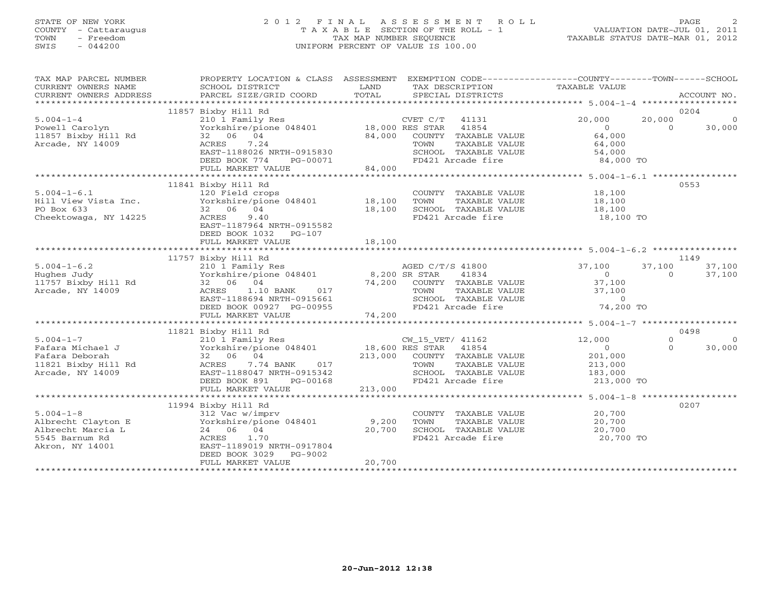## STATE OF NEW YORK 2 0 1 2 F I N A L A S S E S S M E N T R O L L PAGE 2 COUNTY - Cattaraugus T A X A B L E SECTION OF THE ROLL - 1 VALUATION DATE-JUL 01, 2011 TOWN - Freedom TAX MAP NUMBER SEQUENCE TAXABLE STATUS DATE-MAR 01, 2012 SWIS - 044200 UNIFORM PERCENT OF VALUE IS 100.00UNIFORM PERCENT OF VALUE IS 100.00

| TAX MAP PARCEL NUMBER<br>CURRENT OWNERS NAME<br>CURRENT OWNERS ADDRESS                                                                                                                                                           | PROPERTY LOCATION & CLASS ASSESSMENT EXEMPTION CODE---------------COUNTY-------TOWN------SCHOOL<br>SCHOOL DISTRICT<br>PARCEL SIZE/GRID COORD                                                                        | LAND<br>TOTAL | TAX DESCRIPTION TAXABLE VALUE<br>SPECIAL DISTRICTS                                                     |                      | ACCOUNT NO.              |
|----------------------------------------------------------------------------------------------------------------------------------------------------------------------------------------------------------------------------------|---------------------------------------------------------------------------------------------------------------------------------------------------------------------------------------------------------------------|---------------|--------------------------------------------------------------------------------------------------------|----------------------|--------------------------|
|                                                                                                                                                                                                                                  |                                                                                                                                                                                                                     |               |                                                                                                        |                      |                          |
|                                                                                                                                                                                                                                  | 11857 Bixby Hill Rd                                                                                                                                                                                                 |               |                                                                                                        |                      | 0204                     |
|                                                                                                                                                                                                                                  |                                                                                                                                                                                                                     |               |                                                                                                        | 20,000               | 20,000<br>$\Omega$       |
| 5.004-1-4<br>210 1 Family Res<br>Powell Carolyn Yorkshire/pione 048401 18,000 RES STAR 41854                                                                                                                                     |                                                                                                                                                                                                                     |               |                                                                                                        | $\overline{0}$       | $\overline{0}$<br>30,000 |
| 11857 Bixby Hill Rd<br>11857 Bixby Hill Rd<br>2008 - 2008 2008 201                                                                                                                                                               |                                                                                                                                                                                                                     |               | $84,000$ COUNTY TAXABLE VALUE                                                                          | 64,000               |                          |
| Arcade, NY 14009                                                                                                                                                                                                                 | ACRES 7.24                                                                                                                                                                                                          |               | TAXABLE VALUE<br>TOWN                                                                                  | 64,000               |                          |
|                                                                                                                                                                                                                                  |                                                                                                                                                                                                                     |               |                                                                                                        |                      |                          |
|                                                                                                                                                                                                                                  | LAST-1188026<br>DEED BOOK 774 PG-00071                                                                                                                                                                              |               | SCHOOL TAXABLE VALUE                       54,000<br>FD421 Arcade fire                       84,000 TO |                      |                          |
|                                                                                                                                                                                                                                  | FULL MARKET VALUE                                                                                                                                                                                                   | 84,000        |                                                                                                        |                      |                          |
|                                                                                                                                                                                                                                  |                                                                                                                                                                                                                     |               |                                                                                                        |                      |                          |
|                                                                                                                                                                                                                                  | 11841 Bixby Hill Rd                                                                                                                                                                                                 |               |                                                                                                        |                      | 0553                     |
| 5.004-1-6.1<br>The state of the state of the state of the state of the state of the state of the state of the state of the state of the state of the state of the state of the state of the state of the state of the state of t |                                                                                                                                                                                                                     |               | COUNTY TAXABLE VALUE 18,100                                                                            |                      |                          |
|                                                                                                                                                                                                                                  |                                                                                                                                                                                                                     |               | TOWN                                                                                                   | TAXABLE VALUE 18,100 |                          |
| PO Box 633                                                                                                                                                                                                                       | 32 06 04                                                                                                                                                                                                            |               |                                                                                                        |                      |                          |
| Cheektowaga, NY 14225                                                                                                                                                                                                            | 18,100<br>ACRES<br>9.40                                                                                                                                                                                             |               | SCHOOL TAXABLE VALUE 18,100<br>FD421 Arcade fire 18,100 TO                                             |                      |                          |
|                                                                                                                                                                                                                                  | EAST-1187964 NRTH-0915582                                                                                                                                                                                           |               |                                                                                                        |                      |                          |
|                                                                                                                                                                                                                                  | DEED BOOK 1032 PG-107                                                                                                                                                                                               |               |                                                                                                        |                      |                          |
|                                                                                                                                                                                                                                  |                                                                                                                                                                                                                     |               |                                                                                                        |                      |                          |
|                                                                                                                                                                                                                                  |                                                                                                                                                                                                                     |               |                                                                                                        |                      |                          |
|                                                                                                                                                                                                                                  | 11757 Bixby Hill Rd                                                                                                                                                                                                 |               |                                                                                                        |                      | 1149                     |
| $5.004 - 1 - 6.2$                                                                                                                                                                                                                | EIXDY HILL RO<br>210 1 Family Res<br>Yorkshire/pione 048401 8,200 SR STAR 41834<br>32 06 04 74,200 COUNTY TAXABLE VALUE<br>ACRES 1.10 BANK 017 TOWN TAXABLE VALUE<br>EAST-1188694 NRTH-0915661 SCHOOL TAXABLE VALUE |               | AGED C/T/S 41800 37,100                                                                                |                      | 37,100<br>37,100         |
|                                                                                                                                                                                                                                  |                                                                                                                                                                                                                     |               |                                                                                                        | $\overline{0}$       | 37,100<br>$\Omega$       |
| Hughes Judy<br>11757 Bixby Hill Rd                                                                                                                                                                                               |                                                                                                                                                                                                                     |               |                                                                                                        |                      |                          |
|                                                                                                                                                                                                                                  |                                                                                                                                                                                                                     |               |                                                                                                        | 37,100               |                          |
| Arcade, NY 14009                                                                                                                                                                                                                 |                                                                                                                                                                                                                     |               |                                                                                                        |                      |                          |
|                                                                                                                                                                                                                                  |                                                                                                                                                                                                                     |               | TOWN TAXABLE VALUE 37,100<br>SCHOOL TAXABLE VALUE 10<br>FD421 Arcade fire 74,200 TO                    |                      |                          |
|                                                                                                                                                                                                                                  | DEED BOOK 00927 PG-00955                                                                                                                                                                                            | 74,200        |                                                                                                        |                      |                          |
|                                                                                                                                                                                                                                  | FULL MARKET VALUE                                                                                                                                                                                                   |               |                                                                                                        |                      |                          |
|                                                                                                                                                                                                                                  |                                                                                                                                                                                                                     |               |                                                                                                        |                      |                          |
|                                                                                                                                                                                                                                  | 11821 Bixby Hill Rd                                                                                                                                                                                                 |               |                                                                                                        |                      | 0498                     |
|                                                                                                                                                                                                                                  |                                                                                                                                                                                                                     |               |                                                                                                        |                      | $\Omega$<br>$\Omega$     |
|                                                                                                                                                                                                                                  |                                                                                                                                                                                                                     |               |                                                                                                        |                      | $\Omega$<br>30,000       |
|                                                                                                                                                                                                                                  |                                                                                                                                                                                                                     |               |                                                                                                        |                      |                          |
|                                                                                                                                                                                                                                  |                                                                                                                                                                                                                     |               |                                                                                                        |                      |                          |
|                                                                                                                                                                                                                                  |                                                                                                                                                                                                                     |               |                                                                                                        |                      |                          |
|                                                                                                                                                                                                                                  |                                                                                                                                                                                                                     |               |                                                                                                        | 213,000 TO           |                          |
|                                                                                                                                                                                                                                  |                                                                                                                                                                                                                     |               |                                                                                                        |                      |                          |
|                                                                                                                                                                                                                                  |                                                                                                                                                                                                                     |               |                                                                                                        |                      |                          |
|                                                                                                                                                                                                                                  | 11994 Bixby Hill Rd                                                                                                                                                                                                 |               |                                                                                                        |                      | 0207                     |
| $5.004 - 1 - 8$                                                                                                                                                                                                                  | 312 Vac w/imprv                                                                                                                                                                                                     |               | COUNTY TAXABLE VALUE 20,700                                                                            |                      |                          |
| Albrecht Clayton E                                                                                                                                                                                                               | $\frac{1}{200}$ orkshire/pione 048401 9,200                                                                                                                                                                         |               | TOWN                                                                                                   | TAXABLE VALUE 20,700 |                          |
|                                                                                                                                                                                                                                  | 24 06 04                                                                                                                                                                                                            | 20,700        |                                                                                                        |                      |                          |
| Albrecht Marcia L<br>5545 Barnum Rd<br>Akron, NY 14001                                                                                                                                                                           | 1.70<br>ACRES                                                                                                                                                                                                       |               | SCHOOL TAXABLE VALUE 20,700<br>FD421 Arcade fire 20,700 TO                                             |                      |                          |
|                                                                                                                                                                                                                                  | EAST-1189019 NRTH-0917804                                                                                                                                                                                           |               |                                                                                                        |                      |                          |
|                                                                                                                                                                                                                                  | DEED BOOK 3029<br>PG-9002                                                                                                                                                                                           |               |                                                                                                        |                      |                          |
|                                                                                                                                                                                                                                  | FULL MARKET VALUE                                                                                                                                                                                                   | 20,700        |                                                                                                        |                      |                          |
|                                                                                                                                                                                                                                  |                                                                                                                                                                                                                     |               |                                                                                                        |                      |                          |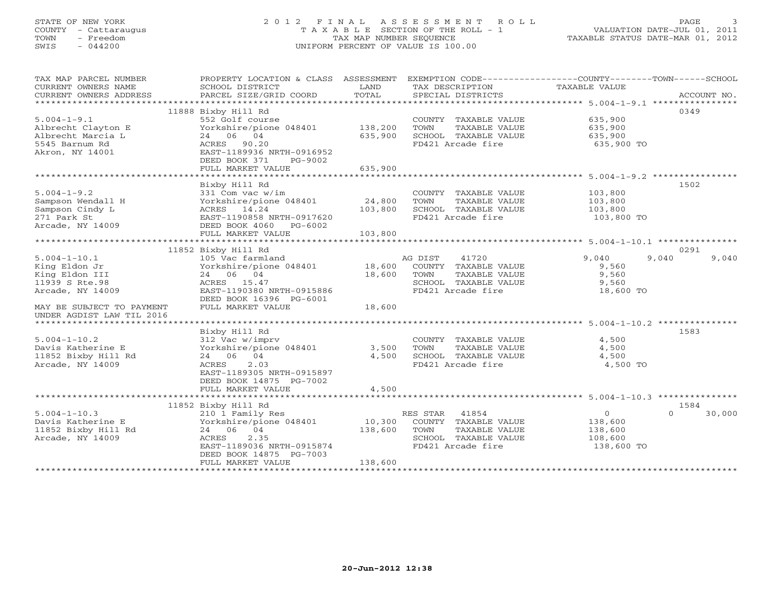# STATE OF NEW YORK 2 0 1 2 F I N A L A S S E S S M E N T R O L L PAGE 3 COUNTY - Cattaraugus T A X A B L E SECTION OF THE ROLL - 1 VALUATION DATE-JUL 01, 2011 TOWN - Freedom TAX MAP NUMBER SEQUENCE TAXABLE STATUS DATE-MAR 01, 2012 SWIS - 044200 UNIFORM PERCENT OF VALUE IS 100.00UNIFORM PERCENT OF VALUE IS 100.00

| TAX MAP PARCEL NUMBER<br>CURRENT OWNERS NAME<br>CURRENT OWNERS ADDRESS | PROPERTY LOCATION & CLASS ASSESSMENT<br>SCHOOL DISTRICT<br>PARCEL SIZE/GRID COORD | LAND<br>TOTAL  | TAX DESCRIPTION<br>SPECIAL DISTRICTS          | EXEMPTION CODE-----------------COUNTY-------TOWN------SCHOOL<br>TAXABLE VALUE | ACCOUNT NO.        |
|------------------------------------------------------------------------|-----------------------------------------------------------------------------------|----------------|-----------------------------------------------|-------------------------------------------------------------------------------|--------------------|
|                                                                        |                                                                                   |                |                                               |                                                                               |                    |
|                                                                        | 11888 Bixby Hill Rd                                                               |                |                                               |                                                                               | 0349               |
| $5.004 - 1 - 9.1$                                                      | 552 Golf course                                                                   |                | COUNTY TAXABLE VALUE                          | 635,900                                                                       |                    |
| Albrecht Clayton E                                                     | Yorkshire/pione 048401                                                            | 138,200        | TOWN<br>TAXABLE VALUE                         | 635,900                                                                       |                    |
| Albrecht Marcia L                                                      | 24 06 04                                                                          | 635,900        | SCHOOL TAXABLE VALUE                          | 635,900                                                                       |                    |
| 5545 Barnum Rd                                                         | ACRES 90.20                                                                       |                | FD421 Arcade fire                             | 635,900 TO                                                                    |                    |
| Akron, NY 14001                                                        | EAST-1189936 NRTH-0916952                                                         |                |                                               |                                                                               |                    |
|                                                                        | DEED BOOK 371<br>PG-9002                                                          |                |                                               |                                                                               |                    |
|                                                                        | FULL MARKET VALUE                                                                 | 635,900        |                                               |                                                                               |                    |
|                                                                        |                                                                                   |                |                                               |                                                                               |                    |
|                                                                        | Bixby Hill Rd                                                                     |                |                                               |                                                                               | 1502               |
| $5.004 - 1 - 9.2$                                                      | 331 Com vac w/im                                                                  |                | COUNTY TAXABLE VALUE                          | 103,800                                                                       |                    |
| Sampson Wendall H                                                      | Yorkshire/pione 048401                                                            | 24,800         | TAXABLE VALUE<br>TOWN                         | 103,800                                                                       |                    |
| Sampson Cindy L<br>271 Park St                                         | ACRES 14.24<br>EAST-1190858 NRTH-0917620                                          | 103,800        | SCHOOL TAXABLE VALUE<br>FD421 Arcade fire     | 103,800                                                                       |                    |
| Arcade, NY 14009                                                       | DEED BOOK 4060<br>PG-6002                                                         |                |                                               | 103,800 TO                                                                    |                    |
|                                                                        | FULL MARKET VALUE                                                                 | 103,800        |                                               |                                                                               |                    |
|                                                                        |                                                                                   |                |                                               |                                                                               |                    |
|                                                                        | 11852 Bixby Hill Rd                                                               |                |                                               |                                                                               | 0291               |
| $5.004 - 1 - 10.1$                                                     | 105 Vac farmland                                                                  |                | AG DIST<br>41720                              | 9,040<br>9,040                                                                | 9,040              |
| King Eldon Jr                                                          | Yorkshire/pione 048401                                                            | 18,600         | COUNTY TAXABLE VALUE                          | 9,560                                                                         |                    |
| King Eldon III                                                         | 24 06 04                                                                          | 18,600         | TAXABLE VALUE<br>TOWN                         | 9,560                                                                         |                    |
| 11939 S Rte.98                                                         | ACRES 15.47                                                                       |                | SCHOOL TAXABLE VALUE                          | 9,560                                                                         |                    |
| Arcade, NY 14009                                                       | EAST-1190380 NRTH-0915886                                                         |                | FD421 Arcade fire                             | 18,600 TO                                                                     |                    |
|                                                                        | DEED BOOK 16396 PG-6001                                                           |                |                                               |                                                                               |                    |
| MAY BE SUBJECT TO PAYMENT                                              | FULL MARKET VALUE                                                                 | 18,600         |                                               |                                                                               |                    |
| UNDER AGDIST LAW TIL 2016                                              |                                                                                   |                |                                               |                                                                               |                    |
|                                                                        |                                                                                   |                |                                               |                                                                               |                    |
|                                                                        | Bixby Hill Rd                                                                     |                |                                               |                                                                               | 1583               |
| $5.004 - 1 - 10.2$                                                     | 312 Vac w/imprv                                                                   |                | COUNTY TAXABLE VALUE                          | 4,500                                                                         |                    |
| Davis Katherine E<br>11852 Bixby Hill Rd                               | Yorkshire/pione 048401<br>24 06 04                                                | 3,500<br>4,500 | TAXABLE VALUE<br>TOWN<br>SCHOOL TAXABLE VALUE | 4,500<br>4,500                                                                |                    |
| Arcade, NY 14009                                                       | 2.03<br>ACRES                                                                     |                | FD421 Arcade fire                             | 4,500 TO                                                                      |                    |
|                                                                        | EAST-1189305 NRTH-0915897                                                         |                |                                               |                                                                               |                    |
|                                                                        | DEED BOOK 14875 PG-7002                                                           |                |                                               |                                                                               |                    |
|                                                                        | FULL MARKET VALUE                                                                 | 4,500          |                                               |                                                                               |                    |
|                                                                        |                                                                                   |                |                                               |                                                                               |                    |
|                                                                        | 11852 Bixby Hill Rd                                                               |                |                                               |                                                                               | 1584               |
| $5.004 - 1 - 10.3$                                                     | 210 1 Family Res                                                                  |                | 41854<br>RES STAR                             | $\circ$                                                                       | $\Omega$<br>30,000 |
| Davis Katherine E                                                      | Yorkshire/pione 048401                                                            | 10,300         | COUNTY TAXABLE VALUE                          | 138,600                                                                       |                    |
| 11852 Bixby Hill Rd                                                    | 24 06 04                                                                          | 138,600        | TOWN<br>TAXABLE VALUE                         | 138,600                                                                       |                    |
| Arcade, NY 14009                                                       | 2.35<br>ACRES                                                                     |                | SCHOOL TAXABLE VALUE                          | 108,600                                                                       |                    |
|                                                                        | EAST-1189036 NRTH-0915874                                                         |                | FD421 Arcade fire                             | 138,600 TO                                                                    |                    |
|                                                                        | DEED BOOK 14875 PG-7003                                                           |                |                                               |                                                                               |                    |
| *******************                                                    | FULL MARKET VALUE<br>*******************                                          | 138,600        |                                               |                                                                               |                    |
|                                                                        |                                                                                   |                |                                               |                                                                               |                    |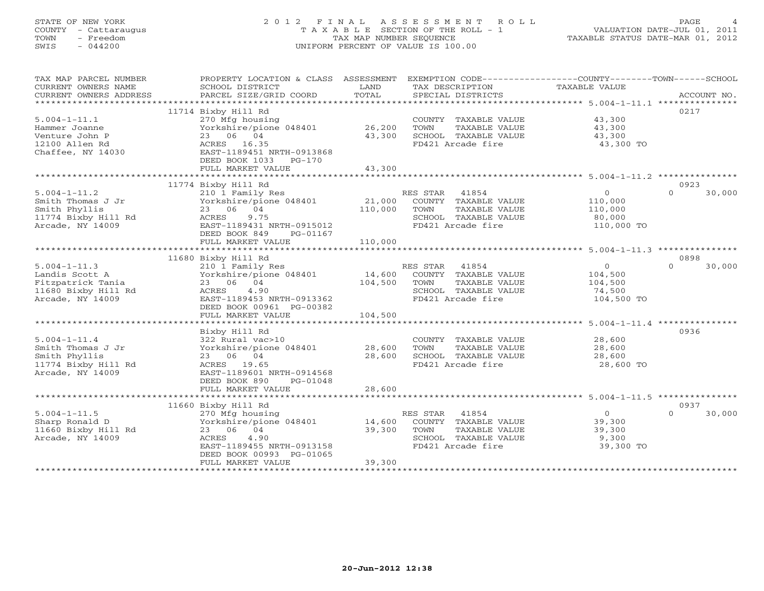# STATE OF NEW YORK 2 0 1 2 F I N A L A S S E S S M E N T R O L L PAGE 4 COUNTY - Cattaraugus T A X A B L E SECTION OF THE ROLL - 1 VALUATION DATE-JUL 01, 2011 TOWN - Freedom TAX MAP NUMBER SEQUENCE TAXABLE STATUS DATE-MAR 01, 2012 SWIS - 044200 UNIFORM PERCENT OF VALUE IS 100.00UNIFORM PERCENT OF VALUE IS 100.00

| TAX MAP PARCEL NUMBER<br>CURRENT OWNERS NAME<br>CURRENT OWNERS ADDRESS                               | PROPERTY LOCATION & CLASS ASSESSMENT<br>SCHOOL DISTRICT<br>PARCEL SIZE/GRID COORD                                                                                             | LAND<br>TOTAL                | EXEMPTION CODE-----------------COUNTY-------TOWN------SCHOOL<br>TAX DESCRIPTION<br>SPECIAL DISTRICTS         | TAXABLE VALUE                                                | ACCOUNT NO.                |
|------------------------------------------------------------------------------------------------------|-------------------------------------------------------------------------------------------------------------------------------------------------------------------------------|------------------------------|--------------------------------------------------------------------------------------------------------------|--------------------------------------------------------------|----------------------------|
| $5.004 - 1 - 11.1$<br>Hammer Joanne<br>Venture John P<br>12100 Allen Rd<br>Chaffee, NY 14030         | 11714 Bixby Hill Rd<br>270 Mfg housing<br>Yorkshire/pione 048401<br>23 06 04<br>ACRES 16.35<br>EAST-1189451 NRTH-0913868<br>DEED BOOK 1033 PG-170<br>FULL MARKET VALUE        | 26,200<br>43,300<br>43,300   | COUNTY TAXABLE VALUE<br>TAXABLE VALUE<br>TOWN<br>SCHOOL TAXABLE VALUE<br>FD421 Arcade fire                   | 43,300<br>43,300<br>43,300<br>43,300 TO                      | 0217                       |
|                                                                                                      |                                                                                                                                                                               |                              |                                                                                                              |                                                              |                            |
| $5.004 - 1 - 11.2$<br>Smith Thomas J Jr<br>Smith Phyllis<br>11774 Bixby Hill Rd<br>Arcade, NY 14009  | 11774 Bixby Hill Rd<br>210 1 Family Res<br>Yorkshire/pione 048401<br>23 06 04<br>9.75<br>ACRES<br>EAST-1189431 NRTH-0915012<br>DEED BOOK 849<br>PG-01167<br>FULL MARKET VALUE | 21,000<br>110,000<br>110,000 | RES STAR 41854<br>COUNTY TAXABLE VALUE<br>TOWN<br>TAXABLE VALUE<br>SCHOOL TAXABLE VALUE<br>FD421 Arcade fire | $\overline{0}$<br>110,000<br>110,000<br>80,000<br>110,000 TO | 0923<br>$\Omega$<br>30,000 |
|                                                                                                      |                                                                                                                                                                               |                              |                                                                                                              |                                                              |                            |
|                                                                                                      | 11680 Bixby Hill Rd                                                                                                                                                           |                              |                                                                                                              |                                                              | 0898                       |
| $5.004 - 1 - 11.3$<br>Landis Scott A<br>Fitzpatrick Tania<br>11680 Bixby Hill Rd<br>Arcade, NY 14009 | 210 1 Family Res<br>Yorkshire/pione 048401<br>23 06 04<br>4.90<br>ACRES<br>EAST-1189453 NRTH-0913362<br>DEED BOOK 00961 PG-00382                                              | 14,600<br>104,500            | RES STAR 41854<br>COUNTY TAXABLE VALUE<br>TOWN<br>TAXABLE VALUE<br>SCHOOL TAXABLE VALUE<br>FD421 Arcade fire | $\overline{0}$<br>104,500<br>104,500<br>74,500<br>104,500 TO | 30,000<br>$\Omega$         |
|                                                                                                      | FULL MARKET VALUE                                                                                                                                                             | 104,500                      |                                                                                                              |                                                              |                            |
| $5.004 - 1 - 11.4$<br>Smith Thomas J Jr<br>Smith Phyllis<br>11774 Bixby Hill Rd<br>Arcade, NY 14009  | Bixby Hill Rd<br>322 Rural vac>10<br>Yorkshire/pione 048401<br>23 06 04<br>ACRES 19.65<br>EAST-1189601 NRTH-0914568<br>DEED BOOK 890<br>PG-01048<br>FULL MARKET VALUE         | 28,600<br>28,600<br>28,600   | COUNTY TAXABLE VALUE<br>TAXABLE VALUE<br>TOWN<br>SCHOOL TAXABLE VALUE<br>FD421 Arcade fire                   | 28,600<br>28,600<br>28,600<br>28,600 TO                      | 0936                       |
|                                                                                                      |                                                                                                                                                                               |                              |                                                                                                              |                                                              |                            |
| $5.004 - 1 - 11.5$<br>Sharp Ronald D<br>11660 Bixby Hill Rd<br>Arcade, NY 14009                      | 11660 Bixby Hill Rd<br>270 Mfg housing<br>Yorkshire/pione 048401<br>23 06 04<br>4.90<br>ACRES<br>EAST-1189455 NRTH-0913158<br>DEED BOOK 00993 PG-01065<br>FULL MARKET VALUE   | 14,600<br>39,300<br>39,300   | RES STAR 41854<br>COUNTY TAXABLE VALUE<br>TOWN<br>TAXABLE VALUE<br>SCHOOL TAXABLE VALUE<br>FD421 Arcade fire | $\overline{0}$<br>39,300<br>39,300<br>9,300<br>39,300 TO     | 0937<br>$\Omega$<br>30,000 |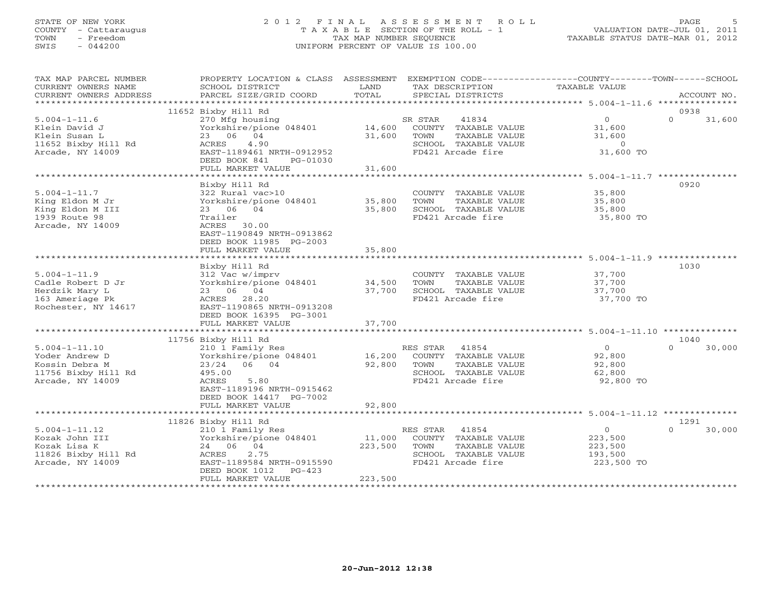## STATE OF NEW YORK 2 0 1 2 F I N A L A S S E S S M E N T R O L L PAGE 5 COUNTY - Cattaraugus T A X A B L E SECTION OF THE ROLL - 1 VALUATION DATE-JUL 01, 2011 TOWN - Freedom TAX MAP NUMBER SEQUENCE TAXABLE STATUS DATE-MAR 01, 2012 SWIS - 044200 UNIFORM PERCENT OF VALUE IS 100.00UNIFORM PERCENT OF VALUE IS 100.00

| TAX MAP PARCEL NUMBER<br>CURRENT OWNERS NAME<br>CURRENT OWNERS ADDRESS                              | PROPERTY LOCATION & CLASS ASSESSMENT<br>SCHOOL DISTRICT<br>PARCEL SIZE/GRID COORD                                                                                                         | LAND<br>TOTAL                | EXEMPTION CODE-----------------COUNTY-------TOWN------SCHOOL<br>TAX DESCRIPTION<br>SPECIAL DISTRICTS                   | TAXABLE VALUE                                                     | ACCOUNT NO.              |
|-----------------------------------------------------------------------------------------------------|-------------------------------------------------------------------------------------------------------------------------------------------------------------------------------------------|------------------------------|------------------------------------------------------------------------------------------------------------------------|-------------------------------------------------------------------|--------------------------|
|                                                                                                     |                                                                                                                                                                                           |                              |                                                                                                                        |                                                                   |                          |
| $5.004 - 1 - 11.6$<br>Klein David J<br>Klein Susan L<br>11652 Bixby Hill Rd<br>Arcade, NY 14009     | 11652 Bixby Hill Rd<br>270 Mfg housing<br>Yorkshire/pione 048401<br>23 06 04<br>4.90<br>ACRES<br>EAST-1189461 NRTH-0912952<br>DEED BOOK 841<br>PG-01030                                   | 31,600                       | 41834<br>SR STAR<br>14,600 COUNTY TAXABLE VALUE<br>TAXABLE VALUE<br>TOWN<br>SCHOOL TAXABLE VALUE<br>FD421 Arcade fire  | $\overline{0}$<br>31,600<br>31,600<br>$\overline{0}$<br>31,600 TO | 0938<br>$\cap$<br>31,600 |
|                                                                                                     | FULL MARKET VALUE                                                                                                                                                                         | 31,600                       |                                                                                                                        |                                                                   |                          |
|                                                                                                     |                                                                                                                                                                                           |                              |                                                                                                                        |                                                                   |                          |
| $5.004 - 1 - 11.7$<br>King Eldon M Jr<br>King Eldon M III<br>1939 Route 98<br>Arcade, NY 14009      | Bixby Hill Rd<br>322 Rural vac>10<br>Yorkshire/pione 048401<br>23 06 04<br>Trailer<br>ACRES 30.00<br>EAST-1190849 NRTH-0913862<br>DEED BOOK 11985 PG-2003                                 | 35,800<br>35,800             | COUNTY TAXABLE VALUE<br>TAXABLE VALUE<br>TOWN<br>SCHOOL TAXABLE VALUE<br>FD421 Arcade fire                             | 35,800<br>35,800<br>35,800<br>35,800 TO                           | 0920                     |
|                                                                                                     | FULL MARKET VALUE                                                                                                                                                                         | 35,800                       |                                                                                                                        |                                                                   |                          |
|                                                                                                     | Bixby Hill Rd                                                                                                                                                                             |                              |                                                                                                                        |                                                                   | 1030                     |
| $5.004 - 1 - 11.9$<br>Cadle Robert D Jr<br>Herdzik Mary L<br>163 Ameriage Pk<br>Rochester, NY 14617 | 312 Vac w/imprv<br>312 Vac w/imprv<br>Yorkshire/pione 048401               34,500<br>23 06 04<br>ACRES 28.20<br>EAST-1190865 NRTH-0913208<br>DEED BOOK 16395 PG-3001<br>FULL MARKET VALUE | 37,700<br>37,700             | COUNTY TAXABLE VALUE<br>TOWN<br>TAXABLE VALUE<br>SCHOOL TAXABLE VALUE<br>FD421 Arcade fire                             | 37,700<br>37,700<br>37,700<br>37,700 TO                           |                          |
|                                                                                                     |                                                                                                                                                                                           |                              |                                                                                                                        |                                                                   |                          |
|                                                                                                     | 11756 Bixby Hill Rd                                                                                                                                                                       |                              |                                                                                                                        |                                                                   | 1040                     |
| $5.004 - 1 - 11.10$<br>Yoder Andrew D<br>Kossin Debra M<br>11756 Bixby Hill Rd<br>Arcade, NY 14009  | 210 1 Family Res<br>Yorkshire/pione 048401<br>23/24 06 04<br>495.00<br>ACRES<br>5.80<br>EAST-1189196 NRTH-0915462<br>DEED BOOK 14417 PG-7002                                              | 92,800                       | RES STAR<br>41854<br>16,200 COUNTY TAXABLE VALUE<br>TOWN<br>TAXABLE VALUE<br>SCHOOL TAXABLE VALUE<br>FD421 Arcade fire | $\overline{O}$<br>92,800<br>92,800<br>62,800<br>92,800 TO         | $\Omega$<br>30,000       |
|                                                                                                     | FULL MARKET VALUE                                                                                                                                                                         | 92,800                       |                                                                                                                        |                                                                   |                          |
|                                                                                                     |                                                                                                                                                                                           |                              |                                                                                                                        |                                                                   | 1291                     |
| $5.004 - 1 - 11.12$<br>Kozak John III<br>Kozak Lisa K<br>11826 Bixby Hill Rd<br>Arcade, NY 14009    | 11826 Bixby Hill Rd<br>210 1 Family Res<br>Yorkshire/pione 048401<br>24 06 04<br>ACRES<br>2.75<br>EAST-1189584 NRTH-0915590<br>DEED BOOK 1012<br>PG-423<br>FULL MARKET VALUE              | 11,000<br>223,500<br>223,500 | RES STAR<br>41854<br>COUNTY TAXABLE VALUE<br>TAXABLE VALUE<br>TOWN<br>SCHOOL TAXABLE VALUE<br>FD421 Arcade fire        | $\overline{O}$<br>223,500<br>223,500<br>193,500<br>223,500 TO     | $\cap$<br>30,000         |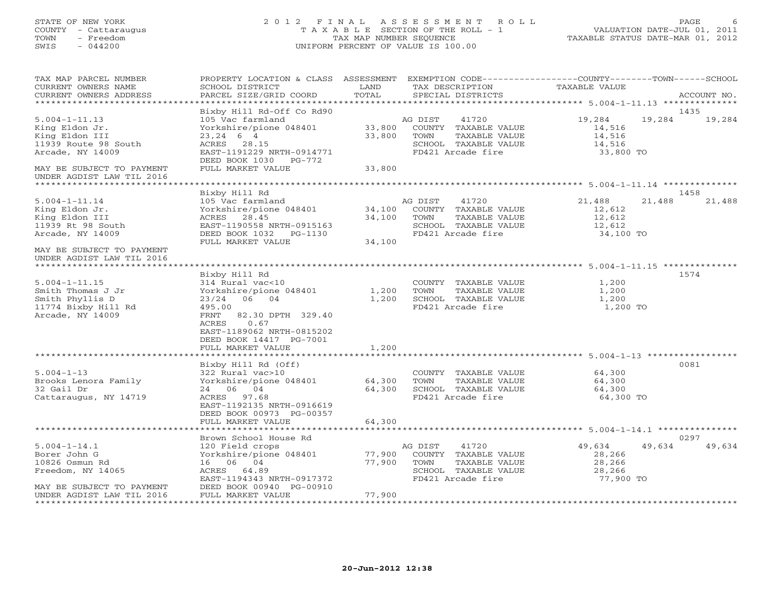# STATE OF NEW YORK 2 0 1 2 F I N A L A S S E S S M E N T R O L L PAGE 6 COUNTY - Cattaraugus T A X A B L E SECTION OF THE ROLL - 1 VALUATION DATE-JUL 01, 2011 TOWN - Freedom TAX MAP NUMBER SEQUENCE TAXABLE STATUS DATE-MAR 01, 2012 SWIS - 044200 UNIFORM PERCENT OF VALUE IS 100.00UNIFORM PERCENT OF VALUE IS 100.00

| TAX MAP PARCEL NUMBER<br>CURRENT OWNERS NAME<br>CURRENT OWNERS ADDRESS                                                           | PROPERTY LOCATION & CLASS ASSESSMENT EXEMPTION CODE----------------COUNTY-------TOWN------SCHOOL<br>SCHOOL DISTRICT<br>PARCEL SIZE/GRID COORD                                     | LAND<br>TOTAL              |                 | TAX DESCRIPTION<br>SPECIAL DISTRICTS                                                               | TAXABLE VALUE                                               |        | ACCOUNT NO.    |
|----------------------------------------------------------------------------------------------------------------------------------|-----------------------------------------------------------------------------------------------------------------------------------------------------------------------------------|----------------------------|-----------------|----------------------------------------------------------------------------------------------------|-------------------------------------------------------------|--------|----------------|
| *************************                                                                                                        |                                                                                                                                                                                   |                            |                 |                                                                                                    |                                                             |        |                |
| $5.004 - 1 - 11.13$<br>King Eldon Jr.<br>King Eldon III<br>11939 Route 98 South<br>Arcade, NY 14009<br>MAY BE SUBJECT TO PAYMENT | Bixby Hill Rd-Off Co Rd90<br>105 Vac farmland<br>Yorkshire/pione 048401<br>$23, 24$ 6 4<br>ACRES 28.15<br>EAST-1191229 NRTH-0914771<br>DEED BOOK 1030 PG-772<br>FULL MARKET VALUE | 33,800<br>33,800<br>33,800 | AG DIST<br>TOWN | 41720<br>COUNTY TAXABLE VALUE<br>TAXABLE VALUE<br>SCHOOL TAXABLE VALUE<br>FD421 Arcade fire        | 19,284<br>14,516<br>14,516<br>14,516<br>33,800 TO           | 19,284 | 1435<br>19,284 |
| UNDER AGDIST LAW TIL 2016                                                                                                        |                                                                                                                                                                                   |                            |                 |                                                                                                    |                                                             |        |                |
|                                                                                                                                  | Bixby Hill Rd                                                                                                                                                                     |                            |                 |                                                                                                    |                                                             |        | 1458           |
| $5.004 - 1 - 11.14$<br>King Eldon Jr.<br>King Eldon III<br>11939 Rt 98 South<br>Arcade, NY 14009                                 | 105 Vac farmland<br>Yorkshire/pione 048401<br>ACRES 28.45<br>EAST-1190558 NRTH-0915163<br>DEED BOOK 1032 PG-1130<br>FULL MARKET VALUE                                             | 34,100<br>34,100           | AG DIST<br>TOWN | 41720<br>34,100 COUNTY TAXABLE VALUE<br>TAXABLE VALUE<br>SCHOOL TAXABLE VALUE<br>FD421 Arcade fire | 21,488<br>12,612<br>12,612<br>12,612<br>34,100 TO           | 21,488 | 21,488         |
| MAY BE SUBJECT TO PAYMENT<br>UNDER AGDIST LAW TIL 2016                                                                           |                                                                                                                                                                                   |                            |                 |                                                                                                    |                                                             |        |                |
|                                                                                                                                  | Bixby Hill Rd                                                                                                                                                                     |                            |                 |                                                                                                    |                                                             |        | 1574           |
| $5.004 - 1 - 11.15$<br>Smith Thomas J Jr<br>Smith Phyllis D<br>11774 Bixby Hill Rd<br>Arcade, NY 14009                           | 314 Rural vac<10<br>Yorkshire/pione 048401<br>23/24 06 04<br>495.00<br>FRNT<br>82.30 DPTH 329.40<br>0.67<br>ACRES<br>EAST-1189062 NRTH-0815202<br>DEED BOOK 14417 PG-7001         | 1,200<br>1,200             | TOWN            | COUNTY TAXABLE VALUE<br>TAXABLE VALUE<br>SCHOOL TAXABLE VALUE<br>FD421 Arcade fire                 | 1,200<br>1,200<br>1,200<br>1,200 TO                         |        |                |
|                                                                                                                                  | FULL MARKET VALUE                                                                                                                                                                 | 1,200                      |                 |                                                                                                    |                                                             |        |                |
|                                                                                                                                  |                                                                                                                                                                                   | *********                  |                 |                                                                                                    | ******************************* 5.004-1-13 **************** |        |                |
| $5.004 - 1 - 13$<br>Brooks Lenora Family<br>32 Gail Dr<br>Cattaraugus, NY 14719                                                  | Bixby Hill Rd (Off)<br>322 Rural vac>10<br>Yorkshire/pione 048401<br>24 06 04<br>ACRES 97.68<br>EAST-1192135 NRTH-0916619<br>DEED BOOK 00973 PG-00357<br>FULL MARKET VALUE        | 64,300<br>64,300<br>64,300 | TOWN            | COUNTY TAXABLE VALUE<br>TAXABLE VALUE<br>SCHOOL TAXABLE VALUE<br>FD421 Arcade fire                 | 64,300<br>64,300<br>64,300<br>64,300 TO                     |        | 0081           |
|                                                                                                                                  |                                                                                                                                                                                   |                            |                 |                                                                                                    |                                                             |        |                |
|                                                                                                                                  | Brown School House Rd                                                                                                                                                             |                            |                 |                                                                                                    |                                                             |        | 0297           |
| $5.004 - 1 - 14.1$<br>Borer John G<br>10826 Osmun Rd<br>Freedom, NY 14065<br>MAY BE SUBJECT TO PAYMENT                           | 120 Field crops<br>Yorkshire/pione 048401<br>16 06 04<br>ACRES 64.89<br>EAST-1194343 NRTH-0917372<br>DEED BOOK 00940 PG-00910                                                     | 77,900<br>77,900           | AG DIST<br>TOWN | 41720<br>COUNTY TAXABLE VALUE<br>TAXABLE VALUE<br>SCHOOL TAXABLE VALUE<br>FD421 Arcade fire        | 49,634<br>28,266<br>28,266<br>28,266<br>77,900 TO           | 49,634 | 49,634         |
| UNDER AGDIST LAW TIL 2016                                                                                                        | FULL MARKET VALUE                                                                                                                                                                 | 77,900                     |                 |                                                                                                    |                                                             |        |                |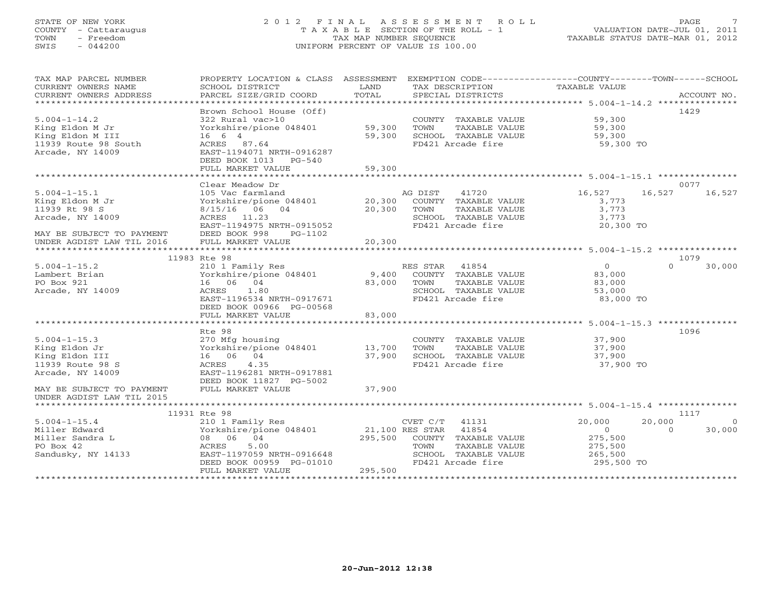## STATE OF NEW YORK 2 0 1 2 F I N A L A S S E S S M E N T R O L L PAGE 7 COUNTY - Cattaraugus T A X A B L E SECTION OF THE ROLL - 1 VALUATION DATE-JUL 01, 2011 TOWN - Freedom TAX MAP NUMBER SEQUENCE TAXABLE STATUS DATE-MAR 01, 2012 SWIS - 044200 UNIFORM PERCENT OF VALUE IS 100.00UNIFORM PERCENT OF VALUE IS 100.00

| TAX MAP PARCEL NUMBER<br>CURRENT OWNERS NAME<br>CURRENT OWNERS ADDRESS | PROPERTY LOCATION & CLASS ASSESSMENT EXEMPTION CODE----------------COUNTY-------TOWN------SCHOOL<br>SCHOOL DISTRICT<br>PARCEL SIZE/GRID COORD | LAND<br>TOTAL | TAX DESCRIPTION TAXABLE VALUE SPECIAL DISTRICTS                       |                            | ACCOUNT NO.                  |
|------------------------------------------------------------------------|-----------------------------------------------------------------------------------------------------------------------------------------------|---------------|-----------------------------------------------------------------------|----------------------------|------------------------------|
|                                                                        |                                                                                                                                               |               |                                                                       |                            |                              |
| $5.004 - 1 - 14.2$<br>King Eldon M Jr<br>King Eldon M III              | Brown School House (Off)<br>322 Rural vac>10<br>Yorkshire/pione 048401 59,300<br>16 6 4                                                       | 59,300        | COUNTY TAXABLE VALUE<br>TAXABLE VALUE<br>TOWN<br>SCHOOL TAXABLE VALUE | 59,300<br>59,300<br>59,300 | 1429                         |
| 11939 Route 98 South<br>Arcade, NY 14009                               | ACRES 87.64<br>EAST-1194071 NRTH-0916287<br>DEED BOOK 1013 PG-540                                                                             |               | FD421 Arcade fire                                                     | 59,300 TO                  |                              |
|                                                                        | FULL MARKET VALUE                                                                                                                             | 59,300        |                                                                       |                            |                              |
|                                                                        | Clear Meadow Dr                                                                                                                               |               |                                                                       |                            | 0077                         |
| $5.004 - 1 - 15.1$                                                     |                                                                                                                                               |               | AG DIST<br>41720 and $41720$                                          | 16,527                     | 16,527<br>16,527             |
| King Eldon M Jr                                                        | 105 Vac farmland<br>Yorkshire/pione 048401 20,30                                                                                              | 20,300        | COUNTY TAXABLE VALUE                                                  | 3,773                      |                              |
| 11939 Rt 98 S                                                          | 8/15/16 06 04                                                                                                                                 | 20,300        | TAXABLE VALUE<br>TOWN                                                 | 3,773                      |                              |
| Arcade, NY 14009                                                       | ACRES 11.23                                                                                                                                   |               | SCHOOL TAXABLE VALUE                                                  | 3,773                      |                              |
|                                                                        | EAST-1194975 NRTH-0915052                                                                                                                     |               | FD421 Arcade fire                                                     | 20,300 TO                  |                              |
| MAY BE SUBJECT TO PAYMENT                                              | DEED BOOK 998<br>PG-1102                                                                                                                      |               |                                                                       |                            |                              |
| UNDER AGDIST LAW TIL 2016                                              | FULL MARKET VALUE                                                                                                                             | 20,300        |                                                                       |                            |                              |
|                                                                        |                                                                                                                                               |               |                                                                       |                            |                              |
|                                                                        | 11983 Rte 98                                                                                                                                  |               |                                                                       |                            | 1079                         |
| $5.004 - 1 - 15.2$                                                     | 210 1 Family Res                                                                                                                              |               | RES STAR 41854                                                        | $\overline{0}$             | $\cap$<br>30,000             |
| Lambert Brian                                                          | Yorkshire/pione 048401                                                                                                                        | 9,400         | COUNTY TAXABLE VALUE                                                  | 83,000                     |                              |
| PO Box 921                                                             | 16 06 04                                                                                                                                      | 83,000        | TOWN<br>TAXABLE VALUE                                                 | 83,000                     |                              |
| Arcade, NY 14009                                                       | ACRES 1.80                                                                                                                                    |               | SCHOOL TAXABLE VALUE                                                  | 53,000                     |                              |
|                                                                        | EAST-1196534 NRTH-0917671                                                                                                                     |               | FD421 Arcade fire                                                     | 83,000 TO                  |                              |
|                                                                        | DEED BOOK 00966 PG-00568                                                                                                                      |               |                                                                       |                            |                              |
|                                                                        | FULL MARKET VALUE                                                                                                                             | 83,000        |                                                                       |                            |                              |
|                                                                        |                                                                                                                                               |               |                                                                       |                            |                              |
|                                                                        | Rte 98                                                                                                                                        |               |                                                                       |                            | 1096                         |
| $5.004 - 1 - 15.3$                                                     | 270 Mfg housing                                                                                                                               |               | COUNTY TAXABLE VALUE                                                  | 37,900                     |                              |
| King Eldon Jr                                                          | Yorkshire/pione 048401                                                                                                                        | 13,700        | TAXABLE VALUE<br>TOWN                                                 | 37,900                     |                              |
| King Eldon III                                                         | 16 06 04                                                                                                                                      | 37,900        | SCHOOL TAXABLE VALUE                                                  | 37,900                     |                              |
| 11939 Route 98 S                                                       | ACRES 4.35                                                                                                                                    |               | FD421 Arcade fire                                                     | 37,900 TO                  |                              |
| Arcade, NY 14009                                                       | EAST-1196281 NRTH-0917881                                                                                                                     |               |                                                                       |                            |                              |
|                                                                        | DEED BOOK 11827 PG-5002                                                                                                                       |               |                                                                       |                            |                              |
| MAY BE SUBJECT TO PAYMENT                                              | FULL MARKET VALUE                                                                                                                             | 37,900        |                                                                       |                            |                              |
| UNDER AGDIST LAW TIL 2015                                              |                                                                                                                                               |               |                                                                       |                            |                              |
|                                                                        | 11931 Rte 98                                                                                                                                  |               |                                                                       |                            | 1117                         |
| $5.004 - 1 - 15.4$                                                     |                                                                                                                                               |               | CVET C/T 41131                                                        |                            | $\Omega$                     |
| Miller Edward                                                          | 210 1 Family Res<br>Yorkshire/pione 048401                                                                                                    |               | CVET C/T 41131<br>21,100 RES STAR 41854                               | 20,000<br>$\sim$ 0         | 20,000<br>30,000<br>$\Omega$ |
| Miller Sandra L                                                        | 08 06 04                                                                                                                                      |               | 295,500 COUNTY TAXABLE VALUE                                          | 275,500                    |                              |
| PO Box 42                                                              | ACRES<br>5.00                                                                                                                                 |               | TOWN<br>TAXABLE VALUE                                                 | 275,500                    |                              |
| Sandusky, NY 14133                                                     | EAST-1197059 NRTH-0916648                                                                                                                     |               | SCHOOL TAXABLE VALUE                                                  | 265,500                    |                              |
|                                                                        | DEED BOOK 00959 PG-01010                                                                                                                      |               | FD421 Arcade fire                                                     | 295,500 TO                 |                              |
|                                                                        | FULL MARKET VALUE                                                                                                                             | 295,500       |                                                                       |                            |                              |
|                                                                        |                                                                                                                                               |               |                                                                       |                            |                              |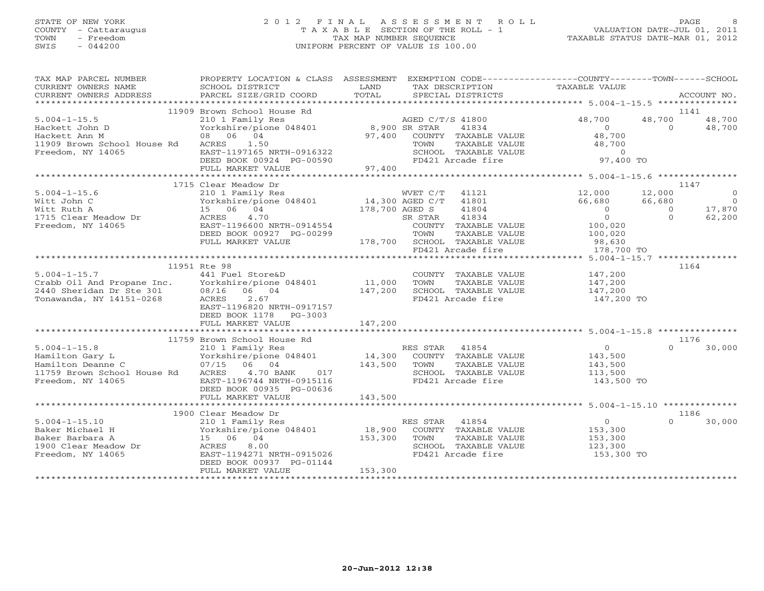# STATE OF NEW YORK 2 0 1 2 F I N A L A S S E S S M E N T R O L L PAGE 8 COUNTY - Cattaraugus T A X A B L E SECTION OF THE ROLL - 1 VALUATION DATE-JUL 01, 2011 TOWN - Freedom TAX MAP NUMBER SEQUENCE TAXABLE STATUS DATE-MAR 01, 2012 SWIS - 044200 UNIFORM PERCENT OF VALUE IS 100.00UNIFORM PERCENT OF VALUE IS 100.00

| TAX MAP PARCEL NUMBER                                                                                                                                                                                                                | PROPERTY LOCATION & CLASS ASSESSMENT EXEMPTION CODE----------------COUNTY-------TOWN------SCHOOL                                                              |         |                |                             |                                                                                                  |                |                                                         |
|--------------------------------------------------------------------------------------------------------------------------------------------------------------------------------------------------------------------------------------|---------------------------------------------------------------------------------------------------------------------------------------------------------------|---------|----------------|-----------------------------|--------------------------------------------------------------------------------------------------|----------------|---------------------------------------------------------|
| CURRENT OWNERS NAME                                                                                                                                                                                                                  | SCHOOL DISTRICT                                                                                                                                               | LAND    |                | TAX DESCRIPTION             | TAXABLE VALUE                                                                                    |                |                                                         |
| .CURRENT OWNERS ADDRESS PARCEL SIZE/GRID COORD TOTAL SPECIAL DISTRICTS ACCOUNT NO ACCOUNT NO ACCOUNT NO ARE THE SERVER AND RELATION ASSESS THE CORD TOTAL SERVER SERVER AND THE SERVER ASSESS THAT A THE SERVER SERVER AND THE       |                                                                                                                                                               |         |                |                             |                                                                                                  |                |                                                         |
|                                                                                                                                                                                                                                      |                                                                                                                                                               |         |                |                             |                                                                                                  |                |                                                         |
|                                                                                                                                                                                                                                      | 11909 Brown School House Rd<br>210 1 Family Res<br>Yorkshire/pione 048401 8,900 SR STAR 41834<br>08 06 04 97,400 COUNTY TAXABLE<br>ACRES 11.50<br>PACR 11.571 |         |                |                             |                                                                                                  |                | 1141                                                    |
| $5.004 - 1 - 15.5$                                                                                                                                                                                                                   |                                                                                                                                                               |         |                |                             | 48,700                                                                                           | 48,700         | 48,700                                                  |
| Hackett John D                                                                                                                                                                                                                       |                                                                                                                                                               |         |                |                             | $\overline{0}$                                                                                   | $\Omega$       | 48,700                                                  |
| Hackett Ann M                                                                                                                                                                                                                        |                                                                                                                                                               |         |                | 97,400 COUNTY TAXABLE VALUE | 48,700                                                                                           |                |                                                         |
|                                                                                                                                                                                                                                      |                                                                                                                                                               |         |                |                             |                                                                                                  |                |                                                         |
|                                                                                                                                                                                                                                      |                                                                                                                                                               |         |                |                             | TOWN TAXABLE VALUE 48,700<br>SCHOOL TAXABLE VALUE 48,700<br>FD421 Arcade fire 97,400 TO          |                |                                                         |
| 11909 Brown School House Rd<br>Freedom, NY 14065 EAST-1197165 NRTH-0916322<br>DEED BOOK 00924 PG-00590<br>FULL MARKET VALUE 97,400                                                                                                   |                                                                                                                                                               |         |                |                             |                                                                                                  |                |                                                         |
|                                                                                                                                                                                                                                      |                                                                                                                                                               |         |                |                             |                                                                                                  |                |                                                         |
|                                                                                                                                                                                                                                      | 1715 Clear Meadow Dr                                                                                                                                          |         |                |                             |                                                                                                  |                | 1147                                                    |
|                                                                                                                                                                                                                                      |                                                                                                                                                               |         |                |                             |                                                                                                  | 12,000         | $\Omega$                                                |
|                                                                                                                                                                                                                                      |                                                                                                                                                               |         |                |                             |                                                                                                  | 66,680         | $\begin{smallmatrix}0\0\17,870\62,200\end{smallmatrix}$ |
|                                                                                                                                                                                                                                      |                                                                                                                                                               |         |                |                             |                                                                                                  | $\overline{0}$ |                                                         |
|                                                                                                                                                                                                                                      |                                                                                                                                                               |         |                |                             | $\overline{0}$                                                                                   | $\Omega$       |                                                         |
|                                                                                                                                                                                                                                      |                                                                                                                                                               |         |                |                             | 100,020                                                                                          |                |                                                         |
|                                                                                                                                                                                                                                      |                                                                                                                                                               |         |                |                             |                                                                                                  |                |                                                         |
|                                                                                                                                                                                                                                      |                                                                                                                                                               |         |                |                             |                                                                                                  |                |                                                         |
|                                                                                                                                                                                                                                      | EXPORTED BOOK 00927 PG-00299<br>DEED BOOK 00927 PG-00299<br>FULL MARKET VALUE 178,700 SCHOOL TAXABLE VALUE 98,630<br>FD421 Arcade fire 178,700 TO             |         |                |                             |                                                                                                  |                |                                                         |
|                                                                                                                                                                                                                                      |                                                                                                                                                               |         |                |                             |                                                                                                  |                |                                                         |
|                                                                                                                                                                                                                                      | 11951 Rte 98                                                                                                                                                  |         |                |                             |                                                                                                  |                | 1164                                                    |
| $5.004 - 1 - 15.7$ $441$ Fuel Store & D                                                                                                                                                                                              |                                                                                                                                                               |         |                |                             |                                                                                                  |                |                                                         |
|                                                                                                                                                                                                                                      |                                                                                                                                                               |         |                |                             | COUNTY TAXABLE VALUE $147,200$<br>TOWN TAXABLE VALUE $147,200$<br>SCHOOL TAXABLE VALUE $147,200$ |                |                                                         |
|                                                                                                                                                                                                                                      |                                                                                                                                                               |         |                |                             |                                                                                                  |                |                                                         |
| Crabb Oil And Propane Inc.<br>2440 Sheridan Dr Ste 301 08/16 06 04 147,200 SCHOOL TAXABLE VALUE<br>2004 Tomawanda, NY 14151-0268 ACRES 2.67 FD421 Arcade fire                                                                        |                                                                                                                                                               |         |                |                             | 147,200 TO                                                                                       |                |                                                         |
|                                                                                                                                                                                                                                      | EAST-1196820 NRTH-0917157                                                                                                                                     |         |                |                             |                                                                                                  |                |                                                         |
|                                                                                                                                                                                                                                      | DEED BOOK 1178 PG-3003                                                                                                                                        |         |                |                             |                                                                                                  |                |                                                         |
|                                                                                                                                                                                                                                      | FULL MARKET VALUE                                                                                                                                             | 147,200 |                |                             |                                                                                                  |                |                                                         |
|                                                                                                                                                                                                                                      | 11759 Brown School House Rd                                                                                                                                   |         |                |                             |                                                                                                  |                | 1176                                                    |
|                                                                                                                                                                                                                                      |                                                                                                                                                               |         |                |                             |                                                                                                  | $\Omega$       | 30,000                                                  |
|                                                                                                                                                                                                                                      |                                                                                                                                                               |         |                |                             |                                                                                                  |                |                                                         |
|                                                                                                                                                                                                                                      |                                                                                                                                                               |         |                |                             |                                                                                                  |                |                                                         |
| 11/33 BLOOD ROWS RES STAR 41854 0<br>Hamilton Gary L 14,300 RES STAR 41854 0<br>Hamilton Deanne C 147,500 Forkshire/pione 048401 14,300 COUNTY TAXABLE VALUE 143,500<br>Hamilton Deanne C 17/15 06 04 143,500 TOWN TAXABLE VALUE 143 |                                                                                                                                                               |         |                |                             |                                                                                                  |                |                                                         |
| Freedom, NY 14065                                                                                                                                                                                                                    |                                                                                                                                                               |         |                | FD421 Arcade fire           | 143,500 TO                                                                                       |                |                                                         |
|                                                                                                                                                                                                                                      | EAST-1196744 NRTH-0915116<br>DEED BOOK 00935 PG-00636<br>DEED BOOK 00935 PG-00636                                                                             |         |                |                             |                                                                                                  |                |                                                         |
|                                                                                                                                                                                                                                      |                                                                                                                                                               |         |                |                             |                                                                                                  |                |                                                         |
|                                                                                                                                                                                                                                      |                                                                                                                                                               |         |                |                             |                                                                                                  |                |                                                         |
|                                                                                                                                                                                                                                      | 1900 Clear Meadow Dr                                                                                                                                          |         |                |                             |                                                                                                  |                | 1186                                                    |
|                                                                                                                                                                                                                                      |                                                                                                                                                               |         | RES STAR 41854 |                             | ES STAR 41854 0<br>COUNTY TAXABLE VALUE 153,300<br>TOWN TAXABLE VALUE 153,300                    | $\Omega$       | 30,000                                                  |
|                                                                                                                                                                                                                                      |                                                                                                                                                               |         |                |                             |                                                                                                  |                |                                                         |
|                                                                                                                                                                                                                                      |                                                                                                                                                               |         |                |                             |                                                                                                  |                |                                                         |
| 5.004-1-15.10<br>Baker Michael H 210 1 Family Res<br>Norkshire/pione 048401 18,900<br>18,900<br>1900 Clear Meadow Dr ACRES 8.00<br>Freedom, NY 14065<br>EAST-1194271.0827 POPER POLAGE PRES                                          |                                                                                                                                                               |         |                | SCHOOL TAXABLE VALUE        | 123,300                                                                                          |                |                                                         |
|                                                                                                                                                                                                                                      |                                                                                                                                                               |         |                | FD421 Arcade fire           | 153,300 TO                                                                                       |                |                                                         |
|                                                                                                                                                                                                                                      | DEED BOOK 00937 PG-01144                                                                                                                                      |         |                |                             |                                                                                                  |                |                                                         |
|                                                                                                                                                                                                                                      | FULL MARKET VALUE                                                                                                                                             | 153,300 |                |                             |                                                                                                  |                |                                                         |
|                                                                                                                                                                                                                                      |                                                                                                                                                               |         |                |                             |                                                                                                  |                |                                                         |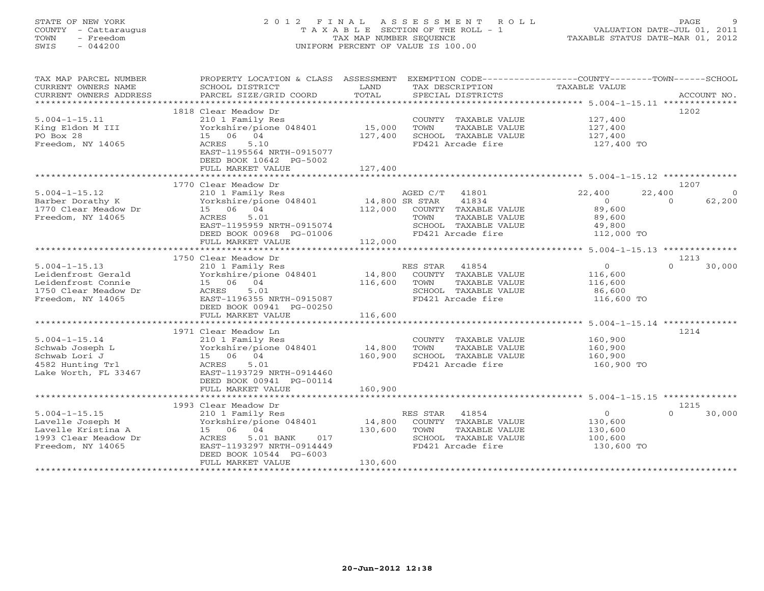# STATE OF NEW YORK 2 0 1 2 F I N A L A S S E S S M E N T R O L L PAGE 9 COUNTY - Cattaraugus T A X A B L E SECTION OF THE ROLL - 1 VALUATION DATE-JUL 01, 2011 TOWN - Freedom TAX MAP NUMBER SEQUENCE TAXABLE STATUS DATE-MAR 01, 2012 SWIS - 044200 UNIFORM PERCENT OF VALUE IS 100.00UNIFORM PERCENT OF VALUE IS 100.00

| TAX MAP PARCEL NUMBER<br>CURRENT OWNERS NAME<br>CURRENT OWNERS ADDRESS | PROPERTY LOCATION & CLASS ASSESSMENT<br>SCHOOL DISTRICT<br>PARCEL SIZE/GRID COORD | LAND<br>TOTAL        | EXEMPTION CODE-----------------COUNTY-------TOWN------SCHOOL<br>TAX DESCRIPTION<br>SPECIAL DISTRICTS | TAXABLE VALUE                                    | ACCOUNT NO.        |
|------------------------------------------------------------------------|-----------------------------------------------------------------------------------|----------------------|------------------------------------------------------------------------------------------------------|--------------------------------------------------|--------------------|
| *************************                                              |                                                                                   |                      |                                                                                                      |                                                  |                    |
|                                                                        | 1818 Clear Meadow Dr                                                              |                      |                                                                                                      |                                                  | 1202               |
| $5.004 - 1 - 15.11$                                                    | 210 1 Family Res                                                                  |                      | COUNTY TAXABLE VALUE                                                                                 | 127,400                                          |                    |
| King Eldon M III                                                       | Yorkshire/pione 048401                                                            | 15,000               | <b>TOWN</b><br>TAXABLE VALUE                                                                         | 127,400                                          |                    |
| PO Box 28                                                              | 15 06 04                                                                          | 127,400              | SCHOOL TAXABLE VALUE                                                                                 | 127,400                                          |                    |
| Freedom, NY 14065                                                      | 5.10<br>ACRES                                                                     |                      | FD421 Arcade fire                                                                                    | 127,400 TO                                       |                    |
|                                                                        | EAST-1195564 NRTH-0915077                                                         |                      |                                                                                                      |                                                  |                    |
|                                                                        | DEED BOOK 10642 PG-5002                                                           |                      |                                                                                                      |                                                  |                    |
|                                                                        | FULL MARKET VALUE                                                                 | 127,400              |                                                                                                      |                                                  |                    |
|                                                                        |                                                                                   |                      |                                                                                                      |                                                  |                    |
|                                                                        | 1770 Clear Meadow Dr                                                              |                      |                                                                                                      |                                                  | 1207               |
| $5.004 - 1 - 15.12$                                                    | 210 1 Family Res                                                                  |                      | 41801<br>AGED C/T                                                                                    | 22,400                                           | 22,400<br>$\Omega$ |
| Barber Dorathy K                                                       | Yorkshire/pione 048401                                                            | 14,800 SR STAR       | 41834                                                                                                | $\Omega$                                         | 62,200<br>$\Omega$ |
| 1770 Clear Meadow Dr                                                   | 15 06 04                                                                          | 112,000              | COUNTY TAXABLE VALUE                                                                                 | 89,600                                           |                    |
| Freedom, NY 14065                                                      | 5.01<br>ACRES                                                                     |                      | TAXABLE VALUE<br>TOWN                                                                                | 89,600                                           |                    |
|                                                                        | EAST-1195959 NRTH-0915074                                                         |                      | SCHOOL TAXABLE VALUE                                                                                 | 49,800                                           |                    |
|                                                                        | DEED BOOK 00968 PG-01006                                                          |                      | FD421 Arcade fire                                                                                    | 112,000 TO                                       |                    |
|                                                                        | FULL MARKET VALUE                                                                 | 112,000              |                                                                                                      |                                                  |                    |
|                                                                        | **************************                                                        | ******************** |                                                                                                      | ******************* 5.004-1-15.13 ************** |                    |
|                                                                        | 1750 Clear Meadow Dr                                                              |                      |                                                                                                      |                                                  | 1213               |
| $5.004 - 1 - 15.13$                                                    | 210 1 Family Res                                                                  |                      | RES STAR<br>41854                                                                                    | $\Omega$                                         | 30,000<br>$\Omega$ |
| Leidenfrost Gerald                                                     | Yorkshire/pione 048401                                                            | 14,800               | COUNTY TAXABLE VALUE                                                                                 | 116,600                                          |                    |
| Leidenfrost Connie                                                     | 15 06 04                                                                          | 116,600              | TOWN<br>TAXABLE VALUE                                                                                | 116,600                                          |                    |
| 1750 Clear Meadow Dr                                                   | 5.01<br>ACRES                                                                     |                      | SCHOOL TAXABLE VALUE                                                                                 | 86,600                                           |                    |
| Freedom, NY 14065                                                      | EAST-1196355 NRTH-0915087                                                         |                      | FD421 Arcade fire                                                                                    | 116,600 TO                                       |                    |
|                                                                        | DEED BOOK 00941 PG-00250                                                          |                      |                                                                                                      |                                                  |                    |
|                                                                        | FULL MARKET VALUE                                                                 | 116,600              |                                                                                                      |                                                  |                    |
|                                                                        |                                                                                   |                      |                                                                                                      |                                                  |                    |
|                                                                        | 1971 Clear Meadow Ln                                                              |                      |                                                                                                      |                                                  | 1214               |
| $5.004 - 1 - 15.14$                                                    |                                                                                   |                      |                                                                                                      | 160,900                                          |                    |
|                                                                        | 210 1 Family Res                                                                  |                      | COUNTY TAXABLE VALUE                                                                                 |                                                  |                    |
| Schwab Joseph L                                                        | Yorkshire/pione 048401                                                            | 14,800               | TOWN<br>TAXABLE VALUE                                                                                | 160,900                                          |                    |
| Schwab Lori J                                                          | 15 06 04                                                                          | 160,900              | SCHOOL TAXABLE VALUE                                                                                 | 160,900                                          |                    |
| 4582 Hunting Trl                                                       | 5.01<br>ACRES                                                                     |                      | FD421 Arcade fire                                                                                    | 160,900 TO                                       |                    |
| Lake Worth, FL 33467                                                   | EAST-1193729 NRTH-0914460                                                         |                      |                                                                                                      |                                                  |                    |
|                                                                        | DEED BOOK 00941 PG-00114                                                          |                      |                                                                                                      |                                                  |                    |
|                                                                        | FULL MARKET VALUE                                                                 | 160,900              |                                                                                                      |                                                  |                    |
|                                                                        |                                                                                   |                      |                                                                                                      |                                                  |                    |
|                                                                        | 1993 Clear Meadow Dr                                                              |                      |                                                                                                      |                                                  | 1215               |
| $5.004 - 1 - 15.15$                                                    | 210 1 Family Res                                                                  |                      | RES STAR<br>41854                                                                                    | $\circ$                                          | $\cap$<br>30,000   |
| Lavelle Joseph M                                                       | Yorkshire/pione 048401                                                            | 14,800               | COUNTY TAXABLE VALUE                                                                                 | 130,600                                          |                    |
| Lavelle Kristina A                                                     | 15 06 04                                                                          | 130,600              | TOWN<br>TAXABLE VALUE                                                                                | 130,600                                          |                    |
| 1993 Clear Meadow Dr                                                   | ACRES<br>5.01 BANK<br>017                                                         |                      | SCHOOL TAXABLE VALUE                                                                                 | 100,600                                          |                    |
| Freedom, NY 14065                                                      | EAST-1193297 NRTH-0914449                                                         |                      | FD421 Arcade fire                                                                                    | 130,600 TO                                       |                    |
|                                                                        | DEED BOOK 10544 PG-6003                                                           |                      |                                                                                                      |                                                  |                    |
|                                                                        | FULL MARKET VALUE                                                                 | 130,600              |                                                                                                      |                                                  |                    |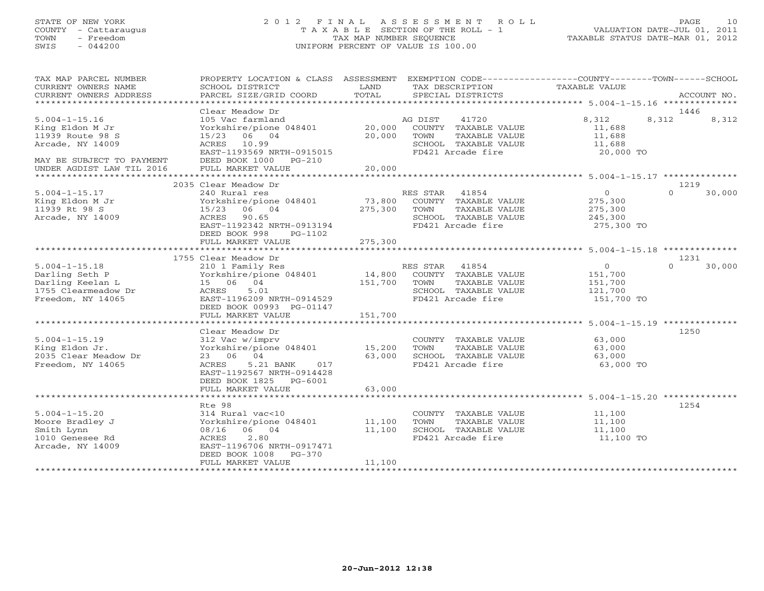# STATE OF NEW YORK 2 0 1 2 F I N A L A S S E S S M E N T R O L L PAGE 10 COUNTY - Cattaraugus T A X A B L E SECTION OF THE ROLL - 1 VALUATION DATE-JUL 01, 2011 TOWN - Freedom TAX MAP NUMBER SEQUENCE TAXABLE STATUS DATE-MAR 01, 2012 SWIS - 044200 UNIFORM PERCENT OF VALUE IS 100.00UNIFORM PERCENT OF VALUE IS 100.00

| TAX MAP PARCEL NUMBER<br>CURRENT OWNERS NAME<br>CURRENT OWNERS ADDRESS                                      | PROPERTY LOCATION & CLASS ASSESSMENT EXEMPTION CODE----------------COUNTY-------TOWN------SCHOOL<br>SCHOOL DISTRICT<br>PARCEL SIZE/GRID COORD                                     | LAND<br>TOTAL              | TAX DESCRIPTION<br>SPECIAL DISTRICTS                                                                                   | TAXABLE VALUE                                          | ACCOUNT NO.                |
|-------------------------------------------------------------------------------------------------------------|-----------------------------------------------------------------------------------------------------------------------------------------------------------------------------------|----------------------------|------------------------------------------------------------------------------------------------------------------------|--------------------------------------------------------|----------------------------|
|                                                                                                             |                                                                                                                                                                                   |                            |                                                                                                                        |                                                        |                            |
| $5.004 - 1 - 15.16$<br>King Eldon M Jr<br>11939 Route 98 S<br>Arcade, NY 14009<br>MAY BE SUBJECT TO PAYMENT | Clear Meadow Dr<br>105 Vac farmland<br>Yorkshire/pione 048401<br>15/23 06 04<br>ACRES 10.99<br>EAST-1193569 NRTH-0915015<br>DEED BOOK 1000 PG-210                                 | 20,000<br>20,000           | 41720<br>AG DIST<br>COUNTY TAXABLE VALUE<br>TOWN<br>TAXABLE VALUE<br>SCHOOL TAXABLE VALUE<br>FD421 Arcade fire         | 8,312<br>11,688<br>11,688<br>11,688<br>20,000 TO       | 1446<br>8,312<br>8,312     |
| UNDER AGDIST LAW TIL 2016                                                                                   | FULL MARKET VALUE                                                                                                                                                                 | 20,000                     |                                                                                                                        |                                                        |                            |
| $5.004 - 1 - 15.17$<br>King Eldon M Jr                                                                      | 2035 Clear Meadow Dr<br>240 Rural res<br>Yorkshire/pione 048401                                                                                                                   | 73,800                     | RES STAR<br>41854<br>COUNTY TAXABLE VALUE                                                                              | $\overline{0}$<br>275,300                              | 1219<br>$\cap$<br>30,000   |
| 11939 Rt 98 S<br>Arcade, NY 14009                                                                           | 15/23 06 04<br>ACRES 90.65<br>EAST-1192342 NRTH-0913194<br>DEED BOOK 998<br>PG-1102<br>FULL MARKET VALUE                                                                          | 275,300<br>275,300         | TOWN<br>TAXABLE VALUE<br>SCHOOL TAXABLE VALUE<br>FD421 Arcade fire                                                     | 275,300<br>245,300<br>275,300 TO                       |                            |
|                                                                                                             |                                                                                                                                                                                   |                            |                                                                                                                        |                                                        |                            |
| $5.004 - 1 - 15.18$<br>Darling Seth P<br>Darling Keelan L<br>1755 Clearmeadow Dr<br>Freedom, NY 14065       | 1755 Clear Meadow Dr<br>210 1 Family Res<br>Yorkshire/pione 048401<br>15 06 04<br>ACRES<br>5.01<br>EAST-1196209 NRTH-0914529<br>DEED BOOK 00993 PG-01147                          | 151,700                    | RES STAR<br>41854<br>14,800 COUNTY TAXABLE VALUE<br>TOWN<br>TAXABLE VALUE<br>SCHOOL TAXABLE VALUE<br>FD421 Arcade fire | $\circ$<br>151,700<br>151,700<br>121,700<br>151,700 TO | 1231<br>$\Omega$<br>30,000 |
|                                                                                                             | FULL MARKET VALUE                                                                                                                                                                 | 151,700                    |                                                                                                                        |                                                        |                            |
| $5.004 - 1 - 15.19$<br>King Eldon Jr.<br>2035 Clear Meadow Dr<br>Freedom, NY 14065                          | Clear Meadow Dr<br>312 Vac w/imprv<br>Yorkshire/pione 048401<br>23 06 04<br>5.21 BANK<br>ACRES<br>017<br>EAST-1192567 NRTH-0914428<br>DEED BOOK 1825 PG-6001<br>FULL MARKET VALUE | 15,200<br>63,000<br>63,000 | COUNTY TAXABLE VALUE<br>TAXABLE VALUE<br>TOWN<br>SCHOOL TAXABLE VALUE<br>FD421 Arcade fire                             | 63,000<br>63,000<br>63,000<br>63,000 TO                | 1250                       |
|                                                                                                             | Rte 98                                                                                                                                                                            |                            |                                                                                                                        |                                                        | 1254                       |
| $5.004 - 1 - 15.20$<br>Moore Bradley J<br>Smith Lynn<br>1010 Genesee Rd<br>Arcade, NY 14009                 | 314 Rural vac<10<br>Yorkshire/pione 048401<br>08/16 06 04<br>ACRES<br>2.80<br>EAST-1196706 NRTH-0917471<br>DEED BOOK 1008<br>PG-370<br>FULL MARKET VALUE                          | 11,100<br>11,100<br>11,100 | COUNTY TAXABLE VALUE<br>TAXABLE VALUE<br>TOWN<br>SCHOOL TAXABLE VALUE<br>FD421 Arcade fire                             | 11,100<br>11,100<br>11,100<br>11,100 TO                |                            |
|                                                                                                             |                                                                                                                                                                                   |                            |                                                                                                                        |                                                        |                            |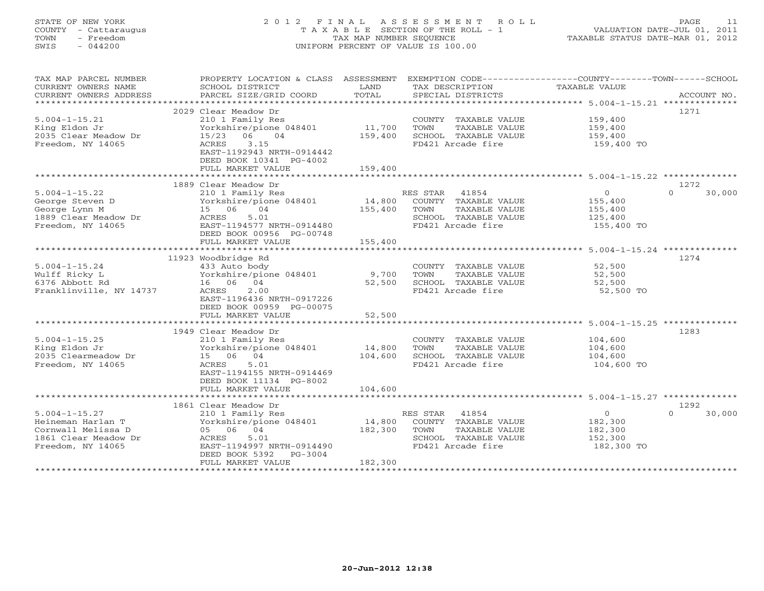# STATE OF NEW YORK 2 0 1 2 F I N A L A S S E S S M E N T R O L L PAGE 11 COUNTY - Cattaraugus T A X A B L E SECTION OF THE ROLL - 1 VALUATION DATE-JUL 01, 2011 TOWN - Freedom TAX MAP NUMBER SEQUENCE TAXABLE STATUS DATE-MAR 01, 2012 SWIS - 044200 UNIFORM PERCENT OF VALUE IS 100.00UNIFORM PERCENT OF VALUE IS 100.00

| TAX MAP PARCEL NUMBER<br>CURRENT OWNERS NAME<br>CURRENT OWNERS ADDRESS<br>***********************           | PROPERTY LOCATION & CLASS ASSESSMENT EXEMPTION CODE----------------COUNTY-------TOWN------SCHOOL<br>SCHOOL DISTRICT<br>PARCEL SIZE/GRID COORD                                      | LAND<br>TOTAL                | TAX DESCRIPTION<br>SPECIAL DISTRICTS                                                                         | TAXABLE VALUE                                                 | ACCOUNT NO.                |
|-------------------------------------------------------------------------------------------------------------|------------------------------------------------------------------------------------------------------------------------------------------------------------------------------------|------------------------------|--------------------------------------------------------------------------------------------------------------|---------------------------------------------------------------|----------------------------|
| $5.004 - 1 - 15.21$<br>King Eldon Jr<br>2035 Clear Meadow Dr<br>Freedom, NY 14065                           | 2029 Clear Meadow Dr<br>210 1 Family Res<br>Yorkshire/pione 048401<br>15/23 06<br>04<br>ACRES<br>3.15<br>EAST-1192943 NRTH-0914442<br>DEED BOOK 10341 PG-4002<br>FULL MARKET VALUE | 11,700<br>159,400<br>159,400 | COUNTY TAXABLE VALUE<br>TAXABLE VALUE<br>TOWN<br>SCHOOL TAXABLE VALUE<br>FD421 Arcade fire                   | 159,400<br>159,400<br>159,400<br>159,400 TO                   | 1271                       |
|                                                                                                             |                                                                                                                                                                                    |                              |                                                                                                              |                                                               |                            |
| $5.004 - 1 - 15.22$<br>George Steven D<br>George Lynn M<br>1889 Clear Meadow Dr<br>Freedom, NY 14065        | 1889 Clear Meadow Dr<br>210 1 Family Res<br>Yorkshire/pione 048401<br>15 06 04<br>ACRES<br>5.01<br>EAST-1194577 NRTH-0914480<br>DEED BOOK 00956 PG-00748<br>FULL MARKET VALUE      | 14,800<br>155,400<br>155,400 | RES STAR 41854<br>COUNTY TAXABLE VALUE<br>TOWN<br>TAXABLE VALUE<br>SCHOOL TAXABLE VALUE<br>FD421 Arcade fire | $\overline{O}$<br>155,400<br>155,400<br>125,400<br>155,400 TO | 1272<br>30,000<br>$\Omega$ |
|                                                                                                             |                                                                                                                                                                                    |                              |                                                                                                              |                                                               |                            |
| $5.004 - 1 - 15.24$<br>Wulff Ricky L<br>6376 Abbott Rd<br>Franklinville, NY 14737                           | 11923 Woodbridge Rd<br>433 Auto body<br>Yorkshire/pione 048401<br>16 06 04<br>2.00<br>ACRES<br>EAST-1196436 NRTH-0917226<br>DEED BOOK 00959 PG-00075                               | 9,700<br>52,500              | COUNTY TAXABLE VALUE<br>TOWN<br>TAXABLE VALUE<br>SCHOOL TAXABLE VALUE<br>FD421 Arcade fire                   | 52,500<br>52,500<br>52,500<br>52,500 TO                       | 1274                       |
|                                                                                                             | FULL MARKET VALUE                                                                                                                                                                  | 52,500                       |                                                                                                              |                                                               |                            |
|                                                                                                             |                                                                                                                                                                                    |                              |                                                                                                              |                                                               |                            |
| $5.004 - 1 - 15.25$<br>King Eldon Jr<br>2035 Clearmeadow Dr<br>Freedom, NY 14065                            | 1949 Clear Meadow Dr<br>210 1 Family Res<br>Yorkshire/pione 048401<br>15 06 04<br>5.01<br>ACRES<br>EAST-1194155 NRTH-0914469<br>DEED BOOK 11134 PG-8002<br>FULL MARKET VALUE       | 14,800<br>104,600<br>104,600 | COUNTY TAXABLE VALUE<br>TOWN<br>TAXABLE VALUE<br>SCHOOL TAXABLE VALUE<br>FD421 Arcade fire                   | 104,600<br>104,600<br>104,600<br>104,600 TO                   | 1283                       |
|                                                                                                             |                                                                                                                                                                                    |                              |                                                                                                              |                                                               |                            |
| $5.004 - 1 - 15.27$<br>Heineman Harlan T<br>Cornwall Melissa D<br>1861 Clear Meadow Dr<br>Freedom, NY 14065 | 1861 Clear Meadow Dr<br>210 1 Family Res<br>Yorkshire/pione 048401<br>05 06 04<br>5.01<br>ACRES<br>EAST-1194997 NRTH-0914490<br>DEED BOOK 5392<br>$PG-3004$<br>FULL MARKET VALUE   | 14,800<br>182,300<br>182,300 | RES STAR 41854<br>COUNTY TAXABLE VALUE<br>TOWN<br>TAXABLE VALUE<br>SCHOOL TAXABLE VALUE<br>FD421 Arcade fire | $\overline{0}$<br>182,300<br>182,300<br>152,300<br>182,300 TO | 1292<br>$\cap$<br>30,000   |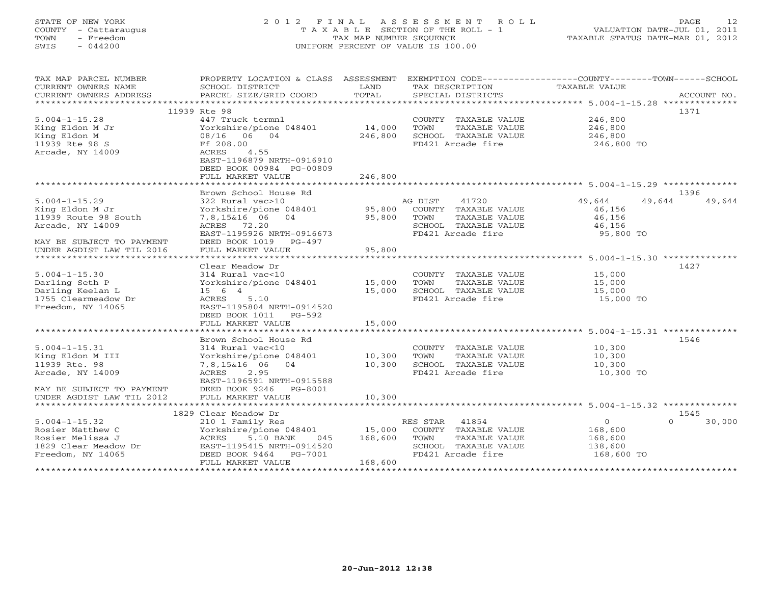#### STATE OF NEW YORK 2 0 1 2 F I N A L A S S E S S M E N T R O L L PAGE 12COUNTY - Cattaraugus T A X A B L E SECTION OF THE ROLL - 1 VALUATION DATE-JUL 01, 2011 TOWN - Freedom **TAX MAP NUMBER SEQUENCE** TAXABLE STATUS DATE-MAR 01, 2012<br>TAXABLE STATUS DATE-MAR 01, 2012 SWIS - 044200 UNIFORM PERCENT OF VALUE IS 100.00

| TAX MAP PARCEL NUMBER     | PROPERTY LOCATION & CLASS ASSESSMENT EXEMPTION CODE----------------COUNTY-------TOWN------SCHOOL |         |                |                      |                |          |             |
|---------------------------|--------------------------------------------------------------------------------------------------|---------|----------------|----------------------|----------------|----------|-------------|
| CURRENT OWNERS NAME       | SCHOOL DISTRICT                                                                                  | LAND    |                | TAX DESCRIPTION      | TAXABLE VALUE  |          |             |
| CURRENT OWNERS ADDRESS    | PARCEL SIZE/GRID COORD                                                                           | TOTAL   |                | SPECIAL DISTRICTS    |                |          | ACCOUNT NO. |
|                           |                                                                                                  |         |                |                      |                |          |             |
|                           | 11939 Rte 98                                                                                     |         |                |                      |                |          | 1371        |
| $5.004 - 1 - 15.28$       | 447 Truck termnl                                                                                 |         |                | COUNTY TAXABLE VALUE | 246,800        |          |             |
| King Eldon M Jr           | Yorkshire/pione 048401                                                                           | 14,000  | TOWN           | TAXABLE VALUE        | 246,800        |          |             |
| King Eldon M              | 08/16 06 04                                                                                      | 246,800 |                | SCHOOL TAXABLE VALUE | 246,800        |          |             |
| 11939 Rte 98 S            | Ff 208.00                                                                                        |         |                | FD421 Arcade fire    | 246,800 TO     |          |             |
| Arcade, NY 14009          | 4.55<br>ACRES                                                                                    |         |                |                      |                |          |             |
|                           | EAST-1196879 NRTH-0916910                                                                        |         |                |                      |                |          |             |
|                           | DEED BOOK 00984 PG-00809                                                                         |         |                |                      |                |          |             |
|                           | FULL MARKET VALUE                                                                                | 246,800 |                |                      |                |          |             |
|                           |                                                                                                  |         |                |                      |                |          |             |
|                           | Brown School House Rd                                                                            |         |                |                      |                |          | 1396        |
| $5.004 - 1 - 15.29$       | 322 Rural vac>10                                                                                 |         | AG DIST        | 41720                | 49,644         | 49,644   | 49,644      |
| King Eldon M Jr           | Yorkshire/pione 048401                                                                           | 95,800  |                | COUNTY TAXABLE VALUE | 46,156         |          |             |
| 11939 Route 98 South      | 7,8,15&16 06 04                                                                                  | 95,800  | TOWN           | TAXABLE VALUE        | 46,156         |          |             |
| Arcade, NY 14009          | ACRES 72.20                                                                                      |         |                | SCHOOL TAXABLE VALUE | 46,156         |          |             |
|                           | EAST-1195926 NRTH-0916673                                                                        |         |                | FD421 Arcade fire    | 95,800 TO      |          |             |
| MAY BE SUBJECT TO PAYMENT | DEED BOOK 1019 PG-497                                                                            |         |                |                      |                |          |             |
| UNDER AGDIST LAW TIL 2016 | FULL MARKET VALUE                                                                                | 95,800  |                |                      |                |          |             |
|                           |                                                                                                  |         |                |                      |                |          |             |
|                           | Clear Meadow Dr                                                                                  |         |                |                      |                |          | 1427        |
| $5.004 - 1 - 15.30$       | 314 Rural vac<10                                                                                 |         |                | COUNTY TAXABLE VALUE | 15,000         |          |             |
| Darling Seth P            | Yorkshire/pione 048401 15,000                                                                    |         | TOWN           | TAXABLE VALUE        | 15,000         |          |             |
| Darling Keelan L          | 15 6 4                                                                                           | 15,000  |                | SCHOOL TAXABLE VALUE | 15,000         |          |             |
| 1755 Clearmeadow Dr       | ACRES<br>5.10                                                                                    |         |                | FD421 Arcade fire    | 15,000 TO      |          |             |
| Freedom, NY 14065         | EAST-1195804 NRTH-0914520                                                                        |         |                |                      |                |          |             |
|                           | DEED BOOK 1011 PG-592                                                                            |         |                |                      |                |          |             |
|                           | FULL MARKET VALUE                                                                                | 15,000  |                |                      |                |          |             |
|                           |                                                                                                  |         |                |                      |                |          |             |
|                           | Brown School House Rd                                                                            |         |                |                      |                |          | 1546        |
| $5.004 - 1 - 15.31$       | 314 Rural vac<10                                                                                 |         |                | COUNTY TAXABLE VALUE | 10,300         |          |             |
| King Eldon M III          | Yorkshire/pione 048401                                                                           | 10,300  | TOWN           | TAXABLE VALUE        | 10,300         |          |             |
| 11939 Rte. 98             | 7,8,15&16 06 04                                                                                  | 10,300  |                | SCHOOL TAXABLE VALUE | 10,300         |          |             |
| Arcade, NY 14009          | ACRES<br>2.95                                                                                    |         |                | FD421 Arcade fire    | 10,300 TO      |          |             |
|                           | EAST-1196591 NRTH-0915588                                                                        |         |                |                      |                |          |             |
| MAY BE SUBJECT TO PAYMENT | DEED BOOK 9246 PG-8001                                                                           |         |                |                      |                |          |             |
| UNDER AGDIST LAW TIL 2012 | FULL MARKET VALUE                                                                                | 10,300  |                |                      |                |          |             |
|                           |                                                                                                  |         |                |                      |                |          |             |
|                           | 1829 Clear Meadow Dr                                                                             |         |                |                      |                |          | 1545        |
| $5.004 - 1 - 15.32$       | 210 1 Family Res                                                                                 |         | RES STAR 41854 |                      | $\overline{O}$ | $\Omega$ | 30,000      |
| Rosier Matthew C          | Yorkshire/pione 048401 15,000 COUNTY TAXABLE VALUE                                               |         |                |                      | 168,600        |          |             |
| Rosier Melissa J          | ACRES<br>5.10 BANK<br>045                                                                        | 168,600 | TOWN           | TAXABLE VALUE        | 168,600        |          |             |
| 1829 Clear Meadow Dr      | EAST-1195415 NRTH-0914520                                                                        |         |                | SCHOOL TAXABLE VALUE | 138,600        |          |             |
| Freedom, NY 14065         | DEED BOOK 9464<br>PG-7001                                                                        |         |                | FD421 Arcade fire    | 168,600 TO     |          |             |
|                           | FULL MARKET VALUE                                                                                | 168,600 |                |                      |                |          |             |
|                           |                                                                                                  |         |                |                      |                |          |             |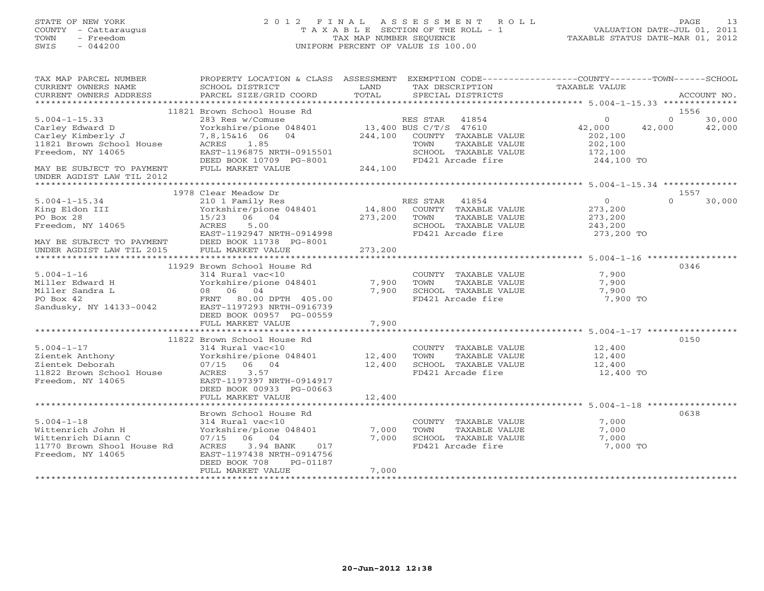# STATE OF NEW YORK 2 0 1 2 F I N A L A S S E S S M E N T R O L L PAGE 13 COUNTY - Cattaraugus T A X A B L E SECTION OF THE ROLL - 1 VALUATION DATE-JUL 01, 2011 TOWN - Freedom TAX MAP NUMBER SEQUENCE TAXABLE STATUS DATE-MAR 01, 2012 SWIS - 044200 UNIFORM PERCENT OF VALUE IS 100.00UNIFORM PERCENT OF VALUE IS 100.00

| TAX MAP PARCEL NUMBER<br>CURRENT OWNERS NAME<br>CURRENT OWNERS ADDRESS | PROPERTY LOCATION & CLASS ASSESSMENT<br>SCHOOL DISTRICT<br>PARCEL SIZE/GRID COORD | LAND<br>TOTAL | EXEMPTION CODE-----------------COUNTY-------TOWN------SCHOOL<br>TAX DESCRIPTION<br>SPECIAL DISTRICTS | TAXABLE VALUE     |          | ACCOUNT NO. |
|------------------------------------------------------------------------|-----------------------------------------------------------------------------------|---------------|------------------------------------------------------------------------------------------------------|-------------------|----------|-------------|
|                                                                        |                                                                                   |               |                                                                                                      |                   |          |             |
|                                                                        | 11821 Brown School House Rd                                                       |               |                                                                                                      |                   | 1556     |             |
| $5.004 - 1 - 15.33$                                                    | 283 Res w/Comuse                                                                  |               | RES STAR 41854                                                                                       | $\Omega$          | $\Omega$ | 30,000      |
| Carley Edward D                                                        | Yorkshire/pione 048401                                                            |               | $13,400$ BUS C/T/S 47610                                                                             | 42,000            | 42,000   | 42,000      |
| Carley Kimberly J                                                      | 7,8,15&16 06<br>04                                                                | 244,100       | COUNTY TAXABLE VALUE                                                                                 | 202,100           |          |             |
| 11821 Brown School House                                               | ACRES 1.85                                                                        |               | TAXABLE VALUE<br>TOWN                                                                                | 202,100           |          |             |
| Freedom, NY 14065                                                      | EAST-1196875 NRTH-0915501                                                         |               | SCHOOL TAXABLE VALUE                                                                                 | 172,100           |          |             |
|                                                                        | DEED BOOK 10709 PG-8001                                                           |               | FD421 Arcade fire                                                                                    | 244,100 TO        |          |             |
| MAY BE SUBJECT TO PAYMENT                                              | FULL MARKET VALUE                                                                 | 244,100       |                                                                                                      |                   |          |             |
| UNDER AGDIST LAW TIL 2012                                              |                                                                                   |               |                                                                                                      |                   |          |             |
|                                                                        | 1978 Clear Meadow Dr                                                              |               |                                                                                                      |                   | 1557     |             |
| $5.004 - 1 - 15.34$                                                    | 210 1 Family Res                                                                  |               | RES STAR<br>41854                                                                                    | $\overline{0}$    | $\Omega$ | 30,000      |
| King Eldon III                                                         | Yorkshire/pione 048401                                                            | 14,800        | COUNTY TAXABLE VALUE                                                                                 | 273,200           |          |             |
| PO Box 28                                                              | 15/23 06 04                                                                       | 273,200       | TOWN<br>TAXABLE VALUE                                                                                | 273,200           |          |             |
| Freedom, NY 14065                                                      | ACRES<br>5.00                                                                     |               | SCHOOL TAXABLE VALUE                                                                                 | 243,200           |          |             |
|                                                                        | EAST-1192947 NRTH-0914998                                                         |               | FD421 Arcade fire                                                                                    | 273,200 TO        |          |             |
| MAY BE SUBJECT TO PAYMENT                                              | DEED BOOK 11738 PG-8001                                                           |               |                                                                                                      |                   |          |             |
| UNDER AGDIST LAW TIL 2015                                              | FULL MARKET VALUE                                                                 | 273,200       |                                                                                                      |                   |          |             |
|                                                                        |                                                                                   |               |                                                                                                      |                   |          |             |
|                                                                        | 11929 Brown School House Rd                                                       |               |                                                                                                      |                   | 0346     |             |
| $5.004 - 1 - 16$                                                       | 314 Rural vac<10                                                                  |               | COUNTY TAXABLE VALUE                                                                                 | 7,900             |          |             |
| Miller Edward H                                                        | Yorkshire/pione 048401                                                            | 7,900         | TOWN<br>TAXABLE VALUE                                                                                | 7,900             |          |             |
| Miller Sandra L                                                        | 08 06 04                                                                          | 7,900         | SCHOOL TAXABLE VALUE                                                                                 | 7,900             |          |             |
| PO Box 42                                                              | FRNT 80.00 DPTH 405.00                                                            |               | FD421 Arcade fire                                                                                    | 7,900 TO          |          |             |
| Sandusky, NY 14133-0042                                                | EAST-1197293 NRTH-0916739                                                         |               |                                                                                                      |                   |          |             |
|                                                                        | DEED BOOK 00957 PG-00559                                                          |               |                                                                                                      |                   |          |             |
|                                                                        | FULL MARKET VALUE                                                                 | 7,900         |                                                                                                      |                   |          |             |
|                                                                        |                                                                                   |               |                                                                                                      |                   |          |             |
|                                                                        | 11822 Brown School House Rd                                                       |               |                                                                                                      |                   | 0150     |             |
| $5.004 - 1 - 17$                                                       | 314 Rural vac<10                                                                  |               | COUNTY TAXABLE VALUE                                                                                 | 12,400            |          |             |
| Zientek Anthony                                                        | Yorkshire/pione 048401                                                            | 12,400        | TOWN<br>TAXABLE VALUE                                                                                | 12,400            |          |             |
| Zientek Deborah                                                        | 07/15 06 04                                                                       | 12,400        | SCHOOL TAXABLE VALUE                                                                                 | 12,400            |          |             |
| 11822 Brown School House                                               | ACRES<br>3.57                                                                     |               | FD421 Arcade fire                                                                                    | 12,400 TO         |          |             |
| Freedom, NY 14065                                                      | EAST-1197397 NRTH-0914917                                                         |               |                                                                                                      |                   |          |             |
|                                                                        | DEED BOOK 00933 PG-00663                                                          |               |                                                                                                      |                   |          |             |
|                                                                        | FULL MARKET VALUE                                                                 | 12,400        |                                                                                                      |                   |          |             |
|                                                                        |                                                                                   |               |                                                                                                      |                   |          |             |
|                                                                        | Brown School House Rd                                                             |               |                                                                                                      |                   | 0638     |             |
| $5.004 - 1 - 18$                                                       | 314 Rural vac<10                                                                  |               | COUNTY TAXABLE VALUE                                                                                 | 7,000             |          |             |
| Wittenrich John H                                                      | Yorkshire/pione 048401                                                            | 7,000         | TOWN<br>TAXABLE VALUE                                                                                | 7,000             |          |             |
| Wittenrich Diann C<br>11770 Brown Shool House Rd                       | 07/15 06 04<br>3.94 BANK<br>ACRES<br>017                                          | 7,000         | SCHOOL TAXABLE VALUE<br>FD421 Arcade fire                                                            | 7,000<br>7,000 TO |          |             |
|                                                                        | EAST-1197438 NRTH-0914756                                                         |               |                                                                                                      |                   |          |             |
| Freedom, NY 14065                                                      | DEED BOOK 708<br>PG-01187                                                         |               |                                                                                                      |                   |          |             |
|                                                                        | FULL MARKET VALUE                                                                 | 7,000         |                                                                                                      |                   |          |             |
|                                                                        |                                                                                   |               |                                                                                                      |                   |          |             |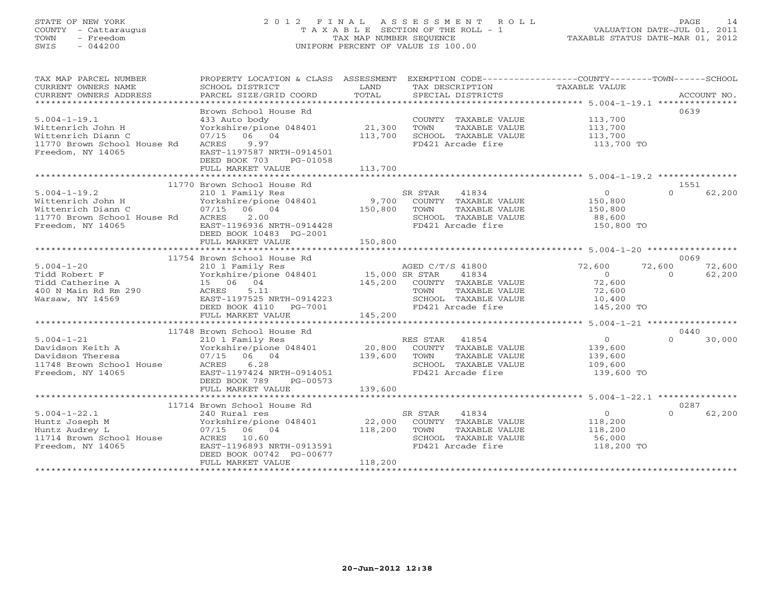## STATE OF NEW YORK 2 0 1 2 F I N A L A S S E S S M E N T R O L L PAGE 14 COUNTY - Cattaraugus T A X A B L E SECTION OF THE ROLL - 1 VALUATION DATE-JUL 01, 2011 TOWN - Freedom TAX MAP NUMBER SEQUENCE TAXABLE STATUS DATE-MAR 01, 2012 SWIS - 044200 UNIFORM PERCENT OF VALUE IS 100.00

| TAX MAP PARCEL NUMBER<br>CURRENT OWNERS NAME<br>CURRENT OWNERS ADDRESS                                                  | PROPERTY LOCATION & CLASS ASSESSMENT<br>SCHOOL DISTRICT<br>PARCEL SIZE/GRID COORD                                                                                                                                                                        | LAND<br>TOTAL                | EXEMPTION CODE-----------------COUNTY-------TOWN------SCHOOL<br>TAX DESCRIPTION<br>SPECIAL DISTRICTS           | TAXABLE VALUE                                                        | ACCOUNT NO.                                    |
|-------------------------------------------------------------------------------------------------------------------------|----------------------------------------------------------------------------------------------------------------------------------------------------------------------------------------------------------------------------------------------------------|------------------------------|----------------------------------------------------------------------------------------------------------------|----------------------------------------------------------------------|------------------------------------------------|
| $5.004 - 1 - 19.1$<br>Wittenrich John H<br>Wittenrich Diann C<br>11770 Brown School House Rd<br>Freedom, NY 14065       | Brown School House Rd<br>433 Auto body<br>Yorkshire/pione 048401<br>07/15 06 04<br>9.97<br>ACRES<br>EAST-1197587 NRTH-0914501<br>DEED BOOK 703<br>PG-01058<br>FULL MARKET VALUE                                                                          | 21,300<br>113,700<br>113,700 | COUNTY TAXABLE VALUE<br>TOWN<br>TAXABLE VALUE<br>SCHOOL TAXABLE VALUE<br>FD421 Arcade fire                     | 113,700<br>113,700<br>113,700<br>113,700 TO                          | 0639                                           |
|                                                                                                                         | 11770 Brown School House Rd                                                                                                                                                                                                                              |                              |                                                                                                                |                                                                      | 1551                                           |
| $5.004 - 1 - 19.2$<br>Wittenrich John H<br>Wittenrich Diann C<br>11770 Brown School House Rd ACRES<br>Freedom, NY 14065 | 210 1 Family Res<br>Yorkshire/pione 048401 9,700 COUNTY TAXABLE VALUE<br>07/15 06 04<br>2.00<br>EAST-1196936 NRTH-0914428<br>DEED BOOK 10483 PG-2001<br>FULL MARKET VALUE                                                                                | 150,800<br>150,800           | SR STAR 41834<br>TOWN<br>TAXABLE VALUE<br>SCHOOL TAXABLE VALUE<br>FD421 Arcade fire                            | $\circ$<br>150,800<br>150,800<br>88,600<br>150,800 TO                | $\Omega$<br>62,200                             |
|                                                                                                                         |                                                                                                                                                                                                                                                          |                              |                                                                                                                |                                                                      |                                                |
| $5.004 - 1 - 20$<br>Tidd Robert F<br>Tidd Catherine A<br>400 N Main Rd Rm 290<br>Warsaw, NY 14569                       | 11754 Brown School House Rd<br>210 1 Family Res<br>210 1 Family Res<br>Yorkshire/pione 048401 15,000 SR STAR 41834<br>15 06 04 145,200 COUNTY TAXABLE VALUE<br>ACRES<br>5.11<br>EAST-1197525 NRTH-0914223<br>DEED BOOK 4110 PG-7001<br>FULL MARKET VALUE | 145,200                      | AGED C/T/S 41800<br>TAXABLE VALUE<br>TOWN<br>SCHOOL TAXABLE VALUE<br>FD421 Arcade fire                         | 72,600<br>$\overline{O}$<br>72,600<br>72,600<br>10,400<br>145,200 TO | 0069<br>72,600<br>72,600<br>62,200<br>$\Omega$ |
|                                                                                                                         |                                                                                                                                                                                                                                                          |                              |                                                                                                                |                                                                      |                                                |
| $5.004 - 1 - 21$<br>Davidson Keith A<br>Davidson Theresa<br>11748 Brown School House<br>Freedom, NY 14065               | 11748 Brown School House Rd<br>210 1 Family Res<br>Yorkshire/pione 048401 20,800 COUNTY TAXABLE VALUE<br>07/15 06 04 139,600 TOWN TAXABLE VALUE<br>6.28<br>ACRES<br>EAST-1197424 NRTH-0914051<br>DEED BOOK 789<br>PG-00573                               |                              | SCHOOL TAXABLE VALUE<br>FD421 Arcade fire                                                                      | $\overline{0}$<br>139,600<br>139,600<br>109,600<br>139,600 TO        | 0440<br>$\Omega$<br>30,000                     |
|                                                                                                                         | FULL MARKET VALUE                                                                                                                                                                                                                                        | 139,600                      |                                                                                                                |                                                                      |                                                |
|                                                                                                                         | 11714 Brown School House Rd                                                                                                                                                                                                                              |                              |                                                                                                                |                                                                      | 0287                                           |
| $5.004 - 1 - 22.1$<br>Huntz Joseph M<br>Huntz Audrey L<br>11714 Brown School House<br>Freedom, NY 14065                 | 240 Rural res<br>Yorkshire/pione 048401<br>07/15 06 04<br>ACRES 10.60<br>EAST-1196893 NRTH-0913591<br>DEED BOOK 00742 PG-00677<br>FULL MARKET VALUE                                                                                                      | 22,000<br>118,200<br>118,200 | 41834<br>SR STAR<br>COUNTY TAXABLE VALUE<br>TOWN<br>TAXABLE VALUE<br>SCHOOL TAXABLE VALUE<br>FD421 Arcade fire | $\overline{0}$<br>118,200<br>118,200<br>56,000<br>118,200 TO         | $\Omega$<br>62,200                             |
|                                                                                                                         |                                                                                                                                                                                                                                                          |                              |                                                                                                                |                                                                      |                                                |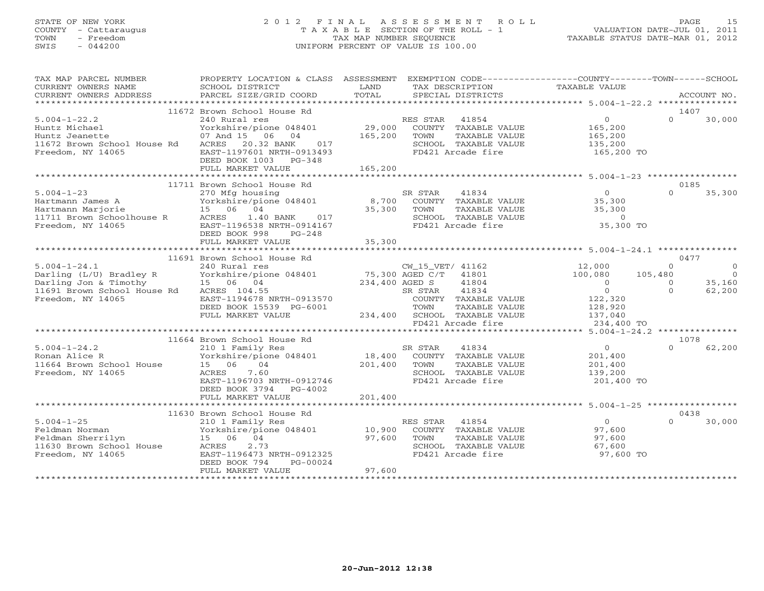# STATE OF NEW YORK 2 0 1 2 F I N A L A S S E S S M E N T R O L L PAGE 15 COUNTY - Cattaraugus T A X A B L E SECTION OF THE ROLL - 1 VALUATION DATE-JUL 01, 2011 TOWN - Freedom TAX MAP NUMBER SEQUENCE TAXABLE STATUS DATE-MAR 01, 2012 SWIS - 044200 UNIFORM PERCENT OF VALUE IS 100.00UNIFORM PERCENT OF VALUE IS 100.00

| TAX MAP PARCEL NUMBER<br>CURRENT OWNERS NAME<br>CURRENT OWNERS ADDRESS                                   | PROPERTY LOCATION & CLASS ASSESSMENT<br>SCHOOL DISTRICT<br>PARCEL SIZE/GRID COORD                                                        | LAND<br>TAX DESCRIPTION<br>TOTAL<br>SPECIAL DISTRICTS                                                                     | EXEMPTION CODE-----------------COUNTY-------TOWN------SCHOOL<br>TAXABLE VALUE<br>ACCOUNT NO. |
|----------------------------------------------------------------------------------------------------------|------------------------------------------------------------------------------------------------------------------------------------------|---------------------------------------------------------------------------------------------------------------------------|----------------------------------------------------------------------------------------------|
|                                                                                                          |                                                                                                                                          |                                                                                                                           |                                                                                              |
| $5.004 - 1 - 22.2$<br>Huntz Michael<br>Huntz Jeanette                                                    | 11672 Brown School House Rd<br>240 Rural res<br>Yorkshire/pione 048401<br>07 And 15 06 04                                                | RES STAR 41854<br>29,000 COUNTY TAXABLE VALUE<br>165,200<br>TOWN<br>TAXABLE VALUE                                         | 1407<br>$\overline{0}$<br>$\Omega$<br>30,000<br>165,200<br>165,200                           |
| 11672 Brown School House Rd<br>Freedom, NY 14065                                                         | ACRES 20.32 BANK<br>017<br>EAST-1197601 NRTH-0913493<br>DEED BOOK 1003 PG-348<br>FULL MARKET VALUE                                       | SCHOOL TAXABLE VALUE<br>FD421 Arcade fire<br>165,200                                                                      | 135,200<br>165,200 TO                                                                        |
|                                                                                                          |                                                                                                                                          |                                                                                                                           |                                                                                              |
|                                                                                                          | 11711 Brown School House Rd                                                                                                              |                                                                                                                           | 0185                                                                                         |
| $5.004 - 1 - 23$<br>Hartmann James A<br>Hartmann Marjorie<br>11711 Brown Schoolhouse R                   | 270 Mfg housing<br>270 mig nousing<br>Yorkshire/pione 048401 8,700<br>15 06 04<br>ACRES<br>1.40 BANK 017                                 | SR STAR<br>41834<br>COUNTY TAXABLE VALUE<br>35,300<br>TOWN<br>TAXABLE VALUE<br>SCHOOL TAXABLE VALUE                       | $\overline{0}$<br>$\Omega$<br>35,300<br>35,300<br>35,300<br>$\sim$ 0                         |
| Freedom, NY 14065                                                                                        | EAST-1196538 NRTH-0914167<br>DEED BOOK 998<br>$PG-248$<br>FULL MARKET VALUE                                                              | FD421 Arcade fire<br>35,300                                                                                               | 35,300 TO                                                                                    |
|                                                                                                          |                                                                                                                                          |                                                                                                                           |                                                                                              |
|                                                                                                          | 11691 Brown School House Rd                                                                                                              |                                                                                                                           | 0477                                                                                         |
| $5.004 - 1 - 24.1$<br>Darling (L/U) Bradley R Yorkshire/pic<br>Darling Jon & Timothy 15 06 04            | 240 Rural res<br>Yorkshire/pione 048401                                                                                                  | CW_15_VET/ 41162<br>$75,300$ AGED $C/T$<br>41801                                                                          | $\overline{0}$<br>12,000<br>$\Omega$<br>$\bigcirc$<br>100,080<br>105,480                     |
| 11691 Brown School House Rd<br>Freedom, NY 14065                                                         | ACRES 104.55<br>EAST-1194678 NRTH-0913570                                                                                                | 234,400 AGED S<br>41804<br>41834<br>SR STAR<br>COUNTY TAXABLE VALUE                                                       | $\Omega$<br>$\Omega$<br>35,160<br>$\overline{0}$<br>62,200<br>$\Omega$<br>122,320            |
|                                                                                                          | DEED BOOK 15539 PG-6001<br>FULL MARKET VALUE                                                                                             | TAXABLE VALUE<br>TOWN<br>234,400 SCHOOL TAXABLE VALUE<br>FD421 Arcade fire                                                | 128,920<br>$\frac{1}{137}$ , 040<br>234,400 TO                                               |
|                                                                                                          |                                                                                                                                          |                                                                                                                           |                                                                                              |
| $5.004 - 1 - 24.2$                                                                                       | 11664 Brown School House Rd<br>210 1 Family Res                                                                                          | SR STAR<br>41834                                                                                                          | 1078<br>$\overline{0}$<br>$\Omega$<br>62,200                                                 |
| Ronan Alice R<br>11664 Brown School House<br>Freedom, NY 14065                                           | Yorkshire/pione 048401<br>15 06 04<br>7.60<br>ACRES<br>EAST-1196703 NRTH-0912746                                                         | 18,400 COUNTY TAXABLE VALUE<br>201,400<br>TAXABLE VALUE<br>TOWN<br>SCHOOL TAXABLE VALUE<br>FD421 Arcade fire              | 201,400<br>201,400<br>139,200<br>201,400 TO                                                  |
|                                                                                                          | DEED BOOK 3794 PG-4002<br>FULL MARKET VALUE                                                                                              | 201,400                                                                                                                   |                                                                                              |
|                                                                                                          | 11630 Brown School House Rd                                                                                                              |                                                                                                                           | 0438                                                                                         |
| $5.004 - 1 - 25$<br>Feldman Norman<br>Feldman Sherrilyn<br>11630 Brown School House<br>Freedom, NY 14065 | 210 1 Family Res<br>Yorkshire/pione 048401 10,900<br>15 06 04<br>2.73<br>ACRES<br>EAST-1196473 NRTH-0912325<br>DEED BOOK 794<br>PG-00024 | RES STAR<br>41854<br>COUNTY TAXABLE VALUE<br>97,600<br>TOWN<br>TAXABLE VALUE<br>SCHOOL TAXABLE VALUE<br>FD421 Arcade fire | $\overline{0}$<br>$\Omega$<br>30,000<br>97,600<br>97,600<br>67,600<br>97,600 TO              |
|                                                                                                          | FULL MARKET VALUE                                                                                                                        | 97,600                                                                                                                    |                                                                                              |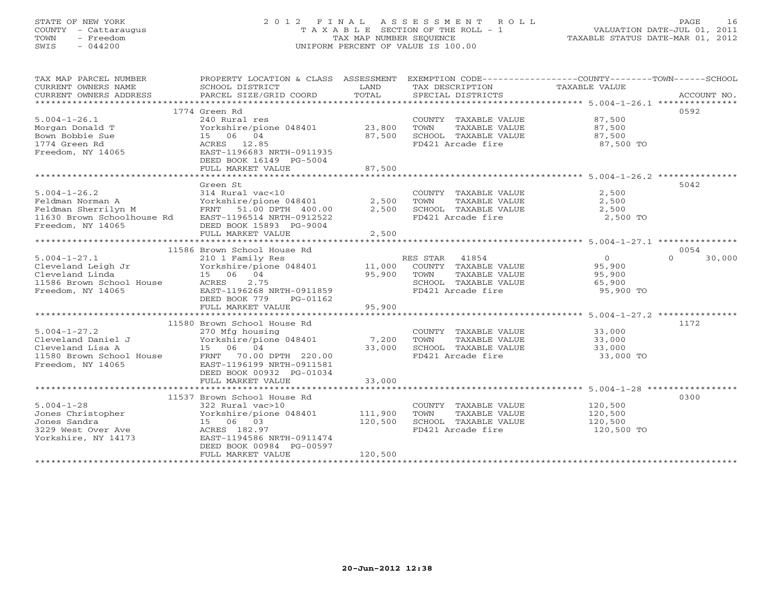# STATE OF NEW YORK 2 0 1 2 F I N A L A S S E S S M E N T R O L L PAGE 16 COUNTY - Cattaraugus T A X A B L E SECTION OF THE ROLL - 1 VALUATION DATE-JUL 01, 2011 TOWN - Freedom TAX MAP NUMBER SEQUENCE TAXABLE STATUS DATE-MAR 01, 2012 SWIS - 044200 UNIFORM PERCENT OF VALUE IS 100.00UNIFORM PERCENT OF VALUE IS 100.00

| TAX MAP PARCEL NUMBER<br>CURRENT OWNERS NAME<br>CURRENT OWNERS ADDRESS                                                                                                                                                                                                                                                                                                                              | PROPERTY LOCATION & CLASS ASSESSMENT<br>SCHOOL DISTRICT<br>PARCEL SIZE/GRID COORD | LAND<br>TOTAL | EXEMPTION CODE-----------------COUNTY-------TOWN------SCHOOL<br>TAX DESCRIPTION<br>SPECIAL DISTRICTS | TAXABLE VALUE | ACCOUNT NO.        |
|-----------------------------------------------------------------------------------------------------------------------------------------------------------------------------------------------------------------------------------------------------------------------------------------------------------------------------------------------------------------------------------------------------|-----------------------------------------------------------------------------------|---------------|------------------------------------------------------------------------------------------------------|---------------|--------------------|
|                                                                                                                                                                                                                                                                                                                                                                                                     |                                                                                   |               |                                                                                                      |               |                    |
|                                                                                                                                                                                                                                                                                                                                                                                                     | 1774 Green Rd                                                                     |               |                                                                                                      |               | 0592               |
| $5.004 - 1 - 26.1$                                                                                                                                                                                                                                                                                                                                                                                  | 240 Rural res                                                                     |               | COUNTY TAXABLE VALUE                                                                                 | 87,500        |                    |
| Morgan Donald T                                                                                                                                                                                                                                                                                                                                                                                     | Yorkshire/pione 048401 23,800                                                     |               | TOWN<br>TAXABLE VALUE                                                                                | 87,500        |                    |
| Bown Bobbie Sue                                                                                                                                                                                                                                                                                                                                                                                     | 15 06 04                                                                          | 87,500        | SCHOOL TAXABLE VALUE                                                                                 | 87,500        |                    |
| 1774 Green Rd                                                                                                                                                                                                                                                                                                                                                                                       | ACRES 12.85                                                                       |               | FD421 Arcade fire                                                                                    | 87,500 TO     |                    |
| Freedom, NY 14065                                                                                                                                                                                                                                                                                                                                                                                   | EAST-1196683 NRTH-0911935                                                         |               |                                                                                                      |               |                    |
|                                                                                                                                                                                                                                                                                                                                                                                                     | DEED BOOK 16149 PG-5004                                                           |               |                                                                                                      |               |                    |
|                                                                                                                                                                                                                                                                                                                                                                                                     | FULL MARKET VALUE                                                                 | 87,500        |                                                                                                      |               |                    |
|                                                                                                                                                                                                                                                                                                                                                                                                     |                                                                                   |               |                                                                                                      |               |                    |
|                                                                                                                                                                                                                                                                                                                                                                                                     | Green St                                                                          |               |                                                                                                      |               | 5042               |
| $5.004 - 1 - 26.2$                                                                                                                                                                                                                                                                                                                                                                                  | 314 Rural vac<10                                                                  |               | COUNTY TAXABLE VALUE                                                                                 | 2,500         |                    |
| Feldman Norman A                                                                                                                                                                                                                                                                                                                                                                                    | Yorkshire/pione 048401                                                            | 2,500         | TOWN<br>TAXABLE VALUE                                                                                | 2,500         |                    |
|                                                                                                                                                                                                                                                                                                                                                                                                     | FRNT 51.00 DPTH 400.00                                                            | 2,500         | SCHOOL TAXABLE VALUE                                                                                 | 2,500         |                    |
| Feldman Sherrilyn M<br>11630 Brown Schoolhouse Rd                                                                                                                                                                                                                                                                                                                                                   | EAST-1196514 NRTH-0912522                                                         |               | FD421 Arcade fire                                                                                    | 2,500 TO      |                    |
| Freedom, NY 14065                                                                                                                                                                                                                                                                                                                                                                                   | DEED BOOK 15893 PG-9004                                                           |               |                                                                                                      |               |                    |
|                                                                                                                                                                                                                                                                                                                                                                                                     | FULL MARKET VALUE                                                                 | 2,500         |                                                                                                      |               |                    |
| **********************                                                                                                                                                                                                                                                                                                                                                                              |                                                                                   |               | ***********************************5.004-1-27.1 ****************                                     |               |                    |
|                                                                                                                                                                                                                                                                                                                                                                                                     | 11586 Brown School House Rd                                                       |               |                                                                                                      |               | 0054               |
| $5.004 - 1 - 27.1$                                                                                                                                                                                                                                                                                                                                                                                  | 210 1 Family Res                                                                  |               | RES STAR 41854                                                                                       | $\Omega$      | $\Omega$<br>30,000 |
|                                                                                                                                                                                                                                                                                                                                                                                                     |                                                                                   |               |                                                                                                      |               |                    |
|                                                                                                                                                                                                                                                                                                                                                                                                     |                                                                                   |               | COUNTY TAXABLE VALUE                                                                                 | 95,900        |                    |
|                                                                                                                                                                                                                                                                                                                                                                                                     |                                                                                   |               | TOWN<br>TAXABLE VALUE                                                                                | 95,900        |                    |
| $\begin{array}{lllllllllllllllllll} \text{S.004--1--27.1} & & & & \text{X10--1} & \text{Fam11y Res} & & & \text{R} \ \text{Cleveland } \text{Leibn } \text{Jr} & & & \text{Yorkshire/pione} & 048401 & & & 11,000 \ \text{Cleveland } \text{Linda} & & & 15 & 06 & 04 & & 95,900 \ \text{11586 } \text{Eroodm } \text{SWn } \text{S.000} & & & \text{R} \text{R.000} & & & \text{R.000} & \text{R.$ |                                                                                   |               | SCHOOL TAXABLE VALUE                                                                                 | 65,900        |                    |
| Freedom, NY 14065                                                                                                                                                                                                                                                                                                                                                                                   | EAST-1196268 NRTH-0911859                                                         |               | FD421 Arcade fire                                                                                    | 95,900 TO     |                    |
|                                                                                                                                                                                                                                                                                                                                                                                                     | DEED BOOK 779<br>PG-01162                                                         |               |                                                                                                      |               |                    |
|                                                                                                                                                                                                                                                                                                                                                                                                     | FULL MARKET VALUE                                                                 | 95,900        |                                                                                                      |               |                    |
|                                                                                                                                                                                                                                                                                                                                                                                                     |                                                                                   |               |                                                                                                      |               |                    |
|                                                                                                                                                                                                                                                                                                                                                                                                     | 11580 Brown School House Rd                                                       |               |                                                                                                      |               | 1172               |
| $5.004 - 1 - 27.2$                                                                                                                                                                                                                                                                                                                                                                                  | 270 Mfg housing                                                                   |               | COUNTY TAXABLE VALUE                                                                                 | 33,000        |                    |
|                                                                                                                                                                                                                                                                                                                                                                                                     | Yorkshire/pione 048401                                                            | 7,200         | TOWN<br>TAXABLE VALUE                                                                                | 33,000        |                    |
|                                                                                                                                                                                                                                                                                                                                                                                                     |                                                                                   | 33,000        | SCHOOL TAXABLE VALUE                                                                                 | 33,000        |                    |
| Cleveland Daniel J<br>Cleveland Lisa A<br>1580 Brown School House<br>1580 Brown School House<br>TRAT 70.00<br>TRAT 196199                                                                                                                                                                                                                                                                           | FRNT 70.00 DPTH 220.00                                                            |               | FD421 Arcade fire                                                                                    | 33,000 TO     |                    |
| Freedom, NY 14065                                                                                                                                                                                                                                                                                                                                                                                   | EAST-1196199 NRTH-0911581                                                         |               |                                                                                                      |               |                    |
|                                                                                                                                                                                                                                                                                                                                                                                                     | DEED BOOK 00932 PG-01034                                                          |               |                                                                                                      |               |                    |
|                                                                                                                                                                                                                                                                                                                                                                                                     | FULL MARKET VALUE                                                                 | 33,000        |                                                                                                      |               |                    |
|                                                                                                                                                                                                                                                                                                                                                                                                     |                                                                                   |               |                                                                                                      |               |                    |
|                                                                                                                                                                                                                                                                                                                                                                                                     | 11537 Brown School House Rd                                                       |               |                                                                                                      |               | 0300               |
| $5.004 - 1 - 28$                                                                                                                                                                                                                                                                                                                                                                                    | 322 Rural vac>10                                                                  |               | COUNTY TAXABLE VALUE                                                                                 | 120,500       |                    |
| Jones Christopher                                                                                                                                                                                                                                                                                                                                                                                   | Yorkshire/pione 048401 111,900                                                    |               | TOWN<br>TAXABLE VALUE                                                                                | 120,500       |                    |
| Jones Sandra                                                                                                                                                                                                                                                                                                                                                                                        | 15 06 03                                                                          | 120,500       | SCHOOL TAXABLE VALUE                                                                                 | 120,500       |                    |
| 3229 West Over Ave                                                                                                                                                                                                                                                                                                                                                                                  | ACRES 182.97                                                                      |               | FD421 Arcade fire                                                                                    | 120,500 TO    |                    |
| Yorkshire, NY 14173                                                                                                                                                                                                                                                                                                                                                                                 | EAST-1194586 NRTH-0911474                                                         |               |                                                                                                      |               |                    |
|                                                                                                                                                                                                                                                                                                                                                                                                     | DEED BOOK 00984 PG-00597                                                          |               |                                                                                                      |               |                    |
|                                                                                                                                                                                                                                                                                                                                                                                                     | FULL MARKET VALUE                                                                 | 120,500       |                                                                                                      |               |                    |
|                                                                                                                                                                                                                                                                                                                                                                                                     |                                                                                   |               |                                                                                                      |               |                    |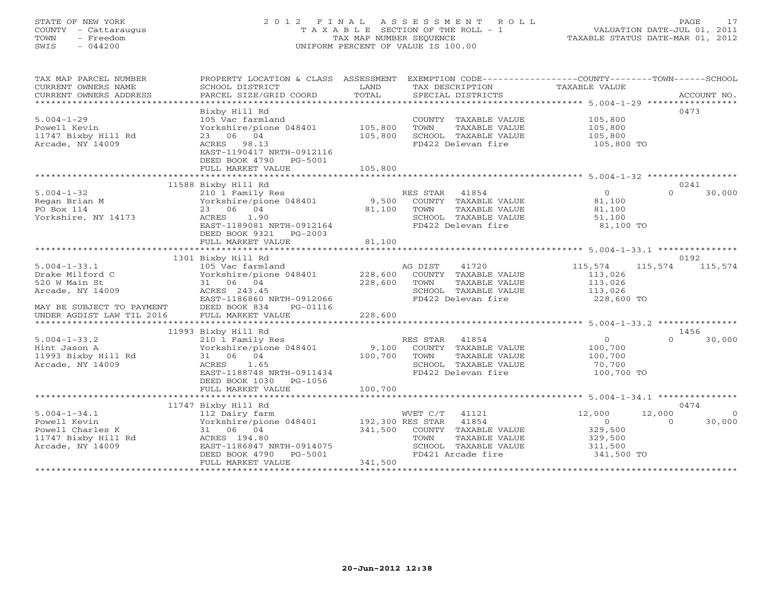# STATE OF NEW YORK 2 0 1 2 F I N A L A S S E S S M E N T R O L L PAGE 17 COUNTY - Cattaraugus T A X A B L E SECTION OF THE ROLL - 1 VALUATION DATE-JUL 01, 2011 TOWN - Freedom TAX MAP NUMBER SEQUENCE TAXABLE STATUS DATE-MAR 01, 2012 SWIS - 044200 UNIFORM PERCENT OF VALUE IS 100.00UNIFORM PERCENT OF VALUE IS 100.00

| TAX MAP PARCEL NUMBER                                                                                 | PROPERTY LOCATION & CLASS ASSESSMENT EXEMPTION CODE----------------COUNTY-------TOWN------SCHOOL |                        |                |                      |                    |          |                 |
|-------------------------------------------------------------------------------------------------------|--------------------------------------------------------------------------------------------------|------------------------|----------------|----------------------|--------------------|----------|-----------------|
| CURRENT OWNERS NAME                                                                                   | SCHOOL DISTRICT                                                                                  | LAND                   |                | TAX DESCRIPTION      | TAXABLE VALUE      |          |                 |
| CURRENT OWNERS ADDRESS                                                                                | PARCEL SIZE/GRID COORD                                                                           | TOTAL                  |                | SPECIAL DISTRICTS    |                    |          | ACCOUNT NO.     |
|                                                                                                       |                                                                                                  |                        |                |                      |                    |          |                 |
|                                                                                                       | Bixby Hill Rd                                                                                    |                        |                |                      |                    |          | 0473            |
| $5.004 - 1 - 29$                                                                                      | 105 Vac farmland                                                                                 |                        |                | COUNTY TAXABLE VALUE | 105,800            |          |                 |
| Powell Kevin                                                                                          | Yorkshire/pione 048401                                                                           | 105,800                | TOWN           | TAXABLE VALUE        | 105,800            |          |                 |
| 11747 Bixby Hill Rd                                                                                   | 23 06 04                                                                                         | 105,800                |                | SCHOOL TAXABLE VALUE | 105,800            |          |                 |
| Arcade, NY 14009                                                                                      | ACRES 98.13                                                                                      |                        |                | FD422 Delevan fire   | 105,800 TO         |          |                 |
|                                                                                                       | EAST-1190417 NRTH-0912116                                                                        |                        |                |                      |                    |          |                 |
|                                                                                                       | DEED BOOK 4790 PG-5001                                                                           |                        |                |                      |                    |          |                 |
|                                                                                                       | FULL MARKET VALUE                                                                                | 105,800                |                |                      |                    |          |                 |
|                                                                                                       |                                                                                                  |                        |                |                      |                    |          |                 |
|                                                                                                       | 11588 Bixby Hill Rd                                                                              |                        |                |                      |                    |          | 0241            |
| $5.004 - 1 - 32$                                                                                      | 210 1 Family Res                                                                                 |                        | RES STAR 41854 |                      | $\overline{0}$     | $\Omega$ | 30,000          |
| Regan Brian M                                                                                         | Yorkshire/pione 048401                                                                           | 9,500                  |                | COUNTY TAXABLE VALUE | 81,100             |          |                 |
| PO Box 114                                                                                            | 23 06 04                                                                                         | 81,100                 | TOWN           | TAXABLE VALUE        | 81,100             |          |                 |
| Yorkshire, NY 14173                                                                                   | ACRES 1.90                                                                                       |                        |                | SCHOOL TAXABLE VALUE | 51,100             |          |                 |
|                                                                                                       | EAST-1189081 NRTH-0912164                                                                        |                        |                | FD422 Delevan fire   | 81,100 TO          |          |                 |
|                                                                                                       | DEED BOOK 9321 PG-2003                                                                           |                        |                |                      |                    |          |                 |
|                                                                                                       | FULL MARKET VALUE                                                                                | 81,100                 |                |                      |                    |          |                 |
|                                                                                                       |                                                                                                  |                        |                |                      |                    |          |                 |
|                                                                                                       | 1301 Bixby Hill Rd                                                                               |                        |                |                      |                    |          | 0192            |
| $5.004 - 1 - 33.1$                                                                                    | 105 Vac farmland                                                                                 |                        | AG DIST        | 41720                | 115,574            |          | 115,574 115,574 |
| Drake Milford C                                                                                       | Yorkshire/pione 048401                                                                           | 228,600                |                | COUNTY TAXABLE VALUE | 113,026            |          |                 |
| 520 W Main St                                                                                         | 31 06 04                                                                                         | 228,600                | TOWN           | TAXABLE VALUE        |                    |          |                 |
| Arcade, NY 14009                                                                                      | ACRES 243.45                                                                                     |                        |                | SCHOOL TAXABLE VALUE | 113,026<br>113,026 |          |                 |
|                                                                                                       | EAST-1186860 NRTH-0912066                                                                        |                        |                | FD422 Delevan fire   | 228,600 TO         |          |                 |
|                                                                                                       | PG-01116                                                                                         |                        |                |                      |                    |          |                 |
| EAST-1186860 N<br>MAY BE SUBJECT TO PAYMENT DEED BOOK 834<br>UNDER AGDIST LAW TIL 2016 FULL MARKET VP | FULL MARKET VALUE                                                                                | 228,600                |                |                      |                    |          |                 |
|                                                                                                       |                                                                                                  |                        |                |                      |                    |          |                 |
|                                                                                                       | 11993 Bixby Hill Rd                                                                              |                        |                |                      |                    |          | 1456            |
| $5.004 - 1 - 33.2$                                                                                    | 210 1 Family Res                                                                                 |                        | RES STAR 41854 |                      | $\overline{O}$     | $\cap$   | 30,000          |
| Hint Jason A                                                                                          | Yorkshire/pione 048401                                                                           | 9,100                  |                | COUNTY TAXABLE VALUE | 100,700            |          |                 |
| 11993 Bixby Hill Rd                                                                                   | 31 06 04                                                                                         | 100,700                | TOWN           | TAXABLE VALUE        | 100,700            |          |                 |
| Arcade, NY 14009                                                                                      | ACRES 1.65                                                                                       |                        |                | SCHOOL TAXABLE VALUE | 70,700             |          |                 |
|                                                                                                       | EAST-1188748 NRTH-0911434                                                                        |                        |                | FD422 Delevan fire   | 100,700 TO         |          |                 |
|                                                                                                       | DEED BOOK 1030 PG-1056                                                                           |                        |                |                      |                    |          |                 |
|                                                                                                       | FULL MARKET VALUE                                                                                | 100,700                |                |                      |                    |          |                 |
|                                                                                                       |                                                                                                  |                        |                |                      |                    |          |                 |
|                                                                                                       | 11747 Bixby Hill Rd                                                                              |                        |                |                      |                    |          | 0474            |
| $5.004 - 1 - 34.1$                                                                                    | 112 Dairy farm                                                                                   |                        | WVET C/T 41121 |                      | 12,000             | 12,000   | $\overline{0}$  |
| Powell Kevin                                                                                          |                                                                                                  | 192,300 RES STAR 41854 |                |                      | $\overline{0}$     | $\Omega$ | 30,000          |
| Powell Charles K                                                                                      | Yorkshire/pione 048401<br>31 06 04                                                               | 341,500                |                | COUNTY TAXABLE VALUE | 329,500            |          |                 |
| 11747 Bixby Hill Rd                                                                                   | ACRES 194.80                                                                                     |                        | TOWN           | TAXABLE VALUE        | 329,500            |          |                 |
| Arcade, NY 14009                                                                                      | EAST-1186847 NRTH-0914075                                                                        |                        |                | SCHOOL TAXABLE VALUE | 311,500            |          |                 |
|                                                                                                       | DEED BOOK 4790<br>PG-5001                                                                        |                        |                | FD421 Arcade fire    | 341,500 TO         |          |                 |
|                                                                                                       | FULL MARKET VALUE                                                                                | 341,500                |                |                      |                    |          |                 |
|                                                                                                       |                                                                                                  |                        |                |                      |                    |          |                 |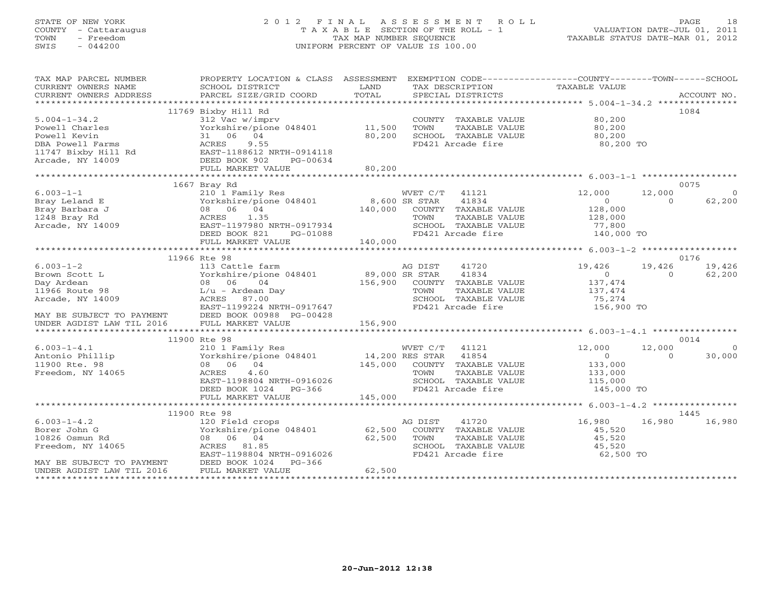# STATE OF NEW YORK 2 0 1 2 F I N A L A S S E S S M E N T R O L L PAGE 18 COUNTY - Cattaraugus T A X A B L E SECTION OF THE ROLL - 1 VALUATION DATE-JUL 01, 2011 TOWN - Freedom TAX MAP NUMBER SEQUENCE TAXABLE STATUS DATE-MAR 01, 2012 SWIS - 044200 UNIFORM PERCENT OF VALUE IS 100.00UNIFORM PERCENT OF VALUE IS 100.00

| TAX MAP PARCEL NUMBER<br>CURRENT OWNERS NAME       | PROPERTY LOCATION & CLASS ASSESSMENT EXEMPTION CODE---------------COUNTY-------TOWN------SCHOOL<br>SCHOOL DISTRICT | LAND    | TAX DESCRIPTION                               | TAXABLE VALUE                 |                          |                |
|----------------------------------------------------|--------------------------------------------------------------------------------------------------------------------|---------|-----------------------------------------------|-------------------------------|--------------------------|----------------|
| CURRENT OWNERS ADDRESS                             | PARCEL SIZE/GRID COORD                                                                                             | TOTAL   | SPECIAL DISTRICTS                             |                               |                          | ACCOUNT NO.    |
|                                                    |                                                                                                                    |         |                                               |                               |                          |                |
|                                                    | 11769 Bixby Hill Rd                                                                                                |         |                                               |                               |                          | 1084           |
| $5.004 - 1 - 34.2$                                 | 312 Vac w/imprv                                                                                                    |         | COUNTY TAXABLE VALUE 80,200                   |                               |                          |                |
| Powell Charles                                     | Yorkshire/pione 048401 11,500                                                                                      |         | TOWN<br>TAXABLE VALUE                         | 80,200<br>80,200              |                          |                |
| Powell Kevin                                       | 31 06 04                                                                                                           | 80,200  | SCHOOL TAXABLE VALUE                          |                               |                          |                |
|                                                    |                                                                                                                    |         | FD421 Arcade fire                             | 80,200 TO                     |                          |                |
|                                                    |                                                                                                                    |         |                                               |                               |                          |                |
|                                                    |                                                                                                                    |         |                                               |                               |                          |                |
|                                                    |                                                                                                                    | 80,200  |                                               |                               |                          |                |
|                                                    |                                                                                                                    |         |                                               |                               |                          |                |
|                                                    | 1667 Bray Rd                                                                                                       |         |                                               |                               |                          | 0075           |
| $6.003 - 1 - 1$                                    | 210 1 Family Res                                                                                                   |         | WVET C/T 41121                                | 12,000                        | 12,000                   | $\overline{0}$ |
| Bray Leland E                                      | Yorkshire/pione 048401 8,600 SR STAR                                                                               |         | 41834                                         | $\sim$ 0                      | $\Omega$                 | 62,200         |
| Bray Barbara J                                     | 08 06 04                                                                                                           |         | 140,000 COUNTY TAXABLE VALUE                  | 128,000<br>128,000            |                          |                |
| 1248 Bray Rd                                       |                                                                                                                    |         | TOWN<br>TAXABLE VALUE                         |                               |                          |                |
| Arcade, NY 14009                                   |                                                                                                                    |         | SCHOOL TAXABLE VALUE                          | 77,800<br>140,000 TO          |                          |                |
|                                                    | ACKES 1.35<br>EAST-1197980 NRTH-0917934<br>DEED BOOK 821 PG-01088<br>FULL MADEST WILL PG-01088                     |         | FD421 Arcade fire                             |                               |                          |                |
|                                                    |                                                                                                                    |         |                                               |                               |                          |                |
|                                                    |                                                                                                                    |         |                                               |                               |                          |                |
|                                                    | 11966 Rte 98                                                                                                       |         |                                               |                               |                          | 0176           |
| $6.003 - 1 - 2$                                    | 113 Cattle farm                                                                                                    |         | 41720<br>AG DIST                              | 19,426                        |                          | 19,426 19,426  |
| Brown Scott L                                      | Yorkshire/pione 048401 89,000 SR STAR 41834<br>08 06 04 156,900 COUNTY TAXABLE VALUE                               |         |                                               | $\overline{0}$                | $\sim$ 0                 | 62,200         |
| Day Ardean                                         |                                                                                                                    |         |                                               | 137,474                       |                          |                |
| 11966 Route 98                                     | L/u - Ardean Day                                                                                                   |         | TOWN<br>TAXABLE VALUE                         | 137,474                       |                          |                |
| Arcade, NY 14009                                   | ACRES 87.00                                                                                                        |         | SCHOOL TAXABLE VALUE                          | 75,274                        |                          |                |
|                                                    | EAST-1199224 NRTH-0917647                                                                                          |         | FD421 Arcade fire                             | 156,900 TO                    |                          |                |
| MAY BE SUBJECT TO PAYMENT DEED BOOK 00988 PG-00428 |                                                                                                                    |         |                                               |                               |                          |                |
| UNDER AGDIST LAW TIL 2016                          | FULL MARKET VALUE                                                                                                  | 156,900 |                                               |                               |                          |                |
|                                                    |                                                                                                                    |         |                                               |                               |                          |                |
|                                                    | 11900 Rte 98                                                                                                       |         |                                               |                               |                          | 0014           |
| $6.003 - 1 - 4.1$                                  |                                                                                                                    |         |                                               | 12,000                        | 12,000<br>$\overline{0}$ | - 0            |
| Antonio Phillip<br>11900 Rte. 98                   | 210 1 Family Res<br>Yorkshire/pione 048401 14,200 RES STAR 41854<br>08 06 04 145,000 COUNTY TAXABLE VALUE          |         |                                               | $\overline{0}$<br>133,000     |                          | 30,000         |
| Freedom, NY 14065                                  | 4.60                                                                                                               |         |                                               |                               |                          |                |
|                                                    | ACRES<br>EAST-1198804 NRTH-0916026                                                                                 |         | TOWN<br>TAXABLE VALUE<br>SCHOOL TAXABLE VALUE | 133,000<br>133,000<br>115,000 |                          |                |
|                                                    | DEED BOOK 1024 PG-366                                                                                              |         | FD421 Arcade fire                             | 145,000 TO                    |                          |                |
|                                                    | FULL MARKET VALUE                                                                                                  | 145,000 |                                               |                               |                          |                |
|                                                    |                                                                                                                    |         |                                               |                               |                          |                |
|                                                    | 11900 Rte 98                                                                                                       |         |                                               |                               |                          | 1445           |
| $6.003 - 1 - 4.2$                                  | 120 Field crops                                                                                                    |         | 41720<br>AG DIST                              | 16,980                        | 16,980                   | 16,980         |
| Borer John G                                       | 120 Field crops<br>Yorkshire/pione 048401 62,500<br>08 06 04 62,500                                                |         | COUNTY TAXABLE VALUE                          | 45,520                        |                          |                |
| 10826 Osmun Rd                                     |                                                                                                                    |         | TOWN<br>TAXABLE VALUE                         | 45,520                        |                          |                |
| Freedom, NY 14065                                  | ACRES 81.85                                                                                                        | 62,500  | SCHOOL TAXABLE VALUE                          | 45,520                        |                          |                |
|                                                    | EAST-1198804 NRTH-0916026                                                                                          |         | FD421 Arcade fire                             | 62,500 TO                     |                          |                |
| MAY BE SUBJECT TO PAYMENT                          | DEED BOOK 1024<br>PG-366                                                                                           |         |                                               |                               |                          |                |
| UNDER AGDIST LAW TIL 2016                          | FULL MARKET VALUE                                                                                                  | 62,500  |                                               |                               |                          |                |
|                                                    |                                                                                                                    |         |                                               |                               |                          |                |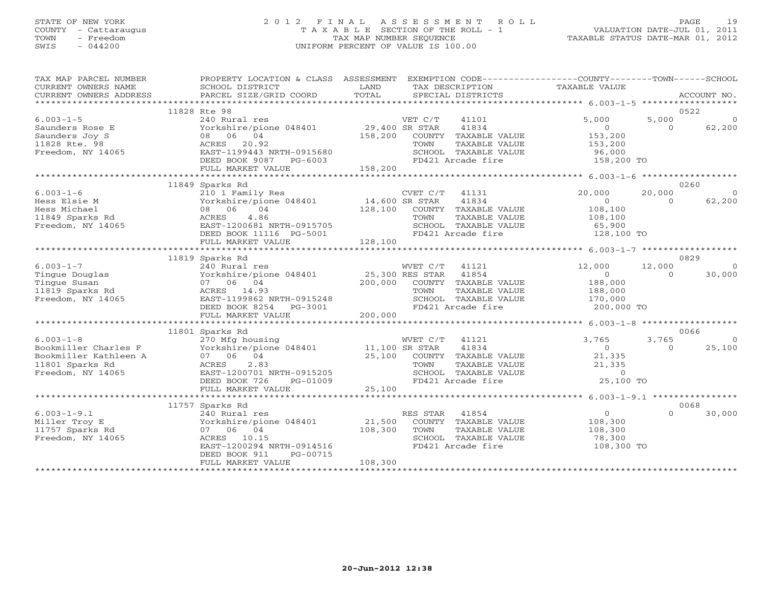## STATE OF NEW YORK 2 0 1 2 F I N A L A S S E S S M E N T R O L L PAGE 19 COUNTY - Cattaraugus T A X A B L E SECTION OF THE ROLL - 1 VALUATION DATE-JUL 01, 2011 TOWN - Freedom TAX MAP NUMBER SEQUENCE TAXABLE STATUS DATE-MAR 01, 2012 SWIS - 044200 UNIFORM PERCENT OF VALUE IS 100.00UNIFORM PERCENT OF VALUE IS 100.00

| TAX MAP PARCEL NUMBER<br>CURRENT OWNERS NAME<br>CURRENT OWNERS ADDRESS | PROPERTY LOCATION & CLASS ASSESSMENT<br>SCHOOL DISTRICT<br>PARCEL SIZE/GRID COORD | LAND<br>TOTAL                     | EXEMPTION CODE----------------COUNTY-------TOWN------SCHOOL<br>TAX DESCRIPTION<br>SPECIAL DISTRICTS | TAXABLE VALUE  |          | ACCOUNT NO. |
|------------------------------------------------------------------------|-----------------------------------------------------------------------------------|-----------------------------------|-----------------------------------------------------------------------------------------------------|----------------|----------|-------------|
|                                                                        |                                                                                   |                                   |                                                                                                     |                |          |             |
|                                                                        | 11828 Rte 98                                                                      |                                   |                                                                                                     |                |          | 0522        |
| $6.003 - 1 - 5$                                                        | 240 Rural res                                                                     |                                   | VET C/T<br>41101                                                                                    | 5,000          | 5,000    | $\Omega$    |
| Saunders Rose E                                                        | Yorkshire/pione 048401 29,400 SR STAR                                             |                                   | 41834                                                                                               | $\overline{0}$ | $\Omega$ | 62,200      |
| Saunders Joy S                                                         | 08 06 04                                                                          | 158,200                           | COUNTY TAXABLE VALUE                                                                                | 153,200        |          |             |
| 11828 Rte. 98                                                          | ACRES 20.92                                                                       |                                   | TAXABLE VALUE<br>TOWN                                                                               | 153,200        |          |             |
| Freedom, NY 14065                                                      | EAST-1199443 NRTH-0915680                                                         |                                   | SCHOOL TAXABLE VALUE                                                                                | 96,000         |          |             |
|                                                                        | DEED BOOK 9087<br>PG-6003                                                         |                                   | FD421 Arcade fire                                                                                   | 158,200 TO     |          |             |
|                                                                        | FULL MARKET VALUE                                                                 | 158,200                           |                                                                                                     |                |          |             |
|                                                                        |                                                                                   |                                   |                                                                                                     |                |          |             |
|                                                                        | 11849 Sparks Rd                                                                   |                                   |                                                                                                     |                |          | 0260        |
| $6.003 - 1 - 6$                                                        | 210 1 Family Res                                                                  |                                   | CVET C/T<br>41131                                                                                   | 20,000         | 20,000   | $\Omega$    |
| Hess Elsie M                                                           | Yorkshire/pione 048401 14,600 SR STAR                                             |                                   | 41834                                                                                               | $\overline{0}$ | $\Omega$ | 62,200      |
| Hess Michael                                                           | 08 06<br>04                                                                       | 128,100                           | COUNTY TAXABLE VALUE                                                                                | 108,100        |          |             |
| 11849 Sparks Rd                                                        | 4.86<br>ACRES                                                                     |                                   | TAXABLE VALUE<br>TOWN                                                                               | 108,100        |          |             |
| Freedom, NY 14065                                                      | EAST-1200681 NRTH-0915705                                                         |                                   | SCHOOL TAXABLE VALUE                                                                                | 65,900         |          |             |
|                                                                        | DEED BOOK 11116 PG-5001                                                           |                                   | FD421 Arcade fire                                                                                   | 128,100 TO     |          |             |
|                                                                        | FULL MARKET VALUE                                                                 | 128,100                           |                                                                                                     |                |          |             |
|                                                                        |                                                                                   |                                   |                                                                                                     |                |          |             |
|                                                                        | 11819 Sparks Rd                                                                   |                                   |                                                                                                     |                |          | 0829        |
| $6.003 - 1 - 7$                                                        | 240 Rural res                                                                     |                                   | WVET C/T<br>41121                                                                                   | 12,000         | 12,000   | $\Omega$    |
| Tingue Douglas                                                         | Yorkshire/pione 048401                                                            | 25,300 RES STAR<br>200.000 COUNTY | 41854                                                                                               | $\overline{O}$ | $\Omega$ | 30,000      |
| Tingue Susan                                                           | 07 06 04                                                                          | 200,000                           | COUNTY TAXABLE VALUE                                                                                | 188,000        |          |             |
| 11819 Sparks Rd                                                        | ACRES 14.93                                                                       |                                   | TAXABLE VALUE<br>TOWN                                                                               | 188,000        |          |             |
| Freedom, NY 14065                                                      | EAST-1199862 NRTH-0915248                                                         |                                   | SCHOOL TAXABLE VALUE                                                                                | 170,000        |          |             |
|                                                                        | DEED BOOK 8254<br>PG-3001                                                         |                                   | FD421 Arcade fire                                                                                   | 200,000 TO     |          |             |
|                                                                        | FULL MARKET VALUE                                                                 | 200,000                           |                                                                                                     |                |          |             |
|                                                                        |                                                                                   |                                   |                                                                                                     |                |          |             |
|                                                                        | 11801 Sparks Rd                                                                   |                                   |                                                                                                     |                |          | 0066        |
| $6.003 - 1 - 8$                                                        | 270 Mfg housing WVET C/T<br>Yorkshire/pione 048401 11,100 SR STAR                 |                                   | WVET C/T<br>41121                                                                                   | 3,765          | 3,765    | $\Omega$    |
| Bookmiller Charles F                                                   |                                                                                   |                                   | 41834                                                                                               | $\overline{0}$ | $\Omega$ | 25,100      |
| Bookmiller Kathleen A                                                  | 07 06 04                                                                          | 25,100                            | COUNTY TAXABLE VALUE                                                                                | 21,335         |          |             |
| 11801 Sparks Rd                                                        | ACRES<br>2.83                                                                     |                                   | TAXABLE VALUE<br>TOWN                                                                               | 21,335         |          |             |
| Freedom, NY 14065                                                      | EAST-1200701 NRTH-0915205                                                         |                                   | SCHOOL TAXABLE VALUE                                                                                | $\overline{0}$ |          |             |
|                                                                        | DEED BOOK 726<br>PG-01009                                                         |                                   | FD421 Arcade fire                                                                                   | 25,100 TO      |          |             |
|                                                                        | FULL MARKET VALUE                                                                 | 25,100                            |                                                                                                     |                |          |             |
|                                                                        |                                                                                   |                                   |                                                                                                     |                |          |             |
|                                                                        | 11757 Sparks Rd                                                                   |                                   |                                                                                                     |                |          | 0068        |
| $6.003 - 1 - 9.1$                                                      | 240 Rural res                                                                     |                                   | RES STAR<br>41854                                                                                   | $\overline{0}$ | $\Omega$ | 30,000      |
| Miller Troy E                                                          | Yorkshire/pione 048401                                                            | 21,500                            | COUNTY TAXABLE VALUE                                                                                | 108,300        |          |             |
| 11757 Sparks Rd                                                        | 07 06 04                                                                          | 108,300                           | TOWN<br>TAXABLE VALUE                                                                               | 108,300        |          |             |
| Freedom, NY 14065                                                      | 10.15<br>ACRES                                                                    |                                   | SCHOOL TAXABLE VALUE                                                                                | 78,300         |          |             |
|                                                                        | EAST-1200294 NRTH-0914516                                                         |                                   | FD421 Arcade fire                                                                                   | 108,300 TO     |          |             |
|                                                                        | DEED BOOK 911<br>PG-00715                                                         |                                   |                                                                                                     |                |          |             |
|                                                                        | FULL MARKET VALUE                                                                 | 108,300                           |                                                                                                     |                |          |             |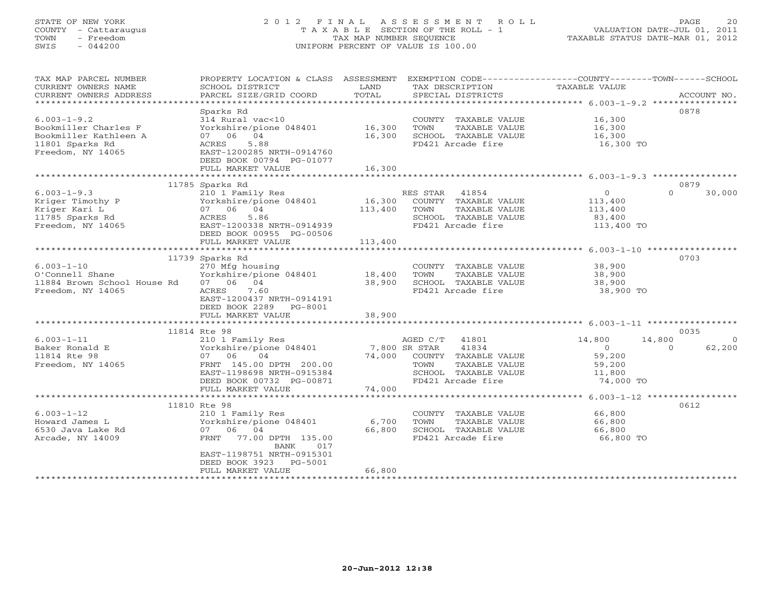## STATE OF NEW YORK 2 0 1 2 F I N A L A S S E S S M E N T R O L L PAGE 20 COUNTY - Cattaraugus T A X A B L E SECTION OF THE ROLL - 1 VALUATION DATE-JUL 01, 2011 TOWN - Freedom TAX MAP NUMBER SEQUENCE TAXABLE STATUS DATE-MAR 01, 2012 SWIS - 044200 UNIFORM PERCENT OF VALUE IS 100.00UNIFORM PERCENT OF VALUE IS 100.00

| TAX MAP PARCEL NUMBER                | PROPERTY LOCATION & CLASS ASSESSMENT                                                                    |         | EXEMPTION CODE----------------COUNTY-------TOWN------SCHOOL |                  |                            |
|--------------------------------------|---------------------------------------------------------------------------------------------------------|---------|-------------------------------------------------------------|------------------|----------------------------|
| CURRENT OWNERS NAME                  | SCHOOL DISTRICT                                                                                         | LAND    | TAX DESCRIPTION                                             | TAXABLE VALUE    |                            |
| CURRENT OWNERS ADDRESS               | PARCEL SIZE/GRID COORD                                                                                  | TOTAL   | SPECIAL DISTRICTS                                           |                  | ACCOUNT NO.                |
| **********************               |                                                                                                         |         |                                                             |                  |                            |
|                                      | Sparks Rd                                                                                               |         |                                                             |                  | 0878                       |
| $6.003 - 1 - 9.2$                    | 314 Rural vac<10<br>314 Kurai vac<10<br>Yorkshire/pione 048401     16,300                               |         | COUNTY TAXABLE VALUE                                        | 16,300           |                            |
| Bookmiller Charles F                 |                                                                                                         |         | TOWN<br>TAXABLE VALUE                                       | 16,300           |                            |
| Bookmiller Kathleen A                | 07 06 04                                                                                                | 16,300  | SCHOOL TAXABLE VALUE                                        | 16,300           |                            |
| 11801 Sparks Rd                      | ACRES<br>5.88                                                                                           |         | FD421 Arcade fire                                           | 16,300 TO        |                            |
| Freedom, NY 14065                    | EAST-1200285 NRTH-0914760                                                                               |         |                                                             |                  |                            |
|                                      | DEED BOOK 00794 PG-01077                                                                                |         |                                                             |                  |                            |
|                                      | FULL MARKET VALUE                                                                                       | 16,300  |                                                             |                  |                            |
|                                      |                                                                                                         |         |                                                             |                  |                            |
| $6.003 - 1 - 9.3$                    | 11785 Sparks Rd                                                                                         |         | RES STAR 41854                                              | $\overline{0}$   | 0879<br>$\Omega$<br>30,000 |
|                                      | 210 1 Family Res                                                                                        |         | 16,300 COUNTY TAXABLE VALUE                                 |                  |                            |
| Kriger Timothy P<br>Kriger Kari L    | Yorkshire/pione 048401<br>07 06 04                                                                      | 113,400 | TOWN<br>TAXABLE VALUE                                       | 113,400          |                            |
| 11785 Sparks Rd                      |                                                                                                         |         |                                                             | 113,400          |                            |
| Freedom, NY 14065                    | 5.86<br>ACRES                                                                                           |         | SCHOOL TAXABLE VALUE<br>FD421 Arcade fire                   | 83,400           |                            |
|                                      | EAST-1200338 NRTH-0914939<br>DEED BOOK 00955 PG-00506                                                   |         |                                                             | 113,400 TO       |                            |
|                                      | FULL MARKET VALUE                                                                                       | 113,400 |                                                             |                  |                            |
|                                      |                                                                                                         |         |                                                             |                  |                            |
|                                      | 11739 Sparks Rd                                                                                         |         |                                                             |                  | 0703                       |
| $6.003 - 1 - 10$                     | 270 Mfg housing                                                                                         |         | COUNTY TAXABLE VALUE                                        |                  |                            |
| O'Connell Shane                      | Yorkshire/pione 048401 18,400 TOWN                                                                      |         | TAXABLE VALUE                                               | 38,900<br>38,900 |                            |
| 11884 Brown School House Rd 07 06 04 |                                                                                                         |         | 38,900 SCHOOL TAXABLE VALUE                                 | 38,900           |                            |
| Freedom, NY 14065                    | ACRES 7.60                                                                                              |         | FD421 Arcade fire                                           | 38,900 TO        |                            |
|                                      | EAST-1200437 NRTH-0914191                                                                               |         |                                                             |                  |                            |
|                                      | DEED BOOK 2289 PG-8001                                                                                  |         |                                                             |                  |                            |
|                                      | FULL MARKET VALUE                                                                                       | 38,900  |                                                             |                  |                            |
|                                      |                                                                                                         |         |                                                             |                  |                            |
|                                      | 11814 Rte 98                                                                                            |         |                                                             |                  | 0035                       |
| $6.003 - 1 - 11$                     | 210 1 Family Res                                                                                        |         | AGED C/T 41801                                              | 14,800           | 14,800<br>$\overline{0}$   |
| Baker Ronald E                       | Yorkshire/pione 048401 7,800 SR STAR<br>07 06 04 74,000 COUNTY<br>FRNT 145.00 DPTH 200.00 74,000 COUNTY |         | 41834                                                       | $\overline{0}$   | 62,200<br>$\overline{0}$   |
| 11814 Rte 98                         |                                                                                                         |         | 74,000 COUNTY TAXABLE VALUE                                 | 59,200           |                            |
| Freedom, NY 14065                    |                                                                                                         |         | TAXABLE VALUE                                               | 59,200           |                            |
|                                      | EAST-1198698 NRTH-0915384                                                                               |         | SCHOOL TAXABLE VALUE                                        | 11,800           |                            |
|                                      | DEED BOOK 00732 PG-00871                                                                                |         | FD421 Arcade fire                                           | 74,000 TO        |                            |
|                                      | FULL MARKET VALUE                                                                                       | 74,000  |                                                             |                  |                            |
|                                      |                                                                                                         |         |                                                             |                  |                            |
|                                      | 11810 Rte 98                                                                                            |         |                                                             |                  | 0612                       |
| $6.003 - 1 - 12$                     | 210 1 Family Res                                                                                        |         | COUNTY TAXABLE VALUE                                        | 66,800           |                            |
| Howard James L                       | Yorkshire/pione 048401                                                                                  | 6,700   | TOWN<br>TAXABLE VALUE                                       | 66,800           |                            |
| 6530 Java Lake Rd                    | 07 06 04                                                                                                | 66,800  | SCHOOL TAXABLE VALUE                                        | 66,800           |                            |
| Arcade, NY 14009                     | 77.00 DPTH 135.00<br>FRNT<br>BANK<br>017                                                                |         | FD421 Arcade fire                                           | 66,800 TO        |                            |
|                                      | EAST-1198751 NRTH-0915301                                                                               |         |                                                             |                  |                            |
|                                      | DEED BOOK 3923 PG-5001                                                                                  |         |                                                             |                  |                            |
|                                      | FULL MARKET VALUE                                                                                       | 66,800  |                                                             |                  |                            |
|                                      |                                                                                                         |         |                                                             |                  |                            |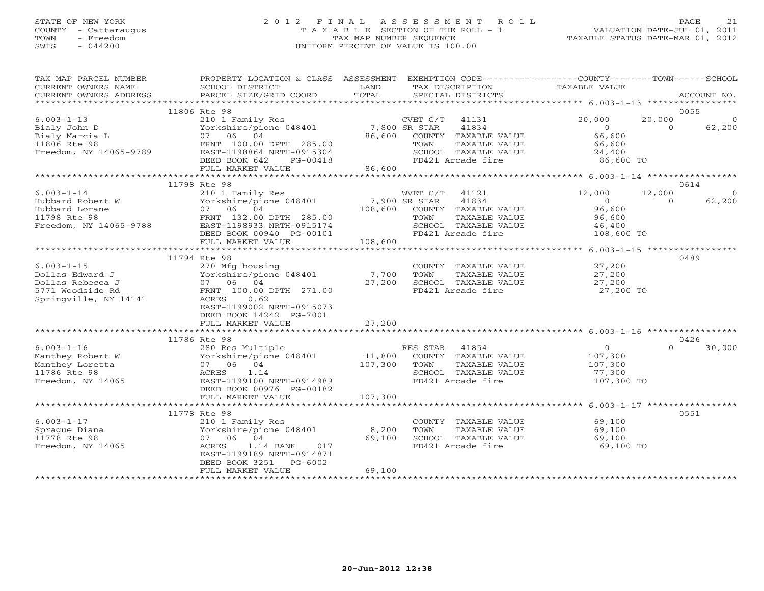# STATE OF NEW YORK 2 0 1 2 F I N A L A S S E S S M E N T R O L L PAGE 21 COUNTY - Cattaraugus T A X A B L E SECTION OF THE ROLL - 1 VALUATION DATE-JUL 01, 2011 TOWN - Freedom TAX MAP NUMBER SEQUENCE TAXABLE STATUS DATE-MAR 01, 2012 SWIS - 044200 UNIFORM PERCENT OF VALUE IS 100.00UNIFORM PERCENT OF VALUE IS 100.00

| TAX MAP PARCEL NUMBER<br>CURRENT OWNERS NAME<br>CURRENT OWNERS ADDRESS                                                                                                                                             | PROPERTY LOCATION & CLASS ASSESSMENT EXEMPTION CODE----------------COUNTY-------TOWN------SCHOOL<br>SCHOOL DISTRICT<br>PARCEL SIZE/GRID COORD                                       | LAND<br>TOTAL | TAX DESCRIPTION<br>SPECIAL DISTRICTS                         | TAXABLE VALUE  | ACCOUNT NO.              |
|--------------------------------------------------------------------------------------------------------------------------------------------------------------------------------------------------------------------|-------------------------------------------------------------------------------------------------------------------------------------------------------------------------------------|---------------|--------------------------------------------------------------|----------------|--------------------------|
|                                                                                                                                                                                                                    |                                                                                                                                                                                     |               |                                                              |                |                          |
|                                                                                                                                                                                                                    | 11806 Rte 98                                                                                                                                                                        |               |                                                              |                | 0055                     |
| $6.003 - 1 - 13$                                                                                                                                                                                                   | 210 1 Family Res                                                                                                                                                                    |               | CVET C/T<br>41131                                            | 20,000         | 20,000<br>$\Omega$       |
|                                                                                                                                                                                                                    | Yorkshire/pione 048401 7,800 SR STAR                                                                                                                                                |               | 41834                                                        | $\overline{0}$ | 62,200<br>$\Omega$       |
|                                                                                                                                                                                                                    |                                                                                                                                                                                     |               |                                                              | 66,600         |                          |
|                                                                                                                                                                                                                    |                                                                                                                                                                                     |               | 86,600 COUNTY TAXABLE VALUE<br>TOWN TAXABLE VALUE            | 66,600         |                          |
| 6.003-1-13<br>Bialy John D<br>Bialy Marcia L<br>Bialy Marcia L<br>11806 Rte 98<br>Preedom, NY 14065-9789<br>Preedom, NY 14065-9789<br>PRIC REST-1198864 NRTH-0915304<br>PRIC REST-1198864 NRTH-0915304<br>PG-00418 |                                                                                                                                                                                     |               |                                                              |                |                          |
|                                                                                                                                                                                                                    | DEED BOOK 642<br>PG-00418                                                                                                                                                           |               | SCHOOL TAXABLE VALUE $24,400$<br>FD421 Arcade fire 86,600 TO |                |                          |
|                                                                                                                                                                                                                    | FULL MARKET VALUE                                                                                                                                                                   | 86,600        |                                                              |                |                          |
|                                                                                                                                                                                                                    |                                                                                                                                                                                     |               |                                                              |                |                          |
|                                                                                                                                                                                                                    | 11798 Rte 98                                                                                                                                                                        |               |                                                              |                | 0614                     |
| $6.003 - 1 - 14$                                                                                                                                                                                                   | Rte 98<br>210 1 Family Res MVET C/T 41121<br>Yorkshire/pione 048401 7,900 SR STAR 41834<br>07 06 04 108,600 COUNTY TAXABLE VALUE                                                    |               |                                                              | 12,000         | 12,000<br>$\overline{0}$ |
|                                                                                                                                                                                                                    |                                                                                                                                                                                     |               |                                                              | $\overline{0}$ | $\Omega$<br>62,200       |
| Hubbard Robert W Yorkshire/pione 048401<br>Hubbard Lorane 07 06 04<br>11798 Rte 98 FRNT 132.00 DPTH 285.00<br>Freedom, NY 14065-9788 EAST-1198933 NRTH-0915174                                                     |                                                                                                                                                                                     |               |                                                              | 96,600         |                          |
|                                                                                                                                                                                                                    |                                                                                                                                                                                     |               | TAXABLE VALUE                                                | 96,600         |                          |
|                                                                                                                                                                                                                    |                                                                                                                                                                                     |               | SCHOOL TAXABLE VALUE                                         | 46,400         |                          |
|                                                                                                                                                                                                                    | DEED BOOK 00940 PG-00101                                                                                                                                                            |               | FD421 Arcade fire                                            | 108,600 TO     |                          |
|                                                                                                                                                                                                                    | FULL MARKET VALUE                                                                                                                                                                   | 108,600       |                                                              |                |                          |
|                                                                                                                                                                                                                    |                                                                                                                                                                                     |               |                                                              |                |                          |
|                                                                                                                                                                                                                    |                                                                                                                                                                                     |               |                                                              |                |                          |
|                                                                                                                                                                                                                    | 11794 Rte 98                                                                                                                                                                        |               |                                                              |                | 0489                     |
| $6.003 - 1 - 15$                                                                                                                                                                                                   | 270 Mfg housing                                                                                                                                                                     |               | COUNTY TAXABLE VALUE                                         | 27,200         |                          |
| Dollas Edward J                                                                                                                                                                                                    | 270 mig nousing<br>Yorkshire/pione 048401 7,700<br>07 06 04 27,200<br>Yorkshire/pic<br>07    06    04                                                                               |               | TOWN<br>TAXABLE VALUE                                        | 27,200         |                          |
| Dollas Rebecca J                                                                                                                                                                                                   |                                                                                                                                                                                     |               | SCHOOL TAXABLE VALUE                                         | 27,200         |                          |
| 5771 Woodside Rd                                                                                                                                                                                                   | FRNT 100.00 DPTH 271.00                                                                                                                                                             |               | FD421 Arcade fire                                            | 27,200 TO      |                          |
| Springville, NY 14141                                                                                                                                                                                              | 0.62<br>ACRES                                                                                                                                                                       |               |                                                              |                |                          |
|                                                                                                                                                                                                                    | EAST-1199002 NRTH-0915073                                                                                                                                                           |               |                                                              |                |                          |
|                                                                                                                                                                                                                    | DEED BOOK 14242 PG-7001                                                                                                                                                             |               |                                                              |                |                          |
|                                                                                                                                                                                                                    | FULL MARKET VALUE                                                                                                                                                                   | 27,200        |                                                              |                |                          |
|                                                                                                                                                                                                                    |                                                                                                                                                                                     |               |                                                              |                |                          |
|                                                                                                                                                                                                                    | 11786 Rte 98                                                                                                                                                                        |               |                                                              |                | 0426                     |
| $6.003 - 1 - 16$                                                                                                                                                                                                   | 280 Res Multiple                                                                                                                                                                    |               | RES STAR 41854                                               | $\overline{0}$ | 30,000<br>$\Omega$       |
| Manthey Robert W                                                                                                                                                                                                   |                                                                                                                                                                                     |               |                                                              | 107,300        |                          |
| Manthey Loretta                                                                                                                                                                                                    | $\begin{array}{cccc}\n\text{Yorkshire/pione } 048401 & 11,800 & \text{COUNTY} & \text{TAXABLE VALUE} \\ 07 & 06 & 04 & 107,300 & \text{TOWN} & \text{TAXABLE VALUE} \\ \end{array}$ |               |                                                              | 107,300        |                          |
| 11786 Rte 98                                                                                                                                                                                                       | 1.14<br>ACRES                                                                                                                                                                       |               | SCHOOL TAXABLE VALUE                                         | 77,300         |                          |
| Freedom, NY 14065                                                                                                                                                                                                  | EAST-1199100 NRTH-0914989                                                                                                                                                           |               | FD421 Arcade fire                                            | 107,300 TO     |                          |
|                                                                                                                                                                                                                    | DEED BOOK 00976 PG-00182                                                                                                                                                            |               |                                                              |                |                          |
|                                                                                                                                                                                                                    | FULL MARKET VALUE                                                                                                                                                                   | 107,300       |                                                              |                |                          |
|                                                                                                                                                                                                                    |                                                                                                                                                                                     |               |                                                              |                |                          |
|                                                                                                                                                                                                                    | 11778 Rte 98                                                                                                                                                                        |               |                                                              |                | 0551                     |
| $6.003 - 1 - 17$                                                                                                                                                                                                   | 210 1 Family Res                                                                                                                                                                    |               | COUNTY TAXABLE VALUE                                         | 69,100         |                          |
| Spraque Diana                                                                                                                                                                                                      | Yorkshire/pione 048401 8,200                                                                                                                                                        |               | TOWN<br>TAXABLE VALUE                                        | 69,100         |                          |
| 11778 Rte 98                                                                                                                                                                                                       | 07 06 04                                                                                                                                                                            | 69,100        | SCHOOL TAXABLE VALUE                                         | 69,100         |                          |
| Freedom, NY 14065                                                                                                                                                                                                  | 1.14 BANK<br>017<br>ACRES                                                                                                                                                           |               | FD421 Arcade fire                                            | 69,100 TO      |                          |
|                                                                                                                                                                                                                    | EAST-1199189 NRTH-0914871                                                                                                                                                           |               |                                                              |                |                          |
|                                                                                                                                                                                                                    | DEED BOOK 3251<br>PG-6002                                                                                                                                                           |               |                                                              |                |                          |
|                                                                                                                                                                                                                    |                                                                                                                                                                                     |               |                                                              |                |                          |
|                                                                                                                                                                                                                    | FULL MARKET VALUE                                                                                                                                                                   | 69,100        |                                                              |                |                          |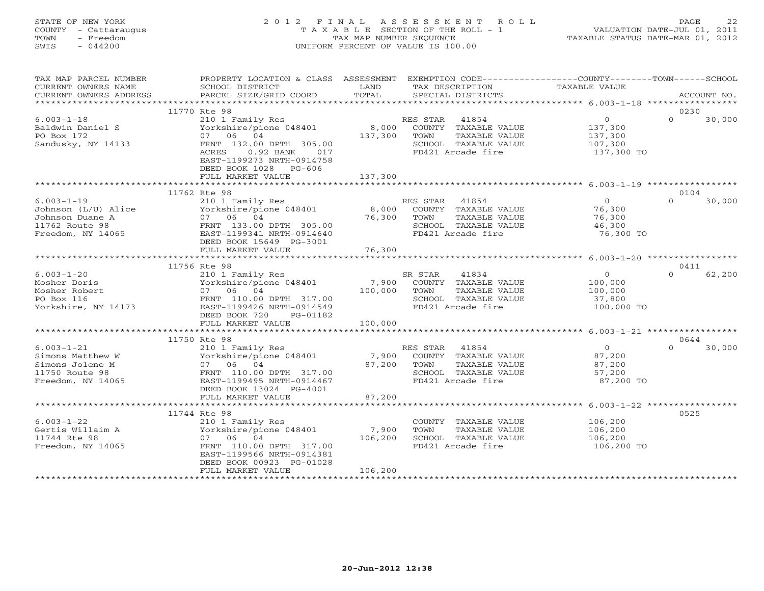# STATE OF NEW YORK 2 0 1 2 F I N A L A S S E S S M E N T R O L L PAGE 22 COUNTY - Cattaraugus T A X A B L E SECTION OF THE ROLL - 1 VALUATION DATE-JUL 01, 2011 TOWN - Freedom TAX MAP NUMBER SEQUENCE TAXABLE STATUS DATE-MAR 01, 2012 SWIS - 044200 UNIFORM PERCENT OF VALUE IS 100.00UNIFORM PERCENT OF VALUE IS 100.00

| TAX MAP PARCEL NUMBER<br>CURRENT OWNERS NAME<br>CURRENT OWNERS ADDRESS                            | SCHOOL DISTRICT<br>PARCEL SIZE/GRID COORD                                                                                                                                            | LAND<br>TAX DESCRIPTION<br>TOTAL<br>SPECIAL DISTRICTS                                                                              | PROPERTY LOCATION & CLASS ASSESSMENT EXEMPTION CODE----------------COUNTY-------TOWN------SCHOOL<br>TAXABLE VALUE<br>ACCOUNT NO. |
|---------------------------------------------------------------------------------------------------|--------------------------------------------------------------------------------------------------------------------------------------------------------------------------------------|------------------------------------------------------------------------------------------------------------------------------------|----------------------------------------------------------------------------------------------------------------------------------|
|                                                                                                   |                                                                                                                                                                                      |                                                                                                                                    |                                                                                                                                  |
| $6.003 - 1 - 18$<br>Baldwin Daniel S<br>PO Box 172<br>Sandusky, NY 14133                          | 11770 Rte 98<br>210 1 Family Res<br>Yorkshire/pione 048401<br>07 06 04<br>FRNT 132.00 DPTH 305.00<br>ACRES<br>0.92 BANK 017<br>EAST-1199273 NRTH-0914758<br>DEED BOOK 1028<br>PG-606 | RES STAR 41854<br>8,000 COUNTY TAXABLE VALUE<br>137,300<br>TOWN<br>TAXABLE VALUE<br>SCHOOL TAXABLE VALUE<br>FD421 Arcade fire      | 0230<br>$\Omega$<br>$\overline{0}$<br>30,000<br>137,300<br>137,300<br>107,300<br>137,300 TO                                      |
|                                                                                                   | FULL MARKET VALUE                                                                                                                                                                    | 137,300                                                                                                                            |                                                                                                                                  |
|                                                                                                   |                                                                                                                                                                                      |                                                                                                                                    |                                                                                                                                  |
| $6.003 - 1 - 19$<br>Johnson (L/U) Alice<br>Johnson Duane A<br>11762 Route 98<br>Freedom, NY 14065 | 11762 Rte 98<br>210 1 Family Res<br>Yorkshire/pione 048401<br>07 06 04<br>FRNT 133.00 DPTH 305.00<br>EAST-1199341 NRTH-0914640<br>DEED BOOK 15649 PG-3001                            | RES STAR 41854<br>8,000 COUNTY TAXABLE VALUE<br>76,300<br>TOWN<br>TAXABLE VALUE<br>SCHOOL TAXABLE VALUE<br>FD421 Arcade fire       | 0104<br>$\overline{0}$<br>$\Omega$<br>30,000<br>76,300<br>76,300<br>46,300<br>76,300 TO                                          |
|                                                                                                   | FULL MARKET VALUE                                                                                                                                                                    | 76,300                                                                                                                             |                                                                                                                                  |
|                                                                                                   |                                                                                                                                                                                      |                                                                                                                                    | 0411                                                                                                                             |
| $6.003 - 1 - 20$<br>Mosher Doris<br>Mosher Robert<br>PO Box 116<br>Yorkshire, NY 14173            | 11756 Rte 98<br>210 1 Family Res<br>Yorkshire/pione 048401<br>07 06 04<br>FRNT 110.00 DPTH 317.00<br>EAST-1199426 NRTH-0914549<br>DEED BOOK 720<br>PG-01182                          | 41834<br>SR STAR<br>7,900<br>COUNTY TAXABLE VALUE<br>100,000<br>TOWN<br>TAXABLE VALUE<br>SCHOOL TAXABLE VALUE<br>FD421 Arcade fire | $\Omega$<br>$\overline{0}$<br>62,200<br>100,000<br>100,000<br>37,800<br>100,000 TO                                               |
|                                                                                                   | FULL MARKET VALUE                                                                                                                                                                    | 100,000                                                                                                                            |                                                                                                                                  |
|                                                                                                   |                                                                                                                                                                                      |                                                                                                                                    |                                                                                                                                  |
| $6.003 - 1 - 21$<br>Simons Matthew W<br>Simons Jolene M<br>11750 Route 98<br>Freedom, NY 14065    | 11750 Rte 98<br>210 1 Family Res<br>Yorkshire/pione 048401<br>07 06 04<br>FRNT 110.00 DPTH 317.00<br>EAST-1199495 NRTH-0914467<br>DEED BOOK 13024 PG-4001                            | RES STAR<br>41854<br>7,900 COUNTY TAXABLE VALUE<br>87,200<br>TOWN<br>TAXABLE VALUE<br>SCHOOL TAXABLE VALUE<br>FD421 Arcade fire    | 0644<br>$\overline{O}$<br>$\Omega$<br>30,000<br>87,200<br>87,200<br>57,200<br>87,200 TO                                          |
|                                                                                                   | FULL MARKET VALUE                                                                                                                                                                    | 87,200                                                                                                                             |                                                                                                                                  |
| $6.003 - 1 - 22$<br>Gertis Willaim A<br>11744 Rte 98<br>Freedom, NY 14065                         | 11744 Rte 98<br>210 1 Family Res<br>Yorkshire/pione 048401<br>07 06 04<br>FRNT 110.00 DPTH 317.00<br>EAST-1199566 NRTH-0914381<br>DEED BOOK 00923 PG-01028<br>FULL MARKET VALUE      | COUNTY TAXABLE VALUE<br>7,900<br>TOWN<br>TAXABLE VALUE<br>106,200<br>SCHOOL TAXABLE VALUE<br>FD421 Arcade fire<br>106,200          | 0525<br>106,200<br>106,200<br>106,200<br>106,200 TO                                                                              |
|                                                                                                   |                                                                                                                                                                                      |                                                                                                                                    |                                                                                                                                  |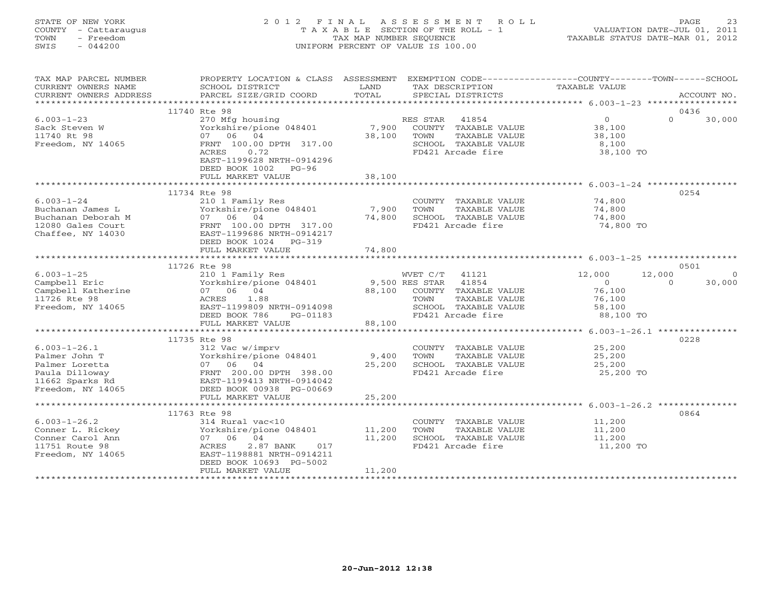# STATE OF NEW YORK 2 0 1 2 F I N A L A S S E S S M E N T R O L L PAGE 23 COUNTY - Cattaraugus T A X A B L E SECTION OF THE ROLL - 1 VALUATION DATE-JUL 01, 2011 TOWN - Freedom TAX MAP NUMBER SEQUENCE TAXABLE STATUS DATE-MAR 01, 2012 SWIS - 044200 UNIFORM PERCENT OF VALUE IS 100.00UNIFORM PERCENT OF VALUE IS 100.00

| TAX MAP PARCEL NUMBER<br>CURRENT OWNERS NAME<br>CURRENT OWNERS ADDRESS                                          | PROPERTY LOCATION & CLASS ASSESSMENT<br>SCHOOL DISTRICT<br>PARCEL SIZE/GRID COORD                                                                                                | LAND<br>TOTAL              | TAX DESCRIPTION<br>SPECIAL DISTRICTS                                                                | EXEMPTION CODE-----------------COUNTY-------TOWN------SCHOOL<br>TAXABLE VALUE | ACCOUNT NO.        |
|-----------------------------------------------------------------------------------------------------------------|----------------------------------------------------------------------------------------------------------------------------------------------------------------------------------|----------------------------|-----------------------------------------------------------------------------------------------------|-------------------------------------------------------------------------------|--------------------|
|                                                                                                                 |                                                                                                                                                                                  |                            |                                                                                                     |                                                                               |                    |
| $6.003 - 1 - 23$<br>Sack Steven W                                                                               | 11740 Rte 98<br>270 Mfg housing<br>Yorkshire/pione 048401                                                                                                                        | 7,900                      | RES STAR 41854<br>COUNTY TAXABLE VALUE                                                              | $\overline{0}$<br>$\Omega$<br>38,100                                          | 0436<br>30,000     |
| 11740 Rt 98<br>Freedom, NY 14065                                                                                | 07 06 04<br>FRNT 100.00 DPTH 317.00<br>0.72<br>ACRES<br>EAST-1199628 NRTH-0914296<br>DEED BOOK 1002 PG-96                                                                        | 38,100                     | TOWN<br>TAXABLE VALUE<br>SCHOOL TAXABLE VALUE<br>FD421 Arcade fire                                  | 38,100<br>8,100<br>38,100 TO                                                  |                    |
|                                                                                                                 | FULL MARKET VALUE                                                                                                                                                                | 38,100                     |                                                                                                     |                                                                               |                    |
|                                                                                                                 | 11734 Rte 98                                                                                                                                                                     |                            |                                                                                                     |                                                                               | 0254               |
| $6.003 - 1 - 24$<br>Buchanan James L<br>Buchanan Deborah M<br>12080 Gales Court<br>Chaffee, NY 14030            | 210 1 Family Res<br>Yorkshire/pione 048401<br>07 06 04<br>FRNT 100.00 DPTH 317.00<br>EAST-1199686 NRTH-0914217<br>DEED BOOK 1024<br>PG-319                                       | 7,900<br>74,800            | COUNTY TAXABLE VALUE<br>TAXABLE VALUE<br>TOWN<br>SCHOOL TAXABLE VALUE<br>FD421 Arcade fire          | 74,800<br>74,800<br>74,800<br>74,800 TO                                       |                    |
|                                                                                                                 | FULL MARKET VALUE                                                                                                                                                                | 74,800                     |                                                                                                     |                                                                               |                    |
|                                                                                                                 | 11726 Rte 98                                                                                                                                                                     |                            |                                                                                                     |                                                                               | 0501               |
| $6.003 - 1 - 25$<br>Campbell Eric<br>Campbell Katherine<br>11726 Rte 98<br>Freedom, NY 14065                    | 210 1 Family Res<br>Yorkshire/pione 048401<br>07 06 04<br>1.88<br>ACRES<br>EAST-1199809 NRTH-0914098                                                                             | 9,500 RES STAR<br>88,100   | WVET C/T<br>41121<br>41854<br>COUNTY TAXABLE VALUE<br>TAXABLE VALUE<br>TOWN<br>SCHOOL TAXABLE VALUE | 12,000<br>12,000<br>$\Omega$<br>$\cap$<br>76,100<br>76,100<br>58,100          | $\Omega$<br>30,000 |
|                                                                                                                 | DEED BOOK 786<br>PG-01183<br>FULL MARKET VALUE                                                                                                                                   | 88,100                     | FD421 Arcade fire                                                                                   | 88,100 TO                                                                     |                    |
|                                                                                                                 |                                                                                                                                                                                  |                            |                                                                                                     |                                                                               |                    |
| $6.003 - 1 - 26.1$<br>Palmer John T<br>Palmer Loretta<br>Paula Dilloway<br>11662 Sparks Rd<br>Freedom, NY 14065 | 11735 Rte 98<br>312 Vac w/imprv<br>Yorkshire/pione 048401<br>07 06 04<br>FRNT 200.00 DPTH 398.00<br>EAST-1199413 NRTH-0914042<br>DEED BOOK 00938 PG-00669                        | 9,400<br>25,200            | COUNTY TAXABLE VALUE<br>TOWN<br>TAXABLE VALUE<br>SCHOOL TAXABLE VALUE<br>FD421 Arcade fire          | 25,200<br>25,200<br>25,200<br>25,200 TO                                       | 0228               |
|                                                                                                                 | FULL MARKET VALUE                                                                                                                                                                | 25,200                     |                                                                                                     |                                                                               |                    |
|                                                                                                                 |                                                                                                                                                                                  |                            |                                                                                                     |                                                                               |                    |
| $6.003 - 1 - 26.2$<br>Conner L. Rickey<br>Conner Carol Ann<br>11751 Route 98<br>Freedom, NY 14065               | 11763 Rte 98<br>314 Rural vac<10<br>Yorkshire/pione 048401<br>07 06 04<br>ACRES<br>2.87 BANK<br>017<br>EAST-1198881 NRTH-0914211<br>DEED BOOK 10693 PG-5002<br>FULL MARKET VALUE | 11,200<br>11,200<br>11,200 | COUNTY TAXABLE VALUE<br>TOWN<br>TAXABLE VALUE<br>SCHOOL TAXABLE VALUE<br>FD421 Arcade fire          | 11,200<br>11,200<br>11,200<br>11,200 TO                                       | 0864               |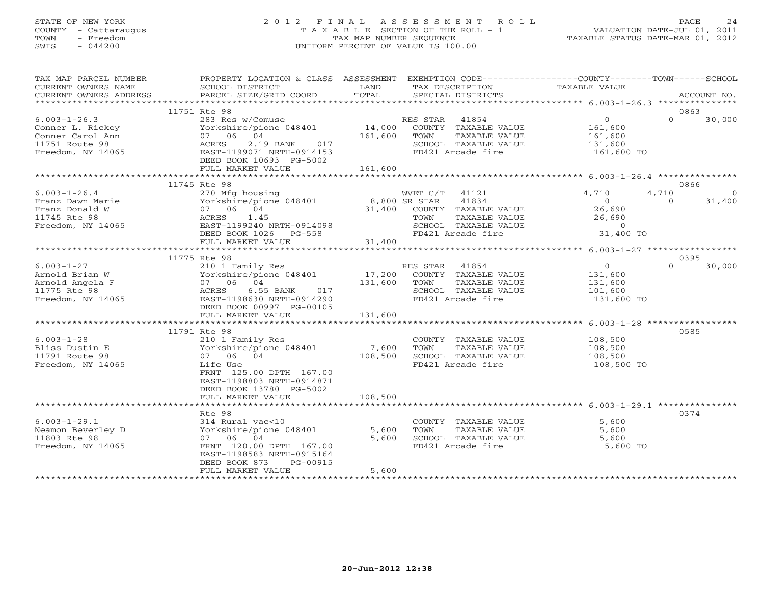## STATE OF NEW YORK 2 0 1 2 F I N A L A S S E S S M E N T R O L L PAGE 24 COUNTY - Cattaraugus T A X A B L E SECTION OF THE ROLL - 1 VALUATION DATE-JUL 01, 2011 TOWN - Freedom TAX MAP NUMBER SEQUENCE TAXABLE STATUS DATE-MAR 01, 2012 SWIS - 044200 UNIFORM PERCENT OF VALUE IS 100.00UNIFORM PERCENT OF VALUE IS 100.00

| TAX MAP PARCEL NUMBER<br>CURRENT OWNERS NAME<br>CURRENT OWNERS ADDRESS                                                                                                                                                                                                                                                        | PROPERTY LOCATION & CLASS ASSESSMENT EXEMPTION CODE---------------COUNTY-------TOWN------SCHOOL<br>SCHOOL DISTRICT<br><b>Example 12 TEAND</b><br>PARCEL SIZE/GRID COORD                                                               | TOTAL                   | TAX DESCRIPTION<br>SPECIAL DISTRICTS                                                                                                                                                                    | TAXABLE VALUE                                                 | ACCOUNT NO.                                    |
|-------------------------------------------------------------------------------------------------------------------------------------------------------------------------------------------------------------------------------------------------------------------------------------------------------------------------------|---------------------------------------------------------------------------------------------------------------------------------------------------------------------------------------------------------------------------------------|-------------------------|---------------------------------------------------------------------------------------------------------------------------------------------------------------------------------------------------------|---------------------------------------------------------------|------------------------------------------------|
|                                                                                                                                                                                                                                                                                                                               |                                                                                                                                                                                                                                       |                         |                                                                                                                                                                                                         |                                                               |                                                |
|                                                                                                                                                                                                                                                                                                                               | 11751 Rte 98                                                                                                                                                                                                                          |                         |                                                                                                                                                                                                         |                                                               | 0863                                           |
| $6.003 - 1 - 26.3$<br>Conner L. Rickey $\begin{array}{lllllllllllllllllll} \text{Connect L. Rickey} & \text{Yorkshire/pione 048401} \\ \text{Connect Carol Ann} & 07 & 06 & 04 \\ 11751 \text{ Route 98} & \text{ACRES} & 2.19 \text{ BANK} & 017 \\ \text{Freedom, NY 14065} & \text{EAST-1199071 NRTH-0914153} \end{array}$ | 283 Res w/Comuse<br>Vorkshire/pione 048401 14,000 COUNTY TAXABLE VALUE<br>07 06 04 161,600 TOWN TAXABLE VALUE<br>2.19 BANK 017<br>DEED BOOK 10693 PG-5002                                                                             |                         | RES STAR 41854<br>SCHOOL TAXABLE VALUE<br>FD421 Arcade fire                                                                                                                                             | $\overline{0}$<br>161,600<br>161,600<br>131,600<br>161,600 TO | $\Omega$<br>30,000                             |
|                                                                                                                                                                                                                                                                                                                               | FULL MARKET VALUE                                                                                                                                                                                                                     | 161,600                 |                                                                                                                                                                                                         |                                                               |                                                |
|                                                                                                                                                                                                                                                                                                                               |                                                                                                                                                                                                                                       |                         |                                                                                                                                                                                                         |                                                               |                                                |
| $6.003 - 1 - 26.4$<br>Franz Dawn Marie<br>Franz Donald W<br>11745 Rte 98<br>Freedom, NY 14065                                                                                                                                                                                                                                 | 11745 Rte 98<br>270 Mfg housing<br>07 06 04 048401 07 06 048401 07 06 048401 07 06 048401 07 06 048401 07 06 048 07 05 05 07 07 06 04<br>ACRES 1.45<br>EAST-1199240 NRTH-0914098<br>DEED BOOK 1026 PG-558<br>FULL MARKET VALUE 31,400 |                         | WVET C/T 41121<br>41834<br>AN ADO COUNTY TAXABLE VALUE<br>TOWN TAXABLE VALUE<br>TAXABLE VALUE<br>SCHOOL TAXABLE VALUE $\begin{array}{ccc} & & & 0 \\ \text{FD421 Arcade fire} & & & 31,400 \end{array}$ | 4,710<br>$\sim$ 0<br>26,690<br>26,690                         | 0866<br>4,710<br>$\circ$<br>31,400<br>$\Omega$ |
|                                                                                                                                                                                                                                                                                                                               |                                                                                                                                                                                                                                       |                         |                                                                                                                                                                                                         |                                                               |                                                |
|                                                                                                                                                                                                                                                                                                                               | 11775 Rte 98                                                                                                                                                                                                                          |                         |                                                                                                                                                                                                         |                                                               | 0395                                           |
| $6.003 - 1 - 27$                                                                                                                                                                                                                                                                                                              | 210 1 Family Res                                                                                                                                                                                                                      |                         | RES STAR 41854                                                                                                                                                                                          | $\overline{0}$<br>131,600<br>131,600<br>101,600               | $\Omega$<br>30,000                             |
|                                                                                                                                                                                                                                                                                                                               | DEED BOOK 00997 PG-00105<br>FULL MARKET VALUE                                                                                                                                                                                         | 131,600                 |                                                                                                                                                                                                         | 131,600 TO                                                    |                                                |
|                                                                                                                                                                                                                                                                                                                               |                                                                                                                                                                                                                                       |                         |                                                                                                                                                                                                         |                                                               |                                                |
| $6.003 - 1 - 28$<br>Bliss Dustin E<br>11791 Route 98<br>Freedom, NY 14065                                                                                                                                                                                                                                                     | 11791 Rte 98<br>210 1 Family Res<br>Yorkshire/pione 048401 7,600<br>$07$ $06$ $04$<br>Life Use<br>FRNT 125.00 DPTH 167.00<br>EAST-1198803 NRTH-0914871<br>DEED BOOK 13780 PG-5002                                                     | 108,500                 | COUNTY TAXABLE VALUE<br>TAXABLE VALUE<br>TOWN<br>SCHOOL TAXABLE VALUE<br>FD421 Arcade fire                                                                                                              | 108,500<br>108,500<br>108,500<br>108,500 TO                   | 0585                                           |
|                                                                                                                                                                                                                                                                                                                               | FULL MARKET VALUE                                                                                                                                                                                                                     | 108,500                 |                                                                                                                                                                                                         |                                                               |                                                |
|                                                                                                                                                                                                                                                                                                                               | Rte 98                                                                                                                                                                                                                                |                         |                                                                                                                                                                                                         |                                                               | 0374                                           |
| $6.003 - 1 - 29.1$<br>Neamon Beverley D<br>11803 Rte 98<br>Freedom, NY 14065                                                                                                                                                                                                                                                  | 314 Rural vac<10<br>Yorkshire/pione 048401<br>07 06 04<br>FRNT 120.00 DPTH 167.00<br>EAST-1198583 NRTH-0915164<br>DEED BOOK 873<br>PG-00915<br>FULL MARKET VALUE                                                                      | 5,600<br>5,600<br>5,600 | COUNTY TAXABLE VALUE<br>TOWN<br>TAXABLE VALUE<br>SCHOOL TAXABLE VALUE<br>FD421 Arcade fire                                                                                                              | 5,600<br>5,600<br>5,600<br>5,600 TO                           |                                                |
| **************************                                                                                                                                                                                                                                                                                                    |                                                                                                                                                                                                                                       |                         |                                                                                                                                                                                                         |                                                               |                                                |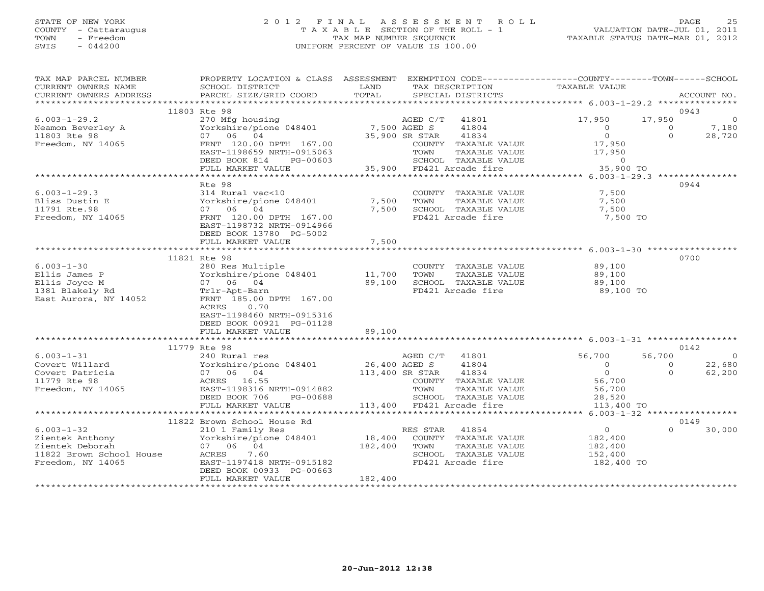# STATE OF NEW YORK 2 0 1 2 F I N A L A S S E S S M E N T R O L L PAGE 25 COUNTY - Cattaraugus T A X A B L E SECTION OF THE ROLL - 1 VALUATION DATE-JUL 01, 2011 TOWN - Freedom TAX MAP NUMBER SEQUENCE TAXABLE STATUS DATE-MAR 01, 2012 SWIS - 044200 UNIFORM PERCENT OF VALUE IS 100.00UNIFORM PERCENT OF VALUE IS 100.00

| TAX MAP PARCEL NUMBER                                                                                                                                                                                                                               | PROPERTY LOCATION & CLASS ASSESSMENT EXEMPTION CODE----------------COUNTY-------TOWN------SCHOOL                                                                                                                                       |                               |                   |                                                                                                                                                         |          |                                                                                      |
|-----------------------------------------------------------------------------------------------------------------------------------------------------------------------------------------------------------------------------------------------------|----------------------------------------------------------------------------------------------------------------------------------------------------------------------------------------------------------------------------------------|-------------------------------|-------------------|---------------------------------------------------------------------------------------------------------------------------------------------------------|----------|--------------------------------------------------------------------------------------|
| CURRENT OWNERS NAME                                                                                                                                                                                                                                 | SCHOOL DISTRICT<br><b>EXAMPLE STATE STATE</b>                                                                                                                                                                                          |                               |                   | TAX DESCRIPTION TAXABLE VALUE                                                                                                                           |          |                                                                                      |
|                                                                                                                                                                                                                                                     |                                                                                                                                                                                                                                        |                               |                   |                                                                                                                                                         |          |                                                                                      |
|                                                                                                                                                                                                                                                     | 11803 Rte 98                                                                                                                                                                                                                           |                               |                   |                                                                                                                                                         |          | 0943                                                                                 |
| $6.003 - 1 - 29.2$                                                                                                                                                                                                                                  | XCED C/T 41801 17,950 17,950 17,950<br>Yorkshire/pione 048401 7,500 AGED S 41804 0 0<br>TRNT 120.00 DPTH 167.00 35,900 SR STAR 41834 0 0<br>FRNT 120.00 DPTH 167.00 COUNTY TAXABLE VALUE 17,950 0<br>EAST-1198659 NRTH-0915063 TOWN TA |                               |                   |                                                                                                                                                         |          | $\overline{0}$                                                                       |
| Neamon Beverley A                                                                                                                                                                                                                                   |                                                                                                                                                                                                                                        |                               |                   |                                                                                                                                                         |          | $\begin{array}{ccc} 17,950 & & & 0 \\ & 0 & & 7,180 \\ & & 0 & & 28,720 \end{array}$ |
| 11803 Rte 98                                                                                                                                                                                                                                        |                                                                                                                                                                                                                                        |                               |                   |                                                                                                                                                         |          |                                                                                      |
| Freedom, NY 14065                                                                                                                                                                                                                                   |                                                                                                                                                                                                                                        |                               |                   |                                                                                                                                                         |          |                                                                                      |
|                                                                                                                                                                                                                                                     |                                                                                                                                                                                                                                        |                               |                   |                                                                                                                                                         |          |                                                                                      |
|                                                                                                                                                                                                                                                     |                                                                                                                                                                                                                                        |                               |                   |                                                                                                                                                         |          |                                                                                      |
|                                                                                                                                                                                                                                                     |                                                                                                                                                                                                                                        |                               |                   |                                                                                                                                                         |          |                                                                                      |
|                                                                                                                                                                                                                                                     |                                                                                                                                                                                                                                        |                               |                   |                                                                                                                                                         |          |                                                                                      |
|                                                                                                                                                                                                                                                     | Rte 98                                                                                                                                                                                                                                 |                               |                   |                                                                                                                                                         |          | 0944                                                                                 |
| $6.003 - 1 - 29.3$                                                                                                                                                                                                                                  | 314 Rural vac<10<br>314 Rural va<br>Yorkshire/pic<br>07 06 04<br>FRNT 100                                                                                                                                                              |                               |                   | COUNTY TAXABLE VALUE 7,500<br>TOWN TAXABLE VALUE 7,500<br>SCHOOL TAXABLE VALUE 7,500                                                                    |          |                                                                                      |
| Bliss Dustin E<br>11791 Rte.98                                                                                                                                                                                                                      |                                                                                                                                                                                                                                        | $7,500$ TOWN<br>$7.500$ COUQC |                   |                                                                                                                                                         |          |                                                                                      |
|                                                                                                                                                                                                                                                     |                                                                                                                                                                                                                                        | 7,500                         |                   |                                                                                                                                                         |          |                                                                                      |
| Freedom, NY 14065                                                                                                                                                                                                                                   | FRNT 120.00 DPTH 167.00                                                                                                                                                                                                                |                               | FD421 Arcade fire | 7,500 TO                                                                                                                                                |          |                                                                                      |
|                                                                                                                                                                                                                                                     | EAST-1198732 NRTH-0914966                                                                                                                                                                                                              |                               |                   |                                                                                                                                                         |          |                                                                                      |
|                                                                                                                                                                                                                                                     | DEED BOOK 13780 PG-5002<br>FULL MARKET VALUE                                                                                                                                                                                           | 7,500                         |                   |                                                                                                                                                         |          |                                                                                      |
|                                                                                                                                                                                                                                                     |                                                                                                                                                                                                                                        |                               |                   |                                                                                                                                                         |          |                                                                                      |
|                                                                                                                                                                                                                                                     | 11821 Rte 98                                                                                                                                                                                                                           |                               |                   |                                                                                                                                                         |          | 0700                                                                                 |
|                                                                                                                                                                                                                                                     |                                                                                                                                                                                                                                        |                               |                   | COUNTY TAXABLE VALUE 89,100                                                                                                                             |          |                                                                                      |
|                                                                                                                                                                                                                                                     |                                                                                                                                                                                                                                        |                               |                   |                                                                                                                                                         |          |                                                                                      |
| 6.003-1-30<br>Ellis James P<br>Ellis Joyce M<br>Ellis Joyce M<br>11,700<br>1381 Blakely Rd<br>East Aurora, NY 14052<br>ERNT 185.00 DPTH 167.00                                                                                                      |                                                                                                                                                                                                                                        |                               |                   |                                                                                                                                                         |          |                                                                                      |
|                                                                                                                                                                                                                                                     |                                                                                                                                                                                                                                        |                               |                   | FD421 Arcade fire 39,100 TO                                                                                                                             |          |                                                                                      |
|                                                                                                                                                                                                                                                     |                                                                                                                                                                                                                                        |                               |                   |                                                                                                                                                         |          |                                                                                      |
|                                                                                                                                                                                                                                                     | ACRES 0.70                                                                                                                                                                                                                             |                               |                   |                                                                                                                                                         |          |                                                                                      |
|                                                                                                                                                                                                                                                     | EAST-1198460 NRTH-0915316                                                                                                                                                                                                              |                               |                   |                                                                                                                                                         |          |                                                                                      |
|                                                                                                                                                                                                                                                     | DEED BOOK 00921 PG-01128                                                                                                                                                                                                               |                               |                   |                                                                                                                                                         |          |                                                                                      |
|                                                                                                                                                                                                                                                     | FULL MARKET VALUE                                                                                                                                                                                                                      | 89,100                        |                   |                                                                                                                                                         |          |                                                                                      |
|                                                                                                                                                                                                                                                     |                                                                                                                                                                                                                                        |                               |                   |                                                                                                                                                         |          |                                                                                      |
|                                                                                                                                                                                                                                                     | 11779 Rte 98<br>1100 000<br>240 Rural res                                                                                                                                                                                              |                               |                   |                                                                                                                                                         |          | 0142                                                                                 |
| $6.003 - 1 - 31$                                                                                                                                                                                                                                    |                                                                                                                                                                                                                                        |                               |                   | AGED C/T 41801 56,700                                                                                                                                   | 56,700   | $\overline{a}$                                                                       |
|                                                                                                                                                                                                                                                     |                                                                                                                                                                                                                                        |                               |                   | $\begin{array}{ccc} & & 0 & & 0 \\ & & 0 & & 0 \\ & & & 0 & & \end{array}$                                                                              |          | 22,680                                                                               |
| 0.003-1-31<br>Covert Willard Morkshire/pione 048401<br>Covert Patricia (1804<br>Covert Patricia (1804<br>26,400 AGED S 41804<br>26,400 AGED S 41804<br>26,400 AGED S 41804<br>26,400 AGED S 41804<br>26,400 AGED S 41804<br>26,400 AGED S 41804<br> |                                                                                                                                                                                                                                        |                               |                   |                                                                                                                                                         |          | 62,200                                                                               |
|                                                                                                                                                                                                                                                     |                                                                                                                                                                                                                                        |                               |                   | COUNTY TAXABLE VALUE 56,700<br>9914882 TOWN TAXABLE VALUE 56,700<br>3-00688 SCHOOL TAXABLE VALUE 28,520<br>113,400 FD421 Arcade fire 113,400<br>113,400 |          |                                                                                      |
|                                                                                                                                                                                                                                                     | PG-00688<br>DEED BOOK 706                                                                                                                                                                                                              |                               |                   |                                                                                                                                                         |          |                                                                                      |
|                                                                                                                                                                                                                                                     | FULL MARKET VALUE                                                                                                                                                                                                                      |                               |                   | 113,400 TO                                                                                                                                              |          |                                                                                      |
|                                                                                                                                                                                                                                                     |                                                                                                                                                                                                                                        |                               |                   |                                                                                                                                                         |          |                                                                                      |
|                                                                                                                                                                                                                                                     |                                                                                                                                                                                                                                        |                               |                   |                                                                                                                                                         |          | 0149                                                                                 |
|                                                                                                                                                                                                                                                     |                                                                                                                                                                                                                                        |                               |                   |                                                                                                                                                         | $\Omega$ | 30,000                                                                               |
|                                                                                                                                                                                                                                                     |                                                                                                                                                                                                                                        |                               |                   |                                                                                                                                                         |          |                                                                                      |
|                                                                                                                                                                                                                                                     |                                                                                                                                                                                                                                        |                               |                   |                                                                                                                                                         |          |                                                                                      |
|                                                                                                                                                                                                                                                     |                                                                                                                                                                                                                                        |                               |                   |                                                                                                                                                         |          |                                                                                      |
|                                                                                                                                                                                                                                                     |                                                                                                                                                                                                                                        |                               |                   | 182,400 TO                                                                                                                                              |          |                                                                                      |
|                                                                                                                                                                                                                                                     |                                                                                                                                                                                                                                        |                               |                   |                                                                                                                                                         |          |                                                                                      |
|                                                                                                                                                                                                                                                     | FULL MARKET VALUE                                                                                                                                                                                                                      | 182,400                       |                   |                                                                                                                                                         |          |                                                                                      |
|                                                                                                                                                                                                                                                     |                                                                                                                                                                                                                                        |                               |                   |                                                                                                                                                         |          |                                                                                      |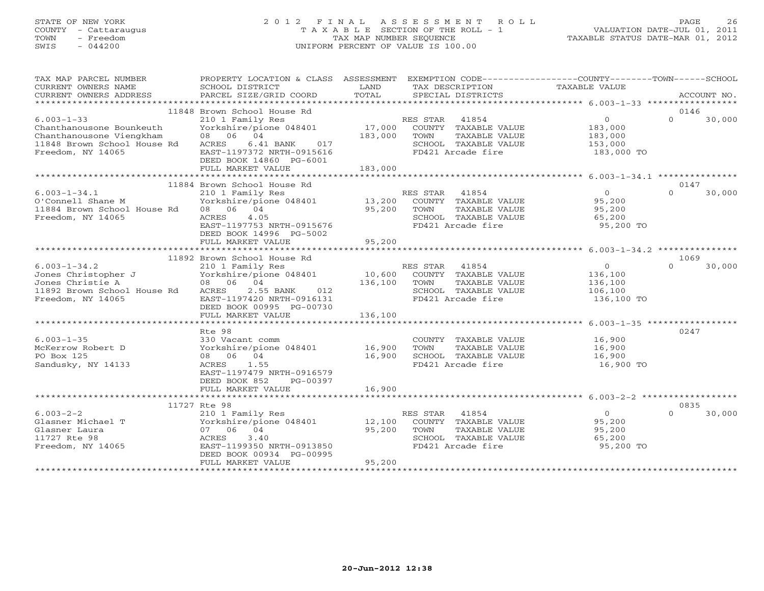# STATE OF NEW YORK 2 0 1 2 F I N A L A S S E S S M E N T R O L L PAGE 26 COUNTY - Cattaraugus T A X A B L E SECTION OF THE ROLL - 1 VALUATION DATE-JUL 01, 2011 TOWN - Freedom TAX MAP NUMBER SEQUENCE TAXABLE STATUS DATE-MAR 01, 2012 SWIS - 044200 UNIFORM PERCENT OF VALUE IS 100.00UNIFORM PERCENT OF VALUE IS 100.00

| TAX MAP PARCEL NUMBER<br>CURRENT OWNERS NAME<br>CURRENT OWNERS ADDRESS                                                       | PROPERTY LOCATION & CLASS ASSESSMENT EXEMPTION CODE---------------COUNTY-------TOWN-----SCHOOL<br>SCHOOL DISTRICT<br>PARCEL SIZE/GRID COORD                                                                | LAND<br>TOTAL           | TAX DESCRIPTION<br>SPECIAL DISTRICTS                                                                            | TAXABLE VALUE                                                 | ACCOUNT NO.                |
|------------------------------------------------------------------------------------------------------------------------------|------------------------------------------------------------------------------------------------------------------------------------------------------------------------------------------------------------|-------------------------|-----------------------------------------------------------------------------------------------------------------|---------------------------------------------------------------|----------------------------|
|                                                                                                                              |                                                                                                                                                                                                            |                         |                                                                                                                 |                                                               |                            |
| $6.003 - 1 - 33$<br>Chanthanousone Bounkeuth<br>Chanthanousone Viengkham<br>11848 Brown School House Rd<br>Freedom, NY 14065 | 11848 Brown School House Rd<br>210 1 Family Res<br>Yorkshire/pione 048401 17,000<br>08 06 04<br>6.41 BANK<br>ACRES<br>017<br>EAST-1197372 NRTH-0915616<br>DEED BOOK 14860 PG-6001<br>FULL MARKET VALUE     | 183,000 TOWN<br>183,000 | RES STAR 41854<br>COUNTY TAXABLE VALUE<br>TAXABLE VALUE<br>SCHOOL TAXABLE VALUE<br>FD421 Arcade fire            | $\overline{0}$<br>183,000<br>183,000<br>153,000<br>183,000 TO | 0146<br>$\Omega$<br>30,000 |
|                                                                                                                              | 11884 Brown School House Rd                                                                                                                                                                                |                         |                                                                                                                 |                                                               | 0147                       |
| $6.003 - 1 - 34.1$<br>O'Connell Shane M<br>11884 Brown School House Rd 08 06 04<br>Freedom, NY 14065                         | 210 1 Family Res<br>Yorkshire/pione 048401 13,200<br>4.05<br>ACRES<br>EAST-1197753 NRTH-0915676<br>DEED BOOK 14996 PG-5002<br>FULL MARKET VALUE                                                            | 95,200<br>95,200        | RES STAR 41854<br>COUNTY TAXABLE VALUE<br>TOWN<br>TAXABLE VALUE<br>SCHOOL TAXABLE VALUE<br>FD421 Arcade fire    | $\bigcirc$<br>95,200<br>95,200<br>65,200<br>95,200 TO         | $\Omega$<br>30,000         |
|                                                                                                                              |                                                                                                                                                                                                            |                         |                                                                                                                 |                                                               |                            |
|                                                                                                                              | 11892 Brown School House Rd                                                                                                                                                                                |                         |                                                                                                                 |                                                               | 1069                       |
| $6.003 - 1 - 34.2$<br>Jones Christopher J<br>Jones Christie A<br>11892 Brown School House Rd<br>Freedom, NY 14065            | 210 1 Family Res (1994)<br>Yorkshire/pione 048401 10,600 COUNTY TAXABLE VALUE<br>136,100 TOWN TAXABLE VALUE<br>08 06 04<br>ACRES<br>2.55 BANK 012<br>EAST-1197420 NRTH-0916131<br>DEED BOOK 00995 PG-00730 | 136,100                 | TAXABLE VALUE<br>SCHOOL TAXABLE VALUE<br>FD421 Arcade fire                                                      | $\overline{0}$<br>136,100<br>136,100<br>106,100<br>136,100 TO | 30,000<br>$\cap$           |
|                                                                                                                              | FULL MARKET VALUE                                                                                                                                                                                          | 136,100                 |                                                                                                                 |                                                               |                            |
|                                                                                                                              |                                                                                                                                                                                                            |                         |                                                                                                                 |                                                               |                            |
| $6.003 - 1 - 35$<br>McKerrow Robert D<br>PO Box 125<br>Sandusky, NY 14133                                                    | Rte 98<br>330 Vacant comm<br>Yorkshire/pione 048401 16,900<br>08 06 04<br>ACRES<br>1.55<br>EAST-1197479 NRTH-0916579<br>DEED BOOK 852<br>PG-00397                                                          | 16,900                  | COUNTY TAXABLE VALUE<br>TAXABLE VALUE<br>TOWN<br>SCHOOL TAXABLE VALUE<br>FD421 Arcade fire                      | 16,900<br>16,900<br>16,900<br>16,900 TO                       | 0247                       |
|                                                                                                                              | FULL MARKET VALUE                                                                                                                                                                                          | 16,900                  |                                                                                                                 |                                                               |                            |
|                                                                                                                              | 11727 Rte 98                                                                                                                                                                                               |                         |                                                                                                                 |                                                               | 0835                       |
| $6.003 - 2 - 2$<br>Glasner Michael T<br>Glasner Laura<br>11727 Rte 98<br>Freedom, NY 14065                                   | 210 1 Family Res<br>Yorkshire/pione 048401 12,100<br>07 06 04<br><b>ACRES</b><br>3.40<br>EAST-1199350 NRTH-0913850<br>DEED BOOK 00934 PG-00995<br>FULL MARKET VALUE                                        | 95,200<br>95,200        | RES STAR<br>41854<br>COUNTY TAXABLE VALUE<br>TAXABLE VALUE<br>TOWN<br>SCHOOL TAXABLE VALUE<br>FD421 Arcade fire | $\overline{0}$<br>95,200<br>95,200<br>65,200<br>95,200 TO     | $\Omega$<br>30,000         |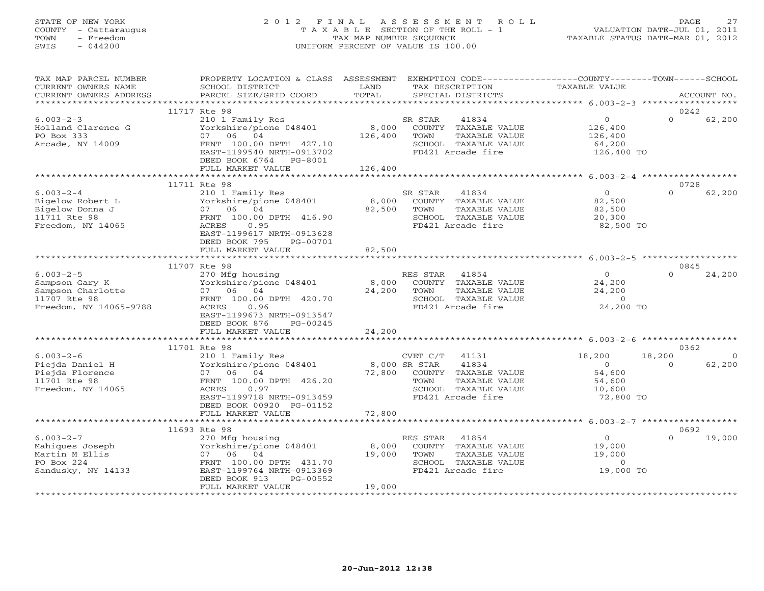# STATE OF NEW YORK 2 0 1 2 F I N A L A S S E S S M E N T R O L L PAGE 27 COUNTY - Cattaraugus T A X A B L E SECTION OF THE ROLL - 1 VALUATION DATE-JUL 01, 2011 TOWN - Freedom TAX MAP NUMBER SEQUENCE TAXABLE STATUS DATE-MAR 01, 2012 SWIS - 044200 UNIFORM PERCENT OF VALUE IS 100.00UNIFORM PERCENT OF VALUE IS 100.00

| TAX MAP PARCEL NUMBER<br>CURRENT OWNERS NAME<br>CURRENT OWNERS ADDRESS                           | PROPERTY LOCATION & CLASS ASSESSMENT<br>SCHOOL DISTRICT<br>PARCEL SIZE/GRID COORD                                                                                                                   | LAND<br>TOTAL                     | EXEMPTION CODE----------------COUNTY-------TOWN------SCHOOL<br>TAX DESCRIPTION<br>SPECIAL DISTRICTS                      | TAXABLE VALUE                                                 |                            | ACCOUNT NO.        |
|--------------------------------------------------------------------------------------------------|-----------------------------------------------------------------------------------------------------------------------------------------------------------------------------------------------------|-----------------------------------|--------------------------------------------------------------------------------------------------------------------------|---------------------------------------------------------------|----------------------------|--------------------|
|                                                                                                  |                                                                                                                                                                                                     |                                   |                                                                                                                          |                                                               |                            |                    |
| $6.003 - 2 - 3$<br>Holland Clarence G<br>PO Box 333<br>Arcade, NY 14009                          | 11717 Rte 98<br>210 1 Family Res<br>Yorkshire/pione 048401<br>06 04<br>07<br>FRNT 100.00 DPTH 427.10<br>EAST-1199540 NRTH-0913702<br>DEED BOOK 6764 PG-8001<br>FULL MARKET VALUE                    | 8,000<br>126,400<br>126,400       | SR STAR<br>41834<br>COUNTY TAXABLE VALUE<br>TOWN<br>TAXABLE VALUE<br>SCHOOL TAXABLE VALUE<br>FD421 Arcade fire           | $\circ$<br>126,400<br>126,400<br>64,200<br>126,400 TO         | 0242<br>$\Omega$           | 62,200             |
|                                                                                                  |                                                                                                                                                                                                     |                                   |                                                                                                                          |                                                               |                            |                    |
| $6.003 - 2 - 4$<br>Bigelow Robert L<br>Bigelow Donna J<br>11711 Rte 98<br>Freedom, NY 14065      | 11711 Rte 98<br>210 1 Family Res<br>Yorkshire/pione 048401<br>07 06 04<br>FRNT 100.00 DPTH 416.90<br>ACRES<br>0.95<br>EAST-1199617 NRTH-0913628<br>DEED BOOK 795<br>PG-00701                        | 8,000<br>82,500                   | SR STAR<br>41834<br>COUNTY TAXABLE VALUE<br>TOWN<br>TAXABLE VALUE<br>SCHOOL TAXABLE VALUE<br>FD421 Arcade fire           | $\Omega$<br>82,500<br>82,500<br>20,300<br>82,500 TO           | 0728<br>$\Omega$           | 62,200             |
|                                                                                                  | FULL MARKET VALUE                                                                                                                                                                                   | 82,500                            |                                                                                                                          |                                                               |                            |                    |
|                                                                                                  | 11707 Rte 98                                                                                                                                                                                        |                                   |                                                                                                                          |                                                               | 0845                       |                    |
| $6.003 - 2 - 5$<br>Sampson Gary K<br>Sampson Charlotte<br>11707 Rte 98<br>Freedom, NY 14065-9788 | 270 Mfg housing<br>Yorkshire/pione 048401<br>07 06 04<br>FRNT 100.00 DPTH 420.70<br>0.96<br>ACRES<br>EAST-1199673 NRTH-0913547<br>DEED BOOK 876<br>PG-00245                                         | 8,000<br>24,200                   | RES STAR<br>41854<br>COUNTY TAXABLE VALUE<br>TOWN<br>TAXABLE VALUE<br>SCHOOL TAXABLE VALUE<br>FD421 Arcade fire          | $\Omega$<br>24,200<br>24,200<br>$\overline{0}$<br>24,200 TO   | $\Omega$                   | 24,200             |
|                                                                                                  | FULL MARKET VALUE                                                                                                                                                                                   | 24,200                            |                                                                                                                          |                                                               |                            |                    |
|                                                                                                  |                                                                                                                                                                                                     | ************                      | ******************************** 6.003-2-6 *******************                                                           |                                                               |                            |                    |
| $6.003 - 2 - 6$<br>Piejda Daniel H<br>Piejda Florence<br>11701 Rte 98<br>Freedom, NY 14065       | 11701 Rte 98<br>210 1 Family Res<br>Yorkshire/pione 048401<br>06 04<br>07<br>FRNT 100.00 DPTH 426.20<br>ACRES<br>0.97<br>EAST-1199718 NRTH-0913459<br>DEED BOOK 00920 PG-01152<br>FULL MARKET VALUE | 8,000 SR STAR<br>72,800<br>72,800 | CVET C/T<br>41131<br>41834<br>COUNTY TAXABLE VALUE<br>TAXABLE VALUE<br>TOWN<br>SCHOOL TAXABLE VALUE<br>FD421 Arcade fire | 18,200<br>$\Omega$<br>54,600<br>54,600<br>10,600<br>72,800 TO | 0362<br>18,200<br>$\Omega$ | $\Omega$<br>62,200 |
|                                                                                                  |                                                                                                                                                                                                     |                                   |                                                                                                                          |                                                               |                            |                    |
|                                                                                                  | 11693 Rte 98                                                                                                                                                                                        |                                   |                                                                                                                          |                                                               | 0692                       |                    |
| $6.003 - 2 - 7$<br>Mahiques Joseph<br>Martin M Ellis<br>PO Box 224<br>Sandusky, NY 14133         | 270 Mfg housing<br>Yorkshire/pione 048401<br>04<br>07<br>06<br>FRNT 100.00 DPTH 431.70<br>EAST-1199764 NRTH-0913369<br>DEED BOOK 913<br>PG-00552                                                    | 8,000<br>19,000                   | RES STAR 41854<br>COUNTY TAXABLE VALUE<br>TOWN<br>TAXABLE VALUE<br>SCHOOL TAXABLE VALUE<br>FD421 Arcade fire             | $\overline{0}$<br>19,000<br>19,000<br>$\circ$<br>19,000 TO    | $\Omega$                   | 19,000             |
|                                                                                                  | FULL MARKET VALUE                                                                                                                                                                                   | 19,000                            |                                                                                                                          |                                                               |                            |                    |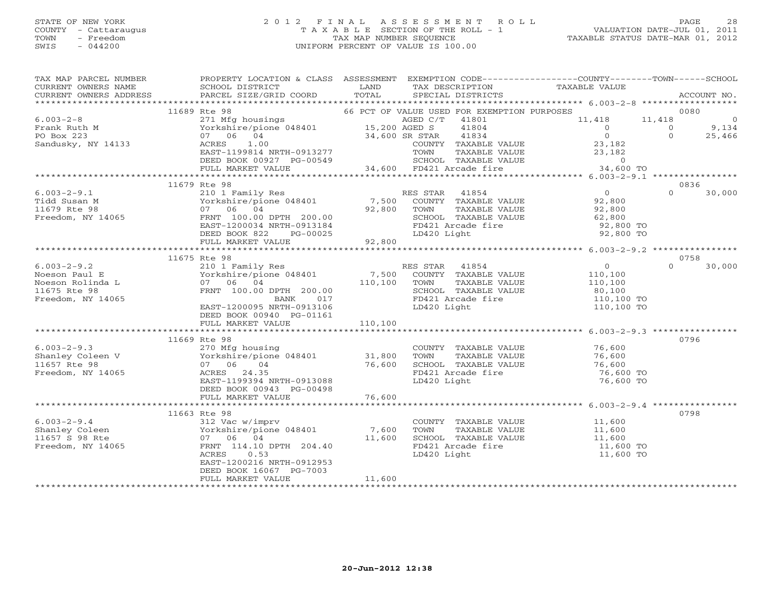#### STATE OF NEW YORK 2 0 1 2 F I N A L A S S E S S M E N T R O L L PAGE 28 COUNTY - Cattaraugus T A X A B L E SECTION OF THE ROLL - 1 VALUATION DATE-JUL 01, 2011 TOWN - Freedom TAX MAP NUMBER SEQUENCE TAXABLE STATUS DATE-MAR 01, 2012 SWIS - 044200 UNIFORM PERCENT OF VALUE IS 100.00UNIFORM PERCENT OF VALUE IS 100.00

| TAX MAP PARCEL NUMBER<br>CURRENT OWNERS NAME<br>CURRENT OWNERS ADDRESS | PROPERTY LOCATION & CLASS ASSESSMENT<br>SCHOOL DISTRICT<br>PARCEL SIZE/GRID COORD        | LAND<br>TOTAL   | TAX DESCRIPTION<br>SPECIAL DISTRICTS                     | EXEMPTION CODE-----------------COUNTY-------TOWN------SCHOOL<br>TAXABLE VALUE |                | ACCOUNT NO.    |
|------------------------------------------------------------------------|------------------------------------------------------------------------------------------|-----------------|----------------------------------------------------------|-------------------------------------------------------------------------------|----------------|----------------|
|                                                                        |                                                                                          |                 |                                                          |                                                                               |                |                |
|                                                                        | 11689 Rte 98                                                                             |                 | 66 PCT OF VALUE USED FOR EXEMPTION PURPOSES              |                                                                               |                | 0080           |
| $6.003 - 2 - 8$                                                        |                                                                                          |                 | AGED C/T 41801                                           | 11,418                                                                        | 11,418         | $\overline{0}$ |
| Frank Ruth M                                                           | 271 Mfg housings<br>Yorkshire/pione 048401 15,200 AGED C/1<br>07 06 04 34 600 CP CF CF   |                 | 41804                                                    | $\overline{0}$                                                                | $\overline{0}$ | 9,134          |
| PO Box 223                                                             | 07 06 04                                                                                 | 34,600 SR STAR  | 41834                                                    | $\Omega$                                                                      | $\Omega$       | 25,466         |
| Sandusky, NY 14133                                                     | ACRES<br>1.00                                                                            |                 | COUNTY TAXABLE VALUE                                     | 23,182<br>23,182                                                              |                |                |
|                                                                        | EAST-1199814 NRTH-0913277                                                                |                 | TAXABLE VALUE<br>TOWN                                    |                                                                               |                |                |
|                                                                        | DEED BOOK 00927 PG-00549 SCHOOL TAXABLE VA<br>FULL MARKET VALUE 34,600 FD421 Arcade fire |                 | SCHOOL TAXABLE VALUE                                     | $\overline{0}$<br>34,600 TO                                                   |                |                |
|                                                                        |                                                                                          |                 |                                                          |                                                                               |                |                |
|                                                                        | 11679 Rte 98                                                                             |                 |                                                          |                                                                               |                | 0836           |
| $6.003 - 2 - 9.1$                                                      | 210 1 Family Res                                                                         |                 | RES STAR 41854                                           | $\overline{0}$                                                                | $\cap$         | 30,000         |
| Tidd Susan M                                                           |                                                                                          |                 |                                                          |                                                                               |                |                |
| 11679 Rte 98                                                           |                                                                                          |                 | COUNTY TAXABLE VALUE 92,800<br>TOWN TAXABLE VALUE 92,800 |                                                                               |                |                |
| Freedom, NY 14065                                                      |                                                                                          |                 | SCHOOL TAXABLE VALUE                                     | 62,800                                                                        |                |                |
|                                                                        |                                                                                          |                 | FD421 Arcade fire                                        | 92,800 TO                                                                     |                |                |
|                                                                        | DEED BOOK 822<br>PG-00025                                                                |                 | LD420 Light                                              | 92,800 TO                                                                     |                |                |
|                                                                        | FULL MARKET VALUE                                                                        | $-00025$ 92,800 |                                                          |                                                                               |                |                |
|                                                                        |                                                                                          |                 |                                                          |                                                                               |                |                |
|                                                                        | 11675 Rte 98                                                                             |                 |                                                          |                                                                               |                | 0758           |
| $6.003 - 2 - 9.2$                                                      | 210 1 Family Res                                                                         |                 | RES STAR 41854                                           | $\overline{0}$                                                                | $\Omega$       | 30,000         |
| Noeson Paul E                                                          | Yorkshire/pione 048401 7,500                                                             |                 | COUNTY TAXABLE VALUE                                     | 110,100                                                                       |                |                |
| Noeson Rolinda L                                                       | 07 06 04                                                                                 |                 | 110,100 TOWN<br>TAXABLE VALUE                            | 110,100                                                                       |                |                |
| 11675 Rte 98                                                           | FRNT 100.00 DPTH 200.00                                                                  |                 | SCHOOL TAXABLE VALUE                                     | 80,100                                                                        |                |                |
| Freedom, NY 14065                                                      | BANK 017                                                                                 |                 | FD421 Arcade fire                                        | 110,100 TO                                                                    |                |                |
|                                                                        | EAST-1200095 NRTH-0913106                                                                |                 | LD420 Light                                              | 110,100 TO                                                                    |                |                |
|                                                                        | DEED BOOK 00940 PG-01161                                                                 |                 |                                                          |                                                                               |                |                |
|                                                                        | FULL MARKET VALUE                                                                        | 110,100         |                                                          |                                                                               |                |                |
|                                                                        |                                                                                          |                 |                                                          |                                                                               |                |                |
|                                                                        | 11669 Rte 98                                                                             |                 |                                                          |                                                                               |                | 0796           |
| $6.003 - 2 - 9.3$                                                      | 270 Mfg housing                                                                          |                 | COUNTY TAXABLE VALUE                                     | 76,600                                                                        |                |                |
| Shanley Coleen $V$                                                     | Yorkshire/pione 048401 31,800<br>07 06 04 76,600                                         |                 | TAXABLE VALUE<br>TOWN                                    | 76,600                                                                        |                |                |
| 11657 Rte 98                                                           |                                                                                          |                 | SCHOOL TAXABLE VALUE                                     | 76,600                                                                        |                |                |
| Freedom, NY 14065                                                      | ACRES 24.35                                                                              |                 | FD421 Arcade fire                                        | 76,600 TO                                                                     |                |                |
|                                                                        | EAST-1199394 NRTH-0913088                                                                |                 | LD420 Light                                              | 76,600 TO                                                                     |                |                |
|                                                                        | DEED BOOK 00943 PG-00498                                                                 | 76,600          |                                                          |                                                                               |                |                |
|                                                                        | FULL MARKET VALUE                                                                        |                 |                                                          |                                                                               |                |                |
|                                                                        | 11663 Rte 98                                                                             |                 |                                                          |                                                                               |                | 0798           |
| $6.003 - 2 - 9.4$                                                      | 312 Vac w/imprv                                                                          |                 | COUNTY TAXABLE VALUE                                     | 11,600                                                                        |                |                |
| Shanley Coleen                                                         | Yorkshire/pione 048401                                                                   | 7,600           | TOWN<br>TAXABLE VALUE                                    |                                                                               |                |                |
| 11657 S 98 Rte                                                         | 07 06 04                                                                                 | 11,600          | SCHOOL TAXABLE VALUE                                     | 11,600<br>11,600                                                              |                |                |
| Freedom, NY 14065                                                      | FRNT 114.10 DPTH 204.40                                                                  |                 | FD421 Arcade fire                                        | 11,600 TO                                                                     |                |                |
|                                                                        | 0.53<br>ACRES                                                                            |                 | LD420 Light                                              | 11,600 TO                                                                     |                |                |
|                                                                        | EAST-1200216 NRTH-0912953                                                                |                 |                                                          |                                                                               |                |                |
|                                                                        | DEED BOOK 16067 PG-7003                                                                  |                 |                                                          |                                                                               |                |                |
|                                                                        | FULL MARKET VALUE                                                                        | 11,600          |                                                          |                                                                               |                |                |
|                                                                        |                                                                                          |                 |                                                          |                                                                               |                |                |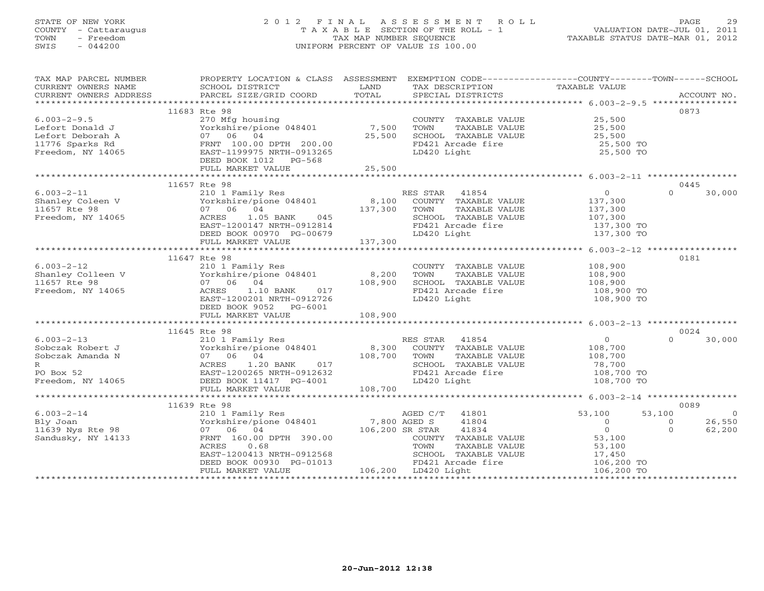# STATE OF NEW YORK 2 0 1 2 F I N A L A S S E S S M E N T R O L L PAGE 29 COUNTY - Cattaraugus T A X A B L E SECTION OF THE ROLL - 1 VALUATION DATE-JUL 01, 2011 TOWN - Freedom TAX MAP NUMBER SEQUENCE TAXABLE STATUS DATE-MAR 01, 2012 SWIS - 044200 UNIFORM PERCENT OF VALUE IS 100.00UNIFORM PERCENT OF VALUE IS 100.00

| TAX MAP PARCEL NUMBER                                                                                                                                                                                                                                       | PROPERTY LOCATION & CLASS ASSESSMENT EXEMPTION CODE---------------COUNTY-------TOWN------SCHOOL |                                         |                                                                  |                                  |                                      |
|-------------------------------------------------------------------------------------------------------------------------------------------------------------------------------------------------------------------------------------------------------------|-------------------------------------------------------------------------------------------------|-----------------------------------------|------------------------------------------------------------------|----------------------------------|--------------------------------------|
| CURRENT OWNERS NAME                                                                                                                                                                                                                                         | SCHOOL DISTRICT                                                                                 | LAND                                    | TAX DESCRIPTION                                                  | TAXABLE VALUE                    |                                      |
| .CURRENT OWNERS ADDRESS PARCEL SIZE/GRID COORD TOTAL SPECIAL DISTRICTS ACCOUNT NO ACCOUNT NO ACCOUNT NO ARE A LOCOUNT NO A LOCOUNT NO A LOCOUNT ASSESS AND A LOCOUNT ASSESS THAT A LOCOUNT A LOCOUNT A LOCOUNT AND A LOCOUNT A                              |                                                                                                 |                                         |                                                                  |                                  |                                      |
|                                                                                                                                                                                                                                                             | 11683 Rte 98                                                                                    |                                         |                                                                  |                                  | 0873                                 |
| $6.003 - 2 - 9.5$                                                                                                                                                                                                                                           | 270 Mfg housing                                                                                 |                                         | COUNTY TAXABLE VALUE 25,500                                      |                                  |                                      |
| Lefort Donald J                                                                                                                                                                                                                                             | Yorkshire/pione 048401                                                                          | 7,500                                   | TOWN<br>TAXABLE VALUE                                            | 25,500<br>25,500                 |                                      |
| Lefort Deborah A                                                                                                                                                                                                                                            | 07 06 04                                                                                        | 25,500                                  | SCHOOL TAXABLE VALUE                                             |                                  |                                      |
| 11776 Sparks Rd                                                                                                                                                                                                                                             | FRNT 100.00 DPTH 200.00                                                                         |                                         | FD421 Arcade fire                                                | 25,500 TO                        |                                      |
| Freedom, NY 14065                                                                                                                                                                                                                                           | EAST-1199975 NRTH-0913265                                                                       |                                         | LD420 Light                                                      | 25,500 TO                        |                                      |
|                                                                                                                                                                                                                                                             | DEED BOOK 1012 PG-568                                                                           |                                         |                                                                  |                                  |                                      |
|                                                                                                                                                                                                                                                             | FULL MARKET VALUE                                                                               | 25,500                                  |                                                                  |                                  |                                      |
|                                                                                                                                                                                                                                                             | 11657 Rte 98                                                                                    |                                         |                                                                  |                                  | 0445                                 |
| $6.003 - 2 - 11$                                                                                                                                                                                                                                            | 210 1 Family Res                                                                                |                                         | RES STAR 41854                                                   | $\overline{0}$                   | $\Omega$<br>30,000                   |
| $3 \times 100 - 2 = 11$<br>Shanley Coleen V (1997)<br>11657 Rte 98 (1998)<br>210 1 Family Res                                                                                                                                                               |                                                                                                 |                                         | COUNTY TAXABLE VALUE                                             | 137,300                          |                                      |
| 11657 Rte 98                                                                                                                                                                                                                                                | 07 06 04                                                                                        | 137,300                                 | TOWN<br>TAXABLE VALUE                                            | 137,300                          |                                      |
| Freedom, NY 14065                                                                                                                                                                                                                                           |                                                                                                 |                                         | SCHOOL TAXABLE VALUE                                             | 107,300                          |                                      |
|                                                                                                                                                                                                                                                             | EAST-1200147 NRTH-0912814                                                                       |                                         | FD421 Arcade fire                                                |                                  |                                      |
|                                                                                                                                                                                                                                                             | DEED BOOK 00970 $PG-00679$                                                                      |                                         | LD420 Light                                                      | 137,300 TO<br>137,300 TO         |                                      |
|                                                                                                                                                                                                                                                             | FULL MARKET VALUE                                                                               | 137,300                                 |                                                                  |                                  |                                      |
|                                                                                                                                                                                                                                                             |                                                                                                 |                                         |                                                                  |                                  |                                      |
|                                                                                                                                                                                                                                                             | 11647 Rte 98                                                                                    |                                         |                                                                  |                                  | 0181                                 |
| $6.003 - 2 - 12$                                                                                                                                                                                                                                            | 210 1 Family Res                                                                                |                                         | COUNTY TAXABLE VALUE 108,900                                     |                                  |                                      |
| Shanley Colleen V Yorkshire/pione 048401<br>11657 Rte 98 (1994)                                                                                                                                                                                             |                                                                                                 | 8,200<br>108,900                        | TOWN<br>TAXABLE VALUE                                            | 108,900                          |                                      |
|                                                                                                                                                                                                                                                             |                                                                                                 |                                         | SCHOOL TAXABLE VALUE                                             | 108,900                          |                                      |
| Freedom, NY 14065                                                                                                                                                                                                                                           |                                                                                                 |                                         | FD421 Arcade fire                                                | 108,900 TO                       |                                      |
|                                                                                                                                                                                                                                                             |                                                                                                 |                                         | LD420 Light                                                      | 108,900 TO                       |                                      |
|                                                                                                                                                                                                                                                             | DEED BOOK 9052 PG-6001                                                                          | 108,900                                 |                                                                  |                                  |                                      |
|                                                                                                                                                                                                                                                             | FULL MARKET VALUE                                                                               |                                         |                                                                  |                                  |                                      |
|                                                                                                                                                                                                                                                             | 11645 Rte 98                                                                                    |                                         |                                                                  |                                  | 0024                                 |
| $6.003 - 2 - 13$                                                                                                                                                                                                                                            | 210 1 Family Res                                                                                |                                         | RES STAR 41854                                                   | $\overline{0}$                   | 30,000<br>$\Omega$                   |
|                                                                                                                                                                                                                                                             |                                                                                                 |                                         |                                                                  | 108,700                          |                                      |
|                                                                                                                                                                                                                                                             |                                                                                                 |                                         | es<br>108,300 COUNTY TAXABLE VALUE<br>108,700 TOWN TAXABLE VALUE |                                  |                                      |
|                                                                                                                                                                                                                                                             |                                                                                                 |                                         | SCHOOL TAXABLE VALUE                                             | 108,700<br>78,700                |                                      |
|                                                                                                                                                                                                                                                             |                                                                                                 |                                         | FD421 Arcade fire                                                | 108,700 TO                       |                                      |
| 6.003-2-13<br>Sobczak Robert J<br>Sobczak Amanda N 107 06 04<br>R<br>PO Box 52<br>Freedom, NY 14065<br>PO Box 14065<br>PO Box 14065<br>PO Box 11417<br>PO Box 14065<br>PO BOX 11417<br>PO BOX 11417<br>PO BOX 11417<br>PO BOX 11417<br>PO BOX 11417<br>PO B |                                                                                                 | $017$<br>$2632$<br>$01$<br>$01$<br>$01$ | LD420 Light                                                      | 108,700 TO                       |                                      |
|                                                                                                                                                                                                                                                             | FULL MARKET VALUE                                                                               | 108,700                                 |                                                                  |                                  |                                      |
|                                                                                                                                                                                                                                                             |                                                                                                 |                                         |                                                                  |                                  |                                      |
|                                                                                                                                                                                                                                                             | 11639 Rte 98                                                                                    |                                         |                                                                  |                                  | 0089                                 |
| $6.003 - 2 - 14$                                                                                                                                                                                                                                            | 210 1 Family Res                                                                                |                                         | AGED C/T 41801                                                   | 53,100                           | 53,100<br>$\sim$ 0                   |
| Bly Joan<br>11639 Nys Rte 98                                                                                                                                                                                                                                | Yorkshire/pione 048401                                                                          | 7,800 AGED S<br>106,200 SR STAR         | 41804                                                            | $\overline{0}$<br>$\overline{0}$ | 26,550<br>$\overline{0}$<br>$\Omega$ |
| Sandusky, NY 14133                                                                                                                                                                                                                                          | 07 06 04                                                                                        |                                         | 41834<br>COUNTY TAXABLE VALUE                                    |                                  | 62,200                               |
|                                                                                                                                                                                                                                                             | FRNT 160.00 DPTH 390.00<br>ACRES<br>0.68                                                        |                                         | TAXABLE VALUE<br>TOWN                                            | 53,100<br>53,100                 |                                      |
|                                                                                                                                                                                                                                                             | EAST-1200413 NRTH-0912568                                                                       |                                         | SCHOOL TAXABLE VALUE                                             |                                  |                                      |
|                                                                                                                                                                                                                                                             | DEED BOOK 00930 PG-01013                                                                        |                                         | FD421 Arcade fire                                                | 17,450<br>106,200 TO             |                                      |
|                                                                                                                                                                                                                                                             | FULL MARKET VALUE                                                                               |                                         | 2006 SCHOOL IAA<br>1013 FD421 Arcade<br>106,200 LD420 Light      | 106,200 TO                       |                                      |
|                                                                                                                                                                                                                                                             |                                                                                                 |                                         |                                                                  |                                  |                                      |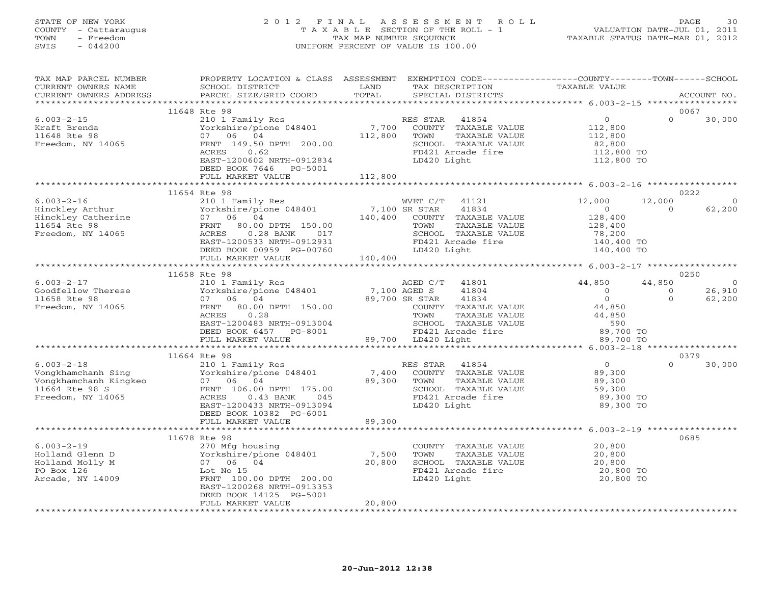#### STATE OF NEW YORK 2 0 1 2 F I N A L A S S E S S M E N T R O L L PAGE 30 COUNTY - Cattaraugus T A X A B L E SECTION OF THE ROLL - 1 VALUATION DATE-JUL 01, 2011 TOWN - Freedom TAX MAP NUMBER SEQUENCE TAXABLE STATUS DATE-MAR 01, 2012 SWIS - 044200 UNIFORM PERCENT OF VALUE IS 100.00UNIFORM PERCENT OF VALUE IS 100.00

| 11648 Rte 98<br>0067<br>$\overline{0}$<br>$\Omega$<br>$6.003 - 2 - 15$<br>210 1 Family Res<br>30,000<br>RES STAR 41854<br>Vorkshire/pione 048401 7,700 COUNTY TAXABLE VALUE 112,800<br>07 06 04 112,800 TOWN TAXABLE VALUE 112,800<br>Kraft Brenda<br>11648 Rte 98<br>07 06 04<br>FRNT 149.50 DPTH 200.00<br>Freedom, NY 14065<br>SCHOOL TAXABLE VALUE<br>FD421 Arcade fire<br>82,800<br>112,800 TO<br>0.62<br>ACRES<br>EAST-1200602 NRTH-0912834<br>LD420 Light<br>112,800 TO<br>DEED BOOK 7646 PG-5001<br>112,800<br>FULL MARKET VALUE<br>0222<br>11654 Rte 98<br>12,000<br>WVET C/T 41121<br>12,000<br>$\Omega$<br>$\begin{tabular}{lcccccc} 6.003-2-16 & 210 & 1 Family Res & WVET C/T & 41121\\ Hinckley Arthur & Yorkshire/pione 048401 & 7,100 SR STAR & 41834\\ Hinckley Catherine & 07 & 06 & 04 & 140,400 & COUNTY TAXABLE VALUE\\ 11654 Rte 98 & FRNT & 80.00 DPTH & 150.00 & TOWN & TAXABLE VALUE\\ 11654 Rte 98 & RRTR & 1200E 3017 & 80.01 & 1700523 NPM & 017 & 01031\\ Freedom, NY 1$<br>62,200<br>$\sim$ 0<br>$\overline{0}$<br>$128,400$<br>$128,400$<br>$78,200$<br>$140,400$ TO<br>SCHOOL TAXABLE VALUE<br>EAST-1200533 NRTH-0912931<br>DEED BOOK 00959 PG-00760<br>FULL MARKET VALUE 140,400<br>FD421 Arcade fire<br>LD420 Light<br>140,400 TO<br>0250<br>44,850<br>44,850<br>AGED C/T 41801<br>$\begin{array}{ccccccccc} 6.003-2-17 & & & & 11658 \text{ Kte } \text{y} \text{b} & & & & & & \text{AGED C/T} \\ 6.003-2-17 & & & & 210 1 Family \text{ Res} & & & & & \text{AGED C/T} \\ 11658 \text{ Rte } 98 & & & & 07 & 06 & 04 & & & 7,100 \text{ AGED S} \\ 11658 \text{ Rte } 98 & & & & 07 & 06 & 04 & & 89,700 \text{ SR STAR} \\ \text{Freadom, NY } 14065 & & & & & & & \text{$<br>$\overline{0}$<br>41804<br>26,910<br>$\overline{0}$<br>$\overline{0}$<br>$\Omega$<br>41834<br>$\Omega$<br>62,200<br>44,850<br>COUNTY TAXABLE VALUE<br>TOWN TAXABLE VALUE<br>SCHOOL TAXABLE VALUE<br>FD421 Arcade fire<br>LD420 Light<br>44,850<br>ACRES 0.20<br>EAST-1200483 NRTH-0913004 SCHOOL 1AAA<br>DEED BOOK 6457 PG-8001 PD421 Arcade<br>PLA20 Light 89,700 LD420 Light<br>590<br>89,700 TO<br>89,700 TO<br>11664 Rte 98<br>0379<br>$\begin{matrix}0\\89\end{matrix}$<br>$\Omega$<br>30,000<br>89,300<br>89,300<br>59,300<br>89,300 TO<br>89,300 TO<br>DEED BOOK 10382 PG-6001<br>89,300<br>FULL MARKET VALUE<br>0685<br>$6.003 - 2 - 19$<br>COUNTY TAXABLE VALUE 20,800<br>--- 0 Kte 98<br>270 Mfg housing<br>Yorkshire/pione 048401<br>07 06 04<br>Lot No 15<br>FRNT 100<br>7,500 contract the plone of 18401 7,500<br>07 06 04 20,800<br>Lot No 15 contract the contract of the primary space of the primary space of the primary space of the contract<br>FRNT 100 contract the primary space of the primary spac<br>Holland Glenn D<br>20,800<br>TOWN TAXABLE VALUE<br>SCHOOL TAXABLE VALUE<br>SCHOOL TAXABLE VALUE<br>20,800<br>20,800 TO<br>Holland Molly M<br>FD421 Arcade fire<br>PO Box 126<br>FRNT 100.00 DPTH 200.00<br>Arcade, NY 14009<br>LD420 Light<br>20,800 TO<br>EAST-1200268 NRTH-0913353<br>DEED BOOK 14125 PG-5001<br>20,800<br>FULL MARKET VALUE | TAX MAP PARCEL NUMBER<br>CURRENT OWNERS NAME<br>CURRENT OWNERS ADDRESS | PROPERTY LOCATION & CLASS ASSESSMENT EXEMPTION CODE---------------COUNTY-------TOWN------SCHOOL<br>SCHOOL DISTRICT<br>PARCEL SIZE/GRID COORD | LAND<br>TOTAL | TAX DESCRIPTION<br>SPECIAL DISTRICTS | <b>TAXABLE VALUE</b> | ACCOUNT NO. |
|----------------------------------------------------------------------------------------------------------------------------------------------------------------------------------------------------------------------------------------------------------------------------------------------------------------------------------------------------------------------------------------------------------------------------------------------------------------------------------------------------------------------------------------------------------------------------------------------------------------------------------------------------------------------------------------------------------------------------------------------------------------------------------------------------------------------------------------------------------------------------------------------------------------------------------------------------------------------------------------------------------------------------------------------------------------------------------------------------------------------------------------------------------------------------------------------------------------------------------------------------------------------------------------------------------------------------------------------------------------------------------------------------------------------------------------------------------------------------------------------------------------------------------------------------------------------------------------------------------------------------------------------------------------------------------------------------------------------------------------------------------------------------------------------------------------------------------------------------------------------------------------------------------------------------------------------------------------------------------------------------------------------------------------------------------------------------------------------------------------------------------------------------------------------------------------------------------------------------------------------------------------------------------------------------------------------------------------------------------------------------------------------------------------------------------------------------------------------------------------------------------------------------------------------------------------------------------------------------------------------------------------------------------------------------------------------------------------------------------------------------------------------------------------------------------------------------------------------------------------------------------------------------------------------------------------------------------------------------------------------------------------------------------------------------------------------------------------------------|------------------------------------------------------------------------|----------------------------------------------------------------------------------------------------------------------------------------------|---------------|--------------------------------------|----------------------|-------------|
|                                                                                                                                                                                                                                                                                                                                                                                                                                                                                                                                                                                                                                                                                                                                                                                                                                                                                                                                                                                                                                                                                                                                                                                                                                                                                                                                                                                                                                                                                                                                                                                                                                                                                                                                                                                                                                                                                                                                                                                                                                                                                                                                                                                                                                                                                                                                                                                                                                                                                                                                                                                                                                                                                                                                                                                                                                                                                                                                                                                                                                                                                                    |                                                                        |                                                                                                                                              |               |                                      |                      |             |
|                                                                                                                                                                                                                                                                                                                                                                                                                                                                                                                                                                                                                                                                                                                                                                                                                                                                                                                                                                                                                                                                                                                                                                                                                                                                                                                                                                                                                                                                                                                                                                                                                                                                                                                                                                                                                                                                                                                                                                                                                                                                                                                                                                                                                                                                                                                                                                                                                                                                                                                                                                                                                                                                                                                                                                                                                                                                                                                                                                                                                                                                                                    |                                                                        |                                                                                                                                              |               |                                      |                      |             |
|                                                                                                                                                                                                                                                                                                                                                                                                                                                                                                                                                                                                                                                                                                                                                                                                                                                                                                                                                                                                                                                                                                                                                                                                                                                                                                                                                                                                                                                                                                                                                                                                                                                                                                                                                                                                                                                                                                                                                                                                                                                                                                                                                                                                                                                                                                                                                                                                                                                                                                                                                                                                                                                                                                                                                                                                                                                                                                                                                                                                                                                                                                    |                                                                        |                                                                                                                                              |               |                                      |                      |             |
|                                                                                                                                                                                                                                                                                                                                                                                                                                                                                                                                                                                                                                                                                                                                                                                                                                                                                                                                                                                                                                                                                                                                                                                                                                                                                                                                                                                                                                                                                                                                                                                                                                                                                                                                                                                                                                                                                                                                                                                                                                                                                                                                                                                                                                                                                                                                                                                                                                                                                                                                                                                                                                                                                                                                                                                                                                                                                                                                                                                                                                                                                                    |                                                                        |                                                                                                                                              |               |                                      |                      |             |
|                                                                                                                                                                                                                                                                                                                                                                                                                                                                                                                                                                                                                                                                                                                                                                                                                                                                                                                                                                                                                                                                                                                                                                                                                                                                                                                                                                                                                                                                                                                                                                                                                                                                                                                                                                                                                                                                                                                                                                                                                                                                                                                                                                                                                                                                                                                                                                                                                                                                                                                                                                                                                                                                                                                                                                                                                                                                                                                                                                                                                                                                                                    |                                                                        |                                                                                                                                              |               |                                      |                      |             |
|                                                                                                                                                                                                                                                                                                                                                                                                                                                                                                                                                                                                                                                                                                                                                                                                                                                                                                                                                                                                                                                                                                                                                                                                                                                                                                                                                                                                                                                                                                                                                                                                                                                                                                                                                                                                                                                                                                                                                                                                                                                                                                                                                                                                                                                                                                                                                                                                                                                                                                                                                                                                                                                                                                                                                                                                                                                                                                                                                                                                                                                                                                    |                                                                        |                                                                                                                                              |               |                                      |                      |             |
|                                                                                                                                                                                                                                                                                                                                                                                                                                                                                                                                                                                                                                                                                                                                                                                                                                                                                                                                                                                                                                                                                                                                                                                                                                                                                                                                                                                                                                                                                                                                                                                                                                                                                                                                                                                                                                                                                                                                                                                                                                                                                                                                                                                                                                                                                                                                                                                                                                                                                                                                                                                                                                                                                                                                                                                                                                                                                                                                                                                                                                                                                                    |                                                                        |                                                                                                                                              |               |                                      |                      |             |
|                                                                                                                                                                                                                                                                                                                                                                                                                                                                                                                                                                                                                                                                                                                                                                                                                                                                                                                                                                                                                                                                                                                                                                                                                                                                                                                                                                                                                                                                                                                                                                                                                                                                                                                                                                                                                                                                                                                                                                                                                                                                                                                                                                                                                                                                                                                                                                                                                                                                                                                                                                                                                                                                                                                                                                                                                                                                                                                                                                                                                                                                                                    |                                                                        |                                                                                                                                              |               |                                      |                      |             |
|                                                                                                                                                                                                                                                                                                                                                                                                                                                                                                                                                                                                                                                                                                                                                                                                                                                                                                                                                                                                                                                                                                                                                                                                                                                                                                                                                                                                                                                                                                                                                                                                                                                                                                                                                                                                                                                                                                                                                                                                                                                                                                                                                                                                                                                                                                                                                                                                                                                                                                                                                                                                                                                                                                                                                                                                                                                                                                                                                                                                                                                                                                    |                                                                        |                                                                                                                                              |               |                                      |                      |             |
|                                                                                                                                                                                                                                                                                                                                                                                                                                                                                                                                                                                                                                                                                                                                                                                                                                                                                                                                                                                                                                                                                                                                                                                                                                                                                                                                                                                                                                                                                                                                                                                                                                                                                                                                                                                                                                                                                                                                                                                                                                                                                                                                                                                                                                                                                                                                                                                                                                                                                                                                                                                                                                                                                                                                                                                                                                                                                                                                                                                                                                                                                                    |                                                                        |                                                                                                                                              |               |                                      |                      |             |
|                                                                                                                                                                                                                                                                                                                                                                                                                                                                                                                                                                                                                                                                                                                                                                                                                                                                                                                                                                                                                                                                                                                                                                                                                                                                                                                                                                                                                                                                                                                                                                                                                                                                                                                                                                                                                                                                                                                                                                                                                                                                                                                                                                                                                                                                                                                                                                                                                                                                                                                                                                                                                                                                                                                                                                                                                                                                                                                                                                                                                                                                                                    |                                                                        |                                                                                                                                              |               |                                      |                      |             |
|                                                                                                                                                                                                                                                                                                                                                                                                                                                                                                                                                                                                                                                                                                                                                                                                                                                                                                                                                                                                                                                                                                                                                                                                                                                                                                                                                                                                                                                                                                                                                                                                                                                                                                                                                                                                                                                                                                                                                                                                                                                                                                                                                                                                                                                                                                                                                                                                                                                                                                                                                                                                                                                                                                                                                                                                                                                                                                                                                                                                                                                                                                    |                                                                        |                                                                                                                                              |               |                                      |                      |             |
|                                                                                                                                                                                                                                                                                                                                                                                                                                                                                                                                                                                                                                                                                                                                                                                                                                                                                                                                                                                                                                                                                                                                                                                                                                                                                                                                                                                                                                                                                                                                                                                                                                                                                                                                                                                                                                                                                                                                                                                                                                                                                                                                                                                                                                                                                                                                                                                                                                                                                                                                                                                                                                                                                                                                                                                                                                                                                                                                                                                                                                                                                                    |                                                                        |                                                                                                                                              |               |                                      |                      |             |
|                                                                                                                                                                                                                                                                                                                                                                                                                                                                                                                                                                                                                                                                                                                                                                                                                                                                                                                                                                                                                                                                                                                                                                                                                                                                                                                                                                                                                                                                                                                                                                                                                                                                                                                                                                                                                                                                                                                                                                                                                                                                                                                                                                                                                                                                                                                                                                                                                                                                                                                                                                                                                                                                                                                                                                                                                                                                                                                                                                                                                                                                                                    |                                                                        |                                                                                                                                              |               |                                      |                      |             |
|                                                                                                                                                                                                                                                                                                                                                                                                                                                                                                                                                                                                                                                                                                                                                                                                                                                                                                                                                                                                                                                                                                                                                                                                                                                                                                                                                                                                                                                                                                                                                                                                                                                                                                                                                                                                                                                                                                                                                                                                                                                                                                                                                                                                                                                                                                                                                                                                                                                                                                                                                                                                                                                                                                                                                                                                                                                                                                                                                                                                                                                                                                    |                                                                        |                                                                                                                                              |               |                                      |                      |             |
|                                                                                                                                                                                                                                                                                                                                                                                                                                                                                                                                                                                                                                                                                                                                                                                                                                                                                                                                                                                                                                                                                                                                                                                                                                                                                                                                                                                                                                                                                                                                                                                                                                                                                                                                                                                                                                                                                                                                                                                                                                                                                                                                                                                                                                                                                                                                                                                                                                                                                                                                                                                                                                                                                                                                                                                                                                                                                                                                                                                                                                                                                                    |                                                                        |                                                                                                                                              |               |                                      |                      |             |
|                                                                                                                                                                                                                                                                                                                                                                                                                                                                                                                                                                                                                                                                                                                                                                                                                                                                                                                                                                                                                                                                                                                                                                                                                                                                                                                                                                                                                                                                                                                                                                                                                                                                                                                                                                                                                                                                                                                                                                                                                                                                                                                                                                                                                                                                                                                                                                                                                                                                                                                                                                                                                                                                                                                                                                                                                                                                                                                                                                                                                                                                                                    |                                                                        |                                                                                                                                              |               |                                      |                      |             |
|                                                                                                                                                                                                                                                                                                                                                                                                                                                                                                                                                                                                                                                                                                                                                                                                                                                                                                                                                                                                                                                                                                                                                                                                                                                                                                                                                                                                                                                                                                                                                                                                                                                                                                                                                                                                                                                                                                                                                                                                                                                                                                                                                                                                                                                                                                                                                                                                                                                                                                                                                                                                                                                                                                                                                                                                                                                                                                                                                                                                                                                                                                    |                                                                        |                                                                                                                                              |               |                                      |                      |             |
|                                                                                                                                                                                                                                                                                                                                                                                                                                                                                                                                                                                                                                                                                                                                                                                                                                                                                                                                                                                                                                                                                                                                                                                                                                                                                                                                                                                                                                                                                                                                                                                                                                                                                                                                                                                                                                                                                                                                                                                                                                                                                                                                                                                                                                                                                                                                                                                                                                                                                                                                                                                                                                                                                                                                                                                                                                                                                                                                                                                                                                                                                                    |                                                                        |                                                                                                                                              |               |                                      |                      |             |
|                                                                                                                                                                                                                                                                                                                                                                                                                                                                                                                                                                                                                                                                                                                                                                                                                                                                                                                                                                                                                                                                                                                                                                                                                                                                                                                                                                                                                                                                                                                                                                                                                                                                                                                                                                                                                                                                                                                                                                                                                                                                                                                                                                                                                                                                                                                                                                                                                                                                                                                                                                                                                                                                                                                                                                                                                                                                                                                                                                                                                                                                                                    |                                                                        |                                                                                                                                              |               |                                      |                      |             |
|                                                                                                                                                                                                                                                                                                                                                                                                                                                                                                                                                                                                                                                                                                                                                                                                                                                                                                                                                                                                                                                                                                                                                                                                                                                                                                                                                                                                                                                                                                                                                                                                                                                                                                                                                                                                                                                                                                                                                                                                                                                                                                                                                                                                                                                                                                                                                                                                                                                                                                                                                                                                                                                                                                                                                                                                                                                                                                                                                                                                                                                                                                    |                                                                        |                                                                                                                                              |               |                                      |                      |             |
|                                                                                                                                                                                                                                                                                                                                                                                                                                                                                                                                                                                                                                                                                                                                                                                                                                                                                                                                                                                                                                                                                                                                                                                                                                                                                                                                                                                                                                                                                                                                                                                                                                                                                                                                                                                                                                                                                                                                                                                                                                                                                                                                                                                                                                                                                                                                                                                                                                                                                                                                                                                                                                                                                                                                                                                                                                                                                                                                                                                                                                                                                                    |                                                                        |                                                                                                                                              |               |                                      |                      |             |
|                                                                                                                                                                                                                                                                                                                                                                                                                                                                                                                                                                                                                                                                                                                                                                                                                                                                                                                                                                                                                                                                                                                                                                                                                                                                                                                                                                                                                                                                                                                                                                                                                                                                                                                                                                                                                                                                                                                                                                                                                                                                                                                                                                                                                                                                                                                                                                                                                                                                                                                                                                                                                                                                                                                                                                                                                                                                                                                                                                                                                                                                                                    |                                                                        |                                                                                                                                              |               |                                      |                      |             |
|                                                                                                                                                                                                                                                                                                                                                                                                                                                                                                                                                                                                                                                                                                                                                                                                                                                                                                                                                                                                                                                                                                                                                                                                                                                                                                                                                                                                                                                                                                                                                                                                                                                                                                                                                                                                                                                                                                                                                                                                                                                                                                                                                                                                                                                                                                                                                                                                                                                                                                                                                                                                                                                                                                                                                                                                                                                                                                                                                                                                                                                                                                    |                                                                        |                                                                                                                                              |               |                                      |                      |             |
|                                                                                                                                                                                                                                                                                                                                                                                                                                                                                                                                                                                                                                                                                                                                                                                                                                                                                                                                                                                                                                                                                                                                                                                                                                                                                                                                                                                                                                                                                                                                                                                                                                                                                                                                                                                                                                                                                                                                                                                                                                                                                                                                                                                                                                                                                                                                                                                                                                                                                                                                                                                                                                                                                                                                                                                                                                                                                                                                                                                                                                                                                                    |                                                                        |                                                                                                                                              |               |                                      |                      |             |
|                                                                                                                                                                                                                                                                                                                                                                                                                                                                                                                                                                                                                                                                                                                                                                                                                                                                                                                                                                                                                                                                                                                                                                                                                                                                                                                                                                                                                                                                                                                                                                                                                                                                                                                                                                                                                                                                                                                                                                                                                                                                                                                                                                                                                                                                                                                                                                                                                                                                                                                                                                                                                                                                                                                                                                                                                                                                                                                                                                                                                                                                                                    |                                                                        |                                                                                                                                              |               |                                      |                      |             |
|                                                                                                                                                                                                                                                                                                                                                                                                                                                                                                                                                                                                                                                                                                                                                                                                                                                                                                                                                                                                                                                                                                                                                                                                                                                                                                                                                                                                                                                                                                                                                                                                                                                                                                                                                                                                                                                                                                                                                                                                                                                                                                                                                                                                                                                                                                                                                                                                                                                                                                                                                                                                                                                                                                                                                                                                                                                                                                                                                                                                                                                                                                    |                                                                        |                                                                                                                                              |               |                                      |                      |             |
|                                                                                                                                                                                                                                                                                                                                                                                                                                                                                                                                                                                                                                                                                                                                                                                                                                                                                                                                                                                                                                                                                                                                                                                                                                                                                                                                                                                                                                                                                                                                                                                                                                                                                                                                                                                                                                                                                                                                                                                                                                                                                                                                                                                                                                                                                                                                                                                                                                                                                                                                                                                                                                                                                                                                                                                                                                                                                                                                                                                                                                                                                                    |                                                                        |                                                                                                                                              |               |                                      |                      |             |
|                                                                                                                                                                                                                                                                                                                                                                                                                                                                                                                                                                                                                                                                                                                                                                                                                                                                                                                                                                                                                                                                                                                                                                                                                                                                                                                                                                                                                                                                                                                                                                                                                                                                                                                                                                                                                                                                                                                                                                                                                                                                                                                                                                                                                                                                                                                                                                                                                                                                                                                                                                                                                                                                                                                                                                                                                                                                                                                                                                                                                                                                                                    |                                                                        |                                                                                                                                              |               |                                      |                      |             |
|                                                                                                                                                                                                                                                                                                                                                                                                                                                                                                                                                                                                                                                                                                                                                                                                                                                                                                                                                                                                                                                                                                                                                                                                                                                                                                                                                                                                                                                                                                                                                                                                                                                                                                                                                                                                                                                                                                                                                                                                                                                                                                                                                                                                                                                                                                                                                                                                                                                                                                                                                                                                                                                                                                                                                                                                                                                                                                                                                                                                                                                                                                    |                                                                        |                                                                                                                                              |               |                                      |                      |             |
|                                                                                                                                                                                                                                                                                                                                                                                                                                                                                                                                                                                                                                                                                                                                                                                                                                                                                                                                                                                                                                                                                                                                                                                                                                                                                                                                                                                                                                                                                                                                                                                                                                                                                                                                                                                                                                                                                                                                                                                                                                                                                                                                                                                                                                                                                                                                                                                                                                                                                                                                                                                                                                                                                                                                                                                                                                                                                                                                                                                                                                                                                                    |                                                                        |                                                                                                                                              |               |                                      |                      |             |
|                                                                                                                                                                                                                                                                                                                                                                                                                                                                                                                                                                                                                                                                                                                                                                                                                                                                                                                                                                                                                                                                                                                                                                                                                                                                                                                                                                                                                                                                                                                                                                                                                                                                                                                                                                                                                                                                                                                                                                                                                                                                                                                                                                                                                                                                                                                                                                                                                                                                                                                                                                                                                                                                                                                                                                                                                                                                                                                                                                                                                                                                                                    |                                                                        |                                                                                                                                              |               |                                      |                      |             |
|                                                                                                                                                                                                                                                                                                                                                                                                                                                                                                                                                                                                                                                                                                                                                                                                                                                                                                                                                                                                                                                                                                                                                                                                                                                                                                                                                                                                                                                                                                                                                                                                                                                                                                                                                                                                                                                                                                                                                                                                                                                                                                                                                                                                                                                                                                                                                                                                                                                                                                                                                                                                                                                                                                                                                                                                                                                                                                                                                                                                                                                                                                    |                                                                        |                                                                                                                                              |               |                                      |                      |             |
|                                                                                                                                                                                                                                                                                                                                                                                                                                                                                                                                                                                                                                                                                                                                                                                                                                                                                                                                                                                                                                                                                                                                                                                                                                                                                                                                                                                                                                                                                                                                                                                                                                                                                                                                                                                                                                                                                                                                                                                                                                                                                                                                                                                                                                                                                                                                                                                                                                                                                                                                                                                                                                                                                                                                                                                                                                                                                                                                                                                                                                                                                                    |                                                                        |                                                                                                                                              |               |                                      |                      |             |
|                                                                                                                                                                                                                                                                                                                                                                                                                                                                                                                                                                                                                                                                                                                                                                                                                                                                                                                                                                                                                                                                                                                                                                                                                                                                                                                                                                                                                                                                                                                                                                                                                                                                                                                                                                                                                                                                                                                                                                                                                                                                                                                                                                                                                                                                                                                                                                                                                                                                                                                                                                                                                                                                                                                                                                                                                                                                                                                                                                                                                                                                                                    |                                                                        |                                                                                                                                              |               |                                      |                      |             |
|                                                                                                                                                                                                                                                                                                                                                                                                                                                                                                                                                                                                                                                                                                                                                                                                                                                                                                                                                                                                                                                                                                                                                                                                                                                                                                                                                                                                                                                                                                                                                                                                                                                                                                                                                                                                                                                                                                                                                                                                                                                                                                                                                                                                                                                                                                                                                                                                                                                                                                                                                                                                                                                                                                                                                                                                                                                                                                                                                                                                                                                                                                    |                                                                        |                                                                                                                                              |               |                                      |                      |             |
|                                                                                                                                                                                                                                                                                                                                                                                                                                                                                                                                                                                                                                                                                                                                                                                                                                                                                                                                                                                                                                                                                                                                                                                                                                                                                                                                                                                                                                                                                                                                                                                                                                                                                                                                                                                                                                                                                                                                                                                                                                                                                                                                                                                                                                                                                                                                                                                                                                                                                                                                                                                                                                                                                                                                                                                                                                                                                                                                                                                                                                                                                                    |                                                                        |                                                                                                                                              |               |                                      |                      |             |
|                                                                                                                                                                                                                                                                                                                                                                                                                                                                                                                                                                                                                                                                                                                                                                                                                                                                                                                                                                                                                                                                                                                                                                                                                                                                                                                                                                                                                                                                                                                                                                                                                                                                                                                                                                                                                                                                                                                                                                                                                                                                                                                                                                                                                                                                                                                                                                                                                                                                                                                                                                                                                                                                                                                                                                                                                                                                                                                                                                                                                                                                                                    |                                                                        |                                                                                                                                              |               |                                      |                      |             |
|                                                                                                                                                                                                                                                                                                                                                                                                                                                                                                                                                                                                                                                                                                                                                                                                                                                                                                                                                                                                                                                                                                                                                                                                                                                                                                                                                                                                                                                                                                                                                                                                                                                                                                                                                                                                                                                                                                                                                                                                                                                                                                                                                                                                                                                                                                                                                                                                                                                                                                                                                                                                                                                                                                                                                                                                                                                                                                                                                                                                                                                                                                    |                                                                        |                                                                                                                                              |               |                                      |                      |             |
|                                                                                                                                                                                                                                                                                                                                                                                                                                                                                                                                                                                                                                                                                                                                                                                                                                                                                                                                                                                                                                                                                                                                                                                                                                                                                                                                                                                                                                                                                                                                                                                                                                                                                                                                                                                                                                                                                                                                                                                                                                                                                                                                                                                                                                                                                                                                                                                                                                                                                                                                                                                                                                                                                                                                                                                                                                                                                                                                                                                                                                                                                                    |                                                                        |                                                                                                                                              |               |                                      |                      |             |
|                                                                                                                                                                                                                                                                                                                                                                                                                                                                                                                                                                                                                                                                                                                                                                                                                                                                                                                                                                                                                                                                                                                                                                                                                                                                                                                                                                                                                                                                                                                                                                                                                                                                                                                                                                                                                                                                                                                                                                                                                                                                                                                                                                                                                                                                                                                                                                                                                                                                                                                                                                                                                                                                                                                                                                                                                                                                                                                                                                                                                                                                                                    |                                                                        |                                                                                                                                              |               |                                      |                      |             |
|                                                                                                                                                                                                                                                                                                                                                                                                                                                                                                                                                                                                                                                                                                                                                                                                                                                                                                                                                                                                                                                                                                                                                                                                                                                                                                                                                                                                                                                                                                                                                                                                                                                                                                                                                                                                                                                                                                                                                                                                                                                                                                                                                                                                                                                                                                                                                                                                                                                                                                                                                                                                                                                                                                                                                                                                                                                                                                                                                                                                                                                                                                    |                                                                        |                                                                                                                                              |               |                                      |                      |             |
|                                                                                                                                                                                                                                                                                                                                                                                                                                                                                                                                                                                                                                                                                                                                                                                                                                                                                                                                                                                                                                                                                                                                                                                                                                                                                                                                                                                                                                                                                                                                                                                                                                                                                                                                                                                                                                                                                                                                                                                                                                                                                                                                                                                                                                                                                                                                                                                                                                                                                                                                                                                                                                                                                                                                                                                                                                                                                                                                                                                                                                                                                                    |                                                                        |                                                                                                                                              |               |                                      |                      |             |
|                                                                                                                                                                                                                                                                                                                                                                                                                                                                                                                                                                                                                                                                                                                                                                                                                                                                                                                                                                                                                                                                                                                                                                                                                                                                                                                                                                                                                                                                                                                                                                                                                                                                                                                                                                                                                                                                                                                                                                                                                                                                                                                                                                                                                                                                                                                                                                                                                                                                                                                                                                                                                                                                                                                                                                                                                                                                                                                                                                                                                                                                                                    |                                                                        |                                                                                                                                              |               |                                      |                      |             |
|                                                                                                                                                                                                                                                                                                                                                                                                                                                                                                                                                                                                                                                                                                                                                                                                                                                                                                                                                                                                                                                                                                                                                                                                                                                                                                                                                                                                                                                                                                                                                                                                                                                                                                                                                                                                                                                                                                                                                                                                                                                                                                                                                                                                                                                                                                                                                                                                                                                                                                                                                                                                                                                                                                                                                                                                                                                                                                                                                                                                                                                                                                    |                                                                        |                                                                                                                                              |               |                                      |                      |             |
|                                                                                                                                                                                                                                                                                                                                                                                                                                                                                                                                                                                                                                                                                                                                                                                                                                                                                                                                                                                                                                                                                                                                                                                                                                                                                                                                                                                                                                                                                                                                                                                                                                                                                                                                                                                                                                                                                                                                                                                                                                                                                                                                                                                                                                                                                                                                                                                                                                                                                                                                                                                                                                                                                                                                                                                                                                                                                                                                                                                                                                                                                                    |                                                                        |                                                                                                                                              |               |                                      |                      |             |
|                                                                                                                                                                                                                                                                                                                                                                                                                                                                                                                                                                                                                                                                                                                                                                                                                                                                                                                                                                                                                                                                                                                                                                                                                                                                                                                                                                                                                                                                                                                                                                                                                                                                                                                                                                                                                                                                                                                                                                                                                                                                                                                                                                                                                                                                                                                                                                                                                                                                                                                                                                                                                                                                                                                                                                                                                                                                                                                                                                                                                                                                                                    |                                                                        |                                                                                                                                              |               |                                      |                      |             |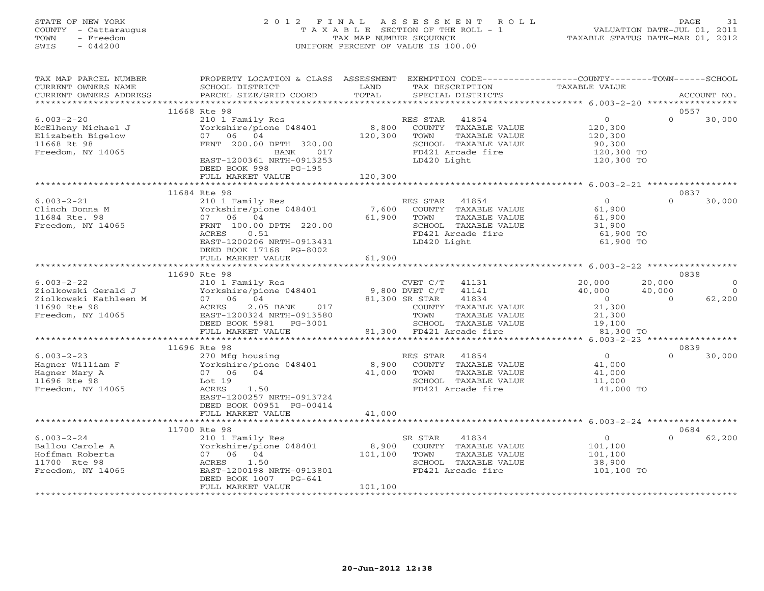# STATE OF NEW YORK 2 0 1 2 F I N A L A S S E S S M E N T R O L L PAGE 31 COUNTY - Cattaraugus T A X A B L E SECTION OF THE ROLL - 1 VALUATION DATE-JUL 01, 2011 TOWN - Freedom TAX MAP NUMBER SEQUENCE TAXABLE STATUS DATE-MAR 01, 2012 SWIS - 044200 UNIFORM PERCENT OF VALUE IS 100.00UNIFORM PERCENT OF VALUE IS 100.00

| TAX MAP PARCEL NUMBER<br>CURRENT OWNERS NAME<br>CURRENT OWNERS ADDRESS                                | PROPERTY LOCATION & CLASS ASSESSMENT EXEMPTION CODE---------------COUNTY-------TOWN------SCHOOL<br>SCHOOL DISTRICT<br>PARCEL SIZE/GRID COORD                                                                                                                             | LAND<br>TOTAL      | TAX DESCRIPTION<br>SPECIAL DISTRICTS                                                                                              | TAXABLE VALUE                                                                                     | ACCOUNT NO.                                                |
|-------------------------------------------------------------------------------------------------------|--------------------------------------------------------------------------------------------------------------------------------------------------------------------------------------------------------------------------------------------------------------------------|--------------------|-----------------------------------------------------------------------------------------------------------------------------------|---------------------------------------------------------------------------------------------------|------------------------------------------------------------|
|                                                                                                       |                                                                                                                                                                                                                                                                          |                    |                                                                                                                                   |                                                                                                   |                                                            |
| $6.003 - 2 - 20$<br>McElheny Michael J<br>Elizabeth Bigelow<br>11668 Rt 98<br>Freedom, NY 14065       | 11668 Rte 98<br>210 1 Family Res<br>Yorkshire/pione 048401<br>07 06 04<br>FRNT 200.00 DPTH 320.00<br>BANK 017<br>EAST-1200361 NRTH-0913253<br>DEED BOOK 998<br>$PG-195$                                                                                                  | 120,300<br>120,300 | RES STAR 41854<br>8,800 COUNTY TAXABLE VALUE<br>TOWN<br>TAXABLE VALUE<br>SCHOOL TAXABLE VALUE<br>FD421 Arcade fire<br>LD420 Light | $\circ$<br>120,300<br>120,300<br>90,300<br>120,300 TO<br>120,300 TO                               | 0557<br>$\Omega$<br>30,000                                 |
|                                                                                                       | FULL MARKET VALUE                                                                                                                                                                                                                                                        |                    |                                                                                                                                   |                                                                                                   |                                                            |
| $6.003 - 2 - 21$<br>Clinch Donna M<br>11684 Rte. 98<br>Freedom, NY 14065                              | 11684 Rte 98<br>210 1 Family Res<br>Yorkshire/pione 048401<br>07 06 04<br>FRNT 100.00 DPTH 220.00<br>0.51<br>ACRES<br>EAST-1200206 NRTH-0913431<br>DEED BOOK 17168 PG-8002                                                                                               | 61,900             | RES STAR 41854<br>7,600 COUNTY TAXABLE VALUE<br>TAXABLE VALUE<br>TOWN<br>SCHOOL TAXABLE VALUE<br>FD421 Arcade fire<br>LD420 Light | $\overline{0}$<br>61,900<br>61,900<br>31,900<br>61,900 TO<br>61,900 TO                            | 0837<br>$\Omega$<br>30,000                                 |
|                                                                                                       | FULL MARKET VALUE                                                                                                                                                                                                                                                        | 61,900             |                                                                                                                                   |                                                                                                   |                                                            |
|                                                                                                       |                                                                                                                                                                                                                                                                          |                    |                                                                                                                                   |                                                                                                   |                                                            |
| $6.003 - 2 - 22$<br>Ziolkowski Gerald J<br>Ziolkowski Kathleen M<br>11690 Rte 98<br>Freedom, NY 14065 | 11690 Rte 98<br>210 1 Family Res<br>210 1 ramin'y kes<br>Yorkshire/pione 048401 9,800 DVET C/T 41141<br>07 06 04 81,300 SR STAR 41834<br>ACRES 2.05 BANK 017 COUNTY TAXABLE<br>EAST-1200324 NRTH-0913580 TOWN TAXARI.F<br>DEED BOOK 5981    PG-3001<br>FULL MARKET VALUE |                    | CVET C/T<br>41131<br>COUNTY TAXABLE VALUE<br>TAXABLE VALUE<br>SCHOOL TAXABLE VALUE<br>81,300 FD421 Arcade fire                    | 20,000<br>20,000<br>40,000<br>40,000<br>$\overline{0}$<br>21,300<br>21,300<br>19,100<br>81,300 TO | 0838<br>$\Omega$<br>$\bigcirc$<br>62,200<br>$\overline{0}$ |
|                                                                                                       | ************************                                                                                                                                                                                                                                                 |                    |                                                                                                                                   | ********* 6.003-2-23 *****************                                                            |                                                            |
| $6.003 - 2 - 23$<br>Hagner William F<br>Hagner Mary A<br>11696 Rte 98<br>Freedom, NY 14065            | 11696 Rte 98<br>270 Mfg housing<br>Yorkshire/pione 048401<br>07 06 04<br>07 06 04<br>Lot 19<br>ACRES<br>1.50<br>EAST-1200257 NRTH-0913724<br>DEED BOOK 00951 PG-00414                                                                                                    | 8,900<br>41,000    | RES STAR<br>41854<br>COUNTY TAXABLE VALUE<br>TAXABLE VALUE<br>TOWN<br>SCHOOL TAXABLE VALUE<br>FD421 Arcade fire                   | $\overline{0}$<br>41,000<br>41,000<br>11,000<br>41,000 TO                                         | 0839<br>30,000<br>$\Omega$                                 |
|                                                                                                       | FULL MARKET VALUE                                                                                                                                                                                                                                                        | 41,000             |                                                                                                                                   |                                                                                                   |                                                            |
|                                                                                                       | 11700 Rte 98                                                                                                                                                                                                                                                             |                    |                                                                                                                                   |                                                                                                   | 0684                                                       |
| $6.003 - 2 - 24$<br>Ballou Carole A<br>Hoffman Roberta<br>11700 Rte 98<br>Freedom, NY 14065           | 210 1 Family Res<br>Yorkshire/pione 048401<br>07 06 04<br>1.50<br>ACRES<br>EAST-1200198 NRTH-0913801<br>DEED BOOK 1007<br>PG-641<br>FULL MARKET VALUE                                                                                                                    | 101,100<br>101,100 | 41834<br>SR STAR<br>8,900 COUNTY TAXABLE VALUE<br>TOWN<br>TAXABLE VALUE<br>SCHOOL TAXABLE VALUE<br>FD421 Arcade fire              | $\overline{0}$<br>101,100<br>101,100<br>38,900<br>101,100 TO                                      | $\Omega$<br>62,200                                         |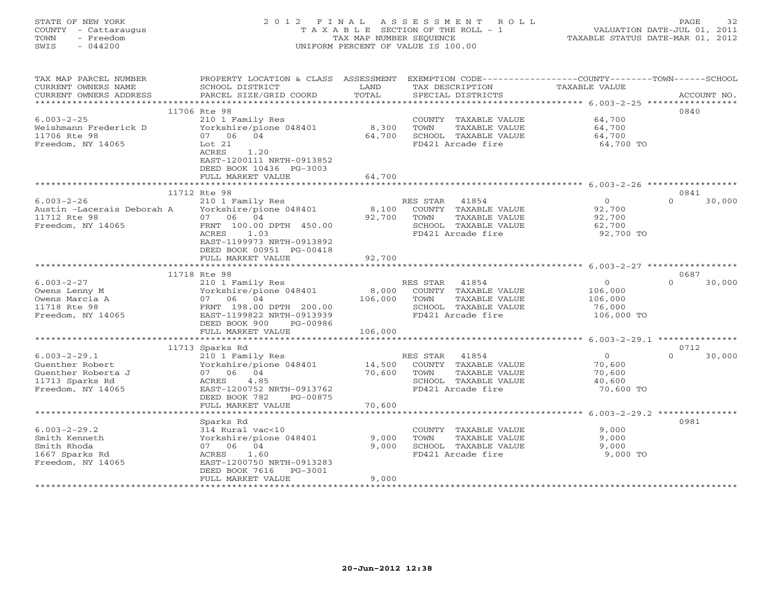# STATE OF NEW YORK 2 0 1 2 F I N A L A S S E S S M E N T R O L L PAGE 32 COUNTY - Cattaraugus T A X A B L E SECTION OF THE ROLL - 1 VALUATION DATE-JUL 01, 2011 TOWN - Freedom TAX MAP NUMBER SEQUENCE TAXABLE STATUS DATE-MAR 01, 2012 SWIS - 044200 UNIFORM PERCENT OF VALUE IS 100.00UNIFORM PERCENT OF VALUE IS 100.00

| TAX MAP PARCEL NUMBER<br>CURRENT OWNERS NAME<br>CURRENT OWNERS ADDRESS                              | PROPERTY LOCATION & CLASS ASSESSMENT<br>SCHOOL DISTRICT<br>PARCEL SIZE/GRID COORD                                                                           | LAND<br>TOTAL    | EXEMPTION CODE----------------COUNTY-------TOWN------SCHOOL<br>TAX DESCRIPTION<br>SPECIAL DISTRICTS             | TAXABLE VALUE                                             | ACCOUNT NO.        |
|-----------------------------------------------------------------------------------------------------|-------------------------------------------------------------------------------------------------------------------------------------------------------------|------------------|-----------------------------------------------------------------------------------------------------------------|-----------------------------------------------------------|--------------------|
| *******************                                                                                 | *******************                                                                                                                                         | ************     | ********************************* 6.003-2-25 *****                                                              |                                                           |                    |
| $6.003 - 2 - 25$<br>Weishmann Frederick D<br>11706 Rte 98                                           | 11706 Rte 98<br>210 1 Family Res<br>Yorkshire/pione 048401<br>07 06<br>04                                                                                   | 8,300<br>64,700  | COUNTY TAXABLE VALUE<br>TOWN<br>TAXABLE VALUE<br>SCHOOL TAXABLE VALUE                                           | 64,700<br>64,700<br>64,700                                | 0840               |
| Freedom, NY 14065                                                                                   | Lot 21<br>ACRES<br>1.20<br>EAST-1200111 NRTH-0913852<br>DEED BOOK 10436 PG-3003<br>FULL MARKET VALUE                                                        | 64,700           | FD421 Arcade fire                                                                                               | 64,700 TO                                                 |                    |
|                                                                                                     |                                                                                                                                                             |                  |                                                                                                                 |                                                           |                    |
|                                                                                                     | 11712 Rte 98                                                                                                                                                |                  |                                                                                                                 |                                                           | 0841               |
| $6.003 - 2 - 26$<br>Austin -Lacerais Deborah A<br>11712 Rte 98<br>Freedom, NY 14065                 | 210 1 Family Res<br>Yorkshire/pione 048401<br>07 06 04<br>FRNT 100.00 DPTH 450.00<br>ACRES<br>1.03<br>EAST-1199973 NRTH-0913892<br>DEED BOOK 00951 PG-00418 | 8,100<br>92,700  | RES STAR<br>41854<br>COUNTY TAXABLE VALUE<br>TOWN<br>TAXABLE VALUE<br>SCHOOL TAXABLE VALUE<br>FD421 Arcade fire | $\circ$<br>92,700<br>92,700<br>62,700<br>92,700 TO        | $\Omega$<br>30,000 |
|                                                                                                     | FULL MARKET VALUE                                                                                                                                           | 92,700           |                                                                                                                 |                                                           |                    |
|                                                                                                     |                                                                                                                                                             |                  |                                                                                                                 |                                                           |                    |
|                                                                                                     | 11718 Rte 98                                                                                                                                                |                  |                                                                                                                 |                                                           | 0687               |
| $6.003 - 2 - 27$<br>Owens Lenny M<br>Owens Marcia A<br>11718 Rte 98<br>Freedom, NY 14065            | 210 1 Family Res<br>Yorkshire/pione 048401<br>07 06 04<br>FRNT 198.00 DPTH 200.00<br>EAST-1199822 NRTH-0913939<br>DEED BOOK 900<br>PG-00986                 | 8,000<br>106,000 | RES STAR<br>41854<br>COUNTY TAXABLE VALUE<br>TOWN<br>TAXABLE VALUE<br>SCHOOL TAXABLE VALUE<br>FD421 Arcade fire | $\circ$<br>106,000<br>106,000<br>76,000<br>106,000 TO     | 30,000<br>$\cap$   |
|                                                                                                     | FULL MARKET VALUE                                                                                                                                           | 106,000          |                                                                                                                 |                                                           |                    |
|                                                                                                     |                                                                                                                                                             |                  |                                                                                                                 | ** $6.003-2-29.1$ ***********                             |                    |
|                                                                                                     | 11713 Sparks Rd                                                                                                                                             |                  |                                                                                                                 |                                                           | 0712<br>$\Omega$   |
| $6.003 - 2 - 29.1$<br>Guenther Robert<br>Guenther Roberta J<br>11713 Sparks Rd<br>Freedom, NY 14065 | 210 1 Family Res<br>Yorkshire/pione 048401<br>07 06 04<br>ACRES<br>4.85<br>EAST-1200752 NRTH-0913762<br>DEED BOOK 782<br>PG-00875                           | 14,500<br>70,600 | RES STAR<br>41854<br>COUNTY TAXABLE VALUE<br>TAXABLE VALUE<br>TOWN<br>SCHOOL TAXABLE VALUE<br>FD421 Arcade fire | $\overline{0}$<br>70,600<br>70,600<br>40,600<br>70,600 TO | 30,000             |
|                                                                                                     | FULL MARKET VALUE<br>************************                                                                                                               | 70,600           |                                                                                                                 |                                                           |                    |
|                                                                                                     |                                                                                                                                                             |                  |                                                                                                                 |                                                           | 0981               |
| $6.003 - 2 - 29.2$<br>Smith Kenneth<br>Smith Rhoda<br>1667 Sparks Rd<br>Freedom, NY 14065           | Sparks Rd<br>314 Rural vac<10<br>Yorkshire/pione 048401<br>07 06 04<br>ACRES<br>1.60<br>EAST-1200750 NRTH-0913283<br>DEED BOOK 7616<br>PG-3001              | 9,000<br>9,000   | COUNTY TAXABLE VALUE<br>TOWN<br>TAXABLE VALUE<br>SCHOOL TAXABLE VALUE<br>FD421 Arcade fire                      | 9,000<br>9,000<br>9,000<br>9,000 TO                       |                    |
|                                                                                                     | FULL MARKET VALUE                                                                                                                                           | 9,000            |                                                                                                                 |                                                           |                    |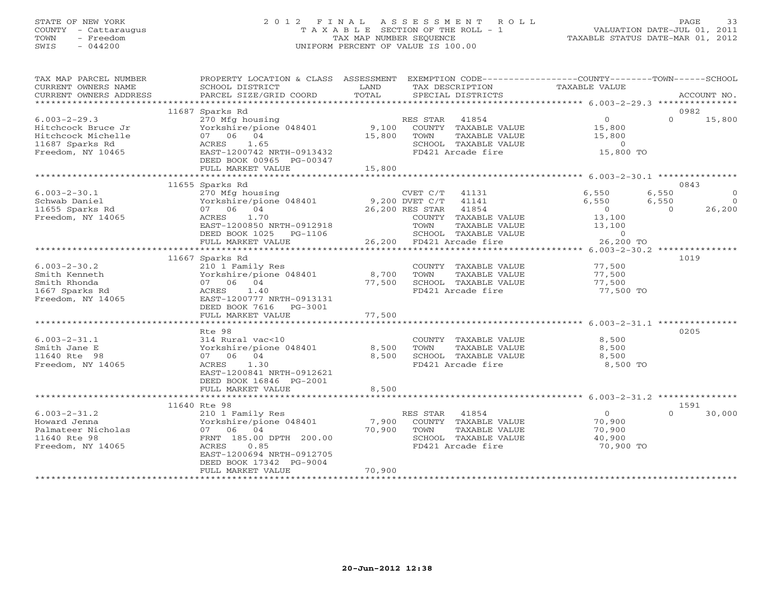## STATE OF NEW YORK 2 0 1 2 F I N A L A S S E S S M E N T R O L L PAGE 33 COUNTY - Cattaraugus T A X A B L E SECTION OF THE ROLL - 1 VALUATION DATE-JUL 01, 2011 TOWN - Freedom TAX MAP NUMBER SEQUENCE TAXABLE STATUS DATE-MAR 01, 2012 SWIS - 044200 UNIFORM PERCENT OF VALUE IS 100.00UNIFORM PERCENT OF VALUE IS 100.00

| TAX MAP PARCEL NUMBER<br>CURRENT OWNERS NAME<br>CURRENT OWNERS ADDRESS                                 | PROPERTY LOCATION & CLASS ASSESSMENT EXEMPTION CODE----------------COUNTY-------TOWN------SCHOOL<br>SCHOOL DISTRICT<br>PARCEL SIZE/GRID COORD                                   | LAND<br>TOTAL             | TAX DESCRIPTION<br>SPECIAL DISTRICTS                                                                                                                                    | TAXABLE VALUE                                                                       | ACCOUNT NO.                                                               |
|--------------------------------------------------------------------------------------------------------|---------------------------------------------------------------------------------------------------------------------------------------------------------------------------------|---------------------------|-------------------------------------------------------------------------------------------------------------------------------------------------------------------------|-------------------------------------------------------------------------------------|---------------------------------------------------------------------------|
|                                                                                                        |                                                                                                                                                                                 |                           |                                                                                                                                                                         |                                                                                     |                                                                           |
| $6.003 - 2 - 29.3$<br>Hitchcock Bruce Jr<br>Hitchcock Michelle<br>11687 Sparks Rd<br>Freedom, NY 10465 | 11687 Sparks Rd<br>270 Mfg housing<br>Yorkshire/pione 048401<br>07 06 04<br>ACRES 1.65<br>EAST-1200742 NRTH-0913432<br>DEED BOOK 00965 PG-00347<br>FULL MARKET VALUE            | 9,100<br>15,800<br>15,800 | RES STAR 41854<br>COUNTY TAXABLE VALUE<br>TOWN<br>TAXABLE VALUE<br>SCHOOL TAXABLE VALUE<br>FD421 Arcade fire                                                            | $\overline{0}$<br>15,800<br>15,800<br>$\overline{0}$<br>15,800 TO                   | 0982<br>$\Omega$<br>15,800                                                |
|                                                                                                        |                                                                                                                                                                                 |                           |                                                                                                                                                                         |                                                                                     |                                                                           |
| $6.003 - 2 - 30.1$<br>Schwab Daniel<br>11655 Sparks Rd<br>Freedom, NY 14065                            | 11655 Sparks Rd<br>270 Mfg housing<br>Yorkshire/pione 048401<br>07 06 04<br>1.70<br>ACRES<br>EAST-1200850 NRTH-0912918<br>DEED BOOK 1025 PG-1106<br>FULL MARKET VALUE           |                           | CVET C/T 41131<br>9,200 DVET C/T 41141<br>26,200 RES STAR<br>41854<br>COUNTY TAXABLE VALUE<br>TOWN<br>TAXABLE VALUE<br>SCHOOL TAXABLE VALUE<br>26,200 FD421 Arcade fire | 6,550<br>6,550<br>$\overline{0}$<br>13,100<br>13,100<br>$\overline{0}$<br>26,200 TO | 0843<br>6,550<br>$\circ$<br>6,550<br>$\overline{0}$<br>26,200<br>$\Omega$ |
|                                                                                                        | **************************                                                                                                                                                      |                           |                                                                                                                                                                         |                                                                                     |                                                                           |
| $6.003 - 2 - 30.2$<br>Smith Kenneth<br>Smith Rhonda<br>1667 Sparks Rd<br>Freedom, NY 14065             | 11667 Sparks Rd<br>210 1 Family Res<br>Yorkshire/pione 048401<br>07 06 04<br>ACRES<br>1.40<br>EAST-1200777 NRTH-0913131<br>DEED BOOK 7616 PG-3001<br>FULL MARKET VALUE          | 8,700<br>77,500<br>77,500 | COUNTY TAXABLE VALUE<br>TOWN<br>TAXABLE VALUE<br>SCHOOL TAXABLE VALUE<br>FD421 Arcade fire                                                                              | 77,500<br>77,500<br>77,500<br>77,500 TO                                             | 1019                                                                      |
|                                                                                                        | Rte 98                                                                                                                                                                          |                           |                                                                                                                                                                         |                                                                                     | 0205                                                                      |
| $6.003 - 2 - 31.1$<br>Smith Jane E<br>11640 Rte 98<br>Freedom, NY 14065                                | 314 Rural vac<10<br>Yorkshire/pione 048401<br>07 06 04<br>1.30<br>ACRES<br>EAST-1200841 NRTH-0912621<br>DEED BOOK 16846 PG-2001                                                 | 8,500<br>8,500            | COUNTY TAXABLE VALUE<br>TOWN<br>TAXABLE VALUE<br>SCHOOL TAXABLE VALUE<br>FD421 Arcade fire                                                                              | 8,500<br>8,500<br>8,500<br>8,500 TO                                                 |                                                                           |
|                                                                                                        | FULL MARKET VALUE                                                                                                                                                               | 8,500                     |                                                                                                                                                                         |                                                                                     |                                                                           |
|                                                                                                        | 11640 Rte 98                                                                                                                                                                    |                           |                                                                                                                                                                         |                                                                                     | 1591                                                                      |
| $6.003 - 2 - 31.2$<br>Howard Jenna<br>Palmateer Nicholas<br>11640 Rte 98<br>Freedom, NY 14065          | 210 1 Family Res<br>Yorkshire/pione 048401<br>07 06 04<br>FRNT 185.00 DPTH 200.00<br>0.85<br>ACRES<br>EAST-1200694 NRTH-0912705<br>DEED BOOK 17342 PG-9004<br>FULL MARKET VALUE | 7,900<br>70,900<br>70,900 | RES STAR 41854<br>COUNTY TAXABLE VALUE<br>TOWN<br>TAXABLE VALUE<br>SCHOOL TAXABLE VALUE<br>FD421 Arcade fire                                                            | $\overline{0}$<br>70,900<br>70,900<br>40,900<br>70,900 TO                           | $\Omega$<br>30,000                                                        |
|                                                                                                        |                                                                                                                                                                                 |                           |                                                                                                                                                                         |                                                                                     |                                                                           |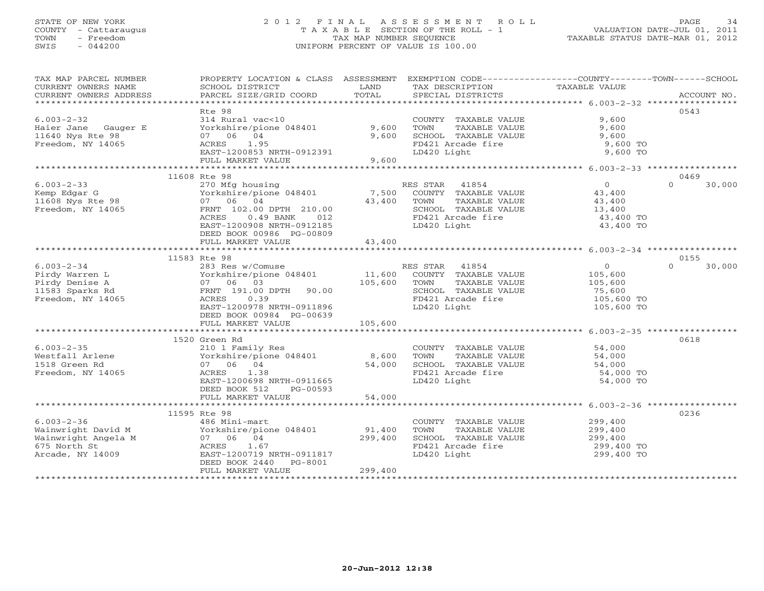## STATE OF NEW YORK 2 0 1 2 F I N A L A S S E S S M E N T R O L L PAGE 34 COUNTY - Cattaraugus T A X A B L E SECTION OF THE ROLL - 1 VALUATION DATE-JUL 01, 2011 TOWN - Freedom TAX MAP NUMBER SEQUENCE TAXABLE STATUS DATE-MAR 01, 2012 SWIS - 044200 UNIFORM PERCENT OF VALUE IS 100.00UNIFORM PERCENT OF VALUE IS 100.00

| TAX MAP PARCEL NUMBER<br>CURRENT OWNERS NAME<br>CURRENT OWNERS ADDRESS | PROPERTY LOCATION & CLASS ASSESSMENT EXEMPTION CODE---------------COUNTY-------TOWN------SCHOOL<br>SCHOOL DISTRICT<br>PARCEL SIZE/GRID COORD                                                                                      | LAND<br>TOTAL | TAX DESCRIPTION TAXABLE VALUE<br>SPECIAL DISTRICTS<br>SPECIAL DISTRICTS                               |                      | ACCOUNT NO.        |
|------------------------------------------------------------------------|-----------------------------------------------------------------------------------------------------------------------------------------------------------------------------------------------------------------------------------|---------------|-------------------------------------------------------------------------------------------------------|----------------------|--------------------|
|                                                                        | Rte 98                                                                                                                                                                                                                            |               |                                                                                                       |                      | 0543               |
| $6.003 - 2 - 32$                                                       | 314 Rural vac<10                                                                                                                                                                                                                  |               | COUNTY TAAALL<br>TOWN TAXABLE VALUE<br>SCHOOL TAXABLE VALUE<br>TALL Arcade fire                       | 9,600                |                    |
| Haier Jane Gauger E                                                    | Yorkshire/pione 048401 9,600                                                                                                                                                                                                      |               |                                                                                                       | 9,600                |                    |
| 11640 Nys Rte 98                                                       | 07 06 04                                                                                                                                                                                                                          | 9,600         |                                                                                                       | 9,600                |                    |
|                                                                        | ACRES 1.95                                                                                                                                                                                                                        |               |                                                                                                       | 9,600 TO             |                    |
| Freedom, NY 14065                                                      | $\frac{EAST - 1200853}{EIST - 1200853}$ NRTH-0912391                                                                                                                                                                              |               |                                                                                                       | 9,600 TO             |                    |
|                                                                        | FULL MARKET VALUE                                                                                                                                                                                                                 | 9,600         |                                                                                                       |                      |                    |
|                                                                        |                                                                                                                                                                                                                                   |               |                                                                                                       |                      |                    |
|                                                                        | 11608 Rte 98                                                                                                                                                                                                                      |               |                                                                                                       |                      | 0469               |
| $6.003 - 2 - 33$                                                       |                                                                                                                                                                                                                                   |               |                                                                                                       |                      | 30,000<br>$\Omega$ |
|                                                                        | The RES STAR 41854 control of the MES STAR 41854 control of the Magnetic Countrol of the Magnetic Countrol of the Ma<br>The Magnetic Countrol of the Magnetic Countrol of the Magnetic Countrol of the Magnetic Countrol of the M |               |                                                                                                       |                      |                    |
| Kemp Edgar G<br>11608 Nys Rte 98                                       | 07 06 04                                                                                                                                                                                                                          | 43,400 TOWN   | TAXABLE VALUE                                                                                         | 43,400               |                    |
| Freedom, NY 14065                                                      | FRNT 102.00 DPTH 210.00                                                                                                                                                                                                           |               |                                                                                                       |                      |                    |
|                                                                        | $0.49$ BANK $012$<br>ACRES                                                                                                                                                                                                        |               | TOWN TAXABLE VALUE<br>SCHOOL TAXABLE VALUE 13,400<br>PD121 Arcade fire 43,400 TO<br>FD421 Arcade fire |                      |                    |
|                                                                        | EAST-1200908 NRTH-0912185                                                                                                                                                                                                         |               | LD420 Light                                                                                           | 43,400 TO            |                    |
|                                                                        | DEED BOOK 00986 PG-00809                                                                                                                                                                                                          |               |                                                                                                       |                      |                    |
|                                                                        | FULL MARKET VALUE                                                                                                                                                                                                                 | 43,400        |                                                                                                       |                      |                    |
|                                                                        |                                                                                                                                                                                                                                   |               |                                                                                                       |                      |                    |
|                                                                        | 11583 Rte 98                                                                                                                                                                                                                      |               |                                                                                                       |                      | 0155               |
| $6.003 - 2 - 34$                                                       | 283 Res w/Comuse                                                                                                                                                                                                                  |               | RES STAR 41854                                                                                        | $\overline{0}$       | $\Omega$<br>30,000 |
| Pirdy Warren L                                                         | Yorkshire/pione 048401 11,600 COUNTY TAXABLE VALUE 105,600                                                                                                                                                                        |               |                                                                                                       |                      |                    |
| Pirdy Denise A                                                         |                                                                                                                                                                                                                                   | 105,600       | TOWN<br>TAXABLE VALUE                                                                                 | 105,600              |                    |
| 11583 Sparks Rd                                                        |                                                                                                                                                                                                                                   |               | SCHOOL TAXABLE VALUE                                                                                  |                      |                    |
| Freedom, NY 14065                                                      |                                                                                                                                                                                                                                   |               |                                                                                                       | 75,600<br>105,600 TO |                    |
|                                                                        |                                                                                                                                                                                                                                   |               | FD421 Arcade fire<br>TD420 Light                                                                      | 105,600 TO           |                    |
|                                                                        | Vorkshire/plone<br>07 06 03<br>RENT 191.00 DPTH 90.00<br>ACRES 0.39<br>-- 2m 1200978 NRTH-0911896<br>-- 2m 1200978 NRTH-0911896                                                                                                   |               |                                                                                                       |                      |                    |
|                                                                        | FULL MARKET VALUE                                                                                                                                                                                                                 | 105,600       |                                                                                                       |                      |                    |
|                                                                        |                                                                                                                                                                                                                                   |               |                                                                                                       |                      |                    |
|                                                                        | 1520 Green Rd                                                                                                                                                                                                                     |               |                                                                                                       |                      | 0618               |
| $6.003 - 2 - 35$                                                       | 210 1 Family Res                                                                                                                                                                                                                  |               | COUNTY TAXABLE VALUE 54,000                                                                           |                      |                    |
| Westfall Arlene                                                        |                                                                                                                                                                                                                                   |               | TOWN<br>TAXABLE VALUE                                                                                 |                      |                    |
| 1518 Green Rd                                                          |                                                                                                                                                                                                                                   |               |                                                                                                       | $54,000$<br>$54,000$ |                    |
| Freedom, NY 14065                                                      | 210 1 raming nos<br>Yorkshire/pione 048401 8,600<br>07 06 04 54,000<br>ACRES<br>1.38                                                                                                                                              |               | SCHOOL TAXABLE VALUE<br>FD421 Arcade fire                                                             | 54,000 TO            |                    |
|                                                                        | EAST-1200698 NRTH-0911665                                                                                                                                                                                                         |               | LD420 Light                                                                                           | 54,000 TO            |                    |
|                                                                        | DEED BOOK 512<br>PG-00593                                                                                                                                                                                                         |               |                                                                                                       |                      |                    |
|                                                                        | FULL MARKET VALUE                                                                                                                                                                                                                 | 54,000        |                                                                                                       |                      |                    |
|                                                                        |                                                                                                                                                                                                                                   |               |                                                                                                       |                      |                    |
|                                                                        | 11595 Rte 98                                                                                                                                                                                                                      |               |                                                                                                       |                      | 0236               |
|                                                                        |                                                                                                                                                                                                                                   |               |                                                                                                       |                      |                    |
|                                                                        |                                                                                                                                                                                                                                   |               | COUNTY TAXABLE VALUE 299,400<br>TOWN TAXABLE VALUE 299,400                                            |                      |                    |
|                                                                        |                                                                                                                                                                                                                                   |               | SCHOOL TAXABLE VALUE                                                                                  | 299,400              |                    |
|                                                                        |                                                                                                                                                                                                                                   |               | FD421 Arcade fire                                                                                     | 299,400 TO           |                    |
| Arcade, NY 14009                                                       | EAST-1200719 NRTH-0911817                                                                                                                                                                                                         |               | LD420 Light                                                                                           | 299,400 TO           |                    |
|                                                                        | DEED BOOK 2440 PG-8001                                                                                                                                                                                                            |               |                                                                                                       |                      |                    |
|                                                                        | FULL MARKET VALUE                                                                                                                                                                                                                 | 299,400       |                                                                                                       |                      |                    |
|                                                                        |                                                                                                                                                                                                                                   |               |                                                                                                       |                      |                    |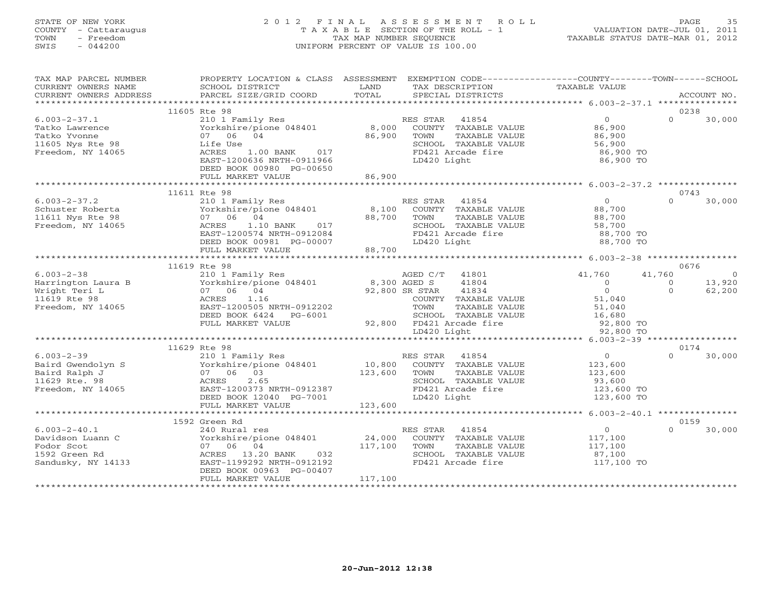## STATE OF NEW YORK 2 0 1 2 F I N A L A S S E S S M E N T R O L L PAGE 35 COUNTY - Cattaraugus T A X A B L E SECTION OF THE ROLL - 1 VALUATION DATE-JUL 01, 2011 TOWN - Freedom TAX MAP NUMBER SEQUENCE TAXABLE STATUS DATE-MAR 01, 2012 SWIS - 044200 UNIFORM PERCENT OF VALUE IS 100.00UNIFORM PERCENT OF VALUE IS 100.00

| TAX MAP PARCEL NUMBER<br>CURRENT OWNERS NAME<br>CURRENT OWNERS ADDRESS                        | PROPERTY LOCATION & CLASS ASSESSMENT<br>SCHOOL DISTRICT<br>PARCEL SIZE/GRID COORD                                                                                         | LAND<br>TOTAL                | EXEMPTION CODE-----------------COUNTY-------TOWN-----SCHOOL<br>TAX DESCRIPTION<br>SPECIAL DISTRICTS                                                        | TAXABLE VALUE                                                                             | ACCOUNT NO.                    |                                    |
|-----------------------------------------------------------------------------------------------|---------------------------------------------------------------------------------------------------------------------------------------------------------------------------|------------------------------|------------------------------------------------------------------------------------------------------------------------------------------------------------|-------------------------------------------------------------------------------------------|--------------------------------|------------------------------------|
|                                                                                               |                                                                                                                                                                           |                              |                                                                                                                                                            |                                                                                           |                                |                                    |
|                                                                                               | 11605 Rte 98                                                                                                                                                              |                              |                                                                                                                                                            |                                                                                           | 0238                           |                                    |
| $6.003 - 2 - 37.1$<br>Tatko Lawrence<br>Tatko Yvonne<br>11605 Nys Rte 98<br>Freedom, NY 14065 | 210 1 Family Res<br>Yorkshire/pione 048401<br>07 06 04<br>Life Use<br>1.00 BANK 017<br>ACRES<br>EAST-1200636 NRTH-0911966<br>DEED BOOK 00980 PG-00650                     | 8,000<br>86,900              | RES STAR<br>41854<br>COUNTY TAXABLE VALUE<br>TAXABLE VALUE<br>TOWN<br>SCHOOL TAXABLE VALUE<br>FD421 Arcade fire<br>LD420 Light                             | $\overline{0}$<br>86,900<br>86,900<br>56,900<br>86,900 TO<br>86,900 TO                    | $\Omega$                       | 30,000                             |
|                                                                                               | FULL MARKET VALUE                                                                                                                                                         | 86,900                       |                                                                                                                                                            |                                                                                           |                                |                                    |
|                                                                                               | 11611 Rte 98                                                                                                                                                              |                              |                                                                                                                                                            |                                                                                           | 0743                           |                                    |
| $6.003 - 2 - 37.2$<br>Schuster Roberta<br>11611 Nys Rte 98<br>Freedom, NY 14065               | 210 1 Family Res<br>Yorkshire/pione 048401<br>07 06 04<br>ACRES<br>1.10 BANK<br>017<br>EAST-1200574 NRTH-0912084<br>DEED BOOK 00981 PG-00007<br>FULL MARKET VALUE         | 8,100<br>88,700<br>88,700    | RES STAR<br>41854<br>COUNTY TAXABLE VALUE<br>TAXABLE VALUE<br>TOWN<br>SCHOOL TAXABLE VALUE<br>FD421 Arcade fire<br>LD420 Light                             | 0<br>88,700<br>88,700<br>58,700<br>88,700 TO<br>88,700 TO                                 | $\Omega$                       | 30,000                             |
|                                                                                               |                                                                                                                                                                           |                              |                                                                                                                                                            |                                                                                           |                                |                                    |
|                                                                                               | 11619 Rte 98                                                                                                                                                              |                              |                                                                                                                                                            |                                                                                           | 0676                           |                                    |
| $6.003 - 2 - 38$<br>Harrington Laura B<br>Wright Teri L<br>11619 Rte 98<br>Freedom, NY 14065  | 210 1 Family Res $AGED C$<br>Yorkshire/pione 048401 8,300 AGED S<br>07 06 04<br>ACRES<br>1.16<br>EAST-1200505 NRTH-0912202<br>DEED BOOK 6424 PG-6001<br>FULL MARKET VALUE |                              | AGED C/T<br>41801<br>41804<br>92,800 SR STAR<br>41834<br>COUNTY TAXABLE VALUE<br>TOWN<br>TAXABLE VALUE<br>SCHOOL TAXABLE VALUE<br>92,800 FD421 Arcade fire | 41,760<br>$\Omega$<br>$\overline{0}$<br>51,040<br>51,040<br>51,040<br>16,680<br>92,800 TO | 41,760<br>$\Omega$<br>$\Omega$ | $\overline{0}$<br>13,920<br>62,200 |
|                                                                                               |                                                                                                                                                                           |                              | LD420 Light                                                                                                                                                | 92,800 TO                                                                                 |                                |                                    |
|                                                                                               | 11629 Rte 98                                                                                                                                                              |                              |                                                                                                                                                            |                                                                                           | 0174                           |                                    |
| $6.003 - 2 - 39$<br>Baird Gwendolyn S<br>Baird Ralph J<br>11629 Rte. 98<br>Freedom, NY 14065  | 210 1 Family Res<br>Yorkshire/pione 048401<br>07 06 03<br>2.65<br>ACRES<br>EAST-1200373 NRTH-0912387<br>DEED BOOK 12040 PG-7001<br>FULL MARKET VALUE                      | 10,800<br>123,600<br>123,600 | RES STAR<br>41854<br>COUNTY TAXABLE VALUE<br>TOWN<br>TAXABLE VALUE<br>SCHOOL TAXABLE VALUE<br>FD421 Arcade fire<br>LD420 Light                             | $\overline{0}$<br>123,600<br>123,600<br>93,600<br>123,600 TO<br>123,600 TO                | $\Omega$                       | 30,000                             |
|                                                                                               | ************************                                                                                                                                                  | *************                |                                                                                                                                                            | *********** 6.003-2-40.1 ****************                                                 |                                |                                    |
|                                                                                               | 1592 Green Rd                                                                                                                                                             |                              |                                                                                                                                                            |                                                                                           | 0159                           |                                    |
| $6.003 - 2 - 40.1$<br>Davidson Luann C<br>Fodor Scot<br>1592 Green Rd<br>Sandusky, NY 14133   | 240 Rural res<br>Yorkshire/pione 048401<br>07 06 04<br>ACRES<br>13.20 BANK 032<br>EAST-1199292 NRTH-0912192<br>DEED BOOK 00963 PG-00407<br>FULL MARKET VALUE              | 24,000<br>117,100<br>117,100 | RES STAR<br>41854<br>COUNTY TAXABLE VALUE<br>TOWN<br>TAXABLE VALUE<br>SCHOOL TAXABLE VALUE<br>FD421 Arcade fire                                            | $\overline{0}$<br>117,100<br>117,100<br>87,100<br>117,100 TO                              | $\Omega$                       | 30,000                             |
|                                                                                               |                                                                                                                                                                           |                              |                                                                                                                                                            |                                                                                           |                                |                                    |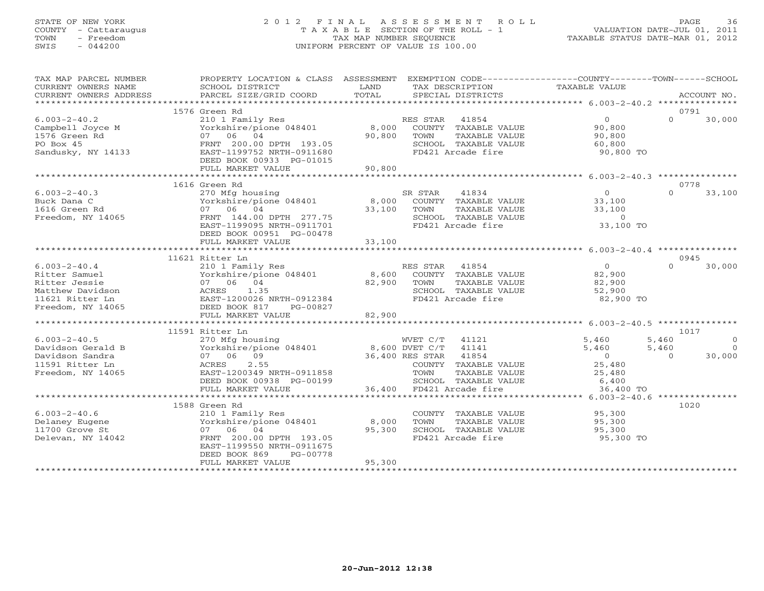## STATE OF NEW YORK 2 0 1 2 F I N A L A S S E S S M E N T R O L L PAGE 36 COUNTY - Cattaraugus T A X A B L E SECTION OF THE ROLL - 1 VALUATION DATE-JUL 01, 2011 TOWN - Freedom TAX MAP NUMBER SEQUENCE TAXABLE STATUS DATE-MAR 01, 2012 SWIS - 044200 UNIFORM PERCENT OF VALUE IS 100.00UNIFORM PERCENT OF VALUE IS 100.00

| TAX MAP PARCEL NUMBER  | PROPERTY LOCATION & CLASS ASSESSMENT EXEMPTION CODE---------------COUNTY-------TOWN------SCHOOL                    |             |                                                                                            |                                                       |                |             |
|------------------------|--------------------------------------------------------------------------------------------------------------------|-------------|--------------------------------------------------------------------------------------------|-------------------------------------------------------|----------------|-------------|
| CURRENT OWNERS NAME    | SCHOOL DISTRICT                                                                                                    | LAND        | TAX DESCRIPTION                                                                            | TAXABLE VALUE                                         |                |             |
| CURRENT OWNERS ADDRESS | PARCEL SIZE/GRID COORD                                                                                             | TOTAL       | SPECIAL DISTRICTS                                                                          |                                                       |                | ACCOUNT NO. |
|                        | 1576 Green Rd                                                                                                      |             |                                                                                            |                                                       |                | 0791        |
| $6.003 - 2 - 40.2$     | 210 1 Family Res                                                                                                   |             | RES STAR 41854                                                                             | $\overline{O}$                                        | $\Omega$       | 30,000      |
| Campbell Joyce M       | Yorkshire/pione 048401 8,000 COUNTY TAXABLE VALUE                                                                  |             |                                                                                            | 90,800                                                |                |             |
| 1576 Green Rd          | 07 06 04                                                                                                           |             | 90,800 TOWN<br>TAXABLE VALUE                                                               | 90,800                                                |                |             |
| PO Box 45              |                                                                                                                    |             | SCHOOL TAXABLE VALUE                                                                       | 60,800                                                |                |             |
| Sandusky, NY 14133     | 07 06 04<br>FRNT 200.00DPTH 193.05<br>EAST-1199752NRTH-0911680                                                     |             | FD421 Arcade fire                                                                          | 90,800 TO                                             |                |             |
|                        | DEED BOOK 00933 PG-01015                                                                                           |             |                                                                                            |                                                       |                |             |
|                        | FULL MARKET VALUE                                                                                                  | 90,800      |                                                                                            |                                                       |                |             |
|                        |                                                                                                                    |             |                                                                                            |                                                       |                |             |
|                        | 1616 Green Rd                                                                                                      |             |                                                                                            |                                                       | 0778           |             |
| $6.003 - 2 - 40.3$     |                                                                                                                    |             |                                                                                            | $\overline{0}$                                        | $\Omega$       | 33,100      |
| Buck Dana C            |                                                                                                                    |             |                                                                                            | 33,100                                                |                |             |
| 1616 Green Rd          |                                                                                                                    | 33,100 TOWN | TAXABLE VALUE                                                                              | 33,100                                                |                |             |
| Freedom, NY 14065      | FRNT 144.00 DPTH 277.75                                                                                            |             | SCHOOL TAXABLE VALUE<br>FD421 Arcade fire                                                  | $\begin{smallmatrix}&&0\0&\text{TO}\end{smallmatrix}$ |                |             |
|                        | EAST-1199095 NRTH-0911701                                                                                          |             |                                                                                            |                                                       |                |             |
|                        | DEED BOOK 00951 PG-00478<br>FULL MARKET VALUE                                                                      | 33,100      |                                                                                            |                                                       |                |             |
|                        |                                                                                                                    |             |                                                                                            |                                                       |                |             |
|                        | 11621 Ritter Ln                                                                                                    |             |                                                                                            |                                                       | 0945           |             |
| $6.003 - 2 - 40.4$     |                                                                                                                    |             |                                                                                            | $\overline{0}$                                        | $\Omega$       | 30,000      |
| Ritter Samuel          |                                                                                                                    |             |                                                                                            | 82,900                                                |                |             |
| Ritter Jessie          |                                                                                                                    | 82,900 TOWN | TAXABLE VALUE                                                                              | 82,900                                                |                |             |
| Matthew Davidson       |                                                                                                                    |             | SCHOOL TAXABLE VALUE                                                                       | 52,900                                                |                |             |
| 11621 Ritter Ln        |                                                                                                                    |             | FD421 Arcade fire                                                                          | 82,900 TO                                             |                |             |
| Freedom, NY 14065      | 210 1 Family Res<br>Yorkshire/pione 048401<br>07 06 04<br>ACRES 1.35<br>EAST-1200026 NRTH-0912384<br>DEED BOOK 817 |             |                                                                                            |                                                       |                |             |
|                        | FULL MARKET VALUE                                                                                                  | 82,900      |                                                                                            |                                                       |                |             |
|                        |                                                                                                                    |             |                                                                                            |                                                       |                |             |
|                        | 11591 Ritter Ln                                                                                                    |             |                                                                                            |                                                       | 1017           |             |
| $6.003 - 2 - 40.5$     | 270 Mfg housing WVET C/T 41121<br>Yorkshire/pione 048401 8,600 DVET C/T 41141                                      |             | WVET C/T 41121                                                                             | 5,460                                                 | 5,460          | $\Omega$    |
| Davidson Gerald B      |                                                                                                                    |             |                                                                                            | 5,460                                                 | 5,460          | $\Omega$    |
| Davidson Sandra        | 07 06 09                                                                                                           |             | 36,400 RES STAR 41854                                                                      | $\overline{0}$                                        | $\overline{0}$ | 30,000      |
| 11591 Ritter Ln        | ACRES<br>2.55                                                                                                      |             | COUNTY TAXABLE VALUE                                                                       | 25,480                                                |                |             |
| Freedom, NY 14065      | EAST-1200349 NRTH-0911858                                                                                          |             | TOWN<br>TAXABLE VALUE                                                                      | 25,480<br>6,400                                       |                |             |
|                        | DEED BOOK 00938 PG-00199                                                                                           |             | TOWN TAXABLE VA:<br>SCHOOL TAXABLE VA:<br>36,400 FD421 Arcade fire<br>SCHOOL TAXABLE VALUE |                                                       |                |             |
|                        | FULL MARKET VALUE                                                                                                  |             |                                                                                            | 36,400 TO                                             |                |             |
|                        | 1588 Green Rd                                                                                                      |             |                                                                                            |                                                       | 1020           |             |
| $6.003 - 2 - 40.6$     | 210 1 Family Res                                                                                                   |             | COUNTY TAXABLE VALUE 95,300                                                                |                                                       |                |             |
| Delaney Eugene         | Yorkshire/pione 048401 8,000                                                                                       |             | TOWN<br>TAXABLE VALUE                                                                      | 95,300                                                |                |             |
| 11700 Grove St         | 07 06 04                                                                                                           | 95,300      | SCHOOL TAXABLE VALUE                                                                       | 95,300                                                |                |             |
| Delevan, NY 14042      | FRNT 200.00 DPTH 193.05                                                                                            |             | FD421 Arcade fire                                                                          | 95,300 TO                                             |                |             |
|                        | EAST-1199550 NRTH-0911675                                                                                          |             |                                                                                            |                                                       |                |             |
|                        | DEED BOOK 869<br>PG-00778                                                                                          |             |                                                                                            |                                                       |                |             |
|                        | FULL MARKET VALUE                                                                                                  | 95,300      |                                                                                            |                                                       |                |             |
|                        |                                                                                                                    |             |                                                                                            |                                                       |                |             |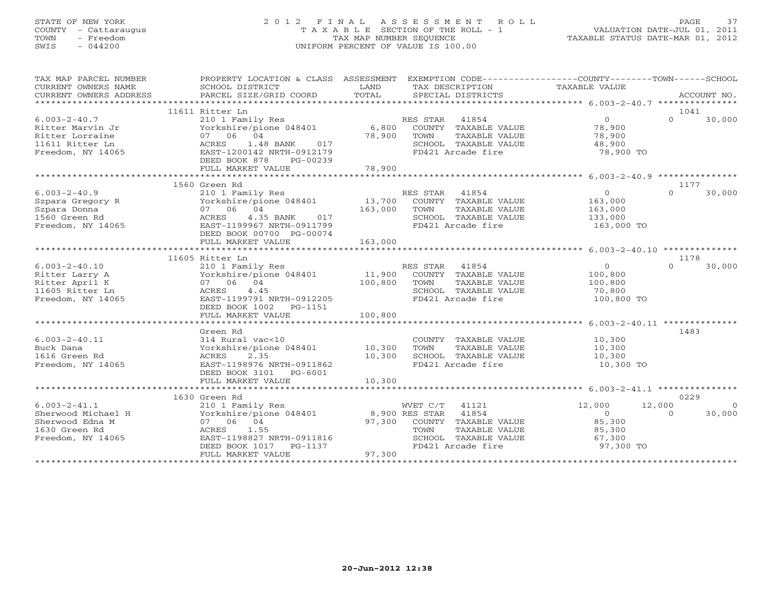# STATE OF NEW YORK 2 0 1 2 F I N A L A S S E S S M E N T R O L L PAGE 37 COUNTY - Cattaraugus T A X A B L E SECTION OF THE ROLL - 1 VALUATION DATE-JUL 01, 2011 TOWN - Freedom TAX MAP NUMBER SEQUENCE TAXABLE STATUS DATE-MAR 01, 2012 SWIS - 044200 UNIFORM PERCENT OF VALUE IS 100.00UNIFORM PERCENT OF VALUE IS 100.00

| TAX MAP PARCEL NUMBER<br>CURRENT OWNERS NAME<br>CURRENT OWNERS ADDRESS                            | SCHOOL DISTRICT<br>PARCEL SIZE/GRID COORD                                                                                                                       | LAND<br>TAX DESCRIPTION<br>TOTAL<br>SPECIAL DISTRICTS                                                                                                                        | PROPERTY LOCATION & CLASS ASSESSMENT EXEMPTION CODE---------------COUNTY-------TOWN------SCHOOL<br>TAXABLE VALUE<br>ACCOUNT NO. |
|---------------------------------------------------------------------------------------------------|-----------------------------------------------------------------------------------------------------------------------------------------------------------------|------------------------------------------------------------------------------------------------------------------------------------------------------------------------------|---------------------------------------------------------------------------------------------------------------------------------|
|                                                                                                   |                                                                                                                                                                 |                                                                                                                                                                              |                                                                                                                                 |
|                                                                                                   | 11611 Ritter Ln                                                                                                                                                 |                                                                                                                                                                              | 1041                                                                                                                            |
| $6.003 - 2 - 40.7$<br>Ritter Marvin Jr<br>Ritter Lorraine<br>11611 Ritter Ln<br>Freedom, NY 14065 | 210 1 Family Res<br>07 06 04<br>ACRES 1.48 BANK<br>017<br>EAST-1200142 NRTH-0912179<br>DEED BOOK 878 PG-00239                                                   | RES STAR 41854<br>Yorkshire/pione 048401 6,800 COUNTY TAXABLE VALUE<br>78,900<br>TOWN<br>TAXABLE VALUE<br>SCHOOL TAXABLE VALUE<br>FD421 Arcade fire                          | $\overline{0}$<br>$\Omega$<br>30,000<br>78,900<br>78,900<br>48,900<br>78,900 TO                                                 |
|                                                                                                   | FULL MARKET VALUE                                                                                                                                               | 78,900                                                                                                                                                                       |                                                                                                                                 |
|                                                                                                   | 1560 Green Rd                                                                                                                                                   |                                                                                                                                                                              | 1177                                                                                                                            |
| $6.003 - 2 - 40.9$<br>Szpara Gregory R<br>Szpara Donna<br>1560 Green Rd<br>Freedom, NY 14065      | 210 1 Family Res<br>Yorkshire/pione 048401<br>07 06 04<br>ACRES 4.35 BANK<br>017<br>EAST-1199967 NRTH-0911799<br>DEED BOOK 00700 PG-00074<br>FULL MARKET VALUE  | RES STAR 41854<br>13,700 COUNTY TAXABLE VALUE<br>163,000<br>TOWN<br>TAXABLE VALUE<br>SCHOOL TAXABLE VALUE<br>FD421 Arcade fire<br>163,000                                    | $\overline{0}$<br>$\Omega$<br>30,000<br>163,000<br>163,000<br>133,000<br>163,000 TO                                             |
|                                                                                                   |                                                                                                                                                                 |                                                                                                                                                                              |                                                                                                                                 |
|                                                                                                   | 11605 Ritter Ln                                                                                                                                                 |                                                                                                                                                                              | 1178                                                                                                                            |
| $6.003 - 2 - 40.10$<br>Ritter Larry A<br>Ritter April K<br>11605 Ritter Ln<br>Freedom, NY 14065   | 210 1 Family Res<br>Yorkshire/pione 048401 11,900<br>07 06 04<br>ACRES 4.45<br>EAST-1199791 NRTH-0912205<br>DEED BOOK 1002    PG-1151                           | RES STAR 41854<br>COUNTY TAXABLE VALUE<br>100,800<br>TOWN<br>TAXABLE VALUE<br>SCHOOL TAXABLE VALUE<br>FD421 Arcade fire                                                      | $\overline{0}$<br>$\Omega$<br>30,000<br>100,800<br>100,800<br>70,800<br>100,800 TO                                              |
|                                                                                                   | FULL MARKET VALUE                                                                                                                                               | 100,800                                                                                                                                                                      |                                                                                                                                 |
| $6.003 - 2 - 40.11$<br>Buck Dana<br>1616 Green Rd<br>Freedom, NY 14065                            | Green Rd<br>314 Rural vac<10<br>Yorkshire/pione 048401 10,300<br>ACRES<br>2.35<br>EAST-1198976 NRTH-0911862<br>DEED BOOK 3101 PG-6001                           | COUNTY TAXABLE VALUE<br>TAXABLE VALUE<br>TOWN<br>10,300<br>SCHOOL TAXABLE VALUE<br>FD421 Arcade fire                                                                         | 1483<br>10,300<br>10,300<br>10,300<br>10,300 TO                                                                                 |
|                                                                                                   | FULL MARKET VALUE                                                                                                                                               | 10,300                                                                                                                                                                       |                                                                                                                                 |
|                                                                                                   |                                                                                                                                                                 |                                                                                                                                                                              | 0229                                                                                                                            |
| $6.003 - 2 - 41.1$<br>Sherwood Michael H<br>Sherwood Edna M<br>1630 Green Rd<br>Freedom, NY 14065 | 1630 Green Rd<br>210 1 Family Res<br>07 06 04<br>1.55<br>ACRES<br>EAST-1198827 NRTH-0911816<br>n-uy11816<br>PG-1137<br>-<br>DEED BOOK 1017<br>FULL MARKET VALUE | WVET C/T 41121<br>Yorkshire/pione 048401 8,900 RES STAR 41854<br>97,300 COUNTY TAXABLE VALUE<br>TAXABLE VALUE<br>TOWN<br>SCHOOL TAXABLE VALUE<br>FD421 Arcade fire<br>97,300 | 12,000<br>12,000<br>$\overline{0}$<br>30,000<br>$\sim$ 0<br>$\Omega$<br>85,300<br>85,300<br>67,300<br>97,300 TO                 |
|                                                                                                   |                                                                                                                                                                 |                                                                                                                                                                              |                                                                                                                                 |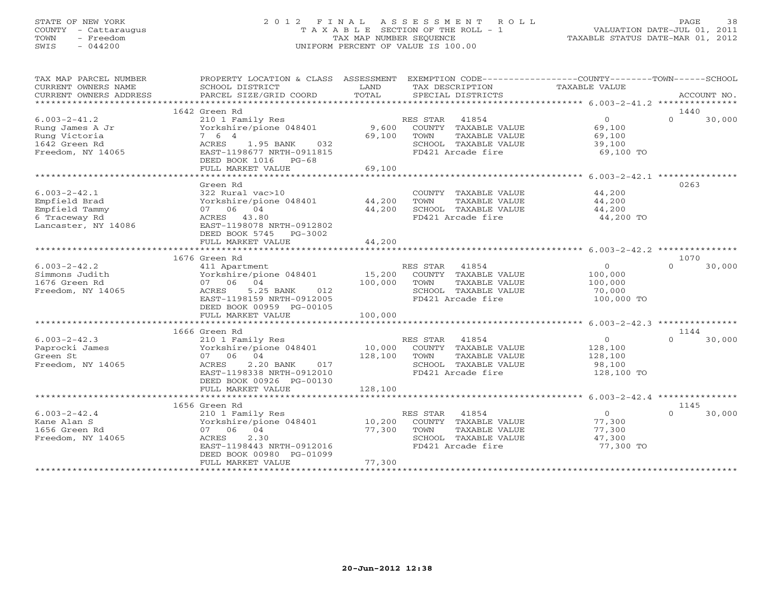#### STATE OF NEW YORK 2 0 1 2 F I N A L A S S E S S M E N T R O L L PAGE 38COUNTY - Cattaraugus T A X A B L E SECTION OF THE ROLL - 1 VALUATION DATE-JUL 01, 2011 TOWN - Freedom **TAX MAP NUMBER SEQUENCE** TAXABLE STATUS DATE-MAR 01, 2012<br>TAXABLE STATUS DATE-MAR 01, 2012 SWIS - 044200 UNIFORM PERCENT OF VALUE IS 100.00

| TAX MAP PARCEL NUMBER<br>CURRENT OWNERS NAME<br>CURRENT OWNERS ADDRESS<br>********************** | PROPERTY LOCATION & CLASS ASSESSMENT<br>SCHOOL DISTRICT<br>PARCEL SIZE/GRID COORD                                                                                                                  | LAND<br>TOTAL                              | EXEMPTION CODE-----------------COUNTY-------TOWN------SCHOOL<br>TAX DESCRIPTION<br>SPECIAL DISTRICTS                   | <b>TAXABLE VALUE</b>                                                 | ACCOUNT NO.                |
|--------------------------------------------------------------------------------------------------|----------------------------------------------------------------------------------------------------------------------------------------------------------------------------------------------------|--------------------------------------------|------------------------------------------------------------------------------------------------------------------------|----------------------------------------------------------------------|----------------------------|
|                                                                                                  |                                                                                                                                                                                                    |                                            |                                                                                                                        |                                                                      |                            |
| $6.003 - 2 - 41.2$<br>Rung James A Jr<br>Rung Victoria<br>1642 Green Rd<br>Freedom, NY 14065     | 1642 Green Rd<br>210 1 Family Res<br>Yorkshire/pione 048401<br>7 6 4<br>ACRES<br>1.95 BANK<br>032<br>EAST-1198677 NRTH-0911815<br>DEED BOOK 1016 PG-68<br>FULL MARKET VALUE<br>******************* | 9,600<br>69,100<br>69,100<br>************* | RES STAR<br>41854<br>COUNTY<br>TAXABLE VALUE<br>TOWN<br>TAXABLE VALUE<br>SCHOOL TAXABLE VALUE<br>FD421 Arcade fire     | $\circ$<br>69,100<br>69,100<br>39,100<br>69,100 TO                   | 1440<br>$\Omega$<br>30,000 |
|                                                                                                  |                                                                                                                                                                                                    |                                            |                                                                                                                        | ********************* 6.003-2-42.1 **************                    | 0263                       |
| $6.003 - 2 - 42.1$<br>Empfield Brad<br>Empfield Tammy<br>6 Traceway Rd<br>Lancaster, NY 14086    | Green Rd<br>322 Rural vac>10<br>Yorkshire/pione 048401<br>07 06 04<br>ACRES 43.80<br>EAST-1198078 NRTH-0912802<br>DEED BOOK 5745<br>PG-3002<br>FULL MARKET VALUE                                   | 44,200<br>44,200<br>44,200                 | COUNTY TAXABLE VALUE<br>TOWN<br>TAXABLE VALUE<br>SCHOOL TAXABLE VALUE<br>FD421 Arcade fire                             | 44,200<br>44,200<br>44,200<br>44,200 TO                              |                            |
|                                                                                                  | **********************                                                                                                                                                                             | * * * * * * * * * * * *                    |                                                                                                                        | ************************* 6.003-2-42.2 ***********                   |                            |
|                                                                                                  | 1676 Green Rd                                                                                                                                                                                      |                                            |                                                                                                                        |                                                                      | 1070                       |
| $6.003 - 2 - 42.2$<br>Simmons Judith<br>1676 Green Rd<br>Freedom, NY 14065                       | 411 Apartment<br>Yorkshire/pione 048401<br>07 06 04<br>ACRES<br>5.25 BANK<br>012<br>EAST-1198159 NRTH-0912005<br>DEED BOOK 00959 PG-00105                                                          | 15,200<br>100,000                          | RES STAR<br>41854<br>COUNTY TAXABLE VALUE<br>TOWN<br>TAXABLE VALUE<br>SCHOOL TAXABLE VALUE<br>FD421 Arcade fire        | $\circ$<br>100,000<br>100,000<br>70,000<br>100,000 TO                | $\Omega$<br>30,000         |
|                                                                                                  | FULL MARKET VALUE<br>***********************                                                                                                                                                       | 100,000                                    |                                                                                                                        |                                                                      |                            |
|                                                                                                  |                                                                                                                                                                                                    |                                            |                                                                                                                        |                                                                      |                            |
| $6.003 - 2 - 42.3$<br>Paprocki James<br>Green St<br>Freedom, NY 14065                            | 1666 Green Rd<br>210 1 Family Res<br>Yorkshire/pione 048401<br>07 06<br>04<br>2.20 BANK<br>ACRES<br>017<br>EAST-1198338 NRTH-0912010<br>DEED BOOK 00926 PG-00130<br>FULL MARKET VALUE              | 10,000<br>128,100<br>128,100               | 41854<br>RES STAR<br>COUNTY TAXABLE VALUE<br>TOWN<br>TAXABLE VALUE<br>SCHOOL TAXABLE VALUE<br>FD421 Arcade fire        | $\mathsf{O}$<br>128,100<br>128,100<br>98,100<br>128,100 TO           | 1144<br>$\Omega$<br>30,000 |
|                                                                                                  |                                                                                                                                                                                                    |                                            |                                                                                                                        | ************************************** 6.003-2-42.4 **************** |                            |
| $6.003 - 2 - 42.4$<br>Kane Alan S<br>1656 Green Rd<br>Freedom, NY 14065                          | 1656 Green Rd<br>210 1 Family Res<br>Yorkshire/pione 048401<br>07 06<br>04<br>ACRES<br>2.30<br>EAST-1198443 NRTH-0912016<br>DEED BOOK 00980 PG-01099<br>FULL MARKET VALUE                          | 10,200<br>77,300<br>77,300                 | RES STAR<br>41854<br>COUNTY TAXABLE VALUE<br>TOWN<br><b>TAXABLE VALUE</b><br>SCHOOL TAXABLE VALUE<br>FD421 Arcade fire | $\circ$<br>77,300<br>77,300<br>47,300<br>77,300 TO                   | 1145<br>30,000<br>$\Omega$ |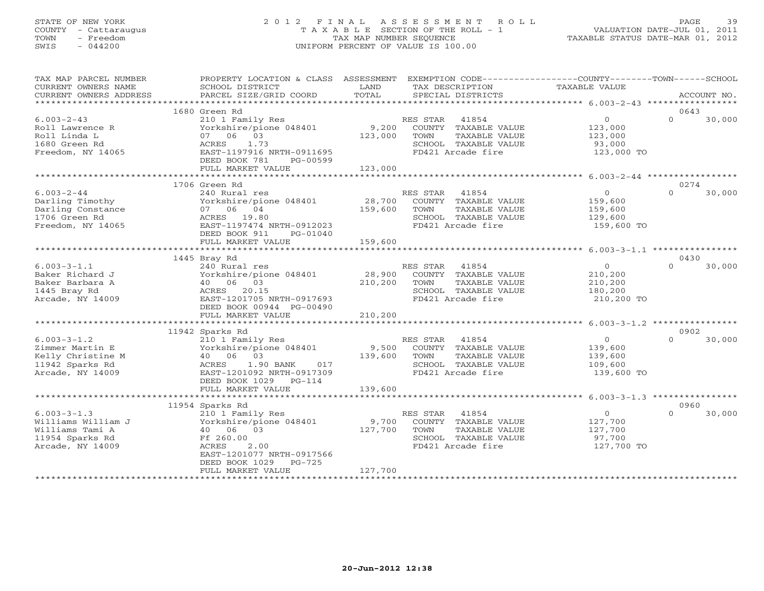# STATE OF NEW YORK 2 0 1 2 F I N A L A S S E S S M E N T R O L L PAGE 39 COUNTY - Cattaraugus T A X A B L E SECTION OF THE ROLL - 1 VALUATION DATE-JUL 01, 2011 TOWN - Freedom TAX MAP NUMBER SEQUENCE TAXABLE STATUS DATE-MAR 01, 2012 SWIS - 044200 UNIFORM PERCENT OF VALUE IS 100.00UNIFORM PERCENT OF VALUE IS 100.00

| TAX MAP PARCEL NUMBER<br>CURRENT OWNERS NAME      | PROPERTY LOCATION & CLASS ASSESSMENT EXEMPTION CODE---------------COUNTY-------TOWN-----SCHOOL<br>SCHOOL DISTRICT | LAND          | TAX DESCRIPTION       | TAXABLE VALUE     |                    |
|---------------------------------------------------|-------------------------------------------------------------------------------------------------------------------|---------------|-----------------------|-------------------|--------------------|
| CURRENT OWNERS ADDRESS<br>*********************** | PARCEL SIZE/GRID COORD                                                                                            | TOTAL         | SPECIAL DISTRICTS     |                   | ACCOUNT NO.        |
|                                                   | 1680 Green Rd                                                                                                     |               |                       |                   | 0643               |
| $6.003 - 2 - 43$                                  | 210 1 Family Res                                                                                                  |               | RES STAR<br>41854     | $\overline{O}$    | $\Omega$<br>30,000 |
| Roll Lawrence R                                   | Yorkshire/pione 048401                                                                                            | 9,200         | COUNTY TAXABLE VALUE  | 123,000           |                    |
| Roll Linda L                                      | 07 06 03                                                                                                          | 123,000       | TOWN<br>TAXABLE VALUE | 123,000           |                    |
| 1680 Green Rd                                     | ACRES<br>1.73                                                                                                     |               | SCHOOL TAXABLE VALUE  | 93,000            |                    |
| Freedom, NY 14065                                 | EAST-1197916 NRTH-0911695                                                                                         |               | FD421 Arcade fire     | 123,000 TO        |                    |
|                                                   | DEED BOOK 781<br>PG-00599                                                                                         |               |                       |                   |                    |
|                                                   | FULL MARKET VALUE                                                                                                 | 123,000       |                       |                   |                    |
|                                                   | *************************                                                                                         | ************* |                       |                   |                    |
|                                                   | 1706 Green Rd                                                                                                     |               |                       |                   | 0274               |
| $6.003 - 2 - 44$                                  | 240 Rural res                                                                                                     |               | RES STAR<br>41854     | $\circ$           | $\Omega$<br>30,000 |
| Darling Timothy                                   | Yorkshire/pione 048401                                                                                            | R<br>28,700   | COUNTY TAXABLE VALUE  | 159,600           |                    |
| Darling Constance                                 | 07 06 04                                                                                                          | 159,600       | TOWN<br>TAXABLE VALUE | 159,600           |                    |
| 1706 Green Rd                                     | ACRES 19.80                                                                                                       |               | SCHOOL TAXABLE VALUE  | 129,600           |                    |
| Freedom, NY 14065                                 | EAST-1197474 NRTH-0912023                                                                                         |               | FD421 Arcade fire     | 159,600 TO        |                    |
|                                                   | PG-01040<br>DEED BOOK 911                                                                                         |               |                       |                   |                    |
|                                                   | FULL MARKET VALUE                                                                                                 | 159,600       |                       |                   |                    |
|                                                   |                                                                                                                   |               |                       |                   |                    |
|                                                   | 1445 Bray Rd                                                                                                      |               |                       |                   | 0430               |
| $6.003 - 3 - 1.1$                                 | 240 Rural res                                                                                                     |               | RES STAR 41854        | $\overline{0}$    | $\Omega$<br>30,000 |
| Baker Richard J                                   | Yorkshire/pione 048401                                                                                            | 28,900        | COUNTY TAXABLE VALUE  | 210,200           |                    |
| Baker Barbara A                                   | 40 06 03                                                                                                          | 210,200       | TOWN<br>TAXABLE VALUE | 210,200           |                    |
| 1445 Bray Rd                                      |                                                                                                                   |               | SCHOOL TAXABLE VALUE  |                   |                    |
|                                                   | ACRES 20.15                                                                                                       |               |                       | 180,200           |                    |
| Arcade, NY 14009                                  | EAST-1201705 NRTH-0917693                                                                                         |               | FD421 Arcade fire     | 210,200 TO        |                    |
|                                                   | DEED BOOK 00944 PG-00490                                                                                          |               |                       |                   |                    |
|                                                   | FULL MARKET VALUE                                                                                                 | 210,200       |                       |                   |                    |
|                                                   |                                                                                                                   |               |                       |                   |                    |
|                                                   | 11942 Sparks Rd                                                                                                   |               |                       |                   | 0902               |
| $6.003 - 3 - 1.2$                                 | 210 1 Family Res                                                                                                  |               | RES STAR 41854        | $\overline{0}$    | $\Omega$<br>30,000 |
| Zimmer Martin E                                   | Yorkshire/pione 048401                                                                                            | 9,500         | COUNTY TAXABLE VALUE  | 139,600           |                    |
| Kelly Christine M                                 | 40 06 03                                                                                                          | 139,600 TOWN  | TAXABLE VALUE         | 139,600           |                    |
| 11942 Sparks Rd                                   | ACRES<br>1.90 BANK<br>017                                                                                         |               | SCHOOL TAXABLE VALUE  | 109,600           |                    |
| Arcade, NY 14009                                  | EAST-1201092 NRTH-0917309                                                                                         |               | FD421 Arcade fire     | 139,600 TO        |                    |
|                                                   | DEED BOOK 1029 PG-114                                                                                             |               |                       |                   |                    |
|                                                   | FULL MARKET VALUE                                                                                                 | 139,600       |                       |                   |                    |
|                                                   |                                                                                                                   |               |                       |                   |                    |
|                                                   | 11954 Sparks Rd                                                                                                   |               |                       |                   | 0960               |
| $6.003 - 3 - 1.3$                                 | 210 1 Family Res                                                                                                  |               | RES STAR<br>41854     | $0 \qquad \qquad$ | $\Omega$<br>30,000 |
| Williams William J                                | Yorkshire/pione 048401                                                                                            | 9,700         | COUNTY TAXABLE VALUE  | 127,700           |                    |
| Williams Tami A                                   | 40 06 03                                                                                                          | 127,700       | TOWN<br>TAXABLE VALUE | 127,700           |                    |
| 11954 Sparks Rd                                   | Ff 260.00                                                                                                         |               | SCHOOL TAXABLE VALUE  | 97,700            |                    |
| Arcade, NY 14009                                  | 2.00<br>ACRES                                                                                                     |               | FD421 Arcade fire     | 127,700 TO        |                    |
|                                                   | EAST-1201077 NRTH-0917566                                                                                         |               |                       |                   |                    |
|                                                   | DEED BOOK 1029<br>$PG-725$                                                                                        |               |                       |                   |                    |
|                                                   | FULL MARKET VALUE                                                                                                 | 127,700       |                       |                   |                    |
|                                                   |                                                                                                                   |               |                       |                   |                    |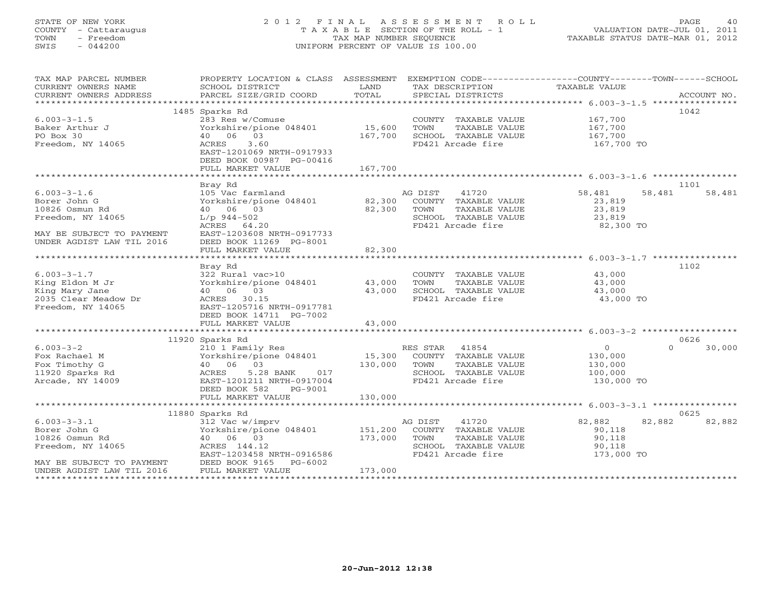# STATE OF NEW YORK 2 0 1 2 F I N A L A S S E S S M E N T R O L L PAGE 40 COUNTY - Cattaraugus T A X A B L E SECTION OF THE ROLL - 1 VALUATION DATE-JUL 01, 2011 TOWN - Freedom TAX MAP NUMBER SEQUENCE TAXABLE STATUS DATE-MAR 01, 2012 SWIS - 044200 UNIFORM PERCENT OF VALUE IS 100.00UNIFORM PERCENT OF VALUE IS 100.00

| TAX MAP PARCEL NUMBER<br>CURRENT OWNERS NAME<br>CURRENT OWNERS ADDRESS | PROPERTY LOCATION & CLASS ASSESSMENT<br>SCHOOL DISTRICT<br>PARCEL SIZE/GRID COORD | LAND<br>TOTAL | TAX DESCRIPTION<br>SPECIAL DISTRICTS      | EXEMPTION CODE-----------------COUNTY-------TOWN------SCHOOL<br>TAXABLE VALUE | ACCOUNT NO. |
|------------------------------------------------------------------------|-----------------------------------------------------------------------------------|---------------|-------------------------------------------|-------------------------------------------------------------------------------|-------------|
|                                                                        |                                                                                   |               |                                           |                                                                               |             |
|                                                                        | 1485 Sparks Rd                                                                    |               |                                           |                                                                               | 1042        |
| $6.003 - 3 - 1.5$                                                      | 283 Res w/Comuse                                                                  |               | COUNTY TAXABLE VALUE                      | 167,700                                                                       |             |
| Baker Arthur J                                                         | Yorkshire/pione 048401                                                            | 15,600        | TOWN<br>TAXABLE VALUE                     | 167,700                                                                       |             |
| PO Box 30                                                              | 40 06 03                                                                          | 167,700       | SCHOOL TAXABLE VALUE                      | 167,700                                                                       |             |
| Freedom, NY 14065                                                      | 3.60<br>ACRES                                                                     |               | FD421 Arcade fire                         | 167,700 TO                                                                    |             |
|                                                                        | EAST-1201069 NRTH-0917933                                                         |               |                                           |                                                                               |             |
|                                                                        | DEED BOOK 00987 PG-00416                                                          |               |                                           |                                                                               |             |
|                                                                        | FULL MARKET VALUE                                                                 | 167,700       |                                           |                                                                               |             |
|                                                                        | Bray Rd                                                                           |               |                                           |                                                                               | 1101        |
| $6.003 - 3 - 1.6$                                                      | 105 Vac farmland                                                                  |               | AG DIST<br>41720                          | 58,481<br>58,481                                                              | 58,481      |
| Borer John G                                                           | Yorkshire/pione 048401                                                            | 82,300        | COUNTY TAXABLE VALUE                      | 23,819                                                                        |             |
| 10826 Osmun Rd                                                         | 40 06 03                                                                          | 82,300        | TAXABLE VALUE<br>TOWN                     | 23,819                                                                        |             |
| Freedom, NY 14065                                                      | $L/p$ 944-502                                                                     |               | SCHOOL TAXABLE VALUE                      | 23,819                                                                        |             |
|                                                                        | ACRES 64.20                                                                       |               | FD421 Arcade fire                         | 82,300 TO                                                                     |             |
| MAY BE SUBJECT TO PAYMENT                                              | EAST-1203608 NRTH-0917733                                                         |               |                                           |                                                                               |             |
| UNDER AGDIST LAW TIL 2016                                              | DEED BOOK 11269 PG-8001                                                           |               |                                           |                                                                               |             |
|                                                                        | FULL MARKET VALUE                                                                 | 82,300        |                                           |                                                                               |             |
|                                                                        |                                                                                   |               |                                           |                                                                               |             |
|                                                                        | Bray Rd                                                                           |               |                                           |                                                                               | 1102        |
| $6.003 - 3 - 1.7$                                                      | 322 Rural vac>10                                                                  |               | COUNTY TAXABLE VALUE                      | 43,000                                                                        |             |
| King Eldon M Jr                                                        | Yorkshire/pione 048401 43,000                                                     |               | TAXABLE VALUE<br>TOWN                     | 43,000                                                                        |             |
| King Mary Jane<br>2035 Clear Meadow Dr                                 | 40 06 03<br>ACRES 30.15                                                           | 43,000        | SCHOOL TAXABLE VALUE<br>FD421 Arcade fire | 43,000<br>43,000 TO                                                           |             |
| Freedom, NY 14065                                                      | EAST-1205716 NRTH-0917781                                                         |               |                                           |                                                                               |             |
|                                                                        | DEED BOOK 14711 PG-7002                                                           |               |                                           |                                                                               |             |
|                                                                        | FULL MARKET VALUE                                                                 | 43,000        |                                           |                                                                               |             |
|                                                                        |                                                                                   |               |                                           |                                                                               |             |
|                                                                        | 11920 Sparks Rd                                                                   |               |                                           |                                                                               | 0626        |
| $6.003 - 3 - 2$                                                        | 210 1 Family Res                                                                  |               | RES STAR 41854                            | $\overline{0}$<br>$\cap$                                                      | 30,000      |
| Fox Rachael M                                                          | Yorkshire/pione 048401                                                            |               | 15,300 COUNTY TAXABLE VALUE               | 130,000                                                                       |             |
| Fox Timothy G                                                          | 03<br>40 06                                                                       | 130,000       | TOWN<br>TAXABLE VALUE                     | 130,000                                                                       |             |
| 11920 Sparks Rd                                                        | ACRES<br>5.28 BANK 017                                                            |               | SCHOOL TAXABLE VALUE                      | 100,000                                                                       |             |
| Arcade, NY 14009                                                       | EAST-1201211 NRTH-0917004                                                         |               | FD421 Arcade fire                         | 130,000 TO                                                                    |             |
|                                                                        | DEED BOOK 582<br>PG-9001                                                          |               |                                           |                                                                               |             |
|                                                                        | FULL MARKET VALUE                                                                 | 130,000       |                                           |                                                                               |             |
|                                                                        | 11880 Sparks Rd                                                                   |               |                                           |                                                                               | 0625        |
| $6.003 - 3 - 3.1$                                                      | 312 Vac w/imprv                                                                   |               | AG DIST<br>41720                          | 82,882<br>82,882                                                              | 82,882      |
| Borer John G                                                           | Yorkshire/pione 048401                                                            | 151,200       | COUNTY TAXABLE VALUE                      | 90,118                                                                        |             |
| 10826 Osmun Rd                                                         | 40 06 03                                                                          | 173,000       | TAXABLE VALUE<br>TOWN                     | 90,118                                                                        |             |
| Freedom, NY 14065                                                      | ACRES 144.12                                                                      |               | SCHOOL TAXABLE VALUE                      | 90,118                                                                        |             |
|                                                                        | EAST-1203458 NRTH-0916586                                                         |               | FD421 Arcade fire                         | 173,000 TO                                                                    |             |
| MAY BE SUBJECT TO PAYMENT                                              | DEED BOOK 9165 PG-6002                                                            |               |                                           |                                                                               |             |
| UNDER AGDIST LAW TIL 2016                                              | FULL MARKET VALUE                                                                 | 173,000       |                                           |                                                                               |             |
|                                                                        |                                                                                   |               |                                           |                                                                               |             |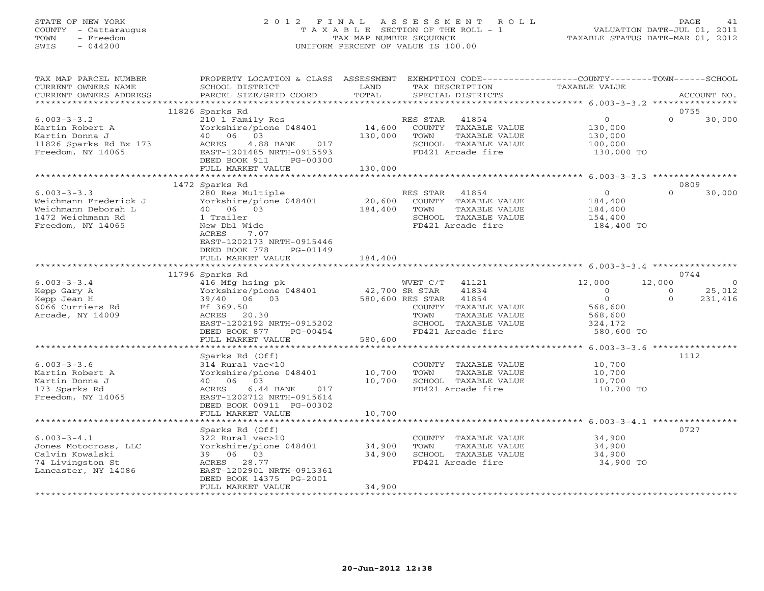# STATE OF NEW YORK 2 0 1 2 F I N A L A S S E S S M E N T R O L L PAGE 41 COUNTY - Cattaraugus T A X A B L E SECTION OF THE ROLL - 1 VALUATION DATE-JUL 01, 2011 TOWN - Freedom TAX MAP NUMBER SEQUENCE TAXABLE STATUS DATE-MAR 01, 2012 SWIS - 044200 UNIFORM PERCENT OF VALUE IS 100.00UNIFORM PERCENT OF VALUE IS 100.00

| TAX MAP PARCEL NUMBER  | PROPERTY LOCATION & CLASS ASSESSMENT EXEMPTION CODE---------------COUNTY-------TOWN------SCHOOL |              |                             |                        |          |                |
|------------------------|-------------------------------------------------------------------------------------------------|--------------|-----------------------------|------------------------|----------|----------------|
| CURRENT OWNERS NAME    | SCHOOL DISTRICT                                                                                 | LAND         | TAX DESCRIPTION             | TAXABLE VALUE          |          |                |
| CURRENT OWNERS ADDRESS | PARCEL SIZE/GRID COORD                                                                          | TOTAL        | SPECIAL DISTRICTS           |                        |          | ACCOUNT NO.    |
|                        |                                                                                                 |              |                             |                        |          |                |
|                        | 11826 Sparks Rd                                                                                 |              |                             |                        | 0755     |                |
| $6.003 - 3 - 3.2$      | 210 1 Family Res                                                                                |              | RES STAR 41854              | $\circ$                | $\Omega$ | 30,000         |
| Martin Robert A        | Yorkshire/pione $048401$ 14,600                                                                 |              | COUNTY TAXABLE VALUE        | 130,000                |          |                |
| Martin Donna J         | 40 06 03                                                                                        | 130,000      | TOWN<br>TAXABLE VALUE       | 130,000                |          |                |
| 11826 Sparks Rd Bx 173 | ACRES 4.88 BANK 017                                                                             |              | SCHOOL TAXABLE VALUE        | 100,000                |          |                |
| Freedom, NY 14065      | EAST-1201485 NRTH-0915593                                                                       |              | FD421 Arcade fire           | 130,000 TO             |          |                |
|                        | DEED BOOK 911<br>PG-00300                                                                       |              |                             |                        |          |                |
|                        | FULL MARKET VALUE                                                                               | 130,000      |                             |                        |          |                |
|                        |                                                                                                 |              |                             |                        |          |                |
|                        | 1472 Sparks Rd                                                                                  |              |                             |                        | 0809     |                |
| $6.003 - 3 - 3.3$      | 280 Res Multiple                                                                                |              | RES STAR 41854              | $\overline{0}$         | $\Omega$ | 30,000         |
| Weichmann Frederick J  | Yorkshire/pione $048401$ 20,600                                                                 |              | COUNTY TAXABLE VALUE        | 184,400                |          |                |
| Weichmann Deborah L    | 40 06 03                                                                                        | 184,400 TOWN | TAXABLE VALUE               | 184,400                |          |                |
| 1472 Weichmann Rd      | 1 Trailer                                                                                       |              | SCHOOL TAXABLE VALUE        | 154,400                |          |                |
| Freedom, NY 14065      | New Dbl Wide                                                                                    |              | FD421 Arcade fire           | 184,400 TO             |          |                |
|                        | ACRES<br>7.07                                                                                   |              |                             |                        |          |                |
|                        | EAST-1202173 NRTH-0915446                                                                       |              |                             |                        |          |                |
|                        | DEED BOOK 778<br>PG-01149                                                                       |              |                             |                        |          |                |
|                        | FULL MARKET VALUE                                                                               | 184,400      |                             |                        |          |                |
|                        |                                                                                                 |              |                             |                        |          |                |
|                        | 11796 Sparks Rd                                                                                 |              |                             |                        | 0744     |                |
| $6.003 - 3 - 3.4$      | 416 Mfg hsing pk                                                                                |              | WVET C/T 41121              | 12,000                 | 12,000   | $\overline{0}$ |
| Kepp Gary A            |                                                                                                 |              |                             | $\Omega$               | $\Omega$ | 25,012         |
| Kepp Jean H            | 110 mig iising processed at 12,700 SR STAR 41834<br>19/40 06 03 580,600 RES STAR 41854          |              |                             | $\overline{0}$         | $\Omega$ | 231,416        |
| 6066 Curriers Rd       | Ff 369.50                                                                                       |              | COUNTY TAXABLE VALUE        | $568,600$<br>$568,600$ |          |                |
| Arcade, NY 14009       | ACRES 20.30                                                                                     |              | TAXABLE VALUE<br>TOWN       |                        |          |                |
|                        | EAST-1202192 NRTH-0915202                                                                       |              | SCHOOL TAXABLE VALUE        | 324,172                |          |                |
|                        | DEED BOOK 877 PG-00454                                                                          |              | FD421 Arcade fire           | 580,600 TO             |          |                |
|                        | FULL MARKET VALUE                                                                               | 580,600      |                             |                        |          |                |
|                        |                                                                                                 |              |                             |                        |          |                |
|                        | Sparks Rd (Off)                                                                                 |              |                             |                        | 1112     |                |
| $6.003 - 3 - 3.6$      | 314 Rural vac<10                                                                                |              | COUNTY TAXABLE VALUE 10,700 |                        |          |                |
| Martin Robert A        | Yorkshire/pione 048401 10,700                                                                   |              | TOWN<br>TAXABLE VALUE       | 10,700                 |          |                |
| Martin Donna J         | 40 06 03                                                                                        | 10,700       | SCHOOL TAXABLE VALUE        | 10,700                 |          |                |
| 173 Sparks Rd          | ACRES 6.44 BANK<br>017                                                                          |              | FD421 Arcade fire           | 10,700 TO              |          |                |
| Freedom, NY 14065      | EAST-1202712 NRTH-0915614                                                                       |              |                             |                        |          |                |
|                        | DEED BOOK 00911 PG-00302                                                                        |              |                             |                        |          |                |
|                        | FULL MARKET VALUE                                                                               | 10,700       |                             |                        |          |                |
|                        |                                                                                                 |              |                             |                        |          |                |
|                        | Sparks Rd (Off)                                                                                 |              |                             |                        | 0727     |                |
| $6.003 - 3 - 4.1$      | $322$ Rural vac>10<br>Yorkshire/pione 048401 34,900                                             |              | COUNTY TAXABLE VALUE        | 34,900                 |          |                |
| Jones Motocross, LLC   |                                                                                                 |              | TOWN<br>TAXABLE VALUE       | 34,900                 |          |                |
| Calvin Kowalski        | 39 06 03                                                                                        | 34,900       | SCHOOL TAXABLE VALUE        | 34,900                 |          |                |
| 74 Livingston St       | ACRES 28.77                                                                                     |              | FD421 Arcade fire           | 34,900 TO              |          |                |
| Lancaster, NY 14086    | EAST-1202901 NRTH-0913361                                                                       |              |                             |                        |          |                |
|                        | DEED BOOK 14375 PG-2001                                                                         |              |                             |                        |          |                |
|                        | FULL MARKET VALUE                                                                               | 34,900       |                             |                        |          |                |
|                        |                                                                                                 |              |                             |                        |          |                |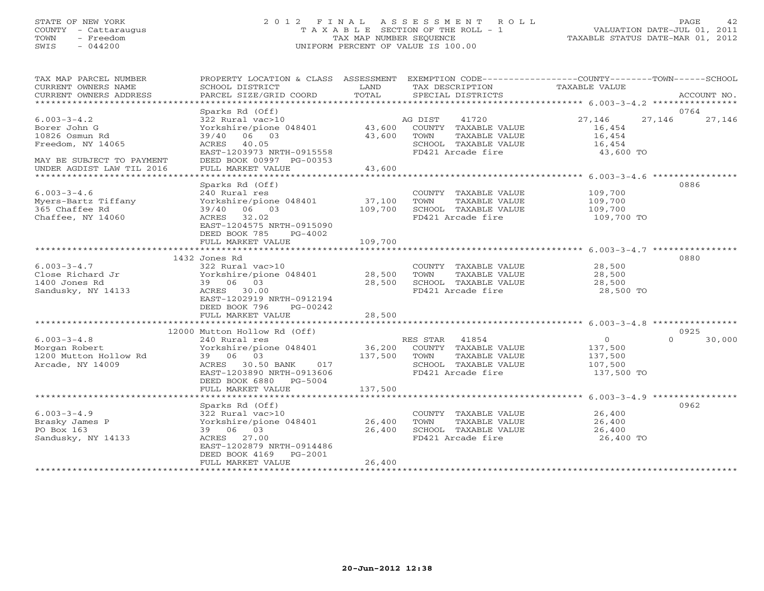## STATE OF NEW YORK 2 0 1 2 F I N A L A S S E S S M E N T R O L L PAGE 42 COUNTY - Cattaraugus T A X A B L E SECTION OF THE ROLL - 1 VALUATION DATE-JUL 01, 2011 TOWN - Freedom TAX MAP NUMBER SEQUENCE TAXABLE STATUS DATE-MAR 01, 2012 SWIS - 044200 UNIFORM PERCENT OF VALUE IS 100.00UNIFORM PERCENT OF VALUE IS 100.00

| TAX MAP PARCEL NUMBER     | PROPERTY LOCATION & CLASS ASSESSMENT EXEMPTION CODE----------------COUNTY-------TOWN------SCHOOL                                                       |         |                                           |                |                          |
|---------------------------|--------------------------------------------------------------------------------------------------------------------------------------------------------|---------|-------------------------------------------|----------------|--------------------------|
| CURRENT OWNERS NAME       | SCHOOL DISTRICT                                                                                                                                        | LAND    | TAX DESCRIPTION                           | TAXABLE VALUE  |                          |
| CURRENT OWNERS ADDRESS    | PARCEL SIZE/GRID COORD                                                                                                                                 | TOTAL   | SPECIAL DISTRICTS                         |                | ACCOUNT NO.              |
|                           |                                                                                                                                                        |         |                                           |                |                          |
| $6.003 - 3 - 4.2$         | Sparks Rd (Off)<br>322 Rural vac>10                                                                                                                    |         | 41720<br>AG DIST                          | 27,146         | 0764<br>27,146<br>27,146 |
| Borer John G              | Yorkshire/pione 048401 43,600 COUNTY TAXABLE VALUE                                                                                                     |         |                                           | 16,454         |                          |
| 10826 Osmun Rd            | 39/40 06 03                                                                                                                                            | 43,600  | TAXABLE VALUE<br>TOWN                     | 16,454         |                          |
| Freedom, NY 14065         | ACRES 40.05                                                                                                                                            |         | SCHOOL TAXABLE VALUE                      | 16,454         |                          |
|                           | EAST-1203973 NRTH-0915558                                                                                                                              |         | FD421 Arcade fire                         | 43,600 TO      |                          |
| MAY BE SUBJECT TO PAYMENT | DEED BOOK 00997 PG-00353                                                                                                                               |         |                                           |                |                          |
| UNDER AGDIST LAW TIL 2016 | FULL MARKET VALUE                                                                                                                                      | 43,600  |                                           |                |                          |
|                           |                                                                                                                                                        |         |                                           |                |                          |
|                           | Sparks Rd (Off)                                                                                                                                        |         |                                           |                | 0886                     |
| $6.003 - 3 - 4.6$         | 240 Rural res                                                                                                                                          |         | COUNTY TAXABLE VALUE                      | 109,700        |                          |
| Myers-Bartz Tiffany       | Yorkshire/pione 048401 37,100                                                                                                                          |         | TOWN<br>TAXABLE VALUE                     | 109,700        |                          |
| 365 Chaffee Rd            | 39/40 06 03                                                                                                                                            | 109,700 | SCHOOL TAXABLE VALUE                      | 109,700        |                          |
| Chaffee, NY 14060         | ACRES 32.02                                                                                                                                            |         | FD421 Arcade fire                         | 109,700 TO     |                          |
|                           | EAST-1204575 NRTH-0915090                                                                                                                              |         |                                           |                |                          |
|                           | DEED BOOK 785<br>PG-4002                                                                                                                               |         |                                           |                |                          |
|                           | FULL MARKET VALUE                                                                                                                                      | 109,700 |                                           |                |                          |
|                           | 1432 Jones Rd                                                                                                                                          |         |                                           |                | 0880                     |
| $6.003 - 3 - 4.7$         | 322 Rural vac>10                                                                                                                                       |         | COUNTY TAXABLE VALUE                      | 28,500         |                          |
| Close Richard Jr          | $\frac{1}{28}$ , $\frac{1}{28}$ , $\frac{1}{28}$ , $\frac{1}{28}$ , $\frac{1}{28}$ , $\frac{1}{28}$ , $\frac{1}{28}$ , $\frac{1}{28}$ , $\frac{1}{28}$ |         | TOWN<br>TAXABLE VALUE                     | 28,500         |                          |
| 1400 Jones Rd             | 39 06 03                                                                                                                                               | 28,500  | SCHOOL TAXABLE VALUE                      | 28,500         |                          |
| Sandusky, NY 14133        | ACRES 30.00                                                                                                                                            |         | FD421 Arcade fire                         | 28,500 TO      |                          |
|                           | EAST-1202919 NRTH-0912194                                                                                                                              |         |                                           |                |                          |
|                           | DEED BOOK 796<br>PG-00242                                                                                                                              |         |                                           |                |                          |
|                           | FULL MARKET VALUE                                                                                                                                      | 28,500  |                                           |                |                          |
|                           |                                                                                                                                                        |         |                                           |                |                          |
|                           | 12000 Mutton Hollow Rd (Off)                                                                                                                           |         |                                           |                | 0925                     |
| $6.003 - 3 - 4.8$         | 240 Rural res                                                                                                                                          |         | RES STAR 41854                            | $\overline{0}$ | $\Omega$<br>30,000       |
| Morgan Robert             | Yorkshire/pione 048401                                                                                                                                 | 36,200  | COUNTY TAXABLE VALUE                      | 137,500        |                          |
| 1200 Mutton Hollow Rd     | 39 06 03                                                                                                                                               | 137,500 | TOWN<br>TAXABLE VALUE                     | 137,500        |                          |
| Arcade, NY 14009          | ACRES 30.50 BANK 017                                                                                                                                   |         | SCHOOL TAXABLE VALUE<br>FD421 Arcade fire | 107,500        |                          |
|                           | EAST-1203890 NRTH-0913606<br>DEED BOOK 6880 PG-5004                                                                                                    |         |                                           | 137,500 TO     |                          |
|                           | FULL MARKET VALUE                                                                                                                                      | 137,500 |                                           |                |                          |
|                           |                                                                                                                                                        |         |                                           |                |                          |
|                           | Sparks Rd (Off)                                                                                                                                        |         |                                           |                | 0962                     |
| $6.003 - 3 - 4.9$         | 322 Rural vac>10                                                                                                                                       |         | COUNTY TAXABLE VALUE                      | 26,400         |                          |
| Brasky James P            | Yorkshire/pione 048401 26,400                                                                                                                          |         | TOWN<br>TAXABLE VALUE                     | 26,400         |                          |
| PO Box 163                | 39 06 03                                                                                                                                               | 26,400  | SCHOOL TAXABLE VALUE                      | 26,400         |                          |
| Sandusky, NY 14133        | ACRES 27.00                                                                                                                                            |         | FD421 Arcade fire                         | 26,400 TO      |                          |
|                           | EAST-1202879 NRTH-0914486                                                                                                                              |         |                                           |                |                          |
|                           | DEED BOOK 4169 PG-2001                                                                                                                                 |         |                                           |                |                          |
|                           | FULL MARKET VALUE                                                                                                                                      | 26,400  |                                           |                |                          |
|                           |                                                                                                                                                        |         |                                           |                |                          |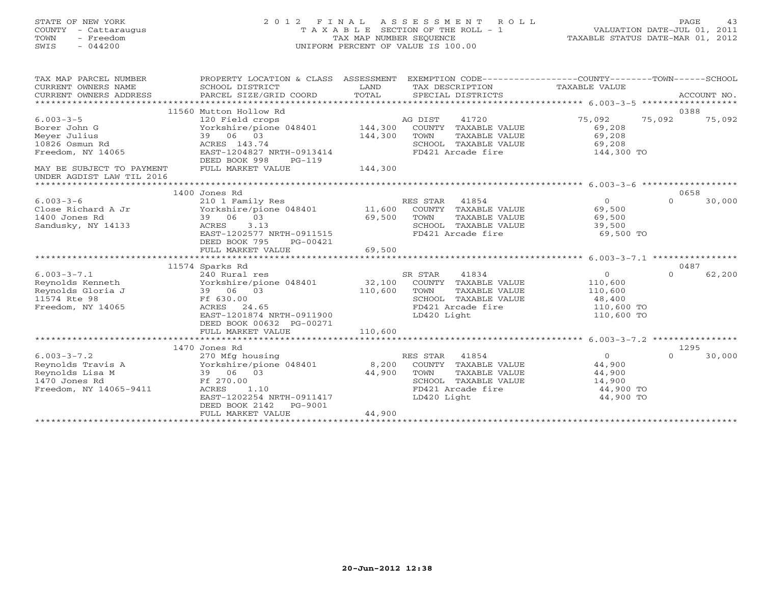STATE OF NEW YORK 2 0 1 2 F I N A L A S S E S S M E N T R O L L PAGE 43 COUNTY - Cattaraugus T A X A B L E SECTION OF THE ROLL - 1 VALUATION DATE-JUL 01, 2011 TOWN - Freedom TAX MAP NUMBER SEQUENCE TAXABLE STATUS DATE-MAR 01, 2012 SWIS - 044200 UNIFORM PERCENT OF VALUE IS 100.00UNIFORM PERCENT OF VALUE IS 100.00

| 0388<br>11560 Mutton Hollow Rd<br>75,092<br>$6.003 - 3 - 5$<br>120 Field crops<br>AG DIST<br>41720<br>75,092<br>75,092<br>Borer John G<br>Yorkshire/pione 048401<br>144,300<br>COUNTY TAXABLE VALUE<br>69,208<br>39 06 03<br>69,208<br>Meyer Julius<br>144,300<br>TOWN<br>TAXABLE VALUE<br>10826 Osmun Rd<br>ACRES 143.74<br>SCHOOL TAXABLE VALUE<br>69,208<br>EAST-1204827 NRTH-0913414<br>Freedom, NY 14065<br>FD421 Arcade fire<br>144,300 TO<br>DEED BOOK 998<br>$PG-119$<br>144,300<br>FULL MARKET VALUE<br>MAY BE SUBJECT TO PAYMENT<br>UNDER AGDIST LAW TIL 2016<br>0658<br>1400 Jones Rd<br>$6.003 - 3 - 6$<br>210 1 Family Res<br>RES STAR<br>41854<br>$\overline{O}$<br>$\Omega$<br>30,000<br>Close Richard A Jr<br>Yorkshire/pione 048401<br>11,600<br>COUNTY TAXABLE VALUE<br>69,500<br>1400 Jones Rd<br>39 06 03<br>69,500<br>TAXABLE VALUE<br>69,500<br>TOWN<br>Sandusky, NY 14133<br>ACRES<br>3.13<br>SCHOOL TAXABLE VALUE<br>39,500<br>EAST-1202577 NRTH-0911515<br>FD421 Arcade fire<br>69,500 TO<br>DEED BOOK 795<br>PG-00421<br>FULL MARKET VALUE<br>69,500<br>**************************<br>*************<br>************************************* 6 003-3-7 1 *****************<br>0487<br>11574 Sparks Rd<br>SR STAR<br>41834<br>62,200<br>$6.003 - 3 - 7.1$<br>240 Rural res<br>$\Omega$<br>$\Omega$<br>32,100<br>Reynolds Kenneth<br>Yorkshire/pione 048401<br>COUNTY TAXABLE VALUE<br>110,600<br>Reynolds Gloria J<br>39 06 03<br>110,600<br>TOWN<br>TAXABLE VALUE<br>110,600<br>11574 Rte 98<br>Ff 630.00<br>SCHOOL TAXABLE VALUE<br>48,400<br>Freedom, NY 14065<br>ACRES 24.65<br>FD421 Arcade fire<br>110,600 TO<br>EAST-1201874 NRTH-0911900<br>LD420 Light<br>110,600 TO<br>DEED BOOK 00632 PG-00271<br>110,600<br>FULL MARKET VALUE<br>1470 Jones Rd<br>1295<br>$6.003 - 3 - 7.2$<br>30,000<br>270 Mfg housing<br>RES STAR<br>41854<br>$\Omega$<br>$\Omega$<br>Reynolds Travis A<br>Yorkshire/pione 048401<br>8,200<br>COUNTY TAXABLE VALUE<br>44,900<br>Reynolds Lisa M<br>39 06 03<br>44,900<br>TOWN<br>TAXABLE VALUE<br>44,900<br>1470 Jones Rd<br>SCHOOL TAXABLE VALUE<br>Ff 270.00<br>14,900<br>Freedom, NY 14065-9411<br>FD421 Arcade fire<br>44,900 TO<br>ACRES<br>1.10<br>EAST-1202254 NRTH-0911417<br>LD420 Light<br>44,900 TO<br>DEED BOOK 2142<br>PG-9001<br>44,900<br>FULL MARKET VALUE<br>*************************** | TAX MAP PARCEL NUMBER<br>CURRENT OWNERS NAME<br>CURRENT OWNERS ADDRESS | PROPERTY LOCATION & CLASS ASSESSMENT<br>SCHOOL DISTRICT<br>PARCEL SIZE/GRID COORD | LAND<br>TOTAL | TAX DESCRIPTION<br>SPECIAL DISTRICTS | EXEMPTION CODE-----------------COUNTY-------TOWN------SCHOOL<br>TAXABLE VALUE | ACCOUNT NO. |
|-------------------------------------------------------------------------------------------------------------------------------------------------------------------------------------------------------------------------------------------------------------------------------------------------------------------------------------------------------------------------------------------------------------------------------------------------------------------------------------------------------------------------------------------------------------------------------------------------------------------------------------------------------------------------------------------------------------------------------------------------------------------------------------------------------------------------------------------------------------------------------------------------------------------------------------------------------------------------------------------------------------------------------------------------------------------------------------------------------------------------------------------------------------------------------------------------------------------------------------------------------------------------------------------------------------------------------------------------------------------------------------------------------------------------------------------------------------------------------------------------------------------------------------------------------------------------------------------------------------------------------------------------------------------------------------------------------------------------------------------------------------------------------------------------------------------------------------------------------------------------------------------------------------------------------------------------------------------------------------------------------------------------------------------------------------------------------------------------------------------------------------------------------------------------------------------------------------------------------------------------------------------------------------------------------------------------------------------------------------------|------------------------------------------------------------------------|-----------------------------------------------------------------------------------|---------------|--------------------------------------|-------------------------------------------------------------------------------|-------------|
|                                                                                                                                                                                                                                                                                                                                                                                                                                                                                                                                                                                                                                                                                                                                                                                                                                                                                                                                                                                                                                                                                                                                                                                                                                                                                                                                                                                                                                                                                                                                                                                                                                                                                                                                                                                                                                                                                                                                                                                                                                                                                                                                                                                                                                                                                                                                                                   |                                                                        |                                                                                   |               |                                      |                                                                               |             |
|                                                                                                                                                                                                                                                                                                                                                                                                                                                                                                                                                                                                                                                                                                                                                                                                                                                                                                                                                                                                                                                                                                                                                                                                                                                                                                                                                                                                                                                                                                                                                                                                                                                                                                                                                                                                                                                                                                                                                                                                                                                                                                                                                                                                                                                                                                                                                                   |                                                                        |                                                                                   |               |                                      |                                                                               |             |
|                                                                                                                                                                                                                                                                                                                                                                                                                                                                                                                                                                                                                                                                                                                                                                                                                                                                                                                                                                                                                                                                                                                                                                                                                                                                                                                                                                                                                                                                                                                                                                                                                                                                                                                                                                                                                                                                                                                                                                                                                                                                                                                                                                                                                                                                                                                                                                   |                                                                        |                                                                                   |               |                                      |                                                                               |             |
|                                                                                                                                                                                                                                                                                                                                                                                                                                                                                                                                                                                                                                                                                                                                                                                                                                                                                                                                                                                                                                                                                                                                                                                                                                                                                                                                                                                                                                                                                                                                                                                                                                                                                                                                                                                                                                                                                                                                                                                                                                                                                                                                                                                                                                                                                                                                                                   |                                                                        |                                                                                   |               |                                      |                                                                               |             |
|                                                                                                                                                                                                                                                                                                                                                                                                                                                                                                                                                                                                                                                                                                                                                                                                                                                                                                                                                                                                                                                                                                                                                                                                                                                                                                                                                                                                                                                                                                                                                                                                                                                                                                                                                                                                                                                                                                                                                                                                                                                                                                                                                                                                                                                                                                                                                                   |                                                                        |                                                                                   |               |                                      |                                                                               |             |
|                                                                                                                                                                                                                                                                                                                                                                                                                                                                                                                                                                                                                                                                                                                                                                                                                                                                                                                                                                                                                                                                                                                                                                                                                                                                                                                                                                                                                                                                                                                                                                                                                                                                                                                                                                                                                                                                                                                                                                                                                                                                                                                                                                                                                                                                                                                                                                   |                                                                        |                                                                                   |               |                                      |                                                                               |             |
|                                                                                                                                                                                                                                                                                                                                                                                                                                                                                                                                                                                                                                                                                                                                                                                                                                                                                                                                                                                                                                                                                                                                                                                                                                                                                                                                                                                                                                                                                                                                                                                                                                                                                                                                                                                                                                                                                                                                                                                                                                                                                                                                                                                                                                                                                                                                                                   |                                                                        |                                                                                   |               |                                      |                                                                               |             |
|                                                                                                                                                                                                                                                                                                                                                                                                                                                                                                                                                                                                                                                                                                                                                                                                                                                                                                                                                                                                                                                                                                                                                                                                                                                                                                                                                                                                                                                                                                                                                                                                                                                                                                                                                                                                                                                                                                                                                                                                                                                                                                                                                                                                                                                                                                                                                                   |                                                                        |                                                                                   |               |                                      |                                                                               |             |
|                                                                                                                                                                                                                                                                                                                                                                                                                                                                                                                                                                                                                                                                                                                                                                                                                                                                                                                                                                                                                                                                                                                                                                                                                                                                                                                                                                                                                                                                                                                                                                                                                                                                                                                                                                                                                                                                                                                                                                                                                                                                                                                                                                                                                                                                                                                                                                   |                                                                        |                                                                                   |               |                                      |                                                                               |             |
|                                                                                                                                                                                                                                                                                                                                                                                                                                                                                                                                                                                                                                                                                                                                                                                                                                                                                                                                                                                                                                                                                                                                                                                                                                                                                                                                                                                                                                                                                                                                                                                                                                                                                                                                                                                                                                                                                                                                                                                                                                                                                                                                                                                                                                                                                                                                                                   |                                                                        |                                                                                   |               |                                      |                                                                               |             |
|                                                                                                                                                                                                                                                                                                                                                                                                                                                                                                                                                                                                                                                                                                                                                                                                                                                                                                                                                                                                                                                                                                                                                                                                                                                                                                                                                                                                                                                                                                                                                                                                                                                                                                                                                                                                                                                                                                                                                                                                                                                                                                                                                                                                                                                                                                                                                                   |                                                                        |                                                                                   |               |                                      |                                                                               |             |
|                                                                                                                                                                                                                                                                                                                                                                                                                                                                                                                                                                                                                                                                                                                                                                                                                                                                                                                                                                                                                                                                                                                                                                                                                                                                                                                                                                                                                                                                                                                                                                                                                                                                                                                                                                                                                                                                                                                                                                                                                                                                                                                                                                                                                                                                                                                                                                   |                                                                        |                                                                                   |               |                                      |                                                                               |             |
|                                                                                                                                                                                                                                                                                                                                                                                                                                                                                                                                                                                                                                                                                                                                                                                                                                                                                                                                                                                                                                                                                                                                                                                                                                                                                                                                                                                                                                                                                                                                                                                                                                                                                                                                                                                                                                                                                                                                                                                                                                                                                                                                                                                                                                                                                                                                                                   |                                                                        |                                                                                   |               |                                      |                                                                               |             |
|                                                                                                                                                                                                                                                                                                                                                                                                                                                                                                                                                                                                                                                                                                                                                                                                                                                                                                                                                                                                                                                                                                                                                                                                                                                                                                                                                                                                                                                                                                                                                                                                                                                                                                                                                                                                                                                                                                                                                                                                                                                                                                                                                                                                                                                                                                                                                                   |                                                                        |                                                                                   |               |                                      |                                                                               |             |
|                                                                                                                                                                                                                                                                                                                                                                                                                                                                                                                                                                                                                                                                                                                                                                                                                                                                                                                                                                                                                                                                                                                                                                                                                                                                                                                                                                                                                                                                                                                                                                                                                                                                                                                                                                                                                                                                                                                                                                                                                                                                                                                                                                                                                                                                                                                                                                   |                                                                        |                                                                                   |               |                                      |                                                                               |             |
|                                                                                                                                                                                                                                                                                                                                                                                                                                                                                                                                                                                                                                                                                                                                                                                                                                                                                                                                                                                                                                                                                                                                                                                                                                                                                                                                                                                                                                                                                                                                                                                                                                                                                                                                                                                                                                                                                                                                                                                                                                                                                                                                                                                                                                                                                                                                                                   |                                                                        |                                                                                   |               |                                      |                                                                               |             |
|                                                                                                                                                                                                                                                                                                                                                                                                                                                                                                                                                                                                                                                                                                                                                                                                                                                                                                                                                                                                                                                                                                                                                                                                                                                                                                                                                                                                                                                                                                                                                                                                                                                                                                                                                                                                                                                                                                                                                                                                                                                                                                                                                                                                                                                                                                                                                                   |                                                                        |                                                                                   |               |                                      |                                                                               |             |
|                                                                                                                                                                                                                                                                                                                                                                                                                                                                                                                                                                                                                                                                                                                                                                                                                                                                                                                                                                                                                                                                                                                                                                                                                                                                                                                                                                                                                                                                                                                                                                                                                                                                                                                                                                                                                                                                                                                                                                                                                                                                                                                                                                                                                                                                                                                                                                   |                                                                        |                                                                                   |               |                                      |                                                                               |             |
|                                                                                                                                                                                                                                                                                                                                                                                                                                                                                                                                                                                                                                                                                                                                                                                                                                                                                                                                                                                                                                                                                                                                                                                                                                                                                                                                                                                                                                                                                                                                                                                                                                                                                                                                                                                                                                                                                                                                                                                                                                                                                                                                                                                                                                                                                                                                                                   |                                                                        |                                                                                   |               |                                      |                                                                               |             |
|                                                                                                                                                                                                                                                                                                                                                                                                                                                                                                                                                                                                                                                                                                                                                                                                                                                                                                                                                                                                                                                                                                                                                                                                                                                                                                                                                                                                                                                                                                                                                                                                                                                                                                                                                                                                                                                                                                                                                                                                                                                                                                                                                                                                                                                                                                                                                                   |                                                                        |                                                                                   |               |                                      |                                                                               |             |
|                                                                                                                                                                                                                                                                                                                                                                                                                                                                                                                                                                                                                                                                                                                                                                                                                                                                                                                                                                                                                                                                                                                                                                                                                                                                                                                                                                                                                                                                                                                                                                                                                                                                                                                                                                                                                                                                                                                                                                                                                                                                                                                                                                                                                                                                                                                                                                   |                                                                        |                                                                                   |               |                                      |                                                                               |             |
|                                                                                                                                                                                                                                                                                                                                                                                                                                                                                                                                                                                                                                                                                                                                                                                                                                                                                                                                                                                                                                                                                                                                                                                                                                                                                                                                                                                                                                                                                                                                                                                                                                                                                                                                                                                                                                                                                                                                                                                                                                                                                                                                                                                                                                                                                                                                                                   |                                                                        |                                                                                   |               |                                      |                                                                               |             |
|                                                                                                                                                                                                                                                                                                                                                                                                                                                                                                                                                                                                                                                                                                                                                                                                                                                                                                                                                                                                                                                                                                                                                                                                                                                                                                                                                                                                                                                                                                                                                                                                                                                                                                                                                                                                                                                                                                                                                                                                                                                                                                                                                                                                                                                                                                                                                                   |                                                                        |                                                                                   |               |                                      |                                                                               |             |
|                                                                                                                                                                                                                                                                                                                                                                                                                                                                                                                                                                                                                                                                                                                                                                                                                                                                                                                                                                                                                                                                                                                                                                                                                                                                                                                                                                                                                                                                                                                                                                                                                                                                                                                                                                                                                                                                                                                                                                                                                                                                                                                                                                                                                                                                                                                                                                   |                                                                        |                                                                                   |               |                                      |                                                                               |             |
|                                                                                                                                                                                                                                                                                                                                                                                                                                                                                                                                                                                                                                                                                                                                                                                                                                                                                                                                                                                                                                                                                                                                                                                                                                                                                                                                                                                                                                                                                                                                                                                                                                                                                                                                                                                                                                                                                                                                                                                                                                                                                                                                                                                                                                                                                                                                                                   |                                                                        |                                                                                   |               |                                      |                                                                               |             |
|                                                                                                                                                                                                                                                                                                                                                                                                                                                                                                                                                                                                                                                                                                                                                                                                                                                                                                                                                                                                                                                                                                                                                                                                                                                                                                                                                                                                                                                                                                                                                                                                                                                                                                                                                                                                                                                                                                                                                                                                                                                                                                                                                                                                                                                                                                                                                                   |                                                                        |                                                                                   |               |                                      |                                                                               |             |
|                                                                                                                                                                                                                                                                                                                                                                                                                                                                                                                                                                                                                                                                                                                                                                                                                                                                                                                                                                                                                                                                                                                                                                                                                                                                                                                                                                                                                                                                                                                                                                                                                                                                                                                                                                                                                                                                                                                                                                                                                                                                                                                                                                                                                                                                                                                                                                   |                                                                        |                                                                                   |               |                                      |                                                                               |             |
|                                                                                                                                                                                                                                                                                                                                                                                                                                                                                                                                                                                                                                                                                                                                                                                                                                                                                                                                                                                                                                                                                                                                                                                                                                                                                                                                                                                                                                                                                                                                                                                                                                                                                                                                                                                                                                                                                                                                                                                                                                                                                                                                                                                                                                                                                                                                                                   |                                                                        |                                                                                   |               |                                      |                                                                               |             |
|                                                                                                                                                                                                                                                                                                                                                                                                                                                                                                                                                                                                                                                                                                                                                                                                                                                                                                                                                                                                                                                                                                                                                                                                                                                                                                                                                                                                                                                                                                                                                                                                                                                                                                                                                                                                                                                                                                                                                                                                                                                                                                                                                                                                                                                                                                                                                                   |                                                                        |                                                                                   |               |                                      |                                                                               |             |
|                                                                                                                                                                                                                                                                                                                                                                                                                                                                                                                                                                                                                                                                                                                                                                                                                                                                                                                                                                                                                                                                                                                                                                                                                                                                                                                                                                                                                                                                                                                                                                                                                                                                                                                                                                                                                                                                                                                                                                                                                                                                                                                                                                                                                                                                                                                                                                   |                                                                        |                                                                                   |               |                                      |                                                                               |             |
|                                                                                                                                                                                                                                                                                                                                                                                                                                                                                                                                                                                                                                                                                                                                                                                                                                                                                                                                                                                                                                                                                                                                                                                                                                                                                                                                                                                                                                                                                                                                                                                                                                                                                                                                                                                                                                                                                                                                                                                                                                                                                                                                                                                                                                                                                                                                                                   |                                                                        |                                                                                   |               |                                      |                                                                               |             |
|                                                                                                                                                                                                                                                                                                                                                                                                                                                                                                                                                                                                                                                                                                                                                                                                                                                                                                                                                                                                                                                                                                                                                                                                                                                                                                                                                                                                                                                                                                                                                                                                                                                                                                                                                                                                                                                                                                                                                                                                                                                                                                                                                                                                                                                                                                                                                                   |                                                                        |                                                                                   |               |                                      |                                                                               |             |
|                                                                                                                                                                                                                                                                                                                                                                                                                                                                                                                                                                                                                                                                                                                                                                                                                                                                                                                                                                                                                                                                                                                                                                                                                                                                                                                                                                                                                                                                                                                                                                                                                                                                                                                                                                                                                                                                                                                                                                                                                                                                                                                                                                                                                                                                                                                                                                   |                                                                        |                                                                                   |               |                                      |                                                                               |             |
|                                                                                                                                                                                                                                                                                                                                                                                                                                                                                                                                                                                                                                                                                                                                                                                                                                                                                                                                                                                                                                                                                                                                                                                                                                                                                                                                                                                                                                                                                                                                                                                                                                                                                                                                                                                                                                                                                                                                                                                                                                                                                                                                                                                                                                                                                                                                                                   |                                                                        |                                                                                   |               |                                      |                                                                               |             |
|                                                                                                                                                                                                                                                                                                                                                                                                                                                                                                                                                                                                                                                                                                                                                                                                                                                                                                                                                                                                                                                                                                                                                                                                                                                                                                                                                                                                                                                                                                                                                                                                                                                                                                                                                                                                                                                                                                                                                                                                                                                                                                                                                                                                                                                                                                                                                                   |                                                                        |                                                                                   |               |                                      |                                                                               |             |
|                                                                                                                                                                                                                                                                                                                                                                                                                                                                                                                                                                                                                                                                                                                                                                                                                                                                                                                                                                                                                                                                                                                                                                                                                                                                                                                                                                                                                                                                                                                                                                                                                                                                                                                                                                                                                                                                                                                                                                                                                                                                                                                                                                                                                                                                                                                                                                   |                                                                        |                                                                                   |               |                                      |                                                                               |             |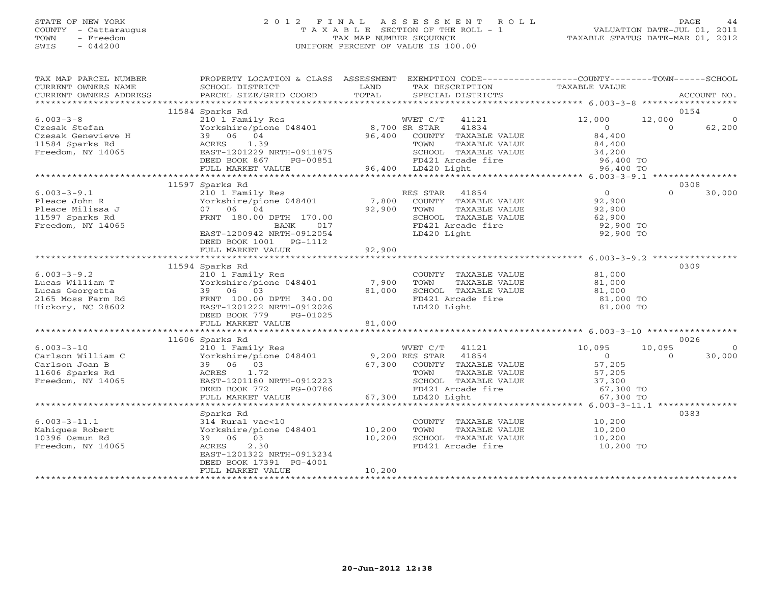# STATE OF NEW YORK 2 0 1 2 F I N A L A S S E S S M E N T R O L L PAGE 44 COUNTY - Cattaraugus T A X A B L E SECTION OF THE ROLL - 1 VALUATION DATE-JUL 01, 2011 TOWN - Freedom TAX MAP NUMBER SEQUENCE TAXABLE STATUS DATE-MAR 01, 2012 SWIS - 044200 UNIFORM PERCENT OF VALUE IS 100.00UNIFORM PERCENT OF VALUE IS 100.00

| TAX MAP PARCEL NUMBER<br>CURRENT OWNERS NAME<br>CURRENT OWNERS ADDRESS | PROPERTY LOCATION & CLASS ASSESSMENT<br>SCHOOL DISTRICT<br>PARCEL SIZE/GRID COORD | LAND<br>TAX DESCRIPTION<br>TOTAL<br>SPECIAL DISTRICTS | EXEMPTION CODE-----------------COUNTY-------TOWN------SCHOOL<br>TAXABLE VALUE | ACCOUNT NO.                             |
|------------------------------------------------------------------------|-----------------------------------------------------------------------------------|-------------------------------------------------------|-------------------------------------------------------------------------------|-----------------------------------------|
|                                                                        |                                                                                   |                                                       |                                                                               |                                         |
|                                                                        | 11584 Sparks Rd                                                                   |                                                       |                                                                               | 0154                                    |
| $6.003 - 3 - 8$<br>Czesak Stefan                                       | 210 1 Family Res<br>Yorkshire/pione 048401                                        | WVET C/T 41121<br>8,700 SR STAR                       | 12,000<br>41834<br>$\overline{0}$                                             | 12,000<br>$\circ$<br>62,200<br>$\Omega$ |
| Czesak Genevieve H                                                     | 39 06 04                                                                          | 96,400                                                | 84,400<br>COUNTY TAXABLE VALUE                                                |                                         |
| 11584 Sparks Rd                                                        | ACRES<br>1.39                                                                     | TOWN                                                  | TAXABLE VALUE<br>84,400                                                       |                                         |
| Freedom, NY 14065                                                      | EAST-1201229 NRTH-0911875                                                         |                                                       | SCHOOL TAXABLE VALUE<br>34,200                                                |                                         |
|                                                                        | DEED BOOK 867<br>PG-00851                                                         | FD421 Arcade fire                                     | 96,400 TO                                                                     |                                         |
|                                                                        | FULL MARKET VALUE                                                                 | 96,400 LD420 Light                                    | 96,400 TO                                                                     |                                         |
|                                                                        |                                                                                   |                                                       |                                                                               |                                         |
|                                                                        | 11597 Sparks Rd                                                                   |                                                       |                                                                               | 0308                                    |
| $6.003 - 3 - 9.1$                                                      | 210 1 Family Res                                                                  | RES STAR                                              | $\overline{0}$<br>41854                                                       | $\Omega$<br>30,000                      |
| Pleace John R                                                          | Zio i family Nes<br>Yorkshire/pione 048401                                        | 7,800<br>COUNTY TAXABLE VALUE                         | 92,900                                                                        |                                         |
| Pleace Milissa J                                                       | 07 06 04                                                                          | 92,900<br>TOWN                                        | TAXABLE VALUE<br>92,900                                                       |                                         |
| 11597 Sparks Rd                                                        | FRNT 180.00 DPTH 170.00                                                           |                                                       | SCHOOL TAXABLE VALUE<br>62,900                                                |                                         |
| Freedom, NY 14065                                                      | 017<br>BANK                                                                       | FD421 Arcade fire                                     | 92,900 TO                                                                     |                                         |
|                                                                        | EAST-1200942 NRTH-0912054                                                         | LD420 Light                                           |                                                                               | 92,900 TO                               |
|                                                                        | DEED BOOK 1001 PG-1112                                                            |                                                       |                                                                               |                                         |
|                                                                        | FULL MARKET VALUE                                                                 | 92,900                                                |                                                                               |                                         |
|                                                                        |                                                                                   |                                                       |                                                                               |                                         |
|                                                                        | 11594 Sparks Rd                                                                   |                                                       |                                                                               | 0309                                    |
| $6.003 - 3 - 9.2$                                                      | 210 1 Family Res                                                                  | COUNTY TAXABLE VALUE                                  | 81,000                                                                        |                                         |
| Lucas William T                                                        | Yorkshire/pione 048401                                                            | 7,900<br>TOWN                                         | TAXABLE VALUE<br>81,000                                                       |                                         |
| Lucas Georgetta                                                        | 39 06 03                                                                          | 81,000                                                | SCHOOL TAXABLE VALUE<br>81,000                                                |                                         |
| 2165 Moss Farm Rd                                                      | FRNT 100.00 DPTH 340.00                                                           |                                                       | FD421 Arcade fire<br>81,000 TO                                                |                                         |
| Hickory, NC 28602                                                      | EAST-1201222 NRTH-0912026                                                         | LD420 Light                                           |                                                                               | 81,000 TO                               |
|                                                                        | DEED BOOK 779<br>PG-01025                                                         |                                                       |                                                                               |                                         |
|                                                                        | FULL MARKET VALUE                                                                 | 81,000                                                |                                                                               |                                         |
|                                                                        |                                                                                   |                                                       |                                                                               |                                         |
|                                                                        | 11606 Sparks Rd                                                                   |                                                       |                                                                               | 0026                                    |
| $6.003 - 3 - 10$                                                       | 210 1 Family Res                                                                  | WVET C/T 41121                                        | 10,095                                                                        | 10,095<br>$\Omega$                      |
| Carlson William C                                                      | Yorkshire/pione 048401                                                            | 9,200 RES STAR                                        | 41854<br>$\overline{0}$<br>57,205                                             | 30,000<br>$\Omega$                      |
| Carlson Joan B                                                         | 39 06 03<br>1.72<br>ACRES                                                         | 67,300<br>COUNTY TAXABLE VALUE<br>TOWN                | TAXABLE VALUE                                                                 |                                         |
| 11606 Sparks Rd<br>Freedom, NY 14065                                   | EAST-1201180 NRTH-0912223                                                         | SCHOOL TAXABLE VALUE                                  | 57,205<br>37,300                                                              |                                         |
|                                                                        | DEED BOOK 772<br>PG-00786                                                         | FD421 Arcade fire                                     | 67,300 TO                                                                     |                                         |
|                                                                        | FULL MARKET VALUE                                                                 | 67,300 LD420 Light                                    |                                                                               | 67,300 TO                               |
|                                                                        |                                                                                   |                                                       |                                                                               |                                         |
|                                                                        | Sparks Rd                                                                         |                                                       |                                                                               | 0383                                    |
| $6.003 - 3 - 11.1$                                                     | 314 Rural vac<10                                                                  |                                                       | 10,200<br>COUNTY TAXABLE VALUE                                                |                                         |
| Mahiques Robert                                                        | Yorkshire/pione 048401                                                            | 10,200<br>TOWN                                        | TAXABLE VALUE<br>10,200                                                       |                                         |
| 10396 Osmun Rd                                                         | 39 06 03                                                                          | 10,200<br>SCHOOL TAXABLE VALUE                        | 10,200                                                                        |                                         |
| Freedom, NY 14065                                                      | 2.30<br>ACRES                                                                     | FD421 Arcade fire                                     | 10,200 TO                                                                     |                                         |
|                                                                        | EAST-1201322 NRTH-0913234                                                         |                                                       |                                                                               |                                         |
|                                                                        | DEED BOOK 17391 PG-4001                                                           |                                                       |                                                                               |                                         |
|                                                                        | FULL MARKET VALUE                                                                 | 10,200                                                |                                                                               |                                         |
|                                                                        |                                                                                   |                                                       |                                                                               |                                         |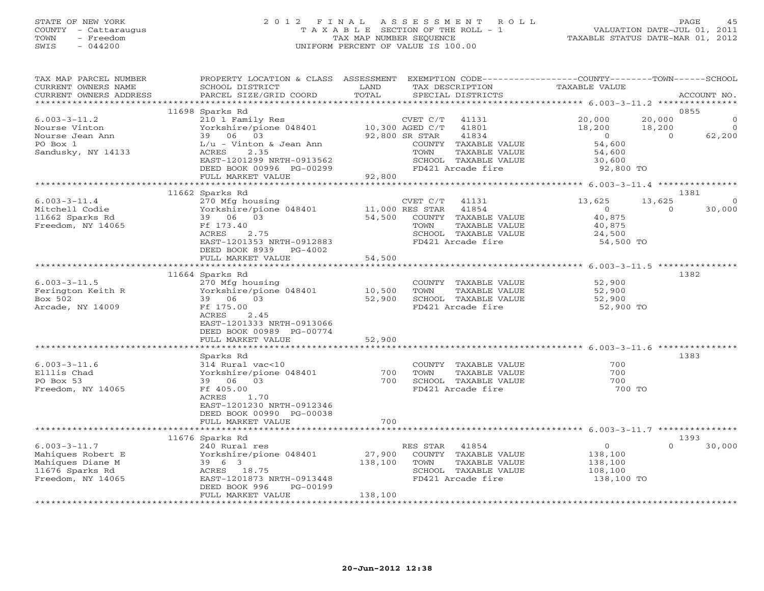## STATE OF NEW YORK 2 0 1 2 F I N A L A S S E S S M E N T R O L L PAGE 45 COUNTY - Cattaraugus T A X A B L E SECTION OF THE ROLL - 1 VALUATION DATE-JUL 01, 2011 TOWN - Freedom TAX MAP NUMBER SEQUENCE TAXABLE STATUS DATE-MAR 01, 2012 SWIS - 044200 UNIFORM PERCENT OF VALUE IS 100.00UNIFORM PERCENT OF VALUE IS 100.00

| TAX MAP PARCEL NUMBER<br>CURRENT OWNERS NAME<br>CURRENT OWNERS ADDRESS                              | PROPERTY LOCATION & CLASS ASSESSMENT<br>SCHOOL DISTRICT<br>PARCEL SIZE/GRID COORD                                                                                                                     | LAND<br>TOTAL                |                                                       | TAX DESCRIPTION<br>SPECIAL DISTRICTS                                                                          | EXEMPTION CODE-----------------COUNTY-------TOWN------SCHOOL<br><b>TAXABLE VALUE</b> |                              | ACCOUNT NO.                                  |
|-----------------------------------------------------------------------------------------------------|-------------------------------------------------------------------------------------------------------------------------------------------------------------------------------------------------------|------------------------------|-------------------------------------------------------|---------------------------------------------------------------------------------------------------------------|--------------------------------------------------------------------------------------|------------------------------|----------------------------------------------|
| ***********************                                                                             |                                                                                                                                                                                                       |                              |                                                       |                                                                                                               |                                                                                      |                              |                                              |
| $6.003 - 3 - 11.2$<br>Nourse Vinton<br>Nourse Jean Ann<br>PO Box 1<br>Sandusky, NY 14133            | 11698 Sparks Rd<br>210 1 Family Res<br>Yorkshire/pione 048401<br>39 06 03<br>$L/u - Vinton & Jean Ann$<br>ACRES<br>2.35<br>EAST-1201299 NRTH-0913562<br>DEED BOOK 00996 PG-00299<br>FULL MARKET VALUE | 92,800                       | CVET C/T<br>10,300 AGED C/T<br>92,800 SR STAR<br>TOWN | 41131<br>41801<br>41834<br>COUNTY TAXABLE VALUE<br>TAXABLE VALUE<br>SCHOOL TAXABLE VALUE<br>FD421 Arcade fire | 20,000<br>18,200<br>$\Omega$<br>54,600<br>54,600<br>30,600<br>92,800 TO              | 20,000<br>18,200<br>$\Omega$ | 0855<br>$\Omega$<br>$\overline{0}$<br>62,200 |
|                                                                                                     | * * * * * * * * * * * * * * *                                                                                                                                                                         |                              |                                                       |                                                                                                               |                                                                                      |                              |                                              |
| $6.003 - 3 - 11.4$<br>Mitchell Codie<br>11662 Sparks Rd<br>Freedom, NY 14065                        | 11662 Sparks Rd<br>270 Mfg housing<br>Yorkshire/pione 048401<br>39 06 03<br>Ff 173.40<br>ACRES<br>2.75<br>EAST-1201353 NRTH-0912883<br>DEED BOOK 8939<br>PG-4002                                      | 54,500                       | CVET C/T<br>11,000 RES STAR<br>TOWN                   | 41131<br>41854<br>COUNTY TAXABLE VALUE<br>TAXABLE VALUE<br>SCHOOL TAXABLE VALUE<br>FD421 Arcade fire          | 13,625<br>$\circ$<br>40,875<br>40,875<br>24,500<br>54,500 TO                         | 13,625<br>$\Omega$           | 1381<br>30,000                               |
|                                                                                                     | FULL MARKET VALUE                                                                                                                                                                                     | 54,500<br>**************     |                                                       |                                                                                                               | ******************** 6.003-3-11.5 **************                                     |                              |                                              |
| $6.003 - 3 - 11.5$<br>Ferington Keith R<br>Box 502<br>Arcade, NY 14009                              | 11664 Sparks Rd<br>270 Mfg housing<br>Yorkshire/pione 048401<br>39 06 03<br>Ff 175.00<br>ACRES<br>2.45<br>EAST-1201333 NRTH-0913066<br>DEED BOOK 00989 PG-00774<br>FULL MARKET VALUE                  | 10,500<br>52,900<br>52,900   | TOWN                                                  | COUNTY TAXABLE VALUE<br>TAXABLE VALUE<br>SCHOOL TAXABLE VALUE<br>FD421 Arcade fire                            | 52,900<br>52,900<br>52,900<br>52,900 TO                                              |                              | 1382                                         |
|                                                                                                     | Sparks Rd                                                                                                                                                                                             |                              |                                                       |                                                                                                               |                                                                                      |                              | 1383                                         |
| $6.003 - 3 - 11.6$<br>Elllis Chad<br>PO Box 53<br>Freedom, NY 14065                                 | 314 Rural vac<10<br>Yorkshire/pione 048401<br>39 06 03<br>Ff 405.00<br>ACRES<br>1.70<br>EAST-1201230 NRTH-0912346<br>DEED BOOK 00990 PG-00038                                                         | 700<br>700                   | TOWN                                                  | COUNTY TAXABLE VALUE<br>TAXABLE VALUE<br>SCHOOL TAXABLE VALUE<br>FD421 Arcade fire                            | 700<br>700<br>700<br>700 TO                                                          |                              |                                              |
|                                                                                                     | FULL MARKET VALUE                                                                                                                                                                                     | 700                          |                                                       |                                                                                                               |                                                                                      |                              |                                              |
|                                                                                                     | 11676 Sparks Rd                                                                                                                                                                                       |                              |                                                       |                                                                                                               |                                                                                      |                              | 1393                                         |
| $6.003 - 3 - 11.7$<br>Mahiques Robert E<br>Mahiques Diane M<br>11676 Sparks Rd<br>Freedom, NY 14065 | 240 Rural res<br>Yorkshire/pione 048401<br>39 6 3<br>ACRES 18.75<br>EAST-1201873 NRTH-0913448<br>DEED BOOK 996<br>PG-00199<br>FULL MARKET VALUE                                                       | 27,900<br>138,100<br>138,100 | RES STAR 41854<br>TOWN                                | COUNTY TAXABLE VALUE<br>TAXABLE VALUE<br>SCHOOL TAXABLE VALUE<br>FD421 Arcade fire                            | $\circ$<br>138,100<br>138,100<br>108,100<br>138,100 TO                               | $\Omega$                     | 30,000                                       |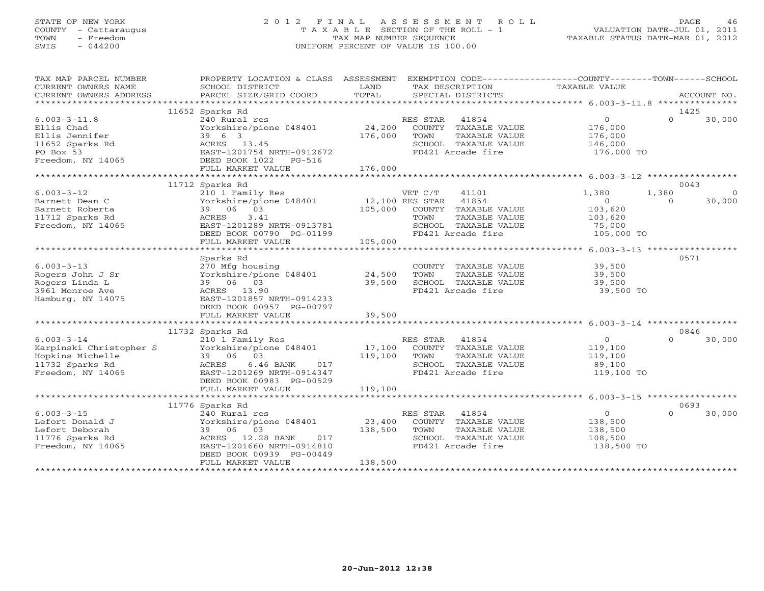## STATE OF NEW YORK 2 0 1 2 F I N A L A S S E S S M E N T R O L L PAGE 46 COUNTY - Cattaraugus T A X A B L E SECTION OF THE ROLL - 1 VALUATION DATE-JUL 01, 2011 TOWN - Freedom TAX MAP NUMBER SEQUENCE TAXABLE STATUS DATE-MAR 01, 2012 SWIS - 044200 UNIFORM PERCENT OF VALUE IS 100.00UNIFORM PERCENT OF VALUE IS 100.00

| TAX MAP PARCEL NUMBER<br>CURRENT OWNERS NAME<br>CURRENT OWNERS ADDRESS                                  | PROPERTY LOCATION & CLASS ASSESSMENT<br>SCHOOL DISTRICT<br>PARCEL SIZE/GRID COORD                                                                                                  | LAND<br>TOTAL                         | TAX DESCRIPTION<br>SPECIAL DISTRICTS                                                                                    | EXEMPTION CODE-----------------COUNTY-------TOWN-----SCHOOL<br>TAXABLE VALUE | ACCOUNT NO.                            |
|---------------------------------------------------------------------------------------------------------|------------------------------------------------------------------------------------------------------------------------------------------------------------------------------------|---------------------------------------|-------------------------------------------------------------------------------------------------------------------------|------------------------------------------------------------------------------|----------------------------------------|
|                                                                                                         |                                                                                                                                                                                    |                                       |                                                                                                                         |                                                                              |                                        |
| $6.003 - 3 - 11.8$<br>Ellis Chad<br>Ellis Jennifer<br>11652 Sparks Rd<br>PO Box 53<br>Freedom, NY 14065 | 11652 Sparks Rd<br>240 Rural res<br>Yorkshire/pione 048401<br>39 6 3<br>ACRES 13.45<br>EAST-1201754 NRTH-0912672<br>DEED BOOK 1022<br>$PG-516$<br>FULL MARKET VALUE                | 24,200<br>176,000<br>176,000          | RES STAR<br>41854<br>COUNTY TAXABLE VALUE<br>TAXABLE VALUE<br>TOWN<br>SCHOOL TAXABLE VALUE<br>FD421 Arcade fire         | $\circ$<br>176,000<br>176,000<br>146,000<br>176,000 TO                       | 1425<br>$\Omega$<br>30,000             |
|                                                                                                         |                                                                                                                                                                                    |                                       |                                                                                                                         |                                                                              |                                        |
| $6.003 - 3 - 12$<br>Barnett Dean C<br>Barnett Roberta<br>11712 Sparks Rd<br>Freedom, NY 14065           | 11712 Sparks Rd<br>210 1 Family Res<br>Yorkshire/pione 048401<br>39 06 03<br>3.41<br>ACRES<br>EAST-1201289 NRTH-0913781<br>DEED BOOK 00790 PG-01199<br>FULL MARKET VALUE           | 12,100 RES STAR<br>105,000<br>105,000 | VET C/T<br>41101<br>41854<br>COUNTY TAXABLE VALUE<br>TAXABLE VALUE<br>TOWN<br>SCHOOL TAXABLE VALUE<br>FD421 Arcade fire | 1,380<br>1,380<br>$\circ$<br>103,620<br>103,620<br>75,000<br>105,000 TO      | 0043<br>$\Omega$<br>30,000<br>$\Omega$ |
|                                                                                                         |                                                                                                                                                                                    |                                       |                                                                                                                         |                                                                              |                                        |
| $6.003 - 3 - 13$<br>Rogers John J Sr<br>Rogers Linda L<br>3961 Monroe Ave<br>Hamburg, NY 14075          | Sparks Rd<br>270 Mfg housing<br>Yorkshire/pione 048401<br>39 06 03<br>ACRES 13.90<br>EAST-1201857 NRTH-0914233<br>DEED BOOK 00957 PG-00797                                         | 24,500<br>39,500                      | COUNTY TAXABLE VALUE<br>TOWN<br>TAXABLE VALUE<br>SCHOOL TAXABLE VALUE<br>FD421 Arcade fire                              | 39,500<br>39,500<br>39,500<br>39,500 TO                                      | 0571                                   |
|                                                                                                         | FULL MARKET VALUE                                                                                                                                                                  | 39,500                                |                                                                                                                         |                                                                              |                                        |
|                                                                                                         |                                                                                                                                                                                    |                                       |                                                                                                                         |                                                                              |                                        |
| $6.003 - 3 - 14$<br>Karpinski Christopher S<br>Hopkins Michelle<br>11732 Sparks Rd<br>Freedom, NY 14065 | 11732 Sparks Rd<br>210 1 Family Res<br>Yorkshire/pione 048401<br>39 06 03<br>ACRES<br>$6.46$ BANK<br>017<br>EAST-1201269 NRTH-0914347<br>DEED BOOK 00983 PG-00529                  | 17,100<br>119,100                     | RES STAR<br>41854<br>COUNTY TAXABLE VALUE<br>TOWN<br>TAXABLE VALUE<br>SCHOOL TAXABLE VALUE<br>FD421 Arcade fire         | $\circ$<br>119,100<br>119,100<br>89,100<br>119,100 TO                        | 0846<br>30,000<br>$\cap$               |
|                                                                                                         | FULL MARKET VALUE                                                                                                                                                                  | 119,100                               |                                                                                                                         |                                                                              |                                        |
|                                                                                                         |                                                                                                                                                                                    |                                       |                                                                                                                         |                                                                              |                                        |
| $6.003 - 3 - 15$<br>Lefort Donald J<br>Lefort Deborah<br>11776 Sparks Rd<br>Freedom, NY 14065           | 11776 Sparks Rd<br>240 Rural res<br>Yorkshire/pione 048401<br>39 06 03<br>ACRES<br>12.28 BANK<br>017<br>EAST-1201660 NRTH-0914810<br>DEED BOOK 00939 PG-00449<br>FULL MARKET VALUE | 23,400<br>138,500<br>138,500          | RES STAR<br>41854<br>COUNTY TAXABLE VALUE<br>TOWN<br>TAXABLE VALUE<br>SCHOOL TAXABLE VALUE<br>FD421 Arcade fire         | $\circ$<br>138,500<br>138,500<br>108,500<br>138,500 TO                       | 0693<br>$\Omega$<br>30,000             |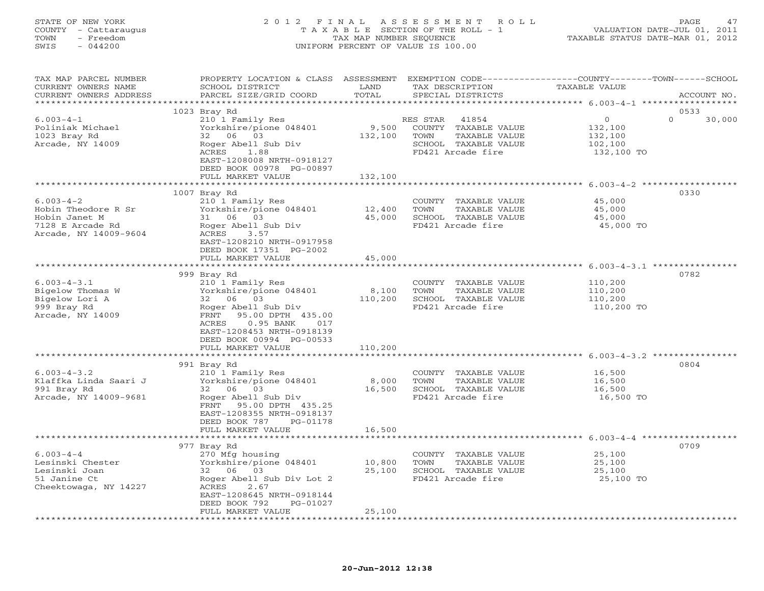## STATE OF NEW YORK 2 0 1 2 F I N A L A S S E S S M E N T R O L L PAGE 47 COUNTY - Cattaraugus T A X A B L E SECTION OF THE ROLL - 1 VALUATION DATE-JUL 01, 2011 TOWN - Freedom TAX MAP NUMBER SEQUENCE TAXABLE STATUS DATE-MAR 01, 2012 SWIS - 044200 UNIFORM PERCENT OF VALUE IS 100.00UNIFORM PERCENT OF VALUE IS 100.00

| TAX MAP PARCEL NUMBER<br>CURRENT OWNERS NAME<br>CURRENT OWNERS ADDRESS                               | PROPERTY LOCATION & CLASS ASSESSMENT<br>SCHOOL DISTRICT<br>PARCEL SIZE/GRID COORD                                                                                                                  | LAND<br>TOTAL    | TAX DESCRIPTION<br>SPECIAL DISTRICTS                                                                            | EXEMPTION CODE-----------------COUNTY-------TOWN------SCHOOL<br><b>TAXABLE VALUE</b> | ACCOUNT NO. |
|------------------------------------------------------------------------------------------------------|----------------------------------------------------------------------------------------------------------------------------------------------------------------------------------------------------|------------------|-----------------------------------------------------------------------------------------------------------------|--------------------------------------------------------------------------------------|-------------|
| *****************                                                                                    |                                                                                                                                                                                                    |                  |                                                                                                                 |                                                                                      |             |
|                                                                                                      | 1023 Bray Rd                                                                                                                                                                                       |                  |                                                                                                                 | 0533                                                                                 |             |
| $6.003 - 4 - 1$<br>Poliniak Michael<br>1023 Bray Rd<br>Arcade, NY 14009                              | 210 1 Family Res<br>Yorkshire/pione 048401<br>32 06 03<br>Roger Abell Sub Div<br>1.88<br>ACRES<br>EAST-1208008 NRTH-0918127<br>DEED BOOK 00978 PG-00897                                            | 9,500<br>132,100 | RES STAR<br>41854<br>COUNTY TAXABLE VALUE<br>TOWN<br>TAXABLE VALUE<br>SCHOOL TAXABLE VALUE<br>FD421 Arcade fire | $\mathbf 0$<br>$\Omega$<br>132,100<br>132,100<br>102,100<br>132,100 TO               | 30,000      |
|                                                                                                      | FULL MARKET VALUE                                                                                                                                                                                  | 132,100          |                                                                                                                 |                                                                                      |             |
|                                                                                                      | ************************                                                                                                                                                                           | **************** |                                                                                                                 |                                                                                      |             |
|                                                                                                      | 1007 Bray Rd                                                                                                                                                                                       |                  |                                                                                                                 | 0330                                                                                 |             |
| $6.003 - 4 - 2$<br>Hobin Theodore R Sr<br>Hobin Janet M<br>7128 E Arcade Rd<br>Arcade, NY 14009-9604 | 210 1 Family Res<br>Yorkshire/pione 048401<br>31 06 03<br>Roger Abell Sub Div<br>ACRES<br>3.57<br>EAST-1208210 NRTH-0917958                                                                        | 12,400<br>45,000 | COUNTY TAXABLE VALUE<br>TOWN<br>TAXABLE VALUE<br>SCHOOL TAXABLE VALUE<br>FD421 Arcade fire                      | 45,000<br>45,000<br>45,000<br>45,000 TO                                              |             |
|                                                                                                      | DEED BOOK 17351 PG-2002                                                                                                                                                                            |                  |                                                                                                                 |                                                                                      |             |
|                                                                                                      | FULL MARKET VALUE                                                                                                                                                                                  | 45,000           |                                                                                                                 |                                                                                      |             |
|                                                                                                      |                                                                                                                                                                                                    |                  |                                                                                                                 |                                                                                      |             |
|                                                                                                      | 999 Bray Rd                                                                                                                                                                                        |                  |                                                                                                                 | 0782                                                                                 |             |
| $6.003 - 4 - 3.1$<br>Bigelow Thomas W<br>Bigelow Lori A<br>999 Bray Rd<br>Arcade, NY 14009           | 210 1 Family Res<br>Yorkshire/pione 048401<br>32 06 03<br>Roger Abell Sub Div<br>95.00 DPTH 435.00<br>FRNT<br>ACRES<br>$0.95$ BANK<br>017<br>EAST-1208453 NRTH-0918139<br>DEED BOOK 00994 PG-00533 | 8,100<br>110,200 | COUNTY TAXABLE VALUE<br>TOWN<br>TAXABLE VALUE<br>SCHOOL TAXABLE VALUE<br>FD421 Arcade fire                      | 110,200<br>110,200<br>110,200<br>110,200 TO                                          |             |
|                                                                                                      | FULL MARKET VALUE                                                                                                                                                                                  | 110,200          |                                                                                                                 |                                                                                      |             |
|                                                                                                      |                                                                                                                                                                                                    | ***********      |                                                                                                                 |                                                                                      |             |
|                                                                                                      | 991 Bray Rd                                                                                                                                                                                        |                  |                                                                                                                 | 0804                                                                                 |             |
| $6.003 - 4 - 3.2$<br>Klaffka Linda Saari J<br>991 Bray Rd<br>Arcade, NY 14009-9681                   | 210 1 Family Res<br>Yorkshire/pione 048401<br>32 06 03<br>Roger Abell Sub Div<br>FRNT 95.00 DPTH 435.25<br>EAST-1208355 NRTH-0918137<br>DEED BOOK 787<br>PG-01178                                  | 8,000<br>16,500  | COUNTY TAXABLE VALUE<br>TOWN<br>TAXABLE VALUE<br>SCHOOL TAXABLE VALUE<br>FD421 Arcade fire                      | 16,500<br>16,500<br>16,500<br>16,500 TO                                              |             |
|                                                                                                      | FULL MARKET VALUE                                                                                                                                                                                  | 16,500           |                                                                                                                 |                                                                                      |             |
|                                                                                                      |                                                                                                                                                                                                    |                  |                                                                                                                 |                                                                                      |             |
|                                                                                                      | 977 Bray Rd                                                                                                                                                                                        |                  |                                                                                                                 | 0709                                                                                 |             |
| $6.003 - 4 - 4$<br>Lesinski Chester                                                                  | 270 Mfg housing<br>Yorkshire/pione 048401                                                                                                                                                          | 10,800           | COUNTY TAXABLE VALUE<br>TOWN<br>TAXABLE VALUE                                                                   | 25,100<br>25,100                                                                     |             |
| Lesinski Joan                                                                                        | 32 06 03                                                                                                                                                                                           | 25,100           | SCHOOL TAXABLE VALUE                                                                                            | 25,100                                                                               |             |
| 51 Janine Ct                                                                                         | Roger Abell Sub Div Lot 2                                                                                                                                                                          |                  | FD421 Arcade fire                                                                                               | 25,100 TO                                                                            |             |
| Cheektowaga, NY 14227                                                                                | ACRES<br>2.67<br>EAST-1208645 NRTH-0918144<br>DEED BOOK 792<br>PG-01027                                                                                                                            |                  |                                                                                                                 |                                                                                      |             |
|                                                                                                      | FULL MARKET VALUE                                                                                                                                                                                  | 25,100           |                                                                                                                 |                                                                                      |             |
|                                                                                                      |                                                                                                                                                                                                    |                  |                                                                                                                 |                                                                                      |             |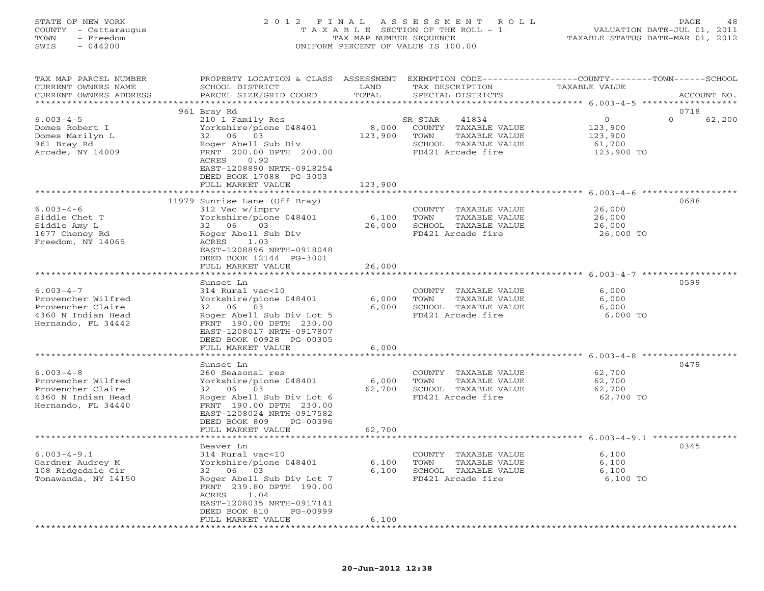#### STATE OF NEW YORK 2 0 1 2 F I N A L A S S E S S M E N T R O L L PAGE 48 COUNTY - Cattaraugus T A X A B L E SECTION OF THE ROLL - 1 VALUATION DATE-JUL 01, 2011 TOWN - Freedom TAX MAP NUMBER SEQUENCE TAXABLE STATUS DATE-MAR 01, 2012 SWIS - 044200 UNIFORM PERCENT OF VALUE IS 100.00UNIFORM PERCENT OF VALUE IS 100.00

| TAX MAP PARCEL NUMBER<br>CURRENT OWNERS NAME<br>CURRENT OWNERS ADDRESS<br>*************************    | PROPERTY LOCATION & CLASS ASSESSMENT<br>SCHOOL DISTRICT<br>PARCEL SIZE/GRID COORD                                                                                                         | LAND<br>TOTAL    | TAX DESCRIPTION<br>SPECIAL DISTRICTS                                                                           | EXEMPTION CODE-----------------COUNTY-------TOWN------SCHOOL<br><b>TAXABLE VALUE</b> | ACCOUNT NO.                |
|--------------------------------------------------------------------------------------------------------|-------------------------------------------------------------------------------------------------------------------------------------------------------------------------------------------|------------------|----------------------------------------------------------------------------------------------------------------|--------------------------------------------------------------------------------------|----------------------------|
|                                                                                                        |                                                                                                                                                                                           |                  |                                                                                                                |                                                                                      |                            |
| $6.003 - 4 - 5$<br>Domes Robert I<br>Domes Marilyn L<br>961 Bray Rd<br>Arcade, NY 14009                | 961 Bray Rd<br>210 1 Family Res<br>Yorkshire/pione 048401<br>32 06 03<br>Roger Abell Sub Div<br>FRNT 200.00 DPTH 200.00<br>ACRES<br>0.92<br>EAST-1208890 NRTH-0918254                     | 8,000<br>123,900 | 41834<br>SR STAR<br>COUNTY TAXABLE VALUE<br>TOWN<br>TAXABLE VALUE<br>SCHOOL TAXABLE VALUE<br>FD421 Arcade fire | $\mathbf{O}$<br>123,900<br>123,900<br>61,700<br>123,900 TO                           | 0718<br>$\Omega$<br>62,200 |
|                                                                                                        | DEED BOOK 17088 PG-3003<br>FULL MARKET VALUE                                                                                                                                              | 123,900          |                                                                                                                |                                                                                      |                            |
|                                                                                                        |                                                                                                                                                                                           |                  |                                                                                                                |                                                                                      |                            |
| $6.003 - 4 - 6$<br>Siddle Chet T<br>Siddle Amy L<br>1677 Cheney Rd<br>Freedom, NY 14065                | 11979 Sunrise Lane (Off Bray)<br>312 Vac w/imprv<br>Yorkshire/pione 048401<br>32 06<br>03<br>Roger Abell Sub Div<br>1.03<br>ACRES                                                         | 6,100<br>26,000  | COUNTY TAXABLE VALUE<br>TOWN<br>TAXABLE VALUE<br>SCHOOL TAXABLE VALUE<br>FD421 Arcade fire                     | 26,000<br>26,000<br>26,000<br>26,000 TO                                              | 0688                       |
|                                                                                                        | EAST-1208896 NRTH-0918048<br>DEED BOOK 12144 PG-3001<br>FULL MARKET VALUE<br>*****************                                                                                            | 26,000           |                                                                                                                |                                                                                      |                            |
|                                                                                                        |                                                                                                                                                                                           | ********         |                                                                                                                | ********************** 6.003-4-7 ******************                                  |                            |
| $6.003 - 4 - 7$<br>Provencher Wilfred<br>Provencher Claire<br>4360 N Indian Head<br>Hernando, FL 34442 | Sunset Ln<br>314 Rural vac<10<br>Yorkshire/pione 048401<br>32 06 03<br>Roger Abell Sub Div Lot 5<br>FRNT 190.00 DPTH 230.00<br>EAST-1208017 NRTH-0917807<br>DEED BOOK 00928 PG-00305      | 6,000<br>6,000   | COUNTY TAXABLE VALUE<br>TOWN<br>TAXABLE VALUE<br>SCHOOL TAXABLE VALUE<br>FD421 Arcade fire                     | 6,000<br>6,000<br>6,000<br>6,000 TO                                                  | 0599                       |
|                                                                                                        | FULL MARKET VALUE                                                                                                                                                                         | 6,000            |                                                                                                                |                                                                                      |                            |
| $6.003 - 4 - 8$<br>Provencher Wilfred<br>Provencher Claire<br>4360 N Indian Head<br>Hernando, FL 34440 | Sunset Ln<br>260 Seasonal res<br>Yorkshire/pione 048401<br>32 06 03<br>Roger Abell Sub Div Lot 6<br>FRNT 190.00 DPTH 230.00<br>EAST-1208024 NRTH-0917582<br>DEED BOOK 809<br>PG-00396     | 6,000<br>62,700  | COUNTY TAXABLE VALUE<br>TOWN<br>TAXABLE VALUE<br>SCHOOL TAXABLE VALUE<br>FD421 Arcade fire                     | 62,700<br>62,700<br>62,700<br>62,700 TO                                              | 0479                       |
|                                                                                                        | FULL MARKET VALUE                                                                                                                                                                         | 62,700           |                                                                                                                |                                                                                      |                            |
|                                                                                                        | ******************                                                                                                                                                                        | ************     |                                                                                                                | ******************************** 6.003-4-9.1 ****************                        |                            |
|                                                                                                        | Beaver Ln                                                                                                                                                                                 |                  |                                                                                                                |                                                                                      | 0345                       |
| $6.003 - 4 - 9.1$<br>Gardner Audrey M<br>108 Ridgedale Cir<br>Tonawanda, NY 14150                      | 314 Rural vac<10<br>Yorkshire/pione 048401<br>32 06 03<br>Roger Abell Sub Div Lot 7<br>FRNT 239.80 DPTH 190.00<br>1.04<br>ACRES<br>EAST-1208035 NRTH-0917141<br>PG-00999<br>DEED BOOK 810 | 6,100<br>6,100   | COUNTY TAXABLE VALUE<br>TOWN<br>TAXABLE VALUE<br>SCHOOL TAXABLE VALUE<br>FD421 Arcade fire                     | 6,100<br>6,100<br>6,100<br>6,100 TO                                                  |                            |
|                                                                                                        | FULL MARKET VALUE                                                                                                                                                                         | 6,100            |                                                                                                                |                                                                                      |                            |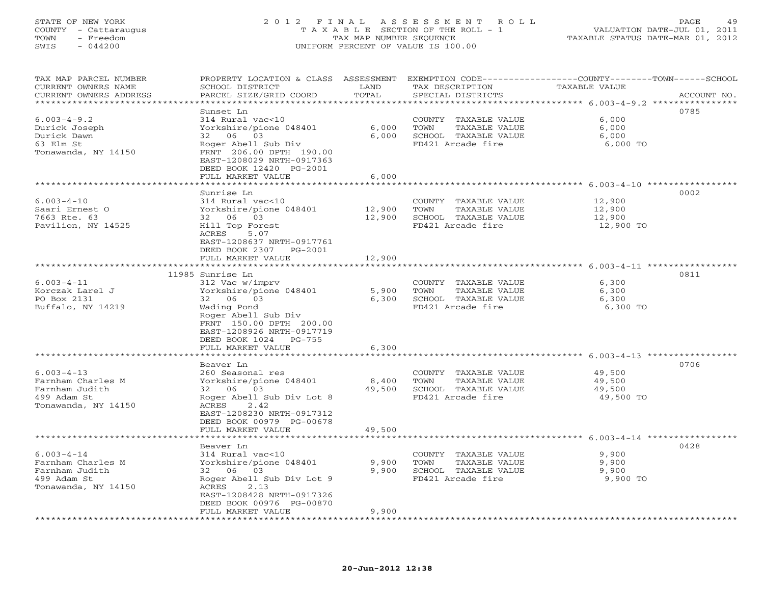## STATE OF NEW YORK 2 0 1 2 F I N A L A S S E S S M E N T R O L L PAGE 49 COUNTY - Cattaraugus T A X A B L E SECTION OF THE ROLL - 1 VALUATION DATE-JUL 01, 2011 TOWN - Freedom TAX MAP NUMBER SEQUENCE TAXABLE STATUS DATE-MAR 01, 2012 SWIS - 044200 UNIFORM PERCENT OF VALUE IS 100.00UNIFORM PERCENT OF VALUE IS 100.00

| TAX MAP PARCEL NUMBER<br>CURRENT OWNERS NAME | PROPERTY LOCATION & CLASS ASSESSMENT<br>SCHOOL DISTRICT | LAND                | EXEMPTION CODE-----------------COUNTY-------TOWN------SCHOOL<br>TAX DESCRIPTION | TAXABLE VALUE                                                      |             |
|----------------------------------------------|---------------------------------------------------------|---------------------|---------------------------------------------------------------------------------|--------------------------------------------------------------------|-------------|
| CURRENT OWNERS ADDRESS                       | PARCEL SIZE/GRID COORD                                  | TOTAL               | SPECIAL DISTRICTS                                                               |                                                                    | ACCOUNT NO. |
| *******************                          |                                                         | * * * * * * * * * * | ************************************* 6.003-4-9.2 ****************              |                                                                    |             |
|                                              | Sunset Ln                                               |                     |                                                                                 |                                                                    | 0785        |
| $6.003 - 4 - 9.2$                            | 314 Rural vac<10                                        |                     | COUNTY TAXABLE VALUE                                                            | 6,000                                                              |             |
| Durick Joseph                                | Yorkshire/pione 048401                                  | 6,000               | TOWN<br>TAXABLE VALUE                                                           | 6,000                                                              |             |
| Durick Dawn                                  | 32 06 03                                                | 6,000               | SCHOOL TAXABLE VALUE                                                            | 6,000                                                              |             |
| 63 Elm St                                    | Roger Abell Sub Div                                     |                     | FD421 Arcade fire                                                               | 6,000 TO                                                           |             |
| Tonawanda, NY 14150                          | FRNT 206.00 DPTH 190.00                                 |                     |                                                                                 |                                                                    |             |
|                                              | EAST-1208029 NRTH-0917363                               |                     |                                                                                 |                                                                    |             |
|                                              | DEED BOOK 12420 PG-2001                                 |                     |                                                                                 |                                                                    |             |
|                                              | FULL MARKET VALUE                                       | 6,000               |                                                                                 |                                                                    |             |
|                                              | ******************                                      | ***********         |                                                                                 | *************************************6.003-4-10 ****************** |             |
|                                              | Sunrise Ln                                              |                     |                                                                                 |                                                                    | 0002        |
| $6.003 - 4 - 10$                             | 314 Rural vac<10                                        |                     | COUNTY TAXABLE VALUE                                                            | 12,900                                                             |             |
| Saari Ernest O                               | Yorkshire/pione 048401                                  | 12,900              | TOWN<br>TAXABLE VALUE                                                           | 12,900                                                             |             |
| 7663 Rte. 63                                 | 32 06 03                                                | 12,900              | SCHOOL TAXABLE VALUE                                                            | 12,900                                                             |             |
| Pavilion, NY 14525                           | Hill Top Forest                                         |                     | FD421 Arcade fire                                                               | 12,900 TO                                                          |             |
|                                              | ACRES<br>5.07                                           |                     |                                                                                 |                                                                    |             |
|                                              | EAST-1208637 NRTH-0917761                               |                     |                                                                                 |                                                                    |             |
|                                              | DEED BOOK 2307<br>$PG-2001$                             |                     |                                                                                 |                                                                    |             |
|                                              | FULL MARKET VALUE<br>************************           | 12,900              |                                                                                 |                                                                    |             |
|                                              | 11985 Sunrise Ln                                        |                     |                                                                                 |                                                                    | 0811        |
| $6.003 - 4 - 11$                             | 312 Vac w/imprv                                         |                     | COUNTY TAXABLE VALUE                                                            | 6,300                                                              |             |
| Korczak Larel J                              | Yorkshire/pione 048401                                  | 5,900               | TOWN<br>TAXABLE VALUE                                                           | 6,300                                                              |             |
| PO Box 2131                                  | 32 06 03                                                | 6,300               | SCHOOL TAXABLE VALUE                                                            | 6,300                                                              |             |
| Buffalo, NY 14219                            | Wading Pond                                             |                     | FD421 Arcade fire                                                               | 6,300 TO                                                           |             |
|                                              | Roger Abell Sub Div                                     |                     |                                                                                 |                                                                    |             |
|                                              | FRNT 150.00 DPTH 200.00                                 |                     |                                                                                 |                                                                    |             |
|                                              | EAST-1208926 NRTH-0917719                               |                     |                                                                                 |                                                                    |             |
|                                              | DEED BOOK 1024<br>PG-755                                |                     |                                                                                 |                                                                    |             |
|                                              | FULL MARKET VALUE                                       | 6,300               |                                                                                 |                                                                    |             |
|                                              | *********************                                   |                     |                                                                                 |                                                                    |             |
|                                              | Beaver Ln                                               |                     |                                                                                 |                                                                    | 0706        |
| $6.003 - 4 - 13$                             | 260 Seasonal res                                        |                     | COUNTY TAXABLE VALUE                                                            | 49,500                                                             |             |
| Farnham Charles M                            | Yorkshire/pione 048401                                  | 8,400               | TOWN<br>TAXABLE VALUE                                                           | 49,500                                                             |             |
| Farnham Judith                               | 32 06 03                                                | 49,500              | SCHOOL TAXABLE VALUE                                                            | 49,500                                                             |             |
| 499 Adam St                                  | Roger Abell Sub Div Lot 8                               |                     | FD421 Arcade fire                                                               | 49,500 TO                                                          |             |
| Tonawanda, NY 14150                          | ACRES<br>2.42                                           |                     |                                                                                 |                                                                    |             |
|                                              | EAST-1208230 NRTH-0917312                               |                     |                                                                                 |                                                                    |             |
|                                              | DEED BOOK 00979 PG-00678                                |                     |                                                                                 |                                                                    |             |
|                                              | FULL MARKET VALUE                                       | 49,500              |                                                                                 |                                                                    |             |
|                                              |                                                         | $******$            |                                                                                 | *********** 6.003-4-14 **************                              |             |
|                                              | Beaver Ln                                               |                     |                                                                                 |                                                                    | 0428        |
| $6.003 - 4 - 14$                             | 314 Rural vac<10                                        |                     | COUNTY TAXABLE VALUE                                                            | 9,900                                                              |             |
| Farnham Charles M                            | Yorkshire/pione 048401                                  | 9,900               | TAXABLE VALUE<br>TOWN                                                           | 9,900                                                              |             |
| Farnham Judith                               | 32 06 03                                                | 9,900               | SCHOOL TAXABLE VALUE                                                            | 9,900                                                              |             |
| 499 Adam St                                  | Roger Abell Sub Div Lot 9                               |                     | FD421 Arcade fire                                                               | 9,900 TO                                                           |             |
| Tonawanda, NY 14150                          | ACRES<br>2.13                                           |                     |                                                                                 |                                                                    |             |
|                                              | EAST-1208428 NRTH-0917326                               |                     |                                                                                 |                                                                    |             |
|                                              | DEED BOOK 00976 PG-00870<br>FULL MARKET VALUE           |                     |                                                                                 |                                                                    |             |
| **********************                       | *********************                                   | 9,900               |                                                                                 |                                                                    |             |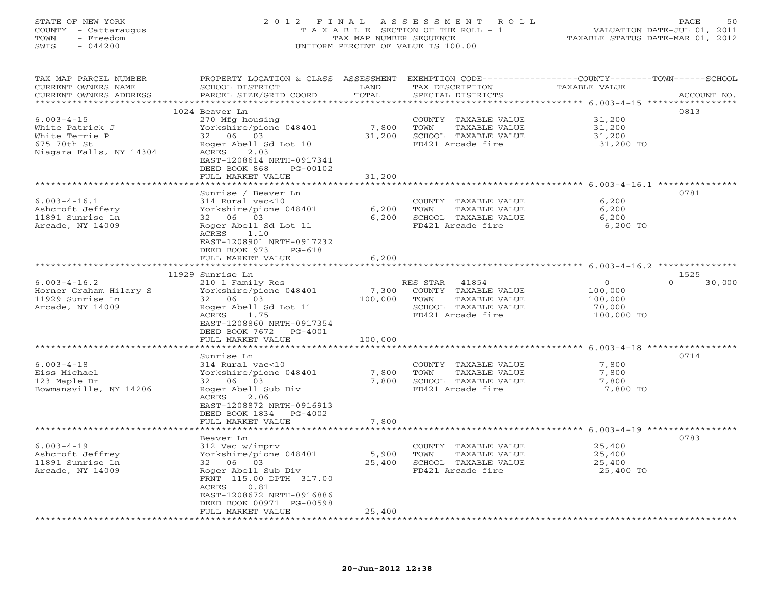# STATE OF NEW YORK 2 0 1 2 F I N A L A S S E S S M E N T R O L L PAGE 50 COUNTY - Cattaraugus T A X A B L E SECTION OF THE ROLL - 1 VALUATION DATE-JUL 01, 2011 TOWN - Freedom **TAX MAP NUMBER SEQUENCE** TAXABLE STATUS DATE-MAR 01, 2012<br>TAXABLE STATUS DATE-MAR 01, 2012 SWIS - 044200 UNIFORM PERCENT OF VALUE IS 100.00

| TAX MAP PARCEL NUMBER<br>CURRENT OWNERS NAME                                                    | PROPERTY LOCATION & CLASS ASSESSMENT<br>SCHOOL DISTRICT                                                                    | LAND                     | TAX DESCRIPTION                                                                            | EXEMPTION CODE-----------------COUNTY-------TOWN------SCHOOL<br>TAXABLE VALUE |                    |
|-------------------------------------------------------------------------------------------------|----------------------------------------------------------------------------------------------------------------------------|--------------------------|--------------------------------------------------------------------------------------------|-------------------------------------------------------------------------------|--------------------|
| CURRENT OWNERS ADDRESS                                                                          | PARCEL SIZE/GRID COORD                                                                                                     | TOTAL<br>* * * * * * * * | SPECIAL DISTRICTS                                                                          | ********** 6.003-4-15 ****                                                    | ACCOUNT NO.        |
|                                                                                                 | 1024 Beaver Ln                                                                                                             |                          |                                                                                            |                                                                               | 0813               |
| $6.003 - 4 - 15$<br>White Patrick J<br>White Terrie P<br>675 70th St<br>Niagara Falls, NY 14304 | 270 Mfg housing<br>Yorkshire/pione 048401<br>32 06 03<br>Roger Abell Sd Lot 10<br>ACRES<br>2.03                            | 7,800<br>31,200          | COUNTY TAXABLE VALUE<br>TOWN<br>TAXABLE VALUE<br>SCHOOL TAXABLE VALUE<br>FD421 Arcade fire | 31,200<br>31,200<br>31,200<br>31,200 TO                                       |                    |
|                                                                                                 | EAST-1208614 NRTH-0917341<br>DEED BOOK 868<br>PG-00102                                                                     |                          |                                                                                            |                                                                               |                    |
|                                                                                                 | FULL MARKET VALUE                                                                                                          | 31,200                   |                                                                                            | ******************** 6.003-4-16.1 **********                                  |                    |
|                                                                                                 | Sunrise / Beaver Ln                                                                                                        |                          |                                                                                            |                                                                               | 0781               |
| $6.003 - 4 - 16.1$<br>Ashcroft Jeffery<br>11891 Sunrise Ln<br>Arcade, NY 14009                  | 314 Rural vac<10<br>Yorkshire/pione 048401<br>32 06 03<br>Roger Abell Sd Lot 11<br>ACRES 1.10<br>EAST-1208901 NRTH-0917232 | 6,200<br>6,200           | COUNTY TAXABLE VALUE<br>TOWN<br>TAXABLE VALUE<br>SCHOOL TAXABLE VALUE<br>FD421 Arcade fire | 6,200<br>6,200<br>6,200<br>6,200 TO                                           |                    |
|                                                                                                 | DEED BOOK 973<br>$PG-618$                                                                                                  |                          |                                                                                            |                                                                               |                    |
|                                                                                                 | FULL MARKET VALUE                                                                                                          | 6,200                    |                                                                                            | ********************************* 6.003-4-16.2 ***************                |                    |
|                                                                                                 | 11929 Sunrise Ln                                                                                                           |                          |                                                                                            |                                                                               | 1525               |
| $6.003 - 4 - 16.2$                                                                              | 210 1 Family Res                                                                                                           |                          | RES STAR 41854                                                                             | $\overline{0}$                                                                | $\Omega$<br>30,000 |
| Horner Graham Hilary S                                                                          | Yorkshire/pione 048401                                                                                                     | 7,300                    | COUNTY TAXABLE VALUE                                                                       | 100,000                                                                       |                    |
| 11929 Sunrise Ln                                                                                | 32 06 03                                                                                                                   | 100,000                  | TOWN<br>TAXABLE VALUE                                                                      | 100,000                                                                       |                    |
| Arcade, NY 14009                                                                                | Roger Abell Sd Lot 11<br>ACRES<br>1.75                                                                                     |                          | SCHOOL TAXABLE VALUE<br>FD421 Arcade fire                                                  | 70,000<br>100,000 TO                                                          |                    |
|                                                                                                 | EAST-1208860 NRTH-0917354<br>DEED BOOK 7672 PG-4001                                                                        |                          |                                                                                            |                                                                               |                    |
|                                                                                                 | FULL MARKET VALUE                                                                                                          | 100,000                  |                                                                                            |                                                                               |                    |
|                                                                                                 |                                                                                                                            |                          |                                                                                            |                                                                               |                    |
|                                                                                                 | Sunrise Ln                                                                                                                 |                          |                                                                                            |                                                                               | 0714               |
| $6.003 - 4 - 18$                                                                                | 314 Rural vac<10                                                                                                           |                          | COUNTY TAXABLE VALUE                                                                       | 7,800                                                                         |                    |
| Eiss Michael                                                                                    | Yorkshire/pione 048401                                                                                                     | 7,800                    | TOWN<br>TAXABLE VALUE                                                                      | 7,800                                                                         |                    |
| 123 Maple Dr<br>Bowmansville, NY 14206                                                          | 32 06 03<br>Roger Abell Sub Div                                                                                            | 7,800                    | SCHOOL TAXABLE VALUE<br>FD421 Arcade fire                                                  | 7,800<br>7,800 TO                                                             |                    |
|                                                                                                 | ACRES<br>2.06<br>EAST-1208872 NRTH-0916913<br>DEED BOOK 1834 PG-4002                                                       |                          |                                                                                            |                                                                               |                    |
|                                                                                                 | FULL MARKET VALUE                                                                                                          | 7,800                    |                                                                                            |                                                                               |                    |
|                                                                                                 |                                                                                                                            |                          |                                                                                            | ********************************* 6.003-4-19 ****************                 |                    |
|                                                                                                 | Beaver Ln                                                                                                                  |                          |                                                                                            |                                                                               | 0783               |
| $6.003 - 4 - 19$                                                                                | 312 Vac w/imprv                                                                                                            |                          | COUNTY TAXABLE VALUE<br>TOWN                                                               | 25,400<br>25,400                                                              |                    |
| Ashcroft Jeffrey<br>11891 Sunrise Ln                                                            | Yorkshire/pione 048401<br>32 06 03                                                                                         | 5,900<br>25,400          | TAXABLE VALUE<br>SCHOOL TAXABLE VALUE                                                      | 25,400                                                                        |                    |
| Arcade, NY 14009                                                                                | Roger Abell Sub Div                                                                                                        |                          | FD421 Arcade fire                                                                          | 25,400 TO                                                                     |                    |
|                                                                                                 | FRNT 115.00 DPTH 317.00<br>ACRES<br>0.81<br>EAST-1208672 NRTH-0916886                                                      |                          |                                                                                            |                                                                               |                    |
|                                                                                                 | DEED BOOK 00971 PG-00598                                                                                                   |                          |                                                                                            |                                                                               |                    |
|                                                                                                 | FULL MARKET VALUE                                                                                                          | 25,400                   |                                                                                            |                                                                               |                    |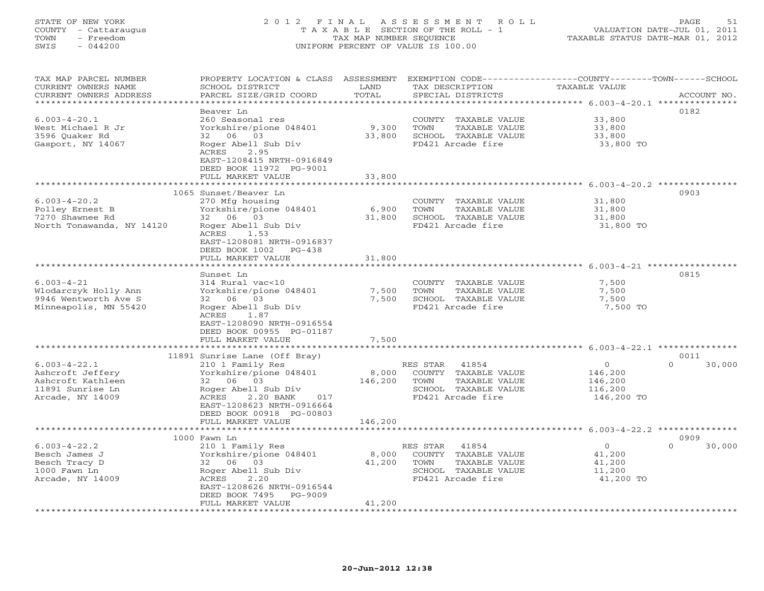# STATE OF NEW YORK 2 0 1 2 F I N A L A S S E S S M E N T R O L L PAGE 51 COUNTY - Cattaraugus T A X A B L E SECTION OF THE ROLL - 1 VALUATION DATE-JUL 01, 2011 TOWN - Freedom TAX MAP NUMBER SEQUENCE TAXABLE STATUS DATE-MAR 01, 2012 SWIS - 044200 UNIFORM PERCENT OF VALUE IS 100.00UNIFORM PERCENT OF VALUE IS 100.00

| TAX MAP PARCEL NUMBER<br>CURRENT OWNERS NAME | PROPERTY LOCATION & CLASS ASSESSMENT<br>SCHOOL DISTRICT | LAND           | EXEMPTION CODE-----------------COUNTY-------TOWN------SCHOOL<br>TAX DESCRIPTION | TAXABLE VALUE                                                |                    |
|----------------------------------------------|---------------------------------------------------------|----------------|---------------------------------------------------------------------------------|--------------------------------------------------------------|--------------------|
| CURRENT OWNERS ADDRESS                       | PARCEL SIZE/GRID COORD                                  | TOTAL          | SPECIAL DISTRICTS                                                               |                                                              | ACCOUNT NO.        |
| ***********************                      |                                                         |                |                                                                                 |                                                              |                    |
|                                              | Beaver Ln                                               |                |                                                                                 |                                                              | 0182               |
| $6.003 - 4 - 20.1$                           | 260 Seasonal res                                        |                | COUNTY TAXABLE VALUE                                                            | 33,800                                                       |                    |
| West Michael R Jr                            | Yorkshire/pione 048401                                  | 9,300          | TOWN<br>TAXABLE VALUE                                                           | 33,800                                                       |                    |
| 3596 Quaker Rd                               | 32 06 03                                                | 33,800         | SCHOOL TAXABLE VALUE                                                            | 33,800                                                       |                    |
| Gasport, NY 14067                            | Roger Abell Sub Div                                     |                | FD421 Arcade fire                                                               | 33,800 TO                                                    |                    |
|                                              | ACRES<br>2.95                                           |                |                                                                                 |                                                              |                    |
|                                              | EAST-1208415 NRTH-0916849                               |                |                                                                                 |                                                              |                    |
|                                              | DEED BOOK 11972 PG-9001                                 |                |                                                                                 |                                                              |                    |
|                                              | FULL MARKET VALUE                                       | 33,800         |                                                                                 |                                                              |                    |
|                                              | *******************                                     | *********      |                                                                                 | ****************************** 6.003-4-20.2 ***************  |                    |
|                                              | 1065 Sunset/Beaver Ln                                   |                |                                                                                 |                                                              | 0903               |
| $6.003 - 4 - 20.2$                           | 270 Mfg housing                                         |                | COUNTY TAXABLE VALUE                                                            | 31,800                                                       |                    |
| Polley Ernest B                              | Yorkshire/pione 048401                                  | 6,900          | TOWN<br>TAXABLE VALUE                                                           | 31,800                                                       |                    |
| 7270 Shawnee Rd                              | 32 06 03                                                | 31,800         | SCHOOL TAXABLE VALUE                                                            | 31,800                                                       |                    |
| North Tonawanda, NY 14120                    | Roger Abell Sub Div                                     |                | FD421 Arcade fire                                                               | 31,800 TO                                                    |                    |
|                                              | ACRES<br>1.53                                           |                |                                                                                 |                                                              |                    |
|                                              | EAST-1208081 NRTH-0916837                               |                |                                                                                 |                                                              |                    |
|                                              | DEED BOOK 1002<br>PG-438                                |                |                                                                                 |                                                              |                    |
|                                              | FULL MARKET VALUE                                       | 31,800         |                                                                                 |                                                              |                    |
|                                              |                                                         |                |                                                                                 |                                                              |                    |
| $6.003 - 4 - 21$                             | Sunset Ln                                               |                |                                                                                 |                                                              | 0815               |
| Wlodarczyk Holly Ann                         | 314 Rural vac<10<br>Yorkshire/pione 048401              | 7,500          | COUNTY TAXABLE VALUE<br>TAXABLE VALUE<br>TOWN                                   | 7,500<br>7,500                                               |                    |
| 9946 Wentworth Ave S                         | 32 06 03                                                | 7,500          | SCHOOL TAXABLE VALUE                                                            | 7,500                                                        |                    |
| Minneapolis, MN 55420                        | Roger Abell Sub Div                                     |                | FD421 Arcade fire                                                               | 7,500 TO                                                     |                    |
|                                              | ACRES<br>1.87                                           |                |                                                                                 |                                                              |                    |
|                                              | EAST-1208090 NRTH-0916554                               |                |                                                                                 |                                                              |                    |
|                                              | DEED BOOK 00955 PG-01187                                |                |                                                                                 |                                                              |                    |
|                                              | FULL MARKET VALUE                                       | 7,500          |                                                                                 |                                                              |                    |
|                                              | *****************************                           | ************** |                                                                                 | ******************************* 6.003-4-22.1 *************** |                    |
|                                              | 11891 Sunrise Lane (Off Bray)                           |                |                                                                                 |                                                              | 0011               |
| $6.003 - 4 - 22.1$                           | 210 1 Family Res                                        |                | RES STAR 41854                                                                  | $\overline{0}$                                               | $\Omega$<br>30,000 |
| Ashcroft Jeffery                             | Yorkshire/pione 048401                                  | 8,000          | COUNTY TAXABLE VALUE                                                            | 146,200                                                      |                    |
| Ashcroft Kathleen                            | 32 06 03                                                | 146,200        | TOWN<br>TAXABLE VALUE                                                           | 146,200                                                      |                    |
| 11891 Sunrise Ln                             | Roger Abell Sub Div                                     |                | SCHOOL TAXABLE VALUE                                                            | 116,200                                                      |                    |
| Arcade, NY 14009                             | ACRES<br>2.20 BANK<br>017                               |                | FD421 Arcade fire                                                               | 146,200 TO                                                   |                    |
|                                              | EAST-1208623 NRTH-0916664                               |                |                                                                                 |                                                              |                    |
|                                              | DEED BOOK 00918 PG-00803                                |                |                                                                                 |                                                              |                    |
|                                              | FULL MARKET VALUE                                       | 146,200        |                                                                                 |                                                              |                    |
|                                              |                                                         |                |                                                                                 | ********************* 6.003-4-22.2 ***************           |                    |
|                                              | 1000 Fawn Ln                                            |                |                                                                                 |                                                              | 0909               |
| $6.003 - 4 - 22.2$                           | 210 1 Family Res                                        |                | 41854<br>RES STAR                                                               | $\circ$                                                      | $\Omega$<br>30,000 |
| Besch James J                                | Yorkshire/pione 048401                                  | 8,000          | COUNTY TAXABLE VALUE                                                            | 41,200                                                       |                    |
| Besch Tracy D                                | 32 06 03                                                | 41,200         | TOWN<br>TAXABLE VALUE                                                           | 41,200                                                       |                    |
| 1000 Fawn Ln                                 | Roger Abell Sub Div                                     |                | SCHOOL TAXABLE VALUE                                                            | 11,200                                                       |                    |
| Arcade, NY 14009                             | ACRES<br>2.20<br>EAST-1208626 NRTH-0916544              |                | FD421 Arcade fire                                                               | 41,200 TO                                                    |                    |
|                                              | PG-9009<br>DEED BOOK 7495                               |                |                                                                                 |                                                              |                    |
|                                              | FULL MARKET VALUE                                       | 41,200         |                                                                                 |                                                              |                    |
| *********************                        |                                                         |                |                                                                                 |                                                              |                    |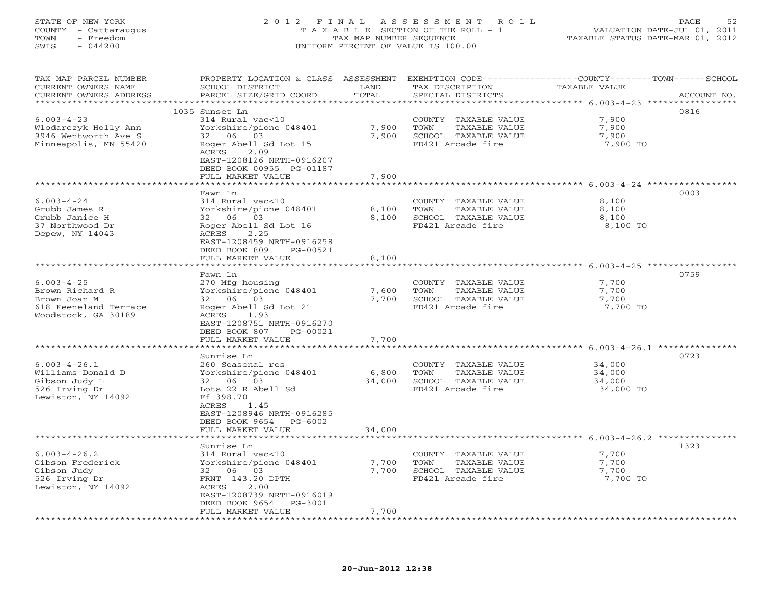# STATE OF NEW YORK 2 0 1 2 F I N A L A S S E S S M E N T R O L L PAGE 52 COUNTY - Cattaraugus T A X A B L E SECTION OF THE ROLL - 1 VALUATION DATE-JUL 01, 2011 TOWN - Freedom TAX MAP NUMBER SEQUENCE TAXABLE STATUS DATE-MAR 01, 2012 SWIS - 044200 UNIFORM PERCENT OF VALUE IS 100.00UNIFORM PERCENT OF VALUE IS 100.00

| TAX MAP PARCEL NUMBER<br>CURRENT OWNERS NAME    | PROPERTY LOCATION & CLASS ASSESSMENT<br>SCHOOL DISTRICT | LAND        | TAX DESCRIPTION       | EXEMPTION CODE-----------------COUNTY-------TOWN------SCHOOL<br>TAXABLE VALUE |             |
|-------------------------------------------------|---------------------------------------------------------|-------------|-----------------------|-------------------------------------------------------------------------------|-------------|
| CURRENT OWNERS ADDRESS<br>********************* | PARCEL SIZE/GRID COORD                                  | TOTAL       | SPECIAL DISTRICTS     |                                                                               | ACCOUNT NO. |
|                                                 | 1035 Sunset Ln                                          |             |                       |                                                                               | 0816        |
| $6.003 - 4 - 23$                                | 314 Rural vac<10                                        |             | COUNTY TAXABLE VALUE  | 7,900                                                                         |             |
| Wlodarczyk Holly Ann                            | Yorkshire/pione 048401                                  | 7,900       | TOWN<br>TAXABLE VALUE | 7,900                                                                         |             |
| 9946 Wentworth Ave S                            | 32 06 03                                                | 7,900       | SCHOOL TAXABLE VALUE  | 7,900                                                                         |             |
| Minneapolis, MN 55420                           | Roger Abell Sd Lot 15                                   |             | FD421 Arcade fire     | 7,900 TO                                                                      |             |
|                                                 | ACRES<br>2.09                                           |             |                       |                                                                               |             |
|                                                 | EAST-1208126 NRTH-0916207                               |             |                       |                                                                               |             |
|                                                 | DEED BOOK 00955 PG-01187                                |             |                       |                                                                               |             |
|                                                 | FULL MARKET VALUE                                       | 7,900       |                       |                                                                               |             |
|                                                 | *******************                                     | *********   |                       | ********************* 6.003-4-24 ***********                                  |             |
|                                                 | Fawn Ln                                                 |             |                       |                                                                               | 0003        |
| $6.003 - 4 - 24$                                | 314 Rural vac<10                                        |             | COUNTY TAXABLE VALUE  | 8,100                                                                         |             |
| Grubb James R                                   | Yorkshire/pione 048401                                  | 8,100       | TAXABLE VALUE<br>TOWN | 8,100                                                                         |             |
| Grubb Janice H                                  | 03<br>32 06                                             | 8,100       | SCHOOL TAXABLE VALUE  | 8,100                                                                         |             |
| 37 Northwood Dr                                 | Roger Abell Sd Lot 16                                   |             | FD421 Arcade fire     | 8,100 TO                                                                      |             |
| Depew, NY 14043                                 | ACRES<br>2.25                                           |             |                       |                                                                               |             |
|                                                 | EAST-1208459 NRTH-0916258                               |             |                       |                                                                               |             |
|                                                 | DEED BOOK 809<br>PG-00521                               |             |                       |                                                                               |             |
|                                                 | FULL MARKET VALUE                                       | 8,100       |                       |                                                                               |             |
|                                                 |                                                         |             |                       | ******************************* 6.003-4-25 ***********                        |             |
|                                                 | Fawn Ln                                                 |             |                       |                                                                               | 0759        |
| $6.003 - 4 - 25$                                | 270 Mfg housing                                         |             | COUNTY TAXABLE VALUE  | 7,700                                                                         |             |
| Brown Richard R                                 | Yorkshire/pione 048401                                  | 7,600       | TAXABLE VALUE<br>TOWN | 7,700                                                                         |             |
| Brown Joan M                                    | 32 06 03                                                | 7,700       | SCHOOL TAXABLE VALUE  | 7,700                                                                         |             |
| 618 Keeneland Terrace                           | Roger Abell Sd Lot 21                                   |             | FD421 Arcade fire     | 7,700 TO                                                                      |             |
| Woodstock, GA 30189                             | ACRES<br>1.93                                           |             |                       |                                                                               |             |
|                                                 | EAST-1208751 NRTH-0916270                               |             |                       |                                                                               |             |
|                                                 | DEED BOOK 807<br>PG-00021<br>FULL MARKET VALUE          | 7,700       |                       |                                                                               |             |
|                                                 | * * * * * * * * * * * * * * * * * *                     | **********  |                       | ******************************* 6.003-4-26.1 ****                             |             |
|                                                 | Sunrise Ln                                              |             |                       |                                                                               | 0723        |
| $6.003 - 4 - 26.1$                              | 260 Seasonal res                                        |             | COUNTY TAXABLE VALUE  | 34,000                                                                        |             |
| Williams Donald D                               | Yorkshire/pione 048401                                  | 6,800       | TOWN<br>TAXABLE VALUE | 34,000                                                                        |             |
| Gibson Judy L                                   | 06 03<br>32                                             | 34,000      | SCHOOL TAXABLE VALUE  | 34,000                                                                        |             |
| 526 Irving Dr                                   | Lots 22 R Abell Sd                                      |             | FD421 Arcade fire     | 34,000 TO                                                                     |             |
| Lewiston, NY 14092                              | Ff 398.70                                               |             |                       |                                                                               |             |
|                                                 | 1.45<br>ACRES                                           |             |                       |                                                                               |             |
|                                                 | EAST-1208946 NRTH-0916285                               |             |                       |                                                                               |             |
|                                                 | DEED BOOK 9654<br>PG-6002                               |             |                       |                                                                               |             |
|                                                 | FULL MARKET VALUE                                       | 34,000      |                       |                                                                               |             |
|                                                 | ********************                                    |             |                       |                                                                               |             |
|                                                 | Sunrise Ln                                              |             |                       |                                                                               | 1323        |
| $6.003 - 4 - 26.2$                              | 314 Rural vac<10                                        |             | COUNTY TAXABLE VALUE  | 7,700                                                                         |             |
| Gibson Frederick                                | Yorkshire/pione 048401                                  | 7,700       | TAXABLE VALUE<br>TOWN | 7,700                                                                         |             |
| Gibson Judy                                     | 32<br>06 03                                             | 7,700       | SCHOOL TAXABLE VALUE  | 7,700                                                                         |             |
| 526 Irving Dr                                   | FRNT 143.20 DPTH<br>2.00                                |             | FD421 Arcade fire     | 7,700 TO                                                                      |             |
| Lewiston, NY 14092                              | ACRES<br>EAST-1208739 NRTH-0916019                      |             |                       |                                                                               |             |
|                                                 | DEED BOOK 9654<br>PG-3001                               |             |                       |                                                                               |             |
|                                                 | FULL MARKET VALUE                                       | 7,700       |                       |                                                                               |             |
| ********************                            | *********************                                   | *********** |                       |                                                                               |             |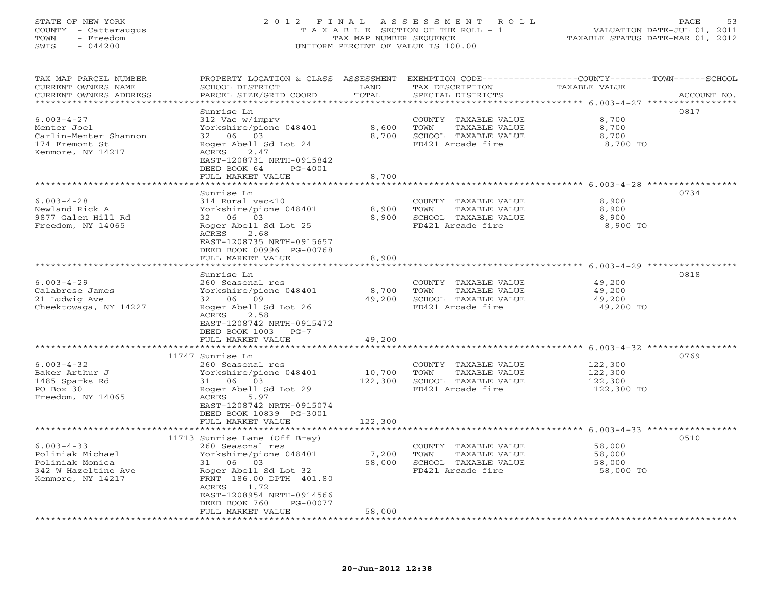# STATE OF NEW YORK 2 0 1 2 F I N A L A S S E S S M E N T R O L L PAGE 53 COUNTY - Cattaraugus T A X A B L E SECTION OF THE ROLL - 1 VALUATION DATE-JUL 01, 2011 TOWN - Freedom TAX MAP NUMBER SEQUENCE TAXABLE STATUS DATE-MAR 01, 2012 SWIS - 044200 UNIFORM PERCENT OF VALUE IS 100.00UNIFORM PERCENT OF VALUE IS 100.00

| TAX MAP PARCEL NUMBER  |                               |             |                       | PROPERTY LOCATION & CLASS ASSESSMENT EXEMPTION CODE----------------COUNTY-------TOWN------SCHOOL |
|------------------------|-------------------------------|-------------|-----------------------|--------------------------------------------------------------------------------------------------|
| CURRENT OWNERS NAME    | SCHOOL DISTRICT               | LAND        | TAX DESCRIPTION       | TAXABLE VALUE                                                                                    |
| CURRENT OWNERS ADDRESS | PARCEL SIZE/GRID COORD        | TOTAL       | SPECIAL DISTRICTS     | ACCOUNT NO.                                                                                      |
| ********************   |                               |             |                       |                                                                                                  |
|                        | Sunrise Ln                    |             |                       | 0817                                                                                             |
|                        |                               |             |                       |                                                                                                  |
| $6.003 - 4 - 27$       | 312 Vac w/imprv               |             | COUNTY TAXABLE VALUE  | 8,700                                                                                            |
| Menter Joel            | Yorkshire/pione 048401        | 8,600       | TOWN<br>TAXABLE VALUE | 8,700                                                                                            |
| Carlin-Menter Shannon  | 32 06 03                      | 8,700       | SCHOOL TAXABLE VALUE  | 8,700                                                                                            |
| 174 Fremont St         | Roger Abell Sd Lot 24         |             | FD421 Arcade fire     | 8,700 TO                                                                                         |
| Kenmore, NY 14217      | ACRES 2.47                    |             |                       |                                                                                                  |
|                        | EAST-1208731 NRTH-0915842     |             |                       |                                                                                                  |
|                        | DEED BOOK 64<br>PG-4001       |             |                       |                                                                                                  |
|                        | FULL MARKET VALUE             | 8,700       |                       |                                                                                                  |
|                        |                               |             |                       |                                                                                                  |
|                        |                               |             |                       |                                                                                                  |
|                        | Sunrise Ln                    |             |                       | 0734                                                                                             |
| $6.003 - 4 - 28$       | 314 Rural vac<10              |             | COUNTY TAXABLE VALUE  | 8,900                                                                                            |
| Newland Rick A         | Yorkshire/pione 048401        | 8,900       | TOWN<br>TAXABLE VALUE | 8,900                                                                                            |
| 9877 Galen Hill Rd     | 32 06 03                      | 8,900       | SCHOOL TAXABLE VALUE  | 8,900                                                                                            |
| Freedom, NY 14065      | Roger Abell Sd Lot 25         |             | FD421 Arcade fire     | 8,900 TO                                                                                         |
|                        | ACRES<br>2.68                 |             |                       |                                                                                                  |
|                        | EAST-1208735 NRTH-0915657     |             |                       |                                                                                                  |
|                        |                               |             |                       |                                                                                                  |
|                        | DEED BOOK 00996 PG-00768      |             |                       |                                                                                                  |
|                        | FULL MARKET VALUE             | 8,900       |                       |                                                                                                  |
|                        |                               |             |                       |                                                                                                  |
|                        | Sunrise Ln                    |             |                       | 0818                                                                                             |
| $6.003 - 4 - 29$       | 260 Seasonal res              |             | COUNTY TAXABLE VALUE  | 49,200                                                                                           |
| Calabrese James        | Yorkshire/pione 048401        | 8,700       | TOWN<br>TAXABLE VALUE | 49,200                                                                                           |
| 21 Ludwig Ave          | 32 06 09                      | 49,200      | SCHOOL TAXABLE VALUE  | 49,200                                                                                           |
|                        |                               |             |                       |                                                                                                  |
| Cheektowaga, NY 14227  | Roger Abell Sd Lot 26         |             | FD421 Arcade fire     | 49,200 TO                                                                                        |
|                        | ACRES<br>2.58                 |             |                       |                                                                                                  |
|                        | EAST-1208742 NRTH-0915472     |             |                       |                                                                                                  |
|                        | DEED BOOK 1003 PG-7           |             |                       |                                                                                                  |
|                        | FULL MARKET VALUE             | 49,200      |                       |                                                                                                  |
|                        |                               |             |                       |                                                                                                  |
|                        | 11747 Sunrise Ln              |             |                       | 0769                                                                                             |
| $6.003 - 4 - 32$       | 260 Seasonal res              |             | COUNTY TAXABLE VALUE  | 122,300                                                                                          |
|                        |                               | 10,700      | TOWN                  |                                                                                                  |
| Baker Arthur J         | Yorkshire/pione 048401        |             | TAXABLE VALUE         | 122,300                                                                                          |
| 1485 Sparks Rd         | 31 06 03                      | 122,300     | SCHOOL TAXABLE VALUE  | 122,300                                                                                          |
| PO Box 30              | Roger Abell Sd Lot 29         |             | FD421 Arcade fire     | 122,300 TO                                                                                       |
| Freedom, NY 14065      | ACRES<br>5.97                 |             |                       |                                                                                                  |
|                        | EAST-1208742 NRTH-0915074     |             |                       |                                                                                                  |
|                        | DEED BOOK 10839 PG-3001       |             |                       |                                                                                                  |
|                        | FULL MARKET VALUE             | 122,300     |                       |                                                                                                  |
|                        | *******************           | *********** |                       | ******************************** 6.003-4-33 ****************                                     |
|                        |                               |             |                       |                                                                                                  |
|                        | 11713 Sunrise Lane (Off Bray) |             |                       | 0510                                                                                             |
| $6.003 - 4 - 33$       | 260 Seasonal res              |             | COUNTY TAXABLE VALUE  | 58,000                                                                                           |
| Poliniak Michael       | Yorkshire/pione 048401        | 7,200       | TOWN<br>TAXABLE VALUE | 58,000                                                                                           |
| Poliniak Monica        | 31 06 03                      | 58,000      | SCHOOL TAXABLE VALUE  | 58,000                                                                                           |
| 342 W Hazeltine Ave    | Roger Abell Sd Lot 32         |             | FD421 Arcade fire     | 58,000 TO                                                                                        |
| Kenmore, NY 14217      | FRNT 186.00 DPTH 401.80       |             |                       |                                                                                                  |
|                        | ACRES<br>1.72                 |             |                       |                                                                                                  |
|                        | EAST-1208954 NRTH-0914566     |             |                       |                                                                                                  |
|                        | DEED BOOK 760<br>PG-00077     |             |                       |                                                                                                  |
|                        |                               |             |                       |                                                                                                  |
|                        | FULL MARKET VALUE             | 58,000      |                       |                                                                                                  |
|                        |                               |             |                       |                                                                                                  |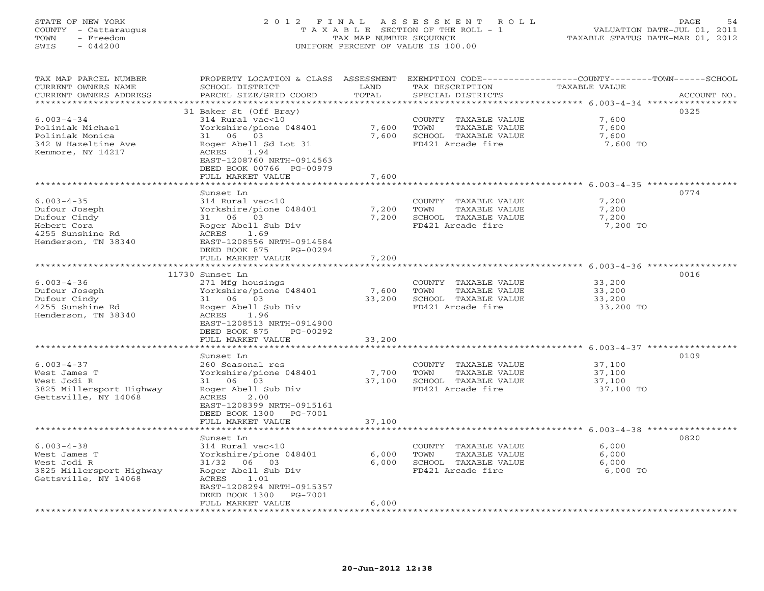## STATE OF NEW YORK 2 0 1 2 F I N A L A S S E S S M E N T R O L L PAGE 54 COUNTY - Cattaraugus T A X A B L E SECTION OF THE ROLL - 1 VALUATION DATE-JUL 01, 2011 TOWN - Freedom TAX MAP NUMBER SEQUENCE TAXABLE STATUS DATE-MAR 01, 2012 SWIS - 044200 UNIFORM PERCENT OF VALUE IS 100.00UNIFORM PERCENT OF VALUE IS 100.00

| TAX MAP PARCEL NUMBER<br>CURRENT OWNERS NAME     | PROPERTY LOCATION & CLASS ASSESSMENT<br>SCHOOL DISTRICT | LAND   | TAX DESCRIPTION                               | EXEMPTION CODE-----------------COUNTY-------TOWN-----SCHOOL<br>TAXABLE VALUE |             |
|--------------------------------------------------|---------------------------------------------------------|--------|-----------------------------------------------|------------------------------------------------------------------------------|-------------|
| CURRENT OWNERS ADDRESS<br>*********************  | PARCEL SIZE/GRID COORD                                  | TOTAL  | SPECIAL DISTRICTS                             |                                                                              | ACCOUNT NO. |
|                                                  | 31 Baker St (Off Bray)                                  |        |                                               | 0325                                                                         |             |
| $6.003 - 4 - 34$                                 | 314 Rural vac<10                                        |        | COUNTY TAXABLE VALUE                          | 7,600                                                                        |             |
| Poliniak Michael                                 | Yorkshire/pione 048401                                  | 7,600  | TOWN<br>TAXABLE VALUE                         | 7,600                                                                        |             |
| Poliniak Monica                                  | 31 06 03                                                | 7,600  | SCHOOL TAXABLE VALUE                          | 7,600                                                                        |             |
| 342 W Hazeltine Ave                              | Roger Abell Sd Lot 31                                   |        | FD421 Arcade fire                             | 7,600 TO                                                                     |             |
| Kenmore, NY 14217                                | ACRES 1.94                                              |        |                                               |                                                                              |             |
|                                                  | EAST-1208760 NRTH-0914563                               |        |                                               |                                                                              |             |
|                                                  | DEED BOOK 00766 PG-00979                                |        |                                               |                                                                              |             |
|                                                  | FULL MARKET VALUE                                       | 7,600  |                                               | ******************** 6.003-4-35 ************                                 |             |
|                                                  | Sunset Ln                                               |        |                                               | 0774                                                                         |             |
| $6.003 - 4 - 35$                                 | 314 Rural vac<10                                        |        | COUNTY TAXABLE VALUE                          | 7,200                                                                        |             |
| Dufour Joseph                                    | Yorkshire/pione 048401                                  | 7,200  | TAXABLE VALUE<br>TOWN                         | 7,200                                                                        |             |
| Dufour Cindy                                     | 31 06 03                                                | 7,200  | SCHOOL TAXABLE VALUE                          | 7,200                                                                        |             |
| Hebert Cora                                      | Roger Abell Sub Div                                     |        | FD421 Arcade fire                             | 7,200 TO                                                                     |             |
| 4255 Sunshine Rd                                 | ACRES 1.69                                              |        |                                               |                                                                              |             |
| Henderson, TN 38340                              | EAST-1208556 NRTH-0914584                               |        |                                               |                                                                              |             |
|                                                  | DEED BOOK 875<br>PG-00294                               |        |                                               |                                                                              |             |
|                                                  | FULL MARKET VALUE                                       | 7,200  |                                               |                                                                              |             |
|                                                  |                                                         |        |                                               |                                                                              |             |
|                                                  | 11730 Sunset Ln                                         |        |                                               | 0016                                                                         |             |
| $6.003 - 4 - 36$<br>Dufour Joseph                | 271 Mfg housings<br>Yorkshire/pione 048401              | 7,600  | COUNTY TAXABLE VALUE<br>TOWN<br>TAXABLE VALUE | 33,200<br>33,200                                                             |             |
| Dufour Cindy                                     | 31 06 03                                                | 33,200 | SCHOOL TAXABLE VALUE                          | 33,200                                                                       |             |
| 4255 Sunshine Rd                                 | Roger Abell Sub Div                                     |        | FD421 Arcade fire                             | 33,200 TO                                                                    |             |
| Henderson, TN 38340                              | ACRES<br>1.96                                           |        |                                               |                                                                              |             |
|                                                  | EAST-1208513 NRTH-0914900                               |        |                                               |                                                                              |             |
|                                                  | DEED BOOK 875<br>PG-00292                               |        |                                               |                                                                              |             |
|                                                  | FULL MARKET VALUE                                       | 33,200 |                                               |                                                                              |             |
|                                                  | ************************                                |        |                                               |                                                                              |             |
|                                                  | Sunset Ln                                               |        |                                               | 0109                                                                         |             |
| $6.003 - 4 - 37$                                 | 260 Seasonal res                                        | 7,700  | COUNTY TAXABLE VALUE<br>TAXABLE VALUE<br>TOWN | 37,100                                                                       |             |
| West James T<br>West Jodi R                      | Yorkshire/pione 048401<br>31 06 03                      | 37,100 | SCHOOL TAXABLE VALUE                          | 37,100<br>37,100                                                             |             |
| 3825 Millersport Highway                         | Roger Abell Sub Div                                     |        | FD421 Arcade fire                             | 37,100 TO                                                                    |             |
| Gettsville, NY 14068                             | ACRES<br>2.00                                           |        |                                               |                                                                              |             |
|                                                  | EAST-1208399 NRTH-0915161                               |        |                                               |                                                                              |             |
|                                                  | DEED BOOK 1300 PG-7001                                  |        |                                               |                                                                              |             |
|                                                  | FULL MARKET VALUE                                       | 37,100 |                                               |                                                                              |             |
|                                                  | *****************                                       |        |                                               | ***********************************6.003-4-38 **************                 |             |
|                                                  | Sunset Ln                                               |        |                                               | 0820                                                                         |             |
| $6.003 - 4 - 38$                                 | 314 Rural vac<10                                        |        | COUNTY TAXABLE VALUE                          | 6,000                                                                        |             |
| West James T                                     | Yorkshire/pione 048401                                  | 6,000  | TOWN<br>TAXABLE VALUE                         | 6,000                                                                        |             |
| West Jodi R                                      | 31/32 06 03<br>Roger Abell Sub Div                      | 6,000  | SCHOOL TAXABLE VALUE<br>FD421 Arcade fire     | 6,000<br>6,000 TO                                                            |             |
| 3825 Millersport Highway<br>Gettsville, NY 14068 | ACRES<br>1.01                                           |        |                                               |                                                                              |             |
|                                                  | EAST-1208294 NRTH-0915357                               |        |                                               |                                                                              |             |
|                                                  | DEED BOOK 1300 PG-7001                                  |        |                                               |                                                                              |             |
|                                                  | FULL MARKET VALUE                                       | 6,000  |                                               |                                                                              |             |
|                                                  |                                                         |        |                                               |                                                                              |             |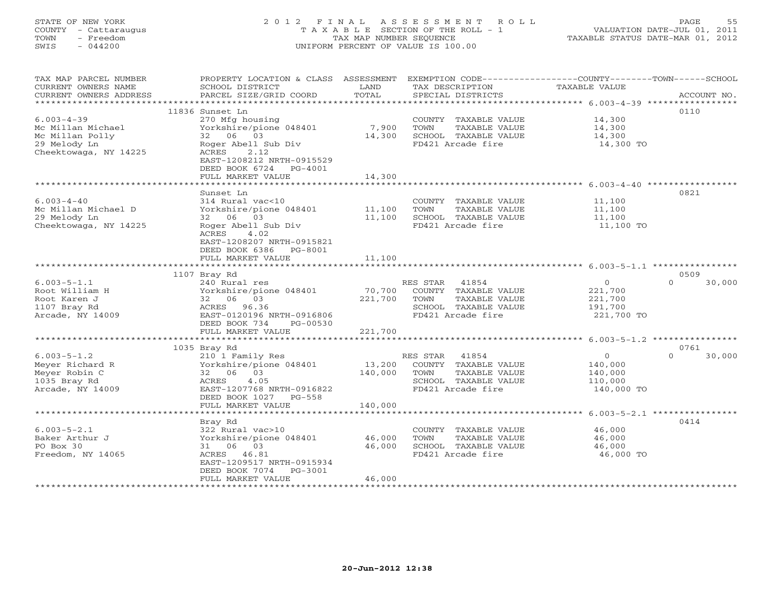# STATE OF NEW YORK 2 0 1 2 F I N A L A S S E S S M E N T R O L L PAGE 55 COUNTY - Cattaraugus T A X A B L E SECTION OF THE ROLL - 1 VALUATION DATE-JUL 01, 2011 TOWN - Freedom TAX MAP NUMBER SEQUENCE TAXABLE STATUS DATE-MAR 01, 2012 SWIS - 044200 UNIFORM PERCENT OF VALUE IS 100.00UNIFORM PERCENT OF VALUE IS 100.00

| TAX MAP PARCEL NUMBER<br>CURRENT OWNERS NAME<br>CURRENT OWNERS ADDRESS           | PROPERTY LOCATION & CLASS ASSESSMENT<br>SCHOOL DISTRICT<br>PARCEL SIZE/GRID COORD           | LAND<br>TOTAL                 | EXEMPTION CODE----------------COUNTY-------TOWN------SCHOOL<br>TAX DESCRIPTION<br>SPECIAL DISTRICTS | TAXABLE VALUE                           | ACCOUNT NO.        |
|----------------------------------------------------------------------------------|---------------------------------------------------------------------------------------------|-------------------------------|-----------------------------------------------------------------------------------------------------|-----------------------------------------|--------------------|
|                                                                                  |                                                                                             |                               |                                                                                                     |                                         |                    |
|                                                                                  | 11836 Sunset Ln                                                                             |                               |                                                                                                     |                                         | 0110               |
| $6.003 - 4 - 39$<br>Mc Millan Michael<br>Mc Millan Polly                         | 270 Mfg housing<br>Yorkshire/pione 048401<br>32 06 03                                       | 7,900<br>14,300               | COUNTY TAXABLE VALUE<br>TOWN<br>TAXABLE VALUE<br>SCHOOL TAXABLE VALUE                               | 14,300<br>14,300<br>14,300              |                    |
| 29 Melody Ln<br>Cheektowaga, NY 14225                                            | Roger Abell Sub Div<br>2.12<br>ACRES<br>EAST-1208212 NRTH-0915529<br>DEED BOOK 6724 PG-4001 |                               | FD421 Arcade fire                                                                                   | 14,300 TO                               |                    |
|                                                                                  | FULL MARKET VALUE                                                                           | 14,300                        |                                                                                                     |                                         |                    |
|                                                                                  |                                                                                             |                               |                                                                                                     |                                         |                    |
| $6.003 - 4 - 40$<br>Mc Millan Michael D<br>29 Melody Ln<br>Cheektowaga, NY 14225 | Sunset Ln<br>314 Rural vac<10<br>Yorkshire/pione 048401<br>32 06 03<br>Roger Abell Sub Div  | 11,100<br>11,100              | COUNTY TAXABLE VALUE<br>TOWN<br>TAXABLE VALUE<br>SCHOOL TAXABLE VALUE<br>FD421 Arcade fire          | 11,100<br>11,100<br>11,100<br>11,100 TO | 0821               |
|                                                                                  | ACRES<br>4.02<br>EAST-1208207 NRTH-0915821<br>DEED BOOK 6386 PG-8001<br>FULL MARKET VALUE   | 11,100                        |                                                                                                     |                                         |                    |
|                                                                                  |                                                                                             |                               |                                                                                                     |                                         |                    |
|                                                                                  | 1107 Bray Rd                                                                                |                               |                                                                                                     | $\overline{0}$                          | 0509<br>$\Omega$   |
| $6.003 - 5 - 1.1$<br>Root William H                                              | 240 Rural res                                                                               |                               | RES STAR 41854                                                                                      |                                         | 30,000             |
| Root Karen J                                                                     | Yorkshire/pione 048401<br>32 06 03                                                          | 70,700<br>221,700             | COUNTY TAXABLE VALUE<br>TOWN<br>TAXABLE VALUE                                                       | 221,700<br>221,700                      |                    |
| 1107 Bray Rd                                                                     | ACRES 96.36                                                                                 |                               | SCHOOL TAXABLE VALUE                                                                                | 191,700                                 |                    |
| Arcade, NY 14009                                                                 | EAST-0120196 NRTH-0916806                                                                   |                               | FD421 Arcade fire                                                                                   | 221,700 TO                              |                    |
|                                                                                  | DEED BOOK 734<br>PG-00530                                                                   |                               |                                                                                                     |                                         |                    |
|                                                                                  | FULL MARKET VALUE                                                                           | 221,700                       |                                                                                                     |                                         |                    |
|                                                                                  |                                                                                             |                               |                                                                                                     |                                         |                    |
|                                                                                  | 1035 Bray Rd                                                                                |                               |                                                                                                     |                                         | 0761               |
| $6.003 - 5 - 1.2$                                                                | 210 1 Family Res                                                                            |                               | RES STAR 41854                                                                                      | $\circ$                                 | $\Omega$<br>30,000 |
| Meyer Richard R                                                                  | Yorkshire/pione 048401                                                                      | 13,200                        | COUNTY TAXABLE VALUE                                                                                | 140,000                                 |                    |
| Meyer Robin C                                                                    | 32 06 03                                                                                    | 140,000                       | TOWN<br>TAXABLE VALUE                                                                               | 140,000                                 |                    |
| 1035 Bray Rd                                                                     | ACRES<br>4.05                                                                               |                               | SCHOOL TAXABLE VALUE                                                                                | 110,000                                 |                    |
| Arcade, NY 14009                                                                 | EAST-1207768 NRTH-0916822<br>DEED BOOK 1027 PG-558<br>FULL MARKET VALUE                     | 140,000                       | FD421 Arcade fire                                                                                   | 140,000 TO                              |                    |
|                                                                                  | **********************                                                                      | * * * * * * * * * * * * * * * | ********************************* 6.003-5-2.1 ****************                                      |                                         |                    |
|                                                                                  | Bray Rd                                                                                     |                               |                                                                                                     |                                         | 0414               |
| $6.003 - 5 - 2.1$                                                                | 322 Rural vac>10                                                                            |                               | COUNTY TAXABLE VALUE                                                                                | 46,000                                  |                    |
| Baker Arthur J                                                                   | Yorkshire/pione 048401                                                                      | 46,000                        | <b>TOWN</b><br>TAXABLE VALUE                                                                        | 46,000                                  |                    |
| PO Box 30                                                                        | 31 06 03                                                                                    | 46,000                        | SCHOOL TAXABLE VALUE                                                                                | 46,000                                  |                    |
| Freedom, NY 14065                                                                | ACRES 46.81<br>EAST-1209517 NRTH-0915934<br>DEED BOOK 7074<br>PG-3001                       |                               | FD421 Arcade fire                                                                                   | 46,000 TO                               |                    |
|                                                                                  | FULL MARKET VALUE                                                                           | 46,000                        |                                                                                                     |                                         |                    |
|                                                                                  |                                                                                             |                               |                                                                                                     |                                         |                    |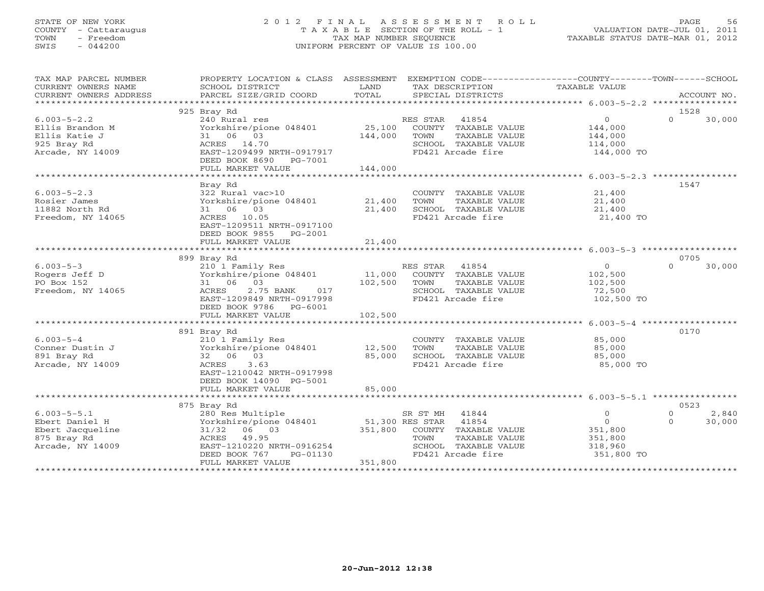# STATE OF NEW YORK 2 0 1 2 F I N A L A S S E S S M E N T R O L L PAGE 56 COUNTY - Cattaraugus T A X A B L E SECTION OF THE ROLL - 1 VALUATION DATE-JUL 01, 2011 TOWN - Freedom TAX MAP NUMBER SEQUENCE TAXABLE STATUS DATE-MAR 01, 2012 SWIS - 044200 UNIFORM PERCENT OF VALUE IS 100.00UNIFORM PERCENT OF VALUE IS 100.00

| TAX MAP PARCEL NUMBER  | PROPERTY LOCATION & CLASS ASSESSMENT |                 |                       |               |                    |
|------------------------|--------------------------------------|-----------------|-----------------------|---------------|--------------------|
| CURRENT OWNERS NAME    | SCHOOL DISTRICT                      | LAND            | TAX DESCRIPTION       | TAXABLE VALUE |                    |
| CURRENT OWNERS ADDRESS | PARCEL SIZE/GRID COORD               | TOTAL           | SPECIAL DISTRICTS     |               | ACCOUNT NO.        |
|                        |                                      |                 |                       |               |                    |
|                        | 925 Bray Rd                          |                 |                       |               | 1528               |
| $6.003 - 5 - 2.2$      | 240 Rural res                        |                 | RES STAR 41854        | $\circ$       | $\Omega$<br>30,000 |
| Ellis Brandon M        | Yorkshire/pione 048401               | 25,100          | COUNTY TAXABLE VALUE  | 144,000       |                    |
| Ellis Katie J          | 31 06 03                             | 144,000         | TOWN<br>TAXABLE VALUE | 144,000       |                    |
| 925 Bray Rd            | ACRES 14.70                          |                 | SCHOOL TAXABLE VALUE  | 114,000       |                    |
| Arcade, NY 14009       | EAST-1209499 NRTH-0917917            |                 | FD421 Arcade fire     | 144,000 TO    |                    |
|                        | DEED BOOK 8690 PG-7001               |                 |                       |               |                    |
|                        | FULL MARKET VALUE                    | 144,000         |                       |               |                    |
|                        |                                      |                 |                       |               |                    |
|                        | Bray Rd                              |                 |                       |               | 1547               |
| $6.003 - 5 - 2.3$      | 322 Rural vac>10                     |                 | COUNTY TAXABLE VALUE  | 21,400        |                    |
| Rosier James           | Yorkshire/pione 048401               | 21,400          | TAXABLE VALUE<br>TOWN | 21,400        |                    |
| 11882 North Rd         | 31 06 03                             | 21,400          | SCHOOL TAXABLE VALUE  | 21,400        |                    |
| Freedom, NY 14065      | ACRES 10.05                          |                 | FD421 Arcade fire     | 21,400 TO     |                    |
|                        | EAST-1209511 NRTH-0917100            |                 |                       |               |                    |
|                        | DEED BOOK 9855 PG-2001               |                 |                       |               |                    |
|                        | FULL MARKET VALUE                    | 21,400          |                       |               |                    |
|                        |                                      |                 |                       |               |                    |
|                        | 899 Bray Rd                          |                 |                       |               | 0705               |
| $6.003 - 5 - 3$        | 210 1 Family Res                     |                 | RES STAR 41854        | $\circ$       | $\Omega$<br>30,000 |
| Rogers Jeff D          | Yorkshire/pione 048401               | 11,000          | COUNTY TAXABLE VALUE  | 102,500       |                    |
| PO Box 152             | 31 06 03                             | 102,500         | TOWN<br>TAXABLE VALUE | 102,500       |                    |
| Freedom, NY 14065      | ACRES<br>2.75 BANK<br>017            |                 | SCHOOL TAXABLE VALUE  | 72,500        |                    |
|                        | EAST-1209849 NRTH-0917998            |                 | FD421 Arcade fire     | 102,500 TO    |                    |
|                        | DEED BOOK 9786 PG-6001               |                 |                       |               |                    |
|                        | FULL MARKET VALUE                    | 102,500         |                       |               |                    |
|                        |                                      |                 |                       |               |                    |
|                        |                                      |                 |                       |               | 0170               |
| $6.003 - 5 - 4$        | 891 Bray Rd                          |                 |                       | 85,000        |                    |
|                        | 210 1 Family Res                     |                 | COUNTY TAXABLE VALUE  |               |                    |
| Conner Dustin J        | Yorkshire/pione 048401               | 12,500          | TOWN<br>TAXABLE VALUE | 85,000        |                    |
| 891 Bray Rd            | 32 06 03                             | 85,000          | SCHOOL TAXABLE VALUE  | 85,000        |                    |
| Arcade, NY 14009       | ACRES<br>3.63                        |                 | FD421 Arcade fire     | 85,000 TO     |                    |
|                        | EAST-1210042 NRTH-0917998            |                 |                       |               |                    |
|                        | DEED BOOK 14090 PG-5001              |                 |                       |               |                    |
|                        | FULL MARKET VALUE                    | 85,000          |                       |               |                    |
|                        |                                      |                 |                       |               |                    |
|                        | 875 Bray Rd                          |                 |                       |               | 0523               |
| $6.003 - 5 - 5.1$      | 280 Res Multiple                     |                 | SR ST MH<br>41844     | $\circ$       | 2,840<br>$\Omega$  |
| Ebert Daniel H         | Yorkshire/pione 048401               | 51,300 RES STAR | 41854                 | $\Omega$      | 30,000<br>$\Omega$ |
| Ebert Jacqueline       | 31/32 06 03                          | 351,800         | COUNTY TAXABLE VALUE  | 351,800       |                    |
| 875 Bray Rd            | ACRES 49.95                          |                 | TOWN<br>TAXABLE VALUE | 351,800       |                    |
| Arcade, NY 14009       | EAST-1210220 NRTH-0916254            |                 | SCHOOL TAXABLE VALUE  | 318,960       |                    |
|                        | DEED BOOK 767<br>PG-01130            |                 | FD421 Arcade fire     | 351,800 TO    |                    |
|                        | FULL MARKET VALUE                    | 351,800         |                       |               |                    |
|                        |                                      |                 |                       |               |                    |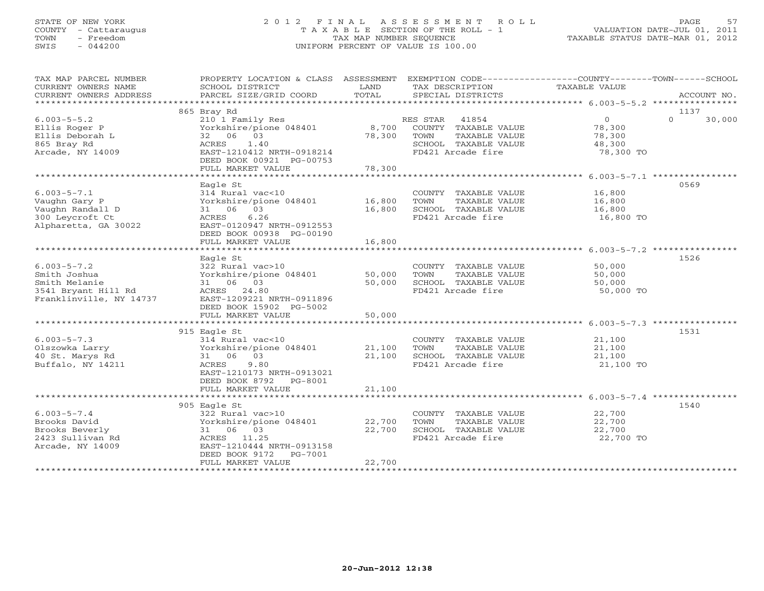# STATE OF NEW YORK 2 0 1 2 F I N A L A S S E S S M E N T R O L L PAGE 57 COUNTY - Cattaraugus T A X A B L E SECTION OF THE ROLL - 1 VALUATION DATE-JUL 01, 2011 TOWN - Freedom TAX MAP NUMBER SEQUENCE TAXABLE STATUS DATE-MAR 01, 2012 SWIS - 044200 UNIFORM PERCENT OF VALUE IS 100.00UNIFORM PERCENT OF VALUE IS 100.00

| TAX MAP PARCEL NUMBER<br>CURRENT OWNERS NAME<br>CURRENT OWNERS ADDRESS                               | PROPERTY LOCATION & CLASS ASSESSMENT<br>SCHOOL DISTRICT<br>PARCEL SIZE/GRID COORD                                                                                    | LAND<br>TOTAL              | EXEMPTION CODE-----------------COUNTY-------TOWN------SCHOOL<br>TAX DESCRIPTION<br>SPECIAL DISTRICTS         | TAXABLE VALUE                                             | ACCOUNT NO.                |
|------------------------------------------------------------------------------------------------------|----------------------------------------------------------------------------------------------------------------------------------------------------------------------|----------------------------|--------------------------------------------------------------------------------------------------------------|-----------------------------------------------------------|----------------------------|
|                                                                                                      |                                                                                                                                                                      |                            |                                                                                                              |                                                           |                            |
| $6.003 - 5 - 5.2$<br>Ellis Roger P<br>Ellis Deborah L<br>865 Bray Rd<br>Arcade, NY 14009             | 865 Bray Rd<br>210 1 Family Res<br>Yorkshire/pione 048401<br>32 06 03<br>1.40<br>ACRES<br>EAST-1210412 NRTH-0918214<br>DEED BOOK 00921 PG-00753<br>FULL MARKET VALUE | 8,700<br>78,300<br>78,300  | RES STAR 41854<br>COUNTY TAXABLE VALUE<br>TOWN<br>TAXABLE VALUE<br>SCHOOL TAXABLE VALUE<br>FD421 Arcade fire | $\overline{0}$<br>78,300<br>78,300<br>48,300<br>78,300 TO | 1137<br>$\Omega$<br>30,000 |
|                                                                                                      |                                                                                                                                                                      |                            |                                                                                                              |                                                           |                            |
| $6.003 - 5 - 7.1$<br>Vaughn Gary P<br>Vaughn Randall D<br>300 Leycroft Ct<br>Alpharetta, GA 30022    | Eagle St<br>314 Rural vac<10<br>Yorkshire/pione 048401<br>31 06 03<br>6.26<br>ACRES<br>EAST-0120947 NRTH-0912553<br>DEED BOOK 00938 PG-00190                         | 16,800<br>16,800           | COUNTY TAXABLE VALUE<br>TOWN<br>TAXABLE VALUE<br>SCHOOL TAXABLE VALUE<br>FD421 Arcade fire                   | 16,800<br>16,800<br>16,800<br>16,800 TO                   | 0569                       |
|                                                                                                      | FULL MARKET VALUE                                                                                                                                                    | 16,800                     |                                                                                                              |                                                           |                            |
|                                                                                                      | *************************                                                                                                                                            | * * * * * * * * * * * *    |                                                                                                              |                                                           |                            |
| $6.003 - 5 - 7.2$<br>Smith Joshua<br>Smith Melanie<br>3541 Bryant Hill Rd<br>Franklinville, NY 14737 | Eagle St<br>322 Rural vac>10<br>Yorkshire/pione 048401<br>31 06 03<br>ACRES 24.80<br>EAST-1209221 NRTH-0911896<br>DEED BOOK 15902 PG-5002                            | 50,000<br>50,000           | COUNTY TAXABLE VALUE<br>TOWN<br>TAXABLE VALUE<br>SCHOOL TAXABLE VALUE<br>FD421 Arcade fire                   | 50,000<br>50,000<br>50,000<br>50,000 TO                   | 1526                       |
|                                                                                                      | FULL MARKET VALUE                                                                                                                                                    | 50,000                     |                                                                                                              |                                                           |                            |
|                                                                                                      |                                                                                                                                                                      |                            |                                                                                                              |                                                           |                            |
| $6.003 - 5 - 7.3$<br>Olszowka Larry<br>40 St. Marys Rd<br>Buffalo, NY 14211                          | 915 Eagle St<br>314 Rural vac<10<br>Yorkshire/pione 048401<br>31 06 03<br>ACRES<br>9.80<br>EAST-1210173 NRTH-0913021<br>DEED BOOK 8792 PG-8001                       | 21,100<br>21,100           | COUNTY TAXABLE VALUE<br>TOWN<br>TAXABLE VALUE<br>SCHOOL TAXABLE VALUE<br>FD421 Arcade fire                   | 21,100<br>21,100<br>21,100<br>21,100 TO                   | 1531                       |
|                                                                                                      | FULL MARKET VALUE                                                                                                                                                    | 21,100                     |                                                                                                              |                                                           |                            |
| $6.003 - 5 - 7.4$<br>Brooks David<br>Brooks Beverly<br>2423 Sullivan Rd<br>Arcade, NY 14009          | 905 Eagle St<br>322 Rural vac>10<br>Yorkshire/pione 048401<br>31 06 03<br>ACRES 11.25<br>EAST-1210444 NRTH-0913158<br>DEED BOOK 9172<br>PG-7001<br>FULL MARKET VALUE | 22,700<br>22,700<br>22,700 | COUNTY TAXABLE VALUE<br>TAXABLE VALUE<br>TOWN<br>SCHOOL TAXABLE VALUE<br>FD421 Arcade fire                   | 22,700<br>22,700<br>22,700<br>22,700 TO                   | 1540                       |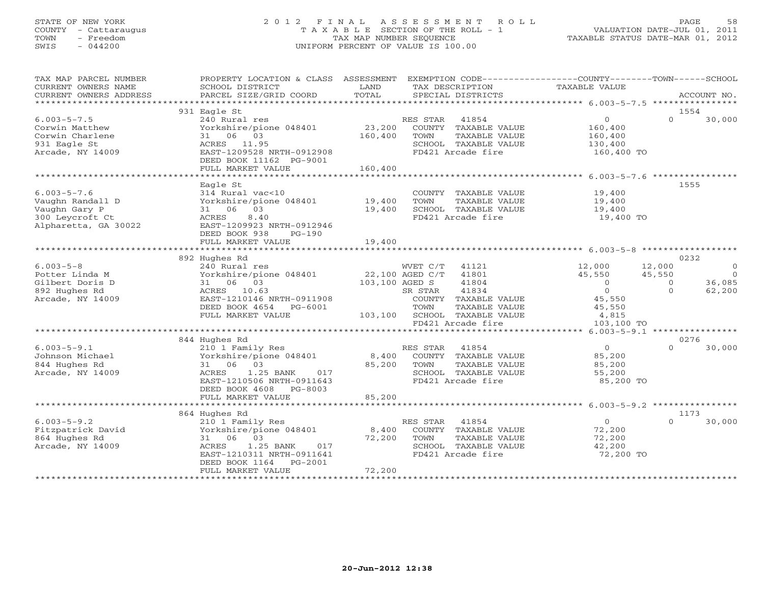# STATE OF NEW YORK 2 0 1 2 F I N A L A S S E S S M E N T R O L L PAGE 58 COUNTY - Cattaraugus T A X A B L E SECTION OF THE ROLL - 1 VALUATION DATE-JUL 01, 2011 TOWN - Freedom TAX MAP NUMBER SEQUENCE TAXABLE STATUS DATE-MAR 01, 2012 SWIS - 044200 UNIFORM PERCENT OF VALUE IS 100.00UNIFORM PERCENT OF VALUE IS 100.00

| TAX MAP PARCEL NUMBER<br>CURRENT OWNERS NAME<br>CURRENT OWNERS ADDRESS                            | PROPERTY LOCATION & CLASS ASSESSMENT<br>SCHOOL DISTRICT<br>PARCEL SIZE/GRID COORD                                                                                                | LAND<br>TOTAL             | EXEMPTION CODE-----------------COUNTY-------TOWN------SCHOOL<br>TAX DESCRIPTION<br>SPECIAL DISTRICTS                                                                            | TAXABLE VALUE                                                                                   | ACCOUNT NO.                                                                          |
|---------------------------------------------------------------------------------------------------|----------------------------------------------------------------------------------------------------------------------------------------------------------------------------------|---------------------------|---------------------------------------------------------------------------------------------------------------------------------------------------------------------------------|-------------------------------------------------------------------------------------------------|--------------------------------------------------------------------------------------|
|                                                                                                   |                                                                                                                                                                                  |                           |                                                                                                                                                                                 |                                                                                                 |                                                                                      |
| $6.003 - 5 - 7.5$<br>Corwin Matthew<br>Corwin Charlene<br>931 Eagle St<br>Arcade, NY 14009        | 931 Eagle St<br>240 Rural res<br>Yorkshire/pione 048401<br>31 06 03<br>ACRES 11.95<br>EAST-1209528 NRTH-0912908<br>DEED BOOK 11162 PG-9001                                       | 23,200<br>160,400         | RES STAR 41854<br>COUNTY TAXABLE VALUE<br>TAXABLE VALUE<br>TOWN<br>SCHOOL TAXABLE VALUE<br>FD421 Arcade fire                                                                    | $\overline{0}$<br>160,400<br>160,400<br>130,400<br>160,400 TO                                   | 1554<br>$\Omega$<br>30,000                                                           |
|                                                                                                   | FULL MARKET VALUE<br>*********************************                                                                                                                           | 160,400                   |                                                                                                                                                                                 |                                                                                                 |                                                                                      |
| $6.003 - 5 - 7.6$<br>Vaughn Randall D<br>Vaughn Gary P<br>300 Leycroft Ct<br>Alpharetta, GA 30022 | Eagle St<br>314 Rural vac<10<br>Yorkshire/pione 048401 19,400<br>31 06 03<br>8.40<br>ACRES<br>EAST-1209923 NRTH-0912946<br>DEED BOOK 938<br>$PG-190$<br>FULL MARKET VALUE        | 19,400<br>19,400          | COUNTY TAXABLE VALUE<br>TOWN<br>TAXABLE VALUE<br>SCHOOL TAXABLE VALUE<br>FD421 Arcade fire                                                                                      | 19,400<br>19,400<br>19,400<br>19,400 TO                                                         | 1555                                                                                 |
|                                                                                                   | 892 Hughes Rd                                                                                                                                                                    |                           |                                                                                                                                                                                 |                                                                                                 | 0232                                                                                 |
| $6.003 - 5 - 8$<br>Potter Linda M<br>Gilbert Doris D<br>892 Hughes Rd<br>Arcade, NY 14009         | 240 Rural res<br>Yorkshire/pione 048401<br>31 06 03<br>ACRES 10.63<br>EAST-1210146 NRTH-0911908<br>DEED BOOK 4654 PG-6001<br>FULL MARKET VALUE                                   | 22,100 AGED C/T           | WVET C/T<br>41121<br>41801<br>103,100 AGED S<br>41804<br>41834<br>SR STAR<br>COUNTY TAXABLE VALUE<br>TOWN<br>TAXABLE VALUE<br>103,100 SCHOOL TAXABLE VALUE<br>FD421 Arcade fire | 12,000<br>45,550<br>$\overline{0}$<br>$\overline{0}$<br>45,550<br>45,550<br>4,815<br>103,100 TO | 12,000<br>$\circ$<br>45,550<br>$\bigcirc$<br>36,085<br>$\circ$<br>62,200<br>$\Omega$ |
|                                                                                                   | 844 Hughes Rd                                                                                                                                                                    |                           |                                                                                                                                                                                 |                                                                                                 | 0276                                                                                 |
| $6.003 - 5 - 9.1$<br>Johnson Michael<br>844 Hughes Rd<br>Arcade, NY 14009                         | 210 1 Family Res<br>Yorkshire/pione 048401<br>31 06 03<br>1.25 BANK<br>ACRES<br>017<br>EAST-1210506 NRTH-0911643<br>DEED BOOK 4608 PG-8003                                       | 85,200                    | RES STAR<br>41854<br>8,400 COUNTY TAXABLE VALUE<br>TOWN<br>TAXABLE VALUE<br>SCHOOL TAXABLE VALUE<br>FD421 Arcade fire                                                           | 0<br>85,200<br>85,200<br>55,200<br>85,200 TO                                                    | $\Omega$<br>30,000                                                                   |
|                                                                                                   | FULL MARKET VALUE                                                                                                                                                                | 85,200                    |                                                                                                                                                                                 |                                                                                                 |                                                                                      |
| $6.003 - 5 - 9.2$<br>Fitzpatrick David<br>864 Hughes Rd<br>Arcade, NY 14009                       | 864 Hughes Rd<br>210 1 Family Res<br>Yorkshire/pione 048401<br>31 06 03<br>1.25 BANK<br>017<br>ACRES<br>EAST-1210311 NRTH-0911641<br>DEED BOOK 1164 PG-2001<br>FULL MARKET VALUE | 8,400<br>72,200<br>72,200 | RES STAR<br>41854<br>COUNTY TAXABLE VALUE<br>TOWN<br>TAXABLE VALUE<br>SCHOOL TAXABLE VALUE<br>FD421 Arcade fire                                                                 | $\bigcirc$<br>72,200<br>72,200<br>42,200<br>72,200 TO                                           | 1173<br>$\cap$<br>30,000                                                             |
|                                                                                                   |                                                                                                                                                                                  |                           |                                                                                                                                                                                 |                                                                                                 |                                                                                      |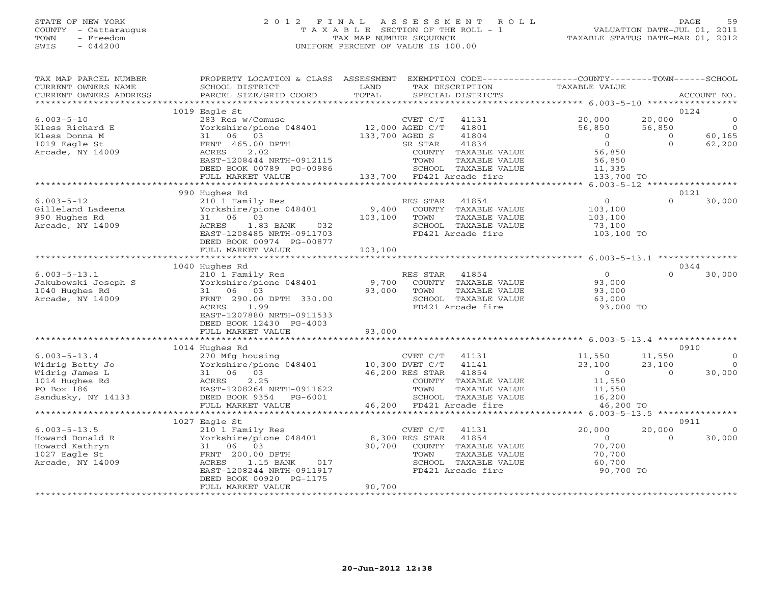# STATE OF NEW YORK 2 0 1 2 F I N A L A S S E S S M E N T R O L L PAGE 59 COUNTY - Cattaraugus T A X A B L E SECTION OF THE ROLL - 1 VALUATION DATE-JUL 01, 2011 TOWN - Freedom TAX MAP NUMBER SEQUENCE TAXABLE STATUS DATE-MAR 01, 2012 SWIS - 044200 UNIFORM PERCENT OF VALUE IS 100.00UNIFORM PERCENT OF VALUE IS 100.00

| TAX MAP PARCEL NUMBER<br>CURRENT OWNERS NAME<br>CURRENT OWNERS ADDRESS | PROPERTY LOCATION & CLASS ASSESSMENT EXEMPTION CODE---------------COUNTY-------TOWN-----SCHOOL<br>SCHOOL DISTRICT<br>PARCEL SIZE/GRID COORD | LAND<br>TOTAL  | TAX DESCRIPTION<br>SPECIAL DISTRICTS | TAXABLE VALUE      |                    | ACCOUNT NO.    |
|------------------------------------------------------------------------|---------------------------------------------------------------------------------------------------------------------------------------------|----------------|--------------------------------------|--------------------|--------------------|----------------|
|                                                                        |                                                                                                                                             |                |                                      |                    |                    |                |
|                                                                        | 1019 Eagle St                                                                                                                               |                |                                      |                    | 0124               |                |
| $6.003 - 5 - 10$                                                       |                                                                                                                                             |                |                                      | 20,000             | 20,000             | $\overline{0}$ |
| Kless Richard E                                                        |                                                                                                                                             |                |                                      | 56,850             | 56,850             | $\overline{0}$ |
| Kless Donna M                                                          | 31 06 03                                                                                                                                    | 133,700 AGED S | 41804                                | $\overline{0}$     | $\circ$            | 60,165         |
| 1019 Eagle St                                                          | FRNT 465.00 DPTH                                                                                                                            |                | 41834<br>SR STAR                     | $\Omega$           | $\Omega$           | 62,200         |
| Arcade, NY 14009                                                       | ACRES<br>2.02                                                                                                                               |                | COUNTY TAXABLE VALUE                 | 56,850             |                    |                |
|                                                                        | EAST-1208444 NRTH-0912115                                                                                                                   |                | TAXABLE VALUE<br>TOWN                | 56,850             |                    |                |
|                                                                        | DEED BOOK 00789 PG-00986                                                                                                                    |                | SCHOOL TAXABLE VALUE                 | 11,335             |                    |                |
|                                                                        | FULL MARKET VALUE                                                                                                                           |                | 133,700 FD421 Arcade fire            | 133,700 TO         |                    |                |
|                                                                        | 990 Hughes Rd                                                                                                                               |                |                                      |                    | 0121               |                |
| $6.003 - 5 - 12$                                                       | 210 1 Family Res                                                                                                                            |                | RES STAR<br>41854                    | $\overline{0}$     | $\Omega$           | 30,000         |
| Gilleland Ladeena                                                      | Yorkshire/pione 048401                                                                                                                      |                | 9,400 COUNTY TAXABLE VALUE           | 103,100            |                    |                |
| 990 Hughes Rd                                                          | 31 06 03                                                                                                                                    | 103,100        | TAXABLE VALUE<br>TOWN                | 103,100            |                    |                |
| Arcade, NY 14009                                                       | ACRES<br>1.83 BANK 032                                                                                                                      |                | SCHOOL TAXABLE VALUE                 | 73,100             |                    |                |
|                                                                        | EAST-1208485 NRTH-0911703                                                                                                                   |                | FD421 Arcade fire                    | 103,100 TO         |                    |                |
|                                                                        | DEED BOOK 00974 PG-00877                                                                                                                    |                |                                      |                    |                    |                |
|                                                                        | FULL MARKET VALUE                                                                                                                           | 103,100        |                                      |                    |                    |                |
|                                                                        |                                                                                                                                             |                |                                      |                    |                    |                |
|                                                                        | 1040 Hughes Rd                                                                                                                              |                |                                      |                    | 0344               |                |
| $6.003 - 5 - 13.1$                                                     | 210 1 Family Res                                                                                                                            |                | RES STAR 41854                       | $\Omega$           | $\cap$             | 30,000         |
| Jakubowski Joseph S                                                    | Yorkshire/pione 048401                                                                                                                      |                | 9,700 COUNTY TAXABLE VALUE           | 93,000             |                    |                |
| 1040 Hughes Rd                                                         | 31 06 03                                                                                                                                    | 93,000         | TOWN<br>TAXABLE VALUE                | 93,000             |                    |                |
| Arcade, NY 14009                                                       | FRNT 290.00 DPTH 330.00                                                                                                                     |                | SCHOOL TAXABLE VALUE                 | 63,000             |                    |                |
|                                                                        | 1.99<br>ACRES                                                                                                                               |                | FD421 Arcade fire                    | 93,000 TO          |                    |                |
|                                                                        | EAST-1207880 NRTH-0911533<br>DEED BOOK 12430 PG-4003                                                                                        |                |                                      |                    |                    |                |
|                                                                        | FULL MARKET VALUE                                                                                                                           | 93,000         |                                      |                    |                    |                |
|                                                                        |                                                                                                                                             |                |                                      |                    |                    |                |
|                                                                        | 1014 Hughes Rd                                                                                                                              |                |                                      |                    | 0910               |                |
| $6.003 - 5 - 13.4$                                                     | 270 Mfg housing                                                                                                                             |                | $CVET C/T$ 41131                     | 11,550             | 11,550             | $\Omega$       |
| Widrig Betty Jo                                                        | Yorkshire/pione 048401 10,300 DVET C/T                                                                                                      |                | 41141                                | 23,100             | 23,100             | $\bigcirc$     |
| Widrig James L                                                         | 31 06 03                                                                                                                                    |                | 46,200 RES STAR<br>41854             | $\overline{0}$     | $\Omega$           | 30,000         |
| 1014 Hughes Rd                                                         | ACRES<br>2.25                                                                                                                               |                | COUNTY TAXABLE VALUE                 | 11,550             |                    |                |
| PO Box 186                                                             | EAST-1208264 NRTH-0911622                                                                                                                   |                | TOWN<br>TAXABLE VALUE                | 11,550             |                    |                |
| Sandusky, NY 14133                                                     | DEED BOOK 9354 PG-6001                                                                                                                      |                | SCHOOL TAXABLE VALUE                 | 16,200             |                    |                |
|                                                                        | FULL MARKET VALUE                                                                                                                           |                | 46,200 FD421 Arcade fire             | 46,200 TO          |                    |                |
|                                                                        | ****************************                                                                                                                |                |                                      |                    |                    |                |
|                                                                        | 1027 Eagle St                                                                                                                               |                |                                      |                    | 0911               |                |
| $6.003 - 5 - 13.5$                                                     | 210 1 Family Res<br>Yorkshire/pione 048401                                                                                                  | 8,300 RES STAR | CVET C/T<br>41131<br>41854           | 20,000<br>$\Omega$ | 20,000<br>$\Omega$ | $\Omega$       |
| Howard Donald R<br>Howard Kathryn                                      | 31 06 03                                                                                                                                    |                | 90,700 COUNTY TAXABLE VALUE          | 70,700             |                    | 30,000         |
| 1027 Eagle St                                                          | FRNT 200.00 DPTH                                                                                                                            |                | TOWN<br>TAXABLE VALUE                | 70,700             |                    |                |
| Arcade, NY 14009                                                       | ACRES<br>1.15 BANK<br>017                                                                                                                   |                | SCHOOL TAXABLE VALUE                 | 60,700             |                    |                |
|                                                                        | EAST-1208244 NRTH-0911917                                                                                                                   |                | FD421 Arcade fire                    | 90,700 TO          |                    |                |
|                                                                        | DEED BOOK 00920 PG-1175                                                                                                                     |                |                                      |                    |                    |                |
|                                                                        | FULL MARKET VALUE                                                                                                                           | 90,700         |                                      |                    |                    |                |
|                                                                        |                                                                                                                                             |                |                                      |                    |                    |                |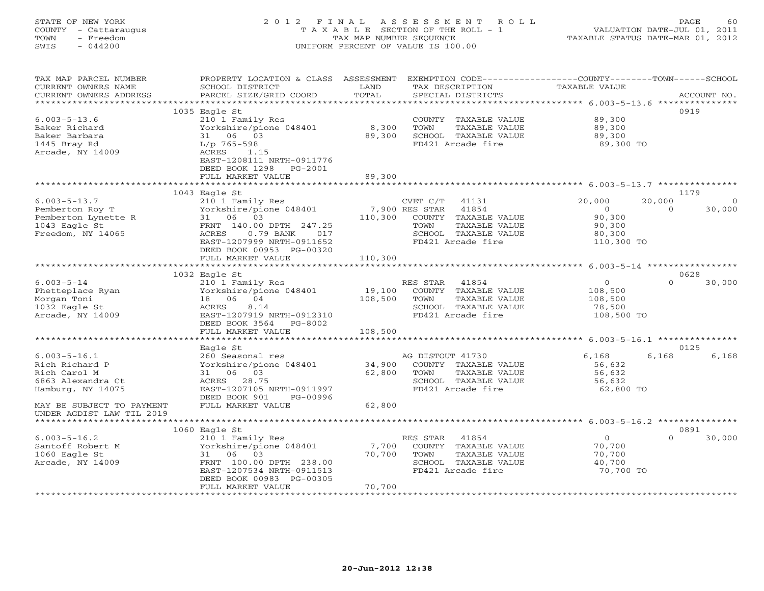# STATE OF NEW YORK 2 0 1 2 F I N A L A S S E S S M E N T R O L L PAGE 60 COUNTY - Cattaraugus T A X A B L E SECTION OF THE ROLL - 1 VALUATION DATE-JUL 01, 2011 TOWN - Freedom TAX MAP NUMBER SEQUENCE TAXABLE STATUS DATE-MAR 01, 2012 SWIS - 044200 UNIFORM PERCENT OF VALUE IS 100.00UNIFORM PERCENT OF VALUE IS 100.00

| TAX MAP PARCEL NUMBER                  | PROPERTY LOCATION & CLASS ASSESSMENT                |         | EXEMPTION CODE-----------------COUNTY-------TOWN------SCHOOL |                          |                    |
|----------------------------------------|-----------------------------------------------------|---------|--------------------------------------------------------------|--------------------------|--------------------|
| CURRENT OWNERS NAME                    | SCHOOL DISTRICT                                     | LAND    | TAX DESCRIPTION                                              | TAXABLE VALUE            |                    |
| CURRENT OWNERS ADDRESS                 | PARCEL SIZE/GRID COORD                              | TOTAL   | SPECIAL DISTRICTS                                            |                          | ACCOUNT NO.        |
|                                        |                                                     |         |                                                              |                          |                    |
|                                        | 1035 Eagle St                                       |         |                                                              |                          | 0919               |
| $6.003 - 5 - 13.6$                     | 210 1 Family Res                                    |         | COUNTY TAXABLE VALUE                                         | 89,300                   |                    |
| Baker Richard                          | Yorkshire/pione 048401                              | 8,300   | TAXABLE VALUE<br>TOWN                                        | 89,300                   |                    |
| Baker Barbara                          | 31 06 03                                            | 89,300  | SCHOOL TAXABLE VALUE                                         | 89,300                   |                    |
| 1445 Bray Rd                           | L/p 765-598                                         |         | FD421 Arcade fire                                            | 89,300 TO                |                    |
| Arcade, NY 14009                       | ACRES<br>1.15                                       |         |                                                              |                          |                    |
|                                        | EAST-1208111 NRTH-0911776<br>DEED BOOK 1298 PG-2001 |         |                                                              |                          |                    |
|                                        |                                                     | 89,300  |                                                              |                          |                    |
|                                        | FULL MARKET VALUE                                   |         |                                                              |                          |                    |
|                                        | 1043 Eagle St                                       |         |                                                              |                          | 1179               |
| $6.003 - 5 - 13.7$                     |                                                     |         | CVET C/T<br>41131                                            | 20,000                   | 20,000             |
| Pemberton Roy T                        | 210 1 Family Res<br>Yorkshire/pione 048401          |         | 7,900 RES STAR 41854                                         | $\Omega$                 | $\Omega$<br>30,000 |
| Pemberton Lynette R                    | 31 06 03                                            | 110,300 | COUNTY TAXABLE VALUE                                         | 90,300                   |                    |
| 1043 Eagle St                          | FRNT 140.00 DPTH 247.25                             |         | TOWN<br>TAXABLE VALUE                                        | 90,300                   |                    |
| Freedom, NY 14065                      | ACRES<br>$0.79$ BANK<br>017                         |         | SCHOOL TAXABLE VALUE                                         | 80,300                   |                    |
|                                        | EAST-1207999 NRTH-0911652                           |         | FD421 Arcade fire                                            | 110,300 TO               |                    |
|                                        | DEED BOOK 00953 PG-00320                            |         |                                                              |                          |                    |
|                                        | FULL MARKET VALUE                                   | 110,300 |                                                              |                          |                    |
|                                        |                                                     |         |                                                              |                          |                    |
|                                        | 1032 Eagle St                                       |         |                                                              |                          | 0628               |
| $6.003 - 5 - 14$                       | 210 1 Family Res                                    |         | RES STAR 41854                                               | $\Omega$                 | $\Omega$<br>30,000 |
| Phetteplace Ryan                       | Yorkshire/pione 048401 19,100                       |         | COUNTY TAXABLE VALUE                                         | 108,500                  |                    |
| Morgan Toni                            | 18  06  04                                          | 108,500 | TOWN<br>TAXABLE VALUE                                        | 108,500                  |                    |
| 1032 Eagle St                          | ACRES<br>8.14                                       |         | SCHOOL TAXABLE VALUE                                         | 78,500                   |                    |
| Arcade, NY 14009                       | EAST-1207919 NRTH-0912310                           |         | FD421 Arcade fire                                            | 108,500 TO               |                    |
|                                        | DEED BOOK 3564 PG-8002                              |         |                                                              |                          |                    |
|                                        | FULL MARKET VALUE                                   | 108,500 |                                                              |                          |                    |
|                                        |                                                     |         |                                                              |                          |                    |
|                                        | Eagle St                                            |         |                                                              |                          | 0125               |
| $6.003 - 5 - 16.1$                     | 260 Seasonal res                                    |         | AG DISTOUT 41730                                             | 6,168                    | 6,168<br>6,168     |
| Rich Richard P                         | Yorkshire/pione 048401 34,900                       |         | COUNTY TAXABLE VALUE                                         | 56,632                   |                    |
| Rich Carol M                           | 31 06 03                                            | 62,800  | TOWN<br>TAXABLE VALUE                                        | 56,632                   |                    |
| 6863 Alexandra Ct                      | ACRES 28.75                                         |         | SCHOOL TAXABLE VALUE                                         | 56,632                   |                    |
| Hamburg, NY 14075                      | EAST-1207105 NRTH-0911997                           |         | FD421 Arcade fire                                            | 62,800 TO                |                    |
|                                        | DEED BOOK 901<br>PG-00996                           |         |                                                              |                          |                    |
| MAY BE SUBJECT TO PAYMENT              | FULL MARKET VALUE                                   | 62,800  |                                                              |                          |                    |
| UNDER AGDIST LAW TIL 2019              |                                                     |         |                                                              |                          |                    |
|                                        |                                                     |         |                                                              |                          |                    |
|                                        | $1060$ Eagle St                                     |         |                                                              |                          | 0891<br>$\Omega$   |
| $6.003 - 5 - 16.2$<br>Santoff Robert M | 210 1 Family Res                                    | 7,700   | RES STAR<br>41854<br>COUNTY TAXABLE VALUE                    | $\overline{0}$<br>70,700 | 30,000             |
| 1060 Eagle St                          | Yorkshire/pione 048401<br>31 06 03                  | 70,700  | TOWN<br>TAXABLE VALUE                                        | 70,700                   |                    |
| Arcade, NY 14009                       | FRNT 100.00 DPTH 238.00                             |         | SCHOOL TAXABLE VALUE                                         | 40,700                   |                    |
|                                        | EAST-1207534 NRTH-0911513                           |         | FD421 Arcade fire                                            | 70,700 TO                |                    |
|                                        | DEED BOOK 00983 PG-00305                            |         |                                                              |                          |                    |
|                                        | FULL MARKET VALUE                                   | 70,700  |                                                              |                          |                    |
|                                        |                                                     |         |                                                              |                          |                    |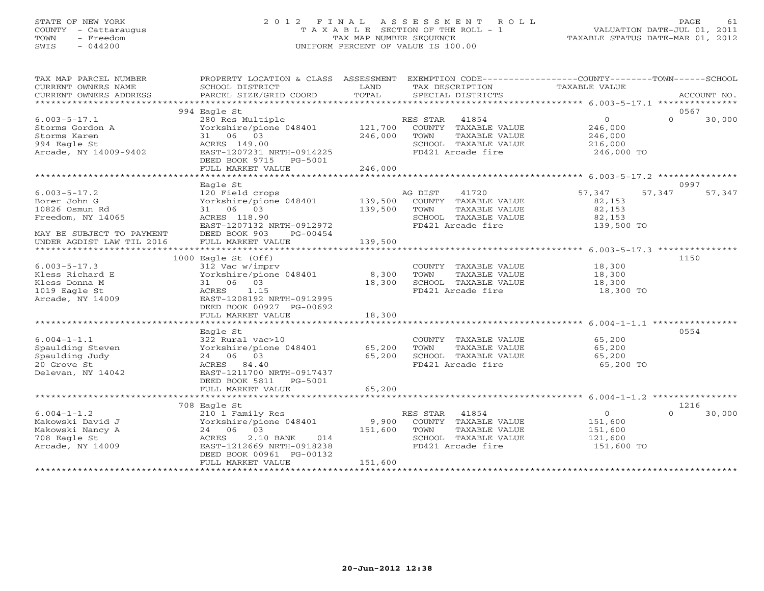# STATE OF NEW YORK 2 0 1 2 F I N A L A S S E S S M E N T R O L L PAGE 61 COUNTY - Cattaraugus T A X A B L E SECTION OF THE ROLL - 1 VALUATION DATE-JUL 01, 2011 TOWN - Freedom TAX MAP NUMBER SEQUENCE TAXABLE STATUS DATE-MAR 01, 2012 SWIS - 044200 UNIFORM PERCENT OF VALUE IS 100.00

| TAX MAP PARCEL NUMBER<br>CURRENT OWNERS NAME | PROPERTY LOCATION & CLASS ASSESSMENT EXEMPTION CODE---------------COUNTY-------TOWN------SCHOOL |               |                |                                      | <b>TAXABLE VALUE</b> |          |                |
|----------------------------------------------|-------------------------------------------------------------------------------------------------|---------------|----------------|--------------------------------------|----------------------|----------|----------------|
| CURRENT OWNERS ADDRESS                       | SCHOOL DISTRICT<br>PARCEL SIZE/GRID COORD                                                       | LAND<br>TOTAL |                | TAX DESCRIPTION<br>SPECIAL DISTRICTS |                      |          | ACCOUNT NO.    |
|                                              |                                                                                                 |               |                |                                      |                      |          |                |
| $6.003 - 5 - 17.1$                           | 994 Eagle St<br>280 Res Multiple                                                                |               | RES STAR 41854 |                                      | $\overline{0}$       | $\Omega$ | 0567<br>30,000 |
| Storms Gordon A                              | Yorkshire/pione 048401 121,700                                                                  |               |                | COUNTY TAXABLE VALUE                 | 246,000              |          |                |
| Storms Karen                                 | 31 06 03                                                                                        | 246,000       | TOWN           | TAXABLE VALUE                        | 246,000              |          |                |
| 994 Eagle St                                 | ACRES 149.00                                                                                    |               |                | SCHOOL TAXABLE VALUE                 | 216,000              |          |                |
| Arcade, NY 14009-9402                        | EAST-1207231 NRTH-0914225                                                                       |               |                | FD421 Arcade fire                    | 246,000 TO           |          |                |
|                                              | DEED BOOK 9715 PG-5001                                                                          |               |                |                                      |                      |          |                |
|                                              | FULL MARKET VALUE                                                                               | 246,000       |                |                                      |                      |          |                |
|                                              | Eagle St                                                                                        |               |                |                                      |                      |          | 0997           |
| $6.003 - 5 - 17.2$                           | 120 Field crops                                                                                 |               | AG DIST        | 41720                                | 57,347               | 57,347   | 57,347         |
| Borer John G                                 | Yorkshire/pione 048401                                                                          | 139,500       |                | COUNTY TAXABLE VALUE                 | 82,153               |          |                |
| 10826 Osmun Rd                               | 31 06 03                                                                                        | 139,500       | TOWN           | TAXABLE VALUE                        | 82,153               |          |                |
| Freedom, NY 14065                            | ACRES 118.90                                                                                    |               |                | SCHOOL TAXABLE VALUE                 | 82,153               |          |                |
|                                              | EAST-1207132 NRTH-0912972                                                                       |               |                | FD421 Arcade fire                    | 139,500 TO           |          |                |
| MAY BE SUBJECT TO PAYMENT                    | DEED BOOK 903<br>PG-00454                                                                       |               |                |                                      |                      |          |                |
| UNDER AGDIST LAW TIL 2016                    | FULL MARKET VALUE                                                                               | 139,500       |                |                                      |                      |          |                |
|                                              | $1000$ Eagle St (Off)                                                                           |               |                |                                      |                      |          | 1150           |
| $6.003 - 5 - 17.3$                           | 312 Vac w/imprv                                                                                 |               |                | COUNTY TAXABLE VALUE                 | 18,300               |          |                |
| Kless Richard E                              | Yorkshire/pione 048401                                                                          | 8,300         | TOWN           | TAXABLE VALUE                        | 18,300               |          |                |
| Kless Donna M                                | 31 06 03                                                                                        | 18,300        |                | SCHOOL TAXABLE VALUE                 | 18,300               |          |                |
| 1019 Eagle St                                | ACRES 1.15                                                                                      |               |                | FD421 Arcade fire                    | 18,300 TO            |          |                |
| Arcade, NY 14009                             | EAST-1208192 NRTH-0912995                                                                       |               |                |                                      |                      |          |                |
|                                              | DEED BOOK 00927 PG-00692                                                                        |               |                |                                      |                      |          |                |
|                                              | FULL MARKET VALUE                                                                               | 18,300        |                |                                      |                      |          |                |
|                                              | Eagle St                                                                                        |               |                |                                      |                      |          | 0554           |
| $6.004 - 1 - 1.1$                            | 322 Rural vac>10                                                                                |               |                | COUNTY TAXABLE VALUE                 | 65,200               |          |                |
| Spaulding Steven                             | Yorkshire/pione 048401                                                                          | 65,200        | TOWN           | TAXABLE VALUE                        | 65,200               |          |                |
| Spaulding Judy                               | 24 06 03                                                                                        | 65,200        |                | SCHOOL TAXABLE VALUE                 | 65,200               |          |                |
| 20 Grove St                                  | ACRES 84.40                                                                                     |               |                | FD421 Arcade fire                    | 65,200 TO            |          |                |
| Delevan, NY 14042                            | EAST-1211700 NRTH-0917437                                                                       |               |                |                                      |                      |          |                |
|                                              | DEED BOOK 5811 PG-5001                                                                          |               |                |                                      |                      |          |                |
|                                              | FULL MARKET VALUE                                                                               | 65,200        |                |                                      |                      |          |                |
|                                              | 708 Eagle St                                                                                    |               |                |                                      |                      |          | 1216           |
| $6.004 - 1 - 1.2$                            | 210 1 Family Res                                                                                |               | RES STAR 41854 |                                      | $\overline{0}$       | $\cap$   | 30,000         |
| Makowski David J                             | Yorkshire/pione 048401                                                                          | 9,900         |                | COUNTY TAXABLE VALUE                 | 151,600              |          |                |
| Makowski Nancy A                             | 24 06 03                                                                                        | 151,600       | TOWN           | TAXABLE VALUE                        | 151,600              |          |                |
| 708 Eagle St                                 | ACRES<br>2.10 BANK 014                                                                          |               |                | SCHOOL TAXABLE VALUE                 | 121,600              |          |                |
| Arcade, NY 14009                             | EAST-1212669 NRTH-0918238                                                                       |               |                | FD421 Arcade fire                    | 151,600 TO           |          |                |
|                                              | DEED BOOK 00961 PG-00132                                                                        |               |                |                                      |                      |          |                |
|                                              | FULL MARKET VALUE                                                                               | 151,600       |                |                                      |                      |          |                |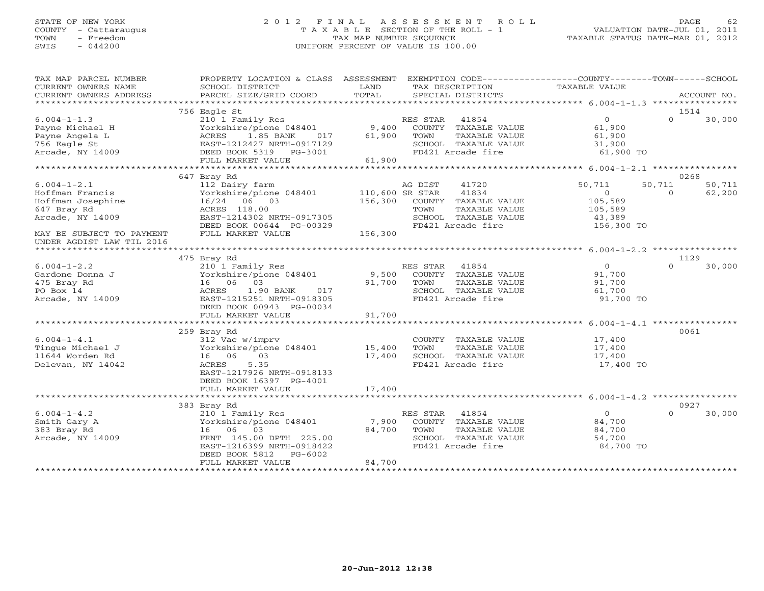# STATE OF NEW YORK 2 0 1 2 F I N A L A S S E S S M E N T R O L L PAGE 62 COUNTY - Cattaraugus T A X A B L E SECTION OF THE ROLL - 1 VALUATION DATE-JUL 01, 2011 TOWN - Freedom TAX MAP NUMBER SEQUENCE TAXABLE STATUS DATE-MAR 01, 2012 SWIS - 044200 UNIFORM PERCENT OF VALUE IS 100.00UNIFORM PERCENT OF VALUE IS 100.00

| TAX MAP PARCEL NUMBER<br>CURRENT OWNERS NAME<br>CURRENT OWNERS ADDRESS                                                                                 | PROPERTY LOCATION & CLASS ASSESSMENT<br>SCHOOL DISTRICT<br>PARCEL SIZE/GRID COORD                                                                                     | LAND<br>TAX DESCRIPTION<br>TOTAL<br>SPECIAL DISTRICTS                                                                                      | EXEMPTION CODE----------------COUNTY-------TOWN------SCHOOL<br>TAXABLE VALUE<br>ACCOUNT NO.                      |
|--------------------------------------------------------------------------------------------------------------------------------------------------------|-----------------------------------------------------------------------------------------------------------------------------------------------------------------------|--------------------------------------------------------------------------------------------------------------------------------------------|------------------------------------------------------------------------------------------------------------------|
|                                                                                                                                                        |                                                                                                                                                                       |                                                                                                                                            |                                                                                                                  |
| $6.004 - 1 - 1.3$<br>Payne Michael H                                                                                                                   | 756 Eagle St<br>210 1 Family Res<br>Yorkshire/pione 048401                                                                                                            | RES STAR 41854<br>9,400<br>COUNTY TAXABLE VALUE                                                                                            | 1514<br>$\overline{0}$<br>$\Omega$<br>30,000<br>61,900                                                           |
| Payne Angela L<br>756 Eagle St<br>Arcade, NY 14009                                                                                                     | ACRES 1.85 BANK<br>017<br>EAST-1212427 NRTH-0917129<br>DEED BOOK 5319 PG-3001<br>FULL MARKET VALUE                                                                    | 61,900<br>TOWN<br>TAXABLE VALUE<br>SCHOOL TAXABLE VALUE<br>FD421 Arcade fire<br>61,900                                                     | 61,900<br>31,900<br>61,900 TO                                                                                    |
|                                                                                                                                                        |                                                                                                                                                                       |                                                                                                                                            |                                                                                                                  |
|                                                                                                                                                        | 647 Bray Rd                                                                                                                                                           |                                                                                                                                            | 0268                                                                                                             |
| $6.004 - 1 - 2.1$<br>Hoffman Francis<br>Hoffman Josephine<br>647 Bray Rd<br>Arcade, NY 14009<br>MAY BE SUBJECT TO PAYMENT<br>UNDER AGDIST LAW TIL 2016 | 112 Dairy farm<br>Yorkshire/pione 048401 110,600 SR STAR<br>16/24 06 03<br>ACRES 118.00<br>EAST-1214302 NRTH-0917305<br>DEED BOOK 00644 PG-00329<br>FULL MARKET VALUE | 41720<br>AG DIST<br>41834<br>156,300 COUNTY TAXABLE VALUE<br>TOWN<br>TAXABLE VALUE<br>SCHOOL TAXABLE VALUE<br>FD421 Arcade fire<br>156,300 | 50,711<br>50,711<br>50,711<br>$\overline{0}$<br>62,200<br>$\Omega$<br>105,589<br>105,589<br>43,389<br>156,300 TO |
|                                                                                                                                                        |                                                                                                                                                                       |                                                                                                                                            |                                                                                                                  |
|                                                                                                                                                        | 475 Bray Rd                                                                                                                                                           |                                                                                                                                            | 1129                                                                                                             |
| $6.004 - 1 - 2.2$                                                                                                                                      | 210 1 Family Res                                                                                                                                                      | RES STAR<br>41854                                                                                                                          | $\Omega$<br>30,000<br>$\Omega$                                                                                   |
| Gardone Donna J                                                                                                                                        | Yorkshire/pione 048401                                                                                                                                                | 9,500<br>COUNTY TAXABLE VALUE                                                                                                              | 91,700                                                                                                           |
| 475 Bray Rd                                                                                                                                            | 16 06 03                                                                                                                                                              | 91,700<br>TAXABLE VALUE<br>TOWN                                                                                                            | 91,700                                                                                                           |
| PO Box 14<br>Arcade, NY 14009                                                                                                                          | 1.90 BANK 017<br>ACRES<br>EAST-1215251 NRTH-0918305<br>DEED BOOK 00943 PG-00034                                                                                       | SCHOOL TAXABLE VALUE<br>FD421 Arcade fire                                                                                                  | 61,700<br>91,700 TO                                                                                              |
|                                                                                                                                                        | FULL MARKET VALUE                                                                                                                                                     | 91,700                                                                                                                                     |                                                                                                                  |
|                                                                                                                                                        |                                                                                                                                                                       |                                                                                                                                            |                                                                                                                  |
|                                                                                                                                                        | 259 Bray Rd                                                                                                                                                           |                                                                                                                                            | 0061                                                                                                             |
| $6.004 - 1 - 4.1$                                                                                                                                      | 312 Vac w/imprv                                                                                                                                                       | COUNTY TAXABLE VALUE                                                                                                                       | 17,400                                                                                                           |
| Tinque Michael J                                                                                                                                       | Yorkshire/pione 048401 15,400                                                                                                                                         | TAXABLE VALUE<br>TOWN                                                                                                                      | 17,400                                                                                                           |
| 11644 Worden Rd                                                                                                                                        | 16 06<br>03                                                                                                                                                           | 17,400<br>SCHOOL TAXABLE VALUE                                                                                                             | 17,400                                                                                                           |
| Delevan, NY 14042                                                                                                                                      | 5.35<br>ACRES<br>EAST-1217926 NRTH-0918133<br>DEED BOOK 16397 PG-4001                                                                                                 | FD421 Arcade fire                                                                                                                          | 17,400 TO                                                                                                        |
|                                                                                                                                                        | FULL MARKET VALUE                                                                                                                                                     | 17,400                                                                                                                                     |                                                                                                                  |
|                                                                                                                                                        |                                                                                                                                                                       |                                                                                                                                            | 0927                                                                                                             |
| $6.004 - 1 - 4.2$                                                                                                                                      | 383 Bray Rd<br>210 1 Family Res                                                                                                                                       | RES STAR 41854                                                                                                                             | $\overline{0}$<br>$\Omega$<br>30,000                                                                             |
| Smith Gary A                                                                                                                                           | Yorkshire/pione 048401                                                                                                                                                | 7,900<br>COUNTY TAXABLE VALUE                                                                                                              | 84,700                                                                                                           |
| 383 Bray Rd                                                                                                                                            | 16 06 03                                                                                                                                                              | 84,700<br>TOWN<br>TAXABLE VALUE                                                                                                            | 84,700                                                                                                           |
| Arcade, NY 14009                                                                                                                                       | FRNT 145.00 DPTH 225.00                                                                                                                                               | SCHOOL TAXABLE VALUE                                                                                                                       | 54,700                                                                                                           |
|                                                                                                                                                        | EAST-1216399 NRTH-0918422                                                                                                                                             | FD421 Arcade fire                                                                                                                          | 84,700 TO                                                                                                        |
|                                                                                                                                                        | DEED BOOK 5812<br>PG-6002                                                                                                                                             |                                                                                                                                            |                                                                                                                  |
|                                                                                                                                                        | FULL MARKET VALUE                                                                                                                                                     | 84,700                                                                                                                                     |                                                                                                                  |
|                                                                                                                                                        |                                                                                                                                                                       |                                                                                                                                            |                                                                                                                  |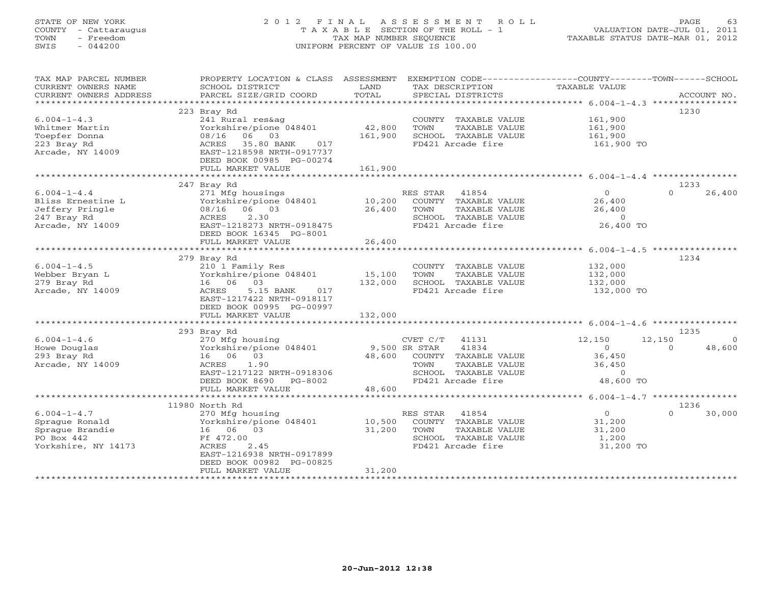# STATE OF NEW YORK 2 0 1 2 F I N A L A S S E S S M E N T R O L L PAGE 63 COUNTY - Cattaraugus T A X A B L E SECTION OF THE ROLL - 1 VALUATION DATE-JUL 01, 2011 TOWN - Freedom TAX MAP NUMBER SEQUENCE TAXABLE STATUS DATE-MAR 01, 2012 SWIS - 044200 UNIFORM PERCENT OF VALUE IS 100.00UNIFORM PERCENT OF VALUE IS 100.00

| TAX MAP PARCEL NUMBER                  | PROPERTY LOCATION & CLASS ASSESSMENT                  |                  | EXEMPTION CODE----------------COUNTY-------TOWN------SCHOOL |                                                             |                          |
|----------------------------------------|-------------------------------------------------------|------------------|-------------------------------------------------------------|-------------------------------------------------------------|--------------------------|
| CURRENT OWNERS NAME                    | SCHOOL DISTRICT                                       | LAND             | TAX DESCRIPTION                                             | TAXABLE VALUE                                               |                          |
| CURRENT OWNERS ADDRESS                 | PARCEL SIZE/GRID COORD                                | TOTAL            | SPECIAL DISTRICTS                                           |                                                             | ACCOUNT NO.              |
| *************************              |                                                       |                  |                                                             |                                                             |                          |
|                                        | 223 Bray Rd                                           |                  |                                                             |                                                             | 1230                     |
| $6.004 - 1 - 4.3$                      | 241 Rural res&ag                                      |                  | COUNTY TAXABLE VALUE                                        | 161,900                                                     |                          |
| Whitmer Martin                         | Yorkshire/pione 048401                                | 42,800           | TOWN<br>TAXABLE VALUE                                       | 161,900                                                     |                          |
| Toepfer Donna                          | 08/16<br>06 03                                        | 161,900          | SCHOOL TAXABLE VALUE                                        | 161,900                                                     |                          |
| 223 Bray Rd                            | ACRES<br>35.80 BANK 017                               |                  | FD421 Arcade fire                                           | 161,900 TO                                                  |                          |
| Arcade, NY 14009                       | EAST-1218598 NRTH-0917737                             |                  |                                                             |                                                             |                          |
|                                        | DEED BOOK 00985 PG-00274                              |                  |                                                             |                                                             |                          |
|                                        | FULL MARKET VALUE                                     | 161,900          |                                                             |                                                             |                          |
|                                        |                                                       |                  |                                                             |                                                             |                          |
|                                        | 247 Bray Rd                                           |                  |                                                             | $\Omega$                                                    | 1233<br>$\Omega$         |
| $6.004 - 1 - 4.4$<br>Bliss Ernestine L | 271 Mfg housings                                      |                  | RES STAR 41854<br>COUNTY TAXABLE VALUE                      | 26,400                                                      | 26,400                   |
| Jeffery Pringle                        | Yorkshire/pione 048401<br>08/16 06 03                 | 10,200<br>26,400 | TOWN                                                        | 26,400                                                      |                          |
|                                        |                                                       |                  | TAXABLE VALUE                                               |                                                             |                          |
| 247 Bray Rd<br>Arcade, NY 14009        | 2.30<br>ACRES<br>EAST-1218273 NRTH-0918475            |                  | SCHOOL TAXABLE VALUE<br>FD421 Arcade fire                   | $\sim$ 0<br>26,400 TO                                       |                          |
|                                        | DEED BOOK 16345 PG-8001                               |                  |                                                             |                                                             |                          |
|                                        | FULL MARKET VALUE                                     | 26,400           |                                                             |                                                             |                          |
|                                        |                                                       |                  |                                                             | ***********************************5.004-1-4.5 ************ |                          |
|                                        | 279 Bray Rd                                           |                  |                                                             |                                                             | 1234                     |
| $6.004 - 1 - 4.5$                      | 210 1 Family Res                                      |                  | COUNTY TAXABLE VALUE                                        | 132,000                                                     |                          |
| Webber Bryan L                         | Yorkshire/pione 048401                                | 15,100           | TOWN<br>TAXABLE VALUE                                       | 132,000                                                     |                          |
| 279 Bray Rd                            | 16 06 03                                              | 132,000          | SCHOOL TAXABLE VALUE                                        | 132,000                                                     |                          |
| Arcade, NY 14009                       | ACRES<br>5.15 BANK<br>017                             |                  | FD421 Arcade fire                                           | 132,000 TO                                                  |                          |
|                                        | EAST-1217422 NRTH-0918117                             |                  |                                                             |                                                             |                          |
|                                        | DEED BOOK 00995 PG-00997                              |                  |                                                             |                                                             |                          |
|                                        | FULL MARKET VALUE                                     | 132,000          |                                                             |                                                             |                          |
|                                        |                                                       |                  |                                                             |                                                             |                          |
|                                        | 293 Bray Rd                                           |                  |                                                             |                                                             | 1235                     |
| $6.004 - 1 - 4.6$                      | 270 Mfg housing                                       |                  | CVET C/T 41131                                              | 12,150                                                      | 12,150<br>$\overline{0}$ |
| Howe Douglas                           | Yorkshire/pione 048401                                | 9,500 SR STAR    | 41834                                                       | $\overline{O}$                                              | 48,600<br>$\Omega$       |
| 293 Bray Rd                            | 16 06 03                                              |                  | 48,600 COUNTY TAXABLE VALUE                                 | 36,450                                                      |                          |
| Arcade, NY 14009                       | ACRES<br>1.90                                         |                  | TOWN<br>TAXABLE VALUE                                       | 36,450                                                      |                          |
|                                        | EAST-1217122 NRTH-0918306                             |                  | SCHOOL TAXABLE VALUE                                        | $\Omega$                                                    |                          |
|                                        | DEED BOOK 8690 PG-8002                                |                  | FD421 Arcade fire                                           | 48,600 TO                                                   |                          |
|                                        | FULL MARKET VALUE                                     | 48,600           |                                                             |                                                             |                          |
|                                        | ***************************                           |                  |                                                             |                                                             |                          |
|                                        | 11980 North Rd                                        |                  |                                                             |                                                             | 1236                     |
| $6.004 - 1 - 4.7$                      | 270 Mfg housing                                       |                  | RES STAR<br>41854                                           | $\overline{0}$                                              | $\Omega$<br>30,000       |
| Spraque Ronald                         | Yorkshire/pione 048401                                | 10,500           | COUNTY TAXABLE VALUE                                        | 31,200                                                      |                          |
| Sprague Brandie                        | 16 06 03                                              | 31,200           | TOWN<br>TAXABLE VALUE                                       | 31,200                                                      |                          |
| PO Box 442                             | Ff 472.00                                             |                  | SCHOOL TAXABLE VALUE                                        | 1,200                                                       |                          |
| Yorkshire, NY 14173                    | ACRES<br>2.45                                         |                  | FD421 Arcade fire                                           | 31,200 TO                                                   |                          |
|                                        | EAST-1216938 NRTH-0917899<br>DEED BOOK 00982 PG-00825 |                  |                                                             |                                                             |                          |
|                                        | FULL MARKET VALUE                                     | 31,200           |                                                             |                                                             |                          |
|                                        | ********************                                  |                  |                                                             |                                                             |                          |
|                                        |                                                       |                  |                                                             |                                                             |                          |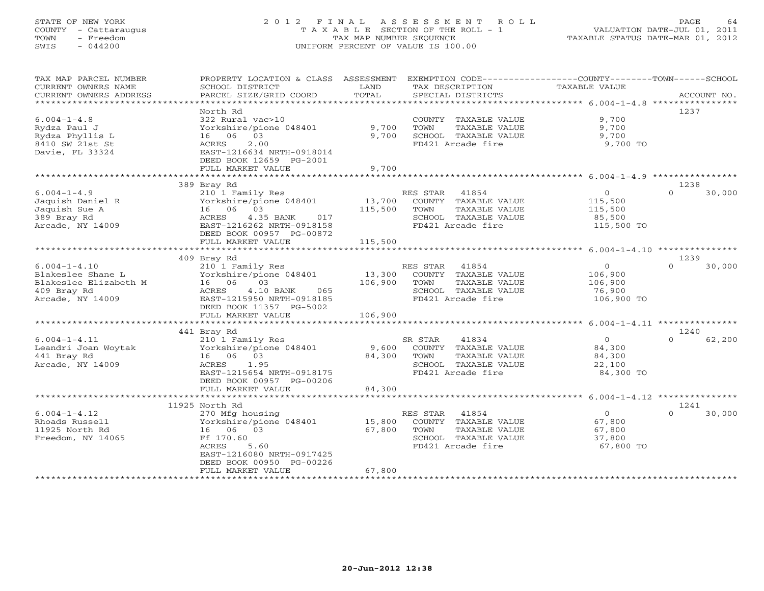# STATE OF NEW YORK 2 0 1 2 F I N A L A S S E S S M E N T R O L L PAGE 64 COUNTY - Cattaraugus T A X A B L E SECTION OF THE ROLL - 1 VALUATION DATE-JUL 01, 2011 TOWN - Freedom TAX MAP NUMBER SEQUENCE TAXABLE STATUS DATE-MAR 01, 2012 SWIS - 044200 UNIFORM PERCENT OF VALUE IS 100.00UNIFORM PERCENT OF VALUE IS 100.00

| TAX MAP PARCEL NUMBER<br>CURRENT OWNERS NAME | PROPERTY LOCATION & CLASS<br>SCHOOL DISTRICT           | ASSESSMENT<br>LAND | EXEMPTION CODE----------------COUNTY-------TOWN------SCHOOL<br>TAX DESCRIPTION | TAXABLE VALUE                         |                  |        |
|----------------------------------------------|--------------------------------------------------------|--------------------|--------------------------------------------------------------------------------|---------------------------------------|------------------|--------|
| CURRENT OWNERS ADDRESS                       | PARCEL SIZE/GRID COORD                                 | TOTAL              | SPECIAL DISTRICTS                                                              |                                       | ACCOUNT NO.      |        |
|                                              | North Rd                                               |                    |                                                                                |                                       | 1237             |        |
| $6.004 - 1 - 4.8$                            | 322 Rural vac>10                                       |                    | COUNTY TAXABLE VALUE                                                           | 9,700                                 |                  |        |
| Rydza Paul J                                 | Yorkshire/pione 048401                                 | 9,700              | TOWN<br>TAXABLE VALUE                                                          | 9,700                                 |                  |        |
| Rydza Phyllis L                              | 16 06<br>03                                            | 9,700              | SCHOOL TAXABLE VALUE                                                           | 9,700                                 |                  |        |
| 8410 SW 21st St                              | ACRES<br>2.00                                          |                    | FD421 Arcade fire                                                              | 9,700 TO                              |                  |        |
| Davie, FL 33324                              | EAST-1216634 NRTH-0918014                              |                    |                                                                                |                                       |                  |        |
|                                              | DEED BOOK 12659 PG-2001                                | 9,700              |                                                                                |                                       |                  |        |
|                                              | FULL MARKET VALUE                                      |                    |                                                                                |                                       |                  |        |
|                                              | 389 Bray Rd                                            |                    |                                                                                |                                       | 1238             |        |
| $6.004 - 1 - 4.9$                            | 210 1 Family Res                                       |                    | RES STAR<br>41854                                                              | $\mathbf{O}$                          | $\Omega$         | 30,000 |
| Jaquish Daniel R                             | Yorkshire/pione 048401                                 | 13,700             | COUNTY TAXABLE VALUE                                                           | 115,500                               |                  |        |
| Jaquish Sue A                                | 16 06 03                                               | 115,500            | TOWN<br>TAXABLE VALUE                                                          | 115,500                               |                  |        |
| 389 Bray Rd                                  | ACRES<br>4.35 BANK<br>017                              |                    | SCHOOL TAXABLE VALUE                                                           | 85,500                                |                  |        |
| Arcade, NY 14009                             | EAST-1216262 NRTH-0918158                              |                    | FD421 Arcade fire                                                              | 115,500 TO                            |                  |        |
|                                              | DEED BOOK 00957 PG-00872                               |                    |                                                                                |                                       |                  |        |
|                                              | FULL MARKET VALUE                                      | 115,500            |                                                                                |                                       |                  |        |
|                                              |                                                        |                    |                                                                                |                                       |                  |        |
|                                              | 409 Bray Rd                                            |                    |                                                                                |                                       | 1239             |        |
| $6.004 - 1 - 4.10$                           | 210 1 Family Res                                       |                    | RES STAR<br>41854                                                              | $\circ$                               | $\Omega$         | 30,000 |
| Blakeslee Shane L                            | Yorkshire/pione 048401                                 | 13,300             | COUNTY TAXABLE VALUE                                                           | 106,900                               |                  |        |
| Blakeslee Elizabeth M                        | 03<br>16 06                                            | 106,900            | TAXABLE VALUE<br>TOWN                                                          | 106,900                               |                  |        |
| 409 Bray Rd<br>Arcade, NY 14009              | 4.10 BANK<br>ACRES<br>065<br>EAST-1215950 NRTH-0918185 |                    | SCHOOL TAXABLE VALUE<br>FD421 Arcade fire                                      | 76,900<br>106,900 TO                  |                  |        |
|                                              | DEED BOOK 11357 PG-5002                                |                    |                                                                                |                                       |                  |        |
|                                              | FULL MARKET VALUE                                      | 106,900            |                                                                                |                                       |                  |        |
|                                              |                                                        |                    |                                                                                |                                       |                  |        |
|                                              | 441 Bray Rd                                            |                    |                                                                                |                                       | 1240             |        |
| $6.004 - 1 - 4.11$                           | 210 1 Family Res                                       |                    | 41834<br>SR STAR                                                               | $\circ$                               | $\Omega$         | 62,200 |
| Leandri Joan Woytak                          | Yorkshire/pione 048401                                 | 9,600              | COUNTY TAXABLE VALUE                                                           | 84,300                                |                  |        |
| 441 Bray Rd                                  | 16 06 03                                               | 84,300             | TOWN<br>TAXABLE VALUE                                                          | 84,300                                |                  |        |
| Arcade, NY 14009                             | <b>ACRES</b><br>1.95                                   |                    | SCHOOL TAXABLE VALUE                                                           | 22,100                                |                  |        |
|                                              | EAST-1215654 NRTH-0918175                              |                    | FD421 Arcade fire                                                              | 84,300 TO                             |                  |        |
|                                              | DEED BOOK 00957 PG-00206                               |                    |                                                                                |                                       |                  |        |
|                                              | FULL MARKET VALUE                                      | 84,300             |                                                                                |                                       |                  |        |
|                                              |                                                        |                    |                                                                                | ******** 6.004-1-4.12 *************** |                  |        |
|                                              | 11925 North Rd                                         |                    |                                                                                |                                       | 1241<br>$\Omega$ |        |
| $6.004 - 1 - 4.12$                           | 270 Mfg housing                                        |                    | RES STAR<br>41854                                                              | $\circ$<br>67,800                     |                  | 30,000 |
| Rhoads Russell<br>11925 North Rd             | Yorkshire/pione 048401<br>16 06 03                     | 15,800<br>67,800   | COUNTY TAXABLE VALUE<br>TOWN<br>TAXABLE VALUE                                  | 67,800                                |                  |        |
| Freedom, NY 14065                            | Ff 170.60                                              |                    | SCHOOL TAXABLE VALUE                                                           | 37,800                                |                  |        |
|                                              | ACRES<br>5.60                                          |                    | FD421 Arcade fire                                                              | 67,800 TO                             |                  |        |
|                                              | EAST-1216080 NRTH-0917425                              |                    |                                                                                |                                       |                  |        |
|                                              | DEED BOOK 00950 PG-00226                               |                    |                                                                                |                                       |                  |        |
|                                              | FULL MARKET VALUE                                      | 67,800             |                                                                                |                                       |                  |        |
|                                              |                                                        |                    |                                                                                |                                       |                  |        |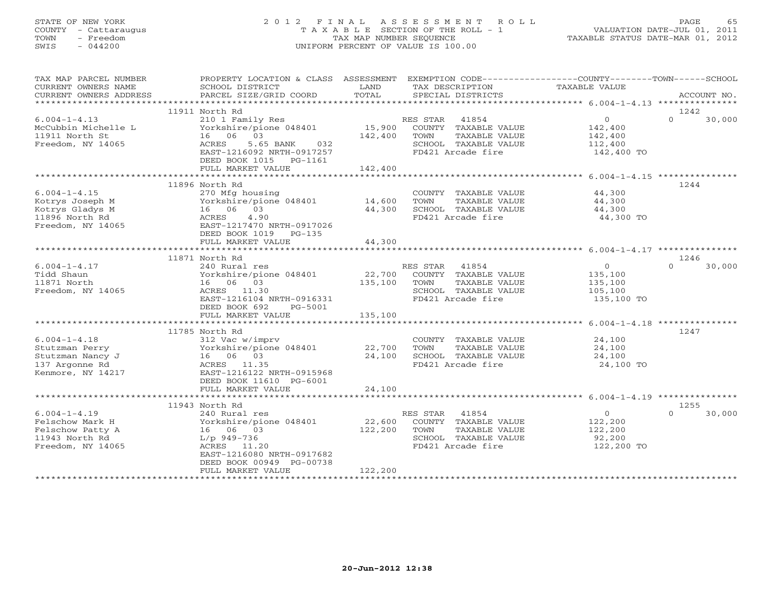# STATE OF NEW YORK 2 0 1 2 F I N A L A S S E S S M E N T R O L L PAGE 65 COUNTY - Cattaraugus T A X A B L E SECTION OF THE ROLL - 1 VALUATION DATE-JUL 01, 2011 TOWN - Freedom TAX MAP NUMBER SEQUENCE TAXABLE STATUS DATE-MAR 01, 2012 SWIS - 044200 UNIFORM PERCENT OF VALUE IS 100.00UNIFORM PERCENT OF VALUE IS 100.00

| CURRENT OWNERS NAME<br>SCHOOL DISTRICT<br>LAND<br>TAX DESCRIPTION<br>TAXABLE VALUE<br>11911 North Rd<br>1242<br>RES STAR 41854<br>15,900 COUNTY TAXABLE VALUE<br>$\overline{0}$<br>$\Omega$<br>$6.004 - 1 - 4.13$<br>210 1 Family Res<br>30,000<br>عام المستحدة Tamuly Res<br>Yorkshire/pione 048401<br>16 مام مار<br>142,400<br>McCubbin Michelle L<br>16 06 03<br>11911 North St<br>142,400 TOWN<br>TAXABLE VALUE<br>142,400<br>112,400<br>Freedom, NY 14065<br>ACRES 5.65 BANK 032<br>SCHOOL TAXABLE VALUE<br>FD421 Arcade fire<br>EAST-1216092 NRTH-0917257<br>$142,400$ TO<br>DEED BOOK 1015 PG-1161<br>142,400<br>FULL MARKET VALUE<br>11896 North Rd<br>1244<br>COUNTY TAXABLE VALUE 44,300<br>$6.004 - 1 - 4.15$<br>270 Mfg housing<br>Yorkshire/pione 048401 14,600<br>Vorkshire/pic<br>16 06 03<br>ACRES 4.90<br>EAST-1217470<br>Kotrys Joseph M<br>TOWN<br>TAXABLE VALUE<br>44,300<br>Kotrys Gladys M<br>44,300<br>SCHOOL TAXABLE VALUE<br>44,300<br>11896 North Rd<br>ACRES 4.90<br>FD421 Arcade fire<br>44,300 TO<br>Freedom, NY 14065<br>EAST-1217470 NRTH-0917026<br>DEED BOOK 1019 PG-135<br>FULL MARKET VALUE<br>44,300<br>11871 North Rd<br>1246<br>$6.004 - 1 - 4.17$<br>RES STAR<br>41854<br>$\overline{0}$<br>$\Omega$<br>30,000<br>240 Rural res<br>Vorkshire/pione 048401 22,700 COUNT!<br>16 06 03 135,100 TOWN<br>135,100<br>Tidd Shaun<br>COUNTY TAXABLE VALUE<br>135,100<br>TAXABLE VALUE<br>11871 North<br>Freedom, NY 14065<br>ACRES 11.30<br>SCHOOL TAXABLE VALUE<br>105,100<br>EAST-1216104 NRTH-0916331<br>FD421 Arcade fire<br>135,100 TO |
|----------------------------------------------------------------------------------------------------------------------------------------------------------------------------------------------------------------------------------------------------------------------------------------------------------------------------------------------------------------------------------------------------------------------------------------------------------------------------------------------------------------------------------------------------------------------------------------------------------------------------------------------------------------------------------------------------------------------------------------------------------------------------------------------------------------------------------------------------------------------------------------------------------------------------------------------------------------------------------------------------------------------------------------------------------------------------------------------------------------------------------------------------------------------------------------------------------------------------------------------------------------------------------------------------------------------------------------------------------------------------------------------------------------------------------------------------------------------------------------------------------------------------------------------------------------------------|
|                                                                                                                                                                                                                                                                                                                                                                                                                                                                                                                                                                                                                                                                                                                                                                                                                                                                                                                                                                                                                                                                                                                                                                                                                                                                                                                                                                                                                                                                                                                                                                            |
|                                                                                                                                                                                                                                                                                                                                                                                                                                                                                                                                                                                                                                                                                                                                                                                                                                                                                                                                                                                                                                                                                                                                                                                                                                                                                                                                                                                                                                                                                                                                                                            |
|                                                                                                                                                                                                                                                                                                                                                                                                                                                                                                                                                                                                                                                                                                                                                                                                                                                                                                                                                                                                                                                                                                                                                                                                                                                                                                                                                                                                                                                                                                                                                                            |
|                                                                                                                                                                                                                                                                                                                                                                                                                                                                                                                                                                                                                                                                                                                                                                                                                                                                                                                                                                                                                                                                                                                                                                                                                                                                                                                                                                                                                                                                                                                                                                            |
|                                                                                                                                                                                                                                                                                                                                                                                                                                                                                                                                                                                                                                                                                                                                                                                                                                                                                                                                                                                                                                                                                                                                                                                                                                                                                                                                                                                                                                                                                                                                                                            |
|                                                                                                                                                                                                                                                                                                                                                                                                                                                                                                                                                                                                                                                                                                                                                                                                                                                                                                                                                                                                                                                                                                                                                                                                                                                                                                                                                                                                                                                                                                                                                                            |
|                                                                                                                                                                                                                                                                                                                                                                                                                                                                                                                                                                                                                                                                                                                                                                                                                                                                                                                                                                                                                                                                                                                                                                                                                                                                                                                                                                                                                                                                                                                                                                            |
|                                                                                                                                                                                                                                                                                                                                                                                                                                                                                                                                                                                                                                                                                                                                                                                                                                                                                                                                                                                                                                                                                                                                                                                                                                                                                                                                                                                                                                                                                                                                                                            |
|                                                                                                                                                                                                                                                                                                                                                                                                                                                                                                                                                                                                                                                                                                                                                                                                                                                                                                                                                                                                                                                                                                                                                                                                                                                                                                                                                                                                                                                                                                                                                                            |
|                                                                                                                                                                                                                                                                                                                                                                                                                                                                                                                                                                                                                                                                                                                                                                                                                                                                                                                                                                                                                                                                                                                                                                                                                                                                                                                                                                                                                                                                                                                                                                            |
|                                                                                                                                                                                                                                                                                                                                                                                                                                                                                                                                                                                                                                                                                                                                                                                                                                                                                                                                                                                                                                                                                                                                                                                                                                                                                                                                                                                                                                                                                                                                                                            |
|                                                                                                                                                                                                                                                                                                                                                                                                                                                                                                                                                                                                                                                                                                                                                                                                                                                                                                                                                                                                                                                                                                                                                                                                                                                                                                                                                                                                                                                                                                                                                                            |
|                                                                                                                                                                                                                                                                                                                                                                                                                                                                                                                                                                                                                                                                                                                                                                                                                                                                                                                                                                                                                                                                                                                                                                                                                                                                                                                                                                                                                                                                                                                                                                            |
|                                                                                                                                                                                                                                                                                                                                                                                                                                                                                                                                                                                                                                                                                                                                                                                                                                                                                                                                                                                                                                                                                                                                                                                                                                                                                                                                                                                                                                                                                                                                                                            |
|                                                                                                                                                                                                                                                                                                                                                                                                                                                                                                                                                                                                                                                                                                                                                                                                                                                                                                                                                                                                                                                                                                                                                                                                                                                                                                                                                                                                                                                                                                                                                                            |
|                                                                                                                                                                                                                                                                                                                                                                                                                                                                                                                                                                                                                                                                                                                                                                                                                                                                                                                                                                                                                                                                                                                                                                                                                                                                                                                                                                                                                                                                                                                                                                            |
|                                                                                                                                                                                                                                                                                                                                                                                                                                                                                                                                                                                                                                                                                                                                                                                                                                                                                                                                                                                                                                                                                                                                                                                                                                                                                                                                                                                                                                                                                                                                                                            |
|                                                                                                                                                                                                                                                                                                                                                                                                                                                                                                                                                                                                                                                                                                                                                                                                                                                                                                                                                                                                                                                                                                                                                                                                                                                                                                                                                                                                                                                                                                                                                                            |
|                                                                                                                                                                                                                                                                                                                                                                                                                                                                                                                                                                                                                                                                                                                                                                                                                                                                                                                                                                                                                                                                                                                                                                                                                                                                                                                                                                                                                                                                                                                                                                            |
|                                                                                                                                                                                                                                                                                                                                                                                                                                                                                                                                                                                                                                                                                                                                                                                                                                                                                                                                                                                                                                                                                                                                                                                                                                                                                                                                                                                                                                                                                                                                                                            |
|                                                                                                                                                                                                                                                                                                                                                                                                                                                                                                                                                                                                                                                                                                                                                                                                                                                                                                                                                                                                                                                                                                                                                                                                                                                                                                                                                                                                                                                                                                                                                                            |
|                                                                                                                                                                                                                                                                                                                                                                                                                                                                                                                                                                                                                                                                                                                                                                                                                                                                                                                                                                                                                                                                                                                                                                                                                                                                                                                                                                                                                                                                                                                                                                            |
|                                                                                                                                                                                                                                                                                                                                                                                                                                                                                                                                                                                                                                                                                                                                                                                                                                                                                                                                                                                                                                                                                                                                                                                                                                                                                                                                                                                                                                                                                                                                                                            |
|                                                                                                                                                                                                                                                                                                                                                                                                                                                                                                                                                                                                                                                                                                                                                                                                                                                                                                                                                                                                                                                                                                                                                                                                                                                                                                                                                                                                                                                                                                                                                                            |
|                                                                                                                                                                                                                                                                                                                                                                                                                                                                                                                                                                                                                                                                                                                                                                                                                                                                                                                                                                                                                                                                                                                                                                                                                                                                                                                                                                                                                                                                                                                                                                            |
|                                                                                                                                                                                                                                                                                                                                                                                                                                                                                                                                                                                                                                                                                                                                                                                                                                                                                                                                                                                                                                                                                                                                                                                                                                                                                                                                                                                                                                                                                                                                                                            |
|                                                                                                                                                                                                                                                                                                                                                                                                                                                                                                                                                                                                                                                                                                                                                                                                                                                                                                                                                                                                                                                                                                                                                                                                                                                                                                                                                                                                                                                                                                                                                                            |
|                                                                                                                                                                                                                                                                                                                                                                                                                                                                                                                                                                                                                                                                                                                                                                                                                                                                                                                                                                                                                                                                                                                                                                                                                                                                                                                                                                                                                                                                                                                                                                            |
| DEED BOOK 692<br>PG-5001                                                                                                                                                                                                                                                                                                                                                                                                                                                                                                                                                                                                                                                                                                                                                                                                                                                                                                                                                                                                                                                                                                                                                                                                                                                                                                                                                                                                                                                                                                                                                   |
| 135,100<br>FULL MARKET VALUE                                                                                                                                                                                                                                                                                                                                                                                                                                                                                                                                                                                                                                                                                                                                                                                                                                                                                                                                                                                                                                                                                                                                                                                                                                                                                                                                                                                                                                                                                                                                               |
|                                                                                                                                                                                                                                                                                                                                                                                                                                                                                                                                                                                                                                                                                                                                                                                                                                                                                                                                                                                                                                                                                                                                                                                                                                                                                                                                                                                                                                                                                                                                                                            |
| 1247<br>11785 North Rd                                                                                                                                                                                                                                                                                                                                                                                                                                                                                                                                                                                                                                                                                                                                                                                                                                                                                                                                                                                                                                                                                                                                                                                                                                                                                                                                                                                                                                                                                                                                                     |
| 24,100<br>$6.004 - 1 - 4.18$<br>312 Vac w/imprv<br>COUNTY TAXABLE VALUE                                                                                                                                                                                                                                                                                                                                                                                                                                                                                                                                                                                                                                                                                                                                                                                                                                                                                                                                                                                                                                                                                                                                                                                                                                                                                                                                                                                                                                                                                                    |
| 24,100<br>TOWN<br>TAXABLE VALUE<br>Stutzman Perry                                                                                                                                                                                                                                                                                                                                                                                                                                                                                                                                                                                                                                                                                                                                                                                                                                                                                                                                                                                                                                                                                                                                                                                                                                                                                                                                                                                                                                                                                                                          |
| Yorkshire/pione 048401 22,700<br>16 06 03 24,100<br>16 06 03<br>Stutzman Nancy J<br>24,100                                                                                                                                                                                                                                                                                                                                                                                                                                                                                                                                                                                                                                                                                                                                                                                                                                                                                                                                                                                                                                                                                                                                                                                                                                                                                                                                                                                                                                                                                 |
| 24,100 SCHOOL TAXABLE VALUE<br>FD421 Arcade fire<br>24,100 TO<br>137 Argonne Rd<br>ACRES 11.35                                                                                                                                                                                                                                                                                                                                                                                                                                                                                                                                                                                                                                                                                                                                                                                                                                                                                                                                                                                                                                                                                                                                                                                                                                                                                                                                                                                                                                                                             |
| Kenmore, NY 14217<br>EAST-1216122 NRTH-0915968                                                                                                                                                                                                                                                                                                                                                                                                                                                                                                                                                                                                                                                                                                                                                                                                                                                                                                                                                                                                                                                                                                                                                                                                                                                                                                                                                                                                                                                                                                                             |
| DEED BOOK 11610 PG-6001                                                                                                                                                                                                                                                                                                                                                                                                                                                                                                                                                                                                                                                                                                                                                                                                                                                                                                                                                                                                                                                                                                                                                                                                                                                                                                                                                                                                                                                                                                                                                    |
| 24,100<br>FULL MARKET VALUE                                                                                                                                                                                                                                                                                                                                                                                                                                                                                                                                                                                                                                                                                                                                                                                                                                                                                                                                                                                                                                                                                                                                                                                                                                                                                                                                                                                                                                                                                                                                                |
|                                                                                                                                                                                                                                                                                                                                                                                                                                                                                                                                                                                                                                                                                                                                                                                                                                                                                                                                                                                                                                                                                                                                                                                                                                                                                                                                                                                                                                                                                                                                                                            |
| 11943 North Rd<br>1255                                                                                                                                                                                                                                                                                                                                                                                                                                                                                                                                                                                                                                                                                                                                                                                                                                                                                                                                                                                                                                                                                                                                                                                                                                                                                                                                                                                                                                                                                                                                                     |
| $\overline{0}$<br>$6.004 - 1 - 4.19$<br>RES STAR<br>41854<br>$\Omega$<br>30,000<br>240 Rural res                                                                                                                                                                                                                                                                                                                                                                                                                                                                                                                                                                                                                                                                                                                                                                                                                                                                                                                                                                                                                                                                                                                                                                                                                                                                                                                                                                                                                                                                           |
| 122,200<br>Yorkshire/pione 048401<br>22,600 COUNTY TAXABLE VALUE<br>Felschow Mark H                                                                                                                                                                                                                                                                                                                                                                                                                                                                                                                                                                                                                                                                                                                                                                                                                                                                                                                                                                                                                                                                                                                                                                                                                                                                                                                                                                                                                                                                                        |
| 122,200<br>122,200 TOWN<br>Felschow Patty A<br>16 06 03<br>TAXABLE VALUE                                                                                                                                                                                                                                                                                                                                                                                                                                                                                                                                                                                                                                                                                                                                                                                                                                                                                                                                                                                                                                                                                                                                                                                                                                                                                                                                                                                                                                                                                                   |
| 11943 North Rd<br>SCHOOL TAXABLE VALUE<br>L/p 949-736                                                                                                                                                                                                                                                                                                                                                                                                                                                                                                                                                                                                                                                                                                                                                                                                                                                                                                                                                                                                                                                                                                                                                                                                                                                                                                                                                                                                                                                                                                                      |
| 92,200<br>122,200 TO<br>Freedom, NY 14065<br>ACRES 11.20<br>FD421 Arcade fire                                                                                                                                                                                                                                                                                                                                                                                                                                                                                                                                                                                                                                                                                                                                                                                                                                                                                                                                                                                                                                                                                                                                                                                                                                                                                                                                                                                                                                                                                              |
| EAST-1216080 NRTH-0917682                                                                                                                                                                                                                                                                                                                                                                                                                                                                                                                                                                                                                                                                                                                                                                                                                                                                                                                                                                                                                                                                                                                                                                                                                                                                                                                                                                                                                                                                                                                                                  |
| DEED BOOK 00949 PG-00738                                                                                                                                                                                                                                                                                                                                                                                                                                                                                                                                                                                                                                                                                                                                                                                                                                                                                                                                                                                                                                                                                                                                                                                                                                                                                                                                                                                                                                                                                                                                                   |
| 122,200<br>FULL MARKET VALUE                                                                                                                                                                                                                                                                                                                                                                                                                                                                                                                                                                                                                                                                                                                                                                                                                                                                                                                                                                                                                                                                                                                                                                                                                                                                                                                                                                                                                                                                                                                                               |
| ************************                                                                                                                                                                                                                                                                                                                                                                                                                                                                                                                                                                                                                                                                                                                                                                                                                                                                                                                                                                                                                                                                                                                                                                                                                                                                                                                                                                                                                                                                                                                                                   |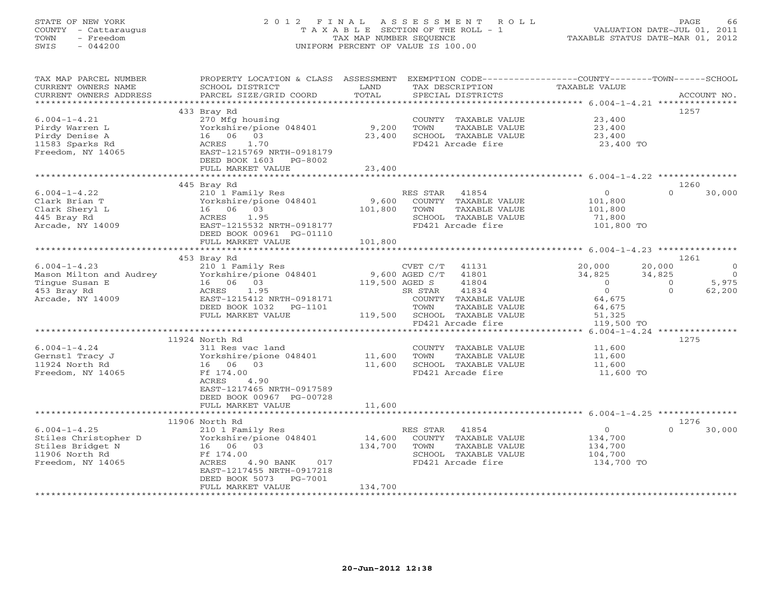# STATE OF NEW YORK 2 0 1 2 F I N A L A S S E S S M E N T R O L L PAGE 66 COUNTY - Cattaraugus T A X A B L E SECTION OF THE ROLL - 1 VALUATION DATE-JUL 01, 2011 TOWN - Freedom TAX MAP NUMBER SEQUENCE TAXABLE STATUS DATE-MAR 01, 2012 SWIS - 044200 UNIFORM PERCENT OF VALUE IS 100.00UNIFORM PERCENT OF VALUE IS 100.00

| TAX MAP PARCEL NUMBER<br>CURRENT OWNERS NAME | PROPERTY LOCATION & CLASS ASSESSMENT<br>SCHOOL DISTRICT                                                                                                                                                                                                                                 | LAND         | EXEMPTION CODE-----------------COUNTY-------TOWN------SCHOOL<br>TAX DESCRIPTION | TAXABLE VALUE     |                          |
|----------------------------------------------|-----------------------------------------------------------------------------------------------------------------------------------------------------------------------------------------------------------------------------------------------------------------------------------------|--------------|---------------------------------------------------------------------------------|-------------------|--------------------------|
| CURRENT OWNERS ADDRESS                       |                                                                                                                                                                                                                                                                                         |              |                                                                                 |                   |                          |
|                                              |                                                                                                                                                                                                                                                                                         |              |                                                                                 |                   |                          |
|                                              | 433 Bray Rd                                                                                                                                                                                                                                                                             |              |                                                                                 |                   | 1257                     |
| $6.004 - 1 - 4.21$                           | 270 Mfg housing                                                                                                                                                                                                                                                                         |              | COUNTY TAXABLE VALUE                                                            | 23,400            |                          |
| Pirdy Warren L                               |                                                                                                                                                                                                                                                                                         |              | TOWN<br>TAXABLE VALUE                                                           | 23,400            |                          |
| Pirdy Denise A                               | 16 06 03                                                                                                                                                                                                                                                                                | 23,400       | SCHOOL TAXABLE VALUE                                                            | 23,400            |                          |
| 11583 Sparks Rd                              | ACRES<br>1.70                                                                                                                                                                                                                                                                           |              | FD421 Arcade fire                                                               | 23,400 TO         |                          |
| Freedom, NY 14065                            | EAST-1215769 NRTH-0918179                                                                                                                                                                                                                                                               |              |                                                                                 |                   |                          |
|                                              | DEED BOOK 1603 PG-8002                                                                                                                                                                                                                                                                  |              |                                                                                 |                   |                          |
|                                              | FULL MARKET VALUE                                                                                                                                                                                                                                                                       | 23,400       |                                                                                 |                   |                          |
|                                              |                                                                                                                                                                                                                                                                                         |              |                                                                                 |                   |                          |
|                                              | 445 Bray Rd                                                                                                                                                                                                                                                                             |              |                                                                                 |                   | 1260                     |
| $6.004 - 1 - 4.22$                           | 210 1 Family Res                                                                                                                                                                                                                                                                        |              | RES STAR 41854                                                                  | $\overline{O}$    | $\Omega$<br>30,000       |
| Clark Brian T                                | --- 1 ramily Res<br>Yorkshire/pione 048401<br>16 06 03<br>ACRES 1.95<br>EAST-1215532 NRTH-0918177                                                                                                                                                                                       |              | 9,600 COUNTY TAXABLE VALUE                                                      | 101,800           |                          |
| Clark Sheryl L                               |                                                                                                                                                                                                                                                                                         | 101,800 TOWN | TAXABLE VALUE                                                                   | 101,800           |                          |
| 445 Bray Rd                                  |                                                                                                                                                                                                                                                                                         |              | SCHOOL TAXABLE VALUE                                                            | 71,800            |                          |
|                                              |                                                                                                                                                                                                                                                                                         |              | FD421 Arcade fire                                                               |                   |                          |
| Arcade, NY 14009                             | EAST-1215532 NRTH-0918177                                                                                                                                                                                                                                                               |              |                                                                                 | 101,800 TO        |                          |
|                                              | DEED BOOK 00961 PG-01110                                                                                                                                                                                                                                                                |              |                                                                                 |                   |                          |
|                                              | FULL MARKET VALUE<br>****************************                                                                                                                                                                                                                                       | 101,800      |                                                                                 |                   |                          |
|                                              |                                                                                                                                                                                                                                                                                         |              |                                                                                 |                   |                          |
|                                              | 453 Bray Rd                                                                                                                                                                                                                                                                             |              |                                                                                 |                   | 1261                     |
| $6.004 - 1 - 4.23$                           | 210 1 Family Res                                                                                                                                                                                                                                                                        |              | CVET C/T 41131                                                                  | 20,000            | 20,000<br>$\overline{0}$ |
| Mason Milton and Audrey                      | 210 I Family Res<br>Yorkshire/pione 048401 9,600 AGED C/T                                                                                                                                                                                                                               |              | 41801                                                                           | 34,825            | 34,825<br>$\overline{0}$ |
| Tinque Susan E                               | Torkshire, provided and the control of the matrix of the matrix of the matrix of the matrix of the matrix of the matrix of the matrix of the matrix of the matrix of the matrix of the matrix of the matrix of the matrix of t<br>$119,500$ AGED S<br>SR STAR<br>----- $0.12171$ COUNTY |              | 41804                                                                           | $\overline{0}$    | 5,975<br>$\overline{0}$  |
| 453 Bray Rd                                  | 1.95                                                                                                                                                                                                                                                                                    |              | 41834                                                                           | $0 \qquad \qquad$ | $\Omega$<br>62,200       |
| Arcade, NY 14009                             | EAST-1215412 NRTH-0918171                                                                                                                                                                                                                                                               |              | COUNTY TAXABLE VALUE                                                            | 64,675            |                          |
|                                              | DEED BOOK 1032    PG-1101                                                                                                                                                                                                                                                               |              | TOWN<br>TAXABLE VALUE                                                           | 64,675            |                          |
|                                              | FULL MARKET VALUE                                                                                                                                                                                                                                                                       |              | $119,500$ SCHOOL TAXABLE VALUE                                                  | 51,325            |                          |
|                                              |                                                                                                                                                                                                                                                                                         |              | FD421 Arcade fire                                                               | 119,500 TO        |                          |
|                                              |                                                                                                                                                                                                                                                                                         |              |                                                                                 |                   |                          |
|                                              | 11924 North Rd                                                                                                                                                                                                                                                                          |              |                                                                                 |                   | 1275                     |
| $6.004 - 1 - 4.24$                           |                                                                                                                                                                                                                                                                                         |              | COUNTY TAXABLE VALUE 11,600                                                     |                   |                          |
| Gernstl Tracy J                              |                                                                                                                                                                                                                                                                                         |              | TAXABLE VALUE                                                                   | 11,600            |                          |
| 11924 North Rd                               | 16 06 03                                                                                                                                                                                                                                                                                |              |                                                                                 | 11,600            |                          |
| Freedom, NY 14065                            | Ff 174.00                                                                                                                                                                                                                                                                               |              | --,<br>11,600 SCHOOL TAXABLE VALUE<br>FD421 Arcade fire                         | 11,600 TO         |                          |
|                                              | ACRES<br>4.90                                                                                                                                                                                                                                                                           |              |                                                                                 |                   |                          |
|                                              | EAST-1217465 NRTH-0917589                                                                                                                                                                                                                                                               |              |                                                                                 |                   |                          |
|                                              |                                                                                                                                                                                                                                                                                         |              |                                                                                 |                   |                          |
|                                              | DEED BOOK 00967 PG-00728                                                                                                                                                                                                                                                                |              |                                                                                 |                   |                          |
|                                              | FULL MARKET VALUE                                                                                                                                                                                                                                                                       | 11,600       |                                                                                 |                   |                          |
|                                              |                                                                                                                                                                                                                                                                                         |              |                                                                                 |                   |                          |
|                                              | 11906 North Rd                                                                                                                                                                                                                                                                          |              |                                                                                 |                   | 1276<br>$\Omega$         |
| $6.004 - 1 - 4.25$                           | 210 1 Family Res                                                                                                                                                                                                                                                                        |              | RES STAR 41854                                                                  | $\overline{O}$    | 30,000                   |
| Stiles Christopher D                         | Torkshire/pione 048401 14,600 COUNTY TAXABLE VALUE<br>16 06 03 134,700 TOWN TAXABLE VALUE                                                                                                                                                                                               |              |                                                                                 | 134,700           |                          |
| Stiles Bridget N                             |                                                                                                                                                                                                                                                                                         |              |                                                                                 | 134,700           |                          |
| 11906 North Rd                               |                                                                                                                                                                                                                                                                                         |              | SCHOOL TAXABLE VALUE                                                            | 104,700           |                          |
| Freedom, NY 14065                            | ACRES<br>4.90 BANK 017                                                                                                                                                                                                                                                                  |              | FD421 Arcade fire                                                               | 134,700 TO        |                          |
|                                              | EAST-1217455 NRTH-0917218                                                                                                                                                                                                                                                               |              |                                                                                 |                   |                          |
|                                              | DEED BOOK 5073 PG-7001                                                                                                                                                                                                                                                                  |              |                                                                                 |                   |                          |
|                                              | FULL MARKET VALUE                                                                                                                                                                                                                                                                       | 134,700      |                                                                                 |                   |                          |
|                                              | ***********************                                                                                                                                                                                                                                                                 |              |                                                                                 |                   |                          |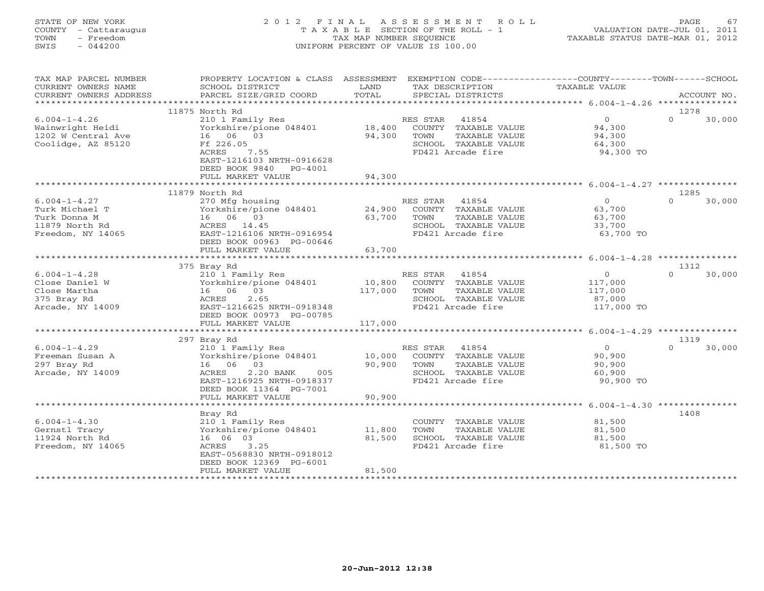# STATE OF NEW YORK 2 0 1 2 F I N A L A S S E S S M E N T R O L L PAGE 67 COUNTY - Cattaraugus T A X A B L E SECTION OF THE ROLL - 1 VALUATION DATE-JUL 01, 2011 TOWN - Freedom TAX MAP NUMBER SEQUENCE TAXABLE STATUS DATE-MAR 01, 2012 SWIS - 044200 UNIFORM PERCENT OF VALUE IS 100.00UNIFORM PERCENT OF VALUE IS 100.00

| TAX MAP PARCEL NUMBER           | PROPERTY LOCATION & CLASS ASSESSMENT |         |                 |                                       | EXEMPTION CODE----------------COUNTY-------TOWN------SCHOOL |          |             |
|---------------------------------|--------------------------------------|---------|-----------------|---------------------------------------|-------------------------------------------------------------|----------|-------------|
| CURRENT OWNERS NAME             | SCHOOL DISTRICT                      | LAND    | TAX DESCRIPTION |                                       | TAXABLE VALUE                                               |          |             |
| CURRENT OWNERS ADDRESS          | PARCEL SIZE/GRID COORD               | TOTAL   |                 | SPECIAL DISTRICTS                     |                                                             |          | ACCOUNT NO. |
| *********************           | ***********************              |         |                 |                                       |                                                             |          |             |
|                                 | 11875 North Rd                       |         |                 |                                       |                                                             | 1278     |             |
| $6.004 - 1 - 4.26$              | 210 1 Family Res                     |         | RES STAR        | 41854                                 | $\overline{0}$                                              | $\Omega$ | 30,000      |
| Wainwright Heidi                | Yorkshire/pione 048401               | 18,400  |                 | COUNTY TAXABLE VALUE                  | 94,300                                                      |          |             |
| 1202 W Central Ave              | 16 06 03                             | 94,300  | TOWN            | TAXABLE VALUE                         | 94,300                                                      |          |             |
| Coolidge, AZ 85120              | Ff 226.05                            |         |                 | SCHOOL TAXABLE VALUE                  | 64,300                                                      |          |             |
|                                 | ACRES<br>7.55                        |         |                 | FD421 Arcade fire                     | 94,300 TO                                                   |          |             |
|                                 | EAST-1216103 NRTH-0916628            |         |                 |                                       |                                                             |          |             |
|                                 | DEED BOOK 9840 PG-4001               |         |                 |                                       |                                                             |          |             |
|                                 | FULL MARKET VALUE                    | 94,300  |                 |                                       |                                                             |          |             |
|                                 |                                      |         |                 |                                       |                                                             |          |             |
|                                 | 11879 North Rd                       |         |                 |                                       |                                                             | 1285     |             |
| $6.004 - 1 - 4.27$              | 270 Mfg housing                      |         | RES STAR        | 41854                                 | 0                                                           | $\Omega$ | 30,000      |
| Turk Michael T                  | Yorkshire/pione 048401               | 24,900  |                 | COUNTY TAXABLE VALUE                  | 63,700                                                      |          |             |
| Turk Donna M                    | 16 06 03                             | 63,700  | TOWN            | TAXABLE VALUE                         | 63,700                                                      |          |             |
| 11879 North Rd                  | ACRES 14.45                          |         |                 | SCHOOL TAXABLE VALUE                  | 33,700                                                      |          |             |
| Freedom, NY 14065               | EAST-1216106 NRTH-0916954            |         |                 | FD421 Arcade fire                     | 63,700 TO                                                   |          |             |
|                                 | DEED BOOK 00963 PG-00646             |         |                 |                                       |                                                             |          |             |
|                                 | FULL MARKET VALUE                    | 63,700  |                 |                                       |                                                             |          |             |
|                                 |                                      |         |                 |                                       |                                                             |          |             |
|                                 | 375 Bray Rd                          |         |                 |                                       |                                                             | 1312     |             |
| $6.004 - 1 - 4.28$              | 210 1 Family Res                     |         | RES STAR        | 41854                                 | $\overline{0}$                                              | $\Omega$ | 30,000      |
| Close Daniel W                  | Yorkshire/pione 048401               | 10,800  |                 | COUNTY TAXABLE VALUE                  | 117,000                                                     |          |             |
| Close Martha                    | 16 06 03                             | 117,000 | TOWN            | TAXABLE VALUE                         | 117,000                                                     |          |             |
| 375 Bray Rd                     | 2.65<br>ACRES                        |         |                 | SCHOOL TAXABLE VALUE                  | 87,000                                                      |          |             |
| Arcade, NY 14009                | EAST-1216625 NRTH-0918348            |         |                 | FD421 Arcade fire                     | 117,000 TO                                                  |          |             |
|                                 | DEED BOOK 00973 PG-00785             |         |                 |                                       |                                                             |          |             |
|                                 | FULL MARKET VALUE                    | 117,000 |                 |                                       |                                                             |          |             |
|                                 |                                      |         |                 |                                       |                                                             |          |             |
|                                 | 297 Bray Rd                          |         |                 |                                       |                                                             | 1319     |             |
| $6.004 - 1 - 4.29$              | 210 1 Family Res                     |         | RES STAR        | 41854                                 | $\overline{0}$                                              | $\Omega$ | 30,000      |
| Freeman Susan A                 | Yorkshire/pione 048401<br>16 06 03   | 10,000  |                 | COUNTY TAXABLE VALUE                  | 90,900                                                      |          |             |
| 297 Bray Rd<br>Arcade, NY 14009 | 2.20 BANK<br>ACRES<br>005            | 90,900  | TOWN            | TAXABLE VALUE<br>SCHOOL TAXABLE VALUE | 90,900<br>60,900                                            |          |             |
|                                 | EAST-1216925 NRTH-0918337            |         |                 | FD421 Arcade fire                     | 90,900 TO                                                   |          |             |
|                                 | DEED BOOK 11364 PG-7001              |         |                 |                                       |                                                             |          |             |
|                                 | FULL MARKET VALUE                    | 90,900  |                 |                                       |                                                             |          |             |
|                                 |                                      |         |                 |                                       |                                                             |          |             |
|                                 | Bray Rd                              |         |                 |                                       |                                                             | 1408     |             |
| $6.004 - 1 - 4.30$              | 210 1 Family Res                     |         |                 | COUNTY TAXABLE VALUE                  | 81,500                                                      |          |             |
| Gernstl Tracy                   | Yorkshire/pione 048401               | 11,800  | TOWN            | TAXABLE VALUE                         | 81,500                                                      |          |             |
| 11924 North Rd                  | 16 06 03                             | 81,500  |                 | SCHOOL TAXABLE VALUE                  | 81,500                                                      |          |             |
| Freedom, NY 14065               | ACRES<br>3.25                        |         |                 | FD421 Arcade fire                     | 81,500 TO                                                   |          |             |
|                                 | EAST-0568830 NRTH-0918012            |         |                 |                                       |                                                             |          |             |
|                                 | DEED BOOK 12369 PG-6001              |         |                 |                                       |                                                             |          |             |
|                                 | FULL MARKET VALUE                    | 81,500  |                 |                                       |                                                             |          |             |
|                                 |                                      |         |                 |                                       |                                                             |          |             |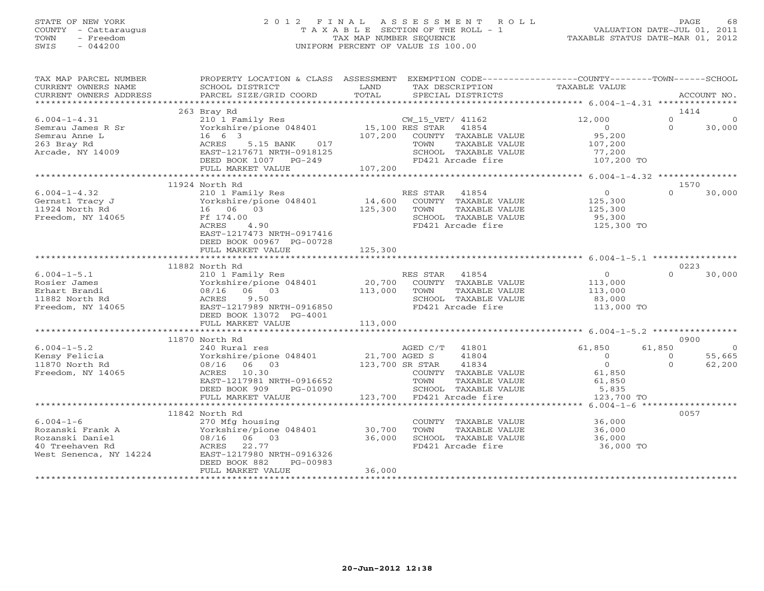## STATE OF NEW YORK 2 0 1 2 F I N A L A S S E S S M E N T R O L L PAGE 68 COUNTY - Cattaraugus T A X A B L E SECTION OF THE ROLL - 1 VALUATION DATE-JUL 01, 2011 TOWN - Freedom TAX MAP NUMBER SEQUENCE TAXABLE STATUS DATE-MAR 01, 2012 SWIS - 044200 UNIFORM PERCENT OF VALUE IS 100.00UNIFORM PERCENT OF VALUE IS 100.00

| TAX MAP PARCEL NUMBER                                  | PROPERTY LOCATION & CLASS ASSESSMENT EXEMPTION CODE---------------COUNTY-------TOWN------SCHOOL                                                                                                                                            |                   |                                                                |                                     |                      |
|--------------------------------------------------------|--------------------------------------------------------------------------------------------------------------------------------------------------------------------------------------------------------------------------------------------|-------------------|----------------------------------------------------------------|-------------------------------------|----------------------|
| CURRENT OWNERS NAME                                    | SCHOOL DISTRICT                                                                                                                                                                                                                            | LAND              | TAX DESCRIPTION                                                | TAXABLE VALUE                       |                      |
| CURRENT OWNERS ADDRESS                                 | PARCEL SIZE/GRID COORD                                                                                                                                                                                                                     | TOTAL             | SPECIAL DISTRICTS                                              |                                     | ACCOUNT NO.          |
|                                                        |                                                                                                                                                                                                                                            |                   |                                                                |                                     |                      |
|                                                        | 263 Bray Rd                                                                                                                                                                                                                                |                   |                                                                |                                     | 1414                 |
| $6.004 - 1 - 4.31$                                     | 210 1 Family Res                                                                                                                                                                                                                           |                   | CW_15_VET/ 41162                                               | 12,000                              | $\Omega$<br>$\Omega$ |
| Semrau James R Sr                                      | % CW_15_VET/ 41162<br>Yorkshire/pione 048401 15,100 RES STAR 41854                                                                                                                                                                         |                   |                                                                | $\overline{0}$                      | $\Omega$<br>30,000   |
| Semrau Anne L                                          | $16 \t 6 \t 3$                                                                                                                                                                                                                             |                   | 107,200 COUNTY TAXABLE VALUE                                   | 95,200                              |                      |
| 263 Bray Rd                                            |                                                                                                                                                                                                                                            |                   |                                                                |                                     |                      |
| Arcade, NY 14009                                       |                                                                                                                                                                                                                                            |                   |                                                                |                                     |                      |
|                                                        |                                                                                                                                                                                                                                            |                   |                                                                |                                     |                      |
|                                                        |                                                                                                                                                                                                                                            |                   |                                                                |                                     |                      |
|                                                        | emrau Anne Laurence (1990)<br>For the Market of the Same Country of Taxable Value (197,200<br>Fredde, NY 14009 (1988) EAST-1217671 NRTH-0918125<br>FULL MARKET VALUE 107,200<br>FULL MARKET VALUE 107,200<br>FULL MARKET VALUE 107,200<br> |                   |                                                                |                                     |                      |
|                                                        | 11924 North Rd                                                                                                                                                                                                                             |                   |                                                                |                                     | 1570                 |
|                                                        |                                                                                                                                                                                                                                            |                   |                                                                |                                     | $\Omega$             |
| $6.004 - 1 - 4.32$<br>$6.004 - 1.1$<br>Gernstl Tracy J | 210 1 Family Res                                                                                                                                                                                                                           |                   | RES STAR 41854                                                 | 0<br>125,300<br>125,300             | 30,000               |
|                                                        | Yorkshire/pione 048401 14,600 COUNTY TAXABLE VALUE<br>16 06 03 125,300 TOWN TAXABLE VALUE                                                                                                                                                  |                   |                                                                |                                     |                      |
| 11924 North Rd                                         | 16 06 03                                                                                                                                                                                                                                   |                   |                                                                |                                     |                      |
| Freedom, NY 14065                                      | Ff 174.00                                                                                                                                                                                                                                  |                   | SCHOOL TAXABLE VALUE 95,300<br>FD421 Arcade fire 125,300 TO    |                                     |                      |
|                                                        | 4.90<br>ACRES                                                                                                                                                                                                                              |                   |                                                                |                                     |                      |
|                                                        | EAST-1217473 NRTH-0917416                                                                                                                                                                                                                  |                   |                                                                |                                     |                      |
|                                                        | DEED BOOK 00967 PG-00728                                                                                                                                                                                                                   |                   |                                                                |                                     |                      |
|                                                        | FULL MARKET VALUE                                                                                                                                                                                                                          | 125,300           |                                                                |                                     |                      |
|                                                        |                                                                                                                                                                                                                                            |                   |                                                                |                                     |                      |
|                                                        | 11882 North Rd                                                                                                                                                                                                                             |                   |                                                                |                                     | 0223                 |
| $6.004 - 1 - 5.1$                                      | 210 1 Family Res                                                                                                                                                                                                                           |                   | RES STAR 41854                                                 | 0<br>VALUE 113,000<br>VALUE 113,000 | $\cap$<br>30,000     |
| Rosier James                                           | Yorkshire/pione 048401                                                                                                                                                                                                                     |                   | 20,700 COUNTY TAXABLE VALUE<br>113,000 TOWN TAXABLE VALUE      |                                     |                      |
| Erhart Brandi                                          | 08/16 06 03                                                                                                                                                                                                                                |                   | TAXABLE VALUE                                                  |                                     |                      |
| 11882 North Rd                                         | ACRES 9.50                                                                                                                                                                                                                                 |                   |                                                                |                                     |                      |
| Freedom, NY 14065                                      | -------<br>EAST-1217989 NRTH-0916850                                                                                                                                                                                                       |                   | SCHOOL TAXABLE VALUE<br>FD421 Arcade fire<br>FD421 Arcade fire | 83,000<br>113,000 TO                |                      |
|                                                        | DEED BOOK 13072 PG-4001                                                                                                                                                                                                                    |                   |                                                                |                                     |                      |
|                                                        | FULL MARKET VALUE                                                                                                                                                                                                                          | 113,000           |                                                                |                                     |                      |
|                                                        |                                                                                                                                                                                                                                            |                   |                                                                |                                     |                      |
|                                                        | 11870 North Rd                                                                                                                                                                                                                             |                   |                                                                |                                     | 0900                 |
| $6.004 - 1 - 5.2$                                      | 240 Rural res                                                                                                                                                                                                                              |                   | AGED C/T 41801                                                 | 61,850                              | 61,850<br>$\sim$ 0   |
| Kensy Felicia                                          | Yorkshire/pione 048401 21,700 AGED S                                                                                                                                                                                                       |                   | 41804                                                          | $\overline{0}$                      | 55,665<br>$\Omega$   |
|                                                        |                                                                                                                                                                                                                                            |                   |                                                                | $\overline{0}$                      | $\Omega$             |
| 11870 North Rd                                         | 08/16 06 03                                                                                                                                                                                                                                | $123,700$ SR STAR | 41834                                                          |                                     | 62,200               |
| Freedom, NY 14065                                      | ACRES 10.30                                                                                                                                                                                                                                |                   | COUNTY TAXABLE VALUE                                           | 61,850                              |                      |
|                                                        | EAST-1217981 NRTH-0916652                                                                                                                                                                                                                  |                   |                                                                |                                     |                      |
|                                                        | DEED BOOK 909 PG-01090                                                                                                                                                                                                                     |                   |                                                                |                                     |                      |
|                                                        | FULL MARKET VALUE                                                                                                                                                                                                                          |                   | 123,700 FD421 Arcade fire                                      | 123,700 TO                          |                      |
|                                                        |                                                                                                                                                                                                                                            |                   |                                                                |                                     |                      |
|                                                        | 11842 North Rd                                                                                                                                                                                                                             |                   |                                                                |                                     | 0057                 |
| $6.004 - 1 - 6$                                        |                                                                                                                                                                                                                                            |                   | COUNTY TAXABLE VALUE 36,000                                    |                                     |                      |
|                                                        |                                                                                                                                                                                                                                            |                   | TOWN      TAXABLE VALUE<br>SCHOOL   TAXABLE VALUE              | 36,000<br>36,000                    |                      |
|                                                        |                                                                                                                                                                                                                                            |                   |                                                                |                                     |                      |
|                                                        |                                                                                                                                                                                                                                            |                   | FD421 Arcade fire                                              | 36,000 TO                           |                      |
|                                                        |                                                                                                                                                                                                                                            |                   |                                                                |                                     |                      |
|                                                        | DEED BOOK 882<br>PG-00983                                                                                                                                                                                                                  |                   |                                                                |                                     |                      |
|                                                        | FULL MARKET VALUE                                                                                                                                                                                                                          | 36,000            |                                                                |                                     |                      |
|                                                        |                                                                                                                                                                                                                                            |                   |                                                                |                                     |                      |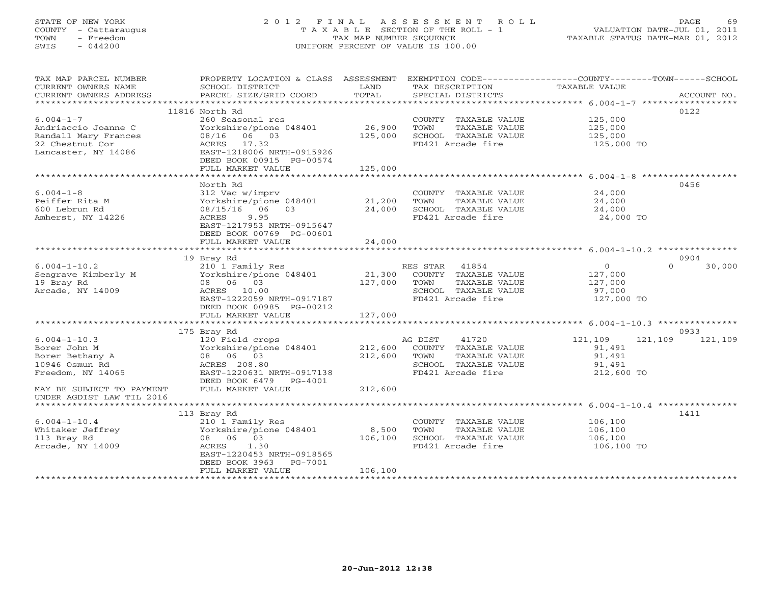# STATE OF NEW YORK 2 0 1 2 F I N A L A S S E S S M E N T R O L L PAGE 69 COUNTY - Cattaraugus T A X A B L E SECTION OF THE ROLL - 1 VALUATION DATE-JUL 01, 2011 TOWN - Freedom TAX MAP NUMBER SEQUENCE TAXABLE STATUS DATE-MAR 01, 2012 SWIS - 044200 UNIFORM PERCENT OF VALUE IS 100.00UNIFORM PERCENT OF VALUE IS 100.00

| TAX MAP PARCEL NUMBER                       | PROPERTY LOCATION & CLASS ASSESSMENT                                                                                         |              | EXEMPTION CODE-----------------COUNTY-------TOWN------SCHOOL |                      |                    |
|---------------------------------------------|------------------------------------------------------------------------------------------------------------------------------|--------------|--------------------------------------------------------------|----------------------|--------------------|
| CURRENT OWNERS NAME                         | SCHOOL DISTRICT                                                                                                              | LAND         | TAX DESCRIPTION                                              | TAXABLE VALUE        |                    |
|                                             |                                                                                                                              |              |                                                              |                      |                    |
|                                             |                                                                                                                              |              |                                                              |                      |                    |
|                                             | 11816 North Rd                                                                                                               |              |                                                              |                      | 0122               |
| $6.004 - 1 - 7$                             | 260 Seasonal res                                                                                                             |              | COUNTY TAXABLE VALUE                                         | 125,000              |                    |
| Andriaccio Joanne C                         | Yorkshire/pione 048401 26,900                                                                                                |              | TOWN<br>TAXABLE VALUE                                        | 125,000              |                    |
| Randall Mary Frances                        | 08/16 06 03                                                                                                                  | 125,000      | SCHOOL TAXABLE VALUE                                         | 125,000              |                    |
| 22 Chestnut Cor                             | ACRES 17.32                                                                                                                  |              | FD421 Arcade fire                                            | 125,000 TO           |                    |
| Lancaster, NY 14086                         | EAST-1218006 NRTH-0915926                                                                                                    |              |                                                              |                      |                    |
|                                             | DEED BOOK 00915 PG-00574                                                                                                     |              |                                                              |                      |                    |
|                                             | FULL MARKET VALUE                                                                                                            | 125,000      |                                                              |                      |                    |
|                                             |                                                                                                                              |              |                                                              |                      |                    |
|                                             | North Rd                                                                                                                     |              |                                                              |                      | 0456               |
| $6.004 - 1 - 8$                             | 312 Vac w/imprv                                                                                                              |              | COUNTY TAXABLE VALUE                                         | 24,000               |                    |
| Peiffer Rita M                              | Yorkshire/pione 048401 21,200                                                                                                |              | TOWN                                                         | TAXABLE VALUE 24,000 |                    |
| 600 Lebrun Rd                               | 08/15/16 06 03<br>ACRES 9.95                                                                                                 | 24,000       | SCHOOL TAXABLE VALUE                                         | 24,000               |                    |
| Amherst, NY 14226                           | 9.95<br>ACRES                                                                                                                |              | FD421 Arcade fire                                            | 24,000 TO            |                    |
|                                             | EAST-1217953 NRTH-0915647                                                                                                    |              |                                                              |                      |                    |
|                                             | DEED BOOK 00769 PG-00601                                                                                                     |              |                                                              |                      |                    |
|                                             |                                                                                                                              |              |                                                              |                      |                    |
|                                             | 19 Bray Rd                                                                                                                   |              |                                                              |                      | 0904               |
| $6.004 - 1 - 10.2$                          | 210 1 Family Res<br>Yorkshire/pione 048401 21,300 COUNTY TAXABLE VALUE<br>08 06 03 127,000 TOWN TAXABLE VALUE<br>ACRES 10.00 |              |                                                              | $\overline{0}$       | $\Omega$<br>30,000 |
| Seagrave Kimberly M                         |                                                                                                                              |              |                                                              | 127,000              |                    |
| 19 Bray Rd                                  |                                                                                                                              |              | TAXABLE VALUE                                                | 127,000              |                    |
| Arcade, NY 14009                            |                                                                                                                              |              | SCHOOL TAXABLE VALUE                                         | 97,000               |                    |
|                                             | 08 06 03<br>ACRES 10.00<br>EAST-1222059 NRTH-0917187                                                                         |              | FD421 Arcade fire                                            | 127,000 TO           |                    |
|                                             | DEED BOOK 00985 PG-00212                                                                                                     |              |                                                              |                      |                    |
|                                             |                                                                                                                              |              |                                                              |                      |                    |
|                                             |                                                                                                                              |              |                                                              |                      |                    |
|                                             | 175 Bray Rd                                                                                                                  |              |                                                              |                      | 0933               |
| $6.004 - 1 - 10.3$                          | 120 Field crops                                                                                                              |              | AG DIST 41720                                                | 121,109              | 121,109 121,109    |
| Borer John M                                | Yorkshire/pione 048401 212,600 COUNTY TAXABLE VALUE                                                                          |              |                                                              | 91,491               |                    |
| Borer Bethany A                             | 08 06 03                                                                                                                     | 212,600 TOWN | TAXABLE VALUE                                                | 91,491               |                    |
| 10946 Osmun Rd                              | ACRES 208.80                                                                                                                 |              | SCHOOL TAXABLE VALUE                                         | 91,491               |                    |
| Freedom, NY 14065                           | EAST-1220631 NRTH-0917138                                                                                                    |              | FD421 Arcade fire                                            | 212,600 TO           |                    |
|                                             | DEED BOOK 6479 PG-4001                                                                                                       |              |                                                              |                      |                    |
| MAY BE SUBJECT TO PAYMENT FULL MARKET VALUE |                                                                                                                              | 212,600      |                                                              |                      |                    |
| UNDER AGDIST LAW TIL 2016                   |                                                                                                                              |              |                                                              |                      |                    |
|                                             |                                                                                                                              |              |                                                              |                      |                    |
|                                             | 113 Bray Rd                                                                                                                  |              |                                                              |                      | 1411               |
| $6.004 - 1 - 10.4$                          | 210 1 Family Res                                                                                                             |              | COUNTY TAXABLE VALUE                                         | 106,100              |                    |
| Whitaker Jeffrey                            | Yorkshire/pione 048401 8,500                                                                                                 |              | TOWN<br>TAXABLE VALUE                                        | 106, 100             |                    |
| 113 Bray Rd                                 | 08 06 03                                                                                                                     | 106,100      | SCHOOL TAXABLE VALUE                                         | 106,100              |                    |
| Arcade, NY 14009                            | 1.30<br>ACRES                                                                                                                |              | FD421 Arcade fire                                            | 106,100 TO           |                    |
|                                             | EAST-1220453 NRTH-0918565                                                                                                    |              |                                                              |                      |                    |
|                                             | DEED BOOK 3963 PG-7001                                                                                                       |              |                                                              |                      |                    |
|                                             | FULL MARKET VALUE                                                                                                            | 106,100      |                                                              |                      |                    |
|                                             |                                                                                                                              |              |                                                              |                      |                    |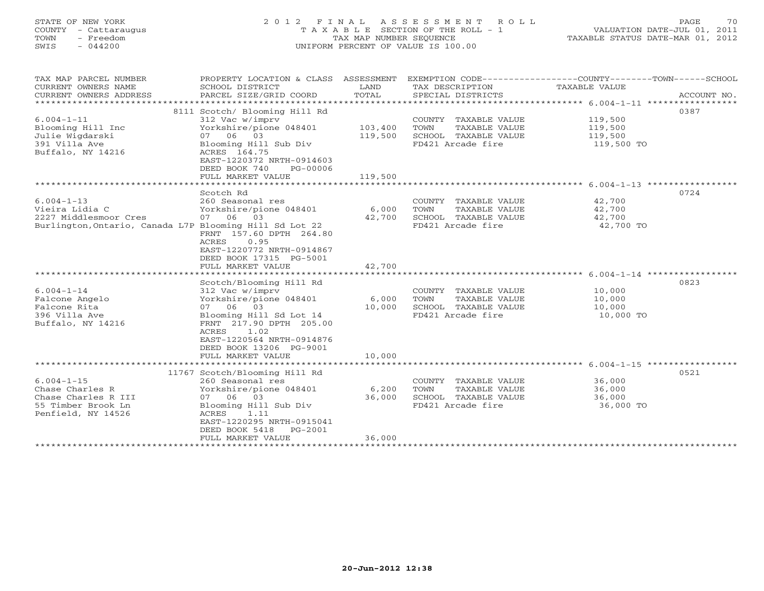# STATE OF NEW YORK 2 0 1 2 F I N A L A S S E S S M E N T R O L L PAGE 70 COUNTY - Cattaraugus T A X A B L E SECTION OF THE ROLL - 1 VALUATION DATE-JUL 01, 2011 TOWN - Freedom TAX MAP NUMBER SEQUENCE TAXABLE STATUS DATE-MAR 01, 2012 SWIS - 044200 UNIFORM PERCENT OF VALUE IS 100.00UNIFORM PERCENT OF VALUE IS 100.00

| TAX MAP PARCEL NUMBER<br>CURRENT OWNERS NAME<br>CURRENT OWNERS ADDRESS<br>**********************                       | PROPERTY LOCATION & CLASS ASSESSMENT<br>SCHOOL DISTRICT<br>PARCEL SIZE/GRID COORD                                                                                                                                                             | LAND<br>TOTAL             | TAX DESCRIPTION<br>SPECIAL DISTRICTS                                                       | EXEMPTION CODE----------------COUNTY-------TOWN-----SCHOOL<br>TAXABLE VALUE<br>ACCOUNT NO. |  |
|------------------------------------------------------------------------------------------------------------------------|-----------------------------------------------------------------------------------------------------------------------------------------------------------------------------------------------------------------------------------------------|---------------------------|--------------------------------------------------------------------------------------------|--------------------------------------------------------------------------------------------|--|
| $6.004 - 1 - 11$<br>Blooming Hill Inc<br>Julie Wigdarski<br>391 Villa Ave<br>Buffalo, NY 14216                         | 8111 Scotch/ Blooming Hill Rd<br>312 Vac w/imprv<br>Yorkshire/pione 048401<br>07 06 03<br>Blooming Hill Sub Div<br>ACRES 164.75<br>EAST-1220372 NRTH-0914603<br>DEED BOOK 740<br>PG-00006                                                     | 103,400<br>119,500        | COUNTY TAXABLE VALUE<br>TAXABLE VALUE<br>TOWN<br>SCHOOL TAXABLE VALUE<br>FD421 Arcade fire | 0387<br>119,500<br>119,500<br>119,500<br>119,500 TO                                        |  |
|                                                                                                                        | FULL MARKET VALUE                                                                                                                                                                                                                             | 119,500                   |                                                                                            |                                                                                            |  |
| $6.004 - 1 - 13$<br>Vieira Lidia C<br>2227 Middlesmoor Cres<br>Burlington, Ontario, Canada L7P Blooming Hill Sd Lot 22 | Scotch Rd<br>260 Seasonal res<br>Yorkshire/pione 048401<br>07 06<br>03<br>FRNT 157.60 DPTH 264.80<br>ACRES<br>0.95<br>EAST-1220772 NRTH-0914867<br>DEED BOOK 17315 PG-5001<br>FULL MARKET VALUE                                               | 6,000<br>42,700<br>42,700 | COUNTY TAXABLE VALUE<br>TOWN<br>TAXABLE VALUE<br>SCHOOL TAXABLE VALUE<br>FD421 Arcade fire | 0724<br>42,700<br>42,700<br>42,700<br>42,700 TO                                            |  |
| $6.004 - 1 - 14$<br>Falcone Angelo<br>Falcone Rita<br>396 Villa Ave<br>Buffalo, NY 14216                               | Scotch/Blooming Hill Rd<br>312 Vac w/imprv<br>Yorkshire/pione 048401<br>07 06 03<br>Blooming Hill Sd Lot 14<br>FRNT 217.90 DPTH 205.00<br>ACRES<br>1.02<br>EAST-1220564 NRTH-0914876<br>DEED BOOK 13206 PG-9001<br>FULL MARKET VALUE          | 6,000<br>10,000<br>10,000 | COUNTY TAXABLE VALUE<br>TOWN<br>TAXABLE VALUE<br>SCHOOL TAXABLE VALUE<br>FD421 Arcade fire | 0823<br>10,000<br>10,000<br>10,000<br>10,000 TO                                            |  |
|                                                                                                                        |                                                                                                                                                                                                                                               |                           |                                                                                            |                                                                                            |  |
| $6.004 - 1 - 15$<br>Chase Charles R<br>Chase Charles R III<br>55 Timber Brook Ln<br>Penfield, NY 14526                 | 11767 Scotch/Blooming Hill Rd<br>260 Seasonal res<br>Yorkshire/pione 048401<br>07 06 03<br>Blooming Hill Sub Div<br>ACRES<br>1.11<br>EAST-1220295 NRTH-0915041<br>DEED BOOK 5418<br>$PG-2001$<br>FULL MARKET VALUE<br>*********************** | 6,200<br>36,000<br>36,000 | COUNTY TAXABLE VALUE<br>TOWN<br>TAXABLE VALUE<br>SCHOOL TAXABLE VALUE<br>FD421 Arcade fire | 0521<br>36,000<br>36,000<br>36,000<br>36,000 TO                                            |  |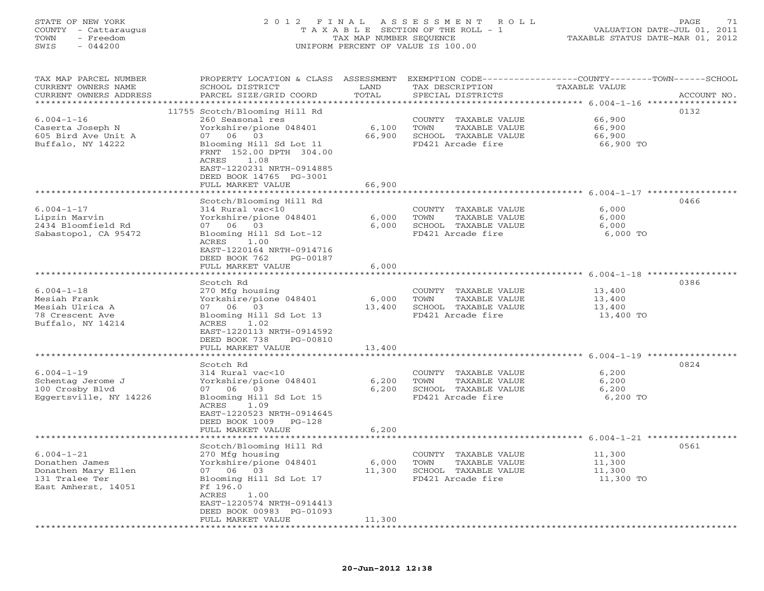#### STATE OF NEW YORK 2 0 1 2 F I N A L A S S E S S M E N T R O L L PAGE 71 COUNTY - Cattaraugus T A X A B L E SECTION OF THE ROLL - 1 VALUATION DATE-JUL 01, 2011 TOWN - Freedom TAX MAP NUMBER SEQUENCE TAXABLE STATUS DATE-MAR 01, 2012 SWIS - 044200 UNIFORM PERCENT OF VALUE IS 100.00

| TAX MAP PARCEL NUMBER<br>CURRENT OWNERS NAME<br>CURRENT OWNERS ADDRESS                             | PROPERTY LOCATION & CLASS ASSESSMENT<br>SCHOOL DISTRICT<br>PARCEL SIZE/GRID COORD                                                                                                                                      | LAND<br>TOTAL   | TAX DESCRIPTION<br>SPECIAL DISTRICTS                                                       | EXEMPTION CODE-----------------COUNTY-------TOWN------SCHOOL<br>TAXABLE VALUE | ACCOUNT NO. |
|----------------------------------------------------------------------------------------------------|------------------------------------------------------------------------------------------------------------------------------------------------------------------------------------------------------------------------|-----------------|--------------------------------------------------------------------------------------------|-------------------------------------------------------------------------------|-------------|
|                                                                                                    |                                                                                                                                                                                                                        |                 |                                                                                            |                                                                               |             |
| $6.004 - 1 - 16$<br>Caserta Joseph N<br>605 Bird Ave Unit A<br>Buffalo, NY 14222                   | 11755 Scotch/Blooming Hill Rd<br>260 Seasonal res<br>Yorkshire/pione 048401<br>07 06 03<br>Blooming Hill Sd Lot 11<br>FRNT 152.00 DPTH 304.00<br>ACRES<br>1.08<br>EAST-1220231 NRTH-0914885<br>DEED BOOK 14765 PG-3001 | 6,100<br>66,900 | COUNTY TAXABLE VALUE<br>TAXABLE VALUE<br>TOWN<br>SCHOOL TAXABLE VALUE<br>FD421 Arcade fire | 66,900<br>66,900<br>66,900<br>66,900 TO                                       | 0132        |
|                                                                                                    | FULL MARKET VALUE                                                                                                                                                                                                      | 66,900          |                                                                                            |                                                                               |             |
|                                                                                                    |                                                                                                                                                                                                                        |                 |                                                                                            |                                                                               |             |
| $6.004 - 1 - 17$<br>Lipzin Marvin<br>2434 Bloomfield Rd<br>Sabastopol, CA 95472                    | Scotch/Blooming Hill Rd<br>314 Rural vac<10<br>Yorkshire/pione 048401<br>07 06 03<br>Blooming Hill Sd Lot-12<br>1.00<br>ACRES                                                                                          | 6,000<br>6,000  | COUNTY TAXABLE VALUE<br>TOWN<br>TAXABLE VALUE<br>SCHOOL TAXABLE VALUE<br>FD421 Arcade fire | 6,000<br>6,000<br>6,000<br>6,000 TO                                           | 0466        |
|                                                                                                    | EAST-1220164 NRTH-0914716<br>DEED BOOK 762<br>PG-00187<br>FULL MARKET VALUE                                                                                                                                            | 6,000           |                                                                                            | *********** 6.004-1-18 ******************                                     |             |
|                                                                                                    |                                                                                                                                                                                                                        |                 |                                                                                            |                                                                               |             |
| $6.004 - 1 - 18$<br>Mesiah Frank<br>Mesiah Ulrica A<br>78 Crescent Ave<br>Buffalo, NY 14214        | Scotch Rd<br>270 Mfg housing<br>Yorkshire/pione 048401<br>07 06 03<br>Blooming Hill Sd Lot 13<br>1.02<br>ACRES<br>EAST-1220113 NRTH-0914592<br>DEED BOOK 738<br>PG-00810                                               | 6,000<br>13,400 | COUNTY TAXABLE VALUE<br>TAXABLE VALUE<br>TOWN<br>SCHOOL TAXABLE VALUE<br>FD421 Arcade fire | 13,400<br>13,400<br>13,400<br>13,400 TO                                       | 0386        |
|                                                                                                    | FULL MARKET VALUE                                                                                                                                                                                                      | 13,400          |                                                                                            |                                                                               |             |
|                                                                                                    | * * * * * * * * * * * * * * * * * *                                                                                                                                                                                    | *************   |                                                                                            |                                                                               |             |
| $6.004 - 1 - 19$<br>Schentag Jerome J<br>100 Crosby Blvd<br>Eggertsville, NY 14226                 | Scotch Rd<br>314 Rural vac<10<br>Yorkshire/pione 048401<br>07 06 03<br>Blooming Hill Sd Lot 15<br>ACRES<br>1.09<br>EAST-1220523 NRTH-0914645<br>DEED BOOK 1009<br>$PG-128$                                             | 6,200<br>6,200  | COUNTY TAXABLE VALUE<br>TAXABLE VALUE<br>TOWN<br>SCHOOL TAXABLE VALUE<br>FD421 Arcade fire | 6,200<br>6,200<br>6,200<br>6,200 TO                                           | 0824        |
|                                                                                                    | FULL MARKET VALUE                                                                                                                                                                                                      | 6,200           |                                                                                            |                                                                               |             |
|                                                                                                    | *******************                                                                                                                                                                                                    |                 |                                                                                            | ********** 6.004-1-21 ******                                                  |             |
| $6.004 - 1 - 21$<br>Donathen James<br>Donathen Mary Ellen<br>131 Tralee Ter<br>East Amherst, 14051 | Scotch/Blooming Hill Rd<br>270 Mfg housing<br>Yorkshire/pione 048401<br>07 06 03<br>Blooming Hill Sd Lot 17<br>Ff 196.0<br>1.00<br>ACRES<br>EAST-1220574 NRTH-0914413<br>DEED BOOK 00983 PG-01093                      | 6,000<br>11,300 | COUNTY TAXABLE VALUE<br>TOWN<br>TAXABLE VALUE<br>SCHOOL TAXABLE VALUE<br>FD421 Arcade fire | 11,300<br>11,300<br>11,300<br>11,300 TO                                       | 0561        |
|                                                                                                    | FULL MARKET VALUE                                                                                                                                                                                                      | 11,300          |                                                                                            |                                                                               |             |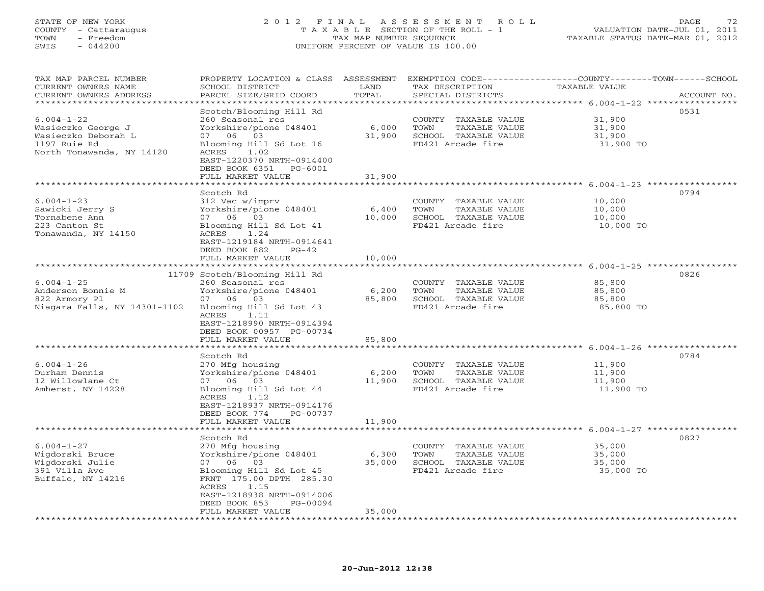## STATE OF NEW YORK 2 0 1 2 F I N A L A S S E S S M E N T R O L L PAGE 72 COUNTY - Cattaraugus T A X A B L E SECTION OF THE ROLL - 1 VALUATION DATE-JUL 01, 2011 TOWN - Freedom TAX MAP NUMBER SEQUENCE TAXABLE STATUS DATE-MAR 01, 2012 SWIS - 044200 UNIFORM PERCENT OF VALUE IS 100.00UNIFORM PERCENT OF VALUE IS 100.00

| TAX MAP PARCEL NUMBER<br>CURRENT OWNERS NAME<br>CURRENT OWNERS ADDRESS | PROPERTY LOCATION & CLASS ASSESSMENT<br>SCHOOL DISTRICT<br>PARCEL SIZE/GRID COORD | LAND<br>TOTAL   | TAX DESCRIPTION<br>SPECIAL DISTRICTS | EXEMPTION CODE-----------------COUNTY-------TOWN------SCHOOL<br>TAXABLE VALUE | ACCOUNT NO. |
|------------------------------------------------------------------------|-----------------------------------------------------------------------------------|-----------------|--------------------------------------|-------------------------------------------------------------------------------|-------------|
|                                                                        |                                                                                   | ********        |                                      | ********** 6.004-1-22 ****                                                    | *********** |
|                                                                        | Scotch/Blooming Hill Rd                                                           |                 |                                      |                                                                               | 0531        |
| $6.004 - 1 - 22$                                                       | 260 Seasonal res                                                                  |                 | COUNTY TAXABLE VALUE                 | 31,900                                                                        |             |
| Wasieczko George J                                                     | Yorkshire/pione 048401                                                            | 6,000           | TOWN<br>TAXABLE VALUE                | 31,900                                                                        |             |
| Wasieczko Deborah L                                                    | 06 03<br>07                                                                       | 31,900          | SCHOOL TAXABLE VALUE                 | 31,900                                                                        |             |
| 1197 Ruie Rd                                                           | Blooming Hill Sd Lot 16                                                           |                 | FD421 Arcade fire                    | 31,900 TO                                                                     |             |
| North Tonawanda, NY 14120                                              | 1.02<br>ACRES<br>EAST-1220370 NRTH-0914400<br>DEED BOOK 6351<br>PG-6001           |                 |                                      |                                                                               |             |
|                                                                        | FULL MARKET VALUE                                                                 | 31,900          |                                      |                                                                               |             |
|                                                                        |                                                                                   |                 |                                      | ******************* 6.004-1-23 ***********                                    |             |
|                                                                        | Scotch Rd                                                                         |                 |                                      |                                                                               | 0794        |
| $6.004 - 1 - 23$                                                       | 312 Vac w/imprv                                                                   |                 | COUNTY TAXABLE VALUE                 | 10,000                                                                        |             |
| Sawicki Jerry S                                                        | Yorkshire/pione 048401                                                            | 6,400           | TOWN<br>TAXABLE VALUE                | 10,000                                                                        |             |
| Tornabene Ann                                                          | 07 06 03                                                                          | 10,000          | SCHOOL TAXABLE VALUE                 | 10,000                                                                        |             |
| 223 Canton St                                                          | Blooming Hill Sd Lot 41                                                           |                 | FD421 Arcade fire                    | 10,000 TO                                                                     |             |
| Tonawanda, NY 14150                                                    | 1.24<br>ACRES                                                                     |                 |                                      |                                                                               |             |
|                                                                        | EAST-1219184 NRTH-0914641                                                         |                 |                                      |                                                                               |             |
|                                                                        | DEED BOOK 882<br>$PG-42$                                                          |                 |                                      |                                                                               |             |
|                                                                        | FULL MARKET VALUE                                                                 | 10,000          |                                      |                                                                               |             |
|                                                                        |                                                                                   |                 |                                      | **********************************6.004-1-25 ************                     |             |
|                                                                        | 11709 Scotch/Blooming Hill Rd                                                     |                 |                                      |                                                                               | 0826        |
| $6.004 - 1 - 25$                                                       | 260 Seasonal res                                                                  |                 | COUNTY TAXABLE VALUE                 | 85,800                                                                        |             |
|                                                                        | Yorkshire/pione 048401                                                            |                 | TAXABLE VALUE                        |                                                                               |             |
| Anderson Bonnie M                                                      | 07 06 03                                                                          | 6,200<br>85,800 | TOWN<br>SCHOOL TAXABLE VALUE         | 85,800<br>85,800                                                              |             |
| 822 Armory Pl                                                          |                                                                                   |                 | FD421 Arcade fire                    | 85,800 TO                                                                     |             |
| Niagara Falls, NY 14301-1102                                           | Blooming Hill Sd Lot 43<br>ACRES<br>1.11                                          |                 |                                      |                                                                               |             |
|                                                                        |                                                                                   |                 |                                      |                                                                               |             |
|                                                                        | EAST-1218990 NRTH-0914394                                                         |                 |                                      |                                                                               |             |
|                                                                        | DEED BOOK 00957 PG-00734                                                          |                 |                                      |                                                                               |             |
|                                                                        | FULL MARKET VALUE                                                                 | 85,800          |                                      |                                                                               |             |
|                                                                        |                                                                                   |                 |                                      |                                                                               |             |
|                                                                        | Scotch Rd                                                                         |                 |                                      |                                                                               | 0784        |
| $6.004 - 1 - 26$                                                       | 270 Mfg housing                                                                   |                 | COUNTY TAXABLE VALUE                 | 11,900                                                                        |             |
| Durham Dennis                                                          | Yorkshire/pione 048401                                                            | 6,200           | TOWN<br>TAXABLE VALUE                | 11,900                                                                        |             |
| 12 Willowlane Ct                                                       | 07 06 03                                                                          | 11,900          | SCHOOL TAXABLE VALUE                 | 11,900                                                                        |             |
| Amherst, NY 14228                                                      | Blooming Hill Sd Lot 44                                                           |                 | FD421 Arcade fire                    | 11,900 TO                                                                     |             |
|                                                                        | ACRES<br>1.12                                                                     |                 |                                      |                                                                               |             |
|                                                                        | EAST-1218937 NRTH-0914176                                                         |                 |                                      |                                                                               |             |
|                                                                        | DEED BOOK 774<br>PG-00737                                                         |                 |                                      |                                                                               |             |
|                                                                        | FULL MARKET VALUE                                                                 | 11,900          |                                      |                                                                               |             |
|                                                                        |                                                                                   |                 |                                      | ********************** 6.004-1-27 ***************                             |             |
|                                                                        | Scotch Rd                                                                         |                 |                                      |                                                                               | 0827        |
| $6.004 - 1 - 27$                                                       | 270 Mfg housing                                                                   |                 | COUNTY TAXABLE VALUE                 | 35,000                                                                        |             |
| Wigdorski Bruce                                                        | Yorkshire/pione 048401                                                            | 6,300           | TAXABLE VALUE<br>TOWN                | 35,000                                                                        |             |
| Wigdorski Julie                                                        | 07 06 03                                                                          | 35,000          | SCHOOL TAXABLE VALUE                 | 35,000                                                                        |             |
| 391 Villa Ave                                                          | Blooming Hill Sd Lot 45                                                           |                 | FD421 Arcade fire                    | 35,000 TO                                                                     |             |
| Buffalo, NY 14216                                                      | FRNT 175.00 DPTH 285.30                                                           |                 |                                      |                                                                               |             |
|                                                                        | 1.15<br>ACRES                                                                     |                 |                                      |                                                                               |             |
|                                                                        | EAST-1218938 NRTH-0914006                                                         |                 |                                      |                                                                               |             |
|                                                                        | DEED BOOK 853<br>PG-00094                                                         |                 |                                      |                                                                               |             |
|                                                                        | FULL MARKET VALUE                                                                 | 35,000          |                                      |                                                                               |             |
|                                                                        |                                                                                   |                 |                                      |                                                                               |             |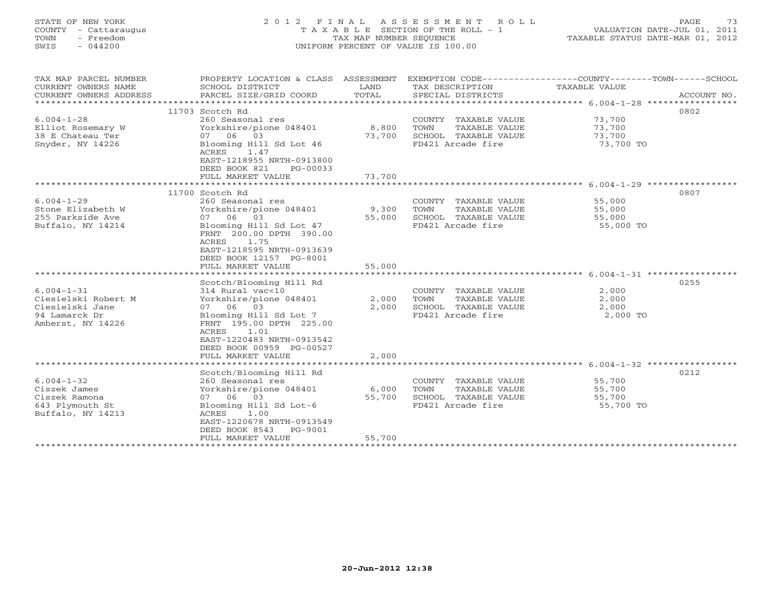| STATE OF NEW YORK<br>COUNTY - Cattaraugus<br>- Freedom<br>TOWN<br>$-044200$<br>SWIS              | 2 0 1 2<br>F I N A L<br>TAXABLE                                                                                                                                                                                                       | TAX MAP NUMBER SEQUENCE   | ASSESSMENT<br>ROLL<br>SECTION OF THE ROLL - 1<br>UNIFORM PERCENT OF VALUE IS 100.00                  | 73<br>PAGE<br>VALUATION DATE-JUL 01, 2011<br>TAXABLE STATUS DATE-MAR 01, 2012 |             |  |
|--------------------------------------------------------------------------------------------------|---------------------------------------------------------------------------------------------------------------------------------------------------------------------------------------------------------------------------------------|---------------------------|------------------------------------------------------------------------------------------------------|-------------------------------------------------------------------------------|-------------|--|
| TAX MAP PARCEL NUMBER<br>CURRENT OWNERS NAME<br>CURRENT OWNERS ADDRESS                           | PROPERTY LOCATION & CLASS ASSESSMENT<br>SCHOOL DISTRICT<br>PARCEL SIZE/GRID COORD                                                                                                                                                     | LAND<br>TOTAL<br>******   | EXEMPTION CODE-----------------COUNTY-------TOWN------SCHOOL<br>TAX DESCRIPTION<br>SPECIAL DISTRICTS | TAXABLE VALUE<br>***** 6.004-1-28 ****                                        | ACCOUNT NO. |  |
|                                                                                                  | 11703 Scotch Rd                                                                                                                                                                                                                       |                           |                                                                                                      |                                                                               | 0802        |  |
| $6.004 - 1 - 28$<br>Elliot Rosemary W<br>38 E Chateau Ter<br>Snyder, NY 14226                    | 260 Seasonal res<br>Yorkshire/pione 048401<br>03<br>07 06<br>Blooming Hill Sd Lot 46<br>1.47<br>ACRES<br>EAST-1218955 NRTH-0913800<br>DEED BOOK 821<br>PG-00033                                                                       | 8,800<br>73,700           | COUNTY TAXABLE VALUE<br>TAXABLE VALUE<br>TOWN<br>SCHOOL TAXABLE VALUE<br>FD421 Arcade fire           | 73,700<br>73,700<br>73,700<br>73,700 TO                                       |             |  |
|                                                                                                  | FULL MARKET VALUE                                                                                                                                                                                                                     | 73,700                    |                                                                                                      | ******************************** 6.004-1-29 ***************                   |             |  |
| $6.004 - 1 - 29$<br>Stone Elizabeth W<br>255 Parkside Ave<br>Buffalo, NY 14214                   | 11700 Scotch Rd<br>260 Seasonal res<br>Yorkshire/pione 048401<br>07 06<br>03<br>Blooming Hill Sd Lot 47<br>FRNT 200.00 DPTH 390.00<br>ACRES<br>1.75<br>EAST-1218595 NRTH-0913639<br>DEED BOOK 12157 PG-8001<br>FULL MARKET VALUE      | 9,300<br>55,000<br>55,000 | COUNTY TAXABLE VALUE<br>TOWN<br>TAXABLE VALUE<br>SCHOOL TAXABLE VALUE<br>FD421 Arcade fire           | 55,000<br>55,000<br>55,000<br>55,000 TO                                       | 0807        |  |
|                                                                                                  | *****************                                                                                                                                                                                                                     |                           |                                                                                                      | ********************* 6.004-1-31 ***************                              |             |  |
| $6.004 - 1 - 31$<br>Ciesielski Robert M<br>Ciesielski Jane<br>94 Lamarck Dr<br>Amherst, NY 14226 | Scotch/Blooming Hill Rd<br>314 Rural vac<10<br>Yorkshire/pione 048401<br>07 06 03<br>Blooming Hill Sd Lot 7<br>FRNT 195.00 DPTH 225.00<br>1.01<br>ACRES<br>EAST-1220483 NRTH-0913542<br>DEED BOOK 00959 PG-00527<br>FULL MARKET VALUE | 2,000<br>2,000<br>2,000   | COUNTY TAXABLE VALUE<br>TOWN<br>TAXABLE VALUE<br>SCHOOL TAXABLE VALUE<br>FD421 Arcade fire           | 2,000<br>2,000<br>2,000<br>2,000 TO                                           | 0255        |  |
|                                                                                                  |                                                                                                                                                                                                                                       |                           |                                                                                                      | **************** 6.004-1-32 ****************                                  |             |  |
| $6.004 - 1 - 32$<br>Ciszek James<br>Ciszek Ramona<br>643 Plymouth St<br>Buffalo, NY 14213        | Scotch/Blooming Hill Rd<br>260 Seasonal res<br>Yorkshire/pione 048401<br>07 06<br>03<br>Blooming Hill Sd Lot-6<br>ACRES<br>1.00<br>EAST-1220678 NRTH-0913549<br>DEED BOOK 8543<br>PG-9001<br>FULL MARKET VALUE                        | 6,000<br>55,700<br>55,700 | COUNTY TAXABLE VALUE<br>TAXABLE VALUE<br>TOWN<br>SCHOOL TAXABLE VALUE<br>FD421 Arcade fire           | 55,700<br>55,700<br>55,700<br>55,700 TO                                       | 0212        |  |

\*\*\*\*\*\*\*\*\*\*\*\*\*\*\*\*\*\*\*\*\*\*\*\*\*\*\*\*\*\*\*\*\*\*\*\*\*\*\*\*\*\*\*\*\*\*\*\*\*\*\*\*\*\*\*\*\*\*\*\*\*\*\*\*\*\*\*\*\*\*\*\*\*\*\*\*\*\*\*\*\*\*\*\*\*\*\*\*\*\*\*\*\*\*\*\*\*\*\*\*\*\*\*\*\*\*\*\*\*\*\*\*\*\*\*\*\*\*\*\*\*\*\*\*\*\*\*\*\*\*\*\*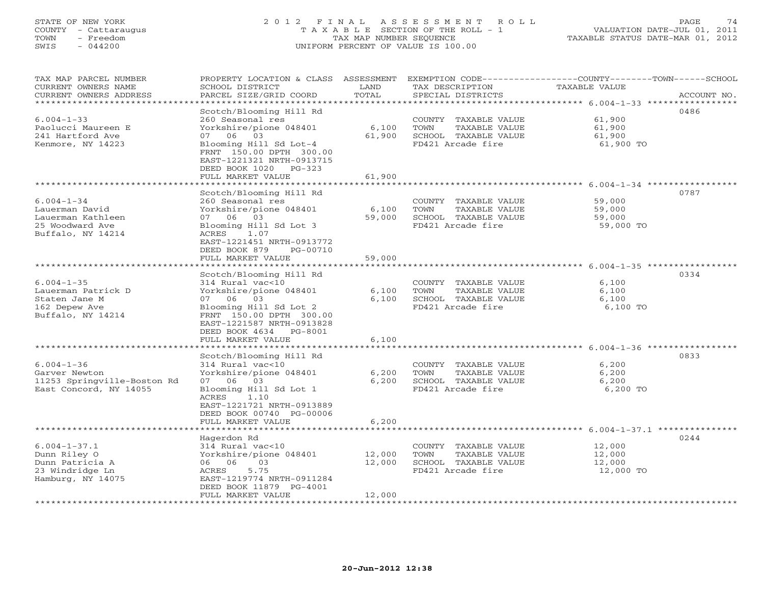# STATE OF NEW YORK 2 0 1 2 F I N A L A S S E S S M E N T R O L L PAGE 74 COUNTY - Cattaraugus T A X A B L E SECTION OF THE ROLL - 1 VALUATION DATE-JUL 01, 2011 TOWN - Freedom TAX MAP NUMBER SEQUENCE TAXABLE STATUS DATE-MAR 01, 2012 SWIS - 044200 UNIFORM PERCENT OF VALUE IS 100.00UNIFORM PERCENT OF VALUE IS 100.00

| TAX MAP PARCEL NUMBER<br>CURRENT OWNERS NAME<br>CURRENT OWNERS ADDRESS                                  | PROPERTY LOCATION & CLASS ASSESSMENT<br>SCHOOL DISTRICT<br>PARCEL SIZE/GRID COORD                                                                                                                                      | LAND<br>TOTAL                                            | EXEMPTION CODE----<br>TAX DESCRIPTION<br>SPECIAL DISTRICTS                                 | ------COUNTY-------TOWN------SCHOOL<br>TAXABLE VALUE<br>ACCOUNT NO.                                                     |
|---------------------------------------------------------------------------------------------------------|------------------------------------------------------------------------------------------------------------------------------------------------------------------------------------------------------------------------|----------------------------------------------------------|--------------------------------------------------------------------------------------------|-------------------------------------------------------------------------------------------------------------------------|
| ********************<br>$6.004 - 1 - 33$<br>Paolucci Maureen E<br>241 Hartford Ave<br>Kenmore, NY 14223 | Scotch/Blooming Hill Rd<br>260 Seasonal res<br>Yorkshire/pione 048401<br>07 06 03<br>Blooming Hill Sd Lot-4<br>FRNT 150.00 DPTH 300.00<br>EAST-1221321 NRTH-0913715<br>DEED BOOK 1020<br>$PG-323$<br>FULL MARKET VALUE | * * * * * * * * * * * * * *<br>6,100<br>61,900<br>61,900 | COUNTY TAXABLE VALUE<br>TOWN<br>TAXABLE VALUE<br>SCHOOL TAXABLE VALUE<br>FD421 Arcade fire | 0486<br>61,900<br>61,900<br>61,900<br>61,900 TO<br>$6.004 - 1 - 34$ ******************<br>* * * * * * * * * * * * * * * |
| $6.004 - 1 - 34$<br>Lauerman David<br>Lauerman Kathleen<br>25 Woodward Ave<br>Buffalo, NY 14214         | Scotch/Blooming Hill Rd<br>260 Seasonal res<br>Yorkshire/pione 048401<br>07 06 03<br>Blooming Hill Sd Lot 3<br>ACRES<br>1.07<br>EAST-1221451 NRTH-0913772<br>DEED BOOK 879<br>PG-00710<br>FULL MARKET VALUE            | 6,100<br>59,000<br>59,000                                | COUNTY TAXABLE VALUE<br>TOWN<br>TAXABLE VALUE<br>SCHOOL TAXABLE VALUE<br>FD421 Arcade fire | 0787<br>59,000<br>59,000<br>59,000<br>59,000 TO                                                                         |
| $6.004 - 1 - 35$<br>Lauerman Patrick D<br>Staten Jane M<br>162 Depew Ave<br>Buffalo, NY 14214           | Scotch/Blooming Hill Rd<br>314 Rural vac<10<br>Yorkshire/pione 048401<br>07 06<br>03<br>Blooming Hill Sd Lot 2<br>FRNT 150.00 DPTH 300.00<br>EAST-1221587 NRTH-0913828<br>DEED BOOK 4634<br>PG-8001                    | 6,100<br>6,100                                           | COUNTY TAXABLE VALUE<br>TOWN<br>TAXABLE VALUE<br>SCHOOL TAXABLE VALUE<br>FD421 Arcade fire | $6.004 - 1 - 35$ ******************<br>0334<br>6,100<br>6,100<br>6,100<br>6,100 TO                                      |
|                                                                                                         | FULL MARKET VALUE                                                                                                                                                                                                      | 6,100                                                    |                                                                                            | $6.004 - 1 - 36$ ***********                                                                                            |
| $6.004 - 1 - 36$<br>Garver Newton<br>11253 Springville-Boston Rd<br>East Concord, NY 14055              | Scotch/Blooming Hill Rd<br>314 Rural vac<10<br>Yorkshire/pione 048401<br>07 06 03<br>Blooming Hill Sd Lot 1<br>1.10<br>ACRES<br>EAST-1221721 NRTH-0913889<br>DEED BOOK 00740 PG-00006                                  | 6,200<br>6,200                                           | COUNTY TAXABLE VALUE<br>TOWN<br>TAXABLE VALUE<br>SCHOOL TAXABLE VALUE<br>FD421 Arcade fire | 0833<br>6,200<br>6,200<br>6,200<br>6,200 TO                                                                             |
|                                                                                                         | FULL MARKET VALUE                                                                                                                                                                                                      | 6,200                                                    |                                                                                            | $6.004 - 1 - 37.1$ ***********                                                                                          |
| $6.004 - 1 - 37.1$<br>Dunn Riley O<br>Dunn Patricia A<br>23 Windridge Ln<br>Hamburg, NY 14075           | Hagerdon Rd<br>314 Rural vac<10<br>Yorkshire/pione 048401<br>03<br>06 06<br>ACRES<br>5.75<br>EAST-1219774 NRTH-0911284<br>DEED BOOK 11879 PG-4001<br>FULL MARKET VALUE                                                 | 12,000<br>12,000<br>12,000                               | COUNTY TAXABLE VALUE<br>TOWN<br>TAXABLE VALUE<br>SCHOOL TAXABLE VALUE<br>FD421 Arcade fire | 0244<br>12,000<br>12,000<br>12,000<br>12,000 TO                                                                         |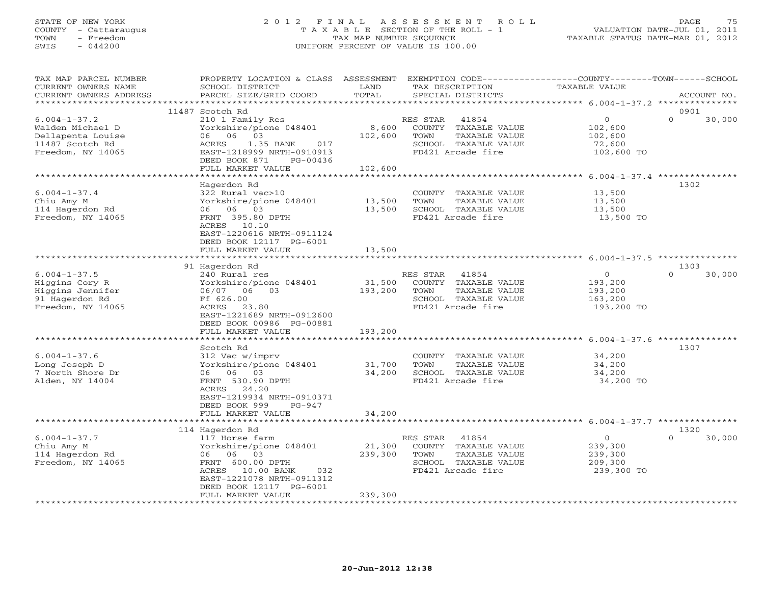#### STATE OF NEW YORK 2 0 1 2 F I N A L A S S E S S M E N T R O L L PAGE 75 COUNTY - Cattaraugus T A X A B L E SECTION OF THE ROLL - 1 VALUATION DATE-JUL 01, 2011 TOWN - Freedom TAX MAP NUMBER SEQUENCE TAXABLE STATUS DATE-MAR 01, 2012 SWIS - 044200 UNIFORM PERCENT OF VALUE IS 100.00

| TAX MAP PARCEL NUMBER                         | PROPERTY LOCATION & CLASS ASSESSMENT      |                     | EXEMPTION CODE-----------------COUNTY-------TOWN------SCHOOL | <b>TAXABLE VALUE</b>                                                |                    |
|-----------------------------------------------|-------------------------------------------|---------------------|--------------------------------------------------------------|---------------------------------------------------------------------|--------------------|
| CURRENT OWNERS NAME<br>CURRENT OWNERS ADDRESS | SCHOOL DISTRICT<br>PARCEL SIZE/GRID COORD | LAND<br>TOTAL       | TAX DESCRIPTION<br>SPECIAL DISTRICTS                         |                                                                     | ACCOUNT NO.        |
| **********************                        |                                           |                     |                                                              |                                                                     |                    |
|                                               | 11487 Scotch Rd                           |                     |                                                              |                                                                     | 0901               |
| $6.004 - 1 - 37.2$                            | 210 1 Family Res                          |                     | RES STAR<br>41854                                            | $\circ$                                                             | $\Omega$<br>30,000 |
| Walden Michael D                              | Yorkshire/pione 048401                    | 8,600               | COUNTY TAXABLE VALUE                                         | 102,600                                                             |                    |
| Dellapenta Louise                             | 06 03<br>06                               | 102,600             | TOWN<br>TAXABLE VALUE                                        | 102,600                                                             |                    |
| 11487 Scotch Rd                               | 1.35 BANK<br>ACRES<br>017                 |                     | SCHOOL TAXABLE VALUE                                         | 72,600                                                              |                    |
| Freedom, NY 14065                             | EAST-1218999 NRTH-0910913                 |                     | FD421 Arcade fire                                            | 102,600 TO                                                          |                    |
|                                               | DEED BOOK 871<br>PG-00436                 |                     |                                                              |                                                                     |                    |
|                                               | FULL MARKET VALUE                         | 102,600             |                                                              |                                                                     |                    |
|                                               |                                           |                     |                                                              |                                                                     |                    |
|                                               | Hagerdon Rd                               |                     |                                                              |                                                                     | 1302               |
| $6.004 - 1 - 37.4$                            | 322 Rural vac>10                          |                     | COUNTY TAXABLE VALUE                                         | 13,500                                                              |                    |
| Chiu Amy M                                    | Yorkshire/pione 048401                    | 13,500              | TOWN<br>TAXABLE VALUE                                        | 13,500                                                              |                    |
| 114 Hagerdon Rd                               | 06 06 03                                  | 13,500              | SCHOOL TAXABLE VALUE                                         | 13,500                                                              |                    |
| Freedom, NY 14065                             | FRNT 395.80 DPTH                          |                     | FD421 Arcade fire                                            | 13,500 TO                                                           |                    |
|                                               | ACRES 10.10                               |                     |                                                              |                                                                     |                    |
|                                               | EAST-1220616 NRTH-0911124                 |                     |                                                              |                                                                     |                    |
|                                               | DEED BOOK 12117 PG-6001                   |                     |                                                              |                                                                     |                    |
|                                               | FULL MARKET VALUE                         | 13,500              |                                                              |                                                                     |                    |
|                                               |                                           |                     |                                                              |                                                                     |                    |
|                                               | 91 Hagerdon Rd                            |                     |                                                              |                                                                     | 1303               |
| $6.004 - 1 - 37.5$                            | 240 Rural res                             |                     | RES STAR<br>41854                                            | $\overline{0}$                                                      | $\Omega$<br>30,000 |
| Higgins Cory R                                | Yorkshire/pione 048401                    | 31,500              | COUNTY TAXABLE VALUE                                         | 193,200                                                             |                    |
| Higgins Jennifer                              | 06/07 06 03                               | 193,200             | TOWN<br>TAXABLE VALUE                                        | 193,200                                                             |                    |
| 91 Hagerdon Rd                                | Ff 626.00                                 |                     | SCHOOL TAXABLE VALUE                                         | 163,200                                                             |                    |
| Freedom, NY 14065                             | 23.80<br>ACRES                            |                     | FD421 Arcade fire                                            | 193,200 TO                                                          |                    |
|                                               | EAST-1221689 NRTH-0912600                 |                     |                                                              |                                                                     |                    |
|                                               | DEED BOOK 00986 PG-00881                  |                     |                                                              |                                                                     |                    |
|                                               | FULL MARKET VALUE                         | 193,200             |                                                              |                                                                     |                    |
|                                               |                                           | ******************* |                                                              | ************************************* 6.004-1-37.6 **************** |                    |
|                                               | Scotch Rd                                 |                     |                                                              |                                                                     | 1307               |
| $6.004 - 1 - 37.6$                            | 312 Vac w/imprv                           |                     | COUNTY TAXABLE VALUE                                         | 34,200                                                              |                    |
| Long Joseph D                                 | Yorkshire/pione 048401                    | 31,700              | TOWN<br>TAXABLE VALUE                                        | 34,200                                                              |                    |
| 7 North Shore Dr                              | 06 06 03                                  | 34,200              | SCHOOL TAXABLE VALUE                                         | 34,200                                                              |                    |
| Alden, NY 14004                               | FRNT 530.90 DPTH                          |                     | FD421 Arcade fire                                            | 34,200 TO                                                           |                    |
|                                               | ACRES<br>24.20                            |                     |                                                              |                                                                     |                    |
|                                               | EAST-1219934 NRTH-0910371                 |                     |                                                              |                                                                     |                    |
|                                               | DEED BOOK 999<br>PG-947                   |                     |                                                              |                                                                     |                    |
|                                               | FULL MARKET VALUE                         | 34,200              |                                                              |                                                                     |                    |
|                                               |                                           |                     |                                                              |                                                                     |                    |
|                                               | 114 Hagerdon Rd                           |                     |                                                              |                                                                     | 1320               |
| $6.004 - 1 - 37.7$                            | 117 Horse farm                            |                     | RES STAR<br>41854                                            | $\overline{0}$                                                      | $\Omega$<br>30,000 |
| Chiu Amy M                                    | Yorkshire/pione 048401                    | 21,300              | COUNTY TAXABLE VALUE                                         | 239,300                                                             |                    |
| 114 Hagerdon Rd                               | 06 06<br>03                               | 239,300             | TOWN<br>TAXABLE VALUE                                        | 239,300                                                             |                    |
| Freedom, NY 14065                             | FRNT 600.00 DPTH                          |                     | SCHOOL TAXABLE VALUE                                         | 209,300                                                             |                    |
|                                               | ACRES 10.00 BANK<br>032                   |                     | FD421 Arcade fire                                            | 239,300 TO                                                          |                    |
|                                               | EAST-1221078 NRTH-0911312                 |                     |                                                              |                                                                     |                    |
|                                               | DEED BOOK 12117 PG-6001                   |                     |                                                              |                                                                     |                    |
|                                               | FULL MARKET VALUE                         | 239,300             |                                                              |                                                                     |                    |
|                                               | ********************                      | ******************* |                                                              |                                                                     |                    |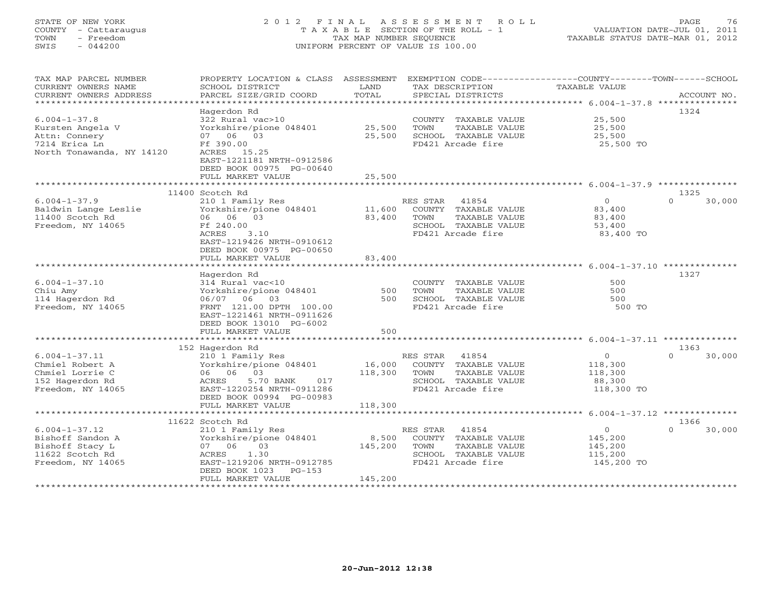# STATE OF NEW YORK 2 0 1 2 F I N A L A S S E S S M E N T R O L L PAGE 76 COUNTY - Cattaraugus T A X A B L E SECTION OF THE ROLL - 1 VALUATION DATE-JUL 01, 2011 TOWN - Freedom TAX MAP NUMBER SEQUENCE TAXABLE STATUS DATE-MAR 01, 2012 SWIS - 044200 UNIFORM PERCENT OF VALUE IS 100.00UNIFORM PERCENT OF VALUE IS 100.00

| TAX MAP PARCEL NUMBER<br>CURRENT OWNERS NAME<br>CURRENT OWNERS ADDRESS                                | PROPERTY LOCATION & CLASS ASSESSMENT<br>SCHOOL DISTRICT<br>PARCEL SIZE/GRID COORD                | LAND<br>TOTAL                   | EXEMPTION CODE-----------------COUNTY-------TOWN------SCHOOL<br>TAX DESCRIPTION<br>SPECIAL DISTRICTS            | <b>TAXABLE VALUE</b>                                      | ACCOUNT NO.        |
|-------------------------------------------------------------------------------------------------------|--------------------------------------------------------------------------------------------------|---------------------------------|-----------------------------------------------------------------------------------------------------------------|-----------------------------------------------------------|--------------------|
| *************************                                                                             |                                                                                                  |                                 |                                                                                                                 |                                                           |                    |
|                                                                                                       | Hagerdon Rd                                                                                      |                                 |                                                                                                                 |                                                           | 1324               |
| $6.004 - 1 - 37.8$<br>Kursten Angela V<br>Attn: Connery<br>7214 Erica Ln<br>North Tonawanda, NY 14120 | 322 Rural vac>10<br>Yorkshire/pione 048401<br>07 06 03<br>Ff 390.00<br>ACRES 15.25               | 25,500<br>25,500                | COUNTY TAXABLE VALUE<br>TOWN<br>TAXABLE VALUE<br>SCHOOL TAXABLE VALUE<br>FD421 Arcade fire                      | 25,500<br>25,500<br>25,500<br>25,500 TO                   |                    |
|                                                                                                       | EAST-1221181 NRTH-0912586<br>DEED BOOK 00975 PG-00640<br>FULL MARKET VALUE                       | 25,500                          |                                                                                                                 |                                                           |                    |
|                                                                                                       |                                                                                                  |                                 |                                                                                                                 |                                                           |                    |
|                                                                                                       | 11400 Scotch Rd                                                                                  |                                 |                                                                                                                 |                                                           | 1325               |
| $6.004 - 1 - 37.9$<br>Baldwin Lange Leslie<br>11400 Scotch Rd<br>Freedom, NY 14065                    | 210 1 Family Res<br>Yorkshire/pione 048401<br>06 06 03<br>Ff 240.00<br>ACRES<br>3.10             | 11,600<br>83,400                | RES STAR<br>41854<br>COUNTY TAXABLE VALUE<br>TOWN<br>TAXABLE VALUE<br>SCHOOL TAXABLE VALUE<br>FD421 Arcade fire | $\overline{O}$<br>83,400<br>83,400<br>53,400<br>83,400 TO | 30,000<br>$\Omega$ |
|                                                                                                       | EAST-1219426 NRTH-0910612<br>DEED BOOK 00975 PG-00650<br>FULL MARKET VALUE<br>****************** | 83,400<br>********************* |                                                                                                                 |                                                           |                    |
|                                                                                                       |                                                                                                  |                                 |                                                                                                                 | ************************ 6.004-1-37.10 **********         | 1327               |
| $6.004 - 1 - 37.10$                                                                                   | Hagerdon Rd<br>314 Rural vac<10                                                                  |                                 | COUNTY TAXABLE VALUE                                                                                            | 500                                                       |                    |
| Chiu Amy                                                                                              | Yorkshire/pione 048401                                                                           | 500                             | TOWN<br>TAXABLE VALUE                                                                                           | 500                                                       |                    |
| 114 Hagerdon Rd                                                                                       | 06/07 06 03                                                                                      | 500                             | SCHOOL TAXABLE VALUE                                                                                            | 500                                                       |                    |
| Freedom, NY 14065                                                                                     | FRNT 121.00 DPTH 100.00<br>EAST-1221461 NRTH-0911626<br>DEED BOOK 13010 PG-6002                  |                                 | FD421 Arcade fire                                                                                               | 500 TO                                                    |                    |
|                                                                                                       | FULL MARKET VALUE                                                                                | 500                             |                                                                                                                 |                                                           |                    |
|                                                                                                       | 152 Hagerdon Rd                                                                                  |                                 |                                                                                                                 |                                                           | 1363               |
| $6.004 - 1 - 37.11$                                                                                   | 210 1 Family Res                                                                                 |                                 | RES STAR<br>41854                                                                                               | $\circ$                                                   | $\cap$<br>30,000   |
| Chmiel Robert A                                                                                       | Yorkshire/pione 048401                                                                           | 16,000                          | COUNTY TAXABLE VALUE                                                                                            | 118,300                                                   |                    |
| Chmiel Lorrie C                                                                                       | 06 06 03                                                                                         | 118,300                         | TOWN<br>TAXABLE VALUE                                                                                           | 118,300                                                   |                    |
| 152 Hagerdon Rd                                                                                       | ACRES<br>5.70 BANK<br>017                                                                        |                                 | SCHOOL TAXABLE VALUE                                                                                            | 88,300                                                    |                    |
| Freedom, NY 14065                                                                                     | EAST-1220254 NRTH-0911286<br>DEED BOOK 00994 PG-00983<br>FULL MARKET VALUE                       |                                 | FD421 Arcade fire                                                                                               | 118,300 TO                                                |                    |
|                                                                                                       | ******************************                                                                   | 118,300                         |                                                                                                                 |                                                           |                    |
|                                                                                                       | 11622 Scotch Rd                                                                                  |                                 |                                                                                                                 |                                                           | 1366               |
| $6.004 - 1 - 37.12$                                                                                   | 210 1 Family Res                                                                                 |                                 | RES STAR<br>41854                                                                                               | $\circ$                                                   | 30,000             |
| Bishoff Sandon A                                                                                      | Yorkshire/pione 048401                                                                           | 8,500                           | COUNTY TAXABLE VALUE                                                                                            | 145,200                                                   |                    |
| Bishoff Stacy L                                                                                       | 07 06<br>03                                                                                      | 145,200                         | TOWN<br>TAXABLE VALUE                                                                                           | 145,200                                                   |                    |
| 11622 Scotch Rd                                                                                       | ACRES<br>1.30                                                                                    |                                 | SCHOOL TAXABLE VALUE                                                                                            | 115,200                                                   |                    |
| Freedom, NY 14065                                                                                     | EAST-1219206 NRTH-0912785<br>DEED BOOK 1023<br>$PG-153$                                          |                                 | FD421 Arcade fire                                                                                               | 145,200 TO                                                |                    |
|                                                                                                       | FULL MARKET VALUE                                                                                | 145,200                         |                                                                                                                 |                                                           |                    |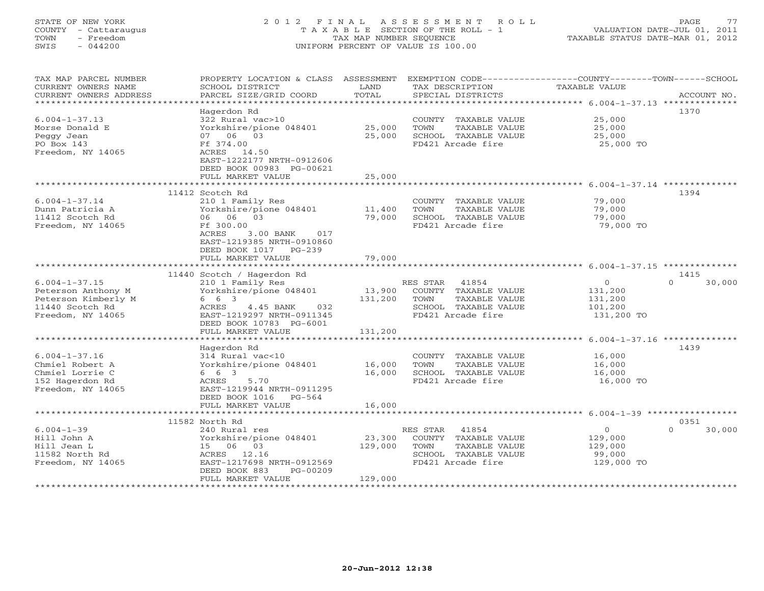# STATE OF NEW YORK 2 0 1 2 F I N A L A S S E S S M E N T R O L L PAGE 77 COUNTY - Cattaraugus T A X A B L E SECTION OF THE ROLL - 1 VALUATION DATE-JUL 01, 2011 TOWN - Freedom TAX MAP NUMBER SEQUENCE TAXABLE STATUS DATE-MAR 01, 2012 SWIS - 044200 UNIFORM PERCENT OF VALUE IS 100.00UNIFORM PERCENT OF VALUE IS 100.00

| TAX MAP PARCEL NUMBER  | PROPERTY LOCATION & CLASS                                    | ASSESSMENT        | EXEMPTION CODE-----------------COUNTY-------TOWN------SCHOOL |                                                        |                    |
|------------------------|--------------------------------------------------------------|-------------------|--------------------------------------------------------------|--------------------------------------------------------|--------------------|
| CURRENT OWNERS NAME    | SCHOOL DISTRICT                                              | LAND              | TAX DESCRIPTION                                              | TAXABLE VALUE                                          |                    |
| CURRENT OWNERS ADDRESS | PARCEL SIZE/GRID COORD                                       | TOTAL             | SPECIAL DISTRICTS                                            |                                                        | ACCOUNT NO.        |
|                        |                                                              | * * * * * * * * * |                                                              | *************** 6.004-1-37.13 ***************          |                    |
|                        | Hagerdon Rd                                                  |                   |                                                              |                                                        | 1370               |
| $6.004 - 1 - 37.13$    | 322 Rural vac>10                                             |                   | COUNTY<br>TAXABLE VALUE                                      | 25,000                                                 |                    |
| Morse Donald E         | Yorkshire/pione 048401                                       | 25,000            | TOWN<br>TAXABLE VALUE                                        | 25,000                                                 |                    |
| Peggy Jean             | 06 03<br>07                                                  | 25,000            | SCHOOL TAXABLE VALUE                                         | 25,000                                                 |                    |
| PO Box 143             | Ff 374.00                                                    |                   | FD421 Arcade fire                                            | 25,000 TO                                              |                    |
| Freedom, NY 14065      | ACRES 14.50                                                  |                   |                                                              |                                                        |                    |
|                        | EAST-1222177 NRTH-0912606                                    |                   |                                                              |                                                        |                    |
|                        | DEED BOOK 00983 PG-00621                                     |                   |                                                              |                                                        |                    |
|                        | FULL MARKET VALUE                                            | 25,000            |                                                              |                                                        |                    |
|                        |                                                              |                   |                                                              |                                                        |                    |
|                        | 11412 Scotch Rd                                              |                   |                                                              |                                                        | 1394               |
| $6.004 - 1 - 37.14$    | 210 1 Family Res                                             |                   | COUNTY TAXABLE VALUE                                         | 79,000                                                 |                    |
| Dunn Patricia A        | Yorkshire/pione 048401                                       | 11,400            | TOWN<br>TAXABLE VALUE                                        | 79,000                                                 |                    |
| 11412 Scotch Rd        | 06<br>0.3<br>06 -                                            | 79,000            | SCHOOL TAXABLE VALUE                                         | 79,000                                                 |                    |
| Freedom, NY 14065      | Ff 300.00                                                    |                   | FD421 Arcade fire                                            | 79,000 TO                                              |                    |
|                        | ACRES<br>3.00 BANK<br>017                                    |                   |                                                              |                                                        |                    |
|                        | EAST-1219385 NRTH-0910860                                    |                   |                                                              |                                                        |                    |
|                        | DEED BOOK 1017<br>PG-239                                     |                   |                                                              |                                                        |                    |
|                        | FULL MARKET VALUE                                            | 79,000            |                                                              |                                                        |                    |
|                        |                                                              |                   |                                                              |                                                        |                    |
|                        | 11440 Scotch / Hagerdon Rd                                   |                   |                                                              |                                                        | 1415               |
| $6.004 - 1 - 37.15$    | 210 1 Family Res                                             |                   | RES STAR<br>41854                                            | $\circ$                                                | $\Omega$<br>30,000 |
| Peterson Anthony M     | Yorkshire/pione 048401                                       | 13,900            | COUNTY<br>TAXABLE VALUE                                      | 131,200                                                |                    |
| Peterson Kimberly M    | 6 6 3                                                        | 131,200           | TAXABLE VALUE<br>TOWN                                        | 131,200                                                |                    |
| 11440 Scotch Rd        | 4.45 BANK<br>032<br>ACRES                                    |                   | SCHOOL TAXABLE VALUE                                         | 101,200                                                |                    |
| Freedom, NY 14065      | EAST-1219297 NRTH-0911345                                    |                   | FD421 Arcade fire                                            | 131,200 TO                                             |                    |
|                        | DEED BOOK 10783 PG-6001                                      |                   |                                                              |                                                        |                    |
|                        | FULL MARKET VALUE<br>* * * * * * * * * * * * * * * * * * * * | 131,200           |                                                              |                                                        |                    |
|                        |                                                              |                   |                                                              |                                                        | 1439               |
| $6.004 - 1 - 37.16$    | Hagerdon Rd<br>314 Rural vac<10                              |                   | COUNTY TAXABLE VALUE                                         | 16,000                                                 |                    |
| Chmiel Robert A        | Yorkshire/pione 048401                                       | 16,000            | TOWN<br>TAXABLE VALUE                                        | 16,000                                                 |                    |
| Chmiel Lorrie C        | 6 6 3                                                        | 16,000            | SCHOOL TAXABLE VALUE                                         | 16,000                                                 |                    |
| 152 Hagerdon Rd        | ACRES<br>5.70                                                |                   | FD421 Arcade fire                                            | 16,000 TO                                              |                    |
| Freedom, NY 14065      | EAST-1219944 NRTH-0911295                                    |                   |                                                              |                                                        |                    |
|                        | DEED BOOK 1016<br>$PG-564$                                   |                   |                                                              |                                                        |                    |
|                        | FULL MARKET VALUE                                            | 16,000            |                                                              |                                                        |                    |
|                        |                                                              | *******           |                                                              | ************************ 6.004-1-39 ****************** |                    |
|                        | 11582 North Rd                                               |                   |                                                              |                                                        | 0351               |
| $6.004 - 1 - 39$       | 240 Rural res                                                |                   | 41854<br>RES STAR                                            | $\circ$                                                | $\Omega$<br>30,000 |
| Hill John A            | Yorkshire/pione 048401                                       | 23,300            | COUNTY TAXABLE VALUE                                         | 129,000                                                |                    |
| Hill Jean L            | 06<br>03<br>15                                               | 129,000           | TAXABLE VALUE<br>TOWN                                        | 129,000                                                |                    |
| 11582 North Rd         | 12.16<br>ACRES                                               |                   | SCHOOL TAXABLE VALUE                                         | 99,000                                                 |                    |
| Freedom, NY 14065      | EAST-1217698 NRTH-0912569                                    |                   | FD421 Arcade fire                                            | 129,000 TO                                             |                    |
|                        | DEED BOOK 883<br>$PG-00209$                                  |                   |                                                              |                                                        |                    |
|                        | FULL MARKET VALUE                                            | 129,000           |                                                              |                                                        |                    |
|                        |                                                              |                   |                                                              |                                                        |                    |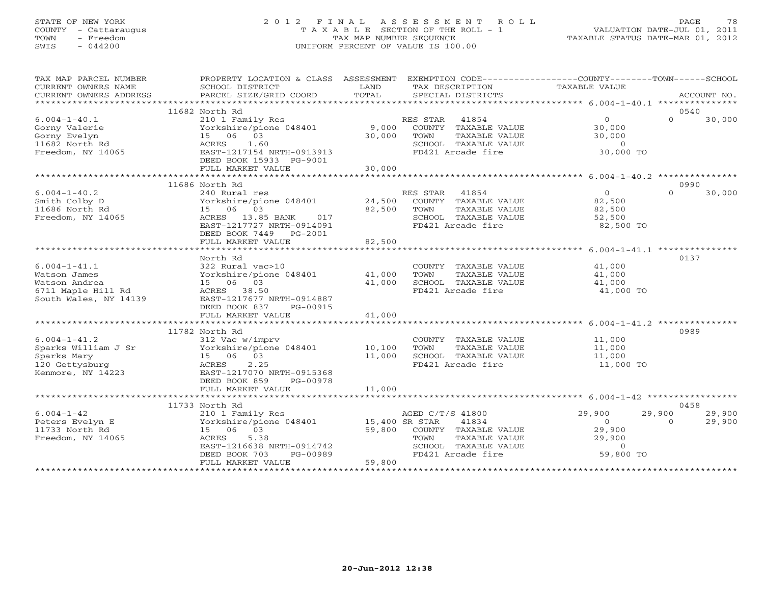## STATE OF NEW YORK 2 0 1 2 F I N A L A S S E S S M E N T R O L L PAGE 78 COUNTY - Cattaraugus T A X A B L E SECTION OF THE ROLL - 1 VALUATION DATE-JUL 01, 2011 TOWN - Freedom TAX MAP NUMBER SEQUENCE TAXABLE STATUS DATE-MAR 01, 2012 SWIS - 044200 UNIFORM PERCENT OF VALUE IS 100.00UNIFORM PERCENT OF VALUE IS 100.00

| TAX MAP PARCEL NUMBER               | PROPERTY LOCATION & CLASS ASSESSMENT EXEMPTION CODE---------------COUNTY-------TOWN------SCHOOL |                |                             |                              |                              |
|-------------------------------------|-------------------------------------------------------------------------------------------------|----------------|-----------------------------|------------------------------|------------------------------|
| CURRENT OWNERS NAME                 | SCHOOL DISTRICT                                                                                 | LAND           | TAX DESCRIPTION             | TAXABLE VALUE                |                              |
| CURRENT OWNERS ADDRESS              | PARCEL SIZE/GRID COORD                                                                          | TOTAL          | SPECIAL DISTRICTS           |                              | ACCOUNT NO.                  |
|                                     | 11682 North Rd                                                                                  |                |                             |                              | 0540                         |
| $6.004 - 1 - 40.1$                  | 210 1 Family Res                                                                                |                | RES STAR 41854              | $\Omega$                     | $\Omega$<br>30,000           |
| Gorny Valerie                       | Yorkshire/pione 048401                                                                          | 9,000          | COUNTY TAXABLE VALUE        | 30,000                       |                              |
| Gorny Evelyn                        | 15 06 03                                                                                        | 30,000         | TOWN<br>TAXABLE VALUE       | 30,000                       |                              |
| 11682 North Rd                      | ACRES<br>1.60                                                                                   |                | SCHOOL TAXABLE VALUE        | $\overline{0}$               |                              |
| Freedom, NY 14065                   | EAST-1217154 NRTH-0913913                                                                       |                | FD421 Arcade fire           | 30,000 TO                    |                              |
|                                     | DEED BOOK 15933 PG-9001                                                                         |                |                             |                              |                              |
|                                     | FULL MARKET VALUE                                                                               | 30,000         |                             |                              |                              |
|                                     |                                                                                                 |                |                             |                              |                              |
|                                     | 11686 North Rd                                                                                  |                |                             |                              | 0990                         |
| $6.004 - 1 - 40.2$                  | 240 Rural res                                                                                   |                | RES STAR<br>41854           | $\overline{0}$               | 30,000<br>$\cap$             |
| Smith Colby D                       | Yorkshire/pione 048401                                                                          |                | 24,500 COUNTY TAXABLE VALUE | 82,500                       |                              |
| 11686 North Rd                      | 15 06 03                                                                                        | 82,500         | TAXABLE VALUE<br>TOWN       | 82,500                       |                              |
| Freedom, NY 14065                   | ACRES 13.85 BANK<br>017                                                                         |                | SCHOOL TAXABLE VALUE        | 52,500                       |                              |
|                                     | EAST-1217727 NRTH-0914091                                                                       |                | FD421 Arcade fire           | 82,500 TO                    |                              |
|                                     | DEED BOOK 7449 PG-2001                                                                          |                |                             |                              |                              |
|                                     | FULL MARKET VALUE                                                                               | 82,500         |                             |                              |                              |
|                                     |                                                                                                 | ************** |                             |                              |                              |
|                                     | North Rd                                                                                        |                |                             |                              | 0137                         |
| $6.004 - 1 - 41.1$                  | 322 Rural vac>10                                                                                |                | COUNTY TAXABLE VALUE        | 41,000                       |                              |
| Watson James                        | Yorkshire/pione 048401                                                                          | 41,000         | TAXABLE VALUE<br>TOWN       | 41,000                       |                              |
| Watson Andrea                       | 15 06 03                                                                                        | 41,000         | SCHOOL TAXABLE VALUE        | 41,000                       |                              |
| 6711 Maple Hill Rd                  | ACRES 38.50                                                                                     |                | FD421 Arcade fire           | 41,000 TO                    |                              |
| South Wales, NY 14139               | EAST-1217677 NRTH-0914887                                                                       |                |                             |                              |                              |
|                                     | DEED BOOK 837<br>PG-00915                                                                       |                |                             |                              |                              |
|                                     | FULL MARKET VALUE                                                                               | 41,000         |                             |                              |                              |
|                                     |                                                                                                 |                |                             |                              |                              |
|                                     | 11782 North Rd                                                                                  |                |                             |                              | 0989                         |
| $6.004 - 1 - 41.2$                  | 312 Vac w/imprv                                                                                 |                | COUNTY TAXABLE VALUE        | 11,000                       |                              |
| Sparks William J Sr                 | $\frac{1}{2}$ Torkshire/pione 048401 10,100                                                     |                | TAXABLE VALUE<br>TOWN       | 11,000                       |                              |
| Sparks Mary                         | 15 06 03                                                                                        | 11,000         | SCHOOL TAXABLE VALUE        | 11,000                       |                              |
| 120 Gettysburg                      | 2.25<br>ACRES                                                                                   |                | FD421 Arcade fire           | 11,000 TO                    |                              |
| Kenmore, NY 14223                   | EAST-1217070 NRTH-0915368                                                                       |                |                             |                              |                              |
|                                     | DEED BOOK 859<br>PG-00978                                                                       |                |                             |                              |                              |
|                                     | FULL MARKET VALUE                                                                               | 11,000         |                             |                              |                              |
|                                     |                                                                                                 |                |                             |                              |                              |
|                                     | 11733 North Rd                                                                                  |                |                             |                              | 0458                         |
| $6.004 - 1 - 42$<br>Peters Evelyn E | 210 1 Family Res<br>Yorkshire/pione 048401 15,400 SR STAR                                       |                | AGED C/T/S 41800<br>41834   | 29,900<br>29,900<br>$\Omega$ | 29,900<br>29,900<br>$\Omega$ |
| 11733 North Rd                      | 15 06 03                                                                                        |                | 59,800 COUNTY TAXABLE VALUE | 29,900                       |                              |
| Freedom, NY 14065                   | 5.38<br>ACRES                                                                                   |                | TOWN<br>TAXABLE VALUE       | 29,900                       |                              |
|                                     | EAST-1216638 NRTH-0914742                                                                       |                | SCHOOL TAXABLE VALUE        | $\Omega$                     |                              |
|                                     | DEED BOOK 703<br>PG-00989                                                                       |                | FD421 Arcade fire           | 59,800 TO                    |                              |
|                                     | FULL MARKET VALUE                                                                               | 59,800         |                             |                              |                              |
|                                     |                                                                                                 |                |                             |                              |                              |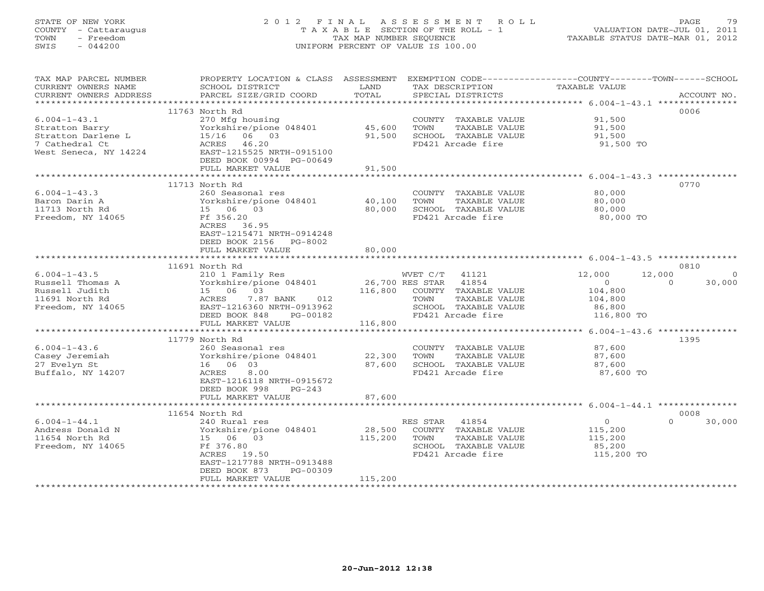# STATE OF NEW YORK 2 0 1 2 F I N A L A S S E S S M E N T R O L L PAGE 79 COUNTY - Cattaraugus T A X A B L E SECTION OF THE ROLL - 1 VALUATION DATE-JUL 01, 2011 TOWN - Freedom TAX MAP NUMBER SEQUENCE TAXABLE STATUS DATE-MAR 01, 2012 SWIS - 044200 UNIFORM PERCENT OF VALUE IS 100.00UNIFORM PERCENT OF VALUE IS 100.00

| TAX MAP PARCEL NUMBER<br>CURRENT OWNERS NAME<br>CURRENT OWNERS ADDRESS     | PROPERTY LOCATION & CLASS ASSESSMENT<br>SCHOOL DISTRICT<br>PARCEL SIZE/GRID COORD  | LAND<br>TOTAL    | TAX DESCRIPTION<br>SPECIAL DISTRICTS                                                       | EXEMPTION CODE----------------COUNTY-------TOWN------SCHOOL<br>TAXABLE VALUE | ACCOUNT NO.                |
|----------------------------------------------------------------------------|------------------------------------------------------------------------------------|------------------|--------------------------------------------------------------------------------------------|------------------------------------------------------------------------------|----------------------------|
|                                                                            |                                                                                    |                  |                                                                                            |                                                                              |                            |
|                                                                            | 11763 North Rd                                                                     |                  |                                                                                            |                                                                              | 0006                       |
| $6.004 - 1 - 43.1$<br>Stratton Barry<br>Stratton Darlene L                 | 270 Mfg housing<br>Yorkshire/pione 048401<br>15/16 06 03                           | 45,600<br>91,500 | COUNTY TAXABLE VALUE<br>TOWN<br>TAXABLE VALUE<br>SCHOOL TAXABLE VALUE                      | 91,500<br>91,500<br>91,500                                                   |                            |
| 7 Cathedral Ct<br>West Seneca, NY 14224                                    | ACRES 46.20<br>EAST-1215525 NRTH-0915100<br>DEED BOOK 00994 PG-00649               |                  | FD421 Arcade fire                                                                          | 91,500 TO                                                                    |                            |
|                                                                            | FULL MARKET VALUE                                                                  | 91,500           |                                                                                            |                                                                              |                            |
|                                                                            | 11713 North Rd                                                                     |                  |                                                                                            |                                                                              | 0770                       |
| $6.004 - 1 - 43.3$<br>Baron Darin A<br>11713 North Rd<br>Freedom, NY 14065 | 260 Seasonal res<br>Yorkshire/pione 048401<br>15 06 03<br>Ff 356.20<br>ACRES 36.95 | 40,100<br>80,000 | COUNTY TAXABLE VALUE<br>TOWN<br>TAXABLE VALUE<br>SCHOOL TAXABLE VALUE<br>FD421 Arcade fire | 80,000<br>80,000<br>80,000<br>80,000 TO                                      |                            |
|                                                                            | EAST-1215471 NRTH-0914248<br>DEED BOOK 2156<br>PG-8002<br>FULL MARKET VALUE        | 80,000           |                                                                                            |                                                                              |                            |
|                                                                            |                                                                                    |                  |                                                                                            |                                                                              | 0810                       |
| $6.004 - 1 - 43.5$                                                         | 11691 North Rd<br>210 1 Family Res                                                 |                  | WVET C/T 41121                                                                             | 12,000<br>12,000                                                             |                            |
| Russell Thomas A<br>Russell Judith                                         | Yorkshire/pione 048401<br>15 06 03                                                 |                  | 26,700 RES STAR 41854<br>116,800 COUNTY TAXABLE VALUE                                      | $\Omega$<br>104,800                                                          | $\Omega$<br>30,000         |
| 11691 North Rd                                                             | ACRES<br>7.87 BANK<br>012                                                          |                  | TOWN<br>TAXABLE VALUE                                                                      | 104,800                                                                      |                            |
| Freedom, NY 14065                                                          | EAST-1216360 NRTH-0913962<br>DEED BOOK 848<br>PG-00182                             |                  | SCHOOL TAXABLE VALUE<br>FD421 Arcade fire                                                  | 86,800<br>116,800 TO                                                         |                            |
|                                                                            | FULL MARKET VALUE                                                                  | 116,800          |                                                                                            |                                                                              |                            |
|                                                                            | 11779 North Rd                                                                     |                  |                                                                                            |                                                                              | 1395                       |
| $6.004 - 1 - 43.6$<br>Casey Jeremiah                                       | 260 Seasonal res<br>Yorkshire/pione 048401                                         | 22,300           | COUNTY TAXABLE VALUE<br>TOWN<br>TAXABLE VALUE                                              | 87,600<br>87,600                                                             |                            |
| 27 Evelyn St                                                               | 16 06 03                                                                           | 87,600           | SCHOOL TAXABLE VALUE                                                                       | 87,600                                                                       |                            |
| Buffalo, NY 14207                                                          | ACRES<br>8.00<br>EAST-1216118 NRTH-0915672<br>DEED BOOK 998<br>$PG-243$            |                  | FD421 Arcade fire                                                                          | 87,600 TO                                                                    |                            |
|                                                                            | FULL MARKET VALUE                                                                  | 87,600           |                                                                                            |                                                                              |                            |
|                                                                            |                                                                                    |                  |                                                                                            |                                                                              |                            |
| $6.004 - 1 - 44.1$                                                         | 11654 North Rd<br>240 Rural res                                                    |                  | RES STAR 41854                                                                             | $\circ$                                                                      | 0008<br>$\Omega$<br>30,000 |
| Andress Donald N                                                           | Yorkshire/pione 048401                                                             | 28,500           | COUNTY TAXABLE VALUE                                                                       | 115,200                                                                      |                            |
| 11654 North Rd                                                             | 15 06 03                                                                           | 115,200          | TOWN<br>TAXABLE VALUE                                                                      | 115,200                                                                      |                            |
| Freedom, NY 14065                                                          | Ff 376.80<br>ACRES<br>19.50<br>EAST-1217788 NRTH-0913488                           |                  | SCHOOL TAXABLE VALUE<br>FD421 Arcade fire                                                  | 85,200<br>115,200 TO                                                         |                            |
|                                                                            | DEED BOOK 873<br>PG-00309                                                          |                  |                                                                                            |                                                                              |                            |
|                                                                            | FULL MARKET VALUE                                                                  | 115,200          | ********************************                                                           |                                                                              |                            |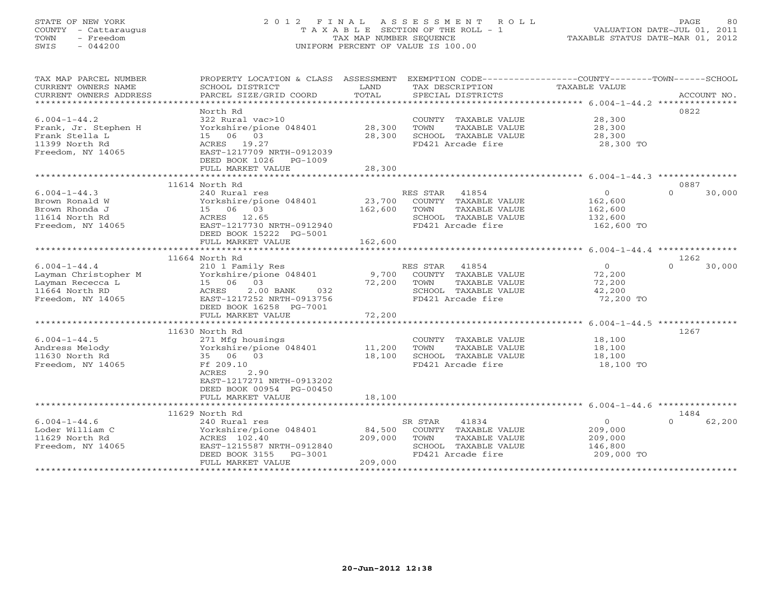# STATE OF NEW YORK 2 0 1 2 F I N A L A S S E S S M E N T R O L L PAGE 80 COUNTY - Cattaraugus T A X A B L E SECTION OF THE ROLL - 1 VALUATION DATE-JUL 01, 2011 TOWN - Freedom TAX MAP NUMBER SEQUENCE TAXABLE STATUS DATE-MAR 01, 2012 SWIS - 044200 UNIFORM PERCENT OF VALUE IS 100.00UNIFORM PERCENT OF VALUE IS 100.00

| TAX MAP PARCEL NUMBER                 | PROPERTY LOCATION & CLASS ASSESSMENT   |         | EXEMPTION CODE-----------------COUNTY-------TOWN------SCHOOL |                |          |             |
|---------------------------------------|----------------------------------------|---------|--------------------------------------------------------------|----------------|----------|-------------|
| CURRENT OWNERS NAME                   | SCHOOL DISTRICT                        | LAND    | TAX DESCRIPTION                                              | TAXABLE VALUE  |          |             |
| CURRENT OWNERS ADDRESS                | PARCEL SIZE/GRID COORD                 | TOTAL   | SPECIAL DISTRICTS                                            |                |          | ACCOUNT NO. |
|                                       |                                        |         |                                                              |                |          |             |
|                                       | North Rd                               |         |                                                              |                | 0822     |             |
| $6.004 - 1 - 44.2$                    | 322 Rural vac>10                       |         | COUNTY TAXABLE VALUE                                         | 28,300         |          |             |
| Frank, Jr. Stephen H                  | Yorkshire/pione 048401                 | 28,300  | TOWN<br>TAXABLE VALUE                                        | 28,300         |          |             |
| Frank Stella L                        | 15 06 03                               | 28,300  | SCHOOL TAXABLE VALUE                                         | 28,300         |          |             |
| 11399 North Rd                        | ACRES 19.27                            |         | FD421 Arcade fire                                            | 28,300 TO      |          |             |
| Freedom, NY 14065                     | EAST-1217709 NRTH-0912039              |         |                                                              |                |          |             |
|                                       | DEED BOOK 1026<br>PG-1009              |         |                                                              |                |          |             |
|                                       | FULL MARKET VALUE                      | 28,300  |                                                              |                |          |             |
|                                       |                                        |         |                                                              |                |          |             |
|                                       | 11614 North Rd                         |         |                                                              |                | 0887     |             |
| $6.004 - 1 - 44.3$                    | 240 Rural res                          |         | 41854<br>RES STAR                                            | $\overline{0}$ | $\cap$   | 30,000      |
| Brown Ronald W                        | Yorkshire/pione 048401                 | 23,700  | COUNTY TAXABLE VALUE                                         | 162,600        |          |             |
| Brown Rhonda J                        | 15 06 03                               | 162,600 | TAXABLE VALUE<br>TOWN                                        | 162,600        |          |             |
| 11614 North Rd                        | ACRES 12.65                            |         | SCHOOL TAXABLE VALUE                                         | 132,600        |          |             |
| Freedom, NY 14065                     | EAST-1217730 NRTH-0912940              |         | FD421 Arcade fire                                            | 162,600 TO     |          |             |
|                                       | DEED BOOK 15222 PG-5001                |         |                                                              |                |          |             |
|                                       | FULL MARKET VALUE                      | 162,600 |                                                              |                |          |             |
|                                       |                                        |         |                                                              |                |          |             |
|                                       | 11664 North Rd                         |         |                                                              |                | 1262     |             |
| $6.004 - 1 - 44.4$                    | 210 1 Family Res                       |         | RES STAR<br>41854                                            | $\overline{0}$ | $\Omega$ | 30,000      |
| Layman Christopher M                  | Yorkshire/pione 048401                 | 9,700   | COUNTY TAXABLE VALUE                                         | 72,200         |          |             |
| Layman Rececca L                      | 15 06 03                               | 72,200  | TOWN<br>TAXABLE VALUE                                        | 72,200         |          |             |
| 11664 North RD                        | 2.00 BANK<br>ACRES<br>032              |         | SCHOOL TAXABLE VALUE                                         | 42,200         |          |             |
| Freedom, NY 14065                     | EAST-1217252 NRTH-0913756              |         | FD421 Arcade fire                                            | 72,200 TO      |          |             |
|                                       | DEED BOOK 16258 PG-7001                |         |                                                              |                |          |             |
|                                       | FULL MARKET VALUE                      | 72,200  |                                                              |                |          |             |
|                                       |                                        |         |                                                              |                |          |             |
|                                       | 11630 North Rd                         |         |                                                              |                | 1267     |             |
| $6.004 - 1 - 44.5$                    | 271 Mfg housings                       |         | COUNTY TAXABLE VALUE                                         | 18,100         |          |             |
| Andress Melody                        | Yorkshire/pione 048401                 | 11,200  | TOWN<br>TAXABLE VALUE                                        | 18,100         |          |             |
| 11630 North Rd                        | 35 06 03                               | 18,100  | SCHOOL TAXABLE VALUE                                         | 18,100         |          |             |
| Freedom, NY 14065                     | Ff 209.10                              |         | FD421 Arcade fire                                            | 18,100 TO      |          |             |
|                                       | ACRES<br>2.90                          |         |                                                              |                |          |             |
|                                       | EAST-1217271 NRTH-0913202              |         |                                                              |                |          |             |
|                                       | DEED BOOK 00954 PG-00450               |         |                                                              |                |          |             |
|                                       | FULL MARKET VALUE                      | 18,100  |                                                              |                |          |             |
|                                       | 11629 North Rd                         |         |                                                              |                | 1484     |             |
|                                       |                                        |         |                                                              | $\circ$        | $\cap$   |             |
| $6.004 - 1 - 44.6$<br>Loder William C | 240 Rural res                          | 84,500  | SR STAR<br>41834                                             | 209,000        |          | 62,200      |
| 11629 North Rd                        | Yorkshire/pione 048401<br>ACRES 102.40 | 209,000 | COUNTY TAXABLE VALUE                                         | 209,000        |          |             |
| Freedom, NY 14065                     | EAST-1215587 NRTH-0912840              |         | TOWN<br>TAXABLE VALUE<br>SCHOOL TAXABLE VALUE                | 146,800        |          |             |
|                                       | DEED BOOK 3155<br>PG-3001              |         | FD421 Arcade fire                                            | 209,000 TO     |          |             |
|                                       | FULL MARKET VALUE                      | 209,000 |                                                              |                |          |             |
|                                       |                                        |         |                                                              |                |          |             |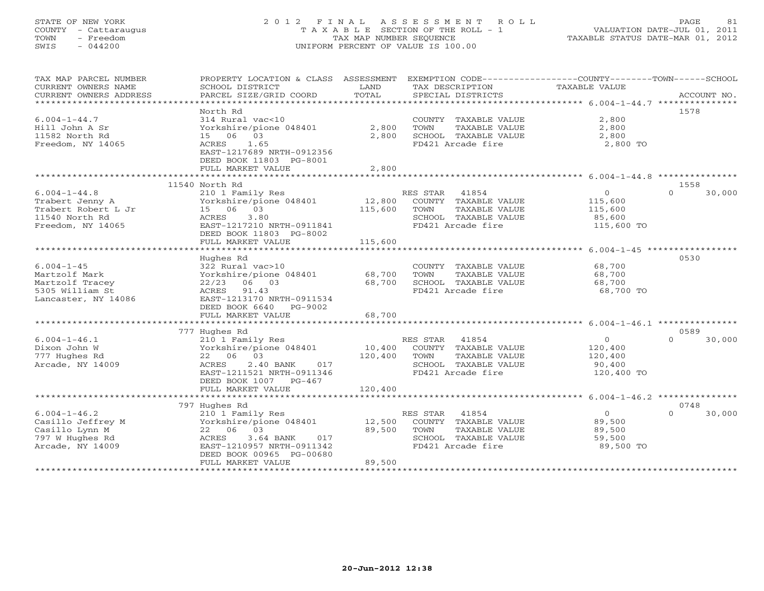# STATE OF NEW YORK 2 0 1 2 F I N A L A S S E S S M E N T R O L L PAGE 81 COUNTY - Cattaraugus T A X A B L E SECTION OF THE ROLL - 1 VALUATION DATE-JUL 01, 2011 TOWN - Freedom TAX MAP NUMBER SEQUENCE TAXABLE STATUS DATE-MAR 01, 2012 SWIS - 044200 UNIFORM PERCENT OF VALUE IS 100.00UNIFORM PERCENT OF VALUE IS 100.00

| TAX MAP PARCEL NUMBER  | PROPERTY LOCATION & CLASS ASSESSMENT |         | EXEMPTION CODE-----------------COUNTY-------TOWN------SCHOOL |                |                    |
|------------------------|--------------------------------------|---------|--------------------------------------------------------------|----------------|--------------------|
| CURRENT OWNERS NAME    | SCHOOL DISTRICT                      | LAND    | TAX DESCRIPTION                                              | TAXABLE VALUE  |                    |
| CURRENT OWNERS ADDRESS | PARCEL SIZE/GRID COORD               | TOTAL   | SPECIAL DISTRICTS                                            |                | ACCOUNT NO.        |
| ********************** |                                      |         |                                                              |                |                    |
|                        | North Rd                             |         |                                                              |                | 1578               |
| $6.004 - 1 - 44.7$     | 314 Rural vac<10                     |         | COUNTY TAXABLE VALUE                                         | 2,800          |                    |
| Hill John A Sr         | Yorkshire/pione 048401               | 2,800   | TOWN<br>TAXABLE VALUE                                        | 2,800          |                    |
| 11582 North Rd         | 15 06 03                             | 2,800   | SCHOOL TAXABLE VALUE                                         | 2,800          |                    |
| Freedom, NY 14065      | 1.65<br>ACRES                        |         | FD421 Arcade fire                                            | 2,800 TO       |                    |
|                        | EAST-1217689 NRTH-0912356            |         |                                                              |                |                    |
|                        | DEED BOOK 11803 PG-8001              |         |                                                              |                |                    |
|                        | FULL MARKET VALUE                    | 2,800   |                                                              |                |                    |
|                        |                                      |         |                                                              |                |                    |
|                        | 11540 North Rd                       |         |                                                              |                | 1558               |
| $6.004 - 1 - 44.8$     | 210 1 Family Res                     |         | RES STAR<br>41854                                            | $\circ$        | 30,000<br>$\Omega$ |
| Trabert Jenny A        | Yorkshire/pione 048401               | 12,800  | COUNTY TAXABLE VALUE                                         | 115,600        |                    |
| Trabert Robert L Jr    | 15 06 03                             | 115,600 | TOWN<br>TAXABLE VALUE                                        | 115,600        |                    |
| 11540 North Rd         | 3.80<br>ACRES                        |         | SCHOOL TAXABLE VALUE                                         | 85,600         |                    |
| Freedom, NY 14065      | EAST-1217210 NRTH-0911841            |         | FD421 Arcade fire                                            | 115,600 TO     |                    |
|                        | DEED BOOK 11803 PG-8002              |         |                                                              |                |                    |
|                        | FULL MARKET VALUE                    | 115,600 |                                                              |                |                    |
|                        |                                      |         |                                                              |                |                    |
|                        | Hughes Rd                            |         |                                                              |                | 0530               |
| $6.004 - 1 - 45$       | 322 Rural vac>10                     |         | COUNTY TAXABLE VALUE                                         | 68,700         |                    |
| Martzolf Mark          | Yorkshire/pione 048401               | 68,700  | TAXABLE VALUE<br>TOWN                                        | 68,700         |                    |
| Martzolf Tracey        | $22/23$ 06 03                        | 68,700  | SCHOOL TAXABLE VALUE                                         | 68,700         |                    |
| 5305 William St        | ACRES 91.43                          |         | FD421 Arcade fire                                            | 68,700 TO      |                    |
| Lancaster, NY 14086    | EAST-1213170 NRTH-0911534            |         |                                                              |                |                    |
|                        | DEED BOOK 6640 PG-9002               |         |                                                              |                |                    |
|                        | FULL MARKET VALUE                    | 68,700  |                                                              |                |                    |
|                        |                                      |         |                                                              |                |                    |
|                        | 777 Hughes Rd                        |         |                                                              |                | 0589               |
| $6.004 - 1 - 46.1$     | 210 1 Family Res                     |         | RES STAR<br>41854                                            | $\circ$        | 30,000<br>$\cap$   |
| Dixon John W           | Yorkshire/pione 048401               | 10,400  | COUNTY TAXABLE VALUE                                         | 120,400        |                    |
| 777 Hughes Rd          | 22 06 03                             | 120,400 | TOWN<br>TAXABLE VALUE                                        | 120,400        |                    |
| Arcade, NY 14009       | ACRES<br>$2.40$ BANK<br>017          |         | SCHOOL TAXABLE VALUE                                         | 90,400         |                    |
|                        | EAST-1211521 NRTH-0911346            |         | FD421 Arcade fire                                            | 120,400 TO     |                    |
|                        | DEED BOOK 1007 PG-467                |         |                                                              |                |                    |
|                        | FULL MARKET VALUE                    | 120,400 |                                                              |                |                    |
|                        |                                      |         |                                                              |                |                    |
|                        | 797 Hughes Rd                        |         |                                                              |                | 0748               |
| $6.004 - 1 - 46.2$     | 210 1 Family Res                     |         | 41854<br>RES STAR                                            | $\overline{0}$ | 30,000<br>$\Omega$ |
| Casillo Jeffrey M      | Yorkshire/pione 048401               | 12,500  | COUNTY TAXABLE VALUE                                         | 89,500         |                    |
| Casillo Lynn M         | 22 06 03                             | 89,500  | TOWN<br>TAXABLE VALUE                                        | 89,500         |                    |
| 797 W Hughes Rd        | 3.64 BANK<br>ACRES<br>017            |         | SCHOOL TAXABLE VALUE                                         | 59,500         |                    |
| Arcade, NY 14009       | EAST-1210957 NRTH-0911342            |         | FD421 Arcade fire                                            | 89,500 TO      |                    |
|                        | DEED BOOK 00965 PG-00680             |         |                                                              |                |                    |
|                        | FULL MARKET VALUE                    | 89,500  |                                                              |                |                    |
|                        |                                      |         |                                                              |                |                    |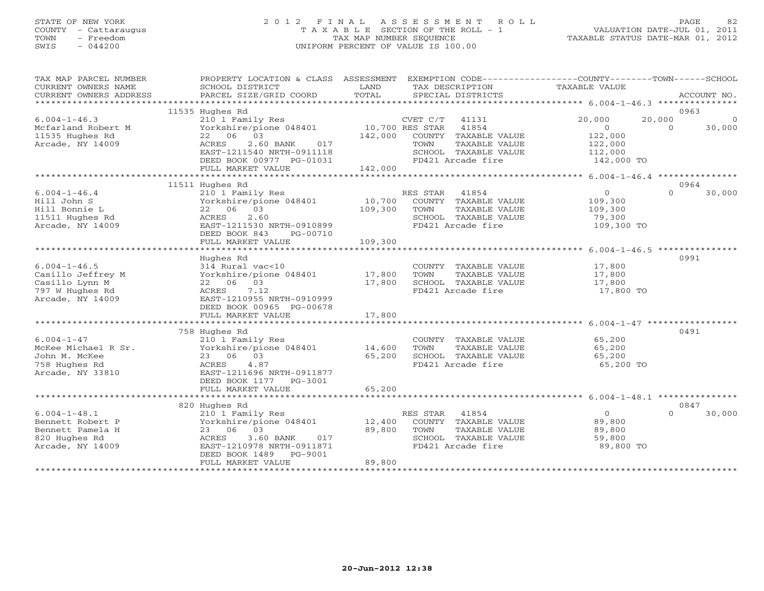## STATE OF NEW YORK 2 0 1 2 F I N A L A S S E S S M E N T R O L L PAGE 82 COUNTY - Cattaraugus T A X A B L E SECTION OF THE ROLL - 1 VALUATION DATE-JUL 01, 2011 TOWN - Freedom TAX MAP NUMBER SEQUENCE TAXABLE STATUS DATE-MAR 01, 2012 SWIS - 044200 UNIFORM PERCENT OF VALUE IS 100.00UNIFORM PERCENT OF VALUE IS 100.00

| TAX MAP PARCEL NUMBER<br>CURRENT OWNERS NAME<br>CURRENT OWNERS ADDRESS                           | PROPERTY LOCATION & CLASS ASSESSMENT<br>SCHOOL DISTRICT<br>PARCEL SIZE/GRID COORD                                                                                                     | LAND<br>TOTAL              |                        | TAX DESCRIPTION<br>SPECIAL DISTRICTS                                                        | EXEMPTION CODE-----------------COUNTY-------TOWN------SCHOOL<br>TAXABLE VALUE |                    | ACCOUNT NO.        |
|--------------------------------------------------------------------------------------------------|---------------------------------------------------------------------------------------------------------------------------------------------------------------------------------------|----------------------------|------------------------|---------------------------------------------------------------------------------------------|-------------------------------------------------------------------------------|--------------------|--------------------|
|                                                                                                  |                                                                                                                                                                                       |                            |                        |                                                                                             |                                                                               |                    |                    |
|                                                                                                  | 11535 Hughes Rd                                                                                                                                                                       |                            |                        |                                                                                             |                                                                               |                    | 0963               |
| $6.004 - 1 - 46.3$<br>Mcfarland Robert M<br>11535 Hughes Rd<br>Arcade, NY 14009                  | 210 1 Family Res<br>Yorkshire/pione 048401<br>22 06 03<br>2.60 BANK<br>017<br>ACRES<br>EAST-1211540 NRTH-0911118                                                                      | 10,700 RES STAR<br>142,000 | CVET C/T<br>TOWN       | 41131<br>41854<br>COUNTY TAXABLE VALUE<br>TAXABLE VALUE<br>SCHOOL TAXABLE VALUE             | 20,000<br>$\Omega$<br>122,000<br>122,000<br>112,000                           | 20,000<br>$\Omega$ | $\Omega$<br>30,000 |
|                                                                                                  | DEED BOOK 00977 PG-01031<br>FULL MARKET VALUE                                                                                                                                         | 142,000                    |                        | FD421 Arcade fire                                                                           | 142,000 TO                                                                    |                    |                    |
|                                                                                                  |                                                                                                                                                                                       |                            |                        |                                                                                             |                                                                               |                    |                    |
| $6.004 - 1 - 46.4$<br>Hill John S<br>Hill Bonnie L<br>11511 Hughes Rd<br>Arcade, NY 14009        | 11511 Hughes Rd<br>210 1 Family Res<br>Yorkshire/pione 048401<br>22 06 03<br>2.60<br>ACRES<br>EAST-1211530 NRTH-0910899                                                               | 10,700<br>109,300          | RES STAR<br>TOWN       | 41854<br>COUNTY TAXABLE VALUE<br>TAXABLE VALUE<br>SCHOOL TAXABLE VALUE<br>FD421 Arcade fire | $\overline{0}$<br>109,300<br>109,300<br>79,300<br>109,300 TO                  | $\Omega$           | 0964<br>30,000     |
|                                                                                                  | DEED BOOK 843<br>PG-00710<br>FULL MARKET VALUE                                                                                                                                        | 109,300                    |                        |                                                                                             |                                                                               |                    |                    |
|                                                                                                  |                                                                                                                                                                                       |                            |                        |                                                                                             |                                                                               |                    |                    |
| $6.004 - 1 - 46.5$<br>Casillo Jeffrey M<br>Casillo Lynn M<br>797 W Hughes Rd<br>Arcade, NY 14009 | Hughes Rd<br>314 Rural vac<10<br>Yorkshire/pione 048401<br>22 06 03<br>7.12<br>ACRES<br>EAST-1210955 NRTH-0910999<br>DEED BOOK 00965 PG-00678                                         | 17,800<br>17,800           | TOWN                   | COUNTY TAXABLE VALUE<br>TAXABLE VALUE<br>SCHOOL TAXABLE VALUE<br>FD421 Arcade fire          | 17,800<br>17,800<br>17,800<br>17,800 TO                                       |                    | 0991               |
|                                                                                                  | FULL MARKET VALUE                                                                                                                                                                     | 17,800                     |                        |                                                                                             |                                                                               |                    |                    |
|                                                                                                  |                                                                                                                                                                                       |                            |                        |                                                                                             |                                                                               |                    |                    |
| $6.004 - 1 - 47$<br>McKee Michael R Sr.<br>John M. McKee<br>758 Hughes Rd<br>Arcade, NY 33810    | 758 Hughes Rd<br>210 1 Family Res<br>Yorkshire/pione 048401<br>23 06 03<br>ACRES<br>4.87<br>EAST-1211696 NRTH-0911877<br>DEED BOOK 1177 PG-3001                                       | 14,600<br>65,200           | TOWN                   | COUNTY TAXABLE VALUE<br>TAXABLE VALUE<br>SCHOOL TAXABLE VALUE<br>FD421 Arcade fire          | 65,200<br>65,200<br>65,200<br>65,200 TO                                       |                    | 0491               |
|                                                                                                  | FULL MARKET VALUE                                                                                                                                                                     | 65,200                     |                        |                                                                                             |                                                                               |                    |                    |
|                                                                                                  |                                                                                                                                                                                       |                            |                        |                                                                                             |                                                                               |                    |                    |
| $6.004 - 1 - 48.1$<br>Bennett Robert P<br>Bennett Pamela H<br>820 Hughes Rd<br>Arcade, NY 14009  | 820 Hughes Rd<br>210 1 Family Res<br>Yorkshire/pione 048401<br>23 06 03<br>$3.60$ BANK<br>017<br>ACRES<br>EAST-1210978 NRTH-0911871<br>PG-9001<br>DEED BOOK 1489<br>FULL MARKET VALUE | 12,400<br>89,800<br>89,800 | RES STAR 41854<br>TOWN | COUNTY TAXABLE VALUE<br>TAXABLE VALUE<br>SCHOOL TAXABLE VALUE<br>FD421 Arcade fire          | $\overline{0}$<br>89,800<br>89,800<br>59,800<br>89,800 TO                     | $\Omega$           | 0847<br>30,000     |
|                                                                                                  |                                                                                                                                                                                       |                            |                        |                                                                                             |                                                                               |                    |                    |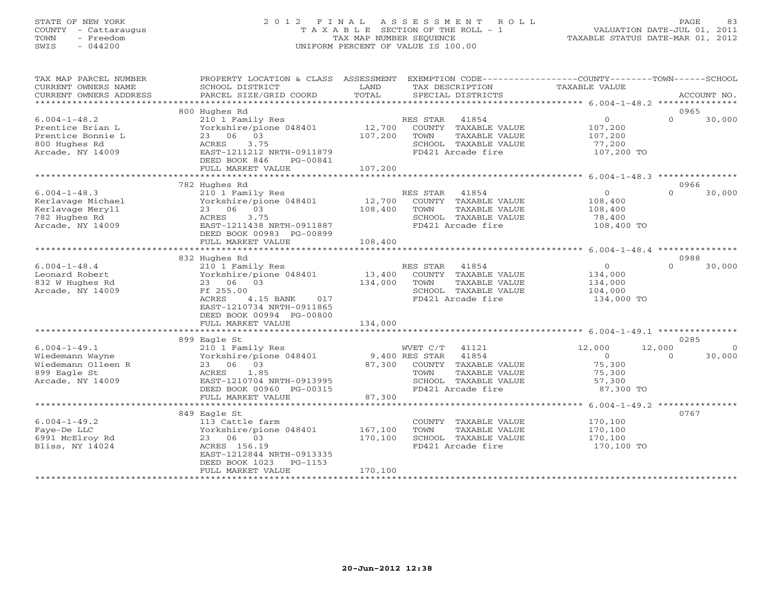# STATE OF NEW YORK 2 0 1 2 F I N A L A S S E S S M E N T R O L L PAGE 83 COUNTY - Cattaraugus T A X A B L E SECTION OF THE ROLL - 1 VALUATION DATE-JUL 01, 2011 TOWN - Freedom TAX MAP NUMBER SEQUENCE TAXABLE STATUS DATE-MAR 01, 2012 SWIS - 044200 UNIFORM PERCENT OF VALUE IS 100.00UNIFORM PERCENT OF VALUE IS 100.00

| TAX MAP PARCEL NUMBER<br>CURRENT OWNERS NAME | PROPERTY LOCATION & CLASS ASSESSMENT<br>SCHOOL DISTRICT | LAND              | EXEMPTION CODE-----------------COUNTY-------TOWN------SCHOOL<br>TAX DESCRIPTION | TAXABLE VALUE                                                   |                  |             |
|----------------------------------------------|---------------------------------------------------------|-------------------|---------------------------------------------------------------------------------|-----------------------------------------------------------------|------------------|-------------|
| CURRENT OWNERS ADDRESS                       | PARCEL SIZE/GRID COORD                                  | TOTAL             | SPECIAL DISTRICTS                                                               |                                                                 |                  | ACCOUNT NO. |
| *************************                    |                                                         |                   |                                                                                 |                                                                 |                  |             |
|                                              | 800 Hughes Rd                                           |                   |                                                                                 |                                                                 | 0965             |             |
| $6.004 - 1 - 48.2$                           | 210 1 Family Res                                        |                   | RES STAR<br>41854                                                               | $\overline{O}$                                                  | $\Omega$         | 30,000      |
| Prentice Brian L                             | Yorkshire/pione 048401                                  | 12,700            | COUNTY TAXABLE VALUE                                                            | 107,200                                                         |                  |             |
| Prentice Bonnie L                            | 23 06 03                                                | 107,200           | TAXABLE VALUE<br>TOWN                                                           | 107,200                                                         |                  |             |
| 800 Hughes Rd                                | 3.75<br>ACRES                                           |                   | SCHOOL TAXABLE VALUE                                                            | 77,200                                                          |                  |             |
| Arcade, NY 14009                             | EAST-1211212 NRTH-0911879                               |                   | FD421 Arcade fire                                                               | 107,200 TO                                                      |                  |             |
|                                              | DEED BOOK 846<br>PG-00841                               |                   |                                                                                 |                                                                 |                  |             |
|                                              | FULL MARKET VALUE                                       | 107,200           |                                                                                 |                                                                 |                  |             |
|                                              |                                                         |                   |                                                                                 |                                                                 |                  |             |
|                                              | 782 Hughes Rd                                           |                   |                                                                                 | $\Omega$                                                        | 0966<br>$\Omega$ |             |
| $6.004 - 1 - 48.3$                           | 210 1 Family Res                                        |                   | RES STAR<br>41854                                                               |                                                                 |                  | 30,000      |
| Kerlavage Michael                            | Yorkshire/pione 048401<br>23 06 03                      | 12,700<br>108,400 | COUNTY TAXABLE VALUE                                                            | 108,400                                                         |                  |             |
| Kerlavage Meryll                             | 3.75                                                    |                   | TOWN<br>TAXABLE VALUE<br>SCHOOL TAXABLE VALUE                                   | 108,400                                                         |                  |             |
| 782 Hughes Rd<br>Arcade, NY 14009            | ACRES<br>EAST-1211438 NRTH-0911887                      |                   | FD421 Arcade fire                                                               | 78,400<br>108,400 TO                                            |                  |             |
|                                              | DEED BOOK 00983 PG-00899                                |                   |                                                                                 |                                                                 |                  |             |
|                                              | FULL MARKET VALUE                                       | 108,400           |                                                                                 |                                                                 |                  |             |
|                                              |                                                         |                   |                                                                                 |                                                                 |                  |             |
|                                              | 832 Hughes Rd                                           |                   |                                                                                 |                                                                 | 0988             |             |
| $6.004 - 1 - 48.4$                           | 210 1 Family Res                                        |                   | RES STAR<br>41854                                                               | $\circ$                                                         | $\Omega$         | 30,000      |
| Leonard Robert                               | Yorkshire/pione 048401                                  | 13,400            | COUNTY TAXABLE VALUE                                                            | 134,000                                                         |                  |             |
| 832 W Hughes Rd                              | 23 06 03                                                | 134,000           | TOWN<br>TAXABLE VALUE                                                           | 134,000                                                         |                  |             |
| Arcade, NY 14009                             | Ff 255.00                                               |                   | SCHOOL TAXABLE VALUE                                                            | 104,000                                                         |                  |             |
|                                              | <b>ACRES</b><br>4.15 BANK<br>017                        |                   | FD421 Arcade fire                                                               | 134,000 TO                                                      |                  |             |
|                                              | EAST-1210734 NRTH-0911865                               |                   |                                                                                 |                                                                 |                  |             |
|                                              | DEED BOOK 00994 PG-00800                                |                   |                                                                                 |                                                                 |                  |             |
|                                              | FULL MARKET VALUE                                       | 134,000           |                                                                                 |                                                                 |                  |             |
|                                              | ************************                                | *************     |                                                                                 | ***********************************6.004-1-49.1 *************** |                  |             |
|                                              | 899 Eagle St                                            |                   |                                                                                 |                                                                 | 0285             |             |
| $6.004 - 1 - 49.1$                           | 210 1 Family Res                                        |                   | WVET C/T<br>41121                                                               | 12,000                                                          | 12,000           | $\Omega$    |
| Wiedemann Wayne                              | Yorkshire/pione 048401                                  |                   | 9,400 RES STAR<br>41854                                                         | $\overline{0}$                                                  | $\Omega$         | 30,000      |
| Wiedemann Olleen R                           | 23 06 03                                                |                   | 87,300 COUNTY TAXABLE VALUE                                                     | 75,300                                                          |                  |             |
| 899 Eagle St                                 | ACRES<br>1.85                                           |                   | TOWN<br>TAXABLE VALUE                                                           | 75,300                                                          |                  |             |
| Arcade, NY 14009                             | EAST-1210704 NRTH-0913995                               |                   | SCHOOL TAXABLE VALUE                                                            | 57,300                                                          |                  |             |
|                                              | DEED BOOK 00960 PG-00315                                |                   | FD421 Arcade fire                                                               | 87,300 TO                                                       |                  |             |
|                                              | FULL MARKET VALUE<br>*********************************  | 87,300            |                                                                                 |                                                                 |                  |             |
|                                              | 849 Eagle St                                            |                   |                                                                                 |                                                                 | 0767             |             |
| $6.004 - 1 - 49.2$                           | 113 Cattle farm                                         |                   | COUNTY TAXABLE VALUE                                                            | 170,100                                                         |                  |             |
| Faye-De LLC                                  | Yorkshire/pione 048401                                  | 167,100           | TOWN<br>TAXABLE VALUE                                                           | 170,100                                                         |                  |             |
| 6991 McElroy Rd                              | 23 06 03                                                | 170,100           | SCHOOL TAXABLE VALUE                                                            | 170,100                                                         |                  |             |
| Bliss, NY 14024                              | ACRES 156.19                                            |                   | FD421 Arcade fire                                                               | 170,100 TO                                                      |                  |             |
|                                              | EAST-1212844 NRTH-0913335                               |                   |                                                                                 |                                                                 |                  |             |
|                                              | DEED BOOK 1023<br>PG-1153                               |                   |                                                                                 |                                                                 |                  |             |
|                                              | FULL MARKET VALUE                                       | 170,100           |                                                                                 |                                                                 |                  |             |
|                                              |                                                         |                   |                                                                                 |                                                                 |                  |             |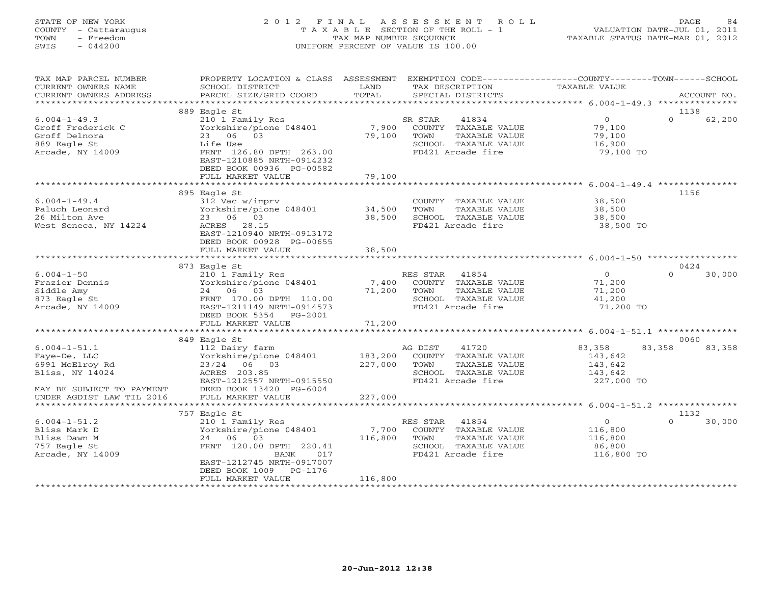# STATE OF NEW YORK 2 0 1 2 F I N A L A S S E S S M E N T R O L L PAGE 84 COUNTY - Cattaraugus T A X A B L E SECTION OF THE ROLL - 1 VALUATION DATE-JUL 01, 2011 TOWN - Freedom TAX MAP NUMBER SEQUENCE TAXABLE STATUS DATE-MAR 01, 2012 SWIS - 044200 UNIFORM PERCENT OF VALUE IS 100.00UNIFORM PERCENT OF VALUE IS 100.00

| TAX MAP PARCEL NUMBER<br>CURRENT OWNERS NAME                                                          | PROPERTY LOCATION & CLASS ASSESSMENT<br>SCHOOL DISTRICT                                                                                                                            | LAND<br>TOTAL               | EXEMPTION CODE----------------COUNTY-------TOWN------SCHOOL<br>TAX DESCRIPTION                                  | TAXABLE VALUE                                                | ACCOUNT NO.              |
|-------------------------------------------------------------------------------------------------------|------------------------------------------------------------------------------------------------------------------------------------------------------------------------------------|-----------------------------|-----------------------------------------------------------------------------------------------------------------|--------------------------------------------------------------|--------------------------|
| CURRENT OWNERS ADDRESS<br>*************************                                                   | PARCEL SIZE/GRID COORD                                                                                                                                                             |                             | SPECIAL DISTRICTS                                                                                               |                                                              |                          |
|                                                                                                       | 889 Eagle St                                                                                                                                                                       |                             |                                                                                                                 |                                                              | 1138                     |
| $6.004 - 1 - 49.3$<br>Groff Frederick C<br>Groff Delnora<br>889 Eagle St<br>Arcade, NY 14009          | 210 1 Family Res<br>Yorkshire/pione 048401<br>23 06 03<br>Life Use<br>FRNT 126.80 DPTH 263.00<br>EAST-1210885 NRTH-0914232<br>DEED BOOK 00936 PG-00582<br>FULL MARKET VALUE        | 7,900<br>79,100<br>79,100   | SR STAR<br>41834<br>COUNTY TAXABLE VALUE<br>TOWN<br>TAXABLE VALUE<br>SCHOOL TAXABLE VALUE<br>FD421 Arcade fire  | $\overline{0}$<br>79,100<br>79,100<br>16,900<br>79,100 TO    | 62,200<br>$\Omega$       |
|                                                                                                       |                                                                                                                                                                                    |                             |                                                                                                                 |                                                              |                          |
|                                                                                                       | 895 Eagle St                                                                                                                                                                       |                             |                                                                                                                 |                                                              | 1156                     |
| $6.004 - 1 - 49.4$<br>Paluch Leonard<br>26 Milton Ave<br>West Seneca, NY 14224                        | 312 Vac w/imprv<br>Yorkshire/pione 048401 34,500<br>23 06 03<br>ACRES 28.15<br>EAST-1210940 NRTH-0913172<br>DEED BOOK 00928 PG-00655<br>FULL MARKET VALUE                          | 38,500<br>38,500            | COUNTY TAXABLE VALUE<br>TAXABLE VALUE<br>TOWN<br>SCHOOL TAXABLE VALUE<br>FD421 Arcade fire                      | 38,500<br>38,500<br>38,500<br>38,500 TO                      |                          |
|                                                                                                       | *************************                                                                                                                                                          | *************               |                                                                                                                 |                                                              |                          |
|                                                                                                       | 873 Eagle St                                                                                                                                                                       |                             |                                                                                                                 |                                                              | 0424                     |
| $6.004 - 1 - 50$<br>Frazier Dennis<br>Siddle Amy<br>873 Eagle St<br>Arcade, NY 14009                  | 210 1 Family Res<br>Yorkshire/pione 048401<br>24 06 03<br>FRNT 170.00 DPTH 110.00<br>EAST-1211149 NRTH-0914573<br>DEED BOOK 5354 PG-2001<br>FULL MARKET VALUE                      | 7,400<br>71,200<br>71,200   | RES STAR<br>41854<br>COUNTY TAXABLE VALUE<br>TOWN<br>TAXABLE VALUE<br>SCHOOL TAXABLE VALUE<br>FD421 Arcade fire | 0<br>71,200<br>71,200<br>41,200<br>71,200 TO                 | 30,000<br>$\Omega$       |
|                                                                                                       | ******************************                                                                                                                                                     |                             |                                                                                                                 |                                                              |                          |
| $6.004 - 1 - 51.1$<br>Faye-De, LLC<br>6991 McElroy Rd<br>Bliss, NY 14024<br>MAY BE SUBJECT TO PAYMENT | 849 Eagle St<br>112 Dairy farm<br>Yorkshire/pione 048401<br>23/24 06 03<br>ACRES 203.85<br>EAST-1212557 NRTH-0915550<br>DEED BOOK 13420 PG-6004                                    | 183,200<br>227,000          | AG DIST<br>41720<br>COUNTY TAXABLE VALUE<br>TOWN<br>TAXABLE VALUE<br>SCHOOL TAXABLE VALUE<br>FD421 Arcade fire  | 83,358<br>143,642<br>143,642<br>143,642<br>227,000 TO        | 0060<br>83,358<br>83,358 |
| UNDER AGDIST LAW TIL 2016                                                                             | FULL MARKET VALUE                                                                                                                                                                  | 227,000                     |                                                                                                                 |                                                              |                          |
|                                                                                                       | 757 Eagle St                                                                                                                                                                       |                             |                                                                                                                 |                                                              | 1132                     |
| $6.004 - 1 - 51.2$<br>Bliss Mark D<br>Bliss Dawn M<br>757 Eagle St<br>Arcade, NY 14009                | 210 1 Family Res<br>Yorkshire/pione 048401<br>03<br>24 06<br>FRNT 120.00 DPTH 220.41<br>BANK<br>017<br>EAST-1212745 NRTH-0917007<br>DEED BOOK 1009<br>PG-1176<br>FULL MARKET VALUE | 7,700<br>116,800<br>116,800 | 41854<br>RES STAR<br>COUNTY TAXABLE VALUE<br>TAXABLE VALUE<br>TOWN<br>SCHOOL TAXABLE VALUE<br>FD421 Arcade fire | $\overline{0}$<br>116,800<br>116,800<br>86,800<br>116,800 TO | $\Omega$<br>30,000       |
|                                                                                                       |                                                                                                                                                                                    |                             |                                                                                                                 |                                                              |                          |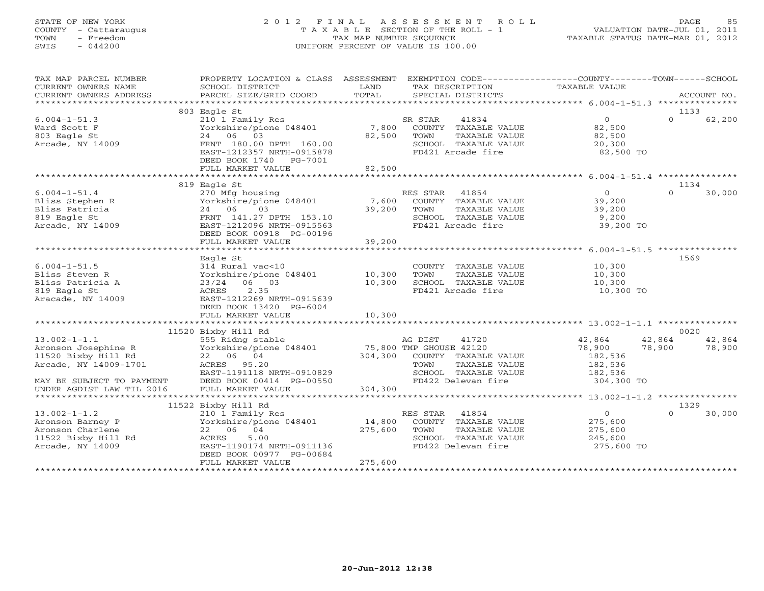# STATE OF NEW YORK 2 0 1 2 F I N A L A S S E S S M E N T R O L L PAGE 85 COUNTY - Cattaraugus T A X A B L E SECTION OF THE ROLL - 1 VALUATION DATE-JUL 01, 2011 TOWN - Freedom TAX MAP NUMBER SEQUENCE TAXABLE STATUS DATE-MAR 01, 2012 SWIS - 044200 UNIFORM PERCENT OF VALUE IS 100.00

| TAX MAP PARCEL NUMBER<br>CURRENT OWNERS NAME<br>CURRENT OWNERS ADDRESS                                | PROPERTY LOCATION & CLASS ASSESSMENT EXEMPTION CODE---------------COUNTY-------TOWN------SCHOOL<br>SCHOOL DISTRICT<br>PARCEL SIZE/GRID COORD                                                       | LAND<br>TOTAL                | TAX DESCRIPTION<br>SPECIAL DISTRICTS                                                                           | TAXABLE VALUE                                                   | ACCOUNT NO.                                  |
|-------------------------------------------------------------------------------------------------------|----------------------------------------------------------------------------------------------------------------------------------------------------------------------------------------------------|------------------------------|----------------------------------------------------------------------------------------------------------------|-----------------------------------------------------------------|----------------------------------------------|
|                                                                                                       |                                                                                                                                                                                                    |                              |                                                                                                                |                                                                 |                                              |
| $6.004 - 1 - 51.3$<br>Ward Scott F<br>803 Eagle St<br>Arcade, NY 14009                                | 803 Eagle St<br>210 1 Family Res<br>Yorkshire/pione 048401<br>24 06 03<br>FRNT 180.00 DPTH 160.00<br>EAST-1212357 NRTH-0915878<br>DEED BOOK 1740 PG-7001<br>FULL MARKET VALUE                      | 7,800<br>82,500<br>82,500    | 41834<br>SR STAR<br>COUNTY TAXABLE VALUE<br>TOWN<br>TAXABLE VALUE<br>SCHOOL TAXABLE VALUE<br>FD421 Arcade fire | $\Omega$<br>82,500<br>82,500<br>20,300<br>82,500 TO             | 1133<br>$\Omega$<br>62,200                   |
|                                                                                                       |                                                                                                                                                                                                    |                              |                                                                                                                |                                                                 |                                              |
| $6.004 - 1 - 51.4$<br>Bliss Stephen R<br>Bliss Patricia<br>819 Eagle St<br>Arcade, NY 14009           | 819 Eagle St<br>270 Mfg housing<br>Yorkshire/pione 048401<br>24 06<br>03<br>FRNT 141.27 DPTH 153.10<br>EAST-1212096 NRTH-0915563<br>DEED BOOK 00918 PG-00196                                       | 7,600<br>39,200<br>39,200    | RES STAR 41854<br>COUNTY TAXABLE VALUE<br>TOWN<br>TAXABLE VALUE<br>SCHOOL TAXABLE VALUE<br>FD421 Arcade fire   | $\overline{0}$<br>39,200<br>39,200<br>9,200<br>39,200 TO        | 1134<br>$\Omega$<br>30,000                   |
|                                                                                                       | FULL MARKET VALUE                                                                                                                                                                                  |                              |                                                                                                                |                                                                 |                                              |
| $6.004 - 1 - 51.5$<br>Bliss Steven R<br>Bliss Patricia A<br>819 Eagle St<br>Aracade, NY 14009         | Eagle St<br>314 Rural vac<10<br>Yorkshire/pione 048401<br>23/24 06 03<br>2.35<br>ACRES<br>EAST-1212269 NRTH-0915639<br>DEED BOOK 13420 PG-6004                                                     | 10,300<br>10,300             | COUNTY TAXABLE VALUE<br>TAXABLE VALUE<br>TOWN<br>SCHOOL TAXABLE VALUE<br>FD421 Arcade fire                     | 10,300<br>10,300<br>10,300<br>10,300 TO                         | 1569                                         |
|                                                                                                       | FULL MARKET VALUE                                                                                                                                                                                  | 10,300                       |                                                                                                                |                                                                 |                                              |
|                                                                                                       |                                                                                                                                                                                                    |                              |                                                                                                                |                                                                 |                                              |
| $13.002 - 1 - 1.1$<br>Aronson Josephine R<br>11520 Bixby Hill Rd<br>Arcade, NY 14009-1701             | 11520 Bixby Hill Rd<br>555 Ridng stable 648401 MG DIST 41720<br>Yorkshire/pione 048401 75,800 TMP GHOUSE 42120<br>22 06 04<br>ACRES 95.20<br>EAST-1191118 NRTH-0910829<br>DEED BOOK 00414 PG-00550 |                              | 304,300 COUNTY TAXABLE VALUE<br>TOWN<br>TAXABLE VALUE<br>SCHOOL TAXABLE VALUE<br>FD422 Delevan fire            | 42,864<br>78,900<br>182,536<br>182,536<br>182,536<br>304,300 TO | 0020<br>42,864<br>42,864<br>78,900<br>78,900 |
|                                                                                                       | FULL MARKET VALUE                                                                                                                                                                                  | 304,300                      |                                                                                                                |                                                                 |                                              |
|                                                                                                       |                                                                                                                                                                                                    |                              |                                                                                                                |                                                                 |                                              |
| $13.002 - 1 - 1.2$<br>Aronson Barney P<br>Aronson Charlene<br>11522 Bixby Hill Rd<br>Arcade, NY 14009 | 11522 Bixby Hill Rd<br>210 1 Family Res<br>Yorkshire/pione 048401<br>22 06 04<br>5.00<br>ACRES<br>EAST-1190174 NRTH-0911136<br>DEED BOOK 00977 PG-00684<br>FULL MARKET VALUE                       | 14,800<br>275,600<br>275,600 | RES STAR 41854<br>COUNTY TAXABLE VALUE<br>TOWN<br>TAXABLE VALUE<br>SCHOOL TAXABLE VALUE<br>FD422 Delevan fire  | $\overline{0}$<br>275,600<br>275,600<br>245,600<br>275,600 TO   | 1329<br>$\cap$<br>30,000                     |
|                                                                                                       |                                                                                                                                                                                                    |                              |                                                                                                                |                                                                 |                                              |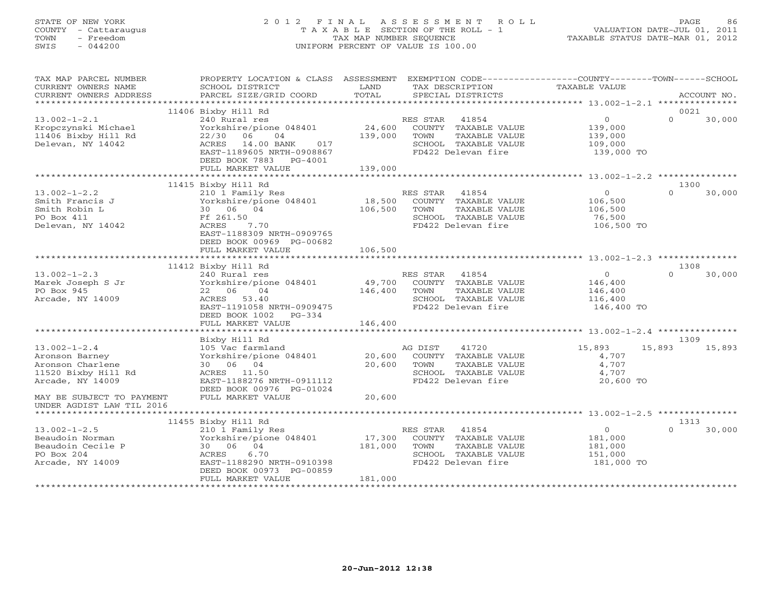# STATE OF NEW YORK 2 0 1 2 F I N A L A S S E S S M E N T R O L L PAGE 86 COUNTY - Cattaraugus T A X A B L E SECTION OF THE ROLL - 1 VALUATION DATE-JUL 01, 2011 TOWN - Freedom TAX MAP NUMBER SEQUENCE TAXABLE STATUS DATE-MAR 01, 2012 SWIS - 044200 UNIFORM PERCENT OF VALUE IS 100.00UNIFORM PERCENT OF VALUE IS 100.00

| TAX MAP PARCEL NUMBER<br>CURRENT OWNERS NAME                                                        | PROPERTY LOCATION & CLASS ASSESSMENT EXEMPTION CODE----------------COUNTY-------TOWN------SCHOOL<br>SCHOOL DISTRICT                                                  | LAND              | TAX DESCRIPTION                                                                                                         | TAXABLE VALUE                                                 |                          |
|-----------------------------------------------------------------------------------------------------|----------------------------------------------------------------------------------------------------------------------------------------------------------------------|-------------------|-------------------------------------------------------------------------------------------------------------------------|---------------------------------------------------------------|--------------------------|
| CURRENT OWNERS ADDRESS                                                                              | PARCEL SIZE/GRID COORD                                                                                                                                               | TOTAL             | SPECIAL DISTRICTS                                                                                                       |                                                               | ACCOUNT NO.              |
|                                                                                                     | 11406 Bixby Hill Rd                                                                                                                                                  |                   |                                                                                                                         |                                                               | 0021                     |
| $13.002 - 1 - 2.1$<br>Kropczynski Michael<br>11406 Bixby Hill Rd<br>Delevan, NY 14042               | 240 Rural res<br>Yorkshire/pione 048401<br>22/30 06<br>04<br>ACRES 14.00 BANK 017<br>EAST-1189605 NRTH-0908867<br>DEED BOOK 7883 PG-4001                             | 139,000           | 41854<br>RES STAR<br>24,600 COUNTY TAXABLE VALUE<br>TOWN<br>TAXABLE VALUE<br>SCHOOL TAXABLE VALUE<br>FD422 Delevan fire | $\circ$<br>139,000<br>139,000<br>109,000<br>139,000 TO        | $\cap$<br>30,000         |
|                                                                                                     | FULL MARKET VALUE                                                                                                                                                    | 139,000           |                                                                                                                         |                                                               |                          |
|                                                                                                     |                                                                                                                                                                      |                   |                                                                                                                         |                                                               |                          |
| $13.002 - 1 - 2.2$<br>Smith Francis J<br>Smith Robin L<br>PO Box 411<br>Delevan, NY 14042           | 11415 Bixby Hill Rd<br>210 1 Family Res<br>Yorkshire/pione 048401<br>30 06 04<br>Ff 261.50<br>ACRES<br>7.70<br>EAST-1188309 NRTH-0909765<br>DEED BOOK 00969 PG-00682 | 18,500<br>106,500 | RES STAR 41854<br>COUNTY TAXABLE VALUE<br>TOWN<br>TAXABLE VALUE<br>SCHOOL TAXABLE VALUE<br>FD422 Delevan fire           | $\overline{0}$<br>106,500<br>106,500<br>76,500<br>106,500 TO  | 1300<br>$\cap$<br>30,000 |
|                                                                                                     | FULL MARKET VALUE                                                                                                                                                    | 106,500           |                                                                                                                         |                                                               |                          |
|                                                                                                     |                                                                                                                                                                      |                   |                                                                                                                         |                                                               |                          |
|                                                                                                     | 11412 Bixby Hill Rd                                                                                                                                                  |                   |                                                                                                                         |                                                               | 1308                     |
| $13.002 - 1 - 2.3$<br>Marek Joseph S Jr<br>PO Box 945<br>Arcade, NY 14009                           | 240 Rural res<br>Yorkshire/pione 048401 49,700 COUNTY TAXABLE VALUE<br>22 06 04<br>ACRES 53.40<br>EAST-1191058 NRTH-0909475<br>DEED BOOK 1002 PG-334                 | 146,400           | 41854<br>RES STAR<br>TAXABLE VALUE<br>TOWN<br>SCHOOL TAXABLE VALUE<br>FD422 Delevan fire                                | $\overline{0}$<br>146,400<br>146,400<br>116,400<br>146,400 TO | 30,000<br>$\cap$         |
|                                                                                                     | FULL MARKET VALUE                                                                                                                                                    | 146,400           |                                                                                                                         |                                                               |                          |
|                                                                                                     |                                                                                                                                                                      |                   |                                                                                                                         |                                                               | 1309                     |
| $13.002 - 1 - 2.4$<br>Aronson Barney<br>Aronson Charlene<br>11520 Bixby Hill Rd<br>Arcade, NY 14009 | Bixby Hill Rd<br>105 Vac farmland<br>Yorkshire/pione 048401<br>30 06 04<br>ACRES 11.50<br>EAST-1188276 NRTH-0911112<br>DEED BOOK 00976 PG-01024                      | 20,600<br>20,600  | AG DIST<br>41720<br>COUNTY TAXABLE VALUE<br>TOWN<br>TAXABLE VALUE<br>SCHOOL TAXABLE VALUE<br>FD422 Delevan fire         | 15,893<br>4,707<br>4,707<br>4,707<br>20,600 TO                | 15,893<br>15,893         |
| MAY BE SUBJECT TO PAYMENT<br>UNDER AGDIST LAW TIL 2016                                              | FULL MARKET VALUE                                                                                                                                                    | 20,600            |                                                                                                                         |                                                               |                          |
|                                                                                                     |                                                                                                                                                                      |                   |                                                                                                                         |                                                               |                          |
| $13.002 - 1 - 2.5$                                                                                  | 11455 Bixby Hill Rd<br>210 1 Family Res                                                                                                                              |                   | RES STAR<br>41854                                                                                                       | 0                                                             | 1313<br>30,000<br>$\cap$ |
| Beaudoin Norman<br>Beaudoin Cecile P<br>PO Box 204<br>Arcade, NY 14009                              | Yorkshire/pione 048401 17,300 COUNTY TAXABLE VALUE<br>30 06 04<br>6.70<br>ACRES<br>EAST-1188290 NRTH-0910398<br>DEED BOOK 00973 PG-00859                             | 181,000           | TOWN<br>TAXABLE VALUE<br>SCHOOL TAXABLE VALUE<br>FD422 Delevan fire                                                     | 181,000<br>181,000<br>151,000<br>181,000 TO                   |                          |
|                                                                                                     | FULL MARKET VALUE                                                                                                                                                    | 181,000           |                                                                                                                         |                                                               |                          |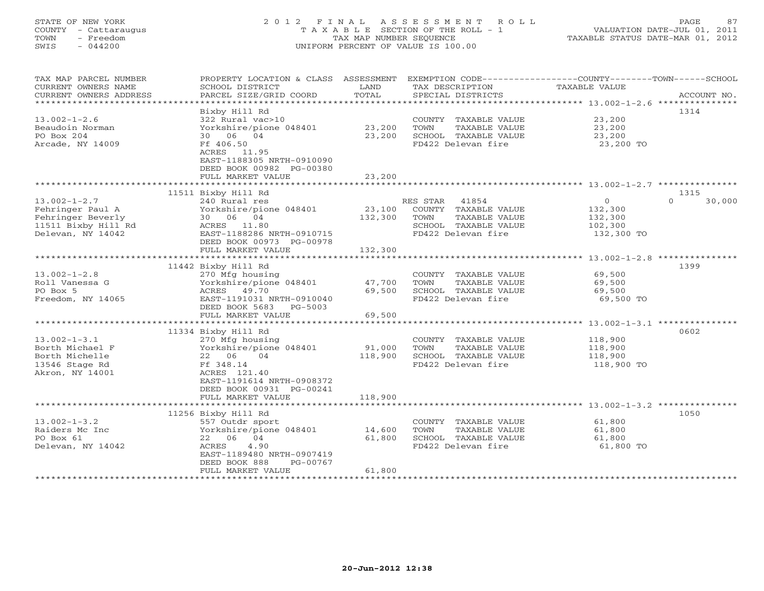# STATE OF NEW YORK 2 0 1 2 F I N A L A S S E S S M E N T R O L L PAGE 87 COUNTY - Cattaraugus T A X A B L E SECTION OF THE ROLL - 1 VALUATION DATE-JUL 01, 2011 TOWN - Freedom TAX MAP NUMBER SEQUENCE TAXABLE STATUS DATE-MAR 01, 2012 SWIS - 044200 UNIFORM PERCENT OF VALUE IS 100.00UNIFORM PERCENT OF VALUE IS 100.00

| TAX MAP PARCEL NUMBER<br>CURRENT OWNERS NAME | PROPERTY LOCATION & CLASS ASSESSMENT<br>SCHOOL DISTRICT | LAND              | EXEMPTION CODE-----------------COUNTY-------TOWN------SCHOOL<br>TAX DESCRIPTION | TAXABLE VALUE      |                    |
|----------------------------------------------|---------------------------------------------------------|-------------------|---------------------------------------------------------------------------------|--------------------|--------------------|
| CURRENT OWNERS ADDRESS                       | PARCEL SIZE/GRID COORD                                  | TOTAL             | SPECIAL DISTRICTS                                                               |                    | ACCOUNT NO.        |
| ******************************               | Bixby Hill Rd                                           |                   |                                                                                 |                    | 1314               |
| $13.002 - 1 - 2.6$                           | 322 Rural vac>10                                        |                   | COUNTY TAXABLE VALUE                                                            | 23,200             |                    |
| Beaudoin Norman                              | Yorkshire/pione 048401                                  | 23,200            | TOWN<br>TAXABLE VALUE                                                           | 23,200             |                    |
| PO Box 204                                   | 30 06 04                                                | 23,200            | SCHOOL TAXABLE VALUE                                                            | 23,200             |                    |
| Arcade, NY 14009                             | Ff 406.50<br>ACRES 11.95                                |                   | FD422 Delevan fire                                                              | 23,200 TO          |                    |
|                                              | EAST-1188305 NRTH-0910090<br>DEED BOOK 00982 PG-00380   |                   |                                                                                 |                    |                    |
|                                              | FULL MARKET VALUE                                       | 23,200            |                                                                                 |                    |                    |
|                                              |                                                         |                   |                                                                                 |                    |                    |
|                                              | 11511 Bixby Hill Rd                                     |                   |                                                                                 |                    | 1315               |
| $13.002 - 1 - 2.7$                           | 240 Rural res                                           |                   | 41854<br>RES STAR                                                               | $\overline{0}$     | 30,000<br>$\Omega$ |
| Fehringer Paul A                             | Yorkshire/pione 048401                                  | 23,100            | COUNTY TAXABLE VALUE                                                            | 132,300            |                    |
| Fehringer Beverly                            | 30 06 04                                                | 132,300           | TOWN<br>TAXABLE VALUE                                                           | 132,300            |                    |
| 11511 Bixby Hill Rd                          | ACRES 11.80                                             |                   | SCHOOL TAXABLE VALUE                                                            | 102,300            |                    |
| Delevan, NY 14042                            | EAST-1188286 NRTH-0910715<br>DEED BOOK 00973 PG-00978   |                   | FD422 Delevan fire                                                              | 132,300 TO         |                    |
|                                              | FULL MARKET VALUE                                       | 132,300           |                                                                                 |                    |                    |
|                                              |                                                         |                   |                                                                                 |                    |                    |
|                                              | 11442 Bixby Hill Rd                                     |                   |                                                                                 |                    | 1399               |
| $13.002 - 1 - 2.8$                           | 270 Mfg housing                                         |                   | COUNTY TAXABLE VALUE                                                            | 69,500             |                    |
| Roll Vanessa G                               | Yorkshire/pione 048401                                  | 47,700            | TOWN<br>TAXABLE VALUE                                                           | 69,500             |                    |
| PO Box 5                                     | ACRES 49.70                                             | 69,500            | SCHOOL TAXABLE VALUE                                                            | 69,500             |                    |
| Freedom, NY 14065                            | EAST-1191031 NRTH-0910040<br>DEED BOOK 5683 PG-5003     |                   | FD422 Delevan fire                                                              | 69,500 TO          |                    |
|                                              | FULL MARKET VALUE                                       | 69,500            |                                                                                 |                    |                    |
|                                              |                                                         |                   |                                                                                 |                    |                    |
|                                              | 11334 Bixby Hill Rd                                     |                   |                                                                                 |                    | 0602               |
| $13.002 - 1 - 3.1$                           | 270 Mfg housing                                         |                   | COUNTY TAXABLE VALUE                                                            | 118,900            |                    |
| Borth Michael F<br>Borth Michelle            | Yorkshire/pione 048401<br>22 06 04                      | 91,000<br>118,900 | TOWN<br>TAXABLE VALUE<br>SCHOOL TAXABLE VALUE                                   | 118,900<br>118,900 |                    |
| 13546 Stage Rd                               | Ff 348.14                                               |                   | FD422 Delevan fire                                                              | 118,900 TO         |                    |
| Akron, NY 14001                              | ACRES 121.40                                            |                   |                                                                                 |                    |                    |
|                                              | EAST-1191614 NRTH-0908372                               |                   |                                                                                 |                    |                    |
|                                              | DEED BOOK 00931 PG-00241                                |                   |                                                                                 |                    |                    |
|                                              | FULL MARKET VALUE                                       | 118,900           |                                                                                 |                    |                    |
|                                              |                                                         |                   |                                                                                 |                    |                    |
|                                              | 11256 Bixby Hill Rd                                     |                   |                                                                                 |                    | 1050               |
| $13.002 - 1 - 3.2$                           | 557 Outdr sport                                         |                   | COUNTY TAXABLE VALUE                                                            | 61,800             |                    |
| Raiders Mc Inc                               | Yorkshire/pione 048401                                  | 14,600            | TOWN<br>TAXABLE VALUE                                                           | 61,800             |                    |
| PO Box 61                                    | 22 06 04                                                | 61,800            | SCHOOL TAXABLE VALUE                                                            | 61,800             |                    |
| Delevan, NY 14042                            | 4.90<br>ACRES                                           |                   | FD422 Delevan fire                                                              | 61,800 TO          |                    |
|                                              | EAST-1189480 NRTH-0907419                               |                   |                                                                                 |                    |                    |
|                                              | DEED BOOK 888<br>PG-00767<br>FULL MARKET VALUE          | 61,800            |                                                                                 |                    |                    |
|                                              |                                                         |                   |                                                                                 |                    |                    |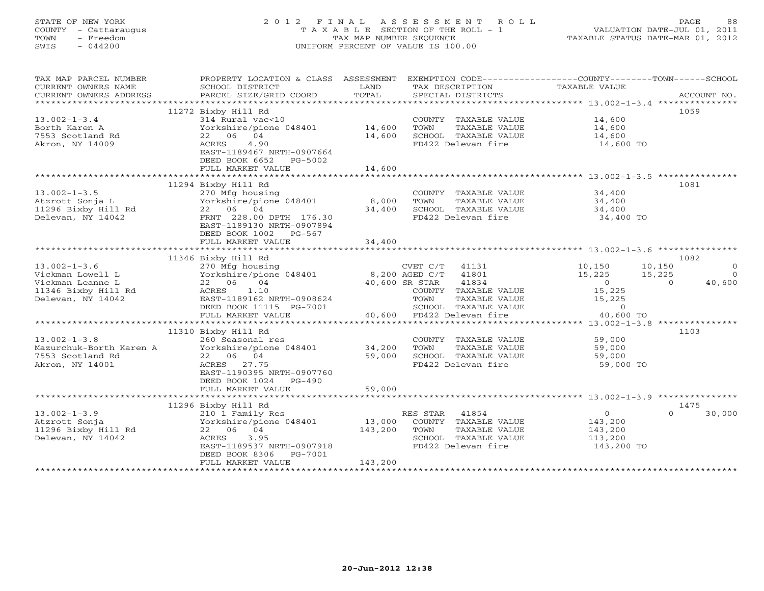# STATE OF NEW YORK 2 0 1 2 F I N A L A S S E S S M E N T R O L L PAGE 88 COUNTY - Cattaraugus T A X A B L E SECTION OF THE ROLL - 1 VALUATION DATE-JUL 01, 2011 TOWN - Freedom TAX MAP NUMBER SEQUENCE TAXABLE STATUS DATE-MAR 01, 2012 SWIS - 044200 UNIFORM PERCENT OF VALUE IS 100.00UNIFORM PERCENT OF VALUE IS 100.00

| TAX MAP PARCEL NUMBER<br>CURRENT OWNERS NAME<br>CURRENT OWNERS ADDRESS            | PROPERTY LOCATION & CLASS ASSESSMENT<br>SCHOOL DISTRICT<br>PARCEL SIZE/GRID COORD                                                                                             | LAND<br>TOTAL              | EXEMPTION CODE-----------------COUNTY-------TOWN------SCHOOL<br>TAX DESCRIPTION<br>SPECIAL DISTRICTS | TAXABLE VALUE                           | ACCOUNT NO.                  |
|-----------------------------------------------------------------------------------|-------------------------------------------------------------------------------------------------------------------------------------------------------------------------------|----------------------------|------------------------------------------------------------------------------------------------------|-----------------------------------------|------------------------------|
| $13.002 - 1 - 3.4$<br>Borth Karen A<br>7553 Scotland Rd<br>Akron, NY 14009        | 11272 Bixby Hill Rd<br>314 Rural vac<10<br>Yorkshire/pione 048401<br>22 06 04<br>4.90<br>ACRES<br>EAST-1189467 NRTH-0907664<br>DEED BOOK 6652<br>PG-5002<br>FULL MARKET VALUE | 14,600<br>14,600<br>14,600 | COUNTY TAXABLE VALUE<br>TOWN<br>TAXABLE VALUE<br>SCHOOL TAXABLE VALUE<br>FD422 Delevan fire          | 14,600<br>14,600<br>14,600<br>14,600 TO | 1059                         |
|                                                                                   |                                                                                                                                                                               |                            |                                                                                                      |                                         |                              |
| $13.002 - 1 - 3.5$<br>Atzrott Sonja L<br>11296 Bixby Hill Rd<br>Delevan, NY 14042 | 11294 Bixby Hill Rd<br>270 Mfg housing<br>Yorkshire/pione 048401<br>22 06 04<br>FRNT 228.00 DPTH 176.30<br>EAST-1189130 NRTH-0907894<br>DEED BOOK 1002 PG-567                 | 8,000<br>34,400            | COUNTY TAXABLE VALUE<br>TOWN<br>TAXABLE VALUE<br>SCHOOL TAXABLE VALUE<br>FD422 Delevan fire          | 34,400<br>34,400<br>34,400<br>34,400 TO | 1081                         |
|                                                                                   | FULL MARKET VALUE                                                                                                                                                             | 34,400                     |                                                                                                      |                                         |                              |
|                                                                                   |                                                                                                                                                                               |                            |                                                                                                      |                                         |                              |
| $13.002 - 1 - 3.6$                                                                | 11346 Bixby Hill Rd<br>270 Mfg housing                                                                                                                                        |                            | $CVET C/T$ 41131                                                                                     | 10,150                                  | 1082<br>10,150<br>$\bigcirc$ |
| Vickman Lowell L                                                                  | Yorkshire/pione 048401                                                                                                                                                        |                            | 8,200 AGED C/T 41801                                                                                 | 15,225                                  | 15,225<br>$\Omega$           |
| Vickman Leanne L                                                                  | 22 06<br>04                                                                                                                                                                   |                            | 41834<br>40,600 SR STAR                                                                              | $\overline{0}$                          | $\Omega$<br>40,600           |
| 11346 Bixby Hill Rd                                                               | 1.10<br>ACRES                                                                                                                                                                 |                            | COUNTY TAXABLE VALUE                                                                                 | 15,225                                  |                              |
| Delevan, NY 14042                                                                 | EAST-1189162 NRTH-0908624                                                                                                                                                     |                            | TOWN<br>TAXABLE VALUE                                                                                | 15,225                                  |                              |
|                                                                                   | DEED BOOK 11115 PG-7001                                                                                                                                                       |                            | SCHOOL TAXABLE VALUE                                                                                 | $\circ$                                 |                              |
|                                                                                   | FULL MARKET VALUE                                                                                                                                                             |                            | 40,600 FD422 Delevan fire                                                                            | 40,600 TO                               |                              |
|                                                                                   | 11310 Bixby Hill Rd                                                                                                                                                           |                            |                                                                                                      |                                         | 1103                         |
| $13.002 - 1 - 3.8$                                                                | 260 Seasonal res                                                                                                                                                              |                            | COUNTY TAXABLE VALUE                                                                                 | 59,000                                  |                              |
| Mazurchuk-Borth Karen A                                                           | Yorkshire/pione 048401                                                                                                                                                        | 34,200                     | TOWN<br>TAXABLE VALUE                                                                                | 59,000                                  |                              |
| 7553 Scotland Rd                                                                  | 22 06 04                                                                                                                                                                      | 59,000                     | SCHOOL TAXABLE VALUE                                                                                 | 59,000                                  |                              |
| Akron, NY 14001                                                                   | ACRES 27.75<br>EAST-1190395 NRTH-0907760<br>DEED BOOK 1024<br>PG-490                                                                                                          |                            | FD422 Delevan fire                                                                                   | 59,000 TO                               |                              |
|                                                                                   | FULL MARKET VALUE                                                                                                                                                             | 59,000                     |                                                                                                      |                                         |                              |
|                                                                                   | 11296 Bixby Hill Rd                                                                                                                                                           |                            |                                                                                                      |                                         | 1475                         |
| $13.002 - 1 - 3.9$                                                                | 210 1 Family Res                                                                                                                                                              |                            | RES STAR 41854                                                                                       | $\circ$                                 | $\Omega$<br>30,000           |
| Atzrott Sonja                                                                     | Yorkshire/pione 048401                                                                                                                                                        | 13,000                     | COUNTY TAXABLE VALUE                                                                                 | 143,200                                 |                              |
| 11296 Bixby Hill Rd                                                               | 22 06 04                                                                                                                                                                      | 143,200                    | TAXABLE VALUE<br>TOWN                                                                                | 143,200                                 |                              |
| Delevan, NY 14042                                                                 | 3.95<br>ACRES                                                                                                                                                                 |                            | SCHOOL TAXABLE VALUE                                                                                 | 113,200                                 |                              |
|                                                                                   | EAST-1189537 NRTH-0907918                                                                                                                                                     |                            | FD422 Delevan fire                                                                                   | 143,200 TO                              |                              |
|                                                                                   | DEED BOOK 8306<br>PG-7001                                                                                                                                                     | 143,200                    |                                                                                                      |                                         |                              |
|                                                                                   | FULL MARKET VALUE                                                                                                                                                             |                            |                                                                                                      |                                         |                              |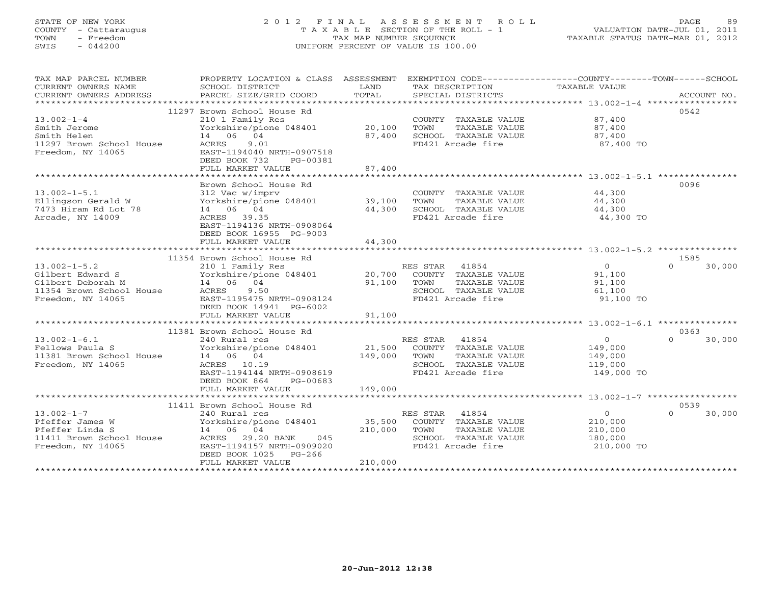# STATE OF NEW YORK 2 0 1 2 F I N A L A S S E S S M E N T R O L L PAGE 89 COUNTY - Cattaraugus T A X A B L E SECTION OF THE ROLL - 1 VALUATION DATE-JUL 01, 2011 TOWN - Freedom TAX MAP NUMBER SEQUENCE TAXABLE STATUS DATE-MAR 01, 2012 SWIS - 044200 UNIFORM PERCENT OF VALUE IS 100.00

| TAX MAP PARCEL NUMBER<br>CURRENT OWNERS NAME<br>CURRENT OWNERS ADDRESS                                                           | PROPERTY LOCATION & CLASS ASSESSMENT<br>SCHOOL DISTRICT<br>PARCEL SIZE/GRID COORD                                                                                                       | LAND<br>TOTAL                | EXEMPTION CODE-----------------COUNTY-------TOWN------SCHOOL<br>TAX DESCRIPTION TAXABLE VALUE<br>SPECIAL DISTRICTS |                                                               | ACCOUNT NO.                |
|----------------------------------------------------------------------------------------------------------------------------------|-----------------------------------------------------------------------------------------------------------------------------------------------------------------------------------------|------------------------------|--------------------------------------------------------------------------------------------------------------------|---------------------------------------------------------------|----------------------------|
| $13.002 - 1 - 4$<br>Smith Jerome<br>Smith Helen<br>11297 Brown School House<br>Freedom, NY 14065                                 | 11297 Brown School House Rd<br>210 1 Family Res<br>Yorkshire/pione 048401<br>14  06  04<br>ACRES<br>9.01<br>EAST-1194040 NRTH-0907518<br>DEED BOOK 732<br>PG-00381<br>FULL MARKET VALUE | 20,100<br>87,400<br>87,400   | COUNTY TAXABLE VALUE<br>TOWN<br>TAXABLE VALUE<br>SCHOOL TAXABLE VALUE<br>FD421 Arcade fire                         | 87,400<br>87,400<br>87,400<br>87,400 TO                       | 0542                       |
| $13.002 - 1 - 5.1$<br>Ellingson Gerald W<br>7473 Hiram Rd Lot 78<br>Arcade, NY 14009                                             | Brown School House Rd<br>312 Vac w/imprv<br>Yorkshire/pione 048401 39,100<br>14 06 04<br>ACRES 39.35<br>EAST-1194136 NRTH-0908064<br>DEED BOOK 16955 PG-9003<br>FULL MARKET VALUE       | 44,300<br>44,300             | COUNTY TAXABLE VALUE<br>TAXABLE VALUE<br>TOWN<br>SCHOOL TAXABLE VALUE<br>FD421 Arcade fire                         | 44,300<br>44,300<br>44,300<br>44,300 TO                       | 0096                       |
|                                                                                                                                  | 11354 Brown School House Rd                                                                                                                                                             |                              |                                                                                                                    |                                                               | 1585                       |
| $13.002 - 1 - 5.2$<br>Gilbert Edward S<br>Gilbert Deborah M<br>11354 Brown School House<br>Exactor NY 14065<br>Freedom, NY 14065 | 210 1 Family Res<br>Yorkshire/pione 048401 20,700 COUNTY TAXABLE VALUE<br>14 06 04<br>ACRES<br>9.50<br>EAST-1195475 NRTH-0908124<br>DEED BOOK 14941 PG-6002<br>FULL MARKET VALUE        | 91,100<br>91,100             | RES STAR 41854<br>TOWN<br>TAXABLE VALUE<br>SCHOOL TAXABLE VALUE<br>FD421 Arcade fire                               | $\overline{0}$<br>91,100<br>91,100<br>61,100<br>91,100 TO     | $\Omega$<br>30,000         |
|                                                                                                                                  |                                                                                                                                                                                         |                              |                                                                                                                    |                                                               |                            |
| $13.002 - 1 - 6.1$<br>Fellows Paula S<br>11381 Brown School House<br>Freedom, NY 14065                                           | 11381 Brown School House Rd<br>240 Rural res<br>Yorkshire/pione 048401 21,500 COUNTY TAXABLE VALUE<br>14 06 04<br>ACRES 10.19<br>EAST-1194144 NRTH-0908619<br>DEED BOOK 864<br>PG-00683 | 149,000                      | RES STAR 41854<br>TOWN<br>TAXABLE VALUE<br>SCHOOL TAXABLE VALUE<br>FD421 Arcade fire                               | $\overline{0}$<br>149,000<br>149,000<br>119,000<br>149,000 TO | 0363<br>30,000<br>$\Omega$ |
|                                                                                                                                  | FULL MARKET VALUE                                                                                                                                                                       | 149,000                      |                                                                                                                    |                                                               |                            |
|                                                                                                                                  | 11411 Brown School House Rd                                                                                                                                                             |                              |                                                                                                                    |                                                               | 0539                       |
| $13.002 - 1 - 7$<br>Pfeffer James W<br>Pfeffer Linda S<br>11411 Brown School House<br>Freedom, NY 14065                          | 240 Rural res<br>Yorkshire/pione 048401<br>14 06 04<br>ACRES 29.20 BANK 045<br>EAST-1194157 NRTH-0909020<br>DEED BOOK 1025 PG-266<br>FULL MARKET VALUE                                  | 35,500<br>210,000<br>210,000 | RES STAR 41854<br>COUNTY TAXABLE VALUE<br>TOWN<br>TAXABLE VALUE<br>SCHOOL TAXABLE VALUE<br>FD421 Arcade fire       | $\overline{0}$<br>210,000<br>210,000<br>180,000<br>210,000 TO | 30,000<br>$\Omega$         |
|                                                                                                                                  |                                                                                                                                                                                         |                              |                                                                                                                    |                                                               |                            |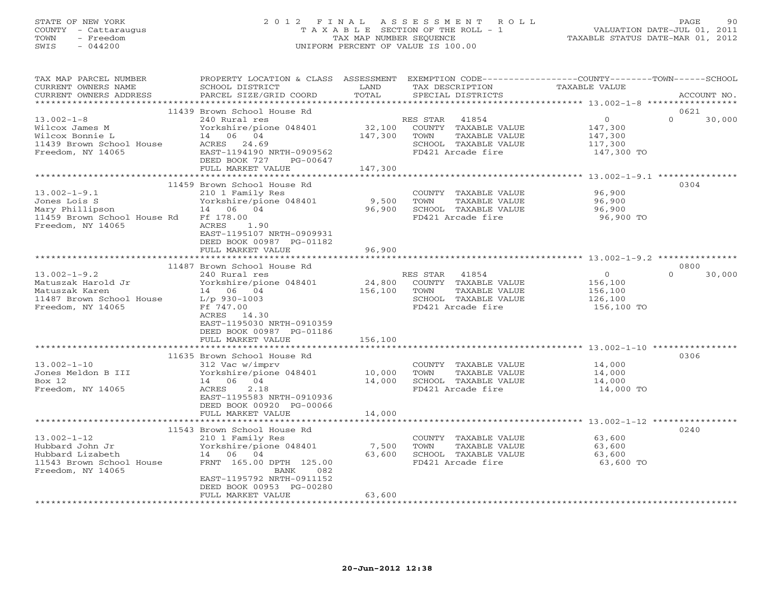## STATE OF NEW YORK 2 0 1 2 F I N A L A S S E S S M E N T R O L L PAGE 90 COUNTY - Cattaraugus T A X A B L E SECTION OF THE ROLL - 1 VALUATION DATE-JUL 01, 2011 TOWN - Freedom TAX MAP NUMBER SEQUENCE TAXABLE STATUS DATE-MAR 01, 2012 SWIS - 044200 UNIFORM PERCENT OF VALUE IS 100.00UNIFORM PERCENT OF VALUE IS 100.00

| TAX MAP PARCEL NUMBER<br>CURRENT OWNERS NAME<br>CURRENT OWNERS ADDRESS                                                                                                                | SCHOOL DISTRICT<br>PARCEL SIZE/GRID COORD                                                                                                                                                                                                                                                                                                                                                                  | LAND<br>TOTAL                                    | TAX DESCRIPTION<br>SPECIAL DISTRICTS                                                                                                                                                                          | PROPERTY LOCATION & CLASS ASSESSMENT EXEMPTION CODE---------------COUNTY-------TOWN------SCHOOL<br>TAXABLE VALUE<br>ACCOUNT NO. |        |
|---------------------------------------------------------------------------------------------------------------------------------------------------------------------------------------|------------------------------------------------------------------------------------------------------------------------------------------------------------------------------------------------------------------------------------------------------------------------------------------------------------------------------------------------------------------------------------------------------------|--------------------------------------------------|---------------------------------------------------------------------------------------------------------------------------------------------------------------------------------------------------------------|---------------------------------------------------------------------------------------------------------------------------------|--------|
| **********************                                                                                                                                                                |                                                                                                                                                                                                                                                                                                                                                                                                            |                                                  |                                                                                                                                                                                                               |                                                                                                                                 |        |
| $13.002 - 1 - 8$<br>Wilcox James M<br>Wilcox Bonnie L<br>11439 Brown School House<br>Freedom, NY 14065                                                                                | 11439 Brown School House Rd<br>240 Rural res<br>Yorkshire/pione 048401<br>14 06 04<br>ACRES 24.69<br>EAST-1194190 NRTH-0909562<br>DEED BOOK 727<br>PG-00647<br>FULL MARKET VALUE                                                                                                                                                                                                                           | 32,100<br>147,300<br>147,300                     | 41854<br>RES STAR<br>COUNTY TAXABLE VALUE<br>TAXABLE VALUE<br>TOWN<br>SCHOOL TAXABLE VALUE<br>FD421 Arcade fire                                                                                               | 0621<br>$\mathbf{O}$<br>$\Omega$<br>147,300<br>147,300<br>117,300<br>147,300 TO                                                 | 30,000 |
|                                                                                                                                                                                       |                                                                                                                                                                                                                                                                                                                                                                                                            |                                                  |                                                                                                                                                                                                               |                                                                                                                                 |        |
| $13.002 - 1 - 9.1$<br>Jones Lois S<br>Mary Phillipson<br>11459 Brown School House Rd<br>Freedom, NY 14065                                                                             | 11459 Brown School House Rd<br>210 1 Family Res<br>Yorkshire/pione 048401<br>14 06 04<br>Ff 178.00<br>ACRES<br>1.90<br>EAST-1195107 NRTH-0909931                                                                                                                                                                                                                                                           | 9,500<br>96,900                                  | COUNTY TAXABLE VALUE<br>TOWN<br>TAXABLE VALUE<br>SCHOOL TAXABLE VALUE<br>FD421 Arcade fire                                                                                                                    | 0304<br>96,900<br>96,900<br>96,900<br>96,900 TO                                                                                 |        |
|                                                                                                                                                                                       | DEED BOOK 00987 PG-01182<br>FULL MARKET VALUE                                                                                                                                                                                                                                                                                                                                                              | 96,900                                           |                                                                                                                                                                                                               |                                                                                                                                 |        |
|                                                                                                                                                                                       | ********************                                                                                                                                                                                                                                                                                                                                                                                       |                                                  |                                                                                                                                                                                                               |                                                                                                                                 |        |
| $13.002 - 1 - 9.2$<br>Matuszak Harold Jr<br>Matuszak Karen<br>11487 Brown School House<br>Freedom, NY 14065<br>$13.002 - 1 - 10$<br>Jones Meldon B III<br>Box 12<br>Freedom, NY 14065 | 11487 Brown School House Rd<br>240 Rural res<br>Yorkshire/pione 048401<br>14 06 04<br>$L/p$ 930-1003<br>Ff 747.00<br>ACRES 14.30<br>EAST-1195030 NRTH-0910359<br>DEED BOOK 00987 PG-01186<br>FULL MARKET VALUE<br>**********************<br>11635 Brown School House Rd<br>312 Vac w/imprv<br>Yorkshire/pione 048401<br>14 06 04<br>2.18<br>ACRES<br>EAST-1195583 NRTH-0910936<br>DEED BOOK 00920 PG-00066 | 24,800<br>156,100<br>156,100<br>10,000<br>14,000 | RES STAR<br>41854<br>COUNTY TAXABLE VALUE<br>TOWN<br>TAXABLE VALUE<br>SCHOOL TAXABLE VALUE<br>FD421 Arcade fire<br>COUNTY TAXABLE VALUE<br>TOWN<br>TAXABLE VALUE<br>SCHOOL TAXABLE VALUE<br>FD421 Arcade fire | 0800<br>$\Omega$<br>$\Omega$<br>156,100<br>156,100<br>126,100<br>156,100 TO<br>0306<br>14,000<br>14,000<br>14,000<br>14,000 TO  | 30,000 |
|                                                                                                                                                                                       | FULL MARKET VALUE                                                                                                                                                                                                                                                                                                                                                                                          | 14,000                                           |                                                                                                                                                                                                               |                                                                                                                                 |        |
| $13.002 - 1 - 12$<br>Hubbard John Jr<br>Hubbard Lizabeth<br>11543 Brown School House<br>Freedom, NY 14065                                                                             | 11543 Brown School House Rd<br>210 1 Family Res<br>Yorkshire/pione 048401<br>14 06 04<br>FRNT 165.00 DPTH 125.00<br>BANK<br>082<br>EAST-1195792 NRTH-0911152<br>DEED BOOK 00953 PG-00280<br>FULL MARKET VALUE<br>* * * * * * * * * * * * * * * * * *                                                                                                                                                       | 7,500<br>63,600<br>63,600                        | COUNTY TAXABLE VALUE<br>TAXABLE VALUE<br>TOWN<br>SCHOOL TAXABLE VALUE<br>FD421 Arcade fire                                                                                                                    | 0240<br>63,600<br>63,600<br>63,600<br>63,600 TO                                                                                 |        |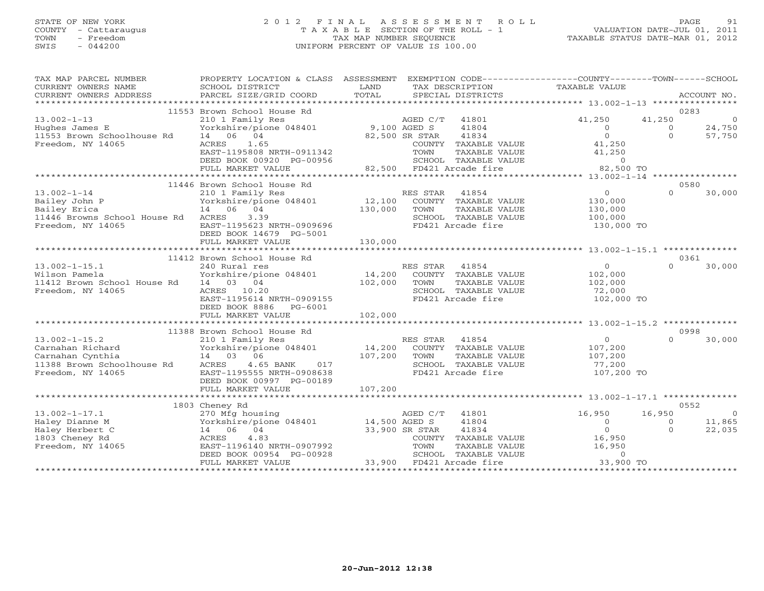## STATE OF NEW YORK 2 0 1 2 F I N A L A S S E S S M E N T R O L L PAGE 91 COUNTY - Cattaraugus T A X A B L E SECTION OF THE ROLL - 1 VALUATION DATE-JUL 01, 2011 TOWN - Freedom TAX MAP NUMBER SEQUENCE TAXABLE STATUS DATE-MAR 01, 2012 SWIS - 044200 UNIFORM PERCENT OF VALUE IS 100.00UNIFORM PERCENT OF VALUE IS 100.00

| TAX MAP PARCEL NUMBER<br>CURRENT OWNERS NAME<br>CURRENT OWNERS ADDRESS                                         | PROPERTY LOCATION & CLASS ASSESSMENT<br>SCHOOL DISTRICT<br>PARCEL SIZE/GRID COORD                                                            | LAND<br>TOTAL     | EXEMPTION CODE-----------------COUNTY-------TOWN------SCHOOL<br>TAX DESCRIPTION<br>SPECIAL DISTRICTS            | TAXABLE VALUE                                                 | ACCOUNT NO.                                                          |
|----------------------------------------------------------------------------------------------------------------|----------------------------------------------------------------------------------------------------------------------------------------------|-------------------|-----------------------------------------------------------------------------------------------------------------|---------------------------------------------------------------|----------------------------------------------------------------------|
|                                                                                                                |                                                                                                                                              |                   |                                                                                                                 |                                                               |                                                                      |
| $13.002 - 1 - 13$                                                                                              | 11553 Brown School House Rd<br>210 1 Family Res                                                                                              |                   | AGED C/T<br>41801                                                                                               | 41,250                                                        | 0283<br>41,250<br>$\Omega$                                           |
| Hughes James E<br>11553 Brown Schoolhouse Rd<br>Freedom, NY 14065                                              | Yorkshire/pione 048401<br>14 06 04<br>1.65<br>ACRES<br>EAST-1195808 NRTH-0911342                                                             | 9,100 AGED S      | 41804<br>82,500 SR STAR<br>41834<br>COUNTY TAXABLE VALUE<br>TOWN<br>TAXABLE VALUE                               | $\Omega$<br>$\circ$<br>41,250<br>41,250                       | 24,750<br>$\Omega$<br>57,750<br>$\Omega$                             |
|                                                                                                                | DEED BOOK 00920 PG-00956<br>FULL MARKET VALUE                                                                                                |                   | SCHOOL TAXABLE VALUE<br>82,500 FD421 Arcade fire                                                                | $\overline{0}$<br>82,500 TO                                   |                                                                      |
|                                                                                                                | **************************                                                                                                                   |                   |                                                                                                                 |                                                               |                                                                      |
| $13.002 - 1 - 14$<br>Bailey John P<br>Bailey Erica<br>11446 Browns School House Rd<br>Freedom, NY 14065        | 11446 Brown School House Rd<br>210 1 Family Res<br>Yorkshire/pione 048401<br>14 06 04<br>3.39<br>ACRES<br>EAST-1195623 NRTH-0909696          | 12,100<br>130,000 | RES STAR<br>41854<br>COUNTY TAXABLE VALUE<br>TOWN<br>TAXABLE VALUE<br>SCHOOL TAXABLE VALUE<br>FD421 Arcade fire | $\overline{0}$<br>130,000<br>130,000<br>100,000<br>130,000 TO | 0580<br>$\Omega$<br>30,000                                           |
|                                                                                                                | DEED BOOK 14679 PG-5001<br>FULL MARKET VALUE                                                                                                 | 130,000           |                                                                                                                 |                                                               |                                                                      |
|                                                                                                                |                                                                                                                                              |                   |                                                                                                                 |                                                               |                                                                      |
|                                                                                                                | 11412 Brown School House Rd                                                                                                                  |                   |                                                                                                                 |                                                               | 0361                                                                 |
| $13.002 - 1 - 15.1$<br>Wilson Pamela<br>11412 Brown School House Rd<br>Freedom, NY 14065                       | 240 Rural res<br>Yorkshire/pione 048401<br>14 03 04<br>ACRES 10.20<br>EAST-1195614 NRTH-0909155<br>DEED BOOK 8886<br>PG-6001                 | 14,200<br>102,000 | RES STAR<br>41854<br>COUNTY TAXABLE VALUE<br>TOWN<br>TAXABLE VALUE<br>SCHOOL TAXABLE VALUE<br>FD421 Arcade fire | $\overline{0}$<br>102,000<br>102,000<br>72,000<br>102,000 TO  | 30,000<br>$\Omega$                                                   |
|                                                                                                                | FULL MARKET VALUE                                                                                                                            | 102,000           |                                                                                                                 |                                                               |                                                                      |
|                                                                                                                | *************************                                                                                                                    |                   |                                                                                                                 |                                                               |                                                                      |
|                                                                                                                | 11388 Brown School House Rd                                                                                                                  |                   |                                                                                                                 |                                                               | 0998                                                                 |
| $13.002 - 1 - 15.2$<br>Carnahan Richard<br>Carnahan Cynthia<br>11388 Brown Schoolhouse Rd<br>Freedom, NY 14065 | 210 1 Family Res<br>Yorkshire/pione 048401<br>14 03 06<br>ACRES<br>4.65 BANK<br>017<br>EAST-1195555 NRTH-0908638<br>DEED BOOK 00997 PG-00189 | 14,200<br>107,200 | RES STAR<br>41854<br>COUNTY TAXABLE VALUE<br>TOWN<br>TAXABLE VALUE<br>SCHOOL TAXABLE VALUE<br>FD421 Arcade fire | $\overline{0}$<br>107,200<br>107,200<br>77,200<br>107,200 TO  | 30,000<br>$\Omega$                                                   |
|                                                                                                                | FULL MARKET VALUE                                                                                                                            | 107,200           |                                                                                                                 |                                                               |                                                                      |
|                                                                                                                |                                                                                                                                              |                   |                                                                                                                 |                                                               |                                                                      |
|                                                                                                                | 1803 Cheney Rd                                                                                                                               |                   |                                                                                                                 |                                                               | 0552                                                                 |
| $13.002 - 1 - 17.1$<br>Haley Dianne M<br>Haley Herbert C<br>1803 Cheney Rd<br>Freedom, NY 14065                | 270 Mfg housing<br>Yorkshire/pione 048401 14,500 AGED S<br>14 06 04<br>4.83<br>ACRES<br>EAST-1196140 NRTH-0907992                            |                   | AGED C/T<br>41801<br>41804<br>41834<br>33,900 SR STAR<br>COUNTY TAXABLE VALUE<br>TOWN<br>TAXABLE VALUE          | 16,950<br>$\Omega$<br>$\Omega$<br>16,950<br>16,950            | 16,950<br>$\overline{0}$<br>11,865<br>$\Omega$<br>22,035<br>$\Omega$ |
|                                                                                                                | DEED BOOK 00954 PG-00928<br>FULL MARKET VALUE                                                                                                | 33,900            | SCHOOL TAXABLE VALUE<br>FD421 Arcade fire                                                                       | $\circ$<br>33,900 TO                                          |                                                                      |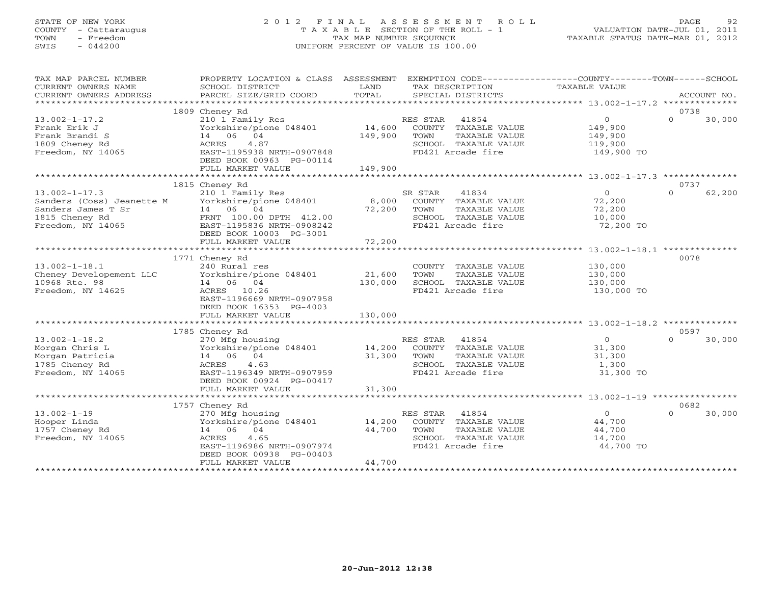# STATE OF NEW YORK 2 0 1 2 F I N A L A S S E S S M E N T R O L L PAGE 92 COUNTY - Cattaraugus T A X A B L E SECTION OF THE ROLL - 1 VALUATION DATE-JUL 01, 2011 TOWN - Freedom TAX MAP NUMBER SEQUENCE TAXABLE STATUS DATE-MAR 01, 2012 SWIS - 044200 UNIFORM PERCENT OF VALUE IS 100.00UNIFORM PERCENT OF VALUE IS 100.00

| TAXABLE VALUE<br>CURRENT OWNERS NAME<br>SCHOOL DISTRICT<br>LAND<br>TAX DESCRIPTION<br>TOTAL<br>CURRENT OWNERS ADDRESS<br>PARCEL SIZE/GRID COORD<br>SPECIAL DISTRICTS<br>ACCOUNT NO.<br>1809 Cheney Rd<br>0738<br>41854<br>$\Omega$<br>$\Omega$<br>30,000<br>$13.002 - 1 - 17.2$<br>210 1 Family Res<br>RES STAR<br>14,600<br>Frank Erik J<br>Yorkshire/pione 048401<br>COUNTY TAXABLE VALUE<br>149,900<br>14 06 04<br>149,900<br>Frank Brandi S<br>TOWN<br>TAXABLE VALUE<br>149,900<br>1809 Cheney Rd<br>SCHOOL TAXABLE VALUE<br>ACRES<br>4.87<br>119,900<br>Freedom, NY 14065<br>EAST-1195938 NRTH-0907848<br>FD421 Arcade fire<br>149,900 TO<br>DEED BOOK 00963 PG-00114<br>FULL MARKET VALUE<br>149,900<br>0737<br>1815 Cheney Rd<br>41834<br>$\overline{0}$<br>$\Omega$<br>62,200<br>$13.002 - 1 - 17.3$<br>210 1 Family Res<br>SR STAR<br>8,000<br>Sanders (Coss) Jeanette M<br>Yorkshire/pione 048401<br>COUNTY TAXABLE VALUE<br>72,200<br>14 06 04<br>Sanders James T Sr<br>72,200<br>TOWN<br>TAXABLE VALUE<br>72,200<br>1815 Cheney Rd<br>FRNT 100.00 DPTH 412.00<br>SCHOOL TAXABLE VALUE<br>10,000<br>Freedom, NY 14065<br>EAST-1195836 NRTH-0908242<br>72,200 TO<br>FD421 Arcade fire<br>DEED BOOK 10003 PG-3001<br>72,200<br>FULL MARKET VALUE<br>*********************** 13.002-1-18.1 ***************<br>**************<br>0078<br>1771 Cheney Rd<br>$13.002 - 1 - 18.1$<br>240 Rural res<br>COUNTY TAXABLE VALUE<br>130,000<br>21,600<br>Cheney Developement LLC<br>Yorkshire/pione 048401<br>TOWN<br>TAXABLE VALUE<br>130,000<br>10968 Rte. 98<br>130,000<br>SCHOOL TAXABLE VALUE<br>14 06 04<br>130,000<br>Freedom, NY 14625<br>ACRES 10.26<br>FD421 Arcade fire<br>130,000 TO<br>EAST-1196669 NRTH-0907958<br>DEED BOOK 16353 PG-4003<br>FULL MARKET VALUE<br>130,000<br>0597<br>1785 Cheney Rd<br>$13.002 - 1 - 18.2$<br>30,000<br>270 Mfg housing<br>RES STAR<br>41854<br>$\Omega$<br>$\Omega$<br>14,200<br>Morgan Chris L<br>Yorkshire/pione 048401<br>COUNTY TAXABLE VALUE<br>31,300<br>31,300<br>Morgan Patricia<br>14 06 04<br>TOWN<br>TAXABLE VALUE<br>31,300<br>1785 Cheney Rd<br>4.63<br>ACRES<br>SCHOOL TAXABLE VALUE<br>1,300<br>Freedom, NY 14065<br>FD421 Arcade fire<br>EAST-1196349 NRTH-0907959<br>31,300 TO<br>DEED BOOK 00924 PG-00417 |
|---------------------------------------------------------------------------------------------------------------------------------------------------------------------------------------------------------------------------------------------------------------------------------------------------------------------------------------------------------------------------------------------------------------------------------------------------------------------------------------------------------------------------------------------------------------------------------------------------------------------------------------------------------------------------------------------------------------------------------------------------------------------------------------------------------------------------------------------------------------------------------------------------------------------------------------------------------------------------------------------------------------------------------------------------------------------------------------------------------------------------------------------------------------------------------------------------------------------------------------------------------------------------------------------------------------------------------------------------------------------------------------------------------------------------------------------------------------------------------------------------------------------------------------------------------------------------------------------------------------------------------------------------------------------------------------------------------------------------------------------------------------------------------------------------------------------------------------------------------------------------------------------------------------------------------------------------------------------------------------------------------------------------------------------------------------------------------------------------------------------------------------------------------------------------------------------------------------------------------------------------------------------------|
|                                                                                                                                                                                                                                                                                                                                                                                                                                                                                                                                                                                                                                                                                                                                                                                                                                                                                                                                                                                                                                                                                                                                                                                                                                                                                                                                                                                                                                                                                                                                                                                                                                                                                                                                                                                                                                                                                                                                                                                                                                                                                                                                                                                                                                                                           |
|                                                                                                                                                                                                                                                                                                                                                                                                                                                                                                                                                                                                                                                                                                                                                                                                                                                                                                                                                                                                                                                                                                                                                                                                                                                                                                                                                                                                                                                                                                                                                                                                                                                                                                                                                                                                                                                                                                                                                                                                                                                                                                                                                                                                                                                                           |
|                                                                                                                                                                                                                                                                                                                                                                                                                                                                                                                                                                                                                                                                                                                                                                                                                                                                                                                                                                                                                                                                                                                                                                                                                                                                                                                                                                                                                                                                                                                                                                                                                                                                                                                                                                                                                                                                                                                                                                                                                                                                                                                                                                                                                                                                           |
|                                                                                                                                                                                                                                                                                                                                                                                                                                                                                                                                                                                                                                                                                                                                                                                                                                                                                                                                                                                                                                                                                                                                                                                                                                                                                                                                                                                                                                                                                                                                                                                                                                                                                                                                                                                                                                                                                                                                                                                                                                                                                                                                                                                                                                                                           |
|                                                                                                                                                                                                                                                                                                                                                                                                                                                                                                                                                                                                                                                                                                                                                                                                                                                                                                                                                                                                                                                                                                                                                                                                                                                                                                                                                                                                                                                                                                                                                                                                                                                                                                                                                                                                                                                                                                                                                                                                                                                                                                                                                                                                                                                                           |
|                                                                                                                                                                                                                                                                                                                                                                                                                                                                                                                                                                                                                                                                                                                                                                                                                                                                                                                                                                                                                                                                                                                                                                                                                                                                                                                                                                                                                                                                                                                                                                                                                                                                                                                                                                                                                                                                                                                                                                                                                                                                                                                                                                                                                                                                           |
|                                                                                                                                                                                                                                                                                                                                                                                                                                                                                                                                                                                                                                                                                                                                                                                                                                                                                                                                                                                                                                                                                                                                                                                                                                                                                                                                                                                                                                                                                                                                                                                                                                                                                                                                                                                                                                                                                                                                                                                                                                                                                                                                                                                                                                                                           |
|                                                                                                                                                                                                                                                                                                                                                                                                                                                                                                                                                                                                                                                                                                                                                                                                                                                                                                                                                                                                                                                                                                                                                                                                                                                                                                                                                                                                                                                                                                                                                                                                                                                                                                                                                                                                                                                                                                                                                                                                                                                                                                                                                                                                                                                                           |
|                                                                                                                                                                                                                                                                                                                                                                                                                                                                                                                                                                                                                                                                                                                                                                                                                                                                                                                                                                                                                                                                                                                                                                                                                                                                                                                                                                                                                                                                                                                                                                                                                                                                                                                                                                                                                                                                                                                                                                                                                                                                                                                                                                                                                                                                           |
|                                                                                                                                                                                                                                                                                                                                                                                                                                                                                                                                                                                                                                                                                                                                                                                                                                                                                                                                                                                                                                                                                                                                                                                                                                                                                                                                                                                                                                                                                                                                                                                                                                                                                                                                                                                                                                                                                                                                                                                                                                                                                                                                                                                                                                                                           |
|                                                                                                                                                                                                                                                                                                                                                                                                                                                                                                                                                                                                                                                                                                                                                                                                                                                                                                                                                                                                                                                                                                                                                                                                                                                                                                                                                                                                                                                                                                                                                                                                                                                                                                                                                                                                                                                                                                                                                                                                                                                                                                                                                                                                                                                                           |
|                                                                                                                                                                                                                                                                                                                                                                                                                                                                                                                                                                                                                                                                                                                                                                                                                                                                                                                                                                                                                                                                                                                                                                                                                                                                                                                                                                                                                                                                                                                                                                                                                                                                                                                                                                                                                                                                                                                                                                                                                                                                                                                                                                                                                                                                           |
|                                                                                                                                                                                                                                                                                                                                                                                                                                                                                                                                                                                                                                                                                                                                                                                                                                                                                                                                                                                                                                                                                                                                                                                                                                                                                                                                                                                                                                                                                                                                                                                                                                                                                                                                                                                                                                                                                                                                                                                                                                                                                                                                                                                                                                                                           |
|                                                                                                                                                                                                                                                                                                                                                                                                                                                                                                                                                                                                                                                                                                                                                                                                                                                                                                                                                                                                                                                                                                                                                                                                                                                                                                                                                                                                                                                                                                                                                                                                                                                                                                                                                                                                                                                                                                                                                                                                                                                                                                                                                                                                                                                                           |
|                                                                                                                                                                                                                                                                                                                                                                                                                                                                                                                                                                                                                                                                                                                                                                                                                                                                                                                                                                                                                                                                                                                                                                                                                                                                                                                                                                                                                                                                                                                                                                                                                                                                                                                                                                                                                                                                                                                                                                                                                                                                                                                                                                                                                                                                           |
|                                                                                                                                                                                                                                                                                                                                                                                                                                                                                                                                                                                                                                                                                                                                                                                                                                                                                                                                                                                                                                                                                                                                                                                                                                                                                                                                                                                                                                                                                                                                                                                                                                                                                                                                                                                                                                                                                                                                                                                                                                                                                                                                                                                                                                                                           |
|                                                                                                                                                                                                                                                                                                                                                                                                                                                                                                                                                                                                                                                                                                                                                                                                                                                                                                                                                                                                                                                                                                                                                                                                                                                                                                                                                                                                                                                                                                                                                                                                                                                                                                                                                                                                                                                                                                                                                                                                                                                                                                                                                                                                                                                                           |
|                                                                                                                                                                                                                                                                                                                                                                                                                                                                                                                                                                                                                                                                                                                                                                                                                                                                                                                                                                                                                                                                                                                                                                                                                                                                                                                                                                                                                                                                                                                                                                                                                                                                                                                                                                                                                                                                                                                                                                                                                                                                                                                                                                                                                                                                           |
|                                                                                                                                                                                                                                                                                                                                                                                                                                                                                                                                                                                                                                                                                                                                                                                                                                                                                                                                                                                                                                                                                                                                                                                                                                                                                                                                                                                                                                                                                                                                                                                                                                                                                                                                                                                                                                                                                                                                                                                                                                                                                                                                                                                                                                                                           |
|                                                                                                                                                                                                                                                                                                                                                                                                                                                                                                                                                                                                                                                                                                                                                                                                                                                                                                                                                                                                                                                                                                                                                                                                                                                                                                                                                                                                                                                                                                                                                                                                                                                                                                                                                                                                                                                                                                                                                                                                                                                                                                                                                                                                                                                                           |
|                                                                                                                                                                                                                                                                                                                                                                                                                                                                                                                                                                                                                                                                                                                                                                                                                                                                                                                                                                                                                                                                                                                                                                                                                                                                                                                                                                                                                                                                                                                                                                                                                                                                                                                                                                                                                                                                                                                                                                                                                                                                                                                                                                                                                                                                           |
|                                                                                                                                                                                                                                                                                                                                                                                                                                                                                                                                                                                                                                                                                                                                                                                                                                                                                                                                                                                                                                                                                                                                                                                                                                                                                                                                                                                                                                                                                                                                                                                                                                                                                                                                                                                                                                                                                                                                                                                                                                                                                                                                                                                                                                                                           |
|                                                                                                                                                                                                                                                                                                                                                                                                                                                                                                                                                                                                                                                                                                                                                                                                                                                                                                                                                                                                                                                                                                                                                                                                                                                                                                                                                                                                                                                                                                                                                                                                                                                                                                                                                                                                                                                                                                                                                                                                                                                                                                                                                                                                                                                                           |
|                                                                                                                                                                                                                                                                                                                                                                                                                                                                                                                                                                                                                                                                                                                                                                                                                                                                                                                                                                                                                                                                                                                                                                                                                                                                                                                                                                                                                                                                                                                                                                                                                                                                                                                                                                                                                                                                                                                                                                                                                                                                                                                                                                                                                                                                           |
|                                                                                                                                                                                                                                                                                                                                                                                                                                                                                                                                                                                                                                                                                                                                                                                                                                                                                                                                                                                                                                                                                                                                                                                                                                                                                                                                                                                                                                                                                                                                                                                                                                                                                                                                                                                                                                                                                                                                                                                                                                                                                                                                                                                                                                                                           |
|                                                                                                                                                                                                                                                                                                                                                                                                                                                                                                                                                                                                                                                                                                                                                                                                                                                                                                                                                                                                                                                                                                                                                                                                                                                                                                                                                                                                                                                                                                                                                                                                                                                                                                                                                                                                                                                                                                                                                                                                                                                                                                                                                                                                                                                                           |
|                                                                                                                                                                                                                                                                                                                                                                                                                                                                                                                                                                                                                                                                                                                                                                                                                                                                                                                                                                                                                                                                                                                                                                                                                                                                                                                                                                                                                                                                                                                                                                                                                                                                                                                                                                                                                                                                                                                                                                                                                                                                                                                                                                                                                                                                           |
|                                                                                                                                                                                                                                                                                                                                                                                                                                                                                                                                                                                                                                                                                                                                                                                                                                                                                                                                                                                                                                                                                                                                                                                                                                                                                                                                                                                                                                                                                                                                                                                                                                                                                                                                                                                                                                                                                                                                                                                                                                                                                                                                                                                                                                                                           |
|                                                                                                                                                                                                                                                                                                                                                                                                                                                                                                                                                                                                                                                                                                                                                                                                                                                                                                                                                                                                                                                                                                                                                                                                                                                                                                                                                                                                                                                                                                                                                                                                                                                                                                                                                                                                                                                                                                                                                                                                                                                                                                                                                                                                                                                                           |
|                                                                                                                                                                                                                                                                                                                                                                                                                                                                                                                                                                                                                                                                                                                                                                                                                                                                                                                                                                                                                                                                                                                                                                                                                                                                                                                                                                                                                                                                                                                                                                                                                                                                                                                                                                                                                                                                                                                                                                                                                                                                                                                                                                                                                                                                           |
|                                                                                                                                                                                                                                                                                                                                                                                                                                                                                                                                                                                                                                                                                                                                                                                                                                                                                                                                                                                                                                                                                                                                                                                                                                                                                                                                                                                                                                                                                                                                                                                                                                                                                                                                                                                                                                                                                                                                                                                                                                                                                                                                                                                                                                                                           |
|                                                                                                                                                                                                                                                                                                                                                                                                                                                                                                                                                                                                                                                                                                                                                                                                                                                                                                                                                                                                                                                                                                                                                                                                                                                                                                                                                                                                                                                                                                                                                                                                                                                                                                                                                                                                                                                                                                                                                                                                                                                                                                                                                                                                                                                                           |
|                                                                                                                                                                                                                                                                                                                                                                                                                                                                                                                                                                                                                                                                                                                                                                                                                                                                                                                                                                                                                                                                                                                                                                                                                                                                                                                                                                                                                                                                                                                                                                                                                                                                                                                                                                                                                                                                                                                                                                                                                                                                                                                                                                                                                                                                           |
|                                                                                                                                                                                                                                                                                                                                                                                                                                                                                                                                                                                                                                                                                                                                                                                                                                                                                                                                                                                                                                                                                                                                                                                                                                                                                                                                                                                                                                                                                                                                                                                                                                                                                                                                                                                                                                                                                                                                                                                                                                                                                                                                                                                                                                                                           |
|                                                                                                                                                                                                                                                                                                                                                                                                                                                                                                                                                                                                                                                                                                                                                                                                                                                                                                                                                                                                                                                                                                                                                                                                                                                                                                                                                                                                                                                                                                                                                                                                                                                                                                                                                                                                                                                                                                                                                                                                                                                                                                                                                                                                                                                                           |
| 31,300<br>FULL MARKET VALUE                                                                                                                                                                                                                                                                                                                                                                                                                                                                                                                                                                                                                                                                                                                                                                                                                                                                                                                                                                                                                                                                                                                                                                                                                                                                                                                                                                                                                                                                                                                                                                                                                                                                                                                                                                                                                                                                                                                                                                                                                                                                                                                                                                                                                                               |
|                                                                                                                                                                                                                                                                                                                                                                                                                                                                                                                                                                                                                                                                                                                                                                                                                                                                                                                                                                                                                                                                                                                                                                                                                                                                                                                                                                                                                                                                                                                                                                                                                                                                                                                                                                                                                                                                                                                                                                                                                                                                                                                                                                                                                                                                           |
| 0682<br>1757 Cheney Rd                                                                                                                                                                                                                                                                                                                                                                                                                                                                                                                                                                                                                                                                                                                                                                                                                                                                                                                                                                                                                                                                                                                                                                                                                                                                                                                                                                                                                                                                                                                                                                                                                                                                                                                                                                                                                                                                                                                                                                                                                                                                                                                                                                                                                                                    |
| $13.002 - 1 - 19$<br>$\Omega$<br>$\cap$<br>30,000<br>270 Mfg housing<br>RES STAR 41854                                                                                                                                                                                                                                                                                                                                                                                                                                                                                                                                                                                                                                                                                                                                                                                                                                                                                                                                                                                                                                                                                                                                                                                                                                                                                                                                                                                                                                                                                                                                                                                                                                                                                                                                                                                                                                                                                                                                                                                                                                                                                                                                                                                    |
| Yorkshire/pione 048401<br>14,200<br>Hooper Linda<br>COUNTY TAXABLE VALUE<br>44,700                                                                                                                                                                                                                                                                                                                                                                                                                                                                                                                                                                                                                                                                                                                                                                                                                                                                                                                                                                                                                                                                                                                                                                                                                                                                                                                                                                                                                                                                                                                                                                                                                                                                                                                                                                                                                                                                                                                                                                                                                                                                                                                                                                                        |
| 14 06 04<br>44,700<br>1757 Cheney Rd<br>TOWN<br>TAXABLE VALUE<br>44,700                                                                                                                                                                                                                                                                                                                                                                                                                                                                                                                                                                                                                                                                                                                                                                                                                                                                                                                                                                                                                                                                                                                                                                                                                                                                                                                                                                                                                                                                                                                                                                                                                                                                                                                                                                                                                                                                                                                                                                                                                                                                                                                                                                                                   |
| Freedom, NY 14065<br>4.65<br>SCHOOL TAXABLE VALUE<br>ACRES<br>14,700                                                                                                                                                                                                                                                                                                                                                                                                                                                                                                                                                                                                                                                                                                                                                                                                                                                                                                                                                                                                                                                                                                                                                                                                                                                                                                                                                                                                                                                                                                                                                                                                                                                                                                                                                                                                                                                                                                                                                                                                                                                                                                                                                                                                      |
| FD421 Arcade fire<br>44,700 TO<br>EAST-1196986 NRTH-0907974                                                                                                                                                                                                                                                                                                                                                                                                                                                                                                                                                                                                                                                                                                                                                                                                                                                                                                                                                                                                                                                                                                                                                                                                                                                                                                                                                                                                                                                                                                                                                                                                                                                                                                                                                                                                                                                                                                                                                                                                                                                                                                                                                                                                               |
| DEED BOOK 00938 PG-00403                                                                                                                                                                                                                                                                                                                                                                                                                                                                                                                                                                                                                                                                                                                                                                                                                                                                                                                                                                                                                                                                                                                                                                                                                                                                                                                                                                                                                                                                                                                                                                                                                                                                                                                                                                                                                                                                                                                                                                                                                                                                                                                                                                                                                                                  |
| 44,700<br>FULL MARKET VALUE                                                                                                                                                                                                                                                                                                                                                                                                                                                                                                                                                                                                                                                                                                                                                                                                                                                                                                                                                                                                                                                                                                                                                                                                                                                                                                                                                                                                                                                                                                                                                                                                                                                                                                                                                                                                                                                                                                                                                                                                                                                                                                                                                                                                                                               |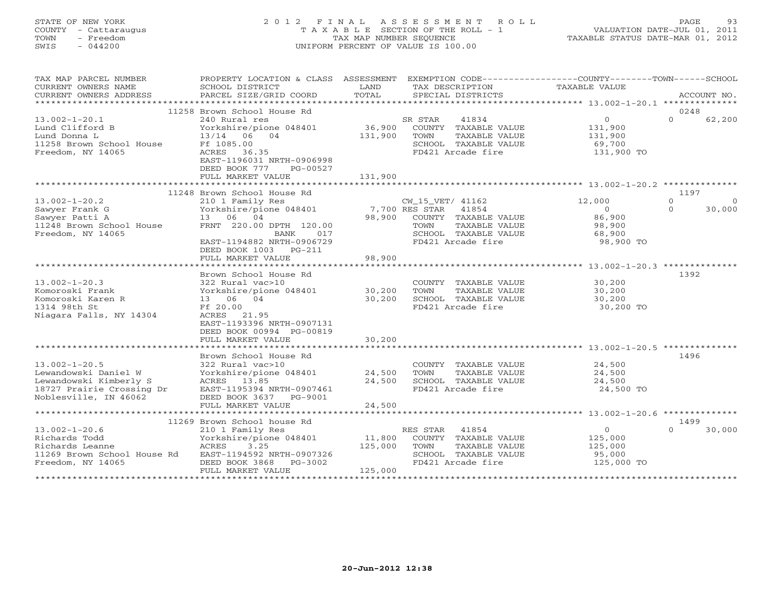## STATE OF NEW YORK 2 0 1 2 F I N A L A S S E S S M E N T R O L L PAGE 93 COUNTY - Cattaraugus T A X A B L E SECTION OF THE ROLL - 1 VALUATION DATE-JUL 01, 2011 TOWN - Freedom TAX MAP NUMBER SEQUENCE TAXABLE STATUS DATE-MAR 01, 2012 SWIS - 044200 UNIFORM PERCENT OF VALUE IS 100.00UNIFORM PERCENT OF VALUE IS 100.00

| TAX MAP PARCEL NUMBER<br>CURRENT OWNERS NAME<br>CURRENT OWNERS ADDRESS                                                      | PROPERTY LOCATION & CLASS ASSESSMENT EXEMPTION CODE---------------COUNTY-------TOWN------SCHOOL<br>SCHOOL DISTRICT<br>PARCEL SIZE/GRID COORD                                                    | LAND<br>TOTAL                | TAX DESCRIPTION<br>SPECIAL DISTRICTS                                                                                                   | TAXABLE VALUE                                                       | ACCOUNT NO.                               |
|-----------------------------------------------------------------------------------------------------------------------------|-------------------------------------------------------------------------------------------------------------------------------------------------------------------------------------------------|------------------------------|----------------------------------------------------------------------------------------------------------------------------------------|---------------------------------------------------------------------|-------------------------------------------|
|                                                                                                                             |                                                                                                                                                                                                 |                              |                                                                                                                                        |                                                                     |                                           |
| $13.002 - 1 - 20.1$<br>Lund Clifford B<br>Lund Donna L<br>11258 Brown School House<br>Freedom, NY 14065                     | 11258 Brown School House Rd<br>240 Rural res<br>Yorkshire/pione 048401<br>13/14 06 04<br>Ff 1085.00<br>ACRES 36.35<br>EAST-1196031 NRTH-0906998<br>DEED BOOK 777<br>PG-00527                    | 36,900<br>131,900            | SR STAR<br>41834<br>COUNTY TAXABLE VALUE<br>TOWN<br>TAXABLE VALUE<br>SCHOOL TAXABLE VALUE<br>FD421 Arcade fire                         | $\overline{0}$<br>131,900<br>131,900<br>69,700<br>131,900 TO        | 0248<br>$\Omega$<br>62,200                |
|                                                                                                                             | FULL MARKET VALUE                                                                                                                                                                               | 131,900                      |                                                                                                                                        |                                                                     |                                           |
|                                                                                                                             | 11248 Brown School House Rd                                                                                                                                                                     |                              |                                                                                                                                        |                                                                     | 1197                                      |
| $13.002 - 1 - 20.2$<br>Sawyer Frank G<br>Sawyer Patti A<br>11248 Brown School House<br>Freedom, NY 14065                    | 210 1 Family Res<br>Yorkshire/pione 048401<br>13 06 04<br>FRNT 220.00 DPTH 120.00<br>BANK<br>017<br>EAST-1194882 NRTH-0906729<br>DEED BOOK 1003 PG-211                                          | 98,900                       | CW_15_VET/ 41162<br>7,700 RES STAR 41854<br>COUNTY TAXABLE VALUE<br>TOWN<br>TAXABLE VALUE<br>SCHOOL TAXABLE VALUE<br>FD421 Arcade fire | 12,000<br>$\overline{0}$<br>86,900<br>98,900<br>68,900<br>98,900 TO | $\Omega$<br>$\circ$<br>$\Omega$<br>30,000 |
|                                                                                                                             | FULL MARKET VALUE                                                                                                                                                                               | 98,900                       |                                                                                                                                        |                                                                     |                                           |
| $13.002 - 1 - 20.3$<br>Komoroski Frank<br>Komoroski Karen R<br>1314 98th St<br>Niagara Falls, NY 14304                      | Brown School House Rd<br>322 Rural vac>10<br>Yorkshire/pione 048401 30,200<br>13 06 04<br>Ff 20.00<br>ACRES 21.95<br>EAST-1193396 NRTH-0907131<br>DEED BOOK 00994 PG-00819<br>FULL MARKET VALUE | 30,200<br>30,200             | COUNTY TAXABLE VALUE<br>TOWN<br>TAXABLE VALUE<br>SCHOOL TAXABLE VALUE<br>FD421 Arcade fire                                             | 30,200<br>30,200<br>30,200<br>30,200 TO                             | 1392                                      |
|                                                                                                                             |                                                                                                                                                                                                 |                              |                                                                                                                                        |                                                                     |                                           |
| $13.002 - 1 - 20.5$<br>Lewandowski Daniel W<br>Lewandowski Kimberly S<br>18727 Prairie Crossing Dr<br>Noblesville, IN 46062 | Brown School House Rd<br>322 Rural vac>10<br>Yorkshire/pione 048401<br>ACRES 13.85<br>EAST-1195394 NRTH-0907461<br>DEED BOOK 3637 PG-9001                                                       | 24,500<br>24,500             | COUNTY TAXABLE VALUE<br>TOWN<br>TAXABLE VALUE<br>SCHOOL TAXABLE VALUE<br>FD421 Arcade fire                                             | 24,500<br>24,500<br>24,500<br>24,500 TO                             | 1496                                      |
|                                                                                                                             | FULL MARKET VALUE                                                                                                                                                                               | 24,500                       |                                                                                                                                        |                                                                     |                                           |
|                                                                                                                             |                                                                                                                                                                                                 |                              |                                                                                                                                        |                                                                     |                                           |
| $13.002 - 1 - 20.6$<br>Richards Todd<br>Richards Leanne<br>11269 Brown School House Rd<br>Freedom, NY 14065                 | 11269 Brown School house Rd<br>210 1 Family Res<br>Yorkshire/pione 048401<br>ACRES 3.25<br>EAST-1194592 NRTH-0907326<br>DEED BOOK 3868 PG-3002<br>FULL MARKET VALUE                             | 11,800<br>125,000<br>125,000 | RES STAR 41854<br>COUNTY TAXABLE VALUE<br>TOWN<br>TAXABLE VALUE<br>SCHOOL TAXABLE VALUE<br>FD421 Arcade fire                           | $\overline{0}$<br>125,000<br>125,000<br>95,000<br>125,000 TO        | 1499<br>$\cap$<br>30,000                  |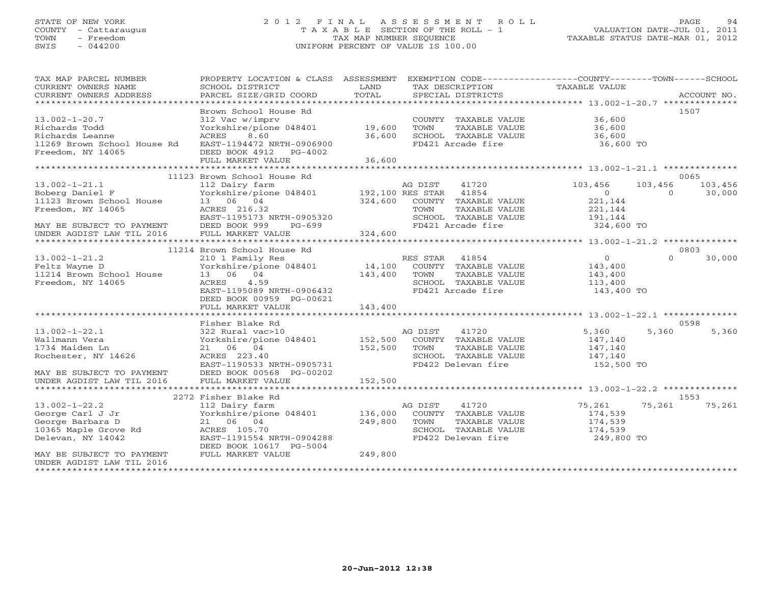# STATE OF NEW YORK 2 0 1 2 F I N A L A S S E S S M E N T R O L L PAGE 94 COUNTY - Cattaraugus T A X A B L E SECTION OF THE ROLL - 1 VALUATION DATE-JUL 01, 2011 TOWN - Freedom TAX MAP NUMBER SEQUENCE TAXABLE STATUS DATE-MAR 01, 2012 SWIS - 044200 UNIFORM PERCENT OF VALUE IS 100.00

| TAX MAP PARCEL NUMBER<br>CURRENT OWNERS NAME<br>CURRENT OWNERS ADDRESS | PROPERTY LOCATION & CLASS ASSESSMENT<br>SCHOOL DISTRICT<br>PARCEL SIZE/GRID COORD | LAND<br>TOTAL    | EXEMPTION CODE-----------------COUNTY-------TOWN-----SCHOOL<br>TAX DESCRIPTION<br>SPECIAL DISTRICTS | TAXABLE VALUE         | ACCOUNT NO.        |
|------------------------------------------------------------------------|-----------------------------------------------------------------------------------|------------------|-----------------------------------------------------------------------------------------------------|-----------------------|--------------------|
|                                                                        |                                                                                   |                  |                                                                                                     |                       |                    |
| $13.002 - 1 - 20.7$<br>Richards Todd                                   | Brown School House Rd<br>312 Vac w/imprv<br>Yorkshire/pione 048401                | 19,600           | COUNTY TAXABLE VALUE<br>TOWN<br>TAXABLE VALUE                                                       | 36,600<br>36,600      | 1507               |
| Richards Leanne<br>11269 Brown School House Rd<br>Freedom, NY 14065    | 8.60<br>ACRES<br>EAST-1194472 NRTH-0906900<br>DEED BOOK 4912 PG-4002              | 36,600           | SCHOOL TAXABLE VALUE<br>FD421 Arcade fire                                                           | 36,600<br>36,600 TO   |                    |
|                                                                        | FULL MARKET VALUE                                                                 | 36,600           |                                                                                                     |                       |                    |
|                                                                        |                                                                                   |                  |                                                                                                     |                       |                    |
|                                                                        | 11123 Brown School House Rd                                                       |                  |                                                                                                     |                       | 0065               |
| $13.002 - 1 - 21.1$                                                    | 112 Dairy farm                                                                    |                  | AG DIST<br>41720                                                                                    | 103,456               | 103,456<br>103,456 |
| Boberg Daniel F                                                        | Yorkshire/pione 048401                                                            | 192,100 RES STAR | 41854                                                                                               | $\overline{0}$        | 30,000<br>$\Omega$ |
| 11123 Brown School House                                               | 13 06 04                                                                          | 324,600          | COUNTY TAXABLE VALUE                                                                                | 221,144               |                    |
| Freedom, NY 14065                                                      | ACRES 216.32                                                                      |                  | TOWN<br>TAXABLE VALUE                                                                               | 221,144               |                    |
|                                                                        | EAST-1195173 NRTH-0905320                                                         |                  | SCHOOL TAXABLE VALUE                                                                                | 191,144<br>324,600 TO |                    |
| MAY BE SUBJECT TO PAYMENT                                              | DEED BOOK 999<br>PG-699<br>FULL MARKET VALUE                                      | 324,600          | FD421 Arcade fire                                                                                   |                       |                    |
| UNDER AGDIST LAW TIL 2016                                              |                                                                                   |                  |                                                                                                     |                       |                    |
|                                                                        | 11214 Brown School House Rd                                                       |                  |                                                                                                     |                       | 0803               |
| $13.002 - 1 - 21.2$                                                    | 210 1 Family Res                                                                  |                  | RES STAR 41854                                                                                      | $\overline{0}$        | $\Omega$<br>30,000 |
| Feltz Wayne D                                                          | Yorkshire/pione 048401                                                            | 14,100           | COUNTY TAXABLE VALUE                                                                                | 143,400               |                    |
| 11214 Brown School House                                               | 13 06 04                                                                          | 143,400          | TOWN<br>TAXABLE VALUE                                                                               | 143,400               |                    |
| Freedom, NY 14065                                                      | 4.59<br>ACRES                                                                     |                  | SCHOOL TAXABLE VALUE                                                                                | 113,400               |                    |
|                                                                        | EAST-1195089 NRTH-0906432                                                         |                  | FD421 Arcade fire                                                                                   | 143,400 TO            |                    |
|                                                                        | DEED BOOK 00959 PG-00621                                                          |                  |                                                                                                     |                       |                    |
|                                                                        | FULL MARKET VALUE                                                                 | 143,400          |                                                                                                     |                       |                    |
|                                                                        |                                                                                   |                  |                                                                                                     |                       |                    |
|                                                                        | Fisher Blake Rd                                                                   |                  |                                                                                                     |                       | 0598               |
| $13.002 - 1 - 22.1$                                                    | 322 Rural vac>10                                                                  |                  | 41720<br>AG DIST                                                                                    | 5,360                 | 5,360<br>5,360     |
| Wallmann Vera                                                          | Yorkshire/pione 048401                                                            | 152,500          | COUNTY TAXABLE VALUE                                                                                | 147,140               |                    |
| 1734 Maiden Ln                                                         | 21 06 04                                                                          | 152,500          | TOWN<br>TAXABLE VALUE                                                                               | 147,140               |                    |
| Rochester, NY 14626                                                    | ACRES 223.40                                                                      |                  | SCHOOL TAXABLE VALUE                                                                                | 147,140               |                    |
|                                                                        | EAST-1190533 NRTH-0905731                                                         |                  | FD422 Delevan fire                                                                                  | 152,500 TO            |                    |
| MAY BE SUBJECT TO PAYMENT                                              | DEED BOOK 00568 PG-00202                                                          |                  |                                                                                                     |                       |                    |
| UNDER AGDIST LAW TIL 2016                                              | FULL MARKET VALUE                                                                 | 152,500          |                                                                                                     |                       |                    |
|                                                                        |                                                                                   |                  |                                                                                                     |                       |                    |
|                                                                        | 2272 Fisher Blake Rd                                                              |                  |                                                                                                     |                       | 1553               |
| $13.002 - 1 - 22.2$                                                    | 112 Dairy farm                                                                    |                  | AG DIST<br>41720                                                                                    | 75,261                | 75,261<br>75,261   |
| George Carl J Jr                                                       | Yorkshire/pione 048401                                                            | 136,000          | COUNTY TAXABLE VALUE                                                                                | 174,539               |                    |
| George Barbara D                                                       | 21 06 04                                                                          | 249,800          | TOWN<br>TAXABLE VALUE                                                                               | 174,539               |                    |
| 10365 Maple Grove Rd                                                   | ACRES 105.70                                                                      |                  | SCHOOL TAXABLE VALUE                                                                                | 174,539               |                    |
| Delevan, NY 14042                                                      | EAST-1191554 NRTH-0904288                                                         |                  | FD422 Delevan fire                                                                                  | 249,800 TO            |                    |
|                                                                        | DEED BOOK 10617 PG-5004                                                           | 249,800          |                                                                                                     |                       |                    |
| MAY BE SUBJECT TO PAYMENT<br>UNDER AGDIST LAW TIL 2016                 | FULL MARKET VALUE                                                                 |                  |                                                                                                     |                       |                    |
|                                                                        |                                                                                   |                  |                                                                                                     |                       |                    |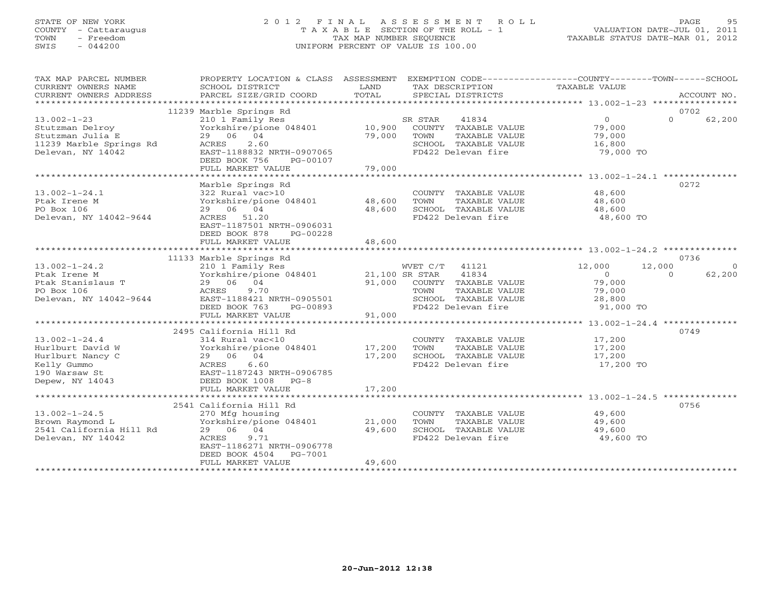## STATE OF NEW YORK 2 0 1 2 F I N A L A S S E S S M E N T R O L L PAGE 95 COUNTY - Cattaraugus T A X A B L E SECTION OF THE ROLL - 1 VALUATION DATE-JUL 01, 2011 TOWN - Freedom TAX MAP NUMBER SEQUENCE TAXABLE STATUS DATE-MAR 01, 2012 SWIS - 044200 UNIFORM PERCENT OF VALUE IS 100.00UNIFORM PERCENT OF VALUE IS 100.00

| TAX MAP PARCEL NUMBER<br>CURRENT OWNERS NAME<br>CURRENT OWNERS ADDRESS                                         | PROPERTY LOCATION & CLASS ASSESSMENT<br>SCHOOL DISTRICT<br>PARCEL SIZE/GRID COORD                                                                                                 | LAND<br>TOTAL              | EXEMPTION CODE-----------------COUNTY-------TOWN------SCHOOL<br>TAX DESCRIPTION<br>SPECIAL DISTRICTS                                               | <b>TAXABLE VALUE</b>                                          | ACCOUNT NO.                              |
|----------------------------------------------------------------------------------------------------------------|-----------------------------------------------------------------------------------------------------------------------------------------------------------------------------------|----------------------------|----------------------------------------------------------------------------------------------------------------------------------------------------|---------------------------------------------------------------|------------------------------------------|
|                                                                                                                |                                                                                                                                                                                   |                            |                                                                                                                                                    |                                                               |                                          |
| $13.002 - 1 - 23$<br>Stutzman Delroy<br>Stutzman Julia E<br>11239 Marble Springs Rd<br>Delevan, NY 14042       | 11239 Marble Springs Rd<br>210 1 Family Res<br>Yorkshire/pione 048401<br>29 06 04<br>2.60<br>ACRES<br>EAST-1188832 NRTH-0907065<br>DEED BOOK 756<br>PG-00107<br>FULL MARKET VALUE | 10,900<br>79,000<br>79,000 | SR STAR<br>41834<br>COUNTY TAXABLE VALUE<br>TOWN<br>TAXABLE VALUE<br>SCHOOL TAXABLE VALUE<br>FD422 Delevan fire                                    | $\overline{0}$<br>79,000<br>79,000<br>16,800<br>79,000 TO     | 0702<br>$\Omega$<br>62,200               |
|                                                                                                                |                                                                                                                                                                                   |                            |                                                                                                                                                    |                                                               |                                          |
| $13.002 - 1 - 24.1$<br>Ptak Irene M<br>PO Box 106<br>Delevan, NY 14042-9644                                    | Marble Springs Rd<br>322 Rural vac>10<br>Yorkshire/pione 048401<br>29 06 04<br>ACRES 51.20<br>EAST-1187501 NRTH-0906031<br>DEED BOOK 878<br>PG-00228                              | 48,600<br>48,600           | COUNTY TAXABLE VALUE<br>TOWN<br>TAXABLE VALUE<br>SCHOOL TAXABLE VALUE<br>FD422 Delevan fire                                                        | 48,600<br>48,600<br>48,600<br>48,600 TO                       | 0272                                     |
|                                                                                                                | FULL MARKET VALUE                                                                                                                                                                 | 48,600                     |                                                                                                                                                    |                                                               |                                          |
|                                                                                                                | 11133 Marble Springs Rd                                                                                                                                                           |                            |                                                                                                                                                    |                                                               | 0736                                     |
| $13.002 - 1 - 24.2$<br>Ptak Irene M<br>Ptak Stanislaus T<br>PO Box 106<br>Delevan, NY 14042-9644               | 210 1 Family Res<br>Yorkshire/pione 048401<br>29 06 04<br>9.70<br>ACRES<br>EAST-1188421 NRTH-0905501<br>DEED BOOK 763<br>PG-00893                                                 |                            | WVET C/T<br>41121<br>21,100 SR STAR<br>41834<br>91,000 COUNTY TAXABLE VALUE<br>TOWN<br>TAXABLE VALUE<br>SCHOOL TAXABLE VALUE<br>FD422 Delevan fire | 12,000<br>$\Omega$<br>79,000<br>79,000<br>28,800<br>91,000 TO | 12,000<br>$\Omega$<br>62,200<br>$\Omega$ |
|                                                                                                                | FULL MARKET VALUE                                                                                                                                                                 | 91,000                     |                                                                                                                                                    |                                                               |                                          |
|                                                                                                                |                                                                                                                                                                                   |                            |                                                                                                                                                    |                                                               |                                          |
| $13.002 - 1 - 24.4$<br>Hurlburt David W<br>Hurlburt Nancy C<br>Kelly Gummo<br>190 Warsaw St<br>Depew, NY 14043 | 2495 California Hill Rd<br>314 Rural vac<10<br>Yorkshire/pione 048401<br>29 06 04<br>ACRES<br>6.60<br>EAST-1187243 NRTH-0906785<br>DEED BOOK 1008 PG-8<br>FULL MARKET VALUE       | 17,200<br>17,200<br>17,200 | COUNTY TAXABLE VALUE<br>TAXABLE VALUE<br>TOWN<br>SCHOOL TAXABLE VALUE<br>FD422 Delevan fire                                                        | 17,200<br>17,200<br>17,200<br>17,200 TO                       | 0749                                     |
|                                                                                                                | 2541 California Hill Rd                                                                                                                                                           |                            |                                                                                                                                                    |                                                               | 0756                                     |
| $13.002 - 1 - 24.5$<br>Brown Raymond L<br>2541 California Hill Rd<br>Delevan, NY 14042                         | 270 Mfg housing<br>Yorkshire/pione 048401<br>29 06 04<br>9.71<br>ACRES<br>EAST-1186271 NRTH-0906778<br>DEED BOOK 4504<br>PG-7001<br>FULL MARKET VALUE                             | 21,000<br>49,600<br>49,600 | COUNTY TAXABLE VALUE<br>TOWN<br>TAXABLE VALUE<br>SCHOOL TAXABLE VALUE<br>FD422 Delevan fire                                                        | 49,600<br>49,600<br>49,600<br>49,600 TO                       |                                          |
|                                                                                                                |                                                                                                                                                                                   |                            |                                                                                                                                                    |                                                               |                                          |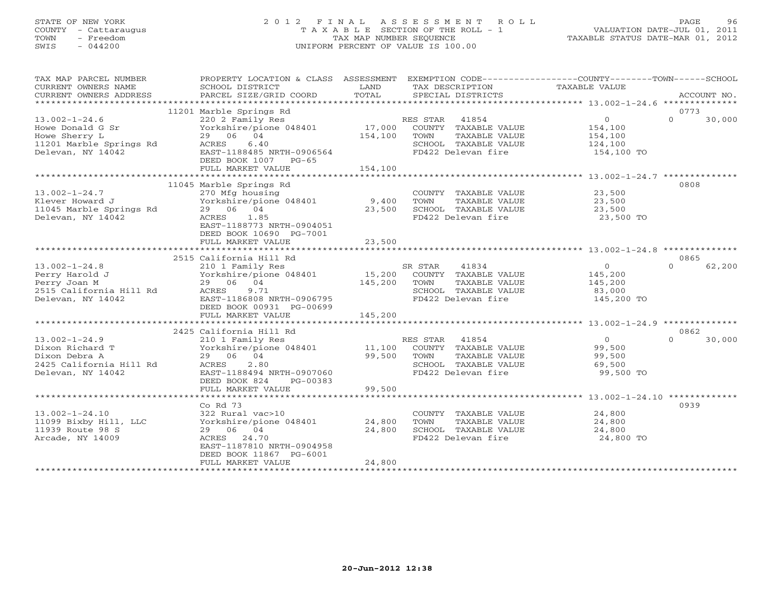## STATE OF NEW YORK 2 0 1 2 F I N A L A S S E S S M E N T R O L L PAGE 96 COUNTY - Cattaraugus T A X A B L E SECTION OF THE ROLL - 1 VALUATION DATE-JUL 01, 2011 TOWN - Freedom TAX MAP NUMBER SEQUENCE TAXABLE STATUS DATE-MAR 01, 2012 SWIS - 044200 UNIFORM PERCENT OF VALUE IS 100.00UNIFORM PERCENT OF VALUE IS 100.00

| TAX MAP PARCEL NUMBER<br>CURRENT OWNERS NAME<br>CURRENT OWNERS ADDRESS                                         | SCHOOL DISTRICT<br>PARCEL SIZE/GRID COORD                                                                                                                                  | LAND<br>TOTAL      | TAX DESCRIPTION<br>SPECIAL DISTRICTS                                                                          | PROPERTY LOCATION & CLASS ASSESSMENT EXEMPTION CODE---------------COUNTY-------TOWN-----SCHOOL<br>TAXABLE VALUE | ACCOUNT NO. |
|----------------------------------------------------------------------------------------------------------------|----------------------------------------------------------------------------------------------------------------------------------------------------------------------------|--------------------|---------------------------------------------------------------------------------------------------------------|-----------------------------------------------------------------------------------------------------------------|-------------|
|                                                                                                                |                                                                                                                                                                            |                    |                                                                                                               |                                                                                                                 |             |
| $13.002 - 1 - 24.6$<br>Howe Donald G Sr<br>Howe Sherry L<br>11201 Marble Springs Rd ACRES<br>Delevan, NY 14042 | 11201 Marble Springs Rd<br>220 2 Family Res<br>Yorkshire/pione 048401 17,000<br>29 06 04<br>6.40<br>EAST-1188485 NRTH-0906564<br>DEED BOOK 1007 PG-65<br>FULL MARKET VALUE | 154,100<br>154,100 | RES STAR 41854<br>COUNTY TAXABLE VALUE<br>TOWN<br>TAXABLE VALUE<br>SCHOOL TAXABLE VALUE<br>FD422 Delevan fire | 0773<br>$\overline{0}$<br>$\Omega$<br>154,100<br>154,100<br>124,100<br>154,100 TO                               | 30,000      |
|                                                                                                                | 11045 Marble Springs Rd                                                                                                                                                    |                    |                                                                                                               | 0808                                                                                                            |             |
| $13.002 - 1 - 24.7$<br>Klever Howard J<br>11045 Marble Springs Rd<br>Delevan, NY 14042                         | 270 Mfg housing<br>Yorkshire/pione 048401 9,400<br>29 06 04<br>ACRES 1.85<br>EAST-1188773 NRTH-0904051<br>DEED BOOK 10690 PG-7001                                          | 23,500             | COUNTY TAXABLE VALUE 23,500<br>TOWN<br>TAXABLE VALUE<br>SCHOOL TAXABLE VALUE<br>FD422 Delevan fire 23,500 TO  | 23,500<br>23,500                                                                                                |             |
|                                                                                                                | FULL MARKET VALUE                                                                                                                                                          | 23,500             |                                                                                                               |                                                                                                                 |             |
|                                                                                                                | 2515 California Hill Rd                                                                                                                                                    |                    |                                                                                                               | 0865                                                                                                            |             |
| $13.002 - 1 - 24.8$<br>Perry Harold J<br>Perry Joan M<br>2515 California Hill Rd<br>Delevan, NY 14042          | 29 06 04<br>9.71<br>ACRES<br>EAST-1186808 NRTH-0906795<br>DEED BOOK 00931 PG-00699                                                                                         | 145,200            | TOWN<br>TAXABLE VALUE<br>SCHOOL TAXABLE VALUE 83,000<br>FD422 Delevan fire 145,200 TO                         | $\overline{0}$<br>$\Omega$<br>145,200<br>145,200                                                                | 62,200      |
|                                                                                                                | FULL MARKET VALUE                                                                                                                                                          | 145,200            |                                                                                                               |                                                                                                                 |             |
|                                                                                                                | 2425 California Hill Rd                                                                                                                                                    |                    |                                                                                                               | 0862                                                                                                            |             |
| $13.002 - 1 - 24.9$<br>Dixon Richard T<br>Dixon Debra A<br>2425 California Hill Rd<br>Delevan, NY 14042        | 210 1 Family Res<br>$Yorkshire/pione 048401$ 11,100<br>29 06 04<br>2.80<br>ACRES<br>EAST-1188494 NRTH-0907060<br>DEED BOOK 824<br>PG-00383                                 | 99,500             | RES STAR 41854<br>COUNTY TAXABLE VALUE<br>TAXABLE VALUE<br>TOWN<br>SCHOOL TAXABLE VALUE<br>FD422 Delevan fire | $\overline{0}$<br>$\cap$<br>99,500<br>99,500<br>53,500<br>99,500 TO                                             | 30,000      |
|                                                                                                                | FULL MARKET VALUE                                                                                                                                                          | 99,500             |                                                                                                               |                                                                                                                 |             |
|                                                                                                                | $Co$ Rd $73$                                                                                                                                                               |                    |                                                                                                               | 0939                                                                                                            |             |
| $13.002 - 1 - 24.10$<br>11099 Bixby Hill, LLC<br>11939 Route 98 S<br>Arcade, NY 14009                          | 322 Rural vac>10<br>Yorkshire/pione 048401 24,800<br>29 06 04<br>ACRES 24.70<br>EAST-1187810 NRTH-0904958<br>DEED BOOK 11867 PG-6001<br>FULL MARKET VALUE                  | 24,800<br>24,800   | COUNTY TAXABLE VALUE<br>TOWN<br>TAXABLE VALUE<br>SCHOOL TAXABLE VALUE<br>FD422 Delevan fire                   | 24,800<br>24,800<br>24,800<br>24,800 TO                                                                         |             |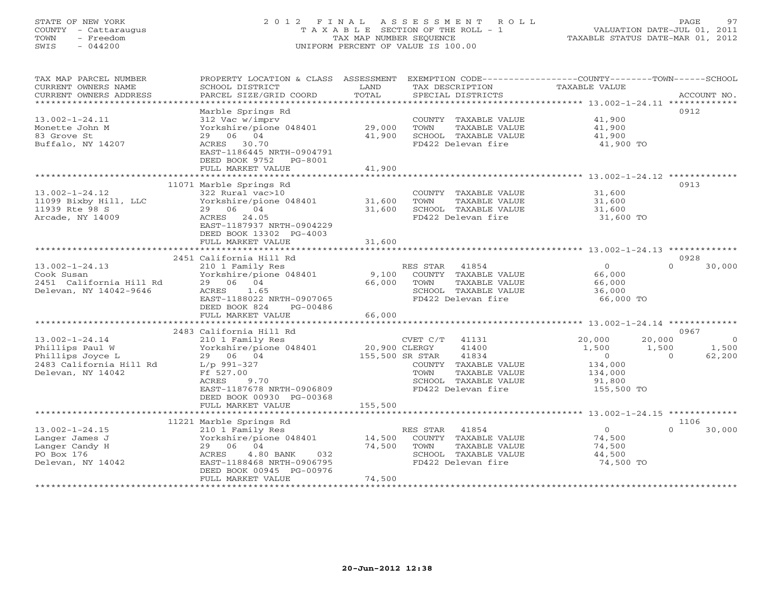# STATE OF NEW YORK 2 0 1 2 F I N A L A S S E S S M E N T R O L L PAGE 97 COUNTY - Cattaraugus T A X A B L E SECTION OF THE ROLL - 1 VALUATION DATE-JUL 01, 2011 TOWN - Freedom TAX MAP NUMBER SEQUENCE TAXABLE STATUS DATE-MAR 01, 2012 SWIS - 044200 UNIFORM PERCENT OF VALUE IS 100.00UNIFORM PERCENT OF VALUE IS 100.00

| TAX MAP PARCEL NUMBER                                   | PROPERTY LOCATION & CLASS ASSESSMENT                |                 |                              | EXEMPTION CODE-----------------COUNTY-------TOWN------SCHOOL |                  |
|---------------------------------------------------------|-----------------------------------------------------|-----------------|------------------------------|--------------------------------------------------------------|------------------|
| CURRENT OWNERS NAME                                     | SCHOOL DISTRICT                                     | LAND            | TAX DESCRIPTION              | TAXABLE VALUE                                                |                  |
| CURRENT OWNERS ADDRESS                                  |                                                     | TOTAL           |                              |                                                              |                  |
| *************************                               |                                                     |                 |                              |                                                              |                  |
|                                                         | Marble Springs Rd                                   |                 |                              |                                                              | 0912             |
| $13.002 - 1 - 24.11$                                    | 312 Vac w/imprv                                     |                 | COUNTY TAXABLE VALUE         | 41,900                                                       |                  |
| Monette John M                                          | $Yorkshire/pione 048401$ 29,000                     |                 | TOWN<br>TAXABLE VALUE        | 41,900                                                       |                  |
| 83 Grove St                                             | 29 06 04                                            | 41,900          | SCHOOL TAXABLE VALUE         | 41,900                                                       |                  |
| Buffalo, NY 14207                                       | ACRES 30.70                                         |                 | FD422 Delevan fire           | 41,900 TO                                                    |                  |
|                                                         | EAST-1186445 NRTH-0904791                           |                 |                              |                                                              |                  |
|                                                         | DEED BOOK 9752 PG-8001                              |                 |                              |                                                              |                  |
|                                                         | FULL MARKET VALUE                                   | 41,900          |                              |                                                              |                  |
|                                                         |                                                     |                 |                              |                                                              |                  |
|                                                         | 11071 Marble Springs Rd                             |                 |                              |                                                              | 0913             |
| $13.002 - 1 - 24.12$                                    | 322 Rural vac>10                                    |                 | COUNTY TAXABLE VALUE         | 31,600                                                       |                  |
| 11099 Bixby Hill, LLC                                   | Yorkshire/pione 048401 31,600                       |                 | TOWN<br>TAXABLE VALUE        | 31,600                                                       |                  |
| 11939 Rte 98 S                                          | 29 06 04                                            | 31,600          | SCHOOL TAXABLE VALUE         | 31,600                                                       |                  |
| Arcade, NY 14009                                        | ACRES 24.05                                         |                 | FD422 Delevan fire           | 31,600 TO                                                    |                  |
|                                                         | EAST-1187937 NRTH-0904229                           |                 |                              |                                                              |                  |
|                                                         | DEED BOOK 13302 PG-4003                             |                 |                              |                                                              |                  |
|                                                         | FULL MARKET VALUE                                   | 31,600          |                              |                                                              |                  |
|                                                         | 2451 California Hill Rd                             |                 |                              |                                                              | 0928             |
|                                                         |                                                     |                 | RES STAR<br>41854            | $\overline{0}$                                               | $\cap$<br>30,000 |
|                                                         | 210 1 Family Res<br>Yorkshire/pione 048401          |                 | 9,100 COUNTY TAXABLE VALUE   | 66,000                                                       |                  |
| 13.002-1-24.13<br>Cook Susan<br>2451 California Hill Rd | 29 06 04                                            |                 | 66,000 TOWN<br>TAXABLE VALUE | 66,000                                                       |                  |
|                                                         | ACRES<br>1.65                                       |                 | SCHOOL TAXABLE VALUE         | 36,000                                                       |                  |
|                                                         | EAST-1188022 NRTH-0907065                           |                 | FD422 Delevan fire           | 66,000 TO                                                    |                  |
|                                                         | DEED BOOK 824<br>PG-00486                           |                 |                              |                                                              |                  |
|                                                         | FULL MARKET VALUE                                   | 66,000          |                              |                                                              |                  |
|                                                         |                                                     |                 |                              |                                                              |                  |
|                                                         | 2483 California Hill Rd                             |                 |                              |                                                              | 0967             |
| $13.002 - 1 - 24.14$                                    | 210 1 Family Res<br>Yorkshire/pione 048401<br>29 06 |                 | CVET C/T 41131               | 20,000<br>20,000                                             | $\overline{0}$   |
| Phillips Paul W                                         |                                                     | $20,900$ CLERGY | 41400                        | 1,500<br>1,500                                               | 1,500            |
| Phillips Joyce L                                        |                                                     |                 | 155,500 SR STAR<br>41834     | $\overline{0}$<br>$\overline{0}$                             | 62,200           |
| 2483 California Hill Rd $L/p$ 991-327                   |                                                     |                 | COUNTY TAXABLE VALUE         | 134,000                                                      |                  |
| Delevan, NY 14042                                       | Ff 527.00                                           |                 | TAXABLE VALUE<br>TOWN        | 134,000                                                      |                  |
|                                                         | ACRES<br>9.70                                       |                 | SCHOOL TAXABLE VALUE         | 91,800                                                       |                  |
|                                                         | EAST-1187678 NRTH-0906809                           |                 | FD422 Delevan fire           | 155,500 TO                                                   |                  |
|                                                         | DEED BOOK 00930 PG-00368                            |                 |                              |                                                              |                  |
|                                                         | FULL MARKET VALUE                                   | 155,500         |                              |                                                              |                  |
|                                                         |                                                     |                 |                              |                                                              |                  |
|                                                         | 11221 Marble Springs Rd                             |                 |                              |                                                              | 1106             |
| $13.002 - 1 - 24.15$                                    | 210 1 Family Res                                    |                 | RES STAR 41854               | $\overline{0}$                                               | $\cap$<br>30,000 |
| Langer James J                                          | Yorkshire/pione 048401                              | 14,500          | COUNTY TAXABLE VALUE         | 74,500                                                       |                  |
| Langer Candy H                                          | 29 06 04                                            | 74,500          | TOWN<br>TAXABLE VALUE        | 74,500                                                       |                  |
| PO Box 176                                              | ACRES<br>$4.80$ BANK<br>032                         |                 | SCHOOL TAXABLE VALUE         | 44,500                                                       |                  |
| Delevan, NY 14042                                       | EAST-1188468 NRTH-0906795                           |                 | FD422 Delevan fire           | 74,500 TO                                                    |                  |
|                                                         | DEED BOOK 00945 PG-00976                            |                 |                              |                                                              |                  |
|                                                         | FULL MARKET VALUE                                   | 74,500          |                              |                                                              |                  |
|                                                         |                                                     |                 |                              |                                                              |                  |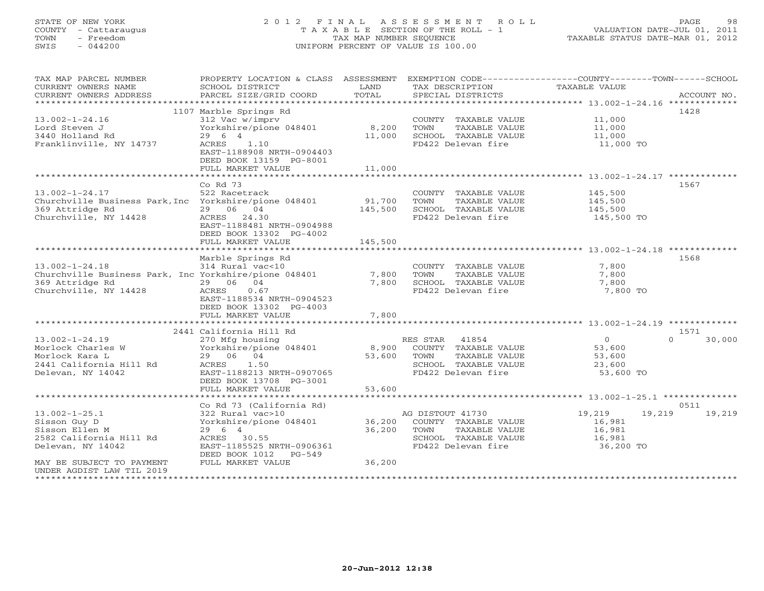# STATE OF NEW YORK 2 0 1 2 F I N A L A S S E S S M E N T R O L L PAGE 98 COUNTY - Cattaraugus T A X A B L E SECTION OF THE ROLL - 1 VALUATION DATE-JUL 01, 2011 TOWN - Freedom TAX MAP NUMBER SEQUENCE TAXABLE STATUS DATE-MAR 01, 2012 SWIS - 044200 UNIFORM PERCENT OF VALUE IS 100.00UNIFORM PERCENT OF VALUE IS 100.00

| TAX MAP PARCEL NUMBER<br>CURRENT OWNERS NAME<br>CURRENT OWNERS ADDRESS | PROPERTY LOCATION & CLASS ASSESSMENT<br>SCHOOL DISTRICT<br>PARCEL SIZE/GRID COORD | LAND<br>TOTAL   | TAX DESCRIPTION<br>SPECIAL DISTRICTS | EXEMPTION CODE----------------COUNTY-------TOWN------SCHOOL<br><b>TAXABLE VALUE</b> | ACCOUNT NO.        |
|------------------------------------------------------------------------|-----------------------------------------------------------------------------------|-----------------|--------------------------------------|-------------------------------------------------------------------------------------|--------------------|
| ***********************                                                |                                                                                   |                 |                                      |                                                                                     |                    |
|                                                                        | 1107 Marble Springs Rd                                                            |                 |                                      |                                                                                     | 1428               |
| $13.002 - 1 - 24.16$                                                   | 312 Vac w/imprv                                                                   |                 | COUNTY TAXABLE VALUE                 | 11,000                                                                              |                    |
| Lord Steven J                                                          | Yorkshire/pione 048401                                                            | 8,200           | TOWN<br>TAXABLE VALUE                | 11,000                                                                              |                    |
| 3440 Holland Rd                                                        | 29 6 4                                                                            | 11,000          | SCHOOL TAXABLE VALUE                 | 11,000                                                                              |                    |
| Franklinville, NY 14737                                                | ACRES<br>1.10<br>EAST-1188908 NRTH-0904403<br>DEED BOOK 13159 PG-8001             |                 | FD422 Delevan fire                   | 11,000 TO                                                                           |                    |
|                                                                        | FULL MARKET VALUE                                                                 | 11,000          |                                      |                                                                                     |                    |
|                                                                        | ******************                                                                | <b>++++++++</b> |                                      | ********************* 13.002-1-24.17 *************                                  |                    |
|                                                                        | Co Rd 73                                                                          |                 |                                      |                                                                                     | 1567               |
| $13.002 - 1 - 24.17$                                                   | 522 Racetrack                                                                     |                 | COUNTY TAXABLE VALUE                 | 145,500                                                                             |                    |
| Churchville Business Park, Inc Yorkshire/pione 048401                  |                                                                                   | 91,700          | TOWN<br>TAXABLE VALUE                | 145,500                                                                             |                    |
| 369 Attridge Rd                                                        | 29 06 04                                                                          | 145,500         | SCHOOL TAXABLE VALUE                 | 145,500                                                                             |                    |
| Churchville, NY 14428                                                  | ACRES 24.30                                                                       |                 | FD422 Delevan fire                   | 145,500 TO                                                                          |                    |
|                                                                        | EAST-1188481 NRTH-0904988                                                         |                 |                                      |                                                                                     |                    |
|                                                                        | DEED BOOK 13302 PG-4002                                                           |                 |                                      |                                                                                     |                    |
|                                                                        | FULL MARKET VALUE                                                                 | 145,500         |                                      |                                                                                     |                    |
|                                                                        |                                                                                   |                 |                                      | ********************* 13.002-1-24.18 ********                                       |                    |
|                                                                        | Marble Springs Rd                                                                 |                 |                                      |                                                                                     | 1568               |
| $13.002 - 1 - 24.18$                                                   | 314 Rural vac<10                                                                  |                 | COUNTY TAXABLE VALUE                 | 7,800                                                                               |                    |
| Churchville Business Park, Inc Yorkshire/pione 048401                  |                                                                                   | 7,800           | TAXABLE VALUE<br>TOWN                | 7,800                                                                               |                    |
| 369 Attridge Rd                                                        | 29 06 04                                                                          | 7,800           | SCHOOL TAXABLE VALUE                 | 7,800                                                                               |                    |
| Churchville, NY 14428                                                  | <b>ACRES</b><br>0.67                                                              |                 | FD422 Delevan fire                   | 7,800 TO                                                                            |                    |
|                                                                        | EAST-1188534 NRTH-0904523                                                         |                 |                                      |                                                                                     |                    |
|                                                                        | DEED BOOK 13302 PG-4003                                                           |                 |                                      |                                                                                     |                    |
|                                                                        | FULL MARKET VALUE                                                                 | 7,800           |                                      |                                                                                     |                    |
|                                                                        |                                                                                   |                 |                                      |                                                                                     |                    |
|                                                                        | 2441 California Hill Rd                                                           |                 |                                      |                                                                                     | 1571               |
| $13.002 - 1 - 24.19$                                                   | 270 Mfg housing                                                                   |                 | RES STAR<br>41854                    | $\circ$                                                                             | $\Omega$<br>30,000 |
| Morlock Charles W                                                      | Yorkshire/pione 048401                                                            | 8,900           | COUNTY TAXABLE VALUE                 | 53,600                                                                              |                    |
| Morlock Kara L                                                         | 29 06 04                                                                          | 53,600          | TOWN<br>TAXABLE VALUE                | 53,600                                                                              |                    |
| 2441 California Hill Rd                                                | 1.50<br>ACRES                                                                     |                 | SCHOOL TAXABLE VALUE                 | 23,600                                                                              |                    |
| Delevan, NY 14042                                                      | EAST-1188213 NRTH-0907065                                                         |                 | FD422 Delevan fire                   | 53,600 TO                                                                           |                    |
|                                                                        | DEED BOOK 13708 PG-3001                                                           |                 |                                      |                                                                                     |                    |
|                                                                        | FULL MARKET VALUE                                                                 | 53,600          |                                      |                                                                                     |                    |
|                                                                        |                                                                                   |                 |                                      |                                                                                     |                    |
|                                                                        | Co Rd 73 (California Rd)                                                          |                 |                                      |                                                                                     | 0511               |
| $13.002 - 1 - 25.1$                                                    | 322 Rural vac>10                                                                  |                 | AG DISTOUT 41730                     | 19,219<br>19,219                                                                    | 19,219             |
| Sisson Guy D                                                           | Yorkshire/pione 048401                                                            | 36,200          | COUNTY TAXABLE VALUE                 | 16,981                                                                              |                    |
| Sisson Ellen M                                                         | 29 6 4                                                                            | 36,200          | TAXABLE VALUE<br>TOWN                | 16,981                                                                              |                    |
| 2582 California Hill Rd                                                | ACRES 30.55                                                                       |                 | SCHOOL TAXABLE VALUE                 | 16,981                                                                              |                    |
| Delevan, NY 14042                                                      | EAST-1185525 NRTH-0906361                                                         |                 | FD422 Delevan fire                   | 36,200 TO                                                                           |                    |
|                                                                        | DEED BOOK 1012<br>$PG-549$                                                        |                 |                                      |                                                                                     |                    |
| MAY BE SUBJECT TO PAYMENT                                              | FULL MARKET VALUE                                                                 | 36,200          |                                      |                                                                                     |                    |
| UNDER AGDIST LAW TIL 2019                                              |                                                                                   |                 |                                      |                                                                                     |                    |
|                                                                        |                                                                                   |                 |                                      |                                                                                     |                    |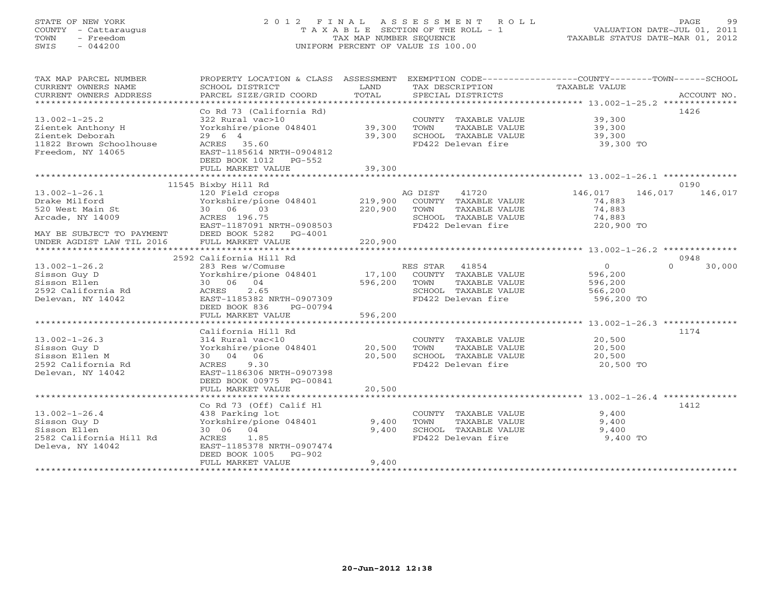# STATE OF NEW YORK 2 0 1 2 F I N A L A S S E S S M E N T R O L L PAGE 99 COUNTY - Cattaraugus T A X A B L E SECTION OF THE ROLL - 1 VALUATION DATE-JUL 01, 2011 TOWN - Freedom TAX MAP NUMBER SEQUENCE TAXABLE STATUS DATE-MAR 01, 2012 SWIS - 044200 UNIFORM PERCENT OF VALUE IS 100.00UNIFORM PERCENT OF VALUE IS 100.00

| TAX MAP PARCEL NUMBER<br>CURRENT OWNERS NAME<br>CURRENT OWNERS ADDRESS                                                                 | PROPERTY LOCATION & CLASS ASSESSMENT<br>SCHOOL DISTRICT<br>PARCEL SIZE/GRID COORD                                                                                               | LAND<br>TOTAL                 | EXEMPTION CODE----------------COUNTY-------TOWN------SCHOOL<br>TAX DESCRIPTION<br>SPECIAL DISTRICTS              | <b>TAXABLE VALUE</b>                                   | ACCOUNT NO.        |
|----------------------------------------------------------------------------------------------------------------------------------------|---------------------------------------------------------------------------------------------------------------------------------------------------------------------------------|-------------------------------|------------------------------------------------------------------------------------------------------------------|--------------------------------------------------------|--------------------|
| $13.002 - 1 - 25.2$<br>Zientek Anthony H<br>Zientek Deborah<br>11822 Brown Schoolhouse<br>Freedom, NY 14065                            | Co Rd 73 (California Rd)<br>322 Rural vac>10<br>Yorkshire/pione 048401<br>29 6 4<br>ACRES 35.60<br>EAST-1185614 NRTH-0904812<br>DEED BOOK 1012<br>$PG-552$<br>FULL MARKET VALUE | 39,300<br>39,300<br>39,300    | COUNTY TAXABLE VALUE<br>TOWN<br>TAXABLE VALUE<br>SCHOOL TAXABLE VALUE<br>FD422 Delevan fire                      | 39,300<br>39,300<br>39,300<br>39,300 TO                | 1426               |
|                                                                                                                                        | 11545 Bixby Hill Rd                                                                                                                                                             |                               |                                                                                                                  |                                                        | 0190               |
| $13.002 - 1 - 26.1$<br>Drake Milford<br>520 West Main St<br>Arcade, NY 14009<br>MAY BE SUBJECT TO PAYMENT<br>UNDER AGDIST LAW TIL 2016 | 120 Field crops<br>Yorkshire/pione 048401<br>30 06<br>03<br>ACRES 196.75<br>EAST-1187091 NRTH-0908503<br>DEED BOOK 5282<br>$PG-4001$<br>FULL MARKET VALUE                       | 219,900<br>220,900<br>220,900 | 41720<br>AG DIST<br>COUNTY TAXABLE VALUE<br>TOWN<br>TAXABLE VALUE<br>SCHOOL TAXABLE VALUE<br>FD422 Delevan fire  | 146,017<br>74,883<br>74,883<br>74,883<br>220,900 TO    | 146,017<br>146,017 |
|                                                                                                                                        |                                                                                                                                                                                 |                               |                                                                                                                  |                                                        |                    |
|                                                                                                                                        | 2592 California Hill Rd                                                                                                                                                         |                               |                                                                                                                  |                                                        | 0948               |
| $13.002 - 1 - 26.2$<br>Sisson Guy D<br>Sisson Ellen<br>2592 California Rd<br>Delevan, NY 14042                                         | 283 Res w/Comuse<br>Yorkshire/pione 048401<br>04<br>30 06<br>2.65<br>ACRES<br>EAST-1185382 NRTH-0907309<br>DEED BOOK 836<br>PG-00794                                            | 17,100<br>596,200             | RES STAR<br>41854<br>COUNTY TAXABLE VALUE<br>TOWN<br>TAXABLE VALUE<br>SCHOOL TAXABLE VALUE<br>FD422 Delevan fire | $\circ$<br>596,200<br>596,200<br>566,200<br>596,200 TO | $\Omega$<br>30,000 |
|                                                                                                                                        | FULL MARKET VALUE                                                                                                                                                               | 596,200                       |                                                                                                                  |                                                        |                    |
| $13.002 - 1 - 26.3$<br>Sisson Guy D<br>Sisson Ellen M<br>2592 California Rd<br>Delevan, NY 14042                                       | California Hill Rd<br>314 Rural vac<10<br>Yorkshire/pione 048401<br>30 04 06<br>9.30<br>ACRES<br>EAST-1186306 NRTH-0907398<br>DEED BOOK 00975 PG-00841                          | 20,500<br>20,500              | COUNTY TAXABLE VALUE<br>TOWN<br>TAXABLE VALUE<br>SCHOOL TAXABLE VALUE<br>FD422 Delevan fire                      | 20,500<br>20,500<br>20,500<br>20,500 TO                | 1174               |
|                                                                                                                                        | FULL MARKET VALUE                                                                                                                                                               | 20,500                        |                                                                                                                  |                                                        |                    |
| $13.002 - 1 - 26.4$<br>Sisson Guy D<br>Sisson Ellen<br>2582 California Hill Rd<br>Deleva, NY 14042                                     | Co Rd 73 (Off) Calif Hl<br>438 Parking lot<br>Yorkshire/pione 048401<br>04<br>30 06<br>1.85<br>ACRES<br>EAST-1185378 NRTH-0907474<br>DEED BOOK 1005<br>$PG-902$                 | 9,400<br>9,400                | COUNTY TAXABLE VALUE<br>TOWN<br>TAXABLE VALUE<br>SCHOOL TAXABLE VALUE<br>FD422 Delevan fire                      | 9,400<br>9,400<br>9,400<br>9,400 TO                    | 1412               |
|                                                                                                                                        | FULL MARKET VALUE                                                                                                                                                               | 9,400                         |                                                                                                                  |                                                        |                    |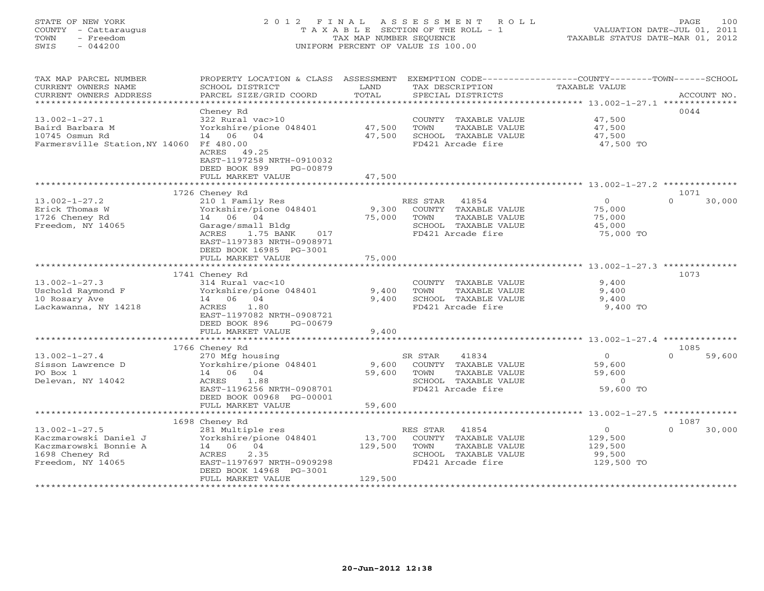# STATE OF NEW YORK 2 0 1 2 F I N A L A S S E S S M E N T R O L L PAGE 100 COUNTY - Cattaraugus T A X A B L E SECTION OF THE ROLL - 1 VALUATION DATE-JUL 01, 2011 TOWN - Freedom TAX MAP NUMBER SEQUENCE TAXABLE STATUS DATE-MAR 01, 2012 SWIS - 044200 UNIFORM PERCENT OF VALUE IS 100.00UNIFORM PERCENT OF VALUE IS 100.00

| TAX MAP PARCEL NUMBER<br>CURRENT OWNERS NAME<br>CURRENT OWNERS ADDRESS | PROPERTY LOCATION & CLASS ASSESSMENT<br>SCHOOL DISTRICT<br>PARCEL SIZE/GRID COORD | LAND<br>TOTAL  | EXEMPTION CODE-----------------COUNTY-------TOWN------SCHOOL<br>TAX DESCRIPTION<br>SPECIAL DISTRICTS | TAXABLE VALUE                                    | ACCOUNT NO.        |
|------------------------------------------------------------------------|-----------------------------------------------------------------------------------|----------------|------------------------------------------------------------------------------------------------------|--------------------------------------------------|--------------------|
| *************************                                              |                                                                                   |                |                                                                                                      |                                                  |                    |
|                                                                        | Cheney Rd                                                                         |                |                                                                                                      |                                                  | 0044               |
| $13.002 - 1 - 27.1$                                                    | 322 Rural vac>10                                                                  |                | COUNTY TAXABLE VALUE                                                                                 | 47,500                                           |                    |
| Baird Barbara M                                                        | Yorkshire/pione 048401                                                            | 47,500         | TOWN<br>TAXABLE VALUE                                                                                | 47,500                                           |                    |
| 10745 Osmun Rd                                                         | 14 06 04                                                                          | 47,500         | SCHOOL TAXABLE VALUE                                                                                 | 47,500                                           |                    |
| Farmersville Station, NY 14060 Ff 480.00                               |                                                                                   |                | FD421 Arcade fire                                                                                    | 47,500 TO                                        |                    |
|                                                                        | ACRES 49.25                                                                       |                |                                                                                                      |                                                  |                    |
|                                                                        | EAST-1197258 NRTH-0910032                                                         |                |                                                                                                      |                                                  |                    |
|                                                                        | DEED BOOK 899<br>PG-00879                                                         |                |                                                                                                      |                                                  |                    |
|                                                                        | FULL MARKET VALUE                                                                 | 47,500         |                                                                                                      |                                                  |                    |
|                                                                        |                                                                                   |                |                                                                                                      |                                                  | 1071               |
| $13.002 - 1 - 27.2$                                                    | 1726 Cheney Rd                                                                    |                | RES STAR<br>41854                                                                                    | $\Omega$                                         | $\Omega$           |
| Erick Thomas W                                                         | 210 1 Family Res<br>Yorkshire/pione 048401                                        | 9,300          | COUNTY TAXABLE VALUE                                                                                 | 75,000                                           | 30,000             |
| 1726 Cheney Rd                                                         | 14 06 04                                                                          | 75,000         | TAXABLE VALUE<br>TOWN                                                                                | 75,000                                           |                    |
| Freedom, NY 14065                                                      | Garage/small Bldg                                                                 |                | SCHOOL TAXABLE VALUE                                                                                 | 45,000                                           |                    |
|                                                                        | ACRES<br>1.75 BANK<br>017                                                         |                | FD421 Arcade fire                                                                                    | 75,000 TO                                        |                    |
|                                                                        | EAST-1197383 NRTH-0908971                                                         |                |                                                                                                      |                                                  |                    |
|                                                                        | DEED BOOK 16985 PG-3001                                                           |                |                                                                                                      |                                                  |                    |
|                                                                        | FULL MARKET VALUE                                                                 | 75,000         |                                                                                                      |                                                  |                    |
|                                                                        |                                                                                   | ************** |                                                                                                      | ************************ 13.002-1-27.3 ********* |                    |
|                                                                        | 1741 Cheney Rd                                                                    |                |                                                                                                      |                                                  | 1073               |
| $13.002 - 1 - 27.3$                                                    | 314 Rural vac<10                                                                  |                | COUNTY TAXABLE VALUE                                                                                 | 9,400                                            |                    |
| Uschold Raymond F                                                      | Yorkshire/pione 048401                                                            | 9,400          | TOWN<br>TAXABLE VALUE                                                                                | 9,400                                            |                    |
| 10 Rosary Ave                                                          | 14 06 04                                                                          | 9,400          | SCHOOL TAXABLE VALUE                                                                                 | 9,400                                            |                    |
| Lackawanna, NY 14218                                                   | ACRES<br>1.80                                                                     |                | FD421 Arcade fire                                                                                    | 9,400 TO                                         |                    |
|                                                                        | EAST-1197082 NRTH-0908721                                                         |                |                                                                                                      |                                                  |                    |
|                                                                        | DEED BOOK 896<br>PG-00679                                                         |                |                                                                                                      |                                                  |                    |
|                                                                        | FULL MARKET VALUE                                                                 | 9,400          |                                                                                                      |                                                  |                    |
|                                                                        |                                                                                   |                |                                                                                                      |                                                  |                    |
|                                                                        | 1766 Cheney Rd                                                                    |                |                                                                                                      |                                                  | 1085               |
| $13.002 - 1 - 27.4$                                                    | 270 Mfg housing                                                                   |                | 41834<br>SR STAR                                                                                     | $\overline{O}$                                   | $\Omega$<br>59,600 |
| Sisson Lawrence D                                                      | Yorkshire/pione 048401                                                            | 9,600          | COUNTY TAXABLE VALUE                                                                                 | 59,600                                           |                    |
| PO Box 1                                                               | 14 06 04                                                                          | 59,600         | TAXABLE VALUE<br>TOWN                                                                                | 59,600                                           |                    |
| Delevan, NY 14042                                                      | ACRES<br>1.88                                                                     |                | SCHOOL TAXABLE VALUE                                                                                 | $\Omega$                                         |                    |
|                                                                        | EAST-1196256 NRTH-0908701                                                         |                | FD421 Arcade fire                                                                                    | 59,600 TO                                        |                    |
|                                                                        | DEED BOOK 00968 PG-00001                                                          |                |                                                                                                      |                                                  |                    |
|                                                                        | FULL MARKET VALUE                                                                 | 59,600         |                                                                                                      |                                                  |                    |
|                                                                        |                                                                                   |                |                                                                                                      |                                                  |                    |
| $13.002 - 1 - 27.5$                                                    | 1698 Cheney Rd                                                                    |                |                                                                                                      | $\circ$                                          | 1087<br>$\Omega$   |
| Kaczmarowski Daniel J                                                  | 281 Multiple res                                                                  | 13,700         | RES STAR<br>41854                                                                                    |                                                  | 30,000             |
| Kaczmarowski Bonnie A                                                  | Yorkshire/pione 048401<br>14 06 04                                                | 129,500        | COUNTY<br>TAXABLE VALUE<br>TOWN<br>TAXABLE VALUE                                                     | 129,500<br>129,500                               |                    |
| 1698 Cheney Rd                                                         | ACRES<br>2.35                                                                     |                | SCHOOL TAXABLE VALUE                                                                                 | 99,500                                           |                    |
| Freedom, NY 14065                                                      | EAST-1197697 NRTH-0909298                                                         |                | FD421 Arcade fire                                                                                    | 129,500 TO                                       |                    |
|                                                                        | DEED BOOK 14968 PG-3001                                                           |                |                                                                                                      |                                                  |                    |
|                                                                        | FULL MARKET VALUE                                                                 | 129,500        |                                                                                                      |                                                  |                    |
|                                                                        |                                                                                   |                |                                                                                                      |                                                  |                    |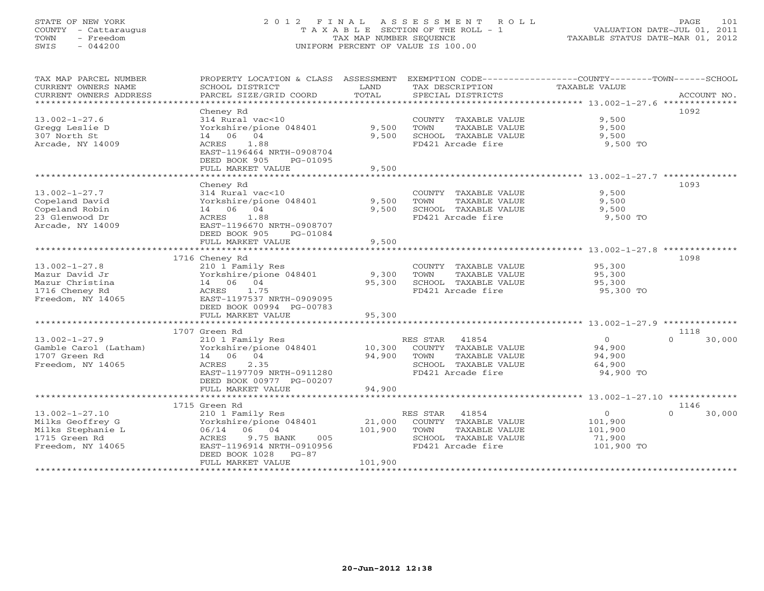# STATE OF NEW YORK 2 0 1 2 F I N A L A S S E S S M E N T R O L L PAGE 101 COUNTY - Cattaraugus T A X A B L E SECTION OF THE ROLL - 1 VALUATION DATE-JUL 01, 2011 TOWN - Freedom TAX MAP NUMBER SEQUENCE TAXABLE STATUS DATE-MAR 01, 2012 SWIS - 044200 UNIFORM PERCENT OF VALUE IS 100.00UNIFORM PERCENT OF VALUE IS 100.00

| TAX MAP PARCEL NUMBER<br>CURRENT OWNERS NAME<br>CURRENT OWNERS ADDRESS                        | PROPERTY LOCATION & CLASS ASSESSMENT<br>SCHOOL DISTRICT<br>PARCEL SIZE/GRID COORD                                                 | LAND<br>TOTAL  | EXEMPTION CODE----------------COUNTY-------TOWN------SCHOOL<br>TAX DESCRIPTION<br>SPECIAL DISTRICTS | TAXABLE VALUE                       | ACCOUNT NO.        |
|-----------------------------------------------------------------------------------------------|-----------------------------------------------------------------------------------------------------------------------------------|----------------|-----------------------------------------------------------------------------------------------------|-------------------------------------|--------------------|
| $13.002 - 1 - 27.6$<br>Gregg Leslie D<br>307 North St<br>Arcade, NY 14009                     | Cheney Rd<br>314 Rural vac<10<br>Yorkshire/pione 048401<br>14 06 04<br>1.88<br>ACRES                                              | 9,500<br>9,500 | COUNTY TAXABLE VALUE<br>TOWN<br>TAXABLE VALUE<br>SCHOOL TAXABLE VALUE<br>FD421 Arcade fire          | 9,500<br>9,500<br>9,500<br>9,500 TO | 1092               |
|                                                                                               | EAST-1196464 NRTH-0908704<br>DEED BOOK 905<br>PG-01095<br>FULL MARKET VALUE                                                       | 9,500          |                                                                                                     |                                     |                    |
|                                                                                               | Cheney Rd                                                                                                                         |                |                                                                                                     |                                     | 1093               |
| $13.002 - 1 - 27.7$<br>Copeland David<br>Copeland Robin<br>23 Glenwood Dr<br>Arcade, NY 14009 | 314 Rural vac<10<br>Yorkshire/pione 048401<br>14 06 04<br>ACRES<br>1.88<br>EAST-1196670 NRTH-0908707<br>DEED BOOK 905<br>PG-01084 | 9,500<br>9,500 | COUNTY TAXABLE VALUE<br>TAXABLE VALUE<br>TOWN<br>SCHOOL TAXABLE VALUE<br>FD421 Arcade fire          | 9,500<br>9,500<br>9,500<br>9,500 TO |                    |
|                                                                                               | FULL MARKET VALUE                                                                                                                 | 9,500          |                                                                                                     |                                     |                    |
|                                                                                               | 1716 Cheney Rd                                                                                                                    |                |                                                                                                     |                                     | 1098               |
| $13.002 - 1 - 27.8$                                                                           | 210 1 Family Res                                                                                                                  |                | COUNTY TAXABLE VALUE                                                                                | 95,300                              |                    |
| Mazur David Jr                                                                                | Yorkshire/pione 048401                                                                                                            | 9,300          | TOWN<br>TAXABLE VALUE                                                                               | 95,300                              |                    |
| Mazur Christina                                                                               | 14 06 04                                                                                                                          | 95,300         | SCHOOL TAXABLE VALUE                                                                                | 95,300                              |                    |
| 1716 Cheney Rd                                                                                | 1.75<br>ACRES                                                                                                                     |                | FD421 Arcade fire                                                                                   | 95,300 TO                           |                    |
| Freedom, NY 14065                                                                             | EAST-1197537 NRTH-0909095                                                                                                         |                |                                                                                                     |                                     |                    |
|                                                                                               | DEED BOOK 00994 PG-00783                                                                                                          |                |                                                                                                     |                                     |                    |
|                                                                                               | FULL MARKET VALUE                                                                                                                 | 95,300         |                                                                                                     |                                     |                    |
|                                                                                               | 1707 Green Rd                                                                                                                     |                |                                                                                                     |                                     | 1118               |
| $13.002 - 1 - 27.9$                                                                           | 210 1 Family Res                                                                                                                  |                | RES STAR 41854                                                                                      | $\overline{0}$                      | 30,000<br>$\Omega$ |
| Gamble Carol (Latham)                                                                         | Yorkshire/pione 048401                                                                                                            | 10,300         | COUNTY TAXABLE VALUE                                                                                | 94,900                              |                    |
| 1707 Green Rd                                                                                 | 14 06 04                                                                                                                          | 94,900         | TAXABLE VALUE<br>TOWN                                                                               | 94,900                              |                    |
| Freedom, NY 14065                                                                             | 2.35<br>ACRES                                                                                                                     |                | SCHOOL TAXABLE VALUE                                                                                | 64,900                              |                    |
|                                                                                               | EAST-1197709 NRTH-0911280<br>DEED BOOK 00977 PG-00207                                                                             |                | FD421 Arcade fire                                                                                   | 94,900 TO                           |                    |
|                                                                                               | FULL MARKET VALUE                                                                                                                 | 94,900         |                                                                                                     |                                     |                    |
|                                                                                               | 1715 Green Rd                                                                                                                     |                |                                                                                                     |                                     | 1146               |
| $13.002 - 1 - 27.10$                                                                          | 210 1 Family Res                                                                                                                  |                | RES STAR 41854                                                                                      | $\circ$                             | 30,000<br>$\cap$   |
| Milks Geoffrey G                                                                              | Yorkshire/pione 048401                                                                                                            | 21,000         | COUNTY TAXABLE VALUE                                                                                | 101,900                             |                    |
| Milks Stephanie L                                                                             | 06/14 06 04                                                                                                                       | 101,900        | TOWN<br>TAXABLE VALUE                                                                               | 101,900                             |                    |
| 1715 Green Rd                                                                                 | 9.75 BANK<br>005<br>ACRES                                                                                                         |                | SCHOOL TAXABLE VALUE                                                                                | 71,900                              |                    |
| Freedom, NY 14065                                                                             | EAST-1196914 NRTH-0910956                                                                                                         |                | FD421 Arcade fire                                                                                   | 101,900 TO                          |                    |
|                                                                                               | DEED BOOK 1028<br>$PG-87$<br>FULL MARKET VALUE                                                                                    | 101,900        |                                                                                                     |                                     |                    |
|                                                                                               |                                                                                                                                   |                |                                                                                                     |                                     |                    |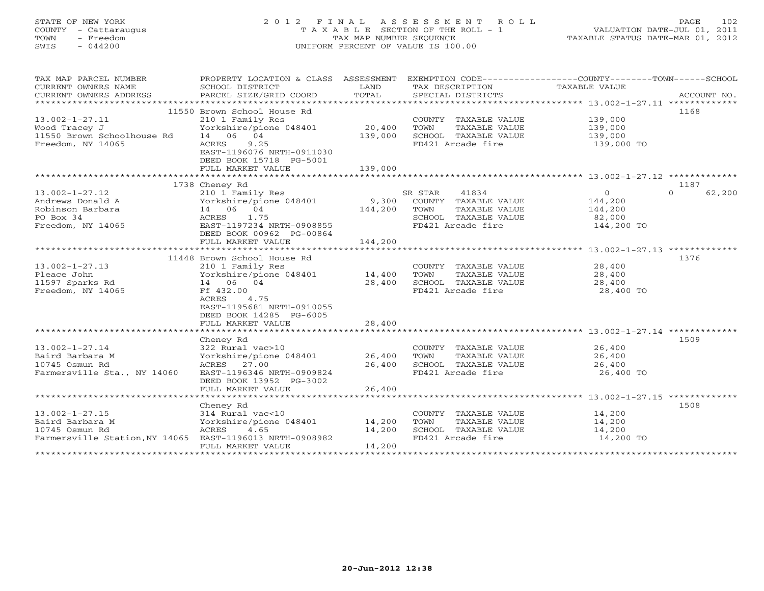# STATE OF NEW YORK 2 0 1 2 F I N A L A S S E S S M E N T R O L L PAGE 102 COUNTY - Cattaraugus T A X A B L E SECTION OF THE ROLL - 1 VALUATION DATE-JUL 01, 2011 TOWN - Freedom TAX MAP NUMBER SEQUENCE TAXABLE STATUS DATE-MAR 01, 2012 SWIS - 044200 UNIFORM PERCENT OF VALUE IS 100.00

| TAX MAP PARCEL NUMBER<br>CURRENT OWNERS NAME<br>CURRENT OWNERS ADDRESS | PROPERTY LOCATION & CLASS ASSESSMENT<br>SCHOOL DISTRICT<br>PARCEL SIZE/GRID COORD | LAND<br>TOTAL | TAX DESCRIPTION<br>SPECIAL DISTRICTS | EXEMPTION CODE-----------------COUNTY-------TOWN------SCHOOL<br>TAXABLE VALUE | ACCOUNT NO.        |
|------------------------------------------------------------------------|-----------------------------------------------------------------------------------|---------------|--------------------------------------|-------------------------------------------------------------------------------|--------------------|
|                                                                        |                                                                                   |               |                                      |                                                                               |                    |
|                                                                        | 11550 Brown School House Rd                                                       |               |                                      |                                                                               | 1168               |
| $13.002 - 1 - 27.11$                                                   | 210 1 Family Res                                                                  |               | COUNTY TAXABLE VALUE                 | 139,000                                                                       |                    |
| Wood Tracey J                                                          | Yorkshire/pione 048401                                                            | 20,400        | TOWN<br>TAXABLE VALUE                | 139,000                                                                       |                    |
| 11550 Brown Schoolhouse Rd                                             | 14 06 04                                                                          | 139,000       | SCHOOL TAXABLE VALUE                 | 139,000                                                                       |                    |
| Freedom, NY 14065                                                      | 9.25<br>ACRES                                                                     |               | FD421 Arcade fire                    | 139,000 TO                                                                    |                    |
|                                                                        | EAST-1196076 NRTH-0911030                                                         |               |                                      |                                                                               |                    |
|                                                                        | DEED BOOK 15718 PG-5001                                                           |               |                                      |                                                                               |                    |
|                                                                        | FULL MARKET VALUE                                                                 | 139,000       |                                      |                                                                               |                    |
|                                                                        |                                                                                   |               |                                      |                                                                               |                    |
|                                                                        | 1738 Cheney Rd                                                                    |               |                                      |                                                                               | 1187               |
| $13.002 - 1 - 27.12$                                                   | 210 1 Family Res                                                                  |               | 41834<br>SR STAR                     | $\circ$                                                                       | $\Omega$<br>62,200 |
| Andrews Donald A                                                       | Yorkshire/pione 048401                                                            | 9,300         | COUNTY TAXABLE VALUE                 | 144,200                                                                       |                    |
| Robinson Barbara                                                       | 14 06 04                                                                          | 144,200       | TOWN<br>TAXABLE VALUE                | 144,200                                                                       |                    |
| PO Box 34                                                              | 1.75<br>ACRES                                                                     |               | SCHOOL TAXABLE VALUE                 | 82,000                                                                        |                    |
| Freedom, NY 14065                                                      | EAST-1197234 NRTH-0908855                                                         |               | FD421 Arcade fire                    | 144,200 TO                                                                    |                    |
|                                                                        | DEED BOOK 00962 PG-00864                                                          |               |                                      |                                                                               |                    |
|                                                                        |                                                                                   | 144,200       |                                      |                                                                               |                    |
|                                                                        | FULL MARKET VALUE                                                                 |               |                                      |                                                                               |                    |
|                                                                        |                                                                                   |               |                                      |                                                                               |                    |
|                                                                        | 11448 Brown School House Rd                                                       |               |                                      |                                                                               | 1376               |
| $13.002 - 1 - 27.13$                                                   | 210 1 Family Res                                                                  |               | COUNTY TAXABLE VALUE                 | 28,400                                                                        |                    |
| Pleace John                                                            | Yorkshire/pione 048401                                                            | 14,400        | TOWN<br>TAXABLE VALUE                | 28,400                                                                        |                    |
| 11597 Sparks Rd                                                        | 14 06 04                                                                          | 28,400        | SCHOOL TAXABLE VALUE                 | 28,400                                                                        |                    |
| Freedom, NY 14065                                                      | Ff 432.00                                                                         |               | FD421 Arcade fire                    | 28,400 TO                                                                     |                    |
|                                                                        | ACRES<br>4.75                                                                     |               |                                      |                                                                               |                    |
|                                                                        | EAST-1195681 NRTH-0910055                                                         |               |                                      |                                                                               |                    |
|                                                                        | DEED BOOK 14285 PG-6005                                                           |               |                                      |                                                                               |                    |
|                                                                        | FULL MARKET VALUE                                                                 | 28,400        |                                      |                                                                               |                    |
|                                                                        |                                                                                   |               |                                      |                                                                               |                    |
|                                                                        | Cheney Rd                                                                         |               |                                      |                                                                               | 1509               |
| $13.002 - 1 - 27.14$                                                   | 322 Rural vac>10                                                                  |               | COUNTY TAXABLE VALUE                 | 26,400                                                                        |                    |
| Baird Barbara M                                                        | Yorkshire/pione 048401                                                            | 26,400        | TOWN<br>TAXABLE VALUE                | 26,400                                                                        |                    |
| 10745 Osmun Rd                                                         | ACRES 27.00                                                                       | 26,400        | SCHOOL TAXABLE VALUE                 | 26,400                                                                        |                    |
| Farmersville Sta., NY 14060                                            | EAST-1196346 NRTH-0909824                                                         |               | FD421 Arcade fire                    | 26,400 TO                                                                     |                    |
|                                                                        | DEED BOOK 13952 PG-3002                                                           |               |                                      |                                                                               |                    |
|                                                                        | FULL MARKET VALUE                                                                 | 26,400        |                                      |                                                                               |                    |
|                                                                        |                                                                                   |               |                                      |                                                                               |                    |
|                                                                        | Cheney Rd                                                                         |               |                                      |                                                                               | 1508               |
| $13.002 - 1 - 27.15$                                                   | 314 Rural vac<10                                                                  |               | COUNTY TAXABLE VALUE                 | 14,200                                                                        |                    |
| Baird Barbara M                                                        | Yorkshire/pione 048401 14,200                                                     |               | TOWN<br>TAXABLE VALUE                | 14,200                                                                        |                    |
| 10745 Osmun Rd                                                         | ACRES 4.65                                                                        | 14,200        | SCHOOL TAXABLE VALUE                 | 14,200                                                                        |                    |
| Farmersville Station, NY 14065 EAST-1196013 NRTH-0908982               |                                                                                   |               | FD421 Arcade fire                    | 14,200 TO                                                                     |                    |
|                                                                        | FULL MARKET VALUE                                                                 | 14,200        |                                      |                                                                               |                    |
| **********************                                                 |                                                                                   |               |                                      |                                                                               |                    |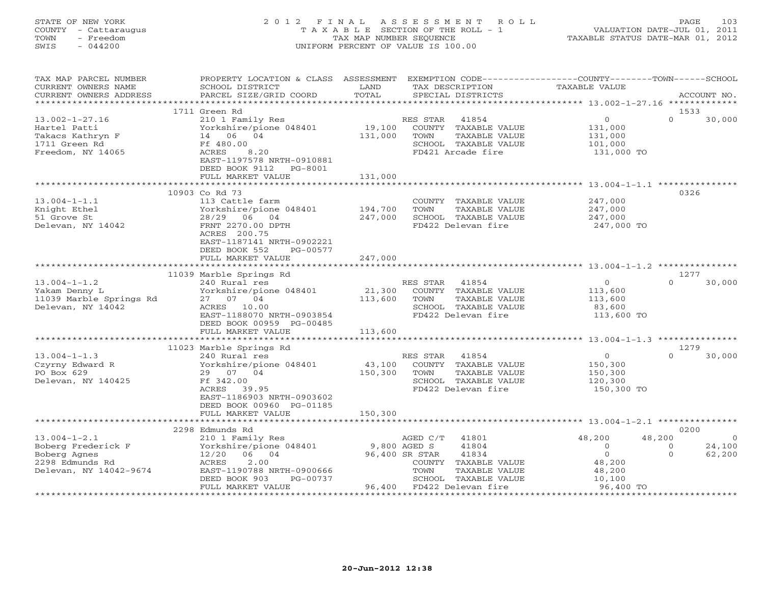## STATE OF NEW YORK 2 0 1 2 F I N A L A S S E S S M E N T R O L L PAGE 103 COUNTY - Cattaraugus T A X A B L E SECTION OF THE ROLL - 1 VALUATION DATE-JUL 01, 2011 TOWN - Freedom TAX MAP NUMBER SEQUENCE TAXABLE STATUS DATE-MAR 01, 2012 SWIS - 044200 UNIFORM PERCENT OF VALUE IS 100.00UNIFORM PERCENT OF VALUE IS 100.00

| TAX MAP PARCEL NUMBER   | PROPERTY LOCATION & CLASS ASSESSMENT |              | EXEMPTION CODE----------------COUNTY-------TOWN------SCHOOL |                      |                          |
|-------------------------|--------------------------------------|--------------|-------------------------------------------------------------|----------------------|--------------------------|
| CURRENT OWNERS NAME     | SCHOOL DISTRICT                      | LAND         | TAX DESCRIPTION                                             | <b>TAXABLE VALUE</b> |                          |
| CURRENT OWNERS ADDRESS  | PARCEL SIZE/GRID COORD               | TOTAL        | SPECIAL DISTRICTS                                           |                      | ACCOUNT NO.              |
|                         |                                      |              |                                                             |                      |                          |
|                         | 1711 Green Rd                        |              |                                                             |                      | 1533                     |
| $13.002 - 1 - 27.16$    | 210 1 Family Res                     |              | RES STAR<br>41854                                           | $\circ$              | $\Omega$<br>30,000       |
| Hartel Patti            | Yorkshire/pione 048401               | 19,100       | COUNTY TAXABLE VALUE                                        | 131,000              |                          |
| Takacs Kathryn F        | 14 06 04                             | 131,000      | TAXABLE VALUE<br>TOWN                                       | 131,000              |                          |
| 1711 Green Rd           | Ff 480.00                            |              | SCHOOL TAXABLE VALUE                                        | 101,000              |                          |
| Freedom, NY 14065       | ACRES<br>8.20                        |              | FD421 Arcade fire                                           | 131,000 TO           |                          |
|                         | EAST-1197578 NRTH-0910881            |              |                                                             |                      |                          |
|                         | DEED BOOK 9112<br>PG-8001            |              |                                                             |                      |                          |
|                         | FULL MARKET VALUE                    | 131,000      |                                                             |                      |                          |
|                         | 10903 Co Rd 73                       |              |                                                             |                      | 0326                     |
| $13.004 - 1 - 1.1$      | 113 Cattle farm                      |              | COUNTY TAXABLE VALUE                                        | 247,000              |                          |
| Knight Ethel            | Yorkshire/pione 048401               | 194,700      | TOWN<br>TAXABLE VALUE                                       | 247,000              |                          |
| 51 Grove St             | 28/29<br>06 04                       | 247,000      | SCHOOL TAXABLE VALUE                                        | 247,000              |                          |
| Delevan, NY 14042       | FRNT 2270.00 DPTH                    |              | FD422 Delevan fire                                          | 247,000 TO           |                          |
|                         | ACRES 200.75                         |              |                                                             |                      |                          |
|                         | EAST-1187141 NRTH-0902221            |              |                                                             |                      |                          |
|                         | DEED BOOK 552<br>PG-00577            |              |                                                             |                      |                          |
|                         | FULL MARKET VALUE                    | 247,000      |                                                             |                      |                          |
|                         |                                      |              |                                                             |                      |                          |
|                         | 11039 Marble Springs Rd              |              |                                                             |                      | 1277                     |
| $13.004 - 1 - 1.2$      | 240 Rural res                        |              | RES STAR<br>41854                                           | $\overline{0}$       | $\Omega$<br>30,000       |
| Yakam Denny L           | Yorkshire/pione 048401               | 21,300       | COUNTY TAXABLE VALUE                                        | 113,600              |                          |
| 11039 Marble Springs Rd | 27 07 04                             | 113,600      | TAXABLE VALUE<br>TOWN                                       | 113,600              |                          |
| Delevan, NY 14042       | ACRES 10.00                          |              | SCHOOL TAXABLE VALUE                                        | 83,600               |                          |
|                         | EAST-1188070 NRTH-0903854            |              | FD422 Delevan fire                                          | 113,600 TO           |                          |
|                         | DEED BOOK 00959 PG-00485             |              |                                                             |                      |                          |
|                         | FULL MARKET VALUE                    | 113,600      |                                                             |                      |                          |
|                         | **************************           |              |                                                             |                      |                          |
|                         | 11023 Marble Springs Rd              |              |                                                             |                      | 1279                     |
| $13.004 - 1 - 1.3$      | 240 Rural res                        |              | RES STAR<br>41854                                           | $\overline{0}$       | 30,000<br>$\Omega$       |
| Czyrny Edward R         | Yorkshire/pione 048401               | 43,100       | COUNTY TAXABLE VALUE                                        | 150,300              |                          |
| PO Box 629              | 29 07 04                             | 150,300      | TOWN<br>TAXABLE VALUE                                       | 150,300              |                          |
| Delevan, NY 140425      | Ff 342.00                            |              | SCHOOL TAXABLE VALUE                                        | 120,300              |                          |
|                         | ACRES 39.95                          |              | FD422 Delevan fire                                          | 150,300 TO           |                          |
|                         | EAST-1186903 NRTH-0903602            |              |                                                             |                      |                          |
|                         | DEED BOOK 00960 PG-01185             | 150,300      |                                                             |                      |                          |
|                         | FULL MARKET VALUE                    |              |                                                             |                      |                          |
|                         | 2298 Edmunds Rd                      |              |                                                             |                      | 0200                     |
| $13.004 - 1 - 2.1$      | 210 1 Family Res                     |              | 41801<br>AGED C/T                                           | 48,200               | 48,200<br>$\overline{0}$ |
| Boberg Frederick F      | Yorkshire/pione 048401               | 9,800 AGED S | 41804                                                       | $\overline{0}$       | 24,100<br>$\overline{0}$ |
| Boberg Agnes            | 06 04<br>12/20                       |              | 96,400 SR STAR<br>41834                                     | $\overline{O}$       | 62,200<br>$\Omega$       |
| 2298 Edmunds Rd         | ACRES<br>2.00                        |              | COUNTY TAXABLE VALUE                                        | 48,200               |                          |
| Delevan, NY 14042-9674  | EAST-1190788 NRTH-0900666            |              | TOWN<br>TAXABLE VALUE                                       | 48,200               |                          |
|                         | DEED BOOK 903<br>PG-00737            |              | SCHOOL TAXABLE VALUE                                        | 10,100               |                          |
|                         | FULL MARKET VALUE                    |              | 96,400 FD422 Delevan fire                                   | 96,400 TO            |                          |
|                         |                                      |              |                                                             |                      |                          |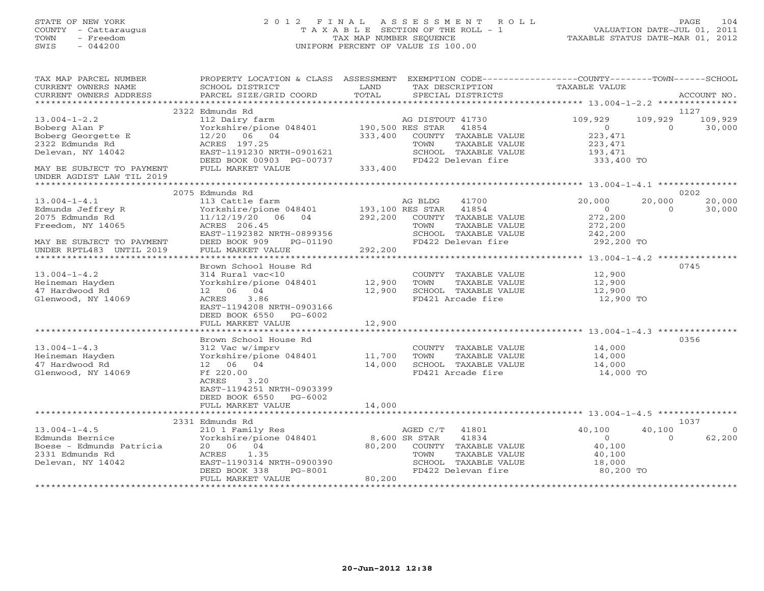# STATE OF NEW YORK 2 0 1 2 F I N A L A S S E S S M E N T R O L L PAGE 104 COUNTY - Cattaraugus T A X A B L E SECTION OF THE ROLL - 1 VALUATION DATE-JUL 01, 2011 TOWN - Freedom TAX MAP NUMBER SEQUENCE TAXABLE STATUS DATE-MAR 01, 2012 SWIS - 044200 UNIFORM PERCENT OF VALUE IS 100.00UNIFORM PERCENT OF VALUE IS 100.00

| TAX MAP PARCEL NUMBER<br>CURRENT OWNERS NAME                                                                                             | PROPERTY LOCATION & CLASS ASSESSMENT<br>SCHOOL DISTRICT<br>PARCEL SIZE/GRID COORD                                                                                              | LAND<br>TOTAL                          | EXEMPTION CODE-----------------COUNTY-------TOWN------SCHOOL<br>TAX DESCRIPTION                                                            | TAXABLE VALUE                                                           |                     | ACCOUNT NO.                |
|------------------------------------------------------------------------------------------------------------------------------------------|--------------------------------------------------------------------------------------------------------------------------------------------------------------------------------|----------------------------------------|--------------------------------------------------------------------------------------------------------------------------------------------|-------------------------------------------------------------------------|---------------------|----------------------------|
| CURRENT OWNERS ADDRESS<br>***********************                                                                                        |                                                                                                                                                                                |                                        | SPECIAL DISTRICTS                                                                                                                          |                                                                         |                     |                            |
| $13.004 - 1 - 2.2$<br>Boberg Alan F<br>Boberg Georgette E<br>2322 Edmunds Rd<br>Delevan, NY 14042<br>MAY BE SUBJECT TO PAYMENT           | 2322 Edmunds Rd<br>112 Dairy farm<br>Yorkshire/pione 048401<br>$12/20$ 06 04<br>ACRES 197.25<br>EAST-1191230 NRTH-0901621<br>DEED BOOK 00903 PG-00737<br>FULL MARKET VALUE     | 190,500 RES STAR<br>333,400<br>333,400 | AG DISTOUT 41730<br>41854<br>COUNTY TAXABLE VALUE<br>TAXABLE VALUE<br>TOWN<br>SCHOOL TAXABLE VALUE<br>FD422 Delevan fire                   | 109,929<br>$\circ$<br>223, 471<br>223,471<br>193,471<br>333,400 TO      | 109,929<br>$\Omega$ | 1127<br>109,929<br>30,000  |
| UNDER AGDIST LAW TIL 2019                                                                                                                |                                                                                                                                                                                |                                        |                                                                                                                                            |                                                                         |                     |                            |
|                                                                                                                                          | 2075 Edmunds Rd                                                                                                                                                                |                                        |                                                                                                                                            |                                                                         |                     | 0202                       |
| $13.004 - 1 - 4.1$<br>Edmunds Jeffrey R<br>2075 Edmunds Rd<br>Freedom, NY 14065<br>MAY BE SUBJECT TO PAYMENT<br>UNDER RPTL483 UNTIL 2019 | 113 Cattle farm<br>Yorkshire/pione 048401 193,100 RES STAR<br>11/12/19/20 06 04<br>ACRES 206.45<br>EAST-1192382 NRTH-0899356<br>DEED BOOK 909<br>PG-01190<br>FULL MARKET VALUE | 292,200<br>292,200                     | 41700<br>AG BLDG<br>41854<br>COUNTY TAXABLE VALUE<br>TAXABLE VALUE<br>TOWN<br>SCHOOL TAXABLE VALUE<br>FD422 Delevan fire                   | 20,000<br>$\overline{0}$<br>272,200<br>272,200<br>242,200<br>292,200 TO | 20,000<br>$\Omega$  | 20,000<br>30,000           |
|                                                                                                                                          | **********************                                                                                                                                                         | * * * * * * * * * * * *                |                                                                                                                                            | ***************** 13.004-1-4.2 *************                            |                     | 0745                       |
| $13.004 - 1 - 4.2$<br>Heineman Hayden<br>47 Hardwood Rd<br>Glenwood, NY 14069                                                            | Brown School House Rd<br>314 Rural vac<10<br>Yorkshire/pione 048401<br>12 06 04<br>3.86<br>ACRES<br>EAST-1194208 NRTH-0903166<br>DEED BOOK 6550<br>PG-6002                     | 12,900<br>12,900                       | COUNTY TAXABLE VALUE<br>TOWN<br>TAXABLE VALUE<br>SCHOOL TAXABLE VALUE<br>FD421 Arcade fire                                                 | 12,900<br>12,900<br>12,900<br>12,900 TO                                 |                     |                            |
|                                                                                                                                          | FULL MARKET VALUE                                                                                                                                                              | 12,900                                 |                                                                                                                                            |                                                                         |                     |                            |
| $13.004 - 1 - 4.3$<br>Heineman Hayden<br>47 Hardwood Rd<br>Glenwood, NY 14069                                                            | Brown School House Rd<br>312 Vac w/imprv<br>Yorkshire/pione 048401<br>12 06 04<br>Ff 220.00<br>ACRES<br>3.20<br>EAST-1194251 NRTH-0903399<br>DEED BOOK 6550<br>PG-6002         | 11,700<br>14,000                       | COUNTY TAXABLE VALUE<br>TAXABLE VALUE<br>TOWN<br>SCHOOL TAXABLE VALUE<br>FD421 Arcade fire                                                 | 14,000<br>14,000<br>14,000<br>14,000 TO                                 |                     | 0356                       |
|                                                                                                                                          | FULL MARKET VALUE                                                                                                                                                              | 14,000                                 |                                                                                                                                            |                                                                         |                     |                            |
| $13.004 - 1 - 4.5$<br>Edmunds Bernice<br>Boese - Edmunds Patricia<br>2331 Edmunds Rd<br>Delevan, NY 14042                                | 2331 Edmunds Rd<br>210 1 Family Res<br>Yorkshire/pione 048401<br>20 06 04<br>1.35<br>ACRES<br>EAST-1190314 NRTH-0900390<br>DEED BOOK 338<br>PG-8001<br>FULL MARKET VALUE       | 80,200<br>80,200                       | AGED C/T<br>41801<br>8,600 SR STAR<br>41834<br>COUNTY TAXABLE VALUE<br>TAXABLE VALUE<br>TOWN<br>SCHOOL TAXABLE VALUE<br>FD422 Delevan fire | 40,100<br>$\overline{0}$<br>40,100<br>40,100<br>18,000<br>80,200 TO     | 40,100<br>$\Omega$  | 1037<br>$\Omega$<br>62,200 |
|                                                                                                                                          |                                                                                                                                                                                |                                        |                                                                                                                                            |                                                                         |                     |                            |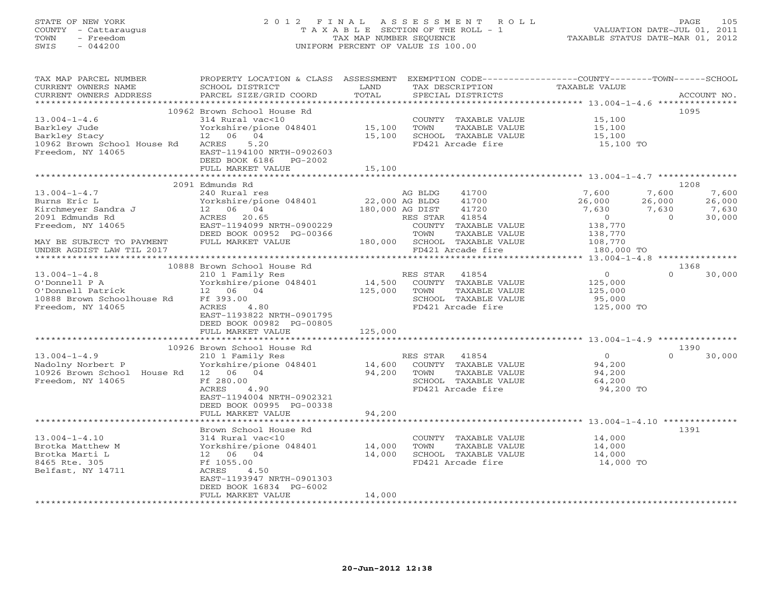# STATE OF NEW YORK 2 0 1 2 F I N A L A S S E S S M E N T R O L L PAGE 105 COUNTY - Cattaraugus T A X A B L E SECTION OF THE ROLL - 1 VALUATION DATE-JUL 01, 2011 TOWN - Freedom TAX MAP NUMBER SEQUENCE TAXABLE STATUS DATE-MAR 01, 2012 SWIS - 044200 UNIFORM PERCENT OF VALUE IS 100.00UNIFORM PERCENT OF VALUE IS 100.00

| TAX MAP PARCEL NUMBER<br>CURRENT OWNERS NAME<br>CURRENT OWNERS ADDRESS                                      | PROPERTY LOCATION & CLASS ASSESSMENT EXEMPTION CODE---------------COUNTY-------TOWN------SCHOOL<br>SCHOOL DISTRICT<br>PARCEL SIZE/GRID COORD                                                      | LAND<br>TOTAL                | TAX DESCRIPTION<br>SPECIAL DISTRICTS                                                                                        | TAXABLE VALUE                                                     | ACCOUNT NO.                                                                      |
|-------------------------------------------------------------------------------------------------------------|---------------------------------------------------------------------------------------------------------------------------------------------------------------------------------------------------|------------------------------|-----------------------------------------------------------------------------------------------------------------------------|-------------------------------------------------------------------|----------------------------------------------------------------------------------|
| ***********************                                                                                     |                                                                                                                                                                                                   |                              |                                                                                                                             |                                                                   |                                                                                  |
| $13.004 - 1 - 4.6$<br>Barkley Jude<br>Barkley Stacy<br>10962 Brown School House Rd<br>Freedom, NY 14065     | 10962 Brown School House Rd<br>314 Rural vac<10<br>Yorkshire/pione 048401<br>12 06 04<br>5.20<br>ACRES<br>EAST-1194100 NRTH-0902603<br>DEED BOOK 6186 PG-2002<br>FULL MARKET VALUE                | 15,100<br>15,100<br>15,100   | COUNTY TAXABLE VALUE<br>TOWN<br>TAXABLE VALUE<br>SCHOOL TAXABLE VALUE<br>FD421 Arcade fire                                  | 15,100<br>15,100<br>15,100<br>15,100 TO                           | 1095                                                                             |
|                                                                                                             |                                                                                                                                                                                                   |                              |                                                                                                                             |                                                                   |                                                                                  |
|                                                                                                             | 2091 Edmunds Rd                                                                                                                                                                                   |                              |                                                                                                                             |                                                                   | 1208                                                                             |
| $13.004 - 1 - 4.7$<br>Burns Eric L<br>Kirchmeyer Sandra J<br>2091 Edmunds Rd<br>Freedom, NY 14065           | 240 Rural res<br>Yorkshire/pione 048401<br>12 06 04<br>ACRES 20.65<br>EAST-1194099 NRTH-0900229<br>DEED BOOK 00952 PG-00366                                                                       | 22,000 AG BLDG               | AG BLDG<br>41700<br>41700<br>180,000 AG DIST<br>41720<br>41854<br>RES STAR<br>COUNTY TAXABLE VALUE<br>TOWN<br>TAXABLE VALUE | 7,600<br>26,000<br>7,630<br>$\overline{0}$<br>138,770<br>138,770  | 7,600<br>7,600<br>26,000<br>26,000<br>7,630<br>7,630<br>$\overline{0}$<br>30,000 |
| MAY BE SUBJECT TO PAYMENT                                                                                   | FULL MARKET VALUE                                                                                                                                                                                 |                              | 180,000 SCHOOL TAXABLE VALUE                                                                                                | 108,770                                                           |                                                                                  |
| UNDER AGDIST LAW TIL 2017                                                                                   |                                                                                                                                                                                                   |                              | FD421 Arcade fire                                                                                                           | 180,000 TO                                                        |                                                                                  |
|                                                                                                             |                                                                                                                                                                                                   |                              |                                                                                                                             |                                                                   |                                                                                  |
| $13.004 - 1 - 4.8$<br>O'Donnell P A<br>O'Donnell Patrick<br>10888 Brown Schoolhouse Rd<br>Freedom, NY 14065 | 10888 Brown School House Rd<br>210 1 Family Res<br>Yorkshire/pione 048401<br>12 06 04<br>Ff 393.00<br>ACRES<br>4.80<br>EAST-1193822 NRTH-0901795<br>DEED BOOK 00982 PG-00805<br>FULL MARKET VALUE | 14,500<br>125,000<br>125,000 | RES STAR<br>41854<br>COUNTY TAXABLE VALUE<br>TOWN<br>TAXABLE VALUE<br>SCHOOL TAXABLE VALUE<br>FD421 Arcade fire             | $\overline{O}$<br>125,000<br>125,000<br>95,000<br>125,000 TO      | 1368<br>$\Omega$<br>30,000                                                       |
|                                                                                                             |                                                                                                                                                                                                   |                              |                                                                                                                             | *********************************** 13.004-1-4.9 **************** |                                                                                  |
|                                                                                                             | 10926 Brown School House Rd                                                                                                                                                                       |                              |                                                                                                                             |                                                                   | 1390                                                                             |
| $13.004 - 1 - 4.9$<br>Nadolny Norbert P<br>10926 Brown School House Rd 12 06 04<br>Freedom, NY 14065        | 210 1 Family Res<br>Yorkshire/pione 048401<br>Ff 280.00<br>ACRES<br>4.90<br>EAST-1194004 NRTH-0902321<br>DEED BOOK 00995 PG-00338                                                                 | 14,600<br>94,200             | RES STAR<br>41854<br>COUNTY TAXABLE VALUE<br>TOWN<br>TAXABLE VALUE<br>SCHOOL TAXABLE VALUE<br>FD421 Arcade fire             | $\overline{0}$<br>94,200<br>94,200<br>64,200<br>94,200 TO         | $\Omega$<br>30,000                                                               |
|                                                                                                             | FULL MARKET VALUE                                                                                                                                                                                 | 94,200                       |                                                                                                                             |                                                                   |                                                                                  |
|                                                                                                             |                                                                                                                                                                                                   |                              |                                                                                                                             |                                                                   |                                                                                  |
| $13.004 - 1 - 4.10$<br>Brotka Matthew M<br>Brotka Marti L<br>8465 Rte. 305<br>Belfast, NY 14711             | Brown School House Rd<br>314 Rural vac<10<br>Yorkshire/pione 048401<br>12 06 04<br>Ff 1055.00<br>ACRES<br>4.50<br>EAST-1193947 NRTH-0901303<br>DEED BOOK 16834 PG-6002                            | 14,000<br>14,000             | COUNTY TAXABLE VALUE<br>TOWN<br>TAXABLE VALUE<br>SCHOOL TAXABLE VALUE<br>FD421 Arcade fire                                  | 14,000<br>14,000<br>14,000<br>14,000 TO                           | 1391                                                                             |
|                                                                                                             | FULL MARKET VALUE                                                                                                                                                                                 | 14,000                       | *****************************                                                                                               |                                                                   |                                                                                  |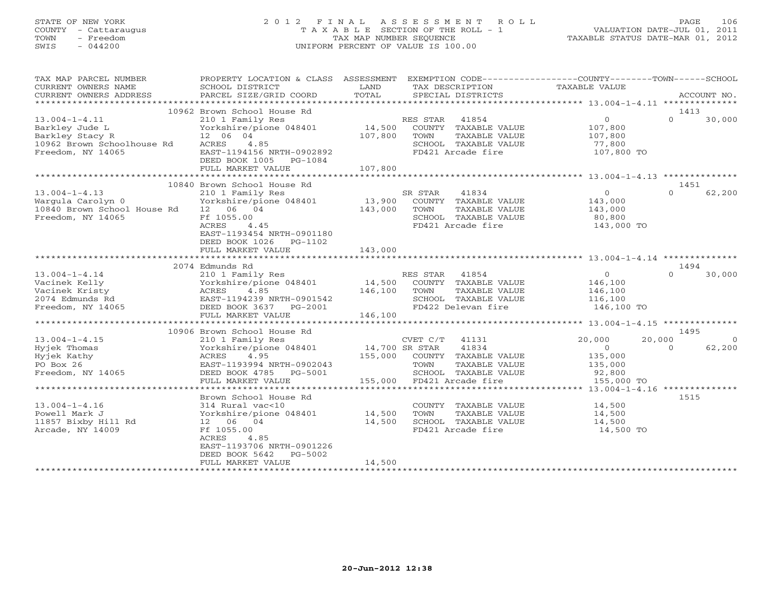# STATE OF NEW YORK 2 0 1 2 F I N A L A S S E S S M E N T R O L L PAGE 106 COUNTY - Cattaraugus T A X A B L E SECTION OF THE ROLL - 1 VALUATION DATE-JUL 01, 2011 TOWN - Freedom TAX MAP NUMBER SEQUENCE TAXABLE STATUS DATE-MAR 01, 2012 SWIS - 044200 UNIFORM PERCENT OF VALUE IS 100.00UNIFORM PERCENT OF VALUE IS 100.00

| TOTAL<br>PARCEL SIZE/GRID COORD<br>SPECIAL DISTRICTS<br>CURRENT OWNERS ADDRESS<br>ACCOUNT NO.<br>10962 Brown School House Rd<br>1413<br>$\Omega$<br>$\overline{0}$<br>30,000<br>$13.004 - 1 - 4.11$<br>210 1 Family Res<br>RES STAR 41854<br>14,500<br>Barkley Jude L<br>Yorkshire/pione 048401<br>COUNTY TAXABLE VALUE<br>107,800<br>Barkley Stacy R<br>12 06 04<br>107,800<br>TOWN<br>TAXABLE VALUE<br>107,800<br>10962 Brown Schoolhouse Rd<br>ACRES<br>4.85<br>SCHOOL TAXABLE VALUE<br>77,800<br>Freedom, NY 14065<br>EAST-1194156 NRTH-0902892<br>FD421 Arcade fire<br>107,800 TO<br>DEED BOOK 1005 PG-1084<br>107,800<br>FULL MARKET VALUE<br>10840 Brown School House Rd<br>1451<br>62,200<br>$13.004 - 1 - 4.13$<br>SR STAR<br>41834<br>$\overline{0}$<br>$\Omega$<br>210 1 Family Res<br>13,900 COUNTY TAXABLE VALUE<br>Wargula Carolyn 0<br>Yorkshire/pione 048401<br>143,000 |
|-----------------------------------------------------------------------------------------------------------------------------------------------------------------------------------------------------------------------------------------------------------------------------------------------------------------------------------------------------------------------------------------------------------------------------------------------------------------------------------------------------------------------------------------------------------------------------------------------------------------------------------------------------------------------------------------------------------------------------------------------------------------------------------------------------------------------------------------------------------------------------------------|
|                                                                                                                                                                                                                                                                                                                                                                                                                                                                                                                                                                                                                                                                                                                                                                                                                                                                                         |
|                                                                                                                                                                                                                                                                                                                                                                                                                                                                                                                                                                                                                                                                                                                                                                                                                                                                                         |
|                                                                                                                                                                                                                                                                                                                                                                                                                                                                                                                                                                                                                                                                                                                                                                                                                                                                                         |
|                                                                                                                                                                                                                                                                                                                                                                                                                                                                                                                                                                                                                                                                                                                                                                                                                                                                                         |
|                                                                                                                                                                                                                                                                                                                                                                                                                                                                                                                                                                                                                                                                                                                                                                                                                                                                                         |
| 143,000<br>10840 Brown School House Rd 12 06 04<br>TOWN<br>TAXABLE VALUE<br>143,000<br>Freedom, NY 14065<br>Ff 1055.00<br>SCHOOL TAXABLE VALUE<br>80,800<br>ACRES<br>4.45<br>FD421 Arcade fire<br>143,000 TO<br>EAST-1193454 NRTH-0901180<br>DEED BOOK 1026    PG-1102                                                                                                                                                                                                                                                                                                                                                                                                                                                                                                                                                                                                                  |
| FULL MARKET VALUE<br>143,000                                                                                                                                                                                                                                                                                                                                                                                                                                                                                                                                                                                                                                                                                                                                                                                                                                                            |
|                                                                                                                                                                                                                                                                                                                                                                                                                                                                                                                                                                                                                                                                                                                                                                                                                                                                                         |
| 2074 Edmunds Rd<br>1494                                                                                                                                                                                                                                                                                                                                                                                                                                                                                                                                                                                                                                                                                                                                                                                                                                                                 |
| $\Omega$<br>$13.004 - 1 - 4.14$<br>$\circ$<br>30,000<br>210 1 Family Res<br>RES STAR 41854                                                                                                                                                                                                                                                                                                                                                                                                                                                                                                                                                                                                                                                                                                                                                                                              |
| 14,500<br>Vacinek Kelly<br>Yorkshire/pione 048401<br>ACRES 4.85<br>EAST-1194239 NRTH-0901542<br>- REED 100723637 PC 2001<br>COUNTY TAXABLE VALUE<br>146,100                                                                                                                                                                                                                                                                                                                                                                                                                                                                                                                                                                                                                                                                                                                             |
| Vacinek Kristy<br>146,100<br>TAXABLE VALUE<br>TOWN<br>146,100                                                                                                                                                                                                                                                                                                                                                                                                                                                                                                                                                                                                                                                                                                                                                                                                                           |
| 2074 Edmunds Rd<br>SCHOOL TAXABLE VALUE<br>116,100                                                                                                                                                                                                                                                                                                                                                                                                                                                                                                                                                                                                                                                                                                                                                                                                                                      |
| FD422 Delevan fire<br>Freedom, NY 14065<br>DEED BOOK 3637 PG-2001<br>146,100 TO<br>FULL MARKET VALUE<br>146,100                                                                                                                                                                                                                                                                                                                                                                                                                                                                                                                                                                                                                                                                                                                                                                         |
|                                                                                                                                                                                                                                                                                                                                                                                                                                                                                                                                                                                                                                                                                                                                                                                                                                                                                         |
| 1495<br>10906 Brown School House Rd                                                                                                                                                                                                                                                                                                                                                                                                                                                                                                                                                                                                                                                                                                                                                                                                                                                     |
| $13.004 - 1 - 4.15$<br>CVET C/T 41131<br>20,000<br>20,000<br>210 1 Family Res<br>$\overline{0}$                                                                                                                                                                                                                                                                                                                                                                                                                                                                                                                                                                                                                                                                                                                                                                                         |
| 14,700 SR STAR<br>41834<br>62,200<br>Yorkshire/pione 048401<br>$\overline{O}$<br>$\Omega$<br>Hyjek Thomas                                                                                                                                                                                                                                                                                                                                                                                                                                                                                                                                                                                                                                                                                                                                                                               |
| 155,000<br>Hyjek Kathy<br>ACRES<br>4.95<br>COUNTY TAXABLE VALUE<br>135,000                                                                                                                                                                                                                                                                                                                                                                                                                                                                                                                                                                                                                                                                                                                                                                                                              |
| PO Box 26<br>EAST-1193994 NRTH-0902043<br>TOWN<br>TAXABLE VALUE<br>135,000                                                                                                                                                                                                                                                                                                                                                                                                                                                                                                                                                                                                                                                                                                                                                                                                              |
| Freedom, NY 14065<br>SCHOOL TAXABLE VALUE<br>DEED BOOK 4785 PG-5001<br>92,800                                                                                                                                                                                                                                                                                                                                                                                                                                                                                                                                                                                                                                                                                                                                                                                                           |
| FULL MARKET VALUE<br>FD421 Arcade fire<br>155,000 TO<br>155,000                                                                                                                                                                                                                                                                                                                                                                                                                                                                                                                                                                                                                                                                                                                                                                                                                         |
|                                                                                                                                                                                                                                                                                                                                                                                                                                                                                                                                                                                                                                                                                                                                                                                                                                                                                         |
| 1515<br>Brown School House Rd                                                                                                                                                                                                                                                                                                                                                                                                                                                                                                                                                                                                                                                                                                                                                                                                                                                           |
| $13.004 - 1 - 4.16$<br>314 Rural vac<10<br>COUNTY TAXABLE VALUE<br>14,500<br>Yorkshire/pione 048401 14,500<br>Powell Mark J<br>TOWN<br>TAXABLE VALUE<br>14,500<br>11857 Bixby Hill Rd<br>12 06 04<br>14,500<br>SCHOOL TAXABLE VALUE<br>14,500<br>Arcade, NY 14009<br>Ff 1055.00<br>FD421 Arcade fire<br>14,500 TO<br>ACRES<br>4.85<br>EAST-1193706 NRTH-0901226<br>DEED BOOK 5642<br>PG-5002                                                                                                                                                                                                                                                                                                                                                                                                                                                                                            |
| 14,500<br>FULL MARKET VALUE                                                                                                                                                                                                                                                                                                                                                                                                                                                                                                                                                                                                                                                                                                                                                                                                                                                             |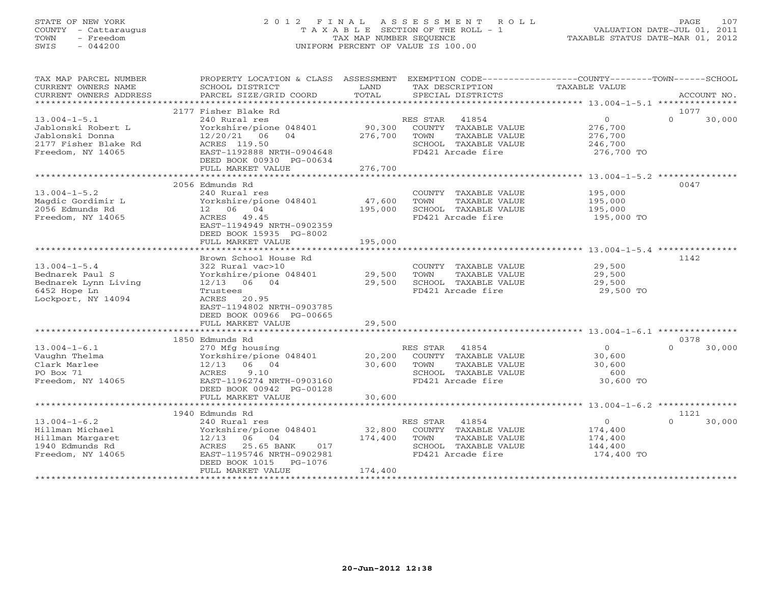## STATE OF NEW YORK 2 0 1 2 F I N A L A S S E S S M E N T R O L L PAGE 107 COUNTY - Cattaraugus T A X A B L E SECTION OF THE ROLL - 1 VALUATION DATE-JUL 01, 2011 TOWN - Freedom TAX MAP NUMBER SEQUENCE TAXABLE STATUS DATE-MAR 01, 2012 SWIS - 044200 UNIFORM PERCENT OF VALUE IS 100.00UNIFORM PERCENT OF VALUE IS 100.00

| TAX MAP PARCEL NUMBER<br>CURRENT OWNERS NAME<br>CURRENT OWNERS ADDRESS                                   | PROPERTY LOCATION & CLASS ASSESSMENT<br>SCHOOL DISTRICT<br>PARCEL SIZE/GRID COORD                                                                                                              | LAND<br>TOTAL                | EXEMPTION CODE-----------------COUNTY-------TOWN------SCHOOL<br>TAX DESCRIPTION<br>SPECIAL DISTRICTS            | TAXABLE VALUE                                                 | ACCOUNT NO.                |
|----------------------------------------------------------------------------------------------------------|------------------------------------------------------------------------------------------------------------------------------------------------------------------------------------------------|------------------------------|-----------------------------------------------------------------------------------------------------------------|---------------------------------------------------------------|----------------------------|
|                                                                                                          | 2177 Fisher Blake Rd                                                                                                                                                                           |                              |                                                                                                                 |                                                               |                            |
| $13.004 - 1 - 5.1$<br>Jablonski Robert L<br>Jablonski Donna<br>2177 Fisher Blake Rd<br>Freedom, NY 14065 | 240 Rural res<br>Yorkshire/pione 048401<br>12/20/21 06<br>04<br>ACRES 119.50<br>EAST-1192888 NRTH-0904648<br>DEED BOOK 00930 PG-00634<br>FULL MARKET VALUE                                     | 90,300<br>276,700<br>276,700 | RES STAR 41854<br>COUNTY TAXABLE VALUE<br>TOWN<br>TAXABLE VALUE<br>SCHOOL TAXABLE VALUE<br>FD421 Arcade fire    | $\overline{0}$<br>276,700<br>276,700<br>246,700<br>276,700 TO | 1077<br>$\Omega$<br>30,000 |
|                                                                                                          |                                                                                                                                                                                                |                              |                                                                                                                 |                                                               |                            |
| $13.004 - 1 - 5.2$<br>Magdic Gordimir L<br>2056 Edmunds Rd<br>Freedom, NY 14065                          | 2056 Edmunds Rd<br>240 Rural res<br>Yorkshire/pione 048401<br>12 06 04<br>ACRES 49.45<br>EAST-1194949 NRTH-0902359<br>DEED BOOK 15935 PG-8002<br>FULL MARKET VALUE                             | 47,600<br>195,000<br>195,000 | COUNTY TAXABLE VALUE<br>TOWN<br>TAXABLE VALUE<br>SCHOOL TAXABLE VALUE<br>FD421 Arcade fire                      | 195,000<br>195,000<br>195,000<br>195,000 TO                   | 0047                       |
|                                                                                                          |                                                                                                                                                                                                |                              |                                                                                                                 |                                                               |                            |
| $13.004 - 1 - 5.4$<br>Bednarek Paul S<br>Bednarek Lynn Living<br>6452 Hope Ln<br>Lockport, NY 14094      | Brown School House Rd<br>322 Rural vac>10<br>Yorkshire/pione 048401<br>12/13 06 04<br>Trustees<br>ACRES<br>20.95<br>EAST-1194802 NRTH-0903785<br>DEED BOOK 00966 PG-00665<br>FULL MARKET VALUE | 29,500<br>29,500<br>29,500   | COUNTY TAXABLE VALUE<br>TOWN<br>TAXABLE VALUE<br>SCHOOL TAXABLE VALUE<br>FD421 Arcade fire                      | 29,500<br>29,500<br>29,500<br>29,500 TO                       | 1142                       |
|                                                                                                          |                                                                                                                                                                                                |                              |                                                                                                                 |                                                               |                            |
| $13.004 - 1 - 6.1$<br>Vaughn Thelma<br>Clark Marlee<br>PO Box 71<br>Freedom, NY 14065                    | 1850 Edmunds Rd<br>270 Mfg housing<br>Yorkshire/pione 048401<br>06 04<br>12/13<br>ACRES<br>9.10<br>EAST-1196274 NRTH-0903160<br>DEED BOOK 00942 PG-00128<br>FULL MARKET VALUE                  | 20,200<br>30,600<br>30,600   | RES STAR 41854<br>COUNTY TAXABLE VALUE<br>TAXABLE VALUE<br>TOWN<br>SCHOOL TAXABLE VALUE<br>FD421 Arcade fire    | $\overline{0}$<br>30,600<br>30,600<br>600<br>30,600 TO        | 0378<br>$\Omega$<br>30,000 |
|                                                                                                          |                                                                                                                                                                                                |                              |                                                                                                                 |                                                               |                            |
| $13.004 - 1 - 6.2$<br>Hillman Michael<br>Hillman Margaret<br>1940 Edmunds Rd<br>Freedom, NY 14065        | 1940 Edmunds Rd<br>240 Rural res<br>Yorkshire/pione 048401<br>12/13<br>06 04<br>25.65 BANK<br>ACRES<br>017<br>EAST-1195746 NRTH-0902981<br>DEED BOOK 1015 PG-1076<br>FULL MARKET VALUE         | 32,800<br>174,400<br>174,400 | RES STAR<br>41854<br>COUNTY TAXABLE VALUE<br>TOWN<br>TAXABLE VALUE<br>SCHOOL TAXABLE VALUE<br>FD421 Arcade fire | $\Omega$<br>174,400<br>174,400<br>144,400<br>174,400 TO       | 1121<br>$\Omega$<br>30,000 |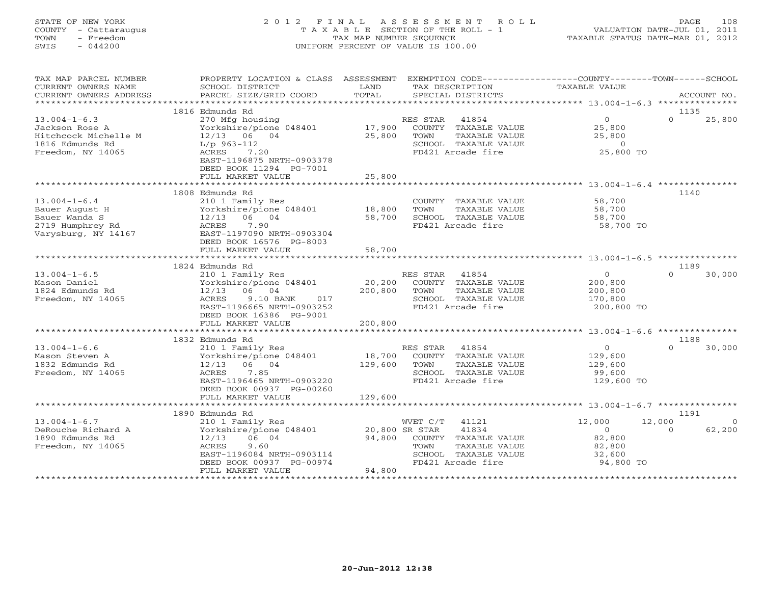## STATE OF NEW YORK 2 0 1 2 F I N A L A S S E S S M E N T R O L L PAGE 108 COUNTY - Cattaraugus T A X A B L E SECTION OF THE ROLL - 1 VALUATION DATE-JUL 01, 2011 TOWN - Freedom TAX MAP NUMBER SEQUENCE TAXABLE STATUS DATE-MAR 01, 2012 SWIS - 044200 UNIFORM PERCENT OF VALUE IS 100.00UNIFORM PERCENT OF VALUE IS 100.00

| TAX MAP PARCEL NUMBER<br>CURRENT OWNERS NAME<br>CURRENT OWNERS ADDRESS | PROPERTY LOCATION & CLASS ASSESSMENT<br>SCHOOL DISTRICT<br>PARCEL SIZE/GRID COORD | LAND<br>TOTAL            | EXEMPTION CODE-----------------COUNTY-------TOWN------SCHOOL<br>TAX DESCRIPTION<br>SPECIAL DISTRICTS | TAXABLE VALUE       | ACCOUNT NO.                    |
|------------------------------------------------------------------------|-----------------------------------------------------------------------------------|--------------------------|------------------------------------------------------------------------------------------------------|---------------------|--------------------------------|
|                                                                        | 1816 Edmunds Rd                                                                   |                          |                                                                                                      |                     | 1135                           |
| $13.004 - 1 - 6.3$                                                     | 270 Mfg housing                                                                   |                          | RES STAR 41854                                                                                       | $\overline{0}$      | $\Omega$<br>25,800             |
| Jackson Rose A                                                         | Yorkshire/pione 048401                                                            | 17,900                   | COUNTY TAXABLE VALUE                                                                                 | 25,800              |                                |
| Hitchcock Michelle M                                                   | 12/13 06 04                                                                       | 25,800                   | TOWN<br>TAXABLE VALUE                                                                                | 25,800              |                                |
| 1816 Edmunds Rd                                                        | $L/p$ 963-112                                                                     |                          | SCHOOL TAXABLE VALUE                                                                                 | $\Omega$            |                                |
| Freedom, NY 14065                                                      | 7.20<br>ACRES                                                                     |                          | FD421 Arcade fire                                                                                    | 25,800 TO           |                                |
|                                                                        | EAST-1196875 NRTH-0903378                                                         |                          |                                                                                                      |                     |                                |
|                                                                        | DEED BOOK 11294 PG-7001                                                           |                          |                                                                                                      |                     |                                |
|                                                                        | FULL MARKET VALUE                                                                 | 25,800                   |                                                                                                      |                     |                                |
|                                                                        | ************************                                                          |                          |                                                                                                      |                     |                                |
|                                                                        | 1808 Edmunds Rd                                                                   |                          |                                                                                                      |                     | 1140                           |
| $13.004 - 1 - 6.4$                                                     | 210 1 Family Res                                                                  |                          | COUNTY TAXABLE VALUE                                                                                 | 58,700              |                                |
| Bauer August H                                                         | Yorkshire/pione 048401                                                            | 18,800                   | TAXABLE VALUE<br>TOWN                                                                                | 58,700              |                                |
| Bauer Wanda S<br>2719 Humphrey Rd                                      | $12/13$ 06 04<br>ACRES<br>7.90                                                    | 58,700                   | SCHOOL TAXABLE VALUE<br>FD421 Arcade fire                                                            | 58,700<br>58,700 TO |                                |
| Varysburg, NY 14167                                                    | EAST-1197090 NRTH-0903304                                                         |                          |                                                                                                      |                     |                                |
|                                                                        | DEED BOOK 16576 PG-8003                                                           |                          |                                                                                                      |                     |                                |
|                                                                        | FULL MARKET VALUE                                                                 | 58,700                   |                                                                                                      |                     |                                |
|                                                                        |                                                                                   |                          |                                                                                                      |                     |                                |
|                                                                        | 1824 Edmunds Rd                                                                   |                          |                                                                                                      |                     | 1189                           |
| $13.004 - 1 - 6.5$                                                     | 210 1 Family Res                                                                  |                          | RES STAR<br>41854                                                                                    | $\circ$             | $\Omega$<br>30,000             |
| Mason Daniel                                                           | Yorkshire/pione 048401                                                            | 20,200                   | COUNTY TAXABLE VALUE                                                                                 | 200,800             |                                |
| 1824 Edmunds Rd                                                        | 12/13 06 04                                                                       | 200,800                  | TAXABLE VALUE<br>TOWN                                                                                | 200,800             |                                |
| Freedom, NY 14065                                                      | ACRES<br>9.10 BANK<br>017                                                         |                          | SCHOOL TAXABLE VALUE                                                                                 | 170,800             |                                |
|                                                                        | EAST-1196665 NRTH-0903252                                                         |                          | FD421 Arcade fire                                                                                    | 200,800 TO          |                                |
|                                                                        | DEED BOOK 16386 PG-9001                                                           |                          |                                                                                                      |                     |                                |
|                                                                        | FULL MARKET VALUE                                                                 | 200,800                  |                                                                                                      |                     |                                |
|                                                                        | 1832 Edmunds Rd                                                                   |                          |                                                                                                      |                     | 1188                           |
| $13.004 - 1 - 6.6$                                                     | 210 1 Family Res                                                                  |                          | RES STAR 41854                                                                                       | $\overline{0}$      | $\Omega$<br>30,000             |
| Mason Steven A                                                         | Yorkshire/pione 048401                                                            | 18,700                   | COUNTY TAXABLE VALUE                                                                                 | 129,600             |                                |
| 1832 Edmunds Rd                                                        | $12/13$ 06 04                                                                     | 129,600                  | TAXABLE VALUE<br>TOWN                                                                                | 129,600             |                                |
| Freedom, NY 14065                                                      | ACRES<br>7.85                                                                     |                          | SCHOOL TAXABLE VALUE                                                                                 | 99,600              |                                |
|                                                                        | EAST-1196465 NRTH-0903220                                                         |                          | FD421 Arcade fire                                                                                    | 129,600 TO          |                                |
|                                                                        | DEED BOOK 00937 PG-00260                                                          |                          |                                                                                                      |                     |                                |
|                                                                        | FULL MARKET VALUE                                                                 | 129,600                  |                                                                                                      |                     |                                |
|                                                                        | *****************************                                                     |                          |                                                                                                      |                     |                                |
|                                                                        | 1890 Edmunds Rd                                                                   |                          |                                                                                                      |                     | 1191                           |
| $13.004 - 1 - 6.7$                                                     | 210 1 Family Res                                                                  |                          | WVET C/T<br>41121                                                                                    | 12,000              | 12,000<br>$\Omega$<br>$\Omega$ |
| DeRouche Richard A<br>1890 Edmunds Rd                                  | Yorkshire/pione 048401<br>12/13<br>06 04                                          | 20,800 SR STAR<br>94,800 | 41834<br>COUNTY TAXABLE VALUE                                                                        | $\circ$<br>82,800   | 62,200                         |
| Freedom, NY 14065                                                      | ACRES<br>9.60                                                                     |                          | TOWN<br>TAXABLE VALUE                                                                                | 82,800              |                                |
|                                                                        | EAST-1196084 NRTH-0903114                                                         |                          | SCHOOL TAXABLE VALUE                                                                                 | 32,600              |                                |
|                                                                        | DEED BOOK 00937 PG-00974                                                          |                          | FD421 Arcade fire                                                                                    | 94,800 TO           |                                |
|                                                                        | FULL MARKET VALUE                                                                 | 94,800                   |                                                                                                      |                     |                                |
|                                                                        |                                                                                   |                          |                                                                                                      |                     |                                |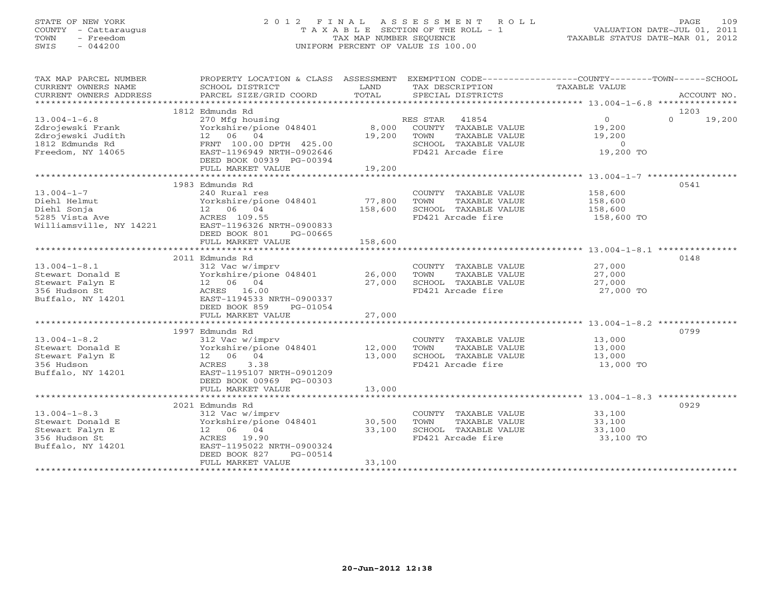## STATE OF NEW YORK 2 0 1 2 F I N A L A S S E S S M E N T R O L L PAGE 109 COUNTY - Cattaraugus T A X A B L E SECTION OF THE ROLL - 1 VALUATION DATE-JUL 01, 2011 TOWN - Freedom TAX MAP NUMBER SEQUENCE TAXABLE STATUS DATE-MAR 01, 2012 SWIS - 044200 UNIFORM PERCENT OF VALUE IS 100.00UNIFORM PERCENT OF VALUE IS 100.00

| TAX MAP PARCEL NUMBER<br>CURRENT OWNERS NAME<br>CURRENT OWNERS ADDRESS | SCHOOL DISTRICT<br>PARCEL SIZE/GRID COORD        | LAND<br>TOTAL | TAX DESCRIPTION<br>SPECIAL DISTRICTS | PROPERTY LOCATION & CLASS ASSESSMENT EXEMPTION CODE---------------COUNTY-------TOWN-----SCHOOL<br>TAXABLE VALUE<br>ACCOUNT NO. |
|------------------------------------------------------------------------|--------------------------------------------------|---------------|--------------------------------------|--------------------------------------------------------------------------------------------------------------------------------|
|                                                                        |                                                  |               |                                      |                                                                                                                                |
|                                                                        | 1812 Edmunds Rd                                  |               |                                      | 1203                                                                                                                           |
| $13.004 - 1 - 6.8$                                                     | 270 Mfg housing                                  |               | RES STAR 41854                       | $\Omega$<br>$\Omega$<br>19,200                                                                                                 |
| Zdrojewski Frank                                                       | Yorkshire/pione 048401 8,000                     |               | COUNTY TAXABLE VALUE                 | 19,200                                                                                                                         |
| Zdrojewski Judith                                                      | 12 06 04                                         | 19,200 TOWN   | TAXABLE VALUE                        | 19,200                                                                                                                         |
| 1812 Edmunds Rd                                                        | FRNT 100.00 DPTH 425.00                          |               | SCHOOL TAXABLE VALUE                 | $\circ$                                                                                                                        |
| Freedom, NY 14065                                                      | EAST-1196949 NRTH-0902646                        |               | FD421 Arcade fire                    | 19,200 TO                                                                                                                      |
|                                                                        | DEED BOOK 00939 PG-00394                         |               |                                      |                                                                                                                                |
|                                                                        | FULL MARKET VALUE                                | 19,200        |                                      |                                                                                                                                |
|                                                                        |                                                  |               |                                      |                                                                                                                                |
|                                                                        | 1983 Edmunds Rd                                  |               |                                      | 0541                                                                                                                           |
| $13.004 - 1 - 7$                                                       | 240 Rural res                                    |               | COUNTY TAXABLE VALUE                 | 158,600                                                                                                                        |
| Diehl Helmut                                                           | Yorkshire/pione 048401                           | 77,800        | TOWN<br>TAXABLE VALUE                | 158,600                                                                                                                        |
| Diehl Sonja                                                            | 12  06  04                                       | 158,600       | SCHOOL TAXABLE VALUE                 | 158,600                                                                                                                        |
| 5285 Vista Ave<br>Williamsville, NY 14221                              | ACRES 109.55                                     |               | FD421 Arcade fire                    | 158,600 TO                                                                                                                     |
|                                                                        | EAST-1196326 NRTH-0900833                        |               |                                      |                                                                                                                                |
|                                                                        | DEED BOOK 801<br>PG-00665                        |               |                                      |                                                                                                                                |
|                                                                        | FULL MARKET VALUE                                | 158,600       |                                      |                                                                                                                                |
|                                                                        |                                                  |               |                                      |                                                                                                                                |
|                                                                        | 2011 Edmunds Rd                                  |               |                                      | 0148                                                                                                                           |
| $13.004 - 1 - 8.1$                                                     | 312 Vac w/imprv                                  |               | COUNTY TAXABLE VALUE 27,000          |                                                                                                                                |
| Stewart Donald E                                                       | Yorkshire/pione 048401                           | 26,000        | TAXABLE VALUE<br>TOWN                | 27,000<br>27,000                                                                                                               |
| Stewart Falyn E                                                        | 12 06 04                                         | 27,000        | SCHOOL TAXABLE VALUE                 |                                                                                                                                |
| 356 Hudson St                                                          | ACRES 16.00                                      |               | FD421 Arcade fire                    | 27,000 TO                                                                                                                      |
| Buffalo, NY 14201                                                      | EAST-1194533 NRTH-0900337                        |               |                                      |                                                                                                                                |
|                                                                        | DEED BOOK 859<br>PG-01054                        |               |                                      |                                                                                                                                |
|                                                                        | FULL MARKET VALUE                                | 27,000        |                                      |                                                                                                                                |
|                                                                        |                                                  |               |                                      |                                                                                                                                |
|                                                                        | 1997 Edmunds Rd                                  |               |                                      | 0799                                                                                                                           |
| $13.004 - 1 - 8.2$                                                     | 312 Vac w/imprv                                  |               | COUNTY TAXABLE VALUE                 | 13,000                                                                                                                         |
| Stewart Donald E                                                       | Yorkshire/pione 048401 12,000                    |               | TOWN<br>TAXABLE VALUE                | 13,000                                                                                                                         |
| Stewart Falyn E                                                        | 12 06 04                                         | 13,000        | SCHOOL TAXABLE VALUE                 | 13,000                                                                                                                         |
| 356 Hudson                                                             | ACRES<br>3.38                                    |               | FD421 Arcade fire                    | 13,000 TO                                                                                                                      |
| Buffalo, NY 14201                                                      | EAST-1195107 NRTH-0901209                        |               |                                      |                                                                                                                                |
|                                                                        | DEED BOOK 00969 PG-00303                         |               |                                      |                                                                                                                                |
|                                                                        | FULL MARKET VALUE                                | 13,000        |                                      |                                                                                                                                |
|                                                                        |                                                  |               |                                      |                                                                                                                                |
|                                                                        | 2021 Edmunds Rd                                  |               |                                      | 0929                                                                                                                           |
| $13.004 - 1 - 8.3$                                                     | 312 Vac w/imprv<br>Yorkshire/pione 048401 30,500 |               | COUNTY TAXABLE VALUE                 | 33,100                                                                                                                         |
| Stewart Donald E                                                       |                                                  |               | TOWN<br>TAXABLE VALUE                | 33,100                                                                                                                         |
| Stewart Falyn E                                                        | 12 06 04                                         | 33,100        | SCHOOL TAXABLE VALUE                 | 33,100                                                                                                                         |
| 356 Hudson St                                                          | ACRES 19.90                                      |               | FD421 Arcade fire                    | 33,100 TO                                                                                                                      |
| Buffalo, NY 14201                                                      | EAST-1195022 NRTH-0900324                        |               |                                      |                                                                                                                                |
|                                                                        | PG-00514<br>DEED BOOK 827                        |               |                                      |                                                                                                                                |
|                                                                        | FULL MARKET VALUE                                | 33,100        |                                      |                                                                                                                                |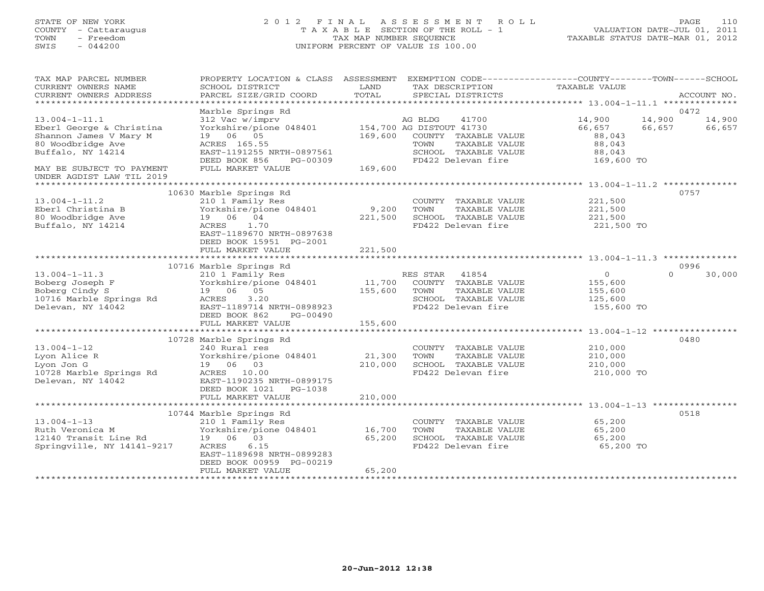# STATE OF NEW YORK 2 0 1 2 F I N A L A S S E S S M E N T R O L L PAGE 110 COUNTY - Cattaraugus T A X A B L E SECTION OF THE ROLL - 1 VALUATION DATE-JUL 01, 2011 TOWN - Freedom TAX MAP NUMBER SEQUENCE TAXABLE STATUS DATE-MAR 01, 2012 SWIS - 044200 UNIFORM PERCENT OF VALUE IS 100.00UNIFORM PERCENT OF VALUE IS 100.00

| TAX MAP PARCEL NUMBER<br>CURRENT OWNERS NAME<br>CURRENT OWNERS ADDRESS                                   | PROPERTY LOCATION & CLASS ASSESSMENT<br>SCHOOL DISTRICT<br>PARCEL SIZE/GRID COORD                                                                            | LAND<br>TOTAL              | EXEMPTION CODE-----------------COUNTY-------TOWN------SCHOOL<br>TAX DESCRIPTION<br>SPECIAL DISTRICTS          | TAXABLE VALUE                                                 | ACCOUNT NO.                                  |
|----------------------------------------------------------------------------------------------------------|--------------------------------------------------------------------------------------------------------------------------------------------------------------|----------------------------|---------------------------------------------------------------------------------------------------------------|---------------------------------------------------------------|----------------------------------------------|
| ******************************                                                                           |                                                                                                                                                              |                            |                                                                                                               |                                                               |                                              |
| $13.004 - 1 - 11.1$<br>Eberl George & Christina<br>Shannon James V Mary M                                | Marble Springs Rd<br>312 Vac w/imprv<br>Yorkshire/pione 048401 154,700 AG DISTOUT 41730<br>19 06 05                                                          | 169,600                    | AG BLDG<br>41700<br>COUNTY TAXABLE VALUE                                                                      | 14,900<br>66,657<br>88,043                                    | 0472<br>14,900<br>14,900<br>66,657<br>66,657 |
| 80 Woodbridge Ave<br>Buffalo, NY 14214                                                                   | ACRES 165.55<br>EAST-1191255 NRTH-0897561<br>DEED BOOK 856<br>PG-00309                                                                                       | 169,600                    | TOWN<br>TAXABLE VALUE<br>SCHOOL TAXABLE VALUE<br>FD422 Delevan fire                                           | 88,043<br>88,043<br>169,600 TO                                |                                              |
| MAY BE SUBJECT TO PAYMENT<br>UNDER AGDIST LAW TIL 2019                                                   | FULL MARKET VALUE                                                                                                                                            |                            |                                                                                                               |                                                               |                                              |
|                                                                                                          | 10630 Marble Springs Rd                                                                                                                                      |                            |                                                                                                               |                                                               | 0757                                         |
| $13.004 - 1 - 11.2$<br>Eberl Christina B<br>80 Woodbridge Ave<br>Buffalo, NY 14214                       | 210 1 Family Res<br>Yorkshire/pione 048401<br>19 06 04<br>1.70<br>ACRES<br>EAST-1189670 NRTH-0897638<br>DEED BOOK 15951 PG-2001                              | 9,200<br>221,500           | COUNTY TAXABLE VALUE<br>TOWN<br>TAXABLE VALUE<br>SCHOOL TAXABLE VALUE<br>FD422 Delevan fire                   | 221,500<br>221,500<br>221,500<br>221,500 TO                   |                                              |
|                                                                                                          | FULL MARKET VALUE                                                                                                                                            | 221,500                    |                                                                                                               |                                                               |                                              |
|                                                                                                          |                                                                                                                                                              |                            |                                                                                                               |                                                               |                                              |
| $13.004 - 1 - 11.3$<br>Boberg Joseph F<br>Boberg Cindy S<br>10716 Marble Springs Rd<br>Delevan, NY 14042 | 10716 Marble Springs Rd<br>210 1 Family Res<br>Yorkshire/pione 048401<br>19 06 05<br>3.20<br>ACRES<br>EAST-1189714 NRTH-0898923<br>DEED BOOK 862<br>PG-00490 | 11,700<br>155,600          | RES STAR 41854<br>COUNTY TAXABLE VALUE<br>TAXABLE VALUE<br>TOWN<br>SCHOOL TAXABLE VALUE<br>FD422 Delevan fire | $\overline{O}$<br>155,600<br>155,600<br>125,600<br>155,600 TO | 0996<br>$\Omega$<br>30,000                   |
|                                                                                                          | FULL MARKET VALUE                                                                                                                                            | 155,600                    |                                                                                                               |                                                               |                                              |
|                                                                                                          |                                                                                                                                                              |                            |                                                                                                               |                                                               |                                              |
| $13.004 - 1 - 12$<br>Lyon Alice R<br>Lyon Jon G<br>10728 Marble Springs Rd<br>Delevan, NY 14042          | 10728 Marble Springs Rd<br>240 Rural res<br>Yorkshire/pione 048401<br>19 06 03<br>ACRES 10.00<br>EAST-1190235 NRTH-0899175<br>DEED BOOK 1021<br>PG-1038      | 21,300<br>210,000          | COUNTY TAXABLE VALUE<br>TAXABLE VALUE<br>TOWN<br>SCHOOL TAXABLE VALUE<br>FD422 Delevan fire                   | 210,000<br>210,000<br>210,000<br>210,000 TO                   | 0480                                         |
|                                                                                                          | FULL MARKET VALUE                                                                                                                                            | 210,000                    |                                                                                                               |                                                               |                                              |
|                                                                                                          | 10744 Marble Springs Rd                                                                                                                                      |                            |                                                                                                               |                                                               | 0518                                         |
| $13.004 - 1 - 13$<br>Ruth Veronica M<br>12140 Transit Line Rd<br>Springville, NY 14141-9217              | 210 1 Family Res<br>Yorkshire/pione 048401<br>19 06 03<br>ACRES<br>6.15<br>EAST-1189698 NRTH-0899283<br>DEED BOOK 00959 PG-00219<br>FULL MARKET VALUE        | 16,700<br>65,200<br>65,200 | COUNTY TAXABLE VALUE<br>TOWN<br>TAXABLE VALUE<br>SCHOOL TAXABLE VALUE<br>FD422 Delevan fire                   | 65,200<br>65,200<br>65,200<br>65,200 TO                       |                                              |
| ***********************                                                                                  |                                                                                                                                                              |                            |                                                                                                               |                                                               |                                              |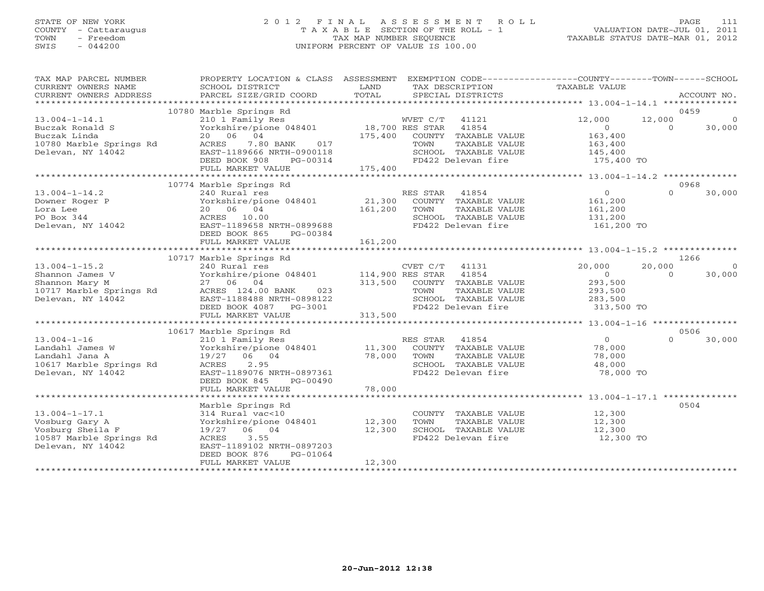## STATE OF NEW YORK 2 0 1 2 F I N A L A S S E S S M E N T R O L L PAGE 111 COUNTY - Cattaraugus T A X A B L E SECTION OF THE ROLL - 1 VALUATION DATE-JUL 01, 2011 TOWN - Freedom TAX MAP NUMBER SEQUENCE TAXABLE STATUS DATE-MAR 01, 2012 SWIS - 044200 UNIFORM PERCENT OF VALUE IS 100.00UNIFORM PERCENT OF VALUE IS 100.00

| TAX MAP PARCEL NUMBER<br>CURRENT OWNERS NAME<br>CURRENT OWNERS ADDRESS | PROPERTY LOCATION & CLASS ASSESSMENT<br>SCHOOL DISTRICT<br>PARCEL SIZE/GRID COORD | LAND<br>TOTAL    | EXEMPTION CODE----------------COUNTY-------TOWN------SCHOOL<br>TAX DESCRIPTION<br>SPECIAL DISTRICTS | TAXABLE VALUE             |          | ACCOUNT NO.    |
|------------------------------------------------------------------------|-----------------------------------------------------------------------------------|------------------|-----------------------------------------------------------------------------------------------------|---------------------------|----------|----------------|
|                                                                        |                                                                                   |                  |                                                                                                     |                           |          |                |
|                                                                        | 10780 Marble Springs Rd                                                           |                  |                                                                                                     |                           |          | 0459           |
| $13.004 - 1 - 14.1$                                                    | 210 1 Family Res                                                                  |                  | WVET C/T 41121                                                                                      | 12,000                    | 12,000   | $\overline{0}$ |
| Buczak Ronald S                                                        | Yorkshire/pione 048401 18,700 RES STAR                                            |                  | 41854                                                                                               | $\overline{O}$<br>163,400 | $\Omega$ | 30,000         |
| Buczak Linda<br>10780 Marble Springs Rd                                | 20 06 04<br>017<br>ACRES                                                          | 175,400          | COUNTY TAXABLE VALUE<br>TOWN<br>TAXABLE VALUE                                                       |                           |          |                |
| Delevan, NY 14042                                                      | 7.80 BANK<br>EAST-1189666 NRTH-0900118                                            |                  | SCHOOL TAXABLE VALUE                                                                                | 163,400<br>145,400        |          |                |
|                                                                        | DEED BOOK 908<br>PG-00314                                                         |                  | FD422 Delevan fire                                                                                  | 175,400 TO                |          |                |
|                                                                        | FULL MARKET VALUE                                                                 | 175,400          |                                                                                                     |                           |          |                |
|                                                                        |                                                                                   |                  |                                                                                                     |                           |          |                |
|                                                                        | 10774 Marble Springs Rd                                                           |                  |                                                                                                     |                           |          | 0968           |
| $13.004 - 1 - 14.2$                                                    | 240 Rural res                                                                     |                  | RES STAR<br>41854                                                                                   | $\overline{0}$            | $\cap$   | 30,000         |
| Downer Roger P                                                         | Yorkshire/pione 048401                                                            | 21,300           | COUNTY TAXABLE VALUE                                                                                | 161,200                   |          |                |
| Lora Lee                                                               | 20 06 04                                                                          | 161,200          | TOWN<br>TAXABLE VALUE                                                                               | 161,200                   |          |                |
| PO Box 344                                                             | ACRES 10.00                                                                       |                  | SCHOOL TAXABLE VALUE                                                                                | 131,200                   |          |                |
| Delevan, NY 14042                                                      | EAST-1189658 NRTH-0899688                                                         |                  | FD422 Delevan fire                                                                                  | 161,200 TO                |          |                |
|                                                                        | DEED BOOK 865<br>PG-00384                                                         |                  |                                                                                                     |                           |          |                |
|                                                                        | FULL MARKET VALUE                                                                 | 161,200          |                                                                                                     |                           |          |                |
|                                                                        | 10717 Marble Springs Rd                                                           |                  |                                                                                                     |                           |          | 1266           |
| $13.004 - 1 - 15.2$                                                    |                                                                                   |                  |                                                                                                     | 20,000                    | 20,000   | $\overline{0}$ |
| Shannon James V                                                        |                                                                                   |                  |                                                                                                     | $\circ$                   | $\Omega$ | 30,000         |
| Shannon Mary M                                                         | 27 06 04                                                                          | 313,500          | COUNTY TAXABLE VALUE                                                                                | 293,500                   |          |                |
| 10717 Marble Springs Rd                                                | ACRES 124.00 BANK 023                                                             |                  | TOWN<br>TAXABLE VALUE                                                                               | 293,500                   |          |                |
| Delevan, NY 14042                                                      | EAST-1188488 NRTH-0898122                                                         |                  | SCHOOL TAXABLE VALUE                                                                                | 283,500                   |          |                |
|                                                                        | DEED BOOK 4087 PG-3001                                                            |                  | FD422 Delevan fire                                                                                  | 313,500 TO                |          |                |
|                                                                        | FULL MARKET VALUE                                                                 | 313,500          |                                                                                                     |                           |          |                |
|                                                                        |                                                                                   |                  |                                                                                                     |                           |          |                |
|                                                                        | 10617 Marble Springs Rd                                                           |                  |                                                                                                     |                           |          | 0506           |
| $13.004 - 1 - 16$                                                      | 210 1 Family Res                                                                  |                  | RES STAR 41854                                                                                      | $\overline{0}$            | $\Omega$ | 30,000         |
| Landahl James W                                                        | Yorkshire/pione 048401                                                            | 11,300<br>78,000 | COUNTY TAXABLE VALUE                                                                                | 78,000                    |          |                |
| Landahl Jana A<br>10617 Marble Springs Rd                              | 19/27 06 04<br>2.95<br>ACRES                                                      |                  | TOWN<br>TAXABLE VALUE<br>SCHOOL TAXABLE VALUE                                                       | 78,000<br>48,000          |          |                |
| Delevan, NY 14042                                                      | EAST-1189076 NRTH-0897361                                                         |                  | FD422 Delevan fire                                                                                  | 78,000 TO                 |          |                |
|                                                                        | DEED BOOK 845<br>PG-00490                                                         |                  |                                                                                                     |                           |          |                |
|                                                                        | FULL MARKET VALUE                                                                 | 78,000           |                                                                                                     |                           |          |                |
|                                                                        |                                                                                   |                  |                                                                                                     |                           |          |                |
|                                                                        | Marble Springs Rd                                                                 |                  |                                                                                                     |                           |          | 0504           |
| $13.004 - 1 - 17.1$                                                    | 314 Rural vac<10                                                                  |                  | COUNTY TAXABLE VALUE                                                                                | 12,300                    |          |                |
| Vosburg Gary A                                                         | Yorkshire/pione 048401                                                            | 12,300           | TAXABLE VALUE<br>TOWN                                                                               | 12,300                    |          |                |
| Vosburg Sheila F                                                       | 19/27 06 04                                                                       | 12,300           | SCHOOL TAXABLE VALUE                                                                                | 12,300                    |          |                |
| 10587 Marble Springs Rd                                                | ACRES<br>3.55                                                                     |                  | FD422 Delevan fire                                                                                  | 12,300 TO                 |          |                |
| Delevan, NY 14042                                                      | EAST-1189102 NRTH-0897203                                                         |                  |                                                                                                     |                           |          |                |
|                                                                        | DEED BOOK 876<br>PG-01064<br>FULL MARKET VALUE                                    | 12,300           |                                                                                                     |                           |          |                |
|                                                                        |                                                                                   |                  |                                                                                                     |                           |          |                |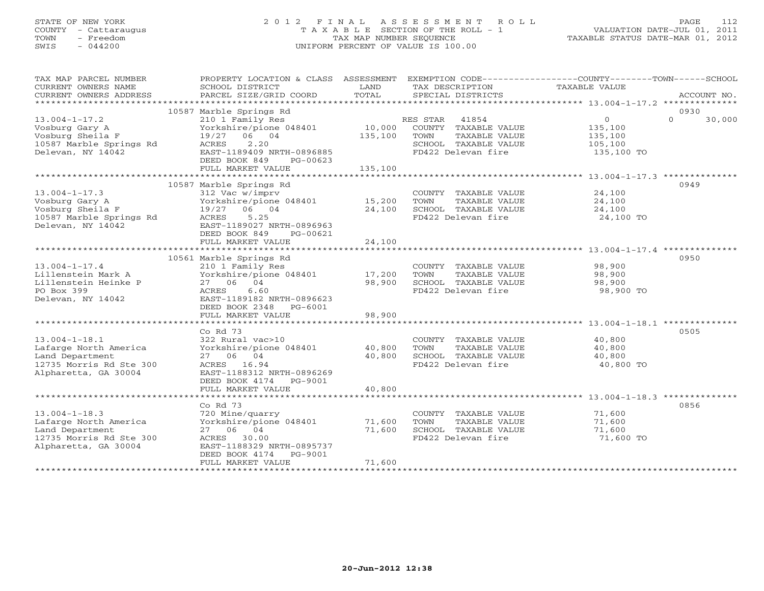# STATE OF NEW YORK 2 0 1 2 F I N A L A S S E S S M E N T R O L L PAGE 112 COUNTY - Cattaraugus T A X A B L E SECTION OF THE ROLL - 1 VALUATION DATE-JUL 01, 2011 TOWN - Freedom TAX MAP NUMBER SEQUENCE TAXABLE STATUS DATE-MAR 01, 2012 SWIS - 044200 UNIFORM PERCENT OF VALUE IS 100.00UNIFORM PERCENT OF VALUE IS 100.00

| TAX MAP PARCEL NUMBER<br>CURRENT OWNERS NAME<br>CURRENT OWNERS ADDRESS                                             | PROPERTY LOCATION & CLASS ASSESSMENT<br>SCHOOL DISTRICT<br>PARCEL SIZE/GRID COORD                                                                                                    | LAND<br>TOTAL                | EXEMPTION CODE-----------------COUNTY-------TOWN------SCHOOL<br>TAX DESCRIPTION<br>SPECIAL DISTRICTS          | TAXABLE VALUE                                                 | ACCOUNT NO.        |
|--------------------------------------------------------------------------------------------------------------------|--------------------------------------------------------------------------------------------------------------------------------------------------------------------------------------|------------------------------|---------------------------------------------------------------------------------------------------------------|---------------------------------------------------------------|--------------------|
| ***********************                                                                                            |                                                                                                                                                                                      |                              |                                                                                                               |                                                               | 0930               |
| $13.004 - 1 - 17.2$<br>Vosburg Gary A<br>Vosburg Sheila F<br>10587 Marble Springs Rd<br>Delevan, NY 14042          | 10587 Marble Springs Rd<br>210 1 Family Res<br>Yorkshire/pione 048401<br>19/27 06 04<br>2.20<br>ACRES<br>EAST-1189409 NRTH-0896885<br>DEED BOOK 849<br>PG-00623<br>FULL MARKET VALUE | 10,000<br>135,100<br>135,100 | RES STAR 41854<br>COUNTY TAXABLE VALUE<br>TOWN<br>TAXABLE VALUE<br>SCHOOL TAXABLE VALUE<br>FD422 Delevan fire | $\overline{0}$<br>135,100<br>135,100<br>105,100<br>135,100 TO | $\Omega$<br>30,000 |
|                                                                                                                    | 10587 Marble Springs Rd                                                                                                                                                              |                              |                                                                                                               |                                                               | 0949               |
| $13.004 - 1 - 17.3$<br>Vosburg Gary A<br>Vosburg Sheila F<br>10587 Marble Springs Rd<br>Delevan, NY 14042          | 312 Vac w/imprv<br>Yorkshire/pione 048401<br>19/27 06 04<br>5.25<br>ACRES<br>EAST-1189027 NRTH-0896963<br>DEED BOOK 849<br>PG-00621                                                  | 15,200<br>24,100             | COUNTY TAXABLE VALUE<br>TOWN<br>TAXABLE VALUE<br>SCHOOL TAXABLE VALUE<br>FD422 Delevan fire                   | 24,100<br>24,100<br>24,100<br>24,100 TO                       |                    |
|                                                                                                                    | FULL MARKET VALUE                                                                                                                                                                    | 24,100                       |                                                                                                               |                                                               |                    |
|                                                                                                                    | 10561 Marble Springs Rd                                                                                                                                                              |                              |                                                                                                               |                                                               | 0950               |
| $13.004 - 1 - 17.4$<br>Lillenstein Mark A<br>Lillenstein Heinke P<br>PO Box 399<br>Delevan, NY 14042               | 210 1 Family Res<br>Yorkshire/pione 048401<br>27 06 04<br>6.60<br>ACRES<br>EAST-1189182 NRTH-0896623<br>DEED BOOK 2348 PG-6001                                                       | 17,200<br>98,900             | COUNTY TAXABLE VALUE<br>TOWN<br>TAXABLE VALUE<br>SCHOOL TAXABLE VALUE<br>FD422 Delevan fire                   | 98,900<br>98,900<br>98,900<br>98,900 TO                       |                    |
|                                                                                                                    | FULL MARKET VALUE                                                                                                                                                                    | 98,900                       |                                                                                                               |                                                               |                    |
| $13.004 - 1 - 18.1$<br>Lafarge North America<br>Land Department<br>12735 Morris Rd Ste 300<br>Alpharetta, GA 30004 | $Co$ Rd $73$<br>322 Rural vac>10<br>Yorkshire/pione 048401<br>27 06 04<br>ACRES 16.94<br>EAST-1188312 NRTH-0896269<br>DEED BOOK 4174 PG-9001                                         | 40,800<br>40,800             | COUNTY TAXABLE VALUE<br>TOWN<br>TAXABLE VALUE<br>SCHOOL TAXABLE VALUE<br>FD422 Delevan fire                   | 40,800<br>40,800<br>40,800<br>40,800 TO                       | 0505               |
|                                                                                                                    | FULL MARKET VALUE                                                                                                                                                                    | 40,800                       |                                                                                                               |                                                               |                    |
| $13.004 - 1 - 18.3$<br>Lafarge North America<br>Land Department<br>12735 Morris Rd Ste 300<br>Alpharetta, GA 30004 | Co Rd 73<br>720 Mine/quarry<br>Yorkshire/pione 048401<br>27 06 04<br>ACRES 30.00<br>EAST-1188329 NRTH-0895737                                                                        | 71,600<br>71,600             | COUNTY TAXABLE VALUE<br>TOWN<br>TAXABLE VALUE<br>SCHOOL TAXABLE VALUE<br>FD422 Delevan fire                   | 71,600<br>71,600<br>71,600<br>71,600 TO                       | 0856               |
|                                                                                                                    | DEED BOOK 4174 PG-9001<br>FULL MARKET VALUE                                                                                                                                          | 71,600                       |                                                                                                               |                                                               |                    |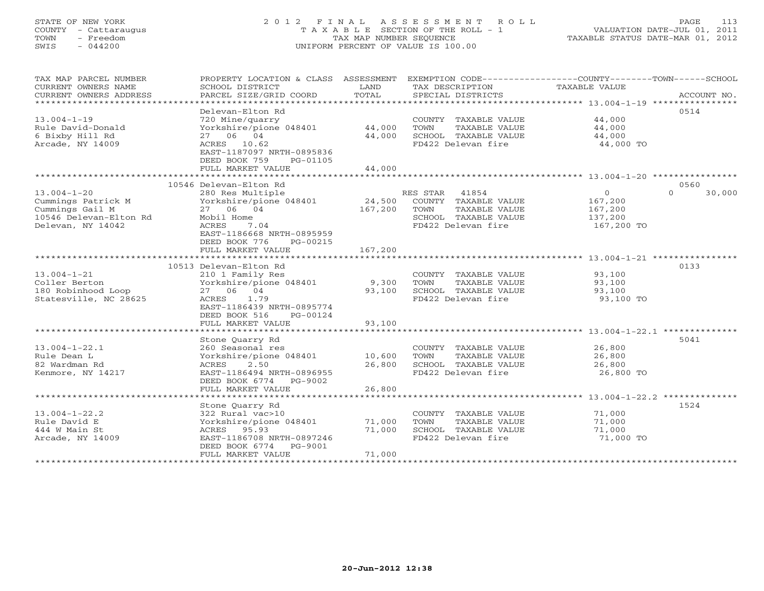# STATE OF NEW YORK 2 0 1 2 F I N A L A S S E S S M E N T R O L L PAGE 113 COUNTY - Cattaraugus T A X A B L E SECTION OF THE ROLL - 1 VALUATION DATE-JUL 01, 2011 TOWN - Freedom TAX MAP NUMBER SEQUENCE TAXABLE STATUS DATE-MAR 01, 2012 SWIS - 044200 UNIFORM PERCENT OF VALUE IS 100.00UNIFORM PERCENT OF VALUE IS 100.00

| TAX MAP PARCEL NUMBER<br>CURRENT OWNERS NAME<br>CURRENT OWNERS ADDRESS                                    | PROPERTY LOCATION & CLASS ASSESSMENT<br>SCHOOL DISTRICT<br>PARCEL SIZE/GRID COORD                                                                             | LAND<br>TOTAL              | EXEMPTION CODE-----------------COUNTY-------TOWN-----SCHOOL<br>TAX DESCRIPTION<br>SPECIAL DISTRICTS              | TAXABLE VALUE                                           | ACCOUNT NO.        |
|-----------------------------------------------------------------------------------------------------------|---------------------------------------------------------------------------------------------------------------------------------------------------------------|----------------------------|------------------------------------------------------------------------------------------------------------------|---------------------------------------------------------|--------------------|
| *************************<br>$13.004 - 1 - 19$<br>Rule David-Donald                                       | Delevan-Elton Rd<br>720 Mine/quarry<br>Yorkshire/pione 048401                                                                                                 | 44,000                     | COUNTY TAXABLE VALUE<br>TOWN<br>TAXABLE VALUE                                                                    | 44,000<br>44,000                                        | 0514               |
| 6 Bixby Hill Rd<br>Arcade, NY 14009                                                                       | 27 06 04<br>ACRES 10.62<br>EAST-1187097 NRTH-0895836<br>DEED BOOK 759<br>PG-01105<br>FULL MARKET VALUE                                                        | 44,000<br>44,000           | SCHOOL TAXABLE VALUE<br>FD422 Delevan fire                                                                       | 44,000<br>44,000 TO                                     |                    |
|                                                                                                           |                                                                                                                                                               |                            |                                                                                                                  |                                                         |                    |
|                                                                                                           | 10546 Delevan-Elton Rd                                                                                                                                        |                            |                                                                                                                  |                                                         | 0560               |
| $13.004 - 1 - 20$<br>Cummings Patrick M<br>Cummings Gail M<br>10546 Delevan-Elton Rd<br>Delevan, NY 14042 | 280 Res Multiple<br>Yorkshire/pione 048401<br>27 06 04<br>Mobil Home<br><b>ACRES</b><br>7.04<br>EAST-1186668 NRTH-0895959<br>DEED BOOK 776<br>PG-00215        | 24,500<br>167,200          | RES STAR<br>41854<br>COUNTY TAXABLE VALUE<br>TOWN<br>TAXABLE VALUE<br>SCHOOL TAXABLE VALUE<br>FD422 Delevan fire | $\Omega$<br>167,200<br>167,200<br>137,200<br>167,200 TO | $\Omega$<br>30,000 |
|                                                                                                           | FULL MARKET VALUE                                                                                                                                             | 167,200                    |                                                                                                                  |                                                         |                    |
| $13.004 - 1 - 21$<br>Coller Berton<br>180 Robinhood Loop<br>Statesville, NC 28625                         | 10513 Delevan-Elton Rd<br>210 1 Family Res<br>Yorkshire/pione 048401<br>27 06 04<br>1.79<br>ACRES<br>EAST-1186439 NRTH-0895774<br>DEED BOOK 516               | 9,300<br>93,100            | COUNTY TAXABLE VALUE<br>TOWN<br>TAXABLE VALUE<br>SCHOOL TAXABLE VALUE<br>FD422 Delevan fire                      | 93,100<br>93,100<br>93,100<br>93,100 TO                 | 0133               |
|                                                                                                           | PG-00124<br>FULL MARKET VALUE                                                                                                                                 | 93,100                     |                                                                                                                  |                                                         |                    |
|                                                                                                           |                                                                                                                                                               |                            |                                                                                                                  |                                                         |                    |
| $13.004 - 1 - 22.1$<br>Rule Dean L<br>82 Wardman Rd<br>Kenmore, NY 14217                                  | Stone Quarry Rd<br>260 Seasonal res<br>Yorkshire/pione 048401<br>2.50<br>ACRES<br>EAST-1186494 NRTH-0896955<br>DEED BOOK 6774<br>PG-9002<br>FULL MARKET VALUE | 10,600<br>26,800<br>26,800 | COUNTY TAXABLE VALUE<br>TOWN<br>TAXABLE VALUE<br>SCHOOL TAXABLE VALUE<br>FD422 Delevan fire                      | 26,800<br>26,800<br>26,800<br>26,800 TO                 | 5041               |
|                                                                                                           | *********************                                                                                                                                         |                            |                                                                                                                  | ************** 13.004-1-22.2                            |                    |
| $13.004 - 1 - 22.2$<br>Rule David E<br>444 W Main St<br>Arcade, NY 14009                                  | Stone Quarry Rd<br>322 Rural vac>10<br>Yorkshire/pione 048401<br>95.93<br>ACRES<br>EAST-1186708 NRTH-0897246<br>DEED BOOK 6774<br>PG-9001                     | 71,000<br>71,000           | COUNTY TAXABLE VALUE<br>TOWN<br>TAXABLE VALUE<br>SCHOOL TAXABLE VALUE<br>FD422 Delevan fire                      | 71,000<br>71,000<br>71,000<br>71,000 TO                 | 1524               |
|                                                                                                           | FULL MARKET VALUE                                                                                                                                             | 71,000                     |                                                                                                                  |                                                         |                    |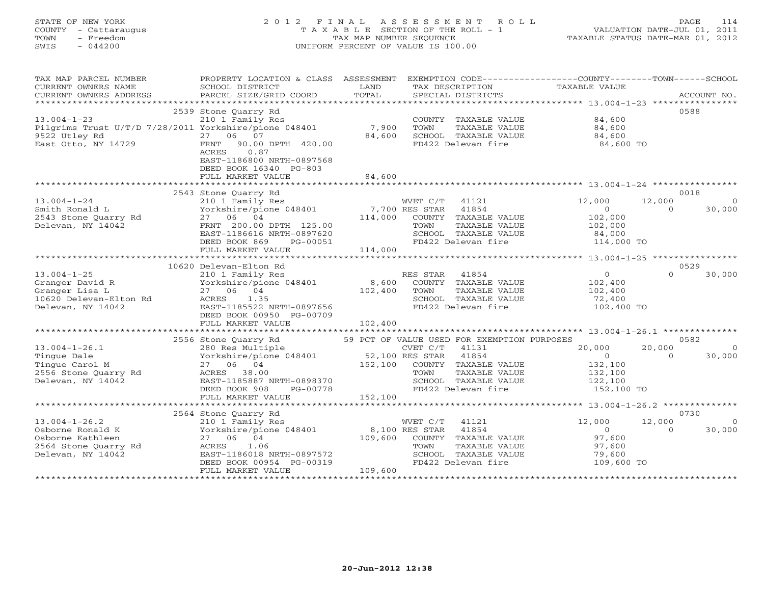# STATE OF NEW YORK 2 0 1 2 F I N A L A S S E S S M E N T R O L L PAGE 114 COUNTY - Cattaraugus T A X A B L E SECTION OF THE ROLL - 1 VALUATION DATE-JUL 01, 2011 TOWN - Freedom TAX MAP NUMBER SEQUENCE TAXABLE STATUS DATE-MAR 01, 2012 SWIS - 044200 UNIFORM PERCENT OF VALUE IS 100.00UNIFORM PERCENT OF VALUE IS 100.00

| TAX MAP PARCEL NUMBER<br>CURRENT OWNERS NAME<br>CURRENT OWNERS ADDRESS                                   | PROPERTY LOCATION & CLASS ASSESSMENT<br>SCHOOL DISTRICT<br>PARCEL SIZE/GRID COORD                                                                                                        | LAND<br>TOTAL                         | EXEMPTION CODE-----------------COUNTY-------TOWN------SCHOOL<br>TAX DESCRIPTION<br>SPECIAL DISTRICTS                                                                     | <b>TAXABLE VALUE</b>                                                    | ACCOUNT NO.                                      |
|----------------------------------------------------------------------------------------------------------|------------------------------------------------------------------------------------------------------------------------------------------------------------------------------------------|---------------------------------------|--------------------------------------------------------------------------------------------------------------------------------------------------------------------------|-------------------------------------------------------------------------|--------------------------------------------------|
| $13.004 - 1 - 23$<br>Pilgrims Trust U/T/D 7/28/2011 Yorkshire/pione 048401                               | 2539 Stone Quarry Rd<br>210 1 Family Res                                                                                                                                                 | 7,900                                 | COUNTY TAXABLE VALUE<br>TOWN<br>TAXABLE VALUE                                                                                                                            | 84,600<br>84,600                                                        | 0588                                             |
| 9522 Utley Rd<br>East Otto, NY 14729                                                                     | 27<br>06 07<br>90.00 DPTH 420.00<br>FRNT<br>ACRES<br>0.87<br>EAST-1186800 NRTH-0897568<br>DEED BOOK 16340 PG-803<br>FULL MARKET VALUE                                                    | 84,600<br>84,600                      | SCHOOL TAXABLE VALUE<br>FD422 Delevan fire                                                                                                                               | 84,600<br>84,600 TO                                                     |                                                  |
|                                                                                                          |                                                                                                                                                                                          |                                       |                                                                                                                                                                          |                                                                         |                                                  |
| $13.004 - 1 - 24$<br>Smith Ronald L<br>2543 Stone Quarry Rd<br>Delevan, NY 14042                         | 2543 Stone Quarry Rd<br>210 1 Family Res<br>Yorkshire/pione 048401<br>27 06 04<br>FRNT 200.00 DPTH 125.00<br>EAST-1186616 NRTH-0897620<br>DEED BOOK 869<br>PG-00051<br>FULL MARKET VALUE | 7,700 RES STAR<br>114,000<br>114,000  | WVET C/T 41121<br>41854<br>COUNTY TAXABLE VALUE<br>TOWN<br>TAXABLE VALUE<br>SCHOOL TAXABLE VALUE<br>FD422 Delevan fire                                                   | 12,000<br>$\circ$<br>102,000<br>102,000<br>84,000<br>114,000 TO         | 0018<br>12,000<br>$\Omega$<br>$\Omega$<br>30,000 |
|                                                                                                          |                                                                                                                                                                                          |                                       |                                                                                                                                                                          |                                                                         |                                                  |
| $13.004 - 1 - 25$<br>Granger David R<br>Granger Lisa L<br>10620 Delevan-Elton Rd<br>Delevan, NY 14042    | 10620 Delevan-Elton Rd<br>210 1 Family Res<br>Yorkshire/pione 048401<br>27 06 04<br>ACRES<br>1.35<br>EAST-1185522 NRTH-0897656<br>DEED BOOK 00950 PG-00709<br>FULL MARKET VALUE          | 8,600<br>102,400<br>102,400           | RES STAR<br>41854<br>COUNTY TAXABLE VALUE<br>TAXABLE VALUE<br>TOWN<br>SCHOOL TAXABLE VALUE<br>FD422 Delevan fire                                                         | $\circ$<br>102,400<br>102,400<br>72,400<br>102,400 TO                   | 0529<br>$\Omega$<br>30,000                       |
|                                                                                                          | 2556 Stone Quarry Rd                                                                                                                                                                     |                                       |                                                                                                                                                                          |                                                                         | 0582                                             |
| $13.004 - 1 - 26.1$<br>Tingue Dale<br>Tinque Carol M<br>2556 Stone Quarry Rd<br>Delevan, NY 14042        | 280 Res Multiple<br>Yorkshire/pione 048401<br>27 06 04<br>ACRES 38.00<br>EAST-1185887 NRTH-0898370<br>PG-00778<br>DEED BOOK 908<br>FULL MARKET VALUE                                     | 52,100 RES STAR<br>152,100<br>152,100 | 59 PCT OF VALUE USED FOR EXEMPTION PURPOSES<br>CVET C/T<br>41131<br>41854<br>COUNTY TAXABLE VALUE<br>TAXABLE VALUE<br>TOWN<br>SCHOOL TAXABLE VALUE<br>FD422 Delevan fire | 20,000<br>$\overline{0}$<br>132,100<br>132,100<br>122,100<br>152,100 TO | 20,000<br>$\Omega$<br>30,000<br>$\Omega$         |
|                                                                                                          |                                                                                                                                                                                          |                                       |                                                                                                                                                                          |                                                                         |                                                  |
| $13.004 - 1 - 26.2$<br>Osborne Ronald K<br>Osborne Kathleen<br>2564 Stone Quarry Rd<br>Delevan, NY 14042 | 2564 Stone Quarry Rd<br>210 1 Family Res<br>Yorkshire/pione 048401<br>27 06 04<br>1.06<br>ACRES<br>EAST-1186018 NRTH-0897572<br>DEED BOOK 00954 PG-00319                                 | 109,600                               | WVET C/T<br>41121<br>41854<br>8,100 RES STAR<br>COUNTY<br>TAXABLE VALUE<br>TOWN<br>TAXABLE VALUE<br>SCHOOL TAXABLE VALUE<br>FD422 Delevan fire                           | 12,000<br>$\overline{O}$<br>97,600<br>97,600<br>79,600<br>109,600 TO    | 0730<br>12,000<br>$\Omega$<br>$\Omega$<br>30,000 |
|                                                                                                          | FULL MARKET VALUE                                                                                                                                                                        | 109,600                               |                                                                                                                                                                          |                                                                         |                                                  |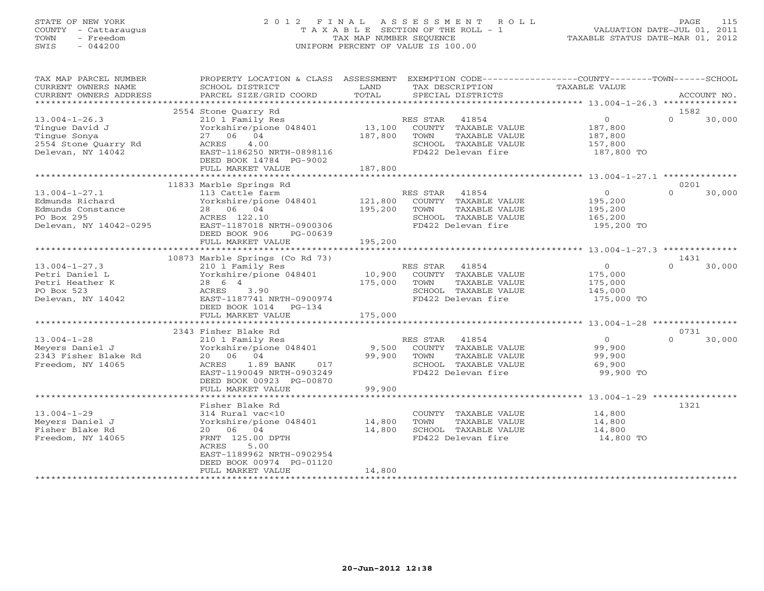## STATE OF NEW YORK 2 0 1 2 F I N A L A S S E S S M E N T R O L L PAGE 115 COUNTY - Cattaraugus T A X A B L E SECTION OF THE ROLL - 1 VALUATION DATE-JUL 01, 2011 TOWN - Freedom TAX MAP NUMBER SEQUENCE TAXABLE STATUS DATE-MAR 01, 2012 SWIS - 044200 UNIFORM PERCENT OF VALUE IS 100.00UNIFORM PERCENT OF VALUE IS 100.00

| TAX MAP PARCEL NUMBER<br>CURRENT OWNERS NAME<br>CURRENT OWNERS ADDRESS                              | PROPERTY LOCATION & CLASS ASSESSMENT<br>SCHOOL DISTRICT<br>PARCEL SIZE/GRID COORD                                                                                            | LAND<br>TOTAL                | EXEMPTION CODE----------------COUNTY-------TOWN------SCHOOL<br>TAX DESCRIPTION<br>SPECIAL DISTRICTS              | TAXABLE VALUE                                                 | ACCOUNT NO.                |
|-----------------------------------------------------------------------------------------------------|------------------------------------------------------------------------------------------------------------------------------------------------------------------------------|------------------------------|------------------------------------------------------------------------------------------------------------------|---------------------------------------------------------------|----------------------------|
|                                                                                                     |                                                                                                                                                                              |                              |                                                                                                                  |                                                               |                            |
| $13.004 - 1 - 26.3$<br>Tingue David J<br>Tinque Sonya<br>2554 Stone Ouarry Rd<br>Delevan, NY 14042  | 2554 Stone Quarry Rd<br>210 1 Family Res<br>Yorkshire/pione 048401<br>27 06 04<br>ACRES<br>4.00<br>EAST-1186250 NRTH-0898116<br>DEED BOOK 14784 PG-9002<br>FULL MARKET VALUE | 13,100<br>187,800<br>187,800 | RES STAR 41854<br>COUNTY TAXABLE VALUE<br>TOWN<br>TAXABLE VALUE<br>SCHOOL TAXABLE VALUE<br>FD422 Delevan fire    | $\overline{0}$<br>187,800<br>187,800<br>157,800<br>187,800 TO | 1582<br>$\Omega$<br>30,000 |
|                                                                                                     | *************************                                                                                                                                                    |                              |                                                                                                                  |                                                               |                            |
| $13.004 - 1 - 27.1$<br>Edmunds Richard<br>Edmunds Constance<br>PO Box 295<br>Delevan, NY 14042-0295 | 11833 Marble Springs Rd<br>113 Cattle farm<br>Yorkshire/pione 048401<br>28 06 04<br>ACRES 122.10<br>EAST-1187018 NRTH-0900306<br>DEED BOOK 906<br>PG-00639                   | 121,800<br>195,200           | RES STAR<br>41854<br>COUNTY TAXABLE VALUE<br>TOWN<br>TAXABLE VALUE<br>SCHOOL TAXABLE VALUE<br>FD422 Delevan fire | $\overline{0}$<br>195,200<br>195,200<br>165,200<br>195,200 TO | 0201<br>$\Omega$<br>30,000 |
|                                                                                                     | FULL MARKET VALUE                                                                                                                                                            | 195,200                      |                                                                                                                  |                                                               |                            |
|                                                                                                     | 10873 Marble Springs (Co Rd 73)                                                                                                                                              |                              |                                                                                                                  |                                                               | 1431                       |
| $13.004 - 1 - 27.3$<br>Petri Daniel L<br>Petri Heather K<br>PO Box 523<br>Delevan, NY 14042         | 210 1 Family Res<br>Yorkshire/pione 048401<br>28 6 4<br>ACRES<br>3.90<br>EAST-1187741 NRTH-0900974<br>DEED BOOK 1014<br>$PG-134$<br>FULL MARKET VALUE                        | 10,900<br>175,000<br>175,000 | RES STAR<br>41854<br>COUNTY TAXABLE VALUE<br>TOWN<br>TAXABLE VALUE<br>SCHOOL TAXABLE VALUE<br>FD422 Delevan fire | $\circ$<br>175,000<br>175,000<br>145,000<br>175,000 TO        | $\Omega$<br>30,000         |
|                                                                                                     |                                                                                                                                                                              |                              |                                                                                                                  |                                                               |                            |
| $13.004 - 1 - 28$<br>Meyers Daniel J<br>2343 Fisher Blake Rd<br>Freedom, NY 14065                   | 2343 Fisher Blake Rd<br>210 1 Family Res<br>Yorkshire/pione 048401<br>20 06 04<br>1.89 BANK<br>017<br>ACRES<br>EAST-1190049 NRTH-0903249<br>DEED BOOK 00923 PG-00870         | 9,500<br>99,900              | RES STAR<br>41854<br>COUNTY TAXABLE VALUE<br>TOWN<br>TAXABLE VALUE<br>SCHOOL TAXABLE VALUE<br>FD422 Delevan fire | $\overline{0}$<br>99,900<br>99,900<br>69,900<br>99,900 TO     | 0731<br>$\Omega$<br>30,000 |
|                                                                                                     | FULL MARKET VALUE                                                                                                                                                            | 99,900                       |                                                                                                                  |                                                               |                            |
|                                                                                                     | Fisher Blake Rd                                                                                                                                                              |                              |                                                                                                                  |                                                               | 1321                       |
| $13.004 - 1 - 29$<br>Meyers Daniel J<br>Fisher Blake Rd<br>Freedom, NY 14065                        | 314 Rural vac<10<br>Yorkshire/pione 048401<br>20  06  04<br>FRNT 125.00 DPTH<br>ACRES<br>5.00<br>EAST-1189962 NRTH-0902954<br>DEED BOOK 00974 PG-01120                       | 14,800<br>14,800             | COUNTY TAXABLE VALUE<br>TAXABLE VALUE<br>TOWN<br>SCHOOL TAXABLE VALUE<br>FD422 Delevan fire                      | 14,800<br>14,800<br>14,800<br>14,800 TO                       |                            |
|                                                                                                     | FULL MARKET VALUE                                                                                                                                                            | 14,800                       |                                                                                                                  |                                                               |                            |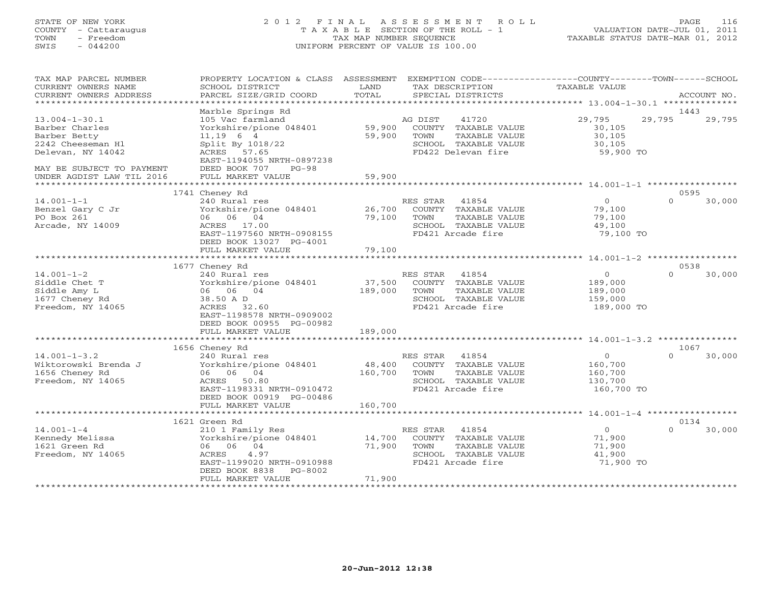## STATE OF NEW YORK 2 0 1 2 F I N A L A S S E S S M E N T R O L L PAGE 116 COUNTY - Cattaraugus T A X A B L E SECTION OF THE ROLL - 1 VALUATION DATE-JUL 01, 2011 TOWN - Freedom TAX MAP NUMBER SEQUENCE TAXABLE STATUS DATE-MAR 01, 2012 SWIS - 044200 UNIFORM PERCENT OF VALUE IS 100.00UNIFORM PERCENT OF VALUE IS 100.00

| TAX MAP PARCEL NUMBER<br>CURRENT OWNERS NAME<br>CURRENT OWNERS ADDRESS                          | PROPERTY LOCATION & CLASS ASSESSMENT<br>SCHOOL DISTRICT<br>PARCEL SIZE/GRID COORD                                                              | LAND<br>TOTAL                     |                  | TAX DESCRIPTION<br>SPECIAL DISTRICTS                                                         | EXEMPTION CODE-----------------COUNTY-------TOWN------SCHOOL<br>TAXABLE VALUE |          | ACCOUNT NO.    |
|-------------------------------------------------------------------------------------------------|------------------------------------------------------------------------------------------------------------------------------------------------|-----------------------------------|------------------|----------------------------------------------------------------------------------------------|-------------------------------------------------------------------------------|----------|----------------|
| **********************                                                                          |                                                                                                                                                |                                   |                  |                                                                                              |                                                                               |          |                |
| $13.004 - 1 - 30.1$<br>Barber Charles<br>Barber Betty<br>2242 Cheeseman H1<br>Delevan, NY 14042 | Marble Springs Rd<br>105 Vac farmland<br>Yorkshire/pione 048401<br>$11,19$ 6 4<br>Split By 1018/22<br>ACRES 57.65<br>EAST-1194055 NRTH-0897238 | 59,900<br>59,900                  | AG DIST<br>TOWN  | 41720<br>COUNTY TAXABLE VALUE<br>TAXABLE VALUE<br>SCHOOL TAXABLE VALUE<br>FD422 Delevan fire | 29,795<br>30,105<br>30,105<br>30,105<br>59,900 TO                             | 29,795   | 1443<br>29,795 |
| MAY BE SUBJECT TO PAYMENT<br>UNDER AGDIST LAW TIL 2016                                          | DEED BOOK 707<br>$PG-98$<br>FULL MARKET VALUE<br>**********************                                                                        | 59,900<br>* * * * * * * * * * * * |                  |                                                                                              |                                                                               |          |                |
|                                                                                                 | 1741 Cheney Rd                                                                                                                                 |                                   |                  |                                                                                              |                                                                               |          | 0595           |
| $14.001 - 1 - 1$<br>Benzel Gary C Jr<br>PO Box 261<br>Arcade, NY 14009                          | 240 Rural res<br>Yorkshire/pione 048401<br>06 06 04<br>ACRES 17.00<br>EAST-1197560 NRTH-0908155<br>DEED BOOK 13027 PG-4001                     | 26,700<br>79,100                  | RES STAR<br>TOWN | 41854<br>COUNTY TAXABLE VALUE<br>TAXABLE VALUE<br>SCHOOL TAXABLE VALUE<br>FD421 Arcade fire  | $\Omega$<br>79,100<br>79,100<br>49,100<br>79,100 TO                           | $\Omega$ | 30,000         |
|                                                                                                 | FULL MARKET VALUE                                                                                                                              | 79,100                            |                  |                                                                                              |                                                                               |          |                |
|                                                                                                 | ***************************                                                                                                                    |                                   |                  |                                                                                              |                                                                               |          |                |
|                                                                                                 | 1677 Cheney Rd                                                                                                                                 |                                   |                  |                                                                                              |                                                                               |          | 0538           |
| $14.001 - 1 - 2$<br>Siddle Chet T<br>Siddle Amy L<br>1677 Cheney Rd<br>Freedom, NY 14065        | 240 Rural res<br>Yorkshire/pione 048401<br>06 06 04<br>38.50 A D<br>ACRES 32.60<br>EAST-1198578 NRTH-0909002<br>DEED BOOK 00955 PG-00982       | 37,500<br>189,000                 | RES STAR<br>TOWN | 41854<br>COUNTY TAXABLE VALUE<br>TAXABLE VALUE<br>SCHOOL TAXABLE VALUE<br>FD421 Arcade fire  | $\circ$<br>189,000<br>189,000<br>159,000<br>189,000 TO                        | $\Omega$ | 30,000         |
|                                                                                                 | FULL MARKET VALUE                                                                                                                              | 189,000                           |                  |                                                                                              |                                                                               |          |                |
|                                                                                                 | *********************                                                                                                                          |                                   |                  |                                                                                              |                                                                               |          |                |
| $14.001 - 1 - 3.2$<br>Wiktorowski Brenda J<br>1656 Cheney Rd<br>Freedom, NY 14065               | 1656 Cheney Rd<br>240 Rural res<br>Yorkshire/pione 048401<br>06 06 04<br>ACRES 50.80<br>EAST-1198331 NRTH-0910472<br>DEED BOOK 00919 PG-00486  | 48,400<br>160,700                 | RES STAR<br>TOWN | 41854<br>COUNTY TAXABLE VALUE<br>TAXABLE VALUE<br>SCHOOL TAXABLE VALUE<br>FD421 Arcade fire  | $\circ$<br>160,700<br>160,700<br>130,700<br>160,700 TO                        | $\Omega$ | 1067<br>30,000 |
|                                                                                                 | FULL MARKET VALUE                                                                                                                              | 160,700                           |                  |                                                                                              |                                                                               |          |                |
|                                                                                                 | **********************                                                                                                                         | **********                        |                  |                                                                                              | ************************* 14.001-1-4 ******************                       |          |                |
|                                                                                                 | 1621 Green Rd                                                                                                                                  |                                   |                  |                                                                                              |                                                                               |          | 0134           |
| $14.001 - 1 - 4$<br>Kennedy Melissa<br>1621 Green Rd<br>Freedom, NY 14065                       | 210 1 Family Res<br>Yorkshire/pione 048401<br>06 06 04<br>ACRES<br>4.97<br>EAST-1199020 NRTH-0910988<br>DEED BOOK 8838<br>PG-8002              | 14,700<br>71,900                  | RES STAR<br>TOWN | 41854<br>COUNTY TAXABLE VALUE<br>TAXABLE VALUE<br>SCHOOL TAXABLE VALUE<br>FD421 Arcade fire  | $\circ$<br>71,900<br>71,900<br>41,900<br>71,900 TO                            | $\Omega$ | 30,000         |
|                                                                                                 | FULL MARKET VALUE<br>************************                                                                                                  | 71,900                            |                  |                                                                                              |                                                                               |          |                |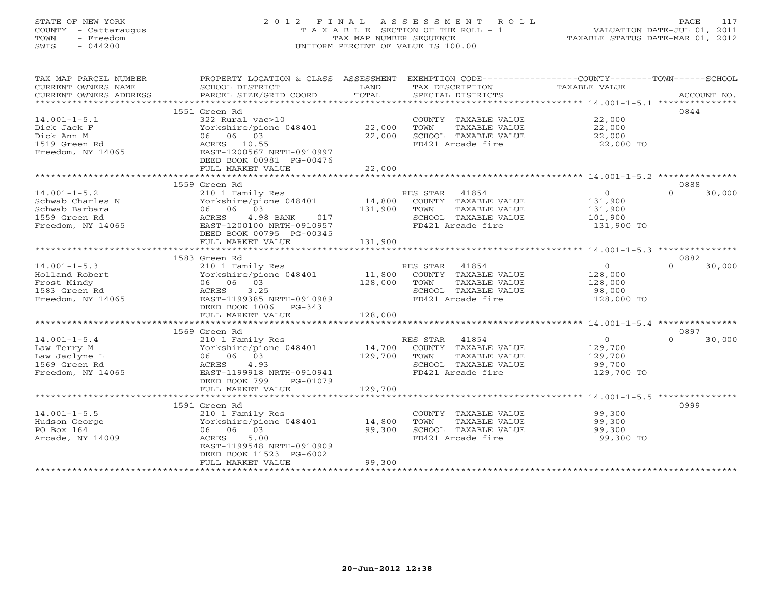# STATE OF NEW YORK 2 0 1 2 F I N A L A S S E S S M E N T R O L L PAGE 117 COUNTY - Cattaraugus T A X A B L E SECTION OF THE ROLL - 1 VALUATION DATE-JUL 01, 2011 TOWN - Freedom TAX MAP NUMBER SEQUENCE TAXABLE STATUS DATE-MAR 01, 2012 SWIS - 044200 UNIFORM PERCENT OF VALUE IS 100.00UNIFORM PERCENT OF VALUE IS 100.00

| TAX MAP PARCEL NUMBER<br>CURRENT OWNERS NAME<br>CURRENT OWNERS ADDRESS | PROPERTY LOCATION & CLASS ASSESSMENT<br>SCHOOL DISTRICT<br>PARCEL SIZE/GRID COORD | LAND<br>TOTAL | EXEMPTION CODE-----------------COUNTY-------TOWN------SCHOOL<br>TAX DESCRIPTION<br>SPECIAL DISTRICTS | TAXABLE VALUE  | ACCOUNT NO.        |
|------------------------------------------------------------------------|-----------------------------------------------------------------------------------|---------------|------------------------------------------------------------------------------------------------------|----------------|--------------------|
|                                                                        |                                                                                   |               |                                                                                                      |                |                    |
|                                                                        | 1551 Green Rd                                                                     |               |                                                                                                      |                | 0844               |
| $14.001 - 1 - 5.1$                                                     | 322 Rural vac>10                                                                  |               | COUNTY TAXABLE VALUE                                                                                 | 22,000         |                    |
| Dick Jack F                                                            | Yorkshire/pione 048401 22,000                                                     |               | TOWN<br>TAXABLE VALUE                                                                                | 22,000         |                    |
| Dick Ann M                                                             | 06 06 03                                                                          | 22,000        | SCHOOL TAXABLE VALUE                                                                                 | 22,000         |                    |
| 1519 Green Rd                                                          | ACRES 10.55                                                                       |               | FD421 Arcade fire                                                                                    | 22,000 TO      |                    |
| Freedom, NY 14065                                                      | EAST-1200567 NRTH-0910997                                                         |               |                                                                                                      |                |                    |
|                                                                        | DEED BOOK 00981 PG-00476                                                          |               |                                                                                                      |                |                    |
|                                                                        | FULL MARKET VALUE                                                                 | 22,000        |                                                                                                      |                |                    |
|                                                                        |                                                                                   |               |                                                                                                      |                |                    |
|                                                                        | 1559 Green Rd                                                                     |               |                                                                                                      |                | 0888               |
|                                                                        |                                                                                   |               |                                                                                                      |                |                    |
| $14.001 - 1 - 5.2$                                                     | 210 1 Family Res                                                                  |               | RES STAR 41854                                                                                       | $\overline{0}$ | 30,000<br>$\Omega$ |
| Schwab Charles N                                                       | Yorkshire/pione 048401                                                            | 14,800        | COUNTY TAXABLE VALUE                                                                                 | 131,900        |                    |
| Schwab Barbara                                                         | 06 06 03                                                                          | 131,900       | TOWN<br>TAXABLE VALUE                                                                                | 131,900        |                    |
| 1559 Green Rd                                                          | 4.98 BANK 017<br>ACRES                                                            |               | SCHOOL TAXABLE VALUE                                                                                 | 101,900        |                    |
| Freedom, NY 14065                                                      | EAST-1200100 NRTH-0910957                                                         |               | FD421 Arcade fire                                                                                    | 131,900 TO     |                    |
|                                                                        | DEED BOOK 00795 PG-00345                                                          |               |                                                                                                      |                |                    |
|                                                                        | FULL MARKET VALUE                                                                 | 131,900       |                                                                                                      |                |                    |
|                                                                        |                                                                                   |               |                                                                                                      |                |                    |
|                                                                        | 1583 Green Rd                                                                     |               |                                                                                                      |                | 0882               |
| $14.001 - 1 - 5.3$                                                     | 210 1 Family Res                                                                  |               | RES STAR 41854                                                                                       | $\overline{0}$ | $\Omega$<br>30,000 |
| Holland Robert                                                         | Yorkshire/pione 048401                                                            | 11,800        | COUNTY TAXABLE VALUE                                                                                 | 128,000        |                    |
| Frost Mindy                                                            | 06 06 03                                                                          | 128,000       | TAXABLE VALUE                                                                                        |                |                    |
|                                                                        |                                                                                   |               | TOWN                                                                                                 | 128,000        |                    |
| 1583 Green Rd                                                          | 3.25<br>ACRES                                                                     |               | SCHOOL TAXABLE VALUE                                                                                 | 98,000         |                    |
| Freedom, NY 14065                                                      | EAST-1199385 NRTH-0910989                                                         |               | FD421 Arcade fire                                                                                    | 128,000 TO     |                    |
|                                                                        | DEED BOOK 1006 PG-343                                                             |               |                                                                                                      |                |                    |
|                                                                        | FULL MARKET VALUE                                                                 | 128,000       |                                                                                                      |                |                    |
|                                                                        |                                                                                   |               |                                                                                                      |                |                    |
|                                                                        | 1569 Green Rd                                                                     |               |                                                                                                      |                | 0897               |
| $14.001 - 1 - 5.4$                                                     | 210 1 Family Res                                                                  |               | RES STAR 41854                                                                                       | $\overline{0}$ | $\Omega$<br>30,000 |
| Law Terry M                                                            | Yorkshire/pione 048401                                                            | 14,700        | COUNTY TAXABLE VALUE                                                                                 | 129,700        |                    |
| Law Jaclyne L                                                          | 06 06 03                                                                          | 129,700       | TOWN<br>TAXABLE VALUE                                                                                | 129,700        |                    |
| 1569 Green Rd                                                          | 4.93<br>ACRES                                                                     |               | SCHOOL TAXABLE VALUE                                                                                 | 99,700         |                    |
| Freedom, NY 14065                                                      | EAST-1199918 NRTH-0910941                                                         |               | FD421 Arcade fire                                                                                    | 129,700 TO     |                    |
|                                                                        | DEED BOOK 799<br>PG-01079                                                         |               |                                                                                                      |                |                    |
|                                                                        | FULL MARKET VALUE                                                                 | 129,700       |                                                                                                      |                |                    |
|                                                                        |                                                                                   |               |                                                                                                      |                |                    |
|                                                                        | 1591 Green Rd                                                                     |               |                                                                                                      |                | 0999               |
| $14.001 - 1 - 5.5$                                                     | 210 1 Family Res                                                                  |               | COUNTY TAXABLE VALUE                                                                                 | 99,300         |                    |
|                                                                        | Yorkshire/pione 048401 14,800                                                     |               |                                                                                                      |                |                    |
| Hudson George                                                          |                                                                                   |               | TOWN<br>TAXABLE VALUE                                                                                | 99,300         |                    |
| PO Box 164                                                             | 06 06 03                                                                          | 99,300        | SCHOOL TAXABLE VALUE                                                                                 | 99,300         |                    |
| Arcade, NY 14009                                                       | 5.00<br>ACRES                                                                     |               | FD421 Arcade fire                                                                                    | 99,300 TO      |                    |
|                                                                        | EAST-1199548 NRTH-0910909                                                         |               |                                                                                                      |                |                    |
|                                                                        | DEED BOOK 11523 PG-6002                                                           |               |                                                                                                      |                |                    |
|                                                                        | FULL MARKET VALUE                                                                 | 99,300        |                                                                                                      |                |                    |
|                                                                        |                                                                                   |               |                                                                                                      |                |                    |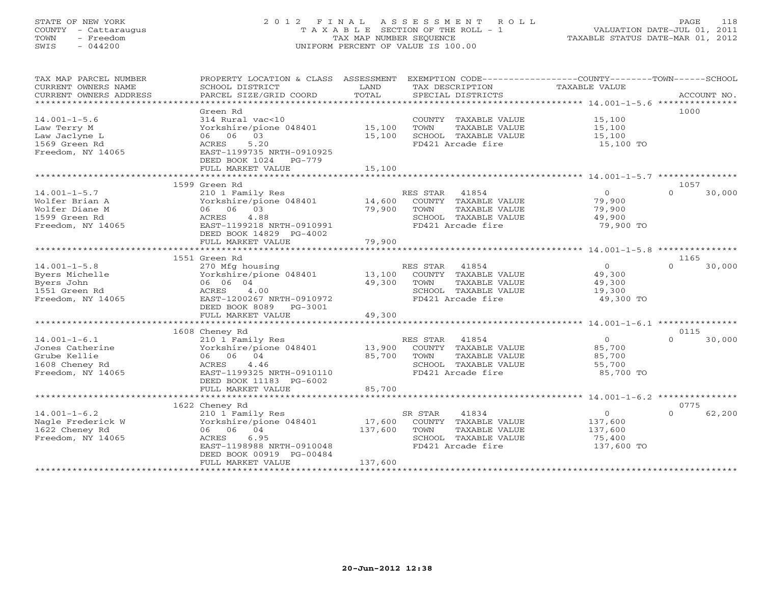## STATE OF NEW YORK 2 0 1 2 F I N A L A S S E S S M E N T R O L L PAGE 118 COUNTY - Cattaraugus T A X A B L E SECTION OF THE ROLL - 1 VALUATION DATE-JUL 01, 2011 TOWN - Freedom TAX MAP NUMBER SEQUENCE TAXABLE STATUS DATE-MAR 01, 2012 SWIS - 044200 UNIFORM PERCENT OF VALUE IS 100.00UNIFORM PERCENT OF VALUE IS 100.00

| 1000<br>Green Rd<br>$14.001 - 1 - 5.6$<br>314 Rural vac<10<br>COUNTY TAXABLE VALUE<br>15,100<br>15,100<br>15,100<br>Law Terry M<br>Yorkshire/pione 048401<br>TOWN<br>TAXABLE VALUE<br>06 06 03<br>15,100<br>SCHOOL TAXABLE VALUE<br>Law Jaclyne L<br>15,100<br>1569 Green Rd<br>ACRES<br>5.20<br>FD421 Arcade fire<br>15,100 TO<br>Freedom, NY 14065<br>EAST-1199735 NRTH-0910925<br>DEED BOOK 1024<br>$PG-779$<br>FULL MARKET VALUE<br>15,100<br>1599 Green Rd<br>1057<br>RES STAR 41854<br>$\overline{0}$<br>30,000<br>$14.001 - 1 - 5.7$<br>210 1 Family Res<br>$\Omega$<br>Yorkshire/pione 048401<br>14,600<br>79,900<br>Wolfer Brian A<br>COUNTY TAXABLE VALUE<br>06 06 03<br>79,900<br>Wolfer Diane M<br>TOWN<br>TAXABLE VALUE<br>79,900<br>1599 Green Rd<br>4.88<br>SCHOOL TAXABLE VALUE<br>ACRES<br>49,900<br>Freedom, NY 14065<br>EAST-1199218 NRTH-0910991<br>FD421 Arcade fire<br>79,900 TO<br>DEED BOOK 14829 PG-4002<br>79,900<br>FULL MARKET VALUE<br>************************<br>************<br>1551 Green Rd<br>1165<br>$14.001 - 1 - 5.8$<br>RES STAR<br>41854<br>$\overline{0}$<br>30,000<br>270 Mfg housing<br>$\Omega$<br>Byers Michelle<br>Yorkshire/pione 048401<br>13,100<br>COUNTY TAXABLE VALUE<br>49,300<br>49,300<br>Byers John<br>06 06 04<br>TOWN<br>TAXABLE VALUE<br>49,300<br>1551 Green Rd<br>ACRES<br>4.00<br>SCHOOL TAXABLE VALUE<br>19,300<br>49,300 TO<br>Freedom, NY 14065<br>EAST-1200267 NRTH-0910972<br>FD421 Arcade fire<br>DEED BOOK 8089 PG-3001<br>49,300<br>FULL MARKET VALUE<br>1608 Cheney Rd<br>0115<br>$\overline{0}$<br>$14.001 - 1 - 6.1$<br>210 1 Family Res<br>RES STAR<br>41854<br>$\cap$<br>30,000<br>13,900<br>Jones Catherine<br>Yorkshire/pione 048401<br>COUNTY TAXABLE VALUE<br>85,700<br>85,700<br>Grube Kellie<br>06 06 04<br>TOWN<br>TAXABLE VALUE<br>85,700<br>1608 Cheney Rd<br>ACRES<br>4.46<br>SCHOOL TAXABLE VALUE<br>55,700<br>Freedom, NY 14065<br>FD421 Arcade fire<br>85,700 TO<br>EAST-1199325 NRTH-0910110<br>DEED BOOK 11183 PG-6002<br>85,700<br>FULL MARKET VALUE<br>1622 Cheney Rd<br>0775<br>$\overline{0}$<br>$14.001 - 1 - 6.2$<br>62,200<br>210 1 Family Res<br>SR STAR<br>41834<br>$\Omega$<br>Nagle Frederick W<br>Yorkshire/pione 048401<br>17,600<br>COUNTY TAXABLE VALUE<br>137,600<br>1622 Cheney Rd<br>06 06 04<br>137,600<br>TOWN<br>TAXABLE VALUE<br>137,600<br>Freedom, NY 14065<br>ACRES<br>6.95<br>SCHOOL TAXABLE VALUE<br>75,400<br>EAST-1198988 NRTH-0910048<br>FD421 Arcade fire<br>137,600 TO<br>DEED BOOK 00919 PG-00484<br>137,600<br>FULL MARKET VALUE | TAX MAP PARCEL NUMBER<br>CURRENT OWNERS NAME<br>CURRENT OWNERS ADDRESS | PROPERTY LOCATION & CLASS ASSESSMENT<br>SCHOOL DISTRICT<br>PARCEL SIZE/GRID COORD | LAND<br>TOTAL | EXEMPTION CODE-----------------COUNTY-------TOWN------SCHOOL<br>TAX DESCRIPTION<br>SPECIAL DISTRICTS | TAXABLE VALUE | ACCOUNT NO. |
|--------------------------------------------------------------------------------------------------------------------------------------------------------------------------------------------------------------------------------------------------------------------------------------------------------------------------------------------------------------------------------------------------------------------------------------------------------------------------------------------------------------------------------------------------------------------------------------------------------------------------------------------------------------------------------------------------------------------------------------------------------------------------------------------------------------------------------------------------------------------------------------------------------------------------------------------------------------------------------------------------------------------------------------------------------------------------------------------------------------------------------------------------------------------------------------------------------------------------------------------------------------------------------------------------------------------------------------------------------------------------------------------------------------------------------------------------------------------------------------------------------------------------------------------------------------------------------------------------------------------------------------------------------------------------------------------------------------------------------------------------------------------------------------------------------------------------------------------------------------------------------------------------------------------------------------------------------------------------------------------------------------------------------------------------------------------------------------------------------------------------------------------------------------------------------------------------------------------------------------------------------------------------------------------------------------------------------------------------------------------------------------------------------------------------------------------------------------------------------------------------------------------------------------------------------------|------------------------------------------------------------------------|-----------------------------------------------------------------------------------|---------------|------------------------------------------------------------------------------------------------------|---------------|-------------|
|                                                                                                                                                                                                                                                                                                                                                                                                                                                                                                                                                                                                                                                                                                                                                                                                                                                                                                                                                                                                                                                                                                                                                                                                                                                                                                                                                                                                                                                                                                                                                                                                                                                                                                                                                                                                                                                                                                                                                                                                                                                                                                                                                                                                                                                                                                                                                                                                                                                                                                                                                              |                                                                        |                                                                                   |               |                                                                                                      |               |             |
|                                                                                                                                                                                                                                                                                                                                                                                                                                                                                                                                                                                                                                                                                                                                                                                                                                                                                                                                                                                                                                                                                                                                                                                                                                                                                                                                                                                                                                                                                                                                                                                                                                                                                                                                                                                                                                                                                                                                                                                                                                                                                                                                                                                                                                                                                                                                                                                                                                                                                                                                                              |                                                                        |                                                                                   |               |                                                                                                      |               |             |
|                                                                                                                                                                                                                                                                                                                                                                                                                                                                                                                                                                                                                                                                                                                                                                                                                                                                                                                                                                                                                                                                                                                                                                                                                                                                                                                                                                                                                                                                                                                                                                                                                                                                                                                                                                                                                                                                                                                                                                                                                                                                                                                                                                                                                                                                                                                                                                                                                                                                                                                                                              |                                                                        |                                                                                   |               |                                                                                                      |               |             |
|                                                                                                                                                                                                                                                                                                                                                                                                                                                                                                                                                                                                                                                                                                                                                                                                                                                                                                                                                                                                                                                                                                                                                                                                                                                                                                                                                                                                                                                                                                                                                                                                                                                                                                                                                                                                                                                                                                                                                                                                                                                                                                                                                                                                                                                                                                                                                                                                                                                                                                                                                              |                                                                        |                                                                                   |               |                                                                                                      |               |             |
|                                                                                                                                                                                                                                                                                                                                                                                                                                                                                                                                                                                                                                                                                                                                                                                                                                                                                                                                                                                                                                                                                                                                                                                                                                                                                                                                                                                                                                                                                                                                                                                                                                                                                                                                                                                                                                                                                                                                                                                                                                                                                                                                                                                                                                                                                                                                                                                                                                                                                                                                                              |                                                                        |                                                                                   |               |                                                                                                      |               |             |
|                                                                                                                                                                                                                                                                                                                                                                                                                                                                                                                                                                                                                                                                                                                                                                                                                                                                                                                                                                                                                                                                                                                                                                                                                                                                                                                                                                                                                                                                                                                                                                                                                                                                                                                                                                                                                                                                                                                                                                                                                                                                                                                                                                                                                                                                                                                                                                                                                                                                                                                                                              |                                                                        |                                                                                   |               |                                                                                                      |               |             |
|                                                                                                                                                                                                                                                                                                                                                                                                                                                                                                                                                                                                                                                                                                                                                                                                                                                                                                                                                                                                                                                                                                                                                                                                                                                                                                                                                                                                                                                                                                                                                                                                                                                                                                                                                                                                                                                                                                                                                                                                                                                                                                                                                                                                                                                                                                                                                                                                                                                                                                                                                              |                                                                        |                                                                                   |               |                                                                                                      |               |             |
|                                                                                                                                                                                                                                                                                                                                                                                                                                                                                                                                                                                                                                                                                                                                                                                                                                                                                                                                                                                                                                                                                                                                                                                                                                                                                                                                                                                                                                                                                                                                                                                                                                                                                                                                                                                                                                                                                                                                                                                                                                                                                                                                                                                                                                                                                                                                                                                                                                                                                                                                                              |                                                                        |                                                                                   |               |                                                                                                      |               |             |
|                                                                                                                                                                                                                                                                                                                                                                                                                                                                                                                                                                                                                                                                                                                                                                                                                                                                                                                                                                                                                                                                                                                                                                                                                                                                                                                                                                                                                                                                                                                                                                                                                                                                                                                                                                                                                                                                                                                                                                                                                                                                                                                                                                                                                                                                                                                                                                                                                                                                                                                                                              |                                                                        |                                                                                   |               |                                                                                                      |               |             |
|                                                                                                                                                                                                                                                                                                                                                                                                                                                                                                                                                                                                                                                                                                                                                                                                                                                                                                                                                                                                                                                                                                                                                                                                                                                                                                                                                                                                                                                                                                                                                                                                                                                                                                                                                                                                                                                                                                                                                                                                                                                                                                                                                                                                                                                                                                                                                                                                                                                                                                                                                              |                                                                        |                                                                                   |               |                                                                                                      |               |             |
|                                                                                                                                                                                                                                                                                                                                                                                                                                                                                                                                                                                                                                                                                                                                                                                                                                                                                                                                                                                                                                                                                                                                                                                                                                                                                                                                                                                                                                                                                                                                                                                                                                                                                                                                                                                                                                                                                                                                                                                                                                                                                                                                                                                                                                                                                                                                                                                                                                                                                                                                                              |                                                                        |                                                                                   |               |                                                                                                      |               |             |
|                                                                                                                                                                                                                                                                                                                                                                                                                                                                                                                                                                                                                                                                                                                                                                                                                                                                                                                                                                                                                                                                                                                                                                                                                                                                                                                                                                                                                                                                                                                                                                                                                                                                                                                                                                                                                                                                                                                                                                                                                                                                                                                                                                                                                                                                                                                                                                                                                                                                                                                                                              |                                                                        |                                                                                   |               |                                                                                                      |               |             |
|                                                                                                                                                                                                                                                                                                                                                                                                                                                                                                                                                                                                                                                                                                                                                                                                                                                                                                                                                                                                                                                                                                                                                                                                                                                                                                                                                                                                                                                                                                                                                                                                                                                                                                                                                                                                                                                                                                                                                                                                                                                                                                                                                                                                                                                                                                                                                                                                                                                                                                                                                              |                                                                        |                                                                                   |               |                                                                                                      |               |             |
|                                                                                                                                                                                                                                                                                                                                                                                                                                                                                                                                                                                                                                                                                                                                                                                                                                                                                                                                                                                                                                                                                                                                                                                                                                                                                                                                                                                                                                                                                                                                                                                                                                                                                                                                                                                                                                                                                                                                                                                                                                                                                                                                                                                                                                                                                                                                                                                                                                                                                                                                                              |                                                                        |                                                                                   |               |                                                                                                      |               |             |
|                                                                                                                                                                                                                                                                                                                                                                                                                                                                                                                                                                                                                                                                                                                                                                                                                                                                                                                                                                                                                                                                                                                                                                                                                                                                                                                                                                                                                                                                                                                                                                                                                                                                                                                                                                                                                                                                                                                                                                                                                                                                                                                                                                                                                                                                                                                                                                                                                                                                                                                                                              |                                                                        |                                                                                   |               |                                                                                                      |               |             |
|                                                                                                                                                                                                                                                                                                                                                                                                                                                                                                                                                                                                                                                                                                                                                                                                                                                                                                                                                                                                                                                                                                                                                                                                                                                                                                                                                                                                                                                                                                                                                                                                                                                                                                                                                                                                                                                                                                                                                                                                                                                                                                                                                                                                                                                                                                                                                                                                                                                                                                                                                              |                                                                        |                                                                                   |               |                                                                                                      |               |             |
|                                                                                                                                                                                                                                                                                                                                                                                                                                                                                                                                                                                                                                                                                                                                                                                                                                                                                                                                                                                                                                                                                                                                                                                                                                                                                                                                                                                                                                                                                                                                                                                                                                                                                                                                                                                                                                                                                                                                                                                                                                                                                                                                                                                                                                                                                                                                                                                                                                                                                                                                                              |                                                                        |                                                                                   |               |                                                                                                      |               |             |
|                                                                                                                                                                                                                                                                                                                                                                                                                                                                                                                                                                                                                                                                                                                                                                                                                                                                                                                                                                                                                                                                                                                                                                                                                                                                                                                                                                                                                                                                                                                                                                                                                                                                                                                                                                                                                                                                                                                                                                                                                                                                                                                                                                                                                                                                                                                                                                                                                                                                                                                                                              |                                                                        |                                                                                   |               |                                                                                                      |               |             |
|                                                                                                                                                                                                                                                                                                                                                                                                                                                                                                                                                                                                                                                                                                                                                                                                                                                                                                                                                                                                                                                                                                                                                                                                                                                                                                                                                                                                                                                                                                                                                                                                                                                                                                                                                                                                                                                                                                                                                                                                                                                                                                                                                                                                                                                                                                                                                                                                                                                                                                                                                              |                                                                        |                                                                                   |               |                                                                                                      |               |             |
|                                                                                                                                                                                                                                                                                                                                                                                                                                                                                                                                                                                                                                                                                                                                                                                                                                                                                                                                                                                                                                                                                                                                                                                                                                                                                                                                                                                                                                                                                                                                                                                                                                                                                                                                                                                                                                                                                                                                                                                                                                                                                                                                                                                                                                                                                                                                                                                                                                                                                                                                                              |                                                                        |                                                                                   |               |                                                                                                      |               |             |
|                                                                                                                                                                                                                                                                                                                                                                                                                                                                                                                                                                                                                                                                                                                                                                                                                                                                                                                                                                                                                                                                                                                                                                                                                                                                                                                                                                                                                                                                                                                                                                                                                                                                                                                                                                                                                                                                                                                                                                                                                                                                                                                                                                                                                                                                                                                                                                                                                                                                                                                                                              |                                                                        |                                                                                   |               |                                                                                                      |               |             |
|                                                                                                                                                                                                                                                                                                                                                                                                                                                                                                                                                                                                                                                                                                                                                                                                                                                                                                                                                                                                                                                                                                                                                                                                                                                                                                                                                                                                                                                                                                                                                                                                                                                                                                                                                                                                                                                                                                                                                                                                                                                                                                                                                                                                                                                                                                                                                                                                                                                                                                                                                              |                                                                        |                                                                                   |               |                                                                                                      |               |             |
|                                                                                                                                                                                                                                                                                                                                                                                                                                                                                                                                                                                                                                                                                                                                                                                                                                                                                                                                                                                                                                                                                                                                                                                                                                                                                                                                                                                                                                                                                                                                                                                                                                                                                                                                                                                                                                                                                                                                                                                                                                                                                                                                                                                                                                                                                                                                                                                                                                                                                                                                                              |                                                                        |                                                                                   |               |                                                                                                      |               |             |
|                                                                                                                                                                                                                                                                                                                                                                                                                                                                                                                                                                                                                                                                                                                                                                                                                                                                                                                                                                                                                                                                                                                                                                                                                                                                                                                                                                                                                                                                                                                                                                                                                                                                                                                                                                                                                                                                                                                                                                                                                                                                                                                                                                                                                                                                                                                                                                                                                                                                                                                                                              |                                                                        |                                                                                   |               |                                                                                                      |               |             |
|                                                                                                                                                                                                                                                                                                                                                                                                                                                                                                                                                                                                                                                                                                                                                                                                                                                                                                                                                                                                                                                                                                                                                                                                                                                                                                                                                                                                                                                                                                                                                                                                                                                                                                                                                                                                                                                                                                                                                                                                                                                                                                                                                                                                                                                                                                                                                                                                                                                                                                                                                              |                                                                        |                                                                                   |               |                                                                                                      |               |             |
|                                                                                                                                                                                                                                                                                                                                                                                                                                                                                                                                                                                                                                                                                                                                                                                                                                                                                                                                                                                                                                                                                                                                                                                                                                                                                                                                                                                                                                                                                                                                                                                                                                                                                                                                                                                                                                                                                                                                                                                                                                                                                                                                                                                                                                                                                                                                                                                                                                                                                                                                                              |                                                                        |                                                                                   |               |                                                                                                      |               |             |
|                                                                                                                                                                                                                                                                                                                                                                                                                                                                                                                                                                                                                                                                                                                                                                                                                                                                                                                                                                                                                                                                                                                                                                                                                                                                                                                                                                                                                                                                                                                                                                                                                                                                                                                                                                                                                                                                                                                                                                                                                                                                                                                                                                                                                                                                                                                                                                                                                                                                                                                                                              |                                                                        |                                                                                   |               |                                                                                                      |               |             |
|                                                                                                                                                                                                                                                                                                                                                                                                                                                                                                                                                                                                                                                                                                                                                                                                                                                                                                                                                                                                                                                                                                                                                                                                                                                                                                                                                                                                                                                                                                                                                                                                                                                                                                                                                                                                                                                                                                                                                                                                                                                                                                                                                                                                                                                                                                                                                                                                                                                                                                                                                              |                                                                        |                                                                                   |               |                                                                                                      |               |             |
|                                                                                                                                                                                                                                                                                                                                                                                                                                                                                                                                                                                                                                                                                                                                                                                                                                                                                                                                                                                                                                                                                                                                                                                                                                                                                                                                                                                                                                                                                                                                                                                                                                                                                                                                                                                                                                                                                                                                                                                                                                                                                                                                                                                                                                                                                                                                                                                                                                                                                                                                                              |                                                                        |                                                                                   |               |                                                                                                      |               |             |
|                                                                                                                                                                                                                                                                                                                                                                                                                                                                                                                                                                                                                                                                                                                                                                                                                                                                                                                                                                                                                                                                                                                                                                                                                                                                                                                                                                                                                                                                                                                                                                                                                                                                                                                                                                                                                                                                                                                                                                                                                                                                                                                                                                                                                                                                                                                                                                                                                                                                                                                                                              |                                                                        |                                                                                   |               |                                                                                                      |               |             |
|                                                                                                                                                                                                                                                                                                                                                                                                                                                                                                                                                                                                                                                                                                                                                                                                                                                                                                                                                                                                                                                                                                                                                                                                                                                                                                                                                                                                                                                                                                                                                                                                                                                                                                                                                                                                                                                                                                                                                                                                                                                                                                                                                                                                                                                                                                                                                                                                                                                                                                                                                              |                                                                        |                                                                                   |               |                                                                                                      |               |             |
|                                                                                                                                                                                                                                                                                                                                                                                                                                                                                                                                                                                                                                                                                                                                                                                                                                                                                                                                                                                                                                                                                                                                                                                                                                                                                                                                                                                                                                                                                                                                                                                                                                                                                                                                                                                                                                                                                                                                                                                                                                                                                                                                                                                                                                                                                                                                                                                                                                                                                                                                                              |                                                                        |                                                                                   |               |                                                                                                      |               |             |
|                                                                                                                                                                                                                                                                                                                                                                                                                                                                                                                                                                                                                                                                                                                                                                                                                                                                                                                                                                                                                                                                                                                                                                                                                                                                                                                                                                                                                                                                                                                                                                                                                                                                                                                                                                                                                                                                                                                                                                                                                                                                                                                                                                                                                                                                                                                                                                                                                                                                                                                                                              |                                                                        |                                                                                   |               |                                                                                                      |               |             |
|                                                                                                                                                                                                                                                                                                                                                                                                                                                                                                                                                                                                                                                                                                                                                                                                                                                                                                                                                                                                                                                                                                                                                                                                                                                                                                                                                                                                                                                                                                                                                                                                                                                                                                                                                                                                                                                                                                                                                                                                                                                                                                                                                                                                                                                                                                                                                                                                                                                                                                                                                              |                                                                        |                                                                                   |               |                                                                                                      |               |             |
|                                                                                                                                                                                                                                                                                                                                                                                                                                                                                                                                                                                                                                                                                                                                                                                                                                                                                                                                                                                                                                                                                                                                                                                                                                                                                                                                                                                                                                                                                                                                                                                                                                                                                                                                                                                                                                                                                                                                                                                                                                                                                                                                                                                                                                                                                                                                                                                                                                                                                                                                                              |                                                                        |                                                                                   |               |                                                                                                      |               |             |
|                                                                                                                                                                                                                                                                                                                                                                                                                                                                                                                                                                                                                                                                                                                                                                                                                                                                                                                                                                                                                                                                                                                                                                                                                                                                                                                                                                                                                                                                                                                                                                                                                                                                                                                                                                                                                                                                                                                                                                                                                                                                                                                                                                                                                                                                                                                                                                                                                                                                                                                                                              |                                                                        |                                                                                   |               |                                                                                                      |               |             |
|                                                                                                                                                                                                                                                                                                                                                                                                                                                                                                                                                                                                                                                                                                                                                                                                                                                                                                                                                                                                                                                                                                                                                                                                                                                                                                                                                                                                                                                                                                                                                                                                                                                                                                                                                                                                                                                                                                                                                                                                                                                                                                                                                                                                                                                                                                                                                                                                                                                                                                                                                              |                                                                        |                                                                                   |               |                                                                                                      |               |             |
|                                                                                                                                                                                                                                                                                                                                                                                                                                                                                                                                                                                                                                                                                                                                                                                                                                                                                                                                                                                                                                                                                                                                                                                                                                                                                                                                                                                                                                                                                                                                                                                                                                                                                                                                                                                                                                                                                                                                                                                                                                                                                                                                                                                                                                                                                                                                                                                                                                                                                                                                                              |                                                                        |                                                                                   |               |                                                                                                      |               |             |
|                                                                                                                                                                                                                                                                                                                                                                                                                                                                                                                                                                                                                                                                                                                                                                                                                                                                                                                                                                                                                                                                                                                                                                                                                                                                                                                                                                                                                                                                                                                                                                                                                                                                                                                                                                                                                                                                                                                                                                                                                                                                                                                                                                                                                                                                                                                                                                                                                                                                                                                                                              |                                                                        |                                                                                   |               |                                                                                                      |               |             |
|                                                                                                                                                                                                                                                                                                                                                                                                                                                                                                                                                                                                                                                                                                                                                                                                                                                                                                                                                                                                                                                                                                                                                                                                                                                                                                                                                                                                                                                                                                                                                                                                                                                                                                                                                                                                                                                                                                                                                                                                                                                                                                                                                                                                                                                                                                                                                                                                                                                                                                                                                              |                                                                        |                                                                                   |               |                                                                                                      |               |             |
|                                                                                                                                                                                                                                                                                                                                                                                                                                                                                                                                                                                                                                                                                                                                                                                                                                                                                                                                                                                                                                                                                                                                                                                                                                                                                                                                                                                                                                                                                                                                                                                                                                                                                                                                                                                                                                                                                                                                                                                                                                                                                                                                                                                                                                                                                                                                                                                                                                                                                                                                                              |                                                                        |                                                                                   |               |                                                                                                      |               |             |
|                                                                                                                                                                                                                                                                                                                                                                                                                                                                                                                                                                                                                                                                                                                                                                                                                                                                                                                                                                                                                                                                                                                                                                                                                                                                                                                                                                                                                                                                                                                                                                                                                                                                                                                                                                                                                                                                                                                                                                                                                                                                                                                                                                                                                                                                                                                                                                                                                                                                                                                                                              |                                                                        |                                                                                   |               |                                                                                                      |               |             |
|                                                                                                                                                                                                                                                                                                                                                                                                                                                                                                                                                                                                                                                                                                                                                                                                                                                                                                                                                                                                                                                                                                                                                                                                                                                                                                                                                                                                                                                                                                                                                                                                                                                                                                                                                                                                                                                                                                                                                                                                                                                                                                                                                                                                                                                                                                                                                                                                                                                                                                                                                              |                                                                        |                                                                                   |               |                                                                                                      |               |             |
|                                                                                                                                                                                                                                                                                                                                                                                                                                                                                                                                                                                                                                                                                                                                                                                                                                                                                                                                                                                                                                                                                                                                                                                                                                                                                                                                                                                                                                                                                                                                                                                                                                                                                                                                                                                                                                                                                                                                                                                                                                                                                                                                                                                                                                                                                                                                                                                                                                                                                                                                                              |                                                                        |                                                                                   |               |                                                                                                      |               |             |
|                                                                                                                                                                                                                                                                                                                                                                                                                                                                                                                                                                                                                                                                                                                                                                                                                                                                                                                                                                                                                                                                                                                                                                                                                                                                                                                                                                                                                                                                                                                                                                                                                                                                                                                                                                                                                                                                                                                                                                                                                                                                                                                                                                                                                                                                                                                                                                                                                                                                                                                                                              |                                                                        |                                                                                   |               |                                                                                                      |               |             |
|                                                                                                                                                                                                                                                                                                                                                                                                                                                                                                                                                                                                                                                                                                                                                                                                                                                                                                                                                                                                                                                                                                                                                                                                                                                                                                                                                                                                                                                                                                                                                                                                                                                                                                                                                                                                                                                                                                                                                                                                                                                                                                                                                                                                                                                                                                                                                                                                                                                                                                                                                              | **********************                                                 |                                                                                   |               |                                                                                                      |               |             |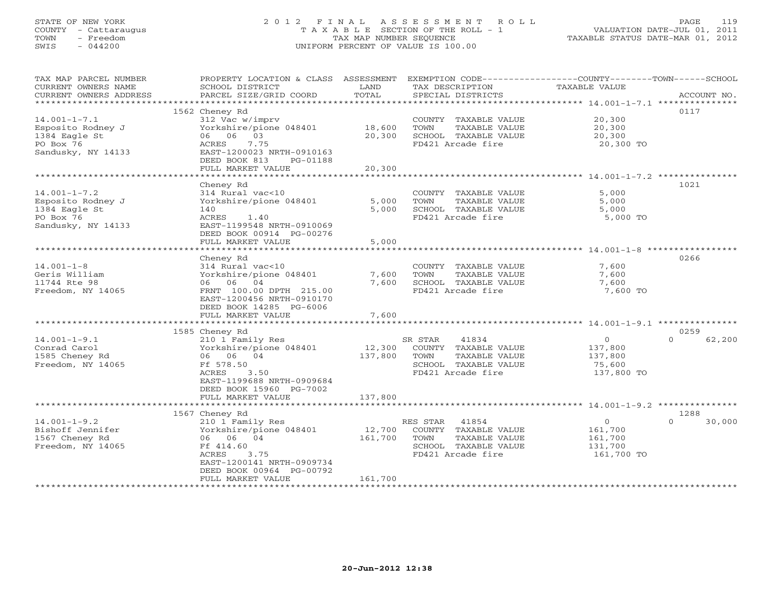# STATE OF NEW YORK 2 0 1 2 F I N A L A S S E S S M E N T R O L L PAGE 119 COUNTY - Cattaraugus T A X A B L E SECTION OF THE ROLL - 1 VALUATION DATE-JUL 01, 2011 TOWN - Freedom TAX MAP NUMBER SEQUENCE TAXABLE STATUS DATE-MAR 01, 2012 SWIS - 044200 UNIFORM PERCENT OF VALUE IS 100.00UNIFORM PERCENT OF VALUE IS 100.00

| TAX MAP PARCEL NUMBER<br>CURRENT OWNERS NAME     | PROPERTY LOCATION & CLASS ASSESSMENT<br>SCHOOL DISTRICT | LAND              | EXEMPTION CODE-----------------COUNTY-------TOWN------SCHOOL<br>TAX DESCRIPTION | TAXABLE VALUE                         |                    |
|--------------------------------------------------|---------------------------------------------------------|-------------------|---------------------------------------------------------------------------------|---------------------------------------|--------------------|
| CURRENT OWNERS ADDRESS<br>********************** | PARCEL SIZE/GRID COORD                                  | TOTAL             | SPECIAL DISTRICTS                                                               |                                       | ACCOUNT NO.        |
|                                                  | 1562 Cheney Rd                                          |                   |                                                                                 |                                       | 0117               |
| $14.001 - 1 - 7.1$                               | 312 Vac w/imprv                                         |                   | COUNTY TAXABLE VALUE                                                            | 20,300                                |                    |
| Esposito Rodney J                                | Yorkshire/pione 048401                                  | 18,600            | TOWN<br>TAXABLE VALUE                                                           | 20,300                                |                    |
| 1384 Eagle St                                    | 06 06 03                                                | 20,300            | SCHOOL TAXABLE VALUE                                                            | 20,300                                |                    |
| PO Box 76                                        | 7.75<br>ACRES                                           |                   | FD421 Arcade fire                                                               | 20,300 TO                             |                    |
| Sandusky, NY 14133                               | EAST-1200023 NRTH-0910163                               |                   |                                                                                 |                                       |                    |
|                                                  | DEED BOOK 813<br>PG-01188                               |                   |                                                                                 |                                       |                    |
|                                                  | FULL MARKET VALUE                                       | 20,300            |                                                                                 |                                       |                    |
|                                                  | *******************                                     |                   |                                                                                 |                                       |                    |
|                                                  | Cheney Rd                                               |                   |                                                                                 |                                       | 1021               |
| $14.001 - 1 - 7.2$                               | 314 Rural vac<10                                        |                   | COUNTY TAXABLE VALUE                                                            | 5,000                                 |                    |
| Esposito Rodney J                                | Yorkshire/pione 048401                                  | 5,000             | TOWN<br>TAXABLE VALUE                                                           | 5,000                                 |                    |
| 1384 Eagle St                                    | 140                                                     | 5,000             | SCHOOL TAXABLE VALUE                                                            | 5,000<br>5,000 TO                     |                    |
| PO Box 76<br>Sandusky, NY 14133                  | ACRES<br>1.40<br>EAST-1199548 NRTH-0910069              |                   | FD421 Arcade fire                                                               |                                       |                    |
|                                                  | DEED BOOK 00914 PG-00276                                |                   |                                                                                 |                                       |                    |
|                                                  | FULL MARKET VALUE                                       | 5,000             |                                                                                 |                                       |                    |
|                                                  | ************************                                |                   |                                                                                 | ******************* 14.001-1-8 ****** |                    |
|                                                  | Cheney Rd                                               |                   |                                                                                 |                                       | 0266               |
| $14.001 - 1 - 8$                                 | 314 Rural vac<10                                        |                   | COUNTY TAXABLE VALUE                                                            | 7,600                                 |                    |
| Geris William                                    | Yorkshire/pione 048401                                  | 7,600             | TAXABLE VALUE<br>TOWN                                                           | 7,600                                 |                    |
| 11744 Rte 98                                     | 06 06 04                                                | 7,600             | SCHOOL TAXABLE VALUE                                                            | 7,600                                 |                    |
| Freedom, NY 14065                                | FRNT 100.00 DPTH 215.00                                 |                   | FD421 Arcade fire                                                               | 7,600 TO                              |                    |
|                                                  | EAST-1200456 NRTH-0910170                               |                   |                                                                                 |                                       |                    |
|                                                  | DEED BOOK 14285 PG-6006                                 |                   |                                                                                 |                                       |                    |
|                                                  | FULL MARKET VALUE                                       | 7,600             |                                                                                 |                                       |                    |
|                                                  | 1585 Cheney Rd                                          |                   |                                                                                 |                                       | 0259               |
| $14.001 - 1 - 9.1$                               | 210 1 Family Res                                        |                   | SR STAR<br>41834                                                                | $\circ$                               | 62,200<br>$\Omega$ |
| Conrad Carol                                     | Yorkshire/pione 048401                                  | 12,300            | COUNTY TAXABLE VALUE                                                            | 137,800                               |                    |
| 1585 Cheney Rd                                   | 06 06 04                                                | 137,800           | TOWN<br>TAXABLE VALUE                                                           | 137,800                               |                    |
| Freedom, NY 14065                                | Ff 578.50                                               |                   | SCHOOL TAXABLE VALUE                                                            | 75,600                                |                    |
|                                                  | ACRES<br>3.50                                           |                   | FD421 Arcade fire                                                               | 137,800 TO                            |                    |
|                                                  | EAST-1199688 NRTH-0909684                               |                   |                                                                                 |                                       |                    |
|                                                  | DEED BOOK 15960 PG-7002                                 |                   |                                                                                 |                                       |                    |
|                                                  | FULL MARKET VALUE                                       | 137,800           |                                                                                 |                                       |                    |
|                                                  |                                                         |                   |                                                                                 |                                       |                    |
|                                                  | 1567 Cheney Rd                                          |                   |                                                                                 | $\circ$                               | 1288<br>$\Omega$   |
| $14.001 - 1 - 9.2$<br>Bishoff Jennifer           | 210 1 Family Res<br>Yorkshire/pione 048401              | 12,700            | RES STAR<br>41854<br>COUNTY TAXABLE VALUE                                       | 161,700                               | 30,000             |
| 1567 Cheney Rd                                   | 06 06 04                                                | 161,700           | TOWN<br>TAXABLE VALUE                                                           | 161,700                               |                    |
| Freedom, NY 14065                                | Ff 414.60                                               |                   | SCHOOL TAXABLE VALUE                                                            | 131,700                               |                    |
|                                                  | ACRES<br>3.75                                           |                   | FD421 Arcade fire                                                               | 161,700 TO                            |                    |
|                                                  | EAST-1200141 NRTH-0909734                               |                   |                                                                                 |                                       |                    |
|                                                  | DEED BOOK 00964 PG-00792                                |                   |                                                                                 |                                       |                    |
|                                                  | FULL MARKET VALUE                                       | 161,700           |                                                                                 |                                       |                    |
|                                                  | *************************                               | ***************** |                                                                                 |                                       |                    |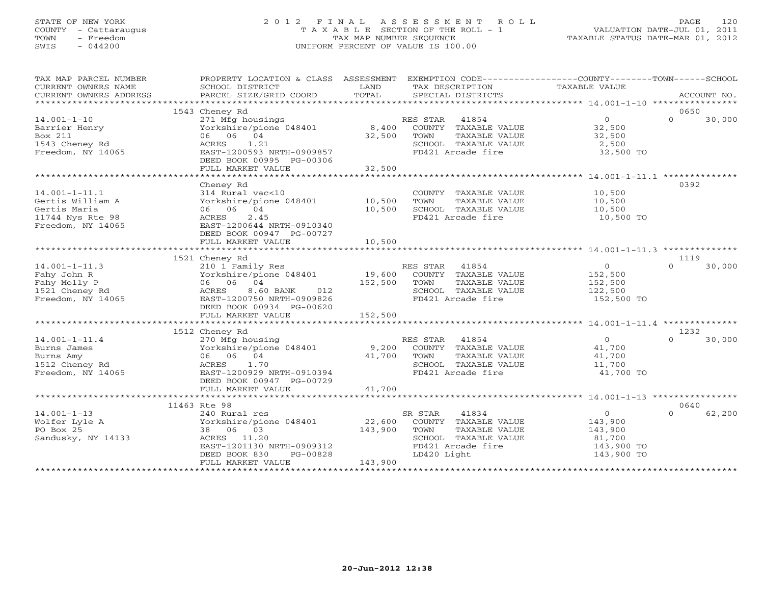## STATE OF NEW YORK 2 0 1 2 F I N A L A S S E S S M E N T R O L L PAGE 120 COUNTY - Cattaraugus T A X A B L E SECTION OF THE ROLL - 1 VALUATION DATE-JUL 01, 2011 TOWN - Freedom TAX MAP NUMBER SEQUENCE TAXABLE STATUS DATE-MAR 01, 2012 SWIS - 044200 UNIFORM PERCENT OF VALUE IS 100.00UNIFORM PERCENT OF VALUE IS 100.00

| TAX DESCRIPTION<br>TAXABLE VALUE<br>CURRENT OWNERS NAME<br>SCHOOL DISTRICT<br>LAND<br>TOTAL<br>CURRENT OWNERS ADDRESS<br>PARCEL SIZE/GRID COORD<br>SPECIAL DISTRICTS<br>ACCOUNT NO.<br>0650<br>1543 Cheney Rd<br>271 Mfg housings<br>RES STAR 41854<br>$\overline{0}$<br>$\Omega$<br>30,000<br>$14.001 - 1 - 10$<br>8,400<br>Yorkshire/pione 048401<br>COUNTY TAXABLE VALUE<br>32,500<br>32,500<br>Barrier Henry<br>06 06 04<br>Box 211<br>32,500<br>TAXABLE VALUE<br>TOWN<br>1543 Cheney Rd<br>ACRES<br>1.21<br>SCHOOL TAXABLE VALUE<br>2,500<br>Freedom, NY 14065<br>EAST-1200593 NRTH-0909857<br>FD421 Arcade fire<br>32,500 TO<br>DEED BOOK 00995 PG-00306<br>32,500<br>FULL MARKET VALUE<br>0392<br>Cheney Rd<br>$14.001 - 1 - 11.1$<br>314 Rural vac<10<br>COUNTY TAXABLE VALUE<br>10,500<br>Yorkshire/pione 048401 10,500<br>Gertis William A<br>TOWN<br>TAXABLE VALUE<br>10,500<br>10,500<br>SCHOOL TAXABLE VALUE<br>Gertis Maria<br>06 06 04<br>10,500<br>ACRES<br>2.45<br>FD421 Arcade fire<br>11744 Nys Rte 98<br>10,500 TO<br>Freedom, NY 14065<br>EAST-1200644 NRTH-0910340<br>DEED BOOK 00947 PG-00727<br>10,500<br>FULL MARKET VALUE<br>1521 Cheney Rd<br>1119<br>$14.001 - 1 - 11.3$<br>RES STAR 41854<br>$\overline{0}$<br>$\Omega$<br>30,000<br>210 1 Family Res<br>19,600<br>152,500<br>Yorkshire/pione 048401<br>COUNTY TAXABLE VALUE<br>Fahy John R<br>06 06 04<br>152,500<br>Fahy Molly P<br>TOWN<br>TAXABLE VALUE<br>152,500<br>1521 Cheney Rd<br>8.60 BANK<br>012<br>122,500<br>ACRES<br>SCHOOL TAXABLE VALUE<br>Freedom, NY 14065<br>FD421 Arcade fire<br>EAST-1200750 NRTH-0909826<br>152,500 TO<br>DEED BOOK 00934 PG-00620<br>152,500<br>FULL MARKET VALUE<br>1232<br>1512 Cheney Rd<br>$\overline{0}$<br>$\cap$<br>$14.001 - 1 - 11.4$<br>270 Mfg housing<br>RES STAR 41854<br>30,000<br>9,200<br>Burns James<br>Yorkshire/pione 048401<br>COUNTY TAXABLE VALUE<br>41,700<br>06 06 04<br>Burns Amy<br>41,700<br>TOWN<br>TAXABLE VALUE<br>41,700<br>1512 Cheney Rd<br>ACRES 1.70<br>SCHOOL TAXABLE VALUE<br>11,700<br>Freedom, NY 14065<br>FD421 Arcade fire<br>EAST-1200929 NRTH-0910394<br>41,700 TO<br>DEED BOOK 00947 PG-00729<br>41,700<br>FULL MARKET VALUE<br>11463 Rte 98<br>0640<br>$14.001 - 1 - 13$<br>$\overline{0}$<br>$\Omega$<br>62,200<br>SR STAR<br>41834<br>240 Rural res<br>22,600<br>Wolfer Lyle A<br>Yorkshire/pione 048401<br>COUNTY TAXABLE VALUE<br>143,900<br>PO Box 25<br>38 06 03<br>143,900<br>TOWN<br>TAXABLE VALUE<br>143,900<br>Sandusky, NY 14133<br>ACRES 11.20<br>SCHOOL TAXABLE VALUE<br>81,700<br>EAST-1201130 NRTH-0909312<br>FD421 Arcade fire<br>143,900 TO<br>DEED BOOK 830<br>PG-00828<br>LD420 Light<br>143,900 TO<br>143,900<br>FULL MARKET VALUE | TAX MAP PARCEL NUMBER | PROPERTY LOCATION & CLASS ASSESSMENT EXEMPTION CODE----------------COUNTY-------TOWN------SCHOOL |  |  |  |
|--------------------------------------------------------------------------------------------------------------------------------------------------------------------------------------------------------------------------------------------------------------------------------------------------------------------------------------------------------------------------------------------------------------------------------------------------------------------------------------------------------------------------------------------------------------------------------------------------------------------------------------------------------------------------------------------------------------------------------------------------------------------------------------------------------------------------------------------------------------------------------------------------------------------------------------------------------------------------------------------------------------------------------------------------------------------------------------------------------------------------------------------------------------------------------------------------------------------------------------------------------------------------------------------------------------------------------------------------------------------------------------------------------------------------------------------------------------------------------------------------------------------------------------------------------------------------------------------------------------------------------------------------------------------------------------------------------------------------------------------------------------------------------------------------------------------------------------------------------------------------------------------------------------------------------------------------------------------------------------------------------------------------------------------------------------------------------------------------------------------------------------------------------------------------------------------------------------------------------------------------------------------------------------------------------------------------------------------------------------------------------------------------------------------------------------------------------------------------------------------------------------------------------------------------------------------------------------------------------------------------------------------------------------------------------------------------------------------------|-----------------------|--------------------------------------------------------------------------------------------------|--|--|--|
|                                                                                                                                                                                                                                                                                                                                                                                                                                                                                                                                                                                                                                                                                                                                                                                                                                                                                                                                                                                                                                                                                                                                                                                                                                                                                                                                                                                                                                                                                                                                                                                                                                                                                                                                                                                                                                                                                                                                                                                                                                                                                                                                                                                                                                                                                                                                                                                                                                                                                                                                                                                                                                                                                                                          |                       |                                                                                                  |  |  |  |
|                                                                                                                                                                                                                                                                                                                                                                                                                                                                                                                                                                                                                                                                                                                                                                                                                                                                                                                                                                                                                                                                                                                                                                                                                                                                                                                                                                                                                                                                                                                                                                                                                                                                                                                                                                                                                                                                                                                                                                                                                                                                                                                                                                                                                                                                                                                                                                                                                                                                                                                                                                                                                                                                                                                          |                       |                                                                                                  |  |  |  |
|                                                                                                                                                                                                                                                                                                                                                                                                                                                                                                                                                                                                                                                                                                                                                                                                                                                                                                                                                                                                                                                                                                                                                                                                                                                                                                                                                                                                                                                                                                                                                                                                                                                                                                                                                                                                                                                                                                                                                                                                                                                                                                                                                                                                                                                                                                                                                                                                                                                                                                                                                                                                                                                                                                                          |                       |                                                                                                  |  |  |  |
|                                                                                                                                                                                                                                                                                                                                                                                                                                                                                                                                                                                                                                                                                                                                                                                                                                                                                                                                                                                                                                                                                                                                                                                                                                                                                                                                                                                                                                                                                                                                                                                                                                                                                                                                                                                                                                                                                                                                                                                                                                                                                                                                                                                                                                                                                                                                                                                                                                                                                                                                                                                                                                                                                                                          |                       |                                                                                                  |  |  |  |
|                                                                                                                                                                                                                                                                                                                                                                                                                                                                                                                                                                                                                                                                                                                                                                                                                                                                                                                                                                                                                                                                                                                                                                                                                                                                                                                                                                                                                                                                                                                                                                                                                                                                                                                                                                                                                                                                                                                                                                                                                                                                                                                                                                                                                                                                                                                                                                                                                                                                                                                                                                                                                                                                                                                          |                       |                                                                                                  |  |  |  |
|                                                                                                                                                                                                                                                                                                                                                                                                                                                                                                                                                                                                                                                                                                                                                                                                                                                                                                                                                                                                                                                                                                                                                                                                                                                                                                                                                                                                                                                                                                                                                                                                                                                                                                                                                                                                                                                                                                                                                                                                                                                                                                                                                                                                                                                                                                                                                                                                                                                                                                                                                                                                                                                                                                                          |                       |                                                                                                  |  |  |  |
|                                                                                                                                                                                                                                                                                                                                                                                                                                                                                                                                                                                                                                                                                                                                                                                                                                                                                                                                                                                                                                                                                                                                                                                                                                                                                                                                                                                                                                                                                                                                                                                                                                                                                                                                                                                                                                                                                                                                                                                                                                                                                                                                                                                                                                                                                                                                                                                                                                                                                                                                                                                                                                                                                                                          |                       |                                                                                                  |  |  |  |
|                                                                                                                                                                                                                                                                                                                                                                                                                                                                                                                                                                                                                                                                                                                                                                                                                                                                                                                                                                                                                                                                                                                                                                                                                                                                                                                                                                                                                                                                                                                                                                                                                                                                                                                                                                                                                                                                                                                                                                                                                                                                                                                                                                                                                                                                                                                                                                                                                                                                                                                                                                                                                                                                                                                          |                       |                                                                                                  |  |  |  |
|                                                                                                                                                                                                                                                                                                                                                                                                                                                                                                                                                                                                                                                                                                                                                                                                                                                                                                                                                                                                                                                                                                                                                                                                                                                                                                                                                                                                                                                                                                                                                                                                                                                                                                                                                                                                                                                                                                                                                                                                                                                                                                                                                                                                                                                                                                                                                                                                                                                                                                                                                                                                                                                                                                                          |                       |                                                                                                  |  |  |  |
|                                                                                                                                                                                                                                                                                                                                                                                                                                                                                                                                                                                                                                                                                                                                                                                                                                                                                                                                                                                                                                                                                                                                                                                                                                                                                                                                                                                                                                                                                                                                                                                                                                                                                                                                                                                                                                                                                                                                                                                                                                                                                                                                                                                                                                                                                                                                                                                                                                                                                                                                                                                                                                                                                                                          |                       |                                                                                                  |  |  |  |
|                                                                                                                                                                                                                                                                                                                                                                                                                                                                                                                                                                                                                                                                                                                                                                                                                                                                                                                                                                                                                                                                                                                                                                                                                                                                                                                                                                                                                                                                                                                                                                                                                                                                                                                                                                                                                                                                                                                                                                                                                                                                                                                                                                                                                                                                                                                                                                                                                                                                                                                                                                                                                                                                                                                          |                       |                                                                                                  |  |  |  |
|                                                                                                                                                                                                                                                                                                                                                                                                                                                                                                                                                                                                                                                                                                                                                                                                                                                                                                                                                                                                                                                                                                                                                                                                                                                                                                                                                                                                                                                                                                                                                                                                                                                                                                                                                                                                                                                                                                                                                                                                                                                                                                                                                                                                                                                                                                                                                                                                                                                                                                                                                                                                                                                                                                                          |                       |                                                                                                  |  |  |  |
|                                                                                                                                                                                                                                                                                                                                                                                                                                                                                                                                                                                                                                                                                                                                                                                                                                                                                                                                                                                                                                                                                                                                                                                                                                                                                                                                                                                                                                                                                                                                                                                                                                                                                                                                                                                                                                                                                                                                                                                                                                                                                                                                                                                                                                                                                                                                                                                                                                                                                                                                                                                                                                                                                                                          |                       |                                                                                                  |  |  |  |
|                                                                                                                                                                                                                                                                                                                                                                                                                                                                                                                                                                                                                                                                                                                                                                                                                                                                                                                                                                                                                                                                                                                                                                                                                                                                                                                                                                                                                                                                                                                                                                                                                                                                                                                                                                                                                                                                                                                                                                                                                                                                                                                                                                                                                                                                                                                                                                                                                                                                                                                                                                                                                                                                                                                          |                       |                                                                                                  |  |  |  |
|                                                                                                                                                                                                                                                                                                                                                                                                                                                                                                                                                                                                                                                                                                                                                                                                                                                                                                                                                                                                                                                                                                                                                                                                                                                                                                                                                                                                                                                                                                                                                                                                                                                                                                                                                                                                                                                                                                                                                                                                                                                                                                                                                                                                                                                                                                                                                                                                                                                                                                                                                                                                                                                                                                                          |                       |                                                                                                  |  |  |  |
|                                                                                                                                                                                                                                                                                                                                                                                                                                                                                                                                                                                                                                                                                                                                                                                                                                                                                                                                                                                                                                                                                                                                                                                                                                                                                                                                                                                                                                                                                                                                                                                                                                                                                                                                                                                                                                                                                                                                                                                                                                                                                                                                                                                                                                                                                                                                                                                                                                                                                                                                                                                                                                                                                                                          |                       |                                                                                                  |  |  |  |
|                                                                                                                                                                                                                                                                                                                                                                                                                                                                                                                                                                                                                                                                                                                                                                                                                                                                                                                                                                                                                                                                                                                                                                                                                                                                                                                                                                                                                                                                                                                                                                                                                                                                                                                                                                                                                                                                                                                                                                                                                                                                                                                                                                                                                                                                                                                                                                                                                                                                                                                                                                                                                                                                                                                          |                       |                                                                                                  |  |  |  |
|                                                                                                                                                                                                                                                                                                                                                                                                                                                                                                                                                                                                                                                                                                                                                                                                                                                                                                                                                                                                                                                                                                                                                                                                                                                                                                                                                                                                                                                                                                                                                                                                                                                                                                                                                                                                                                                                                                                                                                                                                                                                                                                                                                                                                                                                                                                                                                                                                                                                                                                                                                                                                                                                                                                          |                       |                                                                                                  |  |  |  |
|                                                                                                                                                                                                                                                                                                                                                                                                                                                                                                                                                                                                                                                                                                                                                                                                                                                                                                                                                                                                                                                                                                                                                                                                                                                                                                                                                                                                                                                                                                                                                                                                                                                                                                                                                                                                                                                                                                                                                                                                                                                                                                                                                                                                                                                                                                                                                                                                                                                                                                                                                                                                                                                                                                                          |                       |                                                                                                  |  |  |  |
|                                                                                                                                                                                                                                                                                                                                                                                                                                                                                                                                                                                                                                                                                                                                                                                                                                                                                                                                                                                                                                                                                                                                                                                                                                                                                                                                                                                                                                                                                                                                                                                                                                                                                                                                                                                                                                                                                                                                                                                                                                                                                                                                                                                                                                                                                                                                                                                                                                                                                                                                                                                                                                                                                                                          |                       |                                                                                                  |  |  |  |
|                                                                                                                                                                                                                                                                                                                                                                                                                                                                                                                                                                                                                                                                                                                                                                                                                                                                                                                                                                                                                                                                                                                                                                                                                                                                                                                                                                                                                                                                                                                                                                                                                                                                                                                                                                                                                                                                                                                                                                                                                                                                                                                                                                                                                                                                                                                                                                                                                                                                                                                                                                                                                                                                                                                          |                       |                                                                                                  |  |  |  |
|                                                                                                                                                                                                                                                                                                                                                                                                                                                                                                                                                                                                                                                                                                                                                                                                                                                                                                                                                                                                                                                                                                                                                                                                                                                                                                                                                                                                                                                                                                                                                                                                                                                                                                                                                                                                                                                                                                                                                                                                                                                                                                                                                                                                                                                                                                                                                                                                                                                                                                                                                                                                                                                                                                                          |                       |                                                                                                  |  |  |  |
|                                                                                                                                                                                                                                                                                                                                                                                                                                                                                                                                                                                                                                                                                                                                                                                                                                                                                                                                                                                                                                                                                                                                                                                                                                                                                                                                                                                                                                                                                                                                                                                                                                                                                                                                                                                                                                                                                                                                                                                                                                                                                                                                                                                                                                                                                                                                                                                                                                                                                                                                                                                                                                                                                                                          |                       |                                                                                                  |  |  |  |
|                                                                                                                                                                                                                                                                                                                                                                                                                                                                                                                                                                                                                                                                                                                                                                                                                                                                                                                                                                                                                                                                                                                                                                                                                                                                                                                                                                                                                                                                                                                                                                                                                                                                                                                                                                                                                                                                                                                                                                                                                                                                                                                                                                                                                                                                                                                                                                                                                                                                                                                                                                                                                                                                                                                          |                       |                                                                                                  |  |  |  |
|                                                                                                                                                                                                                                                                                                                                                                                                                                                                                                                                                                                                                                                                                                                                                                                                                                                                                                                                                                                                                                                                                                                                                                                                                                                                                                                                                                                                                                                                                                                                                                                                                                                                                                                                                                                                                                                                                                                                                                                                                                                                                                                                                                                                                                                                                                                                                                                                                                                                                                                                                                                                                                                                                                                          |                       |                                                                                                  |  |  |  |
|                                                                                                                                                                                                                                                                                                                                                                                                                                                                                                                                                                                                                                                                                                                                                                                                                                                                                                                                                                                                                                                                                                                                                                                                                                                                                                                                                                                                                                                                                                                                                                                                                                                                                                                                                                                                                                                                                                                                                                                                                                                                                                                                                                                                                                                                                                                                                                                                                                                                                                                                                                                                                                                                                                                          |                       |                                                                                                  |  |  |  |
|                                                                                                                                                                                                                                                                                                                                                                                                                                                                                                                                                                                                                                                                                                                                                                                                                                                                                                                                                                                                                                                                                                                                                                                                                                                                                                                                                                                                                                                                                                                                                                                                                                                                                                                                                                                                                                                                                                                                                                                                                                                                                                                                                                                                                                                                                                                                                                                                                                                                                                                                                                                                                                                                                                                          |                       |                                                                                                  |  |  |  |
|                                                                                                                                                                                                                                                                                                                                                                                                                                                                                                                                                                                                                                                                                                                                                                                                                                                                                                                                                                                                                                                                                                                                                                                                                                                                                                                                                                                                                                                                                                                                                                                                                                                                                                                                                                                                                                                                                                                                                                                                                                                                                                                                                                                                                                                                                                                                                                                                                                                                                                                                                                                                                                                                                                                          |                       |                                                                                                  |  |  |  |
|                                                                                                                                                                                                                                                                                                                                                                                                                                                                                                                                                                                                                                                                                                                                                                                                                                                                                                                                                                                                                                                                                                                                                                                                                                                                                                                                                                                                                                                                                                                                                                                                                                                                                                                                                                                                                                                                                                                                                                                                                                                                                                                                                                                                                                                                                                                                                                                                                                                                                                                                                                                                                                                                                                                          |                       |                                                                                                  |  |  |  |
|                                                                                                                                                                                                                                                                                                                                                                                                                                                                                                                                                                                                                                                                                                                                                                                                                                                                                                                                                                                                                                                                                                                                                                                                                                                                                                                                                                                                                                                                                                                                                                                                                                                                                                                                                                                                                                                                                                                                                                                                                                                                                                                                                                                                                                                                                                                                                                                                                                                                                                                                                                                                                                                                                                                          |                       |                                                                                                  |  |  |  |
|                                                                                                                                                                                                                                                                                                                                                                                                                                                                                                                                                                                                                                                                                                                                                                                                                                                                                                                                                                                                                                                                                                                                                                                                                                                                                                                                                                                                                                                                                                                                                                                                                                                                                                                                                                                                                                                                                                                                                                                                                                                                                                                                                                                                                                                                                                                                                                                                                                                                                                                                                                                                                                                                                                                          |                       |                                                                                                  |  |  |  |
|                                                                                                                                                                                                                                                                                                                                                                                                                                                                                                                                                                                                                                                                                                                                                                                                                                                                                                                                                                                                                                                                                                                                                                                                                                                                                                                                                                                                                                                                                                                                                                                                                                                                                                                                                                                                                                                                                                                                                                                                                                                                                                                                                                                                                                                                                                                                                                                                                                                                                                                                                                                                                                                                                                                          |                       |                                                                                                  |  |  |  |
|                                                                                                                                                                                                                                                                                                                                                                                                                                                                                                                                                                                                                                                                                                                                                                                                                                                                                                                                                                                                                                                                                                                                                                                                                                                                                                                                                                                                                                                                                                                                                                                                                                                                                                                                                                                                                                                                                                                                                                                                                                                                                                                                                                                                                                                                                                                                                                                                                                                                                                                                                                                                                                                                                                                          |                       |                                                                                                  |  |  |  |
|                                                                                                                                                                                                                                                                                                                                                                                                                                                                                                                                                                                                                                                                                                                                                                                                                                                                                                                                                                                                                                                                                                                                                                                                                                                                                                                                                                                                                                                                                                                                                                                                                                                                                                                                                                                                                                                                                                                                                                                                                                                                                                                                                                                                                                                                                                                                                                                                                                                                                                                                                                                                                                                                                                                          |                       |                                                                                                  |  |  |  |
|                                                                                                                                                                                                                                                                                                                                                                                                                                                                                                                                                                                                                                                                                                                                                                                                                                                                                                                                                                                                                                                                                                                                                                                                                                                                                                                                                                                                                                                                                                                                                                                                                                                                                                                                                                                                                                                                                                                                                                                                                                                                                                                                                                                                                                                                                                                                                                                                                                                                                                                                                                                                                                                                                                                          |                       |                                                                                                  |  |  |  |
|                                                                                                                                                                                                                                                                                                                                                                                                                                                                                                                                                                                                                                                                                                                                                                                                                                                                                                                                                                                                                                                                                                                                                                                                                                                                                                                                                                                                                                                                                                                                                                                                                                                                                                                                                                                                                                                                                                                                                                                                                                                                                                                                                                                                                                                                                                                                                                                                                                                                                                                                                                                                                                                                                                                          |                       |                                                                                                  |  |  |  |
|                                                                                                                                                                                                                                                                                                                                                                                                                                                                                                                                                                                                                                                                                                                                                                                                                                                                                                                                                                                                                                                                                                                                                                                                                                                                                                                                                                                                                                                                                                                                                                                                                                                                                                                                                                                                                                                                                                                                                                                                                                                                                                                                                                                                                                                                                                                                                                                                                                                                                                                                                                                                                                                                                                                          |                       |                                                                                                  |  |  |  |
|                                                                                                                                                                                                                                                                                                                                                                                                                                                                                                                                                                                                                                                                                                                                                                                                                                                                                                                                                                                                                                                                                                                                                                                                                                                                                                                                                                                                                                                                                                                                                                                                                                                                                                                                                                                                                                                                                                                                                                                                                                                                                                                                                                                                                                                                                                                                                                                                                                                                                                                                                                                                                                                                                                                          |                       |                                                                                                  |  |  |  |
|                                                                                                                                                                                                                                                                                                                                                                                                                                                                                                                                                                                                                                                                                                                                                                                                                                                                                                                                                                                                                                                                                                                                                                                                                                                                                                                                                                                                                                                                                                                                                                                                                                                                                                                                                                                                                                                                                                                                                                                                                                                                                                                                                                                                                                                                                                                                                                                                                                                                                                                                                                                                                                                                                                                          |                       |                                                                                                  |  |  |  |
|                                                                                                                                                                                                                                                                                                                                                                                                                                                                                                                                                                                                                                                                                                                                                                                                                                                                                                                                                                                                                                                                                                                                                                                                                                                                                                                                                                                                                                                                                                                                                                                                                                                                                                                                                                                                                                                                                                                                                                                                                                                                                                                                                                                                                                                                                                                                                                                                                                                                                                                                                                                                                                                                                                                          |                       |                                                                                                  |  |  |  |
|                                                                                                                                                                                                                                                                                                                                                                                                                                                                                                                                                                                                                                                                                                                                                                                                                                                                                                                                                                                                                                                                                                                                                                                                                                                                                                                                                                                                                                                                                                                                                                                                                                                                                                                                                                                                                                                                                                                                                                                                                                                                                                                                                                                                                                                                                                                                                                                                                                                                                                                                                                                                                                                                                                                          |                       |                                                                                                  |  |  |  |
|                                                                                                                                                                                                                                                                                                                                                                                                                                                                                                                                                                                                                                                                                                                                                                                                                                                                                                                                                                                                                                                                                                                                                                                                                                                                                                                                                                                                                                                                                                                                                                                                                                                                                                                                                                                                                                                                                                                                                                                                                                                                                                                                                                                                                                                                                                                                                                                                                                                                                                                                                                                                                                                                                                                          |                       |                                                                                                  |  |  |  |
|                                                                                                                                                                                                                                                                                                                                                                                                                                                                                                                                                                                                                                                                                                                                                                                                                                                                                                                                                                                                                                                                                                                                                                                                                                                                                                                                                                                                                                                                                                                                                                                                                                                                                                                                                                                                                                                                                                                                                                                                                                                                                                                                                                                                                                                                                                                                                                                                                                                                                                                                                                                                                                                                                                                          |                       |                                                                                                  |  |  |  |
|                                                                                                                                                                                                                                                                                                                                                                                                                                                                                                                                                                                                                                                                                                                                                                                                                                                                                                                                                                                                                                                                                                                                                                                                                                                                                                                                                                                                                                                                                                                                                                                                                                                                                                                                                                                                                                                                                                                                                                                                                                                                                                                                                                                                                                                                                                                                                                                                                                                                                                                                                                                                                                                                                                                          |                       |                                                                                                  |  |  |  |
|                                                                                                                                                                                                                                                                                                                                                                                                                                                                                                                                                                                                                                                                                                                                                                                                                                                                                                                                                                                                                                                                                                                                                                                                                                                                                                                                                                                                                                                                                                                                                                                                                                                                                                                                                                                                                                                                                                                                                                                                                                                                                                                                                                                                                                                                                                                                                                                                                                                                                                                                                                                                                                                                                                                          |                       |                                                                                                  |  |  |  |
|                                                                                                                                                                                                                                                                                                                                                                                                                                                                                                                                                                                                                                                                                                                                                                                                                                                                                                                                                                                                                                                                                                                                                                                                                                                                                                                                                                                                                                                                                                                                                                                                                                                                                                                                                                                                                                                                                                                                                                                                                                                                                                                                                                                                                                                                                                                                                                                                                                                                                                                                                                                                                                                                                                                          |                       |                                                                                                  |  |  |  |
|                                                                                                                                                                                                                                                                                                                                                                                                                                                                                                                                                                                                                                                                                                                                                                                                                                                                                                                                                                                                                                                                                                                                                                                                                                                                                                                                                                                                                                                                                                                                                                                                                                                                                                                                                                                                                                                                                                                                                                                                                                                                                                                                                                                                                                                                                                                                                                                                                                                                                                                                                                                                                                                                                                                          |                       |                                                                                                  |  |  |  |
|                                                                                                                                                                                                                                                                                                                                                                                                                                                                                                                                                                                                                                                                                                                                                                                                                                                                                                                                                                                                                                                                                                                                                                                                                                                                                                                                                                                                                                                                                                                                                                                                                                                                                                                                                                                                                                                                                                                                                                                                                                                                                                                                                                                                                                                                                                                                                                                                                                                                                                                                                                                                                                                                                                                          |                       |                                                                                                  |  |  |  |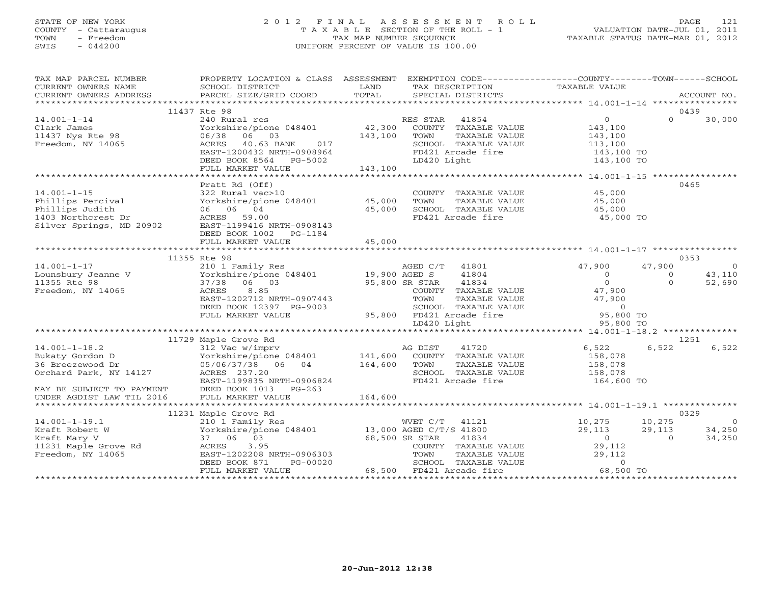## STATE OF NEW YORK 2 0 1 2 F I N A L A S S E S S M E N T R O L L PAGE 121 COUNTY - Cattaraugus T A X A B L E SECTION OF THE ROLL - 1 VALUATION DATE-JUL 01, 2011 TOWN - Freedom TAX MAP NUMBER SEQUENCE TAXABLE STATUS DATE-MAR 01, 2012 SWIS - 044200 UNIFORM PERCENT OF VALUE IS 100.00UNIFORM PERCENT OF VALUE IS 100.00

| TAX MAP PARCEL NUMBER                 | PROPERTY LOCATION & CLASS ASSESSMENT EXEMPTION CODE----------------COUNTY-------TOWN------SCHOOL                                                           |         |                                                  |                     |                      |                |
|---------------------------------------|------------------------------------------------------------------------------------------------------------------------------------------------------------|---------|--------------------------------------------------|---------------------|----------------------|----------------|
| CURRENT OWNERS NAME                   | SCHOOL DISTRICT                                                                                                                                            | LAND    | TAX DESCRIPTION                                  | TAXABLE VALUE       |                      |                |
| CURRENT OWNERS ADDRESS                | PARCEL SIZE/GRID COORD                                                                                                                                     | TOTAL   | SPECIAL DISTRICTS                                |                     |                      | ACCOUNT NO.    |
|                                       |                                                                                                                                                            |         |                                                  |                     |                      |                |
|                                       | 11437 Rte 98                                                                                                                                               |         |                                                  |                     | 0439                 |                |
| $14.001 - 1 - 14$                     | 240 Rural res                                                                                                                                              |         | RES STAR 41854                                   | $\overline{O}$      | $\Omega$             | 30,000         |
| Clark James                           | Yorkshire/pione 048401                                                                                                                                     |         | 42,300 COUNTY TAXABLE VALUE                      | 143,100             |                      |                |
| 11437 Nys Rte 98                      | 06/38<br>06 03                                                                                                                                             | 143,100 | TOWN<br>TAXABLE VALUE                            | 143,100             |                      |                |
| Freedom, NY 14065                     | 40.63 BANK<br>ACRES<br>017                                                                                                                                 |         | SCHOOL TAXABLE VALUE                             | 113,100             |                      |                |
|                                       | EAST-1200432 NRTH-0908964                                                                                                                                  |         | FD421 Arcade fire                                | $143,100$ TO        |                      |                |
|                                       | DEED BOOK 8564 PG-5002                                                                                                                                     |         | LD420 Light                                      | 143,100 TO          |                      |                |
|                                       | FULL MARKET VALUE                                                                                                                                          | 143,100 |                                                  |                     |                      |                |
|                                       |                                                                                                                                                            |         |                                                  |                     |                      |                |
|                                       | Pratt Rd (Off)                                                                                                                                             |         |                                                  |                     | 0465                 |                |
| $14.001 - 1 - 15$                     | 322 Rural vac>10                                                                                                                                           |         | COUNTY TAXABLE VALUE                             | 45,000              |                      |                |
| Phillips Percival                     | Yorkshire/pione 048401 45,000                                                                                                                              |         | TOWN<br>TAXABLE VALUE                            | 45,000              |                      |                |
| Phillips Judith                       | 06 06 04                                                                                                                                                   | 45,000  | SCHOOL TAXABLE VALUE                             | 45,000              |                      |                |
| 1403 Northcrest Dr                    | ACRES 59.00                                                                                                                                                |         | FD421 Arcade fire                                | 45,000 TO           |                      |                |
| Silver Springs, MD 20902              | EAST-1199416 NRTH-0908143                                                                                                                                  |         |                                                  |                     |                      |                |
|                                       | DEED BOOK 1002 PG-1184                                                                                                                                     |         |                                                  |                     |                      |                |
|                                       | FULL MARKET VALUE                                                                                                                                          | 45,000  |                                                  |                     |                      |                |
|                                       |                                                                                                                                                            |         |                                                  |                     |                      |                |
|                                       | 11355 Rte 98                                                                                                                                               |         |                                                  |                     | 0353                 |                |
| $14.001 - 1 - 17$                     | 210 1 Family Res                                                                                                                                           |         | AGED C/T<br>41801                                | 47,900              | 47,900               | $\overline{0}$ |
| Little<br>Linux Jeanne V<br>Little Co | Torkshire/pione 048401 19,900 AGED S<br>37/38 06 03 95,800 SR STAR                                                                                         |         | 41804                                            | $\circ$<br>$\Omega$ | $\Omega$<br>$\Omega$ | 43,110         |
| 11355 Rte 98                          |                                                                                                                                                            |         | 41834                                            |                     |                      | 52,690         |
| Freedom, NY 14065                     | 8.85<br>ACRES                                                                                                                                              |         | COUNTY TAXABLE VALUE                             | 47,900              |                      |                |
|                                       | EAST-1202712 NRTH-0907443                                                                                                                                  |         | TOWN<br>TAXABLE VALUE                            | 47,900              |                      |                |
|                                       | DEED BOOK 12397 PG-9003<br>FULL MARKET VALUE                                                                                                               |         | SCHOOL TAXABLE VALUE<br>95,800 FD421 Arcade fire | 0<br>95,800 TO      |                      |                |
|                                       |                                                                                                                                                            |         | LD420 Light                                      | 95,800 TO           |                      |                |
|                                       |                                                                                                                                                            |         |                                                  |                     |                      |                |
|                                       | 11729 Maple Grove Rd                                                                                                                                       |         |                                                  |                     | 1251                 |                |
| $14.001 - 1 - 18.2$                   | 312 Vac w/imprv                                                                                                                                            |         | 41720<br>AG DIST                                 | 6,522               | 6,522                | 6,522          |
| Bukaty Gordon D                       | Yorkshire/pione 048401 141,600 COUNTY TAXABLE VALUE                                                                                                        |         |                                                  | 158,078             |                      |                |
| 36 Breezewood Dr                      | 05/06/37/38 06 04                                                                                                                                          | 164,600 | TOWN<br>TAXABLE VALUE                            | 158,078             |                      |                |
| Orchard Park, NY 14127                | ACRES 237.20                                                                                                                                               |         | SCHOOL TAXABLE VALUE                             | 158,078             |                      |                |
|                                       | EAST-1199835 NRTH-0906824                                                                                                                                  |         | FD421 Arcade fire                                | 164,600 TO          |                      |                |
| MAY BE SUBJECT TO PAYMENT             |                                                                                                                                                            |         |                                                  |                     |                      |                |
| UNDER AGDIST LAW TIL 2016             | DEED BOOK 1013 PG-263<br>FULL MARKET VALUE                                                                                                                 | 164,600 |                                                  |                     |                      |                |
|                                       |                                                                                                                                                            |         |                                                  |                     |                      |                |
|                                       | 11231 Maple Grove Rd                                                                                                                                       |         |                                                  |                     | 0329                 |                |
| $14.001 - 1 - 19.1$                   | $\begin{tabular}{lllllllllll} 210&1\text{ Family Res} & & & & & & & & & \\ \text{Yorkshire/pione 048401} & & & & 13,000 AGED C/T/S 41800 \\ \end{tabular}$ |         |                                                  | 10,275              | 10,275               | $\sim$ 0       |
| Kraft Robert W                        |                                                                                                                                                            |         |                                                  | 29,113              | 29,113               | 34,250         |
| Kraft Mary V                          | 37 06 03<br>68,500 SR STAR                                                                                                                                 |         | 41834                                            | $\overline{0}$      | $\overline{0}$       | 34,250         |
| 11231 Maple Grove Rd                  | ACRES<br>3.95                                                                                                                                              |         | COUNTY TAXABLE VALUE                             | 29,112              |                      |                |
| Freedom, NY 14065                     | EAST-1202208 NRTH-0906303                                                                                                                                  |         | TOWN<br>TAXABLE VALUE                            | 29,112              |                      |                |
|                                       | DEED BOOK 871<br>PG-00020                                                                                                                                  |         | SCHOOL TAXABLE VALUE                             | $\Omega$            |                      |                |
|                                       | FULL MARKET VALUE                                                                                                                                          |         | 68,500 FD421 Arcade fire                         | 68,500 TO           |                      |                |
|                                       |                                                                                                                                                            |         |                                                  |                     |                      |                |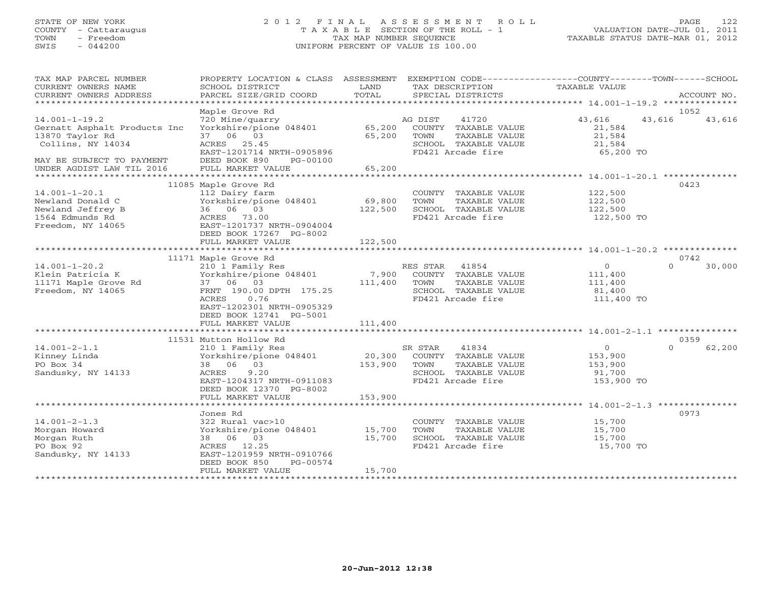## STATE OF NEW YORK 2 0 1 2 F I N A L A S S E S S M E N T R O L L PAGE 122 COUNTY - Cattaraugus T A X A B L E SECTION OF THE ROLL - 1 VALUATION DATE-JUL 01, 2011 TOWN - Freedom TAX MAP NUMBER SEQUENCE TAXABLE STATUS DATE-MAR 01, 2012 SWIS - 044200 UNIFORM PERCENT OF VALUE IS 100.00UNIFORM PERCENT OF VALUE IS 100.00

| TAX MAP PARCEL NUMBER<br>CURRENT OWNERS NAME | PROPERTY LOCATION & CLASS ASSESSMENT EXEMPTION CODE----------------COUNTY-------TOWN------SCHOOL<br>SCHOOL DISTRICT | LAND    | TAX DESCRIPTION                               | TAXABLE VALUE    |          |             |
|----------------------------------------------|---------------------------------------------------------------------------------------------------------------------|---------|-----------------------------------------------|------------------|----------|-------------|
| CURRENT OWNERS ADDRESS                       | PARCEL SIZE/GRID COORD                                                                                              | TOTAL   | SPECIAL DISTRICTS                             |                  |          | ACCOUNT NO. |
|                                              |                                                                                                                     |         |                                               |                  |          |             |
|                                              | Maple Grove Rd                                                                                                      |         |                                               |                  | 1052     |             |
| $14.001 - 1 - 19.2$                          | 720 Mine/quarry                                                                                                     |         | 41720<br>AG DIST                              | 43,616           | 43,616   | 43,616      |
| Gernatt Asphalt Products Inc                 | Yorkshire/pione 048401                                                                                              |         | 65,200 COUNTY TAXABLE VALUE                   | 21,584           |          |             |
| 13870 Taylor Rd                              | 37 06 03                                                                                                            | 65,200  | TOWN<br>TAXABLE VALUE                         | 21,584           |          |             |
| Collins, NY 14034                            | ACRES 25.45                                                                                                         |         | SCHOOL TAXABLE VALUE                          | 21,584           |          |             |
|                                              | EAST-1201714 NRTH-0905896                                                                                           |         | FD421 Arcade fire                             | 65,200 TO        |          |             |
| MAY BE SUBJECT TO PAYMENT                    | DEED BOOK 890<br>PG-00100                                                                                           |         |                                               |                  |          |             |
| UNDER AGDIST LAW TIL 2016                    | FULL MARKET VALUE                                                                                                   | 65,200  |                                               |                  |          |             |
|                                              | 11085 Maple Grove Rd                                                                                                |         |                                               |                  | 0423     |             |
| $14.001 - 1 - 20.1$                          | 112 Dairy farm                                                                                                      |         | COUNTY TAXABLE VALUE                          | 122,500          |          |             |
| Newland Donald C                             | Yorkshire/pione 048401                                                                                              | 69,800  | TOWN<br>TAXABLE VALUE                         | 122,500          |          |             |
| Newland Jeffrey B                            | 36 06 03                                                                                                            | 122,500 | SCHOOL TAXABLE VALUE                          | 122,500          |          |             |
| 1564 Edmunds Rd                              | ACRES 73.00                                                                                                         |         | FD421 Arcade fire                             | 122,500 TO       |          |             |
| Freedom, NY 14065                            | EAST-1201737 NRTH-0904004                                                                                           |         |                                               |                  |          |             |
|                                              | DEED BOOK 17267 PG-8002                                                                                             |         |                                               |                  |          |             |
|                                              | FULL MARKET VALUE                                                                                                   | 122,500 |                                               |                  |          |             |
|                                              |                                                                                                                     |         |                                               |                  |          |             |
|                                              | 11171 Maple Grove Rd                                                                                                |         |                                               |                  | 0742     |             |
| $14.001 - 1 - 20.2$                          | 210 1 Family Res                                                                                                    |         | RES STAR 41854                                | $\overline{0}$   | $\Omega$ | 30,000      |
| Klein Patricia K                             | Yorkshire/pione 048401                                                                                              |         | 7,900 COUNTY TAXABLE VALUE                    | 111,400          |          |             |
| 11171 Maple Grove Rd                         | 37 06 03                                                                                                            | 111,400 | TOWN<br>TAXABLE VALUE                         | 111,400          |          |             |
| Freedom, NY 14065                            | FRNT 190.00 DPTH 175.25                                                                                             |         | SCHOOL TAXABLE VALUE<br>FD421 Arcade fire     | 81,400           |          |             |
|                                              | ACRES<br>0.76<br>EAST-1202301 NRTH-0905329                                                                          |         |                                               | 111,400 TO       |          |             |
|                                              | DEED BOOK 12741 PG-5001                                                                                             |         |                                               |                  |          |             |
|                                              | FULL MARKET VALUE                                                                                                   | 111,400 |                                               |                  |          |             |
|                                              |                                                                                                                     |         |                                               |                  |          |             |
|                                              | 11531 Mutton Hollow Rd                                                                                              |         |                                               |                  | 0359     |             |
| $14.001 - 2 - 1.1$                           | 210 1 Family Res                                                                                                    |         | SR STAR<br>41834                              | 0                | $\Omega$ | 62,200      |
| Kinney Linda                                 | Yorkshire/pione 048401                                                                                              |         | 20,300 COUNTY TAXABLE VALUE                   | 153,900          |          |             |
| PO Box 34                                    | 38 06 03                                                                                                            | 153,900 | TOWN<br>TAXABLE VALUE                         | 153,900          |          |             |
| Sandusky, NY 14133                           | 9.20<br>ACRES                                                                                                       |         | SCHOOL TAXABLE VALUE                          | 91,700           |          |             |
|                                              | EAST-1204317 NRTH-0911083                                                                                           |         | FD421 Arcade fire                             | 153,900 TO       |          |             |
|                                              | DEED BOOK 12370 PG-8002                                                                                             |         |                                               |                  |          |             |
|                                              | FULL MARKET VALUE                                                                                                   | 153,900 |                                               |                  |          |             |
|                                              |                                                                                                                     |         |                                               |                  |          |             |
|                                              | Jones Rd                                                                                                            |         |                                               |                  | 0973     |             |
| $14.001 - 2 - 1.3$<br>Morgan Howard          | 322 Rural vac>10<br>Yorkshire/pione 048401 15,700                                                                   |         | COUNTY TAXABLE VALUE<br>TOWN<br>TAXABLE VALUE | 15,700<br>15,700 |          |             |
| Morgan Ruth                                  | 38 06 03                                                                                                            | 15,700  | SCHOOL TAXABLE VALUE                          | 15,700           |          |             |
| PO Box 92                                    | ACRES 12.25                                                                                                         |         | FD421 Arcade fire                             | 15,700 TO        |          |             |
| Sandusky, NY 14133                           | EAST-1201959 NRTH-0910766                                                                                           |         |                                               |                  |          |             |
|                                              | DEED BOOK 850<br>PG-00574                                                                                           |         |                                               |                  |          |             |
|                                              | FULL MARKET VALUE                                                                                                   | 15,700  |                                               |                  |          |             |
|                                              |                                                                                                                     |         |                                               |                  |          |             |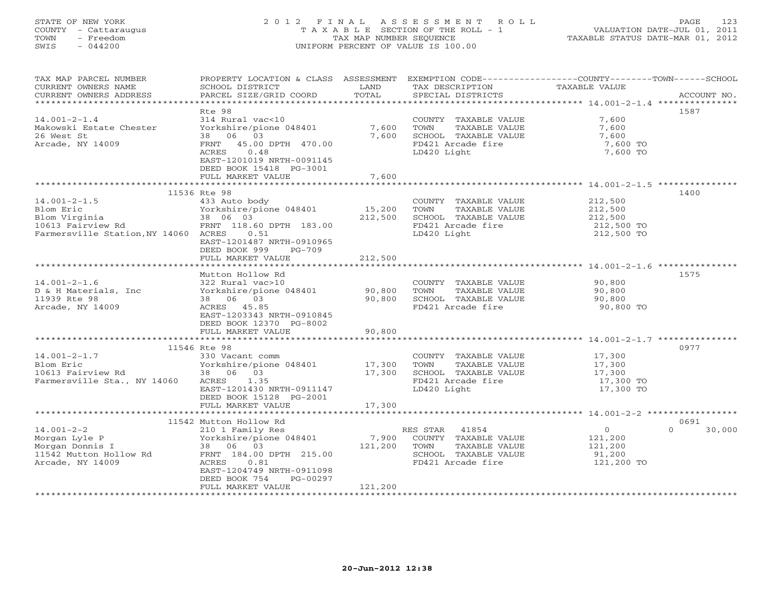# STATE OF NEW YORK 2 0 1 2 F I N A L A S S E S S M E N T R O L L PAGE 123 COUNTY - Cattaraugus T A X A B L E SECTION OF THE ROLL - 1 VALUATION DATE-JUL 01, 2011 TOWN - Freedom TAX MAP NUMBER SEQUENCE TAXABLE STATUS DATE-MAR 01, 2012 SWIS - 044200 UNIFORM PERCENT OF VALUE IS 100.00UNIFORM PERCENT OF VALUE IS 100.00

| TAX MAP PARCEL NUMBER                | PROPERTY LOCATION & CLASS ASSESSMENT |               |                       | EXEMPTION CODE----------------COUNTY-------TOWN------SCHOOL |                    |
|--------------------------------------|--------------------------------------|---------------|-----------------------|-------------------------------------------------------------|--------------------|
| CURRENT OWNERS NAME                  | SCHOOL DISTRICT                      | LAND          | TAX DESCRIPTION       | TAXABLE VALUE                                               |                    |
| CURRENT OWNERS ADDRESS               | PARCEL SIZE/GRID COORD               | TOTAL         | SPECIAL DISTRICTS     |                                                             | ACCOUNT NO.        |
|                                      |                                      |               |                       |                                                             |                    |
|                                      | Rte 98                               |               |                       |                                                             | 1587               |
| $14.001 - 2 - 1.4$                   | 314 Rural vac<10                     |               | COUNTY TAXABLE VALUE  | 7,600                                                       |                    |
| Makowski Estate Chester              | Yorkshire/pione 048401               | 7,600         | TOWN<br>TAXABLE VALUE | 7,600                                                       |                    |
| 26 West St                           | 38 06 03                             | 7,600         | SCHOOL TAXABLE VALUE  | 7,600                                                       |                    |
| Arcade, NY 14009                     | FRNT 45.00 DPTH 470.00               |               | FD421 Arcade fire     | 7,600 TO                                                    |                    |
|                                      | ACRES<br>0.48                        |               | LD420 Light           | 7,600 TO                                                    |                    |
|                                      | EAST-1201019 NRTH-0091145            |               |                       |                                                             |                    |
|                                      | DEED BOOK 15418 PG-3001              |               |                       |                                                             |                    |
|                                      | FULL MARKET VALUE                    | 7,600         |                       |                                                             |                    |
| **********************************   | *******************                  | ************* |                       | **************************** 14.001-2-1.5 ****************  |                    |
|                                      | 11536 Rte 98                         |               |                       |                                                             | 1400               |
| $14.001 - 2 - 1.5$                   | 433 Auto body                        |               | COUNTY TAXABLE VALUE  | 212,500                                                     |                    |
| Blom Eric                            | Yorkshire/pione 048401               | 15,200        | TOWN<br>TAXABLE VALUE | 212,500                                                     |                    |
|                                      | 38 06 03                             | 212,500       | SCHOOL TAXABLE VALUE  | 212,500                                                     |                    |
| Blom Virginia<br>10613 Fairview Rd   | FRNT 118.60 DPTH 183.00              |               | FD421 Arcade fire     | 212,500 TO                                                  |                    |
| Farmersville Station, NY 14060 ACRES | 0.51                                 |               | LD420 Light           | 212,500 TO                                                  |                    |
|                                      | EAST-1201487 NRTH-0910965            |               |                       |                                                             |                    |
|                                      | DEED BOOK 999<br>$PG-709$            |               |                       |                                                             |                    |
|                                      | FULL MARKET VALUE                    | 212,500       |                       |                                                             |                    |
|                                      |                                      |               |                       |                                                             |                    |
|                                      | Mutton Hollow Rd                     |               |                       |                                                             | 1575               |
| $14.001 - 2 - 1.6$                   | 322 Rural vac>10                     |               | COUNTY TAXABLE VALUE  | 90,800                                                      |                    |
| D & H Materials, Inc                 | Yorkshire/pione 048401               | 90,800        | TOWN<br>TAXABLE VALUE | 90,800                                                      |                    |
| 11939 Rte 98                         | 38 06 03                             | 90,800        | SCHOOL TAXABLE VALUE  | 90,800                                                      |                    |
| Arcade, NY 14009                     | ACRES 45.85                          |               | FD421 Arcade fire     | 90,800 TO                                                   |                    |
|                                      | EAST-1203343 NRTH-0910845            |               |                       |                                                             |                    |
|                                      | DEED BOOK 12370 PG-8002              |               |                       |                                                             |                    |
|                                      | FULL MARKET VALUE                    | 90,800        |                       |                                                             |                    |
|                                      | **************************           |               |                       |                                                             |                    |
|                                      | 11546 Rte 98                         |               |                       |                                                             | 0977               |
| $14.001 - 2 - 1.7$                   | 330 Vacant comm                      |               | COUNTY TAXABLE VALUE  | 17,300                                                      |                    |
| Blom Eric                            | Yorkshire/pione $048401$<br>38 06 03 | 17,300        | TOWN<br>TAXABLE VALUE | 17,300                                                      |                    |
| 10613 Fairview Rd                    | 38 06 03                             | 17,300        | SCHOOL TAXABLE VALUE  | 17,300                                                      |                    |
| Farmersville Sta., NY 14060          | ACRES<br>1.35                        |               | FD421 Arcade fire     | 17,300 TO                                                   |                    |
|                                      | EAST-1201430 NRTH-0911147            |               | LD420 Light           | 17,300 TO                                                   |                    |
|                                      | DEED BOOK 15128 PG-2001              |               |                       |                                                             |                    |
|                                      | FULL MARKET VALUE                    | 17,300        |                       |                                                             |                    |
|                                      |                                      |               |                       |                                                             |                    |
|                                      | 11542 Mutton Hollow Rd               |               |                       |                                                             | 0691               |
| $14.001 - 2 - 2$                     | 210 1 Family Res                     |               | RES STAR 41854        | $\Omega$                                                    | $\Omega$<br>30,000 |
| Morgan Lyle P                        | Yorkshire/pione 048401               | 7,900         | COUNTY TAXABLE VALUE  | 121,200                                                     |                    |
| Morgan Donnis I                      | 38 06 03                             | 121,200       | TOWN<br>TAXABLE VALUE | 121,200                                                     |                    |
| 11542 Mutton Hollow Rd               | FRNT 184.00 DPTH 215.00              |               | SCHOOL TAXABLE VALUE  | 91,200                                                      |                    |
| Arcade, NY 14009                     | ACRES<br>0.81                        |               | FD421 Arcade fire     | 121,200 TO                                                  |                    |
|                                      | EAST-1204749 NRTH-0911098            |               |                       |                                                             |                    |
|                                      | DEED BOOK 754<br>PG-00297            |               |                       |                                                             |                    |
|                                      | FULL MARKET VALUE                    | 121,200       |                       |                                                             |                    |
|                                      |                                      |               |                       |                                                             |                    |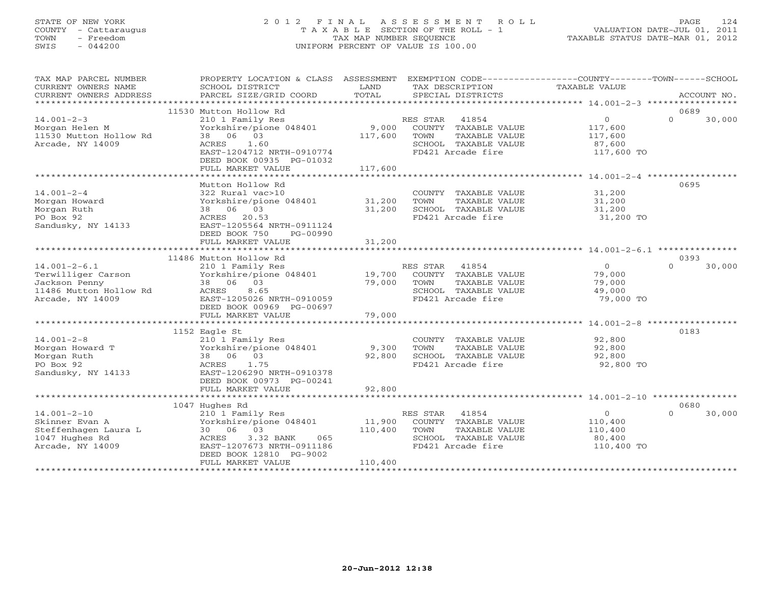# STATE OF NEW YORK 2 0 1 2 F I N A L A S S E S S M E N T R O L L PAGE 124 COUNTY - Cattaraugus T A X A B L E SECTION OF THE ROLL - 1 VALUATION DATE-JUL 01, 2011 TOWN - Freedom TAX MAP NUMBER SEQUENCE TAXABLE STATUS DATE-MAR 01, 2012 SWIS - 044200 UNIFORM PERCENT OF VALUE IS 100.00UNIFORM PERCENT OF VALUE IS 100.00

| TAX MAP PARCEL NUMBER<br>CURRENT OWNERS NAME<br>CURRENT OWNERS ADDRESS                                  | PROPERTY LOCATION & CLASS ASSESSMENT<br>SCHOOL DISTRICT<br>PARCEL SIZE/GRID COORD                                                                                                  | LAND<br>TOTAL                | EXEMPTION CODE-----------------COUNTY-------TOWN------SCHOOL<br>TAX DESCRIPTION<br>SPECIAL DISTRICTS            | TAXABLE VALUE                                                | ACCOUNT NO.                |
|---------------------------------------------------------------------------------------------------------|------------------------------------------------------------------------------------------------------------------------------------------------------------------------------------|------------------------------|-----------------------------------------------------------------------------------------------------------------|--------------------------------------------------------------|----------------------------|
|                                                                                                         |                                                                                                                                                                                    |                              |                                                                                                                 |                                                              |                            |
| $14.001 - 2 - 3$<br>Morgan Helen M<br>11530 Mutton Hollow Rd<br>Arcade, NY 14009                        | 11530 Mutton Hollow Rd<br>210 1 Family Res<br>Yorkshire/pione 048401<br>38 06 03<br>ACRES<br>1.60<br>EAST-1204712 NRTH-0910774<br>DEED BOOK 00935 PG-01032<br>FULL MARKET VALUE    | 9,000<br>117,600<br>117,600  | RES STAR 41854<br>COUNTY TAXABLE VALUE<br>TOWN<br>TAXABLE VALUE<br>SCHOOL TAXABLE VALUE<br>FD421 Arcade fire    | $\overline{0}$<br>117,600<br>117,600<br>87,600<br>117,600 TO | 0689<br>$\Omega$<br>30,000 |
|                                                                                                         |                                                                                                                                                                                    |                              |                                                                                                                 |                                                              |                            |
| $14.001 - 2 - 4$<br>Morgan Howard<br>Morgan Ruth<br>PO Box 92<br>Sandusky, NY 14133                     | Mutton Hollow Rd<br>322 Rural vac>10<br>Yorkshire/pione 048401<br>38 06 03<br>ACRES 20.53<br>EAST-1205564 NRTH-0911124<br>DEED BOOK 750<br>PG-00990                                | 31,200<br>31,200             | COUNTY TAXABLE VALUE<br>TOWN<br>TAXABLE VALUE<br>SCHOOL TAXABLE VALUE<br>FD421 Arcade fire                      | 31,200<br>31,200<br>31,200<br>31,200 TO                      | 0695                       |
|                                                                                                         | FULL MARKET VALUE<br>***********************************                                                                                                                           | 31,200                       |                                                                                                                 |                                                              |                            |
|                                                                                                         | 11486 Mutton Hollow Rd                                                                                                                                                             |                              |                                                                                                                 |                                                              | 0393                       |
| $14.001 - 2 - 6.1$<br>Terwilliger Carson<br>Jackson Penny<br>11486 Mutton Hollow Rd<br>Arcade, NY 14009 | 210 1 Family Res<br>Yorkshire/pione 048401<br>38 06 03<br>ACRES<br>8.65<br>EAST-1205026 NRTH-0910059<br>DEED BOOK 00969 PG-00697                                                   | 19,700<br>79,000             | RES STAR<br>41854<br>COUNTY TAXABLE VALUE<br>TOWN<br>TAXABLE VALUE<br>SCHOOL TAXABLE VALUE<br>FD421 Arcade fire | $\overline{O}$<br>79,000<br>79,000<br>49,000<br>79,000 TO    | $\Omega$<br>30,000         |
|                                                                                                         | FULL MARKET VALUE                                                                                                                                                                  | 79,000                       |                                                                                                                 |                                                              |                            |
|                                                                                                         |                                                                                                                                                                                    |                              |                                                                                                                 |                                                              |                            |
| $14.001 - 2 - 8$<br>Morgan Howard T<br>Morgan Ruth<br>PO Box 92<br>Sandusky, NY 14133                   | 1152 Eagle St<br>210 1 Family Res<br>Yorkshire/pione 048401<br>38 06 03<br>ACRES<br>1.75<br>EAST-1206290 NRTH-0910378<br>DEED BOOK 00973 PG-00241<br>FULL MARKET VALUE             | 9,300<br>92,800<br>92,800    | COUNTY TAXABLE VALUE<br>TOWN<br>TAXABLE VALUE<br>SCHOOL TAXABLE VALUE<br>FD421 Arcade fire                      | 92,800<br>92,800<br>92,800<br>92,800 TO                      | 0183                       |
|                                                                                                         |                                                                                                                                                                                    |                              |                                                                                                                 |                                                              |                            |
| $14.001 - 2 - 10$<br>Skinner Evan A<br>Steffenhagen Laura L<br>1047 Hughes Rd<br>Arcade, NY 14009       | 1047 Hughes Rd<br>210 1 Family Res<br>Yorkshire/pione 048401<br>30 06 03<br>ACRES<br>3.32 BANK<br>065<br>EAST-1207673 NRTH-0911186<br>DEED BOOK 12810 PG-9002<br>FULL MARKET VALUE | 11,900<br>110,400<br>110,400 | RES STAR 41854<br>COUNTY TAXABLE VALUE<br>TOWN<br>TAXABLE VALUE<br>SCHOOL TAXABLE VALUE<br>FD421 Arcade fire    | $\circ$<br>110,400<br>110,400<br>80,400<br>110,400 TO        | 0680<br>$\Omega$<br>30,000 |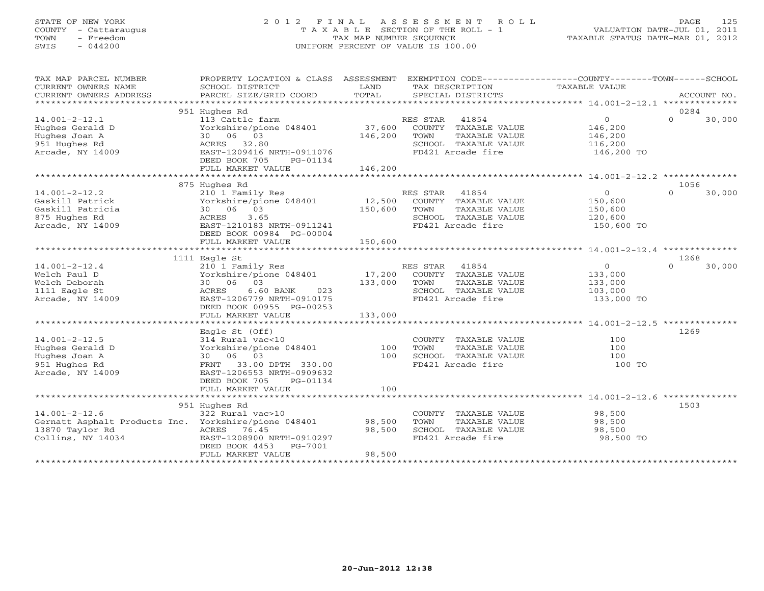## STATE OF NEW YORK 2 0 1 2 F I N A L A S S E S S M E N T R O L L PAGE 125 COUNTY - Cattaraugus T A X A B L E SECTION OF THE ROLL - 1 VALUATION DATE-JUL 01, 2011 TOWN - Freedom TAX MAP NUMBER SEQUENCE TAXABLE STATUS DATE-MAR 01, 2012 SWIS - 044200 UNIFORM PERCENT OF VALUE IS 100.00UNIFORM PERCENT OF VALUE IS 100.00

| TAX MAP PARCEL NUMBER                                | PROPERTY LOCATION & CLASS ASSESSMENT                |               | EXEMPTION CODE-----------------COUNTY-------TOWN------SCHOOL |                |                            |
|------------------------------------------------------|-----------------------------------------------------|---------------|--------------------------------------------------------------|----------------|----------------------------|
| CURRENT OWNERS NAME                                  | SCHOOL DISTRICT                                     | LAND<br>TOTAL | TAX DESCRIPTION                                              | TAXABLE VALUE  | ACCOUNT NO.                |
| CURRENT OWNERS ADDRESS                               | PARCEL SIZE/GRID COORD                              |               | SPECIAL DISTRICTS                                            |                |                            |
|                                                      | 951 Hughes Rd                                       |               |                                                              |                | 0284                       |
| $14.001 - 2 - 12.1$                                  | 113 Cattle farm                                     |               | 41854<br>RES STAR                                            | $\overline{0}$ | $\Omega$<br>30,000         |
| Hughes Gerald D                                      | Yorkshire/pione 048401                              | 37,600        | COUNTY TAXABLE VALUE                                         | 146,200        |                            |
| Hughes Joan A                                        | 30 06 03                                            | 146,200       | TOWN<br>TAXABLE VALUE                                        | 146,200        |                            |
| 951 Hughes Rd                                        | ACRES 32.80                                         |               | SCHOOL TAXABLE VALUE                                         | 116,200        |                            |
| Arcade, NY 14009                                     | EAST-1209416 NRTH-0911076                           |               | FD421 Arcade fire                                            | 146,200 TO     |                            |
|                                                      | DEED BOOK 705<br>PG-01134<br>FULL MARKET VALUE      | 146,200       |                                                              |                |                            |
|                                                      |                                                     |               |                                                              |                |                            |
|                                                      | 875 Hughes Rd                                       |               |                                                              |                | 1056                       |
| $14.001 - 2 - 12.2$                                  | 210 1 Family Res                                    |               | RES STAR<br>41854                                            | $\overline{0}$ | $\Omega$<br>30,000         |
| Gaskill Patrick                                      | Yorkshire/pione 048401 12,500                       |               | COUNTY TAXABLE VALUE                                         | 150,600        |                            |
| Gaskill Patricia                                     | 30 06 03                                            | 150,600       | TOWN<br>TAXABLE VALUE                                        | 150,600        |                            |
| 875 Hughes Rd                                        | 3.65<br>ACRES                                       |               | SCHOOL TAXABLE VALUE                                         | 120,600        |                            |
| Arcade, NY 14009                                     | EAST-1210183 NRTH-0911241                           |               | FD421 Arcade fire                                            | 150,600 TO     |                            |
|                                                      | DEED BOOK 00984 PG-00004                            |               |                                                              |                |                            |
|                                                      | FULL MARKET VALUE                                   | 150,600       |                                                              |                |                            |
|                                                      |                                                     |               |                                                              |                |                            |
| $14.001 - 2 - 12.4$                                  | 1111 Eagle St<br>210 1 Family Res                   |               | RES STAR<br>41854                                            | $\overline{0}$ | 1268<br>$\Omega$<br>30,000 |
| Welch Paul D                                         | Yorkshire/pione 048401                              | 17,200        | COUNTY TAXABLE VALUE                                         | 133,000        |                            |
| Welch Deborah                                        | 30 06 03                                            | 133,000       | TOWN<br>TAXABLE VALUE                                        | 133,000        |                            |
| 1111 Eagle St                                        | 6.60 BANK<br>023<br>ACRES                           |               | SCHOOL TAXABLE VALUE                                         | 103,000        |                            |
| Arcade, NY 14009                                     | EAST-1206779 NRTH-0910175                           |               | FD421 Arcade fire                                            | 133,000 TO     |                            |
|                                                      | DEED BOOK 00955 PG-00253                            |               |                                                              |                |                            |
|                                                      | FULL MARKET VALUE                                   | 133,000       |                                                              |                |                            |
|                                                      |                                                     |               |                                                              |                |                            |
|                                                      | Eagle St (Off)                                      |               |                                                              |                | 1269                       |
| $14.001 - 2 - 12.5$                                  | 314 Rural vac<10                                    |               | COUNTY TAXABLE VALUE                                         | 100            |                            |
| Hughes Gerald D                                      | Yorkshire/pione 048401                              | 100           | TAXABLE VALUE<br>TOWN                                        | 100            |                            |
| Hughes Joan A                                        | 30 06 03                                            | 100           | SCHOOL TAXABLE VALUE<br>FD421 Arcade fire                    | 100            |                            |
| 951 Hughes Rd<br>Arcade, NY 14009                    | FRNT 33.00 DPTH 330.00<br>EAST-1206553 NRTH-0909632 |               |                                                              | 100 TO         |                            |
|                                                      | DEED BOOK 705<br>PG-01134                           |               |                                                              |                |                            |
|                                                      | FULL MARKET VALUE                                   | 100           |                                                              |                |                            |
|                                                      |                                                     |               |                                                              |                |                            |
|                                                      | 951 Hughes Rd                                       |               |                                                              |                | 1503                       |
| $14.001 - 2 - 12.6$                                  | 322 Rural vac>10                                    |               | COUNTY TAXABLE VALUE                                         | 98,500         |                            |
| Gernatt Asphalt Products Inc. Yorkshire/pione 048401 |                                                     | 98,500        | TOWN<br>TAXABLE VALUE                                        | 98,500         |                            |
| 13870 Taylor Rd                                      | ACRES<br>76.45                                      | 98,500        | SCHOOL TAXABLE VALUE                                         | 98,500         |                            |
| Collins, NY 14034                                    | EAST-1208900 NRTH-0910297                           |               | FD421 Arcade fire                                            | 98,500 TO      |                            |
|                                                      | DEED BOOK 4453<br>PG-7001                           |               |                                                              |                |                            |
|                                                      | FULL MARKET VALUE                                   | 98,500        |                                                              |                |                            |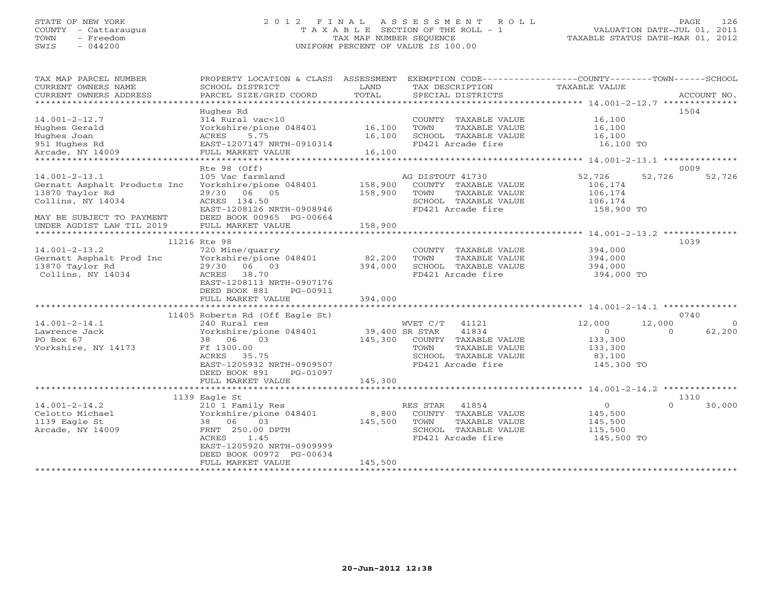## STATE OF NEW YORK 2 0 1 2 F I N A L A S S E S S M E N T R O L L PAGE 126 COUNTY - Cattaraugus T A X A B L E SECTION OF THE ROLL - 1 VALUATION DATE-JUL 01, 2011 TOWN - Freedom TAX MAP NUMBER SEQUENCE TAXABLE STATUS DATE-MAR 01, 2012 SWIS - 044200 UNIFORM PERCENT OF VALUE IS 100.00UNIFORM PERCENT OF VALUE IS 100.00

| TAX MAP PARCEL NUMBER<br>CURRENT OWNERS NAME<br>CURRENT OWNERS ADDRESS                      | PROPERTY LOCATION & CLASS ASSESSMENT<br>SCHOOL DISTRICT<br>PARCEL SIZE/GRID COORD                      | LAND<br>TOTAL      | TAX DESCRIPTION<br>SPECIAL DISTRICTS                                                                           | EXEMPTION CODE-----------------COUNTY-------TOWN------SCHOOL<br>TAXABLE VALUE | ACCOUNT NO. |
|---------------------------------------------------------------------------------------------|--------------------------------------------------------------------------------------------------------|--------------------|----------------------------------------------------------------------------------------------------------------|-------------------------------------------------------------------------------|-------------|
| $14.001 - 2 - 12.7$<br>Hughes Gerald                                                        | Hughes Rd<br>314 Rural vac<10<br>Yorkshire/pione 048401                                                | 16,100             | COUNTY TAXABLE VALUE<br>TAXABLE VALUE<br>TOWN                                                                  | 16,100<br>16,100                                                              | 1504        |
| Hughes Joan<br>951 Hughes Rd                                                                | 5.75<br>ACRES<br>EAST-1207147 NRTH-0910314                                                             | 16,100             | SCHOOL TAXABLE VALUE<br>FD421 Arcade fire                                                                      | 16,100<br>16,100 TO                                                           |             |
| Arcade, NY 14009                                                                            | FULL MARKET VALUE                                                                                      | 16,100             |                                                                                                                |                                                                               |             |
|                                                                                             | Rte 98 (Off)                                                                                           |                    |                                                                                                                |                                                                               | 0009        |
| $14.001 - 2 - 13.1$<br>Gernatt Asphalt Products Inc<br>13870 Taylor Rd<br>Collins, NY 14034 | 105 Vac farmland<br>Yorkshire/pione 048401<br>29/30 06 05<br>ACRES 134.50<br>EAST-1208126 NRTH-0908946 | 158,900<br>158,900 | AG DISTOUT 41730<br>COUNTY TAXABLE VALUE<br>TOWN<br>TAXABLE VALUE<br>SCHOOL TAXABLE VALUE<br>FD421 Arcade fire | 52,726<br>52,726<br>106,174<br>106,174<br>106,174<br>158,900 TO               | 52,726      |
| MAY BE SUBJECT TO PAYMENT<br>UNDER AGDIST LAW TIL 2019                                      | DEED BOOK 00965 PG-00664<br>FULL MARKET VALUE                                                          | 158,900            |                                                                                                                |                                                                               |             |
|                                                                                             | 11216 Rte 98                                                                                           | ****************   |                                                                                                                |                                                                               | 1039        |
| $14.001 - 2 - 13.2$                                                                         | 720 Mine/quarry                                                                                        |                    | COUNTY TAXABLE VALUE                                                                                           | 394,000                                                                       |             |
| Gernatt Asphalt Prod Inc                                                                    | Yorkshire/pione 048401                                                                                 | 82,200             | TOWN<br>TAXABLE VALUE                                                                                          | 394,000                                                                       |             |
| 13870 Taylor Rd                                                                             | 29/30 06 03                                                                                            | 394,000            | SCHOOL TAXABLE VALUE                                                                                           | 394,000                                                                       |             |
| Collins, NY 14034                                                                           | 38.70<br>ACRES<br>EAST-1208113 NRTH-0907176<br>DEED BOOK 881<br>PG-00911                               |                    | FD421 Arcade fire                                                                                              | 394,000 TO                                                                    |             |
|                                                                                             | FULL MARKET VALUE                                                                                      | 394,000            |                                                                                                                |                                                                               |             |
|                                                                                             | 11405 Roberts Rd (Off Eagle St)                                                                        |                    |                                                                                                                |                                                                               | 0740        |
| $14.001 - 2 - 14.1$                                                                         | 240 Rural res                                                                                          |                    | WVET C/T 41121                                                                                                 | 12,000<br>12,000                                                              | $\Omega$    |
| Lawrence Jack                                                                               | Yorkshire/pione 048401                                                                                 | 39,400 SR STAR     | 41834                                                                                                          | $\overline{0}$<br>$\Omega$                                                    | 62,200      |
| PO Box 67                                                                                   | 38 06 03                                                                                               | 145,300            | COUNTY TAXABLE VALUE                                                                                           | 133,300                                                                       |             |
| Yorkshire, NY 14173                                                                         | Ff 1300.00                                                                                             |                    | TAXABLE VALUE<br>TOWN                                                                                          | 133,300                                                                       |             |
|                                                                                             | ACRES 35.75                                                                                            |                    | SCHOOL TAXABLE VALUE                                                                                           | 83,100                                                                        |             |
|                                                                                             | EAST-1205932 NRTH-0909507<br>DEED BOOK 891<br>PG-01097<br>FULL MARKET VALUE                            | 145,300            | FD421 Arcade fire                                                                                              | 145,300 TO                                                                    |             |
|                                                                                             |                                                                                                        |                    |                                                                                                                |                                                                               |             |
|                                                                                             | 1139 Eagle St                                                                                          |                    |                                                                                                                |                                                                               | 1310        |
| $14.001 - 2 - 14.2$                                                                         | 210 1 Family Res                                                                                       |                    | RES STAR<br>41854                                                                                              | $\circ$<br>$\Omega$                                                           | 30,000      |
| Celotto Michael                                                                             | Yorkshire/pione 048401                                                                                 | 8,800              | COUNTY TAXABLE VALUE                                                                                           | 145,500                                                                       |             |
| 1139 Eagle St                                                                               | 38 06<br>03                                                                                            | 145,500            | TOWN<br>TAXABLE VALUE                                                                                          | 145,500                                                                       |             |
| Arcade, NY 14009                                                                            | FRNT 250.00 DPTH                                                                                       |                    | SCHOOL TAXABLE VALUE                                                                                           | 115,500                                                                       |             |
|                                                                                             | 1.45<br>ACRES                                                                                          |                    | FD421 Arcade fire                                                                                              | 145,500 TO                                                                    |             |
|                                                                                             | EAST-1205920 NRTH-0909999                                                                              |                    |                                                                                                                |                                                                               |             |
|                                                                                             | DEED BOOK 00972 PG-00634<br>FULL MARKET VALUE                                                          | 145,500            |                                                                                                                |                                                                               |             |
|                                                                                             | *************************                                                                              |                    | ****************************                                                                                   |                                                                               |             |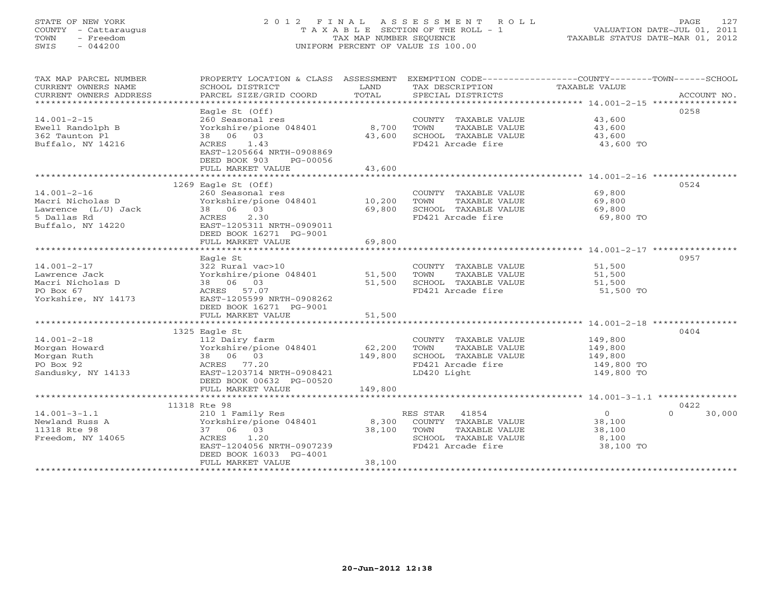## STATE OF NEW YORK 2 0 1 2 F I N A L A S S E S S M E N T R O L L PAGE 127 COUNTY - Cattaraugus T A X A B L E SECTION OF THE ROLL - 1 VALUATION DATE-JUL 01, 2011 TOWN - Freedom TAX MAP NUMBER SEQUENCE TAXABLE STATUS DATE-MAR 01, 2012 SWIS - 044200 UNIFORM PERCENT OF VALUE IS 100.00UNIFORM PERCENT OF VALUE IS 100.00

| TAX MAP PARCEL NUMBER  | PROPERTY LOCATION & CLASS ASSESSMENT EXEMPTION CODE----------------COUNTY-------TOWN------SCHOOL |         |                             |                       |                    |
|------------------------|--------------------------------------------------------------------------------------------------|---------|-----------------------------|-----------------------|--------------------|
| CURRENT OWNERS NAME    | SCHOOL DISTRICT                                                                                  | LAND    | TAX DESCRIPTION             | TAXABLE VALUE         |                    |
| CURRENT OWNERS ADDRESS |                                                                                                  |         |                             |                       |                    |
|                        |                                                                                                  |         |                             |                       |                    |
|                        | Eagle $St$ (Off)                                                                                 |         |                             |                       | 0258               |
| $14.001 - 2 - 15$      | 260 Seasonal res                                                                                 |         | COUNTY TAXABLE VALUE 43,600 |                       |                    |
| Ewell Randolph B       | Yorkshire/pione 048401                                                                           | 8,700   | TOWN TAXABLE VALUE          | 43,600<br>43,600      |                    |
| 362 Taunton Pl         | 38 06 03                                                                                         | 43,600  | SCHOOL TAXABLE VALUE        |                       |                    |
| Buffalo, NY 14216      | ACRES<br>1.43                                                                                    |         | FD421 Arcade fire           | 43,600 TO             |                    |
|                        | EAST-1205664 NRTH-0908869                                                                        |         |                             |                       |                    |
|                        | DEED BOOK 903<br>PG-00056                                                                        |         |                             |                       |                    |
|                        | FULL MARKET VALUE                                                                                | 43,600  |                             |                       |                    |
|                        |                                                                                                  |         |                             |                       |                    |
|                        | 1269 Eagle St $(Off)$                                                                            |         |                             |                       | 0524               |
| $14.001 - 2 - 16$      | 260 Seasonal res                                                                                 |         | COUNTY TAXABLE VALUE        | 69,800                |                    |
| Macri Nicholas D       | zou seasonai res<br>Yorkshire/pione 048401               10,200                                  |         | TOWN<br>TAXABLE VALUE       | 69,800                |                    |
| Lawrence (L/U) Jack    | 38 06 03                                                                                         | 69,800  | SCHOOL TAXABLE VALUE        | 69,800                |                    |
| 5 Dallas Rd            | ACRES<br>2.30                                                                                    |         | FD421 Arcade fire           | 69,800 TO             |                    |
| Buffalo, NY 14220      | EAST-1205311 NRTH-0909011                                                                        |         |                             |                       |                    |
|                        | DEED BOOK 16271 PG-9001                                                                          |         |                             |                       |                    |
|                        | FULL MARKET VALUE                                                                                | 69,800  |                             |                       |                    |
|                        |                                                                                                  |         |                             |                       |                    |
|                        | Eagle St                                                                                         |         |                             |                       | 0957               |
| $14.001 - 2 - 17$      | 322 Rural vac>10                                                                                 |         | COUNTY TAXABLE VALUE        | 51,500                |                    |
| Lawrence Jack          | cOUNT دے د cOUNT<br>Yorkshire/pione 048401 51,500 TOWN                                           |         | TAXABLE VALUE               | 51,500                |                    |
| Macri Nicholas D       | 38 06 03                                                                                         | 51,500  | SCHOOL TAXABLE VALUE        | 51,500                |                    |
| PO Box 67              | ACRES 57.07                                                                                      |         | FD421 Arcade fire           | 51,500 TO             |                    |
| Yorkshire, NY 14173    | EAST-1205599 NRTH-0908262                                                                        |         |                             |                       |                    |
|                        | DEED BOOK 16271 PG-9001                                                                          |         |                             |                       |                    |
|                        | FULL MARKET VALUE                                                                                | 51,500  |                             |                       |                    |
|                        |                                                                                                  |         |                             |                       |                    |
|                        | 1325 Eagle St                                                                                    |         |                             |                       | 0404               |
| $14.001 - 2 - 18$      | 112 Dairy farm                                                                                   |         | COUNTY TAXABLE VALUE        | 149,800               |                    |
| Morgan Howard          | Yorkshire/pione 048401                                                                           | 62,200  | TOWN<br>TAXABLE VALUE       | 149,800               |                    |
| Morgan Ruth            | 38 06 03                                                                                         | 149,800 | SCHOOL TAXABLE VALUE        | 149,800<br>149,800 TO |                    |
| PO Box 92              | ACRES 77.20                                                                                      |         | FD421 Arcade fire           |                       |                    |
| Sandusky, NY 14133     | EAST-1203714 NRTH-0908421                                                                        |         | LD420 Light                 | 149,800 TO            |                    |
|                        | DEED BOOK 00632 PG-00520                                                                         |         |                             |                       |                    |
|                        | FULL MARKET VALUE                                                                                | 149,800 |                             |                       |                    |
|                        |                                                                                                  |         |                             |                       |                    |
|                        | 11318 Rte 98                                                                                     |         |                             |                       | 0422               |
| $14.001 - 3 - 1.1$     | 210 1 Family Res                                                                                 |         | RES STAR 41854              | $\overline{0}$        | $\Omega$<br>30,000 |
| Newland Russ A         | Yorkshire/pione 048401                                                                           | 8,300   | COUNTY TAXABLE VALUE        | 38,100                |                    |
| 11318 Rte 98           | 37 06 03                                                                                         | 38,100  | TOWN<br>TAXABLE VALUE       | 38,100                |                    |
| Freedom, NY 14065      | ACRES 1.20                                                                                       |         | SCHOOL TAXABLE VALUE        | 8,100                 |                    |
|                        | EAST-1204056 NRTH-0907239                                                                        |         | FD421 Arcade fire           | 38,100 TO             |                    |
|                        | DEED BOOK 16033 PG-4001                                                                          |         |                             |                       |                    |
|                        | FULL MARKET VALUE                                                                                | 38,100  |                             |                       |                    |
|                        |                                                                                                  |         |                             |                       |                    |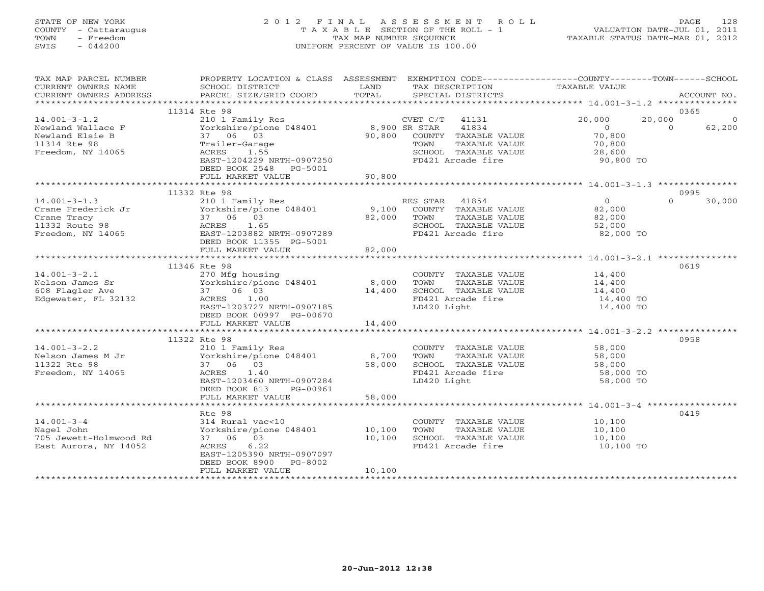# STATE OF NEW YORK 2 0 1 2 F I N A L A S S E S S M E N T R O L L PAGE 128 COUNTY - Cattaraugus T A X A B L E SECTION OF THE ROLL - 1 VALUATION DATE-JUL 01, 2011 TOWN - Freedom TAX MAP NUMBER SEQUENCE TAXABLE STATUS DATE-MAR 01, 2012 SWIS - 044200 UNIFORM PERCENT OF VALUE IS 100.00UNIFORM PERCENT OF VALUE IS 100.00

| TAX MAP PARCEL NUMBER                                                                                                                                          | PROPERTY LOCATION & CLASS ASSESSMENT                              |             |                  |                             | EXEMPTION CODE-----------------COUNTY-------TOWN------SCHOOL |                |             |
|----------------------------------------------------------------------------------------------------------------------------------------------------------------|-------------------------------------------------------------------|-------------|------------------|-----------------------------|--------------------------------------------------------------|----------------|-------------|
| CURRENT OWNERS NAME                                                                                                                                            | SCHOOL DISTRICT                                                   | LAND        |                  | TAX DESCRIPTION             | TAXABLE VALUE                                                |                |             |
| CURRENT OWNERS ADDRESS                                                                                                                                         | PARCEL SIZE/GRID COORD                                            | TOTAL       |                  | SPECIAL DISTRICTS           |                                                              |                | ACCOUNT NO. |
| ***********************                                                                                                                                        |                                                                   |             |                  |                             |                                                              |                |             |
|                                                                                                                                                                | 11314 Rte 98                                                      |             |                  |                             |                                                              |                | 0365        |
| $14.001 - 3 - 1.2$                                                                                                                                             | 210 1 Family Res CVET C/T<br>Yorkshire/pione 048401 8,900 SR STAR |             | CVET $C/T$ 41131 |                             | 20,000                                                       | 20,000         | 0           |
| Newland Wallace F                                                                                                                                              |                                                                   |             |                  | 41834                       | $\overline{0}$                                               | $\overline{0}$ | 62,200      |
| Newland Elsie B                                                                                                                                                | 37 06 03                                                          |             |                  | 90,800 COUNTY TAXABLE VALUE | 70,800                                                       |                |             |
| 11314 Rte 98                                                                                                                                                   | Trailer-Garage                                                    |             | TOWN             | TAXABLE VALUE               | 70,800                                                       |                |             |
| Freedom, NY 14065                                                                                                                                              | ACRES 1.55                                                        |             |                  | SCHOOL TAXABLE VALUE        | 28,600                                                       |                |             |
|                                                                                                                                                                | EAST-1204229 NRTH-0907250                                         |             |                  | FD421 Arcade fire           | 90,800 TO                                                    |                |             |
|                                                                                                                                                                | DEED BOOK 2548 PG-5001                                            |             |                  |                             |                                                              |                |             |
|                                                                                                                                                                | FULL MARKET VALUE                                                 | 90,800      |                  |                             |                                                              |                |             |
|                                                                                                                                                                |                                                                   |             |                  |                             |                                                              |                |             |
|                                                                                                                                                                | 11332 Rte 98                                                      |             |                  |                             | $\frac{0}{82}$                                               |                | 0995        |
| $14.001 - 3 - 1.3$                                                                                                                                             | 210 1 Family Res                                                  |             | RES STAR 41854   |                             |                                                              | $\Omega$       | 30,000      |
|                                                                                                                                                                | Yorkshire/pione 048401 9,100 COUNTY TAXABLE VALUE                 |             |                  |                             | 82,000                                                       |                |             |
|                                                                                                                                                                |                                                                   | 82,000 TOWN |                  | TAXABLE VALUE               | 82,000                                                       |                |             |
|                                                                                                                                                                |                                                                   |             |                  | SCHOOL TAXABLE VALUE        | 52,000                                                       |                |             |
| Crane Frederick Jr<br>Crane Tracy<br>11332 Route 98<br>Freedom, NY 14065<br>Freedom, NY 14065<br>Freedom, NY 14065<br>CRES  21.65<br>EAST-1203882 NRTH-0907289 |                                                                   |             |                  | FD421 Arcade fire           | 82,000 TO                                                    |                |             |
|                                                                                                                                                                | DEED BOOK 11355 PG-5001                                           |             |                  |                             |                                                              |                |             |
|                                                                                                                                                                | FULL MARKET VALUE                                                 | 82,000      |                  |                             |                                                              |                |             |
|                                                                                                                                                                |                                                                   |             |                  |                             |                                                              |                |             |
|                                                                                                                                                                | 11346 Rte 98                                                      |             |                  |                             |                                                              |                | 0619        |
| $14.001 - 3 - 2.1$                                                                                                                                             | 270 Mfg housing                                                   |             |                  |                             | COUNTY TAXABLE VALUE 14,400                                  |                |             |
| Nelson James Sr                                                                                                                                                | Yorkshire/pione 048401 8,000                                      |             | TOWN             | TAXABLE VALUE               | 14,400                                                       |                |             |
| 608 Flagler Ave                                                                                                                                                | 37 06 03                                                          | 14,400      |                  | SCHOOL TAXABLE VALUE        | 14,400                                                       |                |             |
| Edgewater, FL 32132                                                                                                                                            | ACRES 1.00                                                        |             |                  | FD421 Arcade fire           | 14,400 TO                                                    |                |             |
|                                                                                                                                                                | EAST-1203727 NRTH-0907185                                         |             | LD420 Light      |                             | 14,400 TO                                                    |                |             |
|                                                                                                                                                                | DEED BOOK 00997 PG-00670                                          |             |                  |                             |                                                              |                |             |
|                                                                                                                                                                | FULL MARKET VALUE                                                 | 14,400      |                  |                             |                                                              |                |             |
|                                                                                                                                                                |                                                                   |             |                  |                             |                                                              |                |             |
|                                                                                                                                                                | 11322 Rte 98                                                      |             |                  |                             |                                                              |                | 0958        |
| $14.001 - 3 - 2.2$                                                                                                                                             |                                                                   |             |                  |                             |                                                              |                |             |
| Nelson James M Jr                                                                                                                                              | 210 1 Family Res<br>Yorkshire/pione 048401 8,700                  |             |                  |                             | COUNTY TAXABLE VALUE 58,000<br>TOWN TAXABLE VALUE 58,000     |                |             |
| 11322 Rte 98                                                                                                                                                   | 37 06 03                                                          | 58,000      |                  | SCHOOL TAXABLE VALUE        |                                                              |                |             |
| Freedom, NY 14065                                                                                                                                              | ACRES<br>1.40                                                     |             |                  | FD421 Arcade fire           | 58,000<br>58,000 TO                                          |                |             |
|                                                                                                                                                                | EAST-1203460 NRTH-0907284                                         |             | LD420 Light      |                             | 58,000 TO                                                    |                |             |
|                                                                                                                                                                | DEED BOOK 813<br>PG-00961                                         |             |                  |                             |                                                              |                |             |
|                                                                                                                                                                | FULL MARKET VALUE                                                 | 58,000      |                  |                             |                                                              |                |             |
|                                                                                                                                                                |                                                                   |             |                  |                             |                                                              |                |             |
|                                                                                                                                                                | Rte 98                                                            |             |                  |                             |                                                              |                | 0419        |
| $14.001 - 3 - 4$                                                                                                                                               | 314 Rural vac<10                                                  |             |                  |                             | COUNTY TAXABLE VALUE 10,100                                  |                |             |
| Nagel John                                                                                                                                                     | Yorkshire/pione 048401 10,100                                     |             | TOWN             | TAXABLE VALUE               | 10,100                                                       |                |             |
| 705 Jewett-Holmwood Rd                                                                                                                                         | 37 06 03                                                          | 10,100      |                  | SCHOOL TAXABLE VALUE        | 10,100                                                       |                |             |
| East Aurora, NY 14052                                                                                                                                          | ACRES<br>6.22                                                     |             |                  | FD421 Arcade fire           | 10,100 TO                                                    |                |             |
|                                                                                                                                                                | EAST-1205390 NRTH-0907097                                         |             |                  |                             |                                                              |                |             |
|                                                                                                                                                                | DEED BOOK 8900<br>PG-8002                                         |             |                  |                             |                                                              |                |             |
|                                                                                                                                                                | FULL MARKET VALUE                                                 | 10,100      |                  |                             |                                                              |                |             |
|                                                                                                                                                                |                                                                   |             |                  |                             |                                                              |                |             |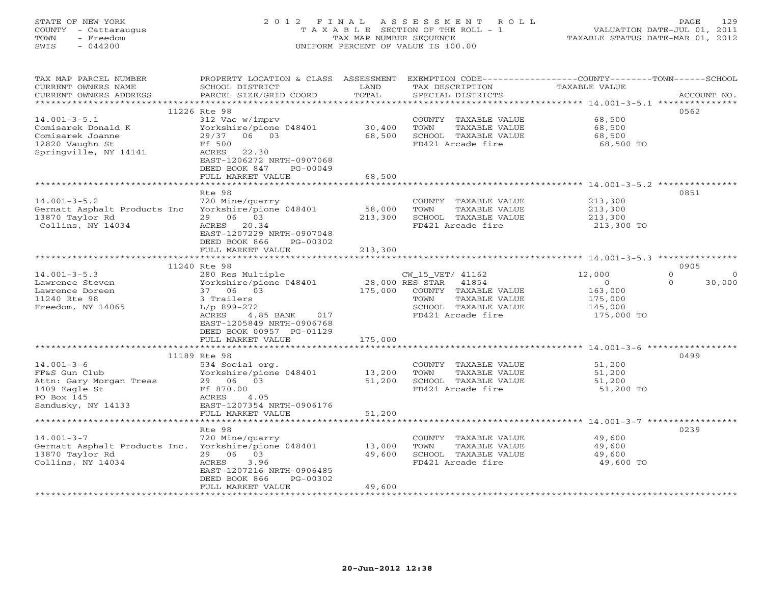# STATE OF NEW YORK 2 0 1 2 F I N A L A S S E S S M E N T R O L L PAGE 129 COUNTY - Cattaraugus T A X A B L E SECTION OF THE ROLL - 1 VALUATION DATE-JUL 01, 2011 TOWN - Freedom TAX MAP NUMBER SEQUENCE TAXABLE STATUS DATE-MAR 01, 2012 SWIS - 044200 UNIFORM PERCENT OF VALUE IS 100.00UNIFORM PERCENT OF VALUE IS 100.00

| 11226 Rte 98<br>0562<br>$14.001 - 3 - 5.1$<br>312 Vac w/imprv<br>68,500<br>COUNTY TAXABLE VALUE<br>30,400<br>Comisarek Donald K<br>Yorkshire/pione 048401<br>TOWN<br>TAXABLE VALUE<br>68,500<br>29/37 06 03<br>68,500<br>SCHOOL TAXABLE VALUE<br>Comisarek Joanne<br>68,500<br>12820 Vaughn St<br>Ff 500<br>FD421 Arcade fire<br>68,500 TO<br>Springville, NY 14141<br>ACRES<br>22.30<br>EAST-1206272 NRTH-0907068<br>DEED BOOK 847<br>PG-00049<br>FULL MARKET VALUE<br>68,500<br>Rte 98<br>0851<br>$14.001 - 3 - 5.2$<br>213,300<br>720 Mine/quarry<br>COUNTY TAXABLE VALUE<br>Yorkshire/pione 048401<br>Gernatt Asphalt Products Inc<br>58,000<br>213,300<br>TOWN<br>TAXABLE VALUE<br>13870 Taylor Rd<br>29 06 03<br>213,300<br>213,300<br>SCHOOL TAXABLE VALUE<br>Collins, NY 14034<br>ACRES 20.34<br>FD421 Arcade fire<br>213,300 TO<br>EAST-1207229 NRTH-0907048<br>DEED BOOK 866<br>PG-00302<br>FULL MARKET VALUE<br>213,300<br>0905<br>11240 Rte 98<br>$14.001 - 3 - 5.3$<br>$\Omega$<br>280 Res Multiple<br>CW_15_VET/ 41162<br>12,000<br>$\Omega$<br>28,000 RES STAR 41854<br>Yorkshire/pione 048401<br>$\Omega$<br>30,000<br>Lawrence Steven<br>$\overline{0}$<br>175,000<br>37 06 03<br>COUNTY TAXABLE VALUE<br>163,000<br>Lawrence Doreen<br>11240 Rte 98<br>3 Trailers<br>TOWN<br>TAXABLE VALUE<br>175,000<br>Freedom, NY 14065<br>$L/p$ 899-272<br>SCHOOL TAXABLE VALUE<br>145,000<br>ACRES<br>4.85 BANK 017<br>FD421 Arcade fire<br>175,000 TO<br>EAST-1205849 NRTH-0906768<br>DEED BOOK 00957 PG-01129<br>175,000<br>FULL MARKET VALUE<br>0499<br>11189 Rte 98<br>$14.001 - 3 - 6$<br>534 Social org.<br>51,200<br>COUNTY TAXABLE VALUE<br>FF&S Gun Club<br>Yorkshire/pione 048401<br>13,200<br>TOWN<br>TAXABLE VALUE<br>51,200<br>51,200<br>29 06 03<br>SCHOOL TAXABLE VALUE<br>51,200<br>Attn: Gary Morgan Treas<br>1409 Eagle St<br>Ff 870.00<br>FD421 Arcade fire<br>51,200 TO<br>PO Box 145<br>ACRES<br>4.05<br>EAST-1207354 NRTH-0906176<br>Sandusky, NY 14133<br>FULL MARKET VALUE<br>51,200<br>0239<br>Rte 98<br>$14.001 - 3 - 7$<br>49,600<br>720 Mine/quarry<br>COUNTY TAXABLE VALUE<br>Gernatt Asphalt Products Inc. Yorkshire/pione 048401 13,000<br>TOWN<br>TAXABLE VALUE<br>49,600<br>13870 Taylor Rd<br>29 06 03<br>49,600<br>SCHOOL TAXABLE VALUE<br>49,600<br>Collins, NY 14034<br>ACRES<br>3.96<br>FD421 Arcade fire<br>49,600 TO<br>EAST-1207216 NRTH-0906485<br>DEED BOOK 866<br>PG-00302<br>FULL MARKET VALUE<br>49,600 | TAX MAP PARCEL NUMBER<br>CURRENT OWNERS NAME<br>CURRENT OWNERS ADDRESS | PROPERTY LOCATION & CLASS ASSESSMENT<br>SCHOOL DISTRICT<br>PARCEL SIZE/GRID COORD | LAND<br>TOTAL | EXEMPTION CODE-----------------COUNTY-------TOWN------SCHOOL<br>TAX DESCRIPTION<br>SPECIAL DISTRICTS | TAXABLE VALUE | ACCOUNT NO. |
|--------------------------------------------------------------------------------------------------------------------------------------------------------------------------------------------------------------------------------------------------------------------------------------------------------------------------------------------------------------------------------------------------------------------------------------------------------------------------------------------------------------------------------------------------------------------------------------------------------------------------------------------------------------------------------------------------------------------------------------------------------------------------------------------------------------------------------------------------------------------------------------------------------------------------------------------------------------------------------------------------------------------------------------------------------------------------------------------------------------------------------------------------------------------------------------------------------------------------------------------------------------------------------------------------------------------------------------------------------------------------------------------------------------------------------------------------------------------------------------------------------------------------------------------------------------------------------------------------------------------------------------------------------------------------------------------------------------------------------------------------------------------------------------------------------------------------------------------------------------------------------------------------------------------------------------------------------------------------------------------------------------------------------------------------------------------------------------------------------------------------------------------------------------------------------------------------------------------------------------------------------------------------------------------------------------------------------------------------------------------------------------------------------------------------------------------------------------|------------------------------------------------------------------------|-----------------------------------------------------------------------------------|---------------|------------------------------------------------------------------------------------------------------|---------------|-------------|
|                                                                                                                                                                                                                                                                                                                                                                                                                                                                                                                                                                                                                                                                                                                                                                                                                                                                                                                                                                                                                                                                                                                                                                                                                                                                                                                                                                                                                                                                                                                                                                                                                                                                                                                                                                                                                                                                                                                                                                                                                                                                                                                                                                                                                                                                                                                                                                                                                                                              |                                                                        |                                                                                   |               |                                                                                                      |               |             |
|                                                                                                                                                                                                                                                                                                                                                                                                                                                                                                                                                                                                                                                                                                                                                                                                                                                                                                                                                                                                                                                                                                                                                                                                                                                                                                                                                                                                                                                                                                                                                                                                                                                                                                                                                                                                                                                                                                                                                                                                                                                                                                                                                                                                                                                                                                                                                                                                                                                              |                                                                        |                                                                                   |               |                                                                                                      |               |             |
|                                                                                                                                                                                                                                                                                                                                                                                                                                                                                                                                                                                                                                                                                                                                                                                                                                                                                                                                                                                                                                                                                                                                                                                                                                                                                                                                                                                                                                                                                                                                                                                                                                                                                                                                                                                                                                                                                                                                                                                                                                                                                                                                                                                                                                                                                                                                                                                                                                                              |                                                                        |                                                                                   |               |                                                                                                      |               |             |
|                                                                                                                                                                                                                                                                                                                                                                                                                                                                                                                                                                                                                                                                                                                                                                                                                                                                                                                                                                                                                                                                                                                                                                                                                                                                                                                                                                                                                                                                                                                                                                                                                                                                                                                                                                                                                                                                                                                                                                                                                                                                                                                                                                                                                                                                                                                                                                                                                                                              |                                                                        |                                                                                   |               |                                                                                                      |               |             |
|                                                                                                                                                                                                                                                                                                                                                                                                                                                                                                                                                                                                                                                                                                                                                                                                                                                                                                                                                                                                                                                                                                                                                                                                                                                                                                                                                                                                                                                                                                                                                                                                                                                                                                                                                                                                                                                                                                                                                                                                                                                                                                                                                                                                                                                                                                                                                                                                                                                              |                                                                        |                                                                                   |               |                                                                                                      |               |             |
|                                                                                                                                                                                                                                                                                                                                                                                                                                                                                                                                                                                                                                                                                                                                                                                                                                                                                                                                                                                                                                                                                                                                                                                                                                                                                                                                                                                                                                                                                                                                                                                                                                                                                                                                                                                                                                                                                                                                                                                                                                                                                                                                                                                                                                                                                                                                                                                                                                                              |                                                                        |                                                                                   |               |                                                                                                      |               |             |
|                                                                                                                                                                                                                                                                                                                                                                                                                                                                                                                                                                                                                                                                                                                                                                                                                                                                                                                                                                                                                                                                                                                                                                                                                                                                                                                                                                                                                                                                                                                                                                                                                                                                                                                                                                                                                                                                                                                                                                                                                                                                                                                                                                                                                                                                                                                                                                                                                                                              |                                                                        |                                                                                   |               |                                                                                                      |               |             |
|                                                                                                                                                                                                                                                                                                                                                                                                                                                                                                                                                                                                                                                                                                                                                                                                                                                                                                                                                                                                                                                                                                                                                                                                                                                                                                                                                                                                                                                                                                                                                                                                                                                                                                                                                                                                                                                                                                                                                                                                                                                                                                                                                                                                                                                                                                                                                                                                                                                              |                                                                        |                                                                                   |               |                                                                                                      |               |             |
|                                                                                                                                                                                                                                                                                                                                                                                                                                                                                                                                                                                                                                                                                                                                                                                                                                                                                                                                                                                                                                                                                                                                                                                                                                                                                                                                                                                                                                                                                                                                                                                                                                                                                                                                                                                                                                                                                                                                                                                                                                                                                                                                                                                                                                                                                                                                                                                                                                                              |                                                                        |                                                                                   |               |                                                                                                      |               |             |
|                                                                                                                                                                                                                                                                                                                                                                                                                                                                                                                                                                                                                                                                                                                                                                                                                                                                                                                                                                                                                                                                                                                                                                                                                                                                                                                                                                                                                                                                                                                                                                                                                                                                                                                                                                                                                                                                                                                                                                                                                                                                                                                                                                                                                                                                                                                                                                                                                                                              |                                                                        |                                                                                   |               |                                                                                                      |               |             |
|                                                                                                                                                                                                                                                                                                                                                                                                                                                                                                                                                                                                                                                                                                                                                                                                                                                                                                                                                                                                                                                                                                                                                                                                                                                                                                                                                                                                                                                                                                                                                                                                                                                                                                                                                                                                                                                                                                                                                                                                                                                                                                                                                                                                                                                                                                                                                                                                                                                              |                                                                        |                                                                                   |               |                                                                                                      |               |             |
|                                                                                                                                                                                                                                                                                                                                                                                                                                                                                                                                                                                                                                                                                                                                                                                                                                                                                                                                                                                                                                                                                                                                                                                                                                                                                                                                                                                                                                                                                                                                                                                                                                                                                                                                                                                                                                                                                                                                                                                                                                                                                                                                                                                                                                                                                                                                                                                                                                                              |                                                                        |                                                                                   |               |                                                                                                      |               |             |
|                                                                                                                                                                                                                                                                                                                                                                                                                                                                                                                                                                                                                                                                                                                                                                                                                                                                                                                                                                                                                                                                                                                                                                                                                                                                                                                                                                                                                                                                                                                                                                                                                                                                                                                                                                                                                                                                                                                                                                                                                                                                                                                                                                                                                                                                                                                                                                                                                                                              |                                                                        |                                                                                   |               |                                                                                                      |               |             |
|                                                                                                                                                                                                                                                                                                                                                                                                                                                                                                                                                                                                                                                                                                                                                                                                                                                                                                                                                                                                                                                                                                                                                                                                                                                                                                                                                                                                                                                                                                                                                                                                                                                                                                                                                                                                                                                                                                                                                                                                                                                                                                                                                                                                                                                                                                                                                                                                                                                              |                                                                        |                                                                                   |               |                                                                                                      |               |             |
|                                                                                                                                                                                                                                                                                                                                                                                                                                                                                                                                                                                                                                                                                                                                                                                                                                                                                                                                                                                                                                                                                                                                                                                                                                                                                                                                                                                                                                                                                                                                                                                                                                                                                                                                                                                                                                                                                                                                                                                                                                                                                                                                                                                                                                                                                                                                                                                                                                                              |                                                                        |                                                                                   |               |                                                                                                      |               |             |
|                                                                                                                                                                                                                                                                                                                                                                                                                                                                                                                                                                                                                                                                                                                                                                                                                                                                                                                                                                                                                                                                                                                                                                                                                                                                                                                                                                                                                                                                                                                                                                                                                                                                                                                                                                                                                                                                                                                                                                                                                                                                                                                                                                                                                                                                                                                                                                                                                                                              |                                                                        |                                                                                   |               |                                                                                                      |               |             |
|                                                                                                                                                                                                                                                                                                                                                                                                                                                                                                                                                                                                                                                                                                                                                                                                                                                                                                                                                                                                                                                                                                                                                                                                                                                                                                                                                                                                                                                                                                                                                                                                                                                                                                                                                                                                                                                                                                                                                                                                                                                                                                                                                                                                                                                                                                                                                                                                                                                              |                                                                        |                                                                                   |               |                                                                                                      |               |             |
|                                                                                                                                                                                                                                                                                                                                                                                                                                                                                                                                                                                                                                                                                                                                                                                                                                                                                                                                                                                                                                                                                                                                                                                                                                                                                                                                                                                                                                                                                                                                                                                                                                                                                                                                                                                                                                                                                                                                                                                                                                                                                                                                                                                                                                                                                                                                                                                                                                                              |                                                                        |                                                                                   |               |                                                                                                      |               |             |
|                                                                                                                                                                                                                                                                                                                                                                                                                                                                                                                                                                                                                                                                                                                                                                                                                                                                                                                                                                                                                                                                                                                                                                                                                                                                                                                                                                                                                                                                                                                                                                                                                                                                                                                                                                                                                                                                                                                                                                                                                                                                                                                                                                                                                                                                                                                                                                                                                                                              |                                                                        |                                                                                   |               |                                                                                                      |               |             |
|                                                                                                                                                                                                                                                                                                                                                                                                                                                                                                                                                                                                                                                                                                                                                                                                                                                                                                                                                                                                                                                                                                                                                                                                                                                                                                                                                                                                                                                                                                                                                                                                                                                                                                                                                                                                                                                                                                                                                                                                                                                                                                                                                                                                                                                                                                                                                                                                                                                              |                                                                        |                                                                                   |               |                                                                                                      |               |             |
|                                                                                                                                                                                                                                                                                                                                                                                                                                                                                                                                                                                                                                                                                                                                                                                                                                                                                                                                                                                                                                                                                                                                                                                                                                                                                                                                                                                                                                                                                                                                                                                                                                                                                                                                                                                                                                                                                                                                                                                                                                                                                                                                                                                                                                                                                                                                                                                                                                                              |                                                                        |                                                                                   |               |                                                                                                      |               |             |
|                                                                                                                                                                                                                                                                                                                                                                                                                                                                                                                                                                                                                                                                                                                                                                                                                                                                                                                                                                                                                                                                                                                                                                                                                                                                                                                                                                                                                                                                                                                                                                                                                                                                                                                                                                                                                                                                                                                                                                                                                                                                                                                                                                                                                                                                                                                                                                                                                                                              |                                                                        |                                                                                   |               |                                                                                                      |               |             |
|                                                                                                                                                                                                                                                                                                                                                                                                                                                                                                                                                                                                                                                                                                                                                                                                                                                                                                                                                                                                                                                                                                                                                                                                                                                                                                                                                                                                                                                                                                                                                                                                                                                                                                                                                                                                                                                                                                                                                                                                                                                                                                                                                                                                                                                                                                                                                                                                                                                              |                                                                        |                                                                                   |               |                                                                                                      |               |             |
|                                                                                                                                                                                                                                                                                                                                                                                                                                                                                                                                                                                                                                                                                                                                                                                                                                                                                                                                                                                                                                                                                                                                                                                                                                                                                                                                                                                                                                                                                                                                                                                                                                                                                                                                                                                                                                                                                                                                                                                                                                                                                                                                                                                                                                                                                                                                                                                                                                                              |                                                                        |                                                                                   |               |                                                                                                      |               |             |
|                                                                                                                                                                                                                                                                                                                                                                                                                                                                                                                                                                                                                                                                                                                                                                                                                                                                                                                                                                                                                                                                                                                                                                                                                                                                                                                                                                                                                                                                                                                                                                                                                                                                                                                                                                                                                                                                                                                                                                                                                                                                                                                                                                                                                                                                                                                                                                                                                                                              |                                                                        |                                                                                   |               |                                                                                                      |               |             |
|                                                                                                                                                                                                                                                                                                                                                                                                                                                                                                                                                                                                                                                                                                                                                                                                                                                                                                                                                                                                                                                                                                                                                                                                                                                                                                                                                                                                                                                                                                                                                                                                                                                                                                                                                                                                                                                                                                                                                                                                                                                                                                                                                                                                                                                                                                                                                                                                                                                              |                                                                        |                                                                                   |               |                                                                                                      |               |             |
|                                                                                                                                                                                                                                                                                                                                                                                                                                                                                                                                                                                                                                                                                                                                                                                                                                                                                                                                                                                                                                                                                                                                                                                                                                                                                                                                                                                                                                                                                                                                                                                                                                                                                                                                                                                                                                                                                                                                                                                                                                                                                                                                                                                                                                                                                                                                                                                                                                                              |                                                                        |                                                                                   |               |                                                                                                      |               |             |
|                                                                                                                                                                                                                                                                                                                                                                                                                                                                                                                                                                                                                                                                                                                                                                                                                                                                                                                                                                                                                                                                                                                                                                                                                                                                                                                                                                                                                                                                                                                                                                                                                                                                                                                                                                                                                                                                                                                                                                                                                                                                                                                                                                                                                                                                                                                                                                                                                                                              |                                                                        |                                                                                   |               |                                                                                                      |               |             |
|                                                                                                                                                                                                                                                                                                                                                                                                                                                                                                                                                                                                                                                                                                                                                                                                                                                                                                                                                                                                                                                                                                                                                                                                                                                                                                                                                                                                                                                                                                                                                                                                                                                                                                                                                                                                                                                                                                                                                                                                                                                                                                                                                                                                                                                                                                                                                                                                                                                              |                                                                        |                                                                                   |               |                                                                                                      |               |             |
|                                                                                                                                                                                                                                                                                                                                                                                                                                                                                                                                                                                                                                                                                                                                                                                                                                                                                                                                                                                                                                                                                                                                                                                                                                                                                                                                                                                                                                                                                                                                                                                                                                                                                                                                                                                                                                                                                                                                                                                                                                                                                                                                                                                                                                                                                                                                                                                                                                                              |                                                                        |                                                                                   |               |                                                                                                      |               |             |
|                                                                                                                                                                                                                                                                                                                                                                                                                                                                                                                                                                                                                                                                                                                                                                                                                                                                                                                                                                                                                                                                                                                                                                                                                                                                                                                                                                                                                                                                                                                                                                                                                                                                                                                                                                                                                                                                                                                                                                                                                                                                                                                                                                                                                                                                                                                                                                                                                                                              |                                                                        |                                                                                   |               |                                                                                                      |               |             |
|                                                                                                                                                                                                                                                                                                                                                                                                                                                                                                                                                                                                                                                                                                                                                                                                                                                                                                                                                                                                                                                                                                                                                                                                                                                                                                                                                                                                                                                                                                                                                                                                                                                                                                                                                                                                                                                                                                                                                                                                                                                                                                                                                                                                                                                                                                                                                                                                                                                              |                                                                        |                                                                                   |               |                                                                                                      |               |             |
|                                                                                                                                                                                                                                                                                                                                                                                                                                                                                                                                                                                                                                                                                                                                                                                                                                                                                                                                                                                                                                                                                                                                                                                                                                                                                                                                                                                                                                                                                                                                                                                                                                                                                                                                                                                                                                                                                                                                                                                                                                                                                                                                                                                                                                                                                                                                                                                                                                                              |                                                                        |                                                                                   |               |                                                                                                      |               |             |
|                                                                                                                                                                                                                                                                                                                                                                                                                                                                                                                                                                                                                                                                                                                                                                                                                                                                                                                                                                                                                                                                                                                                                                                                                                                                                                                                                                                                                                                                                                                                                                                                                                                                                                                                                                                                                                                                                                                                                                                                                                                                                                                                                                                                                                                                                                                                                                                                                                                              |                                                                        |                                                                                   |               |                                                                                                      |               |             |
|                                                                                                                                                                                                                                                                                                                                                                                                                                                                                                                                                                                                                                                                                                                                                                                                                                                                                                                                                                                                                                                                                                                                                                                                                                                                                                                                                                                                                                                                                                                                                                                                                                                                                                                                                                                                                                                                                                                                                                                                                                                                                                                                                                                                                                                                                                                                                                                                                                                              |                                                                        |                                                                                   |               |                                                                                                      |               |             |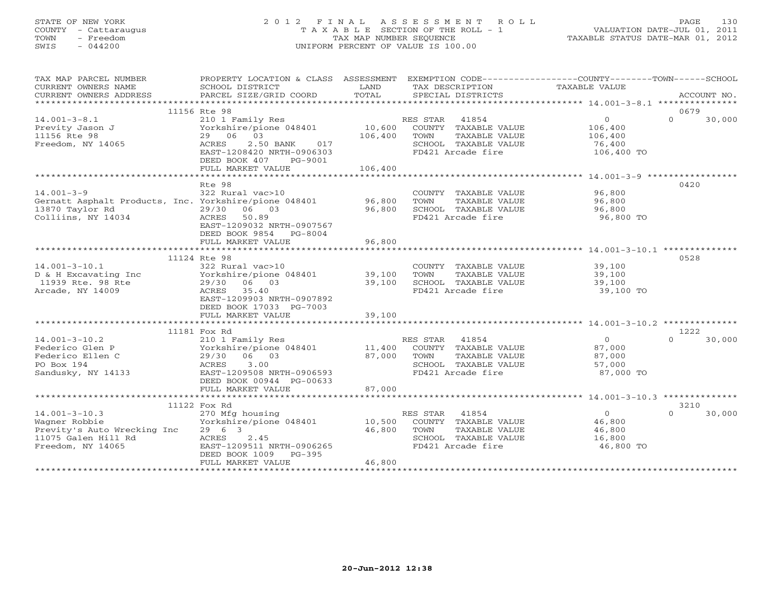# STATE OF NEW YORK 2 0 1 2 F I N A L A S S E S S M E N T R O L L PAGE 130 COUNTY - Cattaraugus T A X A B L E SECTION OF THE ROLL - 1 VALUATION DATE-JUL 01, 2011 TOWN - Freedom TAX MAP NUMBER SEQUENCE TAXABLE STATUS DATE-MAR 01, 2012 SWIS - 044200 UNIFORM PERCENT OF VALUE IS 100.00UNIFORM PERCENT OF VALUE IS 100.00

| TAX MAP PARCEL NUMBER                                 | PROPERTY LOCATION & CLASS ASSESSMENT EXEMPTION CODE----------------COUNTY-------TOWN------SCHOOL |                  |                                               |                  |                            |
|-------------------------------------------------------|--------------------------------------------------------------------------------------------------|------------------|-----------------------------------------------|------------------|----------------------------|
| CURRENT OWNERS NAME<br>CURRENT OWNERS ADDRESS         | SCHOOL DISTRICT<br>PARCEL SIZE/GRID COORD                                                        | LAND<br>TOTAL    | TAX DESCRIPTION<br>SPECIAL DISTRICTS          | TAXABLE VALUE    | ACCOUNT NO.                |
|                                                       |                                                                                                  |                  |                                               |                  |                            |
| $14.001 - 3 - 8.1$                                    | 11156 Rte 98                                                                                     |                  | RES STAR 41854                                | $\overline{0}$   | 0679<br>$\Omega$<br>30,000 |
| Previty Jason J                                       | 210 1 Family Res<br>Yorkshire/pione 048401                                                       | 10,600           | COUNTY TAXABLE VALUE                          | 106,400          |                            |
| 11156 Rte 98                                          | 29 06 03                                                                                         | 106,400          | TOWN<br>TAXABLE VALUE                         | 106,400          |                            |
| Freedom, NY 14065                                     | 017<br>ACRES<br>2.50 BANK                                                                        |                  | SCHOOL TAXABLE VALUE                          | 76,400           |                            |
|                                                       | EAST-1208420 NRTH-0906303                                                                        |                  | FD421 Arcade fire                             | 106,400 TO       |                            |
|                                                       | DEED BOOK 407<br>PG-9001                                                                         |                  |                                               |                  |                            |
|                                                       | FULL MARKET VALUE                                                                                | 106,400          |                                               |                  |                            |
|                                                       |                                                                                                  |                  |                                               |                  |                            |
|                                                       | Rte 98                                                                                           |                  |                                               |                  | 0420                       |
| $14.001 - 3 - 9$                                      | 322 Rural vac>10                                                                                 |                  | COUNTY TAXABLE VALUE                          | 96,800           |                            |
| Gernatt Asphalt Products, Inc. Yorkshire/pione 048401 |                                                                                                  | 96,800           | TOWN<br>TAXABLE VALUE                         | 96,800           |                            |
| 13870 Taylor Rd                                       | 29/30 06 03                                                                                      | 96,800           | SCHOOL TAXABLE VALUE                          | 96,800           |                            |
| Colliins, NY 14034                                    | ACRES<br>50.89<br>EAST-1209032 NRTH-0907567                                                      |                  | FD421 Arcade fire                             | 96,800 TO        |                            |
|                                                       | DEED BOOK 9854 PG-8004                                                                           |                  |                                               |                  |                            |
|                                                       | FULL MARKET VALUE                                                                                | 96,800           |                                               |                  |                            |
|                                                       |                                                                                                  |                  |                                               |                  |                            |
|                                                       | 11124 Rte 98                                                                                     |                  |                                               |                  | 0528                       |
| $14.001 - 3 - 10.1$                                   | 322 Rural vac>10                                                                                 |                  | COUNTY TAXABLE VALUE                          | 39,100           |                            |
| D & H Excavating Inc<br>11939 Rte. 98 Rte             | Yorkshire/pione 048401                                                                           | 39,100           | TOWN<br>TAXABLE VALUE                         | 39,100           |                            |
| 11939 Rte. 98 Rte                                     | 29/30 06 03                                                                                      | 39,100           | SCHOOL TAXABLE VALUE                          | 39,100           |                            |
| Arcade, NY 14009                                      | ACRES<br>35.40                                                                                   |                  | FD421 Arcade fire                             | 39,100 TO        |                            |
|                                                       | EAST-1209903 NRTH-0907892                                                                        |                  |                                               |                  |                            |
|                                                       | DEED BOOK 17033 PG-7003                                                                          |                  |                                               |                  |                            |
|                                                       | FULL MARKET VALUE                                                                                | 39,100           |                                               |                  |                            |
|                                                       | 11181 Fox Rd                                                                                     |                  |                                               |                  | 1222                       |
| $14.001 - 3 - 10.2$                                   | 210 1 Family Res                                                                                 |                  | RES STAR 41854                                | $\Omega$         | 30,000<br>$\cap$           |
| Federico Glen P                                       | Yorkshire/pione 048401                                                                           | 11,400           | COUNTY TAXABLE VALUE                          | 87,000           |                            |
| Federico Ellen C                                      | 29/30 06 03                                                                                      | 87,000           | TAXABLE VALUE<br>TOWN                         | 87,000           |                            |
| PO Box 194                                            | 3.00<br>ACRES                                                                                    |                  | SCHOOL TAXABLE VALUE                          | 57,000           |                            |
| Sandusky, NY 14133                                    | EAST-1209508 NRTH-0906593                                                                        |                  | FD421 Arcade fire                             | 87,000 TO        |                            |
|                                                       | DEED BOOK 00944 PG-00633                                                                         |                  |                                               |                  |                            |
|                                                       | FULL MARKET VALUE                                                                                | 87,000           |                                               |                  |                            |
|                                                       |                                                                                                  |                  |                                               |                  |                            |
|                                                       | 11122 Fox Rd                                                                                     |                  |                                               |                  | 3210                       |
| $14.001 - 3 - 10.3$                                   | 270 Mfg housing                                                                                  |                  | RES STAR 41854                                | $\Omega$         | $\cap$<br>30,000           |
| Wagner Robbie<br>Previty's Auto Wrecking Inc          | Yorkshire/pione 048401<br>29 6 3                                                                 | 10,500<br>46,800 | COUNTY TAXABLE VALUE<br>TAXABLE VALUE<br>TOWN | 46,800<br>46,800 |                            |
| 11075 Galen Hill Rd                                   | ACRES<br>2.45                                                                                    |                  | SCHOOL TAXABLE VALUE                          | 16,800           |                            |
| Freedom, NY 14065                                     | EAST-1209511 NRTH-0906265                                                                        |                  | FD421 Arcade fire                             | 46,800 TO        |                            |
|                                                       | DEED BOOK 1009<br>$PG-395$                                                                       |                  |                                               |                  |                            |
|                                                       | FULL MARKET VALUE                                                                                | 46,800           |                                               |                  |                            |
|                                                       |                                                                                                  |                  |                                               |                  |                            |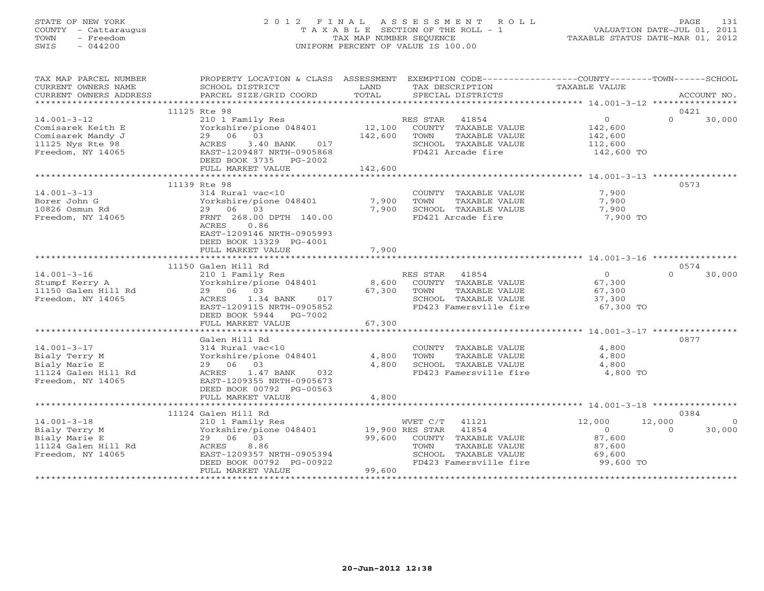## STATE OF NEW YORK 2 0 1 2 F I N A L A S S E S S M E N T R O L L PAGE 131 COUNTY - Cattaraugus T A X A B L E SECTION OF THE ROLL - 1 VALUATION DATE-JUL 01, 2011 TOWN - Freedom TAX MAP NUMBER SEQUENCE TAXABLE STATUS DATE-MAR 01, 2012 SWIS - 044200 UNIFORM PERCENT OF VALUE IS 100.00UNIFORM PERCENT OF VALUE IS 100.00

| TAX MAP PARCEL NUMBER<br>CURRENT OWNERS NAME<br>CURRENT OWNERS ADDRESS                               | PROPERTY LOCATION & CLASS ASSESSMENT EXEMPTION CODE---------------COUNTY-------TOWN------SCHOOL<br>SCHOOL DISTRICT<br>PARCEL SIZE/GRID COORD                                                                                                                    | LAND<br>TOTAL           | TAX DESCRIPTION<br>SPECIAL DISTRICTS                                                                                | TAXABLE VALUE                                                                                              | ACCOUNT NO.                              |
|------------------------------------------------------------------------------------------------------|-----------------------------------------------------------------------------------------------------------------------------------------------------------------------------------------------------------------------------------------------------------------|-------------------------|---------------------------------------------------------------------------------------------------------------------|------------------------------------------------------------------------------------------------------------|------------------------------------------|
|                                                                                                      |                                                                                                                                                                                                                                                                 |                         |                                                                                                                     |                                                                                                            |                                          |
|                                                                                                      | 11125 Rte 98                                                                                                                                                                                                                                                    |                         |                                                                                                                     |                                                                                                            | 0421                                     |
| $14.001 - 3 - 12$<br>Comisarek Keith E<br>Comisarek Mandy J<br>11125 Nys Rte 98<br>Freedom, NY 14065 | 210 1 Family Res<br>Yorkshire/pione 048401<br>29 06 03<br>3.40 BANK 017<br>ACRES<br>EAST-1209487 NRTH-0905868<br>DEED BOOK 3735 PG-2002<br>FULL MARKET VALUE                                                                                                    | 142,600<br>142,600      | RES STAR 41854<br>12,100 COUNTY TAXABLE VALUE<br>TOWN<br>TAXABLE VALUE<br>SCHOOL TAXABLE VALUE<br>FD421 Arcade fire | $\overline{0}$<br>142,600<br>142,600<br>112,600<br>142,600 TO                                              | $\Omega$<br>30,000                       |
|                                                                                                      |                                                                                                                                                                                                                                                                 |                         |                                                                                                                     |                                                                                                            |                                          |
|                                                                                                      | 11139 Rte 98                                                                                                                                                                                                                                                    |                         |                                                                                                                     |                                                                                                            | 0573                                     |
| $14.001 - 3 - 13$<br>Borer John G<br>10826 Osmun Rd<br>Freedom, NY 14065                             | 314 Rural vac<10<br>Yorkshire/pione 048401<br>29 06 03<br>FRNT 268.00 DPTH 140.00<br>ACRES<br>0.86<br>EAST-1209146 NRTH-0905993<br>DEED BOOK 13329 PG-4001<br>FULL MARKET VALUE                                                                                 | 7,900<br>7,900<br>7,900 | COUNTY TAXABLE VALUE<br>TOWN<br>TAXABLE VALUE<br>SCHOOL TAXABLE VALUE<br>FD421 Arcade fire                          | 7,900<br>7,900<br>7,900<br>7,900 TO                                                                        |                                          |
|                                                                                                      |                                                                                                                                                                                                                                                                 |                         |                                                                                                                     |                                                                                                            |                                          |
|                                                                                                      | 11150 Galen Hill Rd                                                                                                                                                                                                                                             |                         |                                                                                                                     |                                                                                                            | 0574                                     |
| $14.001 - 3 - 16$<br>Stumpf Kerry A<br>11150 Galen Hill Rd<br>Freedom, NY 14065                      | 210 1 Family Res<br>Yorkshire/pione 048401<br>29 06 03<br>ACRES 1.34 BANK<br>017<br>EAST-1209115 NRTH-0905852<br>DEED BOOK 5944 PG-7002<br>FULL MARKET VALUE                                                                                                    | 67,300 TOWN<br>67,300   | RES STAR 41854<br>8,600 COUNTY TAXABLE VALUE<br>TAXABLE VALUE<br>SCHOOL TAXABLE VALUE<br>FD423 Famersville fire     | $\overline{0}$<br>67,300<br>67,300<br>37,300<br>$67,300$ TO                                                | $\Omega$<br>30,000                       |
|                                                                                                      |                                                                                                                                                                                                                                                                 |                         |                                                                                                                     |                                                                                                            |                                          |
| $14.001 - 3 - 17$<br>Bialy Terry M<br>Bialy Marie E<br>11124 Galen Hill Rd<br>Freedom, NY 14065      | Galen Hill Rd<br>314 Rural vac<10<br>Yorkshire/pione 048401<br>29 06 03<br>ACRES<br>1.47 BANK<br>032<br>EAST-1209355 NRTH-0905673<br>DEED BOOK 00792 PG-00563<br>FULL MARKET VALUE                                                                              | 4,800<br>4,800<br>4,800 | COUNTY TAXABLE VALUE<br>TOWN<br>TAXABLE VALUE<br>SCHOOL TAXABLE VALUE<br>FD423 Famersville fire 4,800 TO            | 4,800<br>4,800<br>4,800                                                                                    | 0877                                     |
|                                                                                                      | **************************************                                                                                                                                                                                                                          | **************          |                                                                                                                     |                                                                                                            |                                          |
|                                                                                                      | 11124 Galen Hill Rd                                                                                                                                                                                                                                             |                         |                                                                                                                     |                                                                                                            | 0384                                     |
| $14.001 - 3 - 18$<br>Bialy Terry M<br>Bialy Marie E<br>11124 Galen Hill Rd<br>Freedom, NY 14065      | $\begin{tabular}{lllllllllll} 210&1 & Family & Res & & WVET & C/T & 41121\\ Yorkshire/pione & 048401 && 19,900 & RES & STAR & 41854\\ \end{tabular}$<br>29 06 03<br>ACRES<br>8.86<br>EAST-1209357 NRTH-0905394<br>DEED BOOK 00792 PG-00922<br>FULL MARKET VALUE | 99,600<br>99,600        | COUNTY TAXABLE VALUE<br>TOWN<br>TAXABLE VALUE<br>SCHOOL TAXABLE VALUE<br>FD423 Famersville fire                     | 12,000<br>$\overline{0}$<br>87,600<br>87,600<br>69,600<br>99,600 TO<br>*********************************** | 12,000<br>$\Omega$<br>30,000<br>$\Omega$ |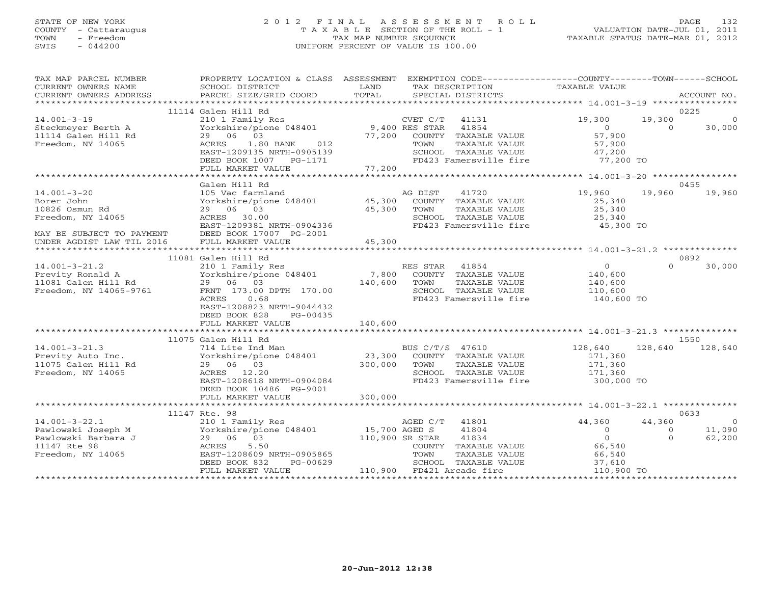## STATE OF NEW YORK 2 0 1 2 F I N A L A S S E S S M E N T R O L L PAGE 132 COUNTY - Cattaraugus T A X A B L E SECTION OF THE ROLL - 1 VALUATION DATE-JUL 01, 2011 TOWN - Freedom TAX MAP NUMBER SEQUENCE TAXABLE STATUS DATE-MAR 01, 2012 SWIS - 044200 UNIFORM PERCENT OF VALUE IS 100.00UNIFORM PERCENT OF VALUE IS 100.00

| TAX MAP PARCEL NUMBER<br>CURRENT OWNERS NAME<br>CURRENT OWNERS ADDRESS | PROPERTY LOCATION & CLASS ASSESSMENT<br>SCHOOL DISTRICT<br>PARCEL SIZE/GRID COORD    | LAND<br>TOTAL | EXEMPTION CODE-----------------COUNTY-------TOWN------SCHOOL<br>TAX DESCRIPTION TAXABLE VALUE<br>SPECIAL DISTRICTS |                           |                     | ACCOUNT NO.    |
|------------------------------------------------------------------------|--------------------------------------------------------------------------------------|---------------|--------------------------------------------------------------------------------------------------------------------|---------------------------|---------------------|----------------|
|                                                                        |                                                                                      |               |                                                                                                                    |                           |                     |                |
|                                                                        | 11114 Galen Hill Rd                                                                  |               |                                                                                                                    |                           |                     | 0225           |
| $14.001 - 3 - 19$                                                      | 210 1 Family Res                                                                     |               | CVET C/T<br>41131                                                                                                  | 19,300                    | 19,300              | $\overline{0}$ |
| Steckmeyer Berth A                                                     | Yorkshire/pione 048401 9,400 RES STAR                                                |               | 41854                                                                                                              | $\overline{0}$            | $\Omega$            | 30,000         |
| 11114 Galen Hill Rd                                                    | 29 06 03                                                                             |               | 77,200 COUNTY TAXABLE VALUE                                                                                        | 57,900                    |                     |                |
| Freedom, NY 14065                                                      | ACRES<br>1.80 BANK<br>012                                                            |               | TAXABLE VALUE<br>TOWN                                                                                              | 57,900                    |                     |                |
|                                                                        | EAST-1209135 NRTH-0905139                                                            |               | SCHOOL TAXABLE VALUE                                                                                               | 47,200<br>77,200 TO       |                     |                |
|                                                                        | DEED BOOK 1007 PG-1171<br>FULL MARKET VALUE                                          | 77,200        | FD423 Famersville fire                                                                                             |                           |                     |                |
|                                                                        |                                                                                      |               |                                                                                                                    |                           |                     |                |
|                                                                        | Galen Hill Rd                                                                        |               |                                                                                                                    |                           |                     | 0455           |
| $14.001 - 3 - 20$                                                      |                                                                                      |               | AG DIST<br>41720                                                                                                   | 19,960                    | 19,960              | 19,960         |
| Borer John                                                             | 105 Vac farmland a A<br>Yorkshire/pione 048401 45,300                                |               | COUNTY TAXABLE VALUE                                                                                               | 25,340                    |                     |                |
| 10826 Osmun Rd                                                         | 29 06 03                                                                             | 45,300        | TOWN<br>TAXABLE VALUE                                                                                              | 25,340                    |                     |                |
| Freedom, NY 14065                                                      | ACRES 30.00                                                                          |               | SCHOOL TAXABLE VALUE                                                                                               | 25,340                    |                     |                |
|                                                                        | EAST-1209381 NRTH-0904336                                                            |               | FD423 Famersville fire 45,300 TO                                                                                   |                           |                     |                |
|                                                                        | DEED BOOK 17007 PG-2001                                                              |               |                                                                                                                    |                           |                     |                |
| MAY BE SUBJECT TO PAYMENT<br>UNDER AGDIST LAW TIL 2016                 | FULL MARKET VALUE                                                                    | 45,300        |                                                                                                                    |                           |                     |                |
|                                                                        |                                                                                      |               |                                                                                                                    |                           |                     |                |
|                                                                        | 11081 Galen Hill Rd                                                                  |               |                                                                                                                    |                           |                     | 0892           |
| $14.001 - 3 - 21.2$                                                    | 210 1 Family Res                                                                     |               | RES STAR 41854                                                                                                     | $\overline{0}$            | $\Omega$            | 30,000         |
| Previty Ronald A                                                       | Yorkshire/pione 048401 7,800                                                         |               | COUNTY TAXABLE VALUE                                                                                               | 140,600                   |                     |                |
| 11081 Galen Hill Rd                                                    | 29 06 03                                                                             | 140,600       | TOWN<br>TAXABLE VALUE                                                                                              | 140,600                   |                     |                |
| Freedom, NY 14065-9761                                                 | FRNT 173.00 DPTH 170.00                                                              |               | SCHOOL TAXABLE VALUE                                                                                               | 110,600                   |                     |                |
|                                                                        | ACRES 0.68                                                                           |               | FD423 Famersville fire                                                                                             | 140,600 TO                |                     |                |
|                                                                        | EAST-1208823 NRTH-9044432                                                            |               |                                                                                                                    |                           |                     |                |
|                                                                        | DEED BOOK 828<br>PG-00435                                                            |               |                                                                                                                    |                           |                     |                |
|                                                                        | FULL MARKET VALUE                                                                    | 140,600       |                                                                                                                    |                           |                     |                |
|                                                                        |                                                                                      |               |                                                                                                                    |                           |                     |                |
|                                                                        | 11075 Galen Hill Rd                                                                  |               |                                                                                                                    |                           |                     | 1550           |
| $14.001 - 3 - 21.3$                                                    | 714 Lite Ind Man                                                                     |               | BUS C/T/S 47610                                                                                                    | 128,640                   | 128,640             | 128,640        |
| Previty Auto Inc.                                                      | Yorkshire/pione 048401 23,300                                                        |               | COUNTY TAXABLE VALUE                                                                                               | 171,360                   |                     |                |
| 11075 Galen Hill Rd                                                    | 29 06 03                                                                             | 300,000       | TOWN<br>TAXABLE VALUE                                                                                              | 171,360                   |                     |                |
| Freedom, NY 14065                                                      | ACRES 12.20                                                                          |               | SCHOOL TAXABLE VALUE                                                                                               | 171,360                   |                     |                |
|                                                                        | EAST-1208618 NRTH-0904084                                                            |               | FD423 Famersville fire                                                                                             | 300,000 TO                |                     |                |
|                                                                        | DEED BOOK 10486 PG-9001                                                              |               |                                                                                                                    |                           |                     |                |
|                                                                        | FULL MARKET VALUE                                                                    | 300,000       |                                                                                                                    |                           |                     |                |
|                                                                        |                                                                                      |               |                                                                                                                    |                           |                     |                |
|                                                                        | 11147 Rte. 98                                                                        |               |                                                                                                                    |                           |                     | 0633           |
| $14.001 - 3 - 22.1$                                                    |                                                                                      |               | 41801                                                                                                              | 44,360                    | 44,360              | $\overline{0}$ |
| Pawlowski Joseph M<br>Pawlowski Barbara J                              | 210 1 Family Res<br>Yorkshire/pione 048401 15,700 AGED S<br>29 06 03 110,900 SR STAR |               | 41804<br>41834                                                                                                     | $\circ$<br>$\overline{0}$ | $\circ$<br>$\Omega$ | 11,090         |
| 11147 Rte 98                                                           | ACRES<br>5.50                                                                        |               |                                                                                                                    | 66,540                    |                     | 62,200         |
| Freedom, NY 14065                                                      | EAST-1208609 NRTH-0905865                                                            |               | COUNTY TAXABLE VALUE<br>TOWN<br>TAXABLE VALUE                                                                      |                           |                     |                |
|                                                                        | PG-00629<br>DEED BOOK 832                                                            |               | SCHOOL TAXABLE VALUE                                                                                               | 66,540<br>37,610          |                     |                |
|                                                                        | FULL MARKET VALUE                                                                    |               | 110,900 FD421 Arcade fire                                                                                          | 110,900 TO                |                     |                |
|                                                                        |                                                                                      |               |                                                                                                                    |                           |                     |                |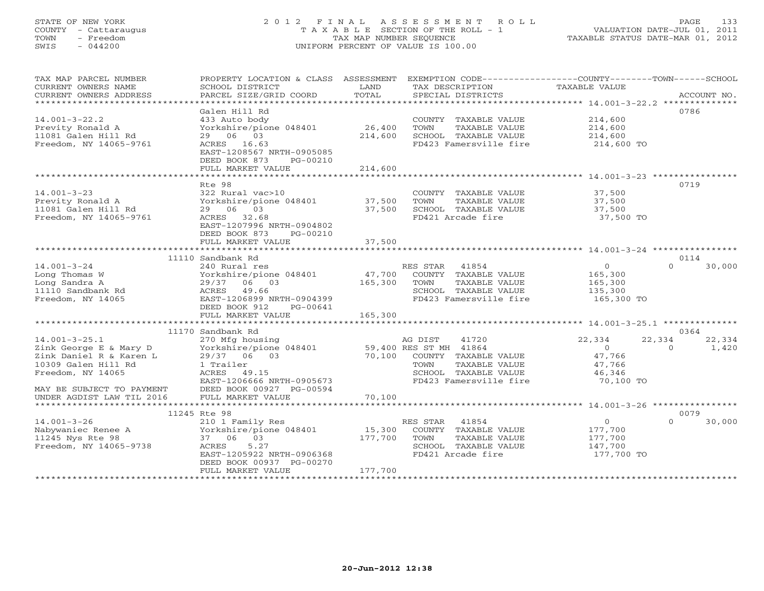## STATE OF NEW YORK 2 0 1 2 F I N A L A S S E S S M E N T R O L L PAGE 133 COUNTY - Cattaraugus T A X A B L E SECTION OF THE ROLL - 1 VALUATION DATE-JUL 01, 2011 TOWN - Freedom TAX MAP NUMBER SEQUENCE TAXABLE STATUS DATE-MAR 01, 2012 SWIS - 044200 UNIFORM PERCENT OF VALUE IS 100.00UNIFORM PERCENT OF VALUE IS 100.00

| TAXABLE VALUE<br>CURRENT OWNERS NAME<br>SCHOOL DISTRICT<br>LAND<br>TAX DESCRIPTION<br>TOTAL<br>CURRENT OWNERS ADDRESS<br>PARCEL SIZE/GRID COORD<br>SPECIAL DISTRICTS<br>ACCOUNT NO.<br>*************************<br>0786<br>Galen Hill Rd<br>433 Auto body<br>214,600<br>$14.001 - 3 - 22.2$<br>COUNTY TAXABLE VALUE<br>Yorkshire/pione 048401<br>26,400<br>Previty Ronald A<br>TOWN<br>TAXABLE VALUE<br>214,600<br>214,600<br>214,600<br>11081 Galen Hill Rd<br>29 06 03<br>214,600<br>SCHOOL TAXABLE VALUE<br>Freedom, NY 14065-9761<br>ACRES 16.63<br>FD423 Famersville fire 214,600 TO<br>EAST-1208567 NRTH-0905085<br>DEED BOOK 873<br>PG-00210<br>FULL MARKET VALUE<br>214,600<br>0719<br>Rte 98<br>$14.001 - 3 - 23$<br>322 Rural vac>10<br>37,500<br>COUNTY TAXABLE VALUE<br>Yorkshire/pione 048401<br>Previty Ronald A<br>37,500<br>TAXABLE VALUE<br>37,500<br>TOWN<br>11081 Galen Hill Rd<br>29 06 03<br>37,500<br>SCHOOL TAXABLE VALUE<br>37,500<br>Freedom, NY 14065-9761<br>37,500 TO<br>ACRES 32.68<br>FD421 Arcade fire<br>EAST-1207996 NRTH-0904802<br>DEED BOOK 873<br>PG-00210<br>37,500<br>FULL MARKET VALUE<br>11110 Sandbank Rd<br>0114<br>$14.001 - 3 - 24$<br>RES STAR<br>$\overline{0}$<br>$\Omega$<br>30,000<br>240 Rural res<br>41854<br>Long Thomas W<br>Yorkshire/pione 048401<br>47,700<br>COUNTY TAXABLE VALUE<br>165,300<br>165,300<br>Long Sandra A<br>29/37 06 03<br>TAXABLE VALUE<br>TOWN<br>165,300<br>11110 Sandbank Rd<br>49.66<br>SCHOOL TAXABLE VALUE<br>ACRES<br>135,300<br>FD423 Famersville fire 165,300 TO<br>EAST-1206899 NRTH-0904399<br>Freedom, NY 14065<br>DEED BOOK 912<br>PG-00641<br>FULL MARKET VALUE<br>165,300<br>11170 Sandbank Rd<br>0364<br>22,334<br>$14.001 - 3 - 25.1$<br>270 Mfg housing<br>AG DIST<br>41720<br>22,334<br>22,334<br>Vorkshire/pione 048401 59,400 RES ST MH 41864<br>29/37 06 03 70,100 COUNTY TAXABLE<br>1 Trailer TOWN TAXABLE<br>$\overline{O}$<br>$\Omega$<br>1,420<br>Zink George E & Mary D<br>70,100 COUNTY TAXABLE VALUE<br>47,766<br>Zink Daniel R & Karen L<br>29/37 06 03<br>1 Trailer<br>ACRES 49.15<br>TAXABLE VALUE<br>10309 Galen Hill Rd<br>47,766<br>Freedom, NY 14065<br>ACRES<br>49.15<br>SCHOOL TAXABLE VALUE<br>46,346<br>FD423 Famersville fire 70,100 TO<br>EAST-1206666 NRTH-0905673<br>MAY BE SUBJECT TO PAYMENT<br>DEED BOOK 00927 PG-00594<br>FULL MARKET VALUE<br>70,100<br>UNDER AGDIST LAW TIL 2016<br>0079<br>11245 Rte 98<br>$\overline{O}$<br>$\Omega$<br>$14.001 - 3 - 26$<br>210 1 Family Res<br>RES STAR<br>30,000<br>41854<br>Nabywaniec Renee A<br>15,300<br>Yorkshire/pione 048401<br>COUNTY TAXABLE VALUE<br>177,700<br>11245 Nys Rte 98<br>37 06 03<br>177,700<br>TAXABLE VALUE<br>TOWN<br>177,700<br>Freedom, NY 14065-9738<br>ACRES<br>5.27<br>SCHOOL TAXABLE VALUE<br>147,700<br>EAST-1205922 NRTH-0906368<br>FD421 Arcade fire<br>177,700 TO<br>DEED BOOK 00937 PG-00270<br>177,700<br>FULL MARKET VALUE | TAX MAP PARCEL NUMBER | PROPERTY LOCATION & CLASS ASSESSMENT | EXEMPTION CODE-----------------COUNTY-------TOWN------SCHOOL |  |
|------------------------------------------------------------------------------------------------------------------------------------------------------------------------------------------------------------------------------------------------------------------------------------------------------------------------------------------------------------------------------------------------------------------------------------------------------------------------------------------------------------------------------------------------------------------------------------------------------------------------------------------------------------------------------------------------------------------------------------------------------------------------------------------------------------------------------------------------------------------------------------------------------------------------------------------------------------------------------------------------------------------------------------------------------------------------------------------------------------------------------------------------------------------------------------------------------------------------------------------------------------------------------------------------------------------------------------------------------------------------------------------------------------------------------------------------------------------------------------------------------------------------------------------------------------------------------------------------------------------------------------------------------------------------------------------------------------------------------------------------------------------------------------------------------------------------------------------------------------------------------------------------------------------------------------------------------------------------------------------------------------------------------------------------------------------------------------------------------------------------------------------------------------------------------------------------------------------------------------------------------------------------------------------------------------------------------------------------------------------------------------------------------------------------------------------------------------------------------------------------------------------------------------------------------------------------------------------------------------------------------------------------------------------------------------------------------------------------------------------------------------------------------------------------------------------------------------------------------------------------------------------------------------------------------------|-----------------------|--------------------------------------|--------------------------------------------------------------|--|
|                                                                                                                                                                                                                                                                                                                                                                                                                                                                                                                                                                                                                                                                                                                                                                                                                                                                                                                                                                                                                                                                                                                                                                                                                                                                                                                                                                                                                                                                                                                                                                                                                                                                                                                                                                                                                                                                                                                                                                                                                                                                                                                                                                                                                                                                                                                                                                                                                                                                                                                                                                                                                                                                                                                                                                                                                                                                                                                                    |                       |                                      |                                                              |  |
|                                                                                                                                                                                                                                                                                                                                                                                                                                                                                                                                                                                                                                                                                                                                                                                                                                                                                                                                                                                                                                                                                                                                                                                                                                                                                                                                                                                                                                                                                                                                                                                                                                                                                                                                                                                                                                                                                                                                                                                                                                                                                                                                                                                                                                                                                                                                                                                                                                                                                                                                                                                                                                                                                                                                                                                                                                                                                                                                    |                       |                                      |                                                              |  |
|                                                                                                                                                                                                                                                                                                                                                                                                                                                                                                                                                                                                                                                                                                                                                                                                                                                                                                                                                                                                                                                                                                                                                                                                                                                                                                                                                                                                                                                                                                                                                                                                                                                                                                                                                                                                                                                                                                                                                                                                                                                                                                                                                                                                                                                                                                                                                                                                                                                                                                                                                                                                                                                                                                                                                                                                                                                                                                                                    |                       |                                      |                                                              |  |
|                                                                                                                                                                                                                                                                                                                                                                                                                                                                                                                                                                                                                                                                                                                                                                                                                                                                                                                                                                                                                                                                                                                                                                                                                                                                                                                                                                                                                                                                                                                                                                                                                                                                                                                                                                                                                                                                                                                                                                                                                                                                                                                                                                                                                                                                                                                                                                                                                                                                                                                                                                                                                                                                                                                                                                                                                                                                                                                                    |                       |                                      |                                                              |  |
|                                                                                                                                                                                                                                                                                                                                                                                                                                                                                                                                                                                                                                                                                                                                                                                                                                                                                                                                                                                                                                                                                                                                                                                                                                                                                                                                                                                                                                                                                                                                                                                                                                                                                                                                                                                                                                                                                                                                                                                                                                                                                                                                                                                                                                                                                                                                                                                                                                                                                                                                                                                                                                                                                                                                                                                                                                                                                                                                    |                       |                                      |                                                              |  |
|                                                                                                                                                                                                                                                                                                                                                                                                                                                                                                                                                                                                                                                                                                                                                                                                                                                                                                                                                                                                                                                                                                                                                                                                                                                                                                                                                                                                                                                                                                                                                                                                                                                                                                                                                                                                                                                                                                                                                                                                                                                                                                                                                                                                                                                                                                                                                                                                                                                                                                                                                                                                                                                                                                                                                                                                                                                                                                                                    |                       |                                      |                                                              |  |
|                                                                                                                                                                                                                                                                                                                                                                                                                                                                                                                                                                                                                                                                                                                                                                                                                                                                                                                                                                                                                                                                                                                                                                                                                                                                                                                                                                                                                                                                                                                                                                                                                                                                                                                                                                                                                                                                                                                                                                                                                                                                                                                                                                                                                                                                                                                                                                                                                                                                                                                                                                                                                                                                                                                                                                                                                                                                                                                                    |                       |                                      |                                                              |  |
|                                                                                                                                                                                                                                                                                                                                                                                                                                                                                                                                                                                                                                                                                                                                                                                                                                                                                                                                                                                                                                                                                                                                                                                                                                                                                                                                                                                                                                                                                                                                                                                                                                                                                                                                                                                                                                                                                                                                                                                                                                                                                                                                                                                                                                                                                                                                                                                                                                                                                                                                                                                                                                                                                                                                                                                                                                                                                                                                    |                       |                                      |                                                              |  |
|                                                                                                                                                                                                                                                                                                                                                                                                                                                                                                                                                                                                                                                                                                                                                                                                                                                                                                                                                                                                                                                                                                                                                                                                                                                                                                                                                                                                                                                                                                                                                                                                                                                                                                                                                                                                                                                                                                                                                                                                                                                                                                                                                                                                                                                                                                                                                                                                                                                                                                                                                                                                                                                                                                                                                                                                                                                                                                                                    |                       |                                      |                                                              |  |
|                                                                                                                                                                                                                                                                                                                                                                                                                                                                                                                                                                                                                                                                                                                                                                                                                                                                                                                                                                                                                                                                                                                                                                                                                                                                                                                                                                                                                                                                                                                                                                                                                                                                                                                                                                                                                                                                                                                                                                                                                                                                                                                                                                                                                                                                                                                                                                                                                                                                                                                                                                                                                                                                                                                                                                                                                                                                                                                                    |                       |                                      |                                                              |  |
|                                                                                                                                                                                                                                                                                                                                                                                                                                                                                                                                                                                                                                                                                                                                                                                                                                                                                                                                                                                                                                                                                                                                                                                                                                                                                                                                                                                                                                                                                                                                                                                                                                                                                                                                                                                                                                                                                                                                                                                                                                                                                                                                                                                                                                                                                                                                                                                                                                                                                                                                                                                                                                                                                                                                                                                                                                                                                                                                    |                       |                                      |                                                              |  |
|                                                                                                                                                                                                                                                                                                                                                                                                                                                                                                                                                                                                                                                                                                                                                                                                                                                                                                                                                                                                                                                                                                                                                                                                                                                                                                                                                                                                                                                                                                                                                                                                                                                                                                                                                                                                                                                                                                                                                                                                                                                                                                                                                                                                                                                                                                                                                                                                                                                                                                                                                                                                                                                                                                                                                                                                                                                                                                                                    |                       |                                      |                                                              |  |
|                                                                                                                                                                                                                                                                                                                                                                                                                                                                                                                                                                                                                                                                                                                                                                                                                                                                                                                                                                                                                                                                                                                                                                                                                                                                                                                                                                                                                                                                                                                                                                                                                                                                                                                                                                                                                                                                                                                                                                                                                                                                                                                                                                                                                                                                                                                                                                                                                                                                                                                                                                                                                                                                                                                                                                                                                                                                                                                                    |                       |                                      |                                                              |  |
|                                                                                                                                                                                                                                                                                                                                                                                                                                                                                                                                                                                                                                                                                                                                                                                                                                                                                                                                                                                                                                                                                                                                                                                                                                                                                                                                                                                                                                                                                                                                                                                                                                                                                                                                                                                                                                                                                                                                                                                                                                                                                                                                                                                                                                                                                                                                                                                                                                                                                                                                                                                                                                                                                                                                                                                                                                                                                                                                    |                       |                                      |                                                              |  |
|                                                                                                                                                                                                                                                                                                                                                                                                                                                                                                                                                                                                                                                                                                                                                                                                                                                                                                                                                                                                                                                                                                                                                                                                                                                                                                                                                                                                                                                                                                                                                                                                                                                                                                                                                                                                                                                                                                                                                                                                                                                                                                                                                                                                                                                                                                                                                                                                                                                                                                                                                                                                                                                                                                                                                                                                                                                                                                                                    |                       |                                      |                                                              |  |
|                                                                                                                                                                                                                                                                                                                                                                                                                                                                                                                                                                                                                                                                                                                                                                                                                                                                                                                                                                                                                                                                                                                                                                                                                                                                                                                                                                                                                                                                                                                                                                                                                                                                                                                                                                                                                                                                                                                                                                                                                                                                                                                                                                                                                                                                                                                                                                                                                                                                                                                                                                                                                                                                                                                                                                                                                                                                                                                                    |                       |                                      |                                                              |  |
|                                                                                                                                                                                                                                                                                                                                                                                                                                                                                                                                                                                                                                                                                                                                                                                                                                                                                                                                                                                                                                                                                                                                                                                                                                                                                                                                                                                                                                                                                                                                                                                                                                                                                                                                                                                                                                                                                                                                                                                                                                                                                                                                                                                                                                                                                                                                                                                                                                                                                                                                                                                                                                                                                                                                                                                                                                                                                                                                    |                       |                                      |                                                              |  |
|                                                                                                                                                                                                                                                                                                                                                                                                                                                                                                                                                                                                                                                                                                                                                                                                                                                                                                                                                                                                                                                                                                                                                                                                                                                                                                                                                                                                                                                                                                                                                                                                                                                                                                                                                                                                                                                                                                                                                                                                                                                                                                                                                                                                                                                                                                                                                                                                                                                                                                                                                                                                                                                                                                                                                                                                                                                                                                                                    |                       |                                      |                                                              |  |
|                                                                                                                                                                                                                                                                                                                                                                                                                                                                                                                                                                                                                                                                                                                                                                                                                                                                                                                                                                                                                                                                                                                                                                                                                                                                                                                                                                                                                                                                                                                                                                                                                                                                                                                                                                                                                                                                                                                                                                                                                                                                                                                                                                                                                                                                                                                                                                                                                                                                                                                                                                                                                                                                                                                                                                                                                                                                                                                                    |                       |                                      |                                                              |  |
|                                                                                                                                                                                                                                                                                                                                                                                                                                                                                                                                                                                                                                                                                                                                                                                                                                                                                                                                                                                                                                                                                                                                                                                                                                                                                                                                                                                                                                                                                                                                                                                                                                                                                                                                                                                                                                                                                                                                                                                                                                                                                                                                                                                                                                                                                                                                                                                                                                                                                                                                                                                                                                                                                                                                                                                                                                                                                                                                    |                       |                                      |                                                              |  |
|                                                                                                                                                                                                                                                                                                                                                                                                                                                                                                                                                                                                                                                                                                                                                                                                                                                                                                                                                                                                                                                                                                                                                                                                                                                                                                                                                                                                                                                                                                                                                                                                                                                                                                                                                                                                                                                                                                                                                                                                                                                                                                                                                                                                                                                                                                                                                                                                                                                                                                                                                                                                                                                                                                                                                                                                                                                                                                                                    |                       |                                      |                                                              |  |
|                                                                                                                                                                                                                                                                                                                                                                                                                                                                                                                                                                                                                                                                                                                                                                                                                                                                                                                                                                                                                                                                                                                                                                                                                                                                                                                                                                                                                                                                                                                                                                                                                                                                                                                                                                                                                                                                                                                                                                                                                                                                                                                                                                                                                                                                                                                                                                                                                                                                                                                                                                                                                                                                                                                                                                                                                                                                                                                                    |                       |                                      |                                                              |  |
|                                                                                                                                                                                                                                                                                                                                                                                                                                                                                                                                                                                                                                                                                                                                                                                                                                                                                                                                                                                                                                                                                                                                                                                                                                                                                                                                                                                                                                                                                                                                                                                                                                                                                                                                                                                                                                                                                                                                                                                                                                                                                                                                                                                                                                                                                                                                                                                                                                                                                                                                                                                                                                                                                                                                                                                                                                                                                                                                    |                       |                                      |                                                              |  |
|                                                                                                                                                                                                                                                                                                                                                                                                                                                                                                                                                                                                                                                                                                                                                                                                                                                                                                                                                                                                                                                                                                                                                                                                                                                                                                                                                                                                                                                                                                                                                                                                                                                                                                                                                                                                                                                                                                                                                                                                                                                                                                                                                                                                                                                                                                                                                                                                                                                                                                                                                                                                                                                                                                                                                                                                                                                                                                                                    |                       |                                      |                                                              |  |
|                                                                                                                                                                                                                                                                                                                                                                                                                                                                                                                                                                                                                                                                                                                                                                                                                                                                                                                                                                                                                                                                                                                                                                                                                                                                                                                                                                                                                                                                                                                                                                                                                                                                                                                                                                                                                                                                                                                                                                                                                                                                                                                                                                                                                                                                                                                                                                                                                                                                                                                                                                                                                                                                                                                                                                                                                                                                                                                                    |                       |                                      |                                                              |  |
|                                                                                                                                                                                                                                                                                                                                                                                                                                                                                                                                                                                                                                                                                                                                                                                                                                                                                                                                                                                                                                                                                                                                                                                                                                                                                                                                                                                                                                                                                                                                                                                                                                                                                                                                                                                                                                                                                                                                                                                                                                                                                                                                                                                                                                                                                                                                                                                                                                                                                                                                                                                                                                                                                                                                                                                                                                                                                                                                    |                       |                                      |                                                              |  |
|                                                                                                                                                                                                                                                                                                                                                                                                                                                                                                                                                                                                                                                                                                                                                                                                                                                                                                                                                                                                                                                                                                                                                                                                                                                                                                                                                                                                                                                                                                                                                                                                                                                                                                                                                                                                                                                                                                                                                                                                                                                                                                                                                                                                                                                                                                                                                                                                                                                                                                                                                                                                                                                                                                                                                                                                                                                                                                                                    |                       |                                      |                                                              |  |
|                                                                                                                                                                                                                                                                                                                                                                                                                                                                                                                                                                                                                                                                                                                                                                                                                                                                                                                                                                                                                                                                                                                                                                                                                                                                                                                                                                                                                                                                                                                                                                                                                                                                                                                                                                                                                                                                                                                                                                                                                                                                                                                                                                                                                                                                                                                                                                                                                                                                                                                                                                                                                                                                                                                                                                                                                                                                                                                                    |                       |                                      |                                                              |  |
|                                                                                                                                                                                                                                                                                                                                                                                                                                                                                                                                                                                                                                                                                                                                                                                                                                                                                                                                                                                                                                                                                                                                                                                                                                                                                                                                                                                                                                                                                                                                                                                                                                                                                                                                                                                                                                                                                                                                                                                                                                                                                                                                                                                                                                                                                                                                                                                                                                                                                                                                                                                                                                                                                                                                                                                                                                                                                                                                    |                       |                                      |                                                              |  |
|                                                                                                                                                                                                                                                                                                                                                                                                                                                                                                                                                                                                                                                                                                                                                                                                                                                                                                                                                                                                                                                                                                                                                                                                                                                                                                                                                                                                                                                                                                                                                                                                                                                                                                                                                                                                                                                                                                                                                                                                                                                                                                                                                                                                                                                                                                                                                                                                                                                                                                                                                                                                                                                                                                                                                                                                                                                                                                                                    |                       |                                      |                                                              |  |
|                                                                                                                                                                                                                                                                                                                                                                                                                                                                                                                                                                                                                                                                                                                                                                                                                                                                                                                                                                                                                                                                                                                                                                                                                                                                                                                                                                                                                                                                                                                                                                                                                                                                                                                                                                                                                                                                                                                                                                                                                                                                                                                                                                                                                                                                                                                                                                                                                                                                                                                                                                                                                                                                                                                                                                                                                                                                                                                                    |                       |                                      |                                                              |  |
|                                                                                                                                                                                                                                                                                                                                                                                                                                                                                                                                                                                                                                                                                                                                                                                                                                                                                                                                                                                                                                                                                                                                                                                                                                                                                                                                                                                                                                                                                                                                                                                                                                                                                                                                                                                                                                                                                                                                                                                                                                                                                                                                                                                                                                                                                                                                                                                                                                                                                                                                                                                                                                                                                                                                                                                                                                                                                                                                    |                       |                                      |                                                              |  |
|                                                                                                                                                                                                                                                                                                                                                                                                                                                                                                                                                                                                                                                                                                                                                                                                                                                                                                                                                                                                                                                                                                                                                                                                                                                                                                                                                                                                                                                                                                                                                                                                                                                                                                                                                                                                                                                                                                                                                                                                                                                                                                                                                                                                                                                                                                                                                                                                                                                                                                                                                                                                                                                                                                                                                                                                                                                                                                                                    |                       |                                      |                                                              |  |
|                                                                                                                                                                                                                                                                                                                                                                                                                                                                                                                                                                                                                                                                                                                                                                                                                                                                                                                                                                                                                                                                                                                                                                                                                                                                                                                                                                                                                                                                                                                                                                                                                                                                                                                                                                                                                                                                                                                                                                                                                                                                                                                                                                                                                                                                                                                                                                                                                                                                                                                                                                                                                                                                                                                                                                                                                                                                                                                                    |                       |                                      |                                                              |  |
|                                                                                                                                                                                                                                                                                                                                                                                                                                                                                                                                                                                                                                                                                                                                                                                                                                                                                                                                                                                                                                                                                                                                                                                                                                                                                                                                                                                                                                                                                                                                                                                                                                                                                                                                                                                                                                                                                                                                                                                                                                                                                                                                                                                                                                                                                                                                                                                                                                                                                                                                                                                                                                                                                                                                                                                                                                                                                                                                    |                       |                                      |                                                              |  |
|                                                                                                                                                                                                                                                                                                                                                                                                                                                                                                                                                                                                                                                                                                                                                                                                                                                                                                                                                                                                                                                                                                                                                                                                                                                                                                                                                                                                                                                                                                                                                                                                                                                                                                                                                                                                                                                                                                                                                                                                                                                                                                                                                                                                                                                                                                                                                                                                                                                                                                                                                                                                                                                                                                                                                                                                                                                                                                                                    |                       |                                      |                                                              |  |
|                                                                                                                                                                                                                                                                                                                                                                                                                                                                                                                                                                                                                                                                                                                                                                                                                                                                                                                                                                                                                                                                                                                                                                                                                                                                                                                                                                                                                                                                                                                                                                                                                                                                                                                                                                                                                                                                                                                                                                                                                                                                                                                                                                                                                                                                                                                                                                                                                                                                                                                                                                                                                                                                                                                                                                                                                                                                                                                                    |                       |                                      |                                                              |  |
|                                                                                                                                                                                                                                                                                                                                                                                                                                                                                                                                                                                                                                                                                                                                                                                                                                                                                                                                                                                                                                                                                                                                                                                                                                                                                                                                                                                                                                                                                                                                                                                                                                                                                                                                                                                                                                                                                                                                                                                                                                                                                                                                                                                                                                                                                                                                                                                                                                                                                                                                                                                                                                                                                                                                                                                                                                                                                                                                    |                       |                                      |                                                              |  |
|                                                                                                                                                                                                                                                                                                                                                                                                                                                                                                                                                                                                                                                                                                                                                                                                                                                                                                                                                                                                                                                                                                                                                                                                                                                                                                                                                                                                                                                                                                                                                                                                                                                                                                                                                                                                                                                                                                                                                                                                                                                                                                                                                                                                                                                                                                                                                                                                                                                                                                                                                                                                                                                                                                                                                                                                                                                                                                                                    |                       |                                      |                                                              |  |
|                                                                                                                                                                                                                                                                                                                                                                                                                                                                                                                                                                                                                                                                                                                                                                                                                                                                                                                                                                                                                                                                                                                                                                                                                                                                                                                                                                                                                                                                                                                                                                                                                                                                                                                                                                                                                                                                                                                                                                                                                                                                                                                                                                                                                                                                                                                                                                                                                                                                                                                                                                                                                                                                                                                                                                                                                                                                                                                                    |                       |                                      |                                                              |  |
|                                                                                                                                                                                                                                                                                                                                                                                                                                                                                                                                                                                                                                                                                                                                                                                                                                                                                                                                                                                                                                                                                                                                                                                                                                                                                                                                                                                                                                                                                                                                                                                                                                                                                                                                                                                                                                                                                                                                                                                                                                                                                                                                                                                                                                                                                                                                                                                                                                                                                                                                                                                                                                                                                                                                                                                                                                                                                                                                    |                       |                                      |                                                              |  |
|                                                                                                                                                                                                                                                                                                                                                                                                                                                                                                                                                                                                                                                                                                                                                                                                                                                                                                                                                                                                                                                                                                                                                                                                                                                                                                                                                                                                                                                                                                                                                                                                                                                                                                                                                                                                                                                                                                                                                                                                                                                                                                                                                                                                                                                                                                                                                                                                                                                                                                                                                                                                                                                                                                                                                                                                                                                                                                                                    |                       |                                      |                                                              |  |
|                                                                                                                                                                                                                                                                                                                                                                                                                                                                                                                                                                                                                                                                                                                                                                                                                                                                                                                                                                                                                                                                                                                                                                                                                                                                                                                                                                                                                                                                                                                                                                                                                                                                                                                                                                                                                                                                                                                                                                                                                                                                                                                                                                                                                                                                                                                                                                                                                                                                                                                                                                                                                                                                                                                                                                                                                                                                                                                                    |                       |                                      |                                                              |  |
|                                                                                                                                                                                                                                                                                                                                                                                                                                                                                                                                                                                                                                                                                                                                                                                                                                                                                                                                                                                                                                                                                                                                                                                                                                                                                                                                                                                                                                                                                                                                                                                                                                                                                                                                                                                                                                                                                                                                                                                                                                                                                                                                                                                                                                                                                                                                                                                                                                                                                                                                                                                                                                                                                                                                                                                                                                                                                                                                    |                       |                                      |                                                              |  |
|                                                                                                                                                                                                                                                                                                                                                                                                                                                                                                                                                                                                                                                                                                                                                                                                                                                                                                                                                                                                                                                                                                                                                                                                                                                                                                                                                                                                                                                                                                                                                                                                                                                                                                                                                                                                                                                                                                                                                                                                                                                                                                                                                                                                                                                                                                                                                                                                                                                                                                                                                                                                                                                                                                                                                                                                                                                                                                                                    |                       |                                      |                                                              |  |
|                                                                                                                                                                                                                                                                                                                                                                                                                                                                                                                                                                                                                                                                                                                                                                                                                                                                                                                                                                                                                                                                                                                                                                                                                                                                                                                                                                                                                                                                                                                                                                                                                                                                                                                                                                                                                                                                                                                                                                                                                                                                                                                                                                                                                                                                                                                                                                                                                                                                                                                                                                                                                                                                                                                                                                                                                                                                                                                                    |                       |                                      |                                                              |  |
|                                                                                                                                                                                                                                                                                                                                                                                                                                                                                                                                                                                                                                                                                                                                                                                                                                                                                                                                                                                                                                                                                                                                                                                                                                                                                                                                                                                                                                                                                                                                                                                                                                                                                                                                                                                                                                                                                                                                                                                                                                                                                                                                                                                                                                                                                                                                                                                                                                                                                                                                                                                                                                                                                                                                                                                                                                                                                                                                    |                       |                                      |                                                              |  |
|                                                                                                                                                                                                                                                                                                                                                                                                                                                                                                                                                                                                                                                                                                                                                                                                                                                                                                                                                                                                                                                                                                                                                                                                                                                                                                                                                                                                                                                                                                                                                                                                                                                                                                                                                                                                                                                                                                                                                                                                                                                                                                                                                                                                                                                                                                                                                                                                                                                                                                                                                                                                                                                                                                                                                                                                                                                                                                                                    |                       |                                      |                                                              |  |
|                                                                                                                                                                                                                                                                                                                                                                                                                                                                                                                                                                                                                                                                                                                                                                                                                                                                                                                                                                                                                                                                                                                                                                                                                                                                                                                                                                                                                                                                                                                                                                                                                                                                                                                                                                                                                                                                                                                                                                                                                                                                                                                                                                                                                                                                                                                                                                                                                                                                                                                                                                                                                                                                                                                                                                                                                                                                                                                                    |                       |                                      |                                                              |  |
|                                                                                                                                                                                                                                                                                                                                                                                                                                                                                                                                                                                                                                                                                                                                                                                                                                                                                                                                                                                                                                                                                                                                                                                                                                                                                                                                                                                                                                                                                                                                                                                                                                                                                                                                                                                                                                                                                                                                                                                                                                                                                                                                                                                                                                                                                                                                                                                                                                                                                                                                                                                                                                                                                                                                                                                                                                                                                                                                    |                       |                                      |                                                              |  |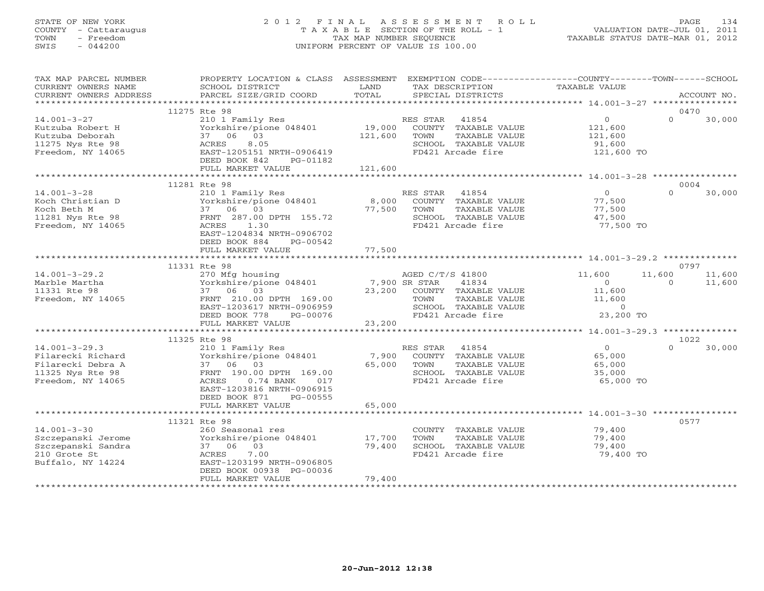# STATE OF NEW YORK 2 0 1 2 F I N A L A S S E S S M E N T R O L L PAGE 134 COUNTY - Cattaraugus T A X A B L E SECTION OF THE ROLL - 1 VALUATION DATE-JUL 01, 2011 TOWN - Freedom TAX MAP NUMBER SEQUENCE TAXABLE STATUS DATE-MAR 01, 2012 SWIS - 044200 UNIFORM PERCENT OF VALUE IS 100.00UNIFORM PERCENT OF VALUE IS 100.00

| TAX MAP PARCEL NUMBER<br>CURRENT OWNERS NAME<br>CURRENT OWNERS ADDRESS                                 | PROPERTY LOCATION & CLASS ASSESSMENT<br>SCHOOL DISTRICT<br>PARCEL SIZE/GRID COORD                                                                                   | LAND<br>TOTAL              | EXEMPTION CODE-----------------COUNTY-------TOWN------SCHOOL<br>TAX DESCRIPTION<br>SPECIAL DISTRICTS                           | TAXABLE VALUE                                                   | ACCOUNT NO.                            |  |
|--------------------------------------------------------------------------------------------------------|---------------------------------------------------------------------------------------------------------------------------------------------------------------------|----------------------------|--------------------------------------------------------------------------------------------------------------------------------|-----------------------------------------------------------------|----------------------------------------|--|
|                                                                                                        |                                                                                                                                                                     |                            |                                                                                                                                |                                                                 |                                        |  |
|                                                                                                        | 11275 Rte 98                                                                                                                                                        |                            |                                                                                                                                |                                                                 | 0470                                   |  |
| $14.001 - 3 - 27$<br>Kutzuba Robert H<br>Kutzuba Deborah<br>11275 Nys Rte 98<br>Freedom, NY 14065      | 210 1 Family Res<br>Yorkshire/pione 048401<br>37 06 03<br>ACRES<br>8.05<br>EAST-1205151 NRTH-0906419<br>DEED BOOK 842<br>PG-01182                                   | 19,000<br>121,600          | RES STAR 41854<br>COUNTY TAXABLE VALUE<br>TAXABLE VALUE<br>TOWN<br>SCHOOL TAXABLE VALUE<br>FD421 Arcade fire                   | $\overline{O}$<br>121,600<br>121,600<br>91,600<br>121,600 TO    | $\Omega$<br>30,000                     |  |
|                                                                                                        | FULL MARKET VALUE                                                                                                                                                   | 121,600                    |                                                                                                                                |                                                                 |                                        |  |
|                                                                                                        | 11281 Rte 98                                                                                                                                                        |                            |                                                                                                                                |                                                                 | 0004                                   |  |
| $14.001 - 3 - 28$<br>Koch Christian D<br>Koch Beth M<br>11281 Nys Rte 98<br>Freedom, NY 14065          | 210 1 Family Res<br>Yorkshire/pione 048401<br>37 06 03<br>FRNT 287.00 DPTH 155.72<br>1.30<br>ACRES<br>EAST-1204834 NRTH-0906702<br>DEED BOOK 884<br>PG-00542        | 8,000<br>77,500            | RES STAR 41854<br>COUNTY TAXABLE VALUE<br>TOWN<br>TAXABLE VALUE<br>SCHOOL TAXABLE VALUE<br>FD421 Arcade fire                   | $\overline{0}$<br>77,500<br>77,500<br>47,500<br>77,500 TO       | $\Omega$<br>30,000                     |  |
|                                                                                                        | FULL MARKET VALUE                                                                                                                                                   | 77,500                     |                                                                                                                                |                                                                 |                                        |  |
|                                                                                                        |                                                                                                                                                                     |                            |                                                                                                                                |                                                                 |                                        |  |
|                                                                                                        | 11331 Rte 98                                                                                                                                                        |                            |                                                                                                                                |                                                                 | 0797                                   |  |
| $14.001 - 3 - 29.2$<br>Marble Martha<br>11331 Rte 98<br>Freedom, NY 14065                              | 270 Mfg housing a AGED C/T<br>Yorkshire/pione 048401 7,900 SR STAR<br>37 06 03<br>FRNT 210.00 DPTH 169.00<br>EAST-1203617 NRTH-0906959<br>DEED BOOK 778<br>PG-00076 |                            | AGED C/T/S 41800<br>41834<br>23,200 COUNTY TAXABLE VALUE<br>TOWN<br>TAXABLE VALUE<br>SCHOOL TAXABLE VALUE<br>FD421 Arcade fire | 11,600<br>$\Omega$<br>11,600<br>11,600<br>$\sim$ 0<br>23,200 TO | 11,600<br>11,600<br>$\Omega$<br>11,600 |  |
|                                                                                                        | FULL MARKET VALUE                                                                                                                                                   | 23,200                     |                                                                                                                                |                                                                 |                                        |  |
|                                                                                                        | 11325 Rte 98                                                                                                                                                        |                            |                                                                                                                                |                                                                 | 1022                                   |  |
| $14.001 - 3 - 29.3$<br>Filarecki Richard<br>Filarecki Debra A<br>11325 Nys Rte 98<br>Freedom, NY 14065 | 210 1 Family Res<br>Yorkshire/pione 048401<br>37 06 03<br>FRNT 190.00 DPTH 169.00<br>$0.74$ BANK<br>ACRES<br>017<br>EAST-1203816 NRTH-0906915                       | 7,900<br>65,000            | RES STAR 41854<br>COUNTY TAXABLE VALUE<br>TAXABLE VALUE<br>TOWN<br>SCHOOL TAXABLE VALUE<br>FD421 Arcade fire                   | $\overline{O}$<br>65,000<br>65,000<br>35,000<br>65,000 TO       | $\Omega$<br>30,000                     |  |
|                                                                                                        | DEED BOOK 871<br>PG-00555<br>FULL MARKET VALUE                                                                                                                      | 65,000                     |                                                                                                                                |                                                                 |                                        |  |
|                                                                                                        | *************************                                                                                                                                           | ***********                |                                                                                                                                |                                                                 |                                        |  |
|                                                                                                        | 11321 Rte 98                                                                                                                                                        |                            |                                                                                                                                |                                                                 | 0577                                   |  |
| $14.001 - 3 - 30$<br>Szczepanski Jerome<br>Szczepanski Sandra<br>210 Grote St<br>Buffalo, NY 14224     | 260 Seasonal res<br>Yorkshire/pione 048401<br>37 06 03<br>7.00<br>ACRES<br>EAST-1203199 NRTH-0906805<br>DEED BOOK 00938 PG-00036<br>FULL MARKET VALUE               | 17,700<br>79,400<br>79,400 | COUNTY TAXABLE VALUE<br>TAXABLE VALUE<br>TOWN<br>SCHOOL TAXABLE VALUE<br>FD421 Arcade fire                                     | 79,400<br>79,400<br>79,400<br>79,400 TO                         |                                        |  |
|                                                                                                        |                                                                                                                                                                     |                            |                                                                                                                                |                                                                 |                                        |  |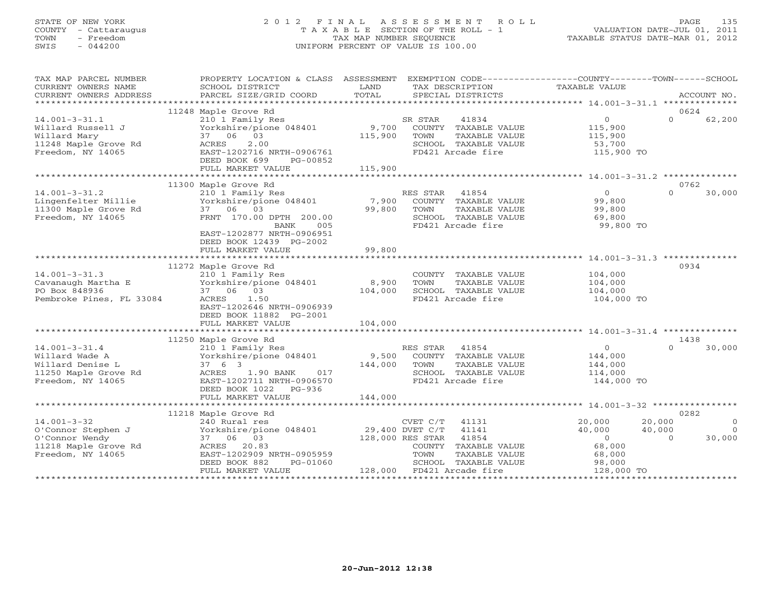## STATE OF NEW YORK 2 0 1 2 F I N A L A S S E S S M E N T R O L L PAGE 135 COUNTY - Cattaraugus T A X A B L E SECTION OF THE ROLL - 1 VALUATION DATE-JUL 01, 2011 TOWN - Freedom TAX MAP NUMBER SEQUENCE TAXABLE STATUS DATE-MAR 01, 2012 SWIS - 044200 UNIFORM PERCENT OF VALUE IS 100.00

| TAX MAP PARCEL NUMBER<br>CURRENT OWNERS NAME<br>CURRENT OWNERS ADDRESS                                 | PROPERTY LOCATION & CLASS ASSESSMENT<br>SCHOOL DISTRICT<br>PARCEL SIZE/GRID COORD                                                                                            | LAND<br>TOTAL      | EXEMPTION CODE-----------------COUNTY-------TOWN------SCHOOL<br>TAX DESCRIPTION<br>SPECIAL DISTRICTS               | TAXABLE VALUE                                                    | ACCOUNT NO.                                        |
|--------------------------------------------------------------------------------------------------------|------------------------------------------------------------------------------------------------------------------------------------------------------------------------------|--------------------|--------------------------------------------------------------------------------------------------------------------|------------------------------------------------------------------|----------------------------------------------------|
|                                                                                                        |                                                                                                                                                                              |                    |                                                                                                                    |                                                                  |                                                    |
|                                                                                                        | 11248 Maple Grove Rd                                                                                                                                                         |                    |                                                                                                                    |                                                                  | 0624                                               |
| $14.001 - 3 - 31.1$<br>Willard Russell J<br>Willard Mary<br>11248 Maple Grove Rd<br>Freedom, NY 14065  | 210 1 Family Res<br>Yorkshire/pione 048401<br>37 06 03<br>2.00<br>ACRES<br>EAST-1202716 NRTH-0906761<br>DEED BOOK 699<br>PG-00852                                            | 9,700<br>115,900   | SR STAR<br>41834<br>COUNTY TAXABLE VALUE<br>TOWN<br>TAXABLE VALUE<br>SCHOOL TAXABLE VALUE<br>FD421 Arcade fire     | $\overline{0}$<br>115,900<br>115,900<br>53,700<br>115,900 TO     | $\Omega$<br>62,200                                 |
|                                                                                                        | FULL MARKET VALUE                                                                                                                                                            | 115,900            |                                                                                                                    |                                                                  |                                                    |
|                                                                                                        | 11300 Maple Grove Rd                                                                                                                                                         |                    |                                                                                                                    |                                                                  | 0762                                               |
| $14.001 - 3 - 31.2$<br>Lingenfelter Millie<br>11300 Maple Grove Rd<br>Freedom, NY 14065                | 210 1 Family Res<br>zio i ramily Res<br>Yorkshire/pione 048401<br>37 06 03<br>FRNT 170.00 DPTH 200.00<br>005<br>BANK<br>EAST-1202877 NRTH-0906951<br>DEED BOOK 12439 PG-2002 | 7,900<br>99,800    | RES STAR<br>41854<br>COUNTY TAXABLE VALUE<br>TOWN<br>TAXABLE VALUE<br>SCHOOL TAXABLE VALUE<br>FD421 Arcade fire    | $\overline{0}$<br>99,800<br>99,800<br>69,800<br>99,800 TO        | $\Omega$<br>30,000                                 |
|                                                                                                        | FULL MARKET VALUE                                                                                                                                                            | 99,800             |                                                                                                                    |                                                                  |                                                    |
|                                                                                                        |                                                                                                                                                                              |                    |                                                                                                                    |                                                                  |                                                    |
| $14.001 - 3 - 31.3$<br>Cavanaugh Martha E<br>PO Box 848936<br>Pembroke Pines, FL 33084                 | 11272 Maple Grove Rd<br>210 1 Family Res<br>Yorkshire/pione 048401<br>37 06 03<br>ACRES 1.50<br>EAST-1202646 NRTH-0906939<br>DEED BOOK 11882 PG-2001                         | 8,900<br>104,000   | COUNTY TAXABLE VALUE<br>TOWN<br>TAXABLE VALUE<br>SCHOOL TAXABLE VALUE<br>FD421 Arcade fire                         | 104,000<br>104,000<br>104,000<br>104,000 TO                      | 0934                                               |
|                                                                                                        | FULL MARKET VALUE                                                                                                                                                            | 104,000            |                                                                                                                    |                                                                  |                                                    |
|                                                                                                        |                                                                                                                                                                              |                    |                                                                                                                    |                                                                  |                                                    |
|                                                                                                        | 11250 Maple Grove Rd                                                                                                                                                         |                    |                                                                                                                    |                                                                  | 1438                                               |
| $14.001 - 3 - 31.4$<br>Willard Wade A<br>Willard Denise L<br>11250 Maple Grove Rd<br>Freedom, NY 14065 | 210 1 Family Res<br>Yorkshire/pione 048401<br>37 6 3<br>ACRES 1.90 BANK<br>017<br>EAST-1202711 NRTH-0906570<br>DEED BOOK 1022 PG-936<br>FULL MARKET VALUE                    | 144,000<br>144,000 | RES STAR 41854<br>9,500 COUNTY TAXABLE VALUE<br>TOWN<br>TAXABLE VALUE<br>SCHOOL TAXABLE VALUE<br>FD421 Arcade fire | $\overline{0}$<br>144,000<br>144,000<br>114,000<br>144,000 TO    | $\Omega$<br>30,000                                 |
|                                                                                                        |                                                                                                                                                                              |                    |                                                                                                                    |                                                                  |                                                    |
|                                                                                                        | 11218 Maple Grove Rd                                                                                                                                                         |                    |                                                                                                                    |                                                                  | 0282                                               |
| $14.001 - 3 - 32$<br>O'Connor Stephen J<br>O'Connor Wendy<br>11218 Maple Grove Rd                      | 240 Rural res<br>Yorkshire/pione 048401 29,400 DVET C/T<br>37 06 03<br>ACRES 20.83                                                                                           | 128,000 RES STAR   | CVET C/T 41131<br>41141<br>41854<br>COUNTY TAXABLE VALUE                                                           | 20,000<br>20,000<br>40,000<br>40,000<br>$\overline{0}$<br>68,000 | $\Omega$<br>$\bigcirc$<br>30,000<br>$\overline{0}$ |
| Freedom, NY 14065                                                                                      | EAST-1202909 NRTH-0905959<br>DEED BOOK 882<br>PG-01060<br>FULL MARKET VALUE                                                                                                  |                    | TOWN<br>TAXABLE VALUE<br>SCHOOL TAXABLE VALUE<br>128,000 FD421 Arcade fire                                         | 68,000<br>68,000<br>98,000<br>128,000 TO                         |                                                    |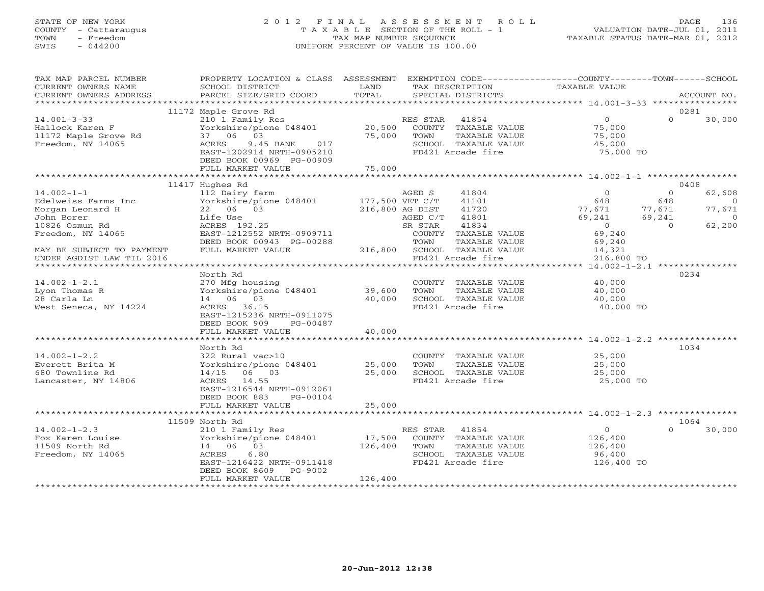## STATE OF NEW YORK 2 0 1 2 F I N A L A S S E S S M E N T R O L L PAGE 136 COUNTY - Cattaraugus T A X A B L E SECTION OF THE ROLL - 1 VALUATION DATE-JUL 01, 2011 TOWN - Freedom TAX MAP NUMBER SEQUENCE TAXABLE STATUS DATE-MAR 01, 2012 SWIS - 044200 UNIFORM PERCENT OF VALUE IS 100.00UNIFORM PERCENT OF VALUE IS 100.00

| TAX MAP PARCEL NUMBER<br>CURRENT OWNERS NAME<br>CURRENT OWNERS ADDRESS            | PROPERTY LOCATION & CLASS ASSESSMENT<br>SCHOOL DISTRICT<br>PARCEL SIZE/GRID COORD                             | LAND<br>TOTAL     |                           | TAX DESCRIPTION<br>SPECIAL DISTRICTS                                               | EXEMPTION CODE-----------------COUNTY-------TOWN------SCHOOL<br>TAXABLE VALUE |                           | ACCOUNT NO.                    |
|-----------------------------------------------------------------------------------|---------------------------------------------------------------------------------------------------------------|-------------------|---------------------------|------------------------------------------------------------------------------------|-------------------------------------------------------------------------------|---------------------------|--------------------------------|
|                                                                                   |                                                                                                               |                   |                           |                                                                                    |                                                                               |                           |                                |
|                                                                                   | 11172 Maple Grove Rd                                                                                          |                   |                           |                                                                                    |                                                                               |                           | 0281                           |
| $14.001 - 3 - 33$<br>Hallock Karen F<br>11172 Maple Grove Rd<br>Freedom, NY 14065 | 210 1 Family Res<br>Yorkshire/pione 048401<br>37 06<br>03<br>ACRES<br>9.45 BANK<br>017                        | 20,500<br>75,000  | RES STAR 41854<br>TOWN    | COUNTY TAXABLE VALUE<br>TAXABLE VALUE<br>SCHOOL TAXABLE VALUE                      | $\overline{0}$<br>75,000<br>75,000<br>45,000                                  | $\Omega$                  | 30,000                         |
|                                                                                   | EAST-1202914 NRTH-0905210<br>DEED BOOK 00969 PG-00909<br>FULL MARKET VALUE                                    | 75,000            |                           | FD421 Arcade fire                                                                  | 75,000 TO                                                                     |                           |                                |
|                                                                                   |                                                                                                               |                   |                           |                                                                                    |                                                                               |                           |                                |
|                                                                                   | 11417 Hughes Rd                                                                                               |                   |                           |                                                                                    |                                                                               |                           | 0408                           |
| $14.002 - 1 - 1$<br>Edelweiss Farms Inc<br>Morgan Leonard H                       | 112 Dairy farm<br>Yorkshire/pione 048401<br>22 06 03                                                          | 177,500 VET C/T   | AGED S<br>216,800 AG DIST | 41804<br>41101<br>41720                                                            | $\Omega$<br>648<br>77,671                                                     | $\Omega$<br>648<br>77,671 | 62,608<br>$\bigcirc$<br>77,671 |
| John Borer<br>10826 Osmun Rd<br>Freedom, NY 14065                                 | Life Use<br>ACRES 192.25<br>EAST-1212552 NRTH-0909711                                                         |                   | AGED C/T<br>SR STAR       | 41801<br>41834<br>COUNTY TAXABLE VALUE                                             | 69,241<br>$\overline{0}$<br>69,240                                            | 69,241<br>$\cap$          | $\overline{0}$<br>62,200       |
| MAY BE SUBJECT TO PAYMENT                                                         | DEED BOOK 00943 PG-00288<br>FULL MARKET VALUE                                                                 |                   | TOWN                      | TAXABLE VALUE<br>216,800 SCHOOL TAXABLE VALUE                                      | 69,240<br>14,321                                                              |                           |                                |
| UNDER AGDIST LAW TIL 2016                                                         |                                                                                                               |                   |                           | FD421 Arcade fire                                                                  | 216,800 TO                                                                    |                           |                                |
|                                                                                   |                                                                                                               |                   |                           | *****************************                                                      | ********** 14.002-1-2.1 ****************                                      |                           |                                |
|                                                                                   | North Rd                                                                                                      |                   |                           |                                                                                    |                                                                               |                           | 0234                           |
| $14.002 - 1 - 2.1$                                                                | 270 Mfg housing                                                                                               |                   |                           | COUNTY TAXABLE VALUE                                                               | 40,000                                                                        |                           |                                |
| Lyon Thomas R                                                                     | Yorkshire/pione 048401                                                                                        | 39,600            | TOWN                      | TAXABLE VALUE                                                                      | 40,000                                                                        |                           |                                |
| 28 Carla Ln                                                                       | 14 06 03                                                                                                      | 40,000            |                           | SCHOOL TAXABLE VALUE                                                               | 40,000                                                                        |                           |                                |
| West Seneca, NY 14224                                                             | ACRES 36.15<br>EAST-1215236 NRTH-0911075<br>DEED BOOK 909<br>PG-00487                                         |                   |                           | FD421 Arcade fire                                                                  | 40,000 TO                                                                     |                           |                                |
|                                                                                   | FULL MARKET VALUE                                                                                             | 40,000            |                           |                                                                                    |                                                                               |                           |                                |
|                                                                                   | North Rd                                                                                                      |                   |                           |                                                                                    | ******************************* 14.002-1-2.2 ***                              |                           | 1034                           |
| $14.002 - 1 - 2.2$<br>Everett Brita M<br>680 Townline Rd<br>Lancaster, NY 14806   | 322 Rural vac>10<br>Yorkshire/pione 048401<br>14/15 06 03<br>ACRES 14.55<br>EAST-1216544 NRTH-0912061         | 25,000<br>25,000  | TOWN                      | COUNTY TAXABLE VALUE<br>TAXABLE VALUE<br>SCHOOL TAXABLE VALUE<br>FD421 Arcade fire | 25,000<br>25,000<br>25,000<br>25,000 TO                                       |                           |                                |
| <b>+++++++++++</b>                                                                | DEED BOOK 883<br>PG-00104<br>FULL MARKET VALUE                                                                | 25,000            |                           |                                                                                    |                                                                               |                           |                                |
|                                                                                   |                                                                                                               |                   |                           |                                                                                    |                                                                               |                           |                                |
| $14.002 - 1 - 2.3$                                                                | 11509 North Rd<br>210 1 Family Res                                                                            |                   | RES STAR                  | 41854                                                                              | $\overline{0}$                                                                | $\Omega$                  | 1064<br>30,000                 |
| Fox Karen Louise<br>11509 North Rd<br>Freedom, NY 14065                           | Yorkshire/pione 048401<br>14 06 03<br>ACRES<br>6.80<br>EAST-1216422 NRTH-0911418<br>DEED BOOK 8609<br>PG-9002 | 17,500<br>126,400 | TOWN                      | COUNTY TAXABLE VALUE<br>TAXABLE VALUE<br>SCHOOL TAXABLE VALUE<br>FD421 Arcade fire | 126,400<br>126,400<br>96,400<br>126,400 TO                                    |                           |                                |
|                                                                                   | FULL MARKET VALUE                                                                                             | 126,400           |                           |                                                                                    |                                                                               |                           |                                |
|                                                                                   |                                                                                                               |                   |                           |                                                                                    |                                                                               |                           |                                |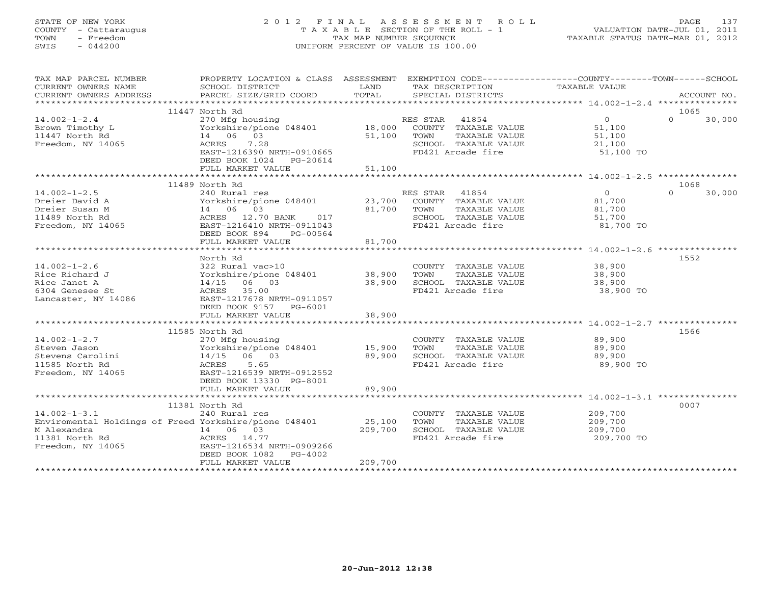## STATE OF NEW YORK 2 0 1 2 F I N A L A S S E S S M E N T R O L L PAGE 137 COUNTY - Cattaraugus T A X A B L E SECTION OF THE ROLL - 1 VALUATION DATE-JUL 01, 2011 TOWN - Freedom TAX MAP NUMBER SEQUENCE TAXABLE STATUS DATE-MAR 01, 2012 SWIS - 044200 UNIFORM PERCENT OF VALUE IS 100.00UNIFORM PERCENT OF VALUE IS 100.00

| TAX MAP PARCEL NUMBER                                 | PROPERTY LOCATION & CLASS ASSESSMENT EXEMPTION CODE---------------COUNTY-------TOWN------SCHOOL |             |                                               |                  |                    |  |
|-------------------------------------------------------|-------------------------------------------------------------------------------------------------|-------------|-----------------------------------------------|------------------|--------------------|--|
| CURRENT OWNERS NAME<br>CURRENT OWNERS ADDRESS         | SCHOOL DISTRICT<br><b>Example 12 TEXT LAND</b><br>PARCEL SIZE/GRID COORD                        | TOTAL       | TAX DESCRIPTION<br>SPECIAL DISTRICTS          | TAXABLE VALUE    | ACCOUNT NO.        |  |
|                                                       |                                                                                                 |             |                                               |                  |                    |  |
|                                                       | 11447 North Rd                                                                                  |             |                                               |                  | 1065               |  |
| $14.002 - 1 - 2.4$                                    | 270 Mfg housing                                                                                 |             | RES STAR 41854                                | $\overline{0}$   | $\Omega$<br>30,000 |  |
| Brown Timothy L<br>11447 North Rd                     | Yorkshire/pione 048401 18,000 COUNTY TAXABLE VALUE 51,100<br>14 06 03                           |             | 51,100 TOWN<br>TAXABLE VALUE                  | 51,100           |                    |  |
| Freedom, NY 14065                                     | 7.28<br>ACRES                                                                                   |             | SCHOOL TAXABLE VALUE 21,100                   |                  |                    |  |
|                                                       | EAST-1216390 NRTH-0910665                                                                       |             | FD421 Arcade fire                             | 51,100 TO        |                    |  |
|                                                       | DEED BOOK 1024 PG-20614                                                                         |             |                                               |                  |                    |  |
|                                                       | FULL MARKET VALUE                                                                               | 51,100      |                                               |                  |                    |  |
|                                                       |                                                                                                 |             |                                               |                  |                    |  |
|                                                       | 11489 North Rd                                                                                  |             |                                               |                  | 1068               |  |
| $14.002 - 1 - 2.5$                                    | 240 Rural res                                                                                   |             | RES STAR 41854                                | $\overline{0}$   | $\Omega$<br>30,000 |  |
| Dreier David A                                        | Yorkshire/pione 048401 23,700 COUNTY TAXABLE VALUE                                              |             |                                               | 81,700<br>81,700 |                    |  |
| Dreier Susan M                                        |                                                                                                 | 81,700 TOWN | TAXABLE VALUE                                 |                  |                    |  |
| 11489 North Rd                                        |                                                                                                 |             | SCHOOL TAXABLE VALUE                          | 51,700           |                    |  |
| Freedom, NY 14065                                     | Yorkshire/pione 048401<br>14 06 03<br>ACRES 12.70 BANK 017<br>EAST-1216410 NRTH-0911043         |             | FD421 Arcade fire                             | 81,700 TO        |                    |  |
|                                                       | DEED BOOK 894<br>PG-00564<br>FULL MARKET VALUE                                                  | 81,700      |                                               |                  |                    |  |
|                                                       |                                                                                                 |             |                                               |                  |                    |  |
|                                                       | North Rd                                                                                        |             |                                               |                  | 1552               |  |
| $14.002 - 1 - 2.6$                                    |                                                                                                 |             | COUNTY TAXABLE VALUE 38,900                   |                  |                    |  |
| Rice Richard J                                        | 322 Rural vac>10<br>Yorkshire/pione 048401            38,900                                    |             | TOWN<br>TAXABLE VALUE                         | 38,900           |                    |  |
| Rice Janet A                                          | $14/15$ 06 03                                                                                   | 38,900      | SCHOOL TAXABLE VALUE                          | 38,900           |                    |  |
| 6304 Genesee St                                       | ACRES 35.00                                                                                     |             | FD421 Arcade fire                             | 38,900 TO        |                    |  |
| Lancaster, NY 14086                                   | EAST-1217678 NRTH-0911057                                                                       |             |                                               |                  |                    |  |
|                                                       | DEED BOOK 9157 PG-6001                                                                          |             |                                               |                  |                    |  |
|                                                       | FULL MARKET VALUE                                                                               | 38,900      |                                               |                  |                    |  |
|                                                       |                                                                                                 |             |                                               |                  |                    |  |
|                                                       | 11585 North Rd                                                                                  |             |                                               |                  | 1566               |  |
|                                                       |                                                                                                 |             | COUNTY TAXABLE VALUE                          | 89,900           |                    |  |
|                                                       |                                                                                                 |             | TOWN<br>TAXABLE VALUE<br>SCHOOL TAXABLE VALUE | 89,900<br>89,900 |                    |  |
|                                                       |                                                                                                 |             | FD421 Arcade fire                             | 89,900 TO        |                    |  |
| Freedom, NY 14065 EAST-1216539 NRTH-0912552           |                                                                                                 |             |                                               |                  |                    |  |
|                                                       | DEED BOOK 13330 PG-8001                                                                         |             |                                               |                  |                    |  |
|                                                       | FULL MARKET VALUE                                                                               | 89,900      |                                               |                  |                    |  |
|                                                       |                                                                                                 |             |                                               |                  |                    |  |
|                                                       | 11381 North Rd                                                                                  |             |                                               |                  | 0007               |  |
| $14.002 - 1 - 3.1$                                    | 240 Rural res                                                                                   |             | COUNTY TAXABLE VALUE                          | 209,700          |                    |  |
| Enviromental Holdings of Freed Yorkshire/pione 048401 |                                                                                                 | 25,100      | TAXABLE VALUE<br>TOWN                         | 209,700          |                    |  |
| M Alexandra<br>$\frac{14}{14}$ 06 03<br>ACRES 14.77   | 14 06 03                                                                                        | 209,700     | SCHOOL TAXABLE VALUE                          | 209,700          |                    |  |
| 11381 North Rd                                        |                                                                                                 |             | FD421 Arcade fire                             | 209,700 TO       |                    |  |
| Freedom, NY 14065                                     | EAST-1216534 NRTH-0909266                                                                       |             |                                               |                  |                    |  |
|                                                       | DEED BOOK 1082<br>$PG-4002$<br>FULL MARKET VALUE                                                | 209,700     |                                               |                  |                    |  |
|                                                       |                                                                                                 |             |                                               |                  |                    |  |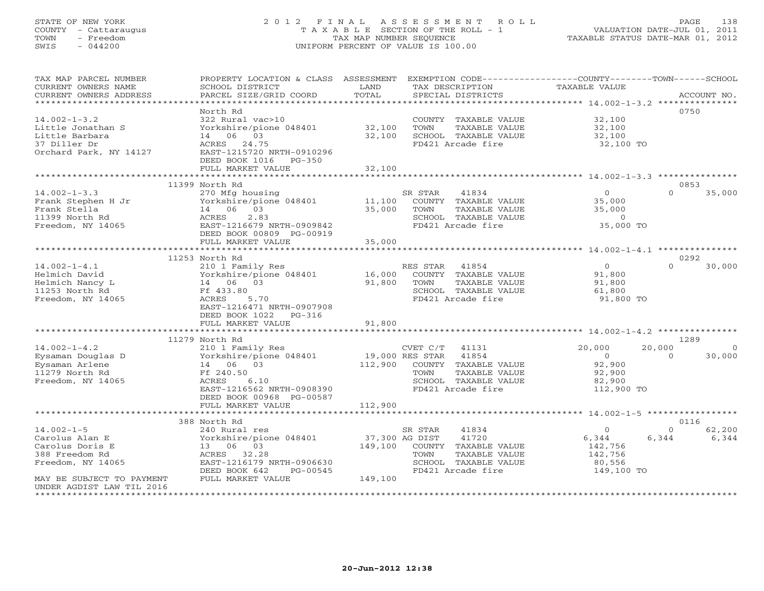## STATE OF NEW YORK 2 0 1 2 F I N A L A S S E S S M E N T R O L L PAGE 138 COUNTY - Cattaraugus T A X A B L E SECTION OF THE ROLL - 1 VALUATION DATE-JUL 01, 2011 TOWN - Freedom TAX MAP NUMBER SEQUENCE TAXABLE STATUS DATE-MAR 01, 2012 SWIS - 044200 UNIFORM PERCENT OF VALUE IS 100.00UNIFORM PERCENT OF VALUE IS 100.00

| TAX MAP PARCEL NUMBER<br>CURRENT OWNERS NAME<br>CURRENT OWNERS ADDRESS                              | PROPERTY LOCATION & CLASS ASSESSMENT<br>SCHOOL DISTRICT<br>PARCEL SIZE/GRID COORD                                                                                  | LAND<br>TOTAL              | EXEMPTION CODE-----------------COUNTY-------TOWN------SCHOOL<br>TAX DESCRIPTION<br>SPECIAL DISTRICTS                     | <b>TAXABLE VALUE</b>                                          |                    | ACCOUNT NO.                |
|-----------------------------------------------------------------------------------------------------|--------------------------------------------------------------------------------------------------------------------------------------------------------------------|----------------------------|--------------------------------------------------------------------------------------------------------------------------|---------------------------------------------------------------|--------------------|----------------------------|
|                                                                                                     |                                                                                                                                                                    |                            |                                                                                                                          |                                                               |                    |                            |
| $14.002 - 1 - 3.2$<br>Little Jonathan S<br>Little Barbara<br>37 Diller Dr<br>Orchard Park, NY 14127 | North Rd<br>322 Rural vac>10<br>Yorkshire/pione 048401<br>06<br>03<br>14<br>ACRES 24.75<br>EAST-1215720 NRTH-0910296<br>DEED BOOK 1016<br>PG-350                   | 32,100<br>32,100           | COUNTY TAXABLE VALUE<br>TOWN<br>TAXABLE VALUE<br>SCHOOL TAXABLE VALUE<br>FD421 Arcade fire                               | 32,100<br>32,100<br>32,100<br>32,100 TO                       |                    | 0750                       |
|                                                                                                     | FULL MARKET VALUE                                                                                                                                                  | 32,100                     |                                                                                                                          |                                                               |                    |                            |
|                                                                                                     |                                                                                                                                                                    |                            |                                                                                                                          |                                                               |                    |                            |
|                                                                                                     | 11399 North Rd                                                                                                                                                     |                            |                                                                                                                          |                                                               |                    | 0853                       |
| $14.002 - 1 - 3.3$<br>Frank Stephen H Jr<br>Frank Stella<br>11399 North Rd<br>Freedom, NY 14065     | 270 Mfg housing<br>Yorkshire/pione 048401<br>14 06 03<br>2.83<br>ACRES<br>EAST-1216679 NRTH-0909842<br>DEED BOOK 00809 PG-00919                                    | 11,100<br>35,000           | SR STAR<br>41834<br>COUNTY TAXABLE VALUE<br>TOWN<br>TAXABLE VALUE<br>SCHOOL TAXABLE VALUE<br>FD421 Arcade fire           | $\Omega$<br>35,000<br>35,000<br>$\circ$<br>35,000 TO          | $\Omega$           | 35,000                     |
|                                                                                                     | FULL MARKET VALUE                                                                                                                                                  | 35,000                     |                                                                                                                          |                                                               |                    |                            |
|                                                                                                     |                                                                                                                                                                    |                            |                                                                                                                          |                                                               |                    |                            |
|                                                                                                     | 11253 North Rd                                                                                                                                                     |                            |                                                                                                                          |                                                               |                    | 0292                       |
| $14.002 - 1 - 4.1$<br>Helmich David<br>Helmich Nancy L<br>11253 North Rd<br>Freedom, NY 14065       | 210 1 Family Res<br>Yorkshire/pione 048401<br>14 06 03<br>Ff 433.80<br>ACRES<br>5.70<br>EAST-1216471 NRTH-0907908<br>DEED BOOK 1022<br>PG-316<br>FULL MARKET VALUE | 16,000<br>91,800<br>91,800 | RES STAR<br>41854<br>COUNTY TAXABLE VALUE<br>TOWN<br>TAXABLE VALUE<br>SCHOOL TAXABLE VALUE<br>FD421 Arcade fire          | $\circ$<br>91,800<br>91,800<br>61,800<br>91,800 TO            | $\Omega$           | 30,000                     |
|                                                                                                     |                                                                                                                                                                    |                            |                                                                                                                          |                                                               |                    |                            |
| $14.002 - 1 - 4.2$<br>Eysaman Douglas D<br>Eysaman Arlene<br>11279 North Rd<br>Freedom, NY 14065    | 11279 North Rd<br>210 1 Family Res<br>Yorkshire/pione 048401<br>14 06 03<br>Ff 240.50<br>ACRES<br>6.10<br>EAST-1216562 NRTH-0908390<br>DEED BOOK 00968 PG-00587    | 19,000 RES STAR<br>112,900 | CVET C/T<br>41131<br>41854<br>COUNTY TAXABLE VALUE<br>TAXABLE VALUE<br>TOWN<br>SCHOOL TAXABLE VALUE<br>FD421 Arcade fire | 20,000<br>$\circ$<br>92,900<br>92,900<br>82,900<br>112,900 TO | 20,000<br>$\Omega$ | 1289<br>$\Omega$<br>30,000 |
|                                                                                                     | FULL MARKET VALUE                                                                                                                                                  | 112,900                    |                                                                                                                          |                                                               |                    |                            |
|                                                                                                     |                                                                                                                                                                    |                            | **************************************54.002-1-5******************                                                       |                                                               |                    | 0116                       |
| $14.002 - 1 - 5$                                                                                    | 388 North Rd<br>240 Rural res                                                                                                                                      |                            | SR STAR<br>41834                                                                                                         | $\circ$                                                       | $\circ$            | 62,200                     |
| Carolus Alan E<br>Carolus Doris E<br>388 Freedom Rd<br>Freedom, NY 14065                            | Yorkshire/pione 048401<br>13 06 03<br>ACRES<br>32.28<br>EAST-1216179 NRTH-0906630<br>DEED BOOK 642<br>PG-00545                                                     | 149,100                    | 41720<br>37,300 AG DIST<br>COUNTY TAXABLE VALUE<br>TOWN<br>TAXABLE VALUE<br>SCHOOL TAXABLE VALUE<br>FD421 Arcade fire    | 6,344<br>142,756<br>142,756<br>80,556<br>149,100 TO           | 6,344              | 6,344                      |
| MAY BE SUBJECT TO PAYMENT<br>UNDER AGDIST LAW TIL 2016<br>*************************                 | FULL MARKET VALUE                                                                                                                                                  | 149,100                    |                                                                                                                          |                                                               |                    |                            |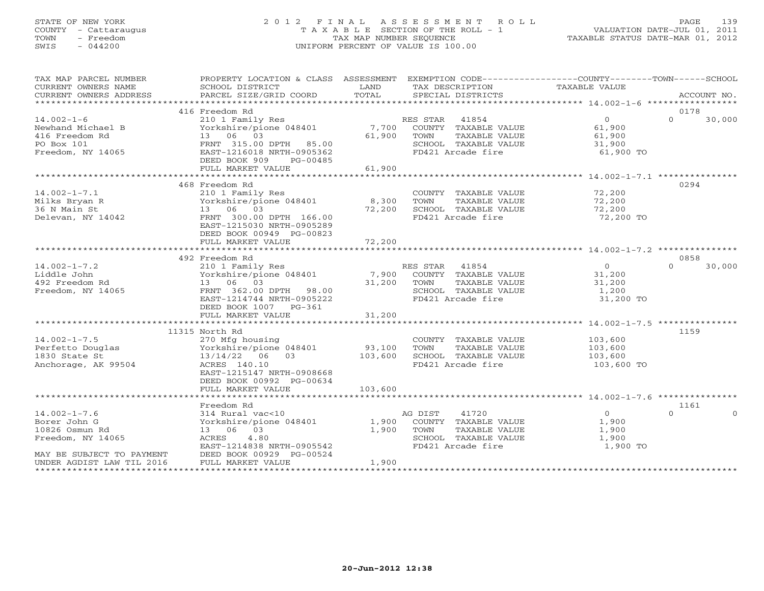## STATE OF NEW YORK 2 0 1 2 F I N A L A S S E S S M E N T R O L L PAGE 139 COUNTY - Cattaraugus T A X A B L E SECTION OF THE ROLL - 1 VALUATION DATE-JUL 01, 2011 TOWN - Freedom TAX MAP NUMBER SEQUENCE TAXABLE STATUS DATE-MAR 01, 2012 SWIS - 044200 UNIFORM PERCENT OF VALUE IS 100.00UNIFORM PERCENT OF VALUE IS 100.00

| TAX MAP PARCEL NUMBER<br>CURRENT OWNERS NAME<br>CURRENT OWNERS ADDRESS                                                              | PROPERTY LOCATION & CLASS ASSESSMENT<br>SCHOOL DISTRICT<br>PARCEL SIZE/GRID COORD                                                                                   | LAND<br>TOTAL             | EXEMPTION CODE-----------------COUNTY-------TOWN------SCHOOL<br>TAX DESCRIPTION<br>SPECIAL DISTRICTS           | TAXABLE VALUE                                            | ACCOUNT NO.                  |
|-------------------------------------------------------------------------------------------------------------------------------------|---------------------------------------------------------------------------------------------------------------------------------------------------------------------|---------------------------|----------------------------------------------------------------------------------------------------------------|----------------------------------------------------------|------------------------------|
|                                                                                                                                     | 416 Freedom Rd                                                                                                                                                      |                           |                                                                                                                |                                                          | 0178                         |
| $14.002 - 1 - 6$<br>Newhand Michael B<br>416 Freedom Rd<br>PO Box 101<br>Freedom, NY 14065                                          | 210 1 Family Res<br>Yorkshire/pione 048401<br>13 06 03<br>FRNT 315.00 DPTH 85.00<br>EAST-1216018 NRTH-0905362<br>DEED BOOK 909<br>PG-00485<br>FULL MARKET VALUE     | 7,700<br>61,900<br>61,900 | RES STAR 41854<br>COUNTY TAXABLE VALUE<br>TOWN<br>TAXABLE VALUE<br>SCHOOL TAXABLE VALUE<br>FD421 Arcade fire   | $\Omega$<br>61,900<br>61,900<br>31,900<br>61,900 TO      | $\Omega$<br>30,000           |
|                                                                                                                                     | 468 Freedom Rd                                                                                                                                                      |                           |                                                                                                                |                                                          | 0294                         |
| $14.002 - 1 - 7.1$<br>Milks Bryan R<br>36 N Main St<br>Delevan, NY 14042                                                            | 210 1 Family Res<br>Yorkshire/pione 048401<br>13 06 03<br>FRNT 300.00 DPTH 166.00<br>EAST-1215030 NRTH-0905289<br>DEED BOOK 00949 PG-00823                          | 8,300<br>72,200           | COUNTY TAXABLE VALUE<br>TOWN<br>TAXABLE VALUE<br>SCHOOL TAXABLE VALUE<br>FD421 Arcade fire                     | 72,200<br>72,200<br>72,200<br>72,200 TO                  |                              |
|                                                                                                                                     | FULL MARKET VALUE                                                                                                                                                   | 72,200                    |                                                                                                                |                                                          |                              |
|                                                                                                                                     | 492 Freedom Rd                                                                                                                                                      |                           |                                                                                                                |                                                          | 0858                         |
| $14.002 - 1 - 7.2$<br>Liddle John<br>492 Freedom Rd<br>Freedom, NY 14065                                                            | 210 1 Family Res<br>Yorkshire/pione 048401<br>13 06 03<br>FRNT 362.00 DPTH 98.00<br>EAST-1214744 NRTH-0905222<br>DEED BOOK 1007 PG-361                              | 7,900<br>31,200           | RES STAR 41854<br>COUNTY TAXABLE VALUE<br>TAXABLE VALUE<br>TOWN<br>SCHOOL TAXABLE VALUE<br>FD421 Arcade fire   | $\overline{0}$<br>31,200<br>31,200<br>1,200<br>31,200 TO | 30,000<br>$\Omega$           |
|                                                                                                                                     | FULL MARKET VALUE                                                                                                                                                   | 31,200                    |                                                                                                                |                                                          |                              |
| $14.002 - 1 - 7.5$<br>Perfetto Douglas<br>1830 State St<br>Anchorage, AK 99504                                                      | 11315 North Rd<br>270 Mfg housing<br>Yorkshire/pione 048401<br>13/14/22 06 03<br>ACRES 140.10<br>EAST-1215147 NRTH-0908668<br>DEED BOOK 00992 PG-00634              | 93,100<br>103,600         | COUNTY TAXABLE VALUE<br>TOWN<br>TAXABLE VALUE<br>SCHOOL TAXABLE VALUE<br>FD421 Arcade fire                     | 103,600<br>103,600<br>103,600<br>103,600 TO              | 1159                         |
|                                                                                                                                     | FULL MARKET VALUE                                                                                                                                                   | 103,600                   |                                                                                                                |                                                          |                              |
|                                                                                                                                     |                                                                                                                                                                     |                           |                                                                                                                |                                                          |                              |
| $14.002 - 1 - 7.6$<br>Borer John G<br>10826 Osmun Rd<br>Freedom, NY 14065<br>MAY BE SUBJECT TO PAYMENT<br>UNDER AGDIST LAW TIL 2016 | Freedom Rd<br>314 Rural vac<10<br>Yorkshire/pione 048401<br>13 06 03<br>ACRES<br>4.80<br>EAST-1214838 NRTH-0905542<br>DEED BOOK 00929 PG-00524<br>FULL MARKET VALUE | 1,900<br>1,900<br>1,900   | 41720<br>AG DIST<br>COUNTY TAXABLE VALUE<br>TOWN<br>TAXABLE VALUE<br>SCHOOL TAXABLE VALUE<br>FD421 Arcade fire | $\overline{O}$<br>1,900<br>1,900<br>1,900<br>1,900 TO    | 1161<br>$\Omega$<br>$\Omega$ |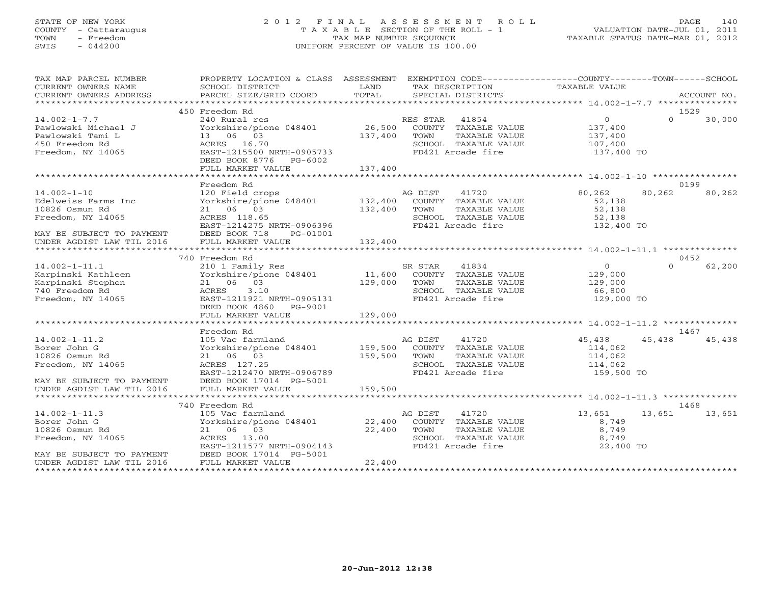## STATE OF NEW YORK 2 0 1 2 F I N A L A S S E S S M E N T R O L L PAGE 140 COUNTY - Cattaraugus T A X A B L E SECTION OF THE ROLL - 1 VALUATION DATE-JUL 01, 2011 TOWN - Freedom **TAX MAP NUMBER SEQUENCE** TAXABLE STATUS DATE-MAR 01, 2012<br>TAXABLE STATUS DATE-MAR 01, 2012 SWIS - 044200 UNIFORM PERCENT OF VALUE IS 100.00

| TAX MAP PARCEL NUMBER<br>CURRENT OWNERS NAME<br>CURRENT OWNERS ADDRESS                                       | PROPERTY LOCATION & CLASS ASSESSMENT EXEMPTION CODE---------------COUNTY-------TOWN------SCHOOL<br>SCHOOL DISTRICT<br>PARCEL SIZE/GRID COORD                     | LAND<br>TOTAL                | TAX DESCRIPTION<br>SPECIAL DISTRICTS<br>SPECIAL DISTRICTS                                                       |                                                               | ACCOUNT NO.                |
|--------------------------------------------------------------------------------------------------------------|------------------------------------------------------------------------------------------------------------------------------------------------------------------|------------------------------|-----------------------------------------------------------------------------------------------------------------|---------------------------------------------------------------|----------------------------|
|                                                                                                              |                                                                                                                                                                  |                              |                                                                                                                 |                                                               |                            |
| $14.002 - 1 - 7.7$<br>Pawlowski Michael J<br>Pawlowski Tami L<br>450 Freedom Rd<br>Freedom, NY 14065         | 450 Freedom Rd<br>240 Rural res<br>Yorkshire/pione 048401<br>13 06 03<br>ACRES 16.70<br>EAST-1215500 NRTH-0905733<br>DEED BOOK 8776 PG-6002<br>FULL MARKET VALUE | 26,500<br>137,400<br>137,400 | RES STAR<br>41854<br>COUNTY TAXABLE VALUE<br>TOWN<br>TAXABLE VALUE<br>SCHOOL TAXABLE VALUE<br>FD421 Arcade fire | $\overline{0}$<br>137,400<br>137,400<br>107,400<br>137,400 TO | 1529<br>$\Omega$<br>30,000 |
|                                                                                                              |                                                                                                                                                                  |                              |                                                                                                                 |                                                               |                            |
| $14.002 - 1 - 10$<br>Edelweiss Farms Inc<br>10826 Osmun Rd<br>Freedom, NY 14065<br>MAY BE SUBJECT TO PAYMENT | Freedom Rd<br>120 Field crops<br>Yorkshire/pione 048401 132,400<br>21 06 03<br>ACRES 118.65<br>EAST-1214275 NRTH-0906396<br>DEED BOOK 718<br>PG-01001            | 132,400                      | AG DIST<br>41720<br>COUNTY TAXABLE VALUE<br>TOWN<br>TAXABLE VALUE<br>SCHOOL TAXABLE VALUE<br>FD421 Arcade fire  | 80,262<br>52,138<br>52,138<br>52,138<br>132,400 TO            | 0199<br>80,262<br>80,262   |
| UNDER AGDIST LAW TIL 2016                                                                                    | FULL MARKET VALUE                                                                                                                                                | 132,400                      |                                                                                                                 |                                                               |                            |
|                                                                                                              |                                                                                                                                                                  |                              |                                                                                                                 |                                                               |                            |
|                                                                                                              | 740 Freedom Rd                                                                                                                                                   |                              |                                                                                                                 |                                                               | 0452                       |
| $14.002 - 1 - 11.1$<br>Karpinski Kathleen<br>Karpinski Stephen<br>740 Freedom Rd<br>Freedom, NY 14065        | 210 1 Family Res<br>Yorkshire/pione 048401<br>21 06 03<br>ACRES<br>3.10<br>EAST-1211921 NRTH-0905131<br>DEED BOOK 4860<br>PG-9001                                | 11,600<br>129,000            | SR STAR<br>41834<br>COUNTY TAXABLE VALUE<br>TOWN<br>TAXABLE VALUE<br>SCHOOL TAXABLE VALUE<br>FD421 Arcade fire  | $\overline{0}$<br>129,000<br>129,000<br>66,800<br>129,000 TO  | 62,200<br>$\Omega$         |
|                                                                                                              | FULL MARKET VALUE                                                                                                                                                | 129,000                      |                                                                                                                 |                                                               |                            |
|                                                                                                              |                                                                                                                                                                  |                              |                                                                                                                 |                                                               |                            |
|                                                                                                              | Freedom Rd                                                                                                                                                       |                              |                                                                                                                 |                                                               | 1467                       |
| $14.002 - 1 - 11.2$<br>Borer John G<br>10826 Osmun Rd<br>Freedom, NY 14065<br>MAY BE SUBJECT TO PAYMENT      | 105 Vac farmland<br>Yorkshire/pione 048401 159,500<br>21 06 03<br>ACRES 127.25<br>EAST-1212470 NRTH-0906789<br>DEED BOOK 17014 PG-5001                           | 159,500                      | 41720<br>AG DIST<br>COUNTY TAXABLE VALUE<br>TOWN<br>TAXABLE VALUE<br>SCHOOL TAXABLE VALUE<br>FD421 Arcade fire  | 45,438<br>114,062<br>114,062<br>114,062<br>159,500 TO         | 45,438<br>45,438           |
| UNDER AGDIST LAW TIL 2016                                                                                    | FULL MARKET VALUE                                                                                                                                                | 159,500                      |                                                                                                                 |                                                               |                            |
|                                                                                                              |                                                                                                                                                                  |                              |                                                                                                                 |                                                               |                            |
|                                                                                                              | 740 Freedom Rd                                                                                                                                                   |                              |                                                                                                                 |                                                               | 1468                       |
| $14.002 - 1 - 11.3$<br>Borer John G<br>10826 Osmun Rd<br>Freedom, NY 14065<br>MAY BE SUBJECT TO PAYMENT      | 105 Vac farmland<br>Yorkshire/pione 048401 22,400<br>21 06 03<br>ACRES 13.00<br>EAST-1211577 NRTH-0904143<br>DEED BOOK 17014 PG-5001                             | 22,400                       | 41720<br>AG DIST<br>COUNTY TAXABLE VALUE<br>TOWN<br>TAXABLE VALUE<br>SCHOOL TAXABLE VALUE<br>FD421 Arcade fire  | 13,651<br>8,749<br>8,749<br>8,749<br>22,400 TO                | 13,651<br>13,651           |
| UNDER AGDIST LAW TIL 2016                                                                                    | FULL MARKET VALUE                                                                                                                                                | 22,400                       |                                                                                                                 |                                                               |                            |
|                                                                                                              |                                                                                                                                                                  |                              |                                                                                                                 |                                                               |                            |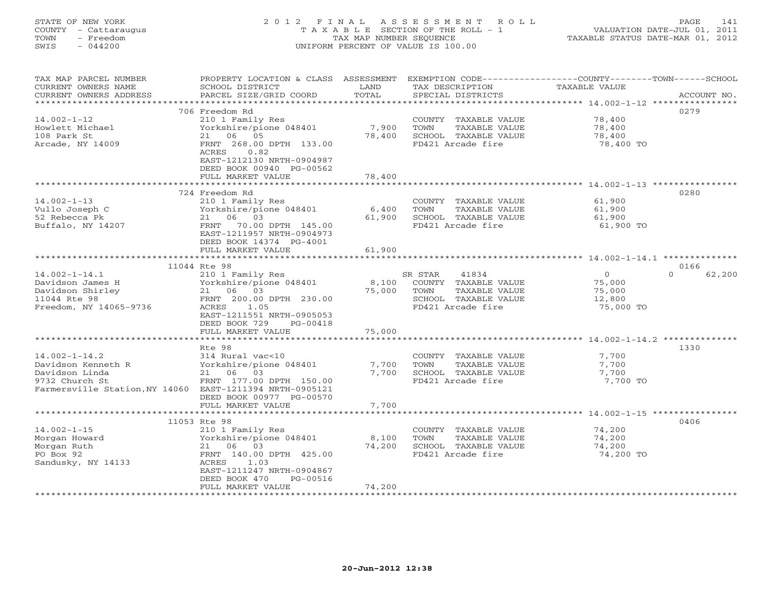# STATE OF NEW YORK 2 0 1 2 F I N A L A S S E S S M E N T R O L L PAGE 141 COUNTY - Cattaraugus T A X A B L E SECTION OF THE ROLL - 1 VALUATION DATE-JUL 01, 2011 TOWN - Freedom TAX MAP NUMBER SEQUENCE TAXABLE STATUS DATE-MAR 01, 2012 SWIS - 044200 UNIFORM PERCENT OF VALUE IS 100.00UNIFORM PERCENT OF VALUE IS 100.00

| TAX MAP PARCEL NUMBER<br>CURRENT OWNERS NAME<br>CURRENT OWNERS ADDRESS                                                                    | PROPERTY LOCATION & CLASS<br>SCHOOL DISTRICT<br>PARCEL SIZE/GRID COORD                                              | ASSESSMENT<br>LAND<br>TOTAL | TAX DESCRIPTION<br>SPECIAL DISTRICTS                                                       | EXEMPTION CODE-----------------COUNTY-------TOWN------SCHOOL<br>TAXABLE VALUE | ACCOUNT NO. |
|-------------------------------------------------------------------------------------------------------------------------------------------|---------------------------------------------------------------------------------------------------------------------|-----------------------------|--------------------------------------------------------------------------------------------|-------------------------------------------------------------------------------|-------------|
| *********************                                                                                                                     |                                                                                                                     |                             |                                                                                            |                                                                               |             |
|                                                                                                                                           | 706 Freedom Rd                                                                                                      |                             |                                                                                            |                                                                               | 0279        |
| $14.002 - 1 - 12$<br>Howlett Michael<br>108 Park St<br>Arcade, NY 14009                                                                   | 210 1 Family Res<br>Yorkshire/pione 048401<br>21<br>06 05<br>FRNT 268.00 DPTH 133.00                                | 7,900<br>78,400             | COUNTY TAXABLE VALUE<br>TOWN<br>TAXABLE VALUE<br>SCHOOL TAXABLE VALUE<br>FD421 Arcade fire | 78,400<br>78,400<br>78,400<br>78,400 TO                                       |             |
|                                                                                                                                           | ACRES<br>0.82<br>EAST-1212130 NRTH-0904987<br>DEED BOOK 00940 PG-00562<br>FULL MARKET VALUE                         | 78,400                      |                                                                                            |                                                                               |             |
|                                                                                                                                           |                                                                                                                     |                             |                                                                                            |                                                                               |             |
|                                                                                                                                           | 724 Freedom Rd                                                                                                      |                             |                                                                                            |                                                                               | 0280        |
| $14.002 - 1 - 13$<br>Vullo Joseph C<br>52 Rebecca Pk<br>Buffalo, NY 14207                                                                 | 210 1 Family Res<br>Yorkshire/pione 048401<br>06 03<br>21<br>FRNT<br>70.00 DPTH 145.00<br>EAST-1211957 NRTH-0904973 | 6,400<br>61,900             | COUNTY TAXABLE VALUE<br>TOWN<br>TAXABLE VALUE<br>SCHOOL TAXABLE VALUE<br>FD421 Arcade fire | 61,900<br>61,900<br>61,900<br>61,900 TO                                       |             |
|                                                                                                                                           | DEED BOOK 14374 PG-4001                                                                                             |                             |                                                                                            |                                                                               |             |
|                                                                                                                                           | FULL MARKET VALUE                                                                                                   | 61,900                      |                                                                                            |                                                                               |             |
|                                                                                                                                           | 11044 Rte 98                                                                                                        |                             |                                                                                            | ************************ 14.002-1-14.1 ***************                        | 0166        |
| $14.002 - 1 - 14.1$<br>Davidson James H<br>Davidson Shirley                                                                               | 210 1 Family Res<br>Yorkshire/pione 048401<br>21 06 03                                                              | 8,100<br>75,000             | 41834<br>SR STAR<br>COUNTY TAXABLE VALUE<br>TOWN<br>TAXABLE VALUE                          | $\cap$<br>$\circ$<br>75,000<br>75,000                                         | 62,200      |
| 11044 Rte 98<br>Freedom, NY 14065-9736                                                                                                    | FRNT 200.00 DPTH 230.00<br>1.05<br>ACRES<br>EAST-1211551 NRTH-0905053<br>DEED BOOK 729<br>PG-00418                  |                             | SCHOOL TAXABLE VALUE<br>FD421 Arcade fire                                                  | 12,800<br>75,000 TO                                                           |             |
|                                                                                                                                           | FULL MARKET VALUE                                                                                                   | 75,000                      |                                                                                            |                                                                               |             |
|                                                                                                                                           | ***********************                                                                                             | ************                |                                                                                            |                                                                               |             |
| $14.002 - 1 - 14.2$<br>Davidson Kenneth R<br>Davidson Linda<br>9732 Church St<br>Farmersville Station, NY 14060 EAST-1211394 NRTH-0905121 | Rte 98<br>314 Rural vac<10<br>Yorkshire/pione 048401<br>21 06 03<br>FRNT 177.00 DPTH 150.00                         | 7,700<br>7,700              | COUNTY TAXABLE VALUE<br>TOWN<br>TAXABLE VALUE<br>SCHOOL TAXABLE VALUE<br>FD421 Arcade fire | 7,700<br>7,700<br>7,700<br>7,700 TO                                           | 1330        |
|                                                                                                                                           | DEED BOOK 00977 PG-00570                                                                                            |                             |                                                                                            |                                                                               |             |
|                                                                                                                                           | FULL MARKET VALUE                                                                                                   | 7,700                       |                                                                                            |                                                                               |             |
|                                                                                                                                           |                                                                                                                     |                             |                                                                                            |                                                                               | 0406        |
| $14.002 - 1 - 15$                                                                                                                         | 11053 Rte 98<br>210 1 Family Res                                                                                    |                             | COUNTY TAXABLE VALUE                                                                       | 74,200                                                                        |             |
| Morgan Howard                                                                                                                             | Yorkshire/pione 048401                                                                                              | 8,100                       | TAXABLE VALUE<br>TOWN                                                                      | 74,200                                                                        |             |
| Morgan Ruth                                                                                                                               | 21 06 03                                                                                                            | 74,200                      | SCHOOL TAXABLE VALUE                                                                       | 74,200                                                                        |             |
| PO Box 92<br>Sandusky, NY 14133                                                                                                           | FRNT 140.00 DPTH 425.00<br>ACRES<br>1.03                                                                            |                             | FD421 Arcade fire                                                                          | 74,200 TO                                                                     |             |
|                                                                                                                                           | EAST-1211247 NRTH-0904867<br>DEED BOOK 470<br>PG-00516<br>FULL MARKET VALUE                                         | 74,200                      |                                                                                            |                                                                               |             |
|                                                                                                                                           |                                                                                                                     |                             |                                                                                            |                                                                               |             |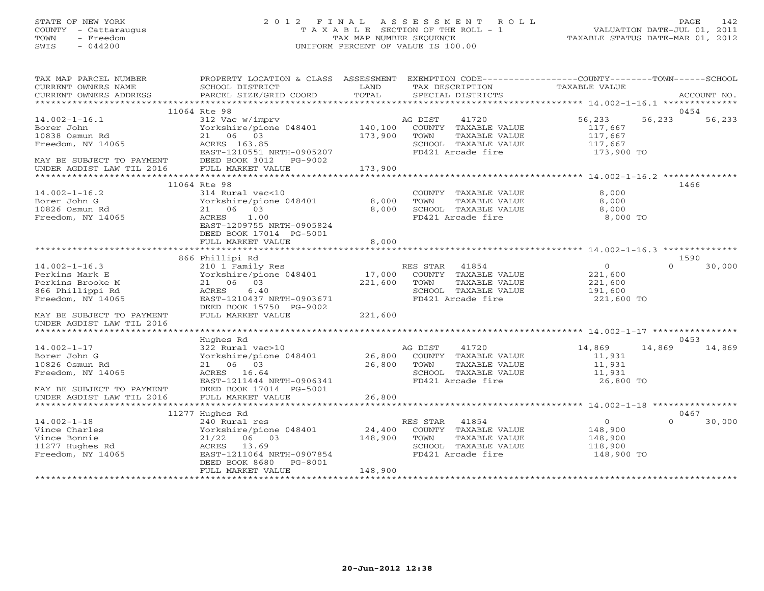## STATE OF NEW YORK 2 0 1 2 F I N A L A S S E S S M E N T R O L L PAGE 142 COUNTY - Cattaraugus T A X A B L E SECTION OF THE ROLL - 1 VALUATION DATE-JUL 01, 2011 TOWN - Freedom TAX MAP NUMBER SEQUENCE TAXABLE STATUS DATE-MAR 01, 2012 SWIS - 044200 UNIFORM PERCENT OF VALUE IS 100.00UNIFORM PERCENT OF VALUE IS 100.00

| TAX MAP PARCEL NUMBER                                  | PROPERTY LOCATION & CLASS ASSESSMENT       |                | EXEMPTION CODE-----------------COUNTY-------TOWN------SCHOOL |                                                            |          |             |
|--------------------------------------------------------|--------------------------------------------|----------------|--------------------------------------------------------------|------------------------------------------------------------|----------|-------------|
| CURRENT OWNERS NAME                                    | SCHOOL DISTRICT                            | LAND           | TAX DESCRIPTION                                              | TAXABLE VALUE                                              |          |             |
| CURRENT OWNERS ADDRESS                                 | PARCEL SIZE/GRID COORD                     | TOTAL          | SPECIAL DISTRICTS                                            |                                                            |          | ACCOUNT NO. |
|                                                        | 11064 Rte 98                               |                |                                                              |                                                            |          | 0454        |
| $14.002 - 1 - 16.1$                                    | 312 Vac w/imprv                            |                | AG DIST<br>41720                                             | 56,233                                                     | 56,233   | 56,233      |
| Borer John                                             | Yorkshire/pione 048401                     | 140,100        | COUNTY TAXABLE VALUE                                         | 117,667                                                    |          |             |
| 10838 Osmun Rd                                         | 21 06 03                                   | 173,900        | TAXABLE VALUE<br>TOWN                                        | 117,667                                                    |          |             |
| Freedom, NY 14065                                      | ACRES 163.85                               |                | SCHOOL TAXABLE VALUE                                         | 117,667                                                    |          |             |
|                                                        | EAST-1210551 NRTH-0905207                  |                | FD421 Arcade fire                                            | 173,900 TO                                                 |          |             |
|                                                        | DEED BOOK 3012 PG-9002                     |                |                                                              |                                                            |          |             |
| MAY BE SUBJECT TO PAYMENT<br>UNDER AGDIST LAW TIL 2016 | FULL MARKET VALUE                          | 173,900        |                                                              |                                                            |          |             |
|                                                        |                                            |                |                                                              |                                                            |          |             |
|                                                        | 11064 Rte 98                               |                |                                                              |                                                            | 1466     |             |
| $14.002 - 1 - 16.2$                                    | 314 Rural vac<10                           |                | COUNTY TAXABLE VALUE                                         | 8,000                                                      |          |             |
| Borer John G                                           | Yorkshire/pione 048401                     | 8,000          | TAXABLE VALUE<br>TOWN                                        | 8,000                                                      |          |             |
| 10826 Osmun Rd                                         | 21 06 03                                   | 8,000          | SCHOOL TAXABLE VALUE                                         | 8,000                                                      |          |             |
| Freedom, NY 14065                                      | 1.00<br>ACRES                              |                | FD421 Arcade fire                                            | 8,000 TO                                                   |          |             |
|                                                        | EAST-1209755 NRTH-0905824                  |                |                                                              |                                                            |          |             |
|                                                        | DEED BOOK 17014 PG-5001                    |                |                                                              |                                                            |          |             |
|                                                        | FULL MARKET VALUE                          | 8,000          |                                                              |                                                            |          |             |
|                                                        |                                            |                |                                                              |                                                            |          |             |
|                                                        | 866 Phillipi Rd                            |                |                                                              |                                                            | $\cap$   | 1590        |
| $14.002 - 1 - 16.3$                                    | 210 1 Family Res                           |                | RES STAR 41854                                               | $\Omega$                                                   |          | 30,000      |
| Perkins Mark E                                         | Yorkshire/pione 048401<br>21 06 03         | 17,000         | COUNTY TAXABLE VALUE<br>TOWN                                 | 221,600                                                    |          |             |
| Perkins Brooke M                                       |                                            | 221,600        | TAXABLE VALUE                                                | 221,600                                                    |          |             |
| 866 Phillippi Rd<br>Freedom, NY 14065                  | 6.40<br>ACRES<br>EAST-1210437 NRTH-0903671 |                | SCHOOL TAXABLE VALUE<br>FD421 Arcade fire                    | 191,600<br>221,600 TO                                      |          |             |
|                                                        | DEED BOOK 15750 PG-9002                    |                |                                                              |                                                            |          |             |
| MAY BE SUBJECT TO PAYMENT                              | FULL MARKET VALUE                          | 221,600        |                                                              |                                                            |          |             |
| UNDER AGDIST LAW TIL 2016                              |                                            |                |                                                              |                                                            |          |             |
| ******************************                         |                                            |                |                                                              |                                                            |          |             |
|                                                        | Hughes Rd                                  |                |                                                              |                                                            |          | 0453        |
| $14.002 - 1 - 17$                                      | 322 Rural vac>10                           |                | AG DIST 41720                                                | 14,869                                                     | 14,869   | 14,869      |
| Borer John G                                           | Yorkshire/pione 048401                     |                | 26,800 COUNTY TAXABLE VALUE                                  | 11,931                                                     |          |             |
| 10826 Osmun Rd                                         | 21 06 03                                   | 26,800         | TAXABLE VALUE<br>TOWN                                        | 11,931                                                     |          |             |
| Freedom, NY 14065                                      | ACRES 16.64                                |                | SCHOOL TAXABLE VALUE                                         | 11,931                                                     |          |             |
|                                                        | EAST-1211444 NRTH-0906341                  |                | FD421 Arcade fire                                            | 26,800 TO                                                  |          |             |
| MAY BE SUBJECT TO PAYMENT                              | DEED BOOK 17014 PG-5001                    |                |                                                              |                                                            |          |             |
| UNDER AGDIST LAW TIL 2016                              | FULL MARKET VALUE                          | 26,800         |                                                              |                                                            |          |             |
|                                                        |                                            | ************** |                                                              | **************************** 14.002-1-18 ***************** |          |             |
|                                                        | 11277 Hughes Rd                            |                |                                                              |                                                            | 0467     |             |
| $14.002 - 1 - 18$                                      | 240 Rural res                              |                | RES STAR<br>41854                                            | $\overline{0}$                                             | $\Omega$ | 30,000      |
| Vince Charles                                          | Yorkshire/pione 048401                     | 24,400         | COUNTY TAXABLE VALUE                                         | 148,900                                                    |          |             |
| Vince Bonnie                                           | 21/22<br>06 03                             | 148,900        | TOWN<br>TAXABLE VALUE                                        | 148,900                                                    |          |             |
| 11277 Hughes Rd                                        | ACRES 13.69                                |                | SCHOOL TAXABLE VALUE                                         | 118,900                                                    |          |             |
| Freedom, NY 14065                                      | EAST-1211064 NRTH-0907854                  |                | FD421 Arcade fire                                            | 148,900 TO                                                 |          |             |
|                                                        | DEED BOOK 8680 PG-8001                     |                |                                                              |                                                            |          |             |
|                                                        | FULL MARKET VALUE                          | 148,900        |                                                              |                                                            |          |             |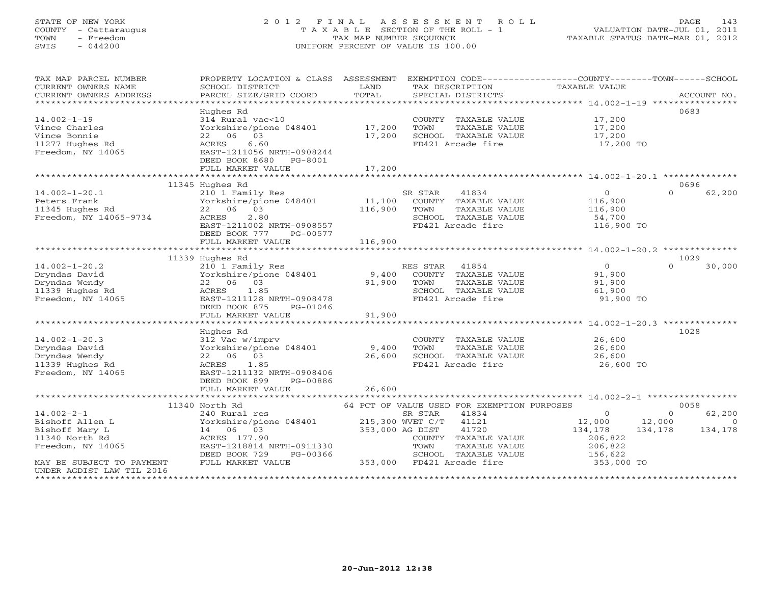# STATE OF NEW YORK 2 0 1 2 F I N A L A S S E S S M E N T R O L L PAGE 143 COUNTY - Cattaraugus T A X A B L E SECTION OF THE ROLL - 1 VALUATION DATE-JUL 01, 2011 TOWN - Freedom TAX MAP NUMBER SEQUENCE TAXABLE STATUS DATE-MAR 01, 2012 SWIS - 044200 UNIFORM PERCENT OF VALUE IS 100.00UNIFORM PERCENT OF VALUE IS 100.00

| TAX MAP PARCEL NUMBER<br>CURRENT OWNERS NAME<br>CURRENT OWNERS ADDRESS<br>************************ | PROPERTY LOCATION & CLASS ASSESSMENT<br>SCHOOL DISTRICT<br>PARCEL SIZE/GRID COORD | LAND<br>TOTAL           | TAX DESCRIPTION<br>SPECIAL DISTRICTS          | EXEMPTION CODE-----------------COUNTY-------TOWN------SCHOOL<br>TAXABLE VALUE | ACCOUNT NO. |
|----------------------------------------------------------------------------------------------------|-----------------------------------------------------------------------------------|-------------------------|-----------------------------------------------|-------------------------------------------------------------------------------|-------------|
|                                                                                                    | Hughes Rd                                                                         |                         |                                               |                                                                               | 0683        |
| $14.002 - 1 - 19$                                                                                  | 314 Rural vac<10                                                                  |                         | COUNTY TAXABLE VALUE                          | 17,200                                                                        |             |
| Vince Charles                                                                                      | Yorkshire/pione 048401                                                            | 17,200                  | TAXABLE VALUE<br>TOWN                         | 17,200                                                                        |             |
| Vince Bonnie                                                                                       | 22 06 03                                                                          | 17,200                  | SCHOOL TAXABLE VALUE                          | 17,200                                                                        |             |
| 11277 Hughes Rd                                                                                    | 6.60<br>ACRES                                                                     |                         | FD421 Arcade fire                             | 17,200 TO                                                                     |             |
| Freedom, NY 14065                                                                                  | EAST-1211056 NRTH-0908244                                                         |                         |                                               |                                                                               |             |
|                                                                                                    | DEED BOOK 8680 PG-8001                                                            |                         |                                               |                                                                               |             |
|                                                                                                    | FULL MARKET VALUE                                                                 | 17,200                  |                                               |                                                                               |             |
|                                                                                                    | ***********************                                                           | * * * * * * * * * * * * |                                               | ********************************** 14.002-1-20.1 ***************              |             |
|                                                                                                    | 11345 Hughes Rd                                                                   |                         |                                               |                                                                               | 0696        |
| $14.002 - 1 - 20.1$                                                                                | 210 1 Family Res                                                                  |                         | SR STAR<br>41834                              | $\circ$<br>$\Omega$                                                           | 62,200      |
| Peters Frank                                                                                       | Yorkshire/pione 048401<br>22 06 03                                                | 11,100<br>116,900       | COUNTY TAXABLE VALUE                          | 116,900                                                                       |             |
| 11345 Hughes Rd<br>Freedom, NY 14065-9734                                                          | 2.80<br>ACRES                                                                     |                         | TOWN<br>TAXABLE VALUE<br>SCHOOL TAXABLE VALUE | 116,900<br>54,700                                                             |             |
|                                                                                                    | EAST-1211002 NRTH-0908557                                                         |                         | FD421 Arcade fire                             | 116,900 TO                                                                    |             |
|                                                                                                    | DEED BOOK 777<br>PG-00577                                                         |                         |                                               |                                                                               |             |
|                                                                                                    | FULL MARKET VALUE                                                                 | 116,900                 |                                               |                                                                               |             |
|                                                                                                    |                                                                                   |                         |                                               |                                                                               |             |
|                                                                                                    | 11339 Hughes Rd                                                                   |                         |                                               |                                                                               | 1029        |
| $14.002 - 1 - 20.2$                                                                                | 210 1 Family Res                                                                  |                         | RES STAR 41854                                | $\overline{0}$<br>$\Omega$                                                    | 30,000      |
| Dryndas David                                                                                      | Yorkshire/pione 048401                                                            | 9,400                   | COUNTY TAXABLE VALUE                          | 91,900                                                                        |             |
| Dryndas Wendy                                                                                      | 22 06 03                                                                          | 91,900                  | TOWN<br>TAXABLE VALUE                         | 91,900                                                                        |             |
| 11339 Hughes Rd                                                                                    | ACRES<br>1.85                                                                     |                         | SCHOOL TAXABLE VALUE                          | 61,900                                                                        |             |
| Freedom, NY 14065                                                                                  | EAST-1211128 NRTH-0908478                                                         |                         | FD421 Arcade fire                             | 91,900 TO                                                                     |             |
|                                                                                                    | DEED BOOK 875<br>PG-01046                                                         |                         |                                               |                                                                               |             |
|                                                                                                    | FULL MARKET VALUE                                                                 | 91,900                  |                                               |                                                                               |             |
|                                                                                                    |                                                                                   |                         |                                               |                                                                               |             |
|                                                                                                    | Hughes Rd                                                                         |                         |                                               |                                                                               | 1028        |
| $14.002 - 1 - 20.3$                                                                                | 312 Vac w/imprv                                                                   |                         | COUNTY TAXABLE VALUE                          | 26,600                                                                        |             |
| Dryndas David                                                                                      | Yorkshire/pione 048401                                                            | 9,400                   | TOWN<br>TAXABLE VALUE                         | 26,600                                                                        |             |
| Dryndas Wendy                                                                                      | 22 06 03                                                                          | 26,600                  | SCHOOL TAXABLE VALUE                          | 26,600                                                                        |             |
| 11339 Hughes Rd                                                                                    | 1.85<br>ACRES                                                                     |                         | FD421 Arcade fire                             | 26,600 TO                                                                     |             |
| Freedom, NY 14065                                                                                  | EAST-1211132 NRTH-0908406<br>DEED BOOK 899<br>PG-00886                            |                         |                                               |                                                                               |             |
|                                                                                                    | FULL MARKET VALUE                                                                 | 26,600                  |                                               |                                                                               |             |
|                                                                                                    |                                                                                   |                         |                                               |                                                                               |             |
|                                                                                                    | 11340 North Rd                                                                    |                         | 64 PCT OF VALUE USED FOR EXEMPTION PURPOSES   |                                                                               | 0058        |
| $14.002 - 2 - 1$                                                                                   | 240 Rural res                                                                     |                         | 41834<br>SR STAR                              | $\Omega$<br>$\Omega$                                                          | 62,200      |
| Bishoff Allen L                                                                                    | Yorkshire/pione 048401                                                            |                         | 41121<br>215,300 WVET C/T                     | 12,000<br>12,000                                                              | $\Omega$    |
| Bishoff Mary L                                                                                     | 14 06 03                                                                          | 353,000 AG DIST         | 41720                                         | 134,178<br>134,178                                                            | 134,178     |
| 11340 North Rd                                                                                     | ACRES 177.90                                                                      |                         | COUNTY TAXABLE VALUE                          | 206,822                                                                       |             |
| Freedom, NY 14065                                                                                  | EAST-1218814 NRTH-0911330                                                         |                         | TOWN<br>TAXABLE VALUE                         | 206,822                                                                       |             |
|                                                                                                    | DEED BOOK 729<br>PG-00366                                                         |                         | SCHOOL TAXABLE VALUE                          | 156,622                                                                       |             |
| MAY BE SUBJECT TO PAYMENT                                                                          | FULL MARKET VALUE                                                                 |                         | 353,000 FD421 Arcade fire                     | 353,000 TO                                                                    |             |
| UNDER AGDIST LAW TIL 2016                                                                          |                                                                                   |                         |                                               |                                                                               |             |
| ********************                                                                               |                                                                                   |                         |                                               |                                                                               |             |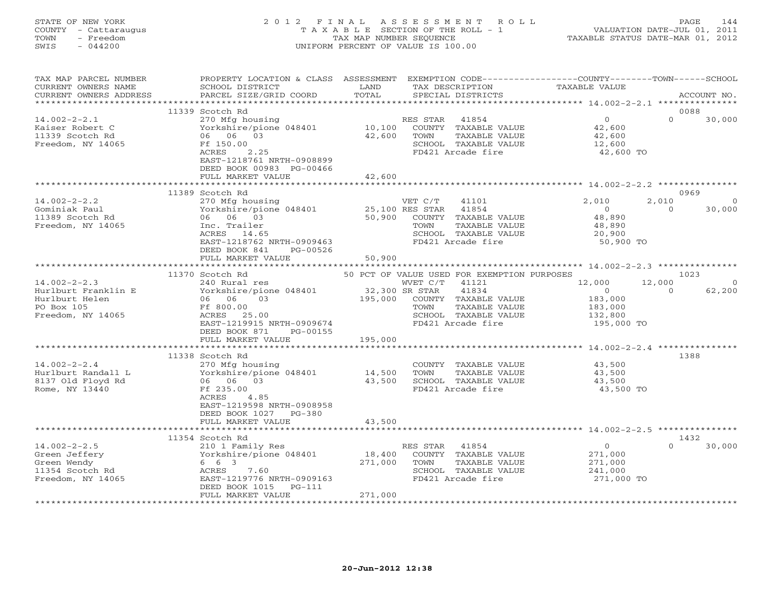### STATE OF NEW YORK 2 0 1 2 F I N A L A S S E S S M E N T R O L L PAGE 144 COUNTY - Cattaraugus T A X A B L E SECTION OF THE ROLL - 1 VALUATION DATE-JUL 01, 2011 TOWN - Freedom **TAX MAP NUMBER SEQUENCE** TAXABLE STATUS DATE-MAR 01, 2012<br>TAXABLE STATUS DATE-MAR 01, 2012 SWIS - 044200 UNIFORM PERCENT OF VALUE IS 100.00

| TAX MAP PARCEL NUMBER<br>CURRENT OWNERS NAME<br>CURRENT OWNERS ADDRESS                         | PROPERTY LOCATION & CLASS ASSESSMENT<br>SCHOOL DISTRICT<br>PARCEL SIZE/GRID COORD                                                                                                      | LAND<br>TOTAL                | TAX DESCRIPTION<br>SPECIAL DISTRICTS                                                                                                       | EXEMPTION CODE-----------------COUNTY-------TOWN------SCHOOL<br><b>TAXABLE VALUE</b> | ACCOUNT NO.                              |
|------------------------------------------------------------------------------------------------|----------------------------------------------------------------------------------------------------------------------------------------------------------------------------------------|------------------------------|--------------------------------------------------------------------------------------------------------------------------------------------|--------------------------------------------------------------------------------------|------------------------------------------|
| **********************                                                                         |                                                                                                                                                                                        |                              |                                                                                                                                            |                                                                                      |                                          |
| $14.002 - 2 - 2.1$<br>Kaiser Robert C<br>11339 Scotch Rd<br>Freedom, NY 14065                  | 11339 Scotch Rd<br>270 Mfg housing<br>Yorkshire/pione 048401<br>06 06 03<br>Ff 150.00<br>ACRES<br>2.25<br>EAST-1218761 NRTH-0908899<br>DEED BOOK 00983 PG-00466<br>FULL MARKET VALUE   | 10,100<br>42,600<br>42,600   | RES STAR<br>41854<br>COUNTY TAXABLE VALUE<br>TAXABLE VALUE<br>TOWN<br>SCHOOL TAXABLE VALUE<br>FD421 Arcade fire                            | $\overline{O}$<br>42,600<br>42,600<br>12,600<br>42,600 TO                            | 0088<br>$\Omega$<br>30,000               |
|                                                                                                |                                                                                                                                                                                        |                              |                                                                                                                                            |                                                                                      |                                          |
| $14.002 - 2 - 2.2$<br>Gominiak Paul<br>11389 Scotch Rd<br>Freedom, NY 14065                    | 11389 Scotch Rd<br>270 Mfg housing<br>Yorkshire/pione 048401<br>06 06 03<br>Inc. Trailer<br>ACRES 14.65<br>EAST-1218762 NRTH-0909463<br>DEED BOOK 841<br>PG-00526<br>FULL MARKET VALUE | 50,900<br>50,900             | VET C/T<br>41101<br>25,100 RES STAR<br>41854<br>COUNTY TAXABLE VALUE<br>TOWN<br>TAXABLE VALUE<br>SCHOOL TAXABLE VALUE<br>FD421 Arcade fire | 2,010<br>$\overline{0}$<br>48,890<br>48,890<br>20,900<br>50,900 TO                   | 0969<br>2,010<br>∩<br>30,000<br>$\Omega$ |
|                                                                                                |                                                                                                                                                                                        |                              |                                                                                                                                            |                                                                                      |                                          |
|                                                                                                | 11370 Scotch Rd                                                                                                                                                                        |                              | 50 PCT OF VALUE USED FOR EXEMPTION PURPOSES                                                                                                |                                                                                      | 1023                                     |
| $14.002 - 2 - 2.3$<br>Hurlburt Franklin E<br>Hurlburt Helen<br>PO Box 105<br>Freedom, NY 14065 | 240 Rural res<br>Yorkshire/pione 048401<br>06 06 03<br>Ff 800.00<br>ACRES 25.00<br>EAST-1219915 NRTH-0909674<br>DEED BOOK 871<br>PG-00155                                              | 32,300 SR STAR<br>195,000    | WVET C/T<br>41121<br>41834<br>COUNTY TAXABLE VALUE<br>TAXABLE VALUE<br>TOWN<br>SCHOOL TAXABLE VALUE<br>FD421 Arcade fire                   | 12,000<br>$\overline{0}$<br>183,000<br>183,000<br>132,800<br>195,000 TO              | 12,000<br>$\circ$<br>62,200<br>$\Omega$  |
|                                                                                                | FULL MARKET VALUE                                                                                                                                                                      | 195,000                      |                                                                                                                                            |                                                                                      |                                          |
| $14.002 - 2 - 2.4$<br>Hurlburt Randall L<br>8137 Old Floyd Rd<br>Rome, NY 13440                | 11338 Scotch Rd<br>270 Mfg housing<br>Yorkshire/pione 048401<br>06 06 03<br>Ff 235.00<br><b>ACRES</b><br>4.85<br>EAST-1219598 NRTH-0908958<br>DEED BOOK 1027 PG-380                    | 14,500<br>43,500             | COUNTY TAXABLE VALUE<br>TOWN<br>TAXABLE VALUE<br>SCHOOL TAXABLE VALUE<br>FD421 Arcade fire                                                 | 43,500<br>43,500<br>43,500<br>43,500 TO                                              | 1388                                     |
|                                                                                                | FULL MARKET VALUE                                                                                                                                                                      | 43,500                       |                                                                                                                                            |                                                                                      |                                          |
|                                                                                                | 11354 Scotch Rd                                                                                                                                                                        |                              |                                                                                                                                            |                                                                                      | 1432                                     |
| $14.002 - 2 - 2.5$<br>Green Jeffery<br>Green Wendy<br>11354 Scotch Rd<br>Freedom, NY 14065     | 210 1 Family Res<br>Yorkshire/pione 048401<br>6 6 3<br>ACRES<br>7.60<br>EAST-1219776 NRTH-0909163<br>DEED BOOK 1015<br>PG-111<br>FULL MARKET VALUE                                     | 18,400<br>271,000<br>271,000 | RES STAR 41854<br>COUNTY TAXABLE VALUE<br>TOWN<br>TAXABLE VALUE<br>SCHOOL TAXABLE VALUE<br>FD421 Arcade fire                               | $\circ$<br>271,000<br>271,000<br>241,000<br>271,000 TO                               | $\Omega$<br>30,000                       |
|                                                                                                |                                                                                                                                                                                        |                              |                                                                                                                                            |                                                                                      |                                          |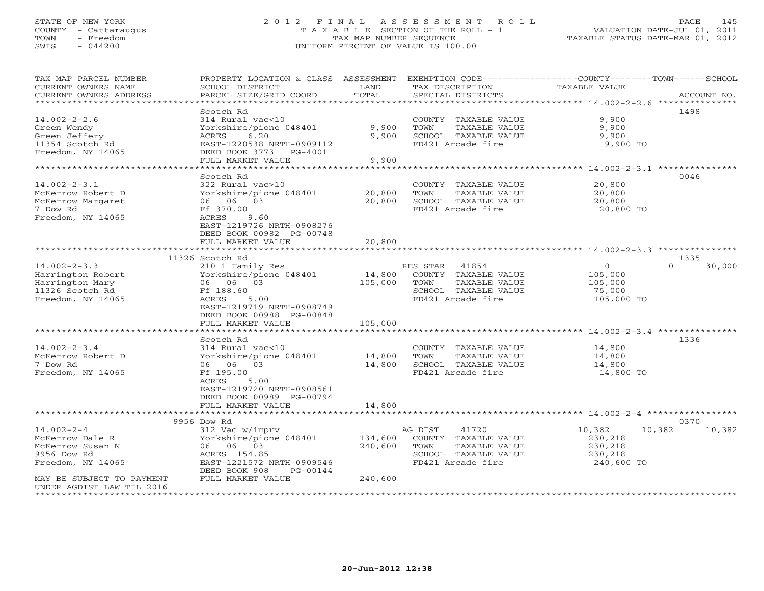## STATE OF NEW YORK 2 0 1 2 F I N A L A S S E S S M E N T R O L L PAGE 145 COUNTY - Cattaraugus T A X A B L E SECTION OF THE ROLL - 1 VALUATION DATE-JUL 01, 2011 TOWN - Freedom TAX MAP NUMBER SEQUENCE TAXABLE STATUS DATE-MAR 01, 2012 SWIS - 044200 UNIFORM PERCENT OF VALUE IS 100.00UNIFORM PERCENT OF VALUE IS 100.00

| TAX MAP PARCEL NUMBER<br>CURRENT OWNERS NAME<br>CURRENT OWNERS ADDRESS | PROPERTY LOCATION & CLASS ASSESSMENT<br>SCHOOL DISTRICT<br>PARCEL SIZE/GRID COORD | LAND<br>TOTAL | TAX DESCRIPTION<br>SPECIAL DISTRICTS          | EXEMPTION CODE-----------------COUNTY-------TOWN------SCHOOL<br>TAXABLE VALUE<br>ACCOUNT NO. |
|------------------------------------------------------------------------|-----------------------------------------------------------------------------------|---------------|-----------------------------------------------|----------------------------------------------------------------------------------------------|
| ******************************                                         |                                                                                   |               |                                               |                                                                                              |
|                                                                        | Scotch Rd                                                                         |               |                                               | 1498                                                                                         |
| $14.002 - 2 - 2.6$                                                     | 314 Rural vac<10                                                                  |               | COUNTY TAXABLE VALUE                          | 9,900                                                                                        |
| Green Wendy                                                            | Yorkshire/pione 048401                                                            | 9,900         | TOWN<br>TAXABLE VALUE                         | 9,900                                                                                        |
| Green Jeffery                                                          | 6.20<br>ACRES                                                                     | 9,900         | SCHOOL TAXABLE VALUE                          | 9,900                                                                                        |
| 11354 Scotch Rd                                                        | EAST-1220538 NRTH-0909112                                                         |               | FD421 Arcade fire                             | 9,900 TO                                                                                     |
| Freedom, NY 14065                                                      | DEED BOOK 3773 PG-4001                                                            |               |                                               |                                                                                              |
|                                                                        | FULL MARKET VALUE                                                                 | 9,900         |                                               |                                                                                              |
|                                                                        |                                                                                   |               |                                               |                                                                                              |
|                                                                        | Scotch Rd                                                                         |               |                                               | 0046                                                                                         |
| $14.002 - 2 - 3.1$                                                     | 322 Rural vac>10                                                                  |               | COUNTY TAXABLE VALUE                          | 20,800                                                                                       |
| McKerrow Robert D                                                      | Yorkshire/pione 048401                                                            | 20,800        | TOWN<br>TAXABLE VALUE                         | 20,800                                                                                       |
| McKerrow Margaret                                                      | 06 06 03                                                                          | 20,800        | SCHOOL TAXABLE VALUE                          | 20,800                                                                                       |
| 7 Dow Rd                                                               | Ff 370.00                                                                         |               | FD421 Arcade fire                             | 20,800 TO                                                                                    |
| Freedom, NY 14065                                                      | ACRES<br>9.60<br>EAST-1219726 NRTH-0908276                                        |               |                                               |                                                                                              |
|                                                                        | DEED BOOK 00982 PG-00748                                                          |               |                                               |                                                                                              |
|                                                                        | FULL MARKET VALUE                                                                 | 20,800        |                                               |                                                                                              |
|                                                                        | *************************                                                         | ************  |                                               |                                                                                              |
|                                                                        | 11326 Scotch Rd                                                                   |               |                                               | 1335                                                                                         |
| $14.002 - 2 - 3.3$                                                     | 210 1 Family Res                                                                  |               | RES STAR<br>41854                             | $\circ$<br>$\Omega$<br>30,000                                                                |
| Harrington Robert                                                      | Yorkshire/pione 048401                                                            | 14,800        | COUNTY TAXABLE VALUE                          | 105,000                                                                                      |
| Harrington Mary                                                        | 06 06 03                                                                          | 105,000       | TAXABLE VALUE<br>TOWN                         | 105,000                                                                                      |
| 11326 Scotch Rd                                                        | Ff 188.60                                                                         |               | SCHOOL TAXABLE VALUE                          | 75,000                                                                                       |
| Freedom, NY 14065                                                      | ACRES<br>5.00                                                                     |               | FD421 Arcade fire                             | 105,000 TO                                                                                   |
|                                                                        | EAST-1219719 NRTH-0908749                                                         |               |                                               |                                                                                              |
|                                                                        | DEED BOOK 00988 PG-00848                                                          |               |                                               |                                                                                              |
|                                                                        | FULL MARKET VALUE                                                                 | 105,000       |                                               |                                                                                              |
|                                                                        |                                                                                   |               |                                               |                                                                                              |
|                                                                        | Scotch Rd                                                                         |               |                                               | 1336                                                                                         |
| $14.002 - 2 - 3.4$                                                     | 314 Rural vac<10                                                                  |               | COUNTY TAXABLE VALUE                          | 14,800                                                                                       |
| McKerrow Robert D                                                      | Yorkshire/pione 048401                                                            | 14,800        | TOWN<br>TAXABLE VALUE                         | 14,800                                                                                       |
| 7 Dow Rd                                                               | 06 06 03                                                                          | 14,800        | SCHOOL TAXABLE VALUE                          | 14,800                                                                                       |
| Freedom, NY 14065                                                      | Ff 195.00                                                                         |               | FD421 Arcade fire                             | 14,800 TO                                                                                    |
|                                                                        | ACRES<br>5.00                                                                     |               |                                               |                                                                                              |
|                                                                        | EAST-1219720 NRTH-0908561                                                         |               |                                               |                                                                                              |
|                                                                        | DEED BOOK 00989 PG-00794                                                          |               |                                               |                                                                                              |
|                                                                        | FULL MARKET VALUE                                                                 | 14,800        |                                               |                                                                                              |
|                                                                        | *****************                                                                 |               |                                               | *********************************** 14.002-2-4 ***********                                   |
|                                                                        | 9956 Dow Rd                                                                       |               |                                               | 0370                                                                                         |
| $14.002 - 2 - 4$                                                       | 312 Vac w/imprv                                                                   |               | AG DIST<br>41720                              | 10,382<br>10,382<br>10,382                                                                   |
| McKerrow Dale R                                                        | Yorkshire/pione 048401                                                            | 134,600       | COUNTY TAXABLE VALUE                          | 230,218                                                                                      |
| McKerrow Susan N<br>9956 Dow Rd                                        | 06 06 03<br>ACRES 154.85                                                          | 240,600       | TOWN<br>TAXABLE VALUE<br>SCHOOL TAXABLE VALUE | 230,218<br>230,218                                                                           |
| Freedom, NY 14065                                                      | EAST-1221572 NRTH-0909546                                                         |               | FD421 Arcade fire                             | 240,600 TO                                                                                   |
|                                                                        | DEED BOOK 908<br>PG-00144                                                         |               |                                               |                                                                                              |
| MAY BE SUBJECT TO PAYMENT                                              | FULL MARKET VALUE                                                                 | 240,600       |                                               |                                                                                              |
| UNDER AGDIST LAW TIL 2016                                              |                                                                                   |               |                                               |                                                                                              |
|                                                                        |                                                                                   |               |                                               |                                                                                              |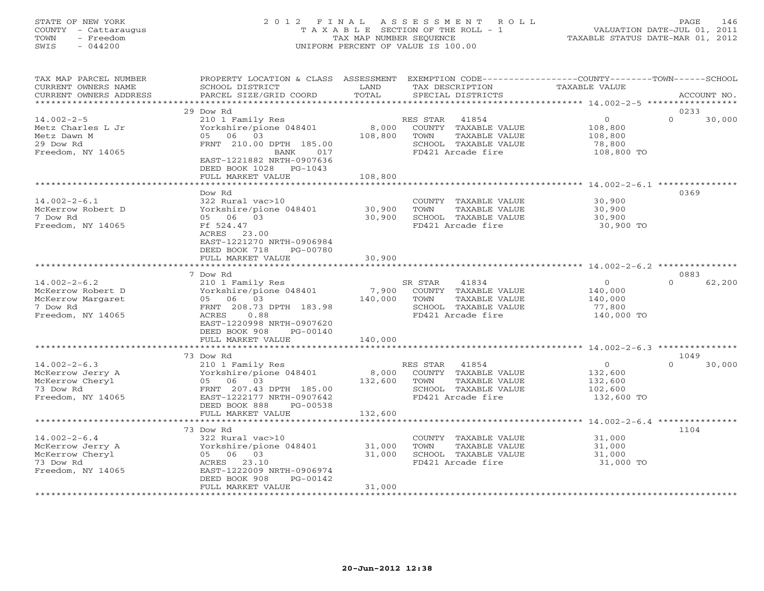# STATE OF NEW YORK 2 0 1 2 F I N A L A S S E S S M E N T R O L L PAGE 146 COUNTY - Cattaraugus T A X A B L E SECTION OF THE ROLL - 1 VALUATION DATE-JUL 01, 2011 TOWN - Freedom TAX MAP NUMBER SEQUENCE TAXABLE STATUS DATE-MAR 01, 2012 SWIS - 044200 UNIFORM PERCENT OF VALUE IS 100.00UNIFORM PERCENT OF VALUE IS 100.00

| TAX MAP PARCEL NUMBER<br>CURRENT OWNERS NAME<br>CURRENT OWNERS ADDRESS                        | PROPERTY LOCATION & CLASS ASSESSMENT EXEMPTION CODE---------------COUNTY-------TOWN-----SCHOOL<br>SCHOOL DISTRICT<br>PARCEL SIZE/GRID COORD                                       | LAND<br>TOTAL           | TAX DESCRIPTION<br>SPECIAL DISTRICTS                                                                               | TAXABLE VALUE                                                 | ACCOUNT NO.                |
|-----------------------------------------------------------------------------------------------|-----------------------------------------------------------------------------------------------------------------------------------------------------------------------------------|-------------------------|--------------------------------------------------------------------------------------------------------------------|---------------------------------------------------------------|----------------------------|
| ***************************                                                                   |                                                                                                                                                                                   |                         |                                                                                                                    |                                                               |                            |
| $14.002 - 2 - 5$<br>Metz Charles L Jr<br>Metz Dawn M<br>29 Dow Rd<br>Freedom, NY 14065        | 29 Dow Rd<br>210 1 Family Res<br>Yorkshire/pione 048401<br>05 06 03<br>FRNT 210.00 DPTH 185.00<br>BANK 017<br>EAST-1221882 NRTH-0907636<br>DEED BOOK 1028 PG-1043                 | 108,800                 | RES STAR 41854<br>8,000 COUNTY TAXABLE VALUE<br>TOWN<br>TAXABLE VALUE<br>SCHOOL TAXABLE VALUE<br>FD421 Arcade fire | $\circ$<br>108,800<br>108,800<br>78,800<br>108,800 TO         | 0233<br>$\Omega$<br>30,000 |
|                                                                                               | FULL MARKET VALUE                                                                                                                                                                 | 108,800                 |                                                                                                                    |                                                               |                            |
| $14.002 - 2 - 6.1$<br>McKerrow Robert D<br>7 Dow Rd<br>Freedom, NY 14065                      | Dow Rd<br>322 Rural vac>10<br>Yorkshire/pione 048401<br>05 06 03<br>Ff 524.47<br>ACRES 23.00<br>EAST-1221270 NRTH-0906984<br>DEED BOOK 718<br>PG-00780                            | 30,900<br>30,900        | COUNTY TAXABLE VALUE<br>TOWN<br>TAXABLE VALUE<br>SCHOOL TAXABLE VALUE<br>FD421 Arcade fire                         | 30,900<br>30,900<br>30,900<br>30,900 TO                       | 0369                       |
|                                                                                               | FULL MARKET VALUE                                                                                                                                                                 | 30,900                  |                                                                                                                    |                                                               |                            |
|                                                                                               | 7 Dow Rd                                                                                                                                                                          |                         |                                                                                                                    |                                                               | 0883                       |
| $14.002 - 2 - 6.2$<br>McKerrow Robert D<br>McKerrow Margaret<br>7 Dow Rd<br>Freedom, NY 14065 | 210 1 Family Res<br>Yorkshire/pione 048401<br>05 06 03<br>FRNT 208.73 DPTH 183.98<br>0.88<br>ACRES<br>EAST-1220998 NRTH-0907620<br>DEED BOOK 908<br>PG-00140<br>FULL MARKET VALUE | 140,000 TOWN<br>140,000 | SR STAR<br>41834<br>7,900 COUNTY TAXABLE VALUE<br>TAXABLE VALUE<br>SCHOOL TAXABLE VALUE<br>FD421 Arcade fire       | $\overline{0}$<br>140,000<br>140,000<br>77,800<br>140,000 TO  | $\Omega$<br>62,200         |
|                                                                                               |                                                                                                                                                                                   |                         |                                                                                                                    |                                                               |                            |
|                                                                                               | 73 Dow Rd                                                                                                                                                                         |                         |                                                                                                                    |                                                               | 1049                       |
| $14.002 - 2 - 6.3$<br>McKerrow Jerry A<br>McKerrow Cheryl<br>73 Dow Rd<br>Freedom, NY 14065   | 210 1 Family Res<br>Yorkshire/pione 048401<br>05 06 03<br>FRNT 207.43 DPTH 185.00<br>EAST-1222177 NRTH-0907642<br>DEED BOOK 888<br>PG-00538<br>FULL MARKET VALUE                  | 132,600<br>132,600      | RES STAR 41854<br>8,000 COUNTY TAXABLE VALUE<br>TAXABLE VALUE<br>TOWN<br>SCHOOL TAXABLE VALUE<br>FD421 Arcade fire | $\overline{0}$<br>132,600<br>132,600<br>102,600<br>132,600 TO | $\Omega$<br>30,000         |
|                                                                                               |                                                                                                                                                                                   |                         |                                                                                                                    |                                                               |                            |
|                                                                                               | 73 Dow Rd                                                                                                                                                                         |                         |                                                                                                                    |                                                               | 1104                       |
| $14.002 - 2 - 6.4$<br>McKerrow Jerry A<br>McKerrow Cheryl<br>73 Dow Rd<br>Freedom, NY 14065   | 322 Rural vac>10<br>Yorkshire/pione 048401<br>05 06 03<br>ACRES 23.10<br>EAST-1222009 NRTH-0906974<br>DEED BOOK 908<br>PG-00142                                                   | 31,000<br>31,000        | COUNTY TAXABLE VALUE<br>TOWN<br>TAXABLE VALUE<br>SCHOOL TAXABLE VALUE<br>FD421 Arcade fire                         | 31,000<br>31,000<br>31,000<br>31,000 TO                       |                            |
|                                                                                               | FULL MARKET VALUE                                                                                                                                                                 | 31,000                  |                                                                                                                    |                                                               |                            |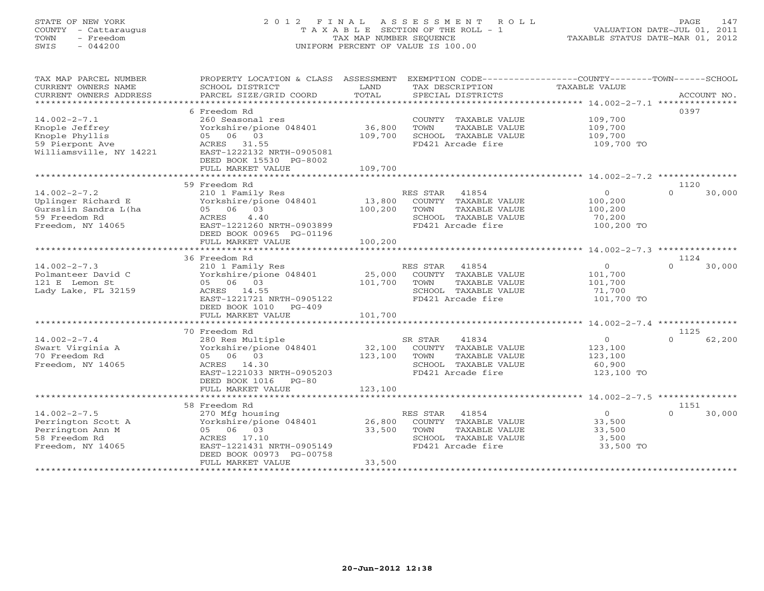# STATE OF NEW YORK 2 0 1 2 F I N A L A S S E S S M E N T R O L L PAGE 147 COUNTY - Cattaraugus T A X A B L E SECTION OF THE ROLL - 1 VALUATION DATE-JUL 01, 2011 TOWN - Freedom TAX MAP NUMBER SEQUENCE TAXABLE STATUS DATE-MAR 01, 2012 SWIS - 044200 UNIFORM PERCENT OF VALUE IS 100.00UNIFORM PERCENT OF VALUE IS 100.00

| ********************<br>6 Freedom Rd<br>0397<br>$14.002 - 2 - 7.1$<br>109,700<br>260 Seasonal res<br>COUNTY TAXABLE VALUE<br>36,800<br>Knople Jeffrey<br>Yorkshire/pione 048401<br>TOWN<br>TAXABLE VALUE<br>109,700<br>05 06 03<br>Knople Phyllis<br>109,700<br>SCHOOL TAXABLE VALUE<br>109,700<br>59 Pierpont Ave<br>ACRES 31.55<br>FD421 Arcade fire<br>109,700 TO<br>Williamsville, NY 14221<br>EAST-1222132 NRTH-0905081<br>DEED BOOK 15530 PG-8002<br>109,700<br>FULL MARKET VALUE<br>59 Freedom Rd<br>1120<br>$14.002 - 2 - 7.2$<br>210 1 Family Res<br>RES STAR<br>41854<br>$\overline{O}$<br>$\Omega$<br>30,000<br>13,800<br>Uplinger Richard E<br>Yorkshire/pione 048401<br>COUNTY TAXABLE VALUE<br>100,200<br>Gursslin Sandra L(ha<br>05 06 03<br>100,200<br>TOWN<br>TAXABLE VALUE<br>100,200<br>59 Freedom Rd<br>4.40<br>SCHOOL TAXABLE VALUE<br>ACRES<br>70,200<br>EAST-1221260 NRTH-0903899<br>Freedom, NY 14065<br>FD421 Arcade fire<br>100,200 TO<br>DEED BOOK 00965 PG-01196<br>100,200<br>FULL MARKET VALUE<br>**********<br>************************ 14.002-2-7.3 ***************<br>1124<br>36 Freedom Rd<br>$14.002 - 2 - 7.3$<br>RES STAR<br>41854<br>$\mathbf{O}$<br>30,000<br>210 1 Family Res<br>$\Omega$<br>25,000<br>Yorkshire/pione 048401<br>COUNTY TAXABLE VALUE<br>101,700<br>Polmanteer David C<br>101,700<br>121 E Lemon St<br>05 06 03<br>TOWN<br>TAXABLE VALUE<br>101,700<br>Lady Lake, FL 32159<br>ACRES 14.55<br>SCHOOL TAXABLE VALUE<br>71,700<br>EAST-1221721 NRTH-0905122<br>FD421 Arcade fire<br>101,700 TO<br>DEED BOOK 1010<br>$PG-409$<br>FULL MARKET VALUE<br>101,700<br>*********************<br>70 Freedom Rd<br>1125<br>$14.002 - 2 - 7.4$<br>280 Res Multiple<br>41834<br>$\mathbf{O}$<br>62,200<br>SR STAR<br>$\cap$<br>32,100<br>Swart Virginia A<br>Yorkshire/pione 048401<br>COUNTY TAXABLE VALUE<br>123,100<br>70 Freedom Rd<br>05 06 03<br>123,100<br>TOWN<br>TAXABLE VALUE<br>123,100<br>Freedom, NY 14065<br>ACRES 14.30<br>SCHOOL TAXABLE VALUE<br>60,900<br>EAST-1221033 NRTH-0905203<br>FD421 Arcade fire<br>123,100 TO<br>DEED BOOK 1016<br>$PG-80$<br>123,100<br>FULL MARKET VALUE<br>58 Freedom Rd<br>1151<br>$14.002 - 2 - 7.5$<br>RES STAR 41854<br>$\overline{O}$<br>$\cap$<br>270 Mfg housing<br>30,000<br>Yorkshire/pione 048401<br>26,800<br>COUNTY TAXABLE VALUE<br>33,500<br>Perrington Scott A<br>05 06 03<br>33,500<br>TOWN<br>TAXABLE VALUE<br>33,500<br>Perrington Ann M<br>SCHOOL TAXABLE VALUE<br>58 Freedom Rd<br>ACRES 17.10<br>3,500<br>Freedom, NY 14065<br>EAST-1221431 NRTH-0905149<br>FD421 Arcade fire<br>33,500 TO<br>DEED BOOK 00973 PG-00758<br>33,500<br>FULL MARKET VALUE | TAX MAP PARCEL NUMBER<br>CURRENT OWNERS NAME<br>CURRENT OWNERS ADDRESS | PROPERTY LOCATION & CLASS<br>SCHOOL DISTRICT<br>PARCEL SIZE/GRID COORD | ASSESSMENT<br>LAND<br>TOTAL | EXEMPTION CODE-----------------COUNTY-------TOWN------SCHOOL<br>TAX DESCRIPTION<br>SPECIAL DISTRICTS | <b>TAXABLE VALUE</b> | ACCOUNT NO. |
|--------------------------------------------------------------------------------------------------------------------------------------------------------------------------------------------------------------------------------------------------------------------------------------------------------------------------------------------------------------------------------------------------------------------------------------------------------------------------------------------------------------------------------------------------------------------------------------------------------------------------------------------------------------------------------------------------------------------------------------------------------------------------------------------------------------------------------------------------------------------------------------------------------------------------------------------------------------------------------------------------------------------------------------------------------------------------------------------------------------------------------------------------------------------------------------------------------------------------------------------------------------------------------------------------------------------------------------------------------------------------------------------------------------------------------------------------------------------------------------------------------------------------------------------------------------------------------------------------------------------------------------------------------------------------------------------------------------------------------------------------------------------------------------------------------------------------------------------------------------------------------------------------------------------------------------------------------------------------------------------------------------------------------------------------------------------------------------------------------------------------------------------------------------------------------------------------------------------------------------------------------------------------------------------------------------------------------------------------------------------------------------------------------------------------------------------------------------------------------------------------------------------------------------------------------------------------------------------------------------------------------------------------------------------|------------------------------------------------------------------------|------------------------------------------------------------------------|-----------------------------|------------------------------------------------------------------------------------------------------|----------------------|-------------|
|                                                                                                                                                                                                                                                                                                                                                                                                                                                                                                                                                                                                                                                                                                                                                                                                                                                                                                                                                                                                                                                                                                                                                                                                                                                                                                                                                                                                                                                                                                                                                                                                                                                                                                                                                                                                                                                                                                                                                                                                                                                                                                                                                                                                                                                                                                                                                                                                                                                                                                                                                                                                                                                                    |                                                                        |                                                                        |                             |                                                                                                      |                      |             |
|                                                                                                                                                                                                                                                                                                                                                                                                                                                                                                                                                                                                                                                                                                                                                                                                                                                                                                                                                                                                                                                                                                                                                                                                                                                                                                                                                                                                                                                                                                                                                                                                                                                                                                                                                                                                                                                                                                                                                                                                                                                                                                                                                                                                                                                                                                                                                                                                                                                                                                                                                                                                                                                                    |                                                                        |                                                                        |                             |                                                                                                      |                      |             |
|                                                                                                                                                                                                                                                                                                                                                                                                                                                                                                                                                                                                                                                                                                                                                                                                                                                                                                                                                                                                                                                                                                                                                                                                                                                                                                                                                                                                                                                                                                                                                                                                                                                                                                                                                                                                                                                                                                                                                                                                                                                                                                                                                                                                                                                                                                                                                                                                                                                                                                                                                                                                                                                                    |                                                                        |                                                                        |                             |                                                                                                      |                      |             |
|                                                                                                                                                                                                                                                                                                                                                                                                                                                                                                                                                                                                                                                                                                                                                                                                                                                                                                                                                                                                                                                                                                                                                                                                                                                                                                                                                                                                                                                                                                                                                                                                                                                                                                                                                                                                                                                                                                                                                                                                                                                                                                                                                                                                                                                                                                                                                                                                                                                                                                                                                                                                                                                                    |                                                                        |                                                                        |                             |                                                                                                      |                      |             |
|                                                                                                                                                                                                                                                                                                                                                                                                                                                                                                                                                                                                                                                                                                                                                                                                                                                                                                                                                                                                                                                                                                                                                                                                                                                                                                                                                                                                                                                                                                                                                                                                                                                                                                                                                                                                                                                                                                                                                                                                                                                                                                                                                                                                                                                                                                                                                                                                                                                                                                                                                                                                                                                                    |                                                                        |                                                                        |                             |                                                                                                      |                      |             |
|                                                                                                                                                                                                                                                                                                                                                                                                                                                                                                                                                                                                                                                                                                                                                                                                                                                                                                                                                                                                                                                                                                                                                                                                                                                                                                                                                                                                                                                                                                                                                                                                                                                                                                                                                                                                                                                                                                                                                                                                                                                                                                                                                                                                                                                                                                                                                                                                                                                                                                                                                                                                                                                                    |                                                                        |                                                                        |                             |                                                                                                      |                      |             |
|                                                                                                                                                                                                                                                                                                                                                                                                                                                                                                                                                                                                                                                                                                                                                                                                                                                                                                                                                                                                                                                                                                                                                                                                                                                                                                                                                                                                                                                                                                                                                                                                                                                                                                                                                                                                                                                                                                                                                                                                                                                                                                                                                                                                                                                                                                                                                                                                                                                                                                                                                                                                                                                                    |                                                                        |                                                                        |                             |                                                                                                      |                      |             |
|                                                                                                                                                                                                                                                                                                                                                                                                                                                                                                                                                                                                                                                                                                                                                                                                                                                                                                                                                                                                                                                                                                                                                                                                                                                                                                                                                                                                                                                                                                                                                                                                                                                                                                                                                                                                                                                                                                                                                                                                                                                                                                                                                                                                                                                                                                                                                                                                                                                                                                                                                                                                                                                                    |                                                                        |                                                                        |                             |                                                                                                      |                      |             |
|                                                                                                                                                                                                                                                                                                                                                                                                                                                                                                                                                                                                                                                                                                                                                                                                                                                                                                                                                                                                                                                                                                                                                                                                                                                                                                                                                                                                                                                                                                                                                                                                                                                                                                                                                                                                                                                                                                                                                                                                                                                                                                                                                                                                                                                                                                                                                                                                                                                                                                                                                                                                                                                                    |                                                                        |                                                                        |                             |                                                                                                      |                      |             |
|                                                                                                                                                                                                                                                                                                                                                                                                                                                                                                                                                                                                                                                                                                                                                                                                                                                                                                                                                                                                                                                                                                                                                                                                                                                                                                                                                                                                                                                                                                                                                                                                                                                                                                                                                                                                                                                                                                                                                                                                                                                                                                                                                                                                                                                                                                                                                                                                                                                                                                                                                                                                                                                                    |                                                                        |                                                                        |                             |                                                                                                      |                      |             |
|                                                                                                                                                                                                                                                                                                                                                                                                                                                                                                                                                                                                                                                                                                                                                                                                                                                                                                                                                                                                                                                                                                                                                                                                                                                                                                                                                                                                                                                                                                                                                                                                                                                                                                                                                                                                                                                                                                                                                                                                                                                                                                                                                                                                                                                                                                                                                                                                                                                                                                                                                                                                                                                                    |                                                                        |                                                                        |                             |                                                                                                      |                      |             |
|                                                                                                                                                                                                                                                                                                                                                                                                                                                                                                                                                                                                                                                                                                                                                                                                                                                                                                                                                                                                                                                                                                                                                                                                                                                                                                                                                                                                                                                                                                                                                                                                                                                                                                                                                                                                                                                                                                                                                                                                                                                                                                                                                                                                                                                                                                                                                                                                                                                                                                                                                                                                                                                                    |                                                                        |                                                                        |                             |                                                                                                      |                      |             |
|                                                                                                                                                                                                                                                                                                                                                                                                                                                                                                                                                                                                                                                                                                                                                                                                                                                                                                                                                                                                                                                                                                                                                                                                                                                                                                                                                                                                                                                                                                                                                                                                                                                                                                                                                                                                                                                                                                                                                                                                                                                                                                                                                                                                                                                                                                                                                                                                                                                                                                                                                                                                                                                                    |                                                                        |                                                                        |                             |                                                                                                      |                      |             |
|                                                                                                                                                                                                                                                                                                                                                                                                                                                                                                                                                                                                                                                                                                                                                                                                                                                                                                                                                                                                                                                                                                                                                                                                                                                                                                                                                                                                                                                                                                                                                                                                                                                                                                                                                                                                                                                                                                                                                                                                                                                                                                                                                                                                                                                                                                                                                                                                                                                                                                                                                                                                                                                                    |                                                                        |                                                                        |                             |                                                                                                      |                      |             |
|                                                                                                                                                                                                                                                                                                                                                                                                                                                                                                                                                                                                                                                                                                                                                                                                                                                                                                                                                                                                                                                                                                                                                                                                                                                                                                                                                                                                                                                                                                                                                                                                                                                                                                                                                                                                                                                                                                                                                                                                                                                                                                                                                                                                                                                                                                                                                                                                                                                                                                                                                                                                                                                                    |                                                                        |                                                                        |                             |                                                                                                      |                      |             |
|                                                                                                                                                                                                                                                                                                                                                                                                                                                                                                                                                                                                                                                                                                                                                                                                                                                                                                                                                                                                                                                                                                                                                                                                                                                                                                                                                                                                                                                                                                                                                                                                                                                                                                                                                                                                                                                                                                                                                                                                                                                                                                                                                                                                                                                                                                                                                                                                                                                                                                                                                                                                                                                                    |                                                                        |                                                                        |                             |                                                                                                      |                      |             |
|                                                                                                                                                                                                                                                                                                                                                                                                                                                                                                                                                                                                                                                                                                                                                                                                                                                                                                                                                                                                                                                                                                                                                                                                                                                                                                                                                                                                                                                                                                                                                                                                                                                                                                                                                                                                                                                                                                                                                                                                                                                                                                                                                                                                                                                                                                                                                                                                                                                                                                                                                                                                                                                                    |                                                                        |                                                                        |                             |                                                                                                      |                      |             |
|                                                                                                                                                                                                                                                                                                                                                                                                                                                                                                                                                                                                                                                                                                                                                                                                                                                                                                                                                                                                                                                                                                                                                                                                                                                                                                                                                                                                                                                                                                                                                                                                                                                                                                                                                                                                                                                                                                                                                                                                                                                                                                                                                                                                                                                                                                                                                                                                                                                                                                                                                                                                                                                                    |                                                                        |                                                                        |                             |                                                                                                      |                      |             |
|                                                                                                                                                                                                                                                                                                                                                                                                                                                                                                                                                                                                                                                                                                                                                                                                                                                                                                                                                                                                                                                                                                                                                                                                                                                                                                                                                                                                                                                                                                                                                                                                                                                                                                                                                                                                                                                                                                                                                                                                                                                                                                                                                                                                                                                                                                                                                                                                                                                                                                                                                                                                                                                                    |                                                                        |                                                                        |                             |                                                                                                      |                      |             |
|                                                                                                                                                                                                                                                                                                                                                                                                                                                                                                                                                                                                                                                                                                                                                                                                                                                                                                                                                                                                                                                                                                                                                                                                                                                                                                                                                                                                                                                                                                                                                                                                                                                                                                                                                                                                                                                                                                                                                                                                                                                                                                                                                                                                                                                                                                                                                                                                                                                                                                                                                                                                                                                                    |                                                                        |                                                                        |                             |                                                                                                      |                      |             |
|                                                                                                                                                                                                                                                                                                                                                                                                                                                                                                                                                                                                                                                                                                                                                                                                                                                                                                                                                                                                                                                                                                                                                                                                                                                                                                                                                                                                                                                                                                                                                                                                                                                                                                                                                                                                                                                                                                                                                                                                                                                                                                                                                                                                                                                                                                                                                                                                                                                                                                                                                                                                                                                                    |                                                                        |                                                                        |                             |                                                                                                      |                      |             |
|                                                                                                                                                                                                                                                                                                                                                                                                                                                                                                                                                                                                                                                                                                                                                                                                                                                                                                                                                                                                                                                                                                                                                                                                                                                                                                                                                                                                                                                                                                                                                                                                                                                                                                                                                                                                                                                                                                                                                                                                                                                                                                                                                                                                                                                                                                                                                                                                                                                                                                                                                                                                                                                                    |                                                                        |                                                                        |                             |                                                                                                      |                      |             |
|                                                                                                                                                                                                                                                                                                                                                                                                                                                                                                                                                                                                                                                                                                                                                                                                                                                                                                                                                                                                                                                                                                                                                                                                                                                                                                                                                                                                                                                                                                                                                                                                                                                                                                                                                                                                                                                                                                                                                                                                                                                                                                                                                                                                                                                                                                                                                                                                                                                                                                                                                                                                                                                                    |                                                                        |                                                                        |                             |                                                                                                      |                      |             |
|                                                                                                                                                                                                                                                                                                                                                                                                                                                                                                                                                                                                                                                                                                                                                                                                                                                                                                                                                                                                                                                                                                                                                                                                                                                                                                                                                                                                                                                                                                                                                                                                                                                                                                                                                                                                                                                                                                                                                                                                                                                                                                                                                                                                                                                                                                                                                                                                                                                                                                                                                                                                                                                                    |                                                                        |                                                                        |                             |                                                                                                      |                      |             |
|                                                                                                                                                                                                                                                                                                                                                                                                                                                                                                                                                                                                                                                                                                                                                                                                                                                                                                                                                                                                                                                                                                                                                                                                                                                                                                                                                                                                                                                                                                                                                                                                                                                                                                                                                                                                                                                                                                                                                                                                                                                                                                                                                                                                                                                                                                                                                                                                                                                                                                                                                                                                                                                                    |                                                                        |                                                                        |                             |                                                                                                      |                      |             |
|                                                                                                                                                                                                                                                                                                                                                                                                                                                                                                                                                                                                                                                                                                                                                                                                                                                                                                                                                                                                                                                                                                                                                                                                                                                                                                                                                                                                                                                                                                                                                                                                                                                                                                                                                                                                                                                                                                                                                                                                                                                                                                                                                                                                                                                                                                                                                                                                                                                                                                                                                                                                                                                                    |                                                                        |                                                                        |                             |                                                                                                      |                      |             |
|                                                                                                                                                                                                                                                                                                                                                                                                                                                                                                                                                                                                                                                                                                                                                                                                                                                                                                                                                                                                                                                                                                                                                                                                                                                                                                                                                                                                                                                                                                                                                                                                                                                                                                                                                                                                                                                                                                                                                                                                                                                                                                                                                                                                                                                                                                                                                                                                                                                                                                                                                                                                                                                                    |                                                                        |                                                                        |                             |                                                                                                      |                      |             |
|                                                                                                                                                                                                                                                                                                                                                                                                                                                                                                                                                                                                                                                                                                                                                                                                                                                                                                                                                                                                                                                                                                                                                                                                                                                                                                                                                                                                                                                                                                                                                                                                                                                                                                                                                                                                                                                                                                                                                                                                                                                                                                                                                                                                                                                                                                                                                                                                                                                                                                                                                                                                                                                                    |                                                                        |                                                                        |                             |                                                                                                      |                      |             |
|                                                                                                                                                                                                                                                                                                                                                                                                                                                                                                                                                                                                                                                                                                                                                                                                                                                                                                                                                                                                                                                                                                                                                                                                                                                                                                                                                                                                                                                                                                                                                                                                                                                                                                                                                                                                                                                                                                                                                                                                                                                                                                                                                                                                                                                                                                                                                                                                                                                                                                                                                                                                                                                                    |                                                                        |                                                                        |                             |                                                                                                      |                      |             |
|                                                                                                                                                                                                                                                                                                                                                                                                                                                                                                                                                                                                                                                                                                                                                                                                                                                                                                                                                                                                                                                                                                                                                                                                                                                                                                                                                                                                                                                                                                                                                                                                                                                                                                                                                                                                                                                                                                                                                                                                                                                                                                                                                                                                                                                                                                                                                                                                                                                                                                                                                                                                                                                                    |                                                                        |                                                                        |                             |                                                                                                      |                      |             |
|                                                                                                                                                                                                                                                                                                                                                                                                                                                                                                                                                                                                                                                                                                                                                                                                                                                                                                                                                                                                                                                                                                                                                                                                                                                                                                                                                                                                                                                                                                                                                                                                                                                                                                                                                                                                                                                                                                                                                                                                                                                                                                                                                                                                                                                                                                                                                                                                                                                                                                                                                                                                                                                                    |                                                                        |                                                                        |                             |                                                                                                      |                      |             |
|                                                                                                                                                                                                                                                                                                                                                                                                                                                                                                                                                                                                                                                                                                                                                                                                                                                                                                                                                                                                                                                                                                                                                                                                                                                                                                                                                                                                                                                                                                                                                                                                                                                                                                                                                                                                                                                                                                                                                                                                                                                                                                                                                                                                                                                                                                                                                                                                                                                                                                                                                                                                                                                                    |                                                                        |                                                                        |                             |                                                                                                      |                      |             |
|                                                                                                                                                                                                                                                                                                                                                                                                                                                                                                                                                                                                                                                                                                                                                                                                                                                                                                                                                                                                                                                                                                                                                                                                                                                                                                                                                                                                                                                                                                                                                                                                                                                                                                                                                                                                                                                                                                                                                                                                                                                                                                                                                                                                                                                                                                                                                                                                                                                                                                                                                                                                                                                                    |                                                                        |                                                                        |                             |                                                                                                      |                      |             |
|                                                                                                                                                                                                                                                                                                                                                                                                                                                                                                                                                                                                                                                                                                                                                                                                                                                                                                                                                                                                                                                                                                                                                                                                                                                                                                                                                                                                                                                                                                                                                                                                                                                                                                                                                                                                                                                                                                                                                                                                                                                                                                                                                                                                                                                                                                                                                                                                                                                                                                                                                                                                                                                                    |                                                                        |                                                                        |                             |                                                                                                      |                      |             |
|                                                                                                                                                                                                                                                                                                                                                                                                                                                                                                                                                                                                                                                                                                                                                                                                                                                                                                                                                                                                                                                                                                                                                                                                                                                                                                                                                                                                                                                                                                                                                                                                                                                                                                                                                                                                                                                                                                                                                                                                                                                                                                                                                                                                                                                                                                                                                                                                                                                                                                                                                                                                                                                                    |                                                                        |                                                                        |                             |                                                                                                      |                      |             |
|                                                                                                                                                                                                                                                                                                                                                                                                                                                                                                                                                                                                                                                                                                                                                                                                                                                                                                                                                                                                                                                                                                                                                                                                                                                                                                                                                                                                                                                                                                                                                                                                                                                                                                                                                                                                                                                                                                                                                                                                                                                                                                                                                                                                                                                                                                                                                                                                                                                                                                                                                                                                                                                                    |                                                                        |                                                                        |                             |                                                                                                      |                      |             |
|                                                                                                                                                                                                                                                                                                                                                                                                                                                                                                                                                                                                                                                                                                                                                                                                                                                                                                                                                                                                                                                                                                                                                                                                                                                                                                                                                                                                                                                                                                                                                                                                                                                                                                                                                                                                                                                                                                                                                                                                                                                                                                                                                                                                                                                                                                                                                                                                                                                                                                                                                                                                                                                                    |                                                                        |                                                                        |                             |                                                                                                      |                      |             |
|                                                                                                                                                                                                                                                                                                                                                                                                                                                                                                                                                                                                                                                                                                                                                                                                                                                                                                                                                                                                                                                                                                                                                                                                                                                                                                                                                                                                                                                                                                                                                                                                                                                                                                                                                                                                                                                                                                                                                                                                                                                                                                                                                                                                                                                                                                                                                                                                                                                                                                                                                                                                                                                                    |                                                                        |                                                                        |                             |                                                                                                      |                      |             |
|                                                                                                                                                                                                                                                                                                                                                                                                                                                                                                                                                                                                                                                                                                                                                                                                                                                                                                                                                                                                                                                                                                                                                                                                                                                                                                                                                                                                                                                                                                                                                                                                                                                                                                                                                                                                                                                                                                                                                                                                                                                                                                                                                                                                                                                                                                                                                                                                                                                                                                                                                                                                                                                                    |                                                                        |                                                                        |                             |                                                                                                      |                      |             |
|                                                                                                                                                                                                                                                                                                                                                                                                                                                                                                                                                                                                                                                                                                                                                                                                                                                                                                                                                                                                                                                                                                                                                                                                                                                                                                                                                                                                                                                                                                                                                                                                                                                                                                                                                                                                                                                                                                                                                                                                                                                                                                                                                                                                                                                                                                                                                                                                                                                                                                                                                                                                                                                                    |                                                                        |                                                                        |                             |                                                                                                      |                      |             |
|                                                                                                                                                                                                                                                                                                                                                                                                                                                                                                                                                                                                                                                                                                                                                                                                                                                                                                                                                                                                                                                                                                                                                                                                                                                                                                                                                                                                                                                                                                                                                                                                                                                                                                                                                                                                                                                                                                                                                                                                                                                                                                                                                                                                                                                                                                                                                                                                                                                                                                                                                                                                                                                                    |                                                                        |                                                                        |                             |                                                                                                      |                      |             |
|                                                                                                                                                                                                                                                                                                                                                                                                                                                                                                                                                                                                                                                                                                                                                                                                                                                                                                                                                                                                                                                                                                                                                                                                                                                                                                                                                                                                                                                                                                                                                                                                                                                                                                                                                                                                                                                                                                                                                                                                                                                                                                                                                                                                                                                                                                                                                                                                                                                                                                                                                                                                                                                                    |                                                                        |                                                                        |                             |                                                                                                      |                      |             |
|                                                                                                                                                                                                                                                                                                                                                                                                                                                                                                                                                                                                                                                                                                                                                                                                                                                                                                                                                                                                                                                                                                                                                                                                                                                                                                                                                                                                                                                                                                                                                                                                                                                                                                                                                                                                                                                                                                                                                                                                                                                                                                                                                                                                                                                                                                                                                                                                                                                                                                                                                                                                                                                                    |                                                                        |                                                                        |                             |                                                                                                      |                      |             |
|                                                                                                                                                                                                                                                                                                                                                                                                                                                                                                                                                                                                                                                                                                                                                                                                                                                                                                                                                                                                                                                                                                                                                                                                                                                                                                                                                                                                                                                                                                                                                                                                                                                                                                                                                                                                                                                                                                                                                                                                                                                                                                                                                                                                                                                                                                                                                                                                                                                                                                                                                                                                                                                                    |                                                                        |                                                                        |                             |                                                                                                      |                      |             |
|                                                                                                                                                                                                                                                                                                                                                                                                                                                                                                                                                                                                                                                                                                                                                                                                                                                                                                                                                                                                                                                                                                                                                                                                                                                                                                                                                                                                                                                                                                                                                                                                                                                                                                                                                                                                                                                                                                                                                                                                                                                                                                                                                                                                                                                                                                                                                                                                                                                                                                                                                                                                                                                                    |                                                                        |                                                                        |                             |                                                                                                      |                      |             |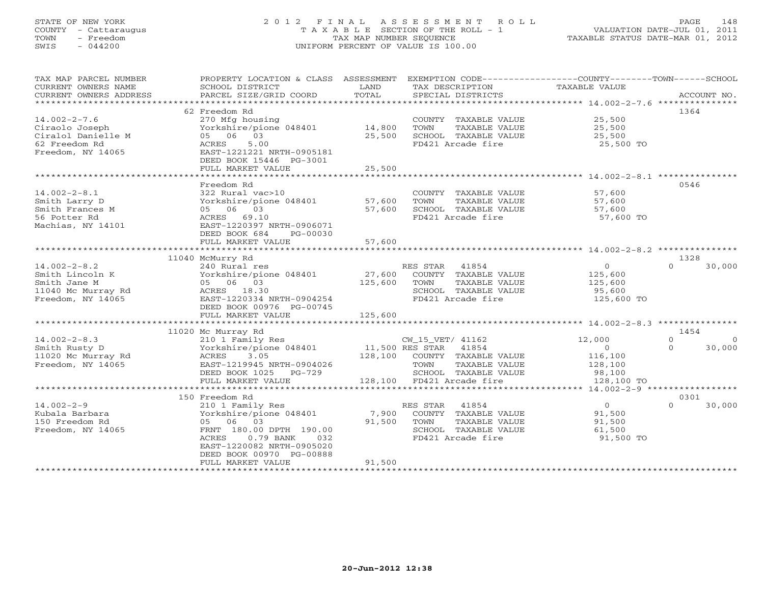# STATE OF NEW YORK 2 0 1 2 F I N A L A S S E S S M E N T R O L L PAGE 148 COUNTY - Cattaraugus T A X A B L E SECTION OF THE ROLL - 1 VALUATION DATE-JUL 01, 2011 TOWN - Freedom TAX MAP NUMBER SEQUENCE TAXABLE STATUS DATE-MAR 01, 2012 SWIS - 044200 UNIFORM PERCENT OF VALUE IS 100.00UNIFORM PERCENT OF VALUE IS 100.00

| 62 Freedom Rd<br>1364<br>25,500<br>$14.002 - 2 - 7.6$<br>270 Mfg housing<br>COUNTY TAXABLE VALUE<br>Yorkshire/pione 048401<br>14,800<br>TOWN<br>25,500<br>Ciraolo Joseph<br>TAXABLE VALUE<br>Ciralol Danielle M<br>05 06 03<br>25,500<br>SCHOOL TAXABLE VALUE<br>25,500<br>62 Freedom Rd<br>5.00<br>FD421 Arcade fire<br>25,500 TO<br>ACRES<br>Freedom, NY 14065<br>EAST-1221221 NRTH-0905181<br>DEED BOOK 15446 PG-3001<br>FULL MARKET VALUE<br>25,500<br>**************************<br>************<br>******************** 14.002-2-8.1 ****************<br>0546<br>Freedom Rd<br>$14.002 - 2 - 8.1$<br>57,600<br>322 Rural vac>10<br>COUNTY TAXABLE VALUE<br>Yorkshire/pione 048401<br>57,600<br>TOWN<br>TAXABLE VALUE<br>57,600<br>Smith Larry D<br>Smith Frances M<br>05 06 03<br>57,600<br>SCHOOL TAXABLE VALUE<br>57,600<br>FD421 Arcade fire<br>56 Potter Rd<br>ACRES 69.10<br>57,600 TO<br>EAST-1220397 NRTH-0906071<br>Machias, NY 14101<br>DEED BOOK 684<br>PG-00030<br>57,600<br>FULL MARKET VALUE<br>***************<br>1328<br>11040 McMurry Rd<br>$14.002 - 2 - 8.2$<br>RES STAR<br>$\overline{O}$<br>240 Rural res<br>41854<br>$\Omega$<br>30,000<br>Smith Lincoln K<br>Yorkshire/pione 048401<br>27,600<br>COUNTY TAXABLE VALUE<br>125,600<br>05 06 03<br>125,600<br>TOWN<br>TAXABLE VALUE<br>125,600<br>Smith Jane M<br>11040 Mc Murray Rd<br>ACRES 18.30<br>SCHOOL TAXABLE VALUE<br>95,600<br>Freedom, NY 14065<br>EAST-1220334 NRTH-0904254<br>FD421 Arcade fire<br>125,600 TO<br>DEED BOOK 00976 PG-00745<br>FULL MARKET VALUE<br>125,600<br>1454<br>11020 Mc Murray Rd<br>$14.002 - 2 - 8.3$<br>12,000<br>$\Omega$<br>210 1 Family Res<br>CW 15 VET/ 41162<br>$\Omega$<br>Yorkshire/pione 048401<br>11,500 RES STAR<br>41854<br>30,000<br>Smith Rusty D<br>$\circ$<br>$\Omega$<br>128,100<br>11020 Mc Murray Rd<br>ACRES<br>3.05<br>COUNTY TAXABLE VALUE<br>116,100<br>Freedom, NY 14065<br>EAST-1219945 NRTH-0904026<br>TOWN<br>TAXABLE VALUE<br>128,100<br>DEED BOOK 1025<br>SCHOOL TAXABLE VALUE<br>98,100<br>PG-729<br>128,100 FD421 Arcade fire<br>FULL MARKET VALUE<br>128,100 TO<br>150 Freedom Rd<br>0301<br>$14.002 - 2 - 9$<br>$\overline{0}$<br>RES STAR<br>41854<br>210 1 Family Res<br>$\Omega$<br>30,000<br>7,900<br>Yorkshire/pione 048401<br>COUNTY TAXABLE VALUE<br>91,500<br>Kubala Barbara<br>91,500<br>150 Freedom Rd<br>05 06 03<br>TOWN<br>TAXABLE VALUE<br>91,500<br>Freedom, NY 14065<br>FRNT 180.00 DPTH 190.00<br>SCHOOL TAXABLE VALUE<br>61,500<br>FD421 Arcade fire<br>ACRES<br>$0.79$ BANK<br>032<br>91,500 TO<br>EAST-1220082 NRTH-0905020<br>DEED BOOK 00970 PG-00888<br>FULL MARKET VALUE<br>91,500 | TAX MAP PARCEL NUMBER<br>CURRENT OWNERS NAME<br>CURRENT OWNERS ADDRESS | PROPERTY LOCATION & CLASS ASSESSMENT<br>SCHOOL DISTRICT<br>PARCEL SIZE/GRID COORD | LAND<br>TOTAL | EXEMPTION CODE-----------------COUNTY-------TOWN------SCHOOL<br>TAX DESCRIPTION<br>SPECIAL DISTRICTS | TAXABLE VALUE | ACCOUNT NO. |
|------------------------------------------------------------------------------------------------------------------------------------------------------------------------------------------------------------------------------------------------------------------------------------------------------------------------------------------------------------------------------------------------------------------------------------------------------------------------------------------------------------------------------------------------------------------------------------------------------------------------------------------------------------------------------------------------------------------------------------------------------------------------------------------------------------------------------------------------------------------------------------------------------------------------------------------------------------------------------------------------------------------------------------------------------------------------------------------------------------------------------------------------------------------------------------------------------------------------------------------------------------------------------------------------------------------------------------------------------------------------------------------------------------------------------------------------------------------------------------------------------------------------------------------------------------------------------------------------------------------------------------------------------------------------------------------------------------------------------------------------------------------------------------------------------------------------------------------------------------------------------------------------------------------------------------------------------------------------------------------------------------------------------------------------------------------------------------------------------------------------------------------------------------------------------------------------------------------------------------------------------------------------------------------------------------------------------------------------------------------------------------------------------------------------------------------------------------------------------------------------------------------------------------------------------------------------------------------------------------------------------------------------------------|------------------------------------------------------------------------|-----------------------------------------------------------------------------------|---------------|------------------------------------------------------------------------------------------------------|---------------|-------------|
|                                                                                                                                                                                                                                                                                                                                                                                                                                                                                                                                                                                                                                                                                                                                                                                                                                                                                                                                                                                                                                                                                                                                                                                                                                                                                                                                                                                                                                                                                                                                                                                                                                                                                                                                                                                                                                                                                                                                                                                                                                                                                                                                                                                                                                                                                                                                                                                                                                                                                                                                                                                                                                                            |                                                                        |                                                                                   |               |                                                                                                      |               |             |
|                                                                                                                                                                                                                                                                                                                                                                                                                                                                                                                                                                                                                                                                                                                                                                                                                                                                                                                                                                                                                                                                                                                                                                                                                                                                                                                                                                                                                                                                                                                                                                                                                                                                                                                                                                                                                                                                                                                                                                                                                                                                                                                                                                                                                                                                                                                                                                                                                                                                                                                                                                                                                                                            |                                                                        |                                                                                   |               |                                                                                                      |               |             |
|                                                                                                                                                                                                                                                                                                                                                                                                                                                                                                                                                                                                                                                                                                                                                                                                                                                                                                                                                                                                                                                                                                                                                                                                                                                                                                                                                                                                                                                                                                                                                                                                                                                                                                                                                                                                                                                                                                                                                                                                                                                                                                                                                                                                                                                                                                                                                                                                                                                                                                                                                                                                                                                            |                                                                        |                                                                                   |               |                                                                                                      |               |             |
|                                                                                                                                                                                                                                                                                                                                                                                                                                                                                                                                                                                                                                                                                                                                                                                                                                                                                                                                                                                                                                                                                                                                                                                                                                                                                                                                                                                                                                                                                                                                                                                                                                                                                                                                                                                                                                                                                                                                                                                                                                                                                                                                                                                                                                                                                                                                                                                                                                                                                                                                                                                                                                                            |                                                                        |                                                                                   |               |                                                                                                      |               |             |
|                                                                                                                                                                                                                                                                                                                                                                                                                                                                                                                                                                                                                                                                                                                                                                                                                                                                                                                                                                                                                                                                                                                                                                                                                                                                                                                                                                                                                                                                                                                                                                                                                                                                                                                                                                                                                                                                                                                                                                                                                                                                                                                                                                                                                                                                                                                                                                                                                                                                                                                                                                                                                                                            |                                                                        |                                                                                   |               |                                                                                                      |               |             |
|                                                                                                                                                                                                                                                                                                                                                                                                                                                                                                                                                                                                                                                                                                                                                                                                                                                                                                                                                                                                                                                                                                                                                                                                                                                                                                                                                                                                                                                                                                                                                                                                                                                                                                                                                                                                                                                                                                                                                                                                                                                                                                                                                                                                                                                                                                                                                                                                                                                                                                                                                                                                                                                            |                                                                        |                                                                                   |               |                                                                                                      |               |             |
|                                                                                                                                                                                                                                                                                                                                                                                                                                                                                                                                                                                                                                                                                                                                                                                                                                                                                                                                                                                                                                                                                                                                                                                                                                                                                                                                                                                                                                                                                                                                                                                                                                                                                                                                                                                                                                                                                                                                                                                                                                                                                                                                                                                                                                                                                                                                                                                                                                                                                                                                                                                                                                                            |                                                                        |                                                                                   |               |                                                                                                      |               |             |
|                                                                                                                                                                                                                                                                                                                                                                                                                                                                                                                                                                                                                                                                                                                                                                                                                                                                                                                                                                                                                                                                                                                                                                                                                                                                                                                                                                                                                                                                                                                                                                                                                                                                                                                                                                                                                                                                                                                                                                                                                                                                                                                                                                                                                                                                                                                                                                                                                                                                                                                                                                                                                                                            |                                                                        |                                                                                   |               |                                                                                                      |               |             |
|                                                                                                                                                                                                                                                                                                                                                                                                                                                                                                                                                                                                                                                                                                                                                                                                                                                                                                                                                                                                                                                                                                                                                                                                                                                                                                                                                                                                                                                                                                                                                                                                                                                                                                                                                                                                                                                                                                                                                                                                                                                                                                                                                                                                                                                                                                                                                                                                                                                                                                                                                                                                                                                            |                                                                        |                                                                                   |               |                                                                                                      |               |             |
|                                                                                                                                                                                                                                                                                                                                                                                                                                                                                                                                                                                                                                                                                                                                                                                                                                                                                                                                                                                                                                                                                                                                                                                                                                                                                                                                                                                                                                                                                                                                                                                                                                                                                                                                                                                                                                                                                                                                                                                                                                                                                                                                                                                                                                                                                                                                                                                                                                                                                                                                                                                                                                                            |                                                                        |                                                                                   |               |                                                                                                      |               |             |
|                                                                                                                                                                                                                                                                                                                                                                                                                                                                                                                                                                                                                                                                                                                                                                                                                                                                                                                                                                                                                                                                                                                                                                                                                                                                                                                                                                                                                                                                                                                                                                                                                                                                                                                                                                                                                                                                                                                                                                                                                                                                                                                                                                                                                                                                                                                                                                                                                                                                                                                                                                                                                                                            |                                                                        |                                                                                   |               |                                                                                                      |               |             |
|                                                                                                                                                                                                                                                                                                                                                                                                                                                                                                                                                                                                                                                                                                                                                                                                                                                                                                                                                                                                                                                                                                                                                                                                                                                                                                                                                                                                                                                                                                                                                                                                                                                                                                                                                                                                                                                                                                                                                                                                                                                                                                                                                                                                                                                                                                                                                                                                                                                                                                                                                                                                                                                            |                                                                        |                                                                                   |               |                                                                                                      |               |             |
|                                                                                                                                                                                                                                                                                                                                                                                                                                                                                                                                                                                                                                                                                                                                                                                                                                                                                                                                                                                                                                                                                                                                                                                                                                                                                                                                                                                                                                                                                                                                                                                                                                                                                                                                                                                                                                                                                                                                                                                                                                                                                                                                                                                                                                                                                                                                                                                                                                                                                                                                                                                                                                                            |                                                                        |                                                                                   |               |                                                                                                      |               |             |
|                                                                                                                                                                                                                                                                                                                                                                                                                                                                                                                                                                                                                                                                                                                                                                                                                                                                                                                                                                                                                                                                                                                                                                                                                                                                                                                                                                                                                                                                                                                                                                                                                                                                                                                                                                                                                                                                                                                                                                                                                                                                                                                                                                                                                                                                                                                                                                                                                                                                                                                                                                                                                                                            |                                                                        |                                                                                   |               |                                                                                                      |               |             |
|                                                                                                                                                                                                                                                                                                                                                                                                                                                                                                                                                                                                                                                                                                                                                                                                                                                                                                                                                                                                                                                                                                                                                                                                                                                                                                                                                                                                                                                                                                                                                                                                                                                                                                                                                                                                                                                                                                                                                                                                                                                                                                                                                                                                                                                                                                                                                                                                                                                                                                                                                                                                                                                            |                                                                        |                                                                                   |               |                                                                                                      |               |             |
|                                                                                                                                                                                                                                                                                                                                                                                                                                                                                                                                                                                                                                                                                                                                                                                                                                                                                                                                                                                                                                                                                                                                                                                                                                                                                                                                                                                                                                                                                                                                                                                                                                                                                                                                                                                                                                                                                                                                                                                                                                                                                                                                                                                                                                                                                                                                                                                                                                                                                                                                                                                                                                                            |                                                                        |                                                                                   |               |                                                                                                      |               |             |
|                                                                                                                                                                                                                                                                                                                                                                                                                                                                                                                                                                                                                                                                                                                                                                                                                                                                                                                                                                                                                                                                                                                                                                                                                                                                                                                                                                                                                                                                                                                                                                                                                                                                                                                                                                                                                                                                                                                                                                                                                                                                                                                                                                                                                                                                                                                                                                                                                                                                                                                                                                                                                                                            |                                                                        |                                                                                   |               |                                                                                                      |               |             |
|                                                                                                                                                                                                                                                                                                                                                                                                                                                                                                                                                                                                                                                                                                                                                                                                                                                                                                                                                                                                                                                                                                                                                                                                                                                                                                                                                                                                                                                                                                                                                                                                                                                                                                                                                                                                                                                                                                                                                                                                                                                                                                                                                                                                                                                                                                                                                                                                                                                                                                                                                                                                                                                            |                                                                        |                                                                                   |               |                                                                                                      |               |             |
|                                                                                                                                                                                                                                                                                                                                                                                                                                                                                                                                                                                                                                                                                                                                                                                                                                                                                                                                                                                                                                                                                                                                                                                                                                                                                                                                                                                                                                                                                                                                                                                                                                                                                                                                                                                                                                                                                                                                                                                                                                                                                                                                                                                                                                                                                                                                                                                                                                                                                                                                                                                                                                                            |                                                                        |                                                                                   |               |                                                                                                      |               |             |
|                                                                                                                                                                                                                                                                                                                                                                                                                                                                                                                                                                                                                                                                                                                                                                                                                                                                                                                                                                                                                                                                                                                                                                                                                                                                                                                                                                                                                                                                                                                                                                                                                                                                                                                                                                                                                                                                                                                                                                                                                                                                                                                                                                                                                                                                                                                                                                                                                                                                                                                                                                                                                                                            |                                                                        |                                                                                   |               |                                                                                                      |               |             |
|                                                                                                                                                                                                                                                                                                                                                                                                                                                                                                                                                                                                                                                                                                                                                                                                                                                                                                                                                                                                                                                                                                                                                                                                                                                                                                                                                                                                                                                                                                                                                                                                                                                                                                                                                                                                                                                                                                                                                                                                                                                                                                                                                                                                                                                                                                                                                                                                                                                                                                                                                                                                                                                            |                                                                        |                                                                                   |               |                                                                                                      |               |             |
|                                                                                                                                                                                                                                                                                                                                                                                                                                                                                                                                                                                                                                                                                                                                                                                                                                                                                                                                                                                                                                                                                                                                                                                                                                                                                                                                                                                                                                                                                                                                                                                                                                                                                                                                                                                                                                                                                                                                                                                                                                                                                                                                                                                                                                                                                                                                                                                                                                                                                                                                                                                                                                                            |                                                                        |                                                                                   |               |                                                                                                      |               |             |
|                                                                                                                                                                                                                                                                                                                                                                                                                                                                                                                                                                                                                                                                                                                                                                                                                                                                                                                                                                                                                                                                                                                                                                                                                                                                                                                                                                                                                                                                                                                                                                                                                                                                                                                                                                                                                                                                                                                                                                                                                                                                                                                                                                                                                                                                                                                                                                                                                                                                                                                                                                                                                                                            |                                                                        |                                                                                   |               |                                                                                                      |               |             |
|                                                                                                                                                                                                                                                                                                                                                                                                                                                                                                                                                                                                                                                                                                                                                                                                                                                                                                                                                                                                                                                                                                                                                                                                                                                                                                                                                                                                                                                                                                                                                                                                                                                                                                                                                                                                                                                                                                                                                                                                                                                                                                                                                                                                                                                                                                                                                                                                                                                                                                                                                                                                                                                            |                                                                        |                                                                                   |               |                                                                                                      |               |             |
|                                                                                                                                                                                                                                                                                                                                                                                                                                                                                                                                                                                                                                                                                                                                                                                                                                                                                                                                                                                                                                                                                                                                                                                                                                                                                                                                                                                                                                                                                                                                                                                                                                                                                                                                                                                                                                                                                                                                                                                                                                                                                                                                                                                                                                                                                                                                                                                                                                                                                                                                                                                                                                                            |                                                                        |                                                                                   |               |                                                                                                      |               |             |
|                                                                                                                                                                                                                                                                                                                                                                                                                                                                                                                                                                                                                                                                                                                                                                                                                                                                                                                                                                                                                                                                                                                                                                                                                                                                                                                                                                                                                                                                                                                                                                                                                                                                                                                                                                                                                                                                                                                                                                                                                                                                                                                                                                                                                                                                                                                                                                                                                                                                                                                                                                                                                                                            |                                                                        |                                                                                   |               |                                                                                                      |               |             |
|                                                                                                                                                                                                                                                                                                                                                                                                                                                                                                                                                                                                                                                                                                                                                                                                                                                                                                                                                                                                                                                                                                                                                                                                                                                                                                                                                                                                                                                                                                                                                                                                                                                                                                                                                                                                                                                                                                                                                                                                                                                                                                                                                                                                                                                                                                                                                                                                                                                                                                                                                                                                                                                            |                                                                        |                                                                                   |               |                                                                                                      |               |             |
|                                                                                                                                                                                                                                                                                                                                                                                                                                                                                                                                                                                                                                                                                                                                                                                                                                                                                                                                                                                                                                                                                                                                                                                                                                                                                                                                                                                                                                                                                                                                                                                                                                                                                                                                                                                                                                                                                                                                                                                                                                                                                                                                                                                                                                                                                                                                                                                                                                                                                                                                                                                                                                                            |                                                                        |                                                                                   |               |                                                                                                      |               |             |
|                                                                                                                                                                                                                                                                                                                                                                                                                                                                                                                                                                                                                                                                                                                                                                                                                                                                                                                                                                                                                                                                                                                                                                                                                                                                                                                                                                                                                                                                                                                                                                                                                                                                                                                                                                                                                                                                                                                                                                                                                                                                                                                                                                                                                                                                                                                                                                                                                                                                                                                                                                                                                                                            |                                                                        |                                                                                   |               |                                                                                                      |               |             |
|                                                                                                                                                                                                                                                                                                                                                                                                                                                                                                                                                                                                                                                                                                                                                                                                                                                                                                                                                                                                                                                                                                                                                                                                                                                                                                                                                                                                                                                                                                                                                                                                                                                                                                                                                                                                                                                                                                                                                                                                                                                                                                                                                                                                                                                                                                                                                                                                                                                                                                                                                                                                                                                            |                                                                        |                                                                                   |               |                                                                                                      |               |             |
|                                                                                                                                                                                                                                                                                                                                                                                                                                                                                                                                                                                                                                                                                                                                                                                                                                                                                                                                                                                                                                                                                                                                                                                                                                                                                                                                                                                                                                                                                                                                                                                                                                                                                                                                                                                                                                                                                                                                                                                                                                                                                                                                                                                                                                                                                                                                                                                                                                                                                                                                                                                                                                                            |                                                                        |                                                                                   |               |                                                                                                      |               |             |
|                                                                                                                                                                                                                                                                                                                                                                                                                                                                                                                                                                                                                                                                                                                                                                                                                                                                                                                                                                                                                                                                                                                                                                                                                                                                                                                                                                                                                                                                                                                                                                                                                                                                                                                                                                                                                                                                                                                                                                                                                                                                                                                                                                                                                                                                                                                                                                                                                                                                                                                                                                                                                                                            |                                                                        |                                                                                   |               |                                                                                                      |               |             |
|                                                                                                                                                                                                                                                                                                                                                                                                                                                                                                                                                                                                                                                                                                                                                                                                                                                                                                                                                                                                                                                                                                                                                                                                                                                                                                                                                                                                                                                                                                                                                                                                                                                                                                                                                                                                                                                                                                                                                                                                                                                                                                                                                                                                                                                                                                                                                                                                                                                                                                                                                                                                                                                            |                                                                        |                                                                                   |               |                                                                                                      |               |             |
|                                                                                                                                                                                                                                                                                                                                                                                                                                                                                                                                                                                                                                                                                                                                                                                                                                                                                                                                                                                                                                                                                                                                                                                                                                                                                                                                                                                                                                                                                                                                                                                                                                                                                                                                                                                                                                                                                                                                                                                                                                                                                                                                                                                                                                                                                                                                                                                                                                                                                                                                                                                                                                                            |                                                                        |                                                                                   |               |                                                                                                      |               |             |
|                                                                                                                                                                                                                                                                                                                                                                                                                                                                                                                                                                                                                                                                                                                                                                                                                                                                                                                                                                                                                                                                                                                                                                                                                                                                                                                                                                                                                                                                                                                                                                                                                                                                                                                                                                                                                                                                                                                                                                                                                                                                                                                                                                                                                                                                                                                                                                                                                                                                                                                                                                                                                                                            |                                                                        |                                                                                   |               |                                                                                                      |               |             |
|                                                                                                                                                                                                                                                                                                                                                                                                                                                                                                                                                                                                                                                                                                                                                                                                                                                                                                                                                                                                                                                                                                                                                                                                                                                                                                                                                                                                                                                                                                                                                                                                                                                                                                                                                                                                                                                                                                                                                                                                                                                                                                                                                                                                                                                                                                                                                                                                                                                                                                                                                                                                                                                            |                                                                        |                                                                                   |               |                                                                                                      |               |             |
|                                                                                                                                                                                                                                                                                                                                                                                                                                                                                                                                                                                                                                                                                                                                                                                                                                                                                                                                                                                                                                                                                                                                                                                                                                                                                                                                                                                                                                                                                                                                                                                                                                                                                                                                                                                                                                                                                                                                                                                                                                                                                                                                                                                                                                                                                                                                                                                                                                                                                                                                                                                                                                                            |                                                                        |                                                                                   |               |                                                                                                      |               |             |
|                                                                                                                                                                                                                                                                                                                                                                                                                                                                                                                                                                                                                                                                                                                                                                                                                                                                                                                                                                                                                                                                                                                                                                                                                                                                                                                                                                                                                                                                                                                                                                                                                                                                                                                                                                                                                                                                                                                                                                                                                                                                                                                                                                                                                                                                                                                                                                                                                                                                                                                                                                                                                                                            |                                                                        |                                                                                   |               |                                                                                                      |               |             |
|                                                                                                                                                                                                                                                                                                                                                                                                                                                                                                                                                                                                                                                                                                                                                                                                                                                                                                                                                                                                                                                                                                                                                                                                                                                                                                                                                                                                                                                                                                                                                                                                                                                                                                                                                                                                                                                                                                                                                                                                                                                                                                                                                                                                                                                                                                                                                                                                                                                                                                                                                                                                                                                            |                                                                        |                                                                                   |               |                                                                                                      |               |             |
|                                                                                                                                                                                                                                                                                                                                                                                                                                                                                                                                                                                                                                                                                                                                                                                                                                                                                                                                                                                                                                                                                                                                                                                                                                                                                                                                                                                                                                                                                                                                                                                                                                                                                                                                                                                                                                                                                                                                                                                                                                                                                                                                                                                                                                                                                                                                                                                                                                                                                                                                                                                                                                                            |                                                                        |                                                                                   |               |                                                                                                      |               |             |
|                                                                                                                                                                                                                                                                                                                                                                                                                                                                                                                                                                                                                                                                                                                                                                                                                                                                                                                                                                                                                                                                                                                                                                                                                                                                                                                                                                                                                                                                                                                                                                                                                                                                                                                                                                                                                                                                                                                                                                                                                                                                                                                                                                                                                                                                                                                                                                                                                                                                                                                                                                                                                                                            |                                                                        |                                                                                   |               |                                                                                                      |               |             |
|                                                                                                                                                                                                                                                                                                                                                                                                                                                                                                                                                                                                                                                                                                                                                                                                                                                                                                                                                                                                                                                                                                                                                                                                                                                                                                                                                                                                                                                                                                                                                                                                                                                                                                                                                                                                                                                                                                                                                                                                                                                                                                                                                                                                                                                                                                                                                                                                                                                                                                                                                                                                                                                            |                                                                        |                                                                                   |               |                                                                                                      |               |             |
|                                                                                                                                                                                                                                                                                                                                                                                                                                                                                                                                                                                                                                                                                                                                                                                                                                                                                                                                                                                                                                                                                                                                                                                                                                                                                                                                                                                                                                                                                                                                                                                                                                                                                                                                                                                                                                                                                                                                                                                                                                                                                                                                                                                                                                                                                                                                                                                                                                                                                                                                                                                                                                                            |                                                                        |                                                                                   |               |                                                                                                      |               |             |
|                                                                                                                                                                                                                                                                                                                                                                                                                                                                                                                                                                                                                                                                                                                                                                                                                                                                                                                                                                                                                                                                                                                                                                                                                                                                                                                                                                                                                                                                                                                                                                                                                                                                                                                                                                                                                                                                                                                                                                                                                                                                                                                                                                                                                                                                                                                                                                                                                                                                                                                                                                                                                                                            |                                                                        |                                                                                   |               |                                                                                                      |               |             |
|                                                                                                                                                                                                                                                                                                                                                                                                                                                                                                                                                                                                                                                                                                                                                                                                                                                                                                                                                                                                                                                                                                                                                                                                                                                                                                                                                                                                                                                                                                                                                                                                                                                                                                                                                                                                                                                                                                                                                                                                                                                                                                                                                                                                                                                                                                                                                                                                                                                                                                                                                                                                                                                            |                                                                        |                                                                                   |               |                                                                                                      |               |             |
|                                                                                                                                                                                                                                                                                                                                                                                                                                                                                                                                                                                                                                                                                                                                                                                                                                                                                                                                                                                                                                                                                                                                                                                                                                                                                                                                                                                                                                                                                                                                                                                                                                                                                                                                                                                                                                                                                                                                                                                                                                                                                                                                                                                                                                                                                                                                                                                                                                                                                                                                                                                                                                                            |                                                                        |                                                                                   |               |                                                                                                      |               |             |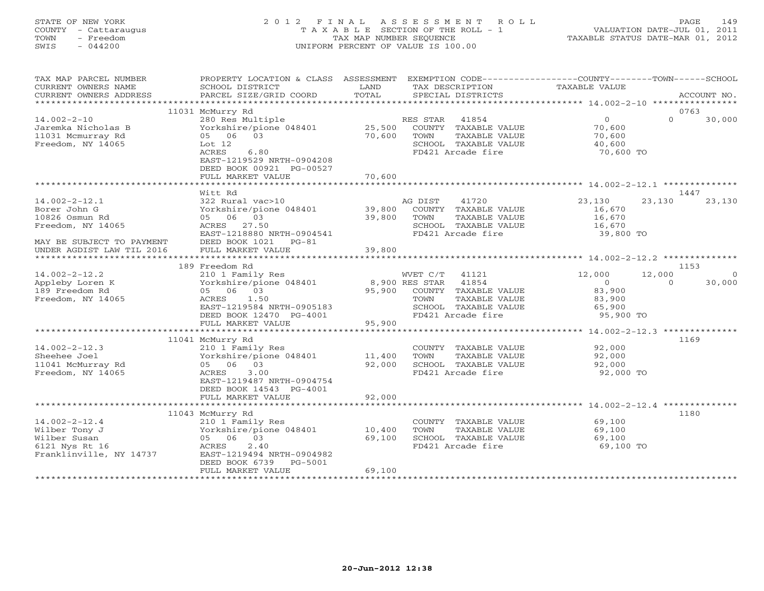# STATE OF NEW YORK 2 0 1 2 F I N A L A S S E S S M E N T R O L L PAGE 149 COUNTY - Cattaraugus T A X A B L E SECTION OF THE ROLL - 1 VALUATION DATE-JUL 01, 2011 TOWN - Freedom TAX MAP NUMBER SEQUENCE TAXABLE STATUS DATE-MAR 01, 2012 SWIS - 044200 UNIFORM PERCENT OF VALUE IS 100.00UNIFORM PERCENT OF VALUE IS 100.00

| TAX MAP PARCEL NUMBER                                                                                                                | PROPERTY LOCATION & CLASS                                                                                                                                           | ASSESSMENT                       | EXEMPTION CODE-----------------COUNTY-------TOWN------SCHOOL                                                          |                                                                                                 |                            |                    |
|--------------------------------------------------------------------------------------------------------------------------------------|---------------------------------------------------------------------------------------------------------------------------------------------------------------------|----------------------------------|-----------------------------------------------------------------------------------------------------------------------|-------------------------------------------------------------------------------------------------|----------------------------|--------------------|
| CURRENT OWNERS NAME<br>CURRENT OWNERS ADDRESS                                                                                        | SCHOOL DISTRICT<br>PARCEL SIZE/GRID COORD                                                                                                                           | LAND<br>TOTAL                    | TAX DESCRIPTION<br>SPECIAL DISTRICTS                                                                                  | TAXABLE VALUE                                                                                   |                            | ACCOUNT NO.        |
| ********************                                                                                                                 |                                                                                                                                                                     |                                  |                                                                                                                       |                                                                                                 |                            |                    |
| $14.002 - 2 - 10$<br>Jaremka Nicholas B<br>11031 Mcmurray Rd<br>Freedom, NY 14065                                                    | 11031 McMurry Rd<br>280 Res Multiple<br>Yorkshire/pione 048401<br>03<br>05 06<br>Lot $12$<br>6.80<br>ACRES<br>EAST-1219529 NRTH-0904208<br>DEED BOOK 00921 PG-00527 | 25,500<br>70,600                 | RES STAR<br>41854<br>COUNTY TAXABLE VALUE<br>TOWN<br>TAXABLE VALUE<br>SCHOOL TAXABLE VALUE<br>FD421 Arcade fire       | $\overline{0}$<br>70,600<br>70,600<br>40,600<br>70,600 TO                                       | 0763<br>$\Omega$           | 30,000             |
|                                                                                                                                      | FULL MARKET VALUE                                                                                                                                                   | 70,600                           |                                                                                                                       |                                                                                                 |                            |                    |
|                                                                                                                                      | Witt Rd                                                                                                                                                             |                                  |                                                                                                                       |                                                                                                 | 1447                       |                    |
| $14.002 - 2 - 12.1$<br>Borer John G<br>10826 Osmun Rd<br>Freedom, NY 14065<br>MAY BE SUBJECT TO PAYMENT<br>UNDER AGDIST LAW TIL 2016 | 322 Rural vac>10<br>Yorkshire/pione 048401<br>05 06 03<br>ACRES<br>27.50<br>EAST-1218880 NRTH-0904541<br>DEED BOOK 1021<br>$PG-81$<br>FULL MARKET VALUE             | 39,800<br>39,800<br>39,800       | 41720<br>AG DIST<br>COUNTY TAXABLE VALUE<br>TOWN<br>TAXABLE VALUE<br>SCHOOL TAXABLE VALUE<br>FD421 Arcade fire        | 23,130<br>16,670<br>16,670<br>16,670<br>39,800 TO                                               | 23,130                     | 23,130             |
|                                                                                                                                      |                                                                                                                                                                     |                                  |                                                                                                                       |                                                                                                 |                            |                    |
| $14.002 - 2 - 12.2$<br>Appleby Loren K<br>189 Freedom Rd<br>Freedom, NY 14065                                                        | 189 Freedom Rd<br>210 1 Family Res<br>Yorkshire/pione 048401<br>05 06 03<br>1.50<br>ACRES<br>EAST-1219584 NRTH-0905183                                              | 95,900                           | WVET C/T<br>41121<br>8,900 RES STAR<br>41854<br>COUNTY TAXABLE VALUE<br>TOWN<br>TAXABLE VALUE<br>SCHOOL TAXABLE VALUE | 12,000<br>$\overline{0}$<br>83,900<br>83,900<br>65,900                                          | 1153<br>12,000<br>$\Omega$ | $\Omega$<br>30,000 |
|                                                                                                                                      | DEED BOOK 12470 PG-4001<br>FULL MARKET VALUE                                                                                                                        | 95,900                           | FD421 Arcade fire                                                                                                     | 95,900 TO                                                                                       |                            |                    |
| $14.002 - 2 - 12.3$<br>Sheehee Joel<br>11041 McMurray Rd<br>Freedom, NY 14065                                                        | ***************************<br>11041 McMurry Rd<br>210 1 Family Res<br>Yorkshire/pione 048401<br>03<br>05 06<br>3.00<br>ACRES<br>EAST-1219487 NRTH-0904754          | ************<br>11,400<br>92,000 | COUNTY TAXABLE VALUE<br>TOWN<br>TAXABLE VALUE<br>SCHOOL TAXABLE VALUE<br>FD421 Arcade fire                            | *********************** 14.002-2-12.3 **************<br>92,000<br>92,000<br>92,000<br>92,000 TO | 1169                       |                    |
|                                                                                                                                      | DEED BOOK 14543 PG-4001<br>FULL MARKET VALUE                                                                                                                        | 92,000                           |                                                                                                                       |                                                                                                 |                            |                    |
|                                                                                                                                      | *************************<br>11043 McMurry Rd                                                                                                                       |                                  |                                                                                                                       |                                                                                                 | 1180                       |                    |
| $14.002 - 2 - 12.4$<br>Wilber Tony J<br>Wilber Susan<br>6121 Nys Rt 16<br>Franklinville, NY 14737                                    | 210 1 Family Res<br>Yorkshire/pione 048401<br>05 06 03<br>2.40<br>ACRES<br>EAST-1219494 NRTH-0904982<br>DEED BOOK 6739<br>PG-5001                                   | 10,400<br>69,100                 | COUNTY TAXABLE VALUE<br>TOWN<br>TAXABLE VALUE<br>SCHOOL TAXABLE VALUE<br>FD421 Arcade fire                            | 69,100<br>69,100<br>69,100<br>69,100 TO                                                         |                            |                    |
|                                                                                                                                      | FULL MARKET VALUE                                                                                                                                                   | 69,100                           |                                                                                                                       |                                                                                                 |                            |                    |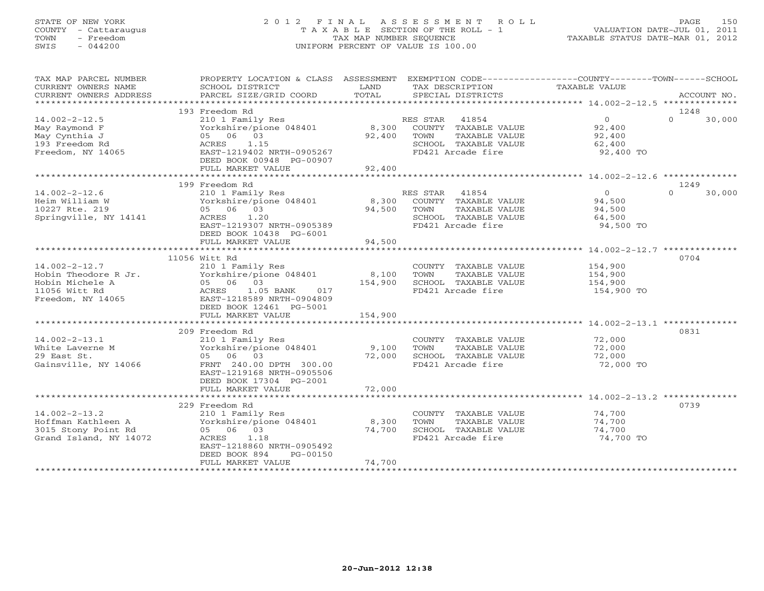# STATE OF NEW YORK 2 0 1 2 F I N A L A S S E S S M E N T R O L L PAGE 150 COUNTY - Cattaraugus T A X A B L E SECTION OF THE ROLL - 1 VALUATION DATE-JUL 01, 2011 TOWN - Freedom TAX MAP NUMBER SEQUENCE TAXABLE STATUS DATE-MAR 01, 2012 SWIS - 044200 UNIFORM PERCENT OF VALUE IS 100.00UNIFORM PERCENT OF VALUE IS 100.00

| TAX MAP PARCEL NUMBER<br>CURRENT OWNERS NAME | PROPERTY LOCATION & CLASS ASSESSMENT EXEMPTION CODE---------------COUNTY-------TOWN------SCHOOL<br>SCHOOL DISTRICT | LAND    | TAX DESCRIPTION                           | TAXABLE VALUE       |                    |
|----------------------------------------------|--------------------------------------------------------------------------------------------------------------------|---------|-------------------------------------------|---------------------|--------------------|
| CURRENT OWNERS ADDRESS                       | PARCEL SIZE/GRID COORD                                                                                             | TOTAL   | SPECIAL DISTRICTS                         |                     | ACCOUNT NO.        |
| *************************                    |                                                                                                                    |         |                                           |                     |                    |
|                                              | 193 Freedom Rd                                                                                                     |         |                                           |                     | 1248               |
| $14.002 - 2 - 12.5$                          | 210 1 Family Res                                                                                                   |         | RES STAR 41854                            | $\overline{0}$      | $\Omega$<br>30,000 |
| May Raymond F                                | Yorkshire/pione 048401                                                                                             | 8,300   | COUNTY TAXABLE VALUE                      | 92,400              |                    |
| May Cynthia J                                | 05 06 03                                                                                                           | 92,400  | TOWN<br>TAXABLE VALUE                     | 92,400              |                    |
| 193 Freedom Rd                               | 1.15<br>ACRES                                                                                                      |         | SCHOOL TAXABLE VALUE                      | 62,400              |                    |
| Freedom, NY 14065                            | EAST-1219402 NRTH-0905267<br>DEED BOOK 00948 PG-00907                                                              |         | FD421 Arcade fire                         | 92,400 TO           |                    |
|                                              | FULL MARKET VALUE                                                                                                  | 92,400  |                                           |                     |                    |
|                                              |                                                                                                                    |         |                                           |                     |                    |
|                                              | 199 Freedom Rd                                                                                                     |         |                                           |                     | 1249               |
| $14.002 - 2 - 12.6$                          | 210 1 Family Res                                                                                                   |         | RES STAR 41854                            | $\Omega$            | $\Omega$<br>30,000 |
| Heim William W                               | Yorkshire/pione 048401                                                                                             |         | 8,300 COUNTY TAXABLE VALUE                | 94,500              |                    |
| 10227 Rte. 219                               | 05 06 03                                                                                                           | 94,500  | TOWN<br>TAXABLE VALUE                     | 94,500              |                    |
| Springville, NY 14141                        | 1.20<br>ACRES                                                                                                      |         | SCHOOL TAXABLE VALUE                      | 64,500              |                    |
|                                              | EAST-1219307 NRTH-0905389                                                                                          |         | FD421 Arcade fire                         | 94,500 TO           |                    |
|                                              | DEED BOOK 10438 PG-6001                                                                                            |         |                                           |                     |                    |
|                                              | FULL MARKET VALUE                                                                                                  | 94,500  |                                           |                     |                    |
|                                              |                                                                                                                    |         |                                           |                     | 0704               |
| $14.002 - 2 - 12.7$                          | 11056 Witt Rd<br>210 1 Family Res                                                                                  |         | COUNTY TAXABLE VALUE                      | 154,900             |                    |
| Hobin Theodore R Jr.                         | Yorkshire/pione 048401                                                                                             | 8,100   | TOWN<br>TAXABLE VALUE                     | 154,900             |                    |
| Hobin Michele A                              | 05 06 03                                                                                                           | 154,900 | SCHOOL TAXABLE VALUE                      | 154,900             |                    |
| 11056 Witt Rd                                | ACRES<br>1.05 BANK<br>017                                                                                          |         | FD421 Arcade fire                         | 154,900 TO          |                    |
| Freedom, NY 14065                            | EAST-1218589 NRTH-0904809                                                                                          |         |                                           |                     |                    |
|                                              | DEED BOOK 12461 PG-5001                                                                                            |         |                                           |                     |                    |
|                                              | FULL MARKET VALUE                                                                                                  | 154,900 |                                           |                     |                    |
|                                              |                                                                                                                    |         |                                           |                     |                    |
|                                              | 209 Freedom Rd                                                                                                     |         |                                           |                     | 0831               |
| $14.002 - 2 - 13.1$                          | 210 1 Family Res                                                                                                   |         | COUNTY TAXABLE VALUE                      | 72,000              |                    |
| White Laverne M                              | Yorkshire/pione 048401                                                                                             | 9,100   | TAXABLE VALUE<br>TOWN                     | 72,000              |                    |
| 29 East St.<br>Gainsville, NY 14066          | 05 06 03<br>FRNT 240.00 DPTH 300.00                                                                                | 72,000  | SCHOOL TAXABLE VALUE<br>FD421 Arcade fire | 72,000<br>72,000 TO |                    |
|                                              | EAST-1219168 NRTH-0905506                                                                                          |         |                                           |                     |                    |
|                                              | DEED BOOK 17304 PG-2001                                                                                            |         |                                           |                     |                    |
|                                              | FULL MARKET VALUE                                                                                                  | 72,000  |                                           |                     |                    |
|                                              |                                                                                                                    |         |                                           |                     |                    |
|                                              | 229 Freedom Rd                                                                                                     |         |                                           |                     | 0739               |
| $14.002 - 2 - 13.2$                          | 210 1 Family Res                                                                                                   |         | COUNTY TAXABLE VALUE                      | 74,700              |                    |
| Hoffman Kathleen A                           | Yorkshire/pione 048401                                                                                             | 8,300   | TOWN<br>TAXABLE VALUE                     | 74,700              |                    |
| 3015 Stony Point Rd                          | 05 06 03                                                                                                           | 74,700  | SCHOOL TAXABLE VALUE                      | 74,700              |                    |
| Grand Island, NY 14072                       | ACRES<br>1.18                                                                                                      |         | FD421 Arcade fire                         | 74,700 TO           |                    |
|                                              | EAST-1218860 NRTH-0905492                                                                                          |         |                                           |                     |                    |
|                                              | DEED BOOK 894<br>PG-00150<br>FULL MARKET VALUE                                                                     | 74,700  |                                           |                     |                    |
|                                              |                                                                                                                    |         |                                           |                     |                    |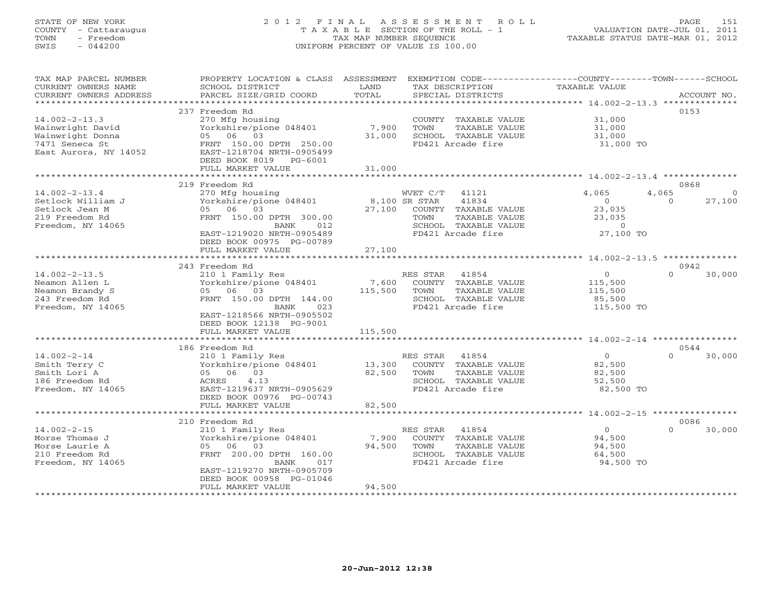# STATE OF NEW YORK 2 0 1 2 F I N A L A S S E S S M E N T R O L L PAGE 151 COUNTY - Cattaraugus T A X A B L E SECTION OF THE ROLL - 1 VALUATION DATE-JUL 01, 2011 TOWN - Freedom TAX MAP NUMBER SEQUENCE TAXABLE STATUS DATE-MAR 01, 2012 SWIS - 044200 UNIFORM PERCENT OF VALUE IS 100.00UNIFORM PERCENT OF VALUE IS 100.00

| *********************<br>237 Freedom Rd<br>0153<br>$14.002 - 2 - 13.3$<br>31,000<br>270 Mfg housing<br>COUNTY TAXABLE VALUE<br>7,900<br>Wainwright David<br>Yorkshire/pione 048401<br>TOWN<br>TAXABLE VALUE<br>31,000<br>Wainwright Donna<br>05 06 03<br>31,000<br>SCHOOL TAXABLE VALUE<br>31,000<br>7471 Seneca St<br>FRNT 150.00 DPTH 250.00<br>FD421 Arcade fire<br>31,000 TO<br>East Aurora, NY 14052<br>EAST-1218704 NRTH-0905499<br>DEED BOOK 8019<br>$PG-6001$<br>FULL MARKET VALUE<br>31,000<br>219 Freedom Rd<br>0868<br>4,065<br>$14.002 - 2 - 13.4$<br>270 Mfg housing<br>WVET C/T<br>41121<br>4,065<br>$\Omega$<br>Setlock William J<br>Yorkshire/pione 048401<br>8,100 SR STAR<br>41834<br>$\overline{0}$<br>27,100<br>$\Omega$<br>Setlock Jean M<br>05 06 03<br>27,100<br>COUNTY TAXABLE VALUE<br>23,035<br>219 Freedom Rd<br>FRNT 150.00 DPTH 300.00<br>TOWN<br>TAXABLE VALUE<br>23,035<br>SCHOOL TAXABLE VALUE<br>Freedom, NY 14065<br>BANK<br>012<br>$\circ$<br>27,100 TO<br>EAST-1219020 NRTH-0905489<br>FD421 Arcade fire<br>DEED BOOK 00975 PG-00789<br>27,100<br>FULL MARKET VALUE<br>**********************<br>243 Freedom Rd<br>0942<br>$14.002 - 2 - 13.5$<br>$\circ$<br>$\cap$<br>210 1 Family Res<br>RES STAR 41854<br>30,000<br>7,600<br>Neamon Allen L<br>Yorkshire/pione 048401<br>115,500<br>COUNTY TAXABLE VALUE<br>Neamon Brandy S<br>05 06 03<br>115,500<br>TOWN<br>TAXABLE VALUE<br>115,500<br>243 Freedom Rd<br>FRNT 150.00 DPTH 144.00<br>SCHOOL TAXABLE VALUE<br>85,500<br>FD421 Arcade fire<br>Freedom, NY 14065<br>BANK<br>023<br>115,500 TO<br>EAST-1218566 NRTH-0905502<br>DEED BOOK 12138 PG-9001<br>115,500<br>FULL MARKET VALUE<br>* * * * * * * *<br>0544<br>186 Freedom Rd<br>$14.002 - 2 - 14$<br>41854<br>$\overline{0}$<br>$\Omega$<br>30,000<br>210 1 Family Res<br>RES STAR<br>13,300<br>COUNTY TAXABLE VALUE<br>Smith Terry C<br>Yorkshire/pione 048401<br>82,500<br>05 06 03<br>82,500<br>TAXABLE VALUE<br>Smith Lori A<br>TOWN<br>82,500<br>4.13<br>SCHOOL TAXABLE VALUE<br>186 Freedom Rd<br>52,500<br>ACRES<br>Freedom, NY 14065<br>EAST-1219637 NRTH-0905629<br>FD421 Arcade fire<br>82,500 TO<br>DEED BOOK 00976 PG-00743<br>FULL MARKET VALUE<br>82,500<br>0086<br>210 Freedom Rd<br>$14.002 - 2 - 15$<br>$\Omega$<br>$\Omega$<br>30,000<br>210 1 Family Res<br>RES STAR<br>41854<br>Morse Thomas J<br>Yorkshire/pione 048401<br>7,900<br>COUNTY TAXABLE VALUE<br>94,500<br>05 06 03<br>Morse Laurie A<br>94,500<br>TOWN<br>TAXABLE VALUE<br>94,500<br>210 Freedom Rd<br>FRNT 200.00 DPTH 160.00<br>SCHOOL TAXABLE VALUE<br>64,500<br>FD421 Arcade fire<br>94,500 TO<br>Freedom, NY 14065<br>BANK<br>017<br>EAST-1219270 NRTH-0905709<br>DEED BOOK 00958 PG-01046<br>94,500<br>FULL MARKET VALUE | TAX MAP PARCEL NUMBER<br>CURRENT OWNERS NAME | PROPERTY LOCATION & CLASS ASSESSMENT<br>SCHOOL DISTRICT | LAND<br>TOTAL | TAX DESCRIPTION   | EXEMPTION CODE-----------------COUNTY-------TOWN------SCHOOL<br><b>TAXABLE VALUE</b> | ACCOUNT NO. |
|-------------------------------------------------------------------------------------------------------------------------------------------------------------------------------------------------------------------------------------------------------------------------------------------------------------------------------------------------------------------------------------------------------------------------------------------------------------------------------------------------------------------------------------------------------------------------------------------------------------------------------------------------------------------------------------------------------------------------------------------------------------------------------------------------------------------------------------------------------------------------------------------------------------------------------------------------------------------------------------------------------------------------------------------------------------------------------------------------------------------------------------------------------------------------------------------------------------------------------------------------------------------------------------------------------------------------------------------------------------------------------------------------------------------------------------------------------------------------------------------------------------------------------------------------------------------------------------------------------------------------------------------------------------------------------------------------------------------------------------------------------------------------------------------------------------------------------------------------------------------------------------------------------------------------------------------------------------------------------------------------------------------------------------------------------------------------------------------------------------------------------------------------------------------------------------------------------------------------------------------------------------------------------------------------------------------------------------------------------------------------------------------------------------------------------------------------------------------------------------------------------------------------------------------------------------------------------------------------------------------------------------------------------------------------------------------------------------------------------------------------------------|----------------------------------------------|---------------------------------------------------------|---------------|-------------------|--------------------------------------------------------------------------------------|-------------|
|                                                                                                                                                                                                                                                                                                                                                                                                                                                                                                                                                                                                                                                                                                                                                                                                                                                                                                                                                                                                                                                                                                                                                                                                                                                                                                                                                                                                                                                                                                                                                                                                                                                                                                                                                                                                                                                                                                                                                                                                                                                                                                                                                                                                                                                                                                                                                                                                                                                                                                                                                                                                                                                                                                                                                             | CURRENT OWNERS ADDRESS                       | PARCEL SIZE/GRID COORD                                  |               | SPECIAL DISTRICTS |                                                                                      |             |
|                                                                                                                                                                                                                                                                                                                                                                                                                                                                                                                                                                                                                                                                                                                                                                                                                                                                                                                                                                                                                                                                                                                                                                                                                                                                                                                                                                                                                                                                                                                                                                                                                                                                                                                                                                                                                                                                                                                                                                                                                                                                                                                                                                                                                                                                                                                                                                                                                                                                                                                                                                                                                                                                                                                                                             |                                              |                                                         |               |                   |                                                                                      |             |
|                                                                                                                                                                                                                                                                                                                                                                                                                                                                                                                                                                                                                                                                                                                                                                                                                                                                                                                                                                                                                                                                                                                                                                                                                                                                                                                                                                                                                                                                                                                                                                                                                                                                                                                                                                                                                                                                                                                                                                                                                                                                                                                                                                                                                                                                                                                                                                                                                                                                                                                                                                                                                                                                                                                                                             |                                              |                                                         |               |                   |                                                                                      |             |
|                                                                                                                                                                                                                                                                                                                                                                                                                                                                                                                                                                                                                                                                                                                                                                                                                                                                                                                                                                                                                                                                                                                                                                                                                                                                                                                                                                                                                                                                                                                                                                                                                                                                                                                                                                                                                                                                                                                                                                                                                                                                                                                                                                                                                                                                                                                                                                                                                                                                                                                                                                                                                                                                                                                                                             |                                              |                                                         |               |                   |                                                                                      |             |
|                                                                                                                                                                                                                                                                                                                                                                                                                                                                                                                                                                                                                                                                                                                                                                                                                                                                                                                                                                                                                                                                                                                                                                                                                                                                                                                                                                                                                                                                                                                                                                                                                                                                                                                                                                                                                                                                                                                                                                                                                                                                                                                                                                                                                                                                                                                                                                                                                                                                                                                                                                                                                                                                                                                                                             |                                              |                                                         |               |                   |                                                                                      |             |
|                                                                                                                                                                                                                                                                                                                                                                                                                                                                                                                                                                                                                                                                                                                                                                                                                                                                                                                                                                                                                                                                                                                                                                                                                                                                                                                                                                                                                                                                                                                                                                                                                                                                                                                                                                                                                                                                                                                                                                                                                                                                                                                                                                                                                                                                                                                                                                                                                                                                                                                                                                                                                                                                                                                                                             |                                              |                                                         |               |                   |                                                                                      |             |
|                                                                                                                                                                                                                                                                                                                                                                                                                                                                                                                                                                                                                                                                                                                                                                                                                                                                                                                                                                                                                                                                                                                                                                                                                                                                                                                                                                                                                                                                                                                                                                                                                                                                                                                                                                                                                                                                                                                                                                                                                                                                                                                                                                                                                                                                                                                                                                                                                                                                                                                                                                                                                                                                                                                                                             |                                              |                                                         |               |                   |                                                                                      |             |
|                                                                                                                                                                                                                                                                                                                                                                                                                                                                                                                                                                                                                                                                                                                                                                                                                                                                                                                                                                                                                                                                                                                                                                                                                                                                                                                                                                                                                                                                                                                                                                                                                                                                                                                                                                                                                                                                                                                                                                                                                                                                                                                                                                                                                                                                                                                                                                                                                                                                                                                                                                                                                                                                                                                                                             |                                              |                                                         |               |                   |                                                                                      |             |
|                                                                                                                                                                                                                                                                                                                                                                                                                                                                                                                                                                                                                                                                                                                                                                                                                                                                                                                                                                                                                                                                                                                                                                                                                                                                                                                                                                                                                                                                                                                                                                                                                                                                                                                                                                                                                                                                                                                                                                                                                                                                                                                                                                                                                                                                                                                                                                                                                                                                                                                                                                                                                                                                                                                                                             |                                              |                                                         |               |                   |                                                                                      |             |
|                                                                                                                                                                                                                                                                                                                                                                                                                                                                                                                                                                                                                                                                                                                                                                                                                                                                                                                                                                                                                                                                                                                                                                                                                                                                                                                                                                                                                                                                                                                                                                                                                                                                                                                                                                                                                                                                                                                                                                                                                                                                                                                                                                                                                                                                                                                                                                                                                                                                                                                                                                                                                                                                                                                                                             |                                              |                                                         |               |                   |                                                                                      |             |
|                                                                                                                                                                                                                                                                                                                                                                                                                                                                                                                                                                                                                                                                                                                                                                                                                                                                                                                                                                                                                                                                                                                                                                                                                                                                                                                                                                                                                                                                                                                                                                                                                                                                                                                                                                                                                                                                                                                                                                                                                                                                                                                                                                                                                                                                                                                                                                                                                                                                                                                                                                                                                                                                                                                                                             |                                              |                                                         |               |                   |                                                                                      |             |
|                                                                                                                                                                                                                                                                                                                                                                                                                                                                                                                                                                                                                                                                                                                                                                                                                                                                                                                                                                                                                                                                                                                                                                                                                                                                                                                                                                                                                                                                                                                                                                                                                                                                                                                                                                                                                                                                                                                                                                                                                                                                                                                                                                                                                                                                                                                                                                                                                                                                                                                                                                                                                                                                                                                                                             |                                              |                                                         |               |                   |                                                                                      |             |
|                                                                                                                                                                                                                                                                                                                                                                                                                                                                                                                                                                                                                                                                                                                                                                                                                                                                                                                                                                                                                                                                                                                                                                                                                                                                                                                                                                                                                                                                                                                                                                                                                                                                                                                                                                                                                                                                                                                                                                                                                                                                                                                                                                                                                                                                                                                                                                                                                                                                                                                                                                                                                                                                                                                                                             |                                              |                                                         |               |                   |                                                                                      |             |
|                                                                                                                                                                                                                                                                                                                                                                                                                                                                                                                                                                                                                                                                                                                                                                                                                                                                                                                                                                                                                                                                                                                                                                                                                                                                                                                                                                                                                                                                                                                                                                                                                                                                                                                                                                                                                                                                                                                                                                                                                                                                                                                                                                                                                                                                                                                                                                                                                                                                                                                                                                                                                                                                                                                                                             |                                              |                                                         |               |                   |                                                                                      |             |
|                                                                                                                                                                                                                                                                                                                                                                                                                                                                                                                                                                                                                                                                                                                                                                                                                                                                                                                                                                                                                                                                                                                                                                                                                                                                                                                                                                                                                                                                                                                                                                                                                                                                                                                                                                                                                                                                                                                                                                                                                                                                                                                                                                                                                                                                                                                                                                                                                                                                                                                                                                                                                                                                                                                                                             |                                              |                                                         |               |                   |                                                                                      |             |
|                                                                                                                                                                                                                                                                                                                                                                                                                                                                                                                                                                                                                                                                                                                                                                                                                                                                                                                                                                                                                                                                                                                                                                                                                                                                                                                                                                                                                                                                                                                                                                                                                                                                                                                                                                                                                                                                                                                                                                                                                                                                                                                                                                                                                                                                                                                                                                                                                                                                                                                                                                                                                                                                                                                                                             |                                              |                                                         |               |                   |                                                                                      |             |
|                                                                                                                                                                                                                                                                                                                                                                                                                                                                                                                                                                                                                                                                                                                                                                                                                                                                                                                                                                                                                                                                                                                                                                                                                                                                                                                                                                                                                                                                                                                                                                                                                                                                                                                                                                                                                                                                                                                                                                                                                                                                                                                                                                                                                                                                                                                                                                                                                                                                                                                                                                                                                                                                                                                                                             |                                              |                                                         |               |                   |                                                                                      |             |
|                                                                                                                                                                                                                                                                                                                                                                                                                                                                                                                                                                                                                                                                                                                                                                                                                                                                                                                                                                                                                                                                                                                                                                                                                                                                                                                                                                                                                                                                                                                                                                                                                                                                                                                                                                                                                                                                                                                                                                                                                                                                                                                                                                                                                                                                                                                                                                                                                                                                                                                                                                                                                                                                                                                                                             |                                              |                                                         |               |                   |                                                                                      |             |
|                                                                                                                                                                                                                                                                                                                                                                                                                                                                                                                                                                                                                                                                                                                                                                                                                                                                                                                                                                                                                                                                                                                                                                                                                                                                                                                                                                                                                                                                                                                                                                                                                                                                                                                                                                                                                                                                                                                                                                                                                                                                                                                                                                                                                                                                                                                                                                                                                                                                                                                                                                                                                                                                                                                                                             |                                              |                                                         |               |                   |                                                                                      |             |
|                                                                                                                                                                                                                                                                                                                                                                                                                                                                                                                                                                                                                                                                                                                                                                                                                                                                                                                                                                                                                                                                                                                                                                                                                                                                                                                                                                                                                                                                                                                                                                                                                                                                                                                                                                                                                                                                                                                                                                                                                                                                                                                                                                                                                                                                                                                                                                                                                                                                                                                                                                                                                                                                                                                                                             |                                              |                                                         |               |                   |                                                                                      |             |
|                                                                                                                                                                                                                                                                                                                                                                                                                                                                                                                                                                                                                                                                                                                                                                                                                                                                                                                                                                                                                                                                                                                                                                                                                                                                                                                                                                                                                                                                                                                                                                                                                                                                                                                                                                                                                                                                                                                                                                                                                                                                                                                                                                                                                                                                                                                                                                                                                                                                                                                                                                                                                                                                                                                                                             |                                              |                                                         |               |                   |                                                                                      |             |
|                                                                                                                                                                                                                                                                                                                                                                                                                                                                                                                                                                                                                                                                                                                                                                                                                                                                                                                                                                                                                                                                                                                                                                                                                                                                                                                                                                                                                                                                                                                                                                                                                                                                                                                                                                                                                                                                                                                                                                                                                                                                                                                                                                                                                                                                                                                                                                                                                                                                                                                                                                                                                                                                                                                                                             |                                              |                                                         |               |                   |                                                                                      |             |
|                                                                                                                                                                                                                                                                                                                                                                                                                                                                                                                                                                                                                                                                                                                                                                                                                                                                                                                                                                                                                                                                                                                                                                                                                                                                                                                                                                                                                                                                                                                                                                                                                                                                                                                                                                                                                                                                                                                                                                                                                                                                                                                                                                                                                                                                                                                                                                                                                                                                                                                                                                                                                                                                                                                                                             |                                              |                                                         |               |                   |                                                                                      |             |
|                                                                                                                                                                                                                                                                                                                                                                                                                                                                                                                                                                                                                                                                                                                                                                                                                                                                                                                                                                                                                                                                                                                                                                                                                                                                                                                                                                                                                                                                                                                                                                                                                                                                                                                                                                                                                                                                                                                                                                                                                                                                                                                                                                                                                                                                                                                                                                                                                                                                                                                                                                                                                                                                                                                                                             |                                              |                                                         |               |                   |                                                                                      |             |
|                                                                                                                                                                                                                                                                                                                                                                                                                                                                                                                                                                                                                                                                                                                                                                                                                                                                                                                                                                                                                                                                                                                                                                                                                                                                                                                                                                                                                                                                                                                                                                                                                                                                                                                                                                                                                                                                                                                                                                                                                                                                                                                                                                                                                                                                                                                                                                                                                                                                                                                                                                                                                                                                                                                                                             |                                              |                                                         |               |                   |                                                                                      |             |
|                                                                                                                                                                                                                                                                                                                                                                                                                                                                                                                                                                                                                                                                                                                                                                                                                                                                                                                                                                                                                                                                                                                                                                                                                                                                                                                                                                                                                                                                                                                                                                                                                                                                                                                                                                                                                                                                                                                                                                                                                                                                                                                                                                                                                                                                                                                                                                                                                                                                                                                                                                                                                                                                                                                                                             |                                              |                                                         |               |                   |                                                                                      |             |
|                                                                                                                                                                                                                                                                                                                                                                                                                                                                                                                                                                                                                                                                                                                                                                                                                                                                                                                                                                                                                                                                                                                                                                                                                                                                                                                                                                                                                                                                                                                                                                                                                                                                                                                                                                                                                                                                                                                                                                                                                                                                                                                                                                                                                                                                                                                                                                                                                                                                                                                                                                                                                                                                                                                                                             |                                              |                                                         |               |                   |                                                                                      |             |
|                                                                                                                                                                                                                                                                                                                                                                                                                                                                                                                                                                                                                                                                                                                                                                                                                                                                                                                                                                                                                                                                                                                                                                                                                                                                                                                                                                                                                                                                                                                                                                                                                                                                                                                                                                                                                                                                                                                                                                                                                                                                                                                                                                                                                                                                                                                                                                                                                                                                                                                                                                                                                                                                                                                                                             |                                              |                                                         |               |                   |                                                                                      |             |
|                                                                                                                                                                                                                                                                                                                                                                                                                                                                                                                                                                                                                                                                                                                                                                                                                                                                                                                                                                                                                                                                                                                                                                                                                                                                                                                                                                                                                                                                                                                                                                                                                                                                                                                                                                                                                                                                                                                                                                                                                                                                                                                                                                                                                                                                                                                                                                                                                                                                                                                                                                                                                                                                                                                                                             |                                              |                                                         |               |                   |                                                                                      |             |
|                                                                                                                                                                                                                                                                                                                                                                                                                                                                                                                                                                                                                                                                                                                                                                                                                                                                                                                                                                                                                                                                                                                                                                                                                                                                                                                                                                                                                                                                                                                                                                                                                                                                                                                                                                                                                                                                                                                                                                                                                                                                                                                                                                                                                                                                                                                                                                                                                                                                                                                                                                                                                                                                                                                                                             |                                              |                                                         |               |                   |                                                                                      |             |
|                                                                                                                                                                                                                                                                                                                                                                                                                                                                                                                                                                                                                                                                                                                                                                                                                                                                                                                                                                                                                                                                                                                                                                                                                                                                                                                                                                                                                                                                                                                                                                                                                                                                                                                                                                                                                                                                                                                                                                                                                                                                                                                                                                                                                                                                                                                                                                                                                                                                                                                                                                                                                                                                                                                                                             |                                              |                                                         |               |                   |                                                                                      |             |
|                                                                                                                                                                                                                                                                                                                                                                                                                                                                                                                                                                                                                                                                                                                                                                                                                                                                                                                                                                                                                                                                                                                                                                                                                                                                                                                                                                                                                                                                                                                                                                                                                                                                                                                                                                                                                                                                                                                                                                                                                                                                                                                                                                                                                                                                                                                                                                                                                                                                                                                                                                                                                                                                                                                                                             |                                              |                                                         |               |                   |                                                                                      |             |
|                                                                                                                                                                                                                                                                                                                                                                                                                                                                                                                                                                                                                                                                                                                                                                                                                                                                                                                                                                                                                                                                                                                                                                                                                                                                                                                                                                                                                                                                                                                                                                                                                                                                                                                                                                                                                                                                                                                                                                                                                                                                                                                                                                                                                                                                                                                                                                                                                                                                                                                                                                                                                                                                                                                                                             |                                              |                                                         |               |                   |                                                                                      |             |
|                                                                                                                                                                                                                                                                                                                                                                                                                                                                                                                                                                                                                                                                                                                                                                                                                                                                                                                                                                                                                                                                                                                                                                                                                                                                                                                                                                                                                                                                                                                                                                                                                                                                                                                                                                                                                                                                                                                                                                                                                                                                                                                                                                                                                                                                                                                                                                                                                                                                                                                                                                                                                                                                                                                                                             |                                              |                                                         |               |                   |                                                                                      |             |
|                                                                                                                                                                                                                                                                                                                                                                                                                                                                                                                                                                                                                                                                                                                                                                                                                                                                                                                                                                                                                                                                                                                                                                                                                                                                                                                                                                                                                                                                                                                                                                                                                                                                                                                                                                                                                                                                                                                                                                                                                                                                                                                                                                                                                                                                                                                                                                                                                                                                                                                                                                                                                                                                                                                                                             |                                              |                                                         |               |                   |                                                                                      |             |
|                                                                                                                                                                                                                                                                                                                                                                                                                                                                                                                                                                                                                                                                                                                                                                                                                                                                                                                                                                                                                                                                                                                                                                                                                                                                                                                                                                                                                                                                                                                                                                                                                                                                                                                                                                                                                                                                                                                                                                                                                                                                                                                                                                                                                                                                                                                                                                                                                                                                                                                                                                                                                                                                                                                                                             |                                              |                                                         |               |                   |                                                                                      |             |
|                                                                                                                                                                                                                                                                                                                                                                                                                                                                                                                                                                                                                                                                                                                                                                                                                                                                                                                                                                                                                                                                                                                                                                                                                                                                                                                                                                                                                                                                                                                                                                                                                                                                                                                                                                                                                                                                                                                                                                                                                                                                                                                                                                                                                                                                                                                                                                                                                                                                                                                                                                                                                                                                                                                                                             |                                              |                                                         |               |                   |                                                                                      |             |
|                                                                                                                                                                                                                                                                                                                                                                                                                                                                                                                                                                                                                                                                                                                                                                                                                                                                                                                                                                                                                                                                                                                                                                                                                                                                                                                                                                                                                                                                                                                                                                                                                                                                                                                                                                                                                                                                                                                                                                                                                                                                                                                                                                                                                                                                                                                                                                                                                                                                                                                                                                                                                                                                                                                                                             |                                              |                                                         |               |                   |                                                                                      |             |
|                                                                                                                                                                                                                                                                                                                                                                                                                                                                                                                                                                                                                                                                                                                                                                                                                                                                                                                                                                                                                                                                                                                                                                                                                                                                                                                                                                                                                                                                                                                                                                                                                                                                                                                                                                                                                                                                                                                                                                                                                                                                                                                                                                                                                                                                                                                                                                                                                                                                                                                                                                                                                                                                                                                                                             |                                              |                                                         |               |                   |                                                                                      |             |
|                                                                                                                                                                                                                                                                                                                                                                                                                                                                                                                                                                                                                                                                                                                                                                                                                                                                                                                                                                                                                                                                                                                                                                                                                                                                                                                                                                                                                                                                                                                                                                                                                                                                                                                                                                                                                                                                                                                                                                                                                                                                                                                                                                                                                                                                                                                                                                                                                                                                                                                                                                                                                                                                                                                                                             |                                              |                                                         |               |                   |                                                                                      |             |
|                                                                                                                                                                                                                                                                                                                                                                                                                                                                                                                                                                                                                                                                                                                                                                                                                                                                                                                                                                                                                                                                                                                                                                                                                                                                                                                                                                                                                                                                                                                                                                                                                                                                                                                                                                                                                                                                                                                                                                                                                                                                                                                                                                                                                                                                                                                                                                                                                                                                                                                                                                                                                                                                                                                                                             |                                              |                                                         |               |                   |                                                                                      |             |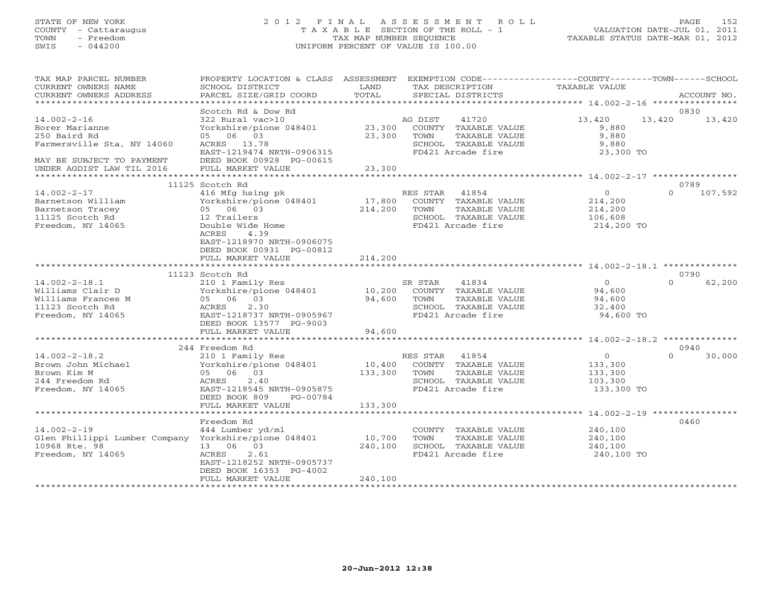### STATE OF NEW YORK 2 0 1 2 F I N A L A S S E S S M E N T R O L L PAGE 152 COUNTY - Cattaraugus T A X A B L E SECTION OF THE ROLL - 1 VALUATION DATE-JUL 01, 2011 TOWN - Freedom TAX MAP NUMBER SEQUENCE TAXABLE STATUS DATE-MAR 01, 2012 SWIS - 044200 UNIFORM PERCENT OF VALUE IS 100.00UNIFORM PERCENT OF VALUE IS 100.00

| TAX MAP PARCEL NUMBER<br>CURRENT OWNERS NAME<br>CURRENT OWNERS ADDRESS                                          | PROPERTY LOCATION & CLASS ASSESSMENT<br>SCHOOL DISTRICT<br>PARCEL SIZE/GRID COORD                                                       | LAND<br>TOTAL                | EXEMPTION CODE-----------------COUNTY-------TOWN------SCHOOL<br>TAX DESCRIPTION<br>SPECIAL DISTRICTS            | <b>TAXABLE VALUE</b>                                    | ACCOUNT NO.              |
|-----------------------------------------------------------------------------------------------------------------|-----------------------------------------------------------------------------------------------------------------------------------------|------------------------------|-----------------------------------------------------------------------------------------------------------------|---------------------------------------------------------|--------------------------|
| *************************                                                                                       |                                                                                                                                         |                              |                                                                                                                 |                                                         |                          |
| $14.002 - 2 - 16$<br>Borer Marianne<br>250 Baird Rd<br>Farmersville Sta, NY 14060                               | Scotch Rd & Dow Rd<br>322 Rural vac>10<br>Yorkshire/pione 048401<br>06 03<br>05<br>ACRES 13.78<br>EAST-1219474 NRTH-0906315             | 23,300<br>23,300             | AG DIST<br>41720<br>COUNTY TAXABLE VALUE<br>TAXABLE VALUE<br>TOWN<br>SCHOOL TAXABLE VALUE<br>FD421 Arcade fire  | 13,420<br>9,880<br>9,880<br>9,880                       | 0830<br>13,420<br>13,420 |
| MAY BE SUBJECT TO PAYMENT<br>UNDER AGDIST LAW TIL 2016                                                          | DEED BOOK 00928 PG-00615<br>FULL MARKET VALUE                                                                                           | 23,300                       |                                                                                                                 | 23,300 TO                                               |                          |
|                                                                                                                 | 11125 Scotch Rd                                                                                                                         |                              |                                                                                                                 |                                                         | 0789                     |
| $14.002 - 2 - 17$<br>Barnetson William<br>Barnetson Tracey<br>11125 Scotch Rd<br>Freedom, NY 14065              | 416 Mfg hsing pk<br>Yorkshire/pione 048401<br>05 06 03<br>12 Trailers<br>Double Wide Home<br>4.39<br>ACRES<br>EAST-1218970 NRTH-0906075 | 17,800<br>214,200            | RES STAR 41854<br>COUNTY TAXABLE VALUE<br>TOWN<br>TAXABLE VALUE<br>SCHOOL TAXABLE VALUE<br>FD421 Arcade fire    | $\circ$<br>214,200<br>214,200<br>106,608<br>214,200 TO  | $\cap$<br>107,592        |
|                                                                                                                 | DEED BOOK 00931 PG-00812<br>FULL MARKET VALUE                                                                                           | 214,200                      |                                                                                                                 |                                                         |                          |
|                                                                                                                 | ************************                                                                                                                |                              |                                                                                                                 |                                                         |                          |
|                                                                                                                 | 11123 Scotch Rd                                                                                                                         |                              |                                                                                                                 |                                                         | 0790                     |
| $14.002 - 2 - 18.1$<br>Williams Clair D<br>Williams Frances M<br>11123 Scotch Rd<br>Freedom, NY 14065           | 210 1 Family Res<br>Yorkshire/pione 048401<br>05 06 03<br>ACRES<br>2.30<br>EAST-1218737 NRTH-0905967<br>DEED BOOK 13577 PG-9003         | 10,200<br>94,600             | 41834<br>SR STAR<br>COUNTY TAXABLE VALUE<br>TOWN<br>TAXABLE VALUE<br>SCHOOL TAXABLE VALUE<br>FD421 Arcade fire  | $\circ$<br>94,600<br>94,600<br>32,400<br>94,600 TO      | $\Omega$<br>62,200       |
|                                                                                                                 | FULL MARKET VALUE<br>**********************                                                                                             | 94,600                       | ******************************* 14.002-2-18.2 **************                                                    |                                                         |                          |
|                                                                                                                 | 244 Freedom Rd                                                                                                                          |                              |                                                                                                                 |                                                         | 0940                     |
| $14.002 - 2 - 18.2$<br>Brown John Michael<br>Brown Kim M<br>244 Freedom Rd<br>Freedom, NY 14065                 | 210 1 Family Res<br>Yorkshire/pione 048401<br>05 06 03<br>2.40<br>ACRES<br>EAST-1218545 NRTH-0905875<br>DEED BOOK 809<br>PG-00784       | 10,400<br>133,300            | RES STAR<br>41854<br>COUNTY TAXABLE VALUE<br>TAXABLE VALUE<br>TOWN<br>SCHOOL TAXABLE VALUE<br>FD421 Arcade fire | $\Omega$<br>133,300<br>133,300<br>103,300<br>133,300 TO | $\Omega$<br>30,000       |
|                                                                                                                 | FULL MARKET VALUE<br>************************                                                                                           | 133,300                      |                                                                                                                 |                                                         |                          |
|                                                                                                                 | Freedom Rd                                                                                                                              |                              |                                                                                                                 |                                                         | 0460                     |
| $14.002 - 2 - 19$<br>Glen Phillippi Lumber Company Yorkshire/pione 048401<br>10968 Rte. 98<br>Freedom, NY 14065 | 444 Lumber yd/ml<br>13 06 03<br>2.61<br>ACRES<br>EAST-1218252 NRTH-0905737<br>DEED BOOK 16353 PG-4002<br>FULL MARKET VALUE              | 10,700<br>240,100<br>240,100 | COUNTY TAXABLE VALUE<br>TOWN<br>TAXABLE VALUE<br>SCHOOL TAXABLE VALUE<br>FD421 Arcade fire                      | 240,100<br>240,100<br>240,100<br>240,100 TO             |                          |
|                                                                                                                 |                                                                                                                                         |                              | ********************************                                                                                |                                                         |                          |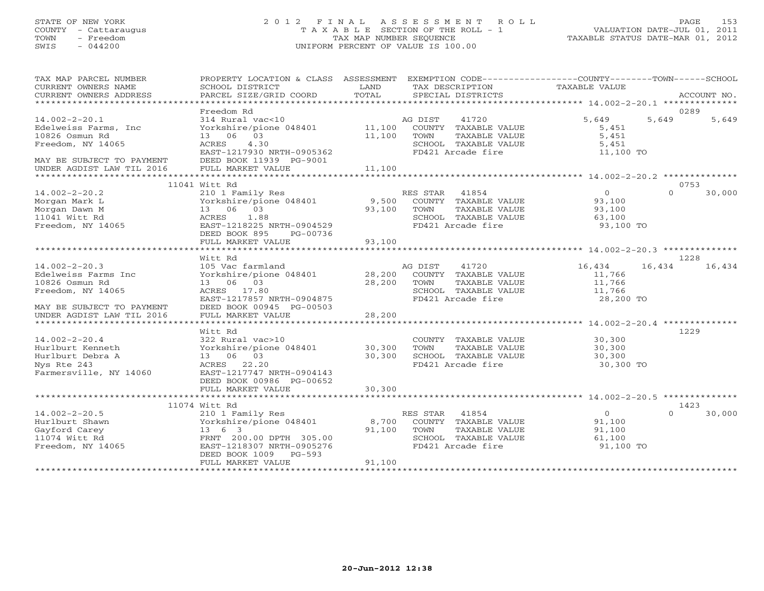## STATE OF NEW YORK 2 0 1 2 F I N A L A S S E S S M E N T R O L L PAGE 153 COUNTY - Cattaraugus T A X A B L E SECTION OF THE ROLL - 1 VALUATION DATE-JUL 01, 2011 TOWN - Freedom TAX MAP NUMBER SEQUENCE TAXABLE STATUS DATE-MAR 01, 2012 SWIS - 044200 UNIFORM PERCENT OF VALUE IS 100.00

| TAX MAP PARCEL NUMBER<br>CURRENT OWNERS NAME<br>CURRENT OWNERS ADDRESS                                                                      | PROPERTY LOCATION & CLASS ASSESSMENT EXEMPTION CODE---------------COUNTY-------TOWN------SCHOOL<br>SCHOOL DISTRICT<br>PARCEL SIZE/GRID COORD                                               | LAND<br>TOTAL                                         | TAX DESCRIPTION TAXABLE VALUE<br>SPECIAL DISTRICTS                                                              |                                                                                                | ACCOUNT NO.                |
|---------------------------------------------------------------------------------------------------------------------------------------------|--------------------------------------------------------------------------------------------------------------------------------------------------------------------------------------------|-------------------------------------------------------|-----------------------------------------------------------------------------------------------------------------|------------------------------------------------------------------------------------------------|----------------------------|
| $14.002 - 2 - 20.1$<br>Edelweiss Farms, Inc<br>10826 Osmun Rd<br>Freedom, NY 14065<br>MAY BE SUBJECT TO PAYMENT                             | Freedom Rd<br>314 Rural vac<10<br>Yorkshire/pione 048401 11,100<br>13  06  03<br>ACRES 4.30<br>EAST-1217930 NRTH-0905362<br>DEED BOOK 11939 PG-9001                                        | 11,100                                                | 41720<br>AG DIST<br>COUNTY TAXABLE VALUE<br>TOWN<br>TAXABLE VALUE<br>SCHOOL TAXABLE VALUE<br>FD421 Arcade fire  | 5,649<br>5,451<br>5,451<br>5,451<br>11,100 TO                                                  | 0289<br>5,649<br>5,649     |
| UNDER AGDIST LAW TIL 2016                                                                                                                   | FULL MARKET VALUE                                                                                                                                                                          | 11,100                                                |                                                                                                                 |                                                                                                |                            |
| $14.002 - 2 - 20.2$<br>Morgan Mark L<br>Morgan Dawn M<br>11041 Witt Rd<br>Freedom, NY 14065                                                 | 11041 Witt Rd<br>210 1 Family Res<br>Yorkshire/pione 048401 9,500 COUNTY TAXABLE VALUE<br>13 06 03<br>1.88<br>ACRES<br>EAST-1218225 NRTH-0904529<br>DEED BOOK 895<br>PG-00736              | 93,100                                                | RES STAR 41854<br>TOWN<br>TAXABLE VALUE<br>SCHOOL TAXABLE VALUE<br>FD421 Arcade fire                            | $\overline{0}$<br>93,100<br>93,100<br>63,100<br>93,100 TO                                      | 0753<br>$\Omega$<br>30,000 |
|                                                                                                                                             | FULL MARKET VALUE                                                                                                                                                                          | 93,100                                                |                                                                                                                 |                                                                                                |                            |
| $14.002 - 2 - 20.3$<br>Edelweiss Farms Inc<br>10826 Osmun Rd<br>Freedom, NY 14065<br>MAY BE SUBJECT TO PAYMENT<br>UNDER AGDIST LAW TIL 2016 | Witt Rd<br>105 Vac farmland<br>Yorkshire/pione 048401 28,200 COUNTY TAXABLE VALUE<br>13 06 03<br>ACRES 17.80<br>EAST-1217857 NRTH-0904875<br>DEED BOOK 00945 PG-00503<br>FULL MARKET VALUE | 28,200<br>28,200                                      | 41720<br>AG DIST<br>TOWN<br>TAXABLE VALUE<br>SCHOOL TAXABLE VALUE<br>FD421 Arcade fire                          | 16,434<br>11,766<br>11,766<br>11,766<br>28,200 TO                                              | 1228<br>16,434<br>16,434   |
| **************************<br>$14.002 - 2 - 20.4$<br>Hurlburt Kenneth<br>Hurlburt Debra A<br>Nys Rte 243<br>Farmersville, NY 14060          | ********************<br>Witt Rd<br>322 Rural vac>10<br>Yorkshire/pione 048401<br>13 06 03<br>ACRES 22.20<br>EAST-1217747 NRTH-0904143<br>DEED BOOK 00986 PG-00652<br>FULL MARKET VALUE     | * * * * * * * * * * * *<br>30,300<br>30,300<br>30,300 | COUNTY TAXABLE VALUE<br>TOWN<br>TAXABLE VALUE<br>SCHOOL TAXABLE VALUE<br>FD421 Arcade fire                      | ********************* 14.002-2-20.4 ***************<br>30,300<br>30,300<br>30,300<br>30,300 TO | 1229                       |
|                                                                                                                                             | 11074 Witt Rd                                                                                                                                                                              |                                                       |                                                                                                                 |                                                                                                | 1423                       |
| $14.002 - 2 - 20.5$<br>Hurlburt Shawn<br>Gayford Carey<br>11074 Witt Rd<br>Freedom, NY 14065                                                | 210 1 Family Res<br>Yorkshire/pione 048401 8,700<br>$13 \t 6 \t 3$<br>FRNT 200.00 DPTH 305.00<br>EAST-1218307 NRTH-0905276<br>DEED BOOK 1009 PG-593<br>FULL MARKET VALUE                   | 91,100<br>91,100                                      | RES STAR<br>41854<br>COUNTY TAXABLE VALUE<br>TAXABLE VALUE<br>TOWN<br>SCHOOL TAXABLE VALUE<br>FD421 Arcade fire | $\overline{0}$<br>91,100<br>91,100<br>61,100<br>91,100 TO                                      | $\Omega$<br>30,000         |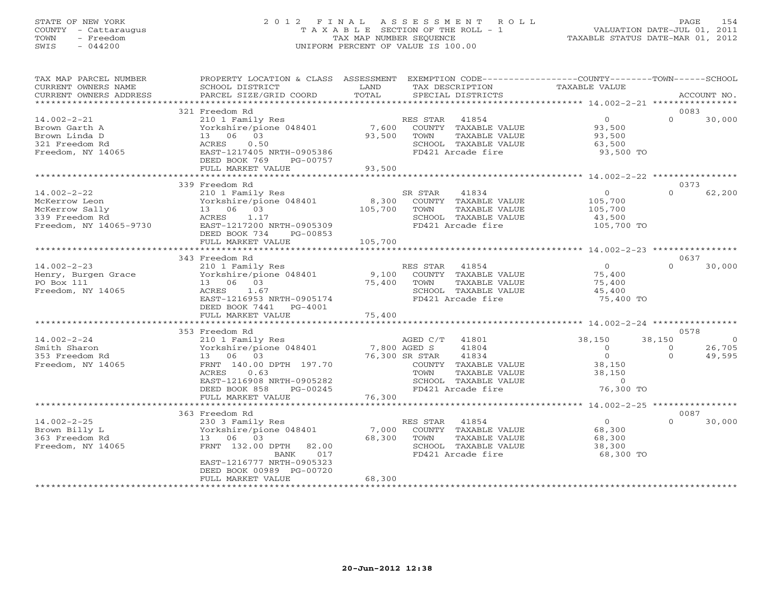# STATE OF NEW YORK 2 0 1 2 F I N A L A S S E S S M E N T R O L L PAGE 154 COUNTY - Cattaraugus T A X A B L E SECTION OF THE ROLL - 1 VALUATION DATE-JUL 01, 2011 TOWN - Freedom TAX MAP NUMBER SEQUENCE TAXABLE STATUS DATE-MAR 01, 2012 SWIS - 044200 UNIFORM PERCENT OF VALUE IS 100.00UNIFORM PERCENT OF VALUE IS 100.00

| TAX MAP PARCEL NUMBER<br>CURRENT OWNERS NAME<br>CURRENT OWNERS ADDRESS                     | PROPERTY LOCATION & CLASS ASSESSMENT<br>SCHOOL DISTRICT<br>PARCEL SIZE/GRID COORD                                                                                        | LAND<br>TOTAL             | TAX DESCRIPTION<br>SPECIAL DISTRICTS                                                                                           | EXEMPTION CODE----------------COUNTY-------TOWN-----SCHOOL<br>TAXABLE VALUE | ACCOUNT NO.                              |
|--------------------------------------------------------------------------------------------|--------------------------------------------------------------------------------------------------------------------------------------------------------------------------|---------------------------|--------------------------------------------------------------------------------------------------------------------------------|-----------------------------------------------------------------------------|------------------------------------------|
| ***********************                                                                    |                                                                                                                                                                          |                           |                                                                                                                                |                                                                             |                                          |
| $14.002 - 2 - 21$<br>Brown Garth A<br>Brown Linda D<br>321 Freedom Rd<br>Freedom, NY 14065 | 321 Freedom Rd<br>210 1 Family Res<br>Yorkshire/pione 048401<br>13 06 03<br>0.50<br>ACRES<br>EAST-1217405 NRTH-0905386<br>DEED BOOK 769<br>PG-00757<br>FULL MARKET VALUE | 7,600<br>93,500<br>93,500 | RES STAR<br>41854<br>COUNTY TAXABLE VALUE<br>TAXABLE VALUE<br>TOWN<br>SCHOOL TAXABLE VALUE<br>FD421 Arcade fire                | $\overline{O}$<br>93,500<br>93,500<br>63,500<br>93,500 TO                   | 0083<br>$\Omega$<br>30,000               |
|                                                                                            | ********************************                                                                                                                                         |                           |                                                                                                                                |                                                                             |                                          |
| $14.002 - 2 - 22$<br>McKerrow Leon<br>McKerrow Sally<br>339 Freedom Rd                     | 339 Freedom Rd<br>210 1 Family Res<br>Yorkshire/pione 048401<br>13 06 03<br>1.17<br>ACRES                                                                                | 8,300<br>105,700          | SR STAR<br>41834<br>COUNTY TAXABLE VALUE<br>TOWN<br>TAXABLE VALUE<br>SCHOOL TAXABLE VALUE                                      | $\Omega$<br>105,700<br>105,700<br>43,500                                    | 0373<br>62,200<br>$\Omega$               |
| Freedom, NY 14065-9730                                                                     | EAST-1217200 NRTH-0905309<br>DEED BOOK 734<br>PG-00853<br>FULL MARKET VALUE                                                                                              | 105,700                   | FD421 Arcade fire                                                                                                              | 105,700 TO                                                                  |                                          |
|                                                                                            | 343 Freedom Rd                                                                                                                                                           |                           |                                                                                                                                |                                                                             | 0637                                     |
| $14.002 - 2 - 23$<br>Henry, Burgen Grace<br>PO Box 111<br>Freedom, NY 14065                | 210 1 Family Res<br>Yorkshire/pione 048401<br>13 06 03<br>ACRES<br>1.67<br>EAST-1216953 NRTH-0905174<br>DEED BOOK 7441<br>PG-4001                                        | 9,100<br>75,400           | RES STAR 41854<br>COUNTY TAXABLE VALUE<br>TOWN<br>TAXABLE VALUE<br>SCHOOL TAXABLE VALUE<br>FD421 Arcade fire                   | $\circ$<br>75,400<br>75,400<br>45,400<br>75,400 TO                          | $\Omega$<br>30,000                       |
|                                                                                            | FULL MARKET VALUE                                                                                                                                                        | 75,400                    |                                                                                                                                |                                                                             |                                          |
| $14.002 - 2 - 24$                                                                          | 353 Freedom Rd<br>210 1 Family Res                                                                                                                                       |                           | AGED C/T<br>41801                                                                                                              | 38,150                                                                      | 0578<br>38,150<br>$\overline{0}$         |
| Smith Sharon<br>353 Freedom Rd<br>Freedom, NY 14065                                        | Yorkshire/pione 048401<br>13 06 03<br>FRNT 140.00 DPTH 197.70<br>ACRES<br>0.63<br>EAST-1216908 NRTH-0905282<br>DEED BOOK 858<br>PG-00245<br>FULL MARKET VALUE            | 7,800 AGED S<br>76,300    | 41804<br>76,300 SR STAR<br>41834<br>COUNTY TAXABLE VALUE<br>TOWN<br>TAXABLE VALUE<br>SCHOOL TAXABLE VALUE<br>FD421 Arcade fire | $\circ$<br>$\Omega$<br>38,150<br>38,150<br>$\Omega$<br>76,300 TO            | 26,705<br>$\Omega$<br>49,595<br>$\Omega$ |
|                                                                                            |                                                                                                                                                                          |                           |                                                                                                                                |                                                                             |                                          |
| $14.002 - 2 - 25$<br>Brown Billy L                                                         | 363 Freedom Rd<br>230 3 Family Res<br>Yorkshire/pione 048401                                                                                                             | 7,000                     | RES STAR<br>41854<br>COUNTY TAXABLE VALUE                                                                                      | $\Omega$<br>68,300                                                          | 0087<br>$\Omega$<br>30,000               |
| 363 Freedom Rd<br>Freedom, NY 14065                                                        | 13 06<br>03<br>FRNT 132.00 DPTH<br>82.00<br>017<br>BANK<br>EAST-1216777 NRTH-0905323<br>DEED BOOK 00989 PG-00720<br>FULL MARKET VALUE                                    | 68,300<br>68,300          | TOWN<br>TAXABLE VALUE<br>SCHOOL TAXABLE VALUE<br>FD421 Arcade fire                                                             | 68,300<br>38,300<br>68,300 TO                                               |                                          |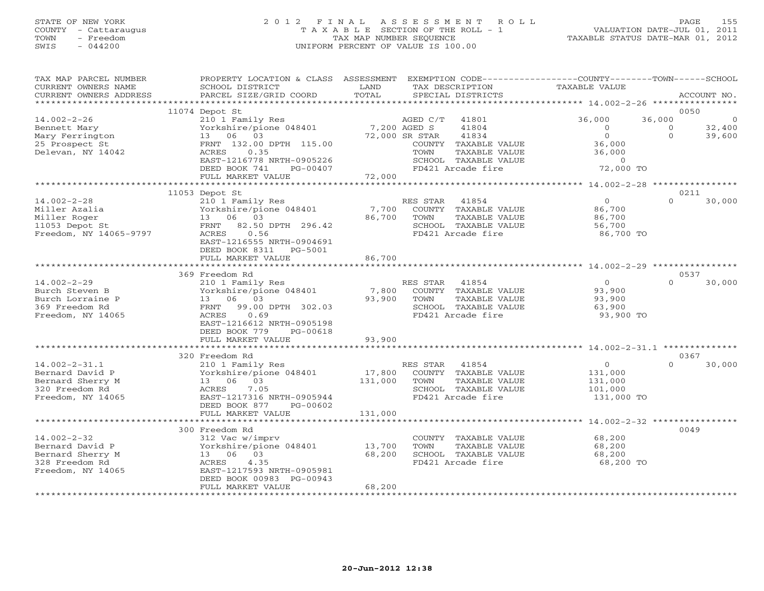# STATE OF NEW YORK 2 0 1 2 F I N A L A S S E S S M E N T R O L L PAGE 155 COUNTY - Cattaraugus T A X A B L E SECTION OF THE ROLL - 1 VALUATION DATE-JUL 01, 2011 TOWN - Freedom TAX MAP NUMBER SEQUENCE TAXABLE STATUS DATE-MAR 01, 2012 SWIS - 044200 UNIFORM PERCENT OF VALUE IS 100.00UNIFORM PERCENT OF VALUE IS 100.00

| TAX MAP PARCEL NUMBER<br>CURRENT OWNERS NAME<br>CURRENT OWNERS ADDRESS | PROPERTY LOCATION & CLASS ASSESSMENT<br>SCHOOL DISTRICT<br>PARCEL SIZE/GRID COORD | LAND<br>TOTAL        |                | TAX DESCRIPTION<br>SPECIAL DISTRICTS  | EXEMPTION CODE-----------------COUNTY-------TOWN------SCHOOL<br>TAXABLE VALUE |          | ACCOUNT NO. |
|------------------------------------------------------------------------|-----------------------------------------------------------------------------------|----------------------|----------------|---------------------------------------|-------------------------------------------------------------------------------|----------|-------------|
|                                                                        |                                                                                   |                      |                |                                       |                                                                               |          |             |
|                                                                        | 11074 Depot St                                                                    |                      |                |                                       |                                                                               |          | 0050        |
| $14.002 - 2 - 26$                                                      | 210 1 Family Res                                                                  |                      | AGED C/T       | 41801                                 | 36,000                                                                        | 36,000   | 0           |
| Bennett Mary                                                           | Yorkshire/pione 048401                                                            | 7,200 AGED S         |                | 41804                                 | $\Omega$                                                                      | $\Omega$ | 32,400      |
| Mary Ferrington                                                        | 03<br>13 06                                                                       |                      | 72,000 SR STAR | 41834                                 | $\circ$                                                                       | $\Omega$ | 39,600      |
| 25 Prospect St                                                         | FRNT 132.00 DPTH 115.00                                                           |                      |                | COUNTY TAXABLE VALUE                  | 36,000                                                                        |          |             |
| Delevan, NY 14042                                                      | ACRES<br>0.35<br>EAST-1216778 NRTH-0905226                                        |                      | TOWN           | TAXABLE VALUE<br>SCHOOL TAXABLE VALUE | 36,000<br>$\Omega$                                                            |          |             |
|                                                                        | DEED BOOK 741<br>PG-00407                                                         |                      |                | FD421 Arcade fire                     | 72,000 TO                                                                     |          |             |
|                                                                        | FULL MARKET VALUE                                                                 | 72,000               |                |                                       |                                                                               |          |             |
|                                                                        |                                                                                   |                      |                |                                       |                                                                               |          |             |
|                                                                        | 11053 Depot St                                                                    |                      |                |                                       |                                                                               |          | 0211        |
| $14.002 - 2 - 28$                                                      | 210 1 Family Res                                                                  |                      | RES STAR       | 41854                                 | $\Omega$                                                                      | $\Omega$ | 30,000      |
| Miller Azalia                                                          | Yorkshire/pione 048401                                                            | 7,700                |                | COUNTY TAXABLE VALUE                  | 86,700                                                                        |          |             |
| Miller Roger                                                           | 13 06 03                                                                          | 86,700               | TOWN           | TAXABLE VALUE                         | 86,700                                                                        |          |             |
| 11053 Depot St                                                         | 82.50 DPTH 296.42<br>FRNT                                                         |                      |                | SCHOOL TAXABLE VALUE                  | 56,700                                                                        |          |             |
| Freedom, NY 14065-9797                                                 | 0.56<br>ACRES                                                                     |                      |                | FD421 Arcade fire                     | 86,700 TO                                                                     |          |             |
|                                                                        | EAST-1216555 NRTH-0904691                                                         |                      |                |                                       |                                                                               |          |             |
|                                                                        | DEED BOOK 8311<br>PG-5001                                                         |                      |                |                                       |                                                                               |          |             |
|                                                                        | FULL MARKET VALUE                                                                 | 86,700               |                |                                       |                                                                               |          |             |
|                                                                        |                                                                                   |                      |                |                                       |                                                                               |          |             |
|                                                                        | 369 Freedom Rd                                                                    |                      |                |                                       |                                                                               |          | 0537        |
| $14.002 - 2 - 29$                                                      | 210 1 Family Res                                                                  |                      | RES STAR       | 41854                                 | $\overline{O}$                                                                | $\Omega$ | 30,000      |
| Burch Steven B                                                         | Yorkshire/pione 048401                                                            | 7,800                |                | COUNTY TAXABLE VALUE                  | 93,900                                                                        |          |             |
| Burch Lorraine P                                                       | 13 06 03                                                                          | 93,900               | TOWN           | TAXABLE VALUE                         | 93,900                                                                        |          |             |
| 369 Freedom Rd                                                         | 99.00 DPTH 302.03<br>FRNT                                                         |                      |                | SCHOOL TAXABLE VALUE                  | 63,900                                                                        |          |             |
| Freedom, NY 14065                                                      | ACRES<br>0.69                                                                     |                      |                | FD421 Arcade fire                     | 93,900 TO                                                                     |          |             |
|                                                                        | EAST-1216612 NRTH-0905198                                                         |                      |                |                                       |                                                                               |          |             |
|                                                                        | DEED BOOK 779<br>PG-00618<br>FULL MARKET VALUE                                    | 93,900               |                |                                       |                                                                               |          |             |
|                                                                        |                                                                                   |                      |                |                                       |                                                                               |          |             |
|                                                                        | 320 Freedom Rd                                                                    |                      |                |                                       |                                                                               |          | 0367        |
| $14.002 - 2 - 31.1$                                                    | 210 1 Family Res                                                                  |                      | RES STAR       | 41854                                 | $\circ$                                                                       | $\cap$   | 30,000      |
| Bernard David P                                                        | Yorkshire/pione 048401                                                            | 17,800               |                | COUNTY TAXABLE VALUE                  | 131,000                                                                       |          |             |
| Bernard Sherry M                                                       | 13 06 03                                                                          | 131,000              | TOWN           | TAXABLE VALUE                         | 131,000                                                                       |          |             |
| 320 Freedom Rd                                                         | ACRES<br>7.05                                                                     |                      |                | SCHOOL TAXABLE VALUE                  | 101,000                                                                       |          |             |
| Freedom, NY 14065                                                      | EAST-1217316 NRTH-0905944                                                         |                      |                | FD421 Arcade fire                     | 131,000 TO                                                                    |          |             |
|                                                                        | DEED BOOK 877<br>PG-00602                                                         |                      |                |                                       |                                                                               |          |             |
|                                                                        | FULL MARKET VALUE                                                                 | 131,000              |                |                                       |                                                                               |          |             |
|                                                                        | ***************************                                                       | ******************** |                |                                       | ***************** 14.002-2-32 ***                                             |          |             |
|                                                                        | 300 Freedom Rd                                                                    |                      |                |                                       |                                                                               |          | 0049        |
| $14.002 - 2 - 32$                                                      | 312 Vac w/imprv                                                                   |                      |                | COUNTY TAXABLE VALUE                  | 68,200                                                                        |          |             |
| Bernard David P                                                        | Yorkshire/pione 048401                                                            | 13,700               | TOWN           | TAXABLE VALUE                         | 68,200                                                                        |          |             |
| Bernard Sherry M                                                       | 13 06 03                                                                          | 68,200               |                | SCHOOL TAXABLE VALUE                  | 68,200                                                                        |          |             |
| 328 Freedom Rd                                                         | 4.35<br>ACRES                                                                     |                      |                | FD421 Arcade fire                     | 68,200 TO                                                                     |          |             |
| Freedom, NY 14065                                                      | EAST-1217593 NRTH-0905981                                                         |                      |                |                                       |                                                                               |          |             |
|                                                                        | DEED BOOK 00983 PG-00943<br>FULL MARKET VALUE                                     | 68,200               |                |                                       |                                                                               |          |             |
|                                                                        |                                                                                   |                      |                |                                       |                                                                               |          |             |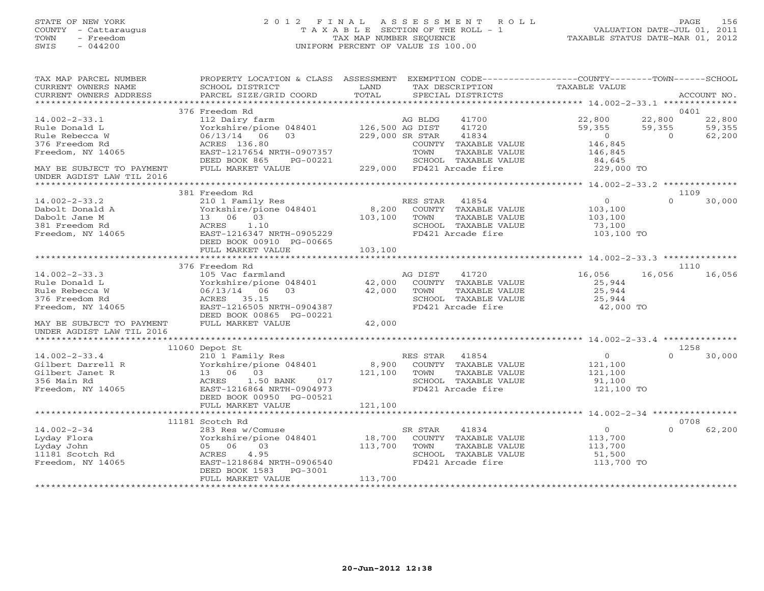# STATE OF NEW YORK 2 0 1 2 F I N A L A S S E S S M E N T R O L L PAGE 156 COUNTY - Cattaraugus T A X A B L E SECTION OF THE ROLL - 1 VALUATION DATE-JUL 01, 2011 TOWN - Freedom TAX MAP NUMBER SEQUENCE TAXABLE STATUS DATE-MAR 01, 2012 SWIS - 044200 UNIFORM PERCENT OF VALUE IS 100.00UNIFORM PERCENT OF VALUE IS 100.00

| TAX MAP PARCEL NUMBER<br>CURRENT OWNERS NAME<br>CURRENT OWNERS ADDRESS                          | PROPERTY LOCATION & CLASS ASSESSMENT EXEMPTION CODE----------------COUNTY-------TOWN------SCHOOL<br>SCHOOL DISTRICT<br>PARCEL SIZE/GRID COORD             | LAND<br>TOTAL                | TAX DESCRIPTION<br>SPECIAL DISTRICTS                                                                           | TAXABLE VALUE                                                |                              | ACCOUNT NO.                |
|-------------------------------------------------------------------------------------------------|-----------------------------------------------------------------------------------------------------------------------------------------------------------|------------------------------|----------------------------------------------------------------------------------------------------------------|--------------------------------------------------------------|------------------------------|----------------------------|
| **********************                                                                          |                                                                                                                                                           |                              |                                                                                                                |                                                              |                              |                            |
|                                                                                                 | 376 Freedom Rd                                                                                                                                            |                              |                                                                                                                |                                                              |                              | 0401                       |
| $14.002 - 2 - 33.1$<br>Rule Donald L<br>Rule Rebecca W<br>376 Freedom Rd                        | 112 Dairy farm<br>Yorkshire/pione 048401<br>06/13/14 06<br>03<br>ACRES 136.80                                                                             | 126,500 AG DIST              | AG BLDG<br>41700<br>41720<br>229,000 SR STAR<br>41834<br>COUNTY TAXABLE VALUE                                  | 22,800<br>59,355<br>$\overline{0}$<br>146,845                | 22,800<br>59,355<br>$\Omega$ | 22,800<br>59,355<br>62,200 |
| Freedom, NY 14065                                                                               | EAST-1217654 NRTH-0907357<br>DEED BOOK 865<br>PG-00221                                                                                                    |                              | TOWN<br>TAXABLE VALUE<br>SCHOOL TAXABLE VALUE                                                                  | 146,845<br>84,645                                            |                              |                            |
| MAY BE SUBJECT TO PAYMENT                                                                       | FULL MARKET VALUE                                                                                                                                         |                              | 229,000 FD421 Arcade fire                                                                                      | 229,000 TO                                                   |                              |                            |
| UNDER AGDIST LAW TIL 2016                                                                       |                                                                                                                                                           |                              |                                                                                                                |                                                              |                              |                            |
|                                                                                                 | 381 Freedom Rd                                                                                                                                            |                              |                                                                                                                |                                                              |                              | 1109                       |
| $14.002 - 2 - 33.2$<br>Dabolt Donald A<br>Dabolt Jane M<br>381 Freedom Rd                       | 210 1 Family Res<br>Yorkshire/pione 048401<br>13  06  03<br>1.10<br>ACRES                                                                                 | 8,200<br>103,100             | RES STAR<br>41854<br>COUNTY TAXABLE VALUE<br>TOWN<br>TAXABLE VALUE<br>SCHOOL TAXABLE VALUE                     | $\circ$<br>103,100<br>103,100<br>73,100                      | $\Omega$                     | 30,000                     |
| Freedom, NY 14065                                                                               | EAST-1216347 NRTH-0905229<br>DEED BOOK 00910 PG-00665<br>FULL MARKET VALUE                                                                                | 103,100                      | FD421 Arcade fire                                                                                              | 103,100 TO                                                   |                              |                            |
|                                                                                                 |                                                                                                                                                           |                              |                                                                                                                |                                                              |                              |                            |
|                                                                                                 | 376 Freedom Rd                                                                                                                                            |                              |                                                                                                                |                                                              |                              | 1110                       |
| $14.002 - 2 - 33.3$<br>Rule Donald L<br>Rule Rebecca W<br>376 Freedom Rd<br>Freedom, NY 14065   | 105 Vac farmland<br>Yorkshire/pione 048401<br>06/13/14 06<br>0.3<br>ACRES 35.15<br>EAST-1216505 NRTH-0904387<br>DEED BOOK 00865 PG-00221                  | 42,000<br>42,000             | 41720<br>AG DIST<br>COUNTY TAXABLE VALUE<br>TOWN<br>TAXABLE VALUE<br>SCHOOL TAXABLE VALUE<br>FD421 Arcade fire | 16,056<br>25,944<br>25,944<br>25,944<br>42,000 TO            | 16,056                       | 16,056                     |
| MAY BE SUBJECT TO PAYMENT<br>UNDER AGDIST LAW TIL 2016                                          | FULL MARKET VALUE                                                                                                                                         | 42,000                       |                                                                                                                |                                                              |                              |                            |
|                                                                                                 | 11060 Depot St                                                                                                                                            |                              |                                                                                                                |                                                              |                              | 1258                       |
| $14.002 - 2 - 33.4$<br>Gilbert Darrell R<br>Gilbert Janet R<br>356 Main Rd<br>Freedom, NY 14065 | 210 1 Family Res<br>Yorkshire/pione 048401<br>13 06 03<br>ACRES<br>1.50 BANK<br>017<br>EAST-1216864 NRTH-0904973<br>DEED BOOK 00950 PG-00521              | 8,900<br>121,100             | RES STAR 41854<br>COUNTY TAXABLE VALUE<br>TOWN<br>TAXABLE VALUE<br>SCHOOL TAXABLE VALUE<br>FD421 Arcade fire   | $\circ$<br>121,100<br>121,100<br>91,100<br>121,100 TO        | $\Omega$                     | 30,000                     |
|                                                                                                 | FULL MARKET VALUE<br>************************                                                                                                             | 121,100<br>************      | **************************************4.002-2-34 *****************                                             |                                                              |                              |                            |
|                                                                                                 | 11181 Scotch Rd                                                                                                                                           |                              |                                                                                                                |                                                              |                              | 0708                       |
| $14.002 - 2 - 34$<br>Lyday Flora<br>Lyday John<br>11181 Scotch Rd<br>Freedom, NY 14065          | 283 Res w/Comuse<br>Yorkshire/pione 048401<br>05 06<br>03<br>4.95<br>ACRES<br>EAST-1218684 NRTH-0906540<br>DEED BOOK 1583<br>PG-3001<br>FULL MARKET VALUE | 18,700<br>113,700<br>113,700 | SR STAR<br>41834<br>COUNTY TAXABLE VALUE<br>TOWN<br>TAXABLE VALUE<br>SCHOOL TAXABLE VALUE<br>FD421 Arcade fire | $\overline{0}$<br>113,700<br>113,700<br>51,500<br>113,700 TO | $\Omega$                     | 62,200                     |
|                                                                                                 |                                                                                                                                                           |                              |                                                                                                                |                                                              |                              |                            |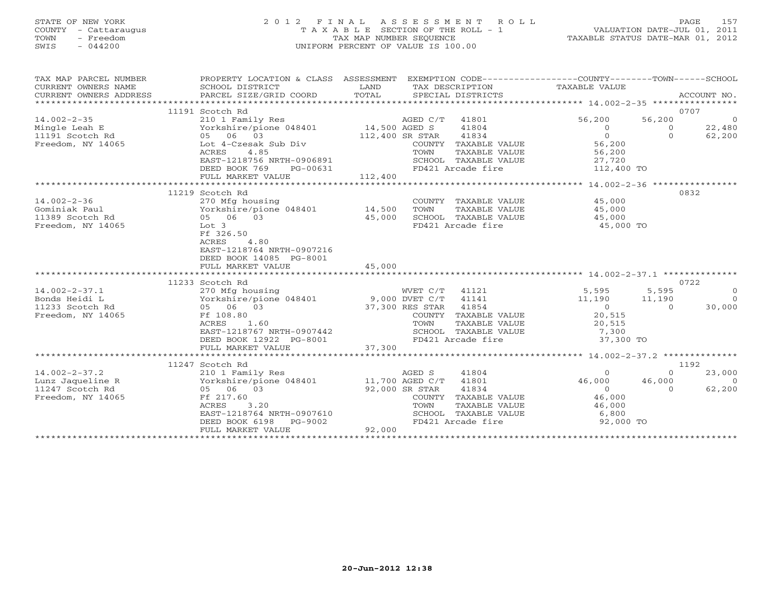# STATE OF NEW YORK 2 0 1 2 F I N A L A S S E S S M E N T R O L L PAGE 157 COUNTY - Cattaraugus T A X A B L E SECTION OF THE ROLL - 1 VALUATION DATE-JUL 01, 2011 TOWN - Freedom TAX MAP NUMBER SEQUENCE TAXABLE STATUS DATE-MAR 01, 2012 SWIS - 044200 UNIFORM PERCENT OF VALUE IS 100.00UNIFORM PERCENT OF VALUE IS 100.00

| TAX MAP PARCEL NUMBER<br>CURRENT OWNERS NAME<br>CURRENT OWNERS ADDRESS<br>********************** | PROPERTY LOCATION & CLASS ASSESSMENT EXEMPTION CODE---------------COUNTY-------TOWN------SCHOOL<br>SCHOOL DISTRICT<br>PARCEL SIZE/GRID COORD | LAND<br>TOTAL         |                 | SPECIAL DISTRICTS    | TAX DESCRIPTION TAXABLE VALUE                |                     | ACCOUNT NO.    |
|--------------------------------------------------------------------------------------------------|----------------------------------------------------------------------------------------------------------------------------------------------|-----------------------|-----------------|----------------------|----------------------------------------------|---------------------|----------------|
|                                                                                                  | 11191 Scotch Rd                                                                                                                              |                       |                 |                      |                                              |                     | 0707           |
| $14.002 - 2 - 35$                                                                                | 210 1 Family Res                                                                                                                             |                       | AGED C/T 41801  |                      | 56,200                                       |                     | $\overline{0}$ |
|                                                                                                  | Yorkshire/pione 048401 14,500 AGED S                                                                                                         |                       |                 |                      |                                              | 56,200              | 22,480         |
| Mingle Leah E                                                                                    | 05 06 03                                                                                                                                     |                       |                 | 41804                | $\Omega$<br>$\Omega$                         | $\circ$<br>$\Omega$ |                |
| 11191 Scotch Rd                                                                                  |                                                                                                                                              |                       | 112,400 SR STAR | 41834                |                                              |                     | 62,200         |
| Freedom, NY 14065                                                                                | Lot 4-Czesak Sub Div                                                                                                                         |                       |                 | COUNTY TAXABLE VALUE | 56,200                                       |                     |                |
|                                                                                                  | ACRES<br>4.85                                                                                                                                |                       | TOWN            | TAXABLE VALUE        | 56,200                                       |                     |                |
|                                                                                                  | EAST-1218756 NRTH-0906891                                                                                                                    |                       |                 | SCHOOL TAXABLE VALUE | 27,720                                       |                     |                |
|                                                                                                  | DEED BOOK 769<br>PG-00631                                                                                                                    |                       |                 | FD421 Arcade fire    | 112,400 TO                                   |                     |                |
|                                                                                                  | FULL MARKET VALUE                                                                                                                            | 112,400               |                 |                      |                                              |                     |                |
|                                                                                                  |                                                                                                                                              |                       |                 |                      | ************** 14.002-2-36 ***************** |                     |                |
|                                                                                                  | 11219 Scotch Rd                                                                                                                              |                       |                 |                      |                                              |                     | 0832           |
| $14.002 - 2 - 36$                                                                                | 270 Mfg housing                                                                                                                              |                       |                 |                      | COUNTY TAXABLE VALUE 45,000                  |                     |                |
| Gominiak Paul                                                                                    | Yorkshire/pione 048401 14,500                                                                                                                |                       | TOWN            | TAXABLE VALUE        | 45,000<br>45,000                             |                     |                |
| 11389 Scotch Rd                                                                                  | 05 06 03                                                                                                                                     | 45,000                |                 | SCHOOL TAXABLE VALUE |                                              |                     |                |
| Freedom, NY 14065                                                                                | Lot 3                                                                                                                                        |                       |                 | FD421 Arcade fire    | 45,000 TO                                    |                     |                |
|                                                                                                  | Ff 326.50                                                                                                                                    |                       |                 |                      |                                              |                     |                |
|                                                                                                  | 4.80<br>ACRES                                                                                                                                |                       |                 |                      |                                              |                     |                |
|                                                                                                  | EAST-1218764 NRTH-0907216                                                                                                                    |                       |                 |                      |                                              |                     |                |
|                                                                                                  | DEED BOOK 14085 PG-8001                                                                                                                      |                       |                 |                      |                                              |                     |                |
|                                                                                                  | FULL MARKET VALUE                                                                                                                            | 45,000                |                 |                      |                                              |                     |                |
|                                                                                                  |                                                                                                                                              | ******************    |                 |                      |                                              |                     |                |
|                                                                                                  | 11233 Scotch Rd                                                                                                                              |                       |                 |                      |                                              |                     | 0722           |
| $14.002 - 2 - 37.1$                                                                              | 270 Mfg housing                                                                                                                              |                       | WVET C/T 41121  |                      | 5,595                                        | 5,595               | $\overline{0}$ |
| Bonds Heidi L                                                                                    | Yorkshire/pione 048401 9,000 DVET C/T                                                                                                        |                       |                 | 41141                | 11,190   11,190                              |                     | $\bigcap$      |
| 11233 Scotch Rd                                                                                  | 05 06 03                                                                                                                                     | 37,300 RES STAR 41854 |                 |                      | $\overline{0}$                               | $\Omega$            | 30,000         |
| Freedom, NY 14065                                                                                | Ff 108.80                                                                                                                                    |                       |                 | COUNTY TAXABLE VALUE | 20,515                                       |                     |                |
|                                                                                                  | 1.60<br>ACRES                                                                                                                                |                       | TOWN            | TAXABLE VALUE        | 20,515                                       |                     |                |
|                                                                                                  | EAST-1218767 NRTH-0907442                                                                                                                    |                       |                 | SCHOOL TAXABLE VALUE | $\frac{7}{2}$ , 300                          |                     |                |
|                                                                                                  | DEED BOOK 12922 PG-8001                                                                                                                      |                       |                 | FD421 Arcade fire    | 37,300 TO                                    |                     |                |
|                                                                                                  | FULL MARKET VALUE                                                                                                                            | 37,300                |                 |                      |                                              |                     |                |
|                                                                                                  |                                                                                                                                              |                       |                 |                      |                                              |                     |                |
|                                                                                                  | 11247 Scotch Rd                                                                                                                              |                       |                 |                      |                                              |                     | 1192           |
| $14.002 - 2 - 37.2$                                                                              | 210 1 Family Res                                                                                                                             |                       | AGED S          | 41804                | $\Omega$                                     | $\Omega$            | 23,000         |
| Lunz Jaqueline R                                                                                 | Yorkshire/pione 048401                                                                                                                       | 11,700 AGED C/T       |                 | 41801                | 46,000                                       | 46,000              | $\bigcirc$     |
| 11247 Scotch Rd                                                                                  | 05 06 03                                                                                                                                     | 92,000 SR STAR        |                 | 41834                | $\overline{0}$                               | $\Omega$            | 62,200         |
| Freedom, NY 14065                                                                                | Ff 217.60                                                                                                                                    |                       |                 | COUNTY TAXABLE VALUE | 46,000                                       |                     |                |
|                                                                                                  | ACRES<br>3.20                                                                                                                                |                       | TOWN            | TAXABLE VALUE        | 46,000                                       |                     |                |
|                                                                                                  | EAST-1218764 NRTH-0907610                                                                                                                    |                       |                 | SCHOOL TAXABLE VALUE | 6,800                                        |                     |                |
|                                                                                                  | DEED BOOK 6198<br>PG-9002                                                                                                                    |                       |                 | FD421 Arcade fire    | $92,000$ TO                                  |                     |                |
|                                                                                                  | FULL MARKET VALUE                                                                                                                            | 92,000                |                 |                      |                                              |                     |                |
|                                                                                                  |                                                                                                                                              |                       |                 |                      |                                              |                     |                |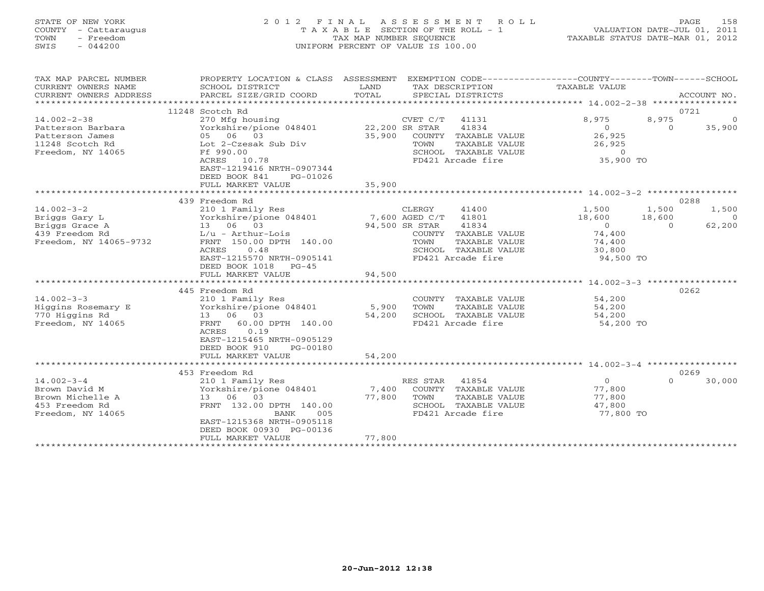#### STATE OF NEW YORK 2 0 1 2 F I N A L A S S E S S M E N T R O L L PAGE 158 COUNTY - Cattaraugus T A X A B L E SECTION OF THE ROLL - 1 VALUATION DATE-JUL 01, 2011 TOWN - Freedom TAX MAP NUMBER SEQUENCE TAXABLE STATUS DATE-MAR 01, 2012 SWIS - 044200 UNIFORM PERCENT OF VALUE IS 100.00UNIFORM PERCENT OF VALUE IS 100.00

| TAX MAP PARCEL NUMBER<br>CURRENT OWNERS NAME<br>CURRENT OWNERS ADDRESS | PROPERTY LOCATION & CLASS ASSESSMENT<br>SCHOOL DISTRICT<br>PARCEL SIZE/GRID COORD          | LAND<br>TOTAL         | EXEMPTION CODE-----------------COUNTY-------TOWN------SCHOOL<br>TAX DESCRIPTION<br>SPECIAL DISTRICTS | TAXABLE VALUE                                 | ACCOUNT NO.        |
|------------------------------------------------------------------------|--------------------------------------------------------------------------------------------|-----------------------|------------------------------------------------------------------------------------------------------|-----------------------------------------------|--------------------|
|                                                                        |                                                                                            |                       |                                                                                                      |                                               |                    |
|                                                                        | 11248 Scotch Rd                                                                            |                       |                                                                                                      |                                               | 0721               |
| $14.002 - 2 - 38$                                                      | 270 Mfg housing                                                                            |                       | CVET C/T<br>41131                                                                                    | 8,975                                         | 8,975<br>$\Omega$  |
| Patterson Barbara                                                      | Yorkshire/pione 048401                                                                     | 22,200 SR STAR        | 41834                                                                                                | $\Omega$                                      | 35,900<br>$\Omega$ |
| Patterson James                                                        | 05 06 03                                                                                   | 35,900                | COUNTY TAXABLE VALUE                                                                                 | 26,925                                        |                    |
| 11248 Scotch Rd                                                        | Lot 2-Czesak Sub Div                                                                       |                       | TAXABLE VALUE<br>TOWN                                                                                | 26,925                                        |                    |
| Freedom, NY 14065                                                      | Ff 990.00                                                                                  |                       | SCHOOL TAXABLE VALUE                                                                                 | $\circ$                                       |                    |
|                                                                        | ACRES 10.78<br>EAST-1219416 NRTH-0907344<br>DEED BOOK 841<br>PG-01026<br>FULL MARKET VALUE | 35,900                | FD421 Arcade fire                                                                                    | 35,900 TO                                     |                    |
|                                                                        |                                                                                            |                       |                                                                                                      |                                               |                    |
|                                                                        | 439 Freedom Rd                                                                             |                       |                                                                                                      |                                               | 0288               |
| $14.002 - 3 - 2$                                                       | 210 1 Family Res                                                                           |                       | CLERGY<br>41400                                                                                      | 1,500                                         | 1,500<br>1,500     |
| Briggs Gary L                                                          | Yorkshire/pione 048401                                                                     |                       | 7,600 AGED C/T 41801                                                                                 | 18,600                                        | 18,600<br>$\Omega$ |
| Briggs Grace A                                                         | 13 06 03                                                                                   |                       | 94,500 SR STAR<br>41834                                                                              | $\Omega$                                      | 62,200<br>$\Omega$ |
| 439 Freedom Rd                                                         | $L/u - Arthur-Lois$                                                                        |                       | COUNTY TAXABLE VALUE                                                                                 | 74,400                                        |                    |
| Freedom, NY 14065-9732                                                 | FRNT 150.00 DPTH 140.00                                                                    |                       | TAXABLE VALUE<br>TOWN                                                                                | 74,400                                        |                    |
|                                                                        | ACRES<br>0.48                                                                              |                       | SCHOOL TAXABLE VALUE                                                                                 | 30,800                                        |                    |
|                                                                        | EAST-1215570 NRTH-0905141                                                                  |                       | FD421 Arcade fire                                                                                    | 94,500 TO                                     |                    |
|                                                                        | DEED BOOK 1018 PG-45                                                                       |                       |                                                                                                      |                                               |                    |
|                                                                        | FULL MARKET VALUE                                                                          | 94,500                |                                                                                                      |                                               |                    |
|                                                                        |                                                                                            | ********************* |                                                                                                      | **************** 14.002-3-3 ***************** |                    |
|                                                                        | 445 Freedom Rd                                                                             |                       |                                                                                                      |                                               | 0262               |
| $14.002 - 3 - 3$                                                       | 210 1 Family Res                                                                           |                       | COUNTY TAXABLE VALUE                                                                                 | 54,200                                        |                    |
| Higgins Rosemary E                                                     | Yorkshire/pione 048401                                                                     | 5,900                 | TOWN<br>TAXABLE VALUE                                                                                | 54,200                                        |                    |
| 770 Higgins Rd                                                         | 13 06 03                                                                                   | 54,200                | SCHOOL TAXABLE VALUE                                                                                 | 54,200                                        |                    |
| Freedom, NY 14065                                                      | FRNT 60.00 DPTH 140.00                                                                     |                       | FD421 Arcade fire                                                                                    | 54,200 TO                                     |                    |
|                                                                        | 0.19<br>ACRES                                                                              |                       |                                                                                                      |                                               |                    |
|                                                                        | EAST-1215465 NRTH-0905129                                                                  |                       |                                                                                                      |                                               |                    |
|                                                                        | DEED BOOK 910<br>PG-00180                                                                  |                       |                                                                                                      |                                               |                    |
|                                                                        | FULL MARKET VALUE                                                                          | 54,200                |                                                                                                      |                                               |                    |
|                                                                        |                                                                                            |                       |                                                                                                      |                                               |                    |
|                                                                        | 453 Freedom Rd                                                                             |                       |                                                                                                      |                                               | 0269               |
| $14.002 - 3 - 4$                                                       | 210 1 Family Res                                                                           |                       | 41854<br>RES STAR                                                                                    | $\circ$                                       | $\Omega$<br>30,000 |
| Brown David M                                                          | Yorkshire/pione 048401                                                                     | 7,400                 | COUNTY TAXABLE VALUE                                                                                 | 77,800                                        |                    |
| Brown Michelle A                                                       | 13 06 03                                                                                   | 77,800                | TOWN<br>TAXABLE VALUE                                                                                | 77,800                                        |                    |
| 453 Freedom Rd                                                         | FRNT 132.00 DPTH 140.00                                                                    |                       | SCHOOL TAXABLE VALUE                                                                                 | 47,800                                        |                    |
| Freedom, NY 14065                                                      | 005<br>BANK                                                                                |                       | FD421 Arcade fire                                                                                    | 77,800 TO                                     |                    |
|                                                                        | EAST-1215368 NRTH-0905118                                                                  |                       |                                                                                                      |                                               |                    |
|                                                                        | DEED BOOK 00930 PG-00136                                                                   |                       |                                                                                                      |                                               |                    |
|                                                                        | FULL MARKET VALUE                                                                          | 77,800                |                                                                                                      |                                               |                    |
|                                                                        |                                                                                            |                       |                                                                                                      |                                               |                    |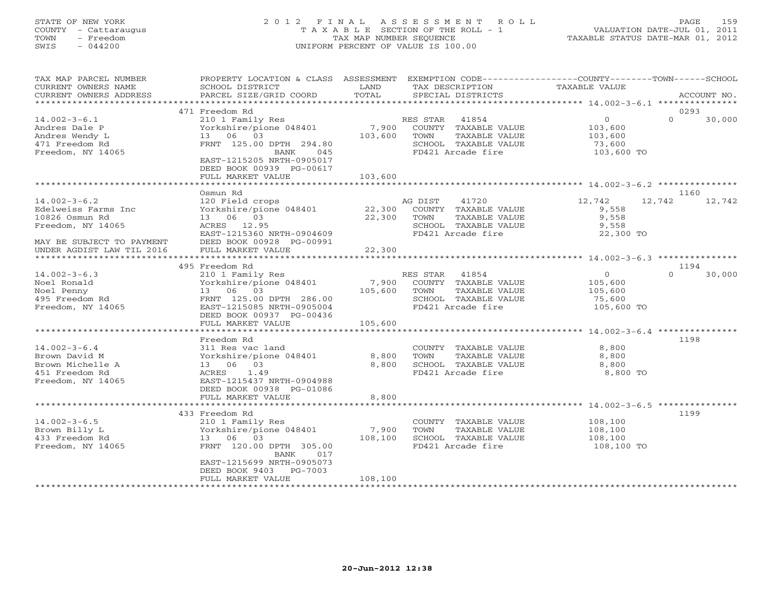## STATE OF NEW YORK 2 0 1 2 F I N A L A S S E S S M E N T R O L L PAGE 159 COUNTY - Cattaraugus T A X A B L E SECTION OF THE ROLL - 1 VALUATION DATE-JUL 01, 2011 TOWN - Freedom TAX MAP NUMBER SEQUENCE TAXABLE STATUS DATE-MAR 01, 2012 SWIS - 044200 UNIFORM PERCENT OF VALUE IS 100.00UNIFORM PERCENT OF VALUE IS 100.00

| TAX MAP PARCEL NUMBER<br>CURRENT OWNERS NAME<br>CURRENT OWNERS ADDRESS                                        | PROPERTY LOCATION & CLASS ASSESSMENT<br>SCHOOL DISTRICT<br>PARCEL SIZE/GRID COORD                                                                                            | LAND<br>TOTAL    | EXEMPTION CODE-----------------COUNTY-------TOWN------SCHOOL<br>TAX DESCRIPTION<br>SPECIAL DISTRICTS            | TAXABLE VALUE                                                | ACCOUNT NO.        |
|---------------------------------------------------------------------------------------------------------------|------------------------------------------------------------------------------------------------------------------------------------------------------------------------------|------------------|-----------------------------------------------------------------------------------------------------------------|--------------------------------------------------------------|--------------------|
|                                                                                                               |                                                                                                                                                                              |                  |                                                                                                                 |                                                              |                    |
|                                                                                                               | 471 Freedom Rd                                                                                                                                                               |                  |                                                                                                                 |                                                              | 0293               |
| $14.002 - 3 - 6.1$<br>Andres Dale P<br>Andres Wendy L<br>471 Freedom Rd<br>Freedom, NY 14065                  | 210 1 Family Res<br>Yorkshire/pione 048401<br>13 06 03<br>FRNT 125.00 DPTH 294.80<br><b>BANK</b><br>045<br>EAST-1215205 NRTH-0905017<br>DEED BOOK 00939 PG-00617             | 7,900<br>103,600 | RES STAR<br>41854<br>COUNTY TAXABLE VALUE<br>TAXABLE VALUE<br>TOWN<br>SCHOOL TAXABLE VALUE<br>FD421 Arcade fire | $\overline{0}$<br>103,600<br>103,600<br>73,600<br>103,600 TO | $\Omega$<br>30,000 |
|                                                                                                               | FULL MARKET VALUE                                                                                                                                                            | 103,600          |                                                                                                                 |                                                              |                    |
|                                                                                                               |                                                                                                                                                                              |                  |                                                                                                                 |                                                              |                    |
|                                                                                                               | Osmun Rd                                                                                                                                                                     |                  |                                                                                                                 |                                                              | 1160               |
| $14.002 - 3 - 6.2$<br>Edelweiss Farms Inc<br>10826 Osmun Rd<br>Freedom, NY 14065<br>MAY BE SUBJECT TO PAYMENT | 120 Field crops<br>Yorkshire/pione 048401<br>13 06 03<br>ACRES 12.95<br>EAST-1215360 NRTH-0904609<br>DEED BOOK 00928 PG-00991                                                | 22,300<br>22,300 | AG DIST<br>41720<br>COUNTY TAXABLE VALUE<br>TOWN<br>TAXABLE VALUE<br>SCHOOL TAXABLE VALUE<br>FD421 Arcade fire  | 12,742<br>9,558<br>9,558<br>9,558<br>22,300 TO               | 12,742<br>12,742   |
| UNDER AGDIST LAW TIL 2016                                                                                     | FULL MARKET VALUE                                                                                                                                                            | 22,300           |                                                                                                                 |                                                              |                    |
| *********************                                                                                         | ******************************                                                                                                                                               |                  |                                                                                                                 |                                                              |                    |
|                                                                                                               | 495 Freedom Rd                                                                                                                                                               |                  |                                                                                                                 |                                                              | 1194               |
| $14.002 - 3 - 6.3$<br>Noel Ronald<br>Noel Penny<br>495 Freedom Rd<br>Freedom, NY 14065                        | 210 1 Family Res<br>Yorkshire/pione 048401<br>13 06 03<br>FRNT 125.00 DPTH 286.00<br>EAST-1215085 NRTH-0905004<br>DEED BOOK 00937 PG-00436                                   | 7,900<br>105,600 | RES STAR<br>41854<br>COUNTY TAXABLE VALUE<br>TOWN<br>TAXABLE VALUE<br>SCHOOL TAXABLE VALUE<br>FD421 Arcade fire | $\overline{O}$<br>105,600<br>105,600<br>75,600<br>105,600 TO | $\Omega$<br>30,000 |
|                                                                                                               | FULL MARKET VALUE                                                                                                                                                            | 105,600          |                                                                                                                 |                                                              |                    |
|                                                                                                               | Freedom Rd                                                                                                                                                                   |                  |                                                                                                                 |                                                              | 1198               |
| $14.002 - 3 - 6.4$<br>Brown David M<br>Brown Michelle A<br>451 Freedom Rd<br>Freedom, NY 14065                | 311 Res vac land<br>Yorkshire/pione 048401<br>13 06 03<br>1.49<br>ACRES<br>EAST-1215437 NRTH-0904988<br>DEED BOOK 00938 PG-01086                                             | 8,800<br>8,800   | COUNTY TAXABLE VALUE<br>TAXABLE VALUE<br>TOWN<br>SCHOOL TAXABLE VALUE<br>FD421 Arcade fire                      | 8,800<br>8,800<br>8,800<br>8,800 TO                          |                    |
|                                                                                                               | FULL MARKET VALUE                                                                                                                                                            | 8,800            |                                                                                                                 |                                                              |                    |
|                                                                                                               |                                                                                                                                                                              |                  |                                                                                                                 |                                                              |                    |
| $14.002 - 3 - 6.5$<br>Brown Billy L<br>433 Freedom Rd<br>Freedom, NY 14065                                    | 433 Freedom Rd<br>210 1 Family Res<br>Yorkshire/pione 048401<br>13 06 03<br>FRNT 120.00 DPTH 305.00<br>BANK<br>017<br>EAST-1215699 NRTH-0905073<br>DEED BOOK 9403<br>PG-7003 | 7,900<br>108,100 | COUNTY TAXABLE VALUE<br>TOWN<br>TAXABLE VALUE<br>SCHOOL TAXABLE VALUE<br>FD421 Arcade fire                      | 108,100<br>108,100<br>108,100<br>108,100 TO                  | 1199               |
|                                                                                                               | FULL MARKET VALUE                                                                                                                                                            | 108,100          |                                                                                                                 |                                                              |                    |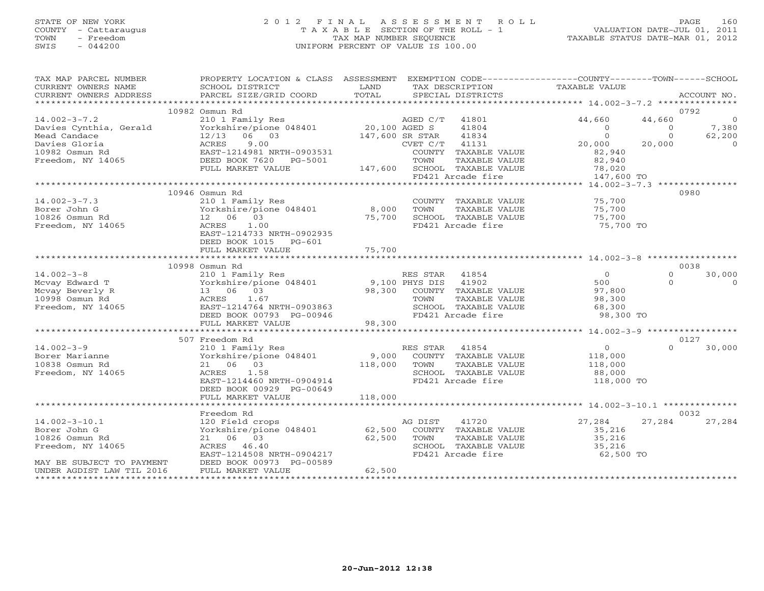# STATE OF NEW YORK 2 0 1 2 F I N A L A S S E S S M E N T R O L L PAGE 160 COUNTY - Cattaraugus T A X A B L E SECTION OF THE ROLL - 1 VALUATION DATE-JUL 01, 2011 TOWN - Freedom TAX MAP NUMBER SEQUENCE TAXABLE STATUS DATE-MAR 01, 2012 SWIS - 044200 UNIFORM PERCENT OF VALUE IS 100.00UNIFORM PERCENT OF VALUE IS 100.00

| TAX MAP PARCEL NUMBER     | PROPERTY LOCATION & CLASS ASSESSMENT                                                    |         |                              |               | EXEMPTION CODE-----------------COUNTY-------TOWN------SCHOOL |          |                |
|---------------------------|-----------------------------------------------------------------------------------------|---------|------------------------------|---------------|--------------------------------------------------------------|----------|----------------|
| CURRENT OWNERS NAME       | SCHOOL DISTRICT                                                                         | LAND    | TAX DESCRIPTION              |               | TAXABLE VALUE                                                |          |                |
| CURRENT OWNERS ADDRESS    | PARCEL SIZE/GRID COORD                                                                  | TOTAL   | SPECIAL DISTRICTS            |               |                                                              |          | ACCOUNT NO.    |
|                           |                                                                                         |         |                              |               |                                                              |          |                |
|                           | 10982 Osmun Rd                                                                          |         |                              |               |                                                              | 0792     |                |
| $14.002 - 3 - 7.2$        | 210 1 Family Res<br>Yorkshire/pione 048401 20,100 AGED S<br>12/13 06 03 147,600 SR STAR |         | AGED C/T 41801               |               | 44,660                                                       | 44,660   | $\overline{0}$ |
| Davies Cynthia, Gerald    |                                                                                         |         | 41804                        |               | $\overline{0}$                                               | $\circ$  | 7,380          |
| Mead Candace              |                                                                                         |         | 41834<br>147,600 SR STAR     |               | $\Omega$                                                     | $\Omega$ | 62,200         |
| Davies Gloria             | 9.00<br>ACRES                                                                           |         | 41131<br>CVET C/T            |               | 20,000                                                       | 20,000   | $\Omega$       |
| 10982 Osmun Rd            | EAST-1214981 NRTH-0903531                                                               |         | COUNTY TAXABLE VALUE         |               | 82,940                                                       |          |                |
| Freedom, NY 14065         | DEED BOOK 7620 PG-5001                                                                  |         | TOWN                         | TAXABLE VALUE | 82,940                                                       |          |                |
|                           | FULL MARKET VALUE                                                                       |         | 147,600 SCHOOL TAXABLE VALUE |               | 78,020                                                       |          |                |
|                           |                                                                                         |         | FD421 Arcade fire            |               | 147,600 TO                                                   |          |                |
|                           |                                                                                         |         |                              |               |                                                              |          |                |
|                           | 10946 Osmun Rd                                                                          |         |                              |               |                                                              | 0980     |                |
| $14.002 - 3 - 7.3$        | 210 1 Family Res                                                                        |         | COUNTY TAXABLE VALUE         |               | 75,700                                                       |          |                |
| Borer John G              | Yorkshire/pione 048401                                                                  | 8,000   | TOWN                         | TAXABLE VALUE | 75,700                                                       |          |                |
| 10826 Osmun Rd            | 12 06 03                                                                                | 75,700  | SCHOOL TAXABLE VALUE         |               | 75,700                                                       |          |                |
| Freedom, NY 14065         | 1.00<br>ACRES                                                                           |         | FD421 Arcade fire            |               | 75,700 TO                                                    |          |                |
|                           | EAST-1214733 NRTH-0902935                                                               |         |                              |               |                                                              |          |                |
|                           | DEED BOOK 1015 PG-601                                                                   |         |                              |               |                                                              |          |                |
|                           |                                                                                         |         |                              |               |                                                              |          |                |
|                           |                                                                                         |         |                              |               |                                                              |          |                |
|                           | 10998 Osmun Rd                                                                          |         |                              |               |                                                              | 0038     |                |
| $14.002 - 3 - 8$          | 210 1 Family Res                                                                        |         | RES STAR<br>41854            |               | $\overline{0}$                                               | $\Omega$ | 30,000         |
| Mcvay Edward T            | Yorkshire/pione 048401 9,100 PHYS DIS                                                   |         | 41902                        |               | 500                                                          | $\Omega$ | $\Omega$       |
| Mcvay Beverly R           | 13 06 03                                                                                |         | 98,300 COUNTY TAXABLE VALUE  |               | 97,800                                                       |          |                |
| 10998 Osmun Rd            | ACRES<br>1.67                                                                           |         | TOWN                         | TAXABLE VALUE | 98,300                                                       |          |                |
| Freedom, NY 14065         | EAST-1214764 NRTH-0903863                                                               |         | SCHOOL TAXABLE VALUE         |               | 68,300                                                       |          |                |
|                           | DEED BOOK 00793 PG-00946                                                                |         | FD421 Arcade fire            |               | 98,300 TO                                                    |          |                |
|                           | FULL MARKET VALUE                                                                       | 98,300  |                              |               |                                                              |          |                |
|                           |                                                                                         |         |                              |               |                                                              |          |                |
|                           | 507 Freedom Rd                                                                          |         |                              |               |                                                              | 0127     |                |
| $14.002 - 3 - 9$          | 210 1 Family Res                                                                        |         | RES STAR 41854               |               | $\overline{0}$                                               | $\Omega$ | 30,000         |
| Borer Marianne            | Yorkshire/pione 048401                                                                  |         | 9,000 COUNTY TAXABLE VALUE   |               | 118,000                                                      |          |                |
| 10838 Osmun Rd            | 21 06 03                                                                                | 118,000 | TOWN                         | TAXABLE VALUE | 118,000                                                      |          |                |
| Freedom, NY 14065         | 1.58<br>ACRES                                                                           |         | SCHOOL TAXABLE VALUE         |               | 88,000                                                       |          |                |
|                           | EAST-1214460 NRTH-0904914                                                               |         | FD421 Arcade fire            |               | 118,000 TO                                                   |          |                |
|                           | DEED BOOK 00929 PG-00649                                                                |         |                              |               |                                                              |          |                |
|                           | FULL MARKET VALUE                                                                       | 118,000 |                              |               |                                                              |          |                |
|                           | *********************                                                                   |         |                              |               |                                                              |          |                |
|                           | Freedom Rd                                                                              |         |                              |               |                                                              | 0032     |                |
| $14.002 - 3 - 10.1$       | 120 Field crops                                                                         |         | 41720<br>AG DIST             |               | 27,284                                                       | 27,284   | 27,284         |
| Borer John G              | Yorkshire/pione 048401 62,500                                                           |         | COUNTY TAXABLE VALUE         |               | 35,216                                                       |          |                |
| 10826 Osmun Rd            | 21 06 03                                                                                | 62,500  | TOWN                         | TAXABLE VALUE | 35,216                                                       |          |                |
| Freedom, NY 14065         | ACRES 46.40                                                                             |         | SCHOOL TAXABLE VALUE         |               | 35,216                                                       |          |                |
|                           | EAST-1214508 NRTH-0904217                                                               |         | FD421 Arcade fire            |               | 62,500 TO                                                    |          |                |
| MAY BE SUBJECT TO PAYMENT | DEED BOOK 00973 PG-00589                                                                |         |                              |               |                                                              |          |                |
| UNDER AGDIST LAW TIL 2016 | FULL MARKET VALUE                                                                       | 62,500  |                              |               |                                                              |          |                |
|                           |                                                                                         |         |                              |               |                                                              |          |                |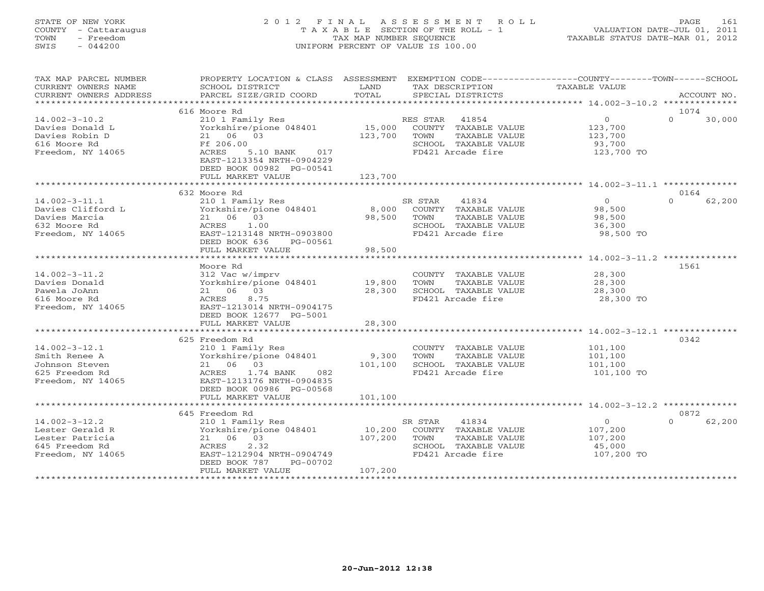# STATE OF NEW YORK 2 0 1 2 F I N A L A S S E S S M E N T R O L L PAGE 161 COUNTY - Cattaraugus T A X A B L E SECTION OF THE ROLL - 1 VALUATION DATE-JUL 01, 2011 TOWN - Freedom TAX MAP NUMBER SEQUENCE TAXABLE STATUS DATE-MAR 01, 2012 SWIS - 044200 UNIFORM PERCENT OF VALUE IS 100.00UNIFORM PERCENT OF VALUE IS 100.00

| TAX MAP PARCEL NUMBER<br>CURRENT OWNERS NAME<br>CURRENT OWNERS ADDRESS | PROPERTY LOCATION & CLASS ASSESSMENT<br>SCHOOL DISTRICT<br>PARCEL SIZE/GRID COORD                                 | LAND<br>TOTAL                     | TAX DESCRIPTION<br>SPECIAL DISTRICTS                               | EXEMPTION CODE-----------------COUNTY-------TOWN------SCHOOL<br>TAXABLE VALUE | ACCOUNT NO.        |
|------------------------------------------------------------------------|-------------------------------------------------------------------------------------------------------------------|-----------------------------------|--------------------------------------------------------------------|-------------------------------------------------------------------------------|--------------------|
|                                                                        |                                                                                                                   |                                   |                                                                    |                                                                               |                    |
|                                                                        | 616 Moore Rd                                                                                                      |                                   |                                                                    |                                                                               | 1074               |
| $14.002 - 3 - 10.2$<br>Davies Donald L<br>Davies Robin D               | 210 1 Family Res<br>Yorkshire/pione 048401 15,000<br>21 06 03                                                     | 123,700                           | RES STAR<br>41854<br>COUNTY TAXABLE VALUE<br>TOWN<br>TAXABLE VALUE | $\overline{0}$<br>123,700<br>123,700                                          | $\Omega$<br>30,000 |
| 616 Moore Rd<br>Freedom, NY 14065                                      | Ff 206.00<br>ACRES<br>5.10 BANK 017<br>EAST-1213354 NRTH-0904229<br>DEED BOOK 00982 PG-00541<br>FULL MARKET VALUE | 123,700                           | SCHOOL TAXABLE VALUE<br>FD421 Arcade fire                          | 93,700<br>123,700 TO                                                          |                    |
|                                                                        |                                                                                                                   |                                   |                                                                    |                                                                               |                    |
|                                                                        | 632 Moore Rd                                                                                                      |                                   |                                                                    |                                                                               | 0164               |
| $14.002 - 3 - 11.1$                                                    | 210 1 Family Res                                                                                                  |                                   | SR STAR<br>41834                                                   | $\Omega$                                                                      | $\cap$<br>62,200   |
| Davies Clifford L                                                      | Yorkshire/pione 048401                                                                                            | 8,000                             | COUNTY TAXABLE VALUE                                               | 98,500                                                                        |                    |
| Davies Marcia                                                          | 21 06 03                                                                                                          | 98,500                            | TOWN<br>TAXABLE VALUE                                              | 98,500                                                                        |                    |
| 632 Moore Rd                                                           | 1.00<br>ACRES                                                                                                     |                                   | SCHOOL TAXABLE VALUE                                               | 36,300                                                                        |                    |
| Freedom, NY 14065                                                      | EAST-1213148 NRTH-0903800                                                                                         |                                   | FD421 Arcade fire                                                  | 98,500 TO                                                                     |                    |
|                                                                        | DEED BOOK 636<br>PG-00561                                                                                         |                                   |                                                                    |                                                                               |                    |
|                                                                        | FULL MARKET VALUE<br>**********************************                                                           | 98,500<br>* * * * * * * * * * * * |                                                                    |                                                                               |                    |
|                                                                        |                                                                                                                   |                                   |                                                                    |                                                                               |                    |
| $14.002 - 3 - 11.2$                                                    | Moore Rd                                                                                                          |                                   | COUNTY TAXABLE VALUE                                               | 28,300                                                                        | 1561               |
| Davies Donald                                                          | 312 Vac w/imprv<br>Yorkshire/pione 048401                                                                         | 19,800                            | TAXABLE VALUE<br>TOWN                                              | 28,300                                                                        |                    |
| Pawela JoAnn                                                           | 21 06 03                                                                                                          | 28,300                            | SCHOOL TAXABLE VALUE                                               | 28,300                                                                        |                    |
| 616 Moore Rd                                                           | 8.75<br>ACRES                                                                                                     |                                   | FD421 Arcade fire                                                  | 28,300 TO                                                                     |                    |
| Freedom, NY 14065                                                      | EAST-1213014 NRTH-0904175                                                                                         |                                   |                                                                    |                                                                               |                    |
|                                                                        | DEED BOOK 12677 PG-5001                                                                                           |                                   |                                                                    |                                                                               |                    |
|                                                                        | FULL MARKET VALUE                                                                                                 | 28,300                            |                                                                    |                                                                               |                    |
|                                                                        |                                                                                                                   |                                   |                                                                    |                                                                               |                    |
|                                                                        | 625 Freedom Rd                                                                                                    |                                   |                                                                    |                                                                               | 0342               |
| $14.002 - 3 - 12.1$                                                    | 210 1 Family Res                                                                                                  |                                   | COUNTY TAXABLE VALUE                                               | 101,100                                                                       |                    |
| Smith Renee A                                                          | Yorkshire/pione 048401                                                                                            | 9,300                             | TAXABLE VALUE<br>TOWN                                              | 101,100                                                                       |                    |
| Johnson Steven                                                         | 21 06 03                                                                                                          | 101,100                           | SCHOOL TAXABLE VALUE                                               | 101,100                                                                       |                    |
| 625 Freedom Rd                                                         | 1.74 BANK<br>082<br>ACRES                                                                                         |                                   | FD421 Arcade fire                                                  | 101,100 TO                                                                    |                    |
| Freedom, NY 14065                                                      | EAST-1213176 NRTH-0904835<br>DEED BOOK 00986 PG-00568                                                             |                                   |                                                                    |                                                                               |                    |
|                                                                        | FULL MARKET VALUE                                                                                                 | 101,100                           |                                                                    |                                                                               |                    |
|                                                                        |                                                                                                                   |                                   |                                                                    |                                                                               | 0872               |
| $14.002 - 3 - 12.2$                                                    | 645 Freedom Rd                                                                                                    |                                   | SR STAR<br>41834                                                   | $\overline{0}$                                                                | 62,200<br>$\Omega$ |
| Lester Gerald R                                                        | 210 1 Family Res<br>Yorkshire/pione 048401                                                                        | 10,200                            | COUNTY TAXABLE VALUE                                               | 107,200                                                                       |                    |
| Lester Patricia                                                        | 21 06 03                                                                                                          | 107,200                           | TOWN<br>TAXABLE VALUE                                              | 107,200                                                                       |                    |
| 645 Freedom Rd                                                         | 2.32<br>ACRES                                                                                                     |                                   | SCHOOL TAXABLE VALUE                                               | 45,000                                                                        |                    |
| Freedom, NY 14065                                                      | EAST-1212904 NRTH-0904749                                                                                         |                                   | FD421 Arcade fire                                                  | 107,200 TO                                                                    |                    |
|                                                                        | DEED BOOK 787<br>PG-00702                                                                                         |                                   |                                                                    |                                                                               |                    |
|                                                                        | FULL MARKET VALUE                                                                                                 | 107,200                           |                                                                    |                                                                               |                    |
|                                                                        |                                                                                                                   |                                   |                                                                    |                                                                               |                    |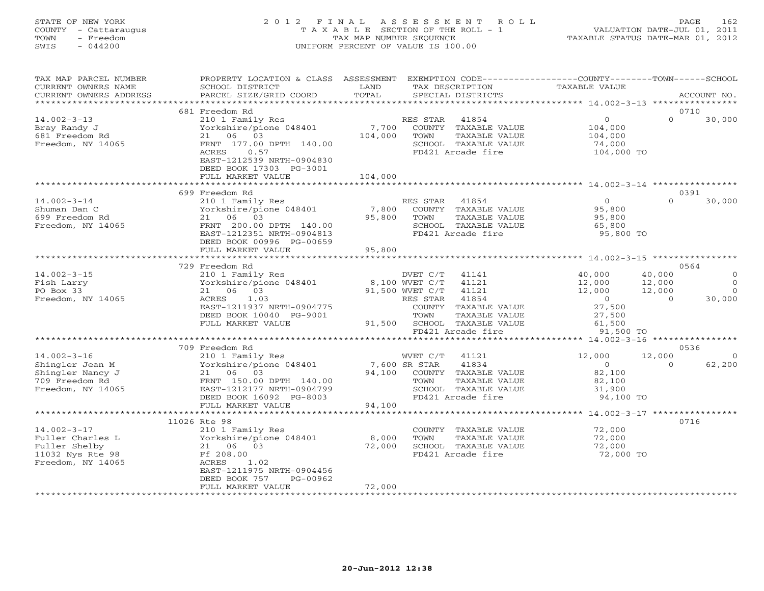# STATE OF NEW YORK 2 0 1 2 F I N A L A S S E S S M E N T R O L L PAGE 162 COUNTY - Cattaraugus T A X A B L E SECTION OF THE ROLL - 1 VALUATION DATE-JUL 01, 2011 TOWN - Freedom TAX MAP NUMBER SEQUENCE TAXABLE STATUS DATE-MAR 01, 2012 SWIS - 044200 UNIFORM PERCENT OF VALUE IS 100.00UNIFORM PERCENT OF VALUE IS 100.00

| TAX MAP PARCEL NUMBER<br>CURRENT OWNERS NAME<br>CURRENT OWNERS ADDRESS                          | PROPERTY LOCATION & CLASS ASSESSMENT<br>SCHOOL DISTRICT<br>PARCEL SIZE/GRID COORD                                                                                                                 | LAND<br>TOTAL               | EXEMPTION CODE-----------------COUNTY-------TOWN------SCHOOL<br>TAX DESCRIPTION<br>SPECIAL DISTRICTS                                                                      | TAXABLE VALUE                                                                           | ACCOUNT NO.                                                                                |
|-------------------------------------------------------------------------------------------------|---------------------------------------------------------------------------------------------------------------------------------------------------------------------------------------------------|-----------------------------|---------------------------------------------------------------------------------------------------------------------------------------------------------------------------|-----------------------------------------------------------------------------------------|--------------------------------------------------------------------------------------------|
|                                                                                                 |                                                                                                                                                                                                   |                             |                                                                                                                                                                           |                                                                                         |                                                                                            |
| $14.002 - 3 - 13$<br>Bray Randy J<br>681 Freedom Rd<br>Freedom, NY 14065                        | 681 Freedom Rd<br>210 1 Family Res<br>Yorkshire/pione 048401<br>21 06 03<br>FRNT 177.00 DPTH 140.00<br>ACRES<br>0.57<br>EAST-1212539 NRTH-0904830<br>DEED BOOK 17303 PG-3001<br>FULL MARKET VALUE | 7,700<br>104,000<br>104,000 | RES STAR<br>41854<br>COUNTY TAXABLE VALUE<br>TOWN<br>TAXABLE VALUE<br>SCHOOL TAXABLE VALUE<br>FD421 Arcade fire                                                           | $\circ$<br>104,000<br>104,000<br>74,000<br>104,000 TO                                   | 0710<br>$\Omega$<br>30,000                                                                 |
|                                                                                                 | 699 Freedom Rd                                                                                                                                                                                    |                             |                                                                                                                                                                           |                                                                                         | 0391                                                                                       |
| $14.002 - 3 - 14$<br>Shuman Dan C<br>699 Freedom Rd<br>Freedom, NY 14065                        | 210 1 Family Res<br>Yorkshire/pione 048401<br>21 06 03<br>FRNT 200.00 DPTH 140.00<br>EAST-1212351 NRTH-0904813<br>DEED BOOK 00996 PG-00659                                                        | 7,800<br>95,800             | RES STAR 41854<br>COUNTY TAXABLE VALUE<br>TAXABLE VALUE<br>TOWN<br>SCHOOL TAXABLE VALUE<br>FD421 Arcade fire                                                              | $\overline{0}$<br>95,800<br>95,800<br>65,800<br>95,800 TO                               | $\Omega$<br>30,000                                                                         |
|                                                                                                 | FULL MARKET VALUE<br>***********************                                                                                                                                                      | 95,800                      |                                                                                                                                                                           |                                                                                         |                                                                                            |
|                                                                                                 | 729 Freedom Rd                                                                                                                                                                                    |                             |                                                                                                                                                                           |                                                                                         | 0564                                                                                       |
| $14.002 - 3 - 15$<br>Fish Larry<br>PO Box 33<br>Freedom, NY 14065                               | 210 1 Family Res<br>Yorkshire/pione 048401<br>21 06 03<br>ACRES<br>1.03<br>EAST-1211937 NRTH-0904775<br>DEED BOOK 10040 PG-9001<br>FULL MARKET VALUE                                              | 8,100 WVET C/T<br>91,500    | DVET C/T<br>41141<br>41121<br>91,500 WVET C/T<br>41121<br>RES STAR<br>41854<br>COUNTY TAXABLE VALUE<br>TOWN<br>TAXABLE VALUE<br>SCHOOL TAXABLE VALUE<br>FD421 Arcade fire | 40,000<br>12,000<br>12,000<br>$\overline{0}$<br>27,500<br>27,500<br>61,500<br>91,500 TO | 40,000<br>$\overline{0}$<br>$\Omega$<br>12,000<br>12,000<br>$\Omega$<br>30,000<br>$\Omega$ |
|                                                                                                 |                                                                                                                                                                                                   |                             |                                                                                                                                                                           |                                                                                         |                                                                                            |
| $14.002 - 3 - 16$<br>Shingler Jean M<br>Shingler Nancy J<br>709 Freedom Rd<br>Freedom, NY 14065 | 709 Freedom Rd<br>210 1 Family Res<br>Yorkshire/pione 048401<br>21 06 03<br>FRNT 150.00 DPTH 140.00<br>EAST-1212177 NRTH-0904799<br>DEED BOOK 16092 PG-8003                                       | 7,600 SR STAR<br>94,100     | WVET C/T<br>41121<br>41834<br>COUNTY TAXABLE VALUE<br>TOWN<br>TAXABLE VALUE<br>SCHOOL TAXABLE VALUE<br>FD421 Arcade fire                                                  | 12,000<br>$\overline{0}$<br>82,100<br>82,100<br>31,900<br>94,100 TO                     | 0536<br>12,000<br>$\Omega$<br>62,200<br>$\Omega$                                           |
|                                                                                                 | FULL MARKET VALUE                                                                                                                                                                                 | 94,100                      |                                                                                                                                                                           |                                                                                         |                                                                                            |
|                                                                                                 | 11026 Rte 98                                                                                                                                                                                      |                             |                                                                                                                                                                           |                                                                                         | 0716                                                                                       |
| $14.002 - 3 - 17$<br>Fuller Charles L<br>Fuller Shelby<br>11032 Nys Rte 98<br>Freedom, NY 14065 | 210 1 Family Res<br>Yorkshire/pione 048401<br>21 06 03<br>Ff 208.00<br>ACRES<br>1.02<br>EAST-1211975 NRTH-0904456<br>DEED BOOK 757<br>PG-00962                                                    | 8,000<br>72,000             | COUNTY TAXABLE VALUE<br>TAXABLE VALUE<br>TOWN<br>SCHOOL TAXABLE VALUE<br>FD421 Arcade fire                                                                                | 72,000<br>72,000<br>72,000<br>72,000 TO                                                 |                                                                                            |
|                                                                                                 | FULL MARKET VALUE                                                                                                                                                                                 | 72,000                      |                                                                                                                                                                           |                                                                                         |                                                                                            |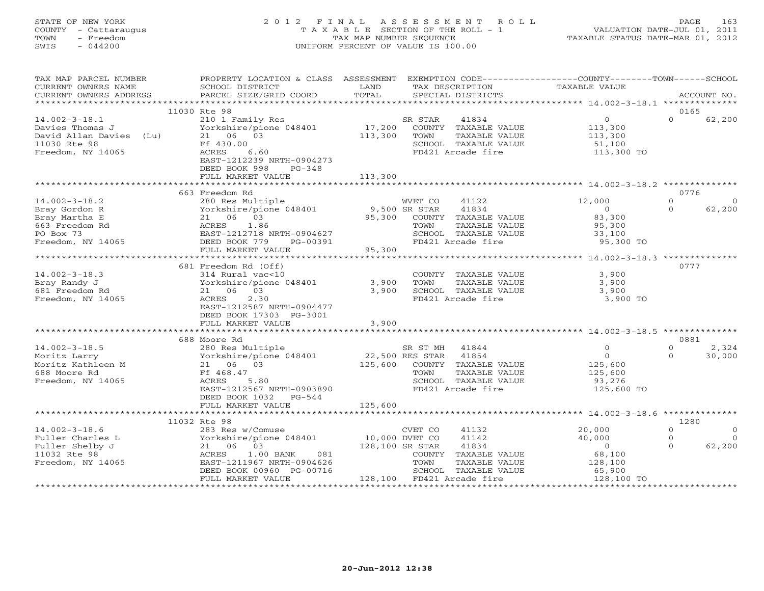## STATE OF NEW YORK 2 0 1 2 F I N A L A S S E S S M E N T R O L L PAGE 163 COUNTY - Cattaraugus T A X A B L E SECTION OF THE ROLL - 1 VALUATION DATE-JUL 01, 2011 TOWN - Freedom TAX MAP NUMBER SEQUENCE TAXABLE STATUS DATE-MAR 01, 2012 SWIS - 044200 UNIFORM PERCENT OF VALUE IS 100.00UNIFORM PERCENT OF VALUE IS 100.00

| TAX MAP PARCEL NUMBER<br>CURRENT OWNERS NAME<br>CURRENT OWNERS ADDRESS                                    | PROPERTY LOCATION & CLASS ASSESSMENT<br>SCHOOL DISTRICT<br>PARCEL SIZE/GRID COORD                                                                                                       | LAND<br>TOTAL                | TAX DESCRIPTION                                                 | SPECIAL DISTRICTS                                                                                    | EXEMPTION CODE----------------COUNTY-------TOWN-----SCHOOL<br>TAXABLE VALUE     |                                             | ACCOUNT NO.                   |
|-----------------------------------------------------------------------------------------------------------|-----------------------------------------------------------------------------------------------------------------------------------------------------------------------------------------|------------------------------|-----------------------------------------------------------------|------------------------------------------------------------------------------------------------------|---------------------------------------------------------------------------------|---------------------------------------------|-------------------------------|
| ************************                                                                                  |                                                                                                                                                                                         |                              |                                                                 |                                                                                                      |                                                                                 |                                             |                               |
| $14.002 - 3 - 18.1$<br>Davies Thomas J<br>David Allan Davies (Lu)<br>11030 Rte 98<br>Freedom, NY 14065    | 11030 Rte 98<br>210 1 Family Res<br>Yorkshire/pione 048401<br>21 06 03<br>Ff 430.00<br>ACRES<br>6.60<br>EAST-1212239 NRTH-0904273<br>DEED BOOK 998<br>$PG-348$<br>FULL MARKET VALUE     | 17,200<br>113,300<br>113,300 | SR STAR<br>TOWN                                                 | 41834<br>COUNTY TAXABLE VALUE<br>TAXABLE VALUE<br>SCHOOL TAXABLE VALUE<br>FD421 Arcade fire          | $\overline{0}$<br>113,300<br>113,300<br>51,100<br>113,300 TO                    | 0165<br>$\Omega$                            | 62,200                        |
|                                                                                                           |                                                                                                                                                                                         |                              |                                                                 |                                                                                                      | ************************************* 14.002-3-18.2 **************              |                                             |                               |
| $14.002 - 3 - 18.2$<br>Bray Gordon R<br>Bray Martha E<br>663 Freedom Rd<br>PO Box 73<br>Freedom, NY 14065 | 663 Freedom Rd<br>280 Res Multiple<br>Yorkshire/pione 048401<br>21 06 03<br>ACRES<br>1.86<br>EAST-1212718 NRTH-0904627<br>DEED BOOK 779<br>PG-00391<br>FULL MARKET VALUE                | 95,300<br>95,300             | WVET CO<br>9,500 SR STAR<br>TOWN<br>FD421 Arcade fire           | 41122<br>41834<br>COUNTY TAXABLE VALUE<br>TAXABLE VALUE<br>SCHOOL TAXABLE VALUE                      | 12,000<br>$\circ$<br>83,300<br>95,300<br>33,100<br>95,300 TO                    | 0776<br>$\mathbf{0}$<br>$\Omega$            | $\Omega$<br>62,200            |
|                                                                                                           |                                                                                                                                                                                         | ************                 |                                                                 |                                                                                                      | **************** 14.002-3-18.3 **************                                   |                                             |                               |
| $14.002 - 3 - 18.3$<br>Bray Randy J<br>681 Freedom Rd<br>Freedom, NY 14065                                | 681 Freedom Rd (Off)<br>314 Rural vac<10<br>Yorkshire/pione 048401<br>03<br>21 06<br>2.30<br>ACRES<br>EAST-1212587 NRTH-0904477<br>DEED BOOK 17303 PG-3001<br>FULL MARKET VALUE         | 3,900<br>3,900<br>3,900      | TOWN                                                            | COUNTY TAXABLE VALUE<br>TAXABLE VALUE<br>SCHOOL TAXABLE VALUE<br>FD421 Arcade fire                   | 3,900<br>3,900<br>3,900<br>3,900 TO                                             | 0777                                        |                               |
|                                                                                                           |                                                                                                                                                                                         |                              |                                                                 |                                                                                                      |                                                                                 |                                             |                               |
| $14.002 - 3 - 18.5$<br>Moritz Larry<br>Moritz Kathleen M<br>688 Moore Rd<br>Freedom, NY 14065             | 688 Moore Rd<br>280 Res Multiple<br>Yorkshire/pione 048401<br>21 06<br>03<br>Ff 468.47<br>5.80<br>ACRES<br>EAST-1212567 NRTH-0903890<br>DEED BOOK 1032<br>$PG-544$<br>FULL MARKET VALUE | 125,600<br>125,600           | SR ST MH<br>22,500 RES STAR<br>TOWN                             | 41844<br>41854<br>COUNTY TAXABLE VALUE<br>TAXABLE VALUE<br>SCHOOL TAXABLE VALUE<br>FD421 Arcade fire | $\mathbf{0}$<br>$\Omega$<br>125,600<br>125,600<br>93,276<br>125,600 TO          | 0881<br>$\Omega$<br>$\Omega$                | 2,324<br>30,000               |
|                                                                                                           |                                                                                                                                                                                         | * * * * * * * * *            |                                                                 |                                                                                                      | ******* 14.002-3-18.6 *************                                             |                                             |                               |
| $14.002 - 3 - 18.6$<br>Fuller Charles L<br>Fuller Shelby J<br>11032 Rte 98<br>Freedom, NY 14065           | 11032 Rte 98<br>283 Res w/Comuse<br>Yorkshire/pione 048401<br>21 06<br>03<br>ACRES<br>$1.00$ BANK<br>081<br>EAST-1211967 NRTH-0904626<br>DEED BOOK 00960 PG-00716<br>FULL MARKET VALUE  | 10,000 DVET CO               | CVET CO<br>128,100 SR STAR<br>TOWN<br>128,100 FD421 Arcade fire | 41132<br>41142<br>41834<br>COUNTY TAXABLE VALUE<br>TAXABLE VALUE<br>SCHOOL TAXABLE VALUE             | 20,000<br>40,000<br>$\overline{0}$<br>68,100<br>128,100<br>65,900<br>128,100 TO | 1280<br>$\mathbf{0}$<br>$\circ$<br>$\Omega$ | $\circ$<br>$\Omega$<br>62,200 |
|                                                                                                           |                                                                                                                                                                                         |                              |                                                                 |                                                                                                      |                                                                                 |                                             |                               |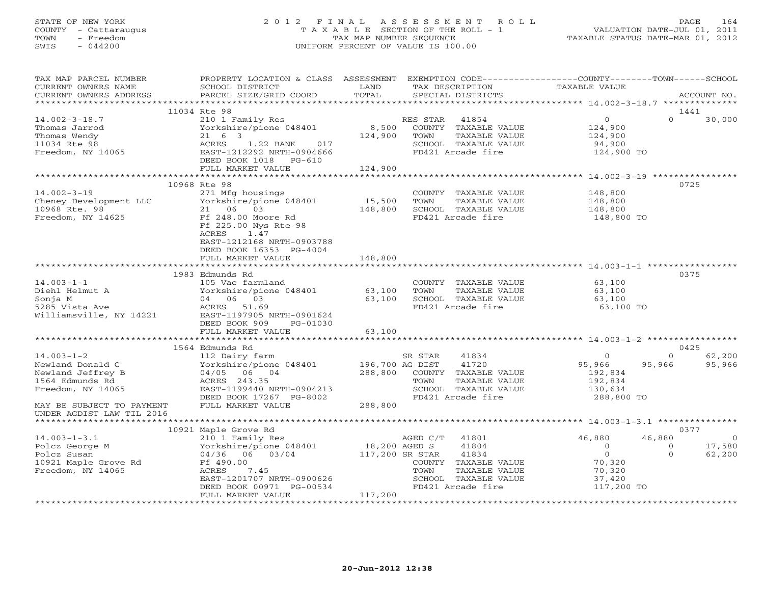## STATE OF NEW YORK 2 0 1 2 F I N A L A S S E S S M E N T R O L L PAGE 164 COUNTY - Cattaraugus T A X A B L E SECTION OF THE ROLL - 1 VALUATION DATE-JUL 01, 2011 TOWN - Freedom **TAX MAP NUMBER SEQUENCE** TAXABLE STATUS DATE-MAR 01, 2012<br>TAXABLE STATUS DATE-MAR 01, 2012 SWIS - 044200 UNIFORM PERCENT OF VALUE IS 100.00

| TAX MAP PARCEL NUMBER<br>CURRENT OWNERS NAME<br>CURRENT OWNERS ADDRESS                                                         | PROPERTY LOCATION & CLASS ASSESSMENT EXEMPTION CODE---------------COUNTY-------TOWN------SCHOOL<br>SCHOOL DISTRICT<br>PARCEL SIZE/GRID COORD                                                                                                                                                                                                                     | LAND<br>TOTAL      | TAX DESCRIPTION<br>SPECIAL DISTRICTS                                                                                    | TAXABLE VALUE                                                                              | ACCOUNT NO.                                         |
|--------------------------------------------------------------------------------------------------------------------------------|------------------------------------------------------------------------------------------------------------------------------------------------------------------------------------------------------------------------------------------------------------------------------------------------------------------------------------------------------------------|--------------------|-------------------------------------------------------------------------------------------------------------------------|--------------------------------------------------------------------------------------------|-----------------------------------------------------|
|                                                                                                                                |                                                                                                                                                                                                                                                                                                                                                                  |                    |                                                                                                                         |                                                                                            |                                                     |
|                                                                                                                                | 11034 Rte 98                                                                                                                                                                                                                                                                                                                                                     |                    |                                                                                                                         |                                                                                            | 1441                                                |
| $14.002 - 3 - 18.7$                                                                                                            | 210 1 Family Res<br>Yorkshire/pione 048401 8,500<br>Thomas Jarrod<br>Thomas Wendy<br>Thomas Wendy<br>11034 Rte 98<br>Freedom, NY 14065<br>Freedom, NY 14065<br>The CRES<br>CRES<br>21 6 3<br>21 6 3<br>21 6 3<br>21 22 BANK<br>21 22 BANK<br>21 22 BANK<br>21 22 BANK<br>21 22 22 NRTH-0904666<br>22 22 NRTH-09046<br>DEED BOOK 1018 PG-610<br>FULL MARKET VALUE | 124,900<br>124,900 | RES STAR 41854<br>COUNTY TAXABLE VALUE<br>TOWN<br>TAXABLE VALUE<br>SCHOOL TAXABLE VALUE<br>FD421 Arcade fire            | $\Omega$<br>124,900<br>124,900<br>94,900<br>124,900 TO                                     | $\Omega$<br>30,000                                  |
|                                                                                                                                |                                                                                                                                                                                                                                                                                                                                                                  |                    |                                                                                                                         |                                                                                            |                                                     |
|                                                                                                                                |                                                                                                                                                                                                                                                                                                                                                                  |                    |                                                                                                                         |                                                                                            | 0725                                                |
|                                                                                                                                | $14.002-3-19$<br>$271$ Mfg housings<br>Cheney Development LLC<br>$10900$ Ate 21<br>$14.002-3-19$<br>$271$ Mfg housings<br>$148,800$ TOWN TAXABLE VALUE<br>$166.8$ Rte. 98<br>$21$ 06 03<br>$21$ 06 03<br>$21$ 06 03<br>$21$ 06 03<br>$21$ 148,800<br>$2$<br>ACRES<br>1.47<br>EAST-1212168 NRTH-0903788<br>DEED BOOK 16353 PG-4004                                |                    | COUNTY TAXABLE VALUE<br>TAXABLE VALUE                                                                                   | 148,800<br>148,800<br>148,800<br>148,800 TO                                                |                                                     |
|                                                                                                                                | FULL MARKET VALUE                                                                                                                                                                                                                                                                                                                                                | 148,800            |                                                                                                                         |                                                                                            |                                                     |
|                                                                                                                                |                                                                                                                                                                                                                                                                                                                                                                  |                    |                                                                                                                         |                                                                                            |                                                     |
| $14.003 - 1 - 1$                                                                                                               | 1983 Edmunds Rd<br>105 Vac farmland<br>Diehl Helmut A<br>Diehl Helmut A<br>Sonja M<br>5285 Vista Ave ACRES 51.69<br>Williamsville, NY 14221<br>ACRES 51.69<br>Williamsville, NY 14221<br>ACRES 51.69<br>Milliamsville, NY 14221<br>ACRES 51.69<br>ACRES 19.905<br>NRTH-0901624<br>DEED BOOK 909<br>PG-01030<br>FULL MARKET VALUE                                 | 63,100             | COUNTY TAXABLE VALUE 63,100<br>TOWN<br>TAXABLE VALUE<br>SCHOOL TAXABLE VALUE<br>FD421 Arcade fire                       | 63,100<br>63,100<br>63,100 TO                                                              | 0375                                                |
|                                                                                                                                |                                                                                                                                                                                                                                                                                                                                                                  |                    |                                                                                                                         |                                                                                            |                                                     |
|                                                                                                                                | 1564 Edmunds Rd                                                                                                                                                                                                                                                                                                                                                  |                    |                                                                                                                         |                                                                                            | 0425                                                |
| $14.003 - 1 - 2$<br>Newland Donald C<br>Newland Jeffrey B<br>1564 Edmunds Rd<br>Freedom, NY 14065<br>MAY BE SUBJECT TO PAYMENT | 112 Dairy farm<br>112 Dairy Tarm<br>Yorkshire/pione 048401 196,700 AG DIST<br>04/05 06 04 288,800 COUNTY<br>ACRES 243.35 TOWN EAST-1199440 NRTH-0904213 SCHOOL<br>DEED BOOK 17267 PG-8002<br>FULL MARKET VALUE                                                                                                                                                   | $G-8002$ 288,800   | 41834<br>SR STAR<br>41720<br>288,800 COUNTY TAXABLE VALUE<br>TAXABLE VALUE<br>SCHOOL TAXABLE VALUE<br>FD421 Arcade fire | $\overline{0}$<br>95,966<br>95,966<br>192,834<br>$192,834$<br>$130,634$<br>288,800 TO      | $\Omega$<br>62,200<br>95,966                        |
| UNDER AGDIST LAW TIL 2016                                                                                                      |                                                                                                                                                                                                                                                                                                                                                                  |                    |                                                                                                                         |                                                                                            |                                                     |
|                                                                                                                                |                                                                                                                                                                                                                                                                                                                                                                  |                    |                                                                                                                         |                                                                                            | 0377                                                |
|                                                                                                                                | 14.003-1-3.1<br>Polcz George M 210 1 Family Res AGED C/T<br>Polcz Susan 04/36 06 03/04 18,200 AGED S<br>10921 Maple Grove Rd Ff 490.00<br>Freedom, NY 14065<br>EAST-1201707 NRTH-0900626<br>DEED BOOK 00971 PG-00534                                                                                                                                             |                    | 41801<br>41804<br>41834<br>COUNTY TAXABLE VALUE<br>TAXABLE VALUE<br>SCHOOL TAXABLE VALUE<br>FD421 Arcade fire           | 46,880<br>46,880<br>$\overline{0}$<br>$\Omega$<br>70,320<br>70,320<br>37,420<br>117,200 TO | $\sim$ 0<br>17,580<br>$\circ$<br>$\Omega$<br>62,200 |
|                                                                                                                                | FULL MARKET VALUE                                                                                                                                                                                                                                                                                                                                                | 117,200            |                                                                                                                         |                                                                                            |                                                     |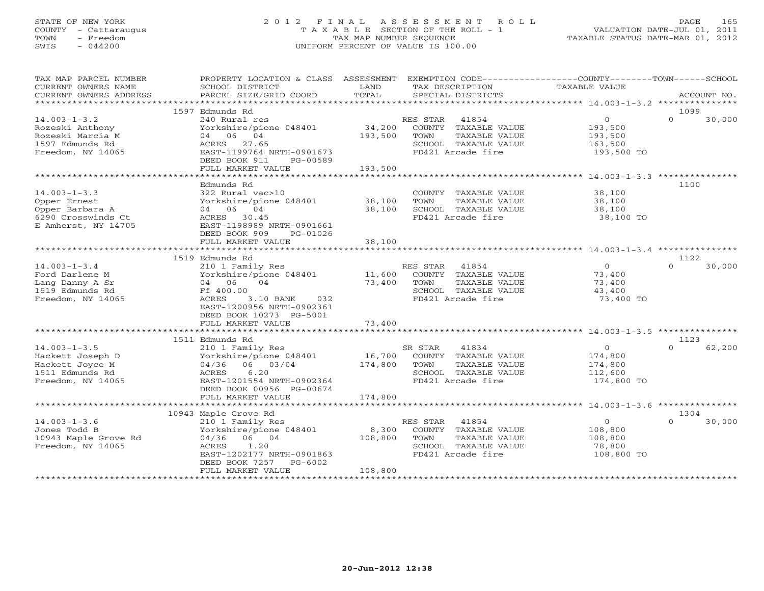## STATE OF NEW YORK 2 0 1 2 F I N A L A S S E S S M E N T R O L L PAGE 165 COUNTY - Cattaraugus T A X A B L E SECTION OF THE ROLL - 1 VALUATION DATE-JUL 01, 2011 TOWN - Freedom TAX MAP NUMBER SEQUENCE TAXABLE STATUS DATE-MAR 01, 2012 SWIS - 044200 UNIFORM PERCENT OF VALUE IS 100.00UNIFORM PERCENT OF VALUE IS 100.00

| TAX MAP PARCEL NUMBER  | PROPERTY LOCATION & CLASS ASSESSMENT   |         | EXEMPTION CODE-----------------COUNTY-------TOWN------SCHOOL |                |          |             |
|------------------------|----------------------------------------|---------|--------------------------------------------------------------|----------------|----------|-------------|
| CURRENT OWNERS NAME    | SCHOOL DISTRICT                        | LAND    | TAX DESCRIPTION                                              | TAXABLE VALUE  |          |             |
| CURRENT OWNERS ADDRESS | PARCEL SIZE/GRID COORD                 | TOTAL   | SPECIAL DISTRICTS                                            |                |          | ACCOUNT NO. |
|                        | 1597 Edmunds Rd                        |         |                                                              |                | 1099     |             |
| $14.003 - 1 - 3.2$     | 240 Rural res                          |         | RES STAR 41854                                               | $\overline{0}$ | $\Omega$ | 30,000      |
| Rozeski Anthony        | Yorkshire/pione 048401                 | 34,200  | COUNTY TAXABLE VALUE                                         | 193,500        |          |             |
| Rozeski Marcia M       | 04 06 04                               | 193,500 | TOWN<br>TAXABLE VALUE                                        | 193,500        |          |             |
| 1597 Edmunds Rd        | ACRES 27.65                            |         | SCHOOL TAXABLE VALUE                                         | 163,500        |          |             |
| Freedom, NY 14065      | EAST-1199764 NRTH-0901673              |         | FD421 Arcade fire                                            | 193,500 TO     |          |             |
|                        | DEED BOOK 911<br>PG-00589              |         |                                                              |                |          |             |
|                        | FULL MARKET VALUE                      | 193,500 |                                                              |                |          |             |
|                        |                                        |         |                                                              |                |          |             |
|                        | Edmunds Rd                             |         |                                                              |                | 1100     |             |
| $14.003 - 1 - 3.3$     | 322 Rural vac>10                       |         | COUNTY TAXABLE VALUE                                         | 38,100         |          |             |
| Opper Ernest           | Yorkshire/pione 048401                 | 38,100  | TOWN<br>TAXABLE VALUE                                        | 38,100         |          |             |
| Opper Barbara A        | 04 06 04                               | 38,100  | SCHOOL TAXABLE VALUE                                         | 38,100         |          |             |
| 6290 Crosswinds Ct     | ACRES 30.45                            |         | FD421 Arcade fire                                            | 38,100 TO      |          |             |
| E Amherst, NY 14705    | EAST-1198989 NRTH-0901661              |         |                                                              |                |          |             |
|                        | DEED BOOK 909<br>PG-01026              |         |                                                              |                |          |             |
|                        | FULL MARKET VALUE                      | 38,100  |                                                              |                |          |             |
|                        |                                        |         |                                                              |                |          |             |
|                        | 1519 Edmunds Rd                        |         |                                                              |                | 1122     |             |
| $14.003 - 1 - 3.4$     | 210 1 Family Res                       |         | RES STAR 41854                                               | $\Omega$       | $\Omega$ | 30,000      |
| Ford Darlene M         | Yorkshire/pione 048401                 | 11,600  | COUNTY TAXABLE VALUE                                         | 73,400         |          |             |
| Lang Danny A Sr        | 04 06<br>04                            | 73,400  | TOWN<br>TAXABLE VALUE                                        | 73,400         |          |             |
| 1519 Edmunds Rd        | Ff 400.00<br>ACRES<br>3.10 BANK<br>032 |         | SCHOOL TAXABLE VALUE                                         | 43,400         |          |             |
| Freedom, NY 14065      | EAST-1200956 NRTH-0902361              |         | FD421 Arcade fire                                            | 73,400 TO      |          |             |
|                        | DEED BOOK 10273 PG-5001                |         |                                                              |                |          |             |
|                        | FULL MARKET VALUE                      | 73,400  |                                                              |                |          |             |
|                        |                                        |         |                                                              |                |          |             |
|                        | 1511 Edmunds Rd                        |         |                                                              |                | 1123     |             |
| $14.003 - 1 - 3.5$     | 210 1 Family Res                       |         | SR STAR<br>41834                                             | $\overline{0}$ | $\Omega$ | 62,200      |
| Hackett Joseph D       | Yorkshire/pione 048401                 |         | 16,700 COUNTY TAXABLE VALUE                                  | 174,800        |          |             |
| Hackett Joyce M        | 04/36 06 03/04                         | 174,800 | TAXABLE VALUE<br>TOWN                                        | 174,800        |          |             |
| 1511 Edmunds Rd        | 6.20<br>ACRES                          |         | SCHOOL TAXABLE VALUE                                         | 112,600        |          |             |
| Freedom, NY 14065      | EAST-1201554 NRTH-0902364              |         | FD421 Arcade fire                                            | 174,800 TO     |          |             |
|                        | DEED BOOK 00956 PG-00674               |         |                                                              |                |          |             |
|                        | FULL MARKET VALUE                      | 174,800 |                                                              |                |          |             |
|                        |                                        |         |                                                              |                |          |             |
|                        | 10943 Maple Grove Rd                   |         |                                                              |                | 1304     |             |
| $14.003 - 1 - 3.6$     | 210 1 Family Res                       |         | RES STAR<br>41854                                            | $\overline{0}$ | $\Omega$ | 30,000      |
| Jones Todd B           | Yorkshire/pione 048401                 | 8,300   | COUNTY TAXABLE VALUE                                         | 108,800        |          |             |
| 10943 Maple Grove Rd   | 04/36<br>06 04                         | 108,800 | TAXABLE VALUE<br>TOWN                                        | 108,800        |          |             |
| Freedom, NY 14065      | 1.20<br>ACRES                          |         | SCHOOL TAXABLE VALUE                                         | 78,800         |          |             |
|                        | EAST-1202177 NRTH-0901863              |         | FD421 Arcade fire                                            | 108,800 TO     |          |             |
|                        | DEED BOOK 7257 PG-6002                 |         |                                                              |                |          |             |
|                        | FULL MARKET VALUE                      | 108,800 |                                                              |                |          |             |
|                        |                                        |         |                                                              |                |          |             |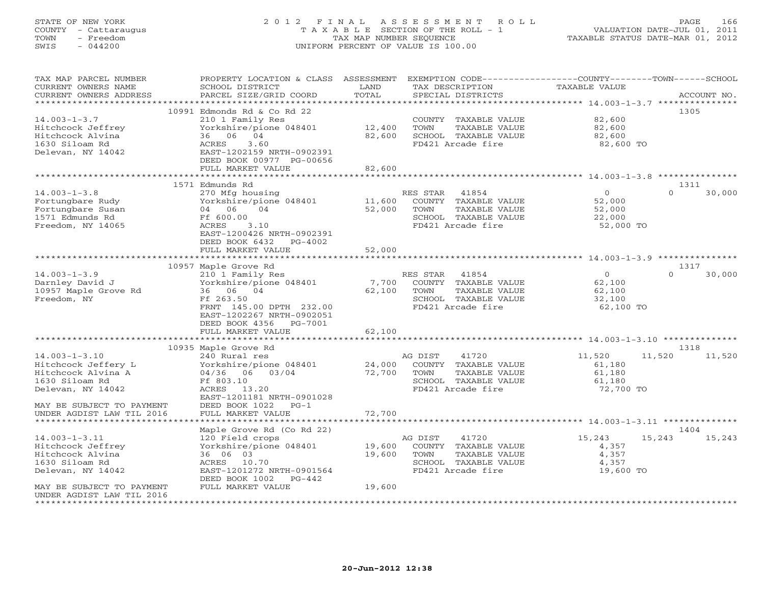# STATE OF NEW YORK 2 0 1 2 F I N A L A S S E S S M E N T R O L L PAGE 166 COUNTY - Cattaraugus T A X A B L E SECTION OF THE ROLL - 1 VALUATION DATE-JUL 01, 2011 TOWN - Freedom TAX MAP NUMBER SEQUENCE TAXABLE STATUS DATE-MAR 01, 2012 SWIS - 044200 UNIFORM PERCENT OF VALUE IS 100.00UNIFORM PERCENT OF VALUE IS 100.00

| TAX MAP PARCEL NUMBER     | PROPERTY LOCATION & CLASS   | ASSESSMENT  | EXEMPTION CODE-----------------COUNTY-------TOWN------SCHOOL |                                                    |                    |
|---------------------------|-----------------------------|-------------|--------------------------------------------------------------|----------------------------------------------------|--------------------|
| CURRENT OWNERS NAME       | SCHOOL DISTRICT             | LAND        | TAX DESCRIPTION                                              | TAXABLE VALUE                                      |                    |
| CURRENT OWNERS ADDRESS    | PARCEL SIZE/GRID COORD      | TOTAL       | SPECIAL DISTRICTS                                            |                                                    | ACCOUNT NO.        |
|                           |                             | *********** |                                                              | ********** 14.003-1-3.7 ********                   |                    |
|                           | 10991 Edmonds Rd & Co Rd 22 |             |                                                              |                                                    | 1305               |
| $14.003 - 1 - 3.7$        | 210 1 Family Res            |             | COUNTY TAXABLE VALUE                                         | 82,600                                             |                    |
| Hitchcock Jeffrey         | Yorkshire/pione 048401      | 12,400      | TOWN<br>TAXABLE VALUE                                        | 82,600                                             |                    |
| Hitchcock Alvina          | 04<br>36 06                 | 82,600      | SCHOOL TAXABLE VALUE                                         | 82,600                                             |                    |
| 1630 Siloam Rd            | 3.60<br>ACRES               |             | FD421 Arcade fire                                            | 82,600 TO                                          |                    |
| Delevan, NY 14042         | EAST-1202159 NRTH-0902391   |             |                                                              |                                                    |                    |
|                           | DEED BOOK 00977 PG-00656    |             |                                                              |                                                    |                    |
|                           | FULL MARKET VALUE           | 82,600      |                                                              |                                                    |                    |
|                           |                             |             |                                                              | ******************** 14.003-1-3.8 **************** |                    |
|                           | 1571 Edmunds Rd             |             |                                                              |                                                    | 1311               |
|                           |                             |             |                                                              |                                                    | $\Omega$           |
| $14.003 - 1 - 3.8$        | 270 Mfg housing             |             | RES STAR<br>41854                                            | $\circ$                                            | 30,000             |
| Fortungbare Rudy          | Yorkshire/pione 048401      | 11,600      | COUNTY TAXABLE VALUE                                         | 52,000                                             |                    |
| Fortungbare Susan         | 04<br>04 06                 | 52,000      | TOWN<br>TAXABLE VALUE                                        | 52,000                                             |                    |
| 1571 Edmunds Rd           | Ff 600.00                   |             | SCHOOL TAXABLE VALUE                                         | 22,000                                             |                    |
| Freedom, NY 14065         | ACRES<br>3.10               |             | FD421 Arcade fire                                            | 52,000 TO                                          |                    |
|                           | EAST-1200426 NRTH-0902391   |             |                                                              |                                                    |                    |
|                           | DEED BOOK 6432<br>$PG-4002$ |             |                                                              |                                                    |                    |
|                           | FULL MARKET VALUE           | 52,000      |                                                              |                                                    |                    |
|                           |                             |             |                                                              |                                                    |                    |
|                           | 10957 Maple Grove Rd        |             |                                                              |                                                    | 1317               |
| $14.003 - 1 - 3.9$        | 210 1 Family Res            |             | 41854<br>RES STAR                                            | $\overline{O}$                                     | $\Omega$<br>30,000 |
| Darnley David J           | Yorkshire/pione 048401      | 7,700       | COUNTY TAXABLE VALUE                                         | 62,100                                             |                    |
| 10957 Maple Grove Rd      | 36 06 04                    | 62,100      | TOWN<br>TAXABLE VALUE                                        | 62,100                                             |                    |
| Freedom, NY               | Ff 263.50                   |             | SCHOOL TAXABLE VALUE                                         | 32,100                                             |                    |
|                           | FRNT 145.00 DPTH 232.00     |             | FD421 Arcade fire                                            | 62,100 TO                                          |                    |
|                           | EAST-1202267 NRTH-0902051   |             |                                                              |                                                    |                    |
|                           | DEED BOOK 4356<br>PG-7001   |             |                                                              |                                                    |                    |
|                           |                             | 62,100      |                                                              |                                                    |                    |
|                           | FULL MARKET VALUE           |             |                                                              |                                                    |                    |
|                           |                             |             |                                                              |                                                    |                    |
|                           | 10935 Maple Grove Rd        |             |                                                              |                                                    | 1318               |
| $14.003 - 1 - 3.10$       | 240 Rural res               |             | 41720<br>AG DIST                                             | 11,520<br>11,520                                   | 11,520             |
| Hitchcock Jeffery L       | Yorkshire/pione 048401      | 24,000      | COUNTY TAXABLE VALUE                                         | 61,180                                             |                    |
| Hitchcock Alvina A        | 04/36 06 03/04              | 72,700      | TOWN<br>TAXABLE VALUE                                        | 61,180                                             |                    |
| 1630 Siloam Rd            | Ff 803.10                   |             | SCHOOL TAXABLE VALUE                                         | 61,180                                             |                    |
| Delevan, NY 14042         | ACRES<br>13.20              |             | FD421 Arcade fire                                            | 72,700 TO                                          |                    |
|                           | EAST-1201181 NRTH-0901028   |             |                                                              |                                                    |                    |
| MAY BE SUBJECT TO PAYMENT | DEED BOOK 1022<br>$PG-1$    |             |                                                              |                                                    |                    |
| UNDER AGDIST LAW TIL 2016 | FULL MARKET VALUE           | 72,700      |                                                              |                                                    |                    |
|                           |                             |             |                                                              |                                                    |                    |
|                           | Maple Grove Rd (Co Rd 22)   |             |                                                              |                                                    | 1404               |
| $14.003 - 1 - 3.11$       | 120 Field crops             |             | AG DIST<br>41720                                             | 15,243<br>15,243                                   | 15,243             |
| Hitchcock Jeffrey         | Yorkshire/pione 048401      | 19,600      | COUNTY TAXABLE VALUE                                         | 4,357                                              |                    |
| Hitchcock Alvina          | 36 06 03                    | 19,600      | TOWN<br>TAXABLE VALUE                                        | 4,357                                              |                    |
| 1630 Siloam Rd            | ACRES<br>10.70              |             | SCHOOL TAXABLE VALUE                                         | 4,357                                              |                    |
| Delevan, NY 14042         | EAST-1201272 NRTH-0901564   |             | FD421 Arcade fire                                            | 19,600 TO                                          |                    |
|                           | DEED BOOK 1002<br>$PG-442$  |             |                                                              |                                                    |                    |
| MAY BE SUBJECT TO PAYMENT | FULL MARKET VALUE           | 19,600      |                                                              |                                                    |                    |
| UNDER AGDIST LAW TIL 2016 |                             |             |                                                              |                                                    |                    |
| ********************      |                             |             |                                                              |                                                    |                    |
|                           |                             |             |                                                              |                                                    |                    |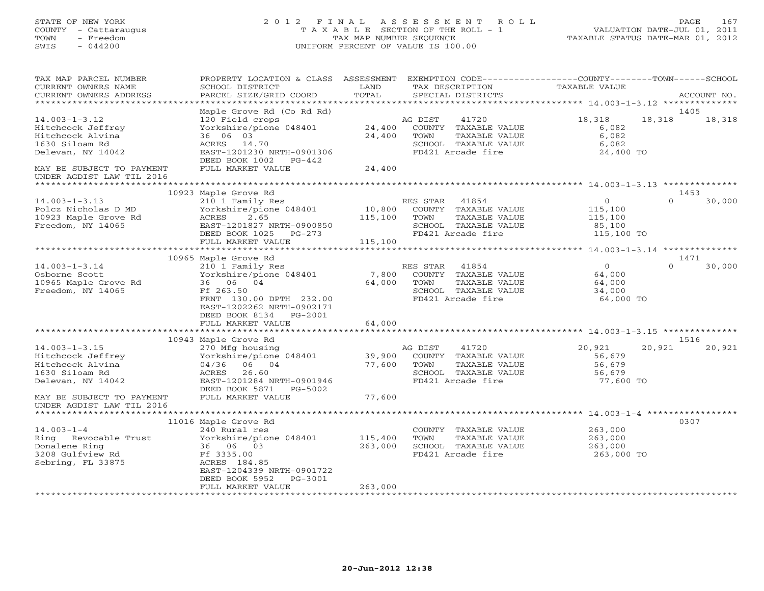# STATE OF NEW YORK 2 0 1 2 F I N A L A S S E S S M E N T R O L L PAGE 167 COUNTY - Cattaraugus T A X A B L E SECTION OF THE ROLL - 1 VALUATION DATE-JUL 01, 2011 TOWN - Freedom TAX MAP NUMBER SEQUENCE TAXABLE STATUS DATE-MAR 01, 2012 SWIS - 044200 UNIFORM PERCENT OF VALUE IS 100.00UNIFORM PERCENT OF VALUE IS 100.00

| TAX MAP PARCEL NUMBER<br>CURRENT OWNERS NAME<br>CURRENT OWNERS ADDRESS                                                           | PROPERTY LOCATION & CLASS ASSESSMENT<br>SCHOOL DISTRICT<br>PARCEL SIZE/GRID COORD                                                                                               | LAND<br>TOTAL                | EXEMPTION CODE-----------------COUNTY-------TOWN-----SCHOOL<br>TAX DESCRIPTION<br>SPECIAL DISTRICTS             | <b>TAXABLE VALUE</b>                                      | ACCOUNT NO.                |  |
|----------------------------------------------------------------------------------------------------------------------------------|---------------------------------------------------------------------------------------------------------------------------------------------------------------------------------|------------------------------|-----------------------------------------------------------------------------------------------------------------|-----------------------------------------------------------|----------------------------|--|
|                                                                                                                                  |                                                                                                                                                                                 |                              |                                                                                                                 |                                                           |                            |  |
| $14.003 - 1 - 3.12$<br>Hitchcock Jeffrey<br>Hitchcock Alvina<br>1630 Siloam Rd<br>Delevan, NY 14042<br>MAY BE SUBJECT TO PAYMENT | Maple Grove Rd (Co Rd Rd)<br>120 Field crops<br>Yorkshire/pione 048401<br>36 06 03<br>ACRES 14.70<br>EAST-1201230 NRTH-0901306<br>DEED BOOK 1002<br>PG-442<br>FULL MARKET VALUE | 24,400<br>24,400<br>24,400   | AG DIST<br>41720<br>COUNTY TAXABLE VALUE<br>TOWN<br>TAXABLE VALUE<br>SCHOOL TAXABLE VALUE<br>FD421 Arcade fire  | 18,318<br>6,082<br>6,082<br>6,082<br>24,400 TO            | 1405<br>18,318<br>18,318   |  |
| UNDER AGDIST LAW TIL 2016                                                                                                        |                                                                                                                                                                                 |                              |                                                                                                                 |                                                           |                            |  |
| **********************                                                                                                           |                                                                                                                                                                                 |                              |                                                                                                                 |                                                           |                            |  |
| $14.003 - 1 - 3.13$<br>Polcz Nicholas D MD<br>10923 Maple Grove Rd<br>Freedom, NY 14065                                          | 10923 Maple Grove Rd<br>210 1 Family Res<br>Yorkshire/pione 048401<br>ACRES<br>2.65<br>EAST-1201827 NRTH-0900850<br>DEED BOOK 1025 PG-273<br>FULL MARKET VALUE                  | 10,800<br>115,100<br>115,100 | RES STAR<br>41854<br>COUNTY TAXABLE VALUE<br>TOWN<br>TAXABLE VALUE<br>SCHOOL TAXABLE VALUE<br>FD421 Arcade fire | $\circ$<br>115,100<br>115,100<br>85,100<br>115,100 TO     | 1453<br>$\Omega$<br>30,000 |  |
|                                                                                                                                  |                                                                                                                                                                                 |                              |                                                                                                                 |                                                           |                            |  |
|                                                                                                                                  | 10965 Maple Grove Rd                                                                                                                                                            |                              |                                                                                                                 |                                                           | 1471                       |  |
| $14.003 - 1 - 3.14$<br>Osborne Scott<br>10965 Maple Grove Rd<br>Freedom, NY 14065                                                | 210 1 Family Res<br>Yorkshire/pione 048401<br>36 06 04<br>Ff 263.50<br>FRNT 130.00 DPTH 232.00<br>EAST-1202262 NRTH-0902171<br>DEED BOOK 8134<br>PG-2001<br>FULL MARKET VALUE   | 7,800<br>64,000<br>64,000    | 41854<br>RES STAR<br>COUNTY TAXABLE VALUE<br>TOWN<br>TAXABLE VALUE<br>SCHOOL TAXABLE VALUE<br>FD421 Arcade fire | $\overline{O}$<br>64,000<br>64,000<br>34,000<br>64,000 TO | $\Omega$<br>30,000         |  |
|                                                                                                                                  | ************************                                                                                                                                                        |                              |                                                                                                                 |                                                           |                            |  |
| $14.003 - 1 - 3.15$<br>Hitchcock Jeffrey<br>Hitchcock Alvina<br>1630 Siloam Rd<br>Delevan, NY 14042                              | 10943 Maple Grove Rd<br>270 Mfg housing<br>Yorkshire/pione 048401<br>04/36 06 04<br>ACRES<br>26.60<br>EAST-1201284 NRTH-0901946<br>DEED BOOK 5871<br>PG-5002                    | 39,900<br>77,600             | 41720<br>AG DIST<br>COUNTY TAXABLE VALUE<br>TOWN<br>TAXABLE VALUE<br>SCHOOL TAXABLE VALUE<br>FD421 Arcade fire  | 20,921<br>56,679<br>56,679<br>56,679<br>77,600 TO         | 1516<br>20,921<br>20,921   |  |
| MAY BE SUBJECT TO PAYMENT<br>UNDER AGDIST LAW TIL 2016<br>***************                                                        | FULL MARKET VALUE                                                                                                                                                               | 77,600                       |                                                                                                                 |                                                           |                            |  |
|                                                                                                                                  | 11016 Maple Grove Rd                                                                                                                                                            |                              |                                                                                                                 |                                                           | 0307                       |  |
| $14.003 - 1 - 4$<br>Ring Revocable Trust<br>Donalene Ring<br>3208 Gulfview Rd<br>Sebring, FL 33875                               | 240 Rural res<br>Yorkshire/pione 048401<br>36 06 03<br>Ff 3335.00<br>ACRES 184.85<br>EAST-1204339 NRTH-0901722<br>DEED BOOK 5952<br>PG-3001                                     | 115,400<br>263,000           | COUNTY<br>TAXABLE VALUE<br>TOWN<br>TAXABLE VALUE<br>SCHOOL TAXABLE VALUE<br>FD421 Arcade fire                   | 263,000<br>263,000<br>263,000<br>263,000 TO               |                            |  |
|                                                                                                                                  | FULL MARKET VALUE                                                                                                                                                               | 263,000                      |                                                                                                                 |                                                           |                            |  |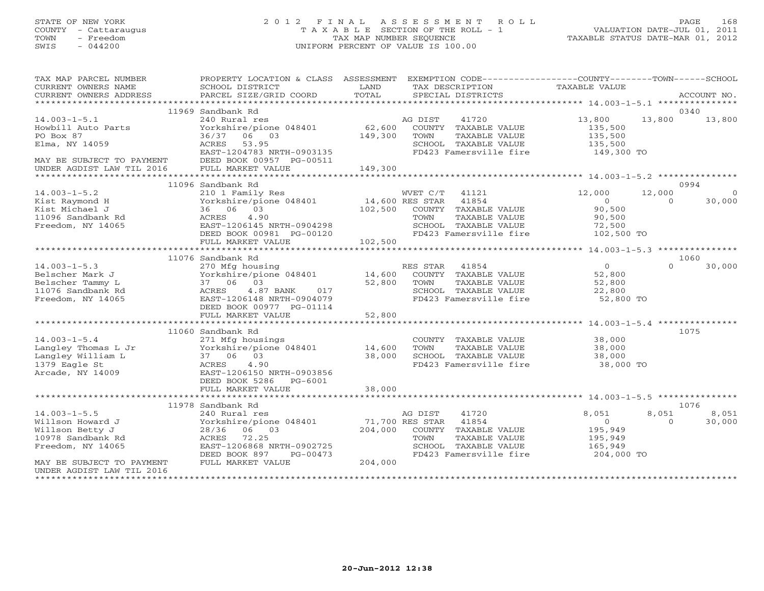# STATE OF NEW YORK 2 0 1 2 F I N A L A S S E S S M E N T R O L L PAGE 168 COUNTY - Cattaraugus T A X A B L E SECTION OF THE ROLL - 1 VALUATION DATE-JUL 01, 2011 TOWN - Freedom TAX MAP NUMBER SEQUENCE TAXABLE STATUS DATE-MAR 01, 2012 SWIS - 044200 UNIFORM PERCENT OF VALUE IS 100.00UNIFORM PERCENT OF VALUE IS 100.00

| TAX MAP PARCEL NUMBER<br>CURRENT OWNERS NAME<br>CURRENT OWNERS ADDRESS                              | PROPERTY LOCATION & CLASS ASSESSMENT<br>SCHOOL DISTRICT<br>PARCEL SIZE/GRID COORD                                                                                | LAND<br>TOTAL              | TAX DESCRIPTION         | SPECIAL DISTRICTS                                                                                | EXEMPTION CODE-----------------COUNTY-------TOWN------SCHOOL<br><b>TAXABLE VALUE</b> |                    | ACCOUNT NO.        |
|-----------------------------------------------------------------------------------------------------|------------------------------------------------------------------------------------------------------------------------------------------------------------------|----------------------------|-------------------------|--------------------------------------------------------------------------------------------------|--------------------------------------------------------------------------------------|--------------------|--------------------|
|                                                                                                     |                                                                                                                                                                  |                            |                         |                                                                                                  |                                                                                      |                    |                    |
|                                                                                                     | 11969 Sandbank Rd                                                                                                                                                |                            |                         |                                                                                                  |                                                                                      |                    | 0340               |
| $14.003 - 1 - 5.1$<br>Howbill Auto Parts<br>PO Box 87<br>Elma, NY 14059                             | 240 Rural res<br>Yorkshire/pione 048401<br>36/37 06 03<br>ACRES<br>53.95<br>EAST-1204783 NRTH-0903135                                                            | 62,600<br>149,300          | AG DIST<br>TOWN         | 41720<br>COUNTY TAXABLE VALUE<br>TAXABLE VALUE<br>SCHOOL TAXABLE VALUE<br>FD423 Famersville fire | 13,800<br>135,500<br>135,500<br>135,500<br>149,300 TO                                | 13,800             | 13,800             |
| MAY BE SUBJECT TO PAYMENT                                                                           | DEED BOOK 00957 PG-00511<br>FULL MARKET VALUE                                                                                                                    | 149,300                    |                         |                                                                                                  |                                                                                      |                    |                    |
|                                                                                                     | 11096 Sandbank Rd                                                                                                                                                |                            |                         |                                                                                                  |                                                                                      |                    | 0994               |
| $14.003 - 1 - 5.2$<br>Kist Raymond H<br>Kist Michael J                                              | 210 1 Family Res<br>Yorkshire/pione 048401<br>36 06 03                                                                                                           | 14,600 RES STAR<br>102,500 | WVET C/T                | 41121<br>41854<br>COUNTY TAXABLE VALUE                                                           | 12,000<br>$\Omega$<br>90,500                                                         | 12,000<br>$\Omega$ | $\Omega$<br>30,000 |
| 11096 Sandbank Rd<br>Freedom, NY 14065                                                              | 4.90<br>ACRES<br>EAST-1206145 NRTH-0904298<br>DEED BOOK 00981 PG-00120                                                                                           |                            | TOWN                    | TAXABLE VALUE<br>SCHOOL TAXABLE VALUE<br>FD423 Famersville fire                                  | 90,500<br>72,500<br>102,500 TO                                                       |                    |                    |
|                                                                                                     | FULL MARKET VALUE                                                                                                                                                | 102,500                    |                         |                                                                                                  |                                                                                      |                    |                    |
|                                                                                                     | 11076 Sandbank Rd                                                                                                                                                |                            |                         |                                                                                                  |                                                                                      |                    | 1060               |
| $14.003 - 1 - 5.3$<br>Belscher Mark J<br>Belscher Tammy L<br>11076 Sandbank Rd<br>Freedom, NY 14065 | 270 Mfg housing<br>Yorkshire/pione 048401<br>37 06 03<br>4.87 BANK<br>ACRES<br>017<br>EAST-1206148 NRTH-0904079<br>DEED BOOK 00977 PG-01114<br>FULL MARKET VALUE | 14,600<br>52,800<br>52,800 | RES STAR 41854<br>TOWN  | COUNTY TAXABLE VALUE<br>TAXABLE VALUE<br>SCHOOL TAXABLE VALUE<br>FD423 Famersville fire          | $\Omega$<br>52,800<br>52,800<br>22,800<br>52,800 TO                                  | $\cap$             | 30,000             |
|                                                                                                     |                                                                                                                                                                  |                            |                         |                                                                                                  |                                                                                      |                    |                    |
| $14.003 - 1 - 5.4$<br>Langley Thomas L Jr<br>Langley William L<br>1379 Eagle St<br>Arcade, NY 14009 | 11060 Sandbank Rd<br>271 Mfg housings<br>Yorkshire/pione 048401<br>37 06 03<br>4.90<br>ACRES<br>EAST-1206150 NRTH-0903856<br>DEED BOOK 5286<br>PG-6001           | 14,600<br>38,000           | TOWN                    | COUNTY TAXABLE VALUE<br>TAXABLE VALUE<br>SCHOOL TAXABLE VALUE<br>FD423 Famersville fire          | 38,000<br>38,000<br>38,000<br>38,000 TO                                              |                    | 1075               |
|                                                                                                     | FULL MARKET VALUE                                                                                                                                                | 38,000                     |                         |                                                                                                  |                                                                                      |                    |                    |
|                                                                                                     |                                                                                                                                                                  |                            |                         |                                                                                                  |                                                                                      |                    |                    |
| $14.003 - 1 - 5.5$                                                                                  | 11978 Sandbank Rd<br>240 Rural res                                                                                                                               |                            | AG DIST                 | 41720                                                                                            | 8,051                                                                                | 8,051              | 1076<br>8,051      |
| Willson Howard J<br>Willson Betty J<br>10978 Sandbank Rd<br>Freedom, NY 14065                       | Yorkshire/pione 048401<br>28/36 06 03<br>ACRES<br>72.25<br>EAST-1206868 NRTH-0902725<br>DEED BOOK 897<br>PG-00473                                                | 204,000                    | 71,700 RES STAR<br>TOWN | 41854<br>COUNTY TAXABLE VALUE<br>TAXABLE VALUE<br>SCHOOL TAXABLE VALUE<br>FD423 Famersville fire | $\Omega$<br>195,949<br>195,949<br>165,949<br>204,000 TO                              | $\Omega$           | 30,000             |
| MAY BE SUBJECT TO PAYMENT<br>UNDER AGDIST LAW TIL 2016                                              | FULL MARKET VALUE                                                                                                                                                | 204,000                    |                         |                                                                                                  |                                                                                      |                    |                    |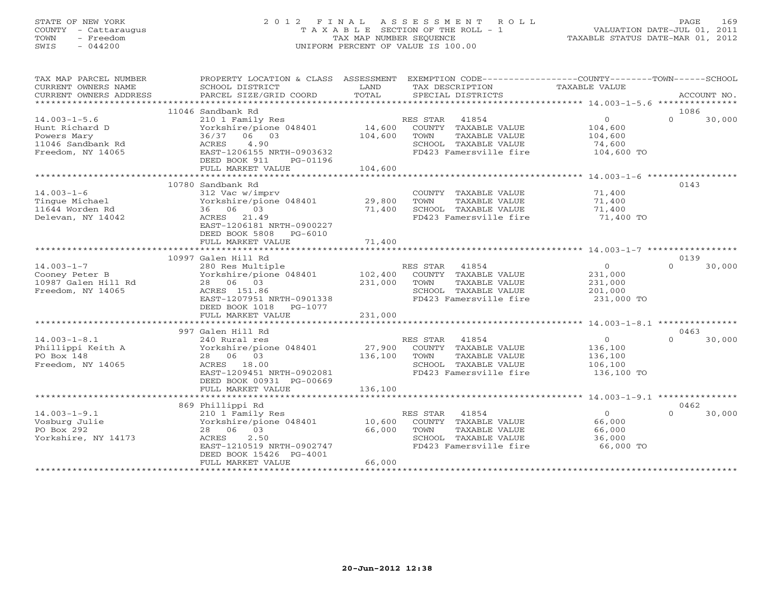# STATE OF NEW YORK 2 0 1 2 F I N A L A S S E S S M E N T R O L L PAGE 169 COUNTY - Cattaraugus T A X A B L E SECTION OF THE ROLL - 1 VALUATION DATE-JUL 01, 2011 TOWN - Freedom TAX MAP NUMBER SEQUENCE TAXABLE STATUS DATE-MAR 01, 2012 SWIS - 044200 UNIFORM PERCENT OF VALUE IS 100.00UNIFORM PERCENT OF VALUE IS 100.00

| TAX MAP PARCEL NUMBER<br>CURRENT OWNERS NAME<br>CURRENT OWNERS ADDRESS                        | PROPERTY LOCATION & CLASS ASSESSMENT EXEMPTION CODE---------------COUNTY-------TOWN------SCHOOL<br>SCHOOL DISTRICT<br>PARCEL SIZE/GRID COORD                             | LAND<br>TOTAL                | TAX DESCRIPTION<br>SPECIAL DISTRICTS                                                                                 | TAXABLE VALUE                                                | ACCOUNT NO.                |
|-----------------------------------------------------------------------------------------------|--------------------------------------------------------------------------------------------------------------------------------------------------------------------------|------------------------------|----------------------------------------------------------------------------------------------------------------------|--------------------------------------------------------------|----------------------------|
|                                                                                               | 11046 Sandbank Rd                                                                                                                                                        |                              |                                                                                                                      |                                                              | 1086                       |
| $14.003 - 1 - 5.6$<br>Hunt Richard D<br>Powers Mary<br>11046 Sandbank Rd<br>Freedom, NY 14065 | 210 1 Family Res<br>Yorkshire/pione 048401<br>36/37 06 03<br>4.90<br>ACRES<br>EAST-1206155 NRTH-0903632<br>DEED BOOK 911<br>PG-01196<br>FULL MARKET VALUE                | 14,600<br>104,600<br>104,600 | RES STAR 41854<br>COUNTY TAXABLE VALUE<br>TOWN<br>TAXABLE VALUE<br>SCHOOL TAXABLE VALUE<br>FD423 Famersville fire    | $\overline{0}$<br>104,600<br>104,600<br>74,600<br>104,600 TO | $\Omega$<br>30,000         |
|                                                                                               |                                                                                                                                                                          |                              |                                                                                                                      |                                                              |                            |
| $14.003 - 1 - 6$<br>Tinque Michael<br>11644 Worden Rd<br>Delevan, NY 14042                    | 10780 Sandbank Rd<br>312 Vac w/imprv<br>Yorkshire/pione 048401<br>36 06 03<br>ACRES 21.49<br>EAST-1206181 NRTH-0900227                                                   | 29,800<br>71,400             | COUNTY TAXABLE VALUE<br>TAXABLE VALUE<br>TOWN<br>SCHOOL TAXABLE VALUE<br>FD423 Famersville fire                      | 71,400<br>71,400<br>71,400<br>71,400 TO                      | 0143                       |
|                                                                                               | DEED BOOK 5808 PG-6010<br>FULL MARKET VALUE                                                                                                                              | 71,400                       |                                                                                                                      |                                                              |                            |
|                                                                                               | 10997 Galen Hill Rd                                                                                                                                                      |                              |                                                                                                                      |                                                              | 0139                       |
| $14.003 - 1 - 7$<br>Cooney Peter B<br>10987 Galen Hill Rd<br>Freedom, NY 14065                | 280 Res Multiple<br>Yorkshire/pione 048401<br>28 06 03<br>ACRES 151.86<br>EAST-1207951 NRTH-0901338<br>DEED BOOK 1018<br>PG-1077                                         | 102,400<br>231,000           | RES STAR<br>41854<br>COUNTY TAXABLE VALUE<br>TOWN<br>TAXABLE VALUE<br>SCHOOL TAXABLE VALUE<br>FD423 Famersville fire | $\circ$<br>231,000<br>231,000<br>201,000<br>231,000 TO       | $\Omega$<br>30,000         |
|                                                                                               | FULL MARKET VALUE                                                                                                                                                        | 231,000                      |                                                                                                                      |                                                              |                            |
|                                                                                               |                                                                                                                                                                          |                              |                                                                                                                      |                                                              |                            |
| $14.003 - 1 - 8.1$<br>Phillippi Keith A<br>PO Box 148<br>Freedom, NY 14065                    | 997 Galen Hill Rd<br>240 Rural res<br>Yorkshire/pione 048401<br>28 06 03<br>ACRES 18.00<br>EAST-1209451 NRTH-0902081<br>DEED BOOK 00931 PG-00669                         | 27,900<br>136,100            | RES STAR 41854<br>COUNTY TAXABLE VALUE<br>TAXABLE VALUE<br>TOWN<br>SCHOOL TAXABLE VALUE<br>FD423 Famersville fire    | $\Omega$<br>136,100<br>136,100<br>106,100<br>136,100 TO      | 0463<br>$\Omega$<br>30,000 |
|                                                                                               | FULL MARKET VALUE                                                                                                                                                        | 136,100                      |                                                                                                                      |                                                              |                            |
|                                                                                               |                                                                                                                                                                          |                              |                                                                                                                      |                                                              |                            |
| $14.003 - 1 - 9.1$<br>Vosburg Julie<br>PO Box 292<br>Yorkshire, NY 14173                      | 869 Phillippi Rd<br>210 1 Family Res<br>Yorkshire/pione 048401<br>28 06 03<br>2.50<br>ACRES<br>EAST-1210519 NRTH-0902747<br>DEED BOOK 15426 PG-4001<br>FULL MARKET VALUE | 10,600<br>66,000<br>66,000   | RES STAR 41854<br>COUNTY TAXABLE VALUE<br>TOWN<br>TAXABLE VALUE<br>SCHOOL TAXABLE VALUE<br>FD423 Famersville fire    | $\Omega$<br>66,000<br>66,000<br>36,000<br>66,000 TO          | 0462<br>$\Omega$<br>30,000 |
|                                                                                               |                                                                                                                                                                          |                              |                                                                                                                      |                                                              |                            |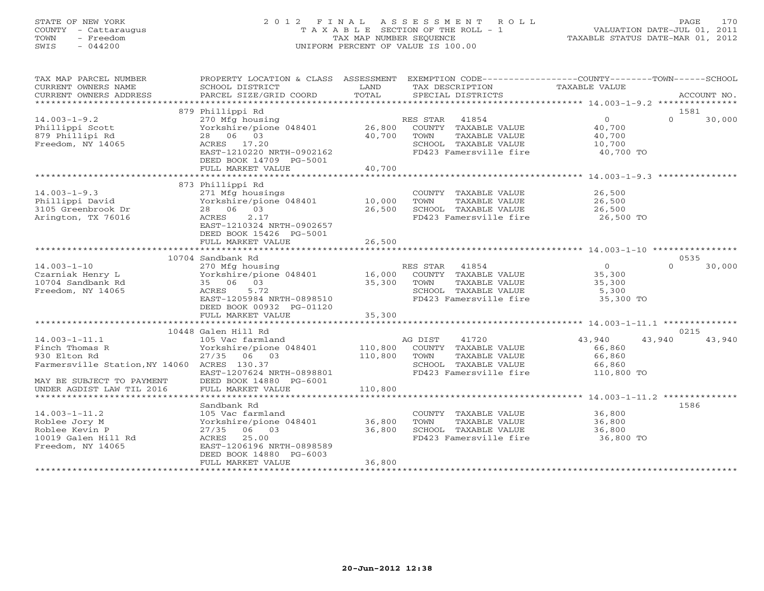## STATE OF NEW YORK 2 0 1 2 F I N A L A S S E S S M E N T R O L L PAGE 170 COUNTY - Cattaraugus T A X A B L E SECTION OF THE ROLL - 1 VALUATION DATE-JUL 01, 2011 TOWN - Freedom TAX MAP NUMBER SEQUENCE TAXABLE STATUS DATE-MAR 01, 2012 SWIS - 044200 UNIFORM PERCENT OF VALUE IS 100.00UNIFORM PERCENT OF VALUE IS 100.00

| TAX MAP PARCEL NUMBER<br>CURRENT OWNERS NAME<br>CURRENT OWNERS ADDRESS                                                            | PROPERTY LOCATION & CLASS ASSESSMENT EXEMPTION CODE----------------COUNTY-------TOWN------SCHOOL<br>SCHOOL DISTRICT<br>PARCEL SIZE/GRID COORD                         | LAND<br>TOTAL              | TAX DESCRIPTION<br>SPECIAL DISTRICTS                                                                                | TAXABLE VALUE                                                | ACCOUNT NO.                |
|-----------------------------------------------------------------------------------------------------------------------------------|-----------------------------------------------------------------------------------------------------------------------------------------------------------------------|----------------------------|---------------------------------------------------------------------------------------------------------------------|--------------------------------------------------------------|----------------------------|
|                                                                                                                                   |                                                                                                                                                                       |                            |                                                                                                                     |                                                              |                            |
| $14.003 - 1 - 9.2$<br>Phillippi Scott<br>879 Phillipi Rd<br>Freedom, NY 14065                                                     | 879 Phillippi Rd<br>270 Mfg housing<br>Yorkshire/pione 048401<br>28 06 03<br>ACRES 17.20<br>EAST-1210220 NRTH-0902162<br>DEED BOOK 14709 PG-5001<br>FULL MARKET VALUE | 26,800<br>40,700<br>40,700 | RES STAR 41854<br>COUNTY TAXABLE VALUE<br>TOWN<br>TAXABLE VALUE<br>SCHOOL TAXABLE VALUE<br>FD423 Famersville fire   | $\overline{0}$<br>40,700<br>40,700<br>10,700<br>40,700 TO    | 1581<br>$\Omega$<br>30,000 |
|                                                                                                                                   |                                                                                                                                                                       |                            |                                                                                                                     |                                                              |                            |
| $14.003 - 1 - 9.3$<br>Phillippi David<br>3105 Greenbrook Dr<br>Arington, TX 76016                                                 | 873 Phillippi Rd<br>271 Mfg housings<br>Yorkshire/pione 048401<br>28 06 03<br>ACRES<br>2.17<br>EAST-1210324 NRTH-0902657                                              | 10,000<br>26,500           | COUNTY TAXABLE VALUE<br>TOWN<br>TAXABLE VALUE<br>SCHOOL TAXABLE VALUE<br>FD423 Famersville fire 26,500 TO           | 26,500<br>26,500<br>26,500                                   |                            |
|                                                                                                                                   | DEED BOOK 15426 PG-5001<br>FULL MARKET VALUE                                                                                                                          | 26,500                     |                                                                                                                     |                                                              |                            |
|                                                                                                                                   | ************************<br>10704 Sandbank Rd                                                                                                                         | ************               |                                                                                                                     |                                                              | 0535                       |
| $14.003 - 1 - 10$                                                                                                                 | 270 Mfg housing                                                                                                                                                       |                            | RES STAR<br>41854                                                                                                   | $0 \qquad$                                                   | 30,000<br>$\Omega$         |
| Czarniak Henry L<br>10704 Sandbank Rd<br>Freedom, NY 14065                                                                        | Yorkshire/pione 048401<br>35 06 03<br>5.72<br>ACRES<br>EAST-1205984 NRTH-0898510<br>DEED BOOK 00932 PG-01120                                                          | 16,000<br>35,300           | COUNTY TAXABLE VALUE<br>TAXABLE VALUE<br>TOWN<br>SCHOOL TAXABLE VALUE<br>FD423 Famersville fire                     | 35,300<br>35,300<br>5,300<br>35,300 TO                       |                            |
|                                                                                                                                   | FULL MARKET VALUE                                                                                                                                                     | 35,300                     |                                                                                                                     |                                                              |                            |
|                                                                                                                                   |                                                                                                                                                                       |                            |                                                                                                                     |                                                              |                            |
| $14.003 - 1 - 11.1$<br>Finch Thomas R<br>930 Elton Rd<br>Farmersville Station, NY 14060 ACRES 130.37<br>MAY BE SUBJECT TO PAYMENT | 10448 Galen Hill Rd<br>105 Vac farmland<br>Yorkshire/pione 048401<br>27/35 06 03<br>EAST-1207624 NRTH-0898801<br>DEED BOOK 14880 PG-6001                              | 110,800<br>110,800         | 41720<br>AG DIST<br>COUNTY TAXABLE VALUE<br>TOWN<br>TAXABLE VALUE<br>SCHOOL TAXABLE VALUE<br>FD423 Famersville fire | 43,940<br>43,940<br>66,860<br>66,860<br>66,860<br>110,800 TO | 0215<br>43,940             |
| UNDER AGDIST LAW TIL 2016                                                                                                         | FULL MARKET VALUE                                                                                                                                                     | 110,800                    |                                                                                                                     |                                                              |                            |
|                                                                                                                                   |                                                                                                                                                                       |                            |                                                                                                                     |                                                              |                            |
| $14.003 - 1 - 11.2$<br>Roblee Jory M<br>Roblee Kevin P<br>10019 Galen Hill Rd<br>Freedom, NY 14065                                | Sandbank Rd<br>105 Vac farmland<br>Yorkshire/pione 048401<br>$27/35$ 06 03<br>ACRES<br>25.00<br>EAST-1206196 NRTH-0898589<br>DEED BOOK 14880 PG-6003                  | 36,800<br>36,800           | COUNTY TAXABLE VALUE<br>TAXABLE VALUE<br>TOWN<br>SCHOOL TAXABLE VALUE<br>FD423 Famersville fire                     | 36,800<br>36,800<br>36,800<br>36,800 TO                      | 1586                       |
|                                                                                                                                   | FULL MARKET VALUE                                                                                                                                                     | 36,800                     |                                                                                                                     |                                                              |                            |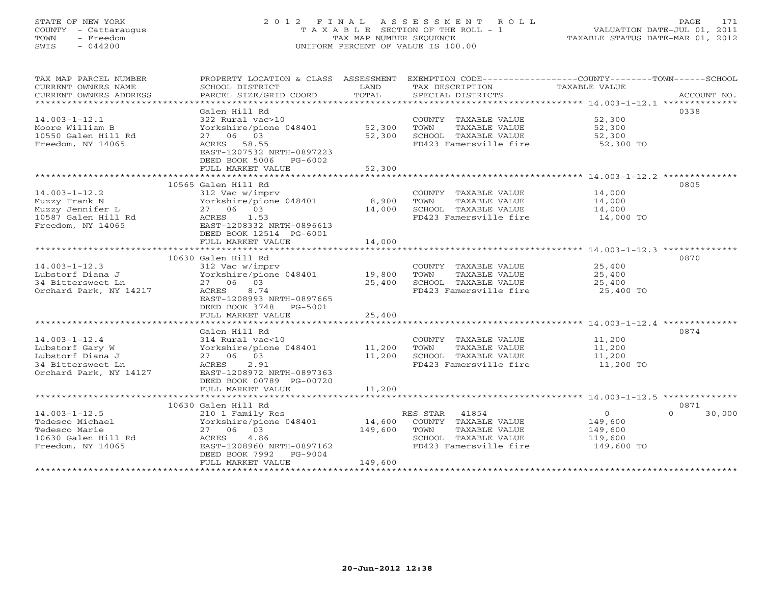# STATE OF NEW YORK 2 0 1 2 F I N A L A S S E S S M E N T R O L L PAGE 171 COUNTY - Cattaraugus T A X A B L E SECTION OF THE ROLL - 1 VALUATION DATE-JUL 01, 2011 TOWN - Freedom TAX MAP NUMBER SEQUENCE TAXABLE STATUS DATE-MAR 01, 2012 SWIS - 044200 UNIFORM PERCENT OF VALUE IS 100.00UNIFORM PERCENT OF VALUE IS 100.00

| TAX MAP PARCEL NUMBER<br>CURRENT OWNERS NAME<br>CURRENT OWNERS ADDRESS | PROPERTY LOCATION & CLASS ASSESSMENT EXEMPTION CODE----------------COUNTY-------TOWN------SCHOOL<br>SCHOOL DISTRICT<br>PARCEL SIZE/GRID COORD | LAND<br>TOTAL   | TAX DESCRIPTION<br>SPECIAL DISTRICTS                             | TAXABLE VALUE    | ACCOUNT NO.      |
|------------------------------------------------------------------------|-----------------------------------------------------------------------------------------------------------------------------------------------|-----------------|------------------------------------------------------------------|------------------|------------------|
| **************************                                             |                                                                                                                                               |                 |                                                                  |                  |                  |
|                                                                        | Galen Hill Rd                                                                                                                                 |                 |                                                                  |                  | 0338             |
| $14.003 - 1 - 12.1$                                                    | 322 Rural vac>10                                                                                                                              |                 | COUNTY TAXABLE VALUE                                             | 52,300           |                  |
| Moore William B                                                        | Yorkshire/pione 048401                                                                                                                        | 52,300          | TOWN<br>TAXABLE VALUE                                            | 52,300           |                  |
| 10550 Galen Hill Rd                                                    | 27 06 03                                                                                                                                      | 52,300          | SCHOOL TAXABLE VALUE                                             | 52,300           |                  |
| Freedom, NY 14065                                                      | ACRES 58.55                                                                                                                                   |                 | FD423 Famersville fire                                           | 52,300 TO        |                  |
|                                                                        | EAST-1207532 NRTH-0897223                                                                                                                     |                 |                                                                  |                  |                  |
|                                                                        | DEED BOOK 5006<br>PG-6002                                                                                                                     |                 |                                                                  |                  |                  |
|                                                                        | FULL MARKET VALUE                                                                                                                             | 52,300          |                                                                  |                  |                  |
| ********************************                                       | *************************************                                                                                                         |                 |                                                                  |                  |                  |
|                                                                        | 10565 Galen Hill Rd                                                                                                                           |                 |                                                                  |                  | 0805             |
| $14.003 - 1 - 12.2$                                                    | 312 Vac w/imprv                                                                                                                               |                 | COUNTY TAXABLE VALUE                                             | 14,000           |                  |
| Muzzy Frank N<br>Muzzy Jennifer L                                      | Yorkshire/pione 048401<br>27 06 03                                                                                                            | 8,900<br>14,000 | TOWN<br>TAXABLE VALUE<br>SCHOOL TAXABLE VALUE                    | 14,000<br>14,000 |                  |
| 10587 Galen Hill Rd                                                    | ACRES<br>1.53                                                                                                                                 |                 | FD423 Famersville fire                                           | 14,000 TO        |                  |
| Freedom, NY 14065                                                      | EAST-1208332 NRTH-0896613                                                                                                                     |                 |                                                                  |                  |                  |
|                                                                        | DEED BOOK 12514 PG-6001                                                                                                                       |                 |                                                                  |                  |                  |
|                                                                        | FULL MARKET VALUE                                                                                                                             | 14,000          |                                                                  |                  |                  |
|                                                                        | ***************************                                                                                                                   | ************    | ***********************************14.003-1-12.3 *************** |                  |                  |
|                                                                        | 10630 Galen Hill Rd                                                                                                                           |                 |                                                                  |                  | 0870             |
| $14.003 - 1 - 12.3$                                                    | 312 Vac w/imprv                                                                                                                               |                 | COUNTY TAXABLE VALUE                                             | 25,400           |                  |
| Lubstorf Diana J                                                       | Yorkshire/pione 048401                                                                                                                        | 19,800          | TOWN<br>TAXABLE VALUE                                            | 25,400           |                  |
| 34 Bittersweet Ln                                                      | 27 06 03                                                                                                                                      | 25,400          | SCHOOL TAXABLE VALUE                                             | 25,400           |                  |
| Orchard Park, NY 14217                                                 | 8.74<br>ACRES                                                                                                                                 |                 | FD423 Famersville fire                                           | 25,400 TO        |                  |
|                                                                        | EAST-1208993 NRTH-0897665                                                                                                                     |                 |                                                                  |                  |                  |
|                                                                        | DEED BOOK 3748<br>PG-5001                                                                                                                     |                 |                                                                  |                  |                  |
|                                                                        | FULL MARKET VALUE                                                                                                                             | 25,400          |                                                                  |                  |                  |
|                                                                        |                                                                                                                                               |                 |                                                                  |                  |                  |
|                                                                        | Galen Hill Rd                                                                                                                                 |                 |                                                                  |                  | 0874             |
| $14.003 - 1 - 12.4$                                                    | 314 Rural vac<10                                                                                                                              |                 | COUNTY TAXABLE VALUE                                             | 11,200           |                  |
| Lubstorf Gary W                                                        | Yorkshire/pione 048401                                                                                                                        | 11,200          | TOWN<br>TAXABLE VALUE                                            | 11,200           |                  |
| Lubstorf Diana J                                                       | 27 06 03                                                                                                                                      | 11,200          | SCHOOL TAXABLE VALUE                                             | 11,200           |                  |
| 34 Bittersweet Ln                                                      | ACRES<br>2.91                                                                                                                                 |                 | FD423 Famersville fire                                           | 11,200 TO        |                  |
| Orchard Park, NY 14127                                                 | EAST-1208972 NRTH-0897363                                                                                                                     |                 |                                                                  |                  |                  |
|                                                                        | DEED BOOK 00789 PG-00720                                                                                                                      |                 |                                                                  |                  |                  |
|                                                                        | FULL MARKET VALUE                                                                                                                             | 11,200          |                                                                  |                  |                  |
|                                                                        | 10630 Galen Hill Rd                                                                                                                           |                 |                                                                  |                  | 0871             |
| $14.003 - 1 - 12.5$                                                    | 210 1 Family Res                                                                                                                              |                 | 41854<br>RES STAR                                                | $\circ$          | $\cap$<br>30,000 |
| Tedesco Michael                                                        | Yorkshire/pione 048401                                                                                                                        | 14,600          | COUNTY TAXABLE VALUE                                             | 149,600          |                  |
| Tedesco Marie                                                          | 27 06 03                                                                                                                                      | 149,600         | TAXABLE VALUE<br>TOWN                                            | 149,600          |                  |
| 10630 Galen Hill Rd                                                    | 4.86<br>ACRES                                                                                                                                 |                 | SCHOOL TAXABLE VALUE                                             | 119,600          |                  |
| Freedom, NY 14065                                                      | EAST-1208960 NRTH-0897162                                                                                                                     |                 | FD423 Famersville fire                                           | 149,600 TO       |                  |
|                                                                        | DEED BOOK 7992<br>PG-9004                                                                                                                     |                 |                                                                  |                  |                  |
|                                                                        | FULL MARKET VALUE                                                                                                                             | 149,600         |                                                                  |                  |                  |
|                                                                        |                                                                                                                                               |                 |                                                                  |                  |                  |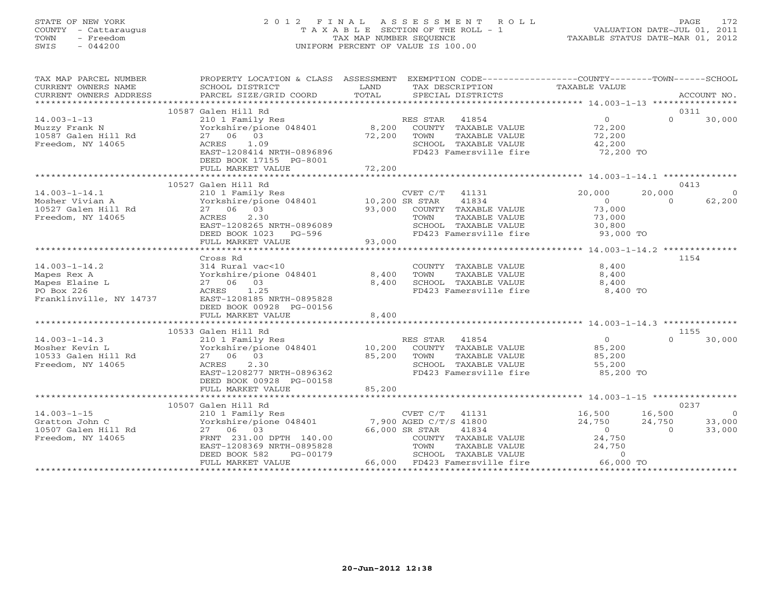## STATE OF NEW YORK 2 0 1 2 F I N A L A S S E S S M E N T R O L L PAGE 172 COUNTY - Cattaraugus T A X A B L E SECTION OF THE ROLL - 1 VALUATION DATE-JUL 01, 2011 TOWN - Freedom TAX MAP NUMBER SEQUENCE TAXABLE STATUS DATE-MAR 01, 2012 SWIS - 044200 UNIFORM PERCENT OF VALUE IS 100.00UNIFORM PERCENT OF VALUE IS 100.00

| TAX MAP PARCEL NUMBER   | PROPERTY LOCATION & CLASS ASSESSMENT EXEMPTION CODE----------------COUNTY-------TOWN------SCHOOL |        |                            |                |          |                |
|-------------------------|--------------------------------------------------------------------------------------------------|--------|----------------------------|----------------|----------|----------------|
| CURRENT OWNERS NAME     | SCHOOL DISTRICT                                                                                  | LAND   | TAX DESCRIPTION            | TAXABLE VALUE  |          |                |
| CURRENT OWNERS ADDRESS  | PARCEL SIZE/GRID COORD                                                                           | TOTAL  | SPECIAL DISTRICTS          |                |          | ACCOUNT NO.    |
|                         |                                                                                                  |        |                            |                |          |                |
|                         | 10587 Galen Hill Rd                                                                              |        |                            |                | 0311     |                |
| $14.003 - 1 - 13$       | 210 1 Family Res                                                                                 |        | RES STAR 41854             | $\overline{0}$ | $\cap$   | 30,000         |
| Muzzy Frank N           | Yorkshire/pione 048401                                                                           |        | 8,200 COUNTY TAXABLE VALUE | 72,200         |          |                |
| 10587 Galen Hill Rd     | 27 06 03                                                                                         | 72,200 | TOWN<br>TAXABLE VALUE      | 72,200         |          |                |
| Freedom, NY 14065       | 1.09<br>ACRES                                                                                    |        | SCHOOL TAXABLE VALUE       | 42,200         |          |                |
|                         | EAST-1208414 NRTH-0896896                                                                        |        | FD423 Famersville fire     | 72,200 TO      |          |                |
|                         | DEED BOOK 17155 PG-8001                                                                          |        |                            |                |          |                |
|                         | FULL MARKET VALUE                                                                                | 72,200 |                            |                |          |                |
|                         |                                                                                                  |        |                            |                |          |                |
|                         | 10527 Galen Hill Rd                                                                              |        |                            |                | 0413     |                |
| $14.003 - 1 - 14.1$     | 210 1 Family Res                                                                                 |        | CVET C/T<br>41131          | 20,000         | 20,000   | $\circ$        |
| Mosher Vivian A         | Yorkshire/pione 048401 10,200 SR STAR                                                            |        | 41834                      | $\overline{0}$ | $\Omega$ | 62,200         |
| 10527 Galen Hill Rd     | 27 06 03                                                                                         | 93,000 | COUNTY TAXABLE VALUE       | 73,000         |          |                |
| Freedom, NY 14065       | 2.30<br>ACRES                                                                                    |        | TOWN<br>TAXABLE VALUE      | 73,000         |          |                |
|                         | EAST-1208265 NRTH-0896089                                                                        |        | SCHOOL TAXABLE VALUE       | 30,800         |          |                |
|                         | DEED BOOK 1023 PG-596                                                                            |        | FD423 Famersville fire     | 93,000 TO      |          |                |
|                         | FULL MARKET VALUE                                                                                | 93,000 |                            |                |          |                |
|                         |                                                                                                  |        |                            |                |          |                |
|                         | Cross Rd                                                                                         |        |                            |                | 1154     |                |
| $14.003 - 1 - 14.2$     | 314 Rural vac<10                                                                                 |        | COUNTY TAXABLE VALUE       | 8,400          |          |                |
| Mapes Rex A             | Yorkshire/pione 048401                                                                           | 8,400  | TOWN<br>TAXABLE VALUE      | 8,400          |          |                |
| Mapes Elaine L          | 27 06 03                                                                                         | 8,400  | SCHOOL TAXABLE VALUE       | 8,400          |          |                |
| PO Box 226              | ACRES<br>1.25                                                                                    |        | FD423 Famersville fire     | 8,400 TO       |          |                |
| Franklinville, NY 14737 | EAST-1208185 NRTH-0895828                                                                        |        |                            |                |          |                |
|                         | DEED BOOK 00928 PG-00156                                                                         |        |                            |                |          |                |
|                         | FULL MARKET VALUE                                                                                | 8,400  |                            |                |          |                |
|                         |                                                                                                  |        |                            |                |          |                |
|                         | 10533 Galen Hill Rd                                                                              |        |                            |                | 1155     |                |
| $14.003 - 1 - 14.3$     | 210 1 Family Res                                                                                 |        | RES STAR 41854             | $\overline{0}$ | $\Omega$ | 30,000         |
| Mosher Kevin L          | Yorkshire/pione 048401                                                                           | 10,200 | COUNTY TAXABLE VALUE       | 85,200         |          |                |
| 10533 Galen Hill Rd     | 27 06 03                                                                                         | 85,200 | TOWN<br>TAXABLE VALUE      | 85,200         |          |                |
| Freedom, NY 14065       | ACRES<br>2.30                                                                                    |        | SCHOOL TAXABLE VALUE       | 55,200         |          |                |
|                         | EAST-1208277 NRTH-0896362                                                                        |        | FD423 Famersville fire     | 85,200 TO      |          |                |
|                         | DEED BOOK 00928 PG-00158                                                                         |        |                            |                |          |                |
|                         | FULL MARKET VALUE                                                                                | 85,200 |                            |                |          |                |
|                         |                                                                                                  |        |                            |                |          |                |
|                         | 10507 Galen Hill Rd                                                                              |        |                            |                | 0237     |                |
| $14.003 - 1 - 15$       | 210 1 Family Res                                                                                 |        | CVET C/T<br>41131          | 16,500         | 16,500   | $\overline{0}$ |
| Gratton John C          | Yorkshire/pione 048401                                                                           |        | 7,900 AGED C/T/S 41800     | 24,750         | 24,750   | 33,000         |
| 10507 Galen Hill Rd     | 27 06 03                                                                                         |        | 66,000 SR STAR<br>41834    | $\Omega$       | $\Omega$ | 33,000         |
| Freedom, NY 14065       | FRNT 231.00 DPTH 140.00                                                                          |        | COUNTY TAXABLE VALUE       | 24,750         |          |                |
|                         | EAST-1208369 NRTH-0895828                                                                        |        | TOWN<br>TAXABLE VALUE      | 24,750         |          |                |
|                         | DEED BOOK 582<br>PG-00179                                                                        |        | SCHOOL TAXABLE VALUE       | $\Omega$       |          |                |
|                         | FULL MARKET VALUE                                                                                | 66,000 | FD423 Famersville fire     | 66,000 TO      |          |                |
|                         | *************************                                                                        |        |                            |                |          |                |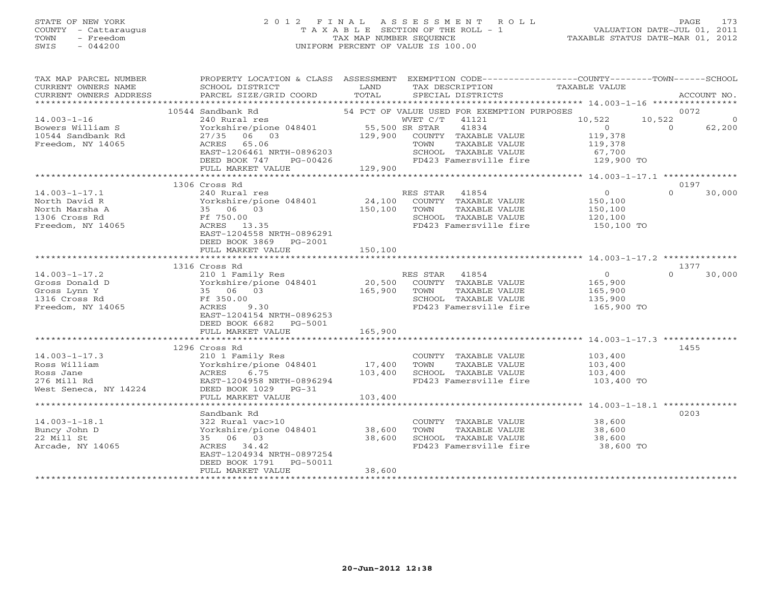#### STATE OF NEW YORK 2 0 1 2 F I N A L A S S E S S M E N T R O L L PAGE 173 COUNTY - Cattaraugus T A X A B L E SECTION OF THE ROLL - 1 VALUATION DATE-JUL 01, 2011 TOWN - Freedom TAX MAP NUMBER SEQUENCE TAXABLE STATUS DATE-MAR 01, 2012 SWIS - 044200 UNIFORM PERCENT OF VALUE IS 100.00UNIFORM PERCENT OF VALUE IS 100.00

| TAX MAP PARCEL NUMBER<br>CURRENT OWNERS NAME<br>CURRENT OWNERS ADDRESS | PROPERTY LOCATION & CLASS ASSESSMENT<br>SCHOOL DISTRICT<br>PARCEL SIZE/GRID COORD | LAND<br>TOTAL         | EXEMPTION CODE-----------------COUNTY-------TOWN------SCHOOL<br>TAX DESCRIPTION<br>SPECIAL DISTRICTS | TAXABLE VALUE                                              | ACCOUNT NO.        |
|------------------------------------------------------------------------|-----------------------------------------------------------------------------------|-----------------------|------------------------------------------------------------------------------------------------------|------------------------------------------------------------|--------------------|
|                                                                        |                                                                                   |                       |                                                                                                      |                                                            |                    |
|                                                                        | 10544 Sandbank Rd                                                                 |                       | 54 PCT OF VALUE USED FOR EXEMPTION PURPOSES                                                          |                                                            | 0072               |
| $14.003 - 1 - 16$                                                      | 240 Rural res                                                                     |                       | WVET C/T<br>41121                                                                                    | 10,522                                                     | 10,522<br>$\circ$  |
| Bowers William S                                                       | Yorkshire/pione 048401                                                            | 55,500 SR STAR        | 41834                                                                                                | $\overline{0}$                                             | $\Omega$<br>62,200 |
| 10544 Sandbank Rd                                                      | 27/35 06 03                                                                       |                       | 129,900 COUNTY TAXABLE VALUE                                                                         | 119,378                                                    |                    |
| Freedom, NY 14065                                                      | ACRES 65.06                                                                       |                       | TAXABLE VALUE<br>TOWN                                                                                | 119,378                                                    |                    |
|                                                                        | EAST-1206461 NRTH-0896203                                                         |                       | SCHOOL TAXABLE VALUE                                                                                 | 67,700                                                     |                    |
|                                                                        | DEED BOOK 747<br>PG-00426                                                         |                       | FD423 Famersville fire                                                                               | 129,900 TO                                                 |                    |
|                                                                        | FULL MARKET VALUE                                                                 | 129,900               |                                                                                                      |                                                            |                    |
|                                                                        |                                                                                   | ********************* |                                                                                                      | ************ 14.003-1-17.1 ***************                 |                    |
|                                                                        | 1306 Cross Rd                                                                     |                       |                                                                                                      |                                                            | 0197               |
| $14.003 - 1 - 17.1$                                                    | 240 Rural res                                                                     | RE<br>24,100          | RES STAR<br>41854                                                                                    | $\overline{0}$                                             | $\Omega$<br>30,000 |
| North David R                                                          | Yorkshire/pione 048401                                                            |                       | COUNTY TAXABLE VALUE                                                                                 | 150,100                                                    |                    |
| North Marsha A                                                         | 35 06 03                                                                          | 150,100               | TAXABLE VALUE<br>TOWN                                                                                | 150,100                                                    |                    |
| 1306 Cross Rd                                                          | Ff 750.00                                                                         |                       | SCHOOL TAXABLE VALUE                                                                                 | 120,100                                                    |                    |
| Freedom, NY 14065                                                      | ACRES 13.35                                                                       |                       | FD423 Famersville fire                                                                               | 150,100 TO                                                 |                    |
|                                                                        | EAST-1204558 NRTH-0896291                                                         |                       |                                                                                                      |                                                            |                    |
|                                                                        | DEED BOOK 3869 PG-2001                                                            |                       |                                                                                                      |                                                            |                    |
|                                                                        | FULL MARKET VALUE                                                                 | 150,100               |                                                                                                      |                                                            |                    |
|                                                                        |                                                                                   |                       |                                                                                                      |                                                            |                    |
|                                                                        | 1316 Cross Rd                                                                     |                       |                                                                                                      |                                                            | 1377               |
| $14.003 - 1 - 17.2$                                                    | 210 1 Family Res                                                                  |                       | RES STAR<br>41854                                                                                    | $\overline{0}$                                             | $\Omega$<br>30,000 |
| Gross Donald D                                                         | Yorkshire/pione 048401                                                            | 20,500                | COUNTY TAXABLE VALUE                                                                                 | 165,900                                                    |                    |
| Gross Lynn Y                                                           | 35 06 03                                                                          | 165,900               | TOWN<br>TAXABLE VALUE                                                                                | 165,900                                                    |                    |
| 1316 Cross Rd                                                          | Ff 350.00                                                                         |                       | SCHOOL TAXABLE VALUE                                                                                 | 135,900                                                    |                    |
| Freedom, NY 14065                                                      | ACRES<br>9.30                                                                     |                       | FD423 Famersville fire                                                                               | 165,900 TO                                                 |                    |
|                                                                        | EAST-1204154 NRTH-0896253                                                         |                       |                                                                                                      |                                                            |                    |
|                                                                        | DEED BOOK 6682<br>PG-5001                                                         |                       |                                                                                                      |                                                            |                    |
|                                                                        | FULL MARKET VALUE                                                                 | 165,900               |                                                                                                      |                                                            |                    |
|                                                                        | ************************                                                          | * * * * * * * * * * * |                                                                                                      | **************************** 14.003-1-17.3 *************** |                    |
|                                                                        | 1296 Cross Rd                                                                     |                       |                                                                                                      |                                                            | 1455               |
| $14.003 - 1 - 17.3$                                                    | 210 1 Family Res                                                                  |                       | COUNTY TAXABLE VALUE                                                                                 | 103,400                                                    |                    |
| Ross William                                                           | Yorkshire/pione 048401                                                            | 17,400                | TOWN<br>TAXABLE VALUE                                                                                | 103,400                                                    |                    |
| Ross Jane                                                              | ACRES<br>6.75                                                                     | 103,400               | SCHOOL TAXABLE VALUE                                                                                 | 103,400                                                    |                    |
| 276 Mill Rd                                                            | EAST-1204958 NRTH-0896294                                                         |                       | FD423 Famersville fire                                                                               | 103,400 TO                                                 |                    |
| West Seneca, NY 14224                                                  | DEED BOOK 1029 PG-31                                                              |                       |                                                                                                      |                                                            |                    |
|                                                                        | FULL MARKET VALUE                                                                 | 103,400               |                                                                                                      |                                                            |                    |
|                                                                        |                                                                                   |                       |                                                                                                      |                                                            |                    |
|                                                                        | Sandbank Rd                                                                       |                       |                                                                                                      |                                                            | 0203               |
| $14.003 - 1 - 18.1$                                                    | 322 Rural vac>10                                                                  |                       | COUNTY TAXABLE VALUE                                                                                 | 38,600                                                     |                    |
| Buncy John D                                                           | Yorkshire/pione 048401 38,600                                                     |                       | TOWN<br>TAXABLE VALUE                                                                                | 38,600                                                     |                    |
| 22 Mill St                                                             | 35 06 03                                                                          | 38,600                | SCHOOL TAXABLE VALUE                                                                                 | 38,600                                                     |                    |
| Arcade, NY 14065                                                       | ACRES 34.42                                                                       |                       | FD423 Famersville fire                                                                               | 38,600 TO                                                  |                    |
|                                                                        | EAST-1204934 NRTH-0897254                                                         |                       |                                                                                                      |                                                            |                    |
|                                                                        | DEED BOOK 1791<br>PG-50011                                                        |                       |                                                                                                      |                                                            |                    |
|                                                                        | FULL MARKET VALUE                                                                 | 38,600                |                                                                                                      |                                                            |                    |
|                                                                        |                                                                                   |                       |                                                                                                      |                                                            |                    |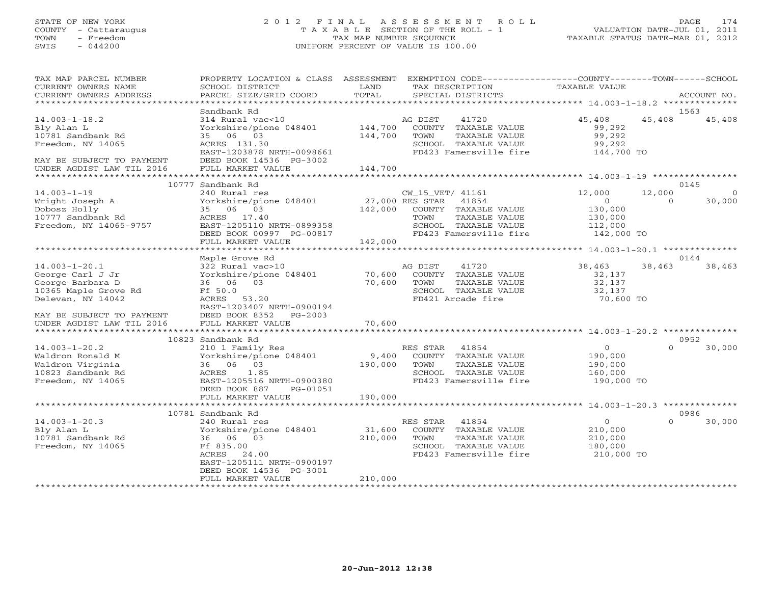#### STATE OF NEW YORK 2 0 1 2 F I N A L A S S E S S M E N T R O L L PAGE 174 COUNTY - Cattaraugus T A X A B L E SECTION OF THE ROLL - 1 VALUATION DATE-JUL 01, 2011 TOWN - Freedom TAX MAP NUMBER SEQUENCE TAXABLE STATUS DATE-MAR 01, 2012 SWIS - 044200 UNIFORM PERCENT OF VALUE IS 100.00UNIFORM PERCENT OF VALUE IS 100.00

| TAX MAP PARCEL NUMBER<br>CURRENT OWNERS NAME<br>CURRENT OWNERS ADDRESS                                                                | PROPERTY LOCATION & CLASS ASSESSMENT<br>SCHOOL DISTRICT<br>PARCEL SIZE/GRID COORD                                                                            | LAND<br>TOTAL                | EXEMPTION CODE----------------COUNTY-------TOWN------SCHOOL<br>TAX DESCRIPTION<br>SPECIAL DISTRICTS                                          | TAXABLE VALUE                                                           |                    | ACCOUNT NO.       |
|---------------------------------------------------------------------------------------------------------------------------------------|--------------------------------------------------------------------------------------------------------------------------------------------------------------|------------------------------|----------------------------------------------------------------------------------------------------------------------------------------------|-------------------------------------------------------------------------|--------------------|-------------------|
|                                                                                                                                       |                                                                                                                                                              |                              |                                                                                                                                              |                                                                         |                    |                   |
| $14.003 - 1 - 18.2$<br>Bly Alan L<br>10781 Sandbank Rd<br>Freedom, NY 14065<br>MAY BE SUBJECT TO PAYMENT                              | Sandbank Rd<br>314 Rural vac<10<br>Yorkshire/pione 048401<br>35 06 03<br>ACRES 131.30<br>EAST-1203878 NRTH-0098661<br>DEED BOOK 14536 PG-3002                | 144,700<br>144,700           | AG DIST<br>41720<br>COUNTY TAXABLE VALUE<br>TOWN<br>TAXABLE VALUE<br>SCHOOL TAXABLE VALUE<br>FD423 Famersville fire                          | 45,408<br>99,292<br>99,292<br>99,292<br>144,700 TO                      | 45,408             | 1563<br>45,408    |
| UNDER AGDIST LAW TIL 2016                                                                                                             | FULL MARKET VALUE                                                                                                                                            | 144,700                      |                                                                                                                                              |                                                                         |                    |                   |
|                                                                                                                                       | 10777 Sandbank Rd                                                                                                                                            |                              |                                                                                                                                              |                                                                         |                    | 0145              |
| $14.003 - 1 - 19$<br>Wright Joseph A<br>Dobosz Holly<br>10777 Sandbank Rd<br>Freedom, NY 14065-9757                                   | 240 Rural res<br>Yorkshire/pione 048401<br>35 06 03<br>ACRES 17.40<br>EAST-1205110 NRTH-0899358<br>DEED BOOK 00997 PG-00817                                  | 142,000                      | CW_15_VET/ 41161<br>27,000 RES STAR 41854<br>COUNTY TAXABLE VALUE<br>TOWN<br>TAXABLE VALUE<br>SCHOOL TAXABLE VALUE<br>FD423 Famersville fire | 12,000<br>$\overline{0}$<br>130,000<br>130,000<br>112,000<br>142,000 TO | 12,000<br>$\Omega$ | $\circ$<br>30,000 |
|                                                                                                                                       | FULL MARKET VALUE                                                                                                                                            | 142,000                      |                                                                                                                                              |                                                                         |                    |                   |
|                                                                                                                                       | Maple Grove Rd                                                                                                                                               |                              |                                                                                                                                              |                                                                         |                    | 0144              |
| $14.003 - 1 - 20.1$<br>George Carl J Jr<br>George Barbara D<br>10365 Maple Grove Rd<br>Delevan, NY 14042<br>MAY BE SUBJECT TO PAYMENT | 322 Rural vac>10<br>Yorkshire/pione 048401<br>36 06 03<br>Ff 50.0<br>ACRES 53.20<br>EAST-1203407 NRTH-0900194<br>DEED BOOK 8352 PG-2003                      | 70,600<br>70,600             | 41720<br>AG DIST<br>COUNTY TAXABLE VALUE<br>TOWN<br>TAXABLE VALUE<br>SCHOOL TAXABLE VALUE<br>FD421 Arcade fire                               | 38,463<br>32,137<br>32,137<br>32,137<br>70,600 TO                       | 38,463             | 38,463            |
| UNDER AGDIST LAW TIL 2016                                                                                                             | FULL MARKET VALUE                                                                                                                                            | 70,600                       |                                                                                                                                              |                                                                         |                    |                   |
|                                                                                                                                       | 10823 Sandbank Rd                                                                                                                                            |                              |                                                                                                                                              |                                                                         |                    | 0952              |
| $14.003 - 1 - 20.2$<br>Waldron Ronald M<br>Waldron Virginia<br>10823 Sandbank Rd<br>Freedom, NY 14065                                 | 210 1 Family Res<br>Yorkshire/pione 048401<br>36 06 03<br>1.85<br>ACRES<br>EAST-1205516 NRTH-0900380<br>DEED BOOK 887<br>PG-01051                            | 9,400<br>190,000             | RES STAR 41854<br>COUNTY TAXABLE VALUE<br>TAXABLE VALUE<br>TOWN<br>SCHOOL TAXABLE VALUE<br>FD423 Famersville fire                            | $\overline{O}$<br>190,000<br>190,000<br>160,000<br>190,000 TO           | $\Omega$           | 30,000            |
|                                                                                                                                       | FULL MARKET VALUE                                                                                                                                            | 190,000                      |                                                                                                                                              |                                                                         |                    |                   |
|                                                                                                                                       | 10781 Sandbank Rd                                                                                                                                            |                              |                                                                                                                                              |                                                                         |                    | 0986              |
| $14.003 - 1 - 20.3$<br>Bly Alan L<br>10781 Sandbank Rd<br>Freedom, NY 14065                                                           | 240 Rural res<br>Yorkshire/pione 048401<br>36 06 03<br>Ff 835.00<br>ACRES 24.00<br>EAST-1205111 NRTH-0900197<br>DEED BOOK 14536 PG-3001<br>FULL MARKET VALUE | 31,600<br>210,000<br>210,000 | RES STAR<br>41854<br>COUNTY TAXABLE VALUE<br>TOWN<br>TAXABLE VALUE<br>SCHOOL TAXABLE VALUE<br>FD423 Famersville fire                         | $\circ$<br>210,000<br>210,000<br>180,000<br>210,000 TO                  | $\Omega$           | 30,000            |
|                                                                                                                                       |                                                                                                                                                              |                              |                                                                                                                                              |                                                                         |                    |                   |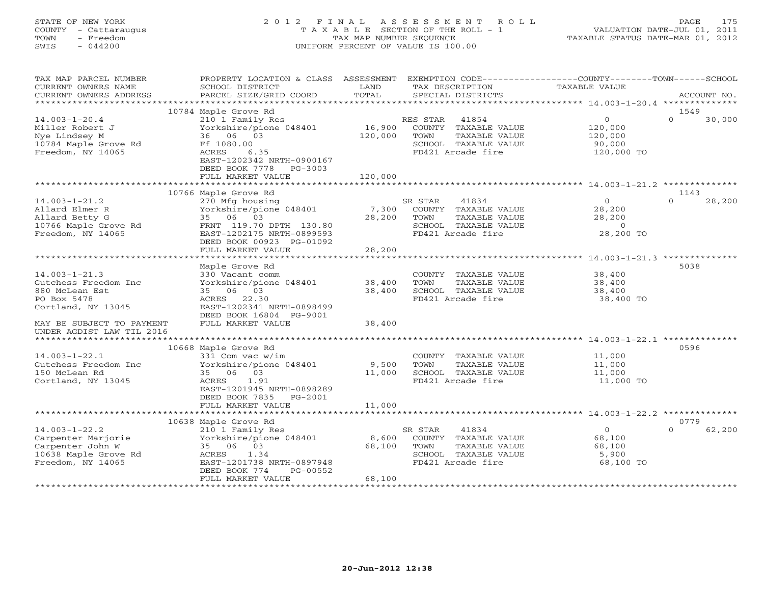# STATE OF NEW YORK 2 0 1 2 F I N A L A S S E S S M E N T R O L L PAGE 175 COUNTY - Cattaraugus T A X A B L E SECTION OF THE ROLL - 1 VALUATION DATE-JUL 01, 2011 TOWN - Freedom TAX MAP NUMBER SEQUENCE TAXABLE STATUS DATE-MAR 01, 2012 SWIS - 044200 UNIFORM PERCENT OF VALUE IS 100.00UNIFORM PERCENT OF VALUE IS 100.00

| TAX MAP PARCEL NUMBER<br>CURRENT OWNERS NAME<br>CURRENT OWNERS ADDRESS                                                          | PROPERTY LOCATION & CLASS ASSESSMENT<br>SCHOOL DISTRICT<br>PARCEL SIZE/GRID COORD                                                                                              | LAND<br>TOTAL              | TAX DESCRIPTION<br>SPECIAL DISTRICTS                                                                            | EXEMPTION CODE-----------------COUNTY-------TOWN------SCHOOL<br><b>TAXABLE VALUE</b> | ACCOUNT NO.                |
|---------------------------------------------------------------------------------------------------------------------------------|--------------------------------------------------------------------------------------------------------------------------------------------------------------------------------|----------------------------|-----------------------------------------------------------------------------------------------------------------|--------------------------------------------------------------------------------------|----------------------------|
| ***********************                                                                                                         |                                                                                                                                                                                |                            |                                                                                                                 |                                                                                      |                            |
| $14.003 - 1 - 20.4$<br>Miller Robert J<br>Nye Lindsey M<br>10784 Maple Grove Rd<br>Freedom, NY 14065                            | 10784 Maple Grove Rd<br>210 1 Family Res<br>Yorkshire/pione 048401<br>36 06 03<br>Ff 1080.00<br>ACRES<br>6.35<br>EAST-1202342 NRTH-0900167<br>DEED BOOK 7778<br>PG-3003        | 16,900<br>120,000          | RES STAR<br>41854<br>COUNTY TAXABLE VALUE<br>TAXABLE VALUE<br>TOWN<br>SCHOOL TAXABLE VALUE<br>FD421 Arcade fire | $\circ$<br>120,000<br>120,000<br>90,000<br>120,000 TO                                | 1549<br>$\Omega$<br>30,000 |
|                                                                                                                                 | FULL MARKET VALUE                                                                                                                                                              | 120,000                    |                                                                                                                 |                                                                                      |                            |
| $14.003 - 1 - 21.2$<br>Allard Elmer R<br>Allard Betty G<br>10766 Maple Grove Rd<br>Freedom, NY 14065                            | 10766 Maple Grove Rd<br>270 Mfg housing<br>Yorkshire/pione 048401<br>35 06 03<br>FRNT 119.70 DPTH 130.80<br>EAST-1202175 NRTH-0899593<br>DEED BOOK 00923 PG-01092              | 7,300<br>28,200            | SR STAR<br>41834<br>COUNTY TAXABLE VALUE<br>TOWN<br>TAXABLE VALUE<br>SCHOOL TAXABLE VALUE<br>FD421 Arcade fire  | $\Omega$<br>28,200<br>28,200<br>$\circ$<br>28,200 TO                                 | 1143<br>28,200<br>$\Omega$ |
|                                                                                                                                 | FULL MARKET VALUE                                                                                                                                                              | 28,200                     |                                                                                                                 |                                                                                      |                            |
| $14.003 - 1 - 21.3$<br>Gutchess Freedom Inc<br>880 McLean Est<br>PO Box 5478<br>Cortland, NY 13045<br>MAY BE SUBJECT TO PAYMENT | Maple Grove Rd<br>330 Vacant comm<br>Yorkshire/pione 048401<br>35 06 03<br>ACRES 22.30<br>EAST-1202341 NRTH-0898499<br>DEED BOOK 16804 PG-9001<br>FULL MARKET VALUE            | 38,400<br>38,400<br>38,400 | COUNTY TAXABLE VALUE<br>TOWN<br>TAXABLE VALUE<br>SCHOOL TAXABLE VALUE<br>FD421 Arcade fire                      | 38,400<br>38,400<br>38,400<br>38,400 TO                                              | 5038                       |
| UNDER AGDIST LAW TIL 2016                                                                                                       |                                                                                                                                                                                |                            |                                                                                                                 |                                                                                      |                            |
| $14.003 - 1 - 22.1$<br>Gutchess Freedom Inc<br>150 McLean Rd<br>Cortland, NY 13045                                              | 10668 Maple Grove Rd<br>331 Com vac w/im<br>Yorkshire/pione 048401<br>35 06 03<br>1.91<br>ACRES<br>EAST-1201945 NRTH-0898289<br>DEED BOOK 7835<br>PG-2001<br>FULL MARKET VALUE | 9,500<br>11,000<br>11,000  | COUNTY TAXABLE VALUE<br>TAXABLE VALUE<br>TOWN<br>SCHOOL TAXABLE VALUE<br>FD421 Arcade fire                      | 11,000<br>11,000<br>11,000<br>11,000 TO                                              | 0596                       |
|                                                                                                                                 |                                                                                                                                                                                |                            |                                                                                                                 |                                                                                      |                            |
| $14.003 - 1 - 22.2$<br>Carpenter Marjorie<br>Carpenter John W<br>10638 Maple Grove Rd<br>Freedom, NY 14065                      | 10638 Maple Grove Rd<br>210 1 Family Res<br>Yorkshire/pione 048401<br>35 06 03<br>1.34<br>ACRES<br>EAST-1201738 NRTH-0897948<br>DEED BOOK 774<br>PG-00552<br>FULL MARKET VALUE | 8,600<br>68,100<br>68,100  | 41834<br>SR STAR<br>COUNTY TAXABLE VALUE<br>TOWN<br>TAXABLE VALUE<br>SCHOOL TAXABLE VALUE<br>FD421 Arcade fire  | $\overline{O}$<br>68,100<br>68,100<br>5,900<br>68,100 TO                             | 0779<br>62,200<br>$\Omega$ |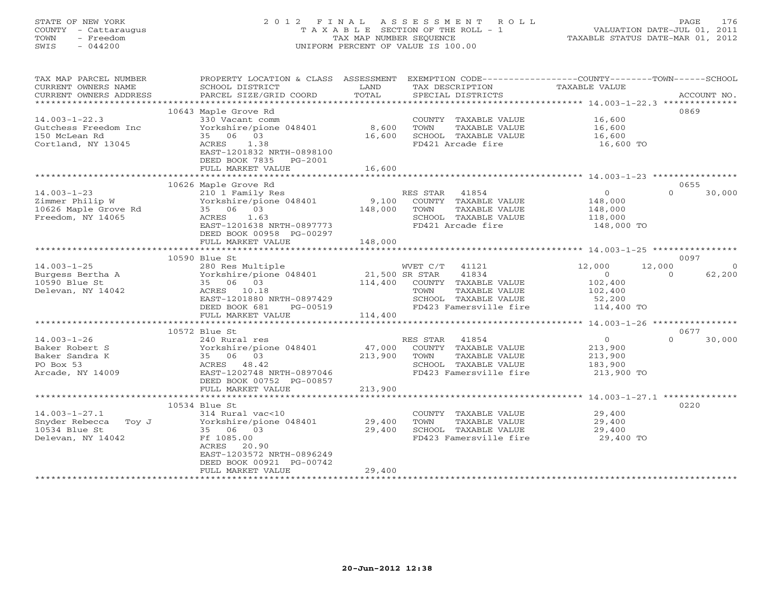# STATE OF NEW YORK 2 0 1 2 F I N A L A S S E S S M E N T R O L L PAGE 176 COUNTY - Cattaraugus T A X A B L E SECTION OF THE ROLL - 1 VALUATION DATE-JUL 01, 2011 TOWN - Freedom TAX MAP NUMBER SEQUENCE TAXABLE STATUS DATE-MAR 01, 2012 SWIS - 044200 UNIFORM PERCENT OF VALUE IS 100.00UNIFORM PERCENT OF VALUE IS 100.00

| TAX MAP PARCEL NUMBER  | PROPERTY LOCATION & CLASS ASSESSMENT EXEMPTION CODE----------------COUNTY-------TOWN------SCHOOL |                       |                        |                  |                    |
|------------------------|--------------------------------------------------------------------------------------------------|-----------------------|------------------------|------------------|--------------------|
| CURRENT OWNERS NAME    | SCHOOL DISTRICT                                                                                  | LAND                  | TAX DESCRIPTION        | TAXABLE VALUE    |                    |
| CURRENT OWNERS ADDRESS | PARCEL SIZE/GRID COORD                                                                           | TOTAL                 | SPECIAL DISTRICTS      |                  | ACCOUNT NO.        |
|                        |                                                                                                  |                       |                        |                  |                    |
|                        | 10643 Maple Grove Rd                                                                             |                       |                        |                  | 0869               |
| $14.003 - 1 - 22.3$    | 330 Vacant comm                                                                                  |                       | COUNTY TAXABLE VALUE   | 16,600           |                    |
| Gutchess Freedom Inc   | Yorkshire/pione 048401                                                                           | 8,600                 | TAXABLE VALUE<br>TOWN  | 16,600           |                    |
| 150 McLean Rd          | 35 06 03                                                                                         | 16,600                | SCHOOL TAXABLE VALUE   | 16,600           |                    |
| Cortland, NY 13045     | ACRES 1.38                                                                                       |                       | FD421 Arcade fire      | 16,600 TO        |                    |
|                        | EAST-1201832 NRTH-0898100                                                                        |                       |                        |                  |                    |
|                        | DEED BOOK 7835 PG-2001                                                                           |                       |                        |                  |                    |
|                        | FULL MARKET VALUE                                                                                | 16,600                |                        |                  |                    |
|                        |                                                                                                  |                       |                        |                  |                    |
|                        | 10626 Maple Grove Rd                                                                             |                       |                        |                  | 0655               |
| $14.003 - 1 - 23$      | 210 1 Family Res                                                                                 |                       | RES STAR 41854         | $\overline{O}$   | $\Omega$<br>30,000 |
| Zimmer Philip W        | Yorkshire/pione 048401                                                                           | 9,100                 | COUNTY TAXABLE VALUE   | 148,000          |                    |
| 10626 Maple Grove Rd   | 35 06 03                                                                                         | 148,000               | TOWN<br>TAXABLE VALUE  | 148,000          |                    |
| Freedom, NY 14065      | ACRES 1.63                                                                                       |                       | SCHOOL TAXABLE VALUE   | 118,000          |                    |
|                        | EAST-1201638 NRTH-0897773                                                                        |                       | FD421 Arcade fire      | 148,000 TO       |                    |
|                        | DEED BOOK 00958 PG-00297                                                                         |                       |                        |                  |                    |
|                        | FULL MARKET VALUE                                                                                | 148,000               |                        |                  |                    |
|                        | ********************                                                                             |                       |                        |                  |                    |
|                        | 10590 Blue St                                                                                    |                       |                        |                  | 0097               |
|                        |                                                                                                  |                       |                        |                  |                    |
| $14.003 - 1 - 25$      | 280 Res Multiple                                                                                 |                       | WVET C/T 41121         | 12,000<br>12,000 | $\overline{0}$     |
| Burgess Bertha A       | Yorkshire/pione 048401                                                                           | 21,500 SR STAR        | 41834                  | $\overline{0}$   | 62,200<br>$\Omega$ |
| 10590 Blue St          | 35 06 03                                                                                         | 114,400               | COUNTY TAXABLE VALUE   | 102,400          |                    |
| Delevan, NY 14042      | ACRES 10.18                                                                                      |                       | TOWN<br>TAXABLE VALUE  | 102,400          |                    |
|                        | EAST-1201880 NRTH-0897429                                                                        |                       | SCHOOL TAXABLE VALUE   | 52,200           |                    |
|                        | DEED BOOK 681<br>PG-00519                                                                        |                       | FD423 Famersville fire | 114,400 TO       |                    |
|                        | FULL MARKET VALUE                                                                                | 114,400               |                        |                  |                    |
|                        |                                                                                                  |                       |                        |                  |                    |
|                        | 10572 Blue St                                                                                    |                       |                        |                  | 0677               |
| $14.003 - 1 - 26$      | 240 Rural res                                                                                    |                       | RES STAR 41854         | $\overline{0}$   | 30,000<br>$\Omega$ |
| Baker Robert S         | Yorkshire/pione 048401                                                                           | 47,000                | COUNTY TAXABLE VALUE   | 213,900          |                    |
| Baker Sandra K         | 35 06 03                                                                                         | 213,900               | TOWN<br>TAXABLE VALUE  | 213,900          |                    |
| PO Box 53              | ACRES 48.42                                                                                      |                       | SCHOOL TAXABLE VALUE   | 183,900          |                    |
| Arcade, NY 14009       | EAST-1202748 NRTH-0897046                                                                        |                       | FD423 Famersville fire | 213,900 TO       |                    |
|                        | DEED BOOK 00752 PG-00857                                                                         |                       |                        |                  |                    |
|                        | FULL MARKET VALUE                                                                                | 213,900               |                        |                  |                    |
|                        |                                                                                                  |                       |                        |                  |                    |
|                        | 10534 Blue St                                                                                    |                       |                        |                  | 0220               |
| $14.003 - 1 - 27.1$    | 314 Rural vac<10                                                                                 |                       | COUNTY TAXABLE VALUE   | 29,400           |                    |
| Snyder Rebecca Toy J   | Yorkshire/pione 048401                                                                           | 29,400                | TOWN<br>TAXABLE VALUE  | 29,400           |                    |
| 10534 Blue St          | 35 06 03                                                                                         | 29,400                | SCHOOL TAXABLE VALUE   | 29,400           |                    |
| Delevan, NY 14042      | Ff 1085.00                                                                                       |                       | FD423 Famersville fire | 29,400 TO        |                    |
|                        | ACRES 20.90                                                                                      |                       |                        |                  |                    |
|                        | EAST-1203572 NRTH-0896249                                                                        |                       |                        |                  |                    |
|                        | DEED BOOK 00921 PG-00742                                                                         |                       |                        |                  |                    |
|                        | FULL MARKET VALUE                                                                                | 29,400                |                        |                  |                    |
|                        | ******************************                                                                   | ********************* |                        |                  |                    |
|                        |                                                                                                  |                       |                        |                  |                    |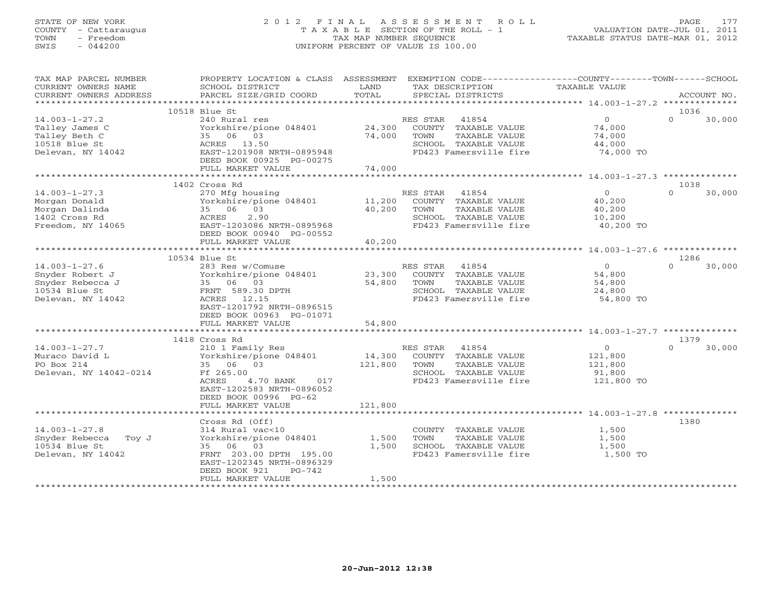## STATE OF NEW YORK 2 0 1 2 F I N A L A S S E S S M E N T R O L L PAGE 177 COUNTY - Cattaraugus T A X A B L E SECTION OF THE ROLL - 1 VALUATION DATE-JUL 01, 2011 TOWN - Freedom TAX MAP NUMBER SEQUENCE TAXABLE STATUS DATE-MAR 01, 2012 SWIS - 044200 UNIFORM PERCENT OF VALUE IS 100.00UNIFORM PERCENT OF VALUE IS 100.00

| TAX MAP PARCEL NUMBER<br>CURRENT OWNERS NAME                                                     | PROPERTY LOCATION & CLASS ASSESSMENT<br>SCHOOL DISTRICT                                                                                                                 | LAND                       | EXEMPTION CODE----------------COUNTY-------TOWN-----SCHOOL<br>TAX DESCRIPTION                                        | TAXABLE VALUE                                             |                    |
|--------------------------------------------------------------------------------------------------|-------------------------------------------------------------------------------------------------------------------------------------------------------------------------|----------------------------|----------------------------------------------------------------------------------------------------------------------|-----------------------------------------------------------|--------------------|
| CURRENT OWNERS ADDRESS<br>***********************                                                | PARCEL SIZE/GRID COORD                                                                                                                                                  | TOTAL                      | SPECIAL DISTRICTS                                                                                                    |                                                           | ACCOUNT NO.        |
|                                                                                                  | 10518 Blue St                                                                                                                                                           |                            |                                                                                                                      |                                                           | 1036               |
| $14.003 - 1 - 27.2$<br>Talley James C<br>Talley Beth C<br>10518 Blue St<br>Delevan, NY 14042     | 240 Rural res<br>Yorkshire/pione 048401<br>35 06 03<br>ACRES 13.50<br>EAST-1201908 NRTH-0895948<br>DEED BOOK 00925 PG-00275                                             | 24,300<br>74,000           | 41854<br>RES STAR<br>COUNTY TAXABLE VALUE<br>TOWN<br>TAXABLE VALUE<br>SCHOOL TAXABLE VALUE<br>FD423 Famersville fire | $\overline{0}$<br>74,000<br>74,000<br>44,000<br>74,000 TO | $\Omega$<br>30,000 |
|                                                                                                  | FULL MARKET VALUE<br>**********************************                                                                                                                 | 74,000                     |                                                                                                                      |                                                           |                    |
|                                                                                                  | 1402 Cross Rd                                                                                                                                                           |                            |                                                                                                                      |                                                           | 1038               |
| $14.003 - 1 - 27.3$<br>Morgan Donald<br>Morgan Dalinda<br>1402 Cross Rd<br>Freedom, NY 14065     | 270 Mfg housing<br>Yorkshire/pione 048401<br>35 06 03<br>2.90<br>ACRES<br>EAST-1203086 NRTH-0895968<br>DEED BOOK 00940 PG-00552                                         | 11,200<br>40,200           | RES STAR 41854<br>COUNTY TAXABLE VALUE<br>TOWN<br>TAXABLE VALUE<br>SCHOOL TAXABLE VALUE<br>FD423 Famersville fire    | $\Omega$<br>40,200<br>40,200<br>10,200<br>40,200 TO       | $\cap$<br>30,000   |
|                                                                                                  | FULL MARKET VALUE                                                                                                                                                       | 40,200                     |                                                                                                                      |                                                           |                    |
|                                                                                                  | 10534 Blue St                                                                                                                                                           |                            |                                                                                                                      |                                                           | 1286               |
| $14.003 - 1 - 27.6$<br>Snyder Robert J<br>Snyder Rebecca J<br>10534 Blue St<br>Delevan, NY 14042 | 283 Res w/Comuse<br>Yorkshire/pione 048401<br>35 06 03<br>FRNT 589.30 DPTH<br>ACRES 12.15<br>EAST-1201792 NRTH-0896515<br>DEED BOOK 00963 PG-01071<br>FULL MARKET VALUE | 23,300<br>54,800<br>54,800 | RES STAR 41854<br>COUNTY TAXABLE VALUE<br>TOWN<br>TAXABLE VALUE<br>SCHOOL TAXABLE VALUE<br>FD423 Famersville fire    | $\Omega$<br>54,800<br>54,800<br>24,800<br>54,800 TO       | $\cap$<br>30,000   |
|                                                                                                  |                                                                                                                                                                         |                            |                                                                                                                      |                                                           |                    |
|                                                                                                  | 1418 Cross Rd                                                                                                                                                           |                            |                                                                                                                      |                                                           | 1379               |
| $14.003 - 1 - 27.7$<br>Muraco David L<br>PO Box 214<br>Delevan, NY 14042-0214                    | 210 1 Family Res<br>Yorkshire/pione 048401<br>35 06 03<br>Ff 265.00<br><b>ACRES</b><br>4.70 BANK<br>017<br>EAST-1202583 NRTH-0896052<br>DEED BOOK 00996 PG-62           | 14,300<br>121,800          | RES STAR 41854<br>COUNTY TAXABLE VALUE<br>TAXABLE VALUE<br>TOWN<br>SCHOOL TAXABLE VALUE<br>FD423 Famersville fire    | $\circ$<br>121,800<br>121,800<br>91,800<br>121,800 TO     | $\Omega$<br>30,000 |
|                                                                                                  | FULL MARKET VALUE                                                                                                                                                       | 121,800                    |                                                                                                                      |                                                           |                    |
| $14.003 - 1 - 27.8$<br>Snyder Rebecca<br>Toy J<br>10534 Blue St<br>Delevan, NY 14042             | Cross Rd (Off)<br>314 Rural vac<10<br>Yorkshire/pione 048401<br>35 06 03<br>FRNT 203.00 DPTH 195.00<br>EAST-1202345 NRTH-0896329<br>$PG-742$<br>DEED BOOK 921           | 1,500<br>1,500             | COUNTY TAXABLE VALUE<br>TOWN<br>TAXABLE VALUE<br>SCHOOL TAXABLE VALUE<br>FD423 Famersville fire                      | 1,500<br>1,500<br>1,500<br>1,500 TO                       | 1380               |
|                                                                                                  | FULL MARKET VALUE                                                                                                                                                       | 1,500                      |                                                                                                                      |                                                           |                    |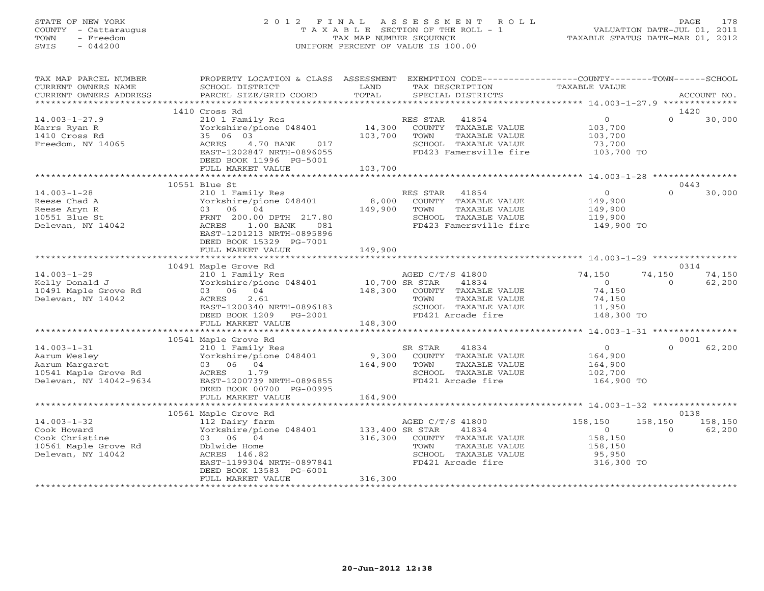## STATE OF NEW YORK 2 0 1 2 F I N A L A S S E S S M E N T R O L L PAGE 178 COUNTY - Cattaraugus T A X A B L E SECTION OF THE ROLL - 1 VALUATION DATE-JUL 01, 2011 TOWN - Freedom TAX MAP NUMBER SEQUENCE TAXABLE STATUS DATE-MAR 01, 2012 SWIS - 044200 UNIFORM PERCENT OF VALUE IS 100.00UNIFORM PERCENT OF VALUE IS 100.00

| TAX MAP PARCEL NUMBER<br>CURRENT OWNERS NAME<br>CURRENT OWNERS ADDRESS                          | PROPERTY LOCATION & CLASS ASSESSMENT<br>SCHOOL DISTRICT<br>PARCEL SIZE/GRID COORD                                                                                                         | LAND<br>TAX DESCRIPTION<br>TOTAL<br>SPECIAL DISTRICTS                                                                                                                            | EXEMPTION CODE----------------COUNTY-------TOWN------SCHOOL<br>TAXABLE VALUE<br>ACCOUNT NO.                         |
|-------------------------------------------------------------------------------------------------|-------------------------------------------------------------------------------------------------------------------------------------------------------------------------------------------|----------------------------------------------------------------------------------------------------------------------------------------------------------------------------------|---------------------------------------------------------------------------------------------------------------------|
|                                                                                                 |                                                                                                                                                                                           |                                                                                                                                                                                  |                                                                                                                     |
| $14.003 - 1 - 27.9$<br>Marrs Ryan R<br>1410 Cross Rd<br>Freedom, NY 14065                       | 1410 Cross Rd<br>210 1 Family Res<br>210 1 Family Res<br>Yorkshire/pione 048401 14,300<br>35 06 03<br>ACRES<br>4.70 BANK 017<br>EAST-1202847 NRTH-0896055                                 | RES STAR<br>41854<br>COUNTY TAXABLE VALUE<br>103,700<br>TAXABLE VALUE<br>TOWN<br>SCHOOL TAXABLE VALUE<br>FD423 Famersville fire 103,700 TO                                       | 1420<br>$0 \qquad \qquad$<br>$\Omega$<br>30,000<br>103,700<br>103,700<br>73,700                                     |
|                                                                                                 | DEED BOOK 11996 PG-5001<br>FULL MARKET VALUE                                                                                                                                              | 103,700                                                                                                                                                                          |                                                                                                                     |
|                                                                                                 |                                                                                                                                                                                           |                                                                                                                                                                                  |                                                                                                                     |
| $14.003 - 1 - 28$<br>Reese Chad A<br>Reese Aryn R<br>10551 Blue St<br>Delevan, NY 14042         | 10551 Blue St<br>210 1 Family Res<br>Yorkshire/pione 048401<br>03 06 04<br>FRNT 200.00 DPTH 217.80<br>ACRES<br>$1.00$ BANK<br>081<br>EAST-1201213 NRTH-0895896<br>DEED BOOK 15329 PG-7001 | RES STAR 41854<br>8,000<br>COUNTY TAXABLE VALUE<br>149,900<br>TOWN<br>TAXABLE VALUE<br>SCHOOL TAXABLE VALUE 119,900<br>FD423 Famersville fire 149,900 TO                         | 0443<br>$\overline{0}$<br>$\cap$<br>30,000<br>149,900<br>149,900                                                    |
|                                                                                                 | FULL MARKET VALUE                                                                                                                                                                         | 149,900                                                                                                                                                                          |                                                                                                                     |
|                                                                                                 | 10491 Maple Grove Rd                                                                                                                                                                      |                                                                                                                                                                                  | 0314                                                                                                                |
| $14.003 - 1 - 29$<br>Kelly Donald J<br>10491 Maple Grove Rd<br>Delevan, NY 14042                | 03 06 04<br>ACRES<br>2.61<br>EAST-1200340 NRTH-0896183<br>DEED BOOK 1209 PG-2001<br>FULL MARKET VALUE                                                                                     | 210 1 Family Res<br>Yorkshire/pione 048401 10,700 SR STAR 41834<br>148,300 COUNTY TAXABLE VALUE<br>TOWN<br>TAXABLE VALUE<br>SCHOOL TAXABLE VALUE<br>FD421 Arcade fire<br>148,300 | 74,150<br>74,150<br>74,150<br>62,200<br>$\overline{0}$<br>$\Omega$<br>74,150<br>74,150<br>11,950<br>148,300 TO      |
|                                                                                                 |                                                                                                                                                                                           |                                                                                                                                                                                  |                                                                                                                     |
|                                                                                                 | 10541 Maple Grove Rd<br>210 1 Family Res<br>Yorkshire/pione 048401<br>ACRES 1.79<br>EAST-1200739 NRTH-0896855<br>DEED BOOK 00700 PG-00995                                                 | SR STAR<br>41834<br>9,300 COUNTY TAXABLE VALUE<br>164,900<br>TOWN<br>TAXABLE VALUE<br>SCHOOL TAXABLE VALUE<br>FD421 Arcade fire                                                  | 0001<br>62,200<br>$\overline{0}$<br>$\Omega$<br>164,900<br>164,900<br>102,700<br>164,900 TO                         |
|                                                                                                 | FULL MARKET VALUE                                                                                                                                                                         | 164,900                                                                                                                                                                          |                                                                                                                     |
|                                                                                                 | 10561 Maple Grove Rd                                                                                                                                                                      |                                                                                                                                                                                  | 0138                                                                                                                |
| $14.003 - 1 - 32$<br>Cook Howard<br>Cook Christine<br>10561 Maple Grove Rd<br>Delevan, NY 14042 | 112 Dairy farm<br>Yorkshire/pione 048401 133,400 SR STAR<br>03 06 04<br>Dblwide Home<br>ACRES 146.82<br>EAST-1199304 NRTH-0897841<br>DEED BOOK 13583 PG-6001<br>FULL MARKET VALUE         | AGED C/T/S 41800<br>41834<br>316,300<br>COUNTY TAXABLE VALUE<br>TAXABLE VALUE<br>TOWN<br>SCHOOL TAXABLE VALUE<br>FD421 Arcade fire<br>316,300                                    | 158,150<br>158,150<br>158,150<br>62,200<br>$\overline{0}$<br>$\Omega$<br>158,150<br>158,150<br>95,950<br>316,300 TO |
|                                                                                                 |                                                                                                                                                                                           |                                                                                                                                                                                  |                                                                                                                     |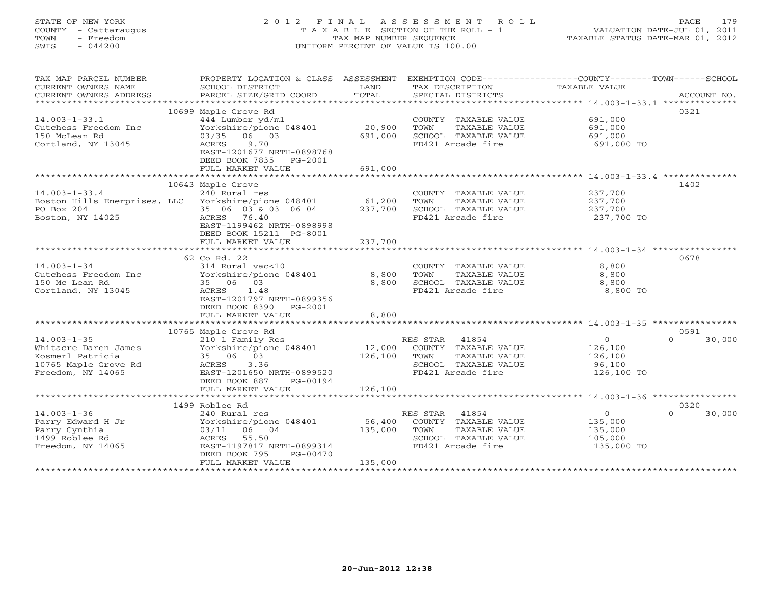# STATE OF NEW YORK 2 0 1 2 F I N A L A S S E S S M E N T R O L L PAGE 179 COUNTY - Cattaraugus T A X A B L E SECTION OF THE ROLL - 1 VALUATION DATE-JUL 01, 2011 TOWN - Freedom TAX MAP NUMBER SEQUENCE TAXABLE STATUS DATE-MAR 01, 2012 SWIS - 044200 UNIFORM PERCENT OF VALUE IS 100.00UNIFORM PERCENT OF VALUE IS 100.00

| TAX MAP PARCEL NUMBER<br>CURRENT OWNERS NAME<br>CURRENT OWNERS ADDRESS | PROPERTY LOCATION & CLASS ASSESSMENT<br>SCHOOL DISTRICT<br>PARCEL SIZE/GRID COORD | LAND<br>TOTAL | TAX DESCRIPTION<br>SPECIAL DISTRICTS | EXEMPTION CODE-----------------COUNTY-------TOWN------SCHOOL<br>TAXABLE VALUE | ACCOUNT NO. |
|------------------------------------------------------------------------|-----------------------------------------------------------------------------------|---------------|--------------------------------------|-------------------------------------------------------------------------------|-------------|
|                                                                        |                                                                                   |               |                                      |                                                                               |             |
|                                                                        | 10699 Maple Grove Rd                                                              |               |                                      |                                                                               | 0321        |
| $14.003 - 1 - 33.1$                                                    | 444 Lumber yd/ml                                                                  |               | COUNTY TAXABLE VALUE                 | 691,000                                                                       |             |
| Gutchess Freedom Inc                                                   | Yorkshire/pione 048401                                                            | 20,900        | TAXABLE VALUE<br>TOWN                | 691,000                                                                       |             |
| 150 McLean Rd                                                          | 03/35 06 03                                                                       | 691,000       | SCHOOL TAXABLE VALUE                 | 691,000                                                                       |             |
| Cortland, NY 13045                                                     | ACRES<br>9.70                                                                     |               | FD421 Arcade fire                    | 691,000 TO                                                                    |             |
|                                                                        | EAST-1201677 NRTH-0898768                                                         |               |                                      |                                                                               |             |
|                                                                        | DEED BOOK 7835 PG-2001                                                            |               |                                      |                                                                               |             |
|                                                                        | FULL MARKET VALUE                                                                 | 691,000       |                                      |                                                                               |             |
|                                                                        |                                                                                   |               |                                      |                                                                               |             |
|                                                                        | 10643 Maple Grove                                                                 |               |                                      |                                                                               | 1402        |
| $14.003 - 1 - 33.4$                                                    | 240 Rural res                                                                     |               | COUNTY TAXABLE VALUE                 | 237,700                                                                       |             |
| Boston Hills Enerprises, LLC Yorkshire/pione 048401                    |                                                                                   | 61,200        | TOWN<br>TAXABLE VALUE                | 237,700                                                                       |             |
| PO Box 204                                                             | 35 06 03 & 03 06 04                                                               | 237,700       | SCHOOL TAXABLE VALUE                 | 237,700                                                                       |             |
| Boston, NY 14025                                                       | ACRES 76.40                                                                       |               | FD421 Arcade fire                    | 237,700 TO                                                                    |             |
|                                                                        | EAST-1199462 NRTH-0898998                                                         |               |                                      |                                                                               |             |
|                                                                        | DEED BOOK 15211 PG-8001                                                           |               |                                      |                                                                               |             |
|                                                                        | FULL MARKET VALUE                                                                 | 237,700       |                                      |                                                                               |             |
|                                                                        |                                                                                   |               |                                      |                                                                               |             |
|                                                                        | 62 Co Rd. 22                                                                      |               |                                      |                                                                               | 0678        |
| $14.003 - 1 - 34$                                                      | 314 Rural vac<10                                                                  |               | COUNTY TAXABLE VALUE                 | 8,800                                                                         |             |
| Gutchess Freedom Inc                                                   | Yorkshire/pione 048401                                                            | 8,800         | TOWN<br>TAXABLE VALUE                | 8,800                                                                         |             |
| 150 Mc Lean Rd                                                         | 35 06 03                                                                          | 8,800         | SCHOOL TAXABLE VALUE                 | 8,800                                                                         |             |
| Cortland, NY 13045                                                     | ACRES<br>1.48                                                                     |               | FD421 Arcade fire                    | 8,800 TO                                                                      |             |
|                                                                        | EAST-1201797 NRTH-0899356                                                         |               |                                      |                                                                               |             |
|                                                                        | DEED BOOK 8390 PG-2001                                                            |               |                                      |                                                                               |             |
|                                                                        |                                                                                   | 8,800         |                                      |                                                                               |             |
|                                                                        | FULL MARKET VALUE                                                                 | ************* |                                      |                                                                               |             |
|                                                                        |                                                                                   |               |                                      |                                                                               |             |
|                                                                        | 10765 Maple Grove Rd                                                              |               |                                      |                                                                               | 0591        |
| $14.003 - 1 - 35$                                                      | 210 1 Family Res                                                                  |               | RES STAR<br>41854                    | $\circ$<br>$\Omega$                                                           | 30,000      |
| Whitacre Daren James                                                   | Yorkshire/pione 048401                                                            | 12,000        | COUNTY TAXABLE VALUE                 | 126,100                                                                       |             |
| Kosmerl Patricia                                                       | 35 06 03                                                                          | 126,100       | TOWN<br>TAXABLE VALUE                | 126,100                                                                       |             |
| 10765 Maple Grove Rd                                                   | ACRES<br>3.36                                                                     |               | SCHOOL TAXABLE VALUE                 | 96,100                                                                        |             |
| Freedom, NY 14065                                                      | EAST-1201650 NRTH-0899520                                                         |               | FD421 Arcade fire                    | 126,100 TO                                                                    |             |
|                                                                        | DEED BOOK 887<br>PG-00194                                                         |               |                                      |                                                                               |             |
|                                                                        | FULL MARKET VALUE                                                                 | 126,100       |                                      |                                                                               |             |
|                                                                        |                                                                                   |               |                                      |                                                                               |             |
|                                                                        | 1499 Roblee Rd                                                                    |               |                                      |                                                                               | 0320        |
| $14.003 - 1 - 36$                                                      | 240 Rural res                                                                     |               | RES STAR<br>41854                    | $\circ$<br>$\Omega$                                                           | 30,000      |
| Parry Edward H Jr                                                      | Yorkshire/pione 048401                                                            | 56,400        | COUNTY TAXABLE VALUE                 | 135,000                                                                       |             |
| Parry Cynthia                                                          | 03/11 06 04                                                                       | 135,000       | TAXABLE VALUE<br>TOWN                | 135,000                                                                       |             |
| 1499 Roblee Rd                                                         | ACRES 55.50                                                                       |               | SCHOOL TAXABLE VALUE                 | 105,000                                                                       |             |
| Freedom, NY 14065                                                      | EAST-1197817 NRTH-0899314                                                         |               | FD421 Arcade fire                    | 135,000 TO                                                                    |             |
|                                                                        | DEED BOOK 795<br>PG-00470                                                         |               |                                      |                                                                               |             |
|                                                                        | FULL MARKET VALUE                                                                 | 135,000       |                                      |                                                                               |             |
|                                                                        |                                                                                   |               |                                      |                                                                               |             |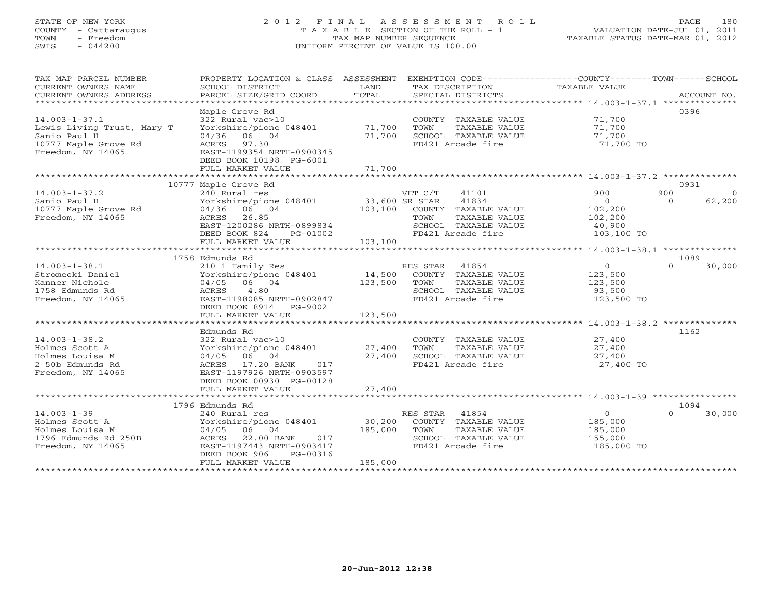# STATE OF NEW YORK 2 0 1 2 F I N A L A S S E S S M E N T R O L L PAGE 180 COUNTY - Cattaraugus T A X A B L E SECTION OF THE ROLL - 1 VALUATION DATE-JUL 01, 2011 TOWN - Freedom TAX MAP NUMBER SEQUENCE TAXABLE STATUS DATE-MAR 01, 2012 SWIS - 044200 UNIFORM PERCENT OF VALUE IS 100.00UNIFORM PERCENT OF VALUE IS 100.00

| TAX MAP PARCEL NUMBER<br>CURRENT OWNERS NAME<br>CURRENT OWNERS ADDRESS<br>***********************              | PROPERTY LOCATION & CLASS ASSESSMENT<br>SCHOOL DISTRICT<br>PARCEL SIZE/GRID COORD                                                                                       | LAND<br>TOTAL                        | EXEMPTION CODE-----------------COUNTY-------TOWN------SCHOOL<br>TAX DESCRIPTION<br>SPECIAL DISTRICTS                    | TAXABLE VALUE                                                | ACCOUNT NO.                           |
|----------------------------------------------------------------------------------------------------------------|-------------------------------------------------------------------------------------------------------------------------------------------------------------------------|--------------------------------------|-------------------------------------------------------------------------------------------------------------------------|--------------------------------------------------------------|---------------------------------------|
| $14.003 - 1 - 37.1$<br>Lewis Living Trust, Mary T<br>Sanio Paul H<br>10777 Maple Grove Rd<br>Freedom, NY 14065 | Maple Grove Rd<br>322 Rural vac>10<br>Yorkshire/pione 048401<br>04/36 06 04<br>ACRES 97.30<br>EAST-1199354 NRTH-0900345<br>DEED BOOK 10198 PG-6001<br>FULL MARKET VALUE | 71,700<br>71,700<br>71,700           | COUNTY TAXABLE VALUE<br>TOWN<br>TAXABLE VALUE<br>SCHOOL TAXABLE VALUE<br>FD421 Arcade fire                              | 71,700<br>71,700<br>71,700<br>71,700 TO                      | 0396                                  |
|                                                                                                                | 10777 Maple Grove Rd                                                                                                                                                    |                                      |                                                                                                                         |                                                              | 0931                                  |
| $14.003 - 1 - 37.2$<br>Sanio Paul H<br>10777 Maple Grove Rd<br>Freedom, NY 14065                               | 240 Rural res<br>Yorkshire/pione 048401<br>04/36 06 04<br>26.85<br>ACRES<br>EAST-1200286 NRTH-0899834<br>DEED BOOK 824<br>PG-01002<br>FULL MARKET VALUE                 | 33,600 SR STAR<br>103,100<br>103,100 | VET C/T<br>41101<br>41834<br>COUNTY TAXABLE VALUE<br>TAXABLE VALUE<br>TOWN<br>SCHOOL TAXABLE VALUE<br>FD421 Arcade fire | 900<br>$\circ$<br>102,200<br>102,200<br>40,900<br>103,100 TO | 900<br>$\Omega$<br>62,200<br>$\Omega$ |
|                                                                                                                |                                                                                                                                                                         |                                      |                                                                                                                         |                                                              | 1089                                  |
| $14.003 - 1 - 38.1$<br>Stromecki Daniel<br>Kanner Nichole<br>1758 Edmunds Rd<br>Freedom, NY 14065              | 1758 Edmunds Rd<br>210 1 Family Res<br>Yorkshire/pione 048401<br>04/05 06 04<br>4.80<br>ACRES<br>EAST-1198085 NRTH-0902847<br>DEED BOOK 8914 PG-9002                    | 123,500                              | RES STAR<br>41854<br>14,500 COUNTY TAXABLE VALUE<br>TAXABLE VALUE<br>TOWN<br>SCHOOL TAXABLE VALUE<br>FD421 Arcade fire  | $\overline{0}$<br>123,500<br>123,500<br>93,500<br>123,500 TO | $\Omega$<br>30,000                    |
|                                                                                                                | FULL MARKET VALUE                                                                                                                                                       | 123,500                              |                                                                                                                         |                                                              |                                       |
| $14.003 - 1 - 38.2$<br>Holmes Scott A<br>Holmes Louisa M<br>2 50b Edmunds Rd<br>Freedom, NY 14065              | Edmunds Rd<br>322 Rural vac>10<br>Yorkshire/pione 048401<br>04/05 06 04<br>17.20 BANK<br>ACRES<br>017<br>EAST-1197926 NRTH-0903597<br>DEED BOOK 00930 PG-00128          | 27,400<br>27,400                     | COUNTY TAXABLE VALUE<br>TAXABLE VALUE<br>TOWN<br>SCHOOL TAXABLE VALUE<br>FD421 Arcade fire                              | 27,400<br>27,400<br>27,400<br>27,400 TO                      | 1162                                  |
|                                                                                                                | FULL MARKET VALUE                                                                                                                                                       | 27,400                               |                                                                                                                         |                                                              |                                       |
|                                                                                                                | 1796 Edmunds Rd                                                                                                                                                         |                                      |                                                                                                                         |                                                              | 1094                                  |
| $14.003 - 1 - 39$<br>Holmes Scott A<br>Holmes Louisa M<br>1796 Edmunds Rd 250B<br>Freedom, NY 14065            | 240 Rural res<br>Yorkshire/pione 048401<br>04/05 06 04<br>22.00 BANK<br>ACRES<br>017<br>EAST-1197443 NRTH-0903417<br>DEED BOOK 906<br>PG-00316<br>FULL MARKET VALUE     | 30,200<br>185,000<br>185,000         | RES STAR 41854<br>COUNTY TAXABLE VALUE<br>TOWN<br>TAXABLE VALUE<br>SCHOOL TAXABLE VALUE<br>FD421 Arcade fire            | $\circ$<br>185,000<br>185,000<br>155,000<br>185,000 TO       | $\cap$<br>30,000                      |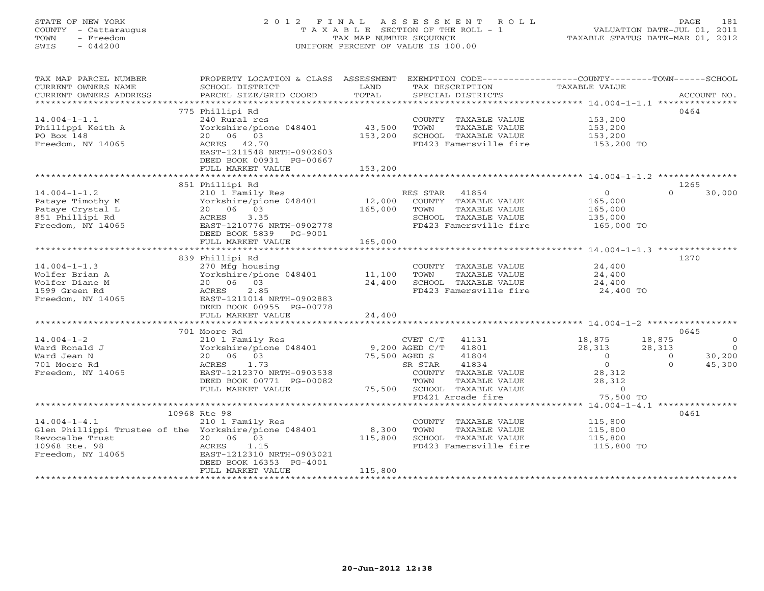# STATE OF NEW YORK 2 0 1 2 F I N A L A S S E S S M E N T R O L L PAGE 181 COUNTY - Cattaraugus T A X A B L E SECTION OF THE ROLL - 1 VALUATION DATE-JUL 01, 2011 TOWN - Freedom TAX MAP NUMBER SEQUENCE TAXABLE STATUS DATE-MAR 01, 2012 SWIS - 044200 UNIFORM PERCENT OF VALUE IS 100.00UNIFORM PERCENT OF VALUE IS 100.00

| TAX MAP PARCEL NUMBER                                | PROPERTY LOCATION & CLASS ASSESSMENT |         |                             |                        | EXEMPTION CODE-----------------COUNTY-------TOWN------SCHOOL |                |                |
|------------------------------------------------------|--------------------------------------|---------|-----------------------------|------------------------|--------------------------------------------------------------|----------------|----------------|
| CURRENT OWNERS NAME                                  | SCHOOL DISTRICT                      | LAND    | TAX DESCRIPTION             |                        | TAXABLE VALUE                                                |                |                |
| CURRENT OWNERS ADDRESS                               | PARCEL SIZE/GRID COORD               | TOTAL   | SPECIAL DISTRICTS           |                        |                                                              |                | ACCOUNT NO.    |
| ********************                                 |                                      |         |                             |                        |                                                              |                |                |
|                                                      | 775 Phillipi Rd                      |         |                             |                        |                                                              |                | 0464           |
| $14.004 - 1 - 1.1$                                   | 240 Rural res                        |         | COUNTY TAXABLE VALUE        |                        | 153,200                                                      |                |                |
| Phillippi Keith A                                    | Yorkshire/pione 048401               | 43,500  | TOWN                        | TAXABLE VALUE          | 153,200                                                      |                |                |
| PO Box 148                                           | 20  06  03                           | 153,200 | SCHOOL TAXABLE VALUE        |                        | 153,200                                                      |                |                |
| Freedom, NY 14065                                    | ACRES 42.70                          |         | FD423 Famersville fire      |                        | 153,200 TO                                                   |                |                |
|                                                      | EAST-1211548 NRTH-0902603            |         |                             |                        |                                                              |                |                |
|                                                      | DEED BOOK 00931 PG-00667             |         |                             |                        |                                                              |                |                |
|                                                      | FULL MARKET VALUE                    | 153,200 |                             |                        |                                                              |                |                |
|                                                      |                                      |         |                             |                        |                                                              |                |                |
|                                                      | 851 Phillipi Rd                      |         |                             |                        |                                                              |                | 1265           |
| $14.004 - 1 - 1.2$                                   | 210 1 Family Res                     |         | RES STAR 41854              |                        | $\circ$                                                      | $\Omega$       | 30,000         |
| Pataye Timothy M                                     | Yorkshire/pione 048401               | 12,000  | COUNTY TAXABLE VALUE        |                        | 165,000                                                      |                |                |
| Pataye Crystal L                                     | 20  06  03                           | 165,000 | TOWN                        | TAXABLE VALUE          | 165,000                                                      |                |                |
| 851 Phillipi Rd                                      | ACRES<br>3.35                        |         | SCHOOL TAXABLE VALUE        |                        | 135,000<br>165,000 TO                                        |                |                |
| Freedom, NY 14065                                    | EAST-1210776 NRTH-0902778            |         | FD423 Famersville fire      |                        |                                                              |                |                |
|                                                      | DEED BOOK 5839 PG-9001               |         |                             |                        |                                                              |                |                |
|                                                      | FULL MARKET VALUE                    | 165,000 |                             |                        |                                                              |                |                |
|                                                      |                                      |         |                             |                        |                                                              |                |                |
|                                                      | 839 Phillipi Rd                      |         |                             |                        |                                                              |                | 1270           |
| $14.004 - 1 - 1.3$                                   | 270 Mfg housing                      |         | COUNTY TAXABLE VALUE        |                        | 24,400                                                       |                |                |
| Wolfer Brian A                                       | Yorkshire/pione 048401 11,100        |         | TOWN                        | TAXABLE VALUE          | 24,400                                                       |                |                |
| Wolfer Diane M                                       | 20  06  03                           | 24,400  | SCHOOL TAXABLE VALUE        |                        | 24,400                                                       |                |                |
| 1599 Green Rd                                        | ACRES<br>2.85                        |         |                             | FD423 Famersville fire | 24,400 TO                                                    |                |                |
| Freedom, NY 14065                                    | EAST-1211014 NRTH-0902883            |         |                             |                        |                                                              |                |                |
|                                                      | DEED BOOK 00955 PG-00778             |         |                             |                        |                                                              |                |                |
|                                                      | FULL MARKET VALUE                    | 24,400  |                             |                        |                                                              |                |                |
|                                                      | 701 Moore Rd                         |         |                             |                        |                                                              |                | 0645           |
| $14.004 - 1 - 2$                                     | 210 1 Family Res                     |         | CVET C/T 41131              |                        | 18,875                                                       | 18,875         | $\overline{0}$ |
| Ward Ronald J                                        | Yorkshire/pione 048401               |         | 9,200 AGED $C/T$ 41801      |                        | 28,313                                                       | 28,313         | $\overline{0}$ |
| Ward Jean N                                          | 20 06 03                             |         | 75,500 AGED S<br>41804      |                        | $\overline{0}$                                               | $\overline{0}$ | 30,200         |
| 701 Moore Rd                                         | ACRES<br>1.73                        |         | 41834<br>SR STAR            |                        | $\circ$                                                      | $\Omega$       | 45,300         |
| Freedom, NY 14065                                    | EAST-1212370 NRTH-0903538            |         | COUNTY TAXABLE VALUE        |                        | 28,312                                                       |                |                |
|                                                      | DEED BOOK 00771 PG-00082             |         | TOWN                        | TAXABLE VALUE          | 28,312                                                       |                |                |
|                                                      | FULL MARKET VALUE                    |         | 75,500 SCHOOL TAXABLE VALUE |                        | $\overline{0}$                                               |                |                |
|                                                      |                                      |         | FD421 Arcade fire           |                        | 75,500 TO                                                    |                |                |
|                                                      |                                      |         |                             |                        |                                                              |                |                |
|                                                      | 10968 Rte 98                         |         |                             |                        |                                                              |                | 0461           |
| $14.004 - 1 - 4.1$                                   | 210 1 Family Res                     |         | COUNTY TAXABLE VALUE        |                        | 115,800                                                      |                |                |
| Glen Phillippi Trustee of the Yorkshire/pione 048401 |                                      | 8,300   | TOWN                        | TAXABLE VALUE          | 115,800                                                      |                |                |
| Revocalbe Trust                                      | 20 06 03                             | 115,800 | SCHOOL TAXABLE VALUE        |                        | 115,800                                                      |                |                |
| 10968 Rte. 98                                        | ACRES<br>1.15                        |         | FD423 Famersville fire      |                        | 115,800 TO                                                   |                |                |
| Freedom, NY 14065                                    | EAST-1212310 NRTH-0903021            |         |                             |                        |                                                              |                |                |
|                                                      | DEED BOOK 16353 PG-4001              |         |                             |                        |                                                              |                |                |
|                                                      | FULL MARKET VALUE                    | 115,800 |                             |                        |                                                              |                |                |
|                                                      |                                      |         |                             |                        |                                                              |                |                |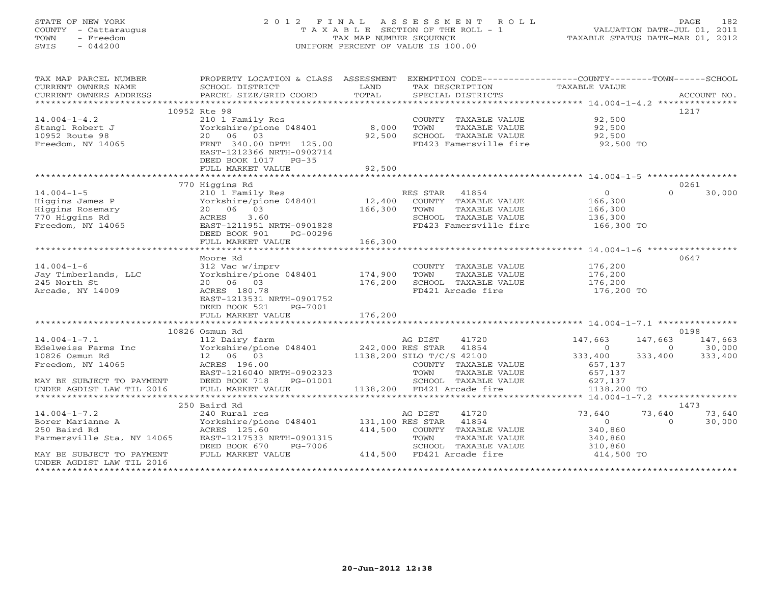#### STATE OF NEW YORK 2012 FINAL ASSESSMENT ROLL PAGE 182 COUNTY - Cattaraugus T A X A B L E SECTION OF THE ROLL - 1 VALUATION DATE-JUL 01, 2011 TOWN - Freedom **TAX MAP NUMBER SEQUENCE** TAXABLE STATUS DATE-MAR 01, 2012<br>TAXABLE STATUS DATE-MAR 01, 2012 SWIS - 044200 UNIFORM PERCENT OF VALUE IS 100.00

| TAXABLE VALUE<br>CURRENT OWNERS NAME<br>SCHOOL DISTRICT<br>LAND<br>TAX DESCRIPTION<br>TOTAL<br>CURRENT OWNERS ADDRESS<br>PARCEL SIZE/GRID COORD<br>SPECIAL DISTRICTS<br>ACCOUNT NO.<br>10952 Rte 98<br>1217<br>92,500<br>$14.004 - 1 - 4.2$<br>210 1 Family Res<br>COUNTY TAXABLE VALUE<br>8,000<br>Yorkshire/pione 048401<br>TOWN<br>92,500<br>Stangl Robert J<br>TAXABLE VALUE<br>20 06 03<br>92,500<br>10952 Route 98<br>SCHOOL TAXABLE VALUE<br>92,500<br>FD423 Famersville fire 92,500 TO<br>Freedom, NY 14065<br>FRNT 340.00 DPTH 125.00<br>EAST-1212366 NRTH-0902714<br>DEED BOOK 1017 PG-35<br>FULL MARKET VALUE<br>92,500<br>770 Higgins Rd<br>0261<br>$14.004 - 1 - 5$<br>210 1 Family Res<br>RES STAR 41854<br>$\overline{0}$<br>$\cap$<br>30,000<br>12,400<br>Higgins James P<br>Yorkshire/pione 048401<br>COUNTY TAXABLE VALUE<br>166,300<br>Higgins Rosemary<br>20 06 03<br>166,300<br>TAXABLE VALUE<br>166,300<br>TOWN<br>770 Higgins Rd<br>3.60<br>SCHOOL TAXABLE VALUE<br>136,300<br>ACRES<br>Freedom, NY 14065<br>EAST-1211951 NRTH-0901828<br>FD423 Famersville fire<br>166,300 TO<br>DEED BOOK 901<br>PG-00296<br>166,300<br>FULL MARKET VALUE<br>0647<br>Moore Rd<br>$14.004 - 1 - 6$<br>COUNTY TAXABLE VALUE<br>176,200<br>312 Vac w/imprv<br>Yorkshire/pione 048401 174,900<br>Jay Timberlands, LLC<br>TOWN<br>TAXABLE VALUE<br>176,200<br>245 North St<br>20 06 03<br>176,200<br>SCHOOL TAXABLE VALUE<br>176,200<br>Arcade, NY 14009<br>FD421 Arcade fire<br>ACRES 180.78<br>176,200 TO<br>EAST-1213531 NRTH-0901752<br>DEED BOOK 521<br>PG-7001<br>176,200<br>FULL MARKET VALUE<br>0198<br>10826 Osmun Rd<br>$14.004 - 1 - 7.1$<br>AG DIST<br>41720<br>147,663<br>147,663<br>147,663<br>112 Dairy farm<br>Yorkshire/pione 048401 242,000 RES STAR 41854<br>30,000<br>Edelweiss Farms Inc<br>$\overline{0}$<br>$\overline{0}$<br>10826 Osmun Rd<br>12  06  03<br>1138,200 SILO T/C/S 42100<br>333,400<br>333,400<br>333,400<br>Freedom, NY 14065<br>ACRES 196.00<br>COUNTY TAXABLE VALUE<br>657,137<br>EAST-1216040 NRTH-0902323<br>TOWN<br>657,137<br>TAXABLE VALUE<br>EAST-1216040 NRTH-<br>MAY BE SUBJECT TO PAYMENT DEED BOOK 718 I<br>UNDER AGDIST LAW TIL 2016 FULL MARKET VALUE<br>PG-01001<br>SCHOOL TAXABLE VALUE<br>627,137<br>1138,200 FD421 Arcade fire<br>1138,200 TO<br>1473<br>250 Baird Rd<br>$14.004 - 1 - 7.2$<br>73,640<br>73,640<br>240 Rural res<br>AG DIST<br>41720<br>73,640<br>131,100 RES STAR 41854<br>$\overline{0}$<br>$\Omega$<br>30,000<br>414,500<br>COUNTY TAXABLE VALUE<br>340,860<br>Farmersville Sta, NY 14065<br>EAST-1217533 NRTH-0901315<br>TOWN<br>TAXABLE VALUE<br>340,860<br>DEED BOOK 670<br>PG-7006<br>SCHOOL TAXABLE VALUE<br>310,860<br>FD421 Arcade fire<br>FULL MARKET VALUE<br>414,500<br>414,500 TO<br>MAY BE SUBJECT TO PAYMENT<br>UNDER AGDIST LAW TIL 2016 | TAX MAP PARCEL NUMBER | PROPERTY LOCATION & CLASS ASSESSMENT |  | EXEMPTION CODE-----------------COUNTY-------TOWN------SCHOOL |  |
|----------------------------------------------------------------------------------------------------------------------------------------------------------------------------------------------------------------------------------------------------------------------------------------------------------------------------------------------------------------------------------------------------------------------------------------------------------------------------------------------------------------------------------------------------------------------------------------------------------------------------------------------------------------------------------------------------------------------------------------------------------------------------------------------------------------------------------------------------------------------------------------------------------------------------------------------------------------------------------------------------------------------------------------------------------------------------------------------------------------------------------------------------------------------------------------------------------------------------------------------------------------------------------------------------------------------------------------------------------------------------------------------------------------------------------------------------------------------------------------------------------------------------------------------------------------------------------------------------------------------------------------------------------------------------------------------------------------------------------------------------------------------------------------------------------------------------------------------------------------------------------------------------------------------------------------------------------------------------------------------------------------------------------------------------------------------------------------------------------------------------------------------------------------------------------------------------------------------------------------------------------------------------------------------------------------------------------------------------------------------------------------------------------------------------------------------------------------------------------------------------------------------------------------------------------------------------------------------------------------------------------------------------------------------------------------------------------------------------------------------------------------------------------------------------------------------------------------|-----------------------|--------------------------------------|--|--------------------------------------------------------------|--|
|                                                                                                                                                                                                                                                                                                                                                                                                                                                                                                                                                                                                                                                                                                                                                                                                                                                                                                                                                                                                                                                                                                                                                                                                                                                                                                                                                                                                                                                                                                                                                                                                                                                                                                                                                                                                                                                                                                                                                                                                                                                                                                                                                                                                                                                                                                                                                                                                                                                                                                                                                                                                                                                                                                                                                                                                                                        |                       |                                      |  |                                                              |  |
|                                                                                                                                                                                                                                                                                                                                                                                                                                                                                                                                                                                                                                                                                                                                                                                                                                                                                                                                                                                                                                                                                                                                                                                                                                                                                                                                                                                                                                                                                                                                                                                                                                                                                                                                                                                                                                                                                                                                                                                                                                                                                                                                                                                                                                                                                                                                                                                                                                                                                                                                                                                                                                                                                                                                                                                                                                        |                       |                                      |  |                                                              |  |
|                                                                                                                                                                                                                                                                                                                                                                                                                                                                                                                                                                                                                                                                                                                                                                                                                                                                                                                                                                                                                                                                                                                                                                                                                                                                                                                                                                                                                                                                                                                                                                                                                                                                                                                                                                                                                                                                                                                                                                                                                                                                                                                                                                                                                                                                                                                                                                                                                                                                                                                                                                                                                                                                                                                                                                                                                                        |                       |                                      |  |                                                              |  |
|                                                                                                                                                                                                                                                                                                                                                                                                                                                                                                                                                                                                                                                                                                                                                                                                                                                                                                                                                                                                                                                                                                                                                                                                                                                                                                                                                                                                                                                                                                                                                                                                                                                                                                                                                                                                                                                                                                                                                                                                                                                                                                                                                                                                                                                                                                                                                                                                                                                                                                                                                                                                                                                                                                                                                                                                                                        |                       |                                      |  |                                                              |  |
|                                                                                                                                                                                                                                                                                                                                                                                                                                                                                                                                                                                                                                                                                                                                                                                                                                                                                                                                                                                                                                                                                                                                                                                                                                                                                                                                                                                                                                                                                                                                                                                                                                                                                                                                                                                                                                                                                                                                                                                                                                                                                                                                                                                                                                                                                                                                                                                                                                                                                                                                                                                                                                                                                                                                                                                                                                        |                       |                                      |  |                                                              |  |
|                                                                                                                                                                                                                                                                                                                                                                                                                                                                                                                                                                                                                                                                                                                                                                                                                                                                                                                                                                                                                                                                                                                                                                                                                                                                                                                                                                                                                                                                                                                                                                                                                                                                                                                                                                                                                                                                                                                                                                                                                                                                                                                                                                                                                                                                                                                                                                                                                                                                                                                                                                                                                                                                                                                                                                                                                                        |                       |                                      |  |                                                              |  |
|                                                                                                                                                                                                                                                                                                                                                                                                                                                                                                                                                                                                                                                                                                                                                                                                                                                                                                                                                                                                                                                                                                                                                                                                                                                                                                                                                                                                                                                                                                                                                                                                                                                                                                                                                                                                                                                                                                                                                                                                                                                                                                                                                                                                                                                                                                                                                                                                                                                                                                                                                                                                                                                                                                                                                                                                                                        |                       |                                      |  |                                                              |  |
|                                                                                                                                                                                                                                                                                                                                                                                                                                                                                                                                                                                                                                                                                                                                                                                                                                                                                                                                                                                                                                                                                                                                                                                                                                                                                                                                                                                                                                                                                                                                                                                                                                                                                                                                                                                                                                                                                                                                                                                                                                                                                                                                                                                                                                                                                                                                                                                                                                                                                                                                                                                                                                                                                                                                                                                                                                        |                       |                                      |  |                                                              |  |
|                                                                                                                                                                                                                                                                                                                                                                                                                                                                                                                                                                                                                                                                                                                                                                                                                                                                                                                                                                                                                                                                                                                                                                                                                                                                                                                                                                                                                                                                                                                                                                                                                                                                                                                                                                                                                                                                                                                                                                                                                                                                                                                                                                                                                                                                                                                                                                                                                                                                                                                                                                                                                                                                                                                                                                                                                                        |                       |                                      |  |                                                              |  |
|                                                                                                                                                                                                                                                                                                                                                                                                                                                                                                                                                                                                                                                                                                                                                                                                                                                                                                                                                                                                                                                                                                                                                                                                                                                                                                                                                                                                                                                                                                                                                                                                                                                                                                                                                                                                                                                                                                                                                                                                                                                                                                                                                                                                                                                                                                                                                                                                                                                                                                                                                                                                                                                                                                                                                                                                                                        |                       |                                      |  |                                                              |  |
|                                                                                                                                                                                                                                                                                                                                                                                                                                                                                                                                                                                                                                                                                                                                                                                                                                                                                                                                                                                                                                                                                                                                                                                                                                                                                                                                                                                                                                                                                                                                                                                                                                                                                                                                                                                                                                                                                                                                                                                                                                                                                                                                                                                                                                                                                                                                                                                                                                                                                                                                                                                                                                                                                                                                                                                                                                        |                       |                                      |  |                                                              |  |
|                                                                                                                                                                                                                                                                                                                                                                                                                                                                                                                                                                                                                                                                                                                                                                                                                                                                                                                                                                                                                                                                                                                                                                                                                                                                                                                                                                                                                                                                                                                                                                                                                                                                                                                                                                                                                                                                                                                                                                                                                                                                                                                                                                                                                                                                                                                                                                                                                                                                                                                                                                                                                                                                                                                                                                                                                                        |                       |                                      |  |                                                              |  |
|                                                                                                                                                                                                                                                                                                                                                                                                                                                                                                                                                                                                                                                                                                                                                                                                                                                                                                                                                                                                                                                                                                                                                                                                                                                                                                                                                                                                                                                                                                                                                                                                                                                                                                                                                                                                                                                                                                                                                                                                                                                                                                                                                                                                                                                                                                                                                                                                                                                                                                                                                                                                                                                                                                                                                                                                                                        |                       |                                      |  |                                                              |  |
|                                                                                                                                                                                                                                                                                                                                                                                                                                                                                                                                                                                                                                                                                                                                                                                                                                                                                                                                                                                                                                                                                                                                                                                                                                                                                                                                                                                                                                                                                                                                                                                                                                                                                                                                                                                                                                                                                                                                                                                                                                                                                                                                                                                                                                                                                                                                                                                                                                                                                                                                                                                                                                                                                                                                                                                                                                        |                       |                                      |  |                                                              |  |
|                                                                                                                                                                                                                                                                                                                                                                                                                                                                                                                                                                                                                                                                                                                                                                                                                                                                                                                                                                                                                                                                                                                                                                                                                                                                                                                                                                                                                                                                                                                                                                                                                                                                                                                                                                                                                                                                                                                                                                                                                                                                                                                                                                                                                                                                                                                                                                                                                                                                                                                                                                                                                                                                                                                                                                                                                                        |                       |                                      |  |                                                              |  |
|                                                                                                                                                                                                                                                                                                                                                                                                                                                                                                                                                                                                                                                                                                                                                                                                                                                                                                                                                                                                                                                                                                                                                                                                                                                                                                                                                                                                                                                                                                                                                                                                                                                                                                                                                                                                                                                                                                                                                                                                                                                                                                                                                                                                                                                                                                                                                                                                                                                                                                                                                                                                                                                                                                                                                                                                                                        |                       |                                      |  |                                                              |  |
|                                                                                                                                                                                                                                                                                                                                                                                                                                                                                                                                                                                                                                                                                                                                                                                                                                                                                                                                                                                                                                                                                                                                                                                                                                                                                                                                                                                                                                                                                                                                                                                                                                                                                                                                                                                                                                                                                                                                                                                                                                                                                                                                                                                                                                                                                                                                                                                                                                                                                                                                                                                                                                                                                                                                                                                                                                        |                       |                                      |  |                                                              |  |
|                                                                                                                                                                                                                                                                                                                                                                                                                                                                                                                                                                                                                                                                                                                                                                                                                                                                                                                                                                                                                                                                                                                                                                                                                                                                                                                                                                                                                                                                                                                                                                                                                                                                                                                                                                                                                                                                                                                                                                                                                                                                                                                                                                                                                                                                                                                                                                                                                                                                                                                                                                                                                                                                                                                                                                                                                                        |                       |                                      |  |                                                              |  |
|                                                                                                                                                                                                                                                                                                                                                                                                                                                                                                                                                                                                                                                                                                                                                                                                                                                                                                                                                                                                                                                                                                                                                                                                                                                                                                                                                                                                                                                                                                                                                                                                                                                                                                                                                                                                                                                                                                                                                                                                                                                                                                                                                                                                                                                                                                                                                                                                                                                                                                                                                                                                                                                                                                                                                                                                                                        |                       |                                      |  |                                                              |  |
|                                                                                                                                                                                                                                                                                                                                                                                                                                                                                                                                                                                                                                                                                                                                                                                                                                                                                                                                                                                                                                                                                                                                                                                                                                                                                                                                                                                                                                                                                                                                                                                                                                                                                                                                                                                                                                                                                                                                                                                                                                                                                                                                                                                                                                                                                                                                                                                                                                                                                                                                                                                                                                                                                                                                                                                                                                        |                       |                                      |  |                                                              |  |
|                                                                                                                                                                                                                                                                                                                                                                                                                                                                                                                                                                                                                                                                                                                                                                                                                                                                                                                                                                                                                                                                                                                                                                                                                                                                                                                                                                                                                                                                                                                                                                                                                                                                                                                                                                                                                                                                                                                                                                                                                                                                                                                                                                                                                                                                                                                                                                                                                                                                                                                                                                                                                                                                                                                                                                                                                                        |                       |                                      |  |                                                              |  |
|                                                                                                                                                                                                                                                                                                                                                                                                                                                                                                                                                                                                                                                                                                                                                                                                                                                                                                                                                                                                                                                                                                                                                                                                                                                                                                                                                                                                                                                                                                                                                                                                                                                                                                                                                                                                                                                                                                                                                                                                                                                                                                                                                                                                                                                                                                                                                                                                                                                                                                                                                                                                                                                                                                                                                                                                                                        |                       |                                      |  |                                                              |  |
|                                                                                                                                                                                                                                                                                                                                                                                                                                                                                                                                                                                                                                                                                                                                                                                                                                                                                                                                                                                                                                                                                                                                                                                                                                                                                                                                                                                                                                                                                                                                                                                                                                                                                                                                                                                                                                                                                                                                                                                                                                                                                                                                                                                                                                                                                                                                                                                                                                                                                                                                                                                                                                                                                                                                                                                                                                        |                       |                                      |  |                                                              |  |
|                                                                                                                                                                                                                                                                                                                                                                                                                                                                                                                                                                                                                                                                                                                                                                                                                                                                                                                                                                                                                                                                                                                                                                                                                                                                                                                                                                                                                                                                                                                                                                                                                                                                                                                                                                                                                                                                                                                                                                                                                                                                                                                                                                                                                                                                                                                                                                                                                                                                                                                                                                                                                                                                                                                                                                                                                                        |                       |                                      |  |                                                              |  |
|                                                                                                                                                                                                                                                                                                                                                                                                                                                                                                                                                                                                                                                                                                                                                                                                                                                                                                                                                                                                                                                                                                                                                                                                                                                                                                                                                                                                                                                                                                                                                                                                                                                                                                                                                                                                                                                                                                                                                                                                                                                                                                                                                                                                                                                                                                                                                                                                                                                                                                                                                                                                                                                                                                                                                                                                                                        |                       |                                      |  |                                                              |  |
|                                                                                                                                                                                                                                                                                                                                                                                                                                                                                                                                                                                                                                                                                                                                                                                                                                                                                                                                                                                                                                                                                                                                                                                                                                                                                                                                                                                                                                                                                                                                                                                                                                                                                                                                                                                                                                                                                                                                                                                                                                                                                                                                                                                                                                                                                                                                                                                                                                                                                                                                                                                                                                                                                                                                                                                                                                        |                       |                                      |  |                                                              |  |
|                                                                                                                                                                                                                                                                                                                                                                                                                                                                                                                                                                                                                                                                                                                                                                                                                                                                                                                                                                                                                                                                                                                                                                                                                                                                                                                                                                                                                                                                                                                                                                                                                                                                                                                                                                                                                                                                                                                                                                                                                                                                                                                                                                                                                                                                                                                                                                                                                                                                                                                                                                                                                                                                                                                                                                                                                                        |                       |                                      |  |                                                              |  |
|                                                                                                                                                                                                                                                                                                                                                                                                                                                                                                                                                                                                                                                                                                                                                                                                                                                                                                                                                                                                                                                                                                                                                                                                                                                                                                                                                                                                                                                                                                                                                                                                                                                                                                                                                                                                                                                                                                                                                                                                                                                                                                                                                                                                                                                                                                                                                                                                                                                                                                                                                                                                                                                                                                                                                                                                                                        |                       |                                      |  |                                                              |  |
|                                                                                                                                                                                                                                                                                                                                                                                                                                                                                                                                                                                                                                                                                                                                                                                                                                                                                                                                                                                                                                                                                                                                                                                                                                                                                                                                                                                                                                                                                                                                                                                                                                                                                                                                                                                                                                                                                                                                                                                                                                                                                                                                                                                                                                                                                                                                                                                                                                                                                                                                                                                                                                                                                                                                                                                                                                        |                       |                                      |  |                                                              |  |
|                                                                                                                                                                                                                                                                                                                                                                                                                                                                                                                                                                                                                                                                                                                                                                                                                                                                                                                                                                                                                                                                                                                                                                                                                                                                                                                                                                                                                                                                                                                                                                                                                                                                                                                                                                                                                                                                                                                                                                                                                                                                                                                                                                                                                                                                                                                                                                                                                                                                                                                                                                                                                                                                                                                                                                                                                                        |                       |                                      |  |                                                              |  |
|                                                                                                                                                                                                                                                                                                                                                                                                                                                                                                                                                                                                                                                                                                                                                                                                                                                                                                                                                                                                                                                                                                                                                                                                                                                                                                                                                                                                                                                                                                                                                                                                                                                                                                                                                                                                                                                                                                                                                                                                                                                                                                                                                                                                                                                                                                                                                                                                                                                                                                                                                                                                                                                                                                                                                                                                                                        |                       |                                      |  |                                                              |  |
|                                                                                                                                                                                                                                                                                                                                                                                                                                                                                                                                                                                                                                                                                                                                                                                                                                                                                                                                                                                                                                                                                                                                                                                                                                                                                                                                                                                                                                                                                                                                                                                                                                                                                                                                                                                                                                                                                                                                                                                                                                                                                                                                                                                                                                                                                                                                                                                                                                                                                                                                                                                                                                                                                                                                                                                                                                        |                       |                                      |  |                                                              |  |
|                                                                                                                                                                                                                                                                                                                                                                                                                                                                                                                                                                                                                                                                                                                                                                                                                                                                                                                                                                                                                                                                                                                                                                                                                                                                                                                                                                                                                                                                                                                                                                                                                                                                                                                                                                                                                                                                                                                                                                                                                                                                                                                                                                                                                                                                                                                                                                                                                                                                                                                                                                                                                                                                                                                                                                                                                                        |                       |                                      |  |                                                              |  |
|                                                                                                                                                                                                                                                                                                                                                                                                                                                                                                                                                                                                                                                                                                                                                                                                                                                                                                                                                                                                                                                                                                                                                                                                                                                                                                                                                                                                                                                                                                                                                                                                                                                                                                                                                                                                                                                                                                                                                                                                                                                                                                                                                                                                                                                                                                                                                                                                                                                                                                                                                                                                                                                                                                                                                                                                                                        |                       |                                      |  |                                                              |  |
|                                                                                                                                                                                                                                                                                                                                                                                                                                                                                                                                                                                                                                                                                                                                                                                                                                                                                                                                                                                                                                                                                                                                                                                                                                                                                                                                                                                                                                                                                                                                                                                                                                                                                                                                                                                                                                                                                                                                                                                                                                                                                                                                                                                                                                                                                                                                                                                                                                                                                                                                                                                                                                                                                                                                                                                                                                        |                       |                                      |  |                                                              |  |
|                                                                                                                                                                                                                                                                                                                                                                                                                                                                                                                                                                                                                                                                                                                                                                                                                                                                                                                                                                                                                                                                                                                                                                                                                                                                                                                                                                                                                                                                                                                                                                                                                                                                                                                                                                                                                                                                                                                                                                                                                                                                                                                                                                                                                                                                                                                                                                                                                                                                                                                                                                                                                                                                                                                                                                                                                                        |                       |                                      |  |                                                              |  |
|                                                                                                                                                                                                                                                                                                                                                                                                                                                                                                                                                                                                                                                                                                                                                                                                                                                                                                                                                                                                                                                                                                                                                                                                                                                                                                                                                                                                                                                                                                                                                                                                                                                                                                                                                                                                                                                                                                                                                                                                                                                                                                                                                                                                                                                                                                                                                                                                                                                                                                                                                                                                                                                                                                                                                                                                                                        |                       |                                      |  |                                                              |  |
|                                                                                                                                                                                                                                                                                                                                                                                                                                                                                                                                                                                                                                                                                                                                                                                                                                                                                                                                                                                                                                                                                                                                                                                                                                                                                                                                                                                                                                                                                                                                                                                                                                                                                                                                                                                                                                                                                                                                                                                                                                                                                                                                                                                                                                                                                                                                                                                                                                                                                                                                                                                                                                                                                                                                                                                                                                        |                       |                                      |  |                                                              |  |
|                                                                                                                                                                                                                                                                                                                                                                                                                                                                                                                                                                                                                                                                                                                                                                                                                                                                                                                                                                                                                                                                                                                                                                                                                                                                                                                                                                                                                                                                                                                                                                                                                                                                                                                                                                                                                                                                                                                                                                                                                                                                                                                                                                                                                                                                                                                                                                                                                                                                                                                                                                                                                                                                                                                                                                                                                                        |                       |                                      |  |                                                              |  |
|                                                                                                                                                                                                                                                                                                                                                                                                                                                                                                                                                                                                                                                                                                                                                                                                                                                                                                                                                                                                                                                                                                                                                                                                                                                                                                                                                                                                                                                                                                                                                                                                                                                                                                                                                                                                                                                                                                                                                                                                                                                                                                                                                                                                                                                                                                                                                                                                                                                                                                                                                                                                                                                                                                                                                                                                                                        |                       |                                      |  |                                                              |  |
|                                                                                                                                                                                                                                                                                                                                                                                                                                                                                                                                                                                                                                                                                                                                                                                                                                                                                                                                                                                                                                                                                                                                                                                                                                                                                                                                                                                                                                                                                                                                                                                                                                                                                                                                                                                                                                                                                                                                                                                                                                                                                                                                                                                                                                                                                                                                                                                                                                                                                                                                                                                                                                                                                                                                                                                                                                        |                       |                                      |  |                                                              |  |
|                                                                                                                                                                                                                                                                                                                                                                                                                                                                                                                                                                                                                                                                                                                                                                                                                                                                                                                                                                                                                                                                                                                                                                                                                                                                                                                                                                                                                                                                                                                                                                                                                                                                                                                                                                                                                                                                                                                                                                                                                                                                                                                                                                                                                                                                                                                                                                                                                                                                                                                                                                                                                                                                                                                                                                                                                                        |                       |                                      |  |                                                              |  |
|                                                                                                                                                                                                                                                                                                                                                                                                                                                                                                                                                                                                                                                                                                                                                                                                                                                                                                                                                                                                                                                                                                                                                                                                                                                                                                                                                                                                                                                                                                                                                                                                                                                                                                                                                                                                                                                                                                                                                                                                                                                                                                                                                                                                                                                                                                                                                                                                                                                                                                                                                                                                                                                                                                                                                                                                                                        |                       |                                      |  |                                                              |  |
|                                                                                                                                                                                                                                                                                                                                                                                                                                                                                                                                                                                                                                                                                                                                                                                                                                                                                                                                                                                                                                                                                                                                                                                                                                                                                                                                                                                                                                                                                                                                                                                                                                                                                                                                                                                                                                                                                                                                                                                                                                                                                                                                                                                                                                                                                                                                                                                                                                                                                                                                                                                                                                                                                                                                                                                                                                        |                       |                                      |  |                                                              |  |
|                                                                                                                                                                                                                                                                                                                                                                                                                                                                                                                                                                                                                                                                                                                                                                                                                                                                                                                                                                                                                                                                                                                                                                                                                                                                                                                                                                                                                                                                                                                                                                                                                                                                                                                                                                                                                                                                                                                                                                                                                                                                                                                                                                                                                                                                                                                                                                                                                                                                                                                                                                                                                                                                                                                                                                                                                                        |                       |                                      |  |                                                              |  |
|                                                                                                                                                                                                                                                                                                                                                                                                                                                                                                                                                                                                                                                                                                                                                                                                                                                                                                                                                                                                                                                                                                                                                                                                                                                                                                                                                                                                                                                                                                                                                                                                                                                                                                                                                                                                                                                                                                                                                                                                                                                                                                                                                                                                                                                                                                                                                                                                                                                                                                                                                                                                                                                                                                                                                                                                                                        |                       |                                      |  |                                                              |  |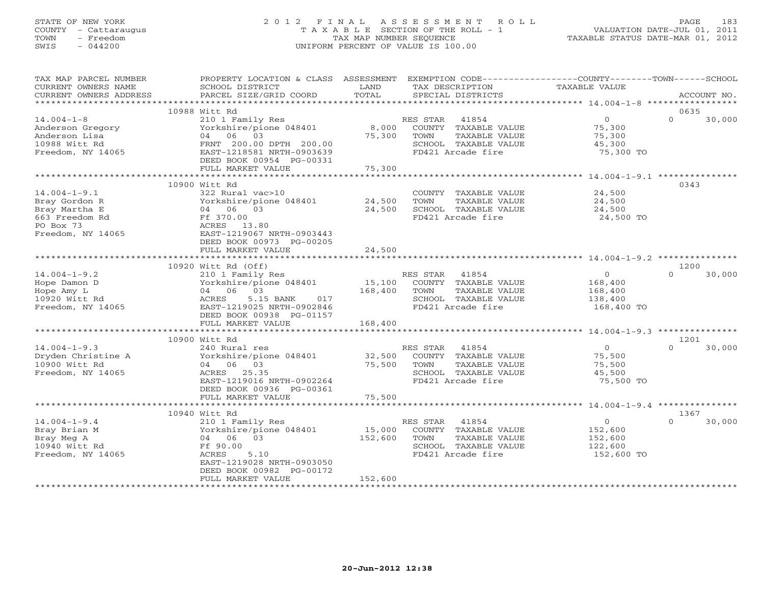# STATE OF NEW YORK 2 0 1 2 F I N A L A S S E S S M E N T R O L L PAGE 183 COUNTY - Cattaraugus T A X A B L E SECTION OF THE ROLL - 1 VALUATION DATE-JUL 01, 2011 TOWN - Freedom TAX MAP NUMBER SEQUENCE TAXABLE STATUS DATE-MAR 01, 2012 SWIS - 044200 UNIFORM PERCENT OF VALUE IS 100.00UNIFORM PERCENT OF VALUE IS 100.00

| TAX MAP PARCEL NUMBER<br>CURRENT OWNERS NAME<br>CURRENT OWNERS ADDRESS                                   | PROPERTY LOCATION & CLASS ASSESSMENT<br>SCHOOL DISTRICT<br>PARCEL SIZE/GRID COORD                                                                | LAND<br>TOTAL                         | EXEMPTION CODE-----------------COUNTY-------TOWN-----SCHOOL<br>TAX DESCRIPTION<br>SPECIAL DISTRICTS             | <b>TAXABLE VALUE</b>                                          | ACCOUNT NO.        |
|----------------------------------------------------------------------------------------------------------|--------------------------------------------------------------------------------------------------------------------------------------------------|---------------------------------------|-----------------------------------------------------------------------------------------------------------------|---------------------------------------------------------------|--------------------|
| ***********************                                                                                  |                                                                                                                                                  |                                       |                                                                                                                 |                                                               |                    |
|                                                                                                          | 10988 Witt Rd                                                                                                                                    |                                       |                                                                                                                 |                                                               | 0635               |
| $14.004 - 1 - 8$<br>Anderson Gregory<br>Anderson Lisa<br>10988 Witt Rd<br>Freedom, NY 14065              | 210 1 Family Res<br>Yorkshire/pione 048401<br>06<br>03<br>04<br>FRNT 200.00 DPTH 200.00<br>EAST-1218581 NRTH-0903639<br>DEED BOOK 00954 PG-00331 | 8,000<br>75,300                       | RES STAR<br>41854<br>COUNTY TAXABLE VALUE<br>TOWN<br>TAXABLE VALUE<br>SCHOOL TAXABLE VALUE<br>FD421 Arcade fire | $\circ$<br>75,300<br>75,300<br>45,300<br>75,300 TO            | $\Omega$<br>30,000 |
|                                                                                                          | FULL MARKET VALUE<br>************************                                                                                                    | 75,300<br>* * * * * * * * * * * * * * |                                                                                                                 | ********************** 14.004-1-9.1 ***                       |                    |
|                                                                                                          | 10900 Witt Rd                                                                                                                                    |                                       |                                                                                                                 |                                                               | 0343               |
| $14.004 - 1 - 9.1$<br>Bray Gordon R<br>Bray Martha E<br>663 Freedom Rd<br>PO Box 73<br>Freedom, NY 14065 | 322 Rural vac>10<br>Yorkshire/pione 048401<br>04 06 03<br>Ff 370.00<br>ACRES<br>13.80<br>EAST-1219067 NRTH-0903443<br>DEED BOOK 00973 PG-00205   | 24,500<br>24,500                      | COUNTY TAXABLE VALUE<br>TAXABLE VALUE<br>TOWN<br>SCHOOL TAXABLE VALUE<br>FD421 Arcade fire                      | 24,500<br>24,500<br>24,500<br>24,500 TO                       |                    |
|                                                                                                          | FULL MARKET VALUE                                                                                                                                | 24,500                                |                                                                                                                 |                                                               |                    |
|                                                                                                          |                                                                                                                                                  |                                       |                                                                                                                 |                                                               |                    |
|                                                                                                          | 10920 Witt Rd (Off)                                                                                                                              |                                       |                                                                                                                 |                                                               | 1200               |
| $14.004 - 1 - 9.2$<br>Hope Damon D<br>Hope Amy L<br>10920 Witt Rd<br>Freedom, NY 14065                   | 210 1 Family Res<br>Yorkshire/pione 048401<br>04 06 03<br>ACRES<br>5.15 BANK<br>017<br>EAST-1219025 NRTH-0902846<br>DEED BOOK 00938 PG-01157     | 15,100<br>168,400                     | RES STAR<br>41854<br>COUNTY TAXABLE VALUE<br>TAXABLE VALUE<br>TOWN<br>SCHOOL TAXABLE VALUE<br>FD421 Arcade fire | $\overline{0}$<br>168,400<br>168,400<br>138,400<br>168,400 TO | 30,000<br>$\Omega$ |
|                                                                                                          | FULL MARKET VALUE<br>***********************                                                                                                     | 168,400                               |                                                                                                                 |                                                               |                    |
|                                                                                                          | 10900 Witt Rd                                                                                                                                    |                                       |                                                                                                                 |                                                               | 1201               |
| $14.004 - 1 - 9.3$<br>Dryden Christine A<br>10900 Witt Rd<br>Freedom, NY 14065                           | 240 Rural res<br>Yorkshire/pione 048401<br>04 06 03<br>ACRES 25.35<br>EAST-1219016 NRTH-0902264<br>DEED BOOK 00936 PG-00361                      | 32,500<br>75,500                      | RES STAR<br>41854<br>COUNTY TAXABLE VALUE<br>TAXABLE VALUE<br>TOWN<br>SCHOOL TAXABLE VALUE<br>FD421 Arcade fire | $\circ$<br>75,500<br>75,500<br>45,500<br>75,500 TO            | $\Omega$<br>30,000 |
|                                                                                                          | FULL MARKET VALUE                                                                                                                                | 75,500                                |                                                                                                                 |                                                               |                    |
|                                                                                                          | *****************************                                                                                                                    |                                       |                                                                                                                 |                                                               |                    |
|                                                                                                          | 10940 Witt Rd                                                                                                                                    |                                       |                                                                                                                 |                                                               | 1367               |
| $14.004 - 1 - 9.4$<br>Bray Brian M<br>Bray Meg A<br>10940 Witt Rd<br>Freedom, NY 14065                   | 210 1 Family Res<br>Yorkshire/pione 048401<br>04<br>06 03<br>Ff 90.00<br>ACRES<br>5.10<br>EAST-1219028 NRTH-0903050<br>DEED BOOK 00982 PG-00172  | 15,000<br>152,600                     | RES STAR<br>41854<br>COUNTY TAXABLE VALUE<br>TAXABLE VALUE<br>TOWN<br>SCHOOL TAXABLE VALUE<br>FD421 Arcade fire | $\Omega$<br>152,600<br>152,600<br>122,600<br>152,600 TO       | $\Omega$<br>30,000 |
|                                                                                                          | FULL MARKET VALUE                                                                                                                                | 152,600<br>********************       |                                                                                                                 |                                                               |                    |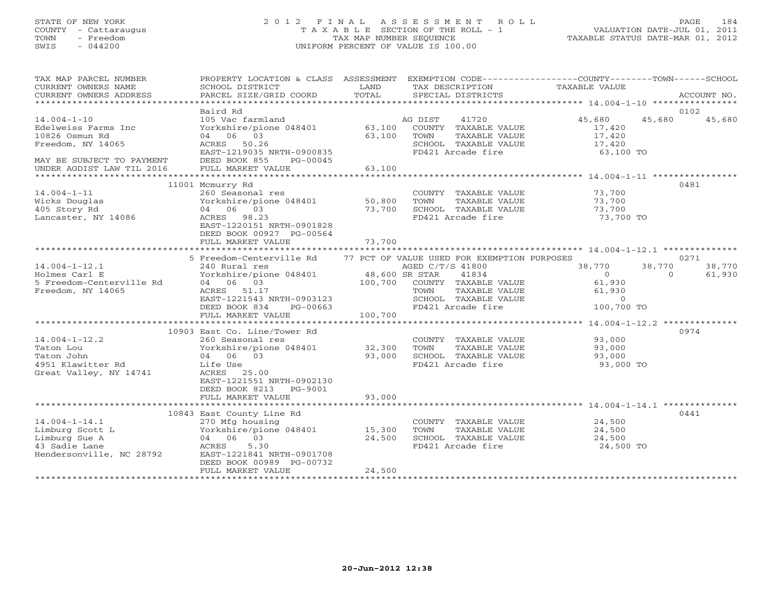# STATE OF NEW YORK 2 0 1 2 F I N A L A S S E S S M E N T R O L L PAGE 184 COUNTY - Cattaraugus T A X A B L E SECTION OF THE ROLL - 1 VALUATION DATE-JUL 01, 2011 TOWN - Freedom TAX MAP NUMBER SEQUENCE TAXABLE STATUS DATE-MAR 01, 2012 SWIS - 044200 UNIFORM PERCENT OF VALUE IS 100.00UNIFORM PERCENT OF VALUE IS 100.00

| TAX MAP PARCEL NUMBER<br>CURRENT OWNERS NAME<br>CURRENT OWNERS ADDRESS<br>*************************          | PROPERTY LOCATION & CLASS ASSESSMENT<br>SCHOOL DISTRICT<br>PARCEL SIZE/GRID COORD                                                                                                                            | LAND<br>TOTAL                        | EXEMPTION CODE-----------------COUNTY-------TOWN------SCHOOL<br>TAX DESCRIPTION<br>SPECIAL DISTRICTS                                                                   | TAXABLE VALUE                                                         | ACCOUNT NO.                                    |
|--------------------------------------------------------------------------------------------------------------|--------------------------------------------------------------------------------------------------------------------------------------------------------------------------------------------------------------|--------------------------------------|------------------------------------------------------------------------------------------------------------------------------------------------------------------------|-----------------------------------------------------------------------|------------------------------------------------|
|                                                                                                              | Baird Rd                                                                                                                                                                                                     |                                      |                                                                                                                                                                        |                                                                       | 0102                                           |
| $14.004 - 1 - 10$<br>Edelweiss Farms Inc<br>10826 Osmun Rd<br>Freedom, NY 14065<br>MAY BE SUBJECT TO PAYMENT | 105 Vac farmland<br>Yorkshire/pione 048401<br>04 06 03<br>ACRES 50.26<br>EAST-1219035 NRTH-0900835<br>DEED BOOK 855<br>PG-00045                                                                              | 63,100<br>63,100                     | AG DIST<br>41720<br>COUNTY TAXABLE VALUE<br>TOWN<br>TAXABLE VALUE<br>SCHOOL TAXABLE VALUE<br>FD421 Arcade fire                                                         | 45,680<br>17,420<br>17,420<br>17,420<br>63,100 TO                     | 45,680<br>45,680                               |
| UNDER AGDIST LAW TIL 2016                                                                                    | FULL MARKET VALUE                                                                                                                                                                                            | 63,100                               |                                                                                                                                                                        |                                                                       |                                                |
|                                                                                                              |                                                                                                                                                                                                              | * * * * * * * * * * * * * *          |                                                                                                                                                                        |                                                                       |                                                |
| $14.004 - 1 - 11$<br>Wicks Douglas<br>405 Story Rd<br>Lancaster, NY 14086                                    | 11001 Mcmurry Rd<br>260 Seasonal res<br>Yorkshire/pione 048401<br>04 06 03<br>ACRES 98.23<br>EAST-1220151 NRTH-0901828<br>DEED BOOK 00927 PG-00564<br>FULL MARKET VALUE                                      | 50,800<br>73,700<br>73,700           | COUNTY TAXABLE VALUE<br>TOWN<br>TAXABLE VALUE<br>SCHOOL TAXABLE VALUE<br>FD421 Arcade fire                                                                             | 73,700<br>73,700<br>73,700<br>73,700 TO                               | 0481                                           |
|                                                                                                              |                                                                                                                                                                                                              |                                      |                                                                                                                                                                        |                                                                       |                                                |
| $14.004 - 1 - 12.1$<br>Holmes Carl E<br>5 Freedom-Centerville Rd<br>Freedom, NY 14065                        | 5 Freedom-Centerville Rd<br>240 Rural res<br>Yorkshire/pione 048401<br>04 06 03<br>ACRES 51.17<br>EAST-1221543 NRTH-0903123<br>DEED BOOK 834<br>PG-00663<br>FULL MARKET VALUE<br>*************************** | 48,600 SR STAR<br>100,700<br>100,700 | 77 PCT OF VALUE USED FOR EXEMPTION PURPOSES<br>AGED C/T/S 41800<br>41834<br>COUNTY TAXABLE VALUE<br>TOWN<br>TAXABLE VALUE<br>SCHOOL TAXABLE VALUE<br>FD421 Arcade fire | 38,770<br>$\overline{0}$<br>61,930<br>61,930<br>$\circ$<br>100,700 TO | 0271<br>38,770<br>38,770<br>$\Omega$<br>61,930 |
|                                                                                                              | 10903 East Co. Line/Tower Rd                                                                                                                                                                                 |                                      |                                                                                                                                                                        |                                                                       | 0974                                           |
| $14.004 - 1 - 12.2$<br>Taton Lou<br>Taton John<br>4951 Klawitter Rd<br>Great Valley, NY 14741                | 260 Seasonal res<br>Yorkshire/pione 048401<br>04 06 03<br>Life Use<br>ACRES 25.00<br>EAST-1221551 NRTH-0902130<br>DEED BOOK 8213 PG-9001                                                                     | 32,300<br>93,000                     | COUNTY TAXABLE VALUE<br>TAXABLE VALUE<br>TOWN<br>SCHOOL TAXABLE VALUE<br>FD421 Arcade fire                                                                             | 93,000<br>93,000<br>93,000<br>93,000 TO                               |                                                |
|                                                                                                              | FULL MARKET VALUE                                                                                                                                                                                            | 93,000                               |                                                                                                                                                                        |                                                                       |                                                |
| **********************                                                                                       |                                                                                                                                                                                                              |                                      |                                                                                                                                                                        |                                                                       |                                                |
| $14.004 - 1 - 14.1$<br>Limburg Scott L<br>Limburg Sue A<br>43 Sadie Lane<br>Hendersonville, NC 28792         | 10843 East County Line Rd<br>270 Mfg housing<br>Yorkshire/pione 048401 15,300<br>04 06 03<br>ACRES<br>5.30<br>EAST-1221841 NRTH-0901708<br>DEED BOOK 00989 PG-00732<br>FULL MARKET VALUE                     | 24,500<br>24,500                     | COUNTY TAXABLE VALUE<br>TOWN<br>TAXABLE VALUE<br>SCHOOL TAXABLE VALUE<br>FD421 Arcade fire                                                                             | 24,500<br>24,500<br>24,500<br>24,500 TO                               | 0441                                           |
|                                                                                                              |                                                                                                                                                                                                              |                                      |                                                                                                                                                                        |                                                                       |                                                |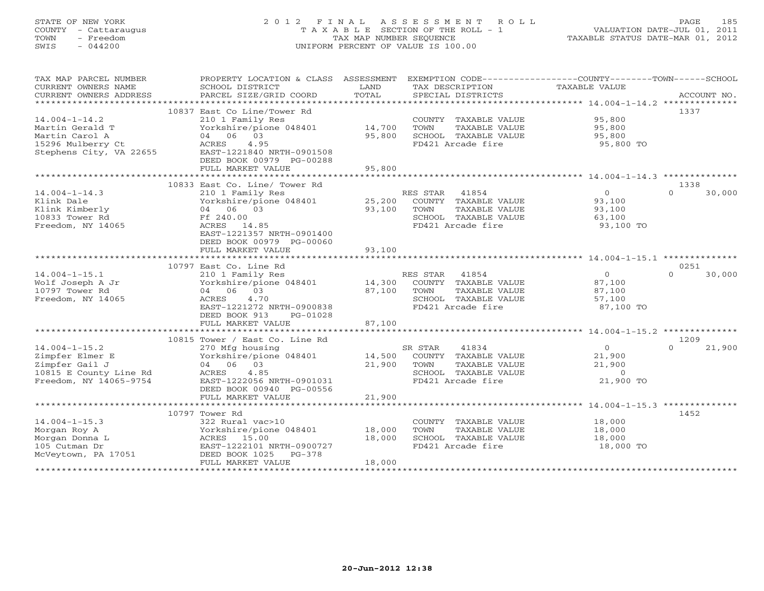# STATE OF NEW YORK 2 0 1 2 F I N A L A S S E S S M E N T R O L L PAGE 185 COUNTY - Cattaraugus T A X A B L E SECTION OF THE ROLL - 1 VALUATION DATE-JUL 01, 2011 TOWN - Freedom TAX MAP NUMBER SEQUENCE TAXABLE STATUS DATE-MAR 01, 2012 SWIS - 044200 UNIFORM PERCENT OF VALUE IS 100.00UNIFORM PERCENT OF VALUE IS 100.00

| TAX MAP PARCEL NUMBER<br>CURRENT OWNERS NAME<br>CURRENT OWNERS ADDRESS | PROPERTY LOCATION & CLASS<br>SCHOOL DISTRICT<br>PARCEL SIZE/GRID COORD | ASSESSMENT<br>LAND<br>TOTAL | EXEMPTION CODE-----------------COUNTY-------TOWN------SCHOOL<br>TAX DESCRIPTION<br>SPECIAL DISTRICTS | <b>TAXABLE VALUE</b> | ACCOUNT NO.        |
|------------------------------------------------------------------------|------------------------------------------------------------------------|-----------------------------|------------------------------------------------------------------------------------------------------|----------------------|--------------------|
| ***********************                                                |                                                                        |                             |                                                                                                      |                      |                    |
|                                                                        | 10837 East Co Line/Tower Rd                                            |                             |                                                                                                      |                      | 1337               |
| $14.004 - 1 - 14.2$                                                    | 210 1 Family Res                                                       |                             | COUNTY TAXABLE VALUE                                                                                 | 95,800               |                    |
| Martin Gerald T                                                        | Yorkshire/pione 048401                                                 | 14,700                      | TOWN<br>TAXABLE VALUE                                                                                | 95,800               |                    |
| Martin Carol A                                                         | 04 06 03                                                               | 95,800                      | SCHOOL TAXABLE VALUE                                                                                 | 95,800               |                    |
| 15296 Mulberry Ct                                                      | 4.95<br>ACRES                                                          |                             | FD421 Arcade fire                                                                                    | 95,800 TO            |                    |
| Stephens City, VA 22655                                                | EAST-1221840 NRTH-0901508                                              |                             |                                                                                                      |                      |                    |
|                                                                        | DEED BOOK 00979 PG-00288                                               |                             |                                                                                                      |                      |                    |
|                                                                        | FULL MARKET VALUE                                                      | 95,800                      |                                                                                                      |                      |                    |
|                                                                        | **************************                                             |                             |                                                                                                      |                      |                    |
|                                                                        | 10833 East Co. Line/ Tower Rd                                          |                             |                                                                                                      |                      | 1338               |
| $14.004 - 1 - 14.3$                                                    | 210 1 Family Res                                                       |                             | RES STAR 41854                                                                                       | $\overline{0}$       | 30,000<br>$\Omega$ |
| Klink Dale                                                             | Yorkshire/pione 048401                                                 | 25,200                      | COUNTY TAXABLE VALUE                                                                                 | 93,100               |                    |
| Klink Kimberly                                                         | 04 06 03                                                               | 93,100                      | TOWN<br>TAXABLE VALUE                                                                                | 93,100               |                    |
| 10833 Tower Rd                                                         | Ff 240.00                                                              |                             | SCHOOL TAXABLE VALUE                                                                                 | 63,100               |                    |
| Freedom, NY 14065                                                      | ACRES 14.85<br>EAST-1221357 NRTH-0901400                               |                             | FD421 Arcade fire                                                                                    | 93,100 TO            |                    |
|                                                                        | DEED BOOK 00979 PG-00060                                               |                             |                                                                                                      |                      |                    |
|                                                                        | FULL MARKET VALUE                                                      | 93,100                      |                                                                                                      |                      |                    |
|                                                                        | ************************                                               |                             |                                                                                                      |                      |                    |
|                                                                        | 10797 East Co. Line Rd                                                 |                             |                                                                                                      |                      | 0251               |
| $14.004 - 1 - 15.1$                                                    | 210 1 Family Res                                                       |                             | RES STAR 41854                                                                                       | $\circ$              | $\Omega$<br>30,000 |
| Wolf Joseph A Jr                                                       | Yorkshire/pione 048401                                                 | 14,300                      | COUNTY TAXABLE VALUE                                                                                 | 87,100               |                    |
| 10797 Tower Rd                                                         | 04 06 03                                                               | 87,100                      | TOWN<br>TAXABLE VALUE                                                                                | 87,100               |                    |
| Freedom, NY 14065                                                      | 4.70<br>ACRES                                                          |                             | SCHOOL TAXABLE VALUE                                                                                 | 57,100               |                    |
|                                                                        | EAST-1221272 NRTH-0900838                                              |                             | FD421 Arcade fire                                                                                    | 87,100 TO            |                    |
|                                                                        | DEED BOOK 913<br>PG-01028                                              |                             |                                                                                                      |                      |                    |
|                                                                        | FULL MARKET VALUE                                                      | 87,100                      |                                                                                                      |                      |                    |
|                                                                        |                                                                        |                             |                                                                                                      |                      |                    |
|                                                                        | 10815 Tower / East Co. Line Rd                                         |                             |                                                                                                      |                      | 1209               |
| $14.004 - 1 - 15.2$                                                    | 270 Mfg housing                                                        |                             | SR STAR<br>41834                                                                                     | $\circ$              | $\cap$<br>21,900   |
| Zimpfer Elmer E                                                        | Yorkshire/pione 048401                                                 | 14,500                      | COUNTY TAXABLE VALUE                                                                                 | 21,900               |                    |
| Zimpfer Gail J                                                         | 04 06 03                                                               | 21,900                      | TOWN<br>TAXABLE VALUE                                                                                | 21,900               |                    |
| 10815 E County Line Rd                                                 | ACRES<br>4.85                                                          |                             | SCHOOL TAXABLE VALUE                                                                                 | $\circ$              |                    |
| Freedom, NY 14065-9754                                                 | EAST-1222056 NRTH-0901031                                              |                             | FD421 Arcade fire                                                                                    | 21,900 TO            |                    |
|                                                                        | DEED BOOK 00940 PG-00556                                               |                             |                                                                                                      |                      |                    |
|                                                                        | FULL MARKET VALUE                                                      | 21,900                      |                                                                                                      |                      |                    |
|                                                                        |                                                                        |                             |                                                                                                      |                      |                    |
|                                                                        | 10797 Tower Rd                                                         |                             |                                                                                                      |                      | 1452               |
| $14.004 - 1 - 15.3$                                                    | 322 Rural vac>10                                                       |                             | COUNTY TAXABLE VALUE                                                                                 | 18,000               |                    |
| Morgan Roy A                                                           | Yorkshire/pione 048401                                                 | 18,000                      | TOWN<br>TAXABLE VALUE<br>SCHOOL TAXABLE VALUE                                                        | 18,000               |                    |
| Morgan Donna L<br>105 Cutman Dr                                        | ACRES 15.00<br>EAST-1222101 NRTH-0900727                               | 18,000                      | FD421 Arcade fire                                                                                    | 18,000<br>18,000 TO  |                    |
| McVeytown, PA 17051                                                    | DEED BOOK 1025<br>$PG-378$                                             |                             |                                                                                                      |                      |                    |
|                                                                        | FULL MARKET VALUE                                                      | 18,000                      |                                                                                                      |                      |                    |
|                                                                        |                                                                        |                             |                                                                                                      |                      |                    |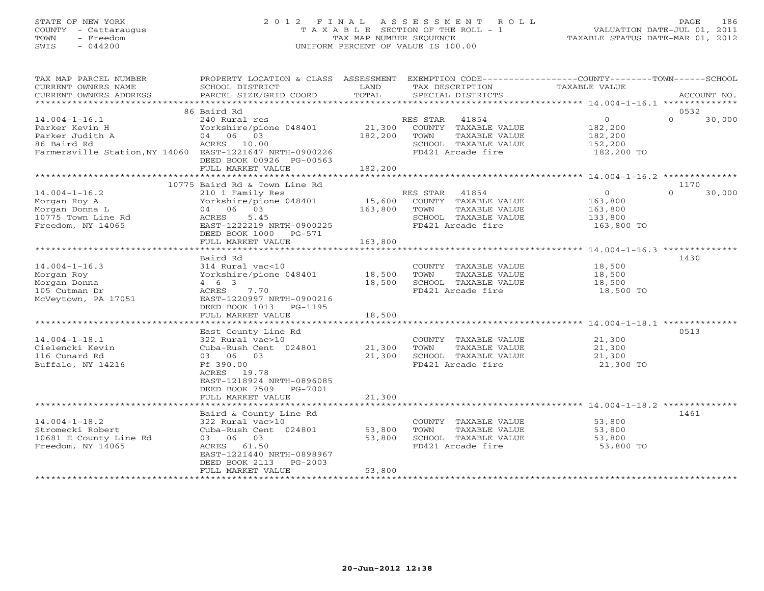# STATE OF NEW YORK 2 0 1 2 F I N A L A S S E S S M E N T R O L L PAGE 186 COUNTY - Cattaraugus T A X A B L E SECTION OF THE ROLL - 1 VALUATION DATE-JUL 01, 2011 TOWN - Freedom TAX MAP NUMBER SEQUENCE TAXABLE STATUS DATE-MAR 01, 2012 SWIS - 044200 UNIFORM PERCENT OF VALUE IS 100.00UNIFORM PERCENT OF VALUE IS 100.00

| TAX MAP PARCEL NUMBER<br>CURRENT OWNERS NAME<br>CURRENT OWNERS ADDRESS                                                              | PROPERTY LOCATION & CLASS ASSESSMENT<br>SCHOOL DISTRICT<br>PARCEL SIZE/GRID COORD                                                                                  | LAND<br>TOTAL              | EXEMPTION CODE-----------------COUNTY-------TOWN------SCHOOL<br>TAX DESCRIPTION<br>SPECIAL DISTRICTS            | TAXABLE VALUE                                                 | ACCOUNT NO.        |
|-------------------------------------------------------------------------------------------------------------------------------------|--------------------------------------------------------------------------------------------------------------------------------------------------------------------|----------------------------|-----------------------------------------------------------------------------------------------------------------|---------------------------------------------------------------|--------------------|
|                                                                                                                                     |                                                                                                                                                                    |                            |                                                                                                                 |                                                               |                    |
|                                                                                                                                     | 86 Baird Rd                                                                                                                                                        |                            |                                                                                                                 |                                                               | 0532               |
| $14.004 - 1 - 16.1$<br>Parker Kevin H<br>Parker Judith A<br>86 Baird Rd<br>Farmersville Station, NY 14060 EAST-1221647 NRTH-0900226 | 240 Rural res<br>Yorkshire/pione 048401<br>04 06 03<br>ACRES 10.00<br>DEED BOOK 00926 PG-00563                                                                     | 21,300<br>182,200          | RES STAR<br>41854<br>COUNTY TAXABLE VALUE<br>TOWN<br>TAXABLE VALUE<br>SCHOOL TAXABLE VALUE<br>FD421 Arcade fire | $\overline{O}$<br>182,200<br>182,200<br>152,200<br>182,200 TO | $\Omega$<br>30,000 |
|                                                                                                                                     | FULL MARKET VALUE                                                                                                                                                  | 182,200                    |                                                                                                                 |                                                               |                    |
|                                                                                                                                     | 10775 Baird Rd & Town Line Rd                                                                                                                                      |                            |                                                                                                                 |                                                               | 1170               |
| $14.004 - 1 - 16.2$<br>Morgan Roy A<br>Morgan Donna L<br>10775 Town Line Rd<br>Freedom, NY 14065                                    | 210 1 Family Res<br>Yorkshire/pione 048401<br>04 06 03<br>5.45<br>ACRES<br>EAST-1222219 NRTH-0900225<br>DEED BOOK 1000 PG-571                                      | 15,600<br>163,800          | RES STAR<br>41854<br>COUNTY TAXABLE VALUE<br>TAXABLE VALUE<br>TOWN<br>SCHOOL TAXABLE VALUE<br>FD421 Arcade fire | $\circ$<br>163,800<br>163,800<br>133,800<br>163,800 TO        | $\Omega$<br>30,000 |
|                                                                                                                                     | FULL MARKET VALUE                                                                                                                                                  | 163,800                    |                                                                                                                 |                                                               |                    |
|                                                                                                                                     | Baird Rd                                                                                                                                                           |                            |                                                                                                                 |                                                               | 1430               |
| $14.004 - 1 - 16.3$<br>Morgan Roy<br>Morgan Donna<br>105 Cutman Dr<br>McVeytown, PA 17051                                           | 314 Rural vac<10<br>Yorkshire/pione 048401<br>$4\quad 6\quad 3$<br>ACRES<br>7.70<br>EAST-1220997 NRTH-0900216<br>DEED BOOK 1013<br>PG-1195<br>FULL MARKET VALUE    | 18,500<br>18,500<br>18,500 | COUNTY TAXABLE VALUE<br>TAXABLE VALUE<br>TOWN<br>SCHOOL TAXABLE VALUE<br>FD421 Arcade fire                      | 18,500<br>18,500<br>18,500<br>18,500 TO                       |                    |
|                                                                                                                                     |                                                                                                                                                                    |                            |                                                                                                                 |                                                               |                    |
| $14.004 - 1 - 18.1$<br>Cielencki Kevin<br>116 Cunard Rd<br>Buffalo, NY 14216                                                        | East County Line Rd<br>322 Rural vac>10<br>Cuba-Rush Cent 024801<br>03 06 03<br>Ff 390.00<br>ACRES 19.78<br>EAST-1218924 NRTH-0896085<br>DEED BOOK 7509<br>PG-7001 | 21,300<br>21,300           | COUNTY TAXABLE VALUE<br>TAXABLE VALUE<br>TOWN<br>SCHOOL TAXABLE VALUE<br>FD421 Arcade fire                      | 21,300<br>21,300<br>21,300<br>21,300 TO                       | 0513               |
|                                                                                                                                     | FULL MARKET VALUE                                                                                                                                                  | 21,300                     |                                                                                                                 |                                                               |                    |
|                                                                                                                                     | Baird & County Line Rd                                                                                                                                             |                            |                                                                                                                 |                                                               | 1461               |
| $14.004 - 1 - 18.2$<br>Stromecki Robert<br>10681 E County Line Rd<br>Freedom, NY 14065                                              | 322 Rural vac>10<br>Cuba-Rush Cent 024801<br>03 06 03<br>ACRES 61.50<br>EAST-1221440 NRTH-0898967<br>DEED BOOK 2113<br>$PG-2003$                                   | 53,800<br>53,800           | COUNTY TAXABLE VALUE<br>TOWN<br>TAXABLE VALUE<br>SCHOOL TAXABLE VALUE<br>FD421 Arcade fire                      | 53,800<br>53,800<br>53,800<br>53,800 TO                       |                    |
|                                                                                                                                     | FULL MARKET VALUE                                                                                                                                                  | 53,800                     |                                                                                                                 |                                                               |                    |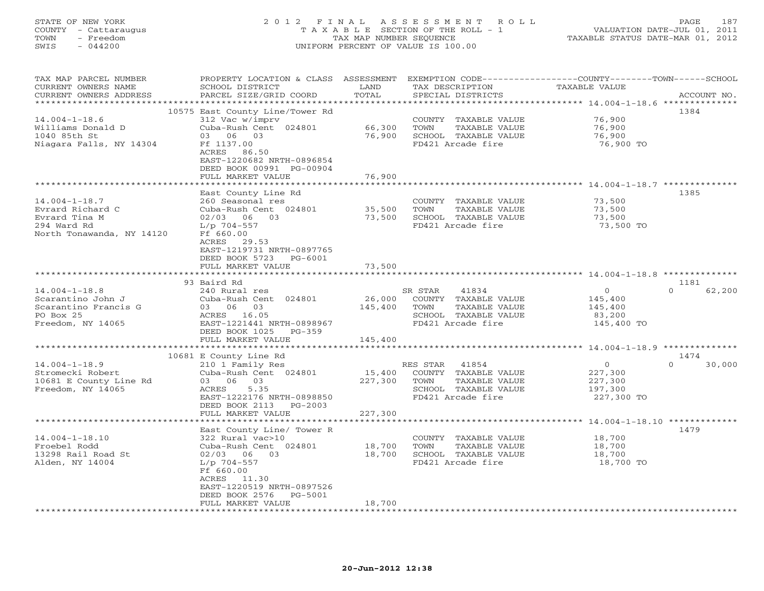# STATE OF NEW YORK 2 0 1 2 F I N A L A S S E S S M E N T R O L L PAGE 187 COUNTY - Cattaraugus T A X A B L E SECTION OF THE ROLL - 1 VALUATION DATE-JUL 01, 2011 TOWN - Freedom TAX MAP NUMBER SEQUENCE TAXABLE STATUS DATE-MAR 01, 2012 SWIS - 044200 UNIFORM PERCENT OF VALUE IS 100.00UNIFORM PERCENT OF VALUE IS 100.00

| TAX MAP PARCEL NUMBER<br>CURRENT OWNERS NAME<br>CURRENT OWNERS ADDRESS                               | PROPERTY LOCATION & CLASS ASSESSMENT<br>SCHOOL DISTRICT<br>PARCEL SIZE/GRID COORD                                                                                    | LAND<br>TOTAL                | EXEMPTION CODE-----------------COUNTY-------TOWN------SCHOOL<br>TAX DESCRIPTION<br>SPECIAL DISTRICTS            | TAXABLE VALUE                                                  | ACCOUNT NO.        |
|------------------------------------------------------------------------------------------------------|----------------------------------------------------------------------------------------------------------------------------------------------------------------------|------------------------------|-----------------------------------------------------------------------------------------------------------------|----------------------------------------------------------------|--------------------|
| * * * * * * * * * * * * * * * * * * *                                                                | ******************************                                                                                                                                       | ****************             |                                                                                                                 | ************ 14.004-1-18.6 ***************                     |                    |
| $14.004 - 1 - 18.6$<br>Williams Donald D                                                             | 10575 East County Line/Tower Rd<br>312 Vac w/imprv<br>Cuba-Rush Cent 024801                                                                                          | 66,300                       | COUNTY TAXABLE VALUE<br>TAXABLE VALUE<br>TOWN                                                                   | 76,900<br>76,900                                               | 1384               |
| 1040 85th St<br>Niagara Falls, NY 14304                                                              | 03 06 03<br>Ff 1137.00<br>ACRES 86.50<br>EAST-1220682 NRTH-0896854<br>DEED BOOK 00991 PG-00904<br>FULL MARKET VALUE                                                  | 76,900<br>76,900             | SCHOOL TAXABLE VALUE<br>FD421 Arcade fire                                                                       | 76,900<br>76,900 TO                                            |                    |
|                                                                                                      |                                                                                                                                                                      |                              |                                                                                                                 |                                                                |                    |
|                                                                                                      | East County Line Rd                                                                                                                                                  |                              |                                                                                                                 |                                                                | 1385               |
| $14.004 - 1 - 18.7$<br>Evrard Richard C<br>Evrard Tina M<br>294 Ward Rd<br>North Tonawanda, NY 14120 | 260 Seasonal res<br>Cuba-Rush Cent 024801<br>$02/03$ 06 03<br>L/p 704-557<br>Ff 660.00<br>ACRES<br>29.53<br>EAST-1219731 NRTH-0897765<br>DEED BOOK 5723<br>$PG-6001$ | 35,500<br>73,500             | COUNTY TAXABLE VALUE<br>TOWN<br>TAXABLE VALUE<br>SCHOOL TAXABLE VALUE<br>FD421 Arcade fire                      | 73,500<br>73,500<br>73,500<br>73,500 TO                        |                    |
|                                                                                                      | FULL MARKET VALUE                                                                                                                                                    | 73,500                       |                                                                                                                 |                                                                |                    |
|                                                                                                      |                                                                                                                                                                      |                              |                                                                                                                 |                                                                |                    |
|                                                                                                      | 93 Baird Rd                                                                                                                                                          |                              |                                                                                                                 |                                                                | 1181               |
| $14.004 - 1 - 18.8$<br>Scarantino John J<br>Scarantino Francis G<br>PO Box 25<br>Freedom, NY 14065   | 240 Rural res<br>Cuba-Rush Cent 024801<br>03 06<br>03<br>ACRES 16.05<br>EAST-1221441 NRTH-0898967<br>DEED BOOK 1025<br>PG-359                                        | 26,000<br>145,400            | 41834<br>SR STAR<br>COUNTY TAXABLE VALUE<br>TOWN<br>TAXABLE VALUE<br>SCHOOL TAXABLE VALUE<br>FD421 Arcade fire  | $\overline{0}$<br>145,400<br>145,400<br>83,200<br>145,400 TO   | 62,200<br>$\Omega$ |
|                                                                                                      | FULL MARKET VALUE                                                                                                                                                    | 145,400                      |                                                                                                                 |                                                                |                    |
|                                                                                                      | 10681 E County Line Rd                                                                                                                                               |                              |                                                                                                                 |                                                                | 1474               |
| $14.004 - 1 - 18.9$<br>Stromecki Robert<br>10681 E County Line Rd<br>Freedom, NY 14065               | 210 1 Family Res<br>Cuba-Rush Cent 024801<br>03 06 03<br>5.35<br>ACRES<br>EAST-1222176 NRTH-0898850<br>DEED BOOK 2113<br>PG-2003<br>FULL MARKET VALUE                | 15,400<br>227,300<br>227,300 | RES STAR<br>41854<br>COUNTY TAXABLE VALUE<br>TOWN<br>TAXABLE VALUE<br>SCHOOL TAXABLE VALUE<br>FD421 Arcade fire | $\circ$<br>227,300<br>227,300<br>197,300<br>227,300 TO         | $\Omega$<br>30,000 |
|                                                                                                      |                                                                                                                                                                      |                              |                                                                                                                 | ********************************* 14.004-1-18.10 ************* |                    |
| $14.004 - 1 - 18.10$                                                                                 | East County Line/ Tower R<br>322 Rural vac>10                                                                                                                        |                              | COUNTY TAXABLE VALUE                                                                                            | 18,700                                                         | 1479               |
| Froebel Rodd<br>13298 Rail Road St<br>Alden, NY 14004                                                | Cuba-Rush Cent 024801<br>02/03 06 03<br>$L/p$ 704-557<br>Ff 660.00<br>ACRES 11.30<br>EAST-1220519 NRTH-0897526<br>DEED BOOK 2576<br>PG-5001                          | 18,700<br>18,700             | TAXABLE VALUE<br>TOWN<br>SCHOOL TAXABLE VALUE<br>FD421 Arcade fire                                              | 18,700<br>18,700<br>18,700 TO                                  |                    |
|                                                                                                      | FULL MARKET VALUE                                                                                                                                                    | 18,700                       |                                                                                                                 |                                                                |                    |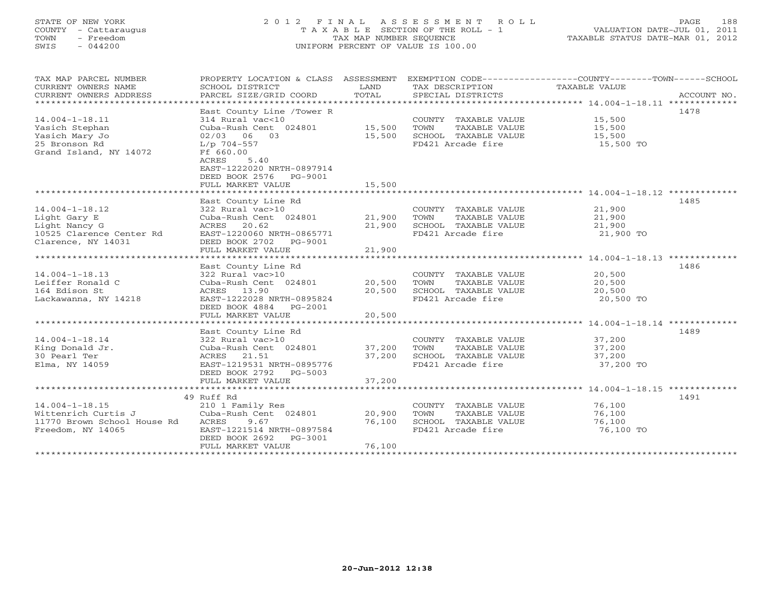## STATE OF NEW YORK 2 0 1 2 F I N A L A S S E S S M E N T R O L L PAGE 188 COUNTY - Cattaraugus T A X A B L E SECTION OF THE ROLL - 1 VALUATION DATE-JUL 01, 2011 TOWN - Freedom TAX MAP NUMBER SEQUENCE TAXABLE STATUS DATE-MAR 01, 2012 SWIS - 044200 UNIFORM PERCENT OF VALUE IS 100.00UNIFORM PERCENT OF VALUE IS 100.00

| TAX MAP PARCEL NUMBER<br>CURRENT OWNERS NAME<br>CURRENT OWNERS ADDRESS                                  | PROPERTY LOCATION & CLASS ASSESSMENT<br>SCHOOL DISTRICT<br>PARCEL SIZE/GRID COORD                                                                                                                                   | LAND<br>TOTAL              | TAX DESCRIPTION<br>SPECIAL DISTRICTS                                                       | EXEMPTION CODE----------------COUNTY-------TOWN------SCHOOL<br>TAXABLE VALUE<br>ACCOUNT NO. |
|---------------------------------------------------------------------------------------------------------|---------------------------------------------------------------------------------------------------------------------------------------------------------------------------------------------------------------------|----------------------------|--------------------------------------------------------------------------------------------|---------------------------------------------------------------------------------------------|
| $14.004 - 1 - 18.11$<br>Yasich Stephan<br>Yasich Mary Jo<br>25 Bronson Rd<br>Grand Island, NY 14072     | East County Line /Tower R<br>314 Rural vac<10<br>Cuba-Rush Cent 024801<br>$02/03$ 06 03<br>L/p 704-557<br>Ff 660.00<br>ACRES<br>5.40<br>EAST-1222020 NRTH-0897914<br>DEED BOOK 2576<br>PG-9001<br>FULL MARKET VALUE | 15,500<br>15,500<br>15,500 | COUNTY TAXABLE VALUE<br>TOWN<br>TAXABLE VALUE<br>SCHOOL TAXABLE VALUE<br>FD421 Arcade fire | 1478<br>15,500<br>15,500<br>15,500<br>15,500 TO                                             |
|                                                                                                         |                                                                                                                                                                                                                     |                            |                                                                                            |                                                                                             |
| $14.004 - 1 - 18.12$<br>Light Gary E<br>Light Nancy G<br>10525 Clarence Center Rd<br>Clarence, NY 14031 | East County Line Rd<br>322 Rural vac>10<br>Cuba-Rush Cent 024801<br>ACRES 20.62<br>EAST-1220060 NRTH-0865771<br>DEED BOOK 2702 PG-9001<br>FULL MARKET VALUE                                                         | 21,900<br>21,900<br>21,900 | COUNTY TAXABLE VALUE<br>TOWN<br>TAXABLE VALUE<br>SCHOOL TAXABLE VALUE<br>FD421 Arcade fire | 1485<br>21,900<br>21,900<br>21,900<br>21,900 TO                                             |
|                                                                                                         |                                                                                                                                                                                                                     |                            |                                                                                            |                                                                                             |
| $14.004 - 1 - 18.13$<br>Leiffer Ronald C<br>164 Edison St<br>Lackawanna, NY 14218                       | East County Line Rd<br>322 Rural vac>10<br>Cuba-Rush Cent 024801<br>ACRES 13.90<br>EAST-1222028 NRTH-0895824<br>DEED BOOK 4884 PG-2001<br>FULL MARKET VALUE                                                         | 20,500<br>20,500<br>20,500 | COUNTY TAXABLE VALUE<br>TAXABLE VALUE<br>TOWN<br>SCHOOL TAXABLE VALUE<br>FD421 Arcade fire | 1486<br>20,500<br>20,500<br>20,500<br>20,500 TO                                             |
|                                                                                                         | East County Line Rd                                                                                                                                                                                                 |                            |                                                                                            | 1489                                                                                        |
| $14.004 - 1 - 18.14$<br>King Donald Jr.<br>30 Pearl Ter<br>Elma, NY 14059                               | 322 Rural vac>10<br>Cuba-Rush Cent 024801<br>ACRES<br>21.51<br>EAST-1219531 NRTH-0895776<br>DEED BOOK 2792<br>PG-5003<br>FULL MARKET VALUE                                                                          | 37,200<br>37,200<br>37,200 | COUNTY TAXABLE VALUE<br>TOWN<br>TAXABLE VALUE<br>SCHOOL TAXABLE VALUE<br>FD421 Arcade fire | 37,200<br>37,200<br>37,200<br>37,200 TO                                                     |
|                                                                                                         |                                                                                                                                                                                                                     |                            |                                                                                            |                                                                                             |
|                                                                                                         | 49 Ruff Rd                                                                                                                                                                                                          |                            |                                                                                            | 1491                                                                                        |
| $14.004 - 1 - 18.15$<br>Wittenrich Curtis J<br>11770 Brown School House Rd<br>Freedom, NY 14065         | 210 1 Family Res<br>Cuba-Rush Cent 024801<br>9.67<br>ACRES<br>EAST-1221514 NRTH-0897584<br>DEED BOOK 2692<br>PG-3001<br>FULL MARKET VALUE                                                                           | 20,900<br>76,100<br>76,100 | COUNTY TAXABLE VALUE<br>TOWN<br>TAXABLE VALUE<br>SCHOOL TAXABLE VALUE<br>FD421 Arcade fire | 76,100<br>76,100<br>76,100<br>76,100 TO                                                     |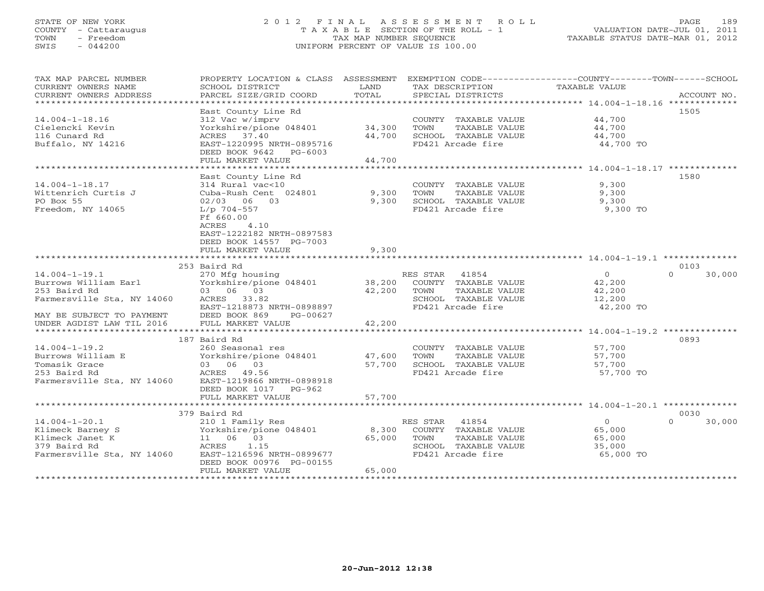# STATE OF NEW YORK 2 0 1 2 F I N A L A S S E S S M E N T R O L L PAGE 189 COUNTY - Cattaraugus T A X A B L E SECTION OF THE ROLL - 1 VALUATION DATE-JUL 01, 2011 TOWN - Freedom TAX MAP NUMBER SEQUENCE TAXABLE STATUS DATE-MAR 01, 2012 SWIS - 044200 UNIFORM PERCENT OF VALUE IS 100.00UNIFORM PERCENT OF VALUE IS 100.00

| TAX MAP PARCEL NUMBER<br>CURRENT OWNERS NAME<br>CURRENT OWNERS ADDRESS | PROPERTY LOCATION & CLASS ASSESSMENT<br>SCHOOL DISTRICT<br>PARCEL SIZE/GRID COORD | LAND<br>TOTAL | TAX DESCRIPTION<br>SPECIAL DISTRICTS      | EXEMPTION CODE-----------------COUNTY-------TOWN------SCHOOL<br><b>TAXABLE VALUE</b> | ACCOUNT NO.        |
|------------------------------------------------------------------------|-----------------------------------------------------------------------------------|---------------|-------------------------------------------|--------------------------------------------------------------------------------------|--------------------|
| *************************                                              |                                                                                   |               |                                           |                                                                                      |                    |
|                                                                        | East County Line Rd                                                               |               |                                           |                                                                                      | 1505               |
| $14.004 - 1 - 18.16$                                                   | 312 Vac w/imprv                                                                   |               | COUNTY TAXABLE VALUE                      | 44,700                                                                               |                    |
| Cielencki Kevin                                                        | Yorkshire/pione 048401                                                            | 34,300        | TOWN<br>TAXABLE VALUE                     | 44,700                                                                               |                    |
| 116 Cunard Rd                                                          | ACRES 37.40                                                                       | 44,700        | SCHOOL TAXABLE VALUE                      | 44,700                                                                               |                    |
| Buffalo, NY 14216                                                      | EAST-1220995 NRTH-0895716<br>DEED BOOK 9642<br>PG-6003                            |               | FD421 Arcade fire                         | 44,700 TO                                                                            |                    |
|                                                                        | FULL MARKET VALUE                                                                 | 44,700        |                                           |                                                                                      |                    |
|                                                                        |                                                                                   |               |                                           |                                                                                      | 1580               |
| $14.004 - 1 - 18.17$                                                   | East County Line Rd<br>314 Rural vac<10                                           |               | COUNTY TAXABLE VALUE                      | 9,300                                                                                |                    |
| Wittenrich Curtis J                                                    | Cuba-Rush Cent 024801                                                             | 9,300         | TOWN<br>TAXABLE VALUE                     | 9,300                                                                                |                    |
| PO Box 55                                                              | $02/03$ 06 03                                                                     | 9,300         | SCHOOL TAXABLE VALUE                      | 9,300                                                                                |                    |
| Freedom, NY 14065                                                      | L/p 704-557                                                                       |               | FD421 Arcade fire                         | 9,300 TO                                                                             |                    |
|                                                                        | Ff 660.00                                                                         |               |                                           |                                                                                      |                    |
|                                                                        | ACRES<br>4.10                                                                     |               |                                           |                                                                                      |                    |
|                                                                        | EAST-1222182 NRTH-0897583                                                         |               |                                           |                                                                                      |                    |
|                                                                        | DEED BOOK 14557 PG-7003                                                           |               |                                           |                                                                                      |                    |
|                                                                        | FULL MARKET VALUE                                                                 | 9,300         |                                           |                                                                                      |                    |
|                                                                        |                                                                                   |               |                                           |                                                                                      |                    |
|                                                                        | 253 Baird Rd                                                                      |               |                                           |                                                                                      | 0103               |
| $14.004 - 1 - 19.1$                                                    | 270 Mfg housing                                                                   |               | RES STAR<br>41854                         | $\circ$                                                                              | $\Omega$<br>30,000 |
| Burrows William Earl                                                   | Yorkshire/pione 048401                                                            | 38,200        | COUNTY TAXABLE VALUE                      | 42,200                                                                               |                    |
| 253 Baird Rd                                                           | 03 06 03                                                                          | 42,200        | TOWN<br>TAXABLE VALUE                     | 42,200                                                                               |                    |
| Farmersville Sta, NY 14060                                             | ACRES<br>33.82                                                                    |               | SCHOOL TAXABLE VALUE                      | 12,200                                                                               |                    |
|                                                                        | EAST-1218873 NRTH-0898897                                                         |               | FD421 Arcade fire                         | 42,200 TO                                                                            |                    |
| MAY BE SUBJECT TO PAYMENT                                              | DEED BOOK 869<br>PG-00627                                                         |               |                                           |                                                                                      |                    |
| UNDER AGDIST LAW TIL 2016                                              | FULL MARKET VALUE                                                                 | 42,200        |                                           |                                                                                      |                    |
|                                                                        | ***********************                                                           | ************  |                                           | $14.004 - 1 - 19.2$ *************                                                    |                    |
|                                                                        | 187 Baird Rd                                                                      |               |                                           |                                                                                      | 0893               |
| $14.004 - 1 - 19.2$                                                    | 260 Seasonal res                                                                  |               | COUNTY TAXABLE VALUE                      | 57,700                                                                               |                    |
| Burrows William E                                                      | Yorkshire/pione 048401                                                            | 47,600        | TOWN<br>TAXABLE VALUE                     | 57,700                                                                               |                    |
| Tomasik Grace<br>253 Baird Rd                                          | 03 06 03                                                                          | 57,700        | SCHOOL TAXABLE VALUE<br>FD421 Arcade fire | 57,700                                                                               |                    |
|                                                                        | ACRES<br>49.56<br>EAST-1219866 NRTH-0898918                                       |               |                                           | 57,700 TO                                                                            |                    |
| Farmersville Sta, NY 14060                                             | DEED BOOK 1017 PG-962                                                             |               |                                           |                                                                                      |                    |
|                                                                        | FULL MARKET VALUE                                                                 | 57,700        |                                           |                                                                                      |                    |
|                                                                        | **********************                                                            | ********      |                                           | ********************* 14.004-1-20.1 **************                                   |                    |
|                                                                        | 379 Baird Rd                                                                      |               |                                           |                                                                                      | 0030               |
| $14.004 - 1 - 20.1$                                                    | 210 1 Family Res                                                                  |               | RES STAR<br>41854                         | $\Omega$                                                                             | 30,000<br>$\Omega$ |
| Klimeck Barney S                                                       | Yorkshire/pione 048401                                                            | 8,300         | COUNTY TAXABLE VALUE                      | 65,000                                                                               |                    |
| Klimeck Janet K                                                        | 11 06 03                                                                          | 65,000        | TOWN<br>TAXABLE VALUE                     | 65,000                                                                               |                    |
| 379 Baird Rd                                                           | ACRES<br>1.15                                                                     |               | SCHOOL TAXABLE VALUE                      | 35,000                                                                               |                    |
| Farmersville Sta, NY 14060                                             | EAST-1216596 NRTH-0899677                                                         |               | FD421 Arcade fire                         | 65,000 TO                                                                            |                    |
|                                                                        | DEED BOOK 00976 PG-00155                                                          |               |                                           |                                                                                      |                    |
|                                                                        | FULL MARKET VALUE                                                                 | 65,000        |                                           |                                                                                      |                    |
|                                                                        |                                                                                   |               |                                           |                                                                                      |                    |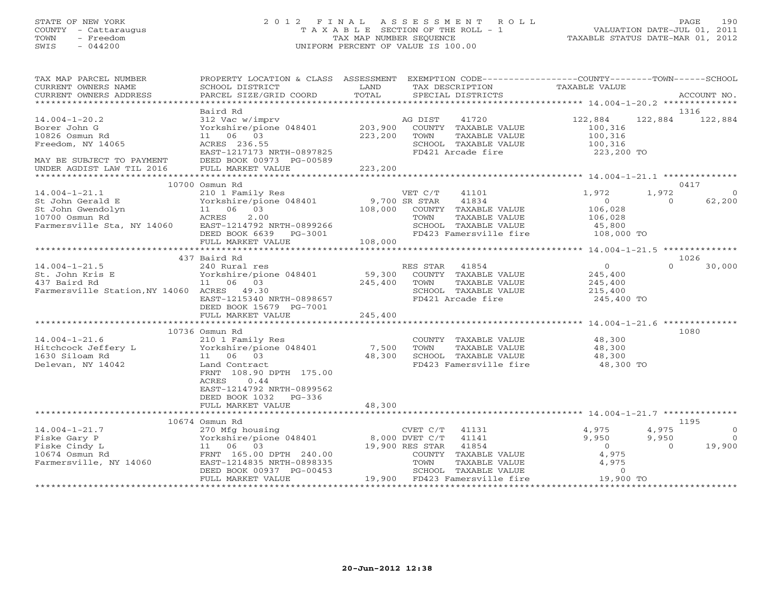# STATE OF NEW YORK 2 0 1 2 F I N A L A S S E S S M E N T R O L L PAGE 190 COUNTY - Cattaraugus T A X A B L E SECTION OF THE ROLL - 1 VALUATION DATE-JUL 01, 2011 TOWN - Freedom TAX MAP NUMBER SEQUENCE TAXABLE STATUS DATE-MAR 01, 2012 SWIS - 044200 UNIFORM PERCENT OF VALUE IS 100.00UNIFORM PERCENT OF VALUE IS 100.00

| TAX MAP PARCEL NUMBER<br>CURRENT OWNERS NAME<br>CURRENT OWNERS ADDRESS                                       | PROPERTY LOCATION & CLASS ASSESSMENT<br>SCHOOL DISTRICT<br>PARCEL SIZE/GRID COORD                                                                                                                                     | LAND<br>TOTAL                | EXEMPTION CODE-----------------COUNTY-------TOWN------SCHOOL<br>TAX DESCRIPTION<br>SPECIAL DISTRICTS                                    | TAXABLE VALUE                                             | ACCOUNT NO.                                      |
|--------------------------------------------------------------------------------------------------------------|-----------------------------------------------------------------------------------------------------------------------------------------------------------------------------------------------------------------------|------------------------------|-----------------------------------------------------------------------------------------------------------------------------------------|-----------------------------------------------------------|--------------------------------------------------|
|                                                                                                              |                                                                                                                                                                                                                       |                              |                                                                                                                                         |                                                           |                                                  |
| $14.004 - 1 - 20.2$<br>Borer John G<br>10826 Osmun Rd<br>Freedom, NY 14065                                   | Baird Rd<br>312 Vac w/imprv<br>Yorkshire/pione 048401<br>11 06 03<br>ACRES 236.55                                                                                                                                     | 203,900<br>223,200           | 41720<br>AG DIST<br>COUNTY TAXABLE VALUE<br>TOWN<br>TAXABLE VALUE<br>SCHOOL TAXABLE VALUE                                               | 122,884<br>100,316<br>100,316<br>100,316                  | 1316<br>122,884<br>122,884                       |
| MAY BE SUBJECT TO PAYMENT<br>UNDER AGDIST LAW TIL 2016                                                       | EAST-1217173 NRTH-0897825<br>DEED BOOK 00973 PG-00589<br>FULL MARKET VALUE                                                                                                                                            | 223,200                      | FD421 Arcade fire                                                                                                                       | 223,200 TO                                                |                                                  |
|                                                                                                              | 10700 Osmun Rd                                                                                                                                                                                                        |                              |                                                                                                                                         |                                                           | 0417                                             |
| $14.004 - 1 - 21.1$<br>St John Gerald E<br>St John Gwendolyn<br>10700 Osmun Rd<br>Farmersville Sta, NY 14060 | 210 1 Family Res<br>Yorkshire/pione 048401<br>11 06 03<br>ACRES<br>2.00<br>EAST-1214792 NRTH-0899266<br>DEED BOOK 6639 PG-3001                                                                                        | 9,700 SR STAR<br>108,000     | VET C/T<br>41101<br>41834<br>COUNTY TAXABLE VALUE<br>TOWN<br>TAXABLE VALUE<br>SCHOOL TAXABLE VALUE<br>FD423 Famersville fire 108,000 TO | 1,972<br>$\overline{0}$<br>106,028<br>106,028<br>45,800   | 1,972<br>$\circ$<br>$\circ$<br>62,200            |
|                                                                                                              | FULL MARKET VALUE                                                                                                                                                                                                     | 108,000                      |                                                                                                                                         |                                                           |                                                  |
|                                                                                                              | 437 Baird Rd                                                                                                                                                                                                          |                              |                                                                                                                                         |                                                           | 1026                                             |
| $14.004 - 1 - 21.5$<br>St. John Kris E<br>437 Baird Rd<br>Farmersville Station, NY 14060 ACRES 49.30         | 240 Rural res<br>Yorkshire/pione 048401<br>11 06 03<br>EAST-1215340 NRTH-0898657<br>DEED BOOK 15679 PG-7001<br>FULL MARKET VALUE                                                                                      | 59,300<br>245,400<br>245,400 | RES STAR 41854<br>COUNTY TAXABLE VALUE<br>TOWN<br>TAXABLE VALUE<br>SCHOOL TAXABLE VALUE<br>FD421 Arcade fire                            | $\Omega$<br>245,400<br>245,400<br>215,400<br>245,400 TO   | $\Omega$<br>30,000                               |
|                                                                                                              | **************************                                                                                                                                                                                            | *************                |                                                                                                                                         | ***************** 14.004-1-21.6 ***************           |                                                  |
| $14.004 - 1 - 21.6$<br>Hitchcock Jeffery L<br>1630 Siloam Rd<br>Delevan, NY 14042                            | 10736 Osmun Rd<br>210 1 Family Res<br>Yorkshire/pione 048401<br>11 06 03<br>Land Contract<br>FRNT 108.90 DPTH 175.00<br>0.44<br>ACRES<br>EAST-1214792 NRTH-0899562<br>DEED BOOK 1032<br>$PG-336$<br>FULL MARKET VALUE | 7,500<br>48,300<br>48,300    | COUNTY TAXABLE VALUE<br>TOWN<br>TAXABLE VALUE<br>SCHOOL TAXABLE VALUE<br>FD423 Famersville fire                                         | 48,300<br>48,300<br>48,300<br>48,300 TO                   | 1080                                             |
|                                                                                                              |                                                                                                                                                                                                                       |                              |                                                                                                                                         |                                                           |                                                  |
| $14.004 - 1 - 21.7$<br>Fiske Gary P                                                                          | 10674 Osmun Rd<br>270 Mfg housing<br>Yorkshire/pione 048401                                                                                                                                                           |                              | CVET $C/T$ 41131<br>8,000 DVET C/T 41141                                                                                                | 4,975<br>9,950                                            | 1195<br>4,975<br>$\Omega$<br>9,950<br>$\bigcirc$ |
| Fiske Cindy L<br>10674 Osmun Rd<br>Farmersville, NY 14060                                                    | 11 06 03<br>FRNT 165.00 DPTH 240.00<br>EAST-1214835 NRTH-0898335<br>DEED BOOK 00937 PG-00453<br>FULL MARKET VALUE                                                                                                     |                              | 19,900 RES STAR<br>41854<br>COUNTY TAXABLE VALUE<br>TOWN<br>TAXABLE VALUE<br>SCHOOL TAXABLE VALUE<br>19,900 FD423 Famersville fire      | $\overline{0}$<br>4,975<br>4,975<br>$\Omega$<br>19,900 TO | 19,900<br>$\Omega$                               |
|                                                                                                              |                                                                                                                                                                                                                       |                              |                                                                                                                                         |                                                           |                                                  |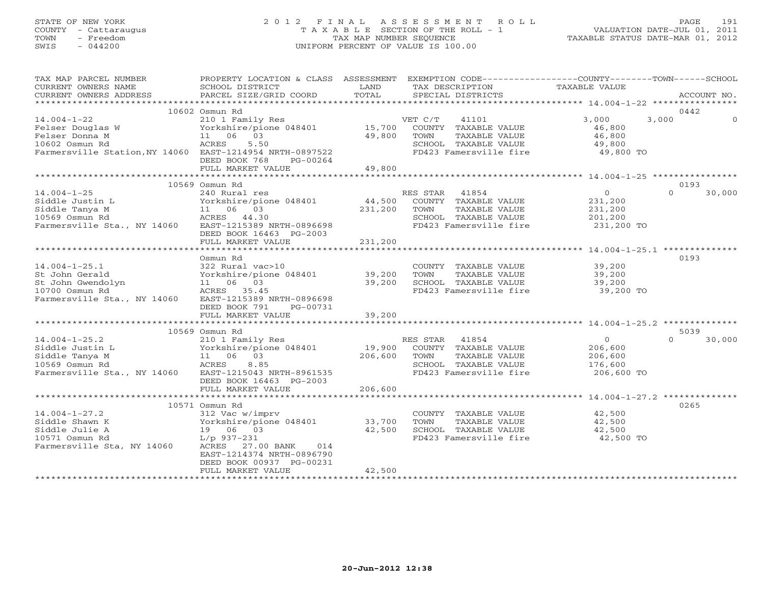# STATE OF NEW YORK 2 0 1 2 F I N A L A S S E S S M E N T R O L L PAGE 191 COUNTY - Cattaraugus T A X A B L E SECTION OF THE ROLL - 1 VALUATION DATE-JUL 01, 2011 TOWN - Freedom TAX MAP NUMBER SEQUENCE TAXABLE STATUS DATE-MAR 01, 2012 SWIS - 044200 UNIFORM PERCENT OF VALUE IS 100.00UNIFORM PERCENT OF VALUE IS 100.00

| 10602 Osmun Rd<br>0442<br>$14.004 - 1 - 22$<br>3,000<br>210 1 Family Res<br>VET C/T<br>41101<br>3,000<br>$\Omega$<br>15,700 COUNTY TAXABLE VALUE<br>Felser Douglas W<br>Yorkshire/pione 048401<br>46,800<br>Felser Donna M<br>11 06 03<br>49,800<br>46,800<br>TOWN<br>TAXABLE VALUE<br>10602 Osmun Rd<br>ACRES<br>5.50<br>SCHOOL TAXABLE VALUE<br>49,800<br>49,800 TO<br>Farmersville Station, NY 14060 EAST-1214954 NRTH-0897522<br>FD423 Famersville fire<br>DEED BOOK 768<br>PG-00264<br>FULL MARKET VALUE<br>49,800<br>0193<br>10569 Osmun Rd<br>0<br>$14.004 - 1 - 25$<br>RES STAR<br>41854<br>$\Omega$<br>30,000<br>240 Rural res<br>Format 100<br>Yorkshire/pion<br>11 06 03<br>ACRES 44.30<br>44,500<br>COUNTY TAXABLE VALUE<br>231,200<br>Siddle Justin L<br>Yorkshire/pione 048401<br>231,200<br>Siddle Tanya M<br>TOWN<br>TAXABLE VALUE<br>231,200<br>201,200<br>10569 Osmun Rd<br>SCHOOL TAXABLE VALUE<br>Farmersville Sta., NY 14060<br>FD423 Famersville fire 231,200 TO<br>EAST-1215389 NRTH-0896698<br>DEED BOOK 16463 PG-2003<br>231,200<br>FULL MARKET VALUE<br>Osmun Rd<br>0193<br>$14.004 - 1 - 25.1$<br>322 Rural vac>10<br>COUNTY TAXABLE VALUE 39,200<br>322 Rufai vac<br>Yorkshire/pic<br>11 06 03<br>ACRES 35.45<br>Yorkshire/pione 048401<br>39,200<br>39,200<br>St John Gerald<br>TOWN<br>TAXABLE VALUE<br>39,200<br>39,200<br>St John Gwendolyn<br>SCHOOL TAXABLE VALUE<br>10700 Osmun Rd<br>FD423 Famersville fire<br>ACRES 35.45<br>$39,200$ TO<br>Farmersville Sta., NY 14060 EAST-1215389 NRTH-0896698<br>DEED BOOK 791<br>PG-00731 | TAX MAP PARCEL NUMBER<br>CURRENT OWNERS NAME<br>CURRENT OWNERS ADDRESS | PROPERTY LOCATION & CLASS ASSESSMENT<br>SCHOOL DISTRICT<br>PARCEL SIZE/GRID COORD | LAND<br>TOTAL | EXEMPTION CODE-----------------COUNTY-------TOWN------SCHOOL<br>TAX DESCRIPTION<br>SPECIAL DISTRICTS | TAXABLE VALUE | ACCOUNT NO. |
|---------------------------------------------------------------------------------------------------------------------------------------------------------------------------------------------------------------------------------------------------------------------------------------------------------------------------------------------------------------------------------------------------------------------------------------------------------------------------------------------------------------------------------------------------------------------------------------------------------------------------------------------------------------------------------------------------------------------------------------------------------------------------------------------------------------------------------------------------------------------------------------------------------------------------------------------------------------------------------------------------------------------------------------------------------------------------------------------------------------------------------------------------------------------------------------------------------------------------------------------------------------------------------------------------------------------------------------------------------------------------------------------------------------------------------------------------------------------------------------------------------------------------------------------------------------------|------------------------------------------------------------------------|-----------------------------------------------------------------------------------|---------------|------------------------------------------------------------------------------------------------------|---------------|-------------|
|                                                                                                                                                                                                                                                                                                                                                                                                                                                                                                                                                                                                                                                                                                                                                                                                                                                                                                                                                                                                                                                                                                                                                                                                                                                                                                                                                                                                                                                                                                                                                                     |                                                                        |                                                                                   |               |                                                                                                      |               |             |
|                                                                                                                                                                                                                                                                                                                                                                                                                                                                                                                                                                                                                                                                                                                                                                                                                                                                                                                                                                                                                                                                                                                                                                                                                                                                                                                                                                                                                                                                                                                                                                     |                                                                        |                                                                                   |               |                                                                                                      |               |             |
|                                                                                                                                                                                                                                                                                                                                                                                                                                                                                                                                                                                                                                                                                                                                                                                                                                                                                                                                                                                                                                                                                                                                                                                                                                                                                                                                                                                                                                                                                                                                                                     |                                                                        |                                                                                   |               |                                                                                                      |               |             |
|                                                                                                                                                                                                                                                                                                                                                                                                                                                                                                                                                                                                                                                                                                                                                                                                                                                                                                                                                                                                                                                                                                                                                                                                                                                                                                                                                                                                                                                                                                                                                                     |                                                                        |                                                                                   |               |                                                                                                      |               |             |
|                                                                                                                                                                                                                                                                                                                                                                                                                                                                                                                                                                                                                                                                                                                                                                                                                                                                                                                                                                                                                                                                                                                                                                                                                                                                                                                                                                                                                                                                                                                                                                     |                                                                        |                                                                                   |               |                                                                                                      |               |             |
|                                                                                                                                                                                                                                                                                                                                                                                                                                                                                                                                                                                                                                                                                                                                                                                                                                                                                                                                                                                                                                                                                                                                                                                                                                                                                                                                                                                                                                                                                                                                                                     |                                                                        |                                                                                   |               |                                                                                                      |               |             |
|                                                                                                                                                                                                                                                                                                                                                                                                                                                                                                                                                                                                                                                                                                                                                                                                                                                                                                                                                                                                                                                                                                                                                                                                                                                                                                                                                                                                                                                                                                                                                                     |                                                                        |                                                                                   |               |                                                                                                      |               |             |
|                                                                                                                                                                                                                                                                                                                                                                                                                                                                                                                                                                                                                                                                                                                                                                                                                                                                                                                                                                                                                                                                                                                                                                                                                                                                                                                                                                                                                                                                                                                                                                     |                                                                        |                                                                                   |               |                                                                                                      |               |             |
|                                                                                                                                                                                                                                                                                                                                                                                                                                                                                                                                                                                                                                                                                                                                                                                                                                                                                                                                                                                                                                                                                                                                                                                                                                                                                                                                                                                                                                                                                                                                                                     |                                                                        |                                                                                   |               |                                                                                                      |               |             |
|                                                                                                                                                                                                                                                                                                                                                                                                                                                                                                                                                                                                                                                                                                                                                                                                                                                                                                                                                                                                                                                                                                                                                                                                                                                                                                                                                                                                                                                                                                                                                                     |                                                                        |                                                                                   |               |                                                                                                      |               |             |
|                                                                                                                                                                                                                                                                                                                                                                                                                                                                                                                                                                                                                                                                                                                                                                                                                                                                                                                                                                                                                                                                                                                                                                                                                                                                                                                                                                                                                                                                                                                                                                     |                                                                        |                                                                                   |               |                                                                                                      |               |             |
|                                                                                                                                                                                                                                                                                                                                                                                                                                                                                                                                                                                                                                                                                                                                                                                                                                                                                                                                                                                                                                                                                                                                                                                                                                                                                                                                                                                                                                                                                                                                                                     |                                                                        |                                                                                   |               |                                                                                                      |               |             |
|                                                                                                                                                                                                                                                                                                                                                                                                                                                                                                                                                                                                                                                                                                                                                                                                                                                                                                                                                                                                                                                                                                                                                                                                                                                                                                                                                                                                                                                                                                                                                                     |                                                                        |                                                                                   |               |                                                                                                      |               |             |
|                                                                                                                                                                                                                                                                                                                                                                                                                                                                                                                                                                                                                                                                                                                                                                                                                                                                                                                                                                                                                                                                                                                                                                                                                                                                                                                                                                                                                                                                                                                                                                     |                                                                        |                                                                                   |               |                                                                                                      |               |             |
|                                                                                                                                                                                                                                                                                                                                                                                                                                                                                                                                                                                                                                                                                                                                                                                                                                                                                                                                                                                                                                                                                                                                                                                                                                                                                                                                                                                                                                                                                                                                                                     |                                                                        |                                                                                   |               |                                                                                                      |               |             |
|                                                                                                                                                                                                                                                                                                                                                                                                                                                                                                                                                                                                                                                                                                                                                                                                                                                                                                                                                                                                                                                                                                                                                                                                                                                                                                                                                                                                                                                                                                                                                                     |                                                                        |                                                                                   |               |                                                                                                      |               |             |
|                                                                                                                                                                                                                                                                                                                                                                                                                                                                                                                                                                                                                                                                                                                                                                                                                                                                                                                                                                                                                                                                                                                                                                                                                                                                                                                                                                                                                                                                                                                                                                     |                                                                        | FULL MARKET VALUE                                                                 | 39,200        |                                                                                                      |               |             |
|                                                                                                                                                                                                                                                                                                                                                                                                                                                                                                                                                                                                                                                                                                                                                                                                                                                                                                                                                                                                                                                                                                                                                                                                                                                                                                                                                                                                                                                                                                                                                                     |                                                                        |                                                                                   |               |                                                                                                      |               |             |
| 10569 Osmun Rd<br>5039                                                                                                                                                                                                                                                                                                                                                                                                                                                                                                                                                                                                                                                                                                                                                                                                                                                                                                                                                                                                                                                                                                                                                                                                                                                                                                                                                                                                                                                                                                                                              |                                                                        |                                                                                   |               |                                                                                                      |               |             |
| $14.004 - 1 - 25.2$<br>RES STAR 41854<br>$\Omega$<br>$\Omega$<br>30,000<br>210 1 Family Res                                                                                                                                                                                                                                                                                                                                                                                                                                                                                                                                                                                                                                                                                                                                                                                                                                                                                                                                                                                                                                                                                                                                                                                                                                                                                                                                                                                                                                                                         |                                                                        |                                                                                   |               |                                                                                                      |               |             |
| 210 1 Family New<br>Yorkshire/pione 048401<br>11 06 03<br>ACRES 8.85<br>19,900<br>COUNTY TAXABLE VALUE<br>Siddle Justin L<br>206,600                                                                                                                                                                                                                                                                                                                                                                                                                                                                                                                                                                                                                                                                                                                                                                                                                                                                                                                                                                                                                                                                                                                                                                                                                                                                                                                                                                                                                                |                                                                        |                                                                                   |               |                                                                                                      |               |             |
| Siddle Tanya M<br>206,600<br>TOWN<br>TAXABLE VALUE<br>206,600                                                                                                                                                                                                                                                                                                                                                                                                                                                                                                                                                                                                                                                                                                                                                                                                                                                                                                                                                                                                                                                                                                                                                                                                                                                                                                                                                                                                                                                                                                       |                                                                        |                                                                                   |               |                                                                                                      |               |             |
| 176,600<br>10569 Osmun Rd<br>SCHOOL TAXABLE VALUE                                                                                                                                                                                                                                                                                                                                                                                                                                                                                                                                                                                                                                                                                                                                                                                                                                                                                                                                                                                                                                                                                                                                                                                                                                                                                                                                                                                                                                                                                                                   |                                                                        |                                                                                   |               |                                                                                                      |               |             |
| Farmersville Sta., NY 14060<br>EAST-1215043 NRTH-8961535<br>FD423 Famersville fire<br>206,600 TO<br>DEED BOOK 16463 PG-2003                                                                                                                                                                                                                                                                                                                                                                                                                                                                                                                                                                                                                                                                                                                                                                                                                                                                                                                                                                                                                                                                                                                                                                                                                                                                                                                                                                                                                                         |                                                                        |                                                                                   |               |                                                                                                      |               |             |
| 206,600<br>FULL MARKET VALUE                                                                                                                                                                                                                                                                                                                                                                                                                                                                                                                                                                                                                                                                                                                                                                                                                                                                                                                                                                                                                                                                                                                                                                                                                                                                                                                                                                                                                                                                                                                                        |                                                                        |                                                                                   |               |                                                                                                      |               |             |
| 10571 Osmun Rd<br>0265                                                                                                                                                                                                                                                                                                                                                                                                                                                                                                                                                                                                                                                                                                                                                                                                                                                                                                                                                                                                                                                                                                                                                                                                                                                                                                                                                                                                                                                                                                                                              |                                                                        |                                                                                   |               |                                                                                                      |               |             |
| 312 Vac w/imprv<br>$14.004 - 1 - 27.2$<br>COUNTY TAXABLE VALUE 42,500                                                                                                                                                                                                                                                                                                                                                                                                                                                                                                                                                                                                                                                                                                                                                                                                                                                                                                                                                                                                                                                                                                                                                                                                                                                                                                                                                                                                                                                                                               |                                                                        |                                                                                   |               |                                                                                                      |               |             |
| Yorkshire/pione 048401<br>Siddle Shawn K<br>33,700<br>TOWN<br>TAXABLE VALUE<br>42,500                                                                                                                                                                                                                                                                                                                                                                                                                                                                                                                                                                                                                                                                                                                                                                                                                                                                                                                                                                                                                                                                                                                                                                                                                                                                                                                                                                                                                                                                               |                                                                        |                                                                                   |               |                                                                                                      |               |             |
| 42,500<br>Siddle Julie A<br>19 06 03<br>42,500<br>SCHOOL TAXABLE VALUE                                                                                                                                                                                                                                                                                                                                                                                                                                                                                                                                                                                                                                                                                                                                                                                                                                                                                                                                                                                                                                                                                                                                                                                                                                                                                                                                                                                                                                                                                              |                                                                        |                                                                                   |               |                                                                                                      |               |             |
| 10571 Osmun Rd<br>L/p 937-231<br>FD423 Famersville fire<br>$42,500$ TO                                                                                                                                                                                                                                                                                                                                                                                                                                                                                                                                                                                                                                                                                                                                                                                                                                                                                                                                                                                                                                                                                                                                                                                                                                                                                                                                                                                                                                                                                              |                                                                        |                                                                                   |               |                                                                                                      |               |             |
| Farmersville Sta, NY 14060<br>ACRES 27.00 BANK<br>014<br>EAST-1214374 NRTH-0896790<br>DEED BOOK 00937 PG-00231                                                                                                                                                                                                                                                                                                                                                                                                                                                                                                                                                                                                                                                                                                                                                                                                                                                                                                                                                                                                                                                                                                                                                                                                                                                                                                                                                                                                                                                      |                                                                        |                                                                                   |               |                                                                                                      |               |             |
| 42,500<br>FULL MARKET VALUE<br>*********************                                                                                                                                                                                                                                                                                                                                                                                                                                                                                                                                                                                                                                                                                                                                                                                                                                                                                                                                                                                                                                                                                                                                                                                                                                                                                                                                                                                                                                                                                                                |                                                                        |                                                                                   |               |                                                                                                      |               |             |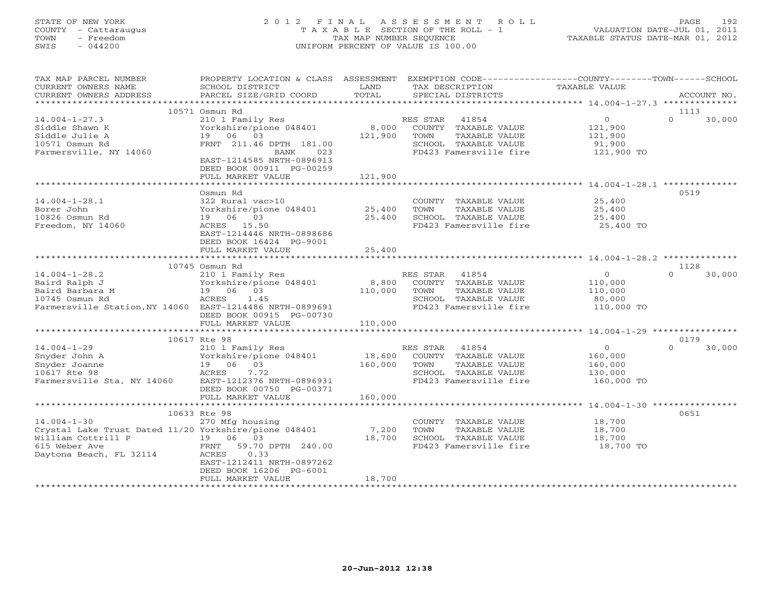# STATE OF NEW YORK 2 0 1 2 F I N A L A S S E S S M E N T R O L L PAGE 192 COUNTY - Cattaraugus T A X A B L E SECTION OF THE ROLL - 1 VALUATION DATE-JUL 01, 2011 TOWN - Freedom TAX MAP NUMBER SEQUENCE TAXABLE STATUS DATE-MAR 01, 2012 SWIS - 044200 UNIFORM PERCENT OF VALUE IS 100.00UNIFORM PERCENT OF VALUE IS 100.00

| TAX MAP PARCEL NUMBER                                    | PROPERTY LOCATION & CLASS ASSESSMENT         |               | EXEMPTION CODE-----------------COUNTY-------TOWN------SCHOOL |                       |                    |
|----------------------------------------------------------|----------------------------------------------|---------------|--------------------------------------------------------------|-----------------------|--------------------|
| CURRENT OWNERS NAME<br>CURRENT OWNERS ADDRESS            | SCHOOL DISTRICT<br>PARCEL SIZE/GRID COORD    | LAND<br>TOTAL | TAX DESCRIPTION<br>SPECIAL DISTRICTS                         | TAXABLE VALUE         | ACCOUNT NO.        |
| *******************                                      |                                              |               |                                                              |                       |                    |
|                                                          | 10571 Osmun Rd                               |               |                                                              |                       | 1113               |
| $14.004 - 1 - 27.3$                                      | 210 1 Family Res                             |               | RES STAR<br>41854                                            | $\overline{0}$        | $\Omega$<br>30,000 |
| Siddle Shawn K                                           | Yorkshire/pione 048401                       | 8,000         | COUNTY TAXABLE VALUE                                         | 121,900               |                    |
| Siddle Julie A                                           | 19 06 03                                     | 121,900       | TOWN<br>TAXABLE VALUE                                        | 121,900               |                    |
| 10571 Osmun Rd                                           | FRNT 211.46 DPTH 181.00                      |               | SCHOOL TAXABLE VALUE                                         | 91,900                |                    |
| Farmersville, NY 14060                                   | 023<br>BANK                                  |               | FD423 Famersville fire                                       | 121,900 TO            |                    |
|                                                          | EAST-1214585 NRTH-0896913                    |               |                                                              |                       |                    |
|                                                          | DEED BOOK 00911 PG-00259                     |               |                                                              |                       |                    |
|                                                          | FULL MARKET VALUE                            | 121,900       |                                                              |                       |                    |
|                                                          | Osmun Rd                                     |               |                                                              |                       | 0519               |
| $14.004 - 1 - 28.1$                                      | 322 Rural vac>10                             |               | COUNTY TAXABLE VALUE                                         | 25,400                |                    |
| Borer John                                               | Yorkshire/pione 048401 25,400                |               | TAXABLE VALUE<br>TOWN                                        | 25,400                |                    |
| 10826 Osmun Rd                                           | 19 06 03                                     | 25,400        | SCHOOL TAXABLE VALUE                                         | 25,400                |                    |
| Freedom, NY 14060                                        | ACRES 15.50                                  |               | FD423 Famersville fire                                       | 25,400 TO             |                    |
|                                                          | EAST-1214446 NRTH-0898686                    |               |                                                              |                       |                    |
|                                                          | DEED BOOK 16424 PG-9001                      |               |                                                              |                       |                    |
|                                                          | FULL MARKET VALUE                            | 25,400        |                                                              |                       |                    |
|                                                          |                                              |               |                                                              |                       |                    |
|                                                          | 10745 Osmun Rd                               |               |                                                              |                       | 1128               |
| $14.004 - 1 - 28.2$<br>Baird Ralph J                     | 210 1 Family Res<br>Yorkshire/pione 048401   | 8,800         | RES STAR<br>41854<br>COUNTY TAXABLE VALUE                    | $\overline{0}$        | $\Omega$<br>30,000 |
| Baird Barbara M                                          | 19 06 03                                     | 110,000       | TOWN<br>TAXABLE VALUE                                        | 110,000<br>110,000    |                    |
| 10745 Osmun Rd                                           | ACRES<br>1.45                                |               | SCHOOL TAXABLE VALUE                                         | 80,000                |                    |
| Farmersville Station, NY 14060 EAST-1214486 NRTH-0899691 |                                              |               | FD423 Famersville fire                                       | 110,000 TO            |                    |
|                                                          | DEED BOOK 00915 PG-00730                     |               |                                                              |                       |                    |
|                                                          | FULL MARKET VALUE                            | 110,000       |                                                              |                       |                    |
|                                                          |                                              |               |                                                              |                       |                    |
|                                                          | 10617 Rte 98                                 |               |                                                              |                       | 0179               |
| $14.004 - 1 - 29$                                        | 210 1 Family Res                             |               | RES STAR<br>41854                                            | $\circ$               | $\Omega$<br>30,000 |
| Snyder John A                                            | Yorkshire/pione 048401                       | 18,600        | COUNTY TAXABLE VALUE                                         | 160,000               |                    |
| Snyder Joanne                                            | 19 06 03                                     | 160,000       | TOWN<br>TAXABLE VALUE                                        | 160,000               |                    |
| 10617 Rte 98<br>Farmersville Sta, NY 14060               | 7.72<br>ACRES<br>EAST-1212376 NRTH-0896931   |               | SCHOOL TAXABLE VALUE<br>FD423 Famersville fire               | 130,000<br>160,000 TO |                    |
|                                                          | DEED BOOK 00750 PG-00371                     |               |                                                              |                       |                    |
|                                                          | FULL MARKET VALUE                            | 160,000       |                                                              |                       |                    |
|                                                          |                                              |               |                                                              |                       |                    |
|                                                          | 10633 Rte 98                                 |               |                                                              |                       | 0651               |
| $14.004 - 1 - 30$                                        | 270 Mfg housing                              |               | COUNTY TAXABLE VALUE                                         | 18,700                |                    |
| Crystal Lake Trust Dated 11/20 Yorkshire/pione 048401    |                                              | 7,200         | TOWN<br>TAXABLE VALUE                                        | 18,700                |                    |
| William Cottrill P                                       | 19 06 03                                     | 18,700        | SCHOOL TAXABLE VALUE                                         | 18,700                |                    |
| 615 Weber Ave                                            | FRNT<br>59.70 DPTH 240.00                    |               | FD423 Famersville fire                                       | 18,700 TO             |                    |
| Daytona Beach, FL 32114                                  | 0.33<br>ACRES                                |               |                                                              |                       |                    |
|                                                          | EAST-1212411 NRTH-0897262                    |               |                                                              |                       |                    |
|                                                          | DEED BOOK 16206 PG-6001<br>FULL MARKET VALUE | 18,700        |                                                              |                       |                    |
|                                                          |                                              |               |                                                              |                       |                    |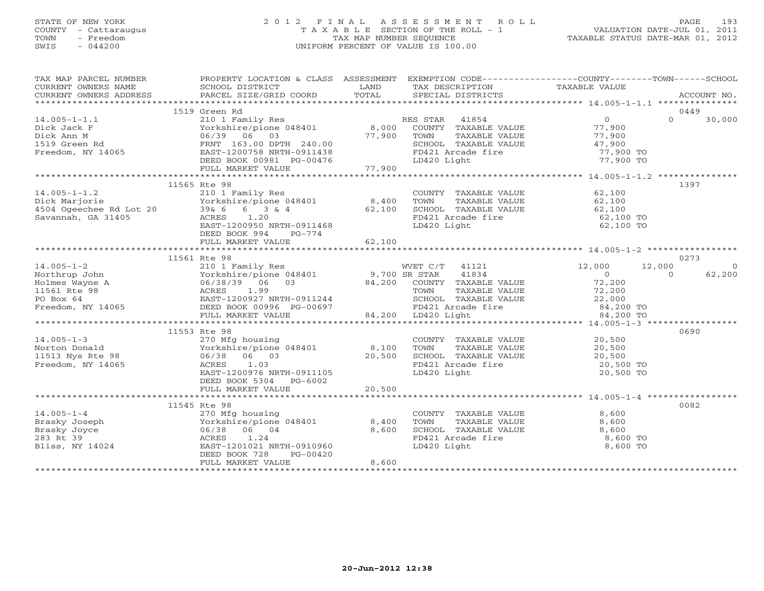# STATE OF NEW YORK 2 0 1 2 F I N A L A S S E S S M E N T R O L L PAGE 193 COUNTY - Cattaraugus T A X A B L E SECTION OF THE ROLL - 1 VALUATION DATE-JUL 01, 2011 TOWN - Freedom TAX MAP NUMBER SEQUENCE TAXABLE STATUS DATE-MAR 01, 2012 SWIS - 044200 UNIFORM PERCENT OF VALUE IS 100.00UNIFORM PERCENT OF VALUE IS 100.00

| TAX MAP PARCEL NUMBER                                                                 | PROPERTY LOCATION & CLASS ASSESSMENT EXEMPTION CODE----------------COUNTY-------TOWN------SCHOOL<br>CURRENT OWNERS NOME CONSUMERT ACCOUNT NO AND THE TAXING THE TAXING THE TAXING THE TAXING THE TAXING THE TAXING THE TAXING THE TAXING TAXABLE VALUE CURRENT OWNERS ADDRESS PARCEL SIZE/GRID COORD TOTAL SPECIAL DISTRICTS ACCOU |                                |                                                                                                                                                            |                                                                        |                    |
|---------------------------------------------------------------------------------------|------------------------------------------------------------------------------------------------------------------------------------------------------------------------------------------------------------------------------------------------------------------------------------------------------------------------------------|--------------------------------|------------------------------------------------------------------------------------------------------------------------------------------------------------|------------------------------------------------------------------------|--------------------|
|                                                                                       |                                                                                                                                                                                                                                                                                                                                    |                                |                                                                                                                                                            |                                                                        |                    |
|                                                                                       | 1519 Green Rd                                                                                                                                                                                                                                                                                                                      |                                |                                                                                                                                                            |                                                                        | 0449               |
| $14.005 - 1 - 1.1$<br>Dick Jack F<br>Dick Ann M<br>1519 Green Rd<br>Freedom, NY 14065 | EXAMPLE 210 1 Family Res<br>210 1 Family Res<br>Yorkshire/pione 048401 8,000 COUNTY TAXABLE VALUE 77,900<br>06/39 06 03<br>FRNT 163.00 DPTH 240.00                                                                                                                                                                                 | 77,900 TOWN<br>SCHOOL<br>ST.10 | TOWN TAXABLE VALUE<br>SCHOOL TAXABLE VALUE 47,900 TO<br>77,900 TO                                                                                          |                                                                        | $\Omega$<br>30,000 |
|                                                                                       | EAST-1200758 NRTH-0911438<br>DEED BOOK 00981 PG-00476<br>FULL MARKET VALUE 77,900                                                                                                                                                                                                                                                  |                                | LD420 Light                                                                                                                                                | 77,900 TO                                                              |                    |
|                                                                                       |                                                                                                                                                                                                                                                                                                                                    |                                |                                                                                                                                                            |                                                                        |                    |
| $14.005 - 1 - 1.2$                                                                    | 11565 Rte 98<br>210 1 Family Res<br>Pick Marjorie<br>2018 Marjorie – Marjorie Porkshire/pione 048401 8,400<br>4504 Ogeechee Rd Lot 20 39& 6 6 3 & 4 62,100<br>Savannah, GA 31405 – ACRES 1.20<br>EAST-1200950 NRTH-0911468<br>DEED BOOK 994<br>PG-774<br>FULL MARKET VALUE                                                         | 62,100                         | COUNTY TAXABLE VALUE 62,100<br>TOWN<br>SCHOOL TAXABLE VALUE<br>FD421 Arcade fire<br>LD420 Light                                                            | TAXABLE VALUE 62,100<br>TAXABLE VALUE 62,100<br>62,100 TO<br>62,100 TO | 1397               |
|                                                                                       |                                                                                                                                                                                                                                                                                                                                    |                                |                                                                                                                                                            |                                                                        |                    |
|                                                                                       | 11561 Rte 98                                                                                                                                                                                                                                                                                                                       |                                |                                                                                                                                                            |                                                                        | 0273               |
|                                                                                       |                                                                                                                                                                                                                                                                                                                                    |                                | WVET C/T 41121 12,000                                                                                                                                      |                                                                        | 12,000<br>$\Omega$ |
|                                                                                       |                                                                                                                                                                                                                                                                                                                                    |                                | TOWN TAXABLE VALUE $72,200$<br>SCHOOL TAXABLE VALUE 22,000<br>FD421 Arcade fire 84,200 TO<br>LD420 Light 84,200 TO                                         | $\overline{0}$<br>72,200                                               | 62,200<br>$\Omega$ |
|                                                                                       |                                                                                                                                                                                                                                                                                                                                    |                                |                                                                                                                                                            |                                                                        |                    |
|                                                                                       |                                                                                                                                                                                                                                                                                                                                    |                                |                                                                                                                                                            |                                                                        |                    |
| Freedom, NY 14065                                                                     | 11553 Rte 98<br>Norton Donald<br>11513 Nys Rte 98 (106/38 06 07)<br>Freedom, NY 14065<br>Freedom, NY 14065<br>ACRES 1.03<br>EAST-1200976 NRTH-0911105<br>DEED BOOK 5304 PG-6002                                                                                                                                                    |                                | COUNTY TAXABLE VALUE<br>TOWN TAXABLE VALUE 20,500<br>TOWN TAXABLE VALUE<br>SCHOOL TAXABLE VALUE 20,500 TO<br>20,500 TO<br>FD421 Arcade fire<br>LD420 Light | 20,500 TO                                                              | 0690               |
|                                                                                       |                                                                                                                                                                                                                                                                                                                                    |                                |                                                                                                                                                            |                                                                        |                    |
|                                                                                       |                                                                                                                                                                                                                                                                                                                                    |                                |                                                                                                                                                            |                                                                        |                    |
| $14.005 - 1 - 4$<br>Brasky Joseph<br>Brasky Joyce<br>283 Rt 39<br>Bliss, NY 14024     | 11545 Rte 98<br>270 Mfg housing<br>Yorkshire/pione 048401 8,400<br>06/38 06 04<br>1.24<br>ACRES<br>EAST-1201021 NRTH-0910960<br>DEED BOOK 728<br>PG-00420<br>FULL MARKET VALUE                                                                                                                                                     | 8,600<br>8,600                 | COUNTY TAXABLE VALUE<br>TOWN      TAXABLE VALUE<br>SCHOOL TAXABLE VALUE<br>FD421 Arcade fire<br>LD420 Light                                                | 8,600<br>8,600<br>8,600<br>8,600 TO<br>8,600 TO                        | 0082               |
|                                                                                       |                                                                                                                                                                                                                                                                                                                                    |                                |                                                                                                                                                            |                                                                        |                    |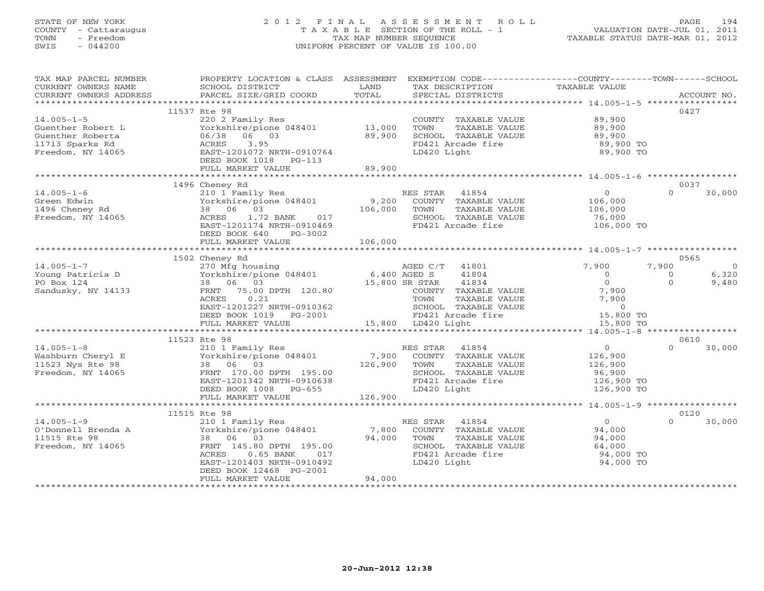# STATE OF NEW YORK 2 0 1 2 F I N A L A S S E S S M E N T R O L L PAGE 194 COUNTY - Cattaraugus T A X A B L E SECTION OF THE ROLL - 1 VALUATION DATE-JUL 01, 2011 TOWN - Freedom TAX MAP NUMBER SEQUENCE TAXABLE STATUS DATE-MAR 01, 2012 SWIS - 044200 UNIFORM PERCENT OF VALUE IS 100.00UNIFORM PERCENT OF VALUE IS 100.00

| TAX MAP PARCEL NUMBER                                                                                                          | PROPERTY LOCATION & CLASS ASSESSMENT EXEMPTION CODE---------------COUNTY-------TOWN------SCHOOL                                                                                                         |         |                                                                                                                                                                                                                                                        |                                                      |                            |
|--------------------------------------------------------------------------------------------------------------------------------|---------------------------------------------------------------------------------------------------------------------------------------------------------------------------------------------------------|---------|--------------------------------------------------------------------------------------------------------------------------------------------------------------------------------------------------------------------------------------------------------|------------------------------------------------------|----------------------------|
| CURRENT OWNERS NAME                                                                                                            | SCHOOL DISTRICT                                                                                                                                                                                         | LAND    | TAX DESCRIPTION                                                                                                                                                                                                                                        | TAXABLE VALUE                                        |                            |
| . OURRENT OWNERS ADDRESS PARCEL SIZE/GRID COORD TOTAL SPECIAL DISTRICTS ACCOUNT NO ACCOUNT NO ACCOUNT NO ARRENT OWNERS ADDRESS |                                                                                                                                                                                                         |         |                                                                                                                                                                                                                                                        |                                                      |                            |
|                                                                                                                                |                                                                                                                                                                                                         |         |                                                                                                                                                                                                                                                        |                                                      |                            |
|                                                                                                                                | 11537 Rte 98                                                                                                                                                                                            |         |                                                                                                                                                                                                                                                        |                                                      | 0427                       |
| $14.005 - 1 - 5$                                                                                                               | 220 2 Family Res<br>Yorkshire/pione 048401 13,000<br>06/38 06 03 89,900<br>ACRES 3.95<br>EAST-1201072 NRTH-0910764<br>NERD ROOK 1018 DC 113                                                             |         | COUNTY TAXABLE VALUE                                                                                                                                                                                                                                   | 89,900                                               |                            |
| Guenther Robert L                                                                                                              |                                                                                                                                                                                                         |         | TOWN<br>TAXABLE VALUE                                                                                                                                                                                                                                  | 89,900                                               |                            |
| Guenther Roberta                                                                                                               |                                                                                                                                                                                                         |         | SCHOOL TAXABLE VALUE                                                                                                                                                                                                                                   | 89,900<br>89,900 TO                                  |                            |
| 11713 Sparks Rd                                                                                                                |                                                                                                                                                                                                         |         | FD421 Arcade fire                                                                                                                                                                                                                                      |                                                      |                            |
| Freedom, NY 14065                                                                                                              |                                                                                                                                                                                                         |         | LD420 Light                                                                                                                                                                                                                                            | 89,900 TO                                            |                            |
|                                                                                                                                | DEED BOOK 1018    PG-113                                                                                                                                                                                | 89,900  |                                                                                                                                                                                                                                                        |                                                      |                            |
|                                                                                                                                | FULL MARKET VALUE                                                                                                                                                                                       |         |                                                                                                                                                                                                                                                        |                                                      |                            |
|                                                                                                                                | 1496 Cheney Rd                                                                                                                                                                                          |         |                                                                                                                                                                                                                                                        |                                                      | 0037                       |
| $14.005 - 1 - 6$                                                                                                               |                                                                                                                                                                                                         |         |                                                                                                                                                                                                                                                        | $\begin{array}{c} 0 \ 106,000 \ 106,000 \end{array}$ | $\Omega$<br>30,000         |
| Green Edwin                                                                                                                    | 210 1 Family Res<br>Yorkshire/pione 048401 9,200 COUNTY TAXABLE VALUE<br>38 06 03 106,000 TOWN TAXABLE VALUE<br>ACRES 1.72 BANK 017 SCHOOL TAXABLE VALUE<br>EAST-1201174 NRTH-0910469 FD421 Arcade fire |         |                                                                                                                                                                                                                                                        |                                                      |                            |
| 1496 Cheney Rd                                                                                                                 | 38 06 03                                                                                                                                                                                                |         | TAXABLE VALUE                                                                                                                                                                                                                                          |                                                      |                            |
| Freedom, NY 14065                                                                                                              |                                                                                                                                                                                                         |         |                                                                                                                                                                                                                                                        |                                                      |                            |
|                                                                                                                                |                                                                                                                                                                                                         |         | SCHOOL TAXABLE VALUE 76,000<br>FD421 Arcade fire 106,000 TO                                                                                                                                                                                            |                                                      |                            |
|                                                                                                                                | DEED BOOK 640 PG-3002                                                                                                                                                                                   |         |                                                                                                                                                                                                                                                        |                                                      |                            |
|                                                                                                                                | FULL MARKET VALUE                                                                                                                                                                                       | 106,000 |                                                                                                                                                                                                                                                        |                                                      |                            |
|                                                                                                                                |                                                                                                                                                                                                         |         |                                                                                                                                                                                                                                                        |                                                      |                            |
|                                                                                                                                | 1502 Cheney Rd                                                                                                                                                                                          |         |                                                                                                                                                                                                                                                        |                                                      | 0565                       |
| $14.005 - 1 - 7$                                                                                                               |                                                                                                                                                                                                         |         | AGED C/T 41801                                                                                                                                                                                                                                         | 7,900                                                | 7,900<br>$\overline{0}$    |
| Young Patricia D                                                                                                               |                                                                                                                                                                                                         |         |                                                                                                                                                                                                                                                        |                                                      | 6,320<br>$\overline{0}$    |
| PO Box 124                                                                                                                     | 270 Mfg housing<br>Yorkshire/pione 048401 6,400 AGED C/T<br>38 06 03 15,800 SR STAR<br>FRNT 75.00 DPTH 120.80 COUNTY TOWN                                                                               |         |                                                                                                                                                                                                                                                        |                                                      | $\Omega$<br>9,480          |
| Sandusky, NY 14133                                                                                                             |                                                                                                                                                                                                         |         |                                                                                                                                                                                                                                                        |                                                      |                            |
|                                                                                                                                | 0.21<br>ACRES                                                                                                                                                                                           |         |                                                                                                                                                                                                                                                        |                                                      |                            |
|                                                                                                                                |                                                                                                                                                                                                         |         |                                                                                                                                                                                                                                                        |                                                      |                            |
|                                                                                                                                |                                                                                                                                                                                                         |         |                                                                                                                                                                                                                                                        |                                                      |                            |
|                                                                                                                                |                                                                                                                                                                                                         |         | AGED S<br>AGED S<br>$41804$<br>COUNTY TAXABLE VALUE<br>TOWN TAXABLE VALUE<br>TOWN TAXABLE VALUE<br>TOWN TAXABLE VALUE<br>TOWN TAXABLE VALUE<br>TOP SCHOOL TAXABLE VALUE<br>TOP SCHOOL TAXABLE VALUE<br>TOP SCHOOL TAXABLE VALUE<br>TOP 15,800 TO<br>LD |                                                      |                            |
|                                                                                                                                |                                                                                                                                                                                                         |         |                                                                                                                                                                                                                                                        |                                                      |                            |
| $14.005 - 1 - 8$                                                                                                               | 11523 Rte 98<br>210 1 Family Res<br>Yorkshire/pione 048401 7,900 COUNTY TAXABLE VALUE<br>38 06 03 126,900 TOWN TAXABLE VALUE<br>PRNT 170 00 RPMT 105 00                                                 |         |                                                                                                                                                                                                                                                        |                                                      | 0610<br>$\Omega$<br>30,000 |
|                                                                                                                                |                                                                                                                                                                                                         |         |                                                                                                                                                                                                                                                        | $\begin{array}{c} 0 \\ 126,900 \end{array}$          |                            |
|                                                                                                                                |                                                                                                                                                                                                         |         | TAXABLE VALUE                                                                                                                                                                                                                                          | 126,900                                              |                            |
| Freedom, NY 14065                                                                                                              |                                                                                                                                                                                                         |         |                                                                                                                                                                                                                                                        |                                                      |                            |
|                                                                                                                                |                                                                                                                                                                                                         |         |                                                                                                                                                                                                                                                        |                                                      |                            |
|                                                                                                                                | FRNT 170.00 DPTH 195.00<br>EAST-1201342 NRTH-0910638<br>DEED BOOK 1008 PG-655<br>DEED BOOK 1008 PG-655                                                                                                  |         | TOWN 18881201<br>SCHOOL TAXABLE VALUE 96,900 TO<br>FD421 Arcade fire 126,900 TO<br>126,900 TO                                                                                                                                                          |                                                      |                            |
|                                                                                                                                | FULL MARKET VALUE                                                                                                                                                                                       | 126,900 |                                                                                                                                                                                                                                                        |                                                      |                            |
|                                                                                                                                |                                                                                                                                                                                                         |         |                                                                                                                                                                                                                                                        |                                                      |                            |
|                                                                                                                                | 11515 Rte 98                                                                                                                                                                                            |         |                                                                                                                                                                                                                                                        |                                                      | 0120                       |
| $14.005 - 1 - 9$                                                                                                               | 210 1 Family Res                                                                                                                                                                                        |         | RES STAR 41854                                                                                                                                                                                                                                         | $0$<br>94,000<br>94,000                              | $\Omega$<br>30,000         |
| O'Donnell Brenda A<br>11515 BL: 00                                                                                             | Yorkshire/pione 048401                                                                                                                                                                                  |         | 7,800 COUNTY TAXABLE VALUE<br>94,000 TOWN TAXABLE VALUE                                                                                                                                                                                                |                                                      |                            |
| 11515 Rte 98                                                                                                                   | 38 06 03                                                                                                                                                                                                |         |                                                                                                                                                                                                                                                        |                                                      |                            |
| Freedom, NY 14065                                                                                                              | FRNT 145.80 DPTH 195.00                                                                                                                                                                                 |         | SCHOOL TAXABLE VALUE                                                                                                                                                                                                                                   | UE 64,000<br>94,000 TO                               |                            |
|                                                                                                                                | $0.65$ BANK<br>017<br>ACRES                                                                                                                                                                             |         | FD421 Arcade fire                                                                                                                                                                                                                                      |                                                      |                            |
|                                                                                                                                | EAST-1201403 NRTH-0910492                                                                                                                                                                               |         | LD420 Light                                                                                                                                                                                                                                            | 94,000 TO                                            |                            |
|                                                                                                                                | DEED BOOK 12468 PG-2001                                                                                                                                                                                 |         |                                                                                                                                                                                                                                                        |                                                      |                            |
|                                                                                                                                | FULL MARKET VALUE                                                                                                                                                                                       | 94,000  |                                                                                                                                                                                                                                                        |                                                      |                            |
|                                                                                                                                |                                                                                                                                                                                                         |         |                                                                                                                                                                                                                                                        |                                                      |                            |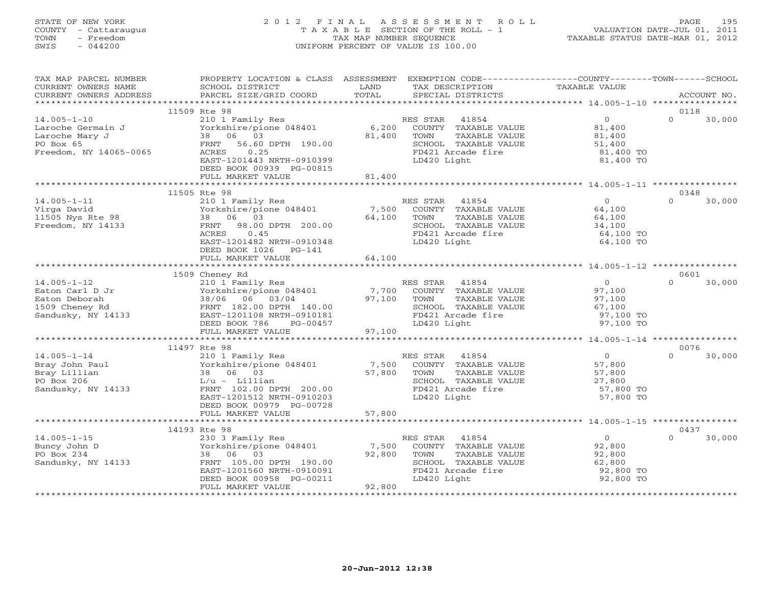# STATE OF NEW YORK 2 0 1 2 F I N A L A S S E S S M E N T R O L L PAGE 195 COUNTY - Cattaraugus T A X A B L E SECTION OF THE ROLL - 1 VALUATION DATE-JUL 01, 2011 TOWN - Freedom TAX MAP NUMBER SEQUENCE TAXABLE STATUS DATE-MAR 01, 2012 SWIS - 044200 UNIFORM PERCENT OF VALUE IS 100.00UNIFORM PERCENT OF VALUE IS 100.00

| TAX MAP PARCEL NUMBER<br>CURRENT OWNERS NAME<br>CURRENT OWNERS ADDRESS                          | PROPERTY LOCATION & CLASS ASSESSMENT<br>SCHOOL DISTRICT<br>PARCEL SIZE/GRID COORD                                                                                                                     | LAND<br>TOTAL             | EXEMPTION CODE-----------------COUNTY-------TOWN------SCHOOL<br>TAX DESCRIPTION<br>SPECIAL DISTRICTS                           | <b>TAXABLE VALUE</b>                                                   | ACCOUNT NO.                |
|-------------------------------------------------------------------------------------------------|-------------------------------------------------------------------------------------------------------------------------------------------------------------------------------------------------------|---------------------------|--------------------------------------------------------------------------------------------------------------------------------|------------------------------------------------------------------------|----------------------------|
|                                                                                                 |                                                                                                                                                                                                       |                           |                                                                                                                                |                                                                        |                            |
| $14.005 - 1 - 10$<br>Laroche Germain J<br>Laroche Mary J<br>PO Box 65<br>Freedom, NY 14065-0065 | 11509 Rte 98<br>210 1 Family Res<br>Yorkshire/pione 048401<br>38 06 03<br>FRNT<br>56.60 DPTH 190.00<br>0.25<br>ACRES<br>EAST-1201443 NRTH-0910399<br>DEED BOOK 00939 PG-00815                         | 6,200<br>81,400<br>81,400 | RES STAR<br>41854<br>COUNTY TAXABLE VALUE<br>TOWN<br>TAXABLE VALUE<br>SCHOOL TAXABLE VALUE<br>FD421 Arcade fire<br>LD420 Light | $\overline{0}$<br>81,400<br>81,400<br>51,400<br>81,400 TO<br>81,400 TO | 0118<br>$\Omega$<br>30,000 |
|                                                                                                 | FULL MARKET VALUE                                                                                                                                                                                     |                           |                                                                                                                                |                                                                        |                            |
| $14.005 - 1 - 11$<br>Virga David<br>11505 Nys Rte 98<br>Freedom, NY 14133                       | 11505 Rte 98<br>210 1 Family Res<br>Yorkshire/pione 048401<br>06 03<br>38<br>98.00 DPTH 200.00<br>FRNT<br>0.45<br>ACRES<br>EAST-1201482 NRTH-0910348<br>DEED BOOK 1026<br>$PG-141$                    | 7,500<br>64,100           | RES STAR 41854<br>COUNTY TAXABLE VALUE<br>TOWN<br>TAXABLE VALUE<br>SCHOOL TAXABLE VALUE<br>FD421 Arcade fire<br>LD420 Light    | $\Omega$<br>64,100<br>64,100<br>34,100<br>64,100 TO<br>64,100 TO       | 0348<br>$\Omega$<br>30,000 |
|                                                                                                 | FULL MARKET VALUE                                                                                                                                                                                     | 64,100                    |                                                                                                                                |                                                                        |                            |
|                                                                                                 |                                                                                                                                                                                                       |                           |                                                                                                                                |                                                                        |                            |
| $14.005 - 1 - 12$<br>Eaton Carl D Jr<br>Eaton Deborah<br>1509 Cheney Rd<br>Sandusky, NY 14133   | 1509 Cheney Rd<br>210 1 Family Res<br>Yorkshire/pione 048401<br>38/06 06 03/04<br>FRNT 182.00 DPTH 140.00<br>EAST-1201108 NRTH-0910181<br>DEED BOOK 786<br>PG-00457                                   | 7,700<br>97,100           | RES STAR<br>41854<br>COUNTY TAXABLE VALUE<br>TOWN<br>TAXABLE VALUE<br>SCHOOL TAXABLE VALUE<br>FD421 Arcade fire<br>LD420 Light | $\overline{O}$<br>97,100<br>97,100<br>67,100<br>97,100 TO<br>97,100 TO | 0601<br>$\Omega$<br>30,000 |
|                                                                                                 | FULL MARKET VALUE                                                                                                                                                                                     | 97,100                    |                                                                                                                                |                                                                        |                            |
| $14.005 - 1 - 14$<br>Bray John Paul<br>Bray Lillian<br>PO Box 206<br>Sandusky, NY 14133         | 11497 Rte 98<br>210 1 Family Res<br>Yorkshire/pione 048401<br>06 03<br>38<br>$L/u - Lillian$<br>FRNT 102.00 DPTH 200.00<br>EAST-1201512 NRTH-0910203<br>DEED BOOK 00979 PG-00728<br>FULL MARKET VALUE | 7,500<br>57,800<br>57,800 | RES STAR<br>41854<br>COUNTY TAXABLE VALUE<br>TOWN<br>TAXABLE VALUE<br>SCHOOL TAXABLE VALUE<br>FD421 Arcade fire<br>LD420 Light | $\overline{0}$<br>57,800<br>57,800<br>27,800<br>57,800 TO<br>57,800 TO | 0076<br>30,000<br>$\Omega$ |
|                                                                                                 |                                                                                                                                                                                                       |                           |                                                                                                                                |                                                                        |                            |
|                                                                                                 | 14193 Rte 98                                                                                                                                                                                          |                           |                                                                                                                                |                                                                        | 0437                       |
| $14.005 - 1 - 15$<br>Buncy John D<br>PO Box 234<br>Sandusky, NY 14133                           | 230 3 Family Res<br>Yorkshire/pione 048401<br>38<br>06<br>03<br>FRNT 105.00 DPTH 190.00<br>EAST-1201560 NRTH-0910091<br>DEED BOOK 00958 PG-00211<br>FULL MARKET VALUE                                 | 7,500<br>92,800<br>92,800 | RES STAR 41854<br>COUNTY TAXABLE VALUE<br>TOWN<br>TAXABLE VALUE<br>SCHOOL TAXABLE VALUE<br>FD421 Arcade fire<br>LD420 Light    | $\circ$<br>92,800<br>92,800<br>62,800<br>92,800 TO<br>92,800 TO        | $\Omega$<br>30,000         |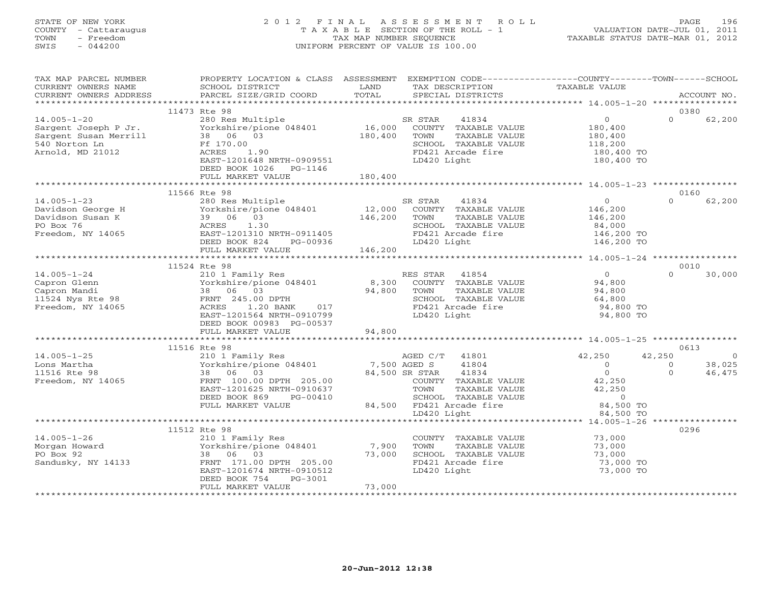# STATE OF NEW YORK 2 0 1 2 F I N A L A S S E S S M E N T R O L L PAGE 196 COUNTY - Cattaraugus T A X A B L E SECTION OF THE ROLL - 1 VALUATION DATE-JUL 01, 2011 TOWN - Freedom TAX MAP NUMBER SEQUENCE TAXABLE STATUS DATE-MAR 01, 2012 SWIS - 044200 UNIFORM PERCENT OF VALUE IS 100.00UNIFORM PERCENT OF VALUE IS 100.00

| TAX MAP PARCEL NUMBER<br>CURRENT OWNERS NAME<br>CURRENT OWNERS ADDRESS                                                                                                                                                                                                        | PROPERTY LOCATION & CLASS ASSESSMENT EXEMPTION CODE---------------COUNTY-------TOWN------SCHOOL<br>SCHOOL DISTRICT<br>PARCEL SIZE/GRID COORD                                                                                                                                                | LAND<br>TOTAL             | TAX DESCRIPTION<br>SPECIAL DISTRICTS                                                                                                                                                          | TAXABLE VALUE                                                                                 |                                | ACCOUNT NO.                        |
|-------------------------------------------------------------------------------------------------------------------------------------------------------------------------------------------------------------------------------------------------------------------------------|---------------------------------------------------------------------------------------------------------------------------------------------------------------------------------------------------------------------------------------------------------------------------------------------|---------------------------|-----------------------------------------------------------------------------------------------------------------------------------------------------------------------------------------------|-----------------------------------------------------------------------------------------------|--------------------------------|------------------------------------|
|                                                                                                                                                                                                                                                                               |                                                                                                                                                                                                                                                                                             |                           |                                                                                                                                                                                               |                                                                                               |                                |                                    |
| 14.005-1-20 280 Res Multi<br>Sargent Joseph P Jr. (280 Res Multi<br>Sargent Susan Merrill 38 06 03<br>540 Norton Ln<br>Arnold, MD 21012                                                                                                                                       | 11473 Rte 98<br>280 Res Multiple SR STAR 41834<br>Yorkshire/pione 048401 16,000 COUNTY TAXABLE VALUE<br>180,400<br>Ff 170.00<br>ACRES 1.90<br>EAST-1201648 NRTH-0909551<br>DEED BOOK 1026 PG-1146                                                                                           |                           | TOWN<br>TAXABLE VALUE<br>SCHOOL TAXABLE VALUE<br>FD421 Arcade fire<br>LD420 Light                                                                                                             | $\overline{0}$<br>180,400<br>180,400<br>118,200<br>180,400 TO<br>180,400 TO                   | 0380<br>$\Omega$               | 62,200                             |
|                                                                                                                                                                                                                                                                               | FULL MARKET VALUE                                                                                                                                                                                                                                                                           | 180,400                   |                                                                                                                                                                                               |                                                                                               |                                |                                    |
|                                                                                                                                                                                                                                                                               | 11566 Rte 98                                                                                                                                                                                                                                                                                |                           |                                                                                                                                                                                               |                                                                                               | 0160                           |                                    |
| $14.005 - 1 - 23$<br>Davidson George H<br>Davidson Susan K<br>Po Box 76<br>Preedom, NY 14065<br>Preedom, NY 14065<br>PEED BOOK 824<br>PG-00936                                                                                                                                | Rte 98<br>280 Res Multiple (12,000 SR STAR 41854)<br>Yorkshire/pione 048401 12,000 COUNTY TAXABLE VALUE<br>39 06 03 146,200 TOWN TAXABLE VALUE<br>SCHOOL TAXABLE VALUE<br>DEED BOOK 824 PG-00936                                                                                            |                           | FD421 Arcade fire<br>LD420 Light                                                                                                                                                              | $\overline{0}$<br>146,200<br>146,200<br>84,000<br>146,200 TO<br>146,200 TO                    | $\Omega$                       | 62,200                             |
|                                                                                                                                                                                                                                                                               |                                                                                                                                                                                                                                                                                             |                           |                                                                                                                                                                                               |                                                                                               |                                |                                    |
|                                                                                                                                                                                                                                                                               | 11524 Rte 98                                                                                                                                                                                                                                                                                |                           |                                                                                                                                                                                               |                                                                                               | 0010                           |                                    |
| $14.005 - 1 - 24$<br>Capron Glenn<br>Capron Mandi (1998)<br>Capron Mandi (1998)<br>Capron Mandi (1998)<br>Capron Mandi (1998)<br>Capron (1998)<br>Capron (1998)<br>Capron (1998)<br>Capron (1998)<br>Capron (1998)<br>Capron (1998)<br>Capron (1998)<br>Capron (1998)<br>Capr | 210 1 Family Res<br>EXERES STAR 41854<br>Yorkshire/pione 048401 8,300 COUNTY TAXABLE VALUE<br>38 06 03 94,800 TOWN TAXABLE VALUE<br>FRNT 245.00 DPTH SCHOOL TAXABLE VALUE<br>ACRES 1.20 BANK 017 FD421 Arcade fire<br>EAST-1201564 NRTH-0910799 LD420 Light<br><br>DEED BOOK 00983 PG-00537 |                           | RES STAR 41854<br>SCHOOL TAXABLE VALUE<br>FD421 Arcade fire                                                                                                                                   | $\overline{0}$<br>94,800<br>94,800<br>64,800<br>94,800 TO<br>94,800 TO                        | $\cap$                         | 30,000                             |
|                                                                                                                                                                                                                                                                               | FULL MARKET VALUE<br>***************************                                                                                                                                                                                                                                            | 94,800                    |                                                                                                                                                                                               |                                                                                               |                                |                                    |
|                                                                                                                                                                                                                                                                               | 11516 Rte 98                                                                                                                                                                                                                                                                                |                           |                                                                                                                                                                                               |                                                                                               | 0613                           |                                    |
| $14.005 - 1 - 25$<br>Lons Martha<br>11516 Rte 98<br>Freedom, NY 14065                                                                                                                                                                                                         | AGED C/T<br>210 1 Family Res<br>Yorkshire/pione 048401<br>24 Fee CP SPREE CALLO CP CTAR<br>38 06 03<br>FRNT 100.00 DPTH 205.00<br>EAST-1201625 NRTH-0910637<br>DEED BOOK 869<br>PG-00410<br>FULL MARKET VALUE                                                                               |                           | AGED C/T 41801<br>41804<br>84,500 SR STAR<br>41834<br>COUNTY TAXABLE VALUE<br>TOWN<br>TAXABLE VALUE<br>TAXABLE VALUE<br>SCHOOL TAXABLE VA<br>84,500 FD421 Arcade fire<br>SCHOOL TAXABLE VALUE | 42,250<br>$\overline{0}$<br>$\overline{0}$<br>42,250<br>42,250<br>$\overline{0}$<br>84,500 TO | 42,250<br>$\Omega$<br>$\Omega$ | $\overline{0}$<br>38,025<br>46,475 |
|                                                                                                                                                                                                                                                                               |                                                                                                                                                                                                                                                                                             |                           | LD420 Light                                                                                                                                                                                   | 84,500 TO                                                                                     |                                |                                    |
|                                                                                                                                                                                                                                                                               | 11512 Rte 98                                                                                                                                                                                                                                                                                |                           |                                                                                                                                                                                               |                                                                                               | 0296                           |                                    |
| $14.005 - 1 - 26$<br>Morgan Howard<br>PO Box 92<br>Sandusky, NY 14133                                                                                                                                                                                                         | 210 1 Family Res<br>Yorkshire/pione 048401<br>38 06 03<br>FRNT 171.00 DPTH 205.00<br>EAST-1201674 NRTH-0910512<br>DEED BOOK 754<br>PG-3001<br>FULL MARKET VALUE                                                                                                                             | 7,900<br>73,000<br>73,000 | COUNTY TAXABLE VALUE 73,000<br>TOWN<br>TAXABLE VALUE<br>SCHOOL TAXABLE VALUE<br>FD421 Arcade fire<br>LD420 Light                                                                              | 73,000<br>73,000<br>73,000 TO<br>73,000 TO                                                    |                                |                                    |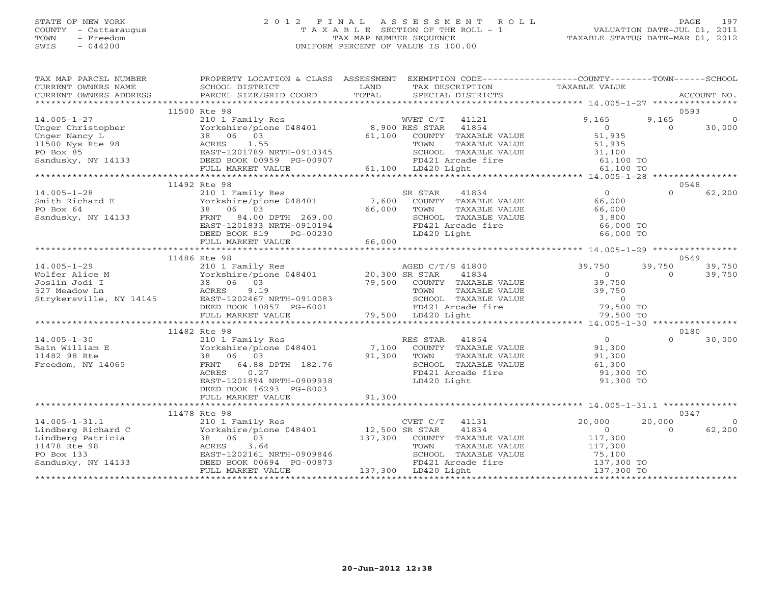# STATE OF NEW YORK 2 0 1 2 F I N A L A S S E S S M E N T R O L L PAGE 197 COUNTY - Cattaraugus T A X A B L E SECTION OF THE ROLL - 1 VALUATION DATE-JUL 01, 2011 TOWN - Freedom TAX MAP NUMBER SEQUENCE TAXABLE STATUS DATE-MAR 01, 2012 SWIS - 044200 UNIFORM PERCENT OF VALUE IS 100.00UNIFORM PERCENT OF VALUE IS 100.00

| TAX MAP PARCEL NUMBER<br>CURRENT OWNERS NAME                                                                                                                 | SCHOOL DISTRICT                                     | PROPERTY LOCATION & CLASS ASSESSMENT EXEMPTION CODE---------------COUNTY-------TOWN------SCHOOL<br>LAND<br>TAX DESCRIPTION<br>TOTAL                                                                                               | TAXABLE VALUE                                                          |
|--------------------------------------------------------------------------------------------------------------------------------------------------------------|-----------------------------------------------------|-----------------------------------------------------------------------------------------------------------------------------------------------------------------------------------------------------------------------------------|------------------------------------------------------------------------|
| CURRENT OWNERS ADDRESS                                                                                                                                       | PARCEL SIZE/GRID COORD                              | SPECIAL DISTRICTS                                                                                                                                                                                                                 | ACCOUNT NO.                                                            |
|                                                                                                                                                              | 11500 Rte 98                                        |                                                                                                                                                                                                                                   | 0593                                                                   |
| $14.005 - 1 - 27$                                                                                                                                            | 210 1 Family Res                                    | WVET C/T 41121                                                                                                                                                                                                                    | 9,165<br>9,165<br>$\Omega$                                             |
| Unger Christopher                                                                                                                                            | Yorkshire/pione 048401 8,900 RES STAR               | 41854                                                                                                                                                                                                                             | $\overline{0}$<br>$\Omega$<br>30,000                                   |
| Unger Nancy L                                                                                                                                                | 38 06 03                                            | 61,100 COUNTY TAXABLE VALUE                                                                                                                                                                                                       | 51,935                                                                 |
|                                                                                                                                                              |                                                     | TAXABLE VALUE                                                                                                                                                                                                                     | 51,935                                                                 |
|                                                                                                                                                              |                                                     | SCHOOL TAXABLE VALUE                                                                                                                                                                                                              | 31,100                                                                 |
|                                                                                                                                                              |                                                     | COMOUNT AND THE CONTROL CONTROL CONTROL CONTROL CONTROL CONTROL CONTROL CONTROL CONTROL CONTROL CONTROL CONTRO<br>CONTROL CONTROL CONTROL CONTROL CONTROL CONTROL CONTROL CONTROL CONTROL CONTROL CONTROL CONTROL CONTROL CONTROL |                                                                        |
|                                                                                                                                                              |                                                     |                                                                                                                                                                                                                                   |                                                                        |
|                                                                                                                                                              |                                                     |                                                                                                                                                                                                                                   |                                                                        |
|                                                                                                                                                              | 11492 Rte 98                                        |                                                                                                                                                                                                                                   | 0548                                                                   |
| $14.005 - 1 - 28$                                                                                                                                            | 210 1 Family Res                                    | SR STAR<br>41834<br>210 1 Family Res<br>Yorkshire/pione 048401 7,600 COUNTY TAXABLE VALUE                                                                                                                                         | $\overline{0}$<br>$\Omega$<br>62,200                                   |
| Smith Richard E                                                                                                                                              |                                                     |                                                                                                                                                                                                                                   | 66,000                                                                 |
| PO Box 64                                                                                                                                                    | 38 06 03                                            | 66,000<br>TOWN<br>TAXABLE VALUE                                                                                                                                                                                                   | 66,000<br>3,800                                                        |
| Sandusky, NY 14133                                                                                                                                           | FRNT 84.00 DPTH 269.00<br>EAST-1201833 NRTH-0910194 |                                                                                                                                                                                                                                   |                                                                        |
|                                                                                                                                                              | DEED BOOK 819 PG-00230                              | - THE SCHOOL TAXABLE VALUE<br>FD421 Arcade fire 66,000 TO<br>66,000 TO<br>LD420 Light                                                                                                                                             | 66,000 TO                                                              |
|                                                                                                                                                              | FULL MARKET VALUE                                   | 66,000                                                                                                                                                                                                                            |                                                                        |
|                                                                                                                                                              |                                                     |                                                                                                                                                                                                                                   |                                                                        |
|                                                                                                                                                              | 11486 Rte 98                                        |                                                                                                                                                                                                                                   | 0549                                                                   |
| $14.005 - 1 - 29$                                                                                                                                            | 210 1 Family Res                                    | AGED C/T/S 41800                                                                                                                                                                                                                  | 39,750<br>39,750<br>39,750                                             |
|                                                                                                                                                              | $Yorkshire/pione 048401$ 20,300 SR STAR             | 41834                                                                                                                                                                                                                             | 39,750<br>$\Omega$<br>$\overline{0}$                                   |
| Wolfer Alice M<br>Joslin Jodi I (1997)<br>Sample Joslin Jodi I (1998)<br>Sample Joslin Jodi I (1998)<br>Strykersville, NY 14145<br>EAST-1202467 NRTH-0910083 |                                                     | 79,500 COUNTY TAXABLE VALUE                                                                                                                                                                                                       | 39,750                                                                 |
|                                                                                                                                                              |                                                     | TOWN<br>TAXABLE VALUE                                                                                                                                                                                                             | 39,750                                                                 |
|                                                                                                                                                              |                                                     |                                                                                                                                                                                                                                   |                                                                        |
|                                                                                                                                                              |                                                     |                                                                                                                                                                                                                                   |                                                                        |
|                                                                                                                                                              |                                                     | SCHOOL TAXABLE VALUE 0<br>FD421 Arcade fire 79,500 TO<br>LD420 Light 79,500 TO                                                                                                                                                    |                                                                        |
|                                                                                                                                                              |                                                     |                                                                                                                                                                                                                                   |                                                                        |
|                                                                                                                                                              | 11482 Rte 98                                        |                                                                                                                                                                                                                                   | 0180                                                                   |
| $14.005 - 1 - 30$                                                                                                                                            | 210 1 Family Res                                    | RES STAR<br>41854                                                                                                                                                                                                                 | $\overline{0}$<br>$\Omega$<br>30,000                                   |
| Bain William E                                                                                                                                               | Yorkshire/pione 048401                              | 7,100 COUNTY TAXABLE VALUE                                                                                                                                                                                                        | 91,300                                                                 |
| 11482 98 Rte                                                                                                                                                 | 38 06 03                                            | 91,300 TOWN<br>TAXABLE VALUE                                                                                                                                                                                                      | 91,300                                                                 |
| Freedom, NY 14065                                                                                                                                            | FRNT 64.88 DPTH 182.76                              | SCHOOL TAXABLE VALUE                                                                                                                                                                                                              | 61,300                                                                 |
|                                                                                                                                                              | ACRES<br>0.27                                       | FD421 Arcade fire                                                                                                                                                                                                                 | 91,300 TO                                                              |
|                                                                                                                                                              | EAST-1201894 NRTH-0909938                           | LD420 Light                                                                                                                                                                                                                       | 91,300 TO                                                              |
|                                                                                                                                                              | DEED BOOK 16293 PG-8003                             |                                                                                                                                                                                                                                   |                                                                        |
|                                                                                                                                                              | FULL MARKET VALUE                                   | 91,300                                                                                                                                                                                                                            |                                                                        |
|                                                                                                                                                              |                                                     |                                                                                                                                                                                                                                   | 0347                                                                   |
|                                                                                                                                                              | 11478 Rte 98                                        |                                                                                                                                                                                                                                   |                                                                        |
| $14.005 - 1 - 31.1$<br>--nowerg Richard C<br>Lindberg Patricia<br>11478 Rte 98<br>PO Box 133<br>Sandusky, NY 14133                                           |                                                     | 210 1 Family Res<br>Yorkshire/pione 048401 12,500 SR STAR 41834<br>38 06 03 137,300 COUNTY TAXABLE VALUE                                                                                                                          | 20,000<br>20,000<br>$\bigcirc$<br>62,200<br>$\overline{0}$<br>$\Omega$ |
|                                                                                                                                                              |                                                     |                                                                                                                                                                                                                                   |                                                                        |
|                                                                                                                                                              | ACRES<br>3.64                                       | TOWN<br>TAXABLE VALUE                                                                                                                                                                                                             | 117,300<br>117,300                                                     |
|                                                                                                                                                              | EAST-1202161 NRTH-0909846                           | SCHOOL TAXABLE VALUE                                                                                                                                                                                                              |                                                                        |
|                                                                                                                                                              | DEED BOOK 00694 PG-00873                            | FD421 Arcade fire                                                                                                                                                                                                                 | 75,100<br>137,300 TO                                                   |
|                                                                                                                                                              | FULL MARKET VALUE                                   | 137,300 LD420 Light                                                                                                                                                                                                               | 137,300 TO                                                             |
|                                                                                                                                                              |                                                     |                                                                                                                                                                                                                                   |                                                                        |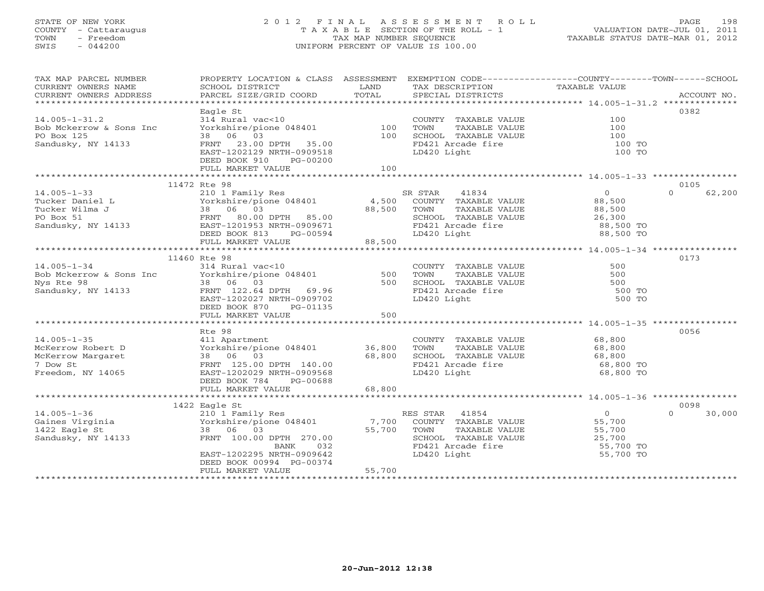## STATE OF NEW YORK 2 0 1 2 F I N A L A S S E S S M E N T R O L L PAGE 198 COUNTY - Cattaraugus T A X A B L E SECTION OF THE ROLL - 1 VALUATION DATE-JUL 01, 2011 TOWN - Freedom TAX MAP NUMBER SEQUENCE TAXABLE STATUS DATE-MAR 01, 2012 SWIS - 044200 UNIFORM PERCENT OF VALUE IS 100.00UNIFORM PERCENT OF VALUE IS 100.00

| TAX MAP PARCEL NUMBER<br>CURRENT OWNERS NAME                          | PROPERTY LOCATION & CLASS ASSESSMENT EXEMPTION CODE----------------COUNTY-------TOWN------SCHOOL<br>SCHOOL DISTRICT | LAND       | TAX DESCRIPTION                                                                         | TAXABLE VALUE    |                            |
|-----------------------------------------------------------------------|---------------------------------------------------------------------------------------------------------------------|------------|-----------------------------------------------------------------------------------------|------------------|----------------------------|
| CURRENT OWNERS ADDRESS                                                | PARCEL SIZE/GRID COORD                                                                                              | TOTAL      | SPECIAL DISTRICTS                                                                       |                  | ACCOUNT NO.                |
|                                                                       | Eagle St                                                                                                            |            |                                                                                         |                  | 0382                       |
| $14.005 - 1 - 31.2$                                                   |                                                                                                                     |            | COUNTY TAXABLE VALUE                                                                    | 100              |                            |
| Bob Mckerrow & Sons Inc                                               |                                                                                                                     |            |                                                                                         | 100              |                            |
| PO Box 125                                                            | 314 Rural vac<10<br>Yorkshire/pione 048401 100 TOWN TAXABLE VALUE<br>100 SCHOOL TAXABLE VALUE                       |            |                                                                                         | 100              |                            |
| Sandusky, NY 14133                                                    | FRNT 23.00 DPTH 35.00                                                                                               |            | FD421 Arcade fire                                                                       | 100 TO           |                            |
|                                                                       | EAST-1202129 NRTH-0909518                                                                                           |            | LD420 Light                                                                             | 100 TO           |                            |
|                                                                       | DEED BOOK 910<br>PG-00200                                                                                           |            |                                                                                         |                  |                            |
|                                                                       | FULL MARKET VALUE                                                                                                   | 100        |                                                                                         |                  |                            |
|                                                                       |                                                                                                                     |            |                                                                                         |                  |                            |
| $14.005 - 1 - 33$                                                     | 11472 Rte 98<br>210 1 Family Res                                                                                    |            | 41834<br>SR STAR                                                                        | $\overline{0}$   | 0105<br>$\Omega$<br>62,200 |
|                                                                       |                                                                                                                     |            | COUNTY TAXABLE VALUE                                                                    | 88,500           |                            |
|                                                                       |                                                                                                                     |            | TAXABLE VALUE<br>TOWN                                                                   |                  |                            |
|                                                                       |                                                                                                                     |            |                                                                                         | 88,500<br>26,300 |                            |
|                                                                       |                                                                                                                     |            |                                                                                         |                  |                            |
|                                                                       | DEED BOOK 813                                                                                                       | $PG-00594$ | TOWN TAARLE<br>SCHOOL TAXABLE VALUE 20, 300<br>FD421 Arcade fire 88,500 TO<br>88,500 TO |                  |                            |
|                                                                       | FULL MARKET VALUE                                                                                                   | 88,500     |                                                                                         |                  |                            |
|                                                                       |                                                                                                                     |            |                                                                                         |                  |                            |
|                                                                       | 11460 Rte 98                                                                                                        |            |                                                                                         |                  | 0173                       |
| $14.005 - 1 - 34$                                                     | 314 Rural vac<10                                                                                                    |            | COUNTY TAXABLE VALUE                                                                    | 500              |                            |
| Bob Mckerrow & Sons Inc Yorkshire/pione 048401<br>Nys Rte 98 18 06 03 |                                                                                                                     | 500<br>500 | TOWN<br>TAXABLE VALUE<br>SCHOOL TAXABLE VALUE                                           | 500<br>500       |                            |
| Sandusky, NY 14133                                                    | FRNT 122.64 DPTH 69.96                                                                                              |            | FD421 Arcade fire                                                                       | 500 TO           |                            |
|                                                                       | EAST-1202027 NRTH-0909702                                                                                           |            | LD420 Light                                                                             | 500 TO           |                            |
|                                                                       | DEED BOOK 870<br>PG-01135                                                                                           |            |                                                                                         |                  |                            |
|                                                                       | FULL MARKET VALUE                                                                                                   | 500        |                                                                                         |                  |                            |
|                                                                       |                                                                                                                     |            |                                                                                         |                  |                            |
|                                                                       | Rte 98                                                                                                              |            |                                                                                         |                  | 0056                       |
| $14.005 - 1 - 35$                                                     | 411 Apartment                                                                                                       |            | COUNTY TAXABLE VALUE                                                                    | 68,800           |                            |
| McKerrow Robert D                                                     | Yorkshire/pione 048401 36,800                                                                                       |            | TAXABLE VALUE<br>TOWN                                                                   | 68,800           |                            |
| McKerrow Margaret                                                     | 38 06 03                                                                                                            | 68,800     | SCHOOL TAXABLE VALUE<br>FD421 Arcade fire                                               | 68,800           |                            |
| 7 Dow St                                                              | FRNT 125.00 DPTH 140.00                                                                                             |            |                                                                                         | 68,800 TO        |                            |
| Freedom, NY 14065                                                     | EAST-1202029 NRTH-0909568<br>DEED BOOK 784<br>PG-00688                                                              |            | LD420 Light                                                                             | 68,800 TO        |                            |
|                                                                       | FULL MARKET VALUE                                                                                                   | 68,800     |                                                                                         |                  |                            |
|                                                                       |                                                                                                                     |            |                                                                                         |                  |                            |
|                                                                       | 1422 Eagle St                                                                                                       |            |                                                                                         |                  | 0098                       |
| $14.005 - 1 - 36$                                                     | 210 1 Family Res                                                                                                    |            | RES STAR 41854                                                                          | $\overline{0}$   | $\Omega$<br>30,000         |
| Gaines Virginia                                                       | Yorkshire/pione 048401                                                                                              |            | 7,700 COUNTY TAXABLE VALUE                                                              | 55,700           |                            |
| 1422 Eagle St                                                         | 38 06 03                                                                                                            | 55,700     | TOWN<br>TAXABLE VALUE                                                                   | 55,700           |                            |
| Sandusky, NY 14133                                                    | FRNT 100.00 DPTH 270.00                                                                                             |            | SCHOOL TAXABLE VALUE                                                                    | 25,700           |                            |
|                                                                       | BANK<br>032                                                                                                         |            | FD421 Arcade fire                                                                       | 55,700 TO        |                            |
|                                                                       | EAST-1202295 NRTH-0909642<br>DEED BOOK 00994 PG-00374                                                               |            | LD420 Light                                                                             | 55,700 TO        |                            |
|                                                                       | FULL MARKET VALUE                                                                                                   | 55,700     |                                                                                         |                  |                            |
|                                                                       | **********************                                                                                              |            |                                                                                         |                  |                            |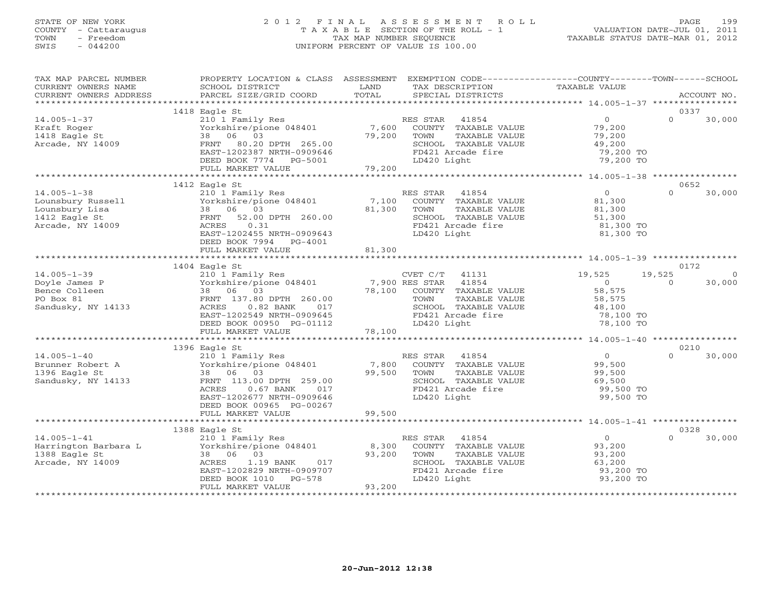# STATE OF NEW YORK 2 0 1 2 F I N A L A S S E S S M E N T R O L L PAGE 199 COUNTY - Cattaraugus T A X A B L E SECTION OF THE ROLL - 1 VALUATION DATE-JUL 01, 2011 TOWN - Freedom TAX MAP NUMBER SEQUENCE TAXABLE STATUS DATE-MAR 01, 2012 SWIS - 044200 UNIFORM PERCENT OF VALUE IS 100.00

| TAX MAP PARCEL NUMBER<br>CURRENT OWNERS NAME  | PROPERTY LOCATION & CLASS ASSESSMENT EXEMPTION CODE---------------COUNTY-------TOWN------SCHOOL<br>SCHOOL DISTRICT                                                                                                               | LAND                 | TAX DESCRIPTION                                   | TAXABLE VALUE                                        |                          |
|-----------------------------------------------|----------------------------------------------------------------------------------------------------------------------------------------------------------------------------------------------------------------------------------|----------------------|---------------------------------------------------|------------------------------------------------------|--------------------------|
| CURRENT OWNERS ADDRESS                        | PARCEL SIZE/GRID COORD                                                                                                                                                                                                           | TOTAL                | SPECIAL DISTRICTS                                 |                                                      | ACCOUNT NO.              |
|                                               |                                                                                                                                                                                                                                  |                      |                                                   |                                                      |                          |
|                                               | 1418 Eagle St                                                                                                                                                                                                                    |                      |                                                   |                                                      | 0337                     |
| $14.005 - 1 - 37$                             | 210 1 Family Res                                                                                                                                                                                                                 |                      | RES STAR 41854<br>7,600 COUNTY TAXABLE VALUE      | $\overline{0}$                                       | $\Omega$<br>30,000       |
| Kraft Roger                                   | Yorkshire/pione 048401<br>38 06 03                                                                                                                                                                                               |                      |                                                   | 79,200                                               |                          |
| 1418 Eagle St<br>Arcade, NY 14009             |                                                                                                                                                                                                                                  | 79,200               | TAXABLE VALUE<br>TOWN                             | 79,200                                               |                          |
| Arcade, NY 14009                              |                                                                                                                                                                                                                                  |                      |                                                   | 19,200<br>49,200                                     |                          |
|                                               |                                                                                                                                                                                                                                  |                      |                                                   |                                                      |                          |
|                                               |                                                                                                                                                                                                                                  |                      |                                                   |                                                      |                          |
|                                               | FRNT 80.20 DPTH 265.00<br>EAST-1202387 NRTH-0909646<br>DEED BOOK 7774 PG-5001 79,200<br>FULL MARKET VALUE 79,200<br>FULL MARKET VALUE 79,200<br>FULL MARKET VALUE 79,200<br>FULL MARKET VALUE 79,200<br>FULL MARKET VALUE 79,200 |                      |                                                   |                                                      |                          |
|                                               |                                                                                                                                                                                                                                  |                      |                                                   |                                                      |                          |
|                                               | 1412 Eagle St                                                                                                                                                                                                                    |                      |                                                   |                                                      | 0652                     |
| $14.005 - 1 - 38$                             | 210 1 Family Res                                                                                                                                                                                                                 |                      | RES STAR 41854                                    | $\overline{0}$                                       | $\Omega$<br>30,000       |
| ------<br>Lounsbury Russell<br>Lounsbury Lisa |                                                                                                                                                                                                                                  |                      | 7,100 COUNTY TAXABLE VALUE                        | 81,300                                               |                          |
|                                               | Torkshire/pione 048401<br>38 06 03<br>FRNT 52.00 DPTH 260.00<br>$\begin{array}{lllll} \texttt{DPTH} & 260.00 & 81,300 & \texttt{TOWN} \ \texttt{DPTH} & 260.00 & & & \texttt{SCHOC} \ \texttt{FD421} & & & \end{array}$          |                      | TAXABLE VALUE                                     | $81,300$<br>51,300                                   |                          |
| 1412 Eagle St                                 | FRNT 52.00 DPTH 260.00                                                                                                                                                                                                           |                      | SCHOOL TAXABLE VALUE                              |                                                      |                          |
| Arcade, NY 14009                              | ACRES<br>0.31                                                                                                                                                                                                                    |                      | FD421 Arcade fire                                 | 81,300 TO                                            |                          |
|                                               | EAST-1202455 NRTH-0909643                                                                                                                                                                                                        |                      | LD420 Light                                       | 81,300 TO                                            |                          |
|                                               | DEED BOOK 7994 PG-4001                                                                                                                                                                                                           |                      |                                                   |                                                      |                          |
|                                               | FULL MARKET VALUE                                                                                                                                                                                                                | 81,300               |                                                   |                                                      |                          |
|                                               |                                                                                                                                                                                                                                  |                      |                                                   |                                                      |                          |
|                                               | 1404 Eagle St                                                                                                                                                                                                                    |                      |                                                   |                                                      | 0172                     |
| $14.005 - 1 - 39$                             | 210 1 Family Res                                                                                                                                                                                                                 |                      | $CVET C/T$ 41131                                  | 19,525                                               | 19,525<br>$\overline{0}$ |
| Doyle James P                                 |                                                                                                                                                                                                                                  |                      |                                                   | $\overline{0}$                                       | 30,000<br>$\overline{0}$ |
| Bence Colleen                                 | 38 06 03                                                                                                                                                                                                                         |                      | COUNTY TAXABLE VALUE                              | 58,575                                               |                          |
| PO Box 81                                     |                                                                                                                                                                                                                                  |                      | TAXABLE VALUE                                     | 58,575                                               |                          |
| Sandusky, NY 14133                            |                                                                                                                                                                                                                                  |                      | SCHOOL TAXABLE VALUE                              | 48,100                                               |                          |
|                                               | EAST-1202549 NRTH-0909645                                                                                                                                                                                                        |                      | FD421 Arcade fire                                 | 78,100 TO                                            |                          |
|                                               | DEED BOOK 00950 PG-01112                                                                                                                                                                                                         |                      | LD420 Light                                       | 78,100 TO                                            |                          |
|                                               | FULL MARKET VALUE                                                                                                                                                                                                                | 78,100               |                                                   |                                                      |                          |
|                                               |                                                                                                                                                                                                                                  | ******************** |                                                   | ********************** 14.005-1-40 ***************** |                          |
|                                               | 1396 Eagle St                                                                                                                                                                                                                    |                      |                                                   |                                                      | 0210                     |
| $14.005 - 1 - 40$                             |                                                                                                                                                                                                                                  |                      | RES STAR<br>ES STAR 41854<br>COUNTY TAXABLE VALUE | $\overline{0}$                                       | 30,000<br>$\Omega$       |
| $14.003 - 1.$<br>Brunner Robert A             | 210 1 Family Res<br>Yorkshire/pione 048401<br>38 06 02                                                                                                                                                                           | 7,800                |                                                   | 99,500                                               |                          |
| 1396 Eagle St                                 | 38 06 03                                                                                                                                                                                                                         | 99,500               | TAXABLE VALUE<br>TOWN                             | 99,500<br>69,500                                     |                          |
| Sandusky, NY 14133                            | FRNT 113.00 DPTH 259.00                                                                                                                                                                                                          |                      | SCHOOL TAXABLE VALUE                              |                                                      |                          |
|                                               | ACRES<br>0.67 BANK 017                                                                                                                                                                                                           |                      | FD421 Arcade fire                                 | 99,500 TO                                            |                          |
|                                               | EAST-1202677 NRTH-0909646                                                                                                                                                                                                        |                      | LD420 Light                                       | 99,500 TO                                            |                          |
|                                               | DEED BOOK 00965 PG-00267                                                                                                                                                                                                         |                      |                                                   |                                                      |                          |
|                                               | FULL MARKET VALUE                                                                                                                                                                                                                | 99,500               |                                                   |                                                      |                          |
|                                               |                                                                                                                                                                                                                                  |                      |                                                   |                                                      |                          |
|                                               | 1388 Eagle St                                                                                                                                                                                                                    |                      |                                                   |                                                      | 0328                     |
| $14.005 - 1 - 41$                             | 210 1 Family Res                                                                                                                                                                                                                 |                      | RES STAR 41854                                    | $\overline{0}$                                       | 30,000<br>$\Omega$       |
| Harrington Barbara L                          |                                                                                                                                                                                                                                  |                      |                                                   | 93,200                                               |                          |
| 1388 Eagle St                                 |                                                                                                                                                                                                                                  |                      |                                                   | 93,200                                               |                          |
| Arcade, NY 14009                              |                                                                                                                                                                                                                                  |                      |                                                   | 63,200                                               |                          |
|                                               | EAST-1202829 NRTH-0909707                                                                                                                                                                                                        |                      | FD421 Arcade fire                                 | 93,200 TO                                            |                          |
|                                               | DEED BOOK 1010<br>PG-578                                                                                                                                                                                                         | 93,200               | LD420 Light                                       | 93,200 TO                                            |                          |
|                                               | FULL MARKET VALUE                                                                                                                                                                                                                |                      |                                                   |                                                      |                          |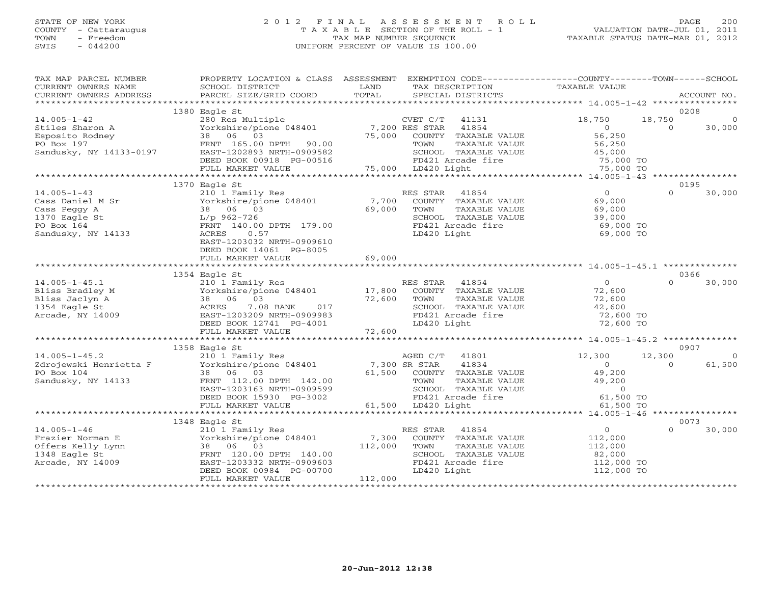## STATE OF NEW YORK 2 0 1 2 F I N A L A S S E S S M E N T R O L L PAGE 200 COUNTY - Cattaraugus T A X A B L E SECTION OF THE ROLL - 1 VALUATION DATE-JUL 01, 2011 TOWN - Freedom TAX MAP NUMBER SEQUENCE TAXABLE STATUS DATE-MAR 01, 2012 SWIS - 044200 UNIFORM PERCENT OF VALUE IS 100.00UNIFORM PERCENT OF VALUE IS 100.00

| TAX MAP PARCEL NUMBER<br>CURRENT OWNERS NAME<br>CURRENT OWNERS ADDRESS | SCHOOL DISTRICT<br>PARCEL SIZE/GRID COORD                                                                                                                                                                                         | PROPERTY LOCATION & CLASS ASSESSMENT EXEMPTION CODE---------------COUNTY-------TOWN------SCHOOL<br>LAND<br>TAX DESCRIPTION<br>TOTAL<br>SPECIAL DISTRICTS | TAXABLE VALUE<br>ACCOUNT NO.                                       |          |
|------------------------------------------------------------------------|-----------------------------------------------------------------------------------------------------------------------------------------------------------------------------------------------------------------------------------|----------------------------------------------------------------------------------------------------------------------------------------------------------|--------------------------------------------------------------------|----------|
|                                                                        |                                                                                                                                                                                                                                   |                                                                                                                                                          |                                                                    |          |
|                                                                        | 1380 Eagle St                                                                                                                                                                                                                     |                                                                                                                                                          | 0208                                                               |          |
| $14.005 - 1 - 42$                                                      | 280 Res Multiple                                                                                                                                                                                                                  | CVET $C/T$ 41131                                                                                                                                         | 18,750<br>18,750                                                   |          |
| Stiles Sharon A                                                        |                                                                                                                                                                                                                                   | Yorkshire/pione 048401 7,200 RES STAR 41854<br>38 06 03 75,000 COUNTY TAXABLE VALUE                                                                      | $\Omega$<br>30,000<br>$\overline{O}$                               |          |
| Esposito Rodney                                                        |                                                                                                                                                                                                                                   |                                                                                                                                                          | 56,250                                                             |          |
| PO Box 197                                                             | FRNT 165.00 DPTH 90.00                                                                                                                                                                                                            | TAXABLE VALUE<br>TOWN                                                                                                                                    | 56,250                                                             |          |
| Sandusky, NY 14133-0197                                                | EAST-1202893 NRTH-0909582                                                                                                                                                                                                         | SCHOOL TAXABLE VALUE                                                                                                                                     | 45,000                                                             |          |
|                                                                        | DEED BOOK 00918 PG-00516                                                                                                                                                                                                          | FD421 Arcade fire                                                                                                                                        | 75,000 TO                                                          |          |
|                                                                        | FULL MARKET VALUE                                                                                                                                                                                                                 | 75,000 LD420 Light                                                                                                                                       | 75,000 TO                                                          |          |
|                                                                        |                                                                                                                                                                                                                                   |                                                                                                                                                          |                                                                    |          |
|                                                                        | 1370 Eagle St                                                                                                                                                                                                                     |                                                                                                                                                          | 0195                                                               |          |
| $14.005 - 1 - 43$                                                      | 210 1 Family Res                                                                                                                                                                                                                  | RES STAR 41854<br>$\frac{7}{69}$ , 700                                                                                                                   | $\Omega$<br>$\Omega$<br>30,000                                     |          |
| Cass Daniel M Sr                                                       | Yorkshire/pione 048401                                                                                                                                                                                                            | COUNTY TAXABLE VALUE                                                                                                                                     | 69,000                                                             |          |
| Cass Peggy A                                                           | 38 06 03                                                                                                                                                                                                                          | TOWN<br>TAXABLE VALUE                                                                                                                                    | 69,000                                                             |          |
| 1370 Eagle St                                                          | L/p 962-726                                                                                                                                                                                                                       | SCHOOL TAXABLE VALUE                                                                                                                                     | 39,000                                                             |          |
| PO Box 164                                                             | FRNT 140.00 DPTH 179.00                                                                                                                                                                                                           | FD421 Arcade fire                                                                                                                                        | 69,000 TO                                                          |          |
| Sandusky, NY 14133                                                     | 0.57<br>ACRES                                                                                                                                                                                                                     | LD420 Light                                                                                                                                              | 69,000 TO                                                          |          |
|                                                                        | EAST-1203032 NRTH-0909610                                                                                                                                                                                                         |                                                                                                                                                          |                                                                    |          |
|                                                                        | DEED BOOK 14061 PG-8005                                                                                                                                                                                                           |                                                                                                                                                          |                                                                    |          |
|                                                                        | FULL MARKET VALUE                                                                                                                                                                                                                 | 69,000                                                                                                                                                   |                                                                    |          |
|                                                                        |                                                                                                                                                                                                                                   |                                                                                                                                                          |                                                                    |          |
| $14.005 - 1 - 45.1$                                                    | 1354 Eagle St                                                                                                                                                                                                                     |                                                                                                                                                          | 0366<br>$\overline{0}$<br>$\Omega$<br>30,000                       |          |
|                                                                        | 210 1 Family Res                                                                                                                                                                                                                  | RES STAR 41854                                                                                                                                           |                                                                    |          |
| Bliss Bradley M<br>Bliss Jaclyn A                                      |                                                                                                                                                                                                                                   | Yorkshire/pione 048401 17,800 COUNTY TAXABLE VALUE<br>72,600<br>TOWN<br>TAXABLE VALUE                                                                    | 72,600<br>72,600                                                   |          |
| 1354 Eagle St                                                          |                                                                                                                                                                                                                                   | SCHOOL TAXABLE VALUE                                                                                                                                     | 42,600                                                             |          |
| Arcade, NY 14009                                                       | ACRES 7.08 BANK 017<br>EAST-1203209 NRTH-0909983                                                                                                                                                                                  | FD421 Arcade fire                                                                                                                                        | 72,600 TO                                                          |          |
|                                                                        |                                                                                                                                                                                                                                   |                                                                                                                                                          |                                                                    |          |
|                                                                        |                                                                                                                                                                                                                                   |                                                                                                                                                          |                                                                    |          |
|                                                                        |                                                                                                                                                                                                                                   |                                                                                                                                                          |                                                                    |          |
|                                                                        | 1358 Eagle St                                                                                                                                                                                                                     |                                                                                                                                                          | 0907                                                               |          |
| $14.005 - 1 - 45.2$                                                    | 210 1 Family Res                                                                                                                                                                                                                  | AGED C/T 41801                                                                                                                                           | 12,300<br>12,300                                                   | $\Omega$ |
|                                                                        | $241.000 + 401.00$<br>$2400$ evaluation of the contract of the contract of the contract of the contract of the contract of the contract of the contract of the contract of the contract of the contract of the contract of the co | 7,300 SR STAR<br>41834                                                                                                                                   | $\overline{0}$<br>$\Omega$<br>61,500                               |          |
| PO Box 104                                                             | 38 06 03                                                                                                                                                                                                                          | 61,500 COUNTY TAXABLE VALUE                                                                                                                              | 49,200                                                             |          |
| Sandusky, NY 14133                                                     | FRNT 112.00 DPTH 142.00                                                                                                                                                                                                           | TOWN                                                                                                                                                     |                                                                    |          |
|                                                                        | EAST-1203163 NRTH-0909599                                                                                                                                                                                                         | SCHOOL TAXABLE VALUE                                                                                                                                     |                                                                    |          |
|                                                                        | DEED BOOK 15930 PG-3002                                                                                                                                                                                                           | FD421 Arcade fire                                                                                                                                        | TAXABLE VALUE $49,200$<br>TAXABLE VALUE $0$<br>cade fire 61,500 TO |          |
|                                                                        | FULL MARKET VALUE                                                                                                                                                                                                                 | 61,500 LD420 Light                                                                                                                                       | 61,500 TO                                                          |          |
|                                                                        |                                                                                                                                                                                                                                   |                                                                                                                                                          |                                                                    |          |
|                                                                        | 1348 Eagle St                                                                                                                                                                                                                     |                                                                                                                                                          | 0073                                                               |          |
| $14.005 - 1 - 46$                                                      | 210 1 Family Res                                                                                                                                                                                                                  | RES STAR 41854                                                                                                                                           | $0 \qquad \qquad$<br>30,000<br>$\Omega$                            |          |
| Frazier Norman E                                                       | ELU I FallLIY<br>Yorkshire/pio<br>38 06 03<br>Yorkshire/pione 048401                                                                                                                                                              | 7,300 COUNTY TAXABLE VALUE                                                                                                                               | 112,000                                                            |          |
| Offers Kelly Lynn                                                      |                                                                                                                                                                                                                                   | 112,000<br>TOWN<br>TAXABLE VALUE                                                                                                                         | 112,000                                                            |          |
| 1348 Eagle St                                                          | FRNT 120.00 DPTH 140.00                                                                                                                                                                                                           | SCHOOL TAXABLE VALUE                                                                                                                                     | 82,000                                                             |          |
| Arcade, NY 14009                                                       | EAST-1203332 NRTH-0909603                                                                                                                                                                                                         | FD421 Arcade fire                                                                                                                                        | 112,000 TO<br>112,000 TO                                           |          |
|                                                                        | DEED BOOK 00984 PG-00700                                                                                                                                                                                                          | LD420 Light                                                                                                                                              |                                                                    |          |
|                                                                        | FULL MARKET VALUE                                                                                                                                                                                                                 | 112,000                                                                                                                                                  |                                                                    |          |
|                                                                        |                                                                                                                                                                                                                                   |                                                                                                                                                          |                                                                    |          |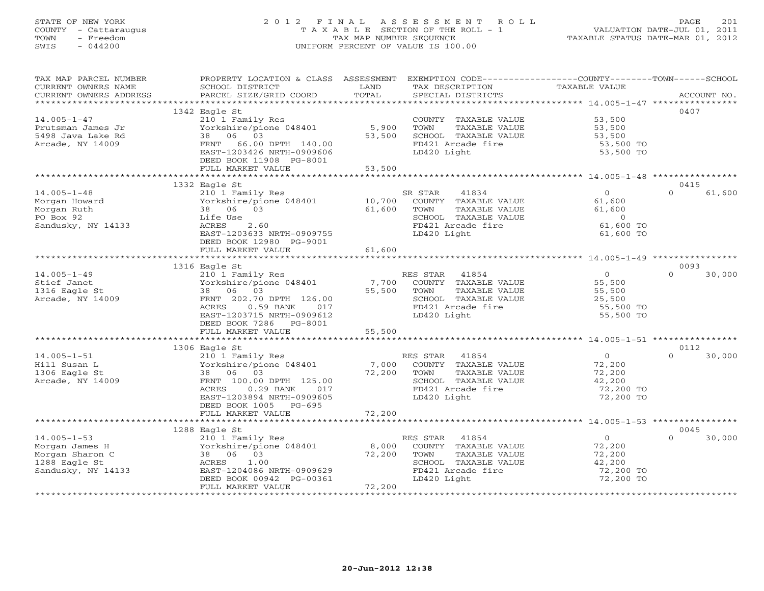# STATE OF NEW YORK 2 0 1 2 F I N A L A S S E S S M E N T R O L L PAGE 201 COUNTY - Cattaraugus T A X A B L E SECTION OF THE ROLL - 1 VALUATION DATE-JUL 01, 2011 TOWN - Freedom TAX MAP NUMBER SEQUENCE TAXABLE STATUS DATE-MAR 01, 2012 SWIS - 044200 UNIFORM PERCENT OF VALUE IS 100.00UNIFORM PERCENT OF VALUE IS 100.00

| TAX MAP PARCEL NUMBER  | PROPERTY LOCATION & CLASS ASSESSMENT EXEMPTION CODE----------------COUNTY-------TOWN------SCHOOL |             |                            |                |          |             |
|------------------------|--------------------------------------------------------------------------------------------------|-------------|----------------------------|----------------|----------|-------------|
| CURRENT OWNERS NAME    | SCHOOL DISTRICT                                                                                  | LAND        | TAX DESCRIPTION            | TAXABLE VALUE  |          |             |
| CURRENT OWNERS ADDRESS | PARCEL SIZE/GRID COORD                                                                           | TOTAL       | SPECIAL DISTRICTS          |                |          | ACCOUNT NO. |
|                        |                                                                                                  |             |                            |                |          |             |
|                        | 1342 Eagle St                                                                                    |             |                            |                | 0407     |             |
| $14.005 - 1 - 47$      | 210 1 Family Res                                                                                 |             | COUNTY TAXABLE VALUE       | 53,500         |          |             |
| Prutsman James Jr      | Yorkshire/pione 048401 5,900                                                                     |             | TAXABLE VALUE<br>TOWN      | 53,500         |          |             |
| 5498 Java Lake Rd      | 38 06 03                                                                                         | 53,500      | SCHOOL TAXABLE VALUE       | 53,500         |          |             |
| Arcade, NY 14009       | FRNT 66.00 DPTH 140.00                                                                           |             | FD421 Arcade fire          | 53,500 TO      |          |             |
|                        | EAST-1203426 NRTH-0909606                                                                        |             | LD420 Light                | 53,500 TO      |          |             |
|                        | DEED BOOK 11908 PG-8001                                                                          |             |                            |                |          |             |
|                        | FULL MARKET VALUE                                                                                | 53,500      |                            |                |          |             |
|                        |                                                                                                  |             |                            |                |          |             |
|                        | 1332 Eagle St                                                                                    |             |                            |                | 0415     |             |
| $14.005 - 1 - 48$      | 210 1 Family Res                                                                                 |             | 41834<br>SR STAR           | $\Omega$       | $\Omega$ | 61,600      |
| Morgan Howard          | Yorkshire/pione 048401 10,700                                                                    |             | COUNTY TAXABLE VALUE       | 61,600         |          |             |
| Morgan Ruth            | 38 06 03                                                                                         | 61,600      | TOWN<br>TAXABLE VALUE      | 61,600         |          |             |
| PO Box 92              | Life Use                                                                                         |             | SCHOOL TAXABLE VALUE       | $\overline{0}$ |          |             |
| Sandusky, NY 14133     | ACRES 2.60                                                                                       |             | FD421 Arcade fire          | 61,600 TO      |          |             |
|                        | EAST-1203633 NRTH-0909755                                                                        |             | LD420 Light                | 61,600 TO      |          |             |
|                        | DEED BOOK 12980 PG-9001                                                                          |             |                            |                |          |             |
|                        | FULL MARKET VALUE                                                                                | 61,600      |                            |                |          |             |
|                        |                                                                                                  |             |                            |                |          |             |
|                        | 1316 Eagle St                                                                                    |             |                            |                | 0093     |             |
| $14.005 - 1 - 49$      |                                                                                                  |             | RES STAR 41854             | $\overline{0}$ | $\Omega$ | 30,000      |
| Stief Janet            | 210 1 Family Res<br>Yorkshire/pione 048401<br>38 06 03                                           |             | 7,700 COUNTY TAXABLE VALUE | 55,500         |          |             |
| 1316 Eagle St          | 38 06 03                                                                                         | 55,500 TOWN | TAXABLE VALUE              | 55,500         |          |             |
| Arcade, NY 14009       | FRNT 202.70 DPTH 126.00                                                                          |             | SCHOOL TAXABLE VALUE       | 25,500         |          |             |
|                        | $0.59$ BANK<br>ACRES<br>017                                                                      |             | FD421 Arcade fire          | 55,500 TO      |          |             |
|                        | EAST-1203715 NRTH-0909612                                                                        |             | LD420 Light                | 55,500 TO      |          |             |
|                        | DEED BOOK 7286 PG-8001                                                                           |             |                            |                |          |             |
|                        | FULL MARKET VALUE                                                                                | 55,500      |                            |                |          |             |
|                        |                                                                                                  |             |                            |                |          |             |
|                        | 1306 Eagle St                                                                                    |             |                            |                | 0112     |             |
| $14.005 - 1 - 51$      | 210 1 Family Res<br>Yorkshire/pione 048401 7,000                                                 |             | RES STAR 41854             | $\overline{0}$ | $\cap$   | 30,000      |
| Hill Susan L           |                                                                                                  |             | COUNTY TAXABLE VALUE       | 72,200         |          |             |
| 1306 Eagle St          | 38 06 03                                                                                         | 72,200      | TOWN<br>TAXABLE VALUE      | 72,200         |          |             |
| Arcade, NY 14009       | FRNT 100.00 DPTH 125.00                                                                          |             | SCHOOL TAXABLE VALUE       | 42,200         |          |             |
|                        | ACRES<br>0.29 BANK 017                                                                           |             | FD421 Arcade fire          | 72,200 TO      |          |             |
|                        | EAST-1203894 NRTH-0909605                                                                        |             | LD420 Light                | 72,200 TO      |          |             |
|                        | DEED BOOK 1005 PG-695                                                                            |             |                            |                |          |             |
|                        | FULL MARKET VALUE                                                                                | 72,200      |                            |                |          |             |
|                        |                                                                                                  |             |                            |                |          |             |
|                        | 1288 Eagle St                                                                                    |             |                            |                | 0045     |             |
| $14.005 - 1 - 53$      | 210 1 Family Res                                                                                 |             | RES STAR 41854             | $\overline{0}$ | $\Omega$ | 30,000      |
| Morgan James H         | Yorkshire/pione 048401 8,000 COUNTY TAXABLE VALUE                                                |             |                            | 72,200         |          |             |
| Morgan Sharon C        | 38 06 03                                                                                         | 72,200      | TAXABLE VALUE<br>TOWN      | 72,200         |          |             |
| 1288 Eagle St          | ACRES<br>1.00                                                                                    |             | SCHOOL TAXABLE VALUE       | 42,200         |          |             |
| Sandusky, NY 14133     | EAST-1204086 NRTH-0909629                                                                        |             | FD421 Arcade fire          | 72,200 TO      |          |             |
|                        | DEED BOOK 00942 PG-00361                                                                         |             | LD420 Light                | 72,200 TO      |          |             |
|                        | FULL MARKET VALUE                                                                                | 72,200      |                            |                |          |             |
|                        |                                                                                                  |             |                            |                |          |             |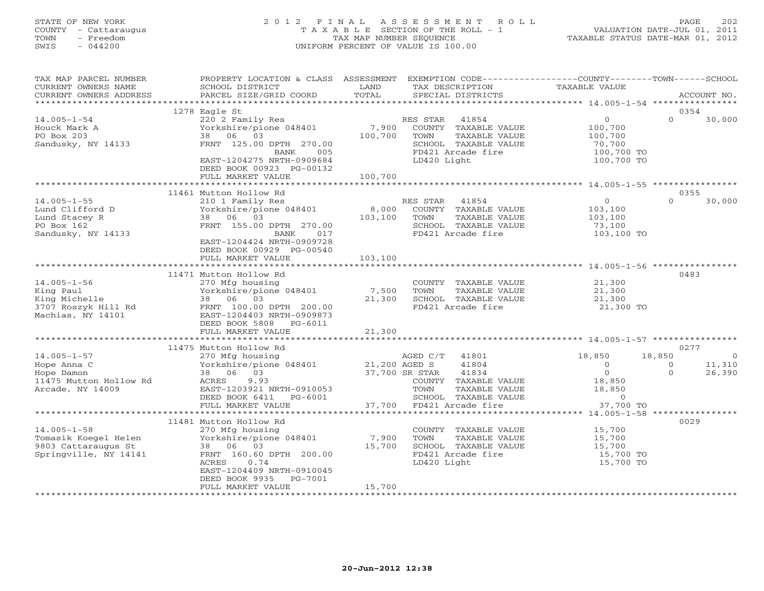# STATE OF NEW YORK 2 0 1 2 F I N A L A S S E S S M E N T R O L L PAGE 202 COUNTY - Cattaraugus T A X A B L E SECTION OF THE ROLL - 1 VALUATION DATE-JUL 01, 2011 TOWN - Freedom TAX MAP NUMBER SEQUENCE TAXABLE STATUS DATE-MAR 01, 2012 SWIS - 044200 UNIFORM PERCENT OF VALUE IS 100.00UNIFORM PERCENT OF VALUE IS 100.00

| TAX MAP PARCEL NUMBER  | PROPERTY LOCATION & CLASS ASSESSMENT |               | EXEMPTION CODE----------------COUNTY-------TOWN------SCHOOL         |                      |                          |
|------------------------|--------------------------------------|---------------|---------------------------------------------------------------------|----------------------|--------------------------|
| CURRENT OWNERS NAME    | SCHOOL DISTRICT                      | LAND          | TAX DESCRIPTION                                                     | <b>TAXABLE VALUE</b> |                          |
| CURRENT OWNERS ADDRESS | PARCEL SIZE/GRID COORD               | TOTAL         | SPECIAL DISTRICTS                                                   |                      | ACCOUNT NO.              |
|                        |                                      |               |                                                                     |                      |                          |
|                        | 1278 Eagle St                        |               |                                                                     |                      | 0354                     |
| $14.005 - 1 - 54$      | 220 2 Family Res                     |               | RES STAR<br>41854                                                   | $\Omega$             | $\Omega$<br>30,000       |
| Houck Mark A           | Yorkshire/pione 048401               | 7,900         | COUNTY TAXABLE VALUE                                                | 100,700              |                          |
| PO Box 203             | 38 06 03                             | 100,700       | TOWN<br>TAXABLE VALUE                                               | 100,700              |                          |
| Sandusky, NY 14133     | FRNT 125.00 DPTH 270.00              |               | SCHOOL TAXABLE VALUE                                                | 70,700               |                          |
|                        | BANK<br>005                          |               | FD421 Arcade fire                                                   | 100,700 TO           |                          |
|                        | EAST-1204275 NRTH-0909684            |               | LD420 Light                                                         | 100,700 TO           |                          |
|                        | DEED BOOK 00923 PG-00132             |               |                                                                     |                      |                          |
|                        | FULL MARKET VALUE                    | 100,700       |                                                                     |                      |                          |
|                        |                                      |               |                                                                     |                      |                          |
|                        | 11461 Mutton Hollow Rd               |               |                                                                     |                      | 0355                     |
| $14.005 - 1 - 55$      | 210 1 Family Res                     |               | RES STAR<br>41854                                                   | $\overline{0}$       | $\Omega$<br>30,000       |
| Lund Clifford D        | Yorkshire/pione 048401               | 8,000         | COUNTY TAXABLE VALUE                                                | 103,100              |                          |
| Lund Stacey R          | 38 06 03                             | 103,100       | TOWN<br>TAXABLE VALUE                                               | 103,100              |                          |
| PO Box 162             | FRNT 155.00 DPTH 270.00              |               | SCHOOL TAXABLE VALUE                                                | 73,100               |                          |
| Sandusky, NY 14133     | BANK<br>017                          |               | FD421 Arcade fire                                                   | 103,100 TO           |                          |
|                        | EAST-1204424 NRTH-0909728            |               |                                                                     |                      |                          |
|                        | DEED BOOK 00929 PG-00540             |               |                                                                     |                      |                          |
|                        | FULL MARKET VALUE                    | 103,100       |                                                                     |                      |                          |
|                        |                                      |               |                                                                     |                      |                          |
|                        | 11471 Mutton Hollow Rd               |               |                                                                     |                      | 0483                     |
| $14.005 - 1 - 56$      | 270 Mfg housing                      |               | COUNTY TAXABLE VALUE                                                | 21,300               |                          |
| King Paul              | Yorkshire/pione 048401               | 7,500         | TOWN<br>TAXABLE VALUE                                               | 21,300               |                          |
| King Michelle          | 38 06 03                             | 21,300        | SCHOOL TAXABLE VALUE                                                | 21,300               |                          |
| 3707 Roszyk Hill Rd    | FRNT 100.00 DPTH 200.00              |               | FD421 Arcade fire                                                   | 21,300 TO            |                          |
| Machias, NY 14101      | EAST-1204403 NRTH-0909873            |               |                                                                     |                      |                          |
|                        | DEED BOOK 5808<br>PG-6011            |               |                                                                     |                      |                          |
|                        | FULL MARKET VALUE                    | 21,300        |                                                                     |                      |                          |
|                        | *************************            |               |                                                                     |                      |                          |
|                        | 11475 Mutton Hollow Rd               |               |                                                                     |                      | 0277                     |
| $14.005 - 1 - 57$      | 270 Mfg housing                      |               | AGED C/T 41801                                                      | 18,850               | 18,850<br>$\overline{0}$ |
| Hope Anna C            | Yorkshire/pione 048401               | 21,200 AGED S | 41804                                                               | $\circ$              | 11,310<br>$\circ$        |
| Hope Damon             | 38 06 03                             |               | 37,700 SR STAR<br>41834                                             | $\Omega$             | $\Omega$<br>26,390       |
| 11475 Mutton Hollow Rd | ACRES<br>9.93                        |               | COUNTY TAXABLE VALUE                                                | 18,850               |                          |
| Arcade, NY 14009       | EAST-1203921 NRTH-0910053            |               | TOWN<br>TAXABLE VALUE                                               | 18,850               |                          |
|                        | DEED BOOK 6411<br>PG-6001            |               | SCHOOL TAXABLE VALUE                                                | $\overline{0}$       |                          |
|                        | FULL MARKET VALUE                    | 37,700        | FD421 Arcade fire                                                   | 37,700 TO            |                          |
|                        | *********************                |               | ************************************** 14.005-1-58 **************** |                      |                          |
|                        | 11481 Mutton Hollow Rd               |               |                                                                     |                      | 0029                     |
| $14.005 - 1 - 58$      | 270 Mfg housing                      |               | COUNTY TAXABLE VALUE                                                | 15,700               |                          |
| Tomasik Koegel Helen   | Yorkshire/pione 048401               | 7,900         | TOWN<br>TAXABLE VALUE                                               | 15,700               |                          |
| 9803 Cattaraugus St    | 38 06 03                             | 15,700        | SCHOOL TAXABLE VALUE                                                | 15,700               |                          |
| Springville, NY 14141  | FRNT 160.60 DPTH 200.00              |               | FD421 Arcade fire                                                   | 15,700 TO            |                          |
|                        | ACRES<br>0.74                        |               | LD420 Light                                                         | 15,700 TO            |                          |
|                        | EAST-1204409 NRTH-0910045            |               |                                                                     |                      |                          |
|                        | DEED BOOK 9935<br>PG-7001            |               |                                                                     |                      |                          |
|                        | FULL MARKET VALUE                    | 15,700        |                                                                     |                      |                          |
|                        |                                      |               |                                                                     |                      |                          |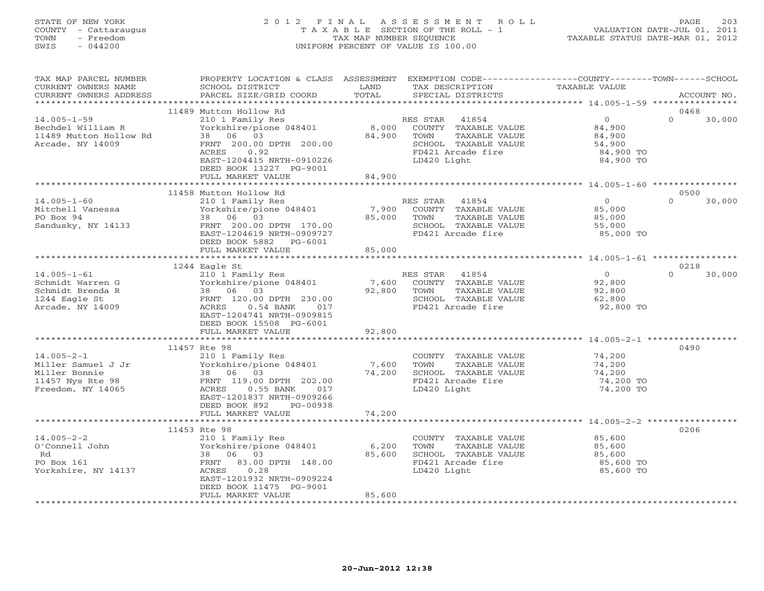# STATE OF NEW YORK 2 0 1 2 F I N A L A S S E S S M E N T R O L L PAGE 203 COUNTY - Cattaraugus T A X A B L E SECTION OF THE ROLL - 1 VALUATION DATE-JUL 01, 2011 TOWN - Freedom TAX MAP NUMBER SEQUENCE TAXABLE STATUS DATE-MAR 01, 2012 SWIS - 044200 UNIFORM PERCENT OF VALUE IS 100.00UNIFORM PERCENT OF VALUE IS 100.00

| TAX MAP PARCEL NUMBER<br>CURRENT OWNERS NAME<br>CURRENT OWNERS ADDRESS                           | PROPERTY LOCATION & CLASS ASSESSMENT<br>SCHOOL DISTRICT<br>PARCEL SIZE/GRID COORD                                                                                                                         | LAND<br>TOTAL             | EXEMPTION CODE-----------------COUNTY-------TOWN------SCHOOL<br>TAX DESCRIPTION<br>SPECIAL DISTRICTS                        | TAXABLE VALUE                                                   | ACCOUNT NO.                |
|--------------------------------------------------------------------------------------------------|-----------------------------------------------------------------------------------------------------------------------------------------------------------------------------------------------------------|---------------------------|-----------------------------------------------------------------------------------------------------------------------------|-----------------------------------------------------------------|----------------------------|
| ***********************                                                                          |                                                                                                                                                                                                           |                           |                                                                                                                             |                                                                 |                            |
| $14.005 - 1 - 59$<br>Bechdel William R<br>11489 Mutton Hollow Rd<br>Arcade, NY 14009             | 11489 Mutton Hollow Rd<br>210 1 Family Res<br>Yorkshire/pione 048401<br>38 06 03<br>FRNT 200.00 DPTH 200.00<br>ACRES<br>0.92<br>EAST-1204415 NRTH-0910226<br>DEED BOOK 13227 PG-9001<br>FULL MARKET VALUE | 8,000<br>84,900<br>84,900 | RES STAR 41854<br>COUNTY TAXABLE VALUE<br>TOWN<br>TAXABLE VALUE<br>SCHOOL TAXABLE VALUE<br>FD421 Arcade fire<br>LD420 Light | $\circ$<br>84,900<br>84,900<br>54,900<br>84,900 TO<br>84,900 TO | 0468<br>$\Omega$<br>30,000 |
|                                                                                                  | ***************************                                                                                                                                                                               |                           |                                                                                                                             |                                                                 |                            |
| $14.005 - 1 - 60$<br>Mitchell Vanessa<br>PO Box 94<br>Sandusky, NY 14133                         | 11458 Mutton Hollow Rd<br>210 1 Family Res<br>Yorkshire/pione 048401<br>38 06 03<br>FRNT 200.00 DPTH 170.00<br>EAST-1204619 NRTH-0909727<br>DEED BOOK 5882 PG-6001                                        | 85,000                    | RES STAR<br>41854<br>7,900 COUNTY TAXABLE VALUE<br>TOWN<br>TAXABLE VALUE<br>SCHOOL TAXABLE VALUE<br>FD421 Arcade fire       | $\overline{0}$<br>85,000<br>85,000<br>55,000<br>85,000 TO       | 0500<br>$\Omega$<br>30,000 |
|                                                                                                  | FULL MARKET VALUE<br>**********************                                                                                                                                                               | 85,000                    |                                                                                                                             |                                                                 |                            |
|                                                                                                  | 1244 Eagle St                                                                                                                                                                                             |                           |                                                                                                                             |                                                                 | 0218                       |
| $14.005 - 1 - 61$<br>Schmidt Warren G<br>Schmidt Brenda R<br>1244 Eagle St<br>Arcade, NY 14009   | 210 1 Family Res<br>Yorkshire/pione 048401<br>38 06 03<br>FRNT 120.00 DPTH 230.00<br>ACRES<br>$0.54$ BANK<br>017<br>EAST-1204741 NRTH-0909815<br>DEED BOOK 15508 PG-6001<br>FULL MARKET VALUE             | 7,600<br>92,800<br>92,800 | RES STAR<br>41854<br>COUNTY TAXABLE VALUE<br>TOWN<br>TAXABLE VALUE<br>SCHOOL TAXABLE VALUE<br>FD421 Arcade fire             | $\overline{0}$<br>92,800<br>92,800<br>62,800<br>92,800 TO       | $\Omega$<br>30,000         |
|                                                                                                  |                                                                                                                                                                                                           |                           |                                                                                                                             |                                                                 |                            |
| $14.005 - 2 - 1$<br>Miller Samuel J Jr<br>Miller Bonnie<br>11457 Nys Rte 98<br>Freedom, NY 14065 | 11457 Rte 98<br>210 1 Family Res<br>Yorkshire/pione 048401<br>38 06 03<br>FRNT 119.00 DPTH 202.00<br>ACRES<br>$0.55$ BANK<br>017<br>EAST-1201837 NRTH-0909266<br>DEED BOOK 892<br>PG-00938                | 7,600<br>74,200           | COUNTY TAXABLE VALUE<br>TAXABLE VALUE<br>TOWN<br>SCHOOL TAXABLE VALUE<br>FD421 Arcade fire<br>LD420 Light                   | 74,200<br>74,200<br>74,200<br>74,200 TO<br>74,200 TO            | 0490                       |
|                                                                                                  | FULL MARKET VALUE                                                                                                                                                                                         | 74,200                    |                                                                                                                             |                                                                 |                            |
|                                                                                                  | **************************                                                                                                                                                                                |                           |                                                                                                                             |                                                                 |                            |
| $14.005 - 2 - 2$<br>O'Connell John<br>Rd<br>PO Box 161<br>Yorkshire, NY 14137                    | 11453 Rte 98<br>210 1 Family Res<br>Yorkshire/pione 048401<br>38 06 03<br>FRNT 83.00 DPTH 148.00<br>0.28<br>ACRES<br>EAST-1201932 NRTH-0909224<br>DEED BOOK 11475 PG-9001<br>FULL MARKET VALUE            | 6,200<br>85,600<br>85,600 | COUNTY TAXABLE VALUE<br>TAXABLE VALUE<br>TOWN<br>SCHOOL TAXABLE VALUE<br>FD421 Arcade fire<br>LD420 Light                   | 85,600<br>85,600<br>85,600<br>85,600 TO<br>85,600 TO            | 0206                       |
|                                                                                                  |                                                                                                                                                                                                           |                           |                                                                                                                             |                                                                 |                            |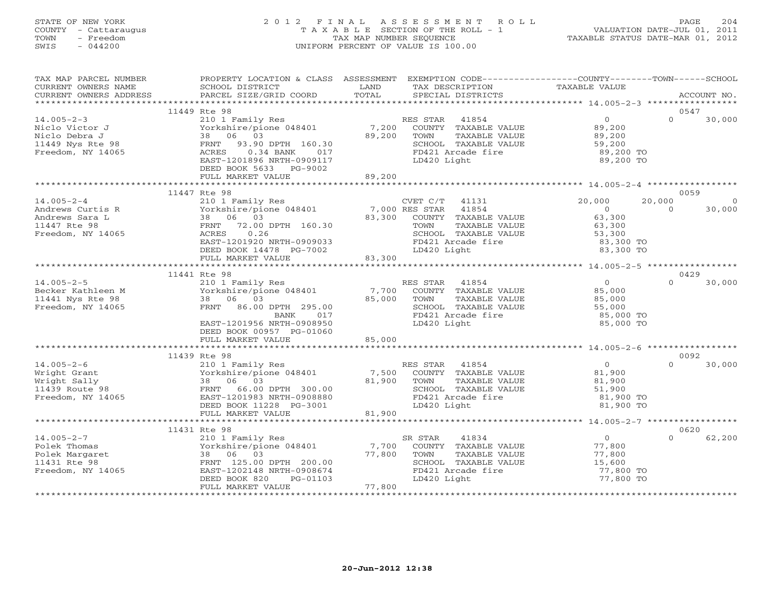# STATE OF NEW YORK 2 0 1 2 F I N A L A S S E S S M E N T R O L L PAGE 204 COUNTY - Cattaraugus T A X A B L E SECTION OF THE ROLL - 1 VALUATION DATE-JUL 01, 2011 TOWN - Freedom TAX MAP NUMBER SEQUENCE TAXABLE STATUS DATE-MAR 01, 2012 SWIS - 044200 UNIFORM PERCENT OF VALUE IS 100.00UNIFORM PERCENT OF VALUE IS 100.00

| TAX MAP PARCEL NUMBER<br>CURRENT OWNERS NAME<br>CURRENT OWNERS ADDRESS                       | PROPERTY LOCATION & CLASS ASSESSMENT<br>SCHOOL DISTRICT<br>PARCEL SIZE/GRID COORD                                                                                            | LAND<br>TOTAL             | TAX DESCRIPTION<br>SPECIAL DISTRICTS                                                                                                   | EXEMPTION CODE-----------------COUNTY-------TOWN------SCHOOL<br>TAXABLE VALUE    |                    | ACCOUNT NO.       |
|----------------------------------------------------------------------------------------------|------------------------------------------------------------------------------------------------------------------------------------------------------------------------------|---------------------------|----------------------------------------------------------------------------------------------------------------------------------------|----------------------------------------------------------------------------------|--------------------|-------------------|
|                                                                                              |                                                                                                                                                                              |                           |                                                                                                                                        |                                                                                  |                    |                   |
|                                                                                              | 11449 Rte 98                                                                                                                                                                 |                           |                                                                                                                                        |                                                                                  |                    | 0547              |
| $14.005 - 2 - 3$<br>Niclo Victor J<br>Niclo Debra J<br>11449 Nys Rte 98<br>Freedom, NY 14065 | 210 1 Family Res<br>Yorkshire/pione 048401<br>38 06 03<br>93.90 DPTH 160.30<br>FRNT<br>ACRES<br>$0.34$ BANK<br>017<br>EAST-1201896 NRTH-0909117<br>DEED BOOK 5633<br>PG-9002 | 7,200<br>89,200           | RES STAR<br>41854<br>COUNTY TAXABLE VALUE<br>TOWN<br>TAXABLE VALUE<br>SCHOOL TAXABLE VALUE<br>FD421 Arcade fire<br>LD420 Light         | $\overline{O}$<br>89,200<br>89,200<br>59,200<br>89,200 TO<br>89,200 TO           | $\Omega$           | 30,000            |
|                                                                                              | FULL MARKET VALUE                                                                                                                                                            | 89,200                    |                                                                                                                                        |                                                                                  |                    |                   |
|                                                                                              | 11447 Rte 98                                                                                                                                                                 |                           |                                                                                                                                        |                                                                                  |                    | 0059              |
| $14.005 - 2 - 4$<br>Andrews Curtis R<br>Andrews Sara L<br>11447 Rte 98<br>Freedom, NY 14065  | 210 1 Family Res<br>Yorkshire/pione 048401<br>38 06 03<br>FRNT<br>72.00 DPTH 160.30<br>0.26<br>ACRES<br>EAST-1201920 NRTH-0909033<br>DEED BOOK 14478 PG-7002                 | 7,000 RES STAR<br>83,300  | $CVET C/T$ 41131<br>41854<br>COUNTY TAXABLE VALUE<br>TOWN<br>TAXABLE VALUE<br>SCHOOL TAXABLE VALUE<br>FD421 Arcade fire<br>LD420 Light | 20,000<br>$\overline{0}$<br>63,300<br>63,300<br>53,300<br>83,300 TO<br>83,300 TO | 20,000<br>$\Omega$ | $\circ$<br>30,000 |
|                                                                                              | FULL MARKET VALUE                                                                                                                                                            | 83,300                    |                                                                                                                                        |                                                                                  |                    |                   |
|                                                                                              |                                                                                                                                                                              |                           |                                                                                                                                        |                                                                                  |                    |                   |
| $14.005 - 2 - 5$                                                                             | 11441 Rte 98<br>210 1 Family Res                                                                                                                                             |                           | RES STAR<br>41854                                                                                                                      | $\overline{0}$                                                                   | $\Omega$           | 0429<br>30,000    |
| Becker Kathleen M<br>11441 Nys Rte 98<br>Freedom, NY 14065                                   | Yorkshire/pione 048401<br>38 06 03<br>FRNT 86.00 DPTH 295.00<br>BANK<br>017<br>EAST-1201956 NRTH-0908950<br>DEED BOOK 00957 PG-01060<br>FULL MARKET VALUE                    | 7,700<br>85,000<br>85,000 | COUNTY TAXABLE VALUE<br>TOWN<br>TAXABLE VALUE<br>SCHOOL TAXABLE VALUE<br>FD421 Arcade fire<br>LD420 Light                              | 85,000<br>85,000<br>55,000<br>85,000 TO<br>85,000 TO                             |                    |                   |
|                                                                                              |                                                                                                                                                                              |                           |                                                                                                                                        |                                                                                  |                    |                   |
|                                                                                              | 11439 Rte 98                                                                                                                                                                 |                           |                                                                                                                                        |                                                                                  |                    | 0092              |
| $14.005 - 2 - 6$<br>Wright Grant<br>Wright Sally<br>11439 Route 98<br>Freedom, NY 14065      | 210 1 Family Res<br>Yorkshire/pione 048401<br>38 06 03<br>FRNT 66.00 DPTH 300.00<br>EAST-1201983 NRTH-0908880<br>DEED BOOK 11228 PG-3001<br>FULL MARKET VALUE                | 7,500<br>81,900<br>81,900 | RES STAR 41854<br>COUNTY TAXABLE VALUE<br>TOWN<br>TAXABLE VALUE<br>SCHOOL TAXABLE VALUE<br>FD421 Arcade fire<br>LD420 Light            | $\overline{O}$<br>81,900<br>81,900<br>51,900<br>81,900 TO<br>81,900 TO           | $\Omega$           | 30,000            |
|                                                                                              |                                                                                                                                                                              |                           |                                                                                                                                        |                                                                                  |                    |                   |
|                                                                                              | 11431 Rte 98                                                                                                                                                                 |                           |                                                                                                                                        |                                                                                  |                    | 0620              |
| $14.005 - 2 - 7$<br>Polek Thomas<br>Polek Margaret<br>11431 Rte 98<br>Freedom, NY 14065      | 210 1 Family Res<br>Yorkshire/pione 048401<br>38 06 03<br>FRNT 125.00 DPTH 200.00<br>EAST-1202148 NRTH-0908674<br>DEED BOOK 820<br>PG-01103<br>FULL MARKET VALUE             | 7,700<br>77,800<br>77,800 | SR STAR<br>41834<br>COUNTY TAXABLE VALUE<br>TOWN<br>TAXABLE VALUE<br>SCHOOL TAXABLE VALUE<br>FD421 Arcade fire<br>LD420 Light          | $\overline{0}$<br>77,800<br>77,800<br>15,600<br>77,800 TO<br>77,800 TO           | $\Omega$           | 62,200            |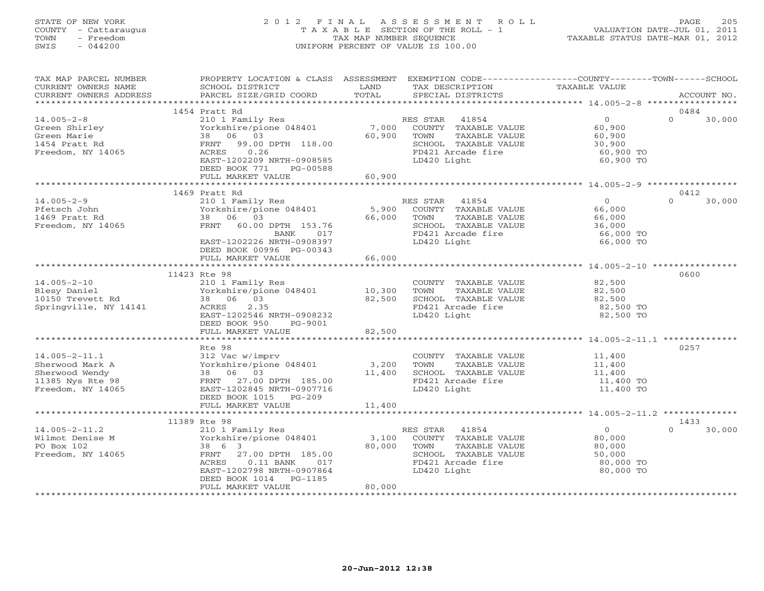# STATE OF NEW YORK 2 0 1 2 F I N A L A S S E S S M E N T R O L L PAGE 205 COUNTY - Cattaraugus T A X A B L E SECTION OF THE ROLL - 1 VALUATION DATE-JUL 01, 2011 TOWN - Freedom TAX MAP NUMBER SEQUENCE TAXABLE STATUS DATE-MAR 01, 2012 SWIS - 044200 UNIFORM PERCENT OF VALUE IS 100.00UNIFORM PERCENT OF VALUE IS 100.00

| TAX MAP PARCEL NUMBER<br>CURRENT OWNERS NAME<br>CURRENT OWNERS ADDRESS                            | PROPERTY LOCATION & CLASS ASSESSMENT<br>SCHOOL DISTRICT<br>PARCEL SIZE/GRID COORD                                                                                                                               | LAND<br>TOTAL              | EXEMPTION CODE-----------------COUNTY-------TOWN------SCHOOL<br>TAX DESCRIPTION<br>SPECIAL DISTRICTS                           | TAXABLE VALUE                                                          | ACCOUNT NO.                |
|---------------------------------------------------------------------------------------------------|-----------------------------------------------------------------------------------------------------------------------------------------------------------------------------------------------------------------|----------------------------|--------------------------------------------------------------------------------------------------------------------------------|------------------------------------------------------------------------|----------------------------|
|                                                                                                   |                                                                                                                                                                                                                 |                            |                                                                                                                                |                                                                        |                            |
| $14.005 - 2 - 8$<br>Green Shirley<br>Green Marie<br>1454 Pratt Rd<br>Freedom, NY 14065            | 1454 Pratt Rd<br>210 1 Family Res<br>Yorkshire/pione 048401<br>38 06 03<br>FRNT<br>99.00 DPTH 118.00<br>0.26<br>ACRES<br>EAST-1202209 NRTH-0908585<br>DEED BOOK 771<br>PG-00588<br>FULL MARKET VALUE            | 7,000<br>60,900<br>60,900  | RES STAR 41854<br>COUNTY TAXABLE VALUE<br>TAXABLE VALUE<br>TOWN<br>SCHOOL TAXABLE VALUE<br>FD421 Arcade fire<br>LD420 Light    | $\overline{0}$<br>60,900<br>60,900<br>30,900<br>60,900 TO<br>60,900 TO | 0484<br>$\Omega$<br>30,000 |
|                                                                                                   |                                                                                                                                                                                                                 |                            |                                                                                                                                |                                                                        |                            |
| $14.005 - 2 - 9$<br>Pfetsch John<br>1469 Pratt Rd<br>Freedom, NY 14065                            | 1469 Pratt Rd<br>210 1 Family Res<br>Yorkshire/pione 048401<br>38 06 03<br>FRNT 60.00 DPTH 153.76<br>017<br>BANK<br>EAST-1202226 NRTH-0908397<br>DEED BOOK 00996 PG-00343                                       | 5,900<br>66,000            | RES STAR 41854<br>COUNTY TAXABLE VALUE<br>TOWN<br>TAXABLE VALUE<br>SCHOOL TAXABLE VALUE<br>FD421 Arcade fire<br>LD420 Light    | $\Omega$<br>66,000<br>66,000<br>36,000<br>66,000 TO<br>66,000 TO       | 0412<br>$\Omega$<br>30,000 |
|                                                                                                   | FULL MARKET VALUE                                                                                                                                                                                               | 66,000                     |                                                                                                                                |                                                                        |                            |
|                                                                                                   |                                                                                                                                                                                                                 |                            |                                                                                                                                |                                                                        |                            |
| $14.005 - 2 - 10$<br>Blesy Daniel<br>10150 Trevett Rd<br>Springville, NY 14141                    | 11423 Rte 98<br>210 1 Family Res<br>Yorkshire/pione 048401<br>38 06 03<br>ACRES<br>2.35<br>EAST-1202546 NRTH-0908232<br>DEED BOOK 950<br>PG-9001<br>FULL MARKET VALUE                                           | 10,300<br>82,500<br>82,500 | COUNTY TAXABLE VALUE<br>TOWN<br>TAXABLE VALUE<br>SCHOOL TAXABLE VALUE<br>FD421 Arcade fire<br>LD420 Light                      | 82,500<br>82,500<br>82,500<br>82,500 TO<br>82,500 TO                   | 0600                       |
|                                                                                                   | ************************                                                                                                                                                                                        | ************               |                                                                                                                                |                                                                        |                            |
| $14.005 - 2 - 11.1$<br>Sherwood Mark A<br>Sherwood Wendy<br>11385 Nys Rte 98<br>Freedom, NY 14065 | Rte 98<br>312 Vac w/imprv<br>Yorkshire/pione 048401<br>38 06 03<br>FRNT 27.00 DPTH 185.00<br>EAST-1202845 NRTH-0907716<br>DEED BOOK 1015 PG-209                                                                 | 3,200<br>11,400            | COUNTY TAXABLE VALUE<br>TOWN<br>TAXABLE VALUE<br>SCHOOL TAXABLE VALUE<br>FD421 Arcade fire<br>LD420 Light                      | 11,400<br>11,400<br>11,400<br>11,400 TO<br>11,400 TO                   | 0257                       |
|                                                                                                   | FULL MARKET VALUE                                                                                                                                                                                               | 11,400                     |                                                                                                                                |                                                                        |                            |
|                                                                                                   |                                                                                                                                                                                                                 |                            |                                                                                                                                | *********************************** 14.005-2-11.2 ****                 |                            |
| $14.005 - 2 - 11.2$<br>Wilmot Denise M<br>PO Box 102<br>Freedom, NY 14065                         | 11389 Rte 98<br>210 1 Family Res<br>Yorkshire/pione 048401<br>38 6 3<br>FRNT<br>27.00 DPTH 185.00<br>ACRES<br>$0.11$ BANK<br>017<br>EAST-1202798 NRTH-0907864<br>DEED BOOK 1014<br>PG-1185<br>FULL MARKET VALUE | 3,100<br>80,000<br>80,000  | 41854<br>RES STAR<br>COUNTY TAXABLE VALUE<br>TOWN<br>TAXABLE VALUE<br>SCHOOL TAXABLE VALUE<br>FD421 Arcade fire<br>LD420 Light | $\Omega$<br>80,000<br>80,000<br>50,000<br>80,000 TO<br>80,000 TO       | 1433<br>$\Omega$<br>30,000 |
|                                                                                                   |                                                                                                                                                                                                                 |                            |                                                                                                                                |                                                                        |                            |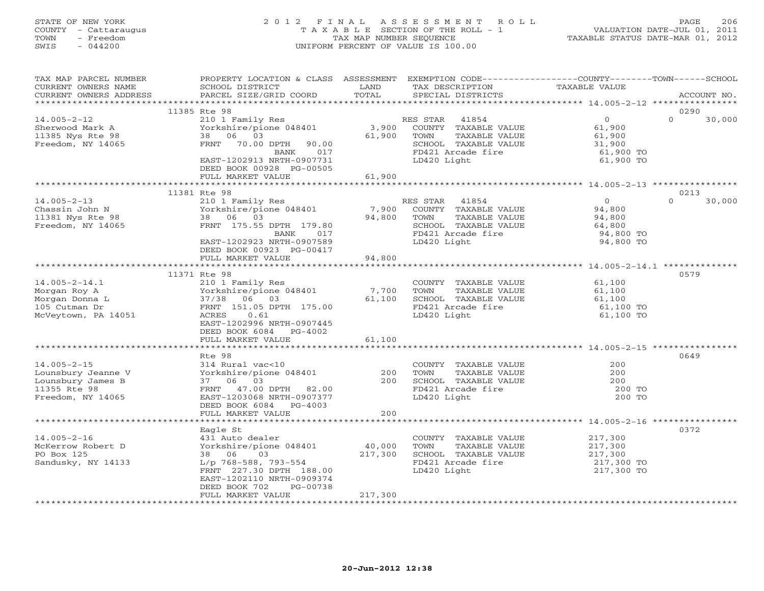# STATE OF NEW YORK 2 0 1 2 F I N A L A S S E S S M E N T R O L L PAGE 206 COUNTY - Cattaraugus T A X A B L E SECTION OF THE ROLL - 1 VALUATION DATE-JUL 01, 2011 TOWN - Freedom TAX MAP NUMBER SEQUENCE TAXABLE STATUS DATE-MAR 01, 2012 SWIS - 044200 UNIFORM PERCENT OF VALUE IS 100.00UNIFORM PERCENT OF VALUE IS 100.00

| TAX MAP PARCEL NUMBER<br>CURRENT OWNERS NAME<br>CURRENT OWNERS ADDRESS                            | PROPERTY LOCATION & CLASS ASSESSMENT<br>SCHOOL DISTRICT<br>PARCEL SIZE/GRID COORD                                                                                                                      | LAND<br>TOTAL                | EXEMPTION CODE-----------------COUNTY-------TOWN------SCHOOL<br>TAX DESCRIPTION<br>SPECIAL DISTRICTS                           | TAXABLE VALUE                                                    | ACCOUNT NO.                |
|---------------------------------------------------------------------------------------------------|--------------------------------------------------------------------------------------------------------------------------------------------------------------------------------------------------------|------------------------------|--------------------------------------------------------------------------------------------------------------------------------|------------------------------------------------------------------|----------------------------|
|                                                                                                   |                                                                                                                                                                                                        |                              |                                                                                                                                |                                                                  |                            |
| $14.005 - 2 - 12$<br>Sherwood Mark A<br>11385 Nys Rte 98<br>Freedom, NY 14065                     | 11385 Rte 98<br>210 1 Family Res<br>Yorkshire/pione 048401<br>06 03<br>38<br>70.00 DPTH<br>FRNT<br>90.00<br>017<br>BANK<br>EAST-1202913 NRTH-0907731<br>DEED BOOK 00928 PG-00505<br>FULL MARKET VALUE  | 3,900<br>61,900<br>61,900    | RES STAR<br>41854<br>COUNTY TAXABLE VALUE<br>TOWN<br>TAXABLE VALUE<br>SCHOOL TAXABLE VALUE<br>FD421 Arcade fire<br>LD420 Light | $\circ$<br>61,900<br>61,900<br>31,900<br>61,900 TO<br>61,900 TO  | 0290<br>$\Omega$<br>30,000 |
|                                                                                                   |                                                                                                                                                                                                        |                              |                                                                                                                                |                                                                  |                            |
| $14.005 - 2 - 13$<br>Chassin John N<br>11381 Nys Rte 98<br>Freedom, NY 14065                      | 11381 Rte 98<br>210 1 Family Res<br>Yorkshire/pione 048401<br>38 06 03<br>FRNT 175.55 DPTH 179.80<br>BANK<br>017<br>EAST-1202923 NRTH-0907589<br>DEED BOOK 00923 PG-00417                              | 7,900<br>94,800              | RES STAR<br>41854<br>COUNTY TAXABLE VALUE<br>TAXABLE VALUE<br>TOWN<br>SCHOOL TAXABLE VALUE<br>FD421 Arcade fire<br>LD420 Light | $\Omega$<br>94,800<br>94,800<br>64,800<br>94,800 TO<br>94,800 TO | 0213<br>$\Omega$<br>30,000 |
|                                                                                                   | FULL MARKET VALUE                                                                                                                                                                                      | 94,800                       |                                                                                                                                |                                                                  |                            |
|                                                                                                   |                                                                                                                                                                                                        |                              |                                                                                                                                |                                                                  |                            |
| $14.005 - 2 - 14.1$<br>Morgan Roy A<br>Morgan Donna L<br>105 Cutman Dr<br>McVeytown, PA 14051     | 11371 Rte 98<br>210 1 Family Res<br>Yorkshire/pione 048401<br>37/38<br>06 03<br>FRNT 151.05 DPTH 175.00<br>ACRES<br>0.61<br>EAST-1202996 NRTH-0907445<br>DEED BOOK 6084 PG-4002<br>FULL MARKET VALUE   | 7,700<br>61,100<br>61,100    | COUNTY TAXABLE VALUE<br>TOWN<br>TAXABLE VALUE<br>SCHOOL TAXABLE VALUE<br>FD421 Arcade fire<br>LD420 Light                      | 61,100<br>61,100<br>61,100<br>61,100 TO<br>61,100 TO             | 0579                       |
|                                                                                                   | *************************                                                                                                                                                                              |                              |                                                                                                                                |                                                                  |                            |
| $14.005 - 2 - 15$<br>Lounsbury Jeanne V<br>Lounsbury James B<br>11355 Rte 98<br>Freedom, NY 14065 | Rte 98<br>314 Rural vac<10<br>Yorkshire/pione 048401<br>37 06 03<br>FRNT<br>47.00 DPTH 82.00<br>EAST-1203068 NRTH-0907377<br>DEED BOOK 6084 PG-4003<br>FULL MARKET VALUE                               | 200<br>200<br>200            | COUNTY TAXABLE VALUE<br>TOWN<br>TAXABLE VALUE<br>SCHOOL TAXABLE VALUE<br>FD421 Arcade fire<br>LD420 Light                      | 200<br>200<br>200<br>200 TO<br>200 TO                            | 0649                       |
|                                                                                                   |                                                                                                                                                                                                        |                              |                                                                                                                                |                                                                  |                            |
| $14.005 - 2 - 16$<br>McKerrow Robert D<br>PO Box 125<br>Sandusky, NY 14133                        | Eagle St<br>431 Auto dealer<br>Yorkshire/pione 048401<br>38 06<br>03<br>L/p 768-588, 793-554<br>FRNT 227.30 DPTH 188.00<br>EAST-1202110 NRTH-0909374<br>DEED BOOK 702<br>PG-00738<br>FULL MARKET VALUE | 40,000<br>217,300<br>217,300 | COUNTY TAXABLE VALUE<br>TAXABLE VALUE<br>TOWN<br>SCHOOL TAXABLE VALUE<br>FD421 Arcade fire<br>LD420 Light                      | 217,300<br>217,300<br>217,300<br>217,300 TO<br>217,300 TO        | 0372                       |
|                                                                                                   | ************************                                                                                                                                                                               |                              |                                                                                                                                |                                                                  |                            |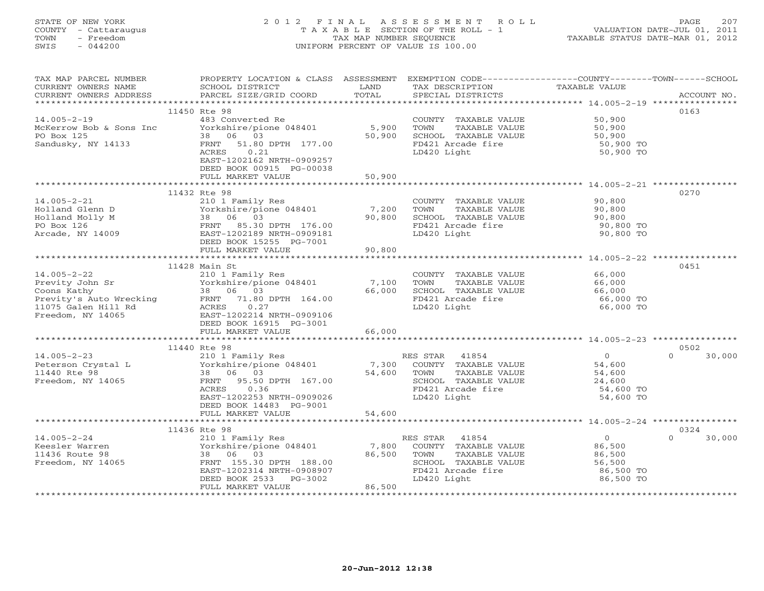# STATE OF NEW YORK 2 0 1 2 F I N A L A S S E S S M E N T R O L L PAGE 207 COUNTY - Cattaraugus T A X A B L E SECTION OF THE ROLL - 1 VALUATION DATE-JUL 01, 2011 TOWN - Freedom TAX MAP NUMBER SEQUENCE TAXABLE STATUS DATE-MAR 01, 2012 SWIS - 044200 UNIFORM PERCENT OF VALUE IS 100.00UNIFORM PERCENT OF VALUE IS 100.00

| TAX MAP PARCEL NUMBER   | PROPERTY LOCATION & CLASS ASSESSMENT EXEMPTION CODE---------------COUNTY-------TOWN------SCHOOL |            |                                               |                  |                    |
|-------------------------|-------------------------------------------------------------------------------------------------|------------|-----------------------------------------------|------------------|--------------------|
| CURRENT OWNERS NAME     | SCHOOL DISTRICT                                                                                 | LAND       | TAX DESCRIPTION                               | TAXABLE VALUE    |                    |
| CURRENT OWNERS ADDRESS  | PARCEL SIZE/GRID COORD                                                                          | TOTAL      | SPECIAL DISTRICTS                             |                  | ACCOUNT NO.        |
|                         |                                                                                                 |            |                                               |                  |                    |
|                         | 11450 Rte 98                                                                                    |            |                                               |                  | 0163               |
| $14.005 - 2 - 19$       | 483 Converted Re                                                                                |            | COUNTY TAXABLE VALUE                          | 50,900           |                    |
| McKerrow Bob & Sons Inc | Yorkshire/pione 048401                                                                          | 5,900      | TOWN<br>TAXABLE VALUE                         | 50,900           |                    |
| PO Box 125              | 38 06 03                                                                                        | 50,900     | SCHOOL TAXABLE VALUE                          | 50,900           |                    |
| Sandusky, NY 14133      | FRNT 51.80 DPTH 177.00                                                                          |            | FD421 Arcade fire                             | 50,900 TO        |                    |
|                         | 0.21<br>ACRES                                                                                   |            | LD420 Light                                   | 50,900 TO        |                    |
|                         | EAST-1202162 NRTH-0909257                                                                       |            |                                               |                  |                    |
|                         | DEED BOOK 00915 PG-00038                                                                        |            |                                               |                  |                    |
|                         | FULL MARKET VALUE                                                                               | 50,900     |                                               |                  |                    |
|                         |                                                                                                 |            |                                               |                  | 0270               |
| $14.005 - 2 - 21$       | 11432 Rte 98                                                                                    |            |                                               |                  |                    |
| Holland Glenn D         | 210 1 Family Res<br>Yorkshire/pione 048401                                                      | 7,200      | COUNTY TAXABLE VALUE<br>TOWN<br>TAXABLE VALUE | 90,800<br>90,800 |                    |
| Holland Molly M         | 38 06 03                                                                                        | 90,800     | SCHOOL TAXABLE VALUE                          | 90,800           |                    |
| PO Box 126              | FRNT 85.30 DPTH 176.00                                                                          |            | FD421 Arcade fire                             | 90,800 TO        |                    |
| Arcade, NY 14009        | EAST-1202189 NRTH-0909181                                                                       |            | LD420 Light                                   | 90,800 TO        |                    |
|                         | DEED BOOK 15255 PG-7001                                                                         |            |                                               |                  |                    |
|                         | FULL MARKET VALUE                                                                               | 90,800     |                                               |                  |                    |
|                         |                                                                                                 |            |                                               |                  |                    |
|                         | 11428 Main St                                                                                   |            |                                               |                  | 0451               |
| $14.005 - 2 - 22$       | 210 1 Family Res                                                                                |            | COUNTY TAXABLE VALUE                          | 66,000           |                    |
| Previty John Sr         | Yorkshire/pione 048401                                                                          | 7,100      | TOWN<br>TAXABLE VALUE                         | 66,000           |                    |
| Coons Kathy             | 38 06 03                                                                                        | 66,000     | SCHOOL TAXABLE VALUE                          | 66,000           |                    |
| Previty's Auto Wrecking | FRNT 71.80 DPTH 164.00                                                                          |            | FD421 Arcade fire                             | 66,000 TO        |                    |
| 11075 Galen Hill Rd     | 0.27<br>ACRES                                                                                   |            | LD420 Light                                   | 66,000 TO        |                    |
| Freedom, NY 14065       | EAST-1202214 NRTH-0909106                                                                       |            |                                               |                  |                    |
|                         | DEED BOOK 16915 PG-3001                                                                         |            |                                               |                  |                    |
|                         | FULL MARKET VALUE                                                                               | 66,000     |                                               |                  |                    |
|                         | *************************                                                                       | ********** |                                               |                  |                    |
|                         | 11440 Rte 98                                                                                    |            |                                               |                  | 0502               |
| $14.005 - 2 - 23$       | 210 1 Family Res                                                                                |            | 41854<br>RES STAR                             | $\overline{0}$   | $\Omega$<br>30,000 |
| Peterson Crystal L      | Yorkshire/pione 048401                                                                          | 7,300      | COUNTY TAXABLE VALUE                          | 54,600           |                    |
| 11440 Rte 98            | 38 06 03                                                                                        | 54,600     | TAXABLE VALUE<br>TOWN                         | 54,600           |                    |
| Freedom, NY 14065       | 95.50 DPTH 167.00<br>FRNT                                                                       |            | SCHOOL TAXABLE VALUE                          | 24,600           |                    |
|                         | 0.36<br>ACRES                                                                                   |            | FD421 Arcade fire                             | 54,600 TO        |                    |
|                         | EAST-1202253 NRTH-0909026                                                                       |            | LD420 Light                                   | 54,600 TO        |                    |
|                         | DEED BOOK 14483 PG-9001                                                                         |            |                                               |                  |                    |
|                         | FULL MARKET VALUE                                                                               | 54,600     |                                               |                  |                    |
|                         | ****************************                                                                    |            |                                               |                  |                    |
|                         | 11436 Rte 98                                                                                    |            |                                               |                  | 0324               |
| $14.005 - 2 - 24$       | 210 1 Family Res                                                                                |            | 41854<br>RES STAR                             | $\overline{0}$   | $\Omega$<br>30,000 |
| Keesler Warren          | Yorkshire/pione 048401                                                                          | 7,800      | COUNTY TAXABLE VALUE                          | 86,500           |                    |
| 11436 Route 98          | 38 06 03                                                                                        | 86,500     | TOWN<br>TAXABLE VALUE                         | 86,500           |                    |
| Freedom, NY 14065       | FRNT 155.30 DPTH 188.00                                                                         |            | SCHOOL TAXABLE VALUE<br>FD421 Arcade fire     | 56,500           |                    |
|                         | EAST-1202314 NRTH-0908907                                                                       |            |                                               | 86,500 TO        |                    |
|                         | DEED BOOK 2533<br>PG-3002<br>FULL MARKET VALUE                                                  | 86,500     | LD420 Light                                   | 86,500 TO        |                    |
|                         |                                                                                                 |            |                                               |                  |                    |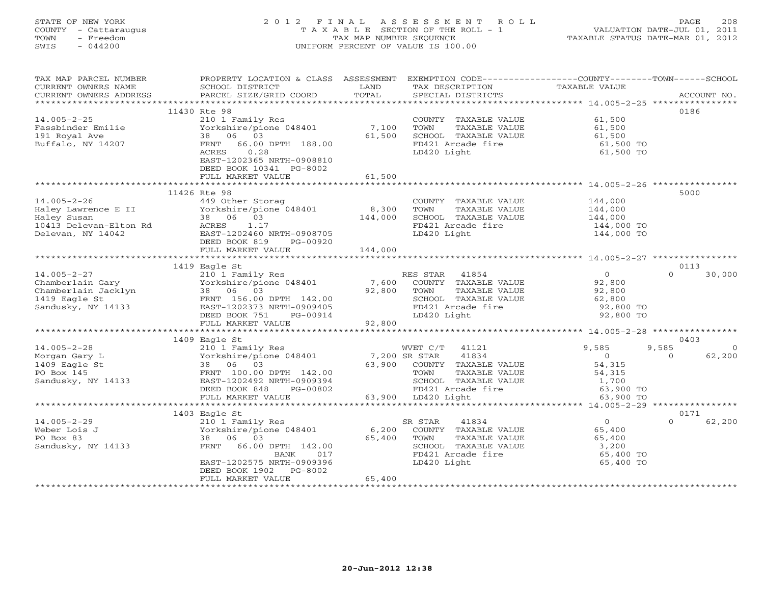# STATE OF NEW YORK 2 0 1 2 F I N A L A S S E S S M E N T R O L L PAGE 208 COUNTY - Cattaraugus T A X A B L E SECTION OF THE ROLL - 1 VALUATION DATE-JUL 01, 2011 TOWN - Freedom TAX MAP NUMBER SEQUENCE TAXABLE STATUS DATE-MAR 01, 2012 SWIS - 044200 UNIFORM PERCENT OF VALUE IS 100.00UNIFORM PERCENT OF VALUE IS 100.00

| TAX MAP PARCEL NUMBER<br>CURRENT OWNERS NAME<br>CURRENT OWNERS ADDRESS                                                                                                                                                                                                                                                                                                                                                                                                                                                 | PROPERTY LOCATION & CLASS ASSESSMENT<br>SCHOOL DISTRICT | LAND    | EXEMPTION CODE-----------------COUNTY-------TOWN------SCHOOL<br>TAX DESCRIPTION      | TAXABLE VALUE            |                    |          |
|------------------------------------------------------------------------------------------------------------------------------------------------------------------------------------------------------------------------------------------------------------------------------------------------------------------------------------------------------------------------------------------------------------------------------------------------------------------------------------------------------------------------|---------------------------------------------------------|---------|--------------------------------------------------------------------------------------|--------------------------|--------------------|----------|
| $\begin{minipage}{.45\textwidth} \begin{minipage}{.45\textwidth} \begin{minipage}{.45\textwidth} \begin{minipage}{.45\textwidth} \begin{minipage}{.45\textwidth} \begin{minipage}{.45\textwidth} \begin{minipage}{.45\textwidth} \begin{minipage}{.45\textwidth} \begin{minipage}{.45\textwidth} \begin{minipage}{.45\textwidth} \begin{minipage}{.45\textwidth} \begin{minipage}{.45\textwidth} \begin{minipage}{.45\textwidth} \begin{minipage}{.45\textwidth} \begin{minipage}{.45\textwidth} \begin{minipage}{.45$ |                                                         |         |                                                                                      |                          |                    |          |
|                                                                                                                                                                                                                                                                                                                                                                                                                                                                                                                        | 11430 Rte 98                                            |         |                                                                                      |                          | 0186               |          |
| $14.005 - 2 - 25$                                                                                                                                                                                                                                                                                                                                                                                                                                                                                                      | 210 1 Family Res<br>Yorkshire/pione 048401 7,100        |         | COUNTY TAXABLE VALUE                                                                 | 61,500                   |                    |          |
| Fassbinder Emilie                                                                                                                                                                                                                                                                                                                                                                                                                                                                                                      |                                                         |         | TOWN<br>TAXABLE VALUE                                                                | 61,500                   |                    |          |
| 191 Royal Ave                                                                                                                                                                                                                                                                                                                                                                                                                                                                                                          | 38 06 03                                                | 61,500  | SCHOOL TAXABLE VALUE                                                                 | 61,500                   |                    |          |
| Buffalo, NY 14207                                                                                                                                                                                                                                                                                                                                                                                                                                                                                                      | FRNT 66.00 DPTH 188.00                                  |         | FD421 Arcade fire                                                                    | 61,500 TO                |                    |          |
|                                                                                                                                                                                                                                                                                                                                                                                                                                                                                                                        | ACRES<br>0.28                                           |         | LD420 Light                                                                          | 61,500 TO                |                    |          |
|                                                                                                                                                                                                                                                                                                                                                                                                                                                                                                                        | EAST-1202365 NRTH-0908810                               |         |                                                                                      |                          |                    |          |
|                                                                                                                                                                                                                                                                                                                                                                                                                                                                                                                        | DEED BOOK 10341 PG-8002                                 |         |                                                                                      |                          |                    |          |
|                                                                                                                                                                                                                                                                                                                                                                                                                                                                                                                        | FULL MARKET VALUE                                       | 61,500  |                                                                                      |                          |                    |          |
|                                                                                                                                                                                                                                                                                                                                                                                                                                                                                                                        | 11426 Rte 98                                            |         |                                                                                      |                          | 5000               |          |
| $14.005 - 2 - 26$                                                                                                                                                                                                                                                                                                                                                                                                                                                                                                      | 449 Other Storag                                        |         | COUNTY TAXABLE VALUE 144,000                                                         |                          |                    |          |
| Faley Lawrence E II Forkshire/pione 048401 8,300                                                                                                                                                                                                                                                                                                                                                                                                                                                                       |                                                         |         | TOWN<br>TAXABLE VALUE                                                                | 144,000                  |                    |          |
| Haley Susan                                                                                                                                                                                                                                                                                                                                                                                                                                                                                                            | 38 06 03                                                | 144,000 | SCHOOL TAXABLE VALUE                                                                 | 144,000                  |                    |          |
| 10413 Delevan-Elton Rd<br>Roleim My 14040                                                                                                                                                                                                                                                                                                                                                                                                                                                                              |                                                         |         | FD421 Arcade fire                                                                    | 144,000 TO               |                    |          |
| Delevan, NY 14042                                                                                                                                                                                                                                                                                                                                                                                                                                                                                                      | EAST-1202460 NRTH-0908705                               |         | LD420 Light                                                                          | 144,000 TO               |                    |          |
|                                                                                                                                                                                                                                                                                                                                                                                                                                                                                                                        | DEED BOOK 819 PG-00920                                  |         |                                                                                      |                          |                    |          |
|                                                                                                                                                                                                                                                                                                                                                                                                                                                                                                                        | FULL MARKET VALUE                                       | 144,000 |                                                                                      |                          |                    |          |
|                                                                                                                                                                                                                                                                                                                                                                                                                                                                                                                        |                                                         |         |                                                                                      |                          |                    |          |
|                                                                                                                                                                                                                                                                                                                                                                                                                                                                                                                        | 1419 Eagle St                                           |         |                                                                                      |                          | 0113               |          |
|                                                                                                                                                                                                                                                                                                                                                                                                                                                                                                                        |                                                         |         |                                                                                      |                          | $\Omega$<br>30,000 |          |
|                                                                                                                                                                                                                                                                                                                                                                                                                                                                                                                        |                                                         |         |                                                                                      |                          |                    |          |
|                                                                                                                                                                                                                                                                                                                                                                                                                                                                                                                        |                                                         |         |                                                                                      |                          |                    |          |
|                                                                                                                                                                                                                                                                                                                                                                                                                                                                                                                        |                                                         |         |                                                                                      |                          |                    |          |
| 14.005-2-27<br>Chamberlain Gary 210 1 Family Res RES STAR 41854 0<br>Chamberlain Jacklyn 38 06 03 92,800 TOWN TAXABLE VALUE 92,800<br>1419 Eagle St FRNT 156.00 DPTH 142.00 92,800 TOWN TAXABLE VALUE 92,800<br>Sandusky, NY 14133 EA                                                                                                                                                                                                                                                                                  |                                                         |         |                                                                                      | 92,800 TO                |                    |          |
|                                                                                                                                                                                                                                                                                                                                                                                                                                                                                                                        | DEED BOOK 751 PG-00914<br>FULL MARKET VALUE 92,800      |         | LD420 Light                                                                          | 92,800 TO                |                    |          |
|                                                                                                                                                                                                                                                                                                                                                                                                                                                                                                                        |                                                         |         |                                                                                      |                          |                    |          |
|                                                                                                                                                                                                                                                                                                                                                                                                                                                                                                                        | 1409 Eagle St                                           |         |                                                                                      |                          | 0403               |          |
| $[14.005-2-28$ Morgan Gary L<br>Morgan Gary L<br>1409 Eagle St<br>210 1 Family Res<br>Yorkshire/pione 048401<br>210 1 Family Res<br>Yorkshire/pione 048401<br>7,200 SR STAR<br>7,200 SR STAR<br>200 SR STAR<br>200 SR STAR<br>200 SR STAR<br>200 SR S                                                                                                                                                                                                                                                                  |                                                         |         |                                                                                      | 9,585                    | 9,585              | $\Omega$ |
|                                                                                                                                                                                                                                                                                                                                                                                                                                                                                                                        |                                                         |         |                                                                                      | $\sim$ 0                 | 62,200<br>$\Omega$ |          |
|                                                                                                                                                                                                                                                                                                                                                                                                                                                                                                                        |                                                         |         |                                                                                      | 54,315                   |                    |          |
|                                                                                                                                                                                                                                                                                                                                                                                                                                                                                                                        |                                                         |         | TAXABLE VALUE                                                                        | 54,315                   |                    |          |
|                                                                                                                                                                                                                                                                                                                                                                                                                                                                                                                        |                                                         |         |                                                                                      |                          |                    |          |
|                                                                                                                                                                                                                                                                                                                                                                                                                                                                                                                        | PG-00802<br>DEED BOOK 848                               |         | SCHOOL TAXABLE VALUE $1,700$<br>FD421 Arcade fire 63,900 TO<br>LD420 Light 63,900 TO |                          |                    |          |
|                                                                                                                                                                                                                                                                                                                                                                                                                                                                                                                        | FULL MARKET VALUE                                       |         | 63,900 LD420 Light                                                                   |                          |                    |          |
|                                                                                                                                                                                                                                                                                                                                                                                                                                                                                                                        |                                                         |         |                                                                                      |                          |                    |          |
|                                                                                                                                                                                                                                                                                                                                                                                                                                                                                                                        | 1403 Eagle St                                           |         |                                                                                      |                          | 0171               |          |
| $14.005 - 2 - 29$                                                                                                                                                                                                                                                                                                                                                                                                                                                                                                      |                                                         |         |                                                                                      | $\overline{O}$<br>65,400 | 62,200<br>$\Omega$ |          |
| Weber Lois J                                                                                                                                                                                                                                                                                                                                                                                                                                                                                                           | 38 06 03                                                |         |                                                                                      |                          |                    |          |
| PO Box 83<br>Sandusky, NY 14133                                                                                                                                                                                                                                                                                                                                                                                                                                                                                        | FRNT 66.00 DPTH 142.00                                  | 65,400  | TOWN<br>TAXABLE VALUE<br>SCHOOL TAXABLE VALUE                                        | 65,400<br>3,200          |                    |          |
|                                                                                                                                                                                                                                                                                                                                                                                                                                                                                                                        | BANK<br>017                                             |         | FD421 Arcade fire                                                                    | 65,400 TO                |                    |          |
|                                                                                                                                                                                                                                                                                                                                                                                                                                                                                                                        | EAST-1202575 NRTH-0909396                               |         | LD420 Light                                                                          | 65,400 TO                |                    |          |
|                                                                                                                                                                                                                                                                                                                                                                                                                                                                                                                        | DEED BOOK 1902 PG-8002                                  |         |                                                                                      |                          |                    |          |
|                                                                                                                                                                                                                                                                                                                                                                                                                                                                                                                        | FULL MARKET VALUE                                       | 65,400  |                                                                                      |                          |                    |          |
|                                                                                                                                                                                                                                                                                                                                                                                                                                                                                                                        |                                                         |         |                                                                                      |                          |                    |          |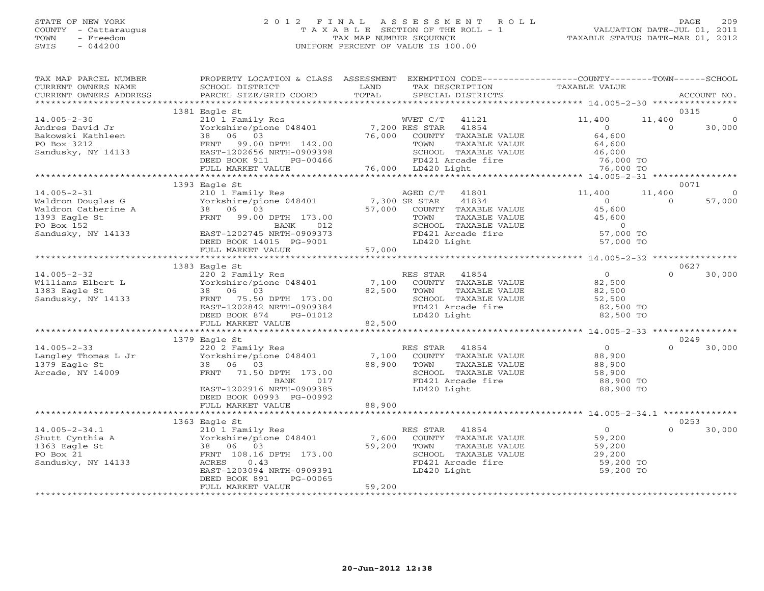# STATE OF NEW YORK 2 0 1 2 F I N A L A S S E S S M E N T R O L L PAGE 209 COUNTY - Cattaraugus T A X A B L E SECTION OF THE ROLL - 1 VALUATION DATE-JUL 01, 2011 TOWN - Freedom TAX MAP NUMBER SEQUENCE TAXABLE STATUS DATE-MAR 01, 2012 SWIS - 044200 UNIFORM PERCENT OF VALUE IS 100.00UNIFORM PERCENT OF VALUE IS 100.00

| TAX MAP PARCEL NUMBER<br>CURRENT OWNERS NAME                                                                                                                                                                                                                               | PROPERTY LOCATION & CLASS ASSESSMENT EXEMPTION CODE---------------COUNTY-------TOWN------SCHOOL<br>SCHOOL DISTRICT                                                                                                                                                          | LAND<br>TOTAL | TAX DESCRIPTION                                                                                              | TAXABLE VALUE       |          |                |
|----------------------------------------------------------------------------------------------------------------------------------------------------------------------------------------------------------------------------------------------------------------------------|-----------------------------------------------------------------------------------------------------------------------------------------------------------------------------------------------------------------------------------------------------------------------------|---------------|--------------------------------------------------------------------------------------------------------------|---------------------|----------|----------------|
| CURRENT OWNERS ADDRESS                                                                                                                                                                                                                                                     | PARCEL SIZE/GRID COORD                                                                                                                                                                                                                                                      |               | SPECIAL DISTRICTS                                                                                            |                     |          | ACCOUNT NO.    |
|                                                                                                                                                                                                                                                                            | 1381 Eagle St                                                                                                                                                                                                                                                               |               |                                                                                                              |                     |          | 0315           |
| $14.005 - 2 - 30$                                                                                                                                                                                                                                                          |                                                                                                                                                                                                                                                                             |               |                                                                                                              |                     |          |                |
|                                                                                                                                                                                                                                                                            |                                                                                                                                                                                                                                                                             |               |                                                                                                              |                     |          |                |
|                                                                                                                                                                                                                                                                            |                                                                                                                                                                                                                                                                             |               |                                                                                                              |                     |          |                |
| Andres David Jr<br>Bakowski Kathleen<br>PO Box 3212<br>Sandusky, NY 14133                                                                                                                                                                                                  |                                                                                                                                                                                                                                                                             |               |                                                                                                              |                     |          |                |
|                                                                                                                                                                                                                                                                            |                                                                                                                                                                                                                                                                             |               |                                                                                                              |                     |          |                |
|                                                                                                                                                                                                                                                                            |                                                                                                                                                                                                                                                                             |               |                                                                                                              |                     |          |                |
|                                                                                                                                                                                                                                                                            |                                                                                                                                                                                                                                                                             |               |                                                                                                              |                     |          |                |
|                                                                                                                                                                                                                                                                            | 1393 Eagle St                                                                                                                                                                                                                                                               |               |                                                                                                              |                     |          | 0071           |
| 14.005-2-31<br>Waldron Douglas G<br>Waldron Catherine A<br>1393 Eagle St<br>210 1 Family Res<br>Yorkshire/pione 048401<br>239 G<br>239 G<br>239 G<br>239 G<br>239 G<br>239 G<br>239 G<br>239 G<br>239 G<br>239 G<br>239 G<br>239 G<br>239 G<br>239 G<br>239 G<br>239 G<br> |                                                                                                                                                                                                                                                                             |               |                                                                                                              | 11,400              | 11,400   | $\overline{0}$ |
|                                                                                                                                                                                                                                                                            |                                                                                                                                                                                                                                                                             |               |                                                                                                              | $\Omega$            | $\Omega$ | 57,000         |
|                                                                                                                                                                                                                                                                            |                                                                                                                                                                                                                                                                             |               |                                                                                                              | 45,600              |          |                |
|                                                                                                                                                                                                                                                                            |                                                                                                                                                                                                                                                                             |               |                                                                                                              |                     |          |                |
|                                                                                                                                                                                                                                                                            |                                                                                                                                                                                                                                                                             |               |                                                                                                              |                     |          |                |
| Sandusky, NY 14133                                                                                                                                                                                                                                                         | EAST-1202745 NRTH-090373<br>DEED BOOK 14015 PG-9001 57,000<br>FULL MARKET VALUE 57,000                                                                                                                                                                                      |               | TOWN TAXABLE VALUE 45,600<br>SCHOOL TAXABLE VALUE 45,600<br>FD421 Arcade fire 57,000 TO<br>FD421 Arcade fire |                     |          |                |
|                                                                                                                                                                                                                                                                            |                                                                                                                                                                                                                                                                             |               | LD420 Light                                                                                                  | 57,000 TO           |          |                |
|                                                                                                                                                                                                                                                                            |                                                                                                                                                                                                                                                                             |               |                                                                                                              |                     |          |                |
|                                                                                                                                                                                                                                                                            |                                                                                                                                                                                                                                                                             |               |                                                                                                              |                     |          |                |
|                                                                                                                                                                                                                                                                            | 1383 Eagle St                                                                                                                                                                                                                                                               |               |                                                                                                              | $\overline{0}$      | $\Omega$ | 0627           |
| $14.005 - 2 - 32$                                                                                                                                                                                                                                                          |                                                                                                                                                                                                                                                                             |               |                                                                                                              | 82,500              |          | 30,000         |
|                                                                                                                                                                                                                                                                            |                                                                                                                                                                                                                                                                             |               |                                                                                                              | 82,500              |          |                |
| Williams Elbert L<br>1383 Eagle St<br>Sandusky, NY 14133<br>Sandusky, NY 14133                                                                                                                                                                                             |                                                                                                                                                                                                                                                                             |               |                                                                                                              | 52,500              |          |                |
|                                                                                                                                                                                                                                                                            |                                                                                                                                                                                                                                                                             |               | TOWN IBARDUR<br>SCHOOL TAXABLE VALUE<br>ED121 Arcade fire                                                    | 82,500 TO           |          |                |
|                                                                                                                                                                                                                                                                            |                                                                                                                                                                                                                                                                             |               |                                                                                                              | 82,500 TO           |          |                |
|                                                                                                                                                                                                                                                                            | Eagle St<br>220 2 Family Res<br>Yorkshire/pione 048401<br>38 06 03<br>FRNT 75.50 DPTH 173.00<br>EAST-1202842 NRTH-0909384<br>PERIT 75.00<br>EAST-1202842 NRTH-0909384<br>PERIT ROOK 874<br>PERIT ROOK 874<br>PERIT ROOK 874<br>PERIT ROOK 874<br>PERIT<br>FULL MARKET VALUE | 82,500        |                                                                                                              |                     |          |                |
|                                                                                                                                                                                                                                                                            |                                                                                                                                                                                                                                                                             |               |                                                                                                              |                     |          |                |
|                                                                                                                                                                                                                                                                            | 1379 Eagle St                                                                                                                                                                                                                                                               |               |                                                                                                              |                     |          | 0249           |
| $14.005 - 2 - 33$                                                                                                                                                                                                                                                          | 220 2 Family Res<br>Yorkshire/pione 048401 7,100 COUNTY TAXABLE VALUE<br>38 06 03 88,900 TOWN TAXABLE VALUE                                                                                                                                                                 |               |                                                                                                              | $\overline{0}$      | $\cap$   | 30,000         |
| Langley Thomas L Jr<br>1379 Eagle St                                                                                                                                                                                                                                       |                                                                                                                                                                                                                                                                             |               |                                                                                                              | 88,900              |          |                |
|                                                                                                                                                                                                                                                                            | 38 06 03                                                                                                                                                                                                                                                                    | 88,900 TOWN   | TAXABLE VALUE                                                                                                | 88,900              |          |                |
| Arcade, NY 14009                                                                                                                                                                                                                                                           | FRNT 71.50 DPTH 173.00<br>017<br>BANK                                                                                                                                                                                                                                       |               | SCHOOL TAXABLE VALUE<br>FD421 Arcade fire                                                                    | 58,900<br>88,900 TO |          |                |
|                                                                                                                                                                                                                                                                            | EAST-1202916 NRTH-0909385                                                                                                                                                                                                                                                   |               | LD420 Light                                                                                                  | 88,900 TO           |          |                |
|                                                                                                                                                                                                                                                                            | DEED BOOK 00993 PG-00992                                                                                                                                                                                                                                                    |               |                                                                                                              |                     |          |                |
|                                                                                                                                                                                                                                                                            | FULL MARKET VALUE                                                                                                                                                                                                                                                           | 88,900        |                                                                                                              |                     |          |                |
|                                                                                                                                                                                                                                                                            |                                                                                                                                                                                                                                                                             |               |                                                                                                              |                     |          |                |
|                                                                                                                                                                                                                                                                            | 1363 Eagle St                                                                                                                                                                                                                                                               |               |                                                                                                              |                     |          | 0253           |
| $14.005 - 2 - 34.1$                                                                                                                                                                                                                                                        | 210 1 Family Res                                                                                                                                                                                                                                                            |               | RES STAR 41854                                                                                               | $\overline{0}$      | $\Omega$ | 30,000         |
| Shutt Cynthia A                                                                                                                                                                                                                                                            |                                                                                                                                                                                                                                                                             |               |                                                                                                              | 59,200<br>59,200    |          |                |
| 1363 Eagle St                                                                                                                                                                                                                                                              | 38 06 03                                                                                                                                                                                                                                                                    |               |                                                                                                              |                     |          |                |
| PO Box 21                                                                                                                                                                                                                                                                  | FRNT 108.16 DPTH 173.00                                                                                                                                                                                                                                                     |               | SCHOOL TAXABLE VALUE                                                                                         | 29,200              |          |                |
| Sandusky, NY 14133                                                                                                                                                                                                                                                         | ACRES<br>0.43                                                                                                                                                                                                                                                               |               | FD421 Arcade fire                                                                                            | 59,200 TO           |          |                |
|                                                                                                                                                                                                                                                                            | EAST-1203094 NRTH-0909391<br>DEED BOOK 891<br>PG-00065                                                                                                                                                                                                                      |               | LD420 Light                                                                                                  | 59,200 TO           |          |                |
|                                                                                                                                                                                                                                                                            | FULL MARKET VALUE                                                                                                                                                                                                                                                           | 59,200        |                                                                                                              |                     |          |                |
|                                                                                                                                                                                                                                                                            |                                                                                                                                                                                                                                                                             |               |                                                                                                              |                     |          |                |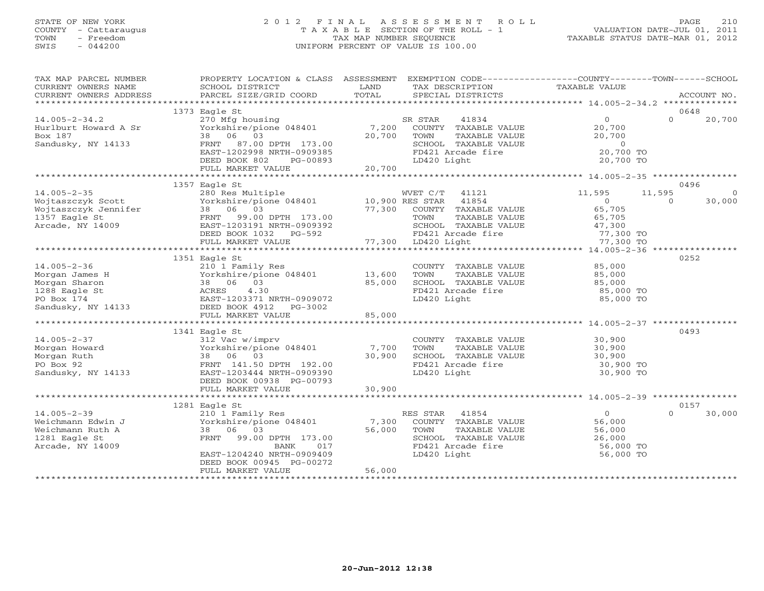# STATE OF NEW YORK 2 0 1 2 F I N A L A S S E S S M E N T R O L L PAGE 210 COUNTY - Cattaraugus T A X A B L E SECTION OF THE ROLL - 1 VALUATION DATE-JUL 01, 2011 TOWN - Freedom TAX MAP NUMBER SEQUENCE TAXABLE STATUS DATE-MAR 01, 2012 SWIS - 044200 UNIFORM PERCENT OF VALUE IS 100.00UNIFORM PERCENT OF VALUE IS 100.00

| TAX MAP PARCEL NUMBER<br>CURRENT OWNERS NAME                                                                                                                                                                                                                                                                                                                                                                                                                                    | PROPERTY LOCATION & CLASS ASSESSMENT EXEMPTION CODE---------------COUNTY-------TOWN------SCHOOL<br>SCHOOL DISTRICT | LAND           | TAX DESCRIPTION                                            | TAXABLE VALUE                                                                |                            |         |
|---------------------------------------------------------------------------------------------------------------------------------------------------------------------------------------------------------------------------------------------------------------------------------------------------------------------------------------------------------------------------------------------------------------------------------------------------------------------------------|--------------------------------------------------------------------------------------------------------------------|----------------|------------------------------------------------------------|------------------------------------------------------------------------------|----------------------------|---------|
| CURRENT OWNERS ADDRESS                                                                                                                                                                                                                                                                                                                                                                                                                                                          | PARCEL SIZE/GRID COORD                                                                                             | TOTAL          | SPECIAL DISTRICTS                                          |                                                                              | ACCOUNT NO.                |         |
|                                                                                                                                                                                                                                                                                                                                                                                                                                                                                 |                                                                                                                    |                |                                                            |                                                                              |                            |         |
| $14.005 - 2 - 34.2$                                                                                                                                                                                                                                                                                                                                                                                                                                                             | 1373 Eagle St<br>270 Mfg housing                                                                                   |                | SR STAR<br>41834                                           | $\overline{0}$                                                               | 0648<br>$\Omega$<br>20,700 |         |
| Hurlburt Howard A Sr                                                                                                                                                                                                                                                                                                                                                                                                                                                            | Yorkshire/pione 048401                                                                                             |                | 7,200 COUNTY TAXABLE VALUE                                 | 20,700                                                                       |                            |         |
| Box 187                                                                                                                                                                                                                                                                                                                                                                                                                                                                         | 38 06 03                                                                                                           | 20,700         | TOWN<br>TAXABLE VALUE                                      | 20,700                                                                       |                            |         |
| Sandusky, NY 14133                                                                                                                                                                                                                                                                                                                                                                                                                                                              | FRNT 87.00 DPTH 173.00                                                                                             |                | SCHOOL TAXABLE VALUE                                       |                                                                              |                            |         |
|                                                                                                                                                                                                                                                                                                                                                                                                                                                                                 | EAST-1202998 NRTH-0909385                                                                                          |                | FD421 Arcade fire                                          | $\begin{array}{ccccc}\n\text{UE} & & & 0 \\ 20,700 & \text{TO}\n\end{array}$ |                            |         |
|                                                                                                                                                                                                                                                                                                                                                                                                                                                                                 | DEED BOOK 802<br>PG-00893                                                                                          | 0893<br>20,700 | LD420 Light                                                | 20,700 TO                                                                    |                            |         |
|                                                                                                                                                                                                                                                                                                                                                                                                                                                                                 | FULL MARKET VALUE                                                                                                  |                |                                                            |                                                                              |                            |         |
|                                                                                                                                                                                                                                                                                                                                                                                                                                                                                 |                                                                                                                    |                |                                                            |                                                                              |                            |         |
|                                                                                                                                                                                                                                                                                                                                                                                                                                                                                 | 1357 Eagle St                                                                                                      |                |                                                            |                                                                              | 0496                       |         |
| $14.005 - 2 - 35$                                                                                                                                                                                                                                                                                                                                                                                                                                                               | 280 Res Multiple<br>Yorkshire/pione 048401 10,900 RES STAR 41854                                                   |                | WVET C/T 41121                                             | 11,595                                                                       | 11,595                     | $\circ$ |
| Wojtaszczyk Scott                                                                                                                                                                                                                                                                                                                                                                                                                                                               | 38 06 03                                                                                                           | 77,300         | COUNTY TAXABLE VALUE                                       | $\sim$ 0<br>65,705                                                           | 30,000<br>$\Omega$         |         |
| Wojtaszczyk Jennifer<br>1353 Berle Sk<br>1357 Eagle St                                                                                                                                                                                                                                                                                                                                                                                                                          | FRNT 99.00 DPTH 173.00                                                                                             |                | TOWN<br>TAXABLE VALUE                                      | 65,705                                                                       |                            |         |
| Arcade, NY 14009                                                                                                                                                                                                                                                                                                                                                                                                                                                                | EAST-1203191 NRTH-0909392                                                                                          |                |                                                            |                                                                              |                            |         |
|                                                                                                                                                                                                                                                                                                                                                                                                                                                                                 |                                                                                                                    |                | SCHOOL TAXABLE VALUE 47,300<br>FD421 Arcade fire 77,300 TO |                                                                              |                            |         |
|                                                                                                                                                                                                                                                                                                                                                                                                                                                                                 | EADITIZOUR NAIH-0909392<br>DEED BOOK 1032 PG-592 FD421 Arcade<br>FULL MARKET VALUE 77,300 LD420 Light              |                |                                                            | 77,300 TO                                                                    |                            |         |
|                                                                                                                                                                                                                                                                                                                                                                                                                                                                                 |                                                                                                                    |                |                                                            |                                                                              |                            |         |
|                                                                                                                                                                                                                                                                                                                                                                                                                                                                                 | 1351 Eagle St                                                                                                      |                |                                                            |                                                                              | 0252                       |         |
|                                                                                                                                                                                                                                                                                                                                                                                                                                                                                 |                                                                                                                    |                | COUNTY TAXABLE VALUE                                       | 85,000                                                                       |                            |         |
|                                                                                                                                                                                                                                                                                                                                                                                                                                                                                 | 13,600<br>Yorkshire/pione 048401 13,600<br>38 06 03 85,000                                                         |                | TOWN<br>TAXABLE VALUE                                      | 85,000                                                                       |                            |         |
|                                                                                                                                                                                                                                                                                                                                                                                                                                                                                 |                                                                                                                    |                | SCHOOL TAXABLE VALUE                                       | 85,000                                                                       |                            |         |
|                                                                                                                                                                                                                                                                                                                                                                                                                                                                                 |                                                                                                                    |                | FD421 Arcade fire                                          | 85,000 TO                                                                    |                            |         |
|                                                                                                                                                                                                                                                                                                                                                                                                                                                                                 |                                                                                                                    |                | LD420 Light                                                | 85,000 TO                                                                    |                            |         |
|                                                                                                                                                                                                                                                                                                                                                                                                                                                                                 |                                                                                                                    | 85,000         |                                                            |                                                                              |                            |         |
| $\begin{tabular}{lllllllllll} & $\mathbb{Z}$ & $210$ & Family Res \\ & $\mathbb{Z}$ & Yorkshire/pione 048401 \\ \hline 1288\text{ Eagle St} & $\mathbb{ACRES}$ & $4.30 \\ \text{PO Box 174} & $\mathbb{R} \times \mathbb{C} \times \mathbb{C}^2$ & $\mathbb{R} \times \mathbb{C} \times \mathbb{C}^2$ \\ & $\mathbb{R} \times \mathbb{C} \times \mathbb{C} \times \mathbb{C}^2$ & $4.30$ \\ & $\mathbb{R} \times \mathbb{C} \times \mathbb{C} \times \mathbb{C} \times \mathbb$ |                                                                                                                    |                |                                                            |                                                                              |                            |         |
|                                                                                                                                                                                                                                                                                                                                                                                                                                                                                 | 1341 Eagle St                                                                                                      |                |                                                            |                                                                              | 0493                       |         |
| $14.005 - 2 - 37$                                                                                                                                                                                                                                                                                                                                                                                                                                                               | 312 Vac w/imprv                                                                                                    |                | COUNTY TAXABLE VALUE                                       |                                                                              |                            |         |
| Morgan Howard                                                                                                                                                                                                                                                                                                                                                                                                                                                                   | Yorkshire/pione 048401 7,700                                                                                       |                | TAXABLE VALUE<br>TOWN                                      | 30,900<br>30,900                                                             |                            |         |
| Morgan Ruth                                                                                                                                                                                                                                                                                                                                                                                                                                                                     |                                                                                                                    | 30,900         | SCHOOL TAXABLE VALUE                                       | 30,900                                                                       |                            |         |
| PO Box 92                                                                                                                                                                                                                                                                                                                                                                                                                                                                       |                                                                                                                    |                | FD421 Arcade fire                                          | 30,900 TO                                                                    |                            |         |
| Sandusky, NY 14133                                                                                                                                                                                                                                                                                                                                                                                                                                                              | EAST-1203444 NRTH-0909390                                                                                          |                | LD420 Light                                                | 30,900 TO                                                                    |                            |         |
|                                                                                                                                                                                                                                                                                                                                                                                                                                                                                 | DEED BOOK 00938 PG-00793                                                                                           |                |                                                            |                                                                              |                            |         |
|                                                                                                                                                                                                                                                                                                                                                                                                                                                                                 | FULL MARKET VALUE                                                                                                  | 30,900         |                                                            |                                                                              |                            |         |
|                                                                                                                                                                                                                                                                                                                                                                                                                                                                                 | 1281 Eagle St                                                                                                      |                |                                                            |                                                                              | 0157                       |         |
| $14.005 - 2 - 39$                                                                                                                                                                                                                                                                                                                                                                                                                                                               | 210 1 Family Res                                                                                                   |                | RES STAR 41854                                             | $\overline{0}$                                                               | $\Omega$<br>30,000         |         |
| Weichmann Edwin J                                                                                                                                                                                                                                                                                                                                                                                                                                                               | Yorkshire/pione 048401                                                                                             |                | 7,300 COUNTY TAXABLE VALUE                                 | 56,000                                                                       |                            |         |
| Weichmann Ruth A                                                                                                                                                                                                                                                                                                                                                                                                                                                                | 38 06 03                                                                                                           | 56,000         | TAXABLE VALUE<br>TOWN                                      | 56,000                                                                       |                            |         |
| 1281 Eagle St                                                                                                                                                                                                                                                                                                                                                                                                                                                                   | FRNT 99.00 DPTH 173.00                                                                                             |                | SCHOOL TAXABLE VALUE                                       | 26,000<br>56,000 TO<br>- ^^^ TO                                              |                            |         |
| Arcade, NY 14009                                                                                                                                                                                                                                                                                                                                                                                                                                                                | BANK<br>017                                                                                                        |                | FD421 Arcade fire                                          |                                                                              |                            |         |
|                                                                                                                                                                                                                                                                                                                                                                                                                                                                                 | EAST-1204240 NRTH-0909409                                                                                          |                | LD420 Light                                                | 56,000 TO                                                                    |                            |         |
|                                                                                                                                                                                                                                                                                                                                                                                                                                                                                 | DEED BOOK 00945 PG-00272                                                                                           |                |                                                            |                                                                              |                            |         |
|                                                                                                                                                                                                                                                                                                                                                                                                                                                                                 | FULL MARKET VALUE                                                                                                  | 56,000         |                                                            |                                                                              |                            |         |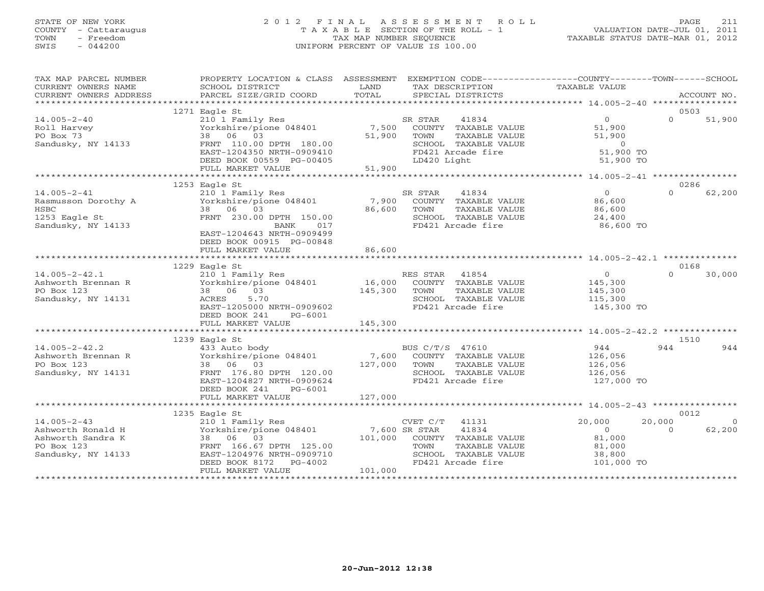# STATE OF NEW YORK 2 0 1 2 F I N A L A S S E S S M E N T R O L L PAGE 211 COUNTY - Cattaraugus T A X A B L E SECTION OF THE ROLL - 1 VALUATION DATE-JUL 01, 2011 TOWN - Freedom TAX MAP NUMBER SEQUENCE TAXABLE STATUS DATE-MAR 01, 2012 SWIS - 044200 UNIFORM PERCENT OF VALUE IS 100.00UNIFORM PERCENT OF VALUE IS 100.00

| TAX MAP PARCEL NUMBER                                                                           | PROPERTY LOCATION & CLASS ASSESSMENT EXEMPTION CODE----------------COUNTY-------TOWN------SCHOOL                                                                                                                                                                        | LAND                    |                                                                                                                                     |                                                                      |                    |                    |
|-------------------------------------------------------------------------------------------------|-------------------------------------------------------------------------------------------------------------------------------------------------------------------------------------------------------------------------------------------------------------------------|-------------------------|-------------------------------------------------------------------------------------------------------------------------------------|----------------------------------------------------------------------|--------------------|--------------------|
| CURRENT OWNERS NAME<br>CURRENT OWNERS ADDRESS                                                   | SCHOOL DISTRICT<br>PARCEL SIZE/GRID COORD                                                                                                                                                                                                                               | TOTAL                   | TAX DESCRIPTION<br>SPECIAL DISTRICTS                                                                                                | TAXABLE VALUE                                                        |                    | ACCOUNT NO.        |
|                                                                                                 |                                                                                                                                                                                                                                                                         |                         |                                                                                                                                     |                                                                      | 0503               |                    |
| $14.005 - 2 - 40$<br>Roll Harvey<br>PO Box 73<br>Sandusky, NY 14133                             | 1271 Eagle St<br>210 1 Family Res<br>Yorkshire/pione 048401<br>38 06 03<br>FRNT 110.00 DPTH 180.00<br>EAST-1204350 NRTH-0909410<br>DEED BOOK 00559 PG-00405                                                                                                             | 51,900<br>51,900        | SR STAR<br>41834<br>7,500 COUNTY TAXABLE VALUE<br>TAXABLE VALUE<br>TOWN<br>SCHOOL TAXABLE VALUE<br>FD421 Arcade fire<br>LD420 Light | $\overline{0}$<br>51,900<br>51,900<br>$0$<br>51,900 TO<br>51,900 TO  | $\Omega$           | 51,900             |
|                                                                                                 | FULL MARKET VALUE                                                                                                                                                                                                                                                       |                         |                                                                                                                                     |                                                                      |                    |                    |
|                                                                                                 |                                                                                                                                                                                                                                                                         |                         |                                                                                                                                     |                                                                      |                    |                    |
| $14.005 - 2 - 41$<br>Rasmusson Dorothy A<br>HSBC<br>1253 Eagle St<br>Sandusky, NY 14133         | 1253 Eagle St<br>210 1 Family Res<br>210 1 1 umily Nes<br>Yorkshire/pione 048401 7,900 COUNTY TAXABLE VALUE<br>38 06 03<br>FRNT 230.00 DPTH 150.00<br>BANK 017<br>EAST-1204643 NRTH-0909499<br>DEED BOOK 00915 PG-00848                                                 | 86,600                  | SR STAR<br>41834<br>TOWN<br>TAXABLE VALUE<br>SCHOOL TAXABLE VALUE<br>FD421 Arcade fire                                              | $\overline{0}$<br>86,600<br>86,600<br>24,400<br>86,600 TO            | 0286<br>$\cap$     | 62,200             |
|                                                                                                 | FULL MARKET VALUE                                                                                                                                                                                                                                                       | 86,600                  |                                                                                                                                     |                                                                      |                    |                    |
|                                                                                                 |                                                                                                                                                                                                                                                                         |                         |                                                                                                                                     |                                                                      |                    |                    |
| $14.005 - 2 - 42.1$<br>Ashworth Brennan R<br>PO Box 123<br>Sandusky, NY 14131                   | 1229 Eagle St<br>210 1 Family Res<br>210 1 ramily Res<br>Yorkshire/pione 048401 16,000 COUNTY TAXABLE VALUE<br>38 06 03 145,300 TOWN TAXABLE VALUE<br>ACRES 5.70 145,300 SCHOOL TAXABLE VALUE<br>5.70<br>ACRES<br>EAST-1205000 NRTH-0909602<br>DEED BOOK 241<br>PG-6001 |                         | RES STAR 41854<br>SCHOOL TAXABLE VALUE<br>FD421 Arcade fire                                                                         | $\overline{0}$<br>145,300<br>145,300<br>115,300<br>145,300 TO        | 0168<br>$\Omega$   | 30,000             |
|                                                                                                 | FULL MARKET VALUE                                                                                                                                                                                                                                                       | 145,300                 |                                                                                                                                     |                                                                      |                    |                    |
|                                                                                                 |                                                                                                                                                                                                                                                                         |                         |                                                                                                                                     |                                                                      |                    |                    |
| $14.005 - 2 - 42.2$<br>Ashworth Brennan R<br>PO Box 123<br>Sandusky, NY 14131                   | 1239 Eagle St<br>433 Auto body<br>Yorkshire/pione 048401<br>38 06 03<br>FRNT 176.80 DPTH 120.00<br>EAST-1204827 NRTH-0909624<br>DEED BOOK 241<br>PG-6001<br>FULL MARKET VALUE                                                                                           | 127,000 TOWN<br>127,000 | BUS C/T/S 47610<br>7,600 COUNTY TAXABLE VALUE<br>TAXABLE VALUE<br>SCHOOL TAXABLE VALUE<br>FD421 Arcade fire                         | 944<br>126,056<br>126,056<br>126,056<br>127,000 TO                   | 1510<br>944        | 944                |
|                                                                                                 | ********************************                                                                                                                                                                                                                                        |                         |                                                                                                                                     |                                                                      |                    |                    |
|                                                                                                 | 1235 Eagle St                                                                                                                                                                                                                                                           |                         |                                                                                                                                     |                                                                      | 0012               |                    |
| $14.005 - 2 - 43$<br>Ashworth Ronald H<br>Ashworth Sandra K<br>PO Box 123<br>Sandusky, NY 14133 | 210 1 Family Res<br>Yorkshire/pione 048401 7,600 SR STAR 41834<br>38 06 03 101,000 COUNTY TAXABLE VALUE<br>38 06 03<br>FRNT 166.67 DPTH 125.00<br>EAST-1204976 NRTH-0909710<br>DEED BOOK 8172 PG-4002<br>FULL MARKET VALUE                                              | 101,000                 | TOWN<br>TAXABLE VALUE<br>SCHOOL TAXABLE VALUE<br>FD421 Arcade fire                                                                  | 20,000<br>$\overline{O}$<br>81,000<br>81,000<br>38,800<br>101,000 TO | 20,000<br>$\Omega$ | $\Omega$<br>62,200 |
|                                                                                                 |                                                                                                                                                                                                                                                                         |                         |                                                                                                                                     |                                                                      |                    |                    |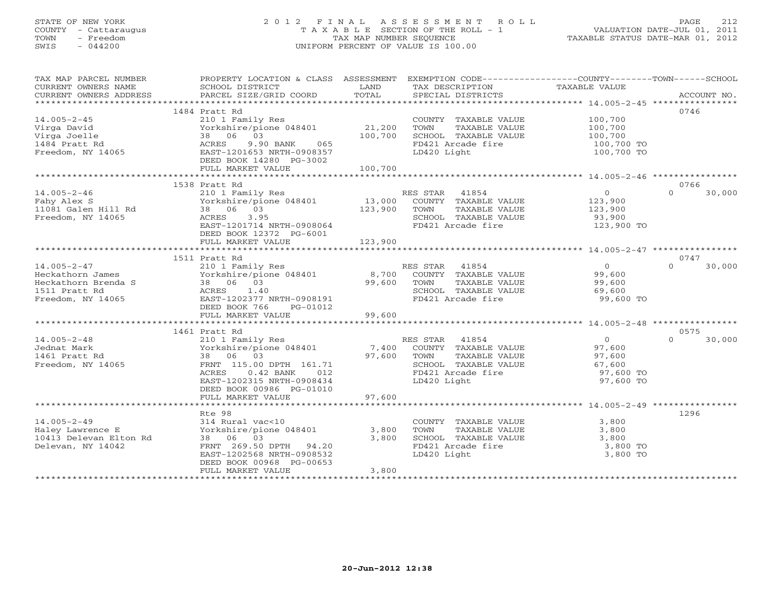# STATE OF NEW YORK 2 0 1 2 F I N A L A S S E S S M E N T R O L L PAGE 212 COUNTY - Cattaraugus T A X A B L E SECTION OF THE ROLL - 1 VALUATION DATE-JUL 01, 2011 TOWN - Freedom TAX MAP NUMBER SEQUENCE TAXABLE STATUS DATE-MAR 01, 2012 SWIS - 044200 UNIFORM PERCENT OF VALUE IS 100.00UNIFORM PERCENT OF VALUE IS 100.00

| TAX MAP PARCEL NUMBER  | PROPERTY LOCATION & CLASS ASSESSMENT |                   | EXEMPTION CODE-----------------COUNTY-------TOWN------SCHOOL |                            |                    |
|------------------------|--------------------------------------|-------------------|--------------------------------------------------------------|----------------------------|--------------------|
| CURRENT OWNERS NAME    | SCHOOL DISTRICT                      | LAND              | TAX DESCRIPTION                                              | TAXABLE VALUE              |                    |
| CURRENT OWNERS ADDRESS | PARCEL SIZE/GRID COORD               | TOTAL             | SPECIAL DISTRICTS                                            |                            | ACCOUNT NO.        |
|                        |                                      |                   |                                                              |                            |                    |
|                        | 1484 Pratt Rd                        |                   |                                                              |                            | 0746               |
| $14.005 - 2 - 45$      | 210 1 Family Res                     |                   | COUNTY TAXABLE VALUE                                         | 100,700                    |                    |
| Virga David            | Yorkshire/pione 048401               | 21,200            | TOWN<br>TAXABLE VALUE                                        | 100,700                    |                    |
| Virga Joelle           | 38 06 03                             | 100,700           | SCHOOL TAXABLE VALUE                                         |                            |                    |
| 1484 Pratt Rd          | 9.90 BANK 065<br>ACRES               |                   | FD421 Arcade fire                                            | 100,700<br>100,700 TO      |                    |
| Freedom, NY 14065      | EAST-1201653 NRTH-0908357            |                   | LD420 Light                                                  | 100,700 TO                 |                    |
|                        | DEED BOOK 14280 PG-3002              |                   |                                                              |                            |                    |
|                        | FULL MARKET VALUE                    | 100,700           |                                                              |                            |                    |
|                        |                                      |                   |                                                              |                            |                    |
|                        | 1538 Pratt Rd                        |                   |                                                              |                            | 0766               |
|                        |                                      |                   |                                                              |                            | $\Omega$           |
| $14.005 - 2 - 46$      | 210 1 Family Res                     |                   | RES STAR 41854                                               | $\overline{0}$             | 30,000             |
| Fahy Alex S            | Yorkshire/pione 048401               | 13,000<br>123,900 | COUNTY TAXABLE VALUE                                         | 123,900<br>123,900         |                    |
| 11081 Galen Hill Rd    | $38$ 06 03                           |                   | TOWN<br>TAXABLE VALUE                                        |                            |                    |
| Freedom, NY 14065      | 3.95<br>ACRES                        |                   | SCHOOL TAXABLE VALUE                                         | 93,900                     |                    |
|                        | EAST-1201714 NRTH-0908064            |                   | FD421 Arcade fire                                            | 123,900 TO                 |                    |
|                        | DEED BOOK 12372 PG-6001              |                   |                                                              |                            |                    |
|                        | FULL MARKET VALUE                    | 123,900           |                                                              |                            |                    |
|                        |                                      |                   |                                                              |                            |                    |
|                        | 1511 Pratt Rd                        |                   |                                                              |                            | 0747               |
| $14.005 - 2 - 47$      | 210 1 Family Res                     |                   | RES STAR 41854                                               | $\overline{0}$             | $\Omega$<br>30,000 |
| Heckathorn James       | Yorkshire/pione 048401               |                   | 8,700 COUNTY TAXABLE VALUE                                   | 99,600                     |                    |
| Heckathorn Brenda S    | 38 06 03<br>ACRES 1.40               | 99,600 TOWN       | TAXABLE VALUE                                                | 99,600                     |                    |
| 1511 Pratt Rd          |                                      |                   | SCHOOL TAXABLE VALUE                                         | 69,600                     |                    |
| Freedom, NY 14065      | EAST-1202377 NRTH-0908191            |                   | FD421 Arcade fire                                            | 99,600 TO                  |                    |
|                        | DEED BOOK 766<br>PG-01012            |                   |                                                              |                            |                    |
|                        | FULL MARKET VALUE                    | 99,600            |                                                              |                            |                    |
|                        |                                      |                   |                                                              |                            |                    |
|                        | 1461 Pratt Rd                        |                   |                                                              |                            | 0575               |
| $14.005 - 2 - 48$      | 210 1 Family Res                     |                   | RES STAR 41854                                               | $\sim$ 0                   | $\Omega$<br>30,000 |
| Jednat Mark            | Yorkshire/pione 048401               |                   | 7,400 COUNTY TAXABLE VALUE                                   |                            |                    |
| 1461 Pratt Rd          | 38 06 03                             | 97,600            | TOWN<br>TAXABLE VALUE                                        | 97,600<br>97,600<br>97,600 |                    |
| Freedom, NY 14065      | FRNT 115.00 DPTH 161.71              |                   | SCHOOL TAXABLE VALUE                                         |                            |                    |
|                        | 0.42 BANK 012<br>ACRES               |                   | FD421 Arcade fire                                            | 67,600<br>97,600 TO        |                    |
|                        | EAST-1202315 NRTH-0908434            |                   | LD420 Light                                                  | 97,600 TO                  |                    |
|                        | DEED BOOK 00986 PG-01010             |                   |                                                              |                            |                    |
|                        |                                      |                   |                                                              |                            |                    |
|                        | FULL MARKET VALUE                    | 97,600            |                                                              |                            |                    |
|                        |                                      |                   |                                                              |                            |                    |
|                        | Rte 98                               |                   |                                                              |                            | 1296               |
| $14.005 - 2 - 49$      | 314 Rural vac<10                     |                   | COUNTY TAXABLE VALUE                                         | 3,800                      |                    |
| Haley Lawrence E       | Yorkshire/pione 048401               | 3,800             | TOWN<br>TAXABLE VALUE                                        | 3,800                      |                    |
| 10413 Delevan Elton Rd | 38 06 03                             | 3,800             | SCHOOL TAXABLE VALUE                                         | 3,800                      |                    |
| Delevan, NY 14042      | FRNT 269.50 DPTH 94.20               |                   | FD421 Arcade fire                                            | 3,800 TO                   |                    |
|                        | EAST-1202568 NRTH-0908532            |                   | LD420 Light                                                  | 3,800 TO                   |                    |
|                        | DEED BOOK 00968 PG-00653             |                   |                                                              |                            |                    |
|                        | FULL MARKET VALUE                    | 3,800             |                                                              |                            |                    |
|                        |                                      |                   |                                                              |                            |                    |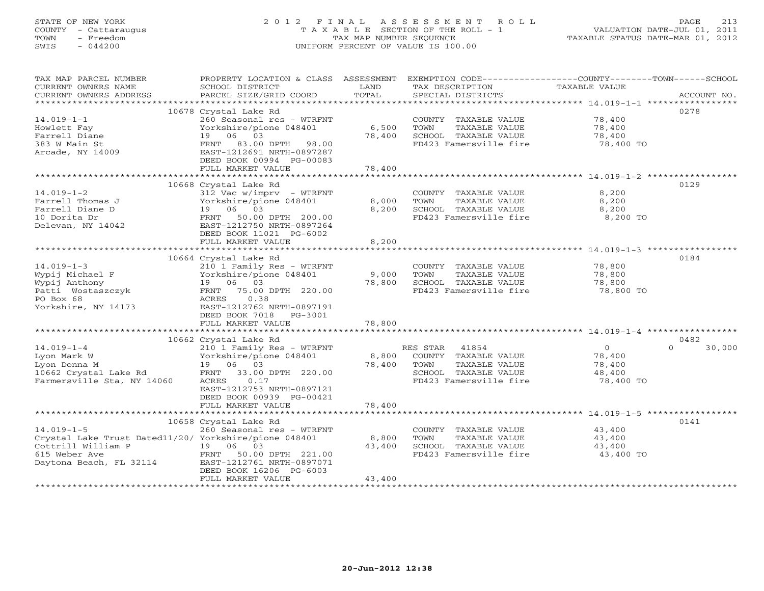# STATE OF NEW YORK 2 0 1 2 F I N A L A S S E S S M E N T R O L L PAGE 213 COUNTY - Cattaraugus T A X A B L E SECTION OF THE ROLL - 1 VALUATION DATE-JUL 01, 2011 TOWN - Freedom TAX MAP NUMBER SEQUENCE TAXABLE STATUS DATE-MAR 01, 2012 SWIS - 044200 UNIFORM PERCENT OF VALUE IS 100.00UNIFORM PERCENT OF VALUE IS 100.00

| TAX MAP PARCEL NUMBER<br>CURRENT OWNERS NAME<br>CURRENT OWNERS ADDRESS | PROPERTY LOCATION & CLASS ASSESSMENT<br>SCHOOL DISTRICT<br>PARCEL SIZE/GRID COORD | LAND<br>TOTAL | TAX DESCRIPTION<br>SPECIAL DISTRICTS | EXEMPTION CODE-----------------COUNTY-------TOWN------SCHOOL<br>TAXABLE VALUE | ACCOUNT NO. |
|------------------------------------------------------------------------|-----------------------------------------------------------------------------------|---------------|--------------------------------------|-------------------------------------------------------------------------------|-------------|
| ***********************                                                |                                                                                   |               |                                      |                                                                               |             |
|                                                                        | 10678 Crystal Lake Rd                                                             |               |                                      | 0278                                                                          |             |
| $14.019 - 1 - 1$                                                       | 260 Seasonal res - WTRFNT                                                         |               | COUNTY TAXABLE VALUE                 | 78,400                                                                        |             |
| Howlett Fay                                                            | Yorkshire/pione 048401                                                            | 6,500         | TOWN<br>TAXABLE VALUE                | 78,400                                                                        |             |
| Farrell Diane                                                          | 06<br>03<br>19                                                                    | 78,400        | SCHOOL TAXABLE VALUE                 | 78,400                                                                        |             |
| 383 W Main St                                                          | FRNT 83.00 DPTH 98.00                                                             |               | FD423 Famersville fire               | 78,400 TO                                                                     |             |
| Arcade, NY 14009                                                       | EAST-1212691 NRTH-0897287                                                         |               |                                      |                                                                               |             |
|                                                                        | DEED BOOK 00994 PG-00083                                                          |               |                                      |                                                                               |             |
|                                                                        | FULL MARKET VALUE                                                                 | 78,400        |                                      |                                                                               |             |
|                                                                        |                                                                                   |               |                                      |                                                                               |             |
|                                                                        | 10668 Crystal Lake Rd                                                             |               |                                      | 0129                                                                          |             |
| $14.019 - 1 - 2$                                                       | 312 Vac w/imprv - WTRFNT                                                          |               | COUNTY TAXABLE VALUE                 | 8,200                                                                         |             |
| Farrell Thomas J                                                       | Yorkshire/pione 048401                                                            | 8,000         | TOWN<br>TAXABLE VALUE                | 8,200                                                                         |             |
| Farrell Diane D                                                        | 19 06 03                                                                          | 8,200         | SCHOOL TAXABLE VALUE                 | 8,200                                                                         |             |
| 10 Dorita Dr                                                           | FRNT 50.00 DPTH 200.00                                                            |               | FD423 Famersville fire               | 8,200 TO                                                                      |             |
| Delevan, NY 14042                                                      | EAST-1212750 NRTH-0897264                                                         |               |                                      |                                                                               |             |
|                                                                        | DEED BOOK 11021 PG-6002                                                           |               |                                      |                                                                               |             |
|                                                                        | FULL MARKET VALUE                                                                 | 8,200         |                                      |                                                                               |             |
|                                                                        |                                                                                   |               |                                      |                                                                               |             |
|                                                                        | 10664 Crystal Lake Rd                                                             |               |                                      | 0184                                                                          |             |
| $14.019 - 1 - 3$                                                       | 210 1 Family Res - WTRFNT                                                         |               | COUNTY TAXABLE VALUE                 | 78,800                                                                        |             |
| Wypij Michael F                                                        | Yorkshire/pione 048401                                                            | 9,000         | TAXABLE VALUE<br>TOWN                | 78,800                                                                        |             |
| Wypij Anthony                                                          | 19 06 03                                                                          | 78,800        | SCHOOL TAXABLE VALUE                 | 78,800                                                                        |             |
| Patti Wostaszczyk                                                      | FRNT 75.00 DPTH 220.00                                                            |               | FD423 Famersville fire               | 78,800 TO                                                                     |             |
| PO Box 68                                                              | ACRES<br>0.38                                                                     |               |                                      |                                                                               |             |
| Yorkshire, NY 14173                                                    | EAST-1212762 NRTH-0897191                                                         |               |                                      |                                                                               |             |
|                                                                        | DEED BOOK 7018 PG-3001                                                            |               |                                      |                                                                               |             |
|                                                                        | FULL MARKET VALUE                                                                 | 78,800        |                                      |                                                                               |             |
|                                                                        |                                                                                   |               |                                      |                                                                               |             |
|                                                                        | 10662 Crystal Lake Rd                                                             |               |                                      | 0482                                                                          |             |
| $14.019 - 1 - 4$                                                       | 210 1 Family Res - WTRFNT                                                         |               | RES STAR 41854                       | $\circ$<br>$\Omega$                                                           | 30,000      |
| Lyon Mark W                                                            | Yorkshire/pione 048401                                                            | 8,800         | COUNTY TAXABLE VALUE                 | 78,400                                                                        |             |
| Lyon Donna M                                                           | 19 06 03                                                                          | 78,400        | TOWN<br>TAXABLE VALUE                | 78,400                                                                        |             |
| 10662 Crystal Lake Rd                                                  | FRNT 33.00 DPTH 220.00                                                            |               | SCHOOL TAXABLE VALUE                 | 48,400                                                                        |             |
| Farmersville Sta, NY 14060                                             | ACRES<br>0.17<br>EAST-1212753 NRTH-0897121                                        |               | FD423 Famersville fire               | 78,400 TO                                                                     |             |
|                                                                        |                                                                                   |               |                                      |                                                                               |             |
|                                                                        | DEED BOOK 00939 PG-00421                                                          |               |                                      |                                                                               |             |
|                                                                        | FULL MARKET VALUE                                                                 | 78,400        |                                      |                                                                               |             |
|                                                                        |                                                                                   |               |                                      | 0141                                                                          |             |
| $14.019 - 1 - 5$                                                       | 10658 Crystal Lake Rd<br>260 Seasonal res - WTRFNT                                |               | COUNTY TAXABLE VALUE                 | 43,400                                                                        |             |
| Crystal Lake Trust Dated11/20/ Yorkshire/pione 048401                  |                                                                                   | 8,800         | TAXABLE VALUE<br>TOWN                | 43,400                                                                        |             |
| Cottrill William P                                                     | 19 06 03                                                                          | 43,400        | SCHOOL TAXABLE VALUE                 | 43,400                                                                        |             |
| 615 Weber Ave                                                          | FRNT<br>50.00 DPTH 221.00                                                         |               | FD423 Famersville fire               | 43,400 TO                                                                     |             |
| Daytona Beach, FL 32114                                                | EAST-1212761 NRTH-0897071                                                         |               |                                      |                                                                               |             |
|                                                                        | DEED BOOK 16206 PG-6003                                                           |               |                                      |                                                                               |             |
|                                                                        | FULL MARKET VALUE                                                                 | 43,400        |                                      |                                                                               |             |
|                                                                        |                                                                                   |               |                                      |                                                                               |             |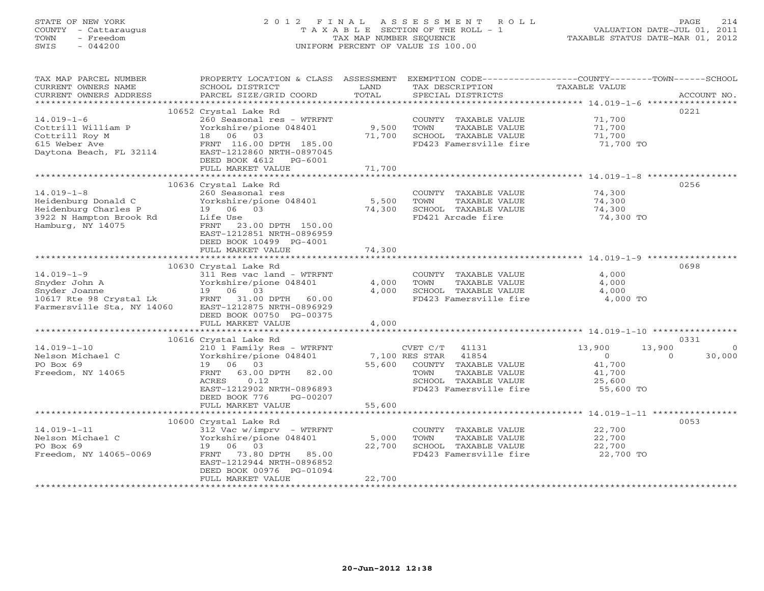# STATE OF NEW YORK 2 0 1 2 F I N A L A S S E S S M E N T R O L L PAGE 214 COUNTY - Cattaraugus T A X A B L E SECTION OF THE ROLL - 1 VALUATION DATE-JUL 01, 2011 TOWN - Freedom TAX MAP NUMBER SEQUENCE TAXABLE STATUS DATE-MAR 01, 2012 SWIS - 044200 UNIFORM PERCENT OF VALUE IS 100.00UNIFORM PERCENT OF VALUE IS 100.00

| TAX MAP PARCEL NUMBER<br>CURRENT OWNERS NAME<br>CURRENT OWNERS ADDRESS | PROPERTY LOCATION & CLASS ASSESSMENT<br>SCHOOL DISTRICT<br>PARCEL SIZE/GRID COORD | LAND<br>TOTAL | TAX DESCRIPTION<br>SPECIAL DISTRICTS | EXEMPTION CODE-----------------COUNTY-------TOWN------SCHOOL<br>TAXABLE VALUE<br>ACCOUNT NO. |
|------------------------------------------------------------------------|-----------------------------------------------------------------------------------|---------------|--------------------------------------|----------------------------------------------------------------------------------------------|
|                                                                        |                                                                                   |               |                                      | 0221                                                                                         |
|                                                                        | 10652 Crystal Lake Rd                                                             |               |                                      |                                                                                              |
| $14.019 - 1 - 6$                                                       | 260 Seasonal res - WTRFNT                                                         |               | COUNTY TAXABLE VALUE                 | 71,700                                                                                       |
| Cottrill William P                                                     | Yorkshire/pione 048401                                                            | 9,500         | TOWN<br>TAXABLE VALUE                | 71,700                                                                                       |
| Cottrill Roy M                                                         | 18 06 03                                                                          | 71,700        | SCHOOL TAXABLE VALUE                 | 71,700                                                                                       |
| 615 Weber Ave                                                          | FRNT 116.00 DPTH 185.00                                                           |               | FD423 Famersville fire               | 71,700 TO                                                                                    |
| Daytona Beach, FL 32114                                                | EAST-1212860 NRTH-0897045                                                         |               |                                      |                                                                                              |
|                                                                        | DEED BOOK 4612<br>PG-6001                                                         |               |                                      |                                                                                              |
|                                                                        | FULL MARKET VALUE                                                                 | 71,700        |                                      |                                                                                              |
|                                                                        |                                                                                   |               |                                      | 0256                                                                                         |
|                                                                        | 10636 Crystal Lake Rd                                                             |               |                                      |                                                                                              |
| $14.019 - 1 - 8$                                                       | 260 Seasonal res                                                                  |               | COUNTY TAXABLE VALUE                 | 74,300                                                                                       |
| Heidenburg Donald C                                                    | Yorkshire/pione 048401                                                            | 5,500         | TOWN<br>TAXABLE VALUE                | 74,300                                                                                       |
| Heidenburg Charles P                                                   | 19 06 03                                                                          | 74,300        | SCHOOL TAXABLE VALUE                 | 74,300                                                                                       |
| 3922 N Hampton Brook Rd                                                | Life Use                                                                          |               | FD421 Arcade fire                    | 74,300 TO                                                                                    |
| Hamburg, NY 14075                                                      | FRNT 23.00 DPTH 150.00                                                            |               |                                      |                                                                                              |
|                                                                        | EAST-1212851 NRTH-0896959                                                         |               |                                      |                                                                                              |
|                                                                        | DEED BOOK 10499 PG-4001                                                           |               |                                      |                                                                                              |
|                                                                        | FULL MARKET VALUE                                                                 | 74,300        |                                      |                                                                                              |
|                                                                        |                                                                                   |               |                                      |                                                                                              |
|                                                                        | 10630 Crystal Lake Rd                                                             |               |                                      | 0698                                                                                         |
| $14.019 - 1 - 9$                                                       | 311 Res vac land - WTRFNT                                                         |               | COUNTY TAXABLE VALUE                 | 4,000                                                                                        |
| Snyder John A                                                          | Yorkshire/pione 048401                                                            | 4,000         | TOWN<br>TAXABLE VALUE                | 4,000                                                                                        |
| Snyder Joanne                                                          | 19 06 03                                                                          | 4,000         | SCHOOL TAXABLE VALUE                 | 4,000                                                                                        |
| 10617 Rte 98 Crystal Lk                                                | FRNT 31.00 DPTH 60.00                                                             |               | FD423 Famersville fire               | 4,000 TO                                                                                     |
| Farmersville Sta, NY 14060                                             | EAST-1212875 NRTH-0896929                                                         |               |                                      |                                                                                              |
|                                                                        | DEED BOOK 00750 PG-00375                                                          |               |                                      |                                                                                              |
|                                                                        | FULL MARKET VALUE                                                                 | 4,000         |                                      |                                                                                              |
|                                                                        | 10616 Crystal Lake Rd                                                             |               |                                      | 0331                                                                                         |
| $14.019 - 1 - 10$                                                      | 210 1 Family Res - WTRFNT                                                         |               | CVET C/T<br>41131                    | 13,900<br>13,900<br>$\circ$                                                                  |
| Nelson Michael C                                                       | Yorkshire/pione 048401                                                            |               | 7,100 RES STAR<br>41854              | $\circ$<br>30,000<br>$\Omega$                                                                |
| PO Box 69                                                              | 19 06 03                                                                          | 55,600        | COUNTY TAXABLE VALUE                 | 41,700                                                                                       |
| Freedom, NY 14065                                                      | FRNT 63.00 DPTH<br>82.00                                                          |               | TOWN<br>TAXABLE VALUE                | 41,700                                                                                       |
|                                                                        | ACRES<br>0.12                                                                     |               | SCHOOL TAXABLE VALUE                 | 25,600                                                                                       |
|                                                                        | EAST-1212902 NRTH-0896893                                                         |               | FD423 Famersville fire               | 55,600 TO                                                                                    |
|                                                                        | DEED BOOK 776<br>PG-00207                                                         |               |                                      |                                                                                              |
|                                                                        | FULL MARKET VALUE                                                                 | 55,600        |                                      |                                                                                              |
|                                                                        |                                                                                   |               |                                      |                                                                                              |
|                                                                        | 10600 Crystal Lake Rd                                                             |               |                                      | 0053                                                                                         |
| $14.019 - 1 - 11$                                                      | $312$ Vac w/imprv - WTRFNT                                                        |               | COUNTY TAXABLE VALUE                 | 22,700                                                                                       |
| Nelson Michael C                                                       | Yorkshire/pione 048401                                                            | 5,000         | TAXABLE VALUE<br>TOWN                | 22,700                                                                                       |
| PO Box 69                                                              | 19 06 03                                                                          | 22,700        | SCHOOL TAXABLE VALUE                 | 22,700                                                                                       |
| Freedom, NY 14065-0069                                                 | 73.80 DPTH 85.00<br>FRNT                                                          |               | FD423 Famersville fire               | 22,700 TO                                                                                    |
|                                                                        | EAST-1212944 NRTH-0896852                                                         |               |                                      |                                                                                              |
|                                                                        | DEED BOOK 00976 PG-01094                                                          |               |                                      |                                                                                              |
|                                                                        | FULL MARKET VALUE                                                                 | 22,700        |                                      |                                                                                              |
|                                                                        |                                                                                   |               |                                      |                                                                                              |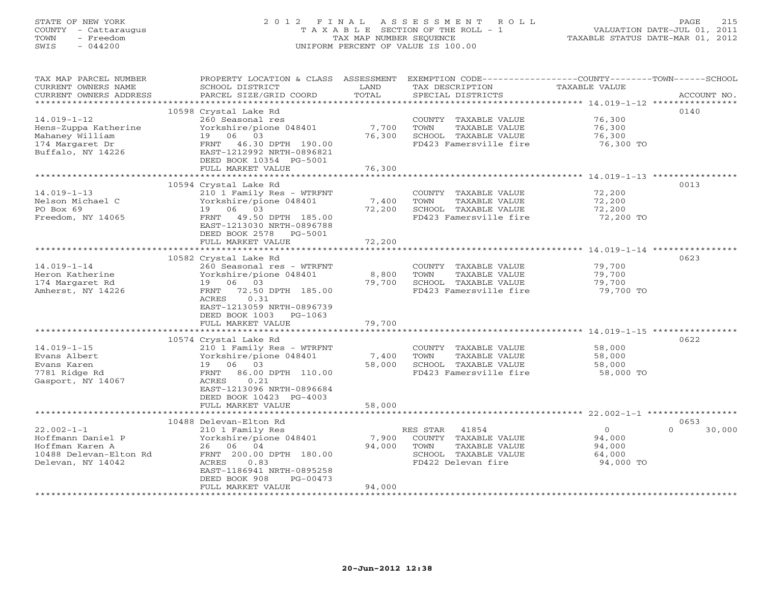# STATE OF NEW YORK 2 0 1 2 F I N A L A S S E S S M E N T R O L L PAGE 215 COUNTY - Cattaraugus T A X A B L E SECTION OF THE ROLL - 1 VALUATION DATE-JUL 01, 2011 TOWN - Freedom TAX MAP NUMBER SEQUENCE TAXABLE STATUS DATE-MAR 01, 2012 SWIS - 044200 UNIFORM PERCENT OF VALUE IS 100.00UNIFORM PERCENT OF VALUE IS 100.00

| TAX MAP PARCEL NUMBER                         | PROPERTY LOCATION & CLASS ASSESSMENT       |                | EXEMPTION CODE-----------------COUNTY-------TOWN------SCHOOL |                      |                    |
|-----------------------------------------------|--------------------------------------------|----------------|--------------------------------------------------------------|----------------------|--------------------|
| CURRENT OWNERS NAME<br>CURRENT OWNERS ADDRESS | SCHOOL DISTRICT<br>PARCEL SIZE/GRID COORD  | LAND<br>TOTAL  | TAX DESCRIPTION<br>SPECIAL DISTRICTS                         | <b>TAXABLE VALUE</b> | ACCOUNT NO.        |
| ********************                          | ***********************                    |                |                                                              |                      | ************       |
|                                               | 10598 Crystal Lake Rd                      |                |                                                              |                      | 0140               |
| $14.019 - 1 - 12$                             | 260 Seasonal res                           |                | COUNTY TAXABLE VALUE                                         | 76,300               |                    |
| Hens-Zuppa Katherine                          | Yorkshire/pione 048401                     | 7,700          | TAXABLE VALUE<br>TOWN                                        | 76,300               |                    |
| Mahaney William                               | 19 06 03                                   | 76,300         | SCHOOL TAXABLE VALUE                                         | 76,300               |                    |
| 174 Margaret Dr                               | 46.30 DPTH 190.00<br>FRNT                  |                | FD423 Famersville fire                                       | 76,300 TO            |                    |
| Buffalo, NY 14226                             | EAST-1212992 NRTH-0896821                  |                |                                                              |                      |                    |
|                                               | DEED BOOK 10354 PG-5001                    |                |                                                              |                      |                    |
|                                               | FULL MARKET VALUE                          | 76,300         |                                                              |                      |                    |
|                                               |                                            | ************   | *********************************** 14.019-1-13 **********   |                      |                    |
|                                               | 10594 Crystal Lake Rd                      |                |                                                              |                      | 0013               |
| $14.019 - 1 - 13$                             | 210 1 Family Res - WTRFNT                  |                | COUNTY TAXABLE VALUE                                         | 72,200               |                    |
| Nelson Michael C                              | Yorkshire/pione 048401                     | 7,400          | TOWN<br>TAXABLE VALUE                                        | 72,200               |                    |
| PO Box 69                                     | 19 06 03                                   | 72,200         | SCHOOL TAXABLE VALUE                                         | 72,200               |                    |
| Freedom, NY 14065                             | 49.50 DPTH 185.00<br>FRNT                  |                | FD423 Famersville fire                                       | 72,200 TO            |                    |
|                                               | EAST-1213030 NRTH-0896788                  |                |                                                              |                      |                    |
|                                               | DEED BOOK 2578 PG-5001                     |                |                                                              |                      |                    |
|                                               | FULL MARKET VALUE                          | 72,200         |                                                              |                      |                    |
|                                               | ********************************           | ************** |                                                              |                      |                    |
|                                               | 10582 Crystal Lake Rd                      |                |                                                              |                      | 0623               |
| $14.019 - 1 - 14$                             | 260 Seasonal res - WTRFNT                  |                | COUNTY TAXABLE VALUE                                         | 79,700               |                    |
| Heron Katherine                               | Yorkshire/pione 048401                     | 8,800          | TOWN<br>TAXABLE VALUE                                        | 79,700               |                    |
| 174 Margaret Rd                               | 19 06 03                                   | 79,700         | SCHOOL TAXABLE VALUE<br>FD423 Famersville fire               | 79,700<br>79,700 TO  |                    |
| Amherst, NY 14226                             | 72.50 DPTH 185.00<br>FRNT<br>0.31<br>ACRES |                |                                                              |                      |                    |
|                                               | EAST-1213059 NRTH-0896739                  |                |                                                              |                      |                    |
|                                               | DEED BOOK 1003 PG-1063                     |                |                                                              |                      |                    |
|                                               | FULL MARKET VALUE                          | 79,700         |                                                              |                      |                    |
|                                               |                                            |                |                                                              |                      |                    |
|                                               | 10574 Crystal Lake Rd                      |                |                                                              |                      | 0622               |
| $14.019 - 1 - 15$                             | 210 1 Family Res - WTRFNT                  |                | COUNTY TAXABLE VALUE                                         | 58,000               |                    |
| Evans Albert                                  | Yorkshire/pione 048401                     | 7,400          | TOWN<br>TAXABLE VALUE                                        | 58,000               |                    |
| Evans Karen                                   | 19 06 03                                   | 58,000         | SCHOOL TAXABLE VALUE                                         | 58,000               |                    |
| 7781 Ridge Rd                                 | FRNT<br>86.00 DPTH 110.00                  |                | FD423 Famersville fire                                       | 58,000 TO            |                    |
| Gasport, NY 14067                             | ACRES<br>0.21                              |                |                                                              |                      |                    |
|                                               | EAST-1213096 NRTH-0896684                  |                |                                                              |                      |                    |
|                                               | DEED BOOK 10423 PG-4003                    |                |                                                              |                      |                    |
|                                               | FULL MARKET VALUE                          | 58,000         |                                                              |                      |                    |
|                                               |                                            |                |                                                              |                      |                    |
|                                               | 10488 Delevan-Elton Rd                     |                |                                                              |                      | 0653               |
| $22.002 - 1 - 1$                              | 210 1 Family Res                           |                | RES STAR 41854                                               | $\overline{0}$       | $\Omega$<br>30,000 |
| Hoffmann Daniel P                             | Yorkshire/pione 048401                     | 7,900          | COUNTY TAXABLE VALUE                                         | 94,000               |                    |
| Hoffman Karen A                               | 26 06 04                                   | 94,000         | TOWN<br>TAXABLE VALUE                                        | 94,000               |                    |
| 10488 Delevan-Elton Rd                        | FRNT 200.00 DPTH 180.00                    |                | SCHOOL TAXABLE VALUE                                         | 64,000               |                    |
| Delevan, NY 14042                             | ACRES<br>0.83<br>EAST-1186941 NRTH-0895258 |                | FD422 Delevan fire                                           | 94,000 TO            |                    |
|                                               | DEED BOOK 908<br>$PG-00473$                |                |                                                              |                      |                    |
|                                               | FULL MARKET VALUE                          | 94,000         |                                                              |                      |                    |
|                                               |                                            |                | ********************************                             |                      |                    |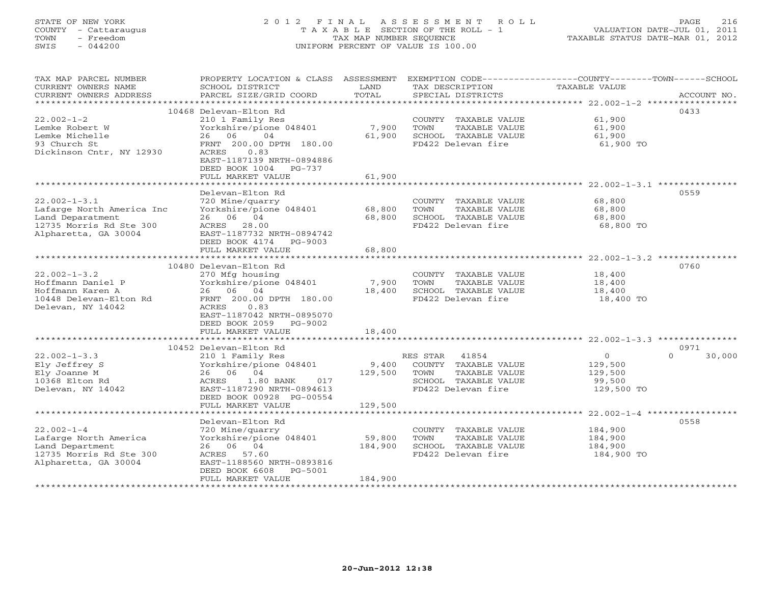# STATE OF NEW YORK 2 0 1 2 F I N A L A S S E S S M E N T R O L L PAGE 216 COUNTY - Cattaraugus T A X A B L E SECTION OF THE ROLL - 1 VALUATION DATE-JUL 01, 2011 TOWN - Freedom TAX MAP NUMBER SEQUENCE TAXABLE STATUS DATE-MAR 01, 2012 SWIS - 044200 UNIFORM PERCENT OF VALUE IS 100.00UNIFORM PERCENT OF VALUE IS 100.00

| TAX MAP PARCEL NUMBER<br>CURRENT OWNERS NAME<br>CURRENT OWNERS ADDRESS | PROPERTY LOCATION & CLASS ASSESSMENT<br>SCHOOL DISTRICT<br>PARCEL SIZE/GRID COORD | LAND<br>TOTAL   | EXEMPTION CODE----------------COUNTY-------TOWN-----SCHOOL<br>TAX DESCRIPTION<br>SPECIAL DISTRICTS | <b>TAXABLE VALUE</b>                                              | ACCOUNT NO.        |
|------------------------------------------------------------------------|-----------------------------------------------------------------------------------|-----------------|----------------------------------------------------------------------------------------------------|-------------------------------------------------------------------|--------------------|
| *******************                                                    |                                                                                   |                 |                                                                                                    |                                                                   |                    |
|                                                                        | 10468 Delevan-Elton Rd                                                            |                 |                                                                                                    |                                                                   | 0433               |
| $22.002 - 1 - 2$                                                       | 210 1 Family Res                                                                  |                 | COUNTY TAXABLE VALUE                                                                               | 61,900                                                            |                    |
| Lemke Robert W                                                         | Yorkshire/pione 048401                                                            | 7,900           | TAXABLE VALUE<br>TOWN                                                                              | 61,900                                                            |                    |
| Lemke Michelle                                                         | 06<br>04<br>26                                                                    | 61,900          | SCHOOL TAXABLE VALUE                                                                               | 61,900                                                            |                    |
| 93 Church St                                                           | FRNT 200.00 DPTH 180.00                                                           |                 | FD422 Delevan fire                                                                                 | 61,900 TO                                                         |                    |
| Dickinson Cntr, NY 12930                                               | 0.83<br>ACRES                                                                     |                 |                                                                                                    |                                                                   |                    |
|                                                                        | EAST-1187139 NRTH-0894886                                                         |                 |                                                                                                    |                                                                   |                    |
|                                                                        | DEED BOOK 1004<br>PG-737                                                          |                 |                                                                                                    |                                                                   |                    |
|                                                                        | FULL MARKET VALUE                                                                 | 61,900          |                                                                                                    |                                                                   |                    |
|                                                                        |                                                                                   |                 |                                                                                                    | ******************************** 22.002-1-3.1 ***                 |                    |
|                                                                        | Delevan-Elton Rd                                                                  |                 |                                                                                                    |                                                                   | 0559               |
| $22.002 - 1 - 3.1$                                                     | 720 Mine/quarry                                                                   |                 | COUNTY TAXABLE VALUE                                                                               | 68,800                                                            |                    |
| Lafarge North America Inc                                              | Yorkshire/pione 048401                                                            | 68,800          | TOWN<br>TAXABLE VALUE                                                                              | 68,800                                                            |                    |
| Land Deparatment                                                       | 26 06 04                                                                          | 68,800          | SCHOOL TAXABLE VALUE                                                                               | 68,800                                                            |                    |
| 12735 Morris Rd Ste 300                                                | ACRES 28.00                                                                       |                 | FD422 Delevan fire                                                                                 | 68,800 TO                                                         |                    |
| Alpharetta, GA 30004                                                   | EAST-1187732 NRTH-0894742                                                         |                 |                                                                                                    |                                                                   |                    |
|                                                                        | DEED BOOK 4174<br>PG-9003                                                         |                 |                                                                                                    |                                                                   |                    |
|                                                                        | FULL MARKET VALUE<br>*************************                                    | 68,800          |                                                                                                    | ************************************22.002-1-3.2 **************** |                    |
|                                                                        |                                                                                   |                 |                                                                                                    |                                                                   |                    |
|                                                                        | 10480 Delevan-Elton Rd                                                            |                 |                                                                                                    |                                                                   | 0760               |
| $22.002 - 1 - 3.2$<br>Hoffmann Daniel P                                | 270 Mfg housing                                                                   |                 | COUNTY TAXABLE VALUE<br>TOWN                                                                       | 18,400                                                            |                    |
| Hoffmann Karen A                                                       | Yorkshire/pione 048401<br>04<br>26 06                                             | 7,900<br>18,400 | TAXABLE VALUE<br>SCHOOL TAXABLE VALUE                                                              | 18,400                                                            |                    |
| 10448 Delevan-Elton Rd                                                 | FRNT 200.00 DPTH 180.00                                                           |                 | FD422 Delevan fire                                                                                 | 18,400<br>18,400 TO                                               |                    |
| Delevan, NY 14042                                                      | <b>ACRES</b><br>0.83                                                              |                 |                                                                                                    |                                                                   |                    |
|                                                                        | EAST-1187042 NRTH-0895070                                                         |                 |                                                                                                    |                                                                   |                    |
|                                                                        | DEED BOOK 2059 PG-9002                                                            |                 |                                                                                                    |                                                                   |                    |
|                                                                        | FULL MARKET VALUE                                                                 | 18,400          |                                                                                                    |                                                                   |                    |
|                                                                        |                                                                                   |                 |                                                                                                    | *********************************** 22.002-1-3.3 ********         |                    |
|                                                                        | 10452 Delevan-Elton Rd                                                            |                 |                                                                                                    |                                                                   | 0971               |
| $22.002 - 1 - 3.3$                                                     | 210 1 Family Res                                                                  |                 | RES STAR<br>41854                                                                                  | $\circ$                                                           | 30,000<br>$\Omega$ |
| Ely Jeffrey S                                                          | Yorkshire/pione 048401                                                            | 9,400           | COUNTY TAXABLE VALUE                                                                               | 129,500                                                           |                    |
| Ely Joanne M                                                           | 26 06 04                                                                          | 129,500         | TOWN<br>TAXABLE VALUE                                                                              | 129,500                                                           |                    |
| 10368 Elton Rd                                                         | 1.80 BANK<br>017<br>ACRES                                                         |                 | SCHOOL TAXABLE VALUE                                                                               | 99,500                                                            |                    |
| Delevan, NY 14042                                                      | EAST-1187290 NRTH-0894613                                                         |                 | FD422 Delevan fire                                                                                 | 129,500 TO                                                        |                    |
|                                                                        | DEED BOOK 00928 PG-00554                                                          |                 |                                                                                                    |                                                                   |                    |
|                                                                        | FULL MARKET VALUE                                                                 | 129,500         |                                                                                                    |                                                                   |                    |
|                                                                        | *********************                                                             | **************  |                                                                                                    | $22.002 - 1 - 4$ ******************                               |                    |
|                                                                        | Delevan-Elton Rd                                                                  |                 |                                                                                                    |                                                                   | 0558               |
| $22.002 - 1 - 4$                                                       | 720 Mine/quarry                                                                   |                 | COUNTY TAXABLE VALUE                                                                               | 184,900                                                           |                    |
| Lafarge North America                                                  | Yorkshire/pione 048401                                                            | 59,800          | TOWN<br>TAXABLE VALUE                                                                              | 184,900                                                           |                    |
| Land Department                                                        | 26 06 04                                                                          | 184,900         | SCHOOL TAXABLE VALUE                                                                               | 184,900                                                           |                    |
| 12735 Morris Rd Ste 300                                                | ACRES<br>57.60                                                                    |                 | FD422 Delevan fire                                                                                 | 184,900 TO                                                        |                    |
| Alpharetta, GA 30004                                                   | EAST-1188560 NRTH-0893816                                                         |                 |                                                                                                    |                                                                   |                    |
|                                                                        | DEED BOOK 6608<br>PG-5001                                                         |                 |                                                                                                    |                                                                   |                    |
|                                                                        | FULL MARKET VALUE                                                                 | 184,900         |                                                                                                    |                                                                   |                    |
| *******************                                                    |                                                                                   |                 |                                                                                                    |                                                                   |                    |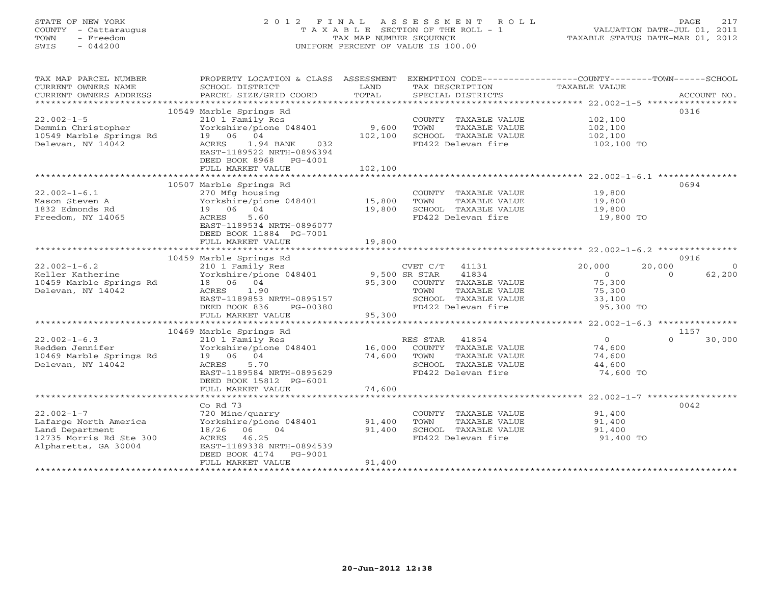# STATE OF NEW YORK 2 0 1 2 F I N A L A S S E S S M E N T R O L L PAGE 217 COUNTY - Cattaraugus T A X A B L E SECTION OF THE ROLL - 1 VALUATION DATE-JUL 01, 2011 TOWN - Freedom TAX MAP NUMBER SEQUENCE TAXABLE STATUS DATE-MAR 01, 2012 SWIS - 044200 UNIFORM PERCENT OF VALUE IS 100.00UNIFORM PERCENT OF VALUE IS 100.00

| TAX MAP PARCEL NUMBER            | PROPERTY LOCATION & CLASS ASSESSMENT EXEMPTION CODE---------------COUNTY-------TOWN-----SCHOOL |         |                             |                            |                    |
|----------------------------------|------------------------------------------------------------------------------------------------|---------|-----------------------------|----------------------------|--------------------|
| CURRENT OWNERS NAME              | SCHOOL DISTRICT                                                                                | LAND    | TAX DESCRIPTION             | TAXABLE VALUE              |                    |
|                                  |                                                                                                |         |                             |                            |                    |
|                                  |                                                                                                |         |                             |                            |                    |
|                                  | 10549 Marble Springs Rd                                                                        |         |                             |                            | 0316               |
| $22.002 - 1 - 5$                 | 210 1 Family Res                                                                               |         | COUNTY TAXABLE VALUE        | 102,100                    |                    |
| Demmin Christopher               | 210 1 Family Res<br>Yorkshire/pione 048401                                                     | 9,600   | TOWN<br>TAXABLE VALUE       | 102,100                    |                    |
|                                  |                                                                                                | 102,100 | SCHOOL TAXABLE VALUE        | 102,100                    |                    |
| Delevan, NY 14042                | ACRES 1.94 BANK<br>032                                                                         |         | FD422 Delevan fire          | 102,100 TO                 |                    |
|                                  | EAST-1189522 NRTH-0896394                                                                      |         |                             |                            |                    |
|                                  | DEED BOOK 8968 PG-4001                                                                         |         |                             |                            |                    |
|                                  | FULL MARKET VALUE                                                                              | 102,100 |                             |                            |                    |
|                                  |                                                                                                |         |                             |                            |                    |
|                                  | 10507 Marble Springs Rd                                                                        |         |                             |                            | 0694               |
| $22.002 - 1 - 6.1$               |                                                                                                |         |                             |                            |                    |
|                                  | 270 Mfg housing                                                                                |         | COUNTY TAXABLE VALUE        | 19,800<br>19,800           |                    |
| Mason Steven A                   | 15,800<br>Yorkshire/pione 048401 15,800<br>19 06 04 19,800                                     |         | TAXABLE VALUE<br>TOWN       |                            |                    |
| 1832 Edmonds Rd                  |                                                                                                |         | SCHOOL TAXABLE VALUE        | 19,800                     |                    |
| Freedom, NY 14065                | 5.60<br>ACRES                                                                                  |         | FD422 Delevan fire          | 19,800 TO                  |                    |
|                                  | EAST-1189534 NRTH-0896077                                                                      |         |                             |                            |                    |
|                                  | DEED BOOK 11884 PG-7001                                                                        |         |                             |                            |                    |
|                                  | FULL MARKET VALUE                                                                              | 19,800  |                             |                            |                    |
|                                  |                                                                                                |         |                             |                            |                    |
|                                  | 10459 Marble Springs Rd                                                                        |         |                             |                            | 0916               |
| $22.002 - 1 - 6.2$               | 210 1 Family Res                                                                               |         | $CVET C/T$ 41131            | 20,000<br>20,000           | $\overline{0}$     |
| Keller Katherine                 | Yorkshire/pione 048401 9,500 SR STAR 41834                                                     |         |                             | $\overline{0}$<br>$\Omega$ | 62,200             |
| 10459 Marble Springs Rd 18 06 04 |                                                                                                |         | 95,300 COUNTY TAXABLE VALUE | 75,300                     |                    |
| Delevan, NY 14042                | ACRES 1.90                                                                                     |         | TAXABLE VALUE<br>TOWN       | 75,300                     |                    |
|                                  | EAST-1189853 NRTH-0895157                                                                      |         | SCHOOL TAXABLE VALUE        | 33,100                     |                    |
|                                  | $PG-00380$<br>DEED BOOK 836                                                                    |         | FD422 Delevan fire          | 95,300 TO                  |                    |
|                                  | FULL MARKET VALUE                                                                              | 95,300  |                             |                            |                    |
|                                  |                                                                                                |         |                             |                            |                    |
|                                  | 10469 Marble Springs Rd                                                                        |         |                             |                            | 1157               |
| $22.002 - 1 - 6.3$               | 210 1 Family Res                                                                               |         | RES STAR 41854              | $\overline{0}$             | $\Omega$<br>30,000 |
| Redden Jennifer                  | Yorkshire/pione 048401                                                                         | 16,000  | COUNTY TAXABLE VALUE        | 74,600                     |                    |
| 10469 Marble Springs Rd          | 19 06 04                                                                                       | 74,600  | TOWN<br>TAXABLE VALUE       | 74,600                     |                    |
| Delevan, NY 14042                | ACRES<br>5.70                                                                                  |         | SCHOOL TAXABLE VALUE        | 44,600                     |                    |
|                                  | EAST-1189584 NRTH-0895629                                                                      |         | FD422 Delevan fire          | 74,600 TO                  |                    |
|                                  | DEED BOOK 15812 PG-6001                                                                        |         |                             |                            |                    |
|                                  | FULL MARKET VALUE                                                                              | 74,600  |                             |                            |                    |
|                                  |                                                                                                |         |                             |                            |                    |
|                                  | Co Rd 73                                                                                       |         |                             |                            | 0042               |
| $22.002 - 1 - 7$                 | 720 Mine/quarry                                                                                |         | COUNTY TAXABLE VALUE        | 91,400                     |                    |
| Lafarge North America            | Yorkshire/pione 048401                                                                         | 91,400  | TOWN<br>TAXABLE VALUE       |                            |                    |
|                                  |                                                                                                |         |                             | 91,400                     |                    |
| Land Department                  | 18/26 06 04                                                                                    | 91,400  | SCHOOL TAXABLE VALUE        | 91,400                     |                    |
| 12735 Morris Rd Ste 300          | ACRES 46.25                                                                                    |         | FD422 Delevan fire          | 91,400 TO                  |                    |
| Alpharetta, GA 30004             | EAST-1189338 NRTH-0894539                                                                      |         |                             |                            |                    |
|                                  | DEED BOOK 4174 PG-9001                                                                         |         |                             |                            |                    |
|                                  | FULL MARKET VALUE                                                                              | 91,400  |                             |                            |                    |
|                                  |                                                                                                |         |                             |                            |                    |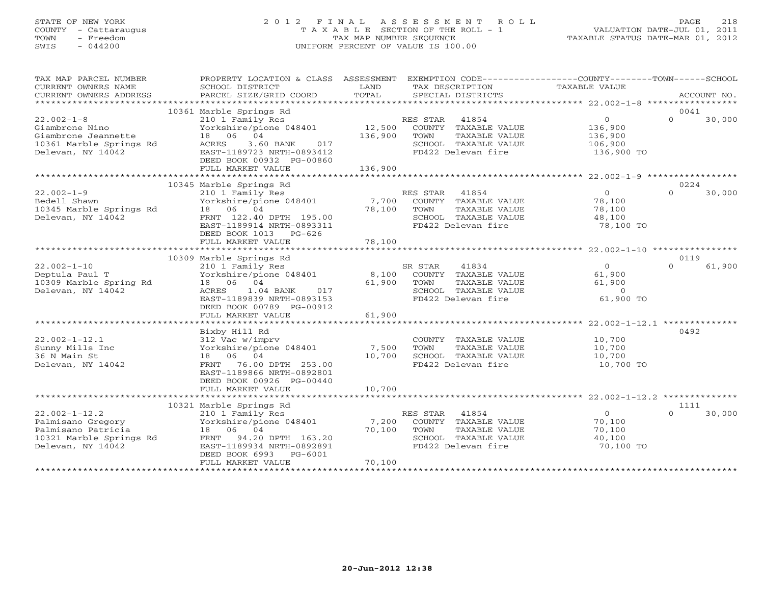# STATE OF NEW YORK 2 0 1 2 F I N A L A S S E S S M E N T R O L L PAGE 218 COUNTY - Cattaraugus T A X A B L E SECTION OF THE ROLL - 1 VALUATION DATE-JUL 01, 2011 TOWN - Freedom TAX MAP NUMBER SEQUENCE TAXABLE STATUS DATE-MAR 01, 2012 SWIS - 044200 UNIFORM PERCENT OF VALUE IS 100.00

| TAX MAP PARCEL NUMBER<br>CURRENT OWNERS NAME                                                                   | PROPERTY LOCATION & CLASS ASSESSMENT<br>SCHOOL DISTRICT                                                                                                                                        | LAND<br>TAX DESCRIPTION                                                                                                                       | EXEMPTION CODE----------------COUNTY-------TOWN------SCHOOL<br>TAXABLE VALUE<br>COUNING THE SERVICE SERVICES CORD TOTAL SERVICES SERVICES ACCOUNT NO.<br>CURRENT OWNERS ADDRESS PARCEL SIZE/GRID COORD TOTAL SERCIAL DISTRICTS ACCOUNT NO. |
|----------------------------------------------------------------------------------------------------------------|------------------------------------------------------------------------------------------------------------------------------------------------------------------------------------------------|-----------------------------------------------------------------------------------------------------------------------------------------------|--------------------------------------------------------------------------------------------------------------------------------------------------------------------------------------------------------------------------------------------|
|                                                                                                                |                                                                                                                                                                                                |                                                                                                                                               | 0041                                                                                                                                                                                                                                       |
| $22.002 - 1 - 8$<br>Giambrone Nino<br>Giambrone Jeannette<br>10361 Marble Springs Rd<br>Delevan, NY 14042      | 10361 Marble Springs Rd<br>210 1 Family Res<br>Yorkshire/pione 048401<br>18  06  04<br>3.60 BANK<br>017<br>ACRES<br>EAST-1189723 NRTH-0893412<br>DEED BOOK 00932 PG-00860<br>FULL MARKET VALUE | RES STAR 41854<br>12,500<br>COUNTY TAXABLE VALUE<br>136,900<br>TOWN<br>TAXABLE VALUE<br>SCHOOL TAXABLE VALUE<br>FD422 Delevan fire<br>136,900 | $\Omega$<br>$\Omega$<br>30,000<br>136,900<br>136,900<br>106,900<br>136,900 TO                                                                                                                                                              |
|                                                                                                                | 10345 Marble Springs Rd                                                                                                                                                                        |                                                                                                                                               | 0224                                                                                                                                                                                                                                       |
| $22.002 - 1 - 9$<br>Bedell Shawn<br>10345 Marble Springs Rd<br>18 06 04<br>Delevan, NY 14042                   | 210 1 Family Res<br>Yorkshire/pione 048401<br>FRNT 122.40 DPTH 195.00<br>EAST-1189914 NRTH-0893311<br>DEED BOOK 1013 PG-626                                                                    | RES STAR 41854<br>7,700 COUNTY TAXABLE VALUE<br>78,100<br>TOWN<br>TAXABLE VALUE<br>SCHOOL TAXABLE VALUE<br>FD422 Delevan fire                 | 30,000<br>$\overline{0}$<br>$\Omega$<br>78,100<br>78,100<br>48,100<br>78,100 TO                                                                                                                                                            |
|                                                                                                                | FULL MARKET VALUE                                                                                                                                                                              | 78,100                                                                                                                                        |                                                                                                                                                                                                                                            |
|                                                                                                                | 10309 Marble Springs Rd                                                                                                                                                                        |                                                                                                                                               | 0119                                                                                                                                                                                                                                       |
| $22.002 - 1 - 10$<br>Deptula Paul T<br>10309 Marble Spring Rd<br>Delevan, NY 14042                             | 210 1 Family Res<br>Yorkshire/pione 048401<br>18 06 04<br>$1.04$ BANK<br>ACRES<br>017<br>EAST-1189839 NRTH-0893153<br>DEED BOOK 00789 PG-00912                                                 | 41834<br>SR STAR<br>8,100 COUNTY TAXABLE VALUE<br>61,900<br>TAXABLE VALUE<br>TOWN<br>SCHOOL TAXABLE VALUE<br>FD422 Delevan fire               | 61,900<br>0<br>$\Omega$<br>61,900<br>61,900<br>$\overline{0}$<br>61,900 TO                                                                                                                                                                 |
|                                                                                                                | FULL MARKET VALUE                                                                                                                                                                              | 61,900                                                                                                                                        |                                                                                                                                                                                                                                            |
| $22.002 - 1 - 12.1$<br>Sunny Mills Inc<br>36 N Main St<br>Delevan, NY 14042                                    | Bixby Hill Rd<br>312 Vac w/imprv<br>Yorkshire/pione 048401<br>18  06  04<br>FRNT 76.00 DPTH 253.00<br>EAST-1189866 NRTH-0892801                                                                | COUNTY TAXABLE VALUE<br>7,500<br>TOWN<br>TAXABLE VALUE<br>10,700<br>SCHOOL TAXABLE VALUE<br>FD422 Delevan fire                                | 0492<br>10,700<br>10,700<br>10,700<br>10,700 TO                                                                                                                                                                                            |
|                                                                                                                | DEED BOOK 00926 PG-00440<br>FULL MARKET VALUE                                                                                                                                                  | 10,700                                                                                                                                        |                                                                                                                                                                                                                                            |
|                                                                                                                |                                                                                                                                                                                                |                                                                                                                                               |                                                                                                                                                                                                                                            |
|                                                                                                                | 10321 Marble Springs Rd                                                                                                                                                                        |                                                                                                                                               | 1111                                                                                                                                                                                                                                       |
| $22.002 - 1 - 12.2$<br>Palmisano Gregory<br>Palmisano Patricia<br>10321 Marble Springs Rd<br>Delevan, NY 14042 | 210 1 Family Res<br>Yorkshire/pione 048401<br>18 06 04<br>FRNT 94.20 DPTH 163.20<br>EAST-1189934 NRTH-0892891<br>DEED BOOK 6993 PG-6001<br>FULL MARKET VALUE                                   | RES STAR<br>41854<br>7,200<br>COUNTY TAXABLE VALUE<br>70,100<br>TOWN<br>TAXABLE VALUE<br>SCHOOL TAXABLE VALUE<br>FD422 Delevan fire<br>70,100 | $\overline{0}$<br>$\Omega$<br>30,000<br>70,100<br>70,100<br>40,100<br>70,100 TO                                                                                                                                                            |
|                                                                                                                |                                                                                                                                                                                                |                                                                                                                                               |                                                                                                                                                                                                                                            |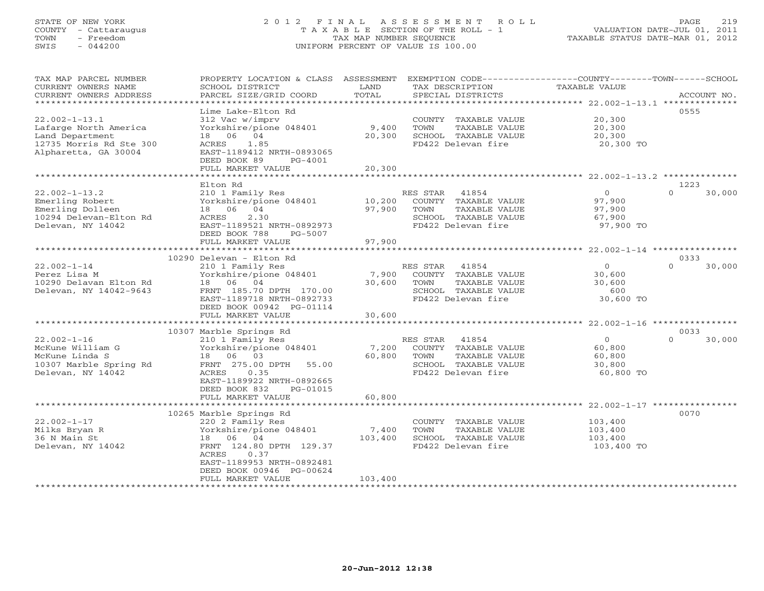# STATE OF NEW YORK 2 0 1 2 F I N A L A S S E S S M E N T R O L L PAGE 219 COUNTY - Cattaraugus T A X A B L E SECTION OF THE ROLL - 1 VALUATION DATE-JUL 01, 2011 TOWN - Freedom TAX MAP NUMBER SEQUENCE TAXABLE STATUS DATE-MAR 01, 2012 SWIS - 044200 UNIFORM PERCENT OF VALUE IS 100.00UNIFORM PERCENT OF VALUE IS 100.00

| TAX MAP PARCEL NUMBER<br>CURRENT OWNERS NAME<br>CURRENT OWNERS ADDRESS<br>***********************                                                                                               | PROPERTY LOCATION & CLASS<br>SCHOOL DISTRICT<br>PARCEL SIZE/GRID COORD                                                                                                                                                                                                                                                                                              | ASSESSMENT<br>LAND<br>TOTAL                                             | EXEMPTION CODE-----------------COUNTY-------TOWN------SCHOOL<br>TAX DESCRIPTION<br>SPECIAL DISTRICTS                                                                                                                                 | TAXABLE VALUE                                                                                                                                                | ACCOUNT NO.                                              |
|-------------------------------------------------------------------------------------------------------------------------------------------------------------------------------------------------|---------------------------------------------------------------------------------------------------------------------------------------------------------------------------------------------------------------------------------------------------------------------------------------------------------------------------------------------------------------------|-------------------------------------------------------------------------|--------------------------------------------------------------------------------------------------------------------------------------------------------------------------------------------------------------------------------------|--------------------------------------------------------------------------------------------------------------------------------------------------------------|----------------------------------------------------------|
| $22.002 - 1 - 13.1$<br>Lafarge North America<br>Land Department<br>12735 Morris Rd Ste 300<br>Alpharetta, GA 30004                                                                              | Lime Lake-Elton Rd<br>312 Vac w/imprv<br>Yorkshire/pione 048401<br>04<br>18 06<br>1.85<br>ACRES<br>EAST-1189412 NRTH-0893065<br>DEED BOOK 89<br>PG-4001<br>FULL MARKET VALUE                                                                                                                                                                                        | 9,400<br>20,300<br>20,300                                               | COUNTY TAXABLE VALUE<br>TOWN<br>TAXABLE VALUE<br>SCHOOL TAXABLE VALUE<br>FD422 Delevan fire                                                                                                                                          | 20,300<br>20,300<br>20,300<br>20,300 TO                                                                                                                      | 0555                                                     |
|                                                                                                                                                                                                 |                                                                                                                                                                                                                                                                                                                                                                     |                                                                         |                                                                                                                                                                                                                                      |                                                                                                                                                              |                                                          |
| $22.002 - 1 - 13.2$<br>Emerling Robert<br>Emerling Dolleen<br>10294 Delevan-Elton Rd<br>Delevan, NY 14042                                                                                       | Elton Rd<br>210 1 Family Res<br>Yorkshire/pione 048401<br>18  06  04<br>2.30<br>ACRES<br>EAST-1189521 NRTH-0892973<br>DEED BOOK 788<br>PG-5007                                                                                                                                                                                                                      | 10,200<br>97,900                                                        | RES STAR<br>41854<br>COUNTY TAXABLE VALUE<br>TOWN<br>TAXABLE VALUE<br>SCHOOL TAXABLE VALUE<br>FD422 Delevan fire                                                                                                                     | $\Omega$<br>97,900<br>97,900<br>67,900<br>97,900 TO                                                                                                          | 1223<br>$\Omega$<br>30,000                               |
|                                                                                                                                                                                                 | FULL MARKET VALUE<br>******************************                                                                                                                                                                                                                                                                                                                 | 97,900                                                                  |                                                                                                                                                                                                                                      |                                                                                                                                                              |                                                          |
| $22.002 - 1 - 14$<br>Perez Lisa M<br>10290 Delavan Elton Rd<br>Delevan, NY 14042-9643<br>$22.002 - 1 - 16$<br>McKune William G<br>McKune Linda S<br>10307 Marble Spring Rd<br>Delevan, NY 14042 | 10290 Delevan - Elton Rd<br>210 1 Family Res<br>Yorkshire/pione 048401<br>18  06  04<br>FRNT 185.70 DPTH 170.00<br>EAST-1189718 NRTH-0892733<br>DEED BOOK 00942 PG-01114<br>FULL MARKET VALUE<br>10307 Marble Springs Rd<br>210 1 Family Res<br>Yorkshire/pione 048401<br>18<br>06<br>03<br>FRNT 275.00 DPTH<br>55.00<br>ACRES<br>0.35<br>EAST-1189922 NRTH-0892665 | 7,900<br>30,600<br>30,600<br>* * * * * * * * * * * *<br>7,200<br>60,800 | RES STAR<br>41854<br>COUNTY TAXABLE VALUE<br>TOWN<br>TAXABLE VALUE<br>SCHOOL TAXABLE VALUE<br>FD422 Delevan fire<br>RES STAR<br>41854<br>COUNTY TAXABLE VALUE<br>TAXABLE VALUE<br>TOWN<br>SCHOOL TAXABLE VALUE<br>FD422 Delevan fire | $\circ$<br>30,600<br>30,600<br>600<br>30,600 TO<br>********************* 22.002-1-16 *****************<br>$\circ$<br>60,800<br>60,800<br>30,800<br>60,800 TO | 0333<br>$\Omega$<br>30,000<br>0033<br>$\Omega$<br>30,000 |
|                                                                                                                                                                                                 | DEED BOOK 832<br>PG-01015<br>FULL MARKET VALUE<br>10265 Marble Springs Rd                                                                                                                                                                                                                                                                                           | 60,800                                                                  |                                                                                                                                                                                                                                      |                                                                                                                                                              | 0070                                                     |
| $22.002 - 1 - 17$<br>Milks Bryan R<br>36 N Main St<br>Delevan, NY 14042                                                                                                                         | 220 2 Family Res<br>Yorkshire/pione 048401<br>18<br>06 04<br>FRNT 124.80 DPTH 129.37<br>ACRES<br>0.37<br>EAST-1189953 NRTH-0892481<br>DEED BOOK 00946 PG-00624<br>FULL MARKET VALUE                                                                                                                                                                                 | 7,400<br>103,400<br>103,400                                             | COUNTY TAXABLE VALUE<br>TOWN<br>TAXABLE VALUE<br>SCHOOL TAXABLE VALUE<br>FD422 Delevan fire                                                                                                                                          | 103,400<br>103,400<br>103,400<br>103,400 TO                                                                                                                  |                                                          |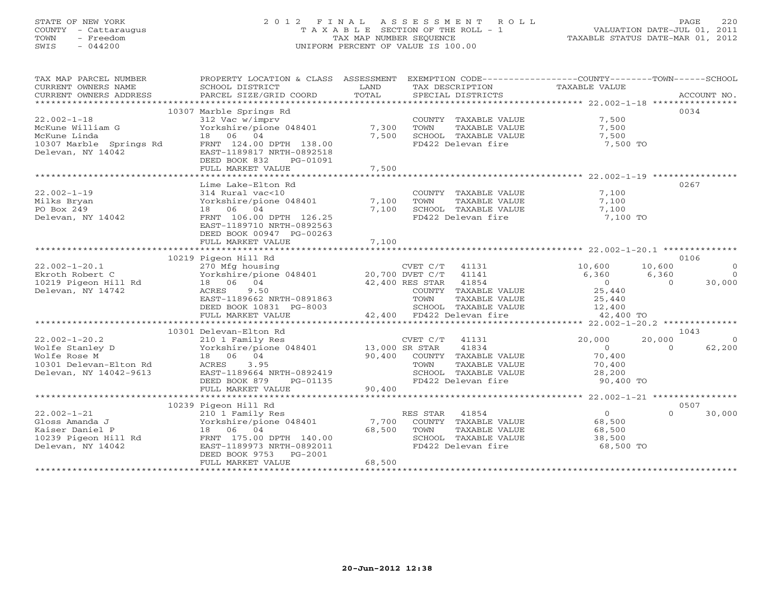# STATE OF NEW YORK 2 0 1 2 F I N A L A S S E S S M E N T R O L L PAGE 220 COUNTY - Cattaraugus T A X A B L E SECTION OF THE ROLL - 1 VALUATION DATE-JUL 01, 2011 TOWN - Freedom TAX MAP NUMBER SEQUENCE TAXABLE STATUS DATE-MAR 01, 2012 SWIS - 044200 UNIFORM PERCENT OF VALUE IS 100.00UNIFORM PERCENT OF VALUE IS 100.00

| TAX MAP PARCEL NUMBER                                                                                                                                                                                                                                    | PROPERTY LOCATION & CLASS ASSESSMENT EXEMPTION CODE----------------COUNTY-------TOWN------SCHOOL                                          |        |                                                                                 |                                                                                                                                          |                    |
|----------------------------------------------------------------------------------------------------------------------------------------------------------------------------------------------------------------------------------------------------------|-------------------------------------------------------------------------------------------------------------------------------------------|--------|---------------------------------------------------------------------------------|------------------------------------------------------------------------------------------------------------------------------------------|--------------------|
| CURRENT OWNERS NAME                                                                                                                                                                                                                                      | SCHOOL DISTRICT                                                                                                                           | LAND   | TAX DESCRIPTION                                                                 | TAXABLE VALUE                                                                                                                            |                    |
|                                                                                                                                                                                                                                                          | SCHOOL DISTRICT<br>PARCEL SIZE/GRID COORD                                                                                                 |        |                                                                                 |                                                                                                                                          |                    |
|                                                                                                                                                                                                                                                          |                                                                                                                                           |        |                                                                                 |                                                                                                                                          |                    |
|                                                                                                                                                                                                                                                          | 10307 Marble Springs Rd                                                                                                                   |        |                                                                                 |                                                                                                                                          | 0034               |
| $22.002 - 1 - 18$                                                                                                                                                                                                                                        | 312 Vac w/imprv                                                                                                                           |        | COUNTY TAXABLE VALUE 7,500                                                      |                                                                                                                                          |                    |
|                                                                                                                                                                                                                                                          |                                                                                                                                           |        |                                                                                 |                                                                                                                                          |                    |
|                                                                                                                                                                                                                                                          |                                                                                                                                           |        |                                                                                 |                                                                                                                                          |                    |
|                                                                                                                                                                                                                                                          |                                                                                                                                           |        |                                                                                 |                                                                                                                                          |                    |
|                                                                                                                                                                                                                                                          |                                                                                                                                           |        |                                                                                 |                                                                                                                                          |                    |
|                                                                                                                                                                                                                                                          |                                                                                                                                           |        |                                                                                 |                                                                                                                                          |                    |
|                                                                                                                                                                                                                                                          |                                                                                                                                           |        |                                                                                 |                                                                                                                                          |                    |
| Norman Controller Controller Controller Controller Controller Controller Controller Controller Controller Controller Controller Controller Controller Controller Controller Controller Controller Controller Controller Contro                           |                                                                                                                                           |        |                                                                                 |                                                                                                                                          |                    |
|                                                                                                                                                                                                                                                          | Lime Lake-Elton Rd                                                                                                                        |        |                                                                                 |                                                                                                                                          | 0267               |
| $22.002 - 1 - 19$                                                                                                                                                                                                                                        |                                                                                                                                           | 7,100  | COUNTY TAXABLE VALUE 7,100                                                      |                                                                                                                                          |                    |
| Milks Bryan                                                                                                                                                                                                                                              | 314 Rural vac<10<br>Yorkshire/pione 048401<br>18 06 04                                                                                    |        | TOWN<br>TAXABLE VALUE                                                           | 7,100                                                                                                                                    |                    |
| PO Box 249                                                                                                                                                                                                                                               | 18 06 04                                                                                                                                  | 7,100  |                                                                                 |                                                                                                                                          |                    |
| Delevan, NY 14042                                                                                                                                                                                                                                        | FRNT 106.00 DPTH 126.25                                                                                                                   |        | TUWN TAAADDE VADUD<br>SCHOOL TAXABLE VALUE 7,100<br>FD422 Delevan fire 7,100 TO |                                                                                                                                          |                    |
|                                                                                                                                                                                                                                                          | EAST-1189710 NRTH-0892563                                                                                                                 |        |                                                                                 |                                                                                                                                          |                    |
|                                                                                                                                                                                                                                                          | DEED BOOK 00947 PG-00263                                                                                                                  |        |                                                                                 |                                                                                                                                          |                    |
|                                                                                                                                                                                                                                                          | FULL MARKET VALUE                                                                                                                         | 7,100  |                                                                                 |                                                                                                                                          |                    |
|                                                                                                                                                                                                                                                          |                                                                                                                                           |        |                                                                                 |                                                                                                                                          |                    |
|                                                                                                                                                                                                                                                          | 10219 Pigeon Hill Rd                                                                                                                      |        |                                                                                 |                                                                                                                                          | 0106               |
|                                                                                                                                                                                                                                                          |                                                                                                                                           |        | CVET $C/T$ 41131                                                                |                                                                                                                                          | $\overline{0}$     |
|                                                                                                                                                                                                                                                          |                                                                                                                                           |        |                                                                                 |                                                                                                                                          | $\overline{0}$     |
| 22.002-1-20.1 ----- 270 Mfg housing<br>Ekroth Robert C Yorkshire/pione 048401 20,700 DVET C/T 41141<br>10219 Pigeon Hill Rd 18 06 04 42,400 RES STAR 41854<br>Delevan, NY 14742 ACRES 9.50 COUNTY TAXABLE VA                                             |                                                                                                                                           |        |                                                                                 | $\begin{array}{ccc} 10\, , 600 & \quad & 10\, , 600 \\ 6\, , 360 & \quad & 6\, , 360 \\ 0 & \quad & 0 \\ 25\, , 440 & \quad \end{array}$ | $0 \t 30,000$      |
|                                                                                                                                                                                                                                                          |                                                                                                                                           |        | COUNTY TAXABLE VALUE                                                            |                                                                                                                                          |                    |
|                                                                                                                                                                                                                                                          |                                                                                                                                           |        |                                                                                 |                                                                                                                                          |                    |
|                                                                                                                                                                                                                                                          |                                                                                                                                           |        |                                                                                 |                                                                                                                                          |                    |
|                                                                                                                                                                                                                                                          | EAST-1189662 NRTH-0891863<br>DEED BOOK 10831 PG-8003 (CHOOL TAXABLE VALUE 12,400<br>FULL MARKET VALUE 42,400 FD422 Delevan fire 42,400 TO |        |                                                                                 |                                                                                                                                          |                    |
|                                                                                                                                                                                                                                                          |                                                                                                                                           |        |                                                                                 |                                                                                                                                          |                    |
| 10301 Delevan-E1ton ku<br>22.002-1-20.2<br>Wolfe Stanley D<br>Wolfe Rose M<br>13,000 SR STAR<br>13,000 SR STAR<br>13,000 SR STAR<br>13,000 SR STAR<br>13,000 SR STAR<br>13,000 SR STAR<br>13,000 SR STAR<br>13,000 SR STAR<br>13,000 SR STAR<br>13,000 S |                                                                                                                                           |        |                                                                                 |                                                                                                                                          | 1043               |
|                                                                                                                                                                                                                                                          |                                                                                                                                           |        | CVET $C/T$ 41131                                                                | 20,000<br>20,000                                                                                                                         | $\overline{0}$     |
|                                                                                                                                                                                                                                                          |                                                                                                                                           |        | 41834                                                                           | $\overline{0}$                                                                                                                           | $\Omega$<br>62,200 |
|                                                                                                                                                                                                                                                          |                                                                                                                                           |        |                                                                                 | 70,400<br>70,400                                                                                                                         |                    |
|                                                                                                                                                                                                                                                          |                                                                                                                                           |        | 90,400 COUNTY TAXABLE VALUE<br>TOWN TAXABLE VALUE                               |                                                                                                                                          |                    |
|                                                                                                                                                                                                                                                          |                                                                                                                                           |        |                                                                                 |                                                                                                                                          |                    |
|                                                                                                                                                                                                                                                          |                                                                                                                                           |        | SCHOOL TAXABLE VALUE $28,200$<br>FD422 Delevan fire 90,400                      | 90,400 TO                                                                                                                                |                    |
|                                                                                                                                                                                                                                                          |                                                                                                                                           |        |                                                                                 |                                                                                                                                          |                    |
|                                                                                                                                                                                                                                                          |                                                                                                                                           |        |                                                                                 |                                                                                                                                          |                    |
|                                                                                                                                                                                                                                                          | 10239 Pigeon Hill Rd                                                                                                                      |        |                                                                                 |                                                                                                                                          | 0507               |
|                                                                                                                                                                                                                                                          |                                                                                                                                           |        | RES STAR 41854                                                                  | $\overline{0}$                                                                                                                           | $\Omega$<br>30,000 |
|                                                                                                                                                                                                                                                          |                                                                                                                                           |        | COUNTY TAXABLE VALUE 68,500                                                     |                                                                                                                                          |                    |
|                                                                                                                                                                                                                                                          |                                                                                                                                           |        | TOWN<br>TAXABLE VALUE                                                           | 68,500                                                                                                                                   |                    |
|                                                                                                                                                                                                                                                          |                                                                                                                                           |        | SCHOOL TAXABLE VALUE 38,500                                                     |                                                                                                                                          |                    |
|                                                                                                                                                                                                                                                          |                                                                                                                                           |        | FD422 Delevan fire                                                              | 68,500 TO                                                                                                                                |                    |
|                                                                                                                                                                                                                                                          | DEED BOOK 9753 PG-2001                                                                                                                    |        |                                                                                 |                                                                                                                                          |                    |
|                                                                                                                                                                                                                                                          | FULL MARKET VALUE                                                                                                                         | 68,500 |                                                                                 |                                                                                                                                          |                    |
|                                                                                                                                                                                                                                                          |                                                                                                                                           |        |                                                                                 |                                                                                                                                          |                    |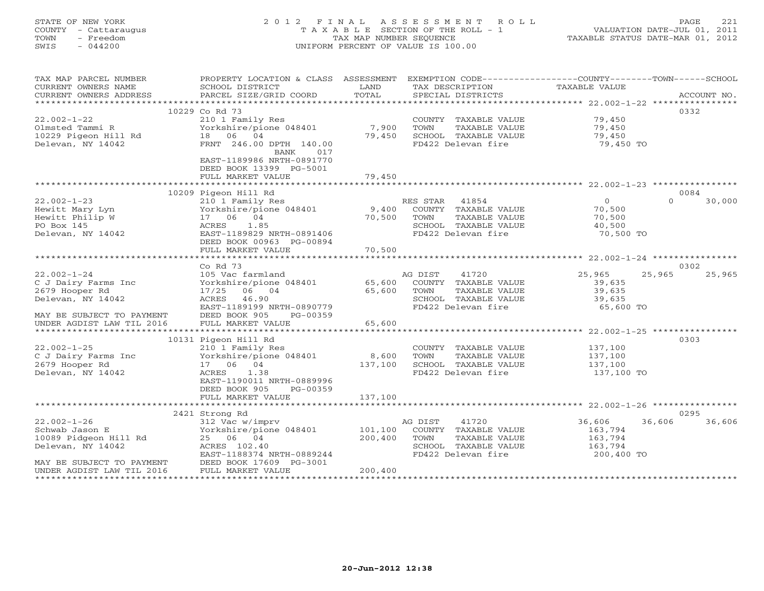# STATE OF NEW YORK 2 0 1 2 F I N A L A S S E S S M E N T R O L L PAGE 221 COUNTY - Cattaraugus T A X A B L E SECTION OF THE ROLL - 1 VALUATION DATE-JUL 01, 2011 TOWN - Freedom TAX MAP NUMBER SEQUENCE TAXABLE STATUS DATE-MAR 01, 2012 SWIS - 044200 UNIFORM PERCENT OF VALUE IS 100.00UNIFORM PERCENT OF VALUE IS 100.00

| TAX MAP PARCEL NUMBER<br>CURRENT OWNERS NAME<br>CURRENT OWNERS ADDRESS                           | PROPERTY LOCATION & CLASS ASSESSMENT<br>SCHOOL DISTRICT<br>PARCEL SIZE/GRID COORD | LAND<br>TOTAL | EXEMPTION CODE----------------COUNTY-------TOWN------SCHOOL<br>TAX DESCRIPTION<br>SPECIAL DISTRICTS | TAXABLE VALUE      | ACCOUNT NO.        |
|--------------------------------------------------------------------------------------------------|-----------------------------------------------------------------------------------|---------------|-----------------------------------------------------------------------------------------------------|--------------------|--------------------|
|                                                                                                  |                                                                                   |               |                                                                                                     |                    |                    |
|                                                                                                  | 10229 Co Rd 73                                                                    |               |                                                                                                     |                    | 0332               |
| $22.002 - 1 - 22$                                                                                | 210 1 Family Res                                                                  |               | COUNTY TAXABLE VALUE                                                                                | 79,450             |                    |
|                                                                                                  | Yorkshire/pione 048401                                                            | 7,900         | TOWN<br>TAXABLE VALUE                                                                               | 79,450             |                    |
| 10229 Pigeon Hill Rd<br>Delevan, NY 14042                                                        | 18 06 04                                                                          | 79,450        | SCHOOL TAXABLE VALUE                                                                                | 79,450             |                    |
|                                                                                                  | FRNT 246.00 DPTH 140.00<br>BANK<br>017                                            |               | FD422 Delevan fire                                                                                  | 79,450 TO          |                    |
|                                                                                                  | EAST-1189986 NRTH-0891770<br>DEED BOOK 13399 PG-5001                              |               |                                                                                                     |                    |                    |
|                                                                                                  | FULL MARKET VALUE                                                                 | 79,450        |                                                                                                     |                    |                    |
|                                                                                                  | 10209 Pigeon Hill Rd                                                              |               |                                                                                                     |                    | 0084               |
| $22.002 - 1 - 23$                                                                                | 210 1 Family Res                                                                  |               | RES STAR 41854                                                                                      | $\overline{0}$     | $\Omega$<br>30,000 |
| Hewitt Mary Lyn                                                                                  | Yorkshire/pione 048401                                                            | 9,400         | COUNTY TAXABLE VALUE                                                                                | 70,500             |                    |
| Hewitt Philip W                                                                                  | 17 06 04                                                                          | 70,500        | TOWN<br>TAXABLE VALUE                                                                               | 70,500             |                    |
| PO Box 145                                                                                       | ACRES<br>1.85                                                                     |               | SCHOOL TAXABLE VALUE                                                                                | 40,500             |                    |
| Delevan, NY 14042                                                                                | EAST-1189829 NRTH-0891406                                                         |               | FD422 Delevan fire                                                                                  | 70,500 TO          |                    |
|                                                                                                  | DEED BOOK 00963 PG-00894                                                          |               |                                                                                                     |                    |                    |
|                                                                                                  | FULL MARKET VALUE                                                                 | 70,500        |                                                                                                     |                    |                    |
|                                                                                                  |                                                                                   |               |                                                                                                     |                    |                    |
|                                                                                                  | Co Rd 73                                                                          |               |                                                                                                     |                    | 0302               |
| $22.002 - 1 - 24$                                                                                | 105 Vac farmland                                                                  |               | 41720<br>AG DIST                                                                                    | 25,965<br>25,965   | 25,965             |
| C J Dairy Farms Inc                                                                              | Yorkshire/pione 048401 65,600                                                     |               | COUNTY TAXABLE VALUE                                                                                | 39,635             |                    |
| 2679 Hooper Rd                                                                                   | 17/25 06 04                                                                       | 65,600        | TOWN<br>TAXABLE VALUE                                                                               | 39,635             |                    |
| Delevan, NY 14042                                                                                | ACRES 46.90                                                                       |               | SCHOOL TAXABLE VALUE                                                                                | 39,635             |                    |
|                                                                                                  | EAST-1189199 NRTH-0890779                                                         |               | FD422 Delevan fire                                                                                  | 65,600 TO          |                    |
| MAY BE SUBJECT TO PAYMENT                                                                        | DEED BOOK 905<br>PG-00359                                                         |               |                                                                                                     |                    |                    |
| UNDER AGDIST LAW TIL 2016                                                                        | FULL MARKET VALUE                                                                 | 65,600        |                                                                                                     |                    |                    |
|                                                                                                  | 10131 Pigeon Hill Rd                                                              |               |                                                                                                     |                    | 0303               |
| $22.002 - 1 - 25$                                                                                | 210 1 Family Res                                                                  |               | COUNTY TAXABLE VALUE 137,100                                                                        |                    |                    |
| C J Dairy Farms Inc                                                                              | Yorkshire/pione 048401 8,600                                                      |               | TOWN<br>TAXABLE VALUE                                                                               | 137,100            |                    |
| 2679 Hooper Rd                                                                                   | 17 06 04                                                                          | 137,100       | SCHOOL TAXABLE VALUE                                                                                | 137,100            |                    |
| Delevan, NY 14042                                                                                | 1.38<br>ACRES                                                                     |               | FD422 Delevan fire                                                                                  | 137,100 TO         |                    |
|                                                                                                  | EAST-1190011 NRTH-0889996                                                         |               |                                                                                                     |                    |                    |
|                                                                                                  | DEED BOOK 905<br>PG-00359                                                         |               |                                                                                                     |                    |                    |
|                                                                                                  | FULL MARKET VALUE                                                                 | 137,100       |                                                                                                     |                    |                    |
|                                                                                                  |                                                                                   |               |                                                                                                     |                    |                    |
|                                                                                                  | 2421 Strong Rd                                                                    |               |                                                                                                     |                    | 0295               |
| $22.002 - 1 - 26$                                                                                | 312 Vac w/imprv                                                                   |               | AG DIST<br>41720                                                                                    | 36,606<br>36,606   | 36,606             |
| Schwab Jason E                                                                                   | Yorkshire/pione 048401                                                            | 101,100       | COUNTY TAXABLE VALUE                                                                                | 163,794            |                    |
| 10089 Pidgeon Hill Rd<br>Delevan, NY 14042                                                       | 25 06 04<br>ACRES 102.40                                                          | 200,400       | TOWN<br>TAXABLE VALUE<br>SCHOOL TAXABLE VALUE                                                       | 163,794<br>163,794 |                    |
|                                                                                                  | EAST-1188374 NRTH-0889244                                                         |               | FD422 Delevan fire                                                                                  | 200,400 TO         |                    |
|                                                                                                  |                                                                                   |               |                                                                                                     |                    |                    |
| MAY BE SUBJECT TO PAYMENT DEED BOOK 17609 PG-3001<br>UNDER AGDIST LAW TIL 2016 FULL MARKET VALUE |                                                                                   | 200,400       |                                                                                                     |                    |                    |
|                                                                                                  |                                                                                   |               |                                                                                                     |                    |                    |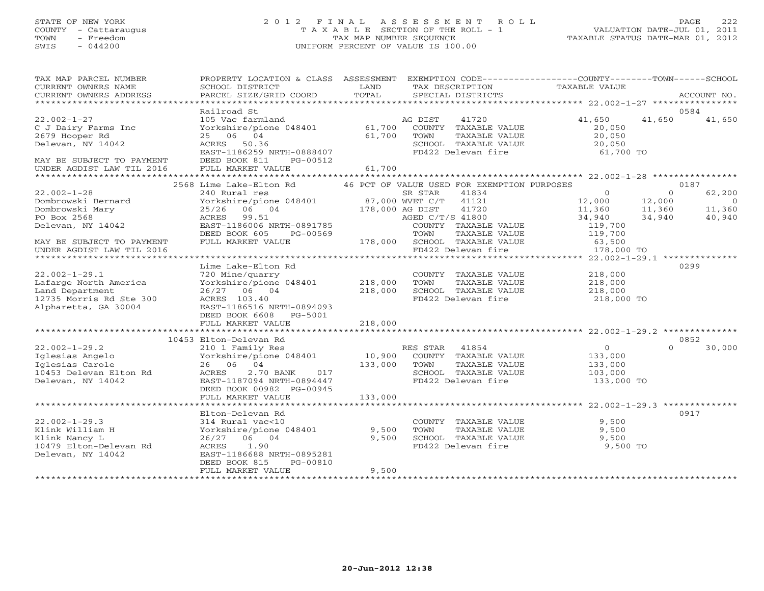# STATE OF NEW YORK 2 0 1 2 F I N A L A S S E S S M E N T R O L L PAGE 222 COUNTY - Cattaraugus T A X A B L E SECTION OF THE ROLL - 1 VALUATION DATE-JUL 01, 2011 TOWN - Freedom TAX MAP NUMBER SEQUENCE TAXABLE STATUS DATE-MAR 01, 2012 SWIS - 044200 UNIFORM PERCENT OF VALUE IS 100.00UNIFORM PERCENT OF VALUE IS 100.00

| TAX MAP PARCEL NUMBER<br>CURRENT OWNERS NAME<br>CURRENT OWNERS ADDRESS | PROPERTY LOCATION & CLASS ASSESSMENT<br>SCHOOL DISTRICT<br>PARCEL SIZE/GRID COORD | LAND<br>TOTAL                 | EXEMPTION CODE-----------------COUNTY-------TOWN------SCHOOL<br>TAX DESCRIPTION<br>SPECIAL DISTRICTS | TAXABLE VALUE  | ACCOUNT NO.              |
|------------------------------------------------------------------------|-----------------------------------------------------------------------------------|-------------------------------|------------------------------------------------------------------------------------------------------|----------------|--------------------------|
|                                                                        |                                                                                   |                               |                                                                                                      |                |                          |
|                                                                        | Railroad St                                                                       |                               |                                                                                                      |                | 0584                     |
| $22.002 - 1 - 27$                                                      | 105 Vac farmland                                                                  |                               | 41720<br>AG DIST                                                                                     | 41,650         | 41,650<br>41,650         |
| C J Dairy Farms Inc                                                    | Yorkshire/pione 048401 61,700 COUNTY TAXABLE VALUE                                |                               |                                                                                                      | 20,050         |                          |
| 2679 Hooper Rd                                                         | 25 06 04                                                                          | 61,700                        | TOWN<br>TAXABLE VALUE                                                                                | 20,050         |                          |
| Delevan, NY 14042                                                      | ACRES 50.36                                                                       |                               | SCHOOL TAXABLE VALUE                                                                                 | 20,050         |                          |
|                                                                        | EAST-1186259 NRTH-0888407                                                         |                               | FD422 Delevan fire                                                                                   | 61,700 TO      |                          |
| MAY BE SUBJECT TO PAYMENT                                              | DEED BOOK 811<br>PG-00512                                                         |                               |                                                                                                      |                |                          |
| UNDER AGDIST LAW TIL 2016                                              | FULL MARKET VALUE                                                                 | 61,700                        |                                                                                                      |                |                          |
|                                                                        |                                                                                   |                               |                                                                                                      |                |                          |
|                                                                        | 2568 Lime Lake-Elton Rd                                                           |                               | 46 PCT OF VALUE USED FOR EXEMPTION PURPOSES                                                          |                | 0187                     |
| $22.002 - 1 - 28$                                                      | 240 Rural res                                                                     |                               | SR STAR<br>41834                                                                                     | $\overline{0}$ | $\Omega$<br>62,200       |
| Dombrowski Bernard                                                     |                                                                                   |                               | 41121                                                                                                | 12,000         | 12,000<br>$\overline{0}$ |
| Dombrowski Mary                                                        | 06 04<br>25/26                                                                    |                               | 41720                                                                                                | 11,360         | 11,360<br>11,360         |
| PO Box 2568                                                            | ACRES 99.51                                                                       | $178,000$ AG DIST<br>AGED C/T |                                                                                                      | 34,940         | 34,940<br>40,940         |
| Delevan, NY 14042                                                      | ACRES 99.51<br>EAST-1186006 NRTH-0891785<br>DEED BOOK 605 PG-00569                |                               | AGED C/T/S 41800                                                                                     |                |                          |
|                                                                        |                                                                                   |                               | COUNTY TAXABLE VALUE                                                                                 | 119,700        |                          |
|                                                                        | DEED BOOK 605<br>PG-00569                                                         |                               | TOWN<br>TAXABLE VALUE                                                                                | 119,700        |                          |
| MAY BE SUBJECT TO PAYMENT                                              | FULL MARKET VALUE                                                                 |                               | -G-00505<br>178,000 SCHOOL TAXABLE VALUE<br>FD422 Delevan fire                                       | 63,500         |                          |
| UNDER AGDIST LAW TIL 2016                                              |                                                                                   |                               |                                                                                                      | 178,000 TO     |                          |
|                                                                        |                                                                                   |                               |                                                                                                      |                |                          |
|                                                                        | Lime Lake-Elton Rd                                                                |                               |                                                                                                      |                | 0299                     |
| $22.002 - 1 - 29.1$                                                    | 720 Mine/quarry                                                                   |                               | COUNTY TAXABLE VALUE                                                                                 | 218,000        |                          |
| Lafarge North America                                                  | Yorkshire/pione 048401 218,000                                                    |                               | TAXABLE VALUE<br>TOWN                                                                                | 218,000        |                          |
| Land Department                                                        | 26/27 06 04                                                                       | 218,000                       | SCHOOL TAXABLE VALUE                                                                                 | 218,000        |                          |
| 12735 Morris Rd Ste 300                                                | ACRES 103.40                                                                      |                               | FD422 Delevan fire                                                                                   | 218,000 TO     |                          |
| Alpharetta, GA 30004                                                   | EAST-1186516 NRTH-0894093                                                         |                               |                                                                                                      |                |                          |
|                                                                        | DEED BOOK 6608<br>PG-5001                                                         |                               |                                                                                                      |                |                          |
|                                                                        | FULL MARKET VALUE                                                                 | 218,000                       |                                                                                                      |                |                          |
|                                                                        |                                                                                   |                               |                                                                                                      |                |                          |
|                                                                        | 10453 Elton-Delevan Rd                                                            |                               |                                                                                                      |                | 0852                     |
| $22.002 - 1 - 29.2$                                                    | 210 1 Family Res                                                                  |                               | RES STAR 41854                                                                                       | $\overline{0}$ | $\cap$<br>30,000         |
| Iglesias Angelo                                                        | Yorkshire/pione 048401                                                            |                               | 10,900 COUNTY TAXABLE VALUE                                                                          | 133,000        |                          |
| Iglesias Carole                                                        | 26 06 04                                                                          | 133,000                       | TAXABLE VALUE<br>TOWN                                                                                | 133,000        |                          |
| 10453 Delevan Elton Rd                                                 | ACRES<br>2.70 BANK<br>017                                                         |                               | SCHOOL TAXABLE VALUE                                                                                 | 103,000        |                          |
| Delevan, NY 14042                                                      | EAST-1187094 NRTH-0894447                                                         |                               | FD422 Delevan fire                                                                                   | 133,000 TO     |                          |
|                                                                        | DEED BOOK 00982 PG-00945                                                          |                               |                                                                                                      |                |                          |
|                                                                        | FULL MARKET VALUE                                                                 | 133,000                       |                                                                                                      |                |                          |
|                                                                        |                                                                                   |                               |                                                                                                      |                |                          |
|                                                                        | Elton-Delevan Rd                                                                  |                               |                                                                                                      |                | 0917                     |
| $22.002 - 1 - 29.3$                                                    | 314 Rural vac<10                                                                  |                               |                                                                                                      | 9,500          |                          |
| Klink William H                                                        | Yorkshire/pione 048401 9,500                                                      |                               | COUNTY TAXABLE VALUE<br>TOWN TAXARLE VALUE<br>TOWN<br>TAXABLE VALUE                                  | 9,500          |                          |
| Klink Nancy L                                                          | 26/27 06 04                                                                       | 9,500                         | SCHOOL TAXABLE VALUE                                                                                 | 9,500          |                          |
| 10479 Elton-Delevan Rd                                                 | 1.90                                                                              |                               | FD422 Delevan fire                                                                                   | 9,500 TO       |                          |
|                                                                        | ACRES                                                                             |                               |                                                                                                      |                |                          |
| Delevan, NY 14042                                                      | EAST-1186688 NRTH-0895281                                                         |                               |                                                                                                      |                |                          |
|                                                                        | DEED BOOK 815<br>PG-00810                                                         |                               |                                                                                                      |                |                          |
|                                                                        | FULL MARKET VALUE                                                                 | 9,500                         |                                                                                                      |                |                          |
|                                                                        |                                                                                   |                               |                                                                                                      |                |                          |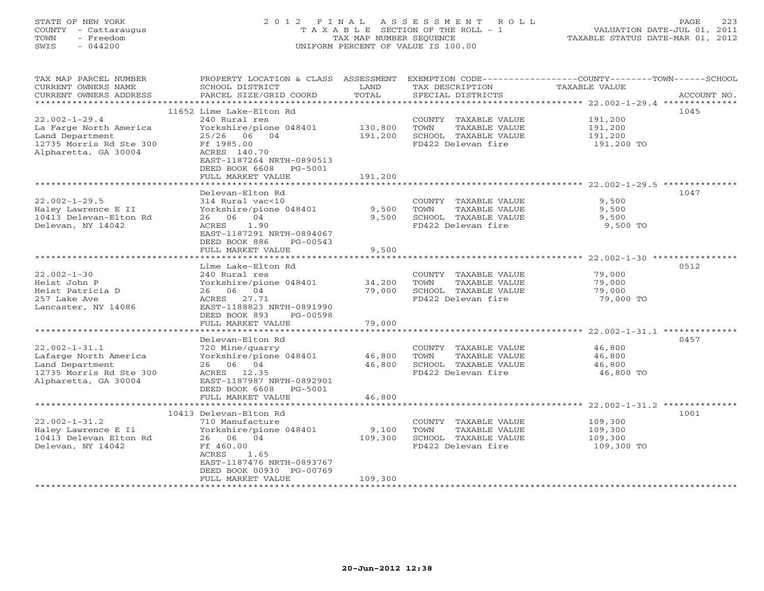# STATE OF NEW YORK 2 0 1 2 F I N A L A S S E S S M E N T R O L L PAGE 223 COUNTY - Cattaraugus T A X A B L E SECTION OF THE ROLL - 1 VALUATION DATE-JUL 01, 2011 TOWN - Freedom TAX MAP NUMBER SEQUENCE TAXABLE STATUS DATE-MAR 01, 2012 SWIS - 044200 UNIFORM PERCENT OF VALUE IS 100.00UNIFORM PERCENT OF VALUE IS 100.00

| TAX MAP PARCEL NUMBER<br>CURRENT OWNERS NAME | PROPERTY LOCATION & CLASS ASSESSMENT<br>SCHOOL DISTRICT | LAND    | EXEMPTION CODE-----------------COUNTY-------TOWN------SCHOOL<br>TAX DESCRIPTION | <b>TAXABLE VALUE</b>                         |             |
|----------------------------------------------|---------------------------------------------------------|---------|---------------------------------------------------------------------------------|----------------------------------------------|-------------|
| CURRENT OWNERS ADDRESS                       | PARCEL SIZE/GRID COORD                                  | TOTAL   | SPECIAL DISTRICTS                                                               |                                              | ACCOUNT NO. |
| **********************                       |                                                         |         |                                                                                 |                                              |             |
|                                              | 11652 Lime Lake-Elton Rd                                |         |                                                                                 |                                              | 1045        |
| $22.002 - 1 - 29.4$                          | 240 Rural res                                           |         | COUNTY TAXABLE VALUE                                                            | 191,200                                      |             |
| La Farge North America                       | Yorkshire/pione 048401                                  | 130,800 | TOWN<br>TAXABLE VALUE                                                           | 191,200                                      |             |
| Land Department                              | 25/26 06 04                                             | 191,200 | SCHOOL TAXABLE VALUE                                                            | 191,200                                      |             |
| 12735 Morris Rd Ste 300                      | Ff 1985.00                                              |         | FD422 Delevan fire                                                              | 191,200 TO                                   |             |
| Alpharetta, GA 30004                         | ACRES 140.70                                            |         |                                                                                 |                                              |             |
|                                              | EAST-1187264 NRTH-0890513<br>DEED BOOK 6608<br>PG-5001  |         |                                                                                 |                                              |             |
|                                              |                                                         | 191,200 |                                                                                 |                                              |             |
|                                              | FULL MARKET VALUE                                       |         |                                                                                 |                                              |             |
|                                              | Delevan-Elton Rd                                        |         |                                                                                 |                                              | 1047        |
| $22.002 - 1 - 29.5$                          | 314 Rural vac<10                                        |         | COUNTY TAXABLE VALUE                                                            | 9,500                                        |             |
| Haley Lawrence E II                          | Yorkshire/pione 048401                                  | 9,500   | TOWN<br>TAXABLE VALUE                                                           | 9,500                                        |             |
| 10413 Delevan-Elton Rd                       | 26 06 04                                                | 9,500   | SCHOOL TAXABLE VALUE                                                            | 9,500                                        |             |
| Delevan, NY 14042                            | 1.90<br>ACRES                                           |         | FD422 Delevan fire                                                              | 9,500 TO                                     |             |
|                                              | EAST-1187291 NRTH-0894067                               |         |                                                                                 |                                              |             |
|                                              | DEED BOOK 886<br>PG-00543                               |         |                                                                                 |                                              |             |
|                                              | FULL MARKET VALUE                                       | 9,500   |                                                                                 |                                              |             |
|                                              | * * * * * * * * * * * * * * * * * *                     |         |                                                                                 | ******************* 22.002-1-30 ************ |             |
|                                              | Lime Lake-Elton Rd                                      |         |                                                                                 |                                              | 0512        |
| $22.002 - 1 - 30$                            | 240 Rural res                                           |         | COUNTY TAXABLE VALUE                                                            | 79,000                                       |             |
| Heist John P                                 | Yorkshire/pione 048401                                  | 34,200  | TOWN<br>TAXABLE VALUE                                                           | 79,000                                       |             |
| Heist Patricia D                             | 26 06 04                                                | 79,000  | SCHOOL TAXABLE VALUE                                                            | 79,000                                       |             |
| 257 Lake Ave                                 | 27.71<br>ACRES                                          |         | FD422 Delevan fire                                                              | 79,000 TO                                    |             |
| Lancaster, NY 14086                          | EAST-1188823 NRTH-0891990                               |         |                                                                                 |                                              |             |
|                                              | DEED BOOK 893<br>PG-00598                               |         |                                                                                 |                                              |             |
|                                              | FULL MARKET VALUE                                       | 79,000  |                                                                                 |                                              |             |
|                                              |                                                         |         |                                                                                 |                                              |             |
|                                              | Delevan-Elton Rd                                        |         |                                                                                 |                                              | 0457        |
| $22.002 - 1 - 31.1$                          | 720 Mine/quarry                                         |         | COUNTY TAXABLE VALUE                                                            | 46,800                                       |             |
| Lafarge North America                        | Yorkshire/pione 048401                                  | 46,800  | TOWN<br>TAXABLE VALUE                                                           | 46,800                                       |             |
| Land Department                              | 26 06 04                                                | 46,800  | SCHOOL TAXABLE VALUE                                                            | 46,800                                       |             |
| 12735 Morris Rd Ste 300                      | ACRES 12.35                                             |         | FD422 Delevan fire                                                              | 46,800 TO                                    |             |
| Alpharetta, GA 30004                         | EAST-1187987 NRTH-0892901                               |         |                                                                                 |                                              |             |
|                                              | DEED BOOK 6608<br>PG-5001                               |         |                                                                                 |                                              |             |
|                                              | FULL MARKET VALUE                                       | 46,800  |                                                                                 |                                              |             |
|                                              |                                                         |         |                                                                                 |                                              |             |
|                                              | 10413 Delevan-Elton Rd                                  |         |                                                                                 |                                              | 1001        |
| $22.002 - 1 - 31.2$                          | 710 Manufacture                                         |         | COUNTY TAXABLE VALUE                                                            | 109,300                                      |             |
| Haley Lawrence E Ii                          | Yorkshire/pione 048401                                  | 9,100   | TAXABLE VALUE<br>TOWN                                                           | 109,300                                      |             |
| 10413 Delevan Elton Rd                       | 26 06 04                                                | 109,300 | SCHOOL TAXABLE VALUE                                                            | 109,300                                      |             |
| Delevan, NY 14042                            | Ff 460.00<br>1.65<br>ACRES                              |         | FD422 Delevan fire                                                              | 109,300 TO                                   |             |
|                                              | EAST-1187476 NRTH-0893767                               |         |                                                                                 |                                              |             |
|                                              | DEED BOOK 00930 PG-00769                                |         |                                                                                 |                                              |             |
|                                              | FULL MARKET VALUE                                       | 109,300 |                                                                                 |                                              |             |
|                                              |                                                         |         |                                                                                 |                                              |             |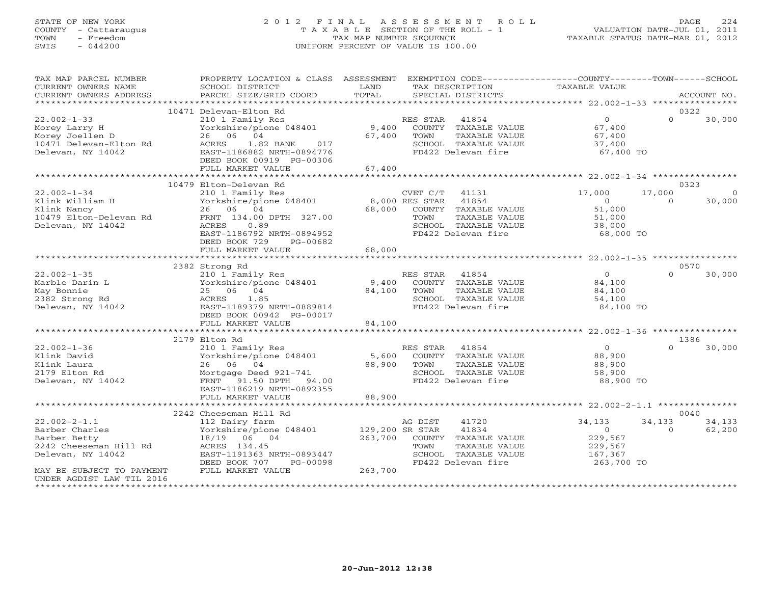# STATE OF NEW YORK 2 0 1 2 F I N A L A S S E S S M E N T R O L L PAGE 224 COUNTY - Cattaraugus T A X A B L E SECTION OF THE ROLL - 1 VALUATION DATE-JUL 01, 2011 TOWN - Freedom TAX MAP NUMBER SEQUENCE TAXABLE STATUS DATE-MAR 01, 2012 SWIS - 044200 UNIFORM PERCENT OF VALUE IS 100.00UNIFORM PERCENT OF VALUE IS 100.00

| TAX MAP PARCEL NUMBER<br>CURRENT OWNERS NAME<br>CURRENT OWNERS ADDRESS                                                           | PROPERTY LOCATION & CLASS ASSESSMENT EXEMPTION CODE---------------COUNTY-------TOWN------SCHOOL<br>SCHOOL DISTRICT<br>PARCEL SIZE/GRID COORD                                | LAND<br>TOTAL   | TAX DESCRIPTION<br>SPECIAL DISTRICTS                                                                                             | TAXABLE VALUE                                                           |                    | ACCOUNT NO.       |
|----------------------------------------------------------------------------------------------------------------------------------|-----------------------------------------------------------------------------------------------------------------------------------------------------------------------------|-----------------|----------------------------------------------------------------------------------------------------------------------------------|-------------------------------------------------------------------------|--------------------|-------------------|
|                                                                                                                                  |                                                                                                                                                                             |                 |                                                                                                                                  |                                                                         |                    |                   |
| $22.002 - 1 - 33$<br>Morey Larry H<br>Morey Joellen D<br>10471 Delevan-Elton Rd<br>Delevan, NY 14042<br>Delevan, NY 14042        | 10471 Delevan-Elton Rd<br>210 1 Family Res<br>Yorkshire/pione 048401<br>26 06 04<br>ACRES<br>1.82 BANK 017<br>EAST-1186882 NRTH-0894776<br>DEED BOOK 00919 PG-00306         | 67,400          | RES STAR 41854<br>9,400 COUNTY TAXABLE VALUE<br>TAXABLE VALUE<br>TOWN<br>SCHOOL TAXABLE VALUE<br>FD422 Delevan fire              | $\overline{0}$<br>67,400<br>67,400<br>37,400<br>67,400 TO               | $\Omega$           | 0322<br>30,000    |
|                                                                                                                                  | FULL MARKET VALUE                                                                                                                                                           | 67,400          |                                                                                                                                  |                                                                         |                    |                   |
|                                                                                                                                  | 10479 Elton-Delevan Rd                                                                                                                                                      |                 |                                                                                                                                  |                                                                         |                    | 0323              |
| $22.002 - 1 - 34$<br>Klink William H<br>Klink Nancy<br>10479 Elton-Delevan Rd<br>Delevan, NY 14042                               | 210 1 Family Res<br>Yorkshire/pione 048401 8,000 RES STAR<br>26 06 04<br>FRNT 134.00 DPTH 327.00<br>ACRES<br>0.89<br>EAST-1186792 NRTH-0894952<br>DEED BOOK 729<br>PG-00682 | 68,000          | CVET C/T 41131<br>41854<br>COUNTY TAXABLE VALUE<br>TOWN<br>TAXABLE VALUE<br>SCHOOL TAXABLE VALUE<br>FD422 Delevan fire           | 17,000<br>$\overline{0}$<br>51,000<br>51,000<br>38,000<br>68,000 TO     | 17,000<br>$\Omega$ | $\circ$<br>30,000 |
|                                                                                                                                  | FULL MARKET VALUE                                                                                                                                                           | 68,000          |                                                                                                                                  |                                                                         |                    |                   |
|                                                                                                                                  |                                                                                                                                                                             |                 |                                                                                                                                  |                                                                         |                    |                   |
| $22.002 - 1 - 35$<br>Marble Darin L<br>May Bonnie<br>2382 Strong Rd<br>Delevan, NY 14042                                         | 2382 Strong Rd<br>210 1 Family Res<br>Yorkshire/pione 048401<br>25 06 04<br>ACRES<br>1.85<br>EAST-1189379 NRTH-0889814<br>DEED BOOK 00942 PG-00017                          | 84,100          | RES STAR<br>41854<br>9,400 COUNTY TAXABLE VALUE<br>TOWN<br>TAXABLE VALUE<br>SCHOOL TAXABLE VALUE<br>FD422 Delevan fire           | $\overline{0}$<br>84,100<br>84,100<br>54,100<br>84,100 TO               | $\cap$             | 0570<br>30,000    |
|                                                                                                                                  | FULL MARKET VALUE                                                                                                                                                           | 84,100          |                                                                                                                                  |                                                                         |                    |                   |
|                                                                                                                                  |                                                                                                                                                                             |                 |                                                                                                                                  |                                                                         |                    |                   |
| $22.002 - 1 - 36$<br>Klink David<br>Klink Laura<br>2179 Elton Rd<br>Delevan, NY 14042                                            | 2179 Elton Rd<br>210 1 Family Res<br>Yorkshire/pione 048401<br>26 06 04<br>Mortgage Deed 921-741<br>FRNT 91.50 DPTH 94.00<br>EAST-1186219 NRTH-0892355                      | 5,600<br>88,900 | RES STAR 41854<br>COUNTY TAXABLE VALUE<br>TOWN<br>TAXABLE VALUE<br>SCHOOL TAXABLE VALUE<br>FD422 Delevan fire                    | $\overline{0}$<br>88,900<br>88,900<br>58,900<br>88,900 TO               | $\cap$             | 1386<br>30,000    |
|                                                                                                                                  | FULL MARKET VALUE                                                                                                                                                           | 88,900          |                                                                                                                                  |                                                                         |                    |                   |
|                                                                                                                                  | 2242 Cheeseman Hill Rd                                                                                                                                                      |                 |                                                                                                                                  |                                                                         |                    | 0040              |
| $22.002 - 2 - 1.1$<br>Barber Charles<br>Barber Betty<br>2242 Cheeseman Hill Rd<br>Delevan, NY 14042<br>MAY BE SUBJECT TO PAYMENT | 112 Dairy farm<br>Yorkshire/pione 048401 129,200 SR STAR<br>18/19 06 04<br>ACRES 134.45<br>EAST-1191363 NRTH-0893447<br>DEED BOOK 707<br>PG-00098<br>FULL MARKET VALUE      | 263,700         | 41720<br>AG DIST<br>41834<br>263,700 COUNTY TAXABLE VALUE<br>TOWN<br>TAXABLE VALUE<br>SCHOOL TAXABLE VALUE<br>FD422 Delevan fire | 34,133<br>$\overline{0}$<br>229,567<br>229,567<br>167,367<br>263,700 TO | 34,133<br>$\Omega$ | 34,133<br>62,200  |
| UNDER AGDIST LAW TIL 2016                                                                                                        |                                                                                                                                                                             |                 |                                                                                                                                  |                                                                         |                    |                   |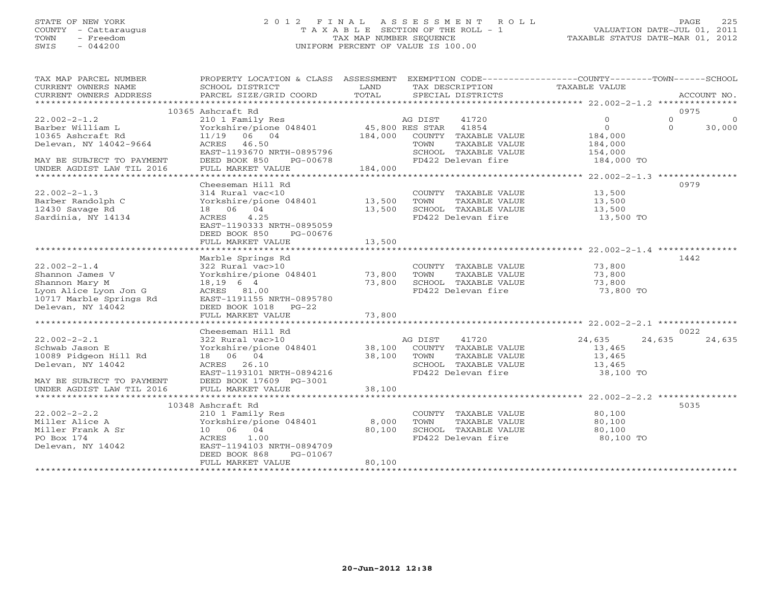#### STATE OF NEW YORK 2 0 1 2 F I N A L A S S E S S M E N T R O L L PAGE 225COUNTY - Cattaraugus T A X A B L E SECTION OF THE ROLL - 1 VALUATION DATE-JUL 01, 2011 TOWN - Freedom **TAX MAP NUMBER SEQUENCE** TAXABLE STATUS DATE-MAR 01, 2012<br>TAXABLE STATUS DATE-MAR 01, 2012 SWIS - 044200 UNIFORM PERCENT OF VALUE IS 100.00

| TAX MAP PARCEL NUMBER     | PROPERTY LOCATION & CLASS ASSESSMENT EXEMPTION CODE---------------COUNTY-------TOWN------SCHOOL |             |                                              |                      |          |                |
|---------------------------|-------------------------------------------------------------------------------------------------|-------------|----------------------------------------------|----------------------|----------|----------------|
| CURRENT OWNERS NAME       | SCHOOL DISTRICT                                                                                 | LAND        | TAX DESCRIPTION                              | <b>TAXABLE VALUE</b> |          |                |
| CURRENT OWNERS ADDRESS    | PARCEL SIZE/GRID COORD                                                                          | TOTAL       | SPECIAL DISTRICTS                            |                      |          | ACCOUNT NO.    |
|                           | 10365 Ashcraft Rd                                                                               |             |                                              |                      | 0975     |                |
| $22.002 - 2 - 1.2$        | 210 1 Family Res                                                                                |             | AG DIST<br>41720                             | $\circ$              | $\circ$  | $\overline{0}$ |
| Barber William L          | Yorkshire/pione 048401 45,800 RES STAR 41854                                                    |             |                                              | $\circ$              | $\Omega$ | 30,000         |
| 10365 Ashcraft Rd         | 11/19 06 04                                                                                     |             | 184,000 COUNTY TAXABLE VALUE                 | 184,000              |          |                |
| Delevan, NY 14042-9664    | ACRES 46.50                                                                                     |             | TAXABLE VALUE<br>TOWN                        | 184,000              |          |                |
|                           | EAST-1193670 NRTH-0895796                                                                       |             | SCHOOL TAXABLE VALUE                         | 154,000              |          |                |
| MAY BE SUBJECT TO PAYMENT | DEED BOOK 850<br>PG-00678                                                                       |             | FD422 Delevan fire                           | 184,000 TO           |          |                |
| UNDER AGDIST LAW TIL 2016 | FULL MARKET VALUE                                                                               | 184,000     |                                              |                      |          |                |
|                           |                                                                                                 |             |                                              |                      |          |                |
|                           | Cheeseman Hill Rd                                                                               |             |                                              |                      | 0979     |                |
| $22.002 - 2 - 1.3$        | 314 Rural vac<10                                                                                |             | COUNTY TAXABLE VALUE                         | 13,500               |          |                |
| Barber Randolph C         | Yorkshire/pione 048401 13,500                                                                   |             | TOWN<br>TAXABLE VALUE                        | 13,500               |          |                |
| 12430 Savage Rd           | 18  06  04                                                                                      | 13,500      | SCHOOL TAXABLE VALUE                         | 13,500               |          |                |
| Sardinia, NY 14134        | 4.25<br>ACRES                                                                                   |             | FD422 Delevan fire                           | 13,500 TO            |          |                |
|                           | EAST-1190333 NRTH-0895059                                                                       |             |                                              |                      |          |                |
|                           | DEED BOOK 850<br>PG-00676                                                                       |             |                                              |                      |          |                |
|                           | FULL MARKET VALUE                                                                               | 13,500      |                                              |                      |          |                |
|                           |                                                                                                 |             |                                              |                      |          |                |
|                           | Marble Springs Rd                                                                               |             |                                              |                      | 1442     |                |
| $22.002 - 2 - 1.4$        | 322 Rural vac>10                                                                                |             | COUNTY TAXABLE VALUE                         | 73,800               |          |                |
| Shannon James V           | Yorkshire/pione 048401 73,800                                                                   |             | TOWN<br>TAXABLE VALUE                        | 73,800               |          |                |
| Shannon Mary M            | $18, 19$ 6 4                                                                                    | 73,800      | SCHOOL TAXABLE VALUE                         | 73,800               |          |                |
| Lyon Alice Lyon Jon G     | ACRES 81.00                                                                                     |             | FD422 Delevan fire                           | 73,800 TO            |          |                |
| 10717 Marble Springs Rd   | EAST-1191155 NRTH-0895780                                                                       |             |                                              |                      |          |                |
| Delevan, NY 14042         | DEED BOOK 1018 PG-22                                                                            |             |                                              |                      |          |                |
|                           | FULL MARKET VALUE                                                                               | 73,800      |                                              |                      |          |                |
|                           |                                                                                                 |             |                                              |                      | 0022     |                |
| $22.002 - 2 - 2.1$        | Cheeseman Hill Rd<br>322 Rural vac>10                                                           |             |                                              | 24,635               | 24,635   | 24,635         |
| Schwab Jason E            | Yorkshire/pione 048401                                                                          |             | AG DIST 41720<br>38,100 COUNTY TAXABLE VALUE | 13,465               |          |                |
| 10089 Pidgeon Hill Rd     | 18 06 04                                                                                        | 38,100 TOWN | TAXABLE VALUE                                | 13,465               |          |                |
| Delevan, NY 14042         | ACRES 26.10                                                                                     |             | SCHOOL TAXABLE VALUE                         | 13,465               |          |                |
|                           | EAST-1193101 NRTH-0894216                                                                       |             | FD422 Delevan fire                           | 38,100 TO            |          |                |
| MAY BE SUBJECT TO PAYMENT | DEED BOOK 17609 PG-3001                                                                         |             |                                              |                      |          |                |
| UNDER AGDIST LAW TIL 2016 | FULL MARKET VALUE                                                                               | 38,100      |                                              |                      |          |                |
|                           |                                                                                                 |             |                                              |                      |          |                |
|                           | 10348 Ashcraft Rd                                                                               |             |                                              |                      | 5035     |                |
| $22.002 - 2 - 2.2$        | 210 1 Family Res                                                                                |             | COUNTY TAXABLE VALUE                         | 80,100               |          |                |
| Miller Alice A            | Yorkshire/pione 048401                                                                          | 8,000       | TOWN<br>TAXABLE VALUE                        | 80,100               |          |                |
| Miller Frank A Sr         | 10 06 04                                                                                        | 80,100      | SCHOOL TAXABLE VALUE                         | 80,100               |          |                |
| PO Box 174                | ACRES<br>1.00                                                                                   |             | FD422 Delevan fire                           | 80,100 TO            |          |                |
| Delevan, NY 14042         | EAST-1194103 NRTH-0894709                                                                       |             |                                              |                      |          |                |
|                           | DEED BOOK 868<br>PG-01067                                                                       |             |                                              |                      |          |                |
|                           | FULL MARKET VALUE                                                                               | 80,100      |                                              |                      |          |                |
|                           |                                                                                                 |             |                                              |                      |          |                |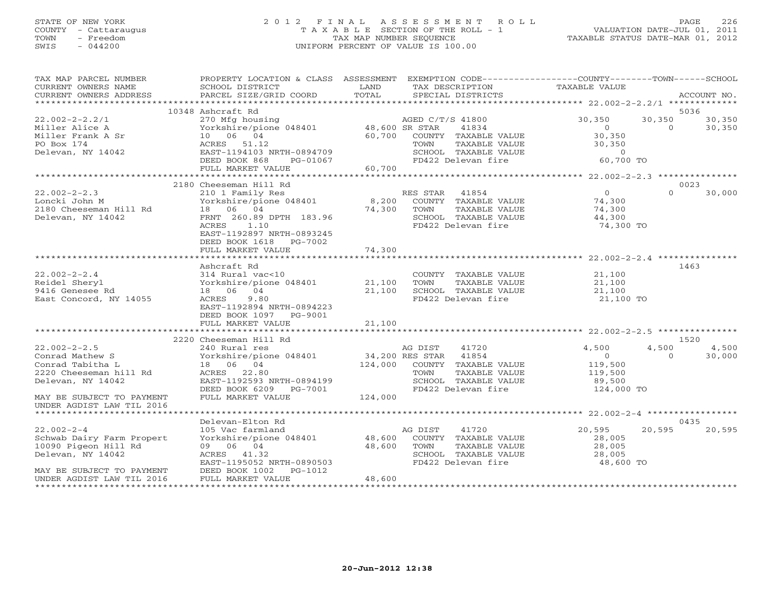#### STATE OF NEW YORK 2 0 1 2 F I N A L A S S E S S M E N T R O L L PAGE 226 COUNTY - Cattaraugus T A X A B L E SECTION OF THE ROLL - 1 VALUATION DATE-JUL 01, 2011 TOWN - Freedom TAX MAP NUMBER SEQUENCE TAXABLE STATUS DATE-MAR 01, 2012 SWIS - 044200 UNIFORM PERCENT OF VALUE IS 100.00UNIFORM PERCENT OF VALUE IS 100.00

| TAX MAP PARCEL NUMBER<br>CURRENT OWNERS NAME<br>CURRENT OWNERS ADDRESS                                                                               | PROPERTY LOCATION & CLASS ASSESSMENT EXEMPTION CODE---------------COUNTY-------TOWN------SCHOOL<br><b>Example 12</b> LAND<br>SCHOOL DISTRICT<br>PARCEL SIZE/GRID COORD                                                                                                                                                                                                                                             | TOTAL            | TAX DESCRIPTION<br>SPECIAL DISTRICTS                                                                                                    | TAXABLE VALUE                                                           |                    | ACCOUNT NO.      |
|------------------------------------------------------------------------------------------------------------------------------------------------------|--------------------------------------------------------------------------------------------------------------------------------------------------------------------------------------------------------------------------------------------------------------------------------------------------------------------------------------------------------------------------------------------------------------------|------------------|-----------------------------------------------------------------------------------------------------------------------------------------|-------------------------------------------------------------------------|--------------------|------------------|
|                                                                                                                                                      |                                                                                                                                                                                                                                                                                                                                                                                                                    |                  |                                                                                                                                         |                                                                         |                    |                  |
|                                                                                                                                                      | 10348 Ashcraft Rd                                                                                                                                                                                                                                                                                                                                                                                                  |                  |                                                                                                                                         |                                                                         |                    | 5036             |
| $22.002 - 2 - 2.2/1$<br>Miller Alice A<br>Miller Frank A Sr<br>PO Box 174<br>Delevan, NY 14042                                                       | AGED C/T<br>270 Mfg housing<br>Yorkshire/pione 048401 48,600 SR STAR<br>10 06 04<br>ACRES 51.12<br>EAST-1194103 NRTH-0894709<br>DEED BOOK 868<br>PG-01067<br>erritoria de la construcción de la construcción de la construcción de la construcción de la construcción de la<br>Entre de la construcción de la construcción de la construcción de la construcción de la construcción de la con<br>FULL MARKET VALUE | 60,700           | AGED C/T/S 41800<br>41834<br>60,700 COUNTY TAXABLE VALUE<br>TOWN TAXABLE VALUE<br>SCHOOL TAXABLE VALUE<br>FD422 Delevan fire            | 30,350<br>$\bigcirc$<br>30,350<br>30,350<br>$\overline{0}$<br>60,700 TO | 30,350<br>$\Omega$ | 30,350<br>30,350 |
|                                                                                                                                                      |                                                                                                                                                                                                                                                                                                                                                                                                                    |                  |                                                                                                                                         |                                                                         |                    |                  |
|                                                                                                                                                      | 2180 Cheeseman Hill Rd                                                                                                                                                                                                                                                                                                                                                                                             |                  |                                                                                                                                         |                                                                         |                    | 0023             |
| $22.002 - 2 - 2.3$<br><sub>-</sub> ,-Yorksnii<br>18 06 04 ברייי<br>260.89 חתמידי<br>Loncki John M<br>2180 Cheeseman Hill Rd<br>Delevan, NY 14042     | 210 1 Family Res<br>Yorkshire/pione 048401 8,200<br>FRNT 260.89 DPTH 183.96<br>ACRES 1.10<br>EAST-1192897 NRTH-0893245<br>DEED BOOK 1618 PG-7002                                                                                                                                                                                                                                                                   | 74,300           | RES STAR 41854<br>COUNTY TAXABLE VALUE<br>TOWN<br>TAXABLE VALUE<br>SCHOOL TAXABLE VALUE<br>FD422 Delevan fire                           | $\overline{0}$<br>74,300<br>74,300<br>44,300<br>74,300 TO               | $\cap$             | 30,000           |
|                                                                                                                                                      | FULL MARKET VALUE                                                                                                                                                                                                                                                                                                                                                                                                  | 74,300           |                                                                                                                                         |                                                                         |                    |                  |
|                                                                                                                                                      |                                                                                                                                                                                                                                                                                                                                                                                                                    |                  |                                                                                                                                         |                                                                         |                    |                  |
| $22.002 - 2 - 2.4$<br>Reidel Sheryl<br>9416 Genesee Rd<br>East Concord, NY 14055                                                                     | Ashcraft Rd<br>314 Rural vac<10<br>Yorkshire/pione 048401 21,100<br>18 06 04<br>ACRES<br>9.80<br>EAST-1192894 NRTH-0894223<br>DEED BOOK 1097 PG-9001                                                                                                                                                                                                                                                               | 21,100           | COUNTY TAXABLE VALUE 21,100<br>TOWN TAXABLE VALUE<br>SCHOOL TAXABLE VALUE<br>FD422 Delevan fire                                         | 21,100<br>$21,100$<br>21,100<br>21,100 TO                               | 1463               |                  |
|                                                                                                                                                      | FULL MARKET VALUE                                                                                                                                                                                                                                                                                                                                                                                                  | 21,100           |                                                                                                                                         |                                                                         |                    |                  |
|                                                                                                                                                      |                                                                                                                                                                                                                                                                                                                                                                                                                    |                  |                                                                                                                                         |                                                                         |                    |                  |
| $22.002 - 2 - 2.5$                                                                                                                                   | 2220 Cheeseman Hill Rd<br>240 Rural res                                                                                                                                                                                                                                                                                                                                                                            |                  | AG DIST<br>41720                                                                                                                        | 4,500                                                                   | 4,500              | 1520<br>4,500    |
| Conrad Mathew S<br>Conrad Tabitha L<br>2220 Cheeseman hill Rd<br>Delevan, NY 14042                                                                   | Yorkshire/pione 048401<br>18  06  04<br>ACRES 22.80<br>EAST-1192593 NRTH-0894199<br>DEED BOOK 6209 PG-7001                                                                                                                                                                                                                                                                                                         |                  | 34,200 RES STAR 41854<br>124,000 COUNTY TAXABLE VALUE<br>TOWN<br>TAXABLE VALUE<br>SCHOOL TAXABLE VALUE<br>FD422 Delevan fire 124,000 TO | $\overline{0}$<br>119,500<br>119,500<br>89,500                          | $\Omega$           | 30,000           |
| MAY BE SUBJECT TO PAYMENT<br>UNDER AGDIST LAW TIL 2016                                                                                               | FULL MARKET VALUE                                                                                                                                                                                                                                                                                                                                                                                                  | 124,000          |                                                                                                                                         |                                                                         |                    |                  |
|                                                                                                                                                      | Delevan-Elton Rd                                                                                                                                                                                                                                                                                                                                                                                                   |                  |                                                                                                                                         |                                                                         |                    | 0435             |
| $22.002 - 2 - 4$<br>Schwab Dairy Farm Propert<br>10090 Pigeon Hill Rd<br>Delevan, NY 14042<br>MAY BE SUBJECT TO PAYMENT<br>UNDER AGDIST LAW TIL 2016 | 105 Vac farmland<br>Yorkshire/pione 048401 48,600<br>09 06 04<br>ACRES 41.32<br>EAST-1195052 NRTH-0890503<br>DEED BOOK 1002 PG-1012<br>FULL MARKET VALUE                                                                                                                                                                                                                                                           | 48,600<br>48,600 | 41720<br>AG DIST<br>COUNTY TAXABLE VALUE<br>TOWN<br>TAXABLE VALUE<br>SCHOOL TAXABLE VALUE<br>FD422 Delevan fire                         | 20,595<br>28,005<br>28,005<br>28,005<br>48,600 TO                       | 20,595             | 20,595           |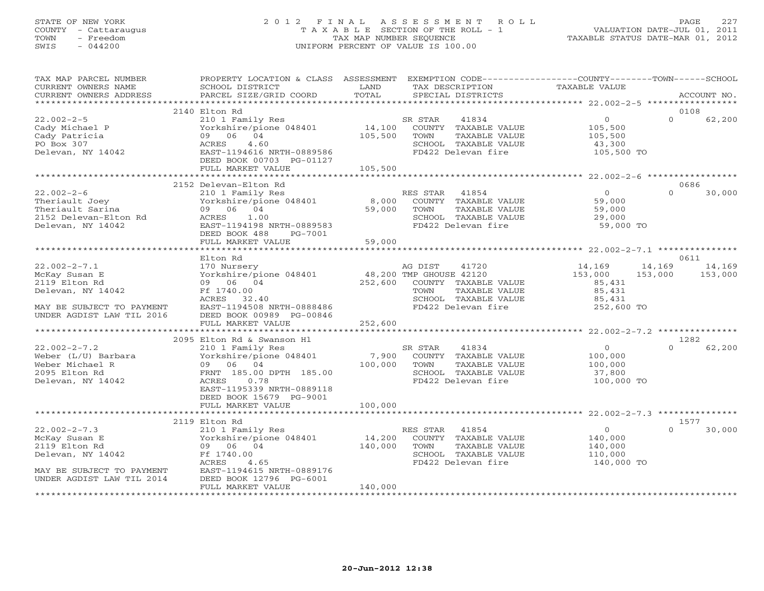# STATE OF NEW YORK 2 0 1 2 F I N A L A S S E S S M E N T R O L L PAGE 227 COUNTY - Cattaraugus T A X A B L E SECTION OF THE ROLL - 1 VALUATION DATE-JUL 01, 2011 TOWN - Freedom TAX MAP NUMBER SEQUENCE TAXABLE STATUS DATE-MAR 01, 2012 SWIS - 044200 UNIFORM PERCENT OF VALUE IS 100.00UNIFORM PERCENT OF VALUE IS 100.00

| TAX MAP PARCEL NUMBER<br>CURRENT OWNERS NAME<br>CURRENT OWNERS ADDRESS                                 | PROPERTY LOCATION & CLASS ASSESSMENT EXEMPTION CODE---------------COUNTY-------TOWN------SCHOOL<br>SCHOOL DISTRICT<br>PARCEL SIZE/GRID COORD                                             | LAND<br>TOTAL                | TAX DESCRIPTION<br>SPECIAL DISTRICTS                                                                                                       | <b>TAXABLE VALUE</b>                                          | ACCOUNT NO.                            |
|--------------------------------------------------------------------------------------------------------|------------------------------------------------------------------------------------------------------------------------------------------------------------------------------------------|------------------------------|--------------------------------------------------------------------------------------------------------------------------------------------|---------------------------------------------------------------|----------------------------------------|
| *************************                                                                              |                                                                                                                                                                                          |                              |                                                                                                                                            |                                                               |                                        |
| $22.002 - 2 - 5$<br>Cady Michael P<br>Cady Patricia<br>PO Box 307<br>Delevan, NY 14042                 | 2140 Elton Rd<br>210 1 Family Res<br>Yorkshire/pione 048401<br>09 06 04<br>4.60<br>ACRES<br>EAST-1194616 NRTH-0889586<br>DEED BOOK 00703 PG-01127<br>FULL MARKET VALUE                   | 14,100<br>105,500<br>105,500 | SR STAR<br>41834<br>COUNTY TAXABLE VALUE<br>TOWN<br>TAXABLE VALUE<br>SCHOOL TAXABLE VALUE<br>FD422 Delevan fire                            | $\circ$<br>105,500<br>105,500<br>43,300<br>105,500 TO         | 0108<br>$\Omega$<br>62,200             |
|                                                                                                        |                                                                                                                                                                                          |                              |                                                                                                                                            |                                                               |                                        |
| $22.002 - 2 - 6$<br>Theriault Joey<br>Theriault Sarina<br>2152 Delevan-Elton Rd<br>Delevan, NY 14042   | 2152 Delevan-Elton Rd<br>210 1 Family Res<br>Yorkshire/pione 048401<br>09 06 04<br>1.00<br>ACRES<br>EAST-1194198 NRTH-0889583<br>DEED BOOK 488<br>PG-7001                                | 8,000<br>59,000              | RES STAR<br>41854<br>COUNTY TAXABLE VALUE<br>TOWN<br>TAXABLE VALUE<br>SCHOOL TAXABLE VALUE<br>FD422 Delevan fire                           | $\overline{0}$<br>59,000<br>59,000<br>29,000<br>59,000 TO     | 0686<br>30,000<br>$\Omega$             |
|                                                                                                        | FULL MARKET VALUE                                                                                                                                                                        | 59,000                       |                                                                                                                                            |                                                               |                                        |
|                                                                                                        | Elton Rd                                                                                                                                                                                 |                              |                                                                                                                                            |                                                               | 0611                                   |
| $22.002 - 2 - 7.1$<br>McKay Susan E<br>2119 Elton Rd<br>Delevan, NY 14042                              | 170 Nursery<br>Yorkshire/pione 048401<br>09 06 04<br>Ff 1740.00<br>ACRES 32.40                                                                                                           | 252,600                      | AG DIST<br>41720<br>48,200 TMP GHOUSE 42120<br>COUNTY TAXABLE VALUE<br>TOWN<br>TAXABLE VALUE<br>SCHOOL TAXABLE VALUE<br>FD422 Delevan fire | 14,169<br>153,000<br>85,431<br>85,431<br>85,431               | 14,169<br>14,169<br>153,000<br>153,000 |
| MAY BE SUBJECT TO PAYMENT<br>UNDER AGDIST LAW TIL 2016                                                 | EAST-1194508 NRTH-0888486<br>DEED BOOK 00989 PG-00846<br>FULL MARKET VALUE                                                                                                               | 252,600                      |                                                                                                                                            | 252,600 TO                                                    |                                        |
|                                                                                                        |                                                                                                                                                                                          |                              |                                                                                                                                            |                                                               |                                        |
| $22.002 - 2 - 7.2$<br>Weber (L/U) Barbara<br>Weber Michael R<br>2095 Elton Rd<br>Delevan, NY 14042     | 2095 Elton Rd & Swanson Hl<br>210 1 Family Res<br>Yorkshire/pione 048401<br>09 06 04<br>FRNT 185.00 DPTH 185.00<br>0.78<br>ACRES<br>EAST-1195339 NRTH-0889118<br>DEED BOOK 15679 PG-9001 | 100,000                      | SR STAR<br>41834<br>7,900 COUNTY TAXABLE VALUE<br>TOWN<br>TAXABLE VALUE<br>SCHOOL TAXABLE VALUE<br>FD422 Delevan fire                      | $\overline{0}$<br>100,000<br>100,000<br>37,800<br>100,000 TO  | 1282<br>$\Omega$<br>62,200             |
|                                                                                                        | FULL MARKET VALUE<br>*********************                                                                                                                                               | 100,000                      |                                                                                                                                            |                                                               |                                        |
|                                                                                                        | 2119 Elton Rd                                                                                                                                                                            |                              | ************************************ 22.002-2-7.3 ****************                                                                         |                                                               | 1577                                   |
| $22.002 - 2 - 7.3$<br>McKay Susan E<br>2119 Elton Rd<br>Delevan, NY 14042<br>MAY BE SUBJECT TO PAYMENT | 210 1 Family Res<br>Yorkshire/pione 048401<br>09 06 04<br>Ff 1740.00<br>ACRES<br>4.65<br>EAST-1194615 NRTH-0889176                                                                       | 14,200<br>140,000            | RES STAR<br>41854<br>COUNTY TAXABLE VALUE<br>TOWN<br>TAXABLE VALUE<br>SCHOOL TAXABLE VALUE<br>FD422 Delevan fire                           | $\overline{0}$<br>140,000<br>140,000<br>110,000<br>140,000 TO | $\Omega$<br>30,000                     |
| UNDER AGDIST LAW TIL 2014                                                                              | DEED BOOK 12796 PG-6001<br>FULL MARKET VALUE                                                                                                                                             | 140,000                      |                                                                                                                                            |                                                               |                                        |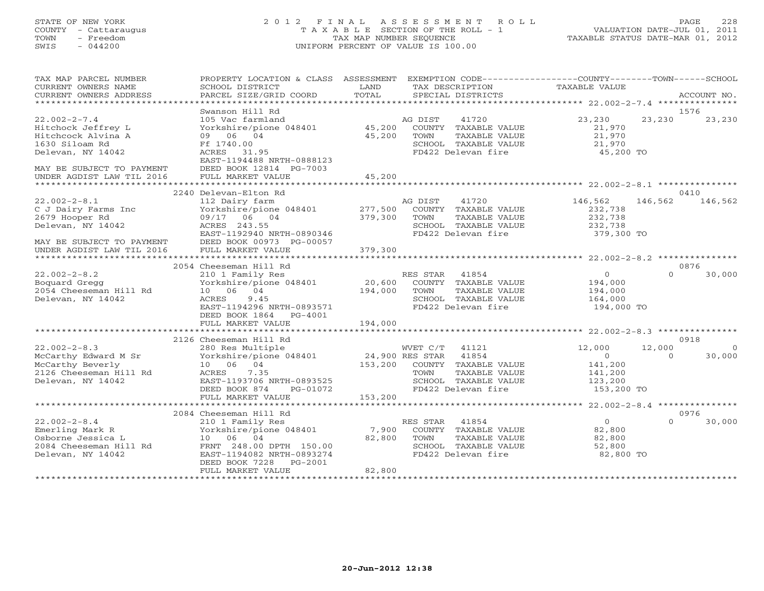#### STATE OF NEW YORK 2 0 1 2 F I N A L A S S E S S M E N T R O L L PAGE 228 COUNTY - Cattaraugus T A X A B L E SECTION OF THE ROLL - 1 VALUATION DATE-JUL 01, 2011 TOWN - Freedom TAX MAP NUMBER SEQUENCE TAXABLE STATUS DATE-MAR 01, 2012 SWIS - 044200 UNIFORM PERCENT OF VALUE IS 100.00UNIFORM PERCENT OF VALUE IS 100.00

| TAX MAP PARCEL NUMBER     | PROPERTY LOCATION & CLASS ASSESSMENT   |         | EXEMPTION CODE-----------------COUNTY-------TOWN------SCHOOL |                |             |          |
|---------------------------|----------------------------------------|---------|--------------------------------------------------------------|----------------|-------------|----------|
| CURRENT OWNERS NAME       | SCHOOL DISTRICT                        | LAND    | TAX DESCRIPTION                                              | TAXABLE VALUE  |             |          |
| CURRENT OWNERS ADDRESS    | PARCEL SIZE/GRID COORD                 | TOTAL   | SPECIAL DISTRICTS                                            |                | ACCOUNT NO. |          |
|                           |                                        |         |                                                              |                |             |          |
|                           | Swanson Hill Rd                        |         |                                                              |                | 1576        |          |
| $22.002 - 2 - 7.4$        | 105 Vac farmland                       |         | AG DIST<br>41720                                             | 23,230         | 23,230      | 23,230   |
| Hitchock Jeffrey L        | Yorkshire/pione 048401                 | 45,200  | COUNTY TAXABLE VALUE                                         | 21,970         |             |          |
| Hitchcock Alvina A        | 09 06 04                               | 45,200  | TOWN<br>TAXABLE VALUE                                        | 21,970         |             |          |
| 1630 Siloam Rd            | Ff 1740.00                             |         | SCHOOL TAXABLE VALUE                                         | 21,970         |             |          |
| Delevan, NY 14042         | ACRES 31.95                            |         | FD422 Delevan fire                                           | 45,200 TO      |             |          |
|                           | EAST-1194488 NRTH-0888123              |         |                                                              |                |             |          |
| MAY BE SUBJECT TO PAYMENT | DEED BOOK 12814 PG-7003                |         |                                                              |                |             |          |
|                           |                                        |         |                                                              |                |             |          |
|                           |                                        |         |                                                              |                |             |          |
|                           | 2240 Delevan-Elton Rd                  |         |                                                              |                | 0410        |          |
| $22.002 - 2 - 8.1$        | 112 Dairy farm                         |         | AG DIST<br>41720                                             | 146,562        | 146,562     | 146,562  |
| C J Dairy Farms Inc       | Yorkshire/pione 048401                 | 277,500 | COUNTY TAXABLE VALUE                                         | 232,738        |             |          |
| 2679 Hooper Rd            | 09/17 06 04                            | 379,300 | TAXABLE VALUE<br>TOWN                                        | 232,738        |             |          |
| Delevan, NY 14042         | ACRES 243.55                           |         | SCHOOL TAXABLE VALUE                                         | 232,738        |             |          |
|                           | EAST-1192940 NRTH-0890346              |         | FD422 Delevan fire                                           | 379,300 TO     |             |          |
| MAY BE SUBJECT TO PAYMENT | DEED BOOK 00973 PG-00057               |         |                                                              |                |             |          |
| UNDER AGDIST LAW TIL 2016 | FULL MARKET VALUE                      | 379,300 |                                                              |                |             |          |
|                           | *************************              |         |                                                              |                |             |          |
|                           | 2054 Cheeseman Hill Rd                 |         |                                                              |                | 0876        |          |
| $22.002 - 2 - 8.2$        | 210 1 Family Res                       |         | 41854<br>RES STAR                                            | $\overline{0}$ | $\Omega$    | 30,000   |
| Boquard Gregg             | Yorkshire/pione 048401                 | 20,600  | COUNTY TAXABLE VALUE                                         | 194,000        |             |          |
| 2054 Cheeseman Hill Rd    | 10 06 04                               | 194,000 | TOWN<br>TAXABLE VALUE                                        | 194,000        |             |          |
| Delevan, NY 14042         | ACRES<br>9.45                          |         | SCHOOL TAXABLE VALUE                                         | 164,000        |             |          |
|                           | EAST-1194296 NRTH-0893571              |         | FD422 Delevan fire                                           | 194,000 TO     |             |          |
|                           | DEED BOOK 1864<br>PG-4001              |         |                                                              |                |             |          |
|                           | FULL MARKET VALUE                      | 194,000 |                                                              |                |             |          |
|                           |                                        |         |                                                              |                |             |          |
|                           | 2126 Cheeseman Hill Rd                 |         |                                                              |                | 0918        |          |
| $22.002 - 2 - 8.3$        | 280 Res Multiple                       |         | WVET C/T<br>41121                                            | 12,000         | 12,000      | $\Omega$ |
| McCarthy Edward M Sr      | Yorkshire/pione 048401 24,900 RES STAR |         | 41854                                                        | $\Omega$       | $\Omega$    | 30,000   |
| McCarthy Beverly          | 10 06 04                               | 153,200 | COUNTY<br>TAXABLE VALUE                                      | 141,200        |             |          |
| 2126 Cheeseman Hill Rd    | ACRES<br>7.35                          |         | TOWN<br>TAXABLE VALUE                                        | 141,200        |             |          |
| Delevan, NY 14042         | EAST-1193706 NRTH-0893525              |         | SCHOOL TAXABLE VALUE                                         | 123,200        |             |          |
|                           | PG-01072<br>DEED BOOK 874              |         | FD422 Delevan fire                                           | 153,200 TO     |             |          |
|                           | FULL MARKET VALUE                      | 153,200 |                                                              |                |             |          |
|                           |                                        |         |                                                              |                |             |          |
|                           | 2084 Cheeseman Hill Rd                 |         |                                                              |                | 0976        |          |
| $22.002 - 2 - 8.4$        | 210 1 Family Res                       |         | RES STAR<br>41854                                            | $\overline{0}$ | $\Omega$    | 30,000   |
| Emerling Mark R           | Yorkshire/pione 048401                 | 7,900   | COUNTY TAXABLE VALUE                                         | 82,800         |             |          |
| Osborne Jessica L         | 10 06 04                               | 82,800  | TOWN<br>TAXABLE VALUE                                        | 82,800         |             |          |
| 2084 Cheeseman Hill Rd    | FRNT 248.00 DPTH 150.00                |         | SCHOOL TAXABLE VALUE                                         | 52,800         |             |          |
| Delevan, NY 14042         | EAST-1194082 NRTH-0893274              |         | FD422 Delevan fire                                           | 82,800 TO      |             |          |
|                           | DEED BOOK 7228<br>PG-2001              |         |                                                              |                |             |          |
|                           | FULL MARKET VALUE                      | 82,800  |                                                              |                |             |          |
|                           |                                        |         |                                                              |                |             |          |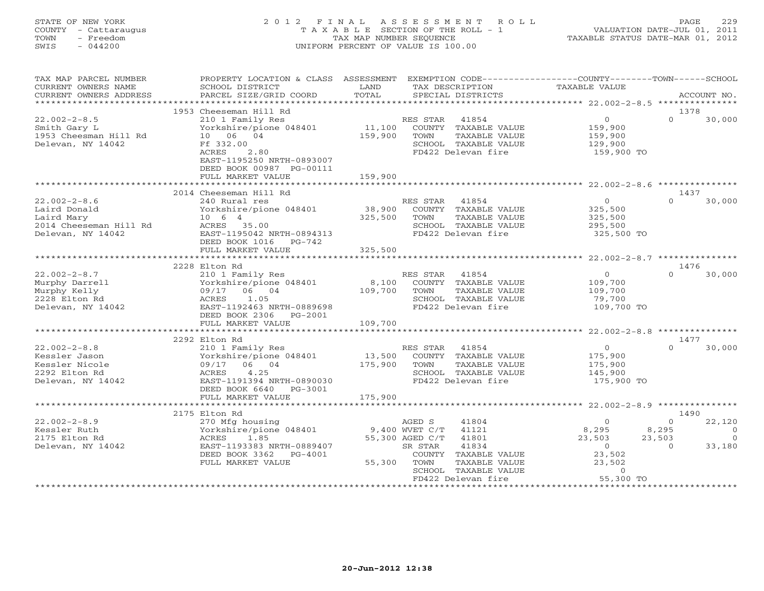## STATE OF NEW YORK 2 0 1 2 F I N A L A S S E S S M E N T R O L L PAGE 229 COUNTY - Cattaraugus T A X A B L E SECTION OF THE ROLL - 1 VALUATION DATE-JUL 01, 2011 TOWN - Freedom TAX MAP NUMBER SEQUENCE TAXABLE STATUS DATE-MAR 01, 2012 SWIS - 044200 UNIFORM PERCENT OF VALUE IS 100.00UNIFORM PERCENT OF VALUE IS 100.00

| TAX MAP PARCEL NUMBER<br>CURRENT OWNERS NAME<br>CURRENT OWNERS ADDRESS                          | PROPERTY LOCATION & CLASS<br>SCHOOL DISTRICT<br>PARCEL SIZE/GRID COORD                                                                                                                       | ASSESSMENT<br>LAND<br>TOTAL  | EXEMPTION CODE----------------COUNTY-------TOWN------SCHOOL<br>TAX DESCRIPTION<br>SPECIAL DISTRICTS                                                                                       | TAXABLE VALUE                                                                            | ACCOUNT NO.                                                                                       |
|-------------------------------------------------------------------------------------------------|----------------------------------------------------------------------------------------------------------------------------------------------------------------------------------------------|------------------------------|-------------------------------------------------------------------------------------------------------------------------------------------------------------------------------------------|------------------------------------------------------------------------------------------|---------------------------------------------------------------------------------------------------|
| **********************                                                                          |                                                                                                                                                                                              |                              |                                                                                                                                                                                           |                                                                                          |                                                                                                   |
| $22.002 - 2 - 8.5$<br>Smith Gary L<br>1953 Cheesman Hill Rd<br>Delevan, NY 14042                | 1953 Cheeseman Hill Rd<br>210 1 Family Res<br>Yorkshire/pione 048401<br>10 06 04<br>Ff 332.00<br>2.80<br>ACRES<br>EAST-1195250 NRTH-0893007<br>DEED BOOK 00987 PG-00111<br>FULL MARKET VALUE | 11,100<br>159,900<br>159,900 | 41854<br>RES STAR<br>COUNTY TAXABLE VALUE<br>TOWN<br>TAXABLE VALUE<br>SCHOOL TAXABLE VALUE<br>FD422 Delevan fire                                                                          | $\overline{0}$<br>159,900<br>159,900<br>129,900<br>159,900 TO                            | 1378<br>$\Omega$<br>30,000                                                                        |
|                                                                                                 |                                                                                                                                                                                              |                              |                                                                                                                                                                                           |                                                                                          |                                                                                                   |
|                                                                                                 | 2014 Cheeseman Hill Rd                                                                                                                                                                       |                              |                                                                                                                                                                                           |                                                                                          | 1437                                                                                              |
| $22.002 - 2 - 8.6$<br>Laird Donald<br>Laird Mary<br>2014 Cheeseman Hill Rd<br>Delevan, NY 14042 | 240 Rural res<br>Yorkshire/pione 048401<br>10 6 4<br>ACRES 35.00<br>EAST-1195042 NRTH-0894313<br>DEED BOOK 1016<br>PG-742                                                                    | 38,900<br>325,500            | RES STAR<br>41854<br>COUNTY TAXABLE VALUE<br>TOWN<br>TAXABLE VALUE<br>SCHOOL TAXABLE VALUE<br>FD422 Delevan fire                                                                          | $\circ$<br>325,500<br>325,500<br>295,500<br>325,500 TO                                   | $\Omega$<br>30,000                                                                                |
|                                                                                                 | FULL MARKET VALUE                                                                                                                                                                            | 325,500                      |                                                                                                                                                                                           |                                                                                          |                                                                                                   |
|                                                                                                 | 2228 Elton Rd                                                                                                                                                                                |                              |                                                                                                                                                                                           |                                                                                          | 1476                                                                                              |
| $22.002 - 2 - 8.7$<br>Murphy Darrell<br>Murphy Kelly<br>2228 Elton Rd<br>Delevan, NY 14042      | 210 1 Family Res<br>Yorkshire/pione 048401<br>06 04<br>09/17<br>1.05<br>ACRES<br>EAST-1192463 NRTH-0889698<br>DEED BOOK 2306<br>PG-2001<br>FULL MARKET VALUE                                 | 8,100<br>109,700<br>109,700  | RES STAR<br>41854<br>COUNTY TAXABLE VALUE<br>TOWN<br>TAXABLE VALUE<br>SCHOOL TAXABLE VALUE<br>FD422 Delevan fire                                                                          | $\Omega$<br>109,700<br>109,700<br>79,700<br>109,700 TO                                   | 30,000<br>$\cap$                                                                                  |
|                                                                                                 |                                                                                                                                                                                              |                              |                                                                                                                                                                                           |                                                                                          |                                                                                                   |
|                                                                                                 | 2292 Elton Rd                                                                                                                                                                                |                              |                                                                                                                                                                                           |                                                                                          | 1477                                                                                              |
| $22.002 - 2 - 8.8$<br>Kessler Jason<br>Kessler Nicole<br>2292 Elton Rd<br>Delevan, NY 14042     | 210 1 Family Res<br>Yorkshire/pione 048401<br>06 04<br>09/17<br>4.25<br>ACRES<br>EAST-1191394 NRTH-0890030<br>DEED BOOK 6640 PG-3001                                                         | 13,500<br>175,900            | RES STAR<br>41854<br>COUNTY TAXABLE VALUE<br>TOWN<br>TAXABLE VALUE<br>SCHOOL TAXABLE VALUE<br>FD422 Delevan fire                                                                          | $\circ$<br>175,900<br>175,900<br>145,900<br>175,900 TO                                   | $\Omega$<br>30,000                                                                                |
|                                                                                                 | FULL MARKET VALUE                                                                                                                                                                            | 175,900                      |                                                                                                                                                                                           |                                                                                          |                                                                                                   |
|                                                                                                 |                                                                                                                                                                                              |                              |                                                                                                                                                                                           |                                                                                          |                                                                                                   |
| $22.002 - 2 - 8.9$<br>Kessler Ruth<br>2175 Elton Rd<br>Delevan, NY 14042                        | 2175 Elton Rd<br>270 Mfg housing<br>Yorkshire/pione 048401<br>1.85<br>ACRES<br>EAST-1193383 NRTH-0889407<br>DEED BOOK 3362<br>$PG-4001$<br>FULL MARKET VALUE                                 | 55,300                       | AGED S<br>41804<br>9,400 WVET C/T<br>41121<br>55,300 AGED C/T<br>41801<br>SR STAR<br>41834<br>COUNTY TAXABLE VALUE<br>TOWN<br>TAXABLE VALUE<br>SCHOOL TAXABLE VALUE<br>FD422 Delevan fire | $\circ$<br>8,295<br>23,503<br>$\overline{0}$<br>23,502<br>23,502<br>$\circ$<br>55,300 TO | 1490<br>22,120<br>$\Omega$<br>8,295<br>$\overline{0}$<br>$\Omega$<br>23,503<br>33,180<br>$\Omega$ |
|                                                                                                 |                                                                                                                                                                                              |                              |                                                                                                                                                                                           |                                                                                          |                                                                                                   |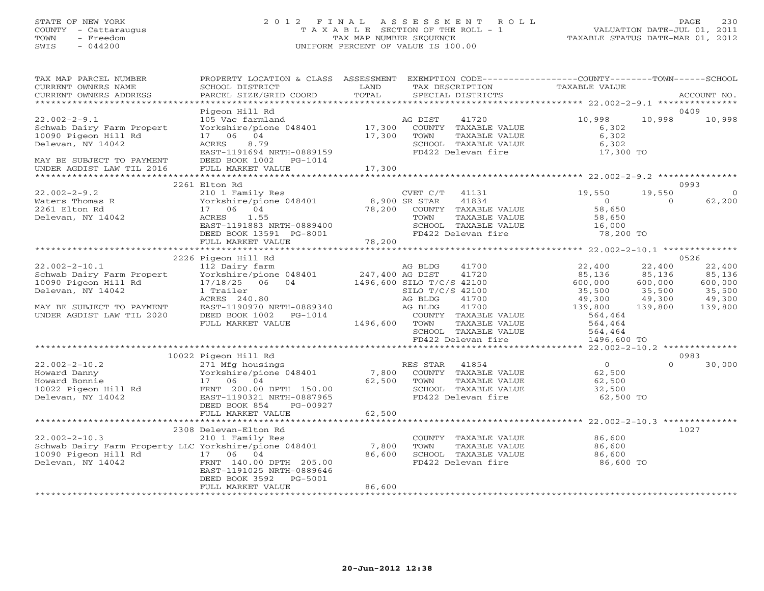# STATE OF NEW YORK 2 0 1 2 F I N A L A S S E S S M E N T R O L L PAGE 230 COUNTY - Cattaraugus T A X A B L E SECTION OF THE ROLL - 1 VALUATION DATE-JUL 01, 2011 TOWN - Freedom TAX MAP NUMBER SEQUENCE TAXABLE STATUS DATE-MAR 01, 2012 SWIS - 044200 UNIFORM PERCENT OF VALUE IS 100.00UNIFORM PERCENT OF VALUE IS 100.00

| TAX MAP PARCEL NUMBER<br>CURRENT OWNERS NAME<br>CURRENT OWNERS ADDRESS                                                                                                                                                                                                                                                                                                                                                                                                                                      | PROPERTY LOCATION & CLASS ASSESSMENT<br>SCHOOL DISTRICT<br>PARCEL SIZE/GRID COORD                                                                                                                                                                                                                                                                                                                                         | LAND<br>TOTAL            | EXEMPTION CODE-----------------COUNTY-------TOWN------SCHOOL<br>TAX DESCRIPTION TAXABLE VALUE<br>SPECIAL DISTRICTS<br>SPECIAL DISTRICTS                                            |                                                                                                                                                                   | ACCOUNT NO.                                                                                                                                                    |
|-------------------------------------------------------------------------------------------------------------------------------------------------------------------------------------------------------------------------------------------------------------------------------------------------------------------------------------------------------------------------------------------------------------------------------------------------------------------------------------------------------------|---------------------------------------------------------------------------------------------------------------------------------------------------------------------------------------------------------------------------------------------------------------------------------------------------------------------------------------------------------------------------------------------------------------------------|--------------------------|------------------------------------------------------------------------------------------------------------------------------------------------------------------------------------|-------------------------------------------------------------------------------------------------------------------------------------------------------------------|----------------------------------------------------------------------------------------------------------------------------------------------------------------|
|                                                                                                                                                                                                                                                                                                                                                                                                                                                                                                             |                                                                                                                                                                                                                                                                                                                                                                                                                           |                          |                                                                                                                                                                                    |                                                                                                                                                                   |                                                                                                                                                                |
| $22.002 - 2 - 9.1$<br>Schwab Dairy Farm Propert<br>10090 Pigeon Hill Rd<br>Delevan, NY 14042<br>MAY BE SUBJECT TO PAYMENT<br>UNDER AGDIST LAW TIL 2016                                                                                                                                                                                                                                                                                                                                                      | Pigeon Hill Rd<br>105 Vac farmland<br>Yorkshire/pione 048401 17,300<br>17 06 04<br>8.79<br>ACRES 8.79<br>EAST-1191694 NRTH-0889159<br>DEED BOOK 1002    PG-1014                                                                                                                                                                                                                                                           | 17,300                   | 41720<br>AG DIST<br>COUNTY TAXABLE VALUE<br>TOWN<br>TAXABLE VALUE<br>SCHOOL TAXABLE VALUE<br>FD422 Delevan fire 17,300 TO                                                          | 10,998<br>6,302<br>6,302<br>6,302                                                                                                                                 | 0409<br>10,998<br>10,998                                                                                                                                       |
|                                                                                                                                                                                                                                                                                                                                                                                                                                                                                                             | FULL MARKET VALUE                                                                                                                                                                                                                                                                                                                                                                                                         | 17,300                   |                                                                                                                                                                                    |                                                                                                                                                                   |                                                                                                                                                                |
|                                                                                                                                                                                                                                                                                                                                                                                                                                                                                                             | 2261 Elton Rd                                                                                                                                                                                                                                                                                                                                                                                                             |                          |                                                                                                                                                                                    |                                                                                                                                                                   | 0993                                                                                                                                                           |
| $22.002 - 2 - 9.2$<br>Waters Thomas R<br>2261 Elton Rd<br>Delevan, NY 14042                                                                                                                                                                                                                                                                                                                                                                                                                                 | 210 1 Family Res<br>Yorkshire/pione 048401 8,900 SR STAR 41834<br>17 06 04 78,200 COUNTY TAXABLE VALUE<br>ACRES 1.1.1.55 TOWN TAXABLE TRIMENT<br>EAST-1191883 NRTH-0889400<br>DEED BOOK 13591 PG-8001 FD422 Delevan fire                                                                                                                                                                                                  |                          | SCHOOL TAXABLE VALUE 16,000<br>FD422 Delevan fire 78,200 TO                                                                                                                        | 19,550<br>$\Omega$<br>58,650<br>58,650                                                                                                                            | 19,550<br>$\Omega$<br>$\Omega$<br>62,200                                                                                                                       |
|                                                                                                                                                                                                                                                                                                                                                                                                                                                                                                             | FULL MARKET VALUE                                                                                                                                                                                                                                                                                                                                                                                                         | 78,200                   |                                                                                                                                                                                    |                                                                                                                                                                   |                                                                                                                                                                |
|                                                                                                                                                                                                                                                                                                                                                                                                                                                                                                             |                                                                                                                                                                                                                                                                                                                                                                                                                           |                          |                                                                                                                                                                                    |                                                                                                                                                                   |                                                                                                                                                                |
| $22.002 - 2 - 10.1$<br>Schwab Dairy Farm Propert<br>10090 Pigeon Hill Rd<br>Delevan, NY 14042<br>MAY BE SUBJECT TO PAYMENT<br>UNDER AGDIST LAW TIL 2020<br>$\begin{array}{llllll} 22.002-2-10.2 & 27\text{I} \text{ Mfg} \text{ housings} \\ \text{Howard Danny} & Yorkshire/pione 048401 & 7,800 \\ \text{Howard Bomic} & 17 & 06 & 04 & 62,500 \\ 10022 \text{ Pigeon Hill Rd} & \text{FRNT} & 200.00 \text{ DPTH} & 150.00 \\ \text{Delevan, NY} & 14042 & \text{EAST-1190321 NRTH-0887965} \end{array}$ | 2226 Pigeon Hill Rd<br>112 Dairy farm<br>112 Dairy farm<br>112 Dairy farm<br>1247,400 AG DIST<br>17/18/25 06 04 1496,600 SILO T/C/S 42100<br>1 Trailer<br>ACRES 240.80<br>EAST-1190970 NRTH-0889340<br>DEED BOOK 1002    PG-1014<br>FULL MARKET VALUE<br>10022 Pigeon Hill Rd<br>271 Mfg housings<br>Yorkshire/pione 048401 7,800 COUNTY TAXABLE VALUE<br>17 06 04 62,500 TOWN TAXABLE VALUE<br>DEED BOOK 854<br>PG-00927 | AG BLDG<br>1496,600 TOWN | SILO T/C/S 42100<br>41700<br>AG BLDG<br>41700<br>COUNTY TAXABLE VALUE<br>TAXABLE VALUE<br>SCHOOL TAXABLE VALUE<br>FD422 Delevan fire<br>SCHOOL TAXABLE VALUE<br>FD422 Delevan fire | 22,400<br>85,136<br>600,000<br>35,500<br>49,300<br>139,800<br>564,464<br>564,464<br>564,464<br>1496,600 TO<br>$\Omega$<br>62,500<br>62,500<br>32,500<br>62,500 TO | 0526<br>22,400<br>22,400<br>85,136<br>85,136<br>600,000<br>600,000<br>35,500<br>35,500<br>49,300<br>49,300<br>139,800<br>139,800<br>0983<br>$\Omega$<br>30,000 |
|                                                                                                                                                                                                                                                                                                                                                                                                                                                                                                             | FULL MARKET VALUE                                                                                                                                                                                                                                                                                                                                                                                                         | 62,500                   |                                                                                                                                                                                    |                                                                                                                                                                   |                                                                                                                                                                |
| 2308 Delevan-Elton kd<br>21.002-2-10.3 210 1 Family Res<br>Schwab Dairy Farm Property LLC Yorkshire/pione 048401 7,800<br>36.600<br>10090 Pigeon Hill Rd <sup>17</sup> 06 04<br>Delevan, NY 14042 FRNT 140.00                                                                                                                                                                                                                                                                                               | FRNT 140.00 DPTH 205.00<br>EAST-1191025 NRTH-0889646<br>DEED BOOK 3592 PG-5001<br>FULL MARKET VALUE                                                                                                                                                                                                                                                                                                                       | 86,600<br>86,600         | COUNTY TAXABLE VALUE 86,600<br>TAXABLE VALUE<br>TOWN<br>SCHOOL TAXABLE VALUE 86,600<br>FD422 Delevan fire                                                                          | 86,600<br>86,600 TO                                                                                                                                               | 1027                                                                                                                                                           |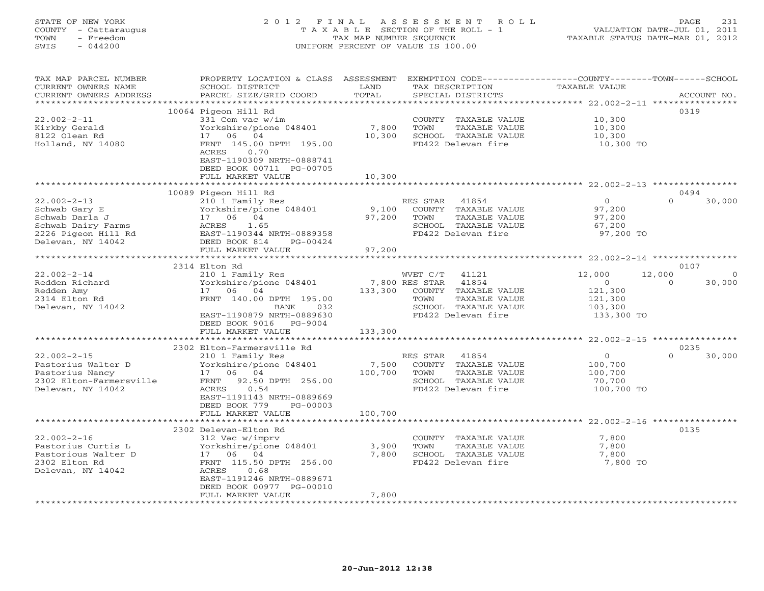# STATE OF NEW YORK 2 0 1 2 F I N A L A S S E S S M E N T R O L L PAGE 231 COUNTY - Cattaraugus T A X A B L E SECTION OF THE ROLL - 1 VALUATION DATE-JUL 01, 2011 TOWN - Freedom TAX MAP NUMBER SEQUENCE TAXABLE STATUS DATE-MAR 01, 2012 SWIS - 044200 UNIFORM PERCENT OF VALUE IS 100.00UNIFORM PERCENT OF VALUE IS 100.00

| TAX MAP PARCEL NUMBER<br>CURRENT OWNERS NAME<br>CURRENT OWNERS ADDRESS                                                 | PROPERTY LOCATION & CLASS<br>SCHOOL DISTRICT<br>PARCEL SIZE/GRID COORD                                                                                                                | ASSESSMENT<br>LAND<br>TOTAL | EXEMPTION CODE-----------------COUNTY-------TOWN------SCHOOL<br>TAX DESCRIPTION<br>SPECIAL DISTRICTS                                        | TAXABLE VALUE                                                     | ACCOUNT NO.                              |
|------------------------------------------------------------------------------------------------------------------------|---------------------------------------------------------------------------------------------------------------------------------------------------------------------------------------|-----------------------------|---------------------------------------------------------------------------------------------------------------------------------------------|-------------------------------------------------------------------|------------------------------------------|
|                                                                                                                        |                                                                                                                                                                                       | *********                   |                                                                                                                                             |                                                                   |                                          |
| $22.002 - 2 - 11$<br>Kirkby Gerald<br>8122 Olean Rd<br>Holland, NY 14080                                               | 10064 Pigeon Hill Rd<br>331 Com vac w/im<br>Yorkshire/pione 048401<br>17 06 04<br>FRNT 145.00 DPTH 195.00<br>ACRES<br>0.70<br>EAST-1190309 NRTH-0888741<br>DEED BOOK 00711 PG-00705   | 7,800<br>10,300             | COUNTY TAXABLE VALUE<br>TOWN<br>TAXABLE VALUE<br>SCHOOL TAXABLE VALUE<br>FD422 Delevan fire                                                 | 10,300<br>10,300<br>10,300<br>10,300 TO                           | 0319                                     |
|                                                                                                                        | FULL MARKET VALUE                                                                                                                                                                     | 10,300                      |                                                                                                                                             |                                                                   |                                          |
|                                                                                                                        | *************************                                                                                                                                                             | **************              |                                                                                                                                             |                                                                   |                                          |
| $22.002 - 2 - 13$<br>Schwab Gary E<br>Schwab Darla J<br>Schwab Dairy Farms<br>2226 Pigeon Hill Rd<br>Delevan, NY 14042 | 10089 Pigeon Hill Rd<br>210 1 Family Res<br>Yorkshire/pione 048401<br>17 06 04<br>1.65<br>ACRES<br>EAST-1190344 NRTH-0889358<br>DEED BOOK 814<br>PG-00424                             | 9,100<br>97,200             | RES STAR<br>41854<br>COUNTY TAXABLE VALUE<br>TOWN<br>TAXABLE VALUE<br>SCHOOL TAXABLE VALUE<br>FD422 Delevan fire                            | $\overline{0}$<br>97,200<br>97,200<br>67,200<br>97,200 TO         | 0494<br>$\Omega$<br>30,000               |
|                                                                                                                        | FULL MARKET VALUE                                                                                                                                                                     | 97,200                      |                                                                                                                                             |                                                                   |                                          |
|                                                                                                                        |                                                                                                                                                                                       |                             |                                                                                                                                             |                                                                   |                                          |
|                                                                                                                        | 2314 Elton Rd                                                                                                                                                                         |                             |                                                                                                                                             |                                                                   | 0107                                     |
| $22.002 - 2 - 14$<br>Redden Richard<br>Redden Amy<br>2314 Elton Rd<br>Delevan, NY 14042                                | 210 1 Family Res<br>Yorkshire/pione 048401<br>17 06 04<br>FRNT 140.00 DPTH 195.00<br>032<br>BANK<br>EAST-1190879 NRTH-0889630<br>DEED BOOK 9016<br>PG-9004<br>FULL MARKET VALUE       | 133,300<br>133,300          | WVET C/T<br>41121<br>7,800 RES STAR<br>41854<br>COUNTY TAXABLE VALUE<br>TOWN<br>TAXABLE VALUE<br>SCHOOL TAXABLE VALUE<br>FD422 Delevan fire | 12,000<br>$\Omega$<br>121,300<br>121,300<br>103,300<br>133,300 TO | 12,000<br>$\Omega$<br>30,000<br>$\Omega$ |
|                                                                                                                        | 2302 Elton-Farmersville Rd                                                                                                                                                            |                             |                                                                                                                                             |                                                                   | 0235                                     |
| $22.002 - 2 - 15$<br>Pastorius Walter D<br>Pastorius Nancy<br>2302 Elton-Farmersville<br>Delevan, NY 14042             | 210 1 Family Res<br>Yorkshire/pione 048401<br>17 06 04<br>92.50 DPTH 256.00<br>FRNT<br>0.54<br>ACRES<br>EAST-1191143 NRTH-0889669<br>$PG-00003$<br>DEED BOOK 779<br>FULL MARKET VALUE | 7,500<br>100,700<br>100,700 | RES STAR<br>41854<br>COUNTY TAXABLE VALUE<br>TOWN<br>TAXABLE VALUE<br>SCHOOL TAXABLE VALUE<br>FD422 Delevan fire                            | $\circ$<br>100,700<br>100,700<br>70,700<br>100,700 TO             | $\Omega$<br>30,000                       |
|                                                                                                                        |                                                                                                                                                                                       |                             |                                                                                                                                             |                                                                   |                                          |
| $22.002 - 2 - 16$<br>Pastorius Curtis L<br>Pastorious Walter D<br>2302 Elton Rd<br>Delevan, NY 14042                   | 2302 Delevan-Elton Rd<br>312 Vac w/imprv<br>Yorkshire/pione 048401<br>17 06 04<br>FRNT 115.50 DPTH 256.00<br>0.68<br>ACRES<br>EAST-1191246 NRTH-0889671<br>DEED BOOK 00977 PG-00010   | 3,900<br>7,800              | COUNTY TAXABLE VALUE<br>TOWN<br>TAXABLE VALUE<br>SCHOOL TAXABLE VALUE<br>FD422 Delevan fire                                                 | 7,800<br>7,800<br>7,800<br>7,800 TO                               | 0135                                     |
|                                                                                                                        | FULL MARKET VALUE                                                                                                                                                                     | 7,800                       |                                                                                                                                             |                                                                   |                                          |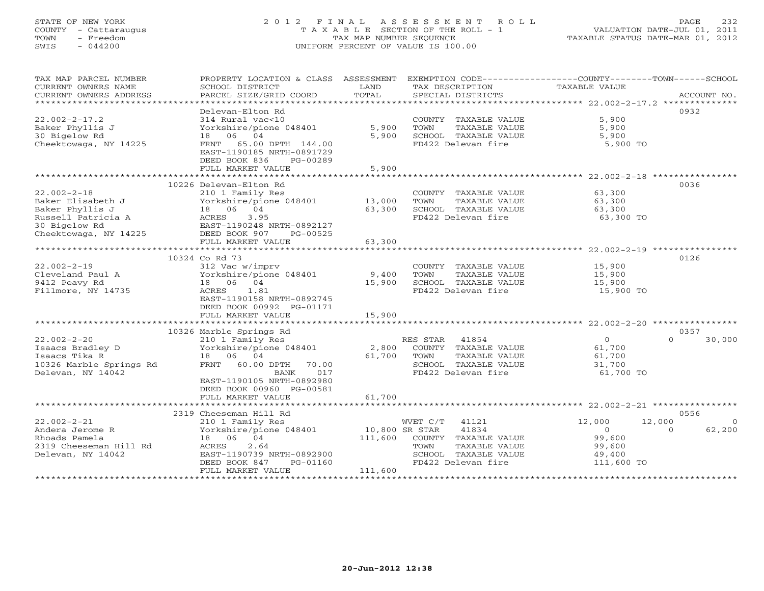# STATE OF NEW YORK 2 0 1 2 F I N A L A S S E S S M E N T R O L L PAGE 232 COUNTY - Cattaraugus T A X A B L E SECTION OF THE ROLL - 1 VALUATION DATE-JUL 01, 2011 TOWN - Freedom TAX MAP NUMBER SEQUENCE TAXABLE STATUS DATE-MAR 01, 2012 SWIS - 044200 UNIFORM PERCENT OF VALUE IS 100.00UNIFORM PERCENT OF VALUE IS 100.00

| TAX MAP PARCEL NUMBER                         | PROPERTY LOCATION & CLASS ASSESSMENT                   |                  | EXEMPTION CODE----------------COUNTY-------TOWN------SCHOOL |                  |                            |
|-----------------------------------------------|--------------------------------------------------------|------------------|-------------------------------------------------------------|------------------|----------------------------|
| CURRENT OWNERS NAME<br>CURRENT OWNERS ADDRESS | SCHOOL DISTRICT<br>PARCEL SIZE/GRID COORD              | LAND<br>TOTAL    | TAX DESCRIPTION<br>SPECIAL DISTRICTS                        | TAXABLE VALUE    | ACCOUNT NO.                |
| *************************                     |                                                        |                  |                                                             |                  |                            |
|                                               | Delevan-Elton Rd                                       |                  |                                                             |                  | 0932                       |
| $22.002 - 2 - 17.2$                           | 314 Rural vac<10                                       |                  | COUNTY TAXABLE VALUE                                        | 5,900            |                            |
| Baker Phyllis J                               | Yorkshire/pione 048401                                 | 5,900            | TOWN<br>TAXABLE VALUE                                       | 5,900            |                            |
| 30 Bigelow Rd                                 | 18  06  04                                             | 5,900            | SCHOOL TAXABLE VALUE                                        | 5,900            |                            |
| Cheektowaga, NY 14225                         | FRNT 65.00 DPTH 144.00                                 |                  | FD422 Delevan fire                                          | 5,900 TO         |                            |
|                                               | EAST-1190185 NRTH-0891729                              |                  |                                                             |                  |                            |
|                                               | DEED BOOK 836<br>PG-00289                              |                  |                                                             |                  |                            |
|                                               | FULL MARKET VALUE<br>********************************* | 5,900            |                                                             |                  |                            |
|                                               |                                                        |                  |                                                             |                  |                            |
| $22.002 - 2 - 18$                             | 10226 Delevan-Elton Rd                                 |                  |                                                             |                  | 0036                       |
|                                               | 210 1 Family Res                                       |                  | COUNTY TAXABLE VALUE<br>TAXABLE VALUE<br>TOWN               | 63,300           |                            |
| Baker Elisabeth J<br>Baker Phyllis J          | Yorkshire/pione 048401<br>18 06 04                     | 13,000<br>63,300 | SCHOOL TAXABLE VALUE                                        | 63,300<br>63,300 |                            |
| Russell Patricia A                            | ACRES<br>3.95                                          |                  | FD422 Delevan fire                                          | 63,300 TO        |                            |
| 30 Bigelow Rd                                 | EAST-1190248 NRTH-0892127                              |                  |                                                             |                  |                            |
| Cheektowaga, NY 14225                         | DEED BOOK 907<br>PG-00525                              |                  |                                                             |                  |                            |
|                                               | FULL MARKET VALUE                                      | 63,300           |                                                             |                  |                            |
|                                               |                                                        |                  |                                                             |                  |                            |
|                                               | 10324 Co Rd 73                                         |                  |                                                             |                  | 0126                       |
| $22.002 - 2 - 19$                             | 312 Vac w/imprv                                        |                  | COUNTY TAXABLE VALUE                                        | 15,900           |                            |
| Cleveland Paul A                              | Yorkshire/pione 048401                                 | 9,400            | TOWN<br>TAXABLE VALUE                                       | 15,900           |                            |
| 9412 Peavy Rd                                 | 18 06 04                                               | 15,900           | SCHOOL TAXABLE VALUE                                        | 15,900           |                            |
| Fillmore, NY 14735                            | 1.81<br>ACRES                                          |                  | FD422 Delevan fire                                          | 15,900 TO        |                            |
|                                               | EAST-1190158 NRTH-0892745                              |                  |                                                             |                  |                            |
|                                               | DEED BOOK 00992 PG-01171                               |                  |                                                             |                  |                            |
|                                               | FULL MARKET VALUE                                      | 15,900           |                                                             |                  |                            |
|                                               |                                                        |                  |                                                             |                  |                            |
| $22.002 - 2 - 20$                             | 10326 Marble Springs Rd                                |                  | RES STAR 41854                                              | $\Omega$         | 0357<br>$\Omega$<br>30,000 |
| Isaacs Bradley D                              | 210 1 Family Res<br>Yorkshire/pione 048401             | 2,800            | COUNTY TAXABLE VALUE                                        | 61,700           |                            |
| Isaacs Tika R                                 | 18 06 04                                               | 61,700           | TOWN<br>TAXABLE VALUE                                       | 61,700           |                            |
| 10326 Marble Springs Rd                       | FRNT 60.00 DPTH<br>70.00                               |                  | SCHOOL TAXABLE VALUE                                        | 31,700           |                            |
| Delevan, NY 14042                             | 017<br>BANK                                            |                  | FD422 Delevan fire                                          | 61,700 TO        |                            |
|                                               | EAST-1190105 NRTH-0892980                              |                  |                                                             |                  |                            |
|                                               | DEED BOOK 00960 PG-00581                               |                  |                                                             |                  |                            |
|                                               | FULL MARKET VALUE                                      | 61,700           |                                                             |                  |                            |
|                                               |                                                        |                  |                                                             |                  |                            |
|                                               | 2319 Cheeseman Hill Rd                                 |                  |                                                             |                  | 0556                       |
| $22.002 - 2 - 21$                             | 210 1 Family Res                                       |                  | WVET C/T<br>41121                                           | 12,000           | 12,000<br>$\overline{0}$   |
| Andera Jerome R                               | Yorkshire/pione 048401                                 | 10,800 SR STAR   | 41834                                                       | $\overline{0}$   | 62,200<br>$\Omega$         |
| Rhoads Pamela                                 | 18 06 04                                               | 111,600          | COUNTY TAXABLE VALUE                                        | 99,600           |                            |
| 2319 Cheeseman Hill Rd                        | 2.64<br>ACRES                                          |                  | TOWN<br>TAXABLE VALUE                                       | 99,600           |                            |
| Delevan, NY 14042                             | EAST-1190739 NRTH-0892900                              |                  | SCHOOL TAXABLE VALUE                                        | 49,400           |                            |
|                                               | DEED BOOK 847<br>PG-01160                              | 111,600          | FD422 Delevan fire                                          | 111,600 TO       |                            |
|                                               | FULL MARKET VALUE                                      |                  |                                                             |                  |                            |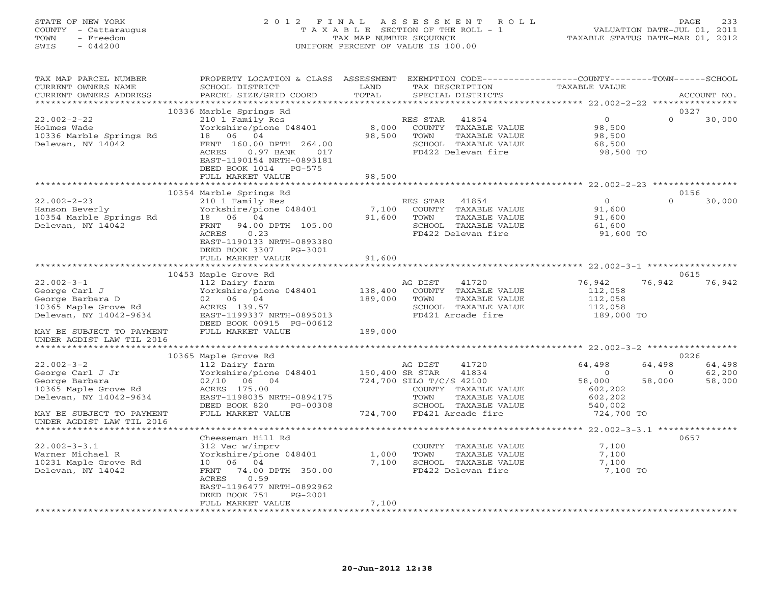# STATE OF NEW YORK 2 0 1 2 F I N A L A S S E S S M E N T R O L L PAGE 233 COUNTY - Cattaraugus T A X A B L E SECTION OF THE ROLL - 1 VALUATION DATE-JUL 01, 2011 TOWN - Freedom TAX MAP NUMBER SEQUENCE TAXABLE STATUS DATE-MAR 01, 2012 SWIS - 044200 UNIFORM PERCENT OF VALUE IS 100.00UNIFORM PERCENT OF VALUE IS 100.00

| TAX MAP PARCEL NUMBER<br>CURRENT OWNERS NAME<br>CURRENT OWNERS ADDRESS                                  | PROPERTY LOCATION & CLASS ASSESSMENT<br>SCHOOL DISTRICT<br>PARCEL SIZE/GRID COORD                                                                                           | LAND<br>TOTAL      | EXEMPTION CODE-----------------COUNTY-------TOWN------SCHOOL<br>TAX DESCRIPTION                                  | TAXABLE VALUE                                             |                                        |
|---------------------------------------------------------------------------------------------------------|-----------------------------------------------------------------------------------------------------------------------------------------------------------------------------|--------------------|------------------------------------------------------------------------------------------------------------------|-----------------------------------------------------------|----------------------------------------|
| **********************                                                                                  |                                                                                                                                                                             |                    | SPECIAL DISTRICTS                                                                                                |                                                           | ACCOUNT NO.                            |
|                                                                                                         | 10336 Marble Springs Rd                                                                                                                                                     |                    |                                                                                                                  |                                                           | 0327                                   |
| $22.002 - 2 - 22$<br>Holmes Wade<br>10336 Marble Springs Rd<br>Delevan, NY 14042                        | 210 1 Family Res<br>Yorkshire/pione 048401<br>18 06 04<br>FRNT 160.00 DPTH 264.00<br>ACRES<br>$0.97$ BANK<br>017<br>EAST-1190154 NRTH-0893181<br>DEED BOOK 1014<br>$PG-575$ | 8,000<br>98,500    | RES STAR<br>41854<br>COUNTY TAXABLE VALUE<br>TOWN<br>TAXABLE VALUE<br>SCHOOL TAXABLE VALUE<br>FD422 Delevan fire | $\overline{0}$<br>98,500<br>98,500<br>68,500<br>98,500 TO | $\Omega$<br>30,000                     |
|                                                                                                         | FULL MARKET VALUE                                                                                                                                                           | 98,500             |                                                                                                                  |                                                           |                                        |
|                                                                                                         |                                                                                                                                                                             |                    |                                                                                                                  |                                                           |                                        |
|                                                                                                         | 10354 Marble Springs Rd                                                                                                                                                     |                    |                                                                                                                  |                                                           | 0156                                   |
| $22.002 - 2 - 23$<br>Hanson Beverly<br>10354 Marble Springs Rd<br>Delevan, NY 14042                     | 210 1 Family Res<br>Yorkshire/pione 048401<br>18 06 04<br>FRNT 94.00 DPTH 105.00<br>0.23<br>ACRES<br>EAST-1190133 NRTH-0893380<br>DEED BOOK 3307<br>PG-3001                 | 7,100<br>91,600    | RES STAR<br>41854<br>COUNTY TAXABLE VALUE<br>TOWN<br>TAXABLE VALUE<br>SCHOOL TAXABLE VALUE<br>FD422 Delevan fire | $\Omega$<br>91,600<br>91,600<br>61,600<br>91,600 TO       | $\cap$<br>30,000                       |
|                                                                                                         | FULL MARKET VALUE                                                                                                                                                           | 91,600             |                                                                                                                  |                                                           |                                        |
|                                                                                                         | 10453 Maple Grove Rd                                                                                                                                                        |                    |                                                                                                                  |                                                           | 0615                                   |
| $22.002 - 3 - 1$<br>George Carl J<br>George Barbara D<br>10365 Maple Grove Rd<br>Delevan, NY 14042-9634 | 112 Dairy farm<br>Yorkshire/pione 048401<br>02 06 04<br>ACRES 139.57<br>EAST-1199337 NRTH-0895013                                                                           | 138,400<br>189,000 | AG DIST<br>41720<br>COUNTY TAXABLE VALUE<br>TOWN<br>TAXABLE VALUE<br>SCHOOL TAXABLE VALUE<br>FD421 Arcade fire   | 76,942<br>112,058<br>112,058<br>112,058<br>189,000 TO     | 76,942<br>76,942                       |
| MAY BE SUBJECT TO PAYMENT                                                                               | DEED BOOK 00915 PG-00612<br>FULL MARKET VALUE                                                                                                                               | 189,000            |                                                                                                                  |                                                           |                                        |
| UNDER AGDIST LAW TIL 2016                                                                               |                                                                                                                                                                             |                    |                                                                                                                  |                                                           |                                        |
| *********************                                                                                   |                                                                                                                                                                             |                    |                                                                                                                  |                                                           |                                        |
| $22.002 - 3 - 2$                                                                                        | 10365 Maple Grove Rd<br>112 Dairy farm                                                                                                                                      |                    | 41720<br>AG DIST                                                                                                 | 64,498                                                    | 0226<br>64,498<br>64,498               |
| George Carl J Jr<br>George Barbara<br>10365 Maple Grove Rd<br>Delevan, NY 14042-9634                    | Yorkshire/pione 048401<br>02/10 06 04<br>ACRES 175.00<br>EAST-1198035 NRTH-0894175<br>DEED BOOK 820<br>PG-00308                                                             | 150,400 SR STAR    | 41834<br>724,700 SILO T/C/S 42100<br>COUNTY TAXABLE VALUE<br>TOWN<br>TAXABLE VALUE<br>SCHOOL TAXABLE VALUE       | $\Omega$<br>58,000<br>602,202<br>602,202<br>540,002       | 62,200<br>$\Omega$<br>58,000<br>58,000 |
| MAY BE SUBJECT TO PAYMENT<br>UNDER AGDIST LAW TIL 2016                                                  | FULL MARKET VALUE                                                                                                                                                           |                    | 724,700 FD421 Arcade fire                                                                                        | 724,700 TO                                                |                                        |
|                                                                                                         |                                                                                                                                                                             |                    |                                                                                                                  |                                                           |                                        |
| $22.002 - 3 - 3.1$<br>Warner Michael R<br>10231 Maple Grove Rd<br>Delevan, NY 14042                     | Cheeseman Hill Rd<br>312 Vac w/imprv<br>Yorkshire/pione 048401<br>10 06 04<br>74.00 DPTH 350.00<br>FRNT<br>0.59<br>ACRES<br>EAST-1196477 NRTH-0892962                       | 1,000<br>7,100     | COUNTY TAXABLE VALUE<br>TOWN<br>TAXABLE VALUE<br>SCHOOL TAXABLE VALUE<br>FD422 Delevan fire                      | 7,100<br>7,100<br>7,100<br>7,100 TO                       | 0657                                   |
|                                                                                                         | DEED BOOK 751<br>PG-2001<br>FULL MARKET VALUE                                                                                                                               | 7,100              |                                                                                                                  |                                                           |                                        |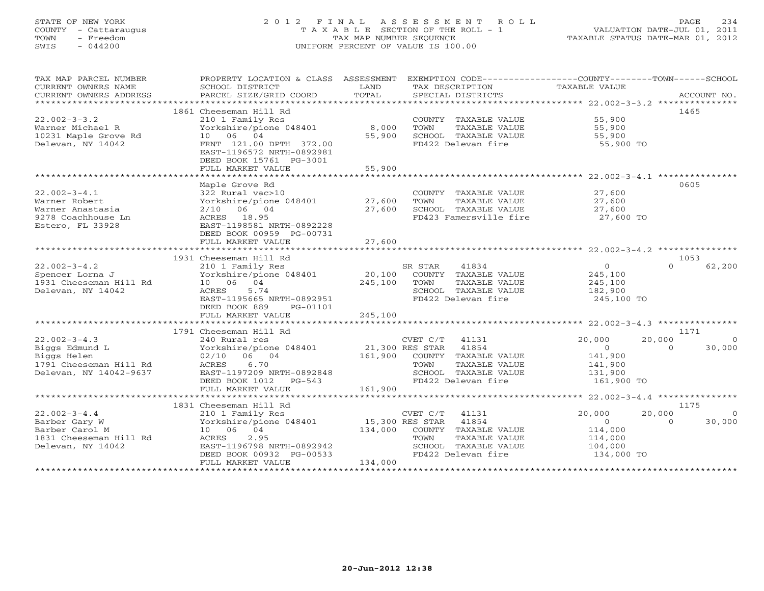# STATE OF NEW YORK 2 0 1 2 F I N A L A S S E S S M E N T R O L L PAGE 234 COUNTY - Cattaraugus T A X A B L E SECTION OF THE ROLL - 1 VALUATION DATE-JUL 01, 2011 TOWN - Freedom TAX MAP NUMBER SEQUENCE TAXABLE STATUS DATE-MAR 01, 2012 SWIS - 044200 UNIFORM PERCENT OF VALUE IS 100.00UNIFORM PERCENT OF VALUE IS 100.00

| TAX MAP PARCEL NUMBER           | PROPERTY LOCATION & CLASS ASSESSMENT EXEMPTION CODE----------------COUNTY-------TOWN------SCHOOL |                        |                                                                     |                       |                          |
|---------------------------------|--------------------------------------------------------------------------------------------------|------------------------|---------------------------------------------------------------------|-----------------------|--------------------------|
| CURRENT OWNERS NAME             | SCHOOL DISTRICT                                                                                  | <b>Example 12</b> LAND | TAX DESCRIPTION                                                     | TAXABLE VALUE         |                          |
| CURRENT OWNERS ADDRESS          | PARCEL SIZE/GRID COORD                                                                           | TOTAL                  | SPECIAL DISTRICTS                                                   |                       | ACCOUNT NO.              |
|                                 |                                                                                                  |                        |                                                                     |                       |                          |
|                                 | 1861 Cheeseman Hill Rd                                                                           |                        |                                                                     |                       | 1465                     |
| $22.002 - 3 - 3.2$              | 210 1 Family Res                                                                                 |                        | COUNTY TAXABLE VALUE 55,900                                         |                       |                          |
| Warner Michael R                | Yorkshire/pione 048401                                                                           | 8,000                  | TAXABLE VALUE<br>TOWN                                               | 55,900                |                          |
| 10231 Maple Grove Rd            | 10 06 04                                                                                         | 55,900                 | SCHOOL TAXABLE VALUE                                                | 55,900                |                          |
| Delevan, NY 14042               | FRNT 121.00 DPTH 372.00                                                                          |                        | FD422 Delevan fire                                                  | 55,900 TO             |                          |
|                                 | EAST-1196572 NRTH-0892981                                                                        |                        |                                                                     |                       |                          |
|                                 | DEED BOOK 15761 PG-3001                                                                          |                        |                                                                     |                       |                          |
|                                 | FULL MARKET VALUE                                                                                | 55,900                 |                                                                     |                       |                          |
|                                 |                                                                                                  |                        |                                                                     |                       |                          |
|                                 | Maple Grove Rd                                                                                   |                        |                                                                     |                       | 0605                     |
| $22.002 - 3 - 4.1$              |                                                                                                  |                        | COUNTY TAXABLE VALUE 27,600                                         |                       |                          |
| Warner Robert                   | 322 Rural vac>10<br>Yorkshire/pione 048401 27,600                                                |                        | TAXABLE VALUE<br>TOWN                                               | 27,600                |                          |
| Warner Anastasia                | $2/10$ 06 04                                                                                     | 27,600                 |                                                                     |                       |                          |
| 9278 Coachhouse Ln              | ACRES 18.95                                                                                      |                        | SCHOOL TAXABLE VALUE $27,600$<br>FD423 Famersville fire $27,600$ TO |                       |                          |
| Estero, FL 33928                | EAST-1198581 NRTH-0892228                                                                        |                        |                                                                     |                       |                          |
|                                 | DEED BOOK 00959 PG-00731                                                                         |                        |                                                                     |                       |                          |
|                                 | FULL MARKET VALUE                                                                                | 27,600                 |                                                                     |                       |                          |
|                                 |                                                                                                  |                        |                                                                     |                       |                          |
|                                 | 1931 Cheeseman Hill Rd                                                                           |                        |                                                                     |                       | 1053                     |
| $22.002 - 3 - 4.2$              |                                                                                                  |                        |                                                                     | $\overline{0}$        | $\Omega$<br>62,200       |
| Spencer Lorna J                 |                                                                                                  |                        |                                                                     | 245,100               |                          |
| 1931 Cheeseman Hill Rd 10 06 04 | 245,100 TOWN                                                                                     |                        | TAXABLE VALUE                                                       |                       |                          |
| Delevan, NY 14042               | ACRES<br>5.74                                                                                    |                        | SCHOOL TAXABLE VALUE                                                | 245,100<br>182,900    |                          |
|                                 | EAST-1195665 NRTH-0892951                                                                        |                        | FD422 Delevan fire                                                  | 245,100 TO            |                          |
|                                 | DEED BOOK 889<br>PG-01101                                                                        |                        |                                                                     |                       |                          |
|                                 |                                                                                                  |                        |                                                                     |                       |                          |
|                                 |                                                                                                  |                        |                                                                     |                       |                          |
|                                 | 1791 Cheeseman Hill Rd                                                                           |                        |                                                                     |                       | 1171                     |
| $22.002 - 3 - 4.3$              | 240 Rural res                                                                                    |                        | $CVET C/T$ 41131                                                    | 20,000                | 20,000<br>$\overline{0}$ |
| Biggs Edmund L                  | Yorkshire/pione 048401 21,300 RES STAR 41854                                                     |                        |                                                                     | $\overline{0}$        | $\Omega$<br>30,000       |
| Biggs Helen                     | 02/10 06 04                                                                                      |                        |                                                                     |                       |                          |
| 1791 Cheeseman Hill Rd          | 6.70<br>ACRES                                                                                    |                        | 161,900 COUNTY TAXABLE VALUE<br>TAXABLE VALUE<br>TOWN               | 141,900<br>141,900    |                          |
| Delevan, NY 14042-9637          |                                                                                                  |                        | SCHOOL TAXABLE VALUE                                                | 131,900               |                          |
|                                 | EAST-1197209 NRTH-0892848<br>DEED BOOK 1012 PG-543                                               |                        | FD422 Delevan fire                                                  | 161,900 TO            |                          |
|                                 | FULL MARKET VALUE                                                                                | 161,900                |                                                                     |                       |                          |
|                                 |                                                                                                  |                        |                                                                     |                       |                          |
|                                 | 1831 Cheeseman Hill Rd                                                                           |                        |                                                                     |                       | 1175                     |
| $22.002 - 3 - 4.4$              | 210 1 Family Res                                                                                 |                        | CVET C/T 41131                                                      | 20,000                | 20,000<br>$\overline{0}$ |
| Barber Gary W                   | Yorkshire/pione 048401 15,300 RES STAR 41854                                                     |                        |                                                                     | $\overline{0}$        | $\Omega$<br>30,000       |
| Barber Carol M                  | 10 06 04                                                                                         |                        | 134,000 COUNTY TAXABLE VALUE                                        | 114,000               |                          |
| 1831 Cheeseman Hill Rd          | 2.95<br>ACRES                                                                                    |                        | TAXABLE VALUE<br>TOWN                                               | 114,000               |                          |
| Delevan, NY 14042               | EAST-1196798 NRTH-0892942                                                                        |                        | SCHOOL TAXABLE VALUE                                                |                       |                          |
|                                 | DEED BOOK 00932 PG-00533                                                                         |                        | FD422 Delevan fire                                                  | 104,000<br>134,000 TO |                          |
|                                 | FULL MARKET VALUE                                                                                | 134,000                |                                                                     |                       |                          |
|                                 |                                                                                                  |                        |                                                                     |                       |                          |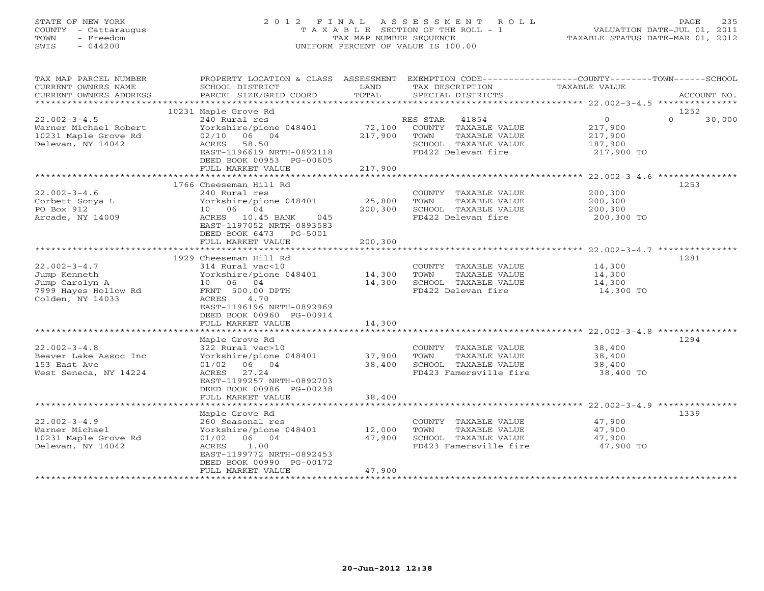# STATE OF NEW YORK 2 0 1 2 F I N A L A S S E S S M E N T R O L L PAGE 235 COUNTY - Cattaraugus T A X A B L E SECTION OF THE ROLL - 1 VALUATION DATE-JUL 01, 2011 TOWN - Freedom TAX MAP NUMBER SEQUENCE TAXABLE STATUS DATE-MAR 01, 2012 SWIS - 044200 UNIFORM PERCENT OF VALUE IS 100.00UNIFORM PERCENT OF VALUE IS 100.00

| TAX MAP PARCEL NUMBER         |                                             |         | PROPERTY LOCATION & CLASS ASSESSMENT EXEMPTION CODE----------------COUNTY-------TOWN------SCHOOL |                |          |             |
|-------------------------------|---------------------------------------------|---------|--------------------------------------------------------------------------------------------------|----------------|----------|-------------|
| CURRENT OWNERS NAME           | SCHOOL DISTRICT                             | LAND    | TAX DESCRIPTION                                                                                  | TAXABLE VALUE  |          |             |
| CURRENT OWNERS ADDRESS        | PARCEL SIZE/GRID COORD                      | TOTAL   | SPECIAL DISTRICTS                                                                                |                |          | ACCOUNT NO. |
| ***********************       |                                             |         |                                                                                                  |                |          |             |
|                               | 10231 Maple Grove Rd                        |         |                                                                                                  |                | 1252     |             |
| $22.002 - 3 - 4.5$            | 240 Rural res                               |         | 41854<br>RES STAR                                                                                | $\overline{O}$ | $\Omega$ | 30,000      |
| Warner Michael Robert         | Yorkshire/pione 048401                      | 72,100  | COUNTY TAXABLE VALUE                                                                             | 217,900        |          |             |
| 10231 Maple Grove Rd          | 02/10 06 04                                 | 217,900 | TAXABLE VALUE<br>TOWN                                                                            | 217,900        |          |             |
| Delevan, NY 14042             | ACRES 58.50                                 |         | SCHOOL TAXABLE VALUE                                                                             | 187,900        |          |             |
|                               | EAST-1196619 NRTH-0892118                   |         | FD422 Delevan fire                                                                               | 217,900 TO     |          |             |
|                               | DEED BOOK 00953 PG-00605                    |         |                                                                                                  |                |          |             |
|                               | FULL MARKET VALUE                           | 217,900 |                                                                                                  |                |          |             |
|                               |                                             |         |                                                                                                  |                |          |             |
|                               | 1766 Cheeseman Hill Rd<br>240 Rural res     |         |                                                                                                  |                | 1253     |             |
| $22.002 - 3 - 4.6$            |                                             |         | COUNTY TAXABLE VALUE                                                                             | 200,300        |          |             |
| Corbett Sonya L<br>PO Box 912 | Yorkshire/pione 048401<br>10 06 04          | 25,800  | TOWN<br>TAXABLE VALUE<br>SCHOOL TAXABLE VALUE                                                    | 200,300        |          |             |
|                               |                                             | 200,300 |                                                                                                  | 200,300        |          |             |
| Arcade, NY 14009              | ACRES 10.45 BANK<br>045                     |         | FD422 Delevan fire                                                                               | 200,300 TO     |          |             |
|                               | EAST-1197052 NRTH-0893583                   |         |                                                                                                  |                |          |             |
|                               | DEED BOOK 6473 PG-5001<br>FULL MARKET VALUE | 200,300 |                                                                                                  |                |          |             |
|                               |                                             |         |                                                                                                  |                |          |             |
|                               | 1929 Cheeseman Hill Rd                      |         |                                                                                                  |                | 1281     |             |
| $22.002 - 3 - 4.7$            | 314 Rural vac<10                            |         | COUNTY TAXABLE VALUE                                                                             | 14,300         |          |             |
| Jump Kenneth                  | Yorkshire/pione 048401                      | 14,300  | TAXABLE VALUE<br>TOWN                                                                            | 14,300         |          |             |
| Jump Carolyn A                | 10 06 04                                    | 14,300  | SCHOOL TAXABLE VALUE                                                                             | 14,300         |          |             |
| 7999 Hayes Hollow Rd          | FRNT 500.00 DPTH                            |         | FD422 Delevan fire                                                                               | 14,300 TO      |          |             |
| Colden, NY 14033              | ACRES<br>4.70                               |         |                                                                                                  |                |          |             |
|                               | EAST-1196196 NRTH-0892969                   |         |                                                                                                  |                |          |             |
|                               | DEED BOOK 00960 PG-00914                    |         |                                                                                                  |                |          |             |
|                               | FULL MARKET VALUE                           | 14,300  |                                                                                                  |                |          |             |
|                               |                                             |         |                                                                                                  |                |          |             |
|                               | Maple Grove Rd                              |         |                                                                                                  |                | 1294     |             |
| $22.002 - 3 - 4.8$            | 322 Rural vac>10                            |         | COUNTY TAXABLE VALUE                                                                             | 38,400         |          |             |
| Beaver Lake Assoc Inc         | Yorkshire/pione 048401                      | 37,900  | TOWN<br>TAXABLE VALUE                                                                            | 38,400         |          |             |
| 153 East Ave                  | $01/02$ 06 04                               | 38,400  | SCHOOL TAXABLE VALUE                                                                             | 38,400         |          |             |
| West Seneca, NY 14224         | ACRES 27.24                                 |         | FD423 Famersville fire                                                                           | 38,400 TO      |          |             |
|                               | EAST-1199257 NRTH-0892703                   |         |                                                                                                  |                |          |             |
|                               | DEED BOOK 00986 PG-00238                    |         |                                                                                                  |                |          |             |
|                               | FULL MARKET VALUE                           | 38,400  |                                                                                                  |                |          |             |
|                               |                                             |         |                                                                                                  |                |          |             |
|                               | Maple Grove Rd                              |         |                                                                                                  |                | 1339     |             |
| $22.002 - 3 - 4.9$            | 260 Seasonal res                            |         | COUNTY TAXABLE VALUE                                                                             | 47,900         |          |             |
| Warner Michael                | Yorkshire/pione 048401                      | 12,000  | TOWN<br>TAXABLE VALUE                                                                            | 47,900         |          |             |
| 10231 Maple Grove Rd          | $01/02$ 06 04                               | 47,900  | SCHOOL TAXABLE VALUE                                                                             | 47,900         |          |             |
| Delevan, NY 14042             | 1.00<br>ACRES                               |         | FD423 Famersville fire                                                                           | 47,900 TO      |          |             |
|                               | EAST-1199772 NRTH-0892453                   |         |                                                                                                  |                |          |             |
|                               | DEED BOOK 00990 PG-00172                    |         |                                                                                                  |                |          |             |
|                               | FULL MARKET VALUE                           | 47,900  |                                                                                                  |                |          |             |
| ***********************       |                                             |         |                                                                                                  |                |          |             |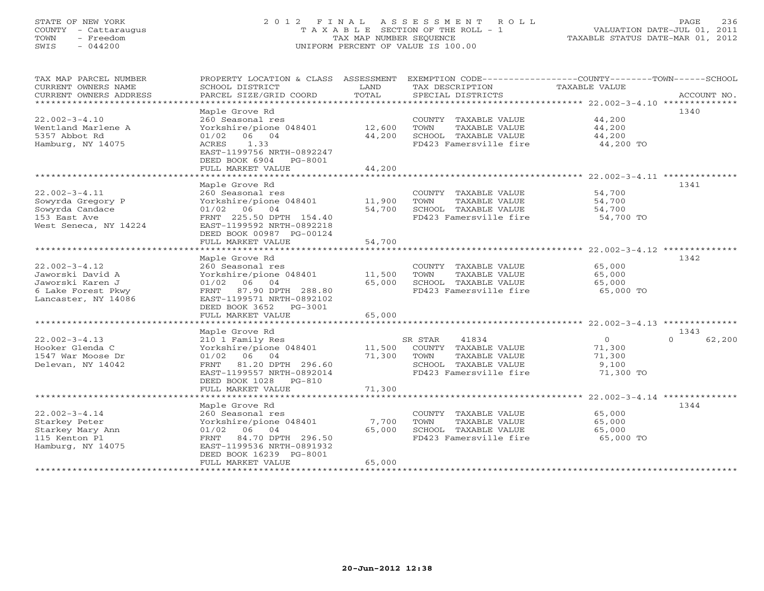# STATE OF NEW YORK 2 0 1 2 F I N A L A S S E S S M E N T R O L L PAGE 236 COUNTY - Cattaraugus T A X A B L E SECTION OF THE ROLL - 1 VALUATION DATE-JUL 01, 2011 TOWN - Freedom TAX MAP NUMBER SEQUENCE TAXABLE STATUS DATE-MAR 01, 2012 SWIS - 044200 UNIFORM PERCENT OF VALUE IS 100.00UNIFORM PERCENT OF VALUE IS 100.00

| TAX MAP PARCEL NUMBER<br>CURRENT OWNERS NAME<br>CURRENT OWNERS ADDRESS | PROPERTY LOCATION & CLASS ASSESSMENT<br>SCHOOL DISTRICT<br>PARCEL SIZE/GRID COORD        | LAND<br>TOTAL | TAX DESCRIPTION<br>SPECIAL DISTRICTS           | EXEMPTION CODE-----------------COUNTY-------TOWN------SCHOOL<br>TAXABLE VALUE<br>ACCOUNT NO. |
|------------------------------------------------------------------------|------------------------------------------------------------------------------------------|---------------|------------------------------------------------|----------------------------------------------------------------------------------------------|
| ***********************                                                |                                                                                          |               |                                                |                                                                                              |
| $22.002 - 3 - 4.10$<br>Wentland Marlene A                              | Maple Grove Rd<br>260 Seasonal res<br>Yorkshire/pione 048401                             | 12,600        | COUNTY TAXABLE VALUE<br>TOWN<br>TAXABLE VALUE  | 1340<br>44,200<br>44,200                                                                     |
| 5357 Abbot Rd<br>Hamburg, NY 14075                                     | $01/02$ 06 04<br>1.33<br>ACRES<br>EAST-1199756 NRTH-0892247<br>DEED BOOK 6904<br>PG-8001 | 44,200        | SCHOOL TAXABLE VALUE<br>FD423 Famersville fire | 44,200<br>44,200 TO                                                                          |
|                                                                        | FULL MARKET VALUE                                                                        | 44,200        |                                                | ******************** 22.002-3-4.11 **************                                            |
|                                                                        | Maple Grove Rd                                                                           |               |                                                | 1341                                                                                         |
| $22.002 - 3 - 4.11$                                                    | 260 Seasonal res                                                                         |               | COUNTY TAXABLE VALUE                           | 54,700                                                                                       |
| Sowyrda Gregory P                                                      | Yorkshire/pione 048401                                                                   | 11,900        | TOWN<br>TAXABLE VALUE                          | 54,700                                                                                       |
| Sowyrda Candace                                                        | $01/02$ 06 04                                                                            | 54,700        | SCHOOL TAXABLE VALUE                           | 54,700                                                                                       |
| 153 East Ave                                                           | FRNT 225.50 DPTH 154.40                                                                  |               | FD423 Famersville fire                         | 54,700 TO                                                                                    |
| West Seneca, NY 14224                                                  | EAST-1199592 NRTH-0892218<br>DEED BOOK 00987 PG-00124                                    |               |                                                |                                                                                              |
|                                                                        | FULL MARKET VALUE                                                                        | 54,700        |                                                |                                                                                              |
|                                                                        | Maple Grove Rd                                                                           |               |                                                | 1342                                                                                         |
| $22.002 - 3 - 4.12$                                                    | 260 Seasonal res                                                                         |               | COUNTY TAXABLE VALUE                           | 65,000                                                                                       |
| Jaworski David A                                                       | Yorkshire/pione 048401                                                                   | 11,500        | TOWN<br>TAXABLE VALUE                          | 65,000                                                                                       |
| Jaworski Karen J                                                       | 01/02 06 04                                                                              | 65,000        | SCHOOL TAXABLE VALUE                           | 65,000                                                                                       |
| 6 Lake Forest Pkwy<br>Lancaster, NY 14086                              | 87.90 DPTH 288.80<br>FRNT<br>EAST-1199571 NRTH-0892102<br>DEED BOOK 3652<br>PG-3001      |               | FD423 Famersville fire                         | 65,000 TO                                                                                    |
|                                                                        | FULL MARKET VALUE                                                                        | 65,000        |                                                |                                                                                              |
|                                                                        |                                                                                          |               |                                                |                                                                                              |
|                                                                        | Maple Grove Rd                                                                           |               |                                                | 1343                                                                                         |
| $22.002 - 3 - 4.13$                                                    | 210 1 Family Res                                                                         |               | 41834<br>SR STAR                               | $\overline{0}$<br>$\Omega$<br>62,200                                                         |
| Hooker Glenda C                                                        | Yorkshire/pione 048401                                                                   | 11,500        | COUNTY TAXABLE VALUE                           | 71,300                                                                                       |
| 1547 War Moose Dr                                                      | $01/02$ 06 04                                                                            | 71,300        | TOWN<br>TAXABLE VALUE                          | 71,300                                                                                       |
| Delevan, NY 14042                                                      | 81.20 DPTH 296.60<br>FRNT                                                                |               | SCHOOL TAXABLE VALUE                           | 9,100                                                                                        |
|                                                                        | EAST-1199557 NRTH-0892014<br>DEED BOOK 1028 PG-810                                       |               | FD423 Famersville fire                         | 71,300 TO                                                                                    |
|                                                                        | FULL MARKET VALUE                                                                        | 71,300        |                                                |                                                                                              |
|                                                                        |                                                                                          |               |                                                | 1344                                                                                         |
| $22.002 - 3 - 4.14$                                                    | Maple Grove Rd<br>260 Seasonal res                                                       |               | COUNTY TAXABLE VALUE                           | 65,000                                                                                       |
| Starkey Peter                                                          | Yorkshire/pione 048401                                                                   | 7,700         | TOWN<br>TAXABLE VALUE                          | 65,000                                                                                       |
| Starkey Mary Ann                                                       | 01/02 06 04                                                                              | 65,000        | SCHOOL TAXABLE VALUE                           | 65,000                                                                                       |
| 115 Kenton Pl                                                          | FRNT<br>84.70 DPTH 296.50                                                                |               | FD423 Famersville fire                         | 65,000 TO                                                                                    |
| Hamburg, NY 14075                                                      | EAST-1199536 NRTH-0891932                                                                |               |                                                |                                                                                              |
|                                                                        | DEED BOOK 16239 PG-8001                                                                  |               |                                                |                                                                                              |
|                                                                        | FULL MARKET VALUE                                                                        | 65,000        |                                                |                                                                                              |
|                                                                        | *********************************                                                        |               |                                                |                                                                                              |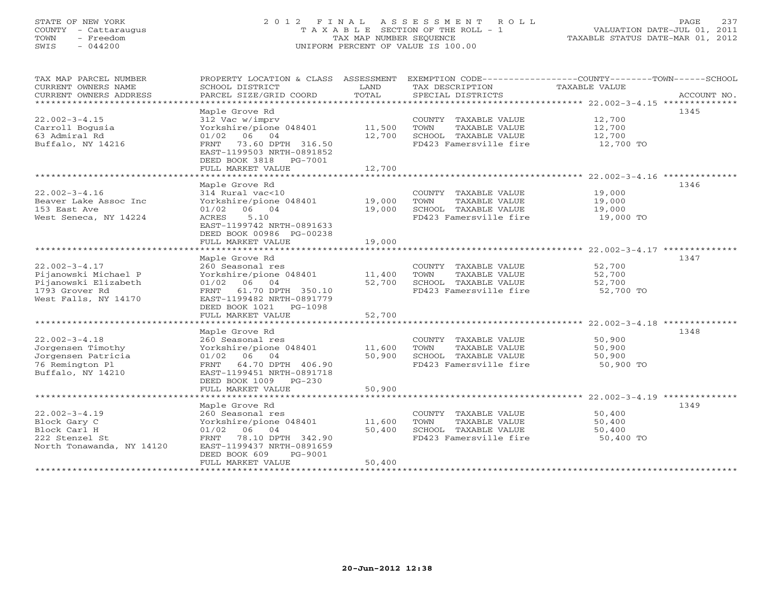# STATE OF NEW YORK 2 0 1 2 F I N A L A S S E S S M E N T R O L L PAGE 237 COUNTY - Cattaraugus T A X A B L E SECTION OF THE ROLL - 1 VALUATION DATE-JUL 01, 2011 TOWN - Freedom TAX MAP NUMBER SEQUENCE TAXABLE STATUS DATE-MAR 01, 2012 SWIS - 044200 UNIFORM PERCENT OF VALUE IS 100.00UNIFORM PERCENT OF VALUE IS 100.00

| TAX MAP PARCEL NUMBER     | PROPERTY LOCATION & CLASS               | ASSESSMENT      |                              | EXEMPTION CODE-----------------COUNTY-------TOWN------SCHOOL |             |
|---------------------------|-----------------------------------------|-----------------|------------------------------|--------------------------------------------------------------|-------------|
| CURRENT OWNERS NAME       | SCHOOL DISTRICT                         | LAND            | TAX DESCRIPTION              | TAXABLE VALUE                                                |             |
| CURRENT OWNERS ADDRESS    | PARCEL SIZE/GRID COORD                  | TOTAL           | SPECIAL DISTRICTS            |                                                              | ACCOUNT NO. |
|                           | * * * * * * * * * * * * * * * * * * *   | *************** |                              |                                                              |             |
|                           | Maple Grove Rd                          |                 |                              |                                                              | 1345        |
| $22.002 - 3 - 4.15$       | 312 Vac w/imprv                         |                 | COUNTY TAXABLE VALUE         | 12,700                                                       |             |
| Carroll Bogusia           | Yorkshire/pione 048401                  | 11,500          | TOWN<br>TAXABLE VALUE        | 12,700                                                       |             |
| 63 Admiral Rd             | 06 04<br>01/02                          | 12,700          | SCHOOL TAXABLE VALUE         | 12,700                                                       |             |
| Buffalo, NY 14216         | 73.60 DPTH 316.50<br>FRNT               |                 | FD423 Famersville fire       | 12,700 TO                                                    |             |
|                           | EAST-1199503 NRTH-0891852               |                 |                              |                                                              |             |
|                           | DEED BOOK 3818<br>PG-7001               |                 |                              |                                                              |             |
|                           |                                         |                 |                              |                                                              |             |
|                           | FULL MARKET VALUE<br>****************** | 12,700          |                              |                                                              |             |
|                           |                                         |                 |                              |                                                              |             |
|                           | Maple Grove Rd                          |                 |                              |                                                              | 1346        |
| $22.002 - 3 - 4.16$       | 314 Rural vac<10                        |                 | COUNTY TAXABLE VALUE         | 19,000                                                       |             |
| Beaver Lake Assoc Inc     | Yorkshire/pione 048401                  | 19,000          | TAXABLE VALUE<br>TOWN        | 19,000                                                       |             |
| 153 East Ave              | 06 04<br>01/02                          | 19,000          | SCHOOL TAXABLE VALUE         | 19,000                                                       |             |
| West Seneca, NY 14224     | 5.10<br>ACRES                           |                 | FD423 Famersville fire       | 19,000 TO                                                    |             |
|                           | EAST-1199742 NRTH-0891633               |                 |                              |                                                              |             |
|                           | DEED BOOK 00986 PG-00238                |                 |                              |                                                              |             |
|                           | FULL MARKET VALUE                       | 19,000          |                              |                                                              |             |
|                           |                                         |                 |                              |                                                              |             |
|                           | Maple Grove Rd                          |                 |                              |                                                              | 1347        |
| $22.002 - 3 - 4.17$       | 260 Seasonal res                        |                 | COUNTY TAXABLE VALUE         | 52,700                                                       |             |
| Pijanowski Michael P      | Yorkshire/pione 048401                  | 11,400          | TOWN<br>TAXABLE VALUE        | 52,700                                                       |             |
| Pijanowski Elizabeth      | $01/02$ 06<br>04                        | 52,700          | SCHOOL TAXABLE VALUE         | 52,700                                                       |             |
| 1793 Grover Rd            | 61.70 DPTH 350.10<br>FRNT               |                 | FD423 Famersville fire       | 52,700 TO                                                    |             |
| West Falls, NY 14170      | EAST-1199482 NRTH-0891779               |                 |                              |                                                              |             |
|                           | DEED BOOK 1021<br>PG-1098               |                 |                              |                                                              |             |
|                           | FULL MARKET VALUE                       | 52,700          |                              |                                                              |             |
|                           |                                         |                 |                              |                                                              |             |
|                           | Maple Grove Rd                          |                 |                              |                                                              | 1348        |
| $22.002 - 3 - 4.18$       | 260 Seasonal res                        |                 | COUNTY TAXABLE VALUE         | 50,900                                                       |             |
|                           |                                         | 11,600          | TAXABLE VALUE                |                                                              |             |
| Jorgensen Timothy         | Yorkshire/pione 048401                  |                 | TOWN<br>SCHOOL TAXABLE VALUE | 50,900                                                       |             |
| Jorgensen Patricia        | 01/02<br>06 04                          | 50,900          |                              | 50,900                                                       |             |
| 76 Remington Pl           | 64.70 DPTH 406.90<br>FRNT               |                 | FD423 Famersville fire       | 50,900 TO                                                    |             |
| Buffalo, NY 14210         | EAST-1199451 NRTH-0891718               |                 |                              |                                                              |             |
|                           | DEED BOOK 1009 PG-230                   |                 |                              |                                                              |             |
|                           | FULL MARKET VALUE                       | 50,900          |                              |                                                              |             |
|                           |                                         |                 |                              |                                                              |             |
|                           | Maple Grove Rd                          |                 |                              |                                                              | 1349        |
| $22.002 - 3 - 4.19$       | 260 Seasonal res                        |                 | COUNTY TAXABLE VALUE         | 50,400                                                       |             |
| Block Gary C              | Yorkshire/pione 048401                  | 11,600          | TOWN<br>TAXABLE VALUE        | 50,400                                                       |             |
| Block Carl H              | $01/02$ 06<br>04                        | 50,400          | SCHOOL TAXABLE VALUE         | 50,400                                                       |             |
| 222 Stenzel St            | 78.10 DPTH 342.90<br>FRNT               |                 | FD423 Famersville fire       | 50,400 TO                                                    |             |
| North Tonawanda, NY 14120 | EAST-1199437 NRTH-0891659               |                 |                              |                                                              |             |
|                           | DEED BOOK 609<br>PG-9001                |                 |                              |                                                              |             |
|                           | FULL MARKET VALUE                       | 50,400          |                              |                                                              |             |
|                           |                                         |                 |                              |                                                              |             |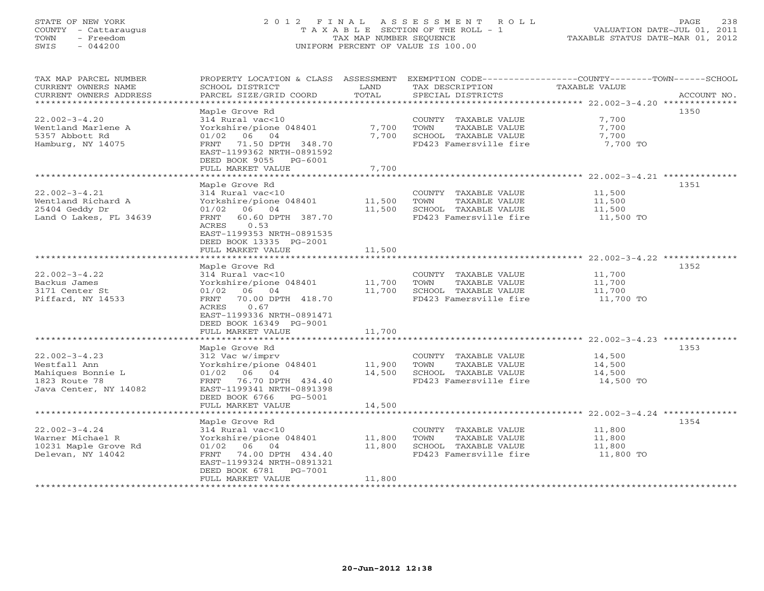# STATE OF NEW YORK 2 0 1 2 F I N A L A S S E S S M E N T R O L L PAGE 238 COUNTY - Cattaraugus T A X A B L E SECTION OF THE ROLL - 1 VALUATION DATE-JUL 01, 2011 TOWN - Freedom TAX MAP NUMBER SEQUENCE TAXABLE STATUS DATE-MAR 01, 2012 SWIS - 044200 UNIFORM PERCENT OF VALUE IS 100.00UNIFORM PERCENT OF VALUE IS 100.00

| TAX MAP PARCEL NUMBER<br>CURRENT OWNERS NAME | PROPERTY LOCATION & CLASS ASSESSMENT<br>SCHOOL DISTRICT | LAND                      | EXEMPTION CODE-----------------COUNTY-------TOWN------SCHOOL<br>TAX DESCRIPTION | TAXABLE VALUE    |             |
|----------------------------------------------|---------------------------------------------------------|---------------------------|---------------------------------------------------------------------------------|------------------|-------------|
| CURRENT OWNERS ADDRESS                       | PARCEL SIZE/GRID COORD                                  | TOTAL                     | SPECIAL DISTRICTS                                                               |                  | ACCOUNT NO. |
| ********************                         |                                                         |                           |                                                                                 |                  |             |
|                                              | Maple Grove Rd                                          |                           |                                                                                 |                  | 1350        |
| $22.002 - 3 - 4.20$                          | 314 Rural vac<10                                        |                           | COUNTY TAXABLE VALUE                                                            | 7,700            |             |
| Wentland Marlene A                           | Yorkshire/pione 048401                                  | 7,700                     | TOWN<br>TAXABLE VALUE                                                           | 7,700            |             |
| 5357 Abbott Rd                               | 06 04<br>01/02                                          | 7,700                     | SCHOOL TAXABLE VALUE                                                            | 7,700            |             |
| Hamburg, NY 14075                            | FRNT 71.50 DPTH 348.70                                  |                           | FD423 Famersville fire                                                          | 7,700 TO         |             |
|                                              | EAST-1199362 NRTH-0891592                               |                           |                                                                                 |                  |             |
|                                              | DEED BOOK 9055 PG-6001<br>FULL MARKET VALUE             | 7,700                     |                                                                                 |                  |             |
|                                              |                                                         |                           |                                                                                 |                  |             |
|                                              | Maple Grove Rd                                          |                           |                                                                                 |                  | 1351        |
| $22.002 - 3 - 4.21$                          | 314 Rural vac<10                                        |                           | COUNTY TAXABLE VALUE                                                            | 11,500           |             |
| Wentland Richard A                           | Yorkshire/pione 048401                                  | 11,500                    | TOWN<br>TAXABLE VALUE                                                           | 11,500           |             |
| 25404 Geddy Dr                               | 01/02<br>06 04                                          | 11,500                    | SCHOOL TAXABLE VALUE                                                            | 11,500           |             |
| Land O Lakes, FL 34639                       | 60.60 DPTH 387.70<br>FRNT                               |                           | FD423 Famersville fire                                                          | 11,500 TO        |             |
|                                              | 0.53<br>ACRES                                           |                           |                                                                                 |                  |             |
|                                              | EAST-1199353 NRTH-0891535                               |                           |                                                                                 |                  |             |
|                                              | DEED BOOK 13335 PG-2001                                 |                           |                                                                                 |                  |             |
|                                              | FULL MARKET VALUE                                       | 11,500                    |                                                                                 |                  |             |
|                                              |                                                         | * * * * * * * * * * * * * |                                                                                 |                  |             |
|                                              | Maple Grove Rd                                          |                           |                                                                                 |                  | 1352        |
| $22.002 - 3 - 4.22$                          | 314 Rural vac<10                                        |                           | COUNTY TAXABLE VALUE                                                            | 11,700           |             |
| Backus James                                 | Yorkshire/pione 048401                                  | 11,700                    | TOWN<br>TAXABLE VALUE<br>SCHOOL TAXABLE VALUE                                   | 11,700<br>11,700 |             |
| 3171 Center St<br>Piffard, NY 14533          | 01/02 06 04<br>70.00 DPTH 418.70<br>FRNT                | 11,700                    | FD423 Famersville fire                                                          | 11,700 TO        |             |
|                                              | ACRES<br>0.67                                           |                           |                                                                                 |                  |             |
|                                              | EAST-1199336 NRTH-0891471                               |                           |                                                                                 |                  |             |
|                                              | DEED BOOK 16349 PG-9001                                 |                           |                                                                                 |                  |             |
|                                              | FULL MARKET VALUE                                       | 11,700                    |                                                                                 |                  |             |
|                                              |                                                         |                           |                                                                                 |                  |             |
|                                              | Maple Grove Rd                                          |                           |                                                                                 |                  | 1353        |
| $22.002 - 3 - 4.23$                          | 312 Vac w/imprv                                         |                           | COUNTY TAXABLE VALUE                                                            | 14,500           |             |
| Westfall Ann                                 | Yorkshire/pione 048401                                  | 11,900                    | TOWN<br>TAXABLE VALUE                                                           | 14,500           |             |
| Mahiques Bonnie L                            | $01/02$ 06 04                                           | 14,500                    | SCHOOL TAXABLE VALUE                                                            | 14,500           |             |
| 1823 Route 78                                | FRNT 76.70 DPTH 434.40                                  |                           | FD423 Famersville fire                                                          | 14,500 TO        |             |
| Java Center, NY 14082                        | EAST-1199341 NRTH-0891398                               |                           |                                                                                 |                  |             |
|                                              | DEED BOOK 6766 PG-5001                                  |                           |                                                                                 |                  |             |
|                                              | FULL MARKET VALUE                                       | 14,500                    |                                                                                 |                  |             |
|                                              | Maple Grove Rd                                          |                           |                                                                                 |                  | 1354        |
| $22.002 - 3 - 4.24$                          | 314 Rural vac<10                                        |                           | COUNTY TAXABLE VALUE                                                            | 11,800           |             |
| Warner Michael R                             | Yorkshire/pione 048401                                  | 11,800                    | TOWN<br>TAXABLE VALUE                                                           | 11,800           |             |
| 10231 Maple Grove Rd                         | 01/02 06 04                                             | 11,800                    | SCHOOL TAXABLE VALUE                                                            | 11,800           |             |
| Delevan, NY 14042                            | FRNT<br>74.00 DPTH 434.40                               |                           | FD423 Famersville fire                                                          | 11,800 TO        |             |
|                                              | EAST-1199324 NRTH-0891321                               |                           |                                                                                 |                  |             |
|                                              | DEED BOOK 6781<br>PG-7001                               |                           |                                                                                 |                  |             |
|                                              | FULL MARKET VALUE                                       | 11,800                    |                                                                                 |                  |             |
|                                              |                                                         |                           |                                                                                 |                  |             |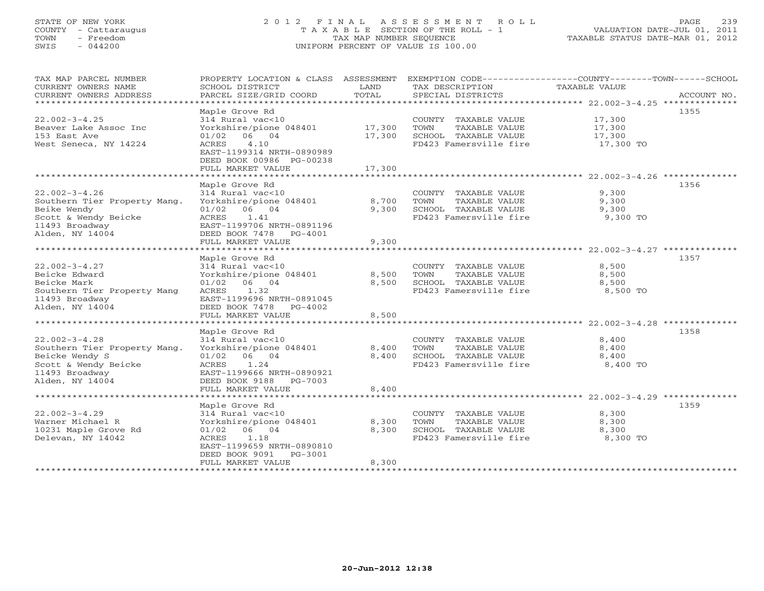# STATE OF NEW YORK 2 0 1 2 F I N A L A S S E S S M E N T R O L L PAGE 239 COUNTY - Cattaraugus T A X A B L E SECTION OF THE ROLL - 1 VALUATION DATE-JUL 01, 2011 TOWN - Freedom TAX MAP NUMBER SEQUENCE TAXABLE STATUS DATE-MAR 01, 2012 SWIS - 044200 UNIFORM PERCENT OF VALUE IS 100.00UNIFORM PERCENT OF VALUE IS 100.00

| TAX MAP PARCEL NUMBER                          |                                       |                |                                               | PROPERTY LOCATION & CLASS ASSESSMENT EXEMPTION CODE---------------COUNTY-------TOWN------SCHOOL |
|------------------------------------------------|---------------------------------------|----------------|-----------------------------------------------|-------------------------------------------------------------------------------------------------|
| CURRENT OWNERS NAME                            | SCHOOL DISTRICT                       | LAND           | TAX DESCRIPTION                               | TAXABLE VALUE                                                                                   |
| CURRENT OWNERS ADDRESS                         | PARCEL SIZE/GRID COORD                | TOTAL          | SPECIAL DISTRICTS                             | ACCOUNT NO.                                                                                     |
| *************************                      |                                       |                |                                               |                                                                                                 |
|                                                | Maple Grove Rd                        |                |                                               | 1355                                                                                            |
| $22.002 - 3 - 4.25$                            | 314 Rural vac<10                      |                | COUNTY TAXABLE VALUE 17,300                   |                                                                                                 |
| Beaver Lake Assoc Inc                          | Yorkshire/pione 048401                | 17,300         | TOWN<br>TAXABLE VALUE                         | 17,300                                                                                          |
| 153 East Ave                                   | 01/02<br>06 04                        | 17,300         | SCHOOL TAXABLE VALUE                          | 17,300                                                                                          |
| West Seneca, NY 14224                          | 4.10<br>ACRES                         |                | FD423 Famersville fire 17,300 TO              |                                                                                                 |
|                                                | EAST-1199314 NRTH-0890989             |                |                                               |                                                                                                 |
|                                                | DEED BOOK 00986 PG-00238              |                |                                               |                                                                                                 |
|                                                | FULL MARKET VALUE                     | 17,300         |                                               |                                                                                                 |
|                                                |                                       |                |                                               |                                                                                                 |
|                                                | Maple Grove Rd                        |                |                                               | 1356                                                                                            |
| $22.002 - 3 - 4.26$                            | 314 Rural vac<10                      |                | COUNTY TAXABLE VALUE                          | 9,300                                                                                           |
| Southern Tier Property Mang.                   | Yorkshire/pione 048401                | 8,700          | TAXABLE VALUE<br>TOWN                         | 9,300                                                                                           |
| Beike Wendy                                    | 01/02 06 04                           |                | 9,300 SCHOOL TAXABLE VALUE                    | 9,300                                                                                           |
| Scott & Wendy Beicke                           | ACRES 1.41                            |                | FD423 Famersville fire                        | 9,300 TO                                                                                        |
| 11493 Broadway                                 | EAST-1199706 NRTH-0891196             |                |                                               |                                                                                                 |
| Alden, NY 14004                                | DEED BOOK 7478 PG-4001                |                |                                               |                                                                                                 |
|                                                | FULL MARKET VALUE                     | 9,300          |                                               |                                                                                                 |
|                                                |                                       |                |                                               |                                                                                                 |
|                                                | Maple Grove Rd                        |                |                                               | 1357                                                                                            |
| $22.002 - 3 - 4.27$                            | 314 Rural vac<10                      |                | COUNTY TAXABLE VALUE                          | 8,500                                                                                           |
| Beicke Edward                                  | Yorkshire/pione 048401                | 8,500          | TOWN<br>TAXABLE VALUE                         | 8,500                                                                                           |
| Beicke Mark                                    | 01/02 06 04                           | 8,500          | SCHOOL TAXABLE VALUE                          | 8,500                                                                                           |
| Southern Tier Property Mang                    | ACRES 1.32                            |                | FD423 Famersville fire                        | 8,500 TO                                                                                        |
| 11493 Broadway                                 | EAST-1199696 NRTH-0891045             |                |                                               |                                                                                                 |
| Alden, NY 14004                                | DEED BOOK 7478 PG-4002                |                |                                               |                                                                                                 |
|                                                | FULL MARKET VALUE                     | 8,500          |                                               |                                                                                                 |
|                                                |                                       |                |                                               |                                                                                                 |
|                                                | Maple Grove Rd                        |                |                                               | 1358                                                                                            |
| $22.002 - 3 - 4.28$                            | 314 Rural vac<10                      |                | COUNTY TAXABLE VALUE                          | 8,400                                                                                           |
| Southern Tier Property Mang.<br>Beicke Wendy S | Yorkshire/pione 048401<br>01/02 06 04 | 8,400<br>8,400 | TAXABLE VALUE<br>TOWN<br>SCHOOL TAXABLE VALUE | 8,400<br>8,400                                                                                  |
| Scott & Wendy Beicke                           | ACRES 1.24                            |                |                                               | 8,400 TO                                                                                        |
| 11493 Broadway                                 | EAST-1199666 NRTH-0890921             |                | FD423 Famersville fire                        |                                                                                                 |
| Alden, NY 14004                                | DEED BOOK 9188 PG-7003                |                |                                               |                                                                                                 |
|                                                | FULL MARKET VALUE                     | 8,400          |                                               |                                                                                                 |
|                                                |                                       |                |                                               |                                                                                                 |
|                                                | Maple Grove Rd                        |                |                                               | 1359                                                                                            |
| $22.002 - 3 - 4.29$                            | 314 Rural vac<10                      |                | COUNTY TAXABLE VALUE                          | 8,300                                                                                           |
| Warner Michael R                               | Yorkshire/pione 048401                | 8,300          | TAXABLE VALUE<br>TOWN                         | 8,300                                                                                           |
| 10231 Maple Grove Rd                           | $01/02$ 06 04                         | 8,300          | SCHOOL TAXABLE VALUE                          | 8,300                                                                                           |
| Delevan, NY 14042                              | 1.18<br>ACRES                         |                | FD423 Famersville fire                        | 8,300 TO                                                                                        |
|                                                | EAST-1199659 NRTH-0890810             |                |                                               |                                                                                                 |
|                                                | DEED BOOK 9091 PG-3001                |                |                                               |                                                                                                 |
|                                                | FULL MARKET VALUE                     | 8,300          |                                               |                                                                                                 |
|                                                |                                       |                |                                               |                                                                                                 |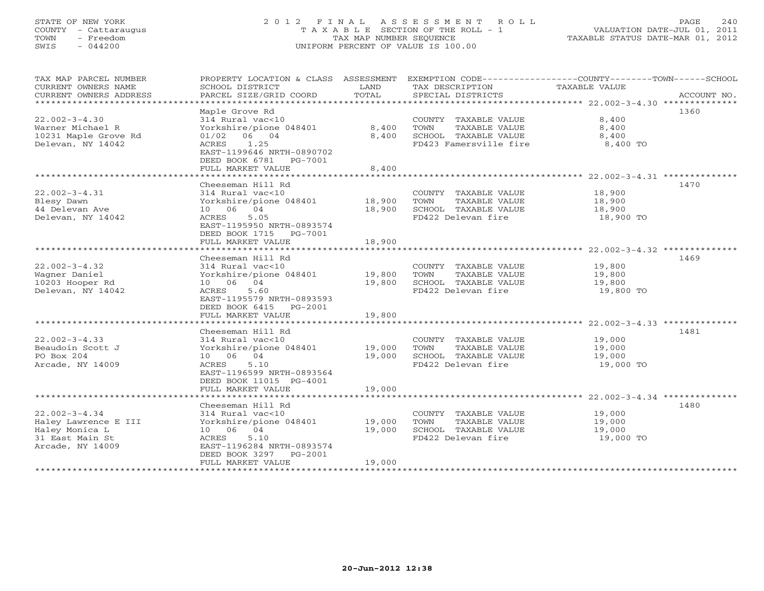# STATE OF NEW YORK 2 0 1 2 F I N A L A S S E S S M E N T R O L L PAGE 240 COUNTY - Cattaraugus T A X A B L E SECTION OF THE ROLL - 1 VALUATION DATE-JUL 01, 2011 TOWN - Freedom TAX MAP NUMBER SEQUENCE TAXABLE STATUS DATE-MAR 01, 2012 SWIS - 044200 UNIFORM PERCENT OF VALUE IS 100.00UNIFORM PERCENT OF VALUE IS 100.00

| TAX MAP PARCEL NUMBER<br>CURRENT OWNERS NAME<br>CURRENT OWNERS ADDRESS | PROPERTY LOCATION & CLASS ASSESSMENT<br>SCHOOL DISTRICT<br>PARCEL SIZE/GRID COORD | LAND<br>TOTAL          | TAX DESCRIPTION<br>SPECIAL DISTRICTS          | EXEMPTION CODE-----------------COUNTY-------TOWN------SCHOOL<br>TAXABLE VALUE<br>ACCOUNT NO. |
|------------------------------------------------------------------------|-----------------------------------------------------------------------------------|------------------------|-----------------------------------------------|----------------------------------------------------------------------------------------------|
| ********************                                                   |                                                                                   |                        |                                               |                                                                                              |
|                                                                        | Maple Grove Rd                                                                    |                        |                                               | 1360                                                                                         |
| $22.002 - 3 - 4.30$                                                    | 314 Rural vac<10                                                                  |                        | COUNTY TAXABLE VALUE                          | 8,400                                                                                        |
| Warner Michael R                                                       | Yorkshire/pione 048401                                                            | 8,400                  | <b>TOWN</b><br>TAXABLE VALUE                  | 8,400                                                                                        |
| 10231 Maple Grove Rd                                                   | $01/02$ 06 04                                                                     | 8,400                  | SCHOOL TAXABLE VALUE                          | 8,400                                                                                        |
| Delevan, NY 14042                                                      | ACRES<br>1.25<br>EAST-1199646 NRTH-0890702                                        |                        | FD423 Famersville fire                        | 8,400 TO                                                                                     |
|                                                                        | DEED BOOK 6781<br>PG-7001                                                         |                        |                                               |                                                                                              |
|                                                                        | FULL MARKET VALUE                                                                 | 8,400                  |                                               |                                                                                              |
|                                                                        |                                                                                   |                        |                                               | ********************* 22.002-3-4.31 **************                                           |
|                                                                        | Cheeseman Hill Rd                                                                 |                        |                                               | 1470                                                                                         |
| $22.002 - 3 - 4.31$                                                    | 314 Rural vac<10                                                                  |                        | COUNTY TAXABLE VALUE                          | 18,900                                                                                       |
| Blesy Dawn                                                             | Yorkshire/pione 048401                                                            | 18,900                 | TOWN<br>TAXABLE VALUE                         | 18,900                                                                                       |
| 44 Delevan Ave                                                         | 04<br>10 06                                                                       | 18,900                 | SCHOOL TAXABLE VALUE                          | 18,900                                                                                       |
| Delevan, NY 14042                                                      | ACRES<br>5.05                                                                     |                        | FD422 Delevan fire                            | 18,900 TO                                                                                    |
|                                                                        | EAST-1195950 NRTH-0893574                                                         |                        |                                               |                                                                                              |
|                                                                        | DEED BOOK 1715<br>PG-7001                                                         |                        |                                               |                                                                                              |
|                                                                        | FULL MARKET VALUE<br>**********************                                       | 18,900<br>************ |                                               |                                                                                              |
|                                                                        | Cheeseman Hill Rd                                                                 |                        |                                               | 1469                                                                                         |
| $22.002 - 3 - 4.32$                                                    | 314 Rural vac<10                                                                  |                        | COUNTY TAXABLE VALUE                          | 19,800                                                                                       |
| Wagner Daniel                                                          | Yorkshire/pione 048401                                                            | 19,800                 | TOWN<br>TAXABLE VALUE                         | 19,800                                                                                       |
| 10203 Hooper Rd                                                        | 10 06 04                                                                          | 19,800                 | SCHOOL TAXABLE VALUE                          | 19,800                                                                                       |
| Delevan, NY 14042                                                      | ACRES<br>5.60                                                                     |                        | FD422 Delevan fire                            | 19,800 TO                                                                                    |
|                                                                        | EAST-1195579 NRTH-0893593                                                         |                        |                                               |                                                                                              |
|                                                                        | DEED BOOK 6415<br>PG-2001                                                         |                        |                                               |                                                                                              |
|                                                                        | FULL MARKET VALUE                                                                 | 19,800                 |                                               |                                                                                              |
|                                                                        |                                                                                   |                        |                                               |                                                                                              |
|                                                                        | Cheeseman Hill Rd                                                                 |                        |                                               | 1481                                                                                         |
| $22.002 - 3 - 4.33$                                                    | 314 Rural vac<10                                                                  |                        | COUNTY TAXABLE VALUE                          | 19,000                                                                                       |
| Beaudoin Scott J<br>PO Box 204                                         | Yorkshire/pione 048401<br>10 06 04                                                | 19,000<br>19,000       | TOWN<br>TAXABLE VALUE<br>SCHOOL TAXABLE VALUE | 19,000<br>19,000                                                                             |
| Arcade, NY 14009                                                       | ACRES<br>5.10                                                                     |                        | FD422 Delevan fire                            | 19,000 TO                                                                                    |
|                                                                        | EAST-1196599 NRTH-0893564                                                         |                        |                                               |                                                                                              |
|                                                                        | DEED BOOK 11015 PG-4001                                                           |                        |                                               |                                                                                              |
|                                                                        | FULL MARKET VALUE                                                                 | 19,000                 |                                               |                                                                                              |
|                                                                        |                                                                                   |                        |                                               |                                                                                              |
|                                                                        | Cheeseman Hill Rd                                                                 |                        |                                               | 1480                                                                                         |
| $22.002 - 3 - 4.34$                                                    | 314 Rural vac<10                                                                  |                        | COUNTY TAXABLE VALUE                          | 19,000                                                                                       |
| Haley Lawrence E III                                                   | Yorkshire/pione 048401                                                            | 19,000                 | <b>TOWN</b><br>TAXABLE VALUE                  | 19,000                                                                                       |
| Haley Monica L                                                         | 10 06 04                                                                          | 19,000                 | SCHOOL TAXABLE VALUE                          | 19,000                                                                                       |
| 31 East Main St                                                        | ACRES<br>5.10                                                                     |                        | FD422 Delevan fire                            | 19,000 TO                                                                                    |
| Arcade, NY 14009                                                       | EAST-1196284 NRTH-0893574                                                         |                        |                                               |                                                                                              |
|                                                                        | DEED BOOK 3297<br>$PG-2001$<br>FULL MARKET VALUE                                  | 19,000                 |                                               |                                                                                              |
|                                                                        | * * * * * * * * * * * * * * * * * * *                                             |                        |                                               |                                                                                              |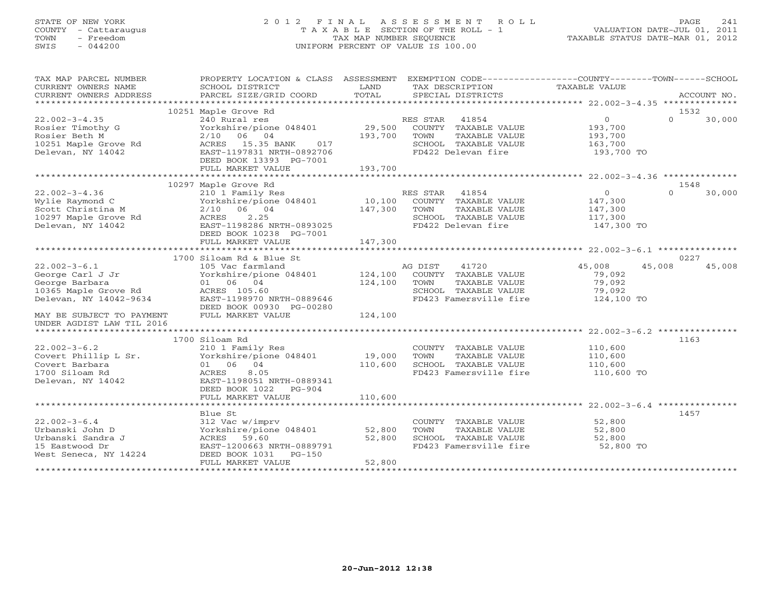# STATE OF NEW YORK 2 0 1 2 F I N A L A S S E S S M E N T R O L L PAGE 241 COUNTY - Cattaraugus T A X A B L E SECTION OF THE ROLL - 1 VALUATION DATE-JUL 01, 2011 TOWN - Freedom TAX MAP NUMBER SEQUENCE TAXABLE STATUS DATE-MAR 01, 2012 SWIS - 044200 UNIFORM PERCENT OF VALUE IS 100.00

| TAX MAP PARCEL NUMBER<br>CURRENT OWNERS NAME<br>CURRENT OWNERS ADDRESS                                     | PROPERTY LOCATION & CLASS ASSESSMENT EXEMPTION CODE---------------COUNTY-------TOWN-----SCHOOL<br>SCHOOL DISTRICT<br>PARCEL SIZE/GRID COORD                                             | LAND<br>TOTAL                | TAX DESCRIPTION<br>SPECIAL DISTRICTS                                                                          | TAXABLE VALUE                                                 | ACCOUNT NO.                |
|------------------------------------------------------------------------------------------------------------|-----------------------------------------------------------------------------------------------------------------------------------------------------------------------------------------|------------------------------|---------------------------------------------------------------------------------------------------------------|---------------------------------------------------------------|----------------------------|
|                                                                                                            |                                                                                                                                                                                         |                              |                                                                                                               |                                                               |                            |
| $22.002 - 3 - 4.35$<br>Rosier Timothy G<br>Rosier Beth M<br>10251 Maple Grove Rd<br>Delevan, NY 14042      | 10251 Maple Grove Rd<br>240 Rural res<br>Yorkshire/pione 048401<br>$2/10$ 06 04<br>ACRES 15.35 BANK<br>017<br>EAST-1197831 NRTH-0892706<br>DEED BOOK 13393 PG-7001<br>FULL MARKET VALUE | 29,500<br>193,700<br>193,700 | RES STAR 41854<br>COUNTY TAXABLE VALUE<br>TOWN<br>TAXABLE VALUE<br>SCHOOL TAXABLE VALUE<br>FD422 Delevan fire | $\Omega$<br>193,700<br>193,700<br>163,700<br>193,700 TO       | 1532<br>$\Omega$<br>30,000 |
|                                                                                                            |                                                                                                                                                                                         |                              |                                                                                                               |                                                               | 1548                       |
| $22.002 - 3 - 4.36$<br>Wylie Raymond C<br>Scott Christina M<br>10297 Maple Grove Rd<br>Delevan, NY 14042   | 10297 Maple Grove Rd<br>210 1 Family Res<br>Yorkshire/pione 048401 10,100<br>$2/10$ 06 04<br>ACRES<br>2.25<br>EAST-1198286 NRTH-0893025<br>DEED BOOK 10238 PG-7001                      | 147,300<br>147,300           | RES STAR 41854<br>COUNTY TAXABLE VALUE<br>TOWN<br>TAXABLE VALUE<br>SCHOOL TAXABLE VALUE<br>FD422 Delevan fire | $\overline{0}$<br>147,300<br>147,300<br>117,300<br>147,300 TO | $\Omega$<br>30,000         |
|                                                                                                            | FULL MARKET VALUE                                                                                                                                                                       |                              |                                                                                                               |                                                               |                            |
|                                                                                                            | 1700 Siloam Rd & Blue St                                                                                                                                                                |                              |                                                                                                               |                                                               | 0227                       |
| $22.002 - 3 - 6.1$<br>George Carl J Jr<br>George Barbara<br>10365 Maple Grove Rd<br>Delevan, NY 14042-9634 | 105 Vac farmland<br>Yorkshire/pione 048401 124,100 COUNTY TAXABLE VALUE<br>01 06 04<br>ACRES 105.60<br>EAST-1198970 NRTH-0889646<br>DEED BOOK 00930 PG-00280                            | 124,100                      | AG DIST<br>41720<br>TOWN<br>TAXABLE VALUE<br>SCHOOL TAXABLE VALUE<br>FD423 Famersville fire                   | 45,008<br>45,008<br>79,092<br>79,092<br>79,092<br>124,100 TO  | 45,008                     |
| MAY BE SUBJECT TO PAYMENT<br>UNDER AGDIST LAW TIL 2016                                                     | FULL MARKET VALUE                                                                                                                                                                       | 124,100                      |                                                                                                               |                                                               |                            |
|                                                                                                            |                                                                                                                                                                                         |                              |                                                                                                               |                                                               |                            |
| $22.002 - 3 - 6.2$<br>Covert Phillip L Sr.<br>Covert Barbara<br>1700 Siloam Rd<br>Delevan, NY 14042        | 1700 Siloam Rd<br>210 1 Family Res<br>Yorkshire/pione 048401<br>01 06 04<br>8.05<br>ACRES<br>EAST-1198051 NRTH-0889341<br>DEED BOOK 1022 PG-904                                         | 19,000<br>110,600            | COUNTY TAXABLE VALUE<br>TOWN<br>TAXABLE VALUE<br>SCHOOL TAXABLE VALUE<br>FD423 Famersville fire               | 110,600<br>110,600<br>110,600<br>110,600 TO                   | 1163                       |
|                                                                                                            | FULL MARKET VALUE                                                                                                                                                                       | 110,600                      |                                                                                                               |                                                               |                            |
|                                                                                                            | Blue St                                                                                                                                                                                 |                              |                                                                                                               |                                                               | 1457                       |
| $22.002 - 3 - 6.4$<br>Urbanski John D<br>Urbanski Sandra J<br>15 Eastwood Dr<br>West Seneca, NY 14224      | 312 Vac w/imprv<br>Yorkshire/pione 048401<br>ACRES 59.60<br>EAST-1200663 NRTH-0889791<br>DEED BOOK 1031<br>PG-150                                                                       | 52,800<br>52,800             | COUNTY TAXABLE VALUE<br>TOWN<br>TAXABLE VALUE<br>SCHOOL TAXABLE VALUE<br>FD423 Famersville fire               | 52,800<br>52,800<br>52,800<br>52,800 TO                       |                            |
|                                                                                                            | FULL MARKET VALUE                                                                                                                                                                       | 52,800                       |                                                                                                               |                                                               |                            |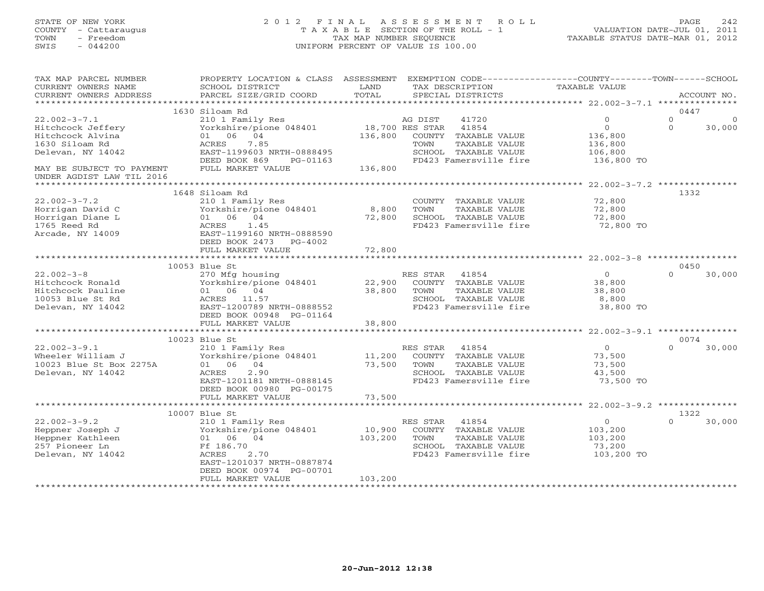# STATE OF NEW YORK 2 0 1 2 F I N A L A S S E S S M E N T R O L L PAGE 242 COUNTY - Cattaraugus T A X A B L E SECTION OF THE ROLL - 1 VALUATION DATE-JUL 01, 2011 TOWN - Freedom TAX MAP NUMBER SEQUENCE TAXABLE STATUS DATE-MAR 01, 2012 SWIS - 044200 UNIFORM PERCENT OF VALUE IS 100.00UNIFORM PERCENT OF VALUE IS 100.00

| TAX MAP PARCEL NUMBER<br>CURRENT OWNERS NAME | PROPERTY LOCATION & CLASS ASSESSMENT<br>SCHOOL DISTRICT | LAND     | EXEMPTION CODE-----------------COUNTY-------TOWN-----SCHOOL<br>TAX DESCRIPTION | TAXABLE VALUE                                   |                      |
|----------------------------------------------|---------------------------------------------------------|----------|--------------------------------------------------------------------------------|-------------------------------------------------|----------------------|
| CURRENT OWNERS ADDRESS                       | PARCEL SIZE/GRID COORD                                  | TOTAL    | SPECIAL DISTRICTS                                                              |                                                 | ACCOUNT NO.          |
| ***********************                      |                                                         |          |                                                                                |                                                 |                      |
|                                              | 1630 Siloam Rd                                          |          |                                                                                |                                                 | 0447                 |
| $22.002 - 3 - 7.1$                           | 210 1 Family Res                                        |          | 41720<br>AG DIST                                                               | $\mathbf{0}$                                    | $\Omega$<br>$\Omega$ |
| Hitchcock Jeffery                            | Yorkshire/pione 048401                                  |          | 18,700 RES STAR<br>41854                                                       | $\circ$                                         | $\Omega$<br>30,000   |
| Hitchcock Alvina                             | 01 06 04                                                | 136,800  | COUNTY<br>TAXABLE VALUE                                                        | 136,800                                         |                      |
| 1630 Siloam Rd                               | 7.85<br>ACRES                                           |          | TOWN<br>TAXABLE VALUE                                                          | 136,800                                         |                      |
| Delevan, NY 14042                            | EAST-1199603 NRTH-0888495                               |          | SCHOOL TAXABLE VALUE                                                           | 106,800                                         |                      |
|                                              | DEED BOOK 869<br>PG-01163                               |          | FD423 Famersville fire                                                         | 136,800 TO                                      |                      |
| MAY BE SUBJECT TO PAYMENT                    | FULL MARKET VALUE                                       | 136,800  |                                                                                |                                                 |                      |
| UNDER AGDIST LAW TIL 2016                    |                                                         |          |                                                                                |                                                 |                      |
|                                              | 1648 Siloam Rd                                          |          |                                                                                |                                                 | 1332                 |
| $22.002 - 3 - 7.2$                           | 210 1 Family Res                                        |          | COUNTY TAXABLE VALUE                                                           | 72,800                                          |                      |
| Horrigan David C                             | Yorkshire/pione 048401                                  | 8,800    | TAXABLE VALUE<br>TOWN                                                          | 72,800                                          |                      |
| Horrigan Diane L                             | 01 06 04                                                | 72,800   | SCHOOL TAXABLE VALUE                                                           | 72,800                                          |                      |
| 1765 Reed Rd                                 | 1.45<br>ACRES                                           |          | FD423 Famersville fire                                                         | 72,800 TO                                       |                      |
| Arcade, NY 14009                             | EAST-1199160 NRTH-0888590                               |          |                                                                                |                                                 |                      |
|                                              | DEED BOOK 2473<br>PG-4002                               |          |                                                                                |                                                 |                      |
|                                              | FULL MARKET VALUE                                       | 72,800   |                                                                                |                                                 |                      |
|                                              |                                                         | ******** |                                                                                | *********************** 22.002-3-8 ************ |                      |
|                                              | 10053 Blue St                                           |          |                                                                                |                                                 | 0450                 |
| $22.002 - 3 - 8$                             | 270 Mfg housing                                         |          | RES STAR<br>41854                                                              | $\overline{0}$                                  | $\Omega$<br>30,000   |
| Hitchcock Ronald                             | Yorkshire/pione 048401                                  | 22,900   | COUNTY TAXABLE VALUE                                                           | 38,800                                          |                      |
| Hitchcock Pauline                            | 01 06 04                                                | 38,800   | TOWN<br>TAXABLE VALUE                                                          | 38,800                                          |                      |
| 10053 Blue St Rd                             | ACRES<br>11.57                                          |          | SCHOOL TAXABLE VALUE                                                           | 8,800                                           |                      |
| Delevan, NY 14042                            | EAST-1200789 NRTH-0888552                               |          | FD423 Famersville fire                                                         | 38,800 TO                                       |                      |
|                                              | DEED BOOK 00948 PG-01164                                |          |                                                                                |                                                 |                      |
|                                              | FULL MARKET VALUE                                       | 38,800   |                                                                                |                                                 |                      |
|                                              |                                                         |          |                                                                                |                                                 |                      |
|                                              | 10023 Blue St                                           |          |                                                                                |                                                 | 0074                 |
| $22.002 - 3 - 9.1$                           | 210 1 Family Res                                        |          | 41854<br>RES STAR                                                              | $\circ$                                         | $\Omega$<br>30,000   |
| Wheeler William J                            | Yorkshire/pione 048401                                  | 11,200   | COUNTY TAXABLE VALUE                                                           | 73,500                                          |                      |
| 10023 Blue St Box 2275A                      | 04<br>01 06                                             | 73,500   | TAXABLE VALUE<br>TOWN                                                          | 73,500                                          |                      |
| Delevan, NY 14042                            | 2.90<br>ACRES                                           |          | SCHOOL TAXABLE VALUE                                                           | 43,500                                          |                      |
|                                              | EAST-1201181 NRTH-0888145                               |          | FD423 Famersville fire                                                         | 73,500 TO                                       |                      |
|                                              | DEED BOOK 00980 PG-00175                                |          |                                                                                |                                                 |                      |
|                                              | FULL MARKET VALUE                                       | 73,500   |                                                                                |                                                 |                      |
|                                              |                                                         |          |                                                                                |                                                 |                      |
|                                              | 10007 Blue St                                           |          |                                                                                |                                                 | 1322                 |
| $22.002 - 3 - 9.2$                           | 210 1 Family Res                                        |          | RES STAR<br>41854                                                              | $\overline{0}$                                  | $\Omega$<br>30,000   |
| Heppner Joseph J                             | Yorkshire/pione 048401                                  | 10,900   | COUNTY TAXABLE VALUE                                                           | 103,200                                         |                      |
| Heppner Kathleen                             | 01 06 04                                                | 103,200  | TOWN<br>TAXABLE VALUE                                                          | 103,200                                         |                      |
| 257 Pioneer Ln                               | Ff 186.70                                               |          | SCHOOL TAXABLE VALUE                                                           | 73,200                                          |                      |
| Delevan, NY 14042                            | <b>ACRES</b><br>2.70                                    |          | FD423 Famersville fire                                                         | 103,200 TO                                      |                      |
|                                              | EAST-1201037 NRTH-0887874                               |          |                                                                                |                                                 |                      |
|                                              | DEED BOOK 00974 PG-00701                                |          |                                                                                |                                                 |                      |
|                                              | FULL MARKET VALUE                                       | 103,200  |                                                                                |                                                 |                      |
|                                              |                                                         |          |                                                                                |                                                 |                      |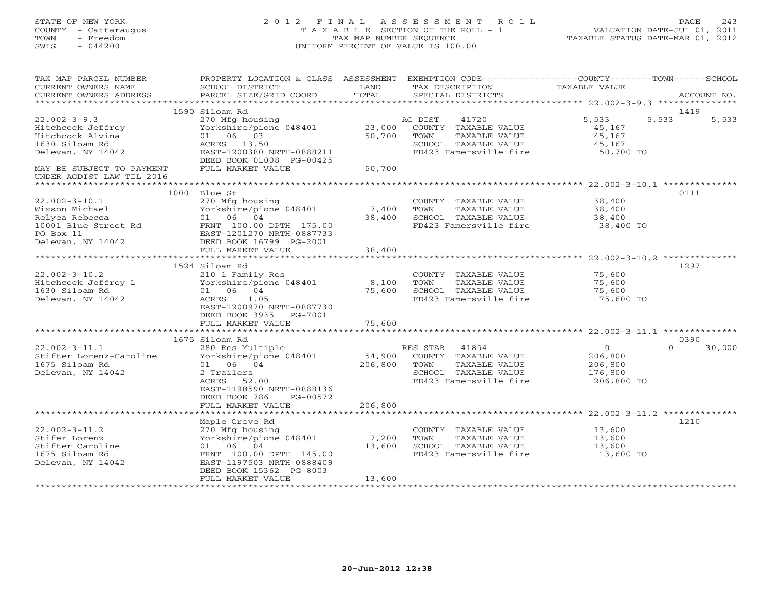| STATE OF NEW YORK<br>COUNTY - Cattaraugus<br>TOWN<br>- Freedom<br>SWIS<br>$-044200$ | 2 0 1 2                                                 | FINAL ASSESSMENT<br>T A X A B L E SECTION OF THE ROLL - 1<br>TAX MAP NUMBER SEOUENCE<br>UNIFORM PERCENT OF VALUE IS 100.00 |          | ROLL                   | TAXABLE STATUS DATE-MAR 01, 2012                                                    | 243<br>PAGE<br>VALUATION DATE-JUL 01, 2011 |
|-------------------------------------------------------------------------------------|---------------------------------------------------------|----------------------------------------------------------------------------------------------------------------------------|----------|------------------------|-------------------------------------------------------------------------------------|--------------------------------------------|
| TAX MAP PARCEL NUMBER<br>CURRENT OWNERS NAME                                        | PROPERTY LOCATION & CLASS ASSESSMENT<br>SCHOOL DISTRICT | LAND                                                                                                                       |          | TAX DESCRIPTION        | EXEMPTION CODE----------------COUNTY-------TOWN------SCHOOL<br><b>TAXABLE VALUE</b> |                                            |
| CURRENT OWNERS ADDRESS                                                              | PARCEL SIZE/GRID COORD                                  | TOTAL                                                                                                                      |          | SPECIAL DISTRICTS      |                                                                                     | ACCOUNT NO.                                |
|                                                                                     | 1590 Siloam Rd                                          |                                                                                                                            |          |                        |                                                                                     | 1419                                       |
| $22.002 - 3 - 9.3$                                                                  | 270 Mfg housing                                         |                                                                                                                            | AG DIST  | 41720                  | 5,533                                                                               | 5,533<br>5,533                             |
| Hitchcock Jeffrey                                                                   | Yorkshire/pione 048401                                  | 23,000                                                                                                                     |          | COUNTY TAXABLE VALUE   | 45,167                                                                              |                                            |
| Hitchcock Alvina                                                                    | 01 06 03                                                | 50,700                                                                                                                     | TOWN     | TAXABLE VALUE          | 45,167                                                                              |                                            |
| 1630 Siloam Rd                                                                      | ACRES 13.50                                             |                                                                                                                            |          | SCHOOL TAXABLE VALUE   | 45,167                                                                              |                                            |
| Delevan, NY 14042                                                                   | EAST-1200380 NRTH-0888211                               |                                                                                                                            |          | FD423 Famersville fire | 50,700 TO                                                                           |                                            |
|                                                                                     | DEED BOOK 01008 PG-00425                                |                                                                                                                            |          |                        |                                                                                     |                                            |
| MAY BE SUBJECT TO PAYMENT                                                           | FULL MARKET VALUE                                       | 50,700                                                                                                                     |          |                        |                                                                                     |                                            |
| UNDER AGDIST LAW TIL 2016                                                           |                                                         |                                                                                                                            |          |                        |                                                                                     |                                            |
|                                                                                     | 10001 Blue St                                           |                                                                                                                            |          |                        |                                                                                     | 0111                                       |
| $22.002 - 3 - 10.1$                                                                 | 270 Mfg housing                                         |                                                                                                                            |          | COUNTY TAXABLE VALUE   | 38,400                                                                              |                                            |
| Wixson Michael                                                                      | Yorkshire/pione 048401                                  | 7,400                                                                                                                      | TOWN     | TAXABLE VALUE          | 38,400                                                                              |                                            |
| Relyea Rebecca                                                                      | 01 06<br>04                                             | 38,400                                                                                                                     |          | SCHOOL TAXABLE VALUE   | 38,400                                                                              |                                            |
| 10001 Blue Street Rd                                                                | FRNT 100.00 DPTH 175.00                                 |                                                                                                                            |          | FD423 Famersville fire | 38,400 TO                                                                           |                                            |
| PO Box 11                                                                           | EAST-1201270 NRTH-0887733                               |                                                                                                                            |          |                        |                                                                                     |                                            |
| Delevan, NY 14042                                                                   | DEED BOOK 16799 PG-2001                                 |                                                                                                                            |          |                        |                                                                                     |                                            |
|                                                                                     | FULL MARKET VALUE                                       | 38,400                                                                                                                     |          |                        |                                                                                     |                                            |
|                                                                                     | 1524 Siloam Rd                                          |                                                                                                                            |          |                        |                                                                                     | 1297                                       |
| $22.002 - 3 - 10.2$                                                                 | 210 1 Family Res                                        |                                                                                                                            |          | COUNTY TAXABLE VALUE   | 75,600                                                                              |                                            |
| Hitchcock Jeffrey L                                                                 | Yorkshire/pione 048401                                  | 8,100                                                                                                                      | TOWN     | TAXABLE VALUE          | 75,600                                                                              |                                            |
| 1630 Siloam Rd                                                                      | 01 06 04                                                | 75,600                                                                                                                     |          | SCHOOL TAXABLE VALUE   | 75,600                                                                              |                                            |
| Delevan, NY 14042                                                                   | ACRES<br>1.05                                           |                                                                                                                            |          | FD423 Famersville fire | 75,600 TO                                                                           |                                            |
|                                                                                     | EAST-1200970 NRTH-0887730                               |                                                                                                                            |          |                        |                                                                                     |                                            |
|                                                                                     | DEED BOOK 3935<br>PG-7001                               |                                                                                                                            |          |                        |                                                                                     |                                            |
|                                                                                     | FULL MARKET VALUE                                       | 75,600                                                                                                                     |          |                        |                                                                                     |                                            |
|                                                                                     | 1675 Siloam Rd                                          |                                                                                                                            |          |                        |                                                                                     | 0390                                       |
| $22.002 - 3 - 11.1$                                                                 | 280 Res Multiple                                        |                                                                                                                            | RES STAR | 41854                  | $\overline{0}$                                                                      | $\Omega$<br>30,000                         |
| Stifter Lorenz-Caroline                                                             | Yorkshire/pione 048401                                  | 54,900                                                                                                                     |          | COUNTY TAXABLE VALUE   | 206,800                                                                             |                                            |
| 1675 Siloam Rd                                                                      | 01 06 04                                                | 206,800                                                                                                                    | TOWN     | TAXABLE VALUE          | 206,800                                                                             |                                            |
| Delevan, NY 14042                                                                   | 2 Trailers                                              |                                                                                                                            |          | SCHOOL TAXABLE VALUE   | 176,800                                                                             |                                            |
|                                                                                     | ACRES<br>52.00                                          |                                                                                                                            |          | FD423 Famersville fire | 206,800 TO                                                                          |                                            |
|                                                                                     | EAST-1198590 NRTH-0888136                               |                                                                                                                            |          |                        |                                                                                     |                                            |
|                                                                                     | DEED BOOK 786<br>PG-00572                               |                                                                                                                            |          |                        |                                                                                     |                                            |
|                                                                                     | FULL MARKET VALUE                                       | 206,800<br>**************                                                                                                  |          |                        | ******************************** 22.002-3-11.2 **************                       |                                            |
|                                                                                     | Maple Grove Rd                                          |                                                                                                                            |          |                        |                                                                                     | 1210                                       |

|                     | napic diove na            |        |                                | <b>+4+</b> |  |
|---------------------|---------------------------|--------|--------------------------------|------------|--|
| $22.002 - 3 - 11.2$ | 270 Mfg housing           |        | TAXABLE VALUE<br><b>COUNTY</b> | 13,600     |  |
| Stifer Lorenz       | Yorkshire/pione 048401    | 7,200  | TAXABLE VALUE<br>TOWN          | 13,600     |  |
| Stifter Caroline    | 06<br>- 04<br>01          | 13,600 | TAXABLE VALUE<br>SCHOOL        | 13,600     |  |
| 1675 Siloam Rd      | FRNT 100.00 DPTH 145.00   |        | FD423 Famersville fire         | 13,600 TO  |  |
| Delevan, NY 14042   | EAST-1197503 NRTH-0888409 |        |                                |            |  |
|                     | DEED BOOK 15362 PG-8003   |        |                                |            |  |
|                     | FULL MARKET VALUE         | 13,600 |                                |            |  |
|                     |                           |        |                                |            |  |
|                     |                           |        |                                |            |  |
|                     |                           |        |                                |            |  |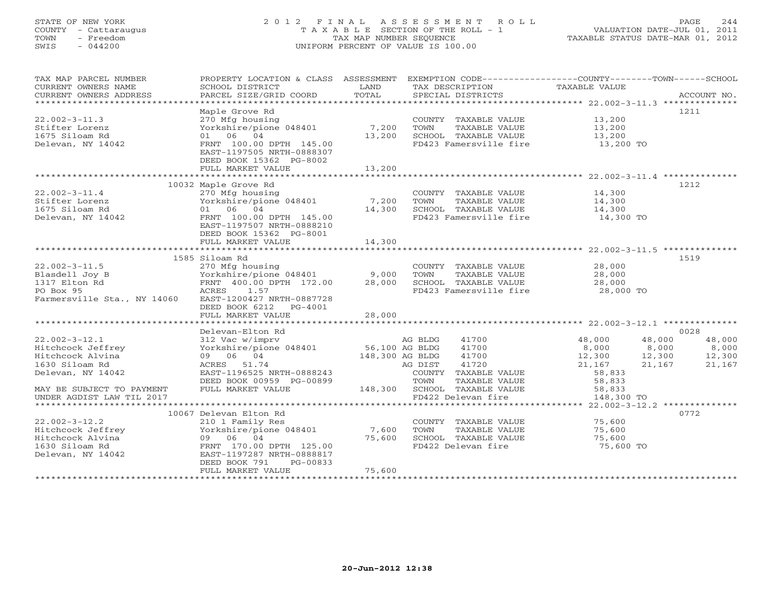# STATE OF NEW YORK 2 0 1 2 F I N A L A S S E S S M E N T R O L L PAGE 244 COUNTY - Cattaraugus T A X A B L E SECTION OF THE ROLL - 1 VALUATION DATE-JUL 01, 2011 TOWN - Freedom TAX MAP NUMBER SEQUENCE TAXABLE STATUS DATE-MAR 01, 2012 SWIS - 044200 UNIFORM PERCENT OF VALUE IS 100.00UNIFORM PERCENT OF VALUE IS 100.00

| ********************<br>Maple Grove Rd<br>1211<br>$22.002 - 3 - 11.3$<br>270 Mfg housing<br>COUNTY TAXABLE VALUE<br>13,200<br>Yorkshire/pione 048401<br>Stifter Lorenz<br>7,200<br>TOWN<br>TAXABLE VALUE<br>13,200<br>1675 Siloam Rd<br>01 06 04<br>13,200<br>SCHOOL TAXABLE VALUE<br>13,200<br>FD423 Famersville fire<br>Delevan, NY 14042<br>FRNT 100.00 DPTH 145.00<br>13,200 TO<br>EAST-1197505 NRTH-0888307<br>DEED BOOK 15362 PG-8002<br>FULL MARKET VALUE<br>13,200<br>***********************<br>*************<br>10032 Maple Grove Rd<br>1212<br>$22.002 - 3 - 11.4$<br>14,300<br>270 Mfg housing<br>COUNTY TAXABLE VALUE<br>Yorkshire/pione 048401<br>Stifter Lorenz<br>7,200<br>TOWN<br>TAXABLE VALUE<br>14,300<br>1675 Siloam Rd<br>01 06<br>04<br>14,300<br>SCHOOL TAXABLE VALUE<br>14,300<br>Delevan, NY 14042<br>FD423 Famersville fire<br>FRNT 100.00 DPTH 145.00<br>14,300 TO<br>EAST-1197507 NRTH-0888210<br>DEED BOOK 15362 PG-8001<br>FULL MARKET VALUE<br>14,300<br>1585 Siloam Rd<br>1519<br>$22.002 - 3 - 11.5$<br>270 Mfg housing<br>28,000<br>COUNTY TAXABLE VALUE<br>Blasdell Joy B<br>Yorkshire/pione 048401<br>9,000<br>TAXABLE VALUE<br>28,000<br>TOWN<br>1317 Elton Rd<br>FRNT 400.00 DPTH 172.00<br>SCHOOL TAXABLE VALUE<br>28,000<br>28,000<br>PO Box 95<br>FD423 Famersville fire<br>28,000 TO<br>ACRES<br>1.57<br>Farmersville Sta., NY 14060<br>EAST-1200427 NRTH-0887728<br>DEED BOOK 6212<br>PG-4001<br>28,000<br>FULL MARKET VALUE<br>0028<br>Delevan-Elton Rd<br>$22.002 - 3 - 12.1$<br>41700<br>48,000<br>48,000<br>48,000<br>312 Vac w/imprv<br>AG BLDG<br>8,000<br>8,000<br>8,000<br>Hitchcock Jeffrey<br>Yorkshire/pione 048401<br>56,100 AG BLDG<br>41700<br>Hitchcock Alvina<br>09 06 04<br>148,300 AG BLDG<br>41700<br>12,300<br>12,300<br>12,300<br>1630 Siloam Rd<br>41720<br>21,167<br>ACRES 51.74<br>AG DIST<br>21,167<br>21,167<br>EAST-1196525 NRTH-0888243<br>Delevan, NY 14042<br>COUNTY TAXABLE VALUE<br>58,833<br>DEED BOOK 00959 PG-00899<br>TAXABLE VALUE<br>58,833<br>TOWN<br>FULL MARKET VALUE<br>148,300<br>MAY BE SUBJECT TO PAYMENT<br>SCHOOL TAXABLE VALUE<br>58,833<br>UNDER AGDIST LAW TIL 2017<br>FD422 Delevan fire<br>148,300 TO<br>$22.002 - 3 - 12.2$ **************<br>0772<br>10067 Delevan Elton Rd<br>$22.002 - 3 - 12.2$<br>210 1 Family Res<br>75,600<br>COUNTY TAXABLE VALUE<br>7,600<br>Hitchcock Jeffrey<br>Yorkshire/pione 048401<br>TOWN<br>TAXABLE VALUE<br>75,600<br>Hitchcock Alvina<br>09 06 04<br>75,600<br>SCHOOL TAXABLE VALUE<br>75,600<br>FRNT 170.00 DPTH 125.00<br>FD422 Delevan fire<br>75,600 TO<br>1630 Siloam Rd<br>EAST-1197287 NRTH-0888817<br>Delevan, NY 14042<br>DEED BOOK 791<br>PG-00833<br>FULL MARKET VALUE<br>75,600 | TAX MAP PARCEL NUMBER<br>CURRENT OWNERS NAME<br>CURRENT OWNERS ADDRESS | PROPERTY LOCATION & CLASS ASSESSMENT<br>SCHOOL DISTRICT<br>PARCEL SIZE/GRID COORD | LAND<br>TOTAL | EXEMPTION CODE-----------------COUNTY-------TOWN------SCHOOL<br>TAX DESCRIPTION<br>SPECIAL DISTRICTS | TAXABLE VALUE | ACCOUNT NO. |
|---------------------------------------------------------------------------------------------------------------------------------------------------------------------------------------------------------------------------------------------------------------------------------------------------------------------------------------------------------------------------------------------------------------------------------------------------------------------------------------------------------------------------------------------------------------------------------------------------------------------------------------------------------------------------------------------------------------------------------------------------------------------------------------------------------------------------------------------------------------------------------------------------------------------------------------------------------------------------------------------------------------------------------------------------------------------------------------------------------------------------------------------------------------------------------------------------------------------------------------------------------------------------------------------------------------------------------------------------------------------------------------------------------------------------------------------------------------------------------------------------------------------------------------------------------------------------------------------------------------------------------------------------------------------------------------------------------------------------------------------------------------------------------------------------------------------------------------------------------------------------------------------------------------------------------------------------------------------------------------------------------------------------------------------------------------------------------------------------------------------------------------------------------------------------------------------------------------------------------------------------------------------------------------------------------------------------------------------------------------------------------------------------------------------------------------------------------------------------------------------------------------------------------------------------------------------------------------------------------------------------------------------------------------------------------------------------------------------------------|------------------------------------------------------------------------|-----------------------------------------------------------------------------------|---------------|------------------------------------------------------------------------------------------------------|---------------|-------------|
|                                                                                                                                                                                                                                                                                                                                                                                                                                                                                                                                                                                                                                                                                                                                                                                                                                                                                                                                                                                                                                                                                                                                                                                                                                                                                                                                                                                                                                                                                                                                                                                                                                                                                                                                                                                                                                                                                                                                                                                                                                                                                                                                                                                                                                                                                                                                                                                                                                                                                                                                                                                                                                                                                                                                 |                                                                        |                                                                                   |               |                                                                                                      |               |             |
|                                                                                                                                                                                                                                                                                                                                                                                                                                                                                                                                                                                                                                                                                                                                                                                                                                                                                                                                                                                                                                                                                                                                                                                                                                                                                                                                                                                                                                                                                                                                                                                                                                                                                                                                                                                                                                                                                                                                                                                                                                                                                                                                                                                                                                                                                                                                                                                                                                                                                                                                                                                                                                                                                                                                 |                                                                        |                                                                                   |               |                                                                                                      |               |             |
|                                                                                                                                                                                                                                                                                                                                                                                                                                                                                                                                                                                                                                                                                                                                                                                                                                                                                                                                                                                                                                                                                                                                                                                                                                                                                                                                                                                                                                                                                                                                                                                                                                                                                                                                                                                                                                                                                                                                                                                                                                                                                                                                                                                                                                                                                                                                                                                                                                                                                                                                                                                                                                                                                                                                 |                                                                        |                                                                                   |               |                                                                                                      |               |             |
|                                                                                                                                                                                                                                                                                                                                                                                                                                                                                                                                                                                                                                                                                                                                                                                                                                                                                                                                                                                                                                                                                                                                                                                                                                                                                                                                                                                                                                                                                                                                                                                                                                                                                                                                                                                                                                                                                                                                                                                                                                                                                                                                                                                                                                                                                                                                                                                                                                                                                                                                                                                                                                                                                                                                 |                                                                        |                                                                                   |               |                                                                                                      |               |             |
|                                                                                                                                                                                                                                                                                                                                                                                                                                                                                                                                                                                                                                                                                                                                                                                                                                                                                                                                                                                                                                                                                                                                                                                                                                                                                                                                                                                                                                                                                                                                                                                                                                                                                                                                                                                                                                                                                                                                                                                                                                                                                                                                                                                                                                                                                                                                                                                                                                                                                                                                                                                                                                                                                                                                 |                                                                        |                                                                                   |               |                                                                                                      |               |             |
|                                                                                                                                                                                                                                                                                                                                                                                                                                                                                                                                                                                                                                                                                                                                                                                                                                                                                                                                                                                                                                                                                                                                                                                                                                                                                                                                                                                                                                                                                                                                                                                                                                                                                                                                                                                                                                                                                                                                                                                                                                                                                                                                                                                                                                                                                                                                                                                                                                                                                                                                                                                                                                                                                                                                 |                                                                        |                                                                                   |               |                                                                                                      |               |             |
|                                                                                                                                                                                                                                                                                                                                                                                                                                                                                                                                                                                                                                                                                                                                                                                                                                                                                                                                                                                                                                                                                                                                                                                                                                                                                                                                                                                                                                                                                                                                                                                                                                                                                                                                                                                                                                                                                                                                                                                                                                                                                                                                                                                                                                                                                                                                                                                                                                                                                                                                                                                                                                                                                                                                 |                                                                        |                                                                                   |               |                                                                                                      |               |             |
|                                                                                                                                                                                                                                                                                                                                                                                                                                                                                                                                                                                                                                                                                                                                                                                                                                                                                                                                                                                                                                                                                                                                                                                                                                                                                                                                                                                                                                                                                                                                                                                                                                                                                                                                                                                                                                                                                                                                                                                                                                                                                                                                                                                                                                                                                                                                                                                                                                                                                                                                                                                                                                                                                                                                 |                                                                        |                                                                                   |               |                                                                                                      |               |             |
|                                                                                                                                                                                                                                                                                                                                                                                                                                                                                                                                                                                                                                                                                                                                                                                                                                                                                                                                                                                                                                                                                                                                                                                                                                                                                                                                                                                                                                                                                                                                                                                                                                                                                                                                                                                                                                                                                                                                                                                                                                                                                                                                                                                                                                                                                                                                                                                                                                                                                                                                                                                                                                                                                                                                 |                                                                        |                                                                                   |               |                                                                                                      |               |             |
|                                                                                                                                                                                                                                                                                                                                                                                                                                                                                                                                                                                                                                                                                                                                                                                                                                                                                                                                                                                                                                                                                                                                                                                                                                                                                                                                                                                                                                                                                                                                                                                                                                                                                                                                                                                                                                                                                                                                                                                                                                                                                                                                                                                                                                                                                                                                                                                                                                                                                                                                                                                                                                                                                                                                 |                                                                        |                                                                                   |               |                                                                                                      |               |             |
|                                                                                                                                                                                                                                                                                                                                                                                                                                                                                                                                                                                                                                                                                                                                                                                                                                                                                                                                                                                                                                                                                                                                                                                                                                                                                                                                                                                                                                                                                                                                                                                                                                                                                                                                                                                                                                                                                                                                                                                                                                                                                                                                                                                                                                                                                                                                                                                                                                                                                                                                                                                                                                                                                                                                 |                                                                        |                                                                                   |               |                                                                                                      |               |             |
|                                                                                                                                                                                                                                                                                                                                                                                                                                                                                                                                                                                                                                                                                                                                                                                                                                                                                                                                                                                                                                                                                                                                                                                                                                                                                                                                                                                                                                                                                                                                                                                                                                                                                                                                                                                                                                                                                                                                                                                                                                                                                                                                                                                                                                                                                                                                                                                                                                                                                                                                                                                                                                                                                                                                 |                                                                        |                                                                                   |               |                                                                                                      |               |             |
|                                                                                                                                                                                                                                                                                                                                                                                                                                                                                                                                                                                                                                                                                                                                                                                                                                                                                                                                                                                                                                                                                                                                                                                                                                                                                                                                                                                                                                                                                                                                                                                                                                                                                                                                                                                                                                                                                                                                                                                                                                                                                                                                                                                                                                                                                                                                                                                                                                                                                                                                                                                                                                                                                                                                 |                                                                        |                                                                                   |               |                                                                                                      |               |             |
|                                                                                                                                                                                                                                                                                                                                                                                                                                                                                                                                                                                                                                                                                                                                                                                                                                                                                                                                                                                                                                                                                                                                                                                                                                                                                                                                                                                                                                                                                                                                                                                                                                                                                                                                                                                                                                                                                                                                                                                                                                                                                                                                                                                                                                                                                                                                                                                                                                                                                                                                                                                                                                                                                                                                 |                                                                        |                                                                                   |               |                                                                                                      |               |             |
|                                                                                                                                                                                                                                                                                                                                                                                                                                                                                                                                                                                                                                                                                                                                                                                                                                                                                                                                                                                                                                                                                                                                                                                                                                                                                                                                                                                                                                                                                                                                                                                                                                                                                                                                                                                                                                                                                                                                                                                                                                                                                                                                                                                                                                                                                                                                                                                                                                                                                                                                                                                                                                                                                                                                 |                                                                        |                                                                                   |               |                                                                                                      |               |             |
|                                                                                                                                                                                                                                                                                                                                                                                                                                                                                                                                                                                                                                                                                                                                                                                                                                                                                                                                                                                                                                                                                                                                                                                                                                                                                                                                                                                                                                                                                                                                                                                                                                                                                                                                                                                                                                                                                                                                                                                                                                                                                                                                                                                                                                                                                                                                                                                                                                                                                                                                                                                                                                                                                                                                 |                                                                        |                                                                                   |               |                                                                                                      |               |             |
|                                                                                                                                                                                                                                                                                                                                                                                                                                                                                                                                                                                                                                                                                                                                                                                                                                                                                                                                                                                                                                                                                                                                                                                                                                                                                                                                                                                                                                                                                                                                                                                                                                                                                                                                                                                                                                                                                                                                                                                                                                                                                                                                                                                                                                                                                                                                                                                                                                                                                                                                                                                                                                                                                                                                 |                                                                        |                                                                                   |               |                                                                                                      |               |             |
|                                                                                                                                                                                                                                                                                                                                                                                                                                                                                                                                                                                                                                                                                                                                                                                                                                                                                                                                                                                                                                                                                                                                                                                                                                                                                                                                                                                                                                                                                                                                                                                                                                                                                                                                                                                                                                                                                                                                                                                                                                                                                                                                                                                                                                                                                                                                                                                                                                                                                                                                                                                                                                                                                                                                 |                                                                        |                                                                                   |               |                                                                                                      |               |             |
|                                                                                                                                                                                                                                                                                                                                                                                                                                                                                                                                                                                                                                                                                                                                                                                                                                                                                                                                                                                                                                                                                                                                                                                                                                                                                                                                                                                                                                                                                                                                                                                                                                                                                                                                                                                                                                                                                                                                                                                                                                                                                                                                                                                                                                                                                                                                                                                                                                                                                                                                                                                                                                                                                                                                 |                                                                        |                                                                                   |               |                                                                                                      |               |             |
|                                                                                                                                                                                                                                                                                                                                                                                                                                                                                                                                                                                                                                                                                                                                                                                                                                                                                                                                                                                                                                                                                                                                                                                                                                                                                                                                                                                                                                                                                                                                                                                                                                                                                                                                                                                                                                                                                                                                                                                                                                                                                                                                                                                                                                                                                                                                                                                                                                                                                                                                                                                                                                                                                                                                 |                                                                        |                                                                                   |               |                                                                                                      |               |             |
|                                                                                                                                                                                                                                                                                                                                                                                                                                                                                                                                                                                                                                                                                                                                                                                                                                                                                                                                                                                                                                                                                                                                                                                                                                                                                                                                                                                                                                                                                                                                                                                                                                                                                                                                                                                                                                                                                                                                                                                                                                                                                                                                                                                                                                                                                                                                                                                                                                                                                                                                                                                                                                                                                                                                 |                                                                        |                                                                                   |               |                                                                                                      |               |             |
|                                                                                                                                                                                                                                                                                                                                                                                                                                                                                                                                                                                                                                                                                                                                                                                                                                                                                                                                                                                                                                                                                                                                                                                                                                                                                                                                                                                                                                                                                                                                                                                                                                                                                                                                                                                                                                                                                                                                                                                                                                                                                                                                                                                                                                                                                                                                                                                                                                                                                                                                                                                                                                                                                                                                 |                                                                        |                                                                                   |               |                                                                                                      |               |             |
|                                                                                                                                                                                                                                                                                                                                                                                                                                                                                                                                                                                                                                                                                                                                                                                                                                                                                                                                                                                                                                                                                                                                                                                                                                                                                                                                                                                                                                                                                                                                                                                                                                                                                                                                                                                                                                                                                                                                                                                                                                                                                                                                                                                                                                                                                                                                                                                                                                                                                                                                                                                                                                                                                                                                 |                                                                        |                                                                                   |               |                                                                                                      |               |             |
|                                                                                                                                                                                                                                                                                                                                                                                                                                                                                                                                                                                                                                                                                                                                                                                                                                                                                                                                                                                                                                                                                                                                                                                                                                                                                                                                                                                                                                                                                                                                                                                                                                                                                                                                                                                                                                                                                                                                                                                                                                                                                                                                                                                                                                                                                                                                                                                                                                                                                                                                                                                                                                                                                                                                 |                                                                        |                                                                                   |               |                                                                                                      |               |             |
|                                                                                                                                                                                                                                                                                                                                                                                                                                                                                                                                                                                                                                                                                                                                                                                                                                                                                                                                                                                                                                                                                                                                                                                                                                                                                                                                                                                                                                                                                                                                                                                                                                                                                                                                                                                                                                                                                                                                                                                                                                                                                                                                                                                                                                                                                                                                                                                                                                                                                                                                                                                                                                                                                                                                 |                                                                        |                                                                                   |               |                                                                                                      |               |             |
|                                                                                                                                                                                                                                                                                                                                                                                                                                                                                                                                                                                                                                                                                                                                                                                                                                                                                                                                                                                                                                                                                                                                                                                                                                                                                                                                                                                                                                                                                                                                                                                                                                                                                                                                                                                                                                                                                                                                                                                                                                                                                                                                                                                                                                                                                                                                                                                                                                                                                                                                                                                                                                                                                                                                 |                                                                        |                                                                                   |               |                                                                                                      |               |             |
|                                                                                                                                                                                                                                                                                                                                                                                                                                                                                                                                                                                                                                                                                                                                                                                                                                                                                                                                                                                                                                                                                                                                                                                                                                                                                                                                                                                                                                                                                                                                                                                                                                                                                                                                                                                                                                                                                                                                                                                                                                                                                                                                                                                                                                                                                                                                                                                                                                                                                                                                                                                                                                                                                                                                 |                                                                        |                                                                                   |               |                                                                                                      |               |             |
|                                                                                                                                                                                                                                                                                                                                                                                                                                                                                                                                                                                                                                                                                                                                                                                                                                                                                                                                                                                                                                                                                                                                                                                                                                                                                                                                                                                                                                                                                                                                                                                                                                                                                                                                                                                                                                                                                                                                                                                                                                                                                                                                                                                                                                                                                                                                                                                                                                                                                                                                                                                                                                                                                                                                 |                                                                        |                                                                                   |               |                                                                                                      |               |             |
|                                                                                                                                                                                                                                                                                                                                                                                                                                                                                                                                                                                                                                                                                                                                                                                                                                                                                                                                                                                                                                                                                                                                                                                                                                                                                                                                                                                                                                                                                                                                                                                                                                                                                                                                                                                                                                                                                                                                                                                                                                                                                                                                                                                                                                                                                                                                                                                                                                                                                                                                                                                                                                                                                                                                 |                                                                        |                                                                                   |               |                                                                                                      |               |             |
|                                                                                                                                                                                                                                                                                                                                                                                                                                                                                                                                                                                                                                                                                                                                                                                                                                                                                                                                                                                                                                                                                                                                                                                                                                                                                                                                                                                                                                                                                                                                                                                                                                                                                                                                                                                                                                                                                                                                                                                                                                                                                                                                                                                                                                                                                                                                                                                                                                                                                                                                                                                                                                                                                                                                 |                                                                        |                                                                                   |               |                                                                                                      |               |             |
|                                                                                                                                                                                                                                                                                                                                                                                                                                                                                                                                                                                                                                                                                                                                                                                                                                                                                                                                                                                                                                                                                                                                                                                                                                                                                                                                                                                                                                                                                                                                                                                                                                                                                                                                                                                                                                                                                                                                                                                                                                                                                                                                                                                                                                                                                                                                                                                                                                                                                                                                                                                                                                                                                                                                 |                                                                        |                                                                                   |               |                                                                                                      |               |             |
|                                                                                                                                                                                                                                                                                                                                                                                                                                                                                                                                                                                                                                                                                                                                                                                                                                                                                                                                                                                                                                                                                                                                                                                                                                                                                                                                                                                                                                                                                                                                                                                                                                                                                                                                                                                                                                                                                                                                                                                                                                                                                                                                                                                                                                                                                                                                                                                                                                                                                                                                                                                                                                                                                                                                 |                                                                        |                                                                                   |               |                                                                                                      |               |             |
|                                                                                                                                                                                                                                                                                                                                                                                                                                                                                                                                                                                                                                                                                                                                                                                                                                                                                                                                                                                                                                                                                                                                                                                                                                                                                                                                                                                                                                                                                                                                                                                                                                                                                                                                                                                                                                                                                                                                                                                                                                                                                                                                                                                                                                                                                                                                                                                                                                                                                                                                                                                                                                                                                                                                 |                                                                        |                                                                                   |               |                                                                                                      |               |             |
|                                                                                                                                                                                                                                                                                                                                                                                                                                                                                                                                                                                                                                                                                                                                                                                                                                                                                                                                                                                                                                                                                                                                                                                                                                                                                                                                                                                                                                                                                                                                                                                                                                                                                                                                                                                                                                                                                                                                                                                                                                                                                                                                                                                                                                                                                                                                                                                                                                                                                                                                                                                                                                                                                                                                 |                                                                        |                                                                                   |               |                                                                                                      |               |             |
|                                                                                                                                                                                                                                                                                                                                                                                                                                                                                                                                                                                                                                                                                                                                                                                                                                                                                                                                                                                                                                                                                                                                                                                                                                                                                                                                                                                                                                                                                                                                                                                                                                                                                                                                                                                                                                                                                                                                                                                                                                                                                                                                                                                                                                                                                                                                                                                                                                                                                                                                                                                                                                                                                                                                 |                                                                        |                                                                                   |               |                                                                                                      |               |             |
|                                                                                                                                                                                                                                                                                                                                                                                                                                                                                                                                                                                                                                                                                                                                                                                                                                                                                                                                                                                                                                                                                                                                                                                                                                                                                                                                                                                                                                                                                                                                                                                                                                                                                                                                                                                                                                                                                                                                                                                                                                                                                                                                                                                                                                                                                                                                                                                                                                                                                                                                                                                                                                                                                                                                 |                                                                        |                                                                                   |               |                                                                                                      |               |             |
|                                                                                                                                                                                                                                                                                                                                                                                                                                                                                                                                                                                                                                                                                                                                                                                                                                                                                                                                                                                                                                                                                                                                                                                                                                                                                                                                                                                                                                                                                                                                                                                                                                                                                                                                                                                                                                                                                                                                                                                                                                                                                                                                                                                                                                                                                                                                                                                                                                                                                                                                                                                                                                                                                                                                 |                                                                        |                                                                                   |               |                                                                                                      |               |             |
|                                                                                                                                                                                                                                                                                                                                                                                                                                                                                                                                                                                                                                                                                                                                                                                                                                                                                                                                                                                                                                                                                                                                                                                                                                                                                                                                                                                                                                                                                                                                                                                                                                                                                                                                                                                                                                                                                                                                                                                                                                                                                                                                                                                                                                                                                                                                                                                                                                                                                                                                                                                                                                                                                                                                 |                                                                        |                                                                                   |               |                                                                                                      |               |             |
|                                                                                                                                                                                                                                                                                                                                                                                                                                                                                                                                                                                                                                                                                                                                                                                                                                                                                                                                                                                                                                                                                                                                                                                                                                                                                                                                                                                                                                                                                                                                                                                                                                                                                                                                                                                                                                                                                                                                                                                                                                                                                                                                                                                                                                                                                                                                                                                                                                                                                                                                                                                                                                                                                                                                 |                                                                        |                                                                                   |               |                                                                                                      |               |             |
|                                                                                                                                                                                                                                                                                                                                                                                                                                                                                                                                                                                                                                                                                                                                                                                                                                                                                                                                                                                                                                                                                                                                                                                                                                                                                                                                                                                                                                                                                                                                                                                                                                                                                                                                                                                                                                                                                                                                                                                                                                                                                                                                                                                                                                                                                                                                                                                                                                                                                                                                                                                                                                                                                                                                 |                                                                        |                                                                                   |               |                                                                                                      |               |             |
|                                                                                                                                                                                                                                                                                                                                                                                                                                                                                                                                                                                                                                                                                                                                                                                                                                                                                                                                                                                                                                                                                                                                                                                                                                                                                                                                                                                                                                                                                                                                                                                                                                                                                                                                                                                                                                                                                                                                                                                                                                                                                                                                                                                                                                                                                                                                                                                                                                                                                                                                                                                                                                                                                                                                 |                                                                        |                                                                                   |               |                                                                                                      |               |             |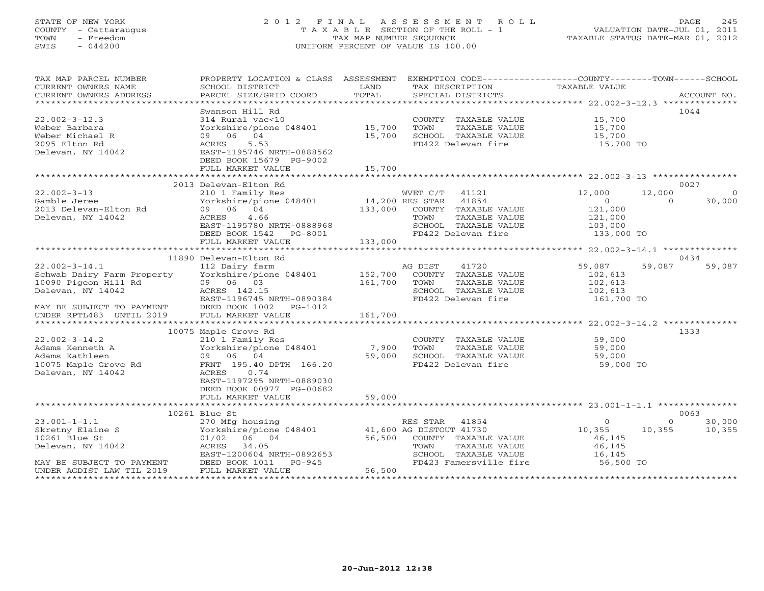# STATE OF NEW YORK 2 0 1 2 F I N A L A S S E S S M E N T R O L L PAGE 245 COUNTY - Cattaraugus T A X A B L E SECTION OF THE ROLL - 1 VALUATION DATE-JUL 01, 2011 TOWN - Freedom TAX MAP NUMBER SEQUENCE TAXABLE STATUS DATE-MAR 01, 2012 SWIS - 044200 UNIFORM PERCENT OF VALUE IS 100.00UNIFORM PERCENT OF VALUE IS 100.00

| TAX MAP PARCEL NUMBER<br>CURRENT OWNERS NAME<br>CURRENT OWNERS ADDRESS | PROPERTY LOCATION & CLASS ASSESSMENT<br>SCHOOL DISTRICT<br>PARCEL SIZE/GRID COORD | LAND<br>TOTAL   | TAX DESCRIPTION<br>SPECIAL DISTRICTS       | EXEMPTION CODE-----------------COUNTY-------TOWN------SCHOOL<br>TAXABLE VALUE | ACCOUNT NO. |
|------------------------------------------------------------------------|-----------------------------------------------------------------------------------|-----------------|--------------------------------------------|-------------------------------------------------------------------------------|-------------|
|                                                                        |                                                                                   |                 |                                            |                                                                               |             |
| $22.002 - 3 - 12.3$                                                    | Swanson Hill Rd<br>314 Rural vac<10                                               |                 | COUNTY TAXABLE VALUE                       | 15,700                                                                        | 1044        |
| Weber Barbara                                                          | Yorkshire/pione 048401                                                            | 15,700          | TOWN<br>TAXABLE VALUE                      | 15,700                                                                        |             |
| Weber Michael R<br>2095 Elton Rd                                       | 09 06 04<br>ACRES<br>5.53                                                         | 15,700          | SCHOOL TAXABLE VALUE<br>FD422 Delevan fire | 15,700                                                                        |             |
| Delevan, NY 14042                                                      | EAST-1195746 NRTH-0888562<br>DEED BOOK 15679 PG-9002                              |                 |                                            | 15,700 TO                                                                     |             |
|                                                                        | FULL MARKET VALUE                                                                 | 15,700          |                                            |                                                                               |             |
|                                                                        |                                                                                   |                 |                                            |                                                                               |             |
|                                                                        | 2013 Delevan-Elton Rd                                                             |                 |                                            |                                                                               | 0027        |
| $22.002 - 3 - 13$                                                      | 210 1 Family Res                                                                  |                 | WVET C/T 41121                             | 12,000<br>12,000                                                              | $\circ$     |
| Gamble Jeree                                                           | Yorkshire/pione 048401                                                            | 14,200 RES STAR | 41854                                      | $\Omega$<br>$\Omega$                                                          | 30,000      |
| 2013 Delevan-Elton Rd                                                  | 09 06 04                                                                          | 133,000         | COUNTY TAXABLE VALUE                       | 121,000                                                                       |             |
| Delevan, NY 14042                                                      | ACRES<br>4.66                                                                     |                 | TOWN<br>TAXABLE VALUE                      | 121,000                                                                       |             |
|                                                                        | EAST-1195780 NRTH-0888968                                                         |                 | SCHOOL TAXABLE VALUE                       | 103,000                                                                       |             |
|                                                                        | DEED BOOK 1542 PG-8001                                                            |                 | FD422 Delevan fire                         | 133,000 TO                                                                    |             |
|                                                                        | FULL MARKET VALUE                                                                 | 133,000         |                                            |                                                                               |             |
|                                                                        | 11890 Delevan-Elton Rd                                                            |                 |                                            |                                                                               | 0434        |
| $22.002 - 3 - 14.1$                                                    | 112 Dairy farm                                                                    |                 | AG DIST<br>41720                           | 59,087<br>59,087                                                              | 59,087      |
| Schwab Dairy Farm Property                                             | Yorkshire/pione 048401                                                            | 152,700         | COUNTY TAXABLE VALUE                       | 102,613                                                                       |             |
| 10090 Pigeon Hill Rd                                                   | 09 06 03                                                                          | 161,700         | TOWN<br>TAXABLE VALUE                      | 102,613                                                                       |             |
| Delevan, NY 14042                                                      | ACRES 142.15                                                                      |                 | SCHOOL TAXABLE VALUE                       | 102,613                                                                       |             |
|                                                                        | EAST-1196745 NRTH-0890384                                                         |                 | FD422 Delevan fire                         | 161,700 TO                                                                    |             |
| MAY BE SUBJECT TO PAYMENT                                              | DEED BOOK 1002 PG-1012                                                            |                 |                                            |                                                                               |             |
| UNDER RPTL483 UNTIL 2019                                               | FULL MARKET VALUE                                                                 | 161,700         |                                            |                                                                               |             |
|                                                                        |                                                                                   |                 |                                            |                                                                               |             |
|                                                                        | 10075 Maple Grove Rd                                                              |                 |                                            |                                                                               | 1333        |
| $22.002 - 3 - 14.2$                                                    | 210 1 Family Res                                                                  |                 | COUNTY TAXABLE VALUE                       | 59,000                                                                        |             |
| Adams Kenneth A                                                        | Yorkshire/pione 048401                                                            | 7,900           | TOWN<br>TAXABLE VALUE                      | 59,000                                                                        |             |
| Adams Kathleen                                                         | 09 06 04                                                                          | 59,000          | SCHOOL TAXABLE VALUE                       | 59,000                                                                        |             |
| 10075 Maple Grove Rd                                                   | FRNT 195.40 DPTH 166.20                                                           |                 | FD422 Delevan fire                         | 59,000 TO                                                                     |             |
| Delevan, NY 14042                                                      | 0.74<br>ACRES                                                                     |                 |                                            |                                                                               |             |
|                                                                        | EAST-1197295 NRTH-0889030                                                         |                 |                                            |                                                                               |             |
|                                                                        | DEED BOOK 00977 PG-00682                                                          |                 |                                            |                                                                               |             |
|                                                                        | FULL MARKET VALUE                                                                 | 59,000          |                                            |                                                                               |             |
|                                                                        |                                                                                   |                 |                                            |                                                                               |             |
|                                                                        | 10261 Blue St                                                                     |                 |                                            |                                                                               | 0063        |
| $23.001 - 1 - 1.1$                                                     | 270 Mfg housing                                                                   |                 | RES STAR 41854                             | $\circ$<br>$\Omega$                                                           | 30,000      |
| Skretny Elaine S                                                       | Yorkshire/pione 048401                                                            |                 | 41,600 AG DISTOUT 41730                    | 10,355<br>10,355                                                              | 10,355      |
| 10261 Blue St                                                          | 01/02 06 04                                                                       | 56,500          | COUNTY TAXABLE VALUE                       | 46,145                                                                        |             |
| Delevan, NY 14042                                                      | ACRES 34.05                                                                       |                 | TOWN<br>TAXABLE VALUE                      | 46,145                                                                        |             |
|                                                                        | EAST-1200604 NRTH-0892653                                                         |                 | SCHOOL TAXABLE VALUE                       | 16,145                                                                        |             |
| MAY BE SUBJECT TO PAYMENT                                              | DEED BOOK 1011<br>FULL MARKET VA<br>PG-945                                        |                 | FD423 Famersville fire                     | 56,500 TO                                                                     |             |
| UNDER AGDIST LAW TIL 2019                                              | FULL MARKET VALUE                                                                 | 56,500          |                                            |                                                                               |             |
|                                                                        |                                                                                   |                 |                                            |                                                                               |             |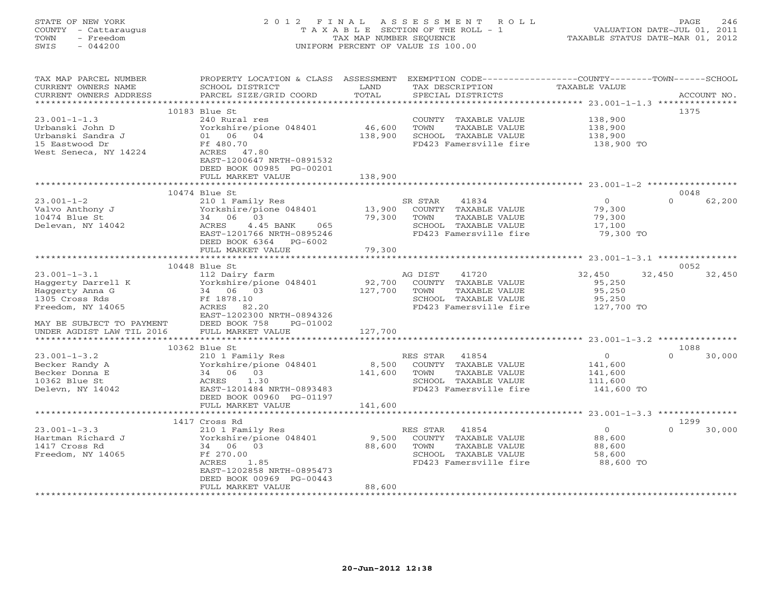# STATE OF NEW YORK 2 0 1 2 F I N A L A S S E S S M E N T R O L L PAGE 246 COUNTY - Cattaraugus T A X A B L E SECTION OF THE ROLL - 1 VALUATION DATE-JUL 01, 2011 TOWN - Freedom TAX MAP NUMBER SEQUENCE TAXABLE STATUS DATE-MAR 01, 2012 SWIS - 044200 UNIFORM PERCENT OF VALUE IS 100.00UNIFORM PERCENT OF VALUE IS 100.00

| TAX MAP PARCEL NUMBER<br>CURRENT OWNERS NAME<br>CURRENT OWNERS ADDRESS    | PROPERTY LOCATION & CLASS ASSESSMENT<br>SCHOOL DISTRICT<br>PARCEL SIZE/GRID COORD                                | LAND<br>TOTAL     |                 | TAX DESCRIPTION<br>SPECIAL DISTRICTS                                                             | EXEMPTION CODE-----------------COUNTY-------TOWN------SCHOOL<br>TAXABLE VALUE |          | ACCOUNT NO. |
|---------------------------------------------------------------------------|------------------------------------------------------------------------------------------------------------------|-------------------|-----------------|--------------------------------------------------------------------------------------------------|-------------------------------------------------------------------------------|----------|-------------|
|                                                                           | 10183 Blue St                                                                                                    |                   |                 |                                                                                                  |                                                                               |          | 1375        |
| $23.001 - 1 - 1.3$<br>Urbanski John D<br>Urbanski Sandra J                | 240 Rural res<br>Yorkshire/pione 048401<br>01 06 04                                                              | 46,600<br>138,900 | TOWN            | COUNTY TAXABLE VALUE<br>TAXABLE VALUE<br>SCHOOL TAXABLE VALUE                                    | 138,900<br>138,900<br>138,900                                                 |          |             |
| 15 Eastwood Dr<br>West Seneca, NY 14224                                   | Ff 480.70<br>ACRES 47.80<br>EAST-1200647 NRTH-0891532<br>DEED BOOK 00985 PG-00201<br>FULL MARKET VALUE           | 138,900           |                 | FD423 Famersville fire                                                                           | 138,900 TO                                                                    |          |             |
|                                                                           |                                                                                                                  |                   |                 |                                                                                                  |                                                                               |          |             |
|                                                                           | 10474 Blue St                                                                                                    |                   |                 |                                                                                                  |                                                                               |          | 0048        |
| $23.001 - 1 - 2$<br>Valvo Anthony J<br>10474 Blue St<br>Delevan, NY 14042 | 210 1 Family Res<br>Yorkshire/pione 048401<br>34 06 03<br>4.45 BANK<br>ACRES<br>065<br>EAST-1201766 NRTH-0895246 | 13,900<br>79,300  | SR STAR<br>TOWN | 41834<br>COUNTY TAXABLE VALUE<br>TAXABLE VALUE<br>SCHOOL TAXABLE VALUE<br>FD423 Famersville fire | $\Omega$<br>79,300<br>79,300<br>17,100<br>79,300 TO                           | $\Omega$ | 62,200      |
|                                                                           | DEED BOOK 6364 PG-6002                                                                                           |                   |                 |                                                                                                  |                                                                               |          |             |
|                                                                           | FULL MARKET VALUE                                                                                                | 79,300            |                 |                                                                                                  |                                                                               |          |             |
|                                                                           | 10448 Blue St                                                                                                    |                   |                 |                                                                                                  |                                                                               |          | 0052        |
| $23.001 - 1 - 3.1$                                                        | 112 Dairy farm                                                                                                   |                   | AG DIST         | 41720                                                                                            | 32,450                                                                        | 32,450   | 32,450      |
| Haggerty Darrell K                                                        | Yorkshire/pione 048401                                                                                           | 92,700            |                 | COUNTY TAXABLE VALUE                                                                             | 95,250                                                                        |          |             |
| Haggerty Anna G                                                           | 34 06 03                                                                                                         | 127,700           | TOWN            | TAXABLE VALUE                                                                                    | 95,250                                                                        |          |             |
| 1305 Cross Rds                                                            | Ff 1878.10                                                                                                       |                   |                 | SCHOOL TAXABLE VALUE                                                                             | 95,250                                                                        |          |             |
| Freedom, NY 14065                                                         | ACRES 82.20<br>EAST-1202300 NRTH-0894326                                                                         |                   |                 | FD423 Famersville fire                                                                           | 127,700 TO                                                                    |          |             |
| MAY BE SUBJECT TO PAYMENT                                                 | DEED BOOK 758<br>PG-01002                                                                                        |                   |                 |                                                                                                  |                                                                               |          |             |
| UNDER AGDIST LAW TIL 2016                                                 | FULL MARKET VALUE                                                                                                | 127,700           |                 |                                                                                                  |                                                                               |          |             |
|                                                                           | 10362 Blue St                                                                                                    |                   |                 |                                                                                                  |                                                                               |          | 1088        |
| $23.001 - 1 - 3.2$                                                        | 210 1 Family Res                                                                                                 |                   | RES STAR        | 41854                                                                                            | $\circ$                                                                       | $\Omega$ | 30,000      |
| Becker Randy A                                                            | Yorkshire/pione 048401                                                                                           | 8,500             |                 | COUNTY TAXABLE VALUE                                                                             | 141,600                                                                       |          |             |
| Becker Donna E                                                            | 34 06 03                                                                                                         | 141,600           | TOWN            | TAXABLE VALUE                                                                                    | 141,600                                                                       |          |             |
| 10362 Blue St                                                             | ACRES<br>1.30                                                                                                    |                   |                 | SCHOOL TAXABLE VALUE                                                                             | 111,600                                                                       |          |             |
| Delevn, NY 14042                                                          | EAST-1201484 NRTH-0893483                                                                                        |                   |                 | FD423 Famersville fire                                                                           | 141,600 TO                                                                    |          |             |
|                                                                           | DEED BOOK 00960 PG-01197                                                                                         |                   |                 |                                                                                                  |                                                                               |          |             |
|                                                                           | FULL MARKET VALUE                                                                                                | 141,600           |                 |                                                                                                  |                                                                               |          |             |
|                                                                           | 1417 Cross Rd                                                                                                    |                   |                 |                                                                                                  |                                                                               |          | 1299        |
| $23.001 - 1 - 3.3$                                                        | 210 1 Family Res                                                                                                 |                   | RES STAR        | 41854                                                                                            | $\circ$                                                                       | $\Omega$ | 30,000      |
| Hartman Richard J                                                         | Yorkshire/pione 048401                                                                                           | 9,500             |                 | COUNTY TAXABLE VALUE                                                                             | 88,600                                                                        |          |             |
| 1417 Cross Rd                                                             | 34 06 03                                                                                                         | 88,600            | TOWN            | TAXABLE VALUE                                                                                    | 88,600                                                                        |          |             |
| Freedom, NY 14065                                                         | Ff 270.00                                                                                                        |                   |                 | SCHOOL TAXABLE VALUE                                                                             | 58,600                                                                        |          |             |
|                                                                           | ACRES<br>1.85                                                                                                    |                   |                 | FD423 Famersville fire                                                                           | 88,600 TO                                                                     |          |             |
|                                                                           | EAST-1202858 NRTH-0895473                                                                                        |                   |                 |                                                                                                  |                                                                               |          |             |
|                                                                           | DEED BOOK 00969 PG-00443                                                                                         |                   |                 |                                                                                                  |                                                                               |          |             |
|                                                                           | FULL MARKET VALUE                                                                                                | 88,600            |                 |                                                                                                  |                                                                               |          |             |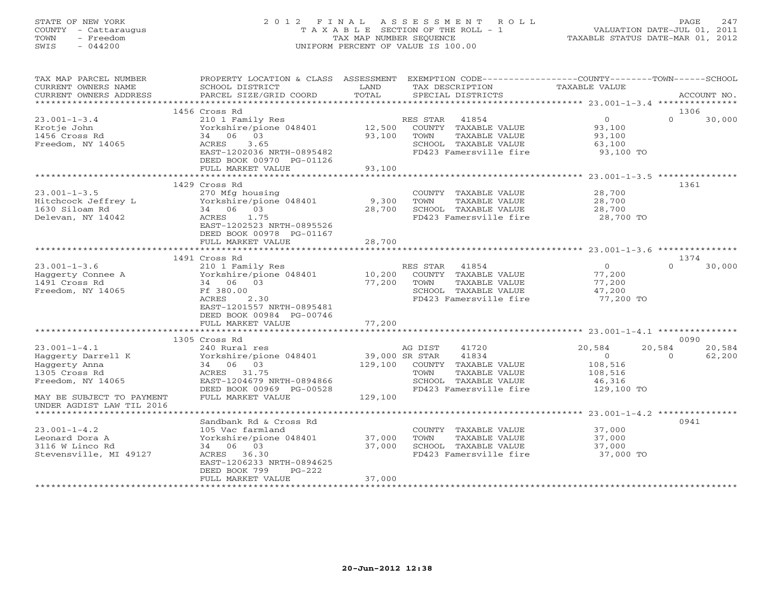# STATE OF NEW YORK 2 0 1 2 F I N A L A S S E S S M E N T R O L L PAGE 247 COUNTY - Cattaraugus T A X A B L E SECTION OF THE ROLL - 1 VALUATION DATE-JUL 01, 2011 TOWN - Freedom TAX MAP NUMBER SEQUENCE TAXABLE STATUS DATE-MAR 01, 2012 SWIS - 044200 UNIFORM PERCENT OF VALUE IS 100.00UNIFORM PERCENT OF VALUE IS 100.00

| TAX MAP PARCEL NUMBER<br>CURRENT OWNERS NAME<br>CURRENT OWNERS ADDRESS           | PROPERTY LOCATION & CLASS ASSESSMENT<br>SCHOOL DISTRICT<br>PARCEL SIZE/GRID COORD                                               | LAND<br>TOTAL    | EXEMPTION CODE-----------------COUNTY--------TOWN------SCHOOL<br>TAX DESCRIPTION<br>SPECIAL DISTRICTS | TAXABLE VALUE                           |          | ACCOUNT NO. |
|----------------------------------------------------------------------------------|---------------------------------------------------------------------------------------------------------------------------------|------------------|-------------------------------------------------------------------------------------------------------|-----------------------------------------|----------|-------------|
| ***********************                                                          |                                                                                                                                 |                  |                                                                                                       |                                         |          |             |
|                                                                                  | 1456 Cross Rd                                                                                                                   |                  |                                                                                                       |                                         | 1306     |             |
| $23.001 - 1 - 3.4$<br>Krotje John<br>1456 Cross Rd                               | 210 1 Family Res<br>Yorkshire/pione 048401<br>34 06 03                                                                          | 12,500<br>93,100 | RES STAR<br>41854<br>COUNTY TAXABLE VALUE<br>TOWN<br>TAXABLE VALUE                                    | $0 \qquad \qquad$<br>93,100<br>93,100   | $\Omega$ | 30,000      |
| Freedom, NY 14065                                                                | 3.65<br>ACRES<br>EAST-1202036 NRTH-0895482<br>DEED BOOK 00970 PG-01126<br>FULL MARKET VALUE                                     | 93,100           | SCHOOL TAXABLE VALUE<br>FD423 Famersville fire                                                        | 63,100<br>93,100 TO                     |          |             |
|                                                                                  | ***********************                                                                                                         |                  |                                                                                                       |                                         |          |             |
|                                                                                  | 1429 Cross Rd                                                                                                                   |                  |                                                                                                       |                                         | 1361     |             |
| $23.001 - 1 - 3.5$<br>Hitchcock Jeffrey L<br>1630 Siloam Rd<br>Delevan, NY 14042 | 270 Mfg housing<br>Yorkshire/pione 048401<br>34 06 03<br>ACRES<br>1.75<br>EAST-1202523 NRTH-0895526<br>DEED BOOK 00978 PG-01167 | 9,300<br>28,700  | COUNTY TAXABLE VALUE<br>TAXABLE VALUE<br>TOWN<br>SCHOOL TAXABLE VALUE<br>FD423 Famersville fire       | 28,700<br>28,700<br>28,700<br>28,700 TO |          |             |
|                                                                                  | FULL MARKET VALUE                                                                                                               | 28,700           |                                                                                                       |                                         |          |             |
|                                                                                  |                                                                                                                                 |                  |                                                                                                       |                                         |          |             |
|                                                                                  | 1491 Cross Rd                                                                                                                   |                  |                                                                                                       |                                         | 1374     |             |
| $23.001 - 1 - 3.6$                                                               | 210 1 Family Res                                                                                                                |                  | RES STAR 41854                                                                                        | $\Omega$                                | $\cap$   | 30,000      |
| Haggerty Connee A                                                                | Yorkshire/pione 048401                                                                                                          | 10,200           | COUNTY TAXABLE VALUE                                                                                  | 77,200                                  |          |             |
| 1491 Cross Rd                                                                    | 34 06 03                                                                                                                        | 77,200           | TOWN<br>TAXABLE VALUE                                                                                 | 77,200                                  |          |             |
| Freedom, NY 14065                                                                | Ff 380.00                                                                                                                       |                  | SCHOOL TAXABLE VALUE                                                                                  | 47,200                                  |          |             |
|                                                                                  | ACRES<br>2.30<br>EAST-1201557 NRTH-0895481                                                                                      |                  | FD423 Famersville fire                                                                                | 77,200 TO                               |          |             |
|                                                                                  | DEED BOOK 00984 PG-00746                                                                                                        |                  |                                                                                                       |                                         |          |             |
|                                                                                  | FULL MARKET VALUE<br>***************************                                                                                | 77,200           |                                                                                                       |                                         |          |             |
|                                                                                  | 1305 Cross Rd                                                                                                                   |                  |                                                                                                       |                                         | 0090     |             |
| $23.001 - 1 - 4.1$                                                               | 240 Rural res                                                                                                                   |                  | AG DIST<br>41720                                                                                      | 20,584                                  | 20,584   | 20,584      |
| Haggerty Darrell K                                                               | Yorkshire/pione 048401                                                                                                          | 39,000 SR STAR   | 41834                                                                                                 | $\Omega$                                | $\Omega$ | 62,200      |
| Haggerty Anna                                                                    | 34 06 03                                                                                                                        | 129,100          | COUNTY TAXABLE VALUE                                                                                  | 108,516                                 |          |             |
| 1305 Cross Rd                                                                    | ACRES 31.75                                                                                                                     |                  | TAXABLE VALUE<br>TOWN                                                                                 | 108,516                                 |          |             |
| Freedom, NY 14065                                                                | EAST-1204679 NRTH-0894866                                                                                                       |                  | SCHOOL TAXABLE VALUE                                                                                  | 46,316                                  |          |             |
|                                                                                  | DEED BOOK 00969 PG-00528                                                                                                        |                  | FD423 Famersville fire                                                                                | 129,100 TO                              |          |             |
| MAY BE SUBJECT TO PAYMENT<br>UNDER AGDIST LAW TIL 2016                           | FULL MARKET VALUE                                                                                                               | 129,100          |                                                                                                       |                                         |          |             |
| *****************************                                                    |                                                                                                                                 |                  |                                                                                                       |                                         |          |             |
|                                                                                  | Sandbank Rd & Cross Rd                                                                                                          |                  |                                                                                                       |                                         | 0941     |             |
| $23.001 - 1 - 4.2$                                                               | 105 Vac farmland                                                                                                                |                  | COUNTY TAXABLE VALUE                                                                                  | 37,000                                  |          |             |
| Leonard Dora A<br>3116 W Linco Rd                                                | Yorkshire/pione 048401 37,000<br>34 06 03                                                                                       | 37,000           | TOWN<br>TAXABLE VALUE<br>SCHOOL TAXABLE VALUE                                                         | 37,000<br>37,000                        |          |             |
| Stevensville, MI 49127                                                           | ACRES 36.30                                                                                                                     |                  | FD423 Famersville fire                                                                                | 37,000 TO                               |          |             |
|                                                                                  | EAST-1206233 NRTH-0894625<br>DEED BOOK 799<br>$PG-222$                                                                          |                  |                                                                                                       |                                         |          |             |
|                                                                                  | FULL MARKET VALUE                                                                                                               | 37,000           |                                                                                                       |                                         |          |             |
|                                                                                  |                                                                                                                                 |                  |                                                                                                       |                                         |          |             |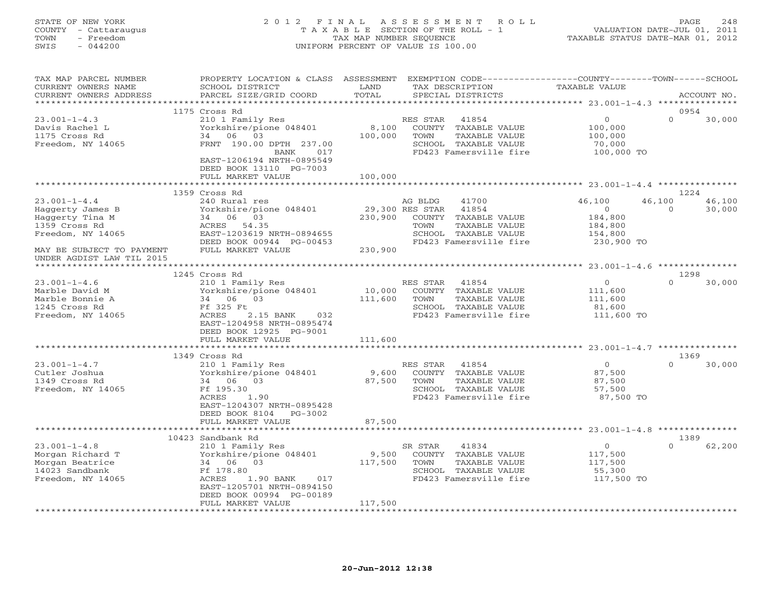## STATE OF NEW YORK 2 0 1 2 F I N A L A S S E S S M E N T R O L L PAGE 248 COUNTY - Cattaraugus T A X A B L E SECTION OF THE ROLL - 1 VALUATION DATE-JUL 01, 2011 TOWN - Freedom TAX MAP NUMBER SEQUENCE TAXABLE STATUS DATE-MAR 01, 2012 SWIS - 044200 UNIFORM PERCENT OF VALUE IS 100.00UNIFORM PERCENT OF VALUE IS 100.00

| TAX MAP PARCEL NUMBER<br>CURRENT OWNERS NAME | SCHOOL DISTRICT                                      | LAND                  | PROPERTY LOCATION & CLASS ASSESSMENT EXEMPTION CODE---------------COUNTY-------TOWN------SCHOOL<br>TAX DESCRIPTION | TAXABLE VALUE  |                    |                |
|----------------------------------------------|------------------------------------------------------|-----------------------|--------------------------------------------------------------------------------------------------------------------|----------------|--------------------|----------------|
| CURRENT OWNERS ADDRESS                       | PARCEL SIZE/GRID COORD                               | TOTAL                 | SPECIAL DISTRICTS                                                                                                  |                |                    | ACCOUNT NO.    |
| ***********************                      |                                                      |                       |                                                                                                                    |                |                    |                |
|                                              | 1175 Cross Rd                                        |                       |                                                                                                                    |                |                    | 0954           |
| $23.001 - 1 - 4.3$                           | 210 1 Family Res                                     |                       | RES STAR<br>41854                                                                                                  | $\circ$        | $\Omega$           | 30,000         |
| Davis Rachel L                               | Yorkshire/pione 048401                               | 8,100                 | COUNTY TAXABLE VALUE                                                                                               | 100,000        |                    |                |
| 1175 Cross Rd                                | 34 06 03                                             | 100,000               | TAXABLE VALUE<br>TOWN                                                                                              | 100,000        |                    |                |
| Freedom, NY 14065                            | FRNT 190.00 DPTH 237.00                              |                       | SCHOOL TAXABLE VALUE                                                                                               | 70,000         |                    |                |
|                                              | BANK 017                                             |                       | FD423 Famersville fire                                                                                             | 100,000 TO     |                    |                |
|                                              | EAST-1206194 NRTH-0895549                            |                       |                                                                                                                    |                |                    |                |
|                                              | DEED BOOK 13110 PG-7003                              |                       |                                                                                                                    |                |                    |                |
|                                              | FULL MARKET VALUE                                    | 100,000<br>********** |                                                                                                                    |                |                    |                |
|                                              |                                                      |                       |                                                                                                                    |                |                    |                |
|                                              | 1359 Cross Rd                                        |                       |                                                                                                                    |                |                    | 1224           |
| $23.001 - 1 - 4.4$                           | 240 Rural res                                        |                       | AG BLDG<br>41700                                                                                                   | 46,100         | 46,100<br>$\Omega$ | 46,100         |
| Haggerty James B                             | Yorkshire/pione 048401                               |                       | 29,300 RES STAR 41854                                                                                              | $\overline{0}$ |                    | 30,000         |
| Haggerty Tina M                              | 34 06 03                                             | 230,900               | COUNTY TAXABLE VALUE                                                                                               | 184,800        |                    |                |
| 1359 Cross Rd                                | ACRES 54.35                                          |                       | TOWN<br>TAXABLE VALUE                                                                                              | 184,800        |                    |                |
| Freedom, NY 14065                            | EAST-1203619 NRTH-0894655                            |                       | SCHOOL TAXABLE VALUE                                                                                               | 154,800        |                    |                |
|                                              | DEED BOOK 00944 PG-00453                             |                       | FD423 Famersville fire                                                                                             | 230,900 TO     |                    |                |
| MAY BE SUBJECT TO PAYMENT                    | FULL MARKET VALUE                                    | 230,900               |                                                                                                                    |                |                    |                |
| UNDER AGDIST LAW TIL 2015                    |                                                      |                       |                                                                                                                    |                |                    |                |
|                                              |                                                      |                       |                                                                                                                    |                |                    |                |
| $23.001 - 1 - 4.6$                           | 1245 Cross Rd<br>210 1 Family Res                    |                       | RES STAR 41854                                                                                                     | $\circ$        | $\cap$             | 1298<br>30,000 |
|                                              |                                                      | 10,000                |                                                                                                                    |                |                    |                |
| Marble David M<br>Marble Bonnie A            | Yorkshire/pione 048401<br>34 06 03                   | 111,600               | COUNTY TAXABLE VALUE<br>TOWN<br>TAXABLE VALUE                                                                      | 111,600        |                    |                |
|                                              |                                                      |                       |                                                                                                                    | 111,600        |                    |                |
| 1245 Cross Rd                                | Ff 325 Ft                                            |                       | SCHOOL TAXABLE VALUE                                                                                               | 81,600         |                    |                |
| Freedom, NY 14065                            | ACRES<br>2.15 BANK 032                               |                       | FD423 Famersville fire                                                                                             | 111,600 TO     |                    |                |
|                                              | EAST-1204958 NRTH-0895474<br>DEED BOOK 12925 PG-9001 |                       |                                                                                                                    |                |                    |                |
|                                              | FULL MARKET VALUE                                    | 111,600               |                                                                                                                    |                |                    |                |
|                                              |                                                      |                       |                                                                                                                    |                |                    |                |
|                                              | 1349 Cross Rd                                        |                       |                                                                                                                    |                |                    | 1369           |
| $23.001 - 1 - 4.7$                           | 210 1 Family Res                                     |                       | RES STAR<br>41854                                                                                                  | $\overline{0}$ | $\Omega$           | 30,000         |
| Cutler Joshua                                | Yorkshire/pione 048401                               |                       | 9,600 COUNTY TAXABLE VALUE                                                                                         | 87,500         |                    |                |
| 1349 Cross Rd                                | 34 06 03                                             | 87,500                | TAXABLE VALUE<br>TOWN                                                                                              | 87,500         |                    |                |
| Freedom, NY 14065                            | Ff 195.30                                            |                       | SCHOOL TAXABLE VALUE                                                                                               | 57,500         |                    |                |
|                                              | ACRES<br>1.90                                        |                       | FD423 Famersville fire                                                                                             | 87,500 TO      |                    |                |
|                                              | EAST-1204307 NRTH-0895428                            |                       |                                                                                                                    |                |                    |                |
|                                              | DEED BOOK 8104 PG-3002                               |                       |                                                                                                                    |                |                    |                |
|                                              | FULL MARKET VALUE                                    | 87,500                |                                                                                                                    |                |                    |                |
|                                              |                                                      |                       |                                                                                                                    |                |                    |                |
|                                              | 10423 Sandbank Rd                                    |                       |                                                                                                                    |                |                    | 1389           |
| $23.001 - 1 - 4.8$                           | 210 1 Family Res                                     |                       | 41834<br>SR STAR                                                                                                   | $\circ$        | $\Omega$           | 62,200         |
| Morgan Richard T                             | Yorkshire/pione 048401                               | 9,500                 | COUNTY TAXABLE VALUE                                                                                               | 117,500        |                    |                |
| Morgan Beatrice                              | 34 06 03                                             | 117,500               | TOWN<br>TAXABLE VALUE                                                                                              | 117,500        |                    |                |
| 14023 Sandbank                               | Ff 178.80                                            |                       | SCHOOL TAXABLE VALUE                                                                                               | 55,300         |                    |                |
| Freedom, NY 14065                            | ACRES<br>1.90 BANK 017                               |                       | FD423 Famersville fire                                                                                             | 117,500 TO     |                    |                |
|                                              | EAST-1205701 NRTH-0894150                            |                       |                                                                                                                    |                |                    |                |
|                                              | DEED BOOK 00994 PG-00189                             |                       |                                                                                                                    |                |                    |                |
|                                              | FULL MARKET VALUE                                    | 117,500               |                                                                                                                    |                |                    |                |
|                                              |                                                      |                       |                                                                                                                    |                |                    |                |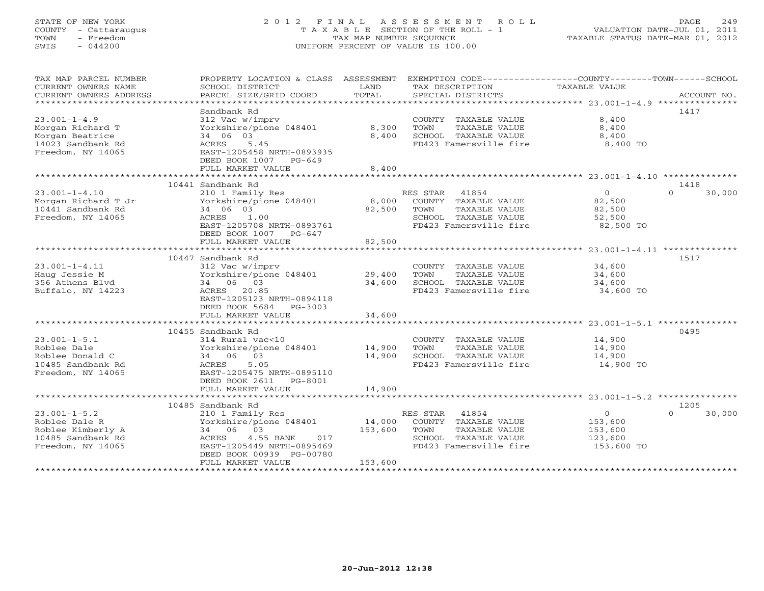# STATE OF NEW YORK 2 0 1 2 F I N A L A S S E S S M E N T R O L L PAGE 249 COUNTY - Cattaraugus T A X A B L E SECTION OF THE ROLL - 1 VALUATION DATE-JUL 01, 2011 TOWN - Freedom TAX MAP NUMBER SEQUENCE TAXABLE STATUS DATE-MAR 01, 2012 SWIS - 044200 UNIFORM PERCENT OF VALUE IS 100.00UNIFORM PERCENT OF VALUE IS 100.00

| TAX MAP PARCEL NUMBER<br>CURRENT OWNERS NAME<br>CURRENT OWNERS ADDRESS | PROPERTY LOCATION & CLASS ASSESSMENT<br>SCHOOL DISTRICT<br>PARCEL SIZE/GRID COORD | LAND<br>TOTAL | EXEMPTION CODE-----------------COUNTY-------TOWN------SCHOOL<br>TAX DESCRIPTION<br>SPECIAL DISTRICTS | TAXABLE VALUE                                    | ACCOUNT NO.      |
|------------------------------------------------------------------------|-----------------------------------------------------------------------------------|---------------|------------------------------------------------------------------------------------------------------|--------------------------------------------------|------------------|
| **************************                                             |                                                                                   |               |                                                                                                      |                                                  |                  |
|                                                                        | Sandbank Rd                                                                       |               |                                                                                                      |                                                  | 1417             |
| $23.001 - 1 - 4.9$                                                     | 312 Vac w/imprv                                                                   |               | COUNTY TAXABLE VALUE                                                                                 | 8,400                                            |                  |
| Morgan Richard T                                                       | Yorkshire/pione 048401                                                            | 8,300         | TOWN<br>TAXABLE VALUE                                                                                | 8,400                                            |                  |
| Morgan Beatrice                                                        | 34 06 03                                                                          | 8,400         | SCHOOL TAXABLE VALUE                                                                                 | 8,400                                            |                  |
| 14023 Sandbank Rd                                                      | ACRES<br>5.45                                                                     |               | FD423 Famersville fire                                                                               | 8,400 TO                                         |                  |
| Freedom, NY 14065                                                      | EAST-1205458 NRTH-0893935                                                         |               |                                                                                                      |                                                  |                  |
|                                                                        | DEED BOOK 1007 PG-649                                                             |               |                                                                                                      |                                                  |                  |
|                                                                        | FULL MARKET VALUE                                                                 | 8,400         |                                                                                                      |                                                  |                  |
|                                                                        |                                                                                   |               |                                                                                                      |                                                  |                  |
|                                                                        | 10441 Sandbank Rd                                                                 |               |                                                                                                      |                                                  | 1418<br>$\Omega$ |
| $23.001 - 1 - 4.10$                                                    | 210 1 Family Res<br>Yorkshire/pione 048401                                        | 8,000         | 41854<br>RES STAR                                                                                    | $\overline{0}$<br>82,500                         | 30,000           |
| Morgan Richard T Jr                                                    |                                                                                   |               | COUNTY TAXABLE VALUE<br>TOWN                                                                         |                                                  |                  |
| 10441 Sandbank Rd                                                      | 34 06 03<br>1.00                                                                  | 82,500        | TAXABLE VALUE                                                                                        | 82,500<br>52,500                                 |                  |
| Freedom, NY 14065                                                      | ACRES<br>EAST-1205708 NRTH-0893761                                                |               | SCHOOL TAXABLE VALUE<br>FD423 Famersville fire                                                       | 82,500 TO                                        |                  |
|                                                                        | DEED BOOK 1007 PG-647                                                             |               |                                                                                                      |                                                  |                  |
|                                                                        | FULL MARKET VALUE                                                                 | 82,500        |                                                                                                      |                                                  |                  |
|                                                                        | *************************                                                         | **********    |                                                                                                      | ********************** 23.001-1-4.11 *********** |                  |
|                                                                        | 10447 Sandbank Rd                                                                 |               |                                                                                                      |                                                  | 1517             |
| $23.001 - 1 - 4.11$                                                    | 312 Vac w/imprv                                                                   |               | COUNTY TAXABLE VALUE                                                                                 | 34,600                                           |                  |
| Haug Jessie M                                                          | Yorkshire/pione 048401                                                            | 29,400        | TOWN<br>TAXABLE VALUE                                                                                | 34,600                                           |                  |
| 356 Athens Blyd                                                        | 34 06 03                                                                          | 34,600        | SCHOOL TAXABLE VALUE                                                                                 | 34,600                                           |                  |
| Buffalo, NY 14223                                                      | ACRES 20.85                                                                       |               | FD423 Famersville fire                                                                               | 34,600 TO                                        |                  |
|                                                                        | EAST-1205123 NRTH-0894118                                                         |               |                                                                                                      |                                                  |                  |
|                                                                        | DEED BOOK 5684<br>PG-3003                                                         |               |                                                                                                      |                                                  |                  |
|                                                                        | FULL MARKET VALUE                                                                 | 34,600        |                                                                                                      |                                                  |                  |
|                                                                        | ***************************                                                       |               |                                                                                                      |                                                  |                  |
|                                                                        | 10455 Sandbank Rd                                                                 |               |                                                                                                      |                                                  | 0495             |
| $23.001 - 1 - 5.1$                                                     | 314 Rural vac<10                                                                  |               | COUNTY TAXABLE VALUE                                                                                 | 14,900                                           |                  |
| Roblee Dale                                                            | Yorkshire/pione 048401                                                            | 14,900        | TOWN<br>TAXABLE VALUE                                                                                | 14,900                                           |                  |
| Roblee Donald C                                                        | 34 06 03                                                                          | 14,900        | SCHOOL TAXABLE VALUE                                                                                 | 14,900                                           |                  |
| 10485 Sandbank Rd                                                      | 5.05<br>ACRES                                                                     |               | FD423 Famersville fire                                                                               | 14,900 TO                                        |                  |
| Freedom, NY 14065                                                      | EAST-1205475 NRTH-0895110                                                         |               |                                                                                                      |                                                  |                  |
|                                                                        | DEED BOOK 2611 PG-8001                                                            |               |                                                                                                      |                                                  |                  |
|                                                                        | FULL MARKET VALUE                                                                 | 14,900        |                                                                                                      |                                                  |                  |
|                                                                        |                                                                                   |               |                                                                                                      |                                                  |                  |
|                                                                        | 10485 Sandbank Rd                                                                 |               |                                                                                                      | $\circ$                                          | 1205<br>$\cap$   |
| $23.001 - 1 - 5.2$                                                     | 210 1 Family Res                                                                  |               | RES STAR 41854                                                                                       |                                                  | 30,000           |
| Roblee Dale R                                                          | Yorkshire/pione 048401                                                            | 14,000        | COUNTY TAXABLE VALUE                                                                                 | 153,600                                          |                  |
| Roblee Kimberly A<br>10485 Sandbank Rd                                 | 34 06 03<br>ACRES<br>4.55 BANK<br>017                                             | 153,600       | TOWN<br>TAXABLE VALUE<br>SCHOOL TAXABLE VALUE                                                        | 153,600<br>123,600                               |                  |
| Freedom, NY 14065                                                      | EAST-1205449 NRTH-0895469                                                         |               | FD423 Famersville fire                                                                               | 153,600 TO                                       |                  |
|                                                                        | DEED BOOK 00939 PG-00780                                                          |               |                                                                                                      |                                                  |                  |
|                                                                        | FULL MARKET VALUE                                                                 | 153,600       |                                                                                                      |                                                  |                  |
|                                                                        |                                                                                   |               |                                                                                                      |                                                  |                  |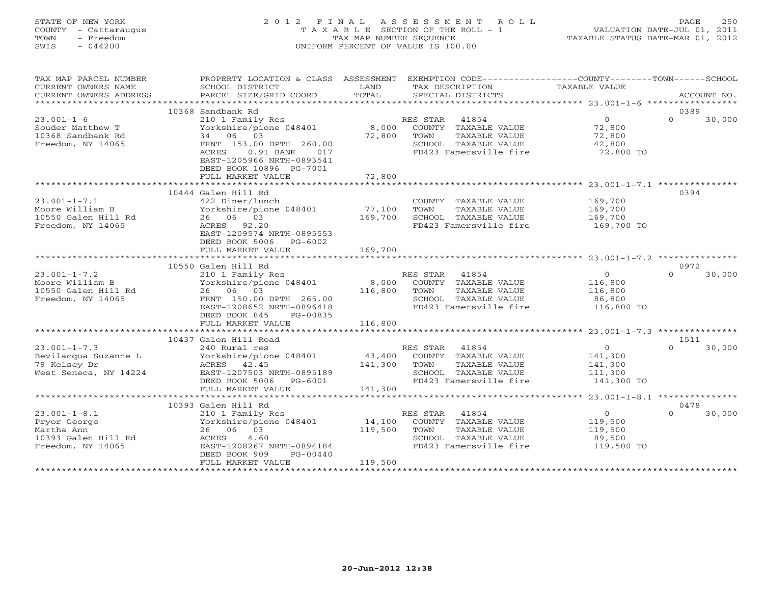# STATE OF NEW YORK 2 0 1 2 F I N A L A S S E S S M E N T R O L L PAGE 250 COUNTY - Cattaraugus T A X A B L E SECTION OF THE ROLL - 1 VALUATION DATE-JUL 01, 2011 TOWN - Freedom TAX MAP NUMBER SEQUENCE TAXABLE STATUS DATE-MAR 01, 2012 SWIS - 044200 UNIFORM PERCENT OF VALUE IS 100.00UNIFORM PERCENT OF VALUE IS 100.00

| TAX MAP PARCEL NUMBER             |                                           |         | PROPERTY LOCATION & CLASS ASSESSMENT EXEMPTION CODE----------------COUNTY-------TOWN------SCHOOL |                      |                    |
|-----------------------------------|-------------------------------------------|---------|--------------------------------------------------------------------------------------------------|----------------------|--------------------|
| CURRENT OWNERS NAME               | SCHOOL DISTRICT                           | LAND    | TAX DESCRIPTION                                                                                  | <b>TAXABLE VALUE</b> |                    |
| CURRENT OWNERS ADDRESS            | PARCEL SIZE/GRID COORD                    | TOTAL   | SPECIAL DISTRICTS                                                                                |                      | ACCOUNT NO.        |
| ***********************           |                                           |         |                                                                                                  |                      |                    |
|                                   | 10368 Sandbank Rd                         |         |                                                                                                  |                      | 0389               |
| $23.001 - 1 - 6$                  | 210 1 Family Res                          |         | RES STAR<br>41854                                                                                | $\overline{0}$       | $\Omega$<br>30,000 |
| Souder Matthew T                  | Yorkshire/pione 048401                    |         | 8,000 COUNTY TAXABLE VALUE                                                                       | 72,800               |                    |
| 10368 Sandbank Rd                 | 34 06 03                                  | 72,800  | TOWN<br>TAXABLE VALUE                                                                            | 72,800               |                    |
| Freedom, NY 14065                 | FRNT 153.00 DPTH 260.00                   |         | SCHOOL TAXABLE VALUE                                                                             | 42,800               |                    |
|                                   | ACRES<br>$0.91$ BANK<br>017               |         | FD423 Famersville fire                                                                           | 72,800 TO            |                    |
|                                   | EAST-1205966 NRTH-0893541                 |         |                                                                                                  |                      |                    |
|                                   | DEED BOOK 10896 PG-7001                   |         |                                                                                                  |                      |                    |
|                                   | FULL MARKET VALUE                         | 72,800  |                                                                                                  |                      |                    |
|                                   |                                           |         |                                                                                                  |                      |                    |
| $23.001 - 1 - 7.1$                | 10444 Galen Hill Rd                       |         |                                                                                                  |                      | 0394               |
| Moore William B                   | 422 Diner/lunch<br>Yorkshire/pione 048401 | 77,100  | COUNTY TAXABLE VALUE<br>TOWN<br>TAXABLE VALUE                                                    | 169,700<br>169,700   |                    |
| 10550 Galen Hill Rd               | 26 06 03                                  | 169,700 | SCHOOL TAXABLE VALUE                                                                             | 169,700              |                    |
| Freedom, NY 14065                 | ACRES 92.20                               |         | FD423 Famersville fire                                                                           | 169,700 TO           |                    |
|                                   | EAST-1209574 NRTH-0895553                 |         |                                                                                                  |                      |                    |
|                                   | DEED BOOK 5006<br>PG-6002                 |         |                                                                                                  |                      |                    |
|                                   | FULL MARKET VALUE                         | 169,700 |                                                                                                  |                      |                    |
|                                   |                                           |         |                                                                                                  |                      |                    |
|                                   | 10550 Galen Hill Rd                       |         |                                                                                                  |                      | 0972               |
| $23.001 - 1 - 7.2$                | 210 1 Family Res                          |         | RES STAR<br>41854                                                                                | $\overline{0}$       | $\Omega$<br>30,000 |
| Moore William B                   | Yorkshire/pione 048401                    |         | 8,000 COUNTY TAXABLE VALUE                                                                       | 116,800              |                    |
| 10550 Galen Hill Rd               | 26 06 03                                  | 116,800 | TAXABLE VALUE<br>TOWN                                                                            | 116,800              |                    |
| Freedom, NY 14065                 | FRNT 150.00 DPTH 265.00                   |         | SCHOOL TAXABLE VALUE                                                                             | 86,800               |                    |
|                                   | EAST-1208652 NRTH-0896418                 |         | FD423 Famersville fire                                                                           | 116,800 TO           |                    |
|                                   | DEED BOOK 845<br>PG-00835                 |         |                                                                                                  |                      |                    |
|                                   | FULL MARKET VALUE                         | 116,800 |                                                                                                  |                      |                    |
|                                   |                                           |         |                                                                                                  |                      |                    |
|                                   | 10437 Galen Hill Road                     |         |                                                                                                  |                      | 1511               |
| $23.001 - 1 - 7.3$                | 240 Rural res                             |         | RES STAR<br>41854                                                                                | $\overline{0}$       | $\Omega$<br>30,000 |
| Bevilacqua Suzanne L              | Yorkshire/pione 048401                    |         | 43,400 COUNTY TAXABLE VALUE                                                                      | 141,300              |                    |
| 79 Kelsey Dr                      | ACRES 42.45                               | 141,300 | TOWN<br>TAXABLE VALUE                                                                            | 141,300              |                    |
| West Seneca, NY 14224             | EAST-1207503 NRTH-0895189                 |         | SCHOOL TAXABLE VALUE                                                                             | 111,300              |                    |
|                                   | DEED BOOK 5006 PG-6001                    |         | FD423 Famersville fire                                                                           | 141,300 TO           |                    |
|                                   | FULL MARKET VALUE                         | 141,300 |                                                                                                  |                      |                    |
|                                   |                                           |         |                                                                                                  |                      |                    |
|                                   | 10393 Galen Hill Rd                       |         |                                                                                                  |                      | 0478<br>$\Omega$   |
| $23.001 - 1 - 8.1$                | 210 1 Family Res                          |         | RES STAR<br>41854                                                                                | $\overline{0}$       | 30,000             |
| Pryor George                      | Yorkshire/pione 048401                    | 14,100  | COUNTY TAXABLE VALUE                                                                             | 119,500              |                    |
| Martha Ann<br>10393 Galen Hill Rd | 26 06 03<br>4.60<br>ACRES                 | 119,500 | TOWN<br>TAXABLE VALUE<br>SCHOOL TAXABLE VALUE                                                    | 119,500<br>89,500    |                    |
| Freedom, NY 14065                 | EAST-1208267 NRTH-0894184                 |         | FD423 Famersville fire                                                                           | 119,500 TO           |                    |
|                                   | DEED BOOK 909<br>PG-00440                 |         |                                                                                                  |                      |                    |
|                                   | FULL MARKET VALUE                         | 119,500 |                                                                                                  |                      |                    |
|                                   |                                           |         |                                                                                                  |                      |                    |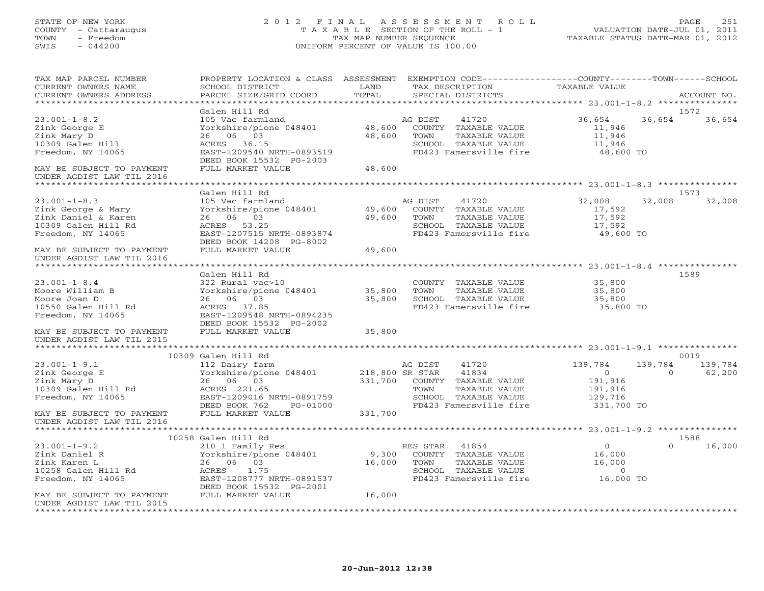#### STATE OF NEW YORK 2 0 1 2 F I N A L A S S E S S M E N T R O L L PAGE 251 COUNTY - Cattaraugus T A X A B L E SECTION OF THE ROLL - 1 VALUATION DATE-JUL 01, 2011 TOWN - Freedom TAX MAP NUMBER SEQUENCE TAXABLE STATUS DATE-MAR 01, 2012 SWIS - 044200 UNIFORM PERCENT OF VALUE IS 100.00UNIFORM PERCENT OF VALUE IS 100.00

| TAX MAP PARCEL NUMBER<br>CURRENT OWNERS NAME           | PROPERTY LOCATION & CLASS ASSESSMENT<br>SCHOOL DISTRICT | LAND            | EXEMPTION CODE-----------------COUNTY-------TOWN------SCHOOL<br>TAX DESCRIPTION | TAXABLE VALUE       |             |
|--------------------------------------------------------|---------------------------------------------------------|-----------------|---------------------------------------------------------------------------------|---------------------|-------------|
| CURRENT OWNERS ADDRESS<br>**********************       | PARCEL SIZE/GRID COORD                                  | TOTAL           | SPECIAL DISTRICTS                                                               |                     | ACCOUNT NO. |
|                                                        | Galen Hill Rd                                           |                 |                                                                                 |                     | 1572        |
| $23.001 - 1 - 8.2$                                     | 105 Vac farmland                                        |                 | AG DIST<br>41720                                                                | 36,654<br>36,654    | 36,654      |
| Zink George E                                          | Yorkshire/pione 048401                                  | 48,600          | COUNTY TAXABLE VALUE                                                            | 11,946              |             |
| Zink Mary D                                            | 06 03<br>26                                             | 48,600          | TAXABLE VALUE<br>TOWN                                                           | 11,946              |             |
| 10309 Galen Hill                                       | ACRES 36.15                                             |                 | SCHOOL TAXABLE VALUE                                                            | 11,946              |             |
| Freedom, NY 14065                                      | EAST-1209540 NRTH-0893519                               |                 | FD423 Famersville fire                                                          | 48,600 TO           |             |
|                                                        | DEED BOOK 15532 PG-2003                                 |                 |                                                                                 |                     |             |
| MAY BE SUBJECT TO PAYMENT<br>UNDER AGDIST LAW TIL 2016 | FULL MARKET VALUE                                       | 48,600          |                                                                                 |                     |             |
| ****************************                           |                                                         |                 |                                                                                 |                     |             |
|                                                        | Galen Hill Rd                                           |                 |                                                                                 |                     | 1573        |
| $23.001 - 1 - 8.3$                                     | 105 Vac farmland                                        |                 | AG DIST<br>41720                                                                | 32,008<br>32,008    | 32,008      |
| Zink George & Mary                                     | Yorkshire/pione 048401                                  | 49,600          | COUNTY TAXABLE VALUE                                                            | 17,592              |             |
| Zink Daniel & Karen                                    | 26 06 03                                                | 49,600          | TAXABLE VALUE<br>TOWN                                                           | 17,592              |             |
| 10309 Galen Hill Rd                                    | ACRES 53.25                                             |                 | SCHOOL TAXABLE VALUE                                                            | 17,592              |             |
| Freedom, NY 14065                                      | EAST-1207515 NRTH-0893874                               |                 | FD423 Famersville fire                                                          | 49,600 TO           |             |
|                                                        | DEED BOOK 14208 PG-8002                                 |                 |                                                                                 |                     |             |
| MAY BE SUBJECT TO PAYMENT                              | FULL MARKET VALUE                                       | 49,600          |                                                                                 |                     |             |
| UNDER AGDIST LAW TIL 2016                              |                                                         |                 |                                                                                 |                     |             |
| ************************                               |                                                         |                 |                                                                                 |                     |             |
|                                                        | Galen Hill Rd                                           |                 |                                                                                 |                     | 1589        |
| $23.001 - 1 - 8.4$                                     | 322 Rural vac>10                                        |                 | COUNTY TAXABLE VALUE                                                            | 35,800              |             |
| Moore William B                                        | Yorkshire/pione 048401                                  | 35,800          | TOWN<br>TAXABLE VALUE                                                           | 35,800              |             |
| Moore Joan D                                           | 26 06 03                                                | 35,800          | SCHOOL TAXABLE VALUE                                                            | 35,800              |             |
| 10550 Galen Hill Rd                                    | ACRES 37.85                                             |                 | FD423 Famersville fire                                                          | 35,800 TO           |             |
| Freedom, NY 14065                                      | EAST-1209548 NRTH-0894235                               |                 |                                                                                 |                     |             |
|                                                        | DEED BOOK 15532 PG-2002<br>FULL MARKET VALUE            |                 |                                                                                 |                     |             |
| MAY BE SUBJECT TO PAYMENT<br>UNDER AGDIST LAW TIL 2015 |                                                         | 35,800          |                                                                                 |                     |             |
|                                                        |                                                         |                 |                                                                                 |                     |             |
|                                                        | 10309 Galen Hill Rd                                     |                 |                                                                                 |                     | 0019        |
| $23.001 - 1 - 9.1$                                     | 112 Dairy farm                                          |                 | AG DIST<br>41720                                                                | 139,784<br>139,784  | 139,784     |
| Zink George E                                          | Yorkshire/pione 048401                                  | 218,800 SR STAR | 41834                                                                           | $\circ$<br>$\Omega$ | 62,200      |
| Zink Mary D                                            | 26 06 03                                                | 331,700         | COUNTY TAXABLE VALUE                                                            | 191,916             |             |
| 10309 Galen Hill Rd                                    | ACRES 221.65                                            |                 | TOWN<br>TAXABLE VALUE                                                           | 191,916             |             |
| Freedom, NY 14065                                      | EAST-1209016 NRTH-0891759                               |                 | SCHOOL TAXABLE VALUE                                                            | 129,716             |             |
|                                                        | DEED BOOK 762<br>PG-01000                               |                 | FD423 Famersville fire                                                          | 331,700 TO          |             |
| MAY BE SUBJECT TO PAYMENT                              | FULL MARKET VALUE                                       | 331,700         |                                                                                 |                     |             |
| UNDER AGDIST LAW TIL 2016                              |                                                         |                 |                                                                                 |                     |             |
|                                                        |                                                         |                 |                                                                                 |                     |             |
|                                                        | 10258 Galen Hill Rd                                     |                 |                                                                                 |                     | 1588        |
| $23.001 - 1 - 9.2$                                     | 210 1 Family Res                                        |                 | 41854<br>RES STAR                                                               | $\circ$<br>$\Omega$ | 16,000      |
| Zink Daniel R                                          | Yorkshire/pione 048401                                  | 9,300           | COUNTY TAXABLE VALUE                                                            | 16,000              |             |
| Zink Karen L                                           | 26 06<br>03                                             | 16,000          | TAXABLE VALUE<br>TOWN                                                           | 16,000              |             |
| 10258 Galen Hill Rd                                    | ACRES<br>1.75                                           |                 | SCHOOL TAXABLE VALUE                                                            | $\circ$             |             |
| Freedom, NY 14065                                      | EAST-1208777 NRTH-0891537                               |                 | FD423 Famersville fire                                                          | 16,000 TO           |             |
|                                                        | DEED BOOK 15532 PG-2001                                 |                 |                                                                                 |                     |             |
| MAY BE SUBJECT TO PAYMENT                              | FULL MARKET VALUE                                       | 16,000          |                                                                                 |                     |             |
| UNDER AGDIST LAW TIL 2015                              |                                                         |                 |                                                                                 |                     |             |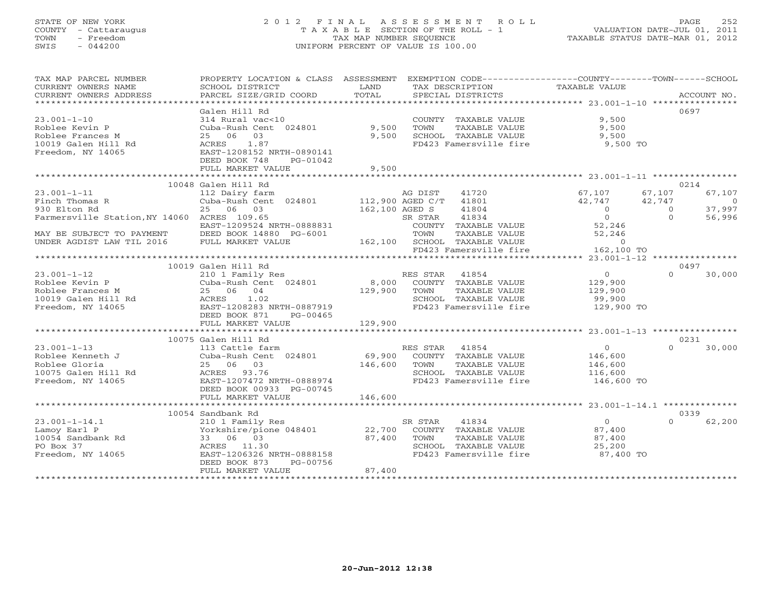# STATE OF NEW YORK 2 0 1 2 F I N A L A S S E S S M E N T R O L L PAGE 252 COUNTY - Cattaraugus T A X A B L E SECTION OF THE ROLL - 1 VALUATION DATE-JUL 01, 2011 TOWN - Freedom TAX MAP NUMBER SEQUENCE TAXABLE STATUS DATE-MAR 01, 2012 SWIS - 044200 UNIFORM PERCENT OF VALUE IS 100.00UNIFORM PERCENT OF VALUE IS 100.00

| TAX MAP PARCEL NUMBER<br>CURRENT OWNERS NAME<br>CURRENT OWNERS ADDRESS                                                                                                                                                                                                                       | PROPERTY LOCATION & CLASS ASSESSMENT<br>SCHOOL DISTRICT<br>PARCEL SIZE/GRID COORD                                                          | LAND<br>TOTAL  | EXEMPTION CODE-----------------COUNTY-------TOWN------SCHOOL<br>TAX DESCRIPTION TAXABLE VALUE<br>SPECIAL DISTRICTS |                       |          | ACCOUNT NO. |
|----------------------------------------------------------------------------------------------------------------------------------------------------------------------------------------------------------------------------------------------------------------------------------------------|--------------------------------------------------------------------------------------------------------------------------------------------|----------------|--------------------------------------------------------------------------------------------------------------------|-----------------------|----------|-------------|
|                                                                                                                                                                                                                                                                                              | Galen Hill Rd                                                                                                                              |                |                                                                                                                    |                       |          | 0697        |
| $23.001 - 1 - 10$                                                                                                                                                                                                                                                                            | 314 Rural vac<10                                                                                                                           |                | COUNTY TAXABLE VALUE                                                                                               | 9,500                 |          |             |
| Roblee Kevin P                                                                                                                                                                                                                                                                               | Cuba-Rush Cent 024801                                                                                                                      | 9,500          | TOWN<br>TAXABLE VALUE                                                                                              | 9,500                 |          |             |
| Roblee Frances M                                                                                                                                                                                                                                                                             | 25 06 03                                                                                                                                   | 9,500          | SCHOOL TAXABLE VALUE                                                                                               | 9,500                 |          |             |
| 10019 Galen Hill Rd                                                                                                                                                                                                                                                                          |                                                                                                                                            |                | FD423 Famersville fire 9,500 TO                                                                                    |                       |          |             |
| Freedom, NY 14065                                                                                                                                                                                                                                                                            |                                                                                                                                            |                |                                                                                                                    |                       |          |             |
|                                                                                                                                                                                                                                                                                              | ACRES 1.87<br>EAST-1208152 NRTH-0890141<br>DEED BOOK 748<br>PG-01042                                                                       |                |                                                                                                                    |                       |          |             |
|                                                                                                                                                                                                                                                                                              | FULL MARKET VALUE                                                                                                                          | 9,500          |                                                                                                                    |                       |          |             |
| * * * * * * * * * * * * *<br>*************************                                                                                                                                                                                                                                       |                                                                                                                                            |                |                                                                                                                    |                       |          |             |
| 0214<br>10048 Galen Hill Rd                                                                                                                                                                                                                                                                  |                                                                                                                                            |                |                                                                                                                    |                       |          |             |
| $23.001 - 1 - 11$                                                                                                                                                                                                                                                                            |                                                                                                                                            |                | 41720                                                                                                              | 67,107                | 67,107   | 67,107      |
| Finch Thomas R                                                                                                                                                                                                                                                                               | 112 Dairy farm $\begin{array}{cc} \text{AG DIST} & 41720 \\ \text{Cuba-Rush Cent} & 024801 & 112,900 \text{ AGED C/T} & 41801 \end{array}$ |                |                                                                                                                    | 42,747                |          | $\sim$ 0    |
| 930 Elton Rd                                                                                                                                                                                                                                                                                 | 25 06 03                                                                                                                                   | 162,100 AGED S | 41804                                                                                                              | 2, 747 $42, 747$      |          | 37,997      |
| Farmersville Station, NY 14060 ACRES 109.65                                                                                                                                                                                                                                                  |                                                                                                                                            | SR STAR        | 41834                                                                                                              | $\overline{0}$        | $\Omega$ | 56,996      |
|                                                                                                                                                                                                                                                                                              | EAST-1209524 NRTH-0888831                                                                                                                  |                | COUNTY TAXABLE VALUE                                                                                               |                       |          |             |
|                                                                                                                                                                                                                                                                                              |                                                                                                                                            |                | TOWN                                                                                                               |                       |          |             |
| MAY BE SUBJECT TO PAYMENT DEED BOOK 14880 PG-6001<br>UNDER AGDIST LAW TIL 2016 FULL MARKET VALUE                                                                                                                                                                                             |                                                                                                                                            |                | 162,100 SCHOOL TAXABLE VALUE                                                                                       |                       |          |             |
|                                                                                                                                                                                                                                                                                              |                                                                                                                                            |                | FD423 Famersville fire                                                                                             |                       |          |             |
| $\begin{tabular}{ll} 4\texttt{{\small 1}} & \texttt{{\small 2}} & \texttt{{\small 3}} & \texttt{{\small 4}} & \texttt{{\small 5}} \\ \texttt{TXABLE} & \texttt{VALUE} & & & & & \\ \texttt{TXABLE} & \texttt{VALUE} & & & & \\ \texttt{TAXABLE} & & \texttt{23.001-1-12} & \\ \end{tabular}$ |                                                                                                                                            |                |                                                                                                                    |                       |          |             |
|                                                                                                                                                                                                                                                                                              | 10019 Galen Hill Rd                                                                                                                        |                |                                                                                                                    |                       |          | 0497        |
| $23.001 - 1 - 12$                                                                                                                                                                                                                                                                            | 210 1 Family Res                                                                                                                           |                |                                                                                                                    | $\overline{O}$        | $\Omega$ | 30,000      |
| Roblee Kevin P                                                                                                                                                                                                                                                                               | Cuba-Rush Cent 024801                                                                                                                      |                | RES STAR 41854<br>8,000 COUNTY TAXABLE VALUE                                                                       | 129,900               |          |             |
| Roblee Frances M<br>10019 Galen Hill Rd<br>Freedom, NY 14065<br>Freedom, NY 14065<br>NET 1208283 NRTH-0887919                                                                                                                                                                                |                                                                                                                                            | 129,900 TOWN   | TAXABLE VALUE                                                                                                      | 129,900               |          |             |
|                                                                                                                                                                                                                                                                                              |                                                                                                                                            |                | SCHOOL TAXABLE VALUE                                                                                               | 99,900                |          |             |
|                                                                                                                                                                                                                                                                                              |                                                                                                                                            |                | FD423 Famersville fire                                                                                             | 129,900 TO            |          |             |
|                                                                                                                                                                                                                                                                                              | DEED BOOK 871<br>PG-00465                                                                                                                  |                |                                                                                                                    |                       |          |             |
|                                                                                                                                                                                                                                                                                              | FULL MARKET VALUE                                                                                                                          | 129,900        |                                                                                                                    |                       |          |             |
|                                                                                                                                                                                                                                                                                              |                                                                                                                                            |                |                                                                                                                    |                       |          |             |
|                                                                                                                                                                                                                                                                                              | 10075 Galen Hill Rd                                                                                                                        |                |                                                                                                                    |                       |          | 0231        |
| $23.001 - 1 - 13$                                                                                                                                                                                                                                                                            | 113 Cattle farm                                                                                                                            |                |                                                                                                                    | $\overline{0}$        | $\Omega$ | 30,000      |
| Roblee Kenneth J<br>Pehlee Slevie                                                                                                                                                                                                                                                            | Cuba-Rush Cent 024801                                                                                                                      |                |                                                                                                                    |                       |          |             |
|                                                                                                                                                                                                                                                                                              |                                                                                                                                            |                | KES STAR 41854<br>69,900 COUNTY TAXABLE VALUE<br>146,600 TOWN TAYABLE VALUE                                        | 146,600<br>146,600    |          |             |
|                                                                                                                                                                                                                                                                                              |                                                                                                                                            |                | SCHOOL TAXABLE VALUE                                                                                               |                       |          |             |
| Roblee Gloria<br>10075 Galen Hill Rd<br>20075 Galen Hill Rd<br>2007472 NRTH-0888974<br>200745                                                                                                                                                                                                |                                                                                                                                            |                | FD423 Famersville fire                                                                                             | 116,600<br>146,600 TO |          |             |
|                                                                                                                                                                                                                                                                                              |                                                                                                                                            |                |                                                                                                                    |                       |          |             |
|                                                                                                                                                                                                                                                                                              | FULL MARKET VALUE                                                                                                                          | 146,600        |                                                                                                                    |                       |          |             |
|                                                                                                                                                                                                                                                                                              |                                                                                                                                            |                |                                                                                                                    |                       |          |             |
| 10054 Sandbank Rd<br>0339                                                                                                                                                                                                                                                                    |                                                                                                                                            |                |                                                                                                                    |                       |          |             |
| $23.001 - 1 - 14.1$                                                                                                                                                                                                                                                                          |                                                                                                                                            |                |                                                                                                                    | $\overline{0}$        | $\Omega$ | 62,200      |
| Lamoy Earl P                                                                                                                                                                                                                                                                                 |                                                                                                                                            |                |                                                                                                                    | 87,400                |          |             |
| 10054 Sandbank Rd                                                                                                                                                                                                                                                                            | 33 06 03                                                                                                                                   | 87,400         | TOWN<br>TAXABLE VALUE                                                                                              | 87,400                |          |             |
| PO Box 37                                                                                                                                                                                                                                                                                    | ACRES 11.30                                                                                                                                |                | SCHOOL TAXABLE VALUE                                                                                               | 25,200                |          |             |
| Freedom, NY 14065                                                                                                                                                                                                                                                                            | EAST-1206326 NRTH-0888158                                                                                                                  |                | FD423 Famersville fire                                                                                             | 87,400 TO             |          |             |
|                                                                                                                                                                                                                                                                                              | DEED BOOK 873<br>PG-00756                                                                                                                  |                |                                                                                                                    |                       |          |             |
|                                                                                                                                                                                                                                                                                              | FULL MARKET VALUE                                                                                                                          | 87,400         |                                                                                                                    |                       |          |             |
|                                                                                                                                                                                                                                                                                              |                                                                                                                                            |                |                                                                                                                    |                       |          |             |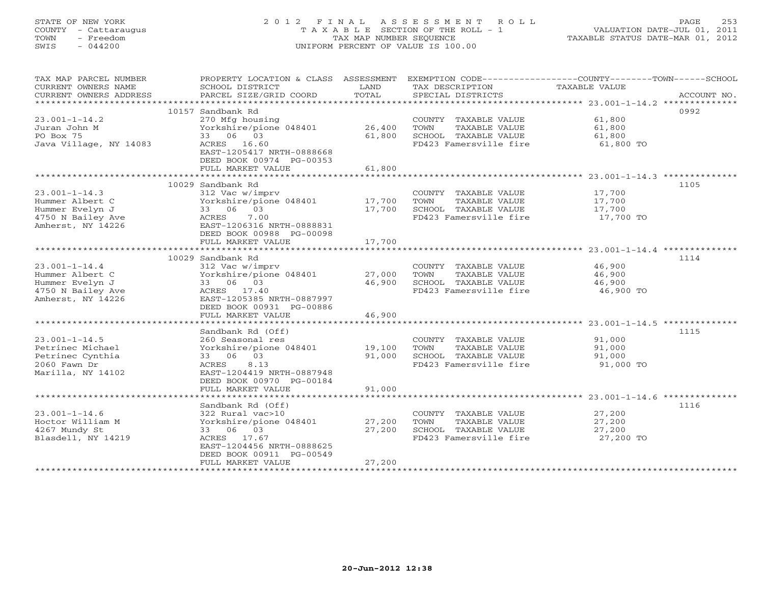STATE OF NEW YORK 2 0 1 2 F I N A L A S S E S S M E N T R O L L PAGE 253 COUNTY - Cattaraugus T A X A B L E SECTION OF THE ROLL - 1 VALUATION DATE-JUL 01, 2011 TOWN - Freedom TAX MAP NUMBER SEQUENCE TAXABLE STATUS DATE-MAR 01, 2012 SWIS - 044200 UNIFORM PERCENT OF VALUE IS 100.00

| TAX MAP PARCEL NUMBER  | PROPERTY LOCATION & CLASS ASSESSMENT |        | EXEMPTION CODE-----------------COUNTY-------TOWN------SCHOOL |               |             |
|------------------------|--------------------------------------|--------|--------------------------------------------------------------|---------------|-------------|
| CURRENT OWNERS NAME    | SCHOOL DISTRICT                      | LAND   | TAX DESCRIPTION                                              | TAXABLE VALUE |             |
| CURRENT OWNERS ADDRESS | PARCEL SIZE/GRID COORD               | TOTAL  | SPECIAL DISTRICTS                                            |               | ACCOUNT NO. |
|                        |                                      |        |                                                              |               |             |
|                        | 10157 Sandbank Rd                    |        |                                                              |               | 0992        |
| $23.001 - 1 - 14.2$    | 270 Mfg housing                      |        | COUNTY TAXABLE VALUE                                         | 61,800        |             |
| Juran John M           | Yorkshire/pione 048401               | 26,400 | TOWN<br>TAXABLE VALUE                                        | 61,800        |             |
| PO Box 75              | 33 06 03                             | 61,800 | SCHOOL TAXABLE VALUE                                         | 61,800        |             |
| Java Village, NY 14083 | ACRES 16.60                          |        | FD423 Famersville fire                                       | 61,800 TO     |             |
|                        | EAST-1205417 NRTH-0888668            |        |                                                              |               |             |
|                        | DEED BOOK 00974 PG-00353             |        |                                                              |               |             |
|                        | FULL MARKET VALUE                    | 61,800 |                                                              |               |             |
|                        |                                      |        |                                                              |               |             |
|                        | 10029 Sandbank Rd                    |        |                                                              |               | 1105        |
| $23.001 - 1 - 14.3$    | 312 Vac w/imprv                      |        | COUNTY TAXABLE VALUE                                         | 17,700        |             |
| Hummer Albert C        | Yorkshire/pione 048401               | 17,700 | TOWN<br>TAXABLE VALUE                                        | 17,700        |             |
| Hummer Evelyn J        | 33 06 03                             | 17,700 | SCHOOL TAXABLE VALUE                                         | 17,700        |             |
| 4750 N Bailey Ave      | ACRES<br>7.00                        |        | FD423 Famersville fire                                       | 17,700 TO     |             |
| Amherst, NY 14226      | EAST-1206316 NRTH-0888831            |        |                                                              |               |             |
|                        | DEED BOOK 00988 PG-00098             |        |                                                              |               |             |
|                        | FULL MARKET VALUE                    | 17,700 |                                                              |               |             |
|                        |                                      |        |                                                              |               |             |
|                        | 10029 Sandbank Rd                    |        |                                                              |               | 1114        |
| $23.001 - 1 - 14.4$    | 312 Vac w/imprv                      |        | COUNTY TAXABLE VALUE                                         | 46,900        |             |
| Hummer Albert C        | Yorkshire/pione 048401               | 27,000 | TOWN<br>TAXABLE VALUE                                        | 46,900        |             |
| Hummer Evelyn J        | 33 06 03                             | 46,900 | SCHOOL TAXABLE VALUE                                         | 46,900        |             |
| 4750 N Bailey Ave      | ACRES 17.40                          |        | FD423 Famersville fire                                       | 46,900 TO     |             |
| Amherst, NY 14226      | EAST-1205385 NRTH-0887997            |        |                                                              |               |             |
|                        | DEED BOOK 00931 PG-00886             |        |                                                              |               |             |
|                        | FULL MARKET VALUE                    | 46,900 |                                                              |               |             |
|                        |                                      |        |                                                              |               |             |
|                        | Sandbank Rd (Off)                    |        |                                                              |               | 1115        |
| $23.001 - 1 - 14.5$    | 260 Seasonal res                     |        | COUNTY TAXABLE VALUE                                         | 91,000        |             |
| Petrinec Michael       | Yorkshire/pione 048401               | 19,100 | TOWN<br>TAXABLE VALUE                                        | 91,000        |             |
| Petrinec Cynthia       | 33 06 03                             | 91,000 | SCHOOL TAXABLE VALUE                                         | 91,000        |             |
| $2060$ Fawn Dr         | ACRES 8.13                           |        | FD423 Famersville fire                                       | 91,000 TO     |             |
| Marilla, NY 14102      | EAST-1204419 NRTH-0887948            |        |                                                              |               |             |
|                        | DEED BOOK 00970 PG-00184             |        |                                                              |               |             |
|                        | FULL MARKET VALUE                    | 91,000 |                                                              |               |             |
|                        |                                      |        |                                                              |               |             |
|                        | Sandbank Rd (Off)                    |        |                                                              |               | 1116        |
| $23.001 - 1 - 14.6$    | 322 Rural vac>10                     |        | COUNTY TAXABLE VALUE                                         | 27,200        |             |
| Hoctor William M       | Yorkshire/pione 048401               | 27,200 | TOWN<br>TAXABLE VALUE                                        | 27,200        |             |
| 4267 Mundy St          | 33 06 03                             | 27,200 | SCHOOL TAXABLE VALUE                                         | 27,200        |             |
| Blasdell, NY 14219     | ACRES 17.67                          |        | FD423 Famersville fire                                       | 27,200 TO     |             |
|                        | EAST-1204456 NRTH-0888625            |        |                                                              |               |             |
|                        | DEED BOOK 00911 PG-00549             |        |                                                              |               |             |
|                        | FULL MARKET VALUE                    | 27,200 |                                                              |               |             |
|                        |                                      |        |                                                              |               |             |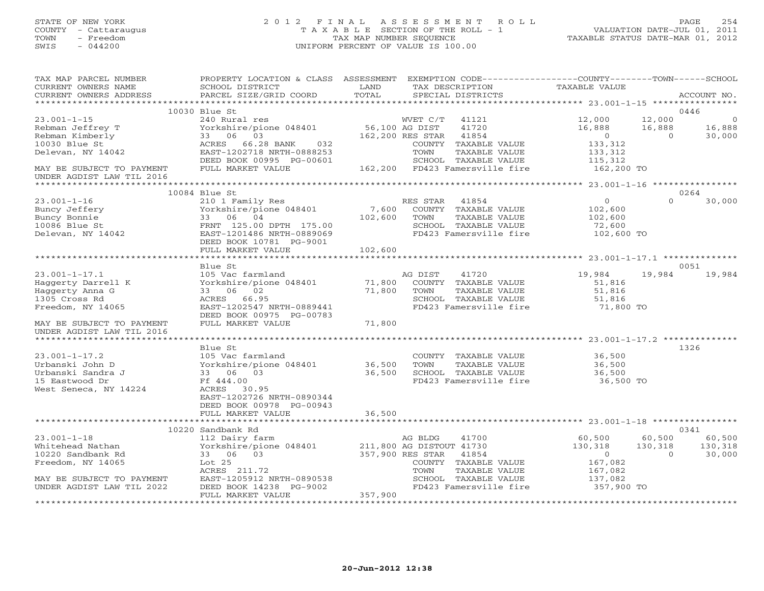# STATE OF NEW YORK 2 0 1 2 F I N A L A S S E S S M E N T R O L L PAGE 254 COUNTY - Cattaraugus T A X A B L E SECTION OF THE ROLL - 1 VALUATION DATE-JUL 01, 2011 TOWN - Freedom TAX MAP NUMBER SEQUENCE TAXABLE STATUS DATE-MAR 01, 2012 SWIS - 044200 UNIFORM PERCENT OF VALUE IS 100.00UNIFORM PERCENT OF VALUE IS 100.00

| TAX MAP PARCEL NUMBER                             | PROPERTY LOCATION & CLASS ASSESSMENT EXEMPTION CODE---------------COUNTY-------TOWN------SCHOOL |                                    |                                |                      |                |             |
|---------------------------------------------------|-------------------------------------------------------------------------------------------------|------------------------------------|--------------------------------|----------------------|----------------|-------------|
| CURRENT OWNERS NAME                               | SCHOOL DISTRICT                                                                                 | LAND                               | TAX DESCRIPTION                | <b>TAXABLE VALUE</b> |                |             |
| CURRENT OWNERS ADDRESS                            | PARCEL SIZE/GRID COORD                                                                          | TOTAL                              | SPECIAL DISTRICTS              |                      |                | ACCOUNT NO. |
|                                                   |                                                                                                 |                                    |                                |                      |                |             |
|                                                   | 10030 Blue St                                                                                   |                                    |                                |                      |                | 0446        |
| $23.001 - 1 - 15$                                 | 240 Rural res                                                                                   |                                    | WVET C/T<br>41121              | 12,000               | 12,000         | - 0         |
| Rebman Jeffrey T                                  | Yorkshire/pione 048401                                                                          | 56,100 AG DIST                     | 41720                          | 16,888               | 16,888         | 16,888      |
| Rebman Kimberly                                   | 33 06 03                                                                                        |                                    | 162,200 RES STAR<br>41854      | $\overline{0}$       | $\overline{0}$ | 30,000      |
| 10030 Blue St                                     | ACRES<br>66.28 BANK<br>032                                                                      |                                    | TAXABLE VALUE<br>COUNTY        | 133,312              |                |             |
| Delevan, NY 14042                                 | EAST-1202718 NRTH-0888253                                                                       |                                    | TOWN<br>TAXABLE VALUE          | 133,312              |                |             |
|                                                   | DEED BOOK 00995 PG-00601<br>FULL MARKET VALUE                                                   |                                    | SCHOOL TAXABLE VALUE           | 115,312              |                |             |
| MAY BE SUBJECT TO PAYMENT                         |                                                                                                 |                                    | 162,200 FD423 Famersville fire | 162,200 TO           |                |             |
| UNDER AGDIST LAW TIL 2016<br>******************** |                                                                                                 |                                    |                                |                      |                |             |
|                                                   | 10084 Blue St                                                                                   |                                    |                                |                      |                | 0264        |
| $23.001 - 1 - 16$                                 | 210 1 Family Res                                                                                |                                    | RES STAR<br>41854              | $\overline{0}$       | $\Omega$       | 30,000      |
| Buncy Jeffery                                     | Yorkshire/pione 048401                                                                          | 7,600                              | COUNTY TAXABLE VALUE           | 102,600              |                |             |
| Buncy Bonnie                                      | 33 06 04                                                                                        | 102,600                            | TOWN<br>TAXABLE VALUE          | 102,600              |                |             |
| 10086 Blue St                                     | FRNT 125.00 DPTH 175.00                                                                         |                                    | SCHOOL TAXABLE VALUE           | 72,600               |                |             |
| Delevan, NY 14042                                 | EAST-1201486 NRTH-0889069                                                                       |                                    | FD423 Famersville fire         | 102,600 TO           |                |             |
|                                                   | DEED BOOK 10781 PG-9001                                                                         |                                    |                                |                      |                |             |
|                                                   | FULL MARKET VALUE                                                                               | 102,600                            |                                |                      |                |             |
|                                                   |                                                                                                 |                                    |                                |                      |                |             |
|                                                   | Blue St                                                                                         |                                    |                                |                      |                | 0051        |
| $23.001 - 1 - 17.1$                               | 105 Vac farmland                                                                                |                                    | AG DIST<br>41720               | 19,984               | 19,984         | 19,984      |
| Haggerty Darrell K                                | Yorkshire/pione 048401                                                                          | 71,800                             | COUNTY TAXABLE VALUE           | 51,816               |                |             |
| Haggerty Anna G                                   | 33 06 02                                                                                        | 71,800                             | TOWN<br>TAXABLE VALUE          | 51,816               |                |             |
| 1305 Cross Rd                                     | ACRES 66.95                                                                                     |                                    | SCHOOL TAXABLE VALUE           | 51,816               |                |             |
| Freedom, NY 14065                                 | EAST-1202547 NRTH-0889441                                                                       |                                    | FD423 Famersville fire         | 71,800 TO            |                |             |
|                                                   | DEED BOOK 00975 PG-00783                                                                        |                                    |                                |                      |                |             |
| MAY BE SUBJECT TO PAYMENT                         | FULL MARKET VALUE                                                                               | 71,800                             |                                |                      |                |             |
| UNDER AGDIST LAW TIL 2016                         |                                                                                                 |                                    |                                |                      |                |             |
|                                                   |                                                                                                 |                                    |                                |                      |                |             |
|                                                   | Blue St                                                                                         |                                    |                                |                      |                | 1326        |
| $23.001 - 1 - 17.2$                               | 105 Vac farmland                                                                                |                                    | COUNTY TAXABLE VALUE           | 36,500               |                |             |
| Urbanski John D                                   | Yorkshire/pione 048401                                                                          | 36,500                             | TAXABLE VALUE<br>TOWN          | 36,500               |                |             |
| Urbanski Sandra J                                 | 33 06 03                                                                                        | 36,500                             | SCHOOL TAXABLE VALUE           | 36,500               |                |             |
| 15 Eastwood Dr                                    | Ff 444.00                                                                                       |                                    | FD423 Famersville fire         | 36,500 TO            |                |             |
| West Seneca, NY 14224                             | ACRES 30.95                                                                                     |                                    |                                |                      |                |             |
|                                                   | EAST-1202726 NRTH-0890344                                                                       |                                    |                                |                      |                |             |
|                                                   | DEED BOOK 00978 PG-00943                                                                        |                                    |                                |                      |                |             |
|                                                   | FULL MARKET VALUE                                                                               | 36,500                             |                                |                      |                |             |
|                                                   |                                                                                                 |                                    |                                |                      |                |             |
|                                                   | 10220 Sandbank Rd                                                                               |                                    |                                |                      |                | 0341        |
| $23.001 - 1 - 18$                                 | 112 Dairy farm                                                                                  |                                    | AG BLDG<br>41700               | 60,500               | 60,500         | 60,500      |
| Whitehead Nathan                                  | Yorkshire/pione 048401                                                                          |                                    | 211,800 AG DISTOUT 41730       | 130,318              | 130,318        | 130,318     |
| 10220 Sandbank Rd                                 | 33 06 03                                                                                        |                                    | 357,900 RES STAR<br>41854      | $\Omega$             | $\Omega$       | 30,000      |
| Freedom, NY 14065                                 | Lot 25                                                                                          |                                    | COUNTY TAXABLE VALUE           | 167,082              |                |             |
|                                                   | ACRES 211.72                                                                                    |                                    | TOWN<br>TAXABLE VALUE          | 167,082              |                |             |
| MAY BE SUBJECT TO PAYMENT                         | EAST-1205912 NRTH-0890538                                                                       |                                    | SCHOOL TAXABLE VALUE           | 137,082              |                |             |
| UNDER AGDIST LAW TIL 2022                         | DEED BOOK 14238 PG-9002                                                                         |                                    | FD423 Famersville fire         | 357,900 TO           |                |             |
|                                                   | FULL MARKET VALUE<br>**********************                                                     | 357,900<br>*********************** |                                |                      |                |             |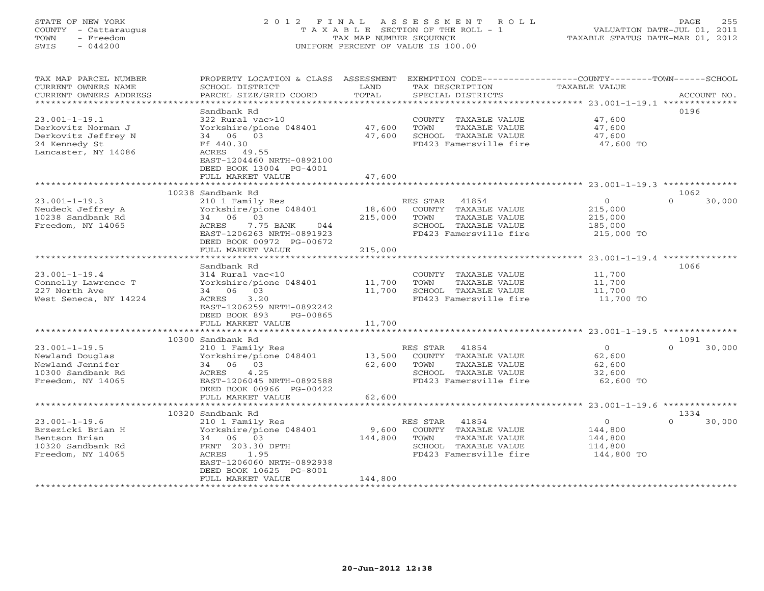# STATE OF NEW YORK 2 0 1 2 F I N A L A S S E S S M E N T R O L L PAGE 255 COUNTY - Cattaraugus T A X A B L E SECTION OF THE ROLL - 1 VALUATION DATE-JUL 01, 2011 TOWN - Freedom TAX MAP NUMBER SEQUENCE TAXABLE STATUS DATE-MAR 01, 2012 SWIS - 044200 UNIFORM PERCENT OF VALUE IS 100.00UNIFORM PERCENT OF VALUE IS 100.00

| CURRENT OWNERS NAME<br>SCHOOL DISTRICT<br>TAX DESCRIPTION<br><b>TAXABLE VALUE</b><br>LAND<br>TOTAL<br>PARCEL SIZE/GRID COORD<br>CURRENT OWNERS ADDRESS<br>SPECIAL DISTRICTS<br>ACCOUNT NO.<br>*********<br>********** 23.001-1-19.1 ***************<br>Sandbank Rd<br>0196<br>$23.001 - 1 - 19.1$<br>322 Rural vac>10<br>47,600<br>COUNTY TAXABLE VALUE<br>47,600<br>Yorkshire/pione 048401<br>47,600<br>Derkovitz Norman J<br>TOWN<br>TAXABLE VALUE<br>Derkovitz Jeffrey N<br>34 06 03<br>47,600<br>SCHOOL TAXABLE VALUE<br>47,600<br>24 Kennedy St<br>Ff 440.30<br>FD423 Famersville fire<br>47,600 TO<br>Lancaster, NY 14086<br>ACRES 49.55<br>EAST-1204460 NRTH-0892100<br>DEED BOOK 13004 PG-4001<br>47,600<br>FULL MARKET VALUE<br>10238 Sandbank Rd<br>1062<br>$\overline{0}$<br>$\Omega$<br>30,000<br>$23.001 - 1 - 19.3$<br>RES STAR<br>41854<br>210 1 Family Res<br>Yorkshire/pione 048401<br>18,600<br>COUNTY TAXABLE VALUE<br>215,000<br>Neudeck Jeffrey A<br>10238 Sandbank Rd<br>34 06 03<br>215,000<br>TOWN<br>TAXABLE VALUE<br>215,000<br>Freedom, NY 14065<br>7.75 BANK<br>SCHOOL TAXABLE VALUE<br>185,000<br>ACRES<br>044<br>EAST-1206263 NRTH-0891923<br>FD423 Famersville fire<br>215,000 TO<br>DEED BOOK 00972 PG-00672<br>FULL MARKET VALUE<br>215,000<br>1066<br>Sandbank Rd<br>$23.001 - 1 - 19.4$<br>11,700<br>314 Rural vac<10<br>COUNTY TAXABLE VALUE<br>11,700<br>Connelly Lawrence T<br>Yorkshire/pione 048401<br>TOWN<br>TAXABLE VALUE<br>11,700<br>227 North Ave<br>34 06 03<br>11,700<br>SCHOOL TAXABLE VALUE<br>11,700<br>11,700 TO<br>West Seneca, NY 14224<br>ACRES<br>3.20<br>FD423 Famersville fire<br>EAST-1206259 NRTH-0892242<br>DEED BOOK 893<br>PG-00865<br>11,700<br>FULL MARKET VALUE<br>10300 Sandbank Rd<br>1091<br>$23.001 - 1 - 19.5$<br>210 1 Family Res<br>RES STAR<br>41854<br>$\circ$<br>$\Omega$<br>30,000<br>Yorkshire/pione 048401<br>13,500<br>COUNTY TAXABLE VALUE<br>62,600<br>Newland Douglas<br>Newland Jennifer<br>34 06 03<br>62,600<br>TOWN<br>TAXABLE VALUE<br>62,600<br>10300 Sandbank Rd<br>ACRES<br>4.25<br>SCHOOL TAXABLE VALUE<br>32,600<br>Freedom, NY 14065<br>EAST-1206045 NRTH-0892588<br>FD423 Famersville fire<br>62,600 TO<br>DEED BOOK 00966 PG-00422<br>62,600<br>FULL MARKET VALUE<br>10320 Sandbank Rd<br>1334<br>41854<br>30,000<br>$23.001 - 1 - 19.6$<br>210 1 Family Res<br>RES STAR<br>$\circ$<br>$\cap$<br>9,600<br>Brzezicki Brian H<br>Yorkshire/pione 048401<br>COUNTY TAXABLE VALUE<br>144,800<br>TAXABLE VALUE<br>Bentson Brian<br>34 06 03<br>144,800<br>TOWN<br>144,800<br>10320 Sandbank Rd<br>FRNT 203.30 DPTH<br>SCHOOL TAXABLE VALUE<br>114,800<br>1.95<br>FD423 Famersville fire<br>144,800 TO<br>Freedom, NY 14065<br>ACRES<br>EAST-1206060 NRTH-0892938<br>DEED BOOK 10625 PG-8001<br>144,800<br>FULL MARKET VALUE | TAX MAP PARCEL NUMBER | PROPERTY LOCATION & CLASS ASSESSMENT | EXEMPTION CODE-----------------COUNTY-------TOWN------SCHOOL |  |
|------------------------------------------------------------------------------------------------------------------------------------------------------------------------------------------------------------------------------------------------------------------------------------------------------------------------------------------------------------------------------------------------------------------------------------------------------------------------------------------------------------------------------------------------------------------------------------------------------------------------------------------------------------------------------------------------------------------------------------------------------------------------------------------------------------------------------------------------------------------------------------------------------------------------------------------------------------------------------------------------------------------------------------------------------------------------------------------------------------------------------------------------------------------------------------------------------------------------------------------------------------------------------------------------------------------------------------------------------------------------------------------------------------------------------------------------------------------------------------------------------------------------------------------------------------------------------------------------------------------------------------------------------------------------------------------------------------------------------------------------------------------------------------------------------------------------------------------------------------------------------------------------------------------------------------------------------------------------------------------------------------------------------------------------------------------------------------------------------------------------------------------------------------------------------------------------------------------------------------------------------------------------------------------------------------------------------------------------------------------------------------------------------------------------------------------------------------------------------------------------------------------------------------------------------------------------------------------------------------------------------------------------------------------------------------------------------------------------------------------------------------------------------------------------------------------------|-----------------------|--------------------------------------|--------------------------------------------------------------|--|
|                                                                                                                                                                                                                                                                                                                                                                                                                                                                                                                                                                                                                                                                                                                                                                                                                                                                                                                                                                                                                                                                                                                                                                                                                                                                                                                                                                                                                                                                                                                                                                                                                                                                                                                                                                                                                                                                                                                                                                                                                                                                                                                                                                                                                                                                                                                                                                                                                                                                                                                                                                                                                                                                                                                                                                                                                        |                       |                                      |                                                              |  |
|                                                                                                                                                                                                                                                                                                                                                                                                                                                                                                                                                                                                                                                                                                                                                                                                                                                                                                                                                                                                                                                                                                                                                                                                                                                                                                                                                                                                                                                                                                                                                                                                                                                                                                                                                                                                                                                                                                                                                                                                                                                                                                                                                                                                                                                                                                                                                                                                                                                                                                                                                                                                                                                                                                                                                                                                                        |                       |                                      |                                                              |  |
|                                                                                                                                                                                                                                                                                                                                                                                                                                                                                                                                                                                                                                                                                                                                                                                                                                                                                                                                                                                                                                                                                                                                                                                                                                                                                                                                                                                                                                                                                                                                                                                                                                                                                                                                                                                                                                                                                                                                                                                                                                                                                                                                                                                                                                                                                                                                                                                                                                                                                                                                                                                                                                                                                                                                                                                                                        |                       |                                      |                                                              |  |
|                                                                                                                                                                                                                                                                                                                                                                                                                                                                                                                                                                                                                                                                                                                                                                                                                                                                                                                                                                                                                                                                                                                                                                                                                                                                                                                                                                                                                                                                                                                                                                                                                                                                                                                                                                                                                                                                                                                                                                                                                                                                                                                                                                                                                                                                                                                                                                                                                                                                                                                                                                                                                                                                                                                                                                                                                        |                       |                                      |                                                              |  |
|                                                                                                                                                                                                                                                                                                                                                                                                                                                                                                                                                                                                                                                                                                                                                                                                                                                                                                                                                                                                                                                                                                                                                                                                                                                                                                                                                                                                                                                                                                                                                                                                                                                                                                                                                                                                                                                                                                                                                                                                                                                                                                                                                                                                                                                                                                                                                                                                                                                                                                                                                                                                                                                                                                                                                                                                                        |                       |                                      |                                                              |  |
|                                                                                                                                                                                                                                                                                                                                                                                                                                                                                                                                                                                                                                                                                                                                                                                                                                                                                                                                                                                                                                                                                                                                                                                                                                                                                                                                                                                                                                                                                                                                                                                                                                                                                                                                                                                                                                                                                                                                                                                                                                                                                                                                                                                                                                                                                                                                                                                                                                                                                                                                                                                                                                                                                                                                                                                                                        |                       |                                      |                                                              |  |
|                                                                                                                                                                                                                                                                                                                                                                                                                                                                                                                                                                                                                                                                                                                                                                                                                                                                                                                                                                                                                                                                                                                                                                                                                                                                                                                                                                                                                                                                                                                                                                                                                                                                                                                                                                                                                                                                                                                                                                                                                                                                                                                                                                                                                                                                                                                                                                                                                                                                                                                                                                                                                                                                                                                                                                                                                        |                       |                                      |                                                              |  |
|                                                                                                                                                                                                                                                                                                                                                                                                                                                                                                                                                                                                                                                                                                                                                                                                                                                                                                                                                                                                                                                                                                                                                                                                                                                                                                                                                                                                                                                                                                                                                                                                                                                                                                                                                                                                                                                                                                                                                                                                                                                                                                                                                                                                                                                                                                                                                                                                                                                                                                                                                                                                                                                                                                                                                                                                                        |                       |                                      |                                                              |  |
|                                                                                                                                                                                                                                                                                                                                                                                                                                                                                                                                                                                                                                                                                                                                                                                                                                                                                                                                                                                                                                                                                                                                                                                                                                                                                                                                                                                                                                                                                                                                                                                                                                                                                                                                                                                                                                                                                                                                                                                                                                                                                                                                                                                                                                                                                                                                                                                                                                                                                                                                                                                                                                                                                                                                                                                                                        |                       |                                      |                                                              |  |
|                                                                                                                                                                                                                                                                                                                                                                                                                                                                                                                                                                                                                                                                                                                                                                                                                                                                                                                                                                                                                                                                                                                                                                                                                                                                                                                                                                                                                                                                                                                                                                                                                                                                                                                                                                                                                                                                                                                                                                                                                                                                                                                                                                                                                                                                                                                                                                                                                                                                                                                                                                                                                                                                                                                                                                                                                        |                       |                                      |                                                              |  |
|                                                                                                                                                                                                                                                                                                                                                                                                                                                                                                                                                                                                                                                                                                                                                                                                                                                                                                                                                                                                                                                                                                                                                                                                                                                                                                                                                                                                                                                                                                                                                                                                                                                                                                                                                                                                                                                                                                                                                                                                                                                                                                                                                                                                                                                                                                                                                                                                                                                                                                                                                                                                                                                                                                                                                                                                                        |                       |                                      |                                                              |  |
|                                                                                                                                                                                                                                                                                                                                                                                                                                                                                                                                                                                                                                                                                                                                                                                                                                                                                                                                                                                                                                                                                                                                                                                                                                                                                                                                                                                                                                                                                                                                                                                                                                                                                                                                                                                                                                                                                                                                                                                                                                                                                                                                                                                                                                                                                                                                                                                                                                                                                                                                                                                                                                                                                                                                                                                                                        |                       |                                      |                                                              |  |
|                                                                                                                                                                                                                                                                                                                                                                                                                                                                                                                                                                                                                                                                                                                                                                                                                                                                                                                                                                                                                                                                                                                                                                                                                                                                                                                                                                                                                                                                                                                                                                                                                                                                                                                                                                                                                                                                                                                                                                                                                                                                                                                                                                                                                                                                                                                                                                                                                                                                                                                                                                                                                                                                                                                                                                                                                        |                       |                                      |                                                              |  |
|                                                                                                                                                                                                                                                                                                                                                                                                                                                                                                                                                                                                                                                                                                                                                                                                                                                                                                                                                                                                                                                                                                                                                                                                                                                                                                                                                                                                                                                                                                                                                                                                                                                                                                                                                                                                                                                                                                                                                                                                                                                                                                                                                                                                                                                                                                                                                                                                                                                                                                                                                                                                                                                                                                                                                                                                                        |                       |                                      |                                                              |  |
|                                                                                                                                                                                                                                                                                                                                                                                                                                                                                                                                                                                                                                                                                                                                                                                                                                                                                                                                                                                                                                                                                                                                                                                                                                                                                                                                                                                                                                                                                                                                                                                                                                                                                                                                                                                                                                                                                                                                                                                                                                                                                                                                                                                                                                                                                                                                                                                                                                                                                                                                                                                                                                                                                                                                                                                                                        |                       |                                      |                                                              |  |
|                                                                                                                                                                                                                                                                                                                                                                                                                                                                                                                                                                                                                                                                                                                                                                                                                                                                                                                                                                                                                                                                                                                                                                                                                                                                                                                                                                                                                                                                                                                                                                                                                                                                                                                                                                                                                                                                                                                                                                                                                                                                                                                                                                                                                                                                                                                                                                                                                                                                                                                                                                                                                                                                                                                                                                                                                        |                       |                                      |                                                              |  |
|                                                                                                                                                                                                                                                                                                                                                                                                                                                                                                                                                                                                                                                                                                                                                                                                                                                                                                                                                                                                                                                                                                                                                                                                                                                                                                                                                                                                                                                                                                                                                                                                                                                                                                                                                                                                                                                                                                                                                                                                                                                                                                                                                                                                                                                                                                                                                                                                                                                                                                                                                                                                                                                                                                                                                                                                                        |                       |                                      |                                                              |  |
|                                                                                                                                                                                                                                                                                                                                                                                                                                                                                                                                                                                                                                                                                                                                                                                                                                                                                                                                                                                                                                                                                                                                                                                                                                                                                                                                                                                                                                                                                                                                                                                                                                                                                                                                                                                                                                                                                                                                                                                                                                                                                                                                                                                                                                                                                                                                                                                                                                                                                                                                                                                                                                                                                                                                                                                                                        |                       |                                      |                                                              |  |
|                                                                                                                                                                                                                                                                                                                                                                                                                                                                                                                                                                                                                                                                                                                                                                                                                                                                                                                                                                                                                                                                                                                                                                                                                                                                                                                                                                                                                                                                                                                                                                                                                                                                                                                                                                                                                                                                                                                                                                                                                                                                                                                                                                                                                                                                                                                                                                                                                                                                                                                                                                                                                                                                                                                                                                                                                        |                       |                                      |                                                              |  |
|                                                                                                                                                                                                                                                                                                                                                                                                                                                                                                                                                                                                                                                                                                                                                                                                                                                                                                                                                                                                                                                                                                                                                                                                                                                                                                                                                                                                                                                                                                                                                                                                                                                                                                                                                                                                                                                                                                                                                                                                                                                                                                                                                                                                                                                                                                                                                                                                                                                                                                                                                                                                                                                                                                                                                                                                                        |                       |                                      |                                                              |  |
|                                                                                                                                                                                                                                                                                                                                                                                                                                                                                                                                                                                                                                                                                                                                                                                                                                                                                                                                                                                                                                                                                                                                                                                                                                                                                                                                                                                                                                                                                                                                                                                                                                                                                                                                                                                                                                                                                                                                                                                                                                                                                                                                                                                                                                                                                                                                                                                                                                                                                                                                                                                                                                                                                                                                                                                                                        |                       |                                      |                                                              |  |
|                                                                                                                                                                                                                                                                                                                                                                                                                                                                                                                                                                                                                                                                                                                                                                                                                                                                                                                                                                                                                                                                                                                                                                                                                                                                                                                                                                                                                                                                                                                                                                                                                                                                                                                                                                                                                                                                                                                                                                                                                                                                                                                                                                                                                                                                                                                                                                                                                                                                                                                                                                                                                                                                                                                                                                                                                        |                       |                                      |                                                              |  |
|                                                                                                                                                                                                                                                                                                                                                                                                                                                                                                                                                                                                                                                                                                                                                                                                                                                                                                                                                                                                                                                                                                                                                                                                                                                                                                                                                                                                                                                                                                                                                                                                                                                                                                                                                                                                                                                                                                                                                                                                                                                                                                                                                                                                                                                                                                                                                                                                                                                                                                                                                                                                                                                                                                                                                                                                                        |                       |                                      |                                                              |  |
|                                                                                                                                                                                                                                                                                                                                                                                                                                                                                                                                                                                                                                                                                                                                                                                                                                                                                                                                                                                                                                                                                                                                                                                                                                                                                                                                                                                                                                                                                                                                                                                                                                                                                                                                                                                                                                                                                                                                                                                                                                                                                                                                                                                                                                                                                                                                                                                                                                                                                                                                                                                                                                                                                                                                                                                                                        |                       |                                      |                                                              |  |
|                                                                                                                                                                                                                                                                                                                                                                                                                                                                                                                                                                                                                                                                                                                                                                                                                                                                                                                                                                                                                                                                                                                                                                                                                                                                                                                                                                                                                                                                                                                                                                                                                                                                                                                                                                                                                                                                                                                                                                                                                                                                                                                                                                                                                                                                                                                                                                                                                                                                                                                                                                                                                                                                                                                                                                                                                        |                       |                                      |                                                              |  |
|                                                                                                                                                                                                                                                                                                                                                                                                                                                                                                                                                                                                                                                                                                                                                                                                                                                                                                                                                                                                                                                                                                                                                                                                                                                                                                                                                                                                                                                                                                                                                                                                                                                                                                                                                                                                                                                                                                                                                                                                                                                                                                                                                                                                                                                                                                                                                                                                                                                                                                                                                                                                                                                                                                                                                                                                                        |                       |                                      |                                                              |  |
|                                                                                                                                                                                                                                                                                                                                                                                                                                                                                                                                                                                                                                                                                                                                                                                                                                                                                                                                                                                                                                                                                                                                                                                                                                                                                                                                                                                                                                                                                                                                                                                                                                                                                                                                                                                                                                                                                                                                                                                                                                                                                                                                                                                                                                                                                                                                                                                                                                                                                                                                                                                                                                                                                                                                                                                                                        |                       |                                      |                                                              |  |
|                                                                                                                                                                                                                                                                                                                                                                                                                                                                                                                                                                                                                                                                                                                                                                                                                                                                                                                                                                                                                                                                                                                                                                                                                                                                                                                                                                                                                                                                                                                                                                                                                                                                                                                                                                                                                                                                                                                                                                                                                                                                                                                                                                                                                                                                                                                                                                                                                                                                                                                                                                                                                                                                                                                                                                                                                        |                       |                                      |                                                              |  |
|                                                                                                                                                                                                                                                                                                                                                                                                                                                                                                                                                                                                                                                                                                                                                                                                                                                                                                                                                                                                                                                                                                                                                                                                                                                                                                                                                                                                                                                                                                                                                                                                                                                                                                                                                                                                                                                                                                                                                                                                                                                                                                                                                                                                                                                                                                                                                                                                                                                                                                                                                                                                                                                                                                                                                                                                                        |                       |                                      |                                                              |  |
|                                                                                                                                                                                                                                                                                                                                                                                                                                                                                                                                                                                                                                                                                                                                                                                                                                                                                                                                                                                                                                                                                                                                                                                                                                                                                                                                                                                                                                                                                                                                                                                                                                                                                                                                                                                                                                                                                                                                                                                                                                                                                                                                                                                                                                                                                                                                                                                                                                                                                                                                                                                                                                                                                                                                                                                                                        |                       |                                      |                                                              |  |
|                                                                                                                                                                                                                                                                                                                                                                                                                                                                                                                                                                                                                                                                                                                                                                                                                                                                                                                                                                                                                                                                                                                                                                                                                                                                                                                                                                                                                                                                                                                                                                                                                                                                                                                                                                                                                                                                                                                                                                                                                                                                                                                                                                                                                                                                                                                                                                                                                                                                                                                                                                                                                                                                                                                                                                                                                        |                       |                                      |                                                              |  |
|                                                                                                                                                                                                                                                                                                                                                                                                                                                                                                                                                                                                                                                                                                                                                                                                                                                                                                                                                                                                                                                                                                                                                                                                                                                                                                                                                                                                                                                                                                                                                                                                                                                                                                                                                                                                                                                                                                                                                                                                                                                                                                                                                                                                                                                                                                                                                                                                                                                                                                                                                                                                                                                                                                                                                                                                                        |                       |                                      |                                                              |  |
|                                                                                                                                                                                                                                                                                                                                                                                                                                                                                                                                                                                                                                                                                                                                                                                                                                                                                                                                                                                                                                                                                                                                                                                                                                                                                                                                                                                                                                                                                                                                                                                                                                                                                                                                                                                                                                                                                                                                                                                                                                                                                                                                                                                                                                                                                                                                                                                                                                                                                                                                                                                                                                                                                                                                                                                                                        |                       |                                      |                                                              |  |
|                                                                                                                                                                                                                                                                                                                                                                                                                                                                                                                                                                                                                                                                                                                                                                                                                                                                                                                                                                                                                                                                                                                                                                                                                                                                                                                                                                                                                                                                                                                                                                                                                                                                                                                                                                                                                                                                                                                                                                                                                                                                                                                                                                                                                                                                                                                                                                                                                                                                                                                                                                                                                                                                                                                                                                                                                        |                       |                                      |                                                              |  |
|                                                                                                                                                                                                                                                                                                                                                                                                                                                                                                                                                                                                                                                                                                                                                                                                                                                                                                                                                                                                                                                                                                                                                                                                                                                                                                                                                                                                                                                                                                                                                                                                                                                                                                                                                                                                                                                                                                                                                                                                                                                                                                                                                                                                                                                                                                                                                                                                                                                                                                                                                                                                                                                                                                                                                                                                                        |                       |                                      |                                                              |  |
|                                                                                                                                                                                                                                                                                                                                                                                                                                                                                                                                                                                                                                                                                                                                                                                                                                                                                                                                                                                                                                                                                                                                                                                                                                                                                                                                                                                                                                                                                                                                                                                                                                                                                                                                                                                                                                                                                                                                                                                                                                                                                                                                                                                                                                                                                                                                                                                                                                                                                                                                                                                                                                                                                                                                                                                                                        |                       |                                      |                                                              |  |
|                                                                                                                                                                                                                                                                                                                                                                                                                                                                                                                                                                                                                                                                                                                                                                                                                                                                                                                                                                                                                                                                                                                                                                                                                                                                                                                                                                                                                                                                                                                                                                                                                                                                                                                                                                                                                                                                                                                                                                                                                                                                                                                                                                                                                                                                                                                                                                                                                                                                                                                                                                                                                                                                                                                                                                                                                        |                       |                                      |                                                              |  |
|                                                                                                                                                                                                                                                                                                                                                                                                                                                                                                                                                                                                                                                                                                                                                                                                                                                                                                                                                                                                                                                                                                                                                                                                                                                                                                                                                                                                                                                                                                                                                                                                                                                                                                                                                                                                                                                                                                                                                                                                                                                                                                                                                                                                                                                                                                                                                                                                                                                                                                                                                                                                                                                                                                                                                                                                                        |                       |                                      |                                                              |  |
|                                                                                                                                                                                                                                                                                                                                                                                                                                                                                                                                                                                                                                                                                                                                                                                                                                                                                                                                                                                                                                                                                                                                                                                                                                                                                                                                                                                                                                                                                                                                                                                                                                                                                                                                                                                                                                                                                                                                                                                                                                                                                                                                                                                                                                                                                                                                                                                                                                                                                                                                                                                                                                                                                                                                                                                                                        |                       |                                      |                                                              |  |
|                                                                                                                                                                                                                                                                                                                                                                                                                                                                                                                                                                                                                                                                                                                                                                                                                                                                                                                                                                                                                                                                                                                                                                                                                                                                                                                                                                                                                                                                                                                                                                                                                                                                                                                                                                                                                                                                                                                                                                                                                                                                                                                                                                                                                                                                                                                                                                                                                                                                                                                                                                                                                                                                                                                                                                                                                        |                       |                                      |                                                              |  |
|                                                                                                                                                                                                                                                                                                                                                                                                                                                                                                                                                                                                                                                                                                                                                                                                                                                                                                                                                                                                                                                                                                                                                                                                                                                                                                                                                                                                                                                                                                                                                                                                                                                                                                                                                                                                                                                                                                                                                                                                                                                                                                                                                                                                                                                                                                                                                                                                                                                                                                                                                                                                                                                                                                                                                                                                                        |                       |                                      |                                                              |  |
|                                                                                                                                                                                                                                                                                                                                                                                                                                                                                                                                                                                                                                                                                                                                                                                                                                                                                                                                                                                                                                                                                                                                                                                                                                                                                                                                                                                                                                                                                                                                                                                                                                                                                                                                                                                                                                                                                                                                                                                                                                                                                                                                                                                                                                                                                                                                                                                                                                                                                                                                                                                                                                                                                                                                                                                                                        |                       |                                      |                                                              |  |
|                                                                                                                                                                                                                                                                                                                                                                                                                                                                                                                                                                                                                                                                                                                                                                                                                                                                                                                                                                                                                                                                                                                                                                                                                                                                                                                                                                                                                                                                                                                                                                                                                                                                                                                                                                                                                                                                                                                                                                                                                                                                                                                                                                                                                                                                                                                                                                                                                                                                                                                                                                                                                                                                                                                                                                                                                        |                       |                                      |                                                              |  |
|                                                                                                                                                                                                                                                                                                                                                                                                                                                                                                                                                                                                                                                                                                                                                                                                                                                                                                                                                                                                                                                                                                                                                                                                                                                                                                                                                                                                                                                                                                                                                                                                                                                                                                                                                                                                                                                                                                                                                                                                                                                                                                                                                                                                                                                                                                                                                                                                                                                                                                                                                                                                                                                                                                                                                                                                                        |                       |                                      |                                                              |  |
|                                                                                                                                                                                                                                                                                                                                                                                                                                                                                                                                                                                                                                                                                                                                                                                                                                                                                                                                                                                                                                                                                                                                                                                                                                                                                                                                                                                                                                                                                                                                                                                                                                                                                                                                                                                                                                                                                                                                                                                                                                                                                                                                                                                                                                                                                                                                                                                                                                                                                                                                                                                                                                                                                                                                                                                                                        |                       |                                      |                                                              |  |
|                                                                                                                                                                                                                                                                                                                                                                                                                                                                                                                                                                                                                                                                                                                                                                                                                                                                                                                                                                                                                                                                                                                                                                                                                                                                                                                                                                                                                                                                                                                                                                                                                                                                                                                                                                                                                                                                                                                                                                                                                                                                                                                                                                                                                                                                                                                                                                                                                                                                                                                                                                                                                                                                                                                                                                                                                        |                       |                                      |                                                              |  |
|                                                                                                                                                                                                                                                                                                                                                                                                                                                                                                                                                                                                                                                                                                                                                                                                                                                                                                                                                                                                                                                                                                                                                                                                                                                                                                                                                                                                                                                                                                                                                                                                                                                                                                                                                                                                                                                                                                                                                                                                                                                                                                                                                                                                                                                                                                                                                                                                                                                                                                                                                                                                                                                                                                                                                                                                                        |                       |                                      |                                                              |  |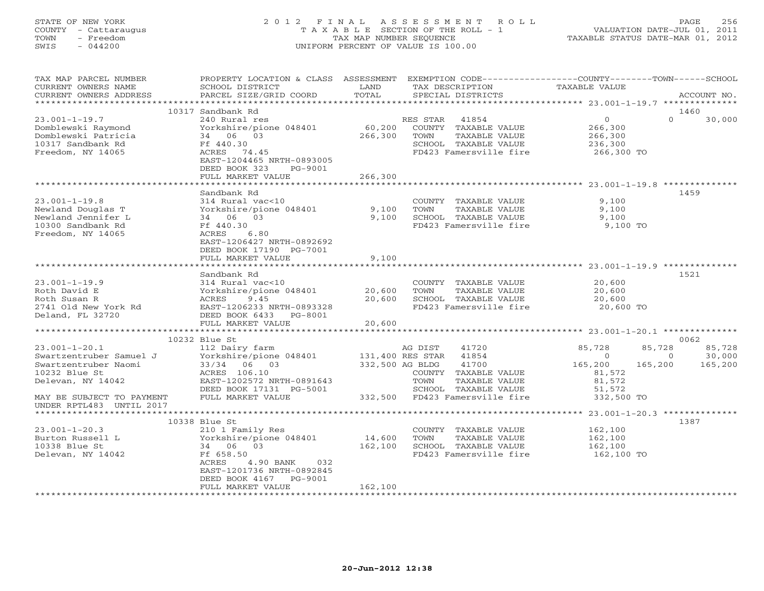# STATE OF NEW YORK 2 0 1 2 F I N A L A S S E S S M E N T R O L L PAGE 256 COUNTY - Cattaraugus T A X A B L E SECTION OF THE ROLL - 1 VALUATION DATE-JUL 01, 2011 TOWN - Freedom TAX MAP NUMBER SEQUENCE TAXABLE STATUS DATE-MAR 01, 2012 SWIS - 044200 UNIFORM PERCENT OF VALUE IS 100.00UNIFORM PERCENT OF VALUE IS 100.00

| TAX MAP PARCEL NUMBER<br>CURRENT OWNERS NAME<br>CURRENT OWNERS ADDRESS                                   | PROPERTY LOCATION & CLASS ASSESSMENT<br>SCHOOL DISTRICT<br>PARCEL SIZE/GRID COORD                                 | LAND<br>TOTAL     | TAX DESCRIPTION<br>SPECIAL DISTRICTS                                                            | EXEMPTION CODE-----------------COUNTY-------TOWN------SCHOOL<br>TAXABLE VALUE | ACCOUNT NO. |
|----------------------------------------------------------------------------------------------------------|-------------------------------------------------------------------------------------------------------------------|-------------------|-------------------------------------------------------------------------------------------------|-------------------------------------------------------------------------------|-------------|
|                                                                                                          |                                                                                                                   |                   |                                                                                                 |                                                                               |             |
|                                                                                                          | 10317 Sandbank Rd                                                                                                 |                   |                                                                                                 |                                                                               | 1460        |
| $23.001 - 1 - 19.7$<br>Domblewski Raymond<br>Domblewski Patricia<br>10317 Sandbank Rd                    | 240 Rural res<br>Yorkshire/pione 048401<br>34 06 03<br>Ff 440.30                                                  | 60,200<br>266,300 | RES STAR<br>41854<br>COUNTY TAXABLE VALUE<br>TOWN<br>TAXABLE VALUE<br>SCHOOL TAXABLE VALUE      | $\Omega$<br>$\overline{0}$<br>266,300<br>266,300<br>236,300                   | 30,000      |
| Freedom, NY 14065                                                                                        | ACRES 74.45<br>EAST-1204465 NRTH-0893005<br>DEED BOOK 323<br>PG-9001<br>FULL MARKET VALUE                         | 266,300           | FD423 Famersville fire                                                                          | 266,300 TO                                                                    |             |
|                                                                                                          |                                                                                                                   |                   |                                                                                                 |                                                                               |             |
|                                                                                                          | Sandbank Rd                                                                                                       |                   |                                                                                                 |                                                                               | 1459        |
| $23.001 - 1 - 19.8$<br>Newland Douglas T<br>Newland Jennifer L<br>10300 Sandbank Rd<br>Freedom, NY 14065 | 314 Rural vac<10<br>Yorkshire/pione 048401<br>34 06 03<br>Ff 440.30<br>ACRES<br>6.80<br>EAST-1206427 NRTH-0892692 | 9,100<br>9,100    | COUNTY TAXABLE VALUE<br>TOWN<br>TAXABLE VALUE<br>SCHOOL TAXABLE VALUE<br>FD423 Famersville fire | 9,100<br>9,100<br>9,100<br>9,100 TO                                           |             |
|                                                                                                          | DEED BOOK 17190 PG-7001<br>FULL MARKET VALUE                                                                      | 9,100             |                                                                                                 |                                                                               |             |
|                                                                                                          |                                                                                                                   |                   |                                                                                                 |                                                                               |             |
|                                                                                                          | Sandbank Rd                                                                                                       |                   |                                                                                                 |                                                                               | 1521        |
| $23.001 - 1 - 19.9$<br>Roth David E                                                                      | 314 Rural vac<10<br>Yorkshire/pione 048401                                                                        | 20,600            | COUNTY TAXABLE VALUE<br>TOWN<br>TAXABLE VALUE                                                   | 20,600<br>20,600                                                              |             |
| Roth Susan R<br>2741 Old New York Rd<br>Deland, FL 32720                                                 | 9.45<br>ACRES<br>EAST-1206233 NRTH-0893328<br>DEED BOOK 6433 PG-8001                                              | 20,600            | SCHOOL TAXABLE VALUE<br>FD423 Famersville fire                                                  | 20,600<br>20,600 TO                                                           |             |
|                                                                                                          | FULL MARKET VALUE<br>***************************                                                                  | 20,600            |                                                                                                 |                                                                               |             |
|                                                                                                          | 10232 Blue St                                                                                                     |                   |                                                                                                 |                                                                               | 0062        |
| $23.001 - 1 - 20.1$                                                                                      | 112 Dairy farm                                                                                                    |                   | 41720<br>AG DIST                                                                                | 85,728<br>85,728                                                              | 85,728      |
| Swartzentruber Samuel J                                                                                  | Yorkshire/pione 048401                                                                                            |                   | 41854<br>131,400 RES STAR                                                                       | $\Omega$<br>$\Omega$                                                          | 30,000      |
| Swartzentruber Naomi                                                                                     | 33/34 06 03                                                                                                       | 332,500 AG BLDG   | 41700                                                                                           | 165,200<br>165,200                                                            | 165,200     |
| 10232 Blue St                                                                                            | ACRES 106.10                                                                                                      |                   | COUNTY TAXABLE VALUE                                                                            | 81,572                                                                        |             |
| Delevan, NY 14042                                                                                        | EAST-1202572 NRTH-0891643                                                                                         |                   | TOWN<br>TAXABLE VALUE                                                                           | 81,572                                                                        |             |
|                                                                                                          | DEED BOOK 17131 PG-5001                                                                                           |                   | SCHOOL TAXABLE VALUE                                                                            | 51,572                                                                        |             |
| MAY BE SUBJECT TO PAYMENT<br>UNDER RPTL483 UNTIL 2017                                                    | FULL MARKET VALUE                                                                                                 |                   | 332,500 FD423 Famersville fire                                                                  | 332,500 TO                                                                    |             |
|                                                                                                          | 10338 Blue St                                                                                                     |                   |                                                                                                 |                                                                               | 1387        |
| $23.001 - 1 - 20.3$                                                                                      | 210 1 Family Res                                                                                                  |                   | COUNTY TAXABLE VALUE                                                                            | 162,100                                                                       |             |
| Burton Russell L                                                                                         | Yorkshire/pione 048401                                                                                            | 14,600            | TOWN<br>TAXABLE VALUE                                                                           | 162,100                                                                       |             |
| 10338 Blue St                                                                                            | 34 06 03                                                                                                          | 162,100           | SCHOOL TAXABLE VALUE                                                                            | 162,100                                                                       |             |
| Delevan, NY 14042                                                                                        | Ff 658.50<br>ACRES<br>4.90 BANK<br>032<br>EAST-1201736 NRTH-0892845<br>DEED BOOK 4167<br>PG-9001                  |                   | FD423 Famersville fire                                                                          | 162,100 TO                                                                    |             |
|                                                                                                          | FULL MARKET VALUE                                                                                                 | 162,100           |                                                                                                 |                                                                               |             |
|                                                                                                          |                                                                                                                   |                   |                                                                                                 |                                                                               |             |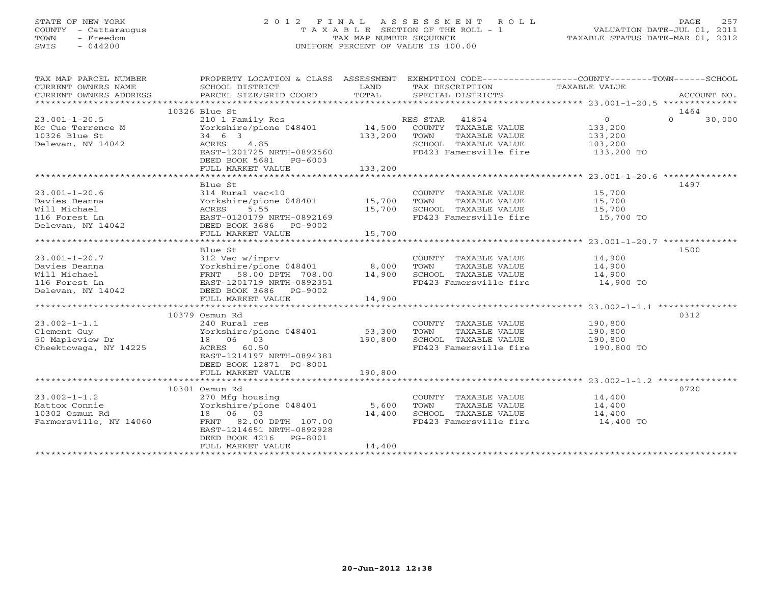# STATE OF NEW YORK 2 0 1 2 F I N A L A S S E S S M E N T R O L L PAGE 257 COUNTY - Cattaraugus T A X A B L E SECTION OF THE ROLL - 1 VALUATION DATE-JUL 01, 2011 TOWN - Freedom TAX MAP NUMBER SEQUENCE TAXABLE STATUS DATE-MAR 01, 2012 SWIS - 044200 UNIFORM PERCENT OF VALUE IS 100.00UNIFORM PERCENT OF VALUE IS 100.00

| TAX MAP PARCEL NUMBER<br>CURRENT OWNERS NAME<br>CURRENT OWNERS ADDRESS               | PROPERTY LOCATION & CLASS ASSESSMENT EXEMPTION CODE----------------COUNTY-------TOWN------SCHOOL<br>SCHOOL DISTRICT<br>PARCEL SIZE/GRID COORD | LAND<br>TOTAL | TAX DESCRIPTION<br>SPECIAL DISTRICTS                  | TAXABLE VALUE    | ACCOUNT NO.        |
|--------------------------------------------------------------------------------------|-----------------------------------------------------------------------------------------------------------------------------------------------|---------------|-------------------------------------------------------|------------------|--------------------|
|                                                                                      |                                                                                                                                               |               |                                                       |                  |                    |
|                                                                                      | 10326 Blue St                                                                                                                                 |               |                                                       |                  | 1464               |
| $23.001 - 1 - 20.5$                                                                  | 210 1 Family Res                               RES STAR     41854<br>Yorkshire/pione 048401             14,500   COUNTY  TAXABLE VALUE        |               |                                                       | $\overline{0}$   | $\Omega$<br>30,000 |
| 23.001-1-20.00<br>Mc Cue Terrence M                                                  |                                                                                                                                               |               |                                                       | 133,200          |                    |
| 10326 Blue St                                                                        | 34 6 3<br>ACRES                                                                                                                               | 133,200 TOWN  | TAXABLE VALUE                                         | 133,200          |                    |
| Delevan, NY 14042                                                                    | ACRES 4.85                                                                                                                                    |               | SCHOOL TAXABLE VALUE                                  | 103,200          |                    |
|                                                                                      | EAST-1201725 NRTH-0892560                                                                                                                     |               | FD423 Famersville fire 133,200 TO                     |                  |                    |
|                                                                                      | DEED BOOK 5681 PG-6003                                                                                                                        |               |                                                       |                  |                    |
|                                                                                      | FULL MARKET VALUE                                                                                                                             | 133,200       |                                                       |                  |                    |
|                                                                                      |                                                                                                                                               |               |                                                       |                  |                    |
|                                                                                      | Blue St                                                                                                                                       |               |                                                       |                  | 1497               |
| $23.001 - 1 - 20.6$                                                                  | 314 Rural vac<10                                                                                                                              |               | COUNTY TAXABLE VALUE 15,700                           |                  |                    |
| Davies Deanna                                                                        | Yorkshire/pione 048401 15,700                                                                                                                 |               |                                                       |                  |                    |
| Will Michael                                                                         | ACRES<br>5.55                                                                                                                                 | 15,700        | TOWN       TAXABLE  VALUE<br>SCHOOL    TAXABLE  VALUE | 15,700<br>15,700 |                    |
| 116 Forest Ln                                                                        | EAST-0120179 NRTH-0892169                                                                                                                     |               | FD423 Famersville fire 15,700 TO                      |                  |                    |
| Delevan, NY 14042                                                                    | DEED BOOK 3686 PG-9002                                                                                                                        |               |                                                       |                  |                    |
|                                                                                      |                                                                                                                                               |               |                                                       |                  |                    |
|                                                                                      |                                                                                                                                               |               |                                                       |                  |                    |
|                                                                                      | Blue St                                                                                                                                       |               |                                                       |                  | 1500               |
| $23.001 - 1 - 20.7$                                                                  |                                                                                                                                               |               | COUNTY TAXABLE VALUE 14,900                           |                  |                    |
|                                                                                      | 312 Vac w/imprv<br>Yorkshire/pione 048401 8,000                                                                                               |               | TOWN<br>TAXABLE VALUE                                 | 14,900           |                    |
|                                                                                      | FRNT 58.00 DPTH 708.00                                                                                                                        | 14,900        | SCHOOL TAXABLE VALUE 14,900                           |                  |                    |
|                                                                                      | EAST-1201719 NRTH-0892351                                                                                                                     |               | FD423 Famersville fire 14,900 TO                      |                  |                    |
| 23.001-1-20.7<br>Davies Deanna<br>Will Michael<br>116 Forest Ln<br>Delevan, NY 14042 | DEED BOOK 3686 PG-9002                                                                                                                        |               |                                                       |                  |                    |
|                                                                                      | FULL MARKET VALUE                                                                                                                             | 14,900        |                                                       |                  |                    |
|                                                                                      |                                                                                                                                               |               |                                                       |                  |                    |
|                                                                                      | 10379 Osmun Rd                                                                                                                                |               |                                                       |                  | 0312               |
| $23.002 - 1 - 1.1$                                                                   | 240 Rural res                                                                                                                                 |               | COUNTY TAXABLE VALUE                                  | 190,800          |                    |
| Clement Guy                                                                          | 240 Nutu 100<br>Yorkshire/pione 048401 53,300                                                                                                 |               | TAXABLE VALUE<br>TOWN                                 | 190,800          |                    |
| 50 Mapleview Dr                                                                      | 18  06  03                                                                                                                                    | 190,800       | SCHOOL TAXABLE VALUE 190,800                          |                  |                    |
| Cheektowaga, NY 14225                                                                | ACRES 60.50                                                                                                                                   |               | FD423 Famersville fire                                | 190,800 TO       |                    |
|                                                                                      | EAST-1214197 NRTH-0894381                                                                                                                     |               |                                                       |                  |                    |
|                                                                                      | DEED BOOK 12871 PG-8001                                                                                                                       |               |                                                       |                  |                    |
|                                                                                      | FULL MARKET VALUE                                                                                                                             | 190,800       |                                                       |                  |                    |
|                                                                                      |                                                                                                                                               |               |                                                       |                  |                    |
|                                                                                      | 10301 Osmun Rd                                                                                                                                |               |                                                       |                  | 0720               |
| $23.002 - 1 - 1.2$                                                                   | 270 Mfg housing<br>Yorkshire/pione 048401<br>18 06 03                                                                                         |               | COUNTY TAXABLE VALUE 14,400                           |                  |                    |
| Mattox Connie                                                                        |                                                                                                                                               | 5,600         | TAXABLE VALUE<br>TOWN                                 | 14,400           |                    |
| 10302 Osmun Rd                                                                       |                                                                                                                                               | 14,400        | SCHOOL TAXABLE VALUE                                  | 14,400           |                    |
| Farmersville, NY 14060                                                               | FRNT 82.00 DPTH 107.00                                                                                                                        |               | FD423 Famersville fire 14,400 TO                      |                  |                    |
|                                                                                      | EAST-1214651 NRTH-0892928                                                                                                                     |               |                                                       |                  |                    |
|                                                                                      | DEED BOOK 4216<br>PG-8001                                                                                                                     |               |                                                       |                  |                    |
|                                                                                      | FULL MARKET VALUE                                                                                                                             | 14,400        |                                                       |                  |                    |
|                                                                                      |                                                                                                                                               |               |                                                       |                  |                    |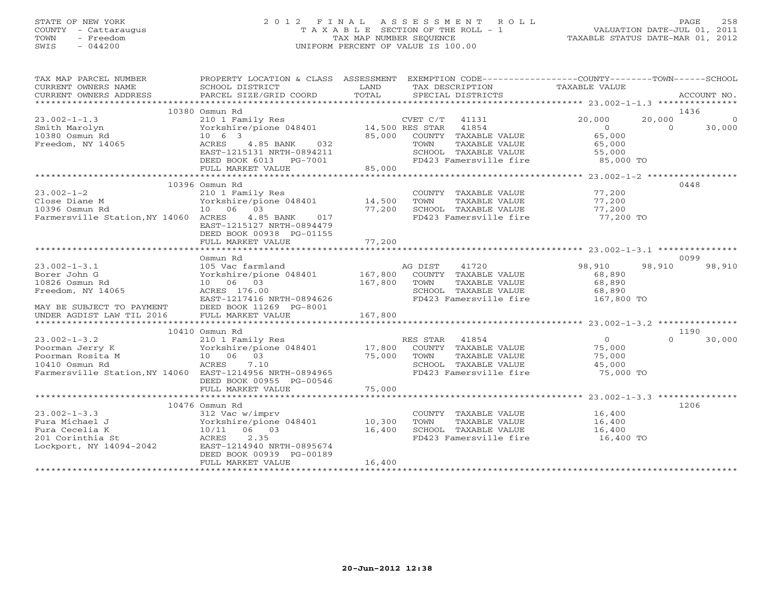# STATE OF NEW YORK 2 0 1 2 F I N A L A S S E S S M E N T R O L L PAGE 258 COUNTY - Cattaraugus T A X A B L E SECTION OF THE ROLL - 1 VALUATION DATE-JUL 01, 2011 TOWN - Freedom TAX MAP NUMBER SEQUENCE TAXABLE STATUS DATE-MAR 01, 2012 SWIS - 044200 UNIFORM PERCENT OF VALUE IS 100.00UNIFORM PERCENT OF VALUE IS 100.00

| TAX MAP PARCEL NUMBER                                    | PROPERTY LOCATION & CLASS ASSESSMENT EXEMPTION CODE---------------COUNTY-------TOWN------SCHOOL |                 |                                                |                     |          |             |
|----------------------------------------------------------|-------------------------------------------------------------------------------------------------|-----------------|------------------------------------------------|---------------------|----------|-------------|
| CURRENT OWNERS NAME                                      | SCHOOL DISTRICT                                                                                 | LAND            | TAX DESCRIPTION                                | TAXABLE VALUE       |          |             |
| CURRENT OWNERS ADDRESS                                   | PARCEL SIZE/GRID COORD                                                                          | TOTAL           | SPECIAL DISTRICTS                              |                     |          | ACCOUNT NO. |
|                                                          |                                                                                                 |                 |                                                |                     |          |             |
|                                                          | 10380 Osmun Rd                                                                                  |                 |                                                |                     |          | 1436        |
| $23.002 - 1 - 1.3$                                       | 210 1 Family Res                                                                                |                 | CVET C/T<br>41131                              | 20,000              | 20,000   | $\Omega$    |
| Smith Marolyn                                            | Yorkshire/pione 048401                                                                          | 14,500 RES STAR | 41854                                          | $\overline{0}$      | $\Omega$ | 30,000      |
| 10380 Osmun Rd                                           | $10 \t 6 \t 3$                                                                                  | 85,000          | COUNTY TAXABLE VALUE                           | 65,000              |          |             |
| Freedom, NY 14065                                        | ACRES<br>032<br>4.85 BANK                                                                       |                 | TAXABLE VALUE<br>TOWN                          | 65,000              |          |             |
|                                                          | EAST-1215131 NRTH-0894211<br>DEED BOOK 6013 PG-7001                                             |                 | SCHOOL TAXABLE VALUE<br>FD423 Famersville fire | 55,000<br>85,000 TO |          |             |
|                                                          | FULL MARKET VALUE                                                                               | 85,000          |                                                |                     |          |             |
|                                                          |                                                                                                 |                 |                                                |                     |          |             |
|                                                          | 10396 Osmun Rd                                                                                  |                 |                                                |                     |          | 0448        |
| $23.002 - 1 - 2$                                         | 210 1 Family Res                                                                                |                 | COUNTY TAXABLE VALUE                           | 77,200              |          |             |
| Close Diane M                                            | Yorkshire/pione 048401                                                                          | 14,500          | TOWN<br>TAXABLE VALUE                          | 77,200              |          |             |
| 10396 Osmun Rd                                           | 03<br>10 06                                                                                     | 77,200          | SCHOOL TAXABLE VALUE                           | 77,200              |          |             |
| Farmersville Station, NY 14060 ACRES                     | 4.85 BANK<br>017                                                                                |                 | FD423 Famersville fire                         | 77,200 TO           |          |             |
|                                                          | EAST-1215127 NRTH-0894479                                                                       |                 |                                                |                     |          |             |
|                                                          | DEED BOOK 00938 PG-01155                                                                        |                 |                                                |                     |          |             |
|                                                          | FULL MARKET VALUE                                                                               | 77,200          |                                                |                     |          |             |
|                                                          |                                                                                                 |                 |                                                |                     |          |             |
|                                                          | Osmun Rd                                                                                        |                 |                                                |                     |          | 0099        |
| $23.002 - 1 - 3.1$                                       | 105 Vac farmland                                                                                |                 | AG DIST<br>41720                               | 98,910              | 98,910   | 98,910      |
| Borer John G                                             | Yorkshire/pione 048401                                                                          | 167,800         | COUNTY TAXABLE VALUE                           | 68,890              |          |             |
| 10826 Osmun Rd                                           | 10 06 03                                                                                        | 167,800         | TOWN<br>TAXABLE VALUE                          | 68,890              |          |             |
| Freedom, NY 14065                                        | ACRES 176.00                                                                                    |                 | SCHOOL TAXABLE VALUE                           | 68,890              |          |             |
|                                                          | EAST-1217416 NRTH-0894626                                                                       |                 | FD423 Famersville fire                         | 167,800 TO          |          |             |
| MAY BE SUBJECT TO PAYMENT                                | DEED BOOK 11269 PG-8001                                                                         |                 |                                                |                     |          |             |
| UNDER AGDIST LAW TIL 2016                                | FULL MARKET VALUE                                                                               | 167,800         |                                                |                     |          |             |
|                                                          |                                                                                                 |                 |                                                |                     |          |             |
|                                                          | 10410 Osmun Rd                                                                                  |                 |                                                |                     |          | 1190        |
| $23.002 - 1 - 3.2$                                       | 210 1 Family Res                                                                                |                 | RES STAR 41854                                 | 0                   | $\Omega$ | 30,000      |
| Poorman Jerry K                                          | Yorkshire/pione 048401                                                                          | 17,800          | COUNTY TAXABLE VALUE                           | 75,000              |          |             |
| Poorman Rosita M                                         | 10 06 03                                                                                        | 75,000          | TAXABLE VALUE<br>TOWN                          | 75,000              |          |             |
| 10410 Osmun Rd                                           | ACRES<br>7.10                                                                                   |                 | SCHOOL TAXABLE VALUE                           | 45,000              |          |             |
| Farmersville Station, NY 14060 EAST-1214956 NRTH-0894965 |                                                                                                 |                 | FD423 Famersville fire                         | 75,000 TO           |          |             |
|                                                          | DEED BOOK 00955 PG-00546                                                                        |                 |                                                |                     |          |             |
|                                                          | FULL MARKET VALUE                                                                               | 75,000          |                                                |                     |          |             |
|                                                          |                                                                                                 |                 |                                                |                     |          |             |
|                                                          | 10476 Osmun Rd                                                                                  |                 |                                                |                     |          | 1206        |
| $23.002 - 1 - 3.3$                                       | 312 Vac w/imprv                                                                                 |                 | COUNTY TAXABLE VALUE                           | 16,400              |          |             |
| Fura Michael J                                           | Yorkshire/pione 048401                                                                          | 10,300          | TAXABLE VALUE<br>TOWN                          | 16,400              |          |             |
| Fura Cecelia K                                           | 10/11 06 03                                                                                     | 16,400          | SCHOOL TAXABLE VALUE                           | 16,400              |          |             |
| 201 Corinthia St                                         | 2.35<br>ACRES                                                                                   |                 | FD423 Famersville fire                         | 16,400 TO           |          |             |
| Lockport, NY 14094-2042                                  | EAST-1214940 NRTH-0895674                                                                       |                 |                                                |                     |          |             |
|                                                          | DEED BOOK 00939 PG-00189                                                                        |                 |                                                |                     |          |             |
|                                                          | FULL MARKET VALUE                                                                               | 16,400          |                                                |                     |          |             |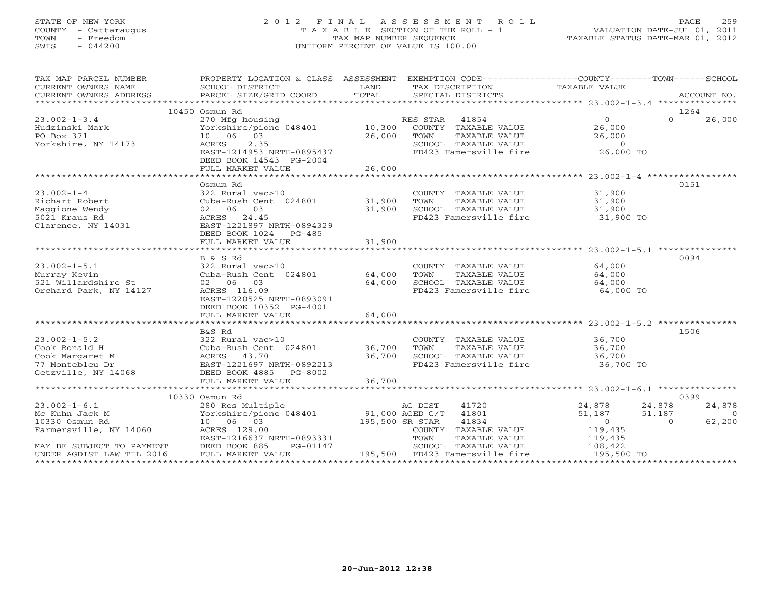# STATE OF NEW YORK 2 0 1 2 F I N A L A S S E S S M E N T R O L L PAGE 259 COUNTY - Cattaraugus T A X A B L E SECTION OF THE ROLL - 1 VALUATION DATE-JUL 01, 2011 TOWN - Freedom TAX MAP NUMBER SEQUENCE TAXABLE STATUS DATE-MAR 01, 2012 SWIS - 044200 UNIFORM PERCENT OF VALUE IS 100.00UNIFORM PERCENT OF VALUE IS 100.00

| TAX MAP PARCEL NUMBER<br>CURRENT OWNERS NAME                                                                             | PROPERTY LOCATION & CLASS ASSESSMENT EXEMPTION CODE----------------COUNTY-------TOWN------SCHOOL<br>SCHOOL DISTRICT | LAND                                 | TAX DESCRIPTION                                          | TAXABLE VALUE              |                                    |
|--------------------------------------------------------------------------------------------------------------------------|---------------------------------------------------------------------------------------------------------------------|--------------------------------------|----------------------------------------------------------|----------------------------|------------------------------------|
| CURRENT OWNERS ADDRESS                                                                                                   | PARCEL SIZE/GRID COORD                                                                                              | TOTAL                                | SPECIAL DISTRICTS                                        |                            | ACCOUNT NO.                        |
|                                                                                                                          |                                                                                                                     |                                      |                                                          |                            |                                    |
|                                                                                                                          | 10450 Osmun Rd                                                                                                      |                                      |                                                          |                            | 1264                               |
| $23.002 - 1 - 3.4$                                                                                                       | 270 Mfg housing<br>Yorkshire/pione 048401 10,300                                                                    |                                      | RES STAR 41854<br>COUNTY TAXABLE VALUE                   | $\overline{0}$             | $\Omega$<br>26,000                 |
| Hudzinski Mark<br>PO Box 371                                                                                             | 10 06 03                                                                                                            | 26,000 TOWN                          | TAXABLE VALUE                                            | 26,000                     |                                    |
| Yorkshire, NY 14173                                                                                                      | 2.35<br>ACRES                                                                                                       |                                      | SCHOOL TAXABLE VALUE                                     |                            |                                    |
|                                                                                                                          | EAST-1214953 NRTH-0895437                                                                                           |                                      | FD423 Famersville fire 26,000 TO                         | $26, 60$<br>$-6, 00$       |                                    |
|                                                                                                                          | DEED BOOK 14543 PG-2004                                                                                             |                                      |                                                          |                            |                                    |
|                                                                                                                          | FULL MARKET VALUE                                                                                                   | 26,000                               |                                                          |                            |                                    |
|                                                                                                                          |                                                                                                                     |                                      |                                                          |                            |                                    |
|                                                                                                                          | Osmum Rd                                                                                                            |                                      |                                                          |                            | 0151                               |
| $23.002 - 1 - 4$                                                                                                         | 322 Rural vac>10                                                                                                    |                                      | COUNTY TAXABLE VALUE 31,900                              |                            |                                    |
| Richart Robert                                                                                                           | Cuba-Rush Cent 024801 31,900                                                                                        |                                      | TOWN                                                     | TAXABLE VALUE 31,900       |                                    |
| Maggione Wendy<br>5021 Kraus Rd                                                                                          | 02 06 03<br>ACRES 24.45                                                                                             | 31,900                               | SCHOOL TAXABLE VALUE<br>FD423 Famersville fire           | 31,900<br>31,900 TO        |                                    |
| Clarence, NY 14031                                                                                                       | EAST-1221897 NRTH-0894329                                                                                           |                                      |                                                          |                            |                                    |
|                                                                                                                          | DEED BOOK 1024 PG-485                                                                                               |                                      |                                                          |                            |                                    |
|                                                                                                                          | FULL MARKET VALUE                                                                                                   | 31,900                               |                                                          |                            |                                    |
|                                                                                                                          |                                                                                                                     |                                      |                                                          |                            |                                    |
|                                                                                                                          | B & S Rd                                                                                                            |                                      |                                                          |                            | 0094                               |
| $23.002 - 1 - 5.1$                                                                                                       | 322 Rural vac>10                                                                                                    |                                      | COUNTY TAXABLE VALUE                                     | 64,000                     |                                    |
| Murray Kevin                                                                                                             | Cuba-Rush Cent 024801 64,000                                                                                        |                                      | TAXABLE VALUE<br>TOWN                                    | 64,000                     |                                    |
| 521 Willardshire St                                                                                                      | 02 06 03                                                                                                            |                                      | 54,000 SCHOOL TAXABLE VALUE                              |                            |                                    |
| Orchard Park, NY 14127                                                                                                   | ACRES 116.09                                                                                                        |                                      | FD423 Famersville fire                                   | $64,000$ TO<br>$64,000$ TO |                                    |
|                                                                                                                          | EAST-1220525 NRTH-0893091                                                                                           |                                      |                                                          |                            |                                    |
|                                                                                                                          | DEED BOOK 10352 PG-4001                                                                                             |                                      |                                                          |                            |                                    |
|                                                                                                                          | FULL MARKET VALUE                                                                                                   | 64,000                               |                                                          |                            |                                    |
|                                                                                                                          | B&S Rd                                                                                                              |                                      |                                                          |                            | 1506                               |
| $23.002 - 1 - 5.2$                                                                                                       | 322 Rural vac>10                                                                                                    |                                      |                                                          |                            |                                    |
| Cook Ronald H                                                                                                            | Cuba-Rush Cent 024801 36,700                                                                                        |                                      | COUNTY TAXABLE VALUE 36,700<br>TOWN TAXABLE VALUE 36,700 |                            |                                    |
|                                                                                                                          |                                                                                                                     | 36,700                               | SCHOOL TAXABLE VALUE 36,700                              |                            |                                    |
|                                                                                                                          |                                                                                                                     |                                      | FD423 Famersville fire                                   | 36,700 TO                  |                                    |
| COOK ROMALD H<br>Cook Margaret M<br>77 Montebleu Dr<br>Getzville, NY 14068<br>EED BOOK 4885<br>DEED BOOK 4885<br>PG-8002 |                                                                                                                     |                                      |                                                          |                            |                                    |
|                                                                                                                          |                                                                                                                     |                                      |                                                          |                            |                                    |
|                                                                                                                          |                                                                                                                     |                                      |                                                          |                            |                                    |
|                                                                                                                          | 10330 Osmun Rd                                                                                                      |                                      |                                                          |                            | 0399                               |
| $23.002 - 1 - 6.1$                                                                                                       | 280 Res Multiple<br>Yorkshire/pione 048401                                                                          |                                      | AG DIST<br>41720<br>41801                                | 24,878<br>24,878<br>51,187 | 24,878<br>51,187<br>$\overline{0}$ |
| Mc Kuhn Jack M<br>10330 Osmun Rd                                                                                         | 10 06 03                                                                                                            | $91,000$ AGED C/T<br>195,500 SR STAR | 41834                                                    | $\overline{0}$             | $\overline{0}$<br>62,200           |
| Farmersville, NY 14060                                                                                                   | ACRES 129.00                                                                                                        |                                      | COUNTY TAXABLE VALUE                                     | 119,435                    |                                    |
|                                                                                                                          | EAST-1216637 NRTH-0893331                                                                                           |                                      | TOWN<br>TAXABLE VALUE                                    | 119,435                    |                                    |
| MAY BE SUBJECT TO PAYMENT                                                                                                | DEED BOOK 885<br>PG-01147                                                                                           |                                      | SCHOOL TAXABLE VALUE                                     | 108,422                    |                                    |
| UNDER AGDIST LAW TIL 2016                                                                                                | FULL MARKET VALUE                                                                                                   |                                      | 195,500 FD423 Famersville fire                           | 195,500 TO                 |                                    |
|                                                                                                                          |                                                                                                                     |                                      |                                                          |                            |                                    |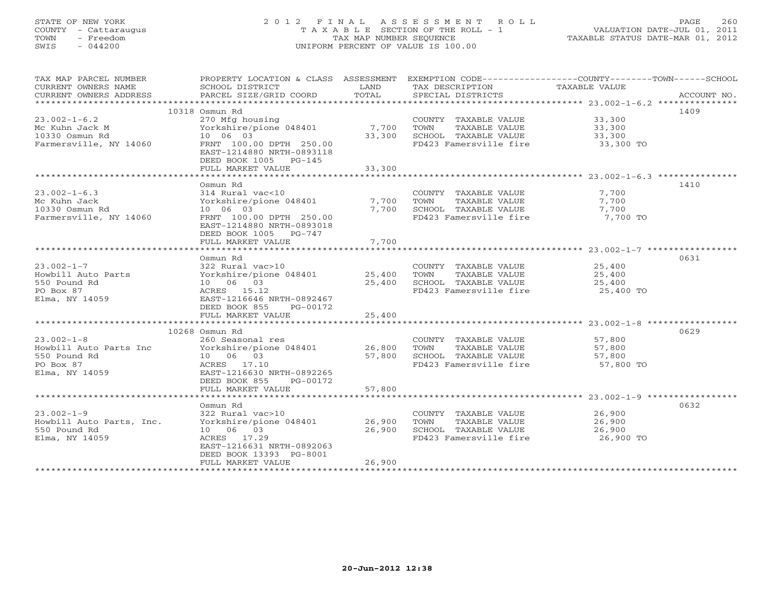# STATE OF NEW YORK 2 0 1 2 F I N A L A S S E S S M E N T R O L L PAGE 260 COUNTY - Cattaraugus T A X A B L E SECTION OF THE ROLL - 1 VALUATION DATE-JUL 01, 2011 TOWN - Freedom TAX MAP NUMBER SEQUENCE TAXABLE STATUS DATE-MAR 01, 2012 SWIS - 044200 UNIFORM PERCENT OF VALUE IS 100.00UNIFORM PERCENT OF VALUE IS 100.00

| TAX MAP PARCEL NUMBER                         | PROPERTY LOCATION & CLASS ASSESSMENT EXEMPTION CODE---------------COUNTY-------TOWN------SCHOOL |               |                                      |                     |             |
|-----------------------------------------------|-------------------------------------------------------------------------------------------------|---------------|--------------------------------------|---------------------|-------------|
| CURRENT OWNERS NAME<br>CURRENT OWNERS ADDRESS | SCHOOL DISTRICT<br>PARCEL SIZE/GRID COORD                                                       | LAND<br>TOTAL | TAX DESCRIPTION<br>SPECIAL DISTRICTS | TAXABLE VALUE       | ACCOUNT NO. |
|                                               |                                                                                                 |               |                                      |                     |             |
|                                               | 10318 Osmun Rd                                                                                  |               |                                      |                     | 1409        |
| $23.002 - 1 - 6.2$                            | 270 Mfg housing                                                                                 |               | COUNTY TAXABLE VALUE 33,300          |                     |             |
| Mc Kuhn Jack M                                | Yorkshire/pione 048401                                                                          | 7,700         | TOWN                                 |                     |             |
| 10330 Osmun Rd                                | 10 06 03                                                                                        | 33,300        | SCHOOL TAXABLE VALUE                 |                     |             |
| Farmersville, NY 14060                        | FRNT 100.00 DPTH 250.00                                                                         |               | FD423 Famersville fire 33,300 TO     |                     |             |
|                                               | EAST-1214880 NRTH-0893118                                                                       |               |                                      |                     |             |
|                                               | DEED BOOK 1005 PG-145                                                                           |               |                                      |                     |             |
|                                               | FULL MARKET VALUE                                                                               | 33,300        |                                      |                     |             |
|                                               |                                                                                                 |               |                                      |                     |             |
|                                               | Osmun Rd                                                                                        |               |                                      |                     | 1410        |
| $23.002 - 1 - 6.3$                            | 314 Rural vac<10                                                                                |               | COUNTY TAXABLE VALUE                 | 7,700               |             |
| Mc Kuhn Jack                                  | Yorkshire/pione 048401                                                                          | 7,700         | TOWN<br>TAXABLE VALUE                | 7,700               |             |
| 10330 Osmun Rd                                | 10 06 03                                                                                        | 7,700         | SCHOOL TAXABLE VALUE                 | 7,700               |             |
| Farmersville, NY 14060                        | FRNT 100.00 DPTH 250.00<br>EAST-1214880 NRTH-0893018                                            |               | FD423 Famersville fire 7,700 TO      |                     |             |
|                                               | DEED BOOK 1005 PG-747                                                                           |               |                                      |                     |             |
|                                               | FULL MARKET VALUE                                                                               | 7,700         |                                      |                     |             |
|                                               |                                                                                                 |               |                                      |                     |             |
|                                               | Osmun Rd                                                                                        |               |                                      |                     | 0631        |
| $23.002 - 1 - 7$                              | 322 Rural vac>10                                                                                |               | COUNTY TAXABLE VALUE                 | 25,400              |             |
| Howbill Auto Parts                            | Yorkshire/pione 048401 25,400                                                                   |               | TOWN<br>TAXABLE VALUE                | 25,400              |             |
| 550 Pound Rd                                  | 10 06 03                                                                                        | 25,400        | SCHOOL TAXABLE VALUE                 | 25,400              |             |
| PO Box 87                                     | ACRES 15.12                                                                                     |               | FD423 Famersville fire               | 25,400 TO           |             |
| Elma, NY 14059                                | EAST-1216646 NRTH-0892467                                                                       |               |                                      |                     |             |
|                                               | DEED BOOK 855<br>PG-00172                                                                       |               |                                      |                     |             |
|                                               | FULL MARKET VALUE                                                                               | 25,400        |                                      |                     |             |
|                                               |                                                                                                 |               |                                      |                     |             |
|                                               | 10268 Osmun Rd                                                                                  |               |                                      |                     | 0629        |
| $23.002 - 1 - 8$                              | 260 Seasonal res                                                                                |               | COUNTY TAXABLE VALUE                 | 57,800              |             |
| Howbill Auto Parts Inc                        | Yorkshire/pione 048401 26,800                                                                   |               | TOWN<br>TAXABLE VALUE                | 57,800              |             |
| 550 Pound Rd                                  | 10 06 03                                                                                        | 57,800        | SCHOOL TAXABLE VALUE                 | 57,800<br>57,800 TO |             |
| PO Box 87<br>Elma, NY 14059                   | ACRES 17.10<br>EAST-1216630 NRTH-0892265                                                        |               | FD423 Famersville fire               |                     |             |
|                                               | DEED BOOK 855<br>PG-00172                                                                       |               |                                      |                     |             |
|                                               | FULL MARKET VALUE                                                                               | 57,800        |                                      |                     |             |
|                                               |                                                                                                 |               |                                      |                     |             |
|                                               | Osmun Rd                                                                                        |               |                                      |                     | 0632        |
| $23.002 - 1 - 9$                              | 322 Rural vac>10                                                                                |               | COUNTY TAXABLE VALUE                 | 26,900              |             |
| Howbill Auto Parts, Inc.                      | Yorkshire/pione 048401 26,900                                                                   |               | TAXABLE VALUE<br>TOWN                | 26,900              |             |
| 550 Pound Rd                                  | 10 06 03                                                                                        | 26,900        | SCHOOL TAXABLE VALUE                 | 26,900              |             |
| Elma, NY 14059                                | ACRES 17.29                                                                                     |               | FD423 Famersville fire               | 26,900 TO           |             |
|                                               | EAST-1216631 NRTH-0892063                                                                       |               |                                      |                     |             |
|                                               | DEED BOOK 13393 PG-8001                                                                         |               |                                      |                     |             |
|                                               | FULL MARKET VALUE                                                                               | 26,900        |                                      |                     |             |
|                                               |                                                                                                 |               |                                      |                     |             |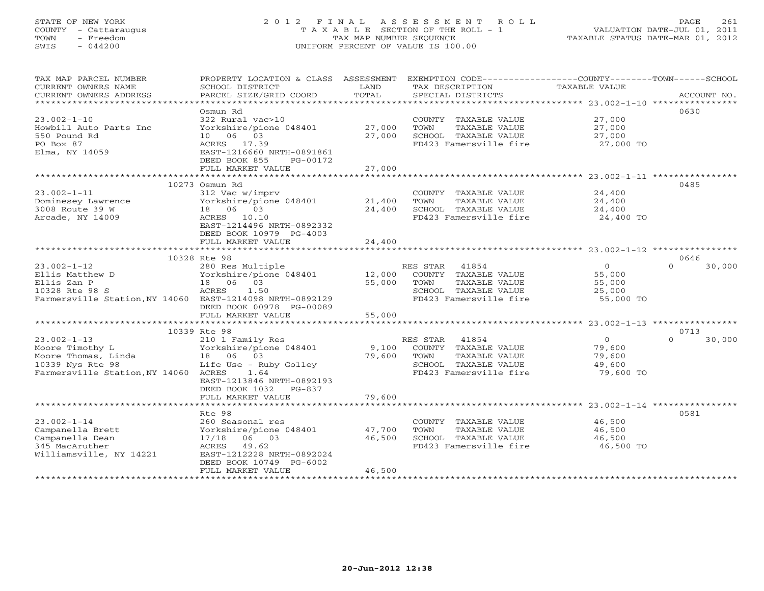# STATE OF NEW YORK 2 0 1 2 F I N A L A S S E S S M E N T R O L L PAGE 261 COUNTY - Cattaraugus T A X A B L E SECTION OF THE ROLL - 1 VALUATION DATE-JUL 01, 2011 TOWN - Freedom TAX MAP NUMBER SEQUENCE TAXABLE STATUS DATE-MAR 01, 2012 SWIS - 044200 UNIFORM PERCENT OF VALUE IS 100.00UNIFORM PERCENT OF VALUE IS 100.00

| *************************<br>0630<br>Osmun Rd<br>$23.002 - 1 - 10$<br>322 Rural vac>10<br>COUNTY TAXABLE VALUE<br>27,000<br>Yorkshire/pione 048401<br>27,000<br>TOWN<br>TAXABLE VALUE<br>27,000<br>Howbill Auto Parts Inc<br>10 06 03<br>550 Pound Rd<br>27,000<br>SCHOOL TAXABLE VALUE<br>27,000<br>PO Box 87<br>FD423 Famersville fire<br>ACRES 17.39<br>27,000 TO<br>Elma, NY 14059<br>EAST-1216660 NRTH-0891861<br>DEED BOOK 855<br>PG-00172<br>27,000<br>FULL MARKET VALUE<br>0485<br>10273 Osmun Rd<br>$23.002 - 1 - 11$<br>312 Vac w/imprv<br>24,400<br>COUNTY TAXABLE VALUE<br>21,400<br>Dominesey Lawrence<br>Yorkshire/pione 048401<br>TAXABLE VALUE<br>24,400<br>TOWN<br>18  06  03<br>3008 Route 39 W<br>24,400<br>SCHOOL TAXABLE VALUE<br>24,400 |
|---------------------------------------------------------------------------------------------------------------------------------------------------------------------------------------------------------------------------------------------------------------------------------------------------------------------------------------------------------------------------------------------------------------------------------------------------------------------------------------------------------------------------------------------------------------------------------------------------------------------------------------------------------------------------------------------------------------------------------------------------------------|
|                                                                                                                                                                                                                                                                                                                                                                                                                                                                                                                                                                                                                                                                                                                                                               |
|                                                                                                                                                                                                                                                                                                                                                                                                                                                                                                                                                                                                                                                                                                                                                               |
|                                                                                                                                                                                                                                                                                                                                                                                                                                                                                                                                                                                                                                                                                                                                                               |
|                                                                                                                                                                                                                                                                                                                                                                                                                                                                                                                                                                                                                                                                                                                                                               |
|                                                                                                                                                                                                                                                                                                                                                                                                                                                                                                                                                                                                                                                                                                                                                               |
|                                                                                                                                                                                                                                                                                                                                                                                                                                                                                                                                                                                                                                                                                                                                                               |
|                                                                                                                                                                                                                                                                                                                                                                                                                                                                                                                                                                                                                                                                                                                                                               |
|                                                                                                                                                                                                                                                                                                                                                                                                                                                                                                                                                                                                                                                                                                                                                               |
|                                                                                                                                                                                                                                                                                                                                                                                                                                                                                                                                                                                                                                                                                                                                                               |
|                                                                                                                                                                                                                                                                                                                                                                                                                                                                                                                                                                                                                                                                                                                                                               |
|                                                                                                                                                                                                                                                                                                                                                                                                                                                                                                                                                                                                                                                                                                                                                               |
|                                                                                                                                                                                                                                                                                                                                                                                                                                                                                                                                                                                                                                                                                                                                                               |
|                                                                                                                                                                                                                                                                                                                                                                                                                                                                                                                                                                                                                                                                                                                                                               |
| Arcade, NY 14009<br>ACRES 10.10<br>FD423 Famersville fire<br>24,400 TO                                                                                                                                                                                                                                                                                                                                                                                                                                                                                                                                                                                                                                                                                        |
| EAST-1214496 NRTH-0892332                                                                                                                                                                                                                                                                                                                                                                                                                                                                                                                                                                                                                                                                                                                                     |
| DEED BOOK 10979 PG-4003                                                                                                                                                                                                                                                                                                                                                                                                                                                                                                                                                                                                                                                                                                                                       |
| FULL MARKET VALUE<br>24,400                                                                                                                                                                                                                                                                                                                                                                                                                                                                                                                                                                                                                                                                                                                                   |
|                                                                                                                                                                                                                                                                                                                                                                                                                                                                                                                                                                                                                                                                                                                                                               |
| 10328 Rte 98<br>0646                                                                                                                                                                                                                                                                                                                                                                                                                                                                                                                                                                                                                                                                                                                                          |
| $23.002 - 1 - 12$<br>41854<br>$\Omega$<br>$\Omega$<br>30,000<br>280 Res Multiple<br>RES STAR                                                                                                                                                                                                                                                                                                                                                                                                                                                                                                                                                                                                                                                                  |
| 12,000<br>55,000<br>Ellis Matthew D<br>Yorkshire/pione 048401<br>COUNTY TAXABLE VALUE                                                                                                                                                                                                                                                                                                                                                                                                                                                                                                                                                                                                                                                                         |
| Ellis Zan P<br>18 06<br>03<br>55,000<br>TOWN<br>TAXABLE VALUE<br>55,000                                                                                                                                                                                                                                                                                                                                                                                                                                                                                                                                                                                                                                                                                       |
| 10328 Rte 98 S<br>ACRES<br>1.50<br>SCHOOL TAXABLE VALUE<br>25,000                                                                                                                                                                                                                                                                                                                                                                                                                                                                                                                                                                                                                                                                                             |
| Farmersville Station, NY 14060 EAST-1214098 NRTH-0892129<br>FD423 Famersville fire<br>55,000 TO                                                                                                                                                                                                                                                                                                                                                                                                                                                                                                                                                                                                                                                               |
| DEED BOOK 00978 PG-00089                                                                                                                                                                                                                                                                                                                                                                                                                                                                                                                                                                                                                                                                                                                                      |
| FULL MARKET VALUE<br>55,000                                                                                                                                                                                                                                                                                                                                                                                                                                                                                                                                                                                                                                                                                                                                   |
|                                                                                                                                                                                                                                                                                                                                                                                                                                                                                                                                                                                                                                                                                                                                                               |
| 10339 Rte 98<br>0713                                                                                                                                                                                                                                                                                                                                                                                                                                                                                                                                                                                                                                                                                                                                          |
| $23.002 - 1 - 13$<br>$\circ$<br>$\Omega$<br>210 1 Family Res<br>RES STAR<br>41854<br>30,000                                                                                                                                                                                                                                                                                                                                                                                                                                                                                                                                                                                                                                                                   |
| Moore Timothy L<br>Yorkshire/pione 048401<br>9,100<br>COUNTY TAXABLE VALUE<br>79,600                                                                                                                                                                                                                                                                                                                                                                                                                                                                                                                                                                                                                                                                          |
| Moore Thomas, Linda<br>79,600<br>TAXABLE VALUE<br>18 06 03<br>TOWN<br>79,600                                                                                                                                                                                                                                                                                                                                                                                                                                                                                                                                                                                                                                                                                  |
| 10339 Nys Rte 98<br>Life Use - Ruby Golley<br>SCHOOL TAXABLE VALUE<br>49,600                                                                                                                                                                                                                                                                                                                                                                                                                                                                                                                                                                                                                                                                                  |
| Farmersville Station, NY 14060 ACRES<br>1.64<br>FD423 Famersville fire<br>79,600 TO                                                                                                                                                                                                                                                                                                                                                                                                                                                                                                                                                                                                                                                                           |
| EAST-1213846 NRTH-0892193                                                                                                                                                                                                                                                                                                                                                                                                                                                                                                                                                                                                                                                                                                                                     |
| DEED BOOK 1032<br>PG-837                                                                                                                                                                                                                                                                                                                                                                                                                                                                                                                                                                                                                                                                                                                                      |
| FULL MARKET VALUE<br>79,600                                                                                                                                                                                                                                                                                                                                                                                                                                                                                                                                                                                                                                                                                                                                   |
|                                                                                                                                                                                                                                                                                                                                                                                                                                                                                                                                                                                                                                                                                                                                                               |
| 0581<br>Rte 98                                                                                                                                                                                                                                                                                                                                                                                                                                                                                                                                                                                                                                                                                                                                                |
| $23.002 - 1 - 14$<br>46,500<br>260 Seasonal res<br>COUNTY TAXABLE VALUE                                                                                                                                                                                                                                                                                                                                                                                                                                                                                                                                                                                                                                                                                       |
| Campanella Brett<br>Yorkshire/pione 048401<br>47,700<br>TOWN<br>TAXABLE VALUE<br>46,500                                                                                                                                                                                                                                                                                                                                                                                                                                                                                                                                                                                                                                                                       |
| Campanella Dean<br>17/18 06 03<br>46,500<br>SCHOOL TAXABLE VALUE<br>46,500                                                                                                                                                                                                                                                                                                                                                                                                                                                                                                                                                                                                                                                                                    |
| FD423 Famersville fire<br>46,500 TO<br>345 MacAruther<br>ACRES<br>49.62                                                                                                                                                                                                                                                                                                                                                                                                                                                                                                                                                                                                                                                                                       |
| Williamsville, NY 14221<br>EAST-1212228 NRTH-0892024                                                                                                                                                                                                                                                                                                                                                                                                                                                                                                                                                                                                                                                                                                          |
| DEED BOOK 10749 PG-6002                                                                                                                                                                                                                                                                                                                                                                                                                                                                                                                                                                                                                                                                                                                                       |
| FULL MARKET VALUE<br>46,500                                                                                                                                                                                                                                                                                                                                                                                                                                                                                                                                                                                                                                                                                                                                   |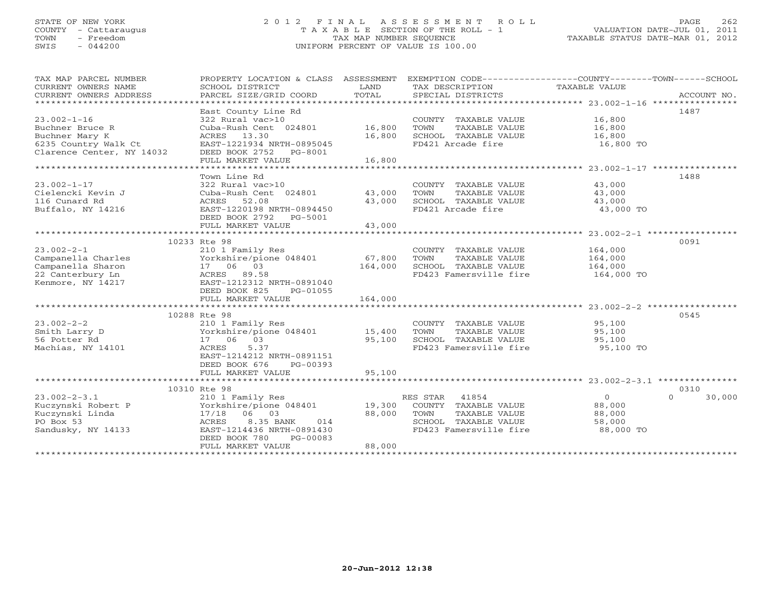# STATE OF NEW YORK 2 0 1 2 F I N A L A S S E S S M E N T R O L L PAGE 262 COUNTY - Cattaraugus T A X A B L E SECTION OF THE ROLL - 1 VALUATION DATE-JUL 01, 2011 TOWN - Freedom TAX MAP NUMBER SEQUENCE TAXABLE STATUS DATE-MAR 01, 2012 SWIS - 044200 UNIFORM PERCENT OF VALUE IS 100.00UNIFORM PERCENT OF VALUE IS 100.00

| TAX MAP PARCEL NUMBER<br>CURRENT OWNERS NAME<br>CURRENT OWNERS ADDRESS | PROPERTY LOCATION & CLASS ASSESSMENT<br>SCHOOL DISTRICT<br>PARCEL SIZE/GRID COORD | LAND<br>TOTAL | EXEMPTION CODE----------------COUNTY-------TOWN------SCHOOL<br>TAX DESCRIPTION<br>SPECIAL DISTRICTS | TAXABLE VALUE | ACCOUNT NO.        |
|------------------------------------------------------------------------|-----------------------------------------------------------------------------------|---------------|-----------------------------------------------------------------------------------------------------|---------------|--------------------|
|                                                                        | East County Line Rd                                                               |               |                                                                                                     |               | 1487               |
| $23.002 - 1 - 16$                                                      | 322 Rural vac>10                                                                  |               | COUNTY TAXABLE VALUE                                                                                | 16,800        |                    |
| Buchner Bruce R                                                        | Cuba-Rush Cent 024801                                                             | 16,800        | TOWN<br>TAXABLE VALUE                                                                               | 16,800        |                    |
| Buchner Mary K                                                         | 13.30<br>ACRES                                                                    | 16,800        | SCHOOL TAXABLE VALUE                                                                                | 16,800        |                    |
| 6235 Country Walk Ct                                                   | EAST-1221934 NRTH-0895045                                                         |               | FD421 Arcade fire                                                                                   | 16,800 TO     |                    |
| Clarence Center, NY 14032                                              | DEED BOOK 2752<br>PG-8001                                                         |               |                                                                                                     |               |                    |
|                                                                        | FULL MARKET VALUE                                                                 | 16,800        |                                                                                                     |               |                    |
|                                                                        |                                                                                   |               |                                                                                                     |               |                    |
|                                                                        | Town Line Rd                                                                      |               |                                                                                                     |               | 1488               |
| $23.002 - 1 - 17$                                                      | 322 Rural vac>10                                                                  |               | COUNTY TAXABLE VALUE                                                                                | 43,000        |                    |
| Cielencki Kevin J                                                      | Cuba-Rush Cent 024801                                                             | 43,000        | TOWN<br>TAXABLE VALUE                                                                               | 43,000        |                    |
| 116 Cunard Rd                                                          | 52.08<br>ACRES                                                                    | 43,000        | SCHOOL TAXABLE VALUE                                                                                | 43,000        |                    |
| Buffalo, NY 14216                                                      | EAST-1220198 NRTH-0894450                                                         |               | FD421 Arcade fire                                                                                   | 43,000 TO     |                    |
|                                                                        | DEED BOOK 2792<br>PG-5001                                                         |               |                                                                                                     |               |                    |
|                                                                        | FULL MARKET VALUE                                                                 | 43,000        |                                                                                                     |               |                    |
|                                                                        |                                                                                   |               |                                                                                                     |               |                    |
|                                                                        | 10233 Rte 98                                                                      |               |                                                                                                     |               | 0091               |
| $23.002 - 2 - 1$                                                       | 210 1 Family Res                                                                  |               | COUNTY TAXABLE VALUE                                                                                | 164,000       |                    |
| Campanella Charles                                                     | Yorkshire/pione 048401                                                            | 67,800        | TOWN<br>TAXABLE VALUE                                                                               | 164,000       |                    |
| Campanella Sharon                                                      | 17 06 03                                                                          | 164,000       | SCHOOL TAXABLE VALUE                                                                                | 164,000       |                    |
| 22 Canterbury Ln                                                       | ACRES 89.58                                                                       |               | FD423 Famersville fire                                                                              | 164,000 TO    |                    |
| Kenmore, NY 14217                                                      | EAST-1212312 NRTH-0891040                                                         |               |                                                                                                     |               |                    |
|                                                                        | DEED BOOK 825<br>PG-01055                                                         |               |                                                                                                     |               |                    |
|                                                                        | FULL MARKET VALUE                                                                 | 164,000       |                                                                                                     |               |                    |
|                                                                        |                                                                                   |               |                                                                                                     |               |                    |
|                                                                        | 10288 Rte 98                                                                      |               |                                                                                                     |               | 0545               |
| $23.002 - 2 - 2$                                                       | 210 1 Family Res                                                                  |               | COUNTY TAXABLE VALUE                                                                                | 95,100        |                    |
| Smith Larry D                                                          | Yorkshire/pione 048401                                                            | 15,400        | TOWN<br>TAXABLE VALUE                                                                               | 95,100        |                    |
| 56 Potter Rd                                                           | 17 06 03                                                                          | 95,100        | SCHOOL TAXABLE VALUE                                                                                | 95,100        |                    |
| Machias, NY 14101                                                      | 5.37<br>ACRES                                                                     |               | FD423 Famersville fire                                                                              | 95,100 TO     |                    |
|                                                                        | EAST-1214212 NRTH-0891151                                                         |               |                                                                                                     |               |                    |
|                                                                        | DEED BOOK 676<br>PG-00393                                                         |               |                                                                                                     |               |                    |
|                                                                        | FULL MARKET VALUE                                                                 | 95,100        |                                                                                                     |               |                    |
|                                                                        |                                                                                   |               |                                                                                                     |               |                    |
|                                                                        | 10310 Rte 98                                                                      |               |                                                                                                     |               | 0310               |
| $23.002 - 2 - 3.1$                                                     | 210 1 Family Res                                                                  |               | 41854<br>RES STAR                                                                                   | $\circ$       | 30,000<br>$\Omega$ |
| Kuczynski Robert P                                                     | Yorkshire/pione 048401                                                            | 19,300        | COUNTY TAXABLE VALUE                                                                                | 88,000        |                    |
| Kuczynski Linda                                                        | 17/18 06 03                                                                       | 88,000        | TOWN<br>TAXABLE VALUE                                                                               | 88,000        |                    |
| PO Box 53                                                              | 8.35 BANK<br>ACRES<br>014                                                         |               | SCHOOL TAXABLE VALUE                                                                                | 58,000        |                    |
| Sandusky, NY 14133                                                     | EAST-1214436 NRTH-0891430                                                         |               | FD423 Famersville fire                                                                              | 88,000 TO     |                    |
|                                                                        | DEED BOOK 780<br>PG-00083                                                         |               |                                                                                                     |               |                    |
|                                                                        | FULL MARKET VALUE                                                                 | 88,000        |                                                                                                     |               |                    |
|                                                                        |                                                                                   |               |                                                                                                     |               |                    |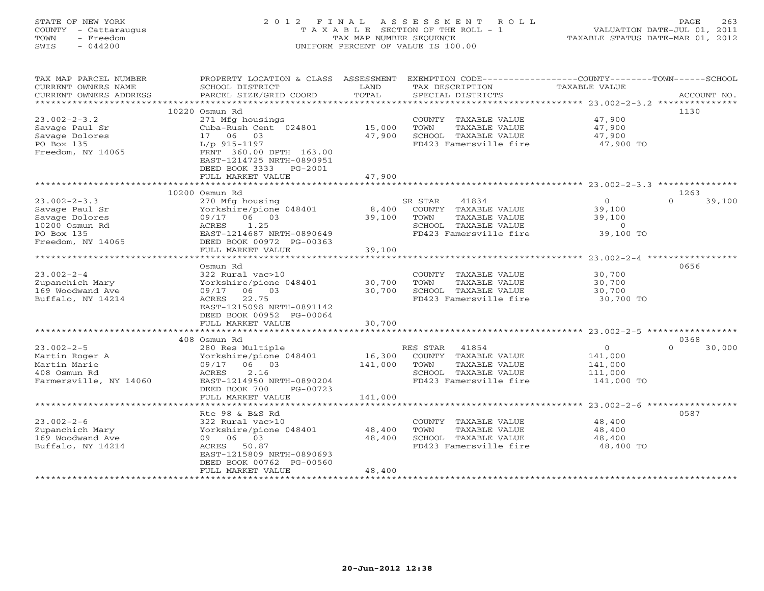# STATE OF NEW YORK 2 0 1 2 F I N A L A S S E S S M E N T R O L L PAGE 263 COUNTY - Cattaraugus T A X A B L E SECTION OF THE ROLL - 1 VALUATION DATE-JUL 01, 2011 TOWN - Freedom TAX MAP NUMBER SEQUENCE TAXABLE STATUS DATE-MAR 01, 2012 SWIS - 044200 UNIFORM PERCENT OF VALUE IS 100.00UNIFORM PERCENT OF VALUE IS 100.00

| TAX MAP PARCEL NUMBER<br>CURRENT OWNERS NAME      | PROPERTY LOCATION & CLASS ASSESSMENT<br>SCHOOL DISTRICT | LAND    | EXEMPTION CODE----------------COUNTY-------TOWN-----SCHOOL<br>TAX DESCRIPTION | TAXABLE VALUE    |                    |
|---------------------------------------------------|---------------------------------------------------------|---------|-------------------------------------------------------------------------------|------------------|--------------------|
| CURRENT OWNERS ADDRESS<br>*********************** | PARCEL SIZE/GRID COORD                                  | TOTAL   | SPECIAL DISTRICTS                                                             |                  | ACCOUNT NO.        |
|                                                   | 10220 Osmun Rd                                          |         |                                                                               |                  | 1130               |
| $23.002 - 2 - 3.2$                                | 271 Mfg housings                                        |         |                                                                               | 47,900           |                    |
|                                                   | Cuba-Rush Cent 024801                                   | 15,000  | COUNTY TAXABLE VALUE<br>TOWN                                                  |                  |                    |
| Savage Paul Sr<br>Savage Dolores                  | 17 06<br>03                                             | 47,900  | TAXABLE VALUE<br>SCHOOL TAXABLE VALUE                                         | 47,900<br>47,900 |                    |
| PO Box 135                                        |                                                         |         | FD423 Famersville fire                                                        | 47,900 TO        |                    |
| Freedom, NY 14065                                 | $L/p$ 915-1197<br>FRNT 360.00 DPTH 163.00               |         |                                                                               |                  |                    |
|                                                   | EAST-1214725 NRTH-0890951                               |         |                                                                               |                  |                    |
|                                                   | DEED BOOK 3333<br>PG-2001                               |         |                                                                               |                  |                    |
|                                                   | FULL MARKET VALUE                                       | 47,900  |                                                                               |                  |                    |
|                                                   |                                                         |         |                                                                               |                  |                    |
|                                                   | 10200 Osmun Rd                                          |         |                                                                               |                  | 1263               |
| $23.002 - 2 - 3.3$                                | 270 Mfg housing                                         |         | SR STAR<br>41834                                                              | $\circ$          | $\Omega$<br>39,100 |
| Savage Paul Sr                                    | Yorkshire/pione 048401                                  | 8,400   | COUNTY TAXABLE VALUE                                                          | 39,100           |                    |
| Savage Dolores                                    | 09/17 06 03                                             | 39,100  | TAXABLE VALUE<br>TOWN                                                         | 39,100           |                    |
| 10200 Osmun Rd                                    | 1.25<br>ACRES                                           |         | SCHOOL TAXABLE VALUE                                                          | $\overline{0}$   |                    |
| PO Box 135                                        | EAST-1214687 NRTH-0890649                               |         | FD423 Famersville fire                                                        | 39,100 TO        |                    |
| Freedom, NY 14065                                 | DEED BOOK 00972 PG-00363                                |         |                                                                               |                  |                    |
|                                                   | FULL MARKET VALUE                                       | 39,100  |                                                                               |                  |                    |
|                                                   |                                                         |         |                                                                               |                  |                    |
|                                                   | Osmun Rd                                                |         |                                                                               |                  | 0656               |
| $23.002 - 2 - 4$                                  | 322 Rural vac>10                                        |         | COUNTY TAXABLE VALUE                                                          | 30,700           |                    |
| Zupanchich Mary                                   | Yorkshire/pione 048401                                  | 30,700  | TAXABLE VALUE<br>TOWN                                                         | 30,700           |                    |
| 169 Woodwand Ave                                  | 09/17 06 03                                             | 30,700  | SCHOOL TAXABLE VALUE                                                          | 30,700           |                    |
| Buffalo, NY 14214                                 | 22.75<br>ACRES                                          |         | FD423 Famersville fire                                                        | 30,700 TO        |                    |
|                                                   | EAST-1215098 NRTH-0891142                               |         |                                                                               |                  |                    |
|                                                   | DEED BOOK 00952 PG-00064                                |         |                                                                               |                  |                    |
|                                                   | FULL MARKET VALUE                                       | 30,700  |                                                                               |                  |                    |
|                                                   |                                                         |         |                                                                               |                  |                    |
|                                                   | 408 Osmun Rd                                            |         |                                                                               |                  | 0368               |
| $23.002 - 2 - 5$                                  | 280 Res Multiple                                        |         | 41854<br>RES STAR                                                             | $\circ$          | $\Omega$<br>30,000 |
| Martin Roger A                                    | Yorkshire/pione 048401                                  | 16,300  | COUNTY TAXABLE VALUE                                                          | 141,000          |                    |
| Martin Marie                                      | 09/17 06 03                                             | 141,000 | TAXABLE VALUE<br>TOWN                                                         | 141,000          |                    |
| 408 Osmun Rd                                      | ACRES<br>2.16                                           |         | SCHOOL TAXABLE VALUE                                                          | 111,000          |                    |
| Farmersville, NY 14060                            | EAST-1214950 NRTH-0890204                               |         | FD423 Famersville fire                                                        | 141,000 TO       |                    |
|                                                   | DEED BOOK 700<br>PG-00723                               |         |                                                                               |                  |                    |
|                                                   | FULL MARKET VALUE                                       | 141,000 |                                                                               |                  |                    |
|                                                   | Rte 98 & B&S Rd                                         |         |                                                                               |                  | 0587               |
| $23.002 - 2 - 6$                                  | 322 Rural vac>10                                        |         |                                                                               | 48,400           |                    |
| Zupanchich Mary                                   | Yorkshire/pione 048401                                  | 48,400  | COUNTY TAXABLE VALUE<br>TAXABLE VALUE<br>TOWN                                 | 48,400           |                    |
| 169 Woodwand Ave                                  | 09 06 03                                                | 48,400  | SCHOOL TAXABLE VALUE                                                          | 48,400           |                    |
| Buffalo, NY 14214                                 | ACRES 50.87                                             |         | FD423 Famersville fire                                                        | 48,400 TO        |                    |
|                                                   | EAST-1215809 NRTH-0890693                               |         |                                                                               |                  |                    |
|                                                   | DEED BOOK 00762 PG-00560                                |         |                                                                               |                  |                    |
|                                                   | FULL MARKET VALUE                                       | 48,400  |                                                                               |                  |                    |
|                                                   |                                                         |         |                                                                               |                  |                    |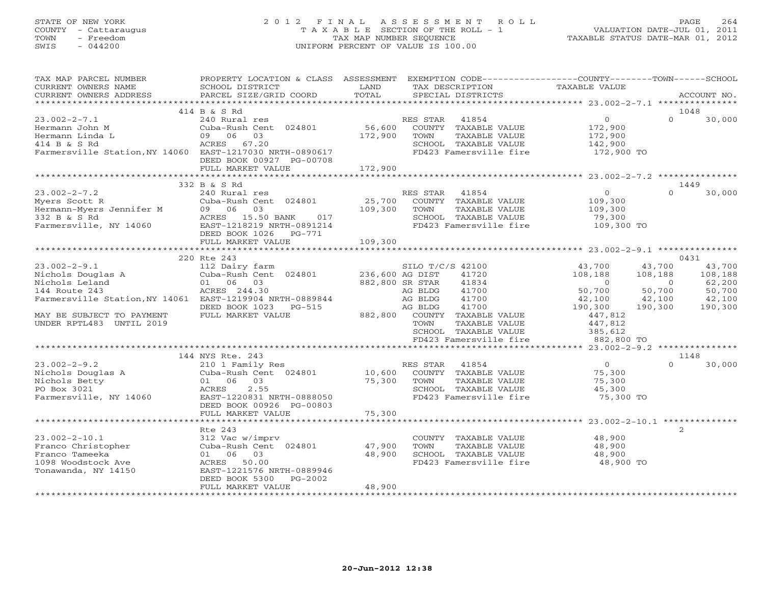# STATE OF NEW YORK 2 0 1 2 F I N A L A S S E S S M E N T R O L L PAGE 264 COUNTY - Cattaraugus T A X A B L E SECTION OF THE ROLL - 1 VALUATION DATE-JUL 01, 2011 TOWN - Freedom TAX MAP NUMBER SEQUENCE TAXABLE STATUS DATE-MAR 01, 2012 SWIS - 044200 UNIFORM PERCENT OF VALUE IS 100.00UNIFORM PERCENT OF VALUE IS 100.00

| TAX MAP PARCEL NUMBER<br>CURRENT OWNERS NAME<br>CURRENT OWNERS ADDRESS                                                                                                                                                                                                                                                                                                                                                                                                 | SCHOOL DISTRICT<br>PARCEL SIZE/GRID COORD                                                                                                       | LAND<br>TOTAL     | TAX DESCRIPTION<br>SPECIAL DISTRICTS                                                                                        | PROPERTY LOCATION & CLASS ASSESSMENT EXEMPTION CODE---------------COUNTY-------TOWN------SCHOOL<br>TAXABLE VALUE | ACCOUNT NO.                 |
|------------------------------------------------------------------------------------------------------------------------------------------------------------------------------------------------------------------------------------------------------------------------------------------------------------------------------------------------------------------------------------------------------------------------------------------------------------------------|-------------------------------------------------------------------------------------------------------------------------------------------------|-------------------|-----------------------------------------------------------------------------------------------------------------------------|------------------------------------------------------------------------------------------------------------------|-----------------------------|
|                                                                                                                                                                                                                                                                                                                                                                                                                                                                        |                                                                                                                                                 |                   |                                                                                                                             |                                                                                                                  |                             |
|                                                                                                                                                                                                                                                                                                                                                                                                                                                                        | 414 B & S Rd                                                                                                                                    |                   |                                                                                                                             |                                                                                                                  | 1048                        |
| $23.002 - 2 - 7.1$<br>Hermann John M<br>Hermann Linda L<br>414 B & S Rd<br>Farmersville Station, NY 14060 EAST-1217030 NRTH-0890617                                                                                                                                                                                                                                                                                                                                    | 240 Rural res<br>Cuba-Rush Cent 024801<br>03<br>09 06<br>DEED BOOK 00927 PG-00708                                                               | 172,900           | RES STAR<br>41854<br>56,600 COUNTY TAXABLE VALUE<br>TAXABLE VALUE<br>TOWN<br>SCHOOL TAXABLE VALUE<br>FD423 Famersville fire | $\Omega$<br>$\overline{0}$<br>172,900<br>172,900<br>142,900<br>172,900 TO                                        | 30,000                      |
|                                                                                                                                                                                                                                                                                                                                                                                                                                                                        | FULL MARKET VALUE                                                                                                                               | 172,900           |                                                                                                                             |                                                                                                                  |                             |
|                                                                                                                                                                                                                                                                                                                                                                                                                                                                        |                                                                                                                                                 |                   |                                                                                                                             |                                                                                                                  |                             |
|                                                                                                                                                                                                                                                                                                                                                                                                                                                                        | 332 B & S Rd                                                                                                                                    |                   |                                                                                                                             |                                                                                                                  | 1449                        |
| $23.002 - 2 - 7.2$<br>$Myers Scott R$<br>$332 B & S R$<br>$332 B & S R$<br>$Myers South R$<br>$332 B & S R$<br>$Myers South R$<br>$Myers Jennifer M$<br>$Myers Jennifer M$<br>$Myers Jennifer M$<br>$Myers Jennifer M$<br>$Myers Jennifer M$<br>$Myers Jennifer M$<br>$Myers Jennifer M$<br>$Myers Jennifer M$<br>$Myers Jennifer M$<br>$Myers Jennifer M$<br>$Myers Jennifer M$<br>$Myers Jennifer M$<br>$Myers Jennifer M$<br>$Myers Jennifer M$<br>$Myers Jennifer$ | 240 Rural res<br>DEED BOOK 1026    PG-771                                                                                                       | 25,700<br>109,300 | RES STAR<br>41854<br>COUNTY TAXABLE VALUE<br>TAXABLE VALUE<br>TOWN<br>SCHOOL TAXABLE VALUE<br>FD423 Famersville fire        | $\Omega$<br>$\Omega$<br>109,300<br>109,300<br>79,300<br>109,300 TO                                               | 30,000                      |
|                                                                                                                                                                                                                                                                                                                                                                                                                                                                        | FULL MARKET VALUE                                                                                                                               | 109,300           |                                                                                                                             |                                                                                                                  |                             |
|                                                                                                                                                                                                                                                                                                                                                                                                                                                                        |                                                                                                                                                 |                   |                                                                                                                             |                                                                                                                  |                             |
|                                                                                                                                                                                                                                                                                                                                                                                                                                                                        | 220 Rte 243                                                                                                                                     |                   |                                                                                                                             |                                                                                                                  | 0431                        |
| $23.002 - 2 - 9.1$<br>Nichols Douglas A<br>Nichols Leland<br>144 Route 243                                                                                                                                                                                                                                                                                                                                                                                             | 112 Dairy farm $\begin{array}{cc}\n\text{SILO T/C} \\ \text{Cuba-Rush Cent} & 024801 & 236,600 \text{ AG DIST}\n\end{array}$<br>01 06 03        | 882,800 SR STAR   | SILO T/C/S 42100<br>41720<br>41834                                                                                          | 43,700<br>43,700<br>108,188<br>108,188<br>$\overline{0}$<br>$\sim$ 0<br>50,700                                   | 43,700<br>108,188<br>62,200 |
| Farmersville Station, NY 14061 EAST-1219904 NRTH-0889844                                                                                                                                                                                                                                                                                                                                                                                                               | ACRES 244.30<br>DEED BOOK 1023 PG-515                                                                                                           |                   | AG BLDG<br>41700<br>41700<br>AG BLDG<br>41700<br>AG BLDG                                                                    | 50,700<br>42,100<br>42,100<br>190,300<br>190,300                                                                 | 50,700<br>42,100<br>190,300 |
| MAY BE SUBJECT TO PAYMENT<br>UNDER RPTL483 UNTIL 2019                                                                                                                                                                                                                                                                                                                                                                                                                  | FULL MARKET VALUE                                                                                                                               |                   | 882,800 COUNTY TAXABLE VALUE<br>TOWN<br>TAXABLE VALUE<br>SCHOOL TAXABLE VALUE<br>FD423 Famersville fire                     | 447,812<br>447,812<br>385,612<br>882,800 TO                                                                      |                             |
|                                                                                                                                                                                                                                                                                                                                                                                                                                                                        |                                                                                                                                                 |                   |                                                                                                                             |                                                                                                                  |                             |
|                                                                                                                                                                                                                                                                                                                                                                                                                                                                        | 144 NYS Rte. 243                                                                                                                                |                   |                                                                                                                             |                                                                                                                  | 1148                        |
| $23.002 - 2 - 9.2$<br>Nichols Douglas A<br>Nichols Betty<br>PO Box 3021<br>Farmersville, NY 14060                                                                                                                                                                                                                                                                                                                                                                      | 210 1 Family Res<br>Cuba-Rush Cent 024801 10,600<br>01 06 03<br>2.55<br>ACRES<br>EAST-1220831 NRTH-0888050<br>DEED BOOK 00926 PG-00803          | 75,300            | RES STAR<br>41854<br>COUNTY TAXABLE VALUE<br>TOWN<br>TAXABLE VALUE<br>SCHOOL TAXABLE VALUE<br>FD423 Famersville fire        | $\cap$<br>$\overline{O}$<br>75,300<br>75,300<br>45,300<br>75,300 TO                                              | 30,000                      |
|                                                                                                                                                                                                                                                                                                                                                                                                                                                                        | FULL MARKET VALUE                                                                                                                               | 75,300            |                                                                                                                             |                                                                                                                  |                             |
|                                                                                                                                                                                                                                                                                                                                                                                                                                                                        |                                                                                                                                                 |                   |                                                                                                                             |                                                                                                                  |                             |
| $23.002 - 2 - 10.1$<br>Franco Christopher<br>Franco Tameeka<br>1098 Woodstock Ave<br>Tonawanda, NY 14150                                                                                                                                                                                                                                                                                                                                                               | Rte 243<br>312 Vac w/imprv<br>Cuba-Rush Cent 024801 47,900<br>01 06 03<br>ACRES 50.00<br>EAST-1221576 NRTH-0889946<br>DEED BOOK 5300<br>PG-2002 | 48,900            | COUNTY TAXABLE VALUE<br>TOWN<br>TAXABLE VALUE<br>SCHOOL TAXABLE VALUE<br>FD423 Famersville fire 48,900 TO                   | 48,900<br>48,900<br>48,900                                                                                       | 2                           |
|                                                                                                                                                                                                                                                                                                                                                                                                                                                                        | FULL MARKET VALUE                                                                                                                               | 48,900            |                                                                                                                             |                                                                                                                  |                             |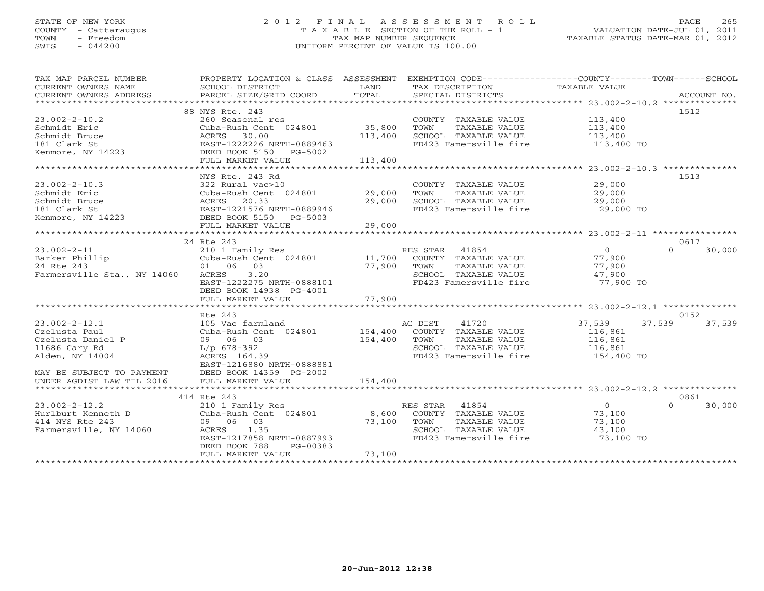# STATE OF NEW YORK 2 0 1 2 F I N A L A S S E S S M E N T R O L L PAGE 265 COUNTY - Cattaraugus T A X A B L E SECTION OF THE ROLL - 1 VALUATION DATE-JUL 01, 2011 TOWN - Freedom TAX MAP NUMBER SEQUENCE TAXABLE STATUS DATE-MAR 01, 2012 SWIS - 044200 UNIFORM PERCENT OF VALUE IS 100.00UNIFORM PERCENT OF VALUE IS 100.00

| TAX MAP PARCEL NUMBER<br>CURRENT OWNERS NAME | PROPERTY LOCATION & CLASS ASSESSMENT<br>SCHOOL DISTRICT | <b>LAND</b> | EXEMPTION CODE-----------------COUNTY-------TOWN-----SCHOOL<br>TAX DESCRIPTION | TAXABLE VALUE              |             |
|----------------------------------------------|---------------------------------------------------------|-------------|--------------------------------------------------------------------------------|----------------------------|-------------|
| CURRENT OWNERS ADDRESS                       | PARCEL SIZE/GRID COORD                                  | TOTAL       | SPECIAL DISTRICTS                                                              |                            | ACCOUNT NO. |
|                                              |                                                         |             |                                                                                |                            |             |
|                                              | 88 NYS Rte. 243                                         |             |                                                                                |                            | 1512        |
| $23.002 - 2 - 10.2$                          | 260 Seasonal res                                        |             | COUNTY TAXABLE VALUE                                                           | 113,400                    |             |
| Schmidt Eric                                 | Cuba-Rush Cent 024801                                   | 35,800      | TOWN<br>TAXABLE VALUE                                                          | 113,400                    |             |
| Schmidt Bruce                                | ACRES 30.00                                             | 113,400     | SCHOOL TAXABLE VALUE                                                           | 113,400                    |             |
| 181 Clark St                                 | EAST-1222226 NRTH-0889463                               |             | FD423 Famersville fire                                                         | 113,400 TO                 |             |
| Kenmore, NY 14223                            | DEED BOOK 5150 PG-5002                                  |             |                                                                                |                            |             |
|                                              | FULL MARKET VALUE                                       | 113,400     |                                                                                |                            |             |
|                                              | NYS Rte. 243 Rd                                         |             |                                                                                |                            |             |
| $23.002 - 2 - 10.3$                          | 322 Rural vac>10                                        |             |                                                                                | 29,000                     | 1513        |
|                                              |                                                         |             | COUNTY TAXABLE VALUE                                                           |                            |             |
| Schmidt Eric                                 | Cuba-Rush Cent 024801 29,000                            |             | TAXABLE VALUE<br>TOWN                                                          | 29,000                     |             |
| Schmidt Bruce                                | ACRES 20.33                                             | 29,000      | SCHOOL TAXABLE VALUE                                                           | 29,000                     |             |
| 181 Clark St                                 | EAST-1221576 NRTH-0889946                               |             | FD423 Famersville fire                                                         | $29,000$ TO                |             |
| Kenmore, NY 14223                            | DEED BOOK 5150 PG-5003                                  |             |                                                                                |                            |             |
|                                              | FULL MARKET VALUE                                       | 29,000      |                                                                                |                            |             |
|                                              | 24 Rte 243                                              |             |                                                                                |                            | 0617        |
| $23.002 - 2 - 11$                            | 210 1 Family Res                                        |             | RES STAR 41854                                                                 | $\overline{0}$<br>$\Omega$ | 30,000      |
| Barker Phillip                               | 210 1 Family Res<br>Cuba-Rush Cent 024801 11,700        |             | COUNTY TAXABLE VALUE                                                           | 77,900                     |             |
| 24 Rte 243                                   | 01 06 03                                                | 77,900      | TOWN<br>TAXABLE VALUE                                                          | 77,900                     |             |
| Farmersville Sta., NY 14060                  | ACRES 3.20                                              |             | SCHOOL TAXABLE VALUE                                                           | 47,900                     |             |
|                                              | EAST-1222275 NRTH-0888101                               |             | FD423 Famersville fire                                                         | — <b>77,900 то</b>         |             |
|                                              | DEED BOOK 14938 PG-4001                                 |             |                                                                                |                            |             |
|                                              | FULL MARKET VALUE                                       | 77,900      |                                                                                |                            |             |
|                                              |                                                         |             |                                                                                |                            |             |
|                                              | Rte 243                                                 |             |                                                                                |                            | 0152        |
| $23.002 - 2 - 12.1$                          | 105 Vac farmland                                        |             | AG DIST<br>41720                                                               | 37,539<br>37,539           | 37,539      |
| Czelusta Paul                                | Cuba-Rush Cent 024801                                   | 154,400     | COUNTY TAXABLE VALUE                                                           | 116,861                    |             |
| Czelusta Daniel P                            | 09 06 03                                                | 154,400     | TOWN<br>TAXABLE VALUE                                                          | 116,861                    |             |
| 11686 Cary Rd                                | $L/p$ 678-392                                           |             | SCHOOL TAXABLE VALUE                                                           | 116,861                    |             |
| Alden, NY 14004                              | ACRES 164.39                                            |             | FD423 Famersville fire                                                         | 154,400 TO                 |             |
|                                              | EAST-1216880 NRTH-0888881                               |             |                                                                                |                            |             |
| MAY BE SUBJECT TO PAYMENT                    | DEED BOOK 14359 PG-2002                                 |             |                                                                                |                            |             |
| UNDER AGDIST LAW TIL 2016                    | FULL MARKET VALUE                                       | 154,400     |                                                                                |                            |             |
|                                              |                                                         |             |                                                                                |                            |             |
|                                              | 414 Rte 243                                             |             |                                                                                |                            | 0861        |
| $23.002 - 2 - 12.2$                          | 210 1 Family Res                                        |             | RES STAR 41854                                                                 | $\overline{0}$<br>$\Omega$ | 30,000      |
| Hurlburt Kenneth D                           | Cuba-Rush Cent 024801                                   | 8,600       | COUNTY TAXABLE VALUE                                                           | 73,100                     |             |
| 414 NYS Rte 243                              | 09 06 03                                                | 73,100      | TOWN<br>TAXABLE VALUE                                                          | 73,100                     |             |
| Farmersville, NY 14060                       | 1.35<br>ACRES                                           |             | SCHOOL TAXABLE VALUE                                                           | 43,100                     |             |
|                                              | EAST-1217858 NRTH-0887993                               |             | FD423 Famersville fire                                                         | 73,100 TO                  |             |
|                                              | DEED BOOK 788<br>PG-00383                               |             |                                                                                |                            |             |
|                                              | FULL MARKET VALUE                                       | 73,100      |                                                                                |                            |             |
|                                              |                                                         |             |                                                                                |                            |             |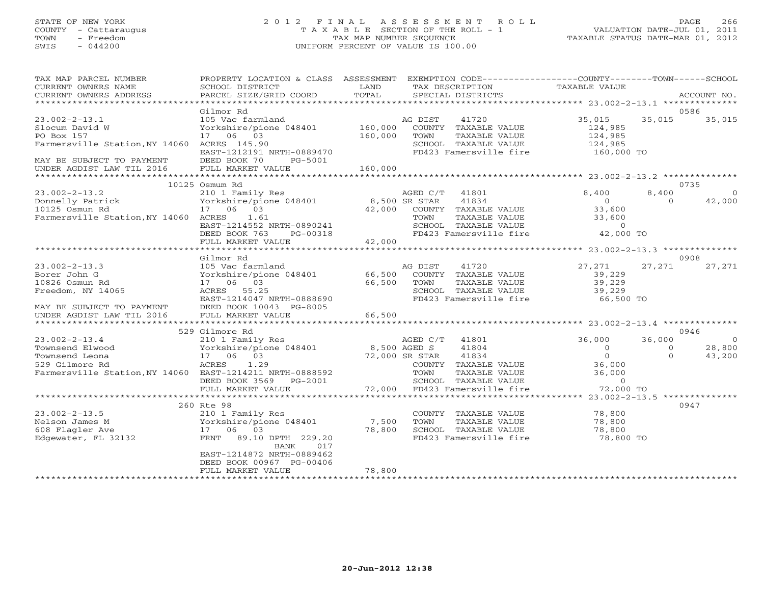# STATE OF NEW YORK 2 0 1 2 F I N A L A S S E S S M E N T R O L L PAGE 266 COUNTY - Cattaraugus T A X A B L E SECTION OF THE ROLL - 1 VALUATION DATE-JUL 01, 2011 TOWN - Freedom TAX MAP NUMBER SEQUENCE TAXABLE STATUS DATE-MAR 01, 2012 SWIS - 044200 UNIFORM PERCENT OF VALUE IS 100.00UNIFORM PERCENT OF VALUE IS 100.00

| TAX MAP PARCEL NUMBER<br>PROPERTY LOCATION & CLASS ASSESSMENT EXEMPTION CODE----------------COUNTY-------TOWN------SCHOOL<br>SCHOOL DISTRICT<br>CURRENT OWNERS NAME |                                                                     | LAND               | TAX DESCRIPTION |                                                | <b>TAXABLE VALUE</b>         |                   |                    |
|---------------------------------------------------------------------------------------------------------------------------------------------------------------------|---------------------------------------------------------------------|--------------------|-----------------|------------------------------------------------|------------------------------|-------------------|--------------------|
| CURRENT OWNERS ADDRESS                                                                                                                                              | PARCEL SIZE/GRID COORD                                              | TOTAL              |                 | SPECIAL DISTRICTS                              |                              |                   | ACCOUNT NO.        |
|                                                                                                                                                                     |                                                                     |                    |                 | 0586                                           |                              |                   |                    |
| $23.002 - 2 - 13.1$<br>Slocum David W<br>PO Box 157                                                                                                                 | Gilmor Rd<br>105 Vac farmland<br>Yorkshire/pione 048401<br>17 06 03 | 160,000<br>160,000 | AG DIST<br>TOWN | 41720<br>COUNTY TAXABLE VALUE<br>TAXABLE VALUE | 35,015<br>124,985<br>124,985 | 35,015            | 35,015             |
| Farmersville Station, NY 14060 ACRES 145.90                                                                                                                         | EAST-1212191 NRTH-0889470                                           |                    |                 | SCHOOL TAXABLE VALUE<br>FD423 Famersville fire | 124,985<br>160,000 TO        |                   |                    |
| MAY BE SUBJECT TO PAYMENT<br>UNDER AGDIST LAW TIL 2016                                                                                                              | DEED BOOK 70<br>PG-5001<br>FULL MARKET VALUE                        | 160,000            |                 |                                                |                              |                   |                    |
|                                                                                                                                                                     | 10125 Osmum Rd                                                      |                    |                 |                                                |                              |                   | 0735               |
| $23.002 - 2 - 13.2$<br>Donnelly Patrick                                                                                                                             | 210 1 Family Res<br>Yorkshire/pione 048401                          | 8,500 SR STAR      | AGED C/T        | 41801<br>41834                                 | 8,400<br>$\bigcirc$          | 8,400<br>$\Omega$ | $\Omega$<br>42,000 |
| 10125 Osmun Rd                                                                                                                                                      | 17 06 03                                                            | 42,000             |                 | COUNTY TAXABLE VALUE                           | 33,600                       |                   |                    |
| Farmersville Station, NY 14060 ACRES                                                                                                                                | 1.61                                                                |                    | TOWN            | TAXABLE VALUE                                  | 33,600                       |                   |                    |
|                                                                                                                                                                     | EAST-1214552 NRTH-0890241                                           |                    |                 | SCHOOL TAXABLE VALUE                           | $\overline{0}$               |                   |                    |
|                                                                                                                                                                     | DEED BOOK 763<br>PG-00318                                           | 42,000             |                 | FD423 Famersville fire                         | 42,000 TO                    |                   |                    |
|                                                                                                                                                                     | FULL MARKET VALUE                                                   |                    |                 |                                                |                              |                   |                    |
|                                                                                                                                                                     | Gilmor Rd                                                           |                    |                 |                                                |                              |                   | 0908               |
| $23.002 - 2 - 13.3$                                                                                                                                                 | 105 Vac farmland                                                    |                    | AG DIST         | 41720                                          | 27,271                       | 27,271            | 27,271             |
| Borer John G                                                                                                                                                        | Yorkshire/pione 048401                                              | 66,500             |                 | COUNTY TAXABLE VALUE                           | 39,229                       |                   |                    |
| 10826 Osmun Rd                                                                                                                                                      | 17 06 03                                                            | 66,500             | TOWN            | TAXABLE VALUE                                  | 39,229                       |                   |                    |
| Freedom, NY 14065                                                                                                                                                   | ACRES 55.25<br>EAST-1214047 NRTH-0888690                            |                    |                 | SCHOOL TAXABLE VALUE<br>FD423 Famersville fire | 39,229<br>66,500 TO          |                   |                    |
| MAY BE SUBJECT TO PAYMENT                                                                                                                                           | DEED BOOK 10043 PG-8005                                             |                    |                 |                                                |                              |                   |                    |
| UNDER AGDIST LAW TIL 2016                                                                                                                                           | FULL MARKET VALUE                                                   | 66,500             |                 |                                                |                              |                   |                    |
|                                                                                                                                                                     |                                                                     |                    |                 |                                                |                              |                   |                    |
|                                                                                                                                                                     | 529 Gilmore Rd                                                      |                    |                 |                                                |                              |                   | 0946               |
| $23.002 - 2 - 13.4$                                                                                                                                                 | 210 1 Family Res                                                    |                    | AGED C/T        | 41801                                          | 36,000                       | 36,000            | $\Omega$           |
| Townsend Elwood                                                                                                                                                     | Yorkshire/pione 048401                                              | 8,500 AGED S       |                 | 41804                                          | $\Omega$                     | $\circ$           | 28,800             |
| Townsend Leona                                                                                                                                                      | 17 06 03<br>1.29                                                    | 72,000 SR STAR     |                 | 41834                                          | $\Omega$<br>36,000           | $\Omega$          | 43,200             |
| 529 Gilmore Rd<br>Farmersville Station, NY 14060 EAST-1214211 NRTH-0888592                                                                                          | ACRES                                                               |                    | TOWN            | COUNTY TAXABLE VALUE<br>TAXABLE VALUE          | 36,000                       |                   |                    |
|                                                                                                                                                                     | DEED BOOK 3569<br>PG-2001                                           |                    |                 | SCHOOL TAXABLE VALUE                           | $\overline{0}$               |                   |                    |
|                                                                                                                                                                     | FULL MARKET VALUE                                                   |                    |                 | 72,000 FD423 Famersville fire                  | 72,000 TO                    |                   |                    |
|                                                                                                                                                                     |                                                                     |                    |                 |                                                |                              |                   |                    |
|                                                                                                                                                                     | 260 Rte 98                                                          |                    |                 |                                                |                              |                   | 0947               |
| $23.002 - 2 - 13.5$                                                                                                                                                 | 210 1 Family Res                                                    |                    |                 | COUNTY TAXABLE VALUE                           | 78,800                       |                   |                    |
| Nelson James M                                                                                                                                                      | Yorkshire/pione 048401<br>17<br>06 03                               | 7,500              | TOWN            | TAXABLE VALUE                                  | 78,800<br>78,800             |                   |                    |
| 608 Flagler Ave<br>Edgewater, FL 32132                                                                                                                              | FRNT<br>89.10 DPTH 229.20                                           | 78,800             |                 | SCHOOL TAXABLE VALUE<br>FD423 Famersville fire | — <b>78,800 то</b>           |                   |                    |
|                                                                                                                                                                     | BANK<br>017<br>EAST-1214872 NRTH-0889462                            |                    |                 |                                                |                              |                   |                    |
|                                                                                                                                                                     | DEED BOOK 00967 PG-00406                                            |                    |                 |                                                |                              |                   |                    |
|                                                                                                                                                                     | FULL MARKET VALUE                                                   | 78,800             |                 |                                                |                              |                   |                    |
| ***********************                                                                                                                                             |                                                                     |                    |                 |                                                |                              |                   |                    |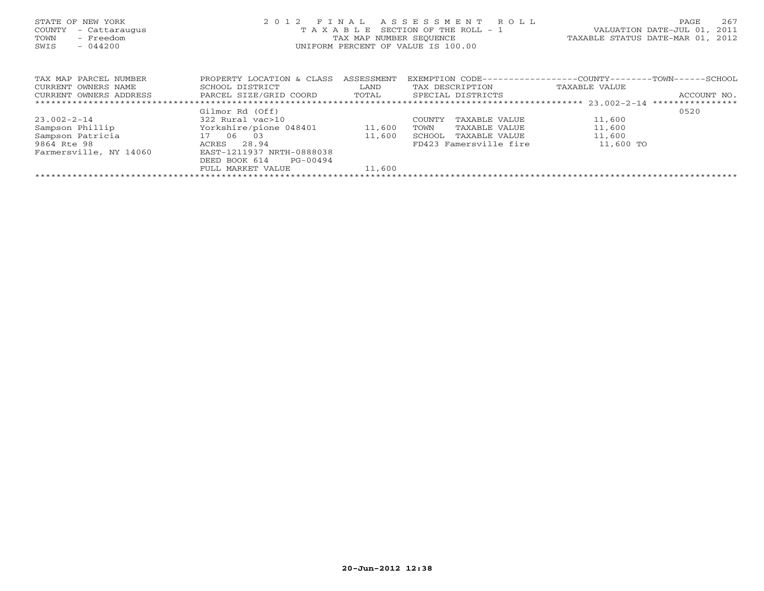| STATE OF NEW YORK<br>COUNTY<br>- Cattaraugus<br>- Freedom<br>TOWN<br>$-044200$<br>SWIS | 2012 FINAL<br>T A X A B L E SECTION OF THE ROLL - 1<br>TAX MAP NUMBER SEQUENCE<br>UNIFORM PERCENT OF VALUE IS 100.00 | PAGE<br>VALUATION DATE-JUL 01,<br>TAXABLE STATUS DATE-MAR 01, 2012 | 267<br>2011             |                                                               |  |
|----------------------------------------------------------------------------------------|----------------------------------------------------------------------------------------------------------------------|--------------------------------------------------------------------|-------------------------|---------------------------------------------------------------|--|
| TAX MAP PARCEL NUMBER                                                                  | PROPERTY LOCATION & CLASS                                                                                            | ASSESSMENT                                                         |                         | EXEMPTION CODE-----------------COUNTY--------TOWN------SCHOOL |  |
| CURRENT OWNERS NAME                                                                    | SCHOOL DISTRICT                                                                                                      | LAND                                                               | TAX DESCRIPTION         | TAXABLE VALUE                                                 |  |
| CURRENT OWNERS ADDRESS                                                                 | PARCEL SIZE/GRID COORD                                                                                               | TOTAL                                                              | SPECIAL DISTRICTS       | ACCOUNT NO.                                                   |  |
|                                                                                        |                                                                                                                      |                                                                    |                         | ****************                                              |  |
|                                                                                        | Gilmor Rd (Off)                                                                                                      |                                                                    |                         | 0520                                                          |  |
| $23.002 - 2 - 14$                                                                      | 322 Rural vac>10                                                                                                     |                                                                    | COUNTY<br>TAXABLE VALUE | 11,600                                                        |  |
| Sampson Phillip                                                                        | Yorkshire/pione 048401                                                                                               | 11,600                                                             | TAXABLE VALUE<br>TOWN   | 11,600                                                        |  |
| Sampson Patricia                                                                       | 17 06 03                                                                                                             | 11,600                                                             | TAXABLE VALUE<br>SCHOOL | 11,600                                                        |  |
| 9864 Rte 98                                                                            | 28.94<br>ACRES                                                                                                       |                                                                    | FD423 Famersville fire  | 11,600 TO                                                     |  |
| Farmersville, NY 14060                                                                 | EAST-1211937 NRTH-0888038                                                                                            |                                                                    |                         |                                                               |  |
|                                                                                        | DEED BOOK 614<br>PG-00494                                                                                            |                                                                    |                         |                                                               |  |
|                                                                                        | FULL MARKET VALUE                                                                                                    | 11,600                                                             |                         |                                                               |  |
|                                                                                        |                                                                                                                      |                                                                    |                         |                                                               |  |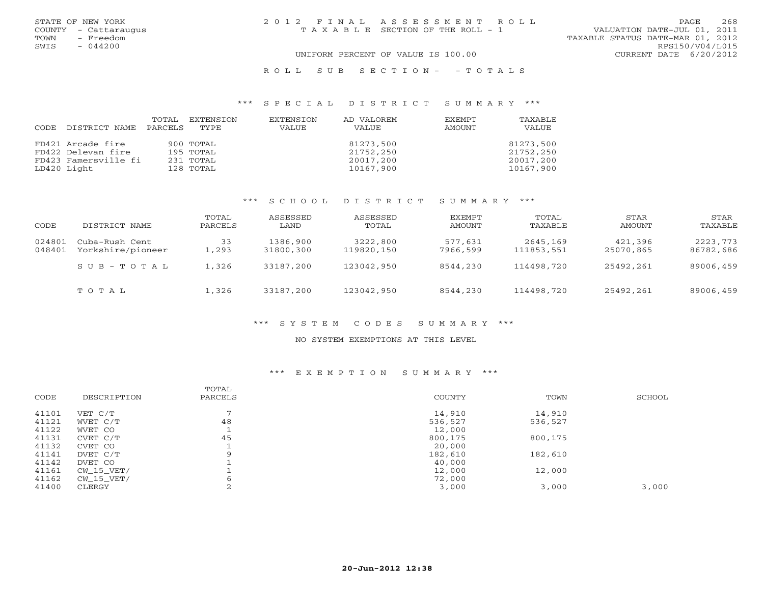| STATE OF NEW YORK    | 2012 FINAL ASSESSMENT ROLL            | 2.68<br><b>PAGE</b>              |
|----------------------|---------------------------------------|----------------------------------|
| COUNTY - Cattaraugus | T A X A B L E SECTION OF THE ROLL - 1 | VALUATION DATE-JUL 01, 2011      |
| TOWN<br>- Freedom    |                                       | TAXABLE STATUS DATE-MAR 01, 2012 |
| SWIS<br>$-044200$    |                                       | RPS150/V04/L015                  |
|                      | UNIFORM PERCENT OF VALUE IS 100.00    | CURRENT DATE 6/20/2012           |
|                      |                                       |                                  |

# R O L L S U B S E C T I O N - - T O T A L S

### \*\*\* S P E C I A L D I S T R I C T S U M M A R Y \*\*\*

| CODE | DISTRICT NAME        | TOTAL<br>PARCELS | EXTENSION<br>TYPE | EXTENSION<br>VALUE | AD VALOREM<br><b>VALUE</b> | <b>EXEMPT</b><br>AMOUNT | TAXABLF<br>VALUE |
|------|----------------------|------------------|-------------------|--------------------|----------------------------|-------------------------|------------------|
|      | FD421 Arcade fire    |                  | 900 TOTAL         |                    | 81273,500                  |                         | 81273,500        |
|      | FD422 Delevan fire   |                  | 195 TOTAL         |                    | 21752,250                  |                         | 21752,250        |
|      | FD423 Famersville fi |                  | 231 TOTAL         |                    | 20017,200                  |                         | 20017,200        |
|      | LD420 Light          |                  | 128 TOTAL         |                    | 10167,900                  |                         | 10167,900        |

# \*\*\* S C H O O L D I S T R I C T S U M M A R Y \*\*\*

| CODE             | DISTRICT NAME                       | TOTAL<br>PARCELS | ASSESSED<br>LAND      | ASSESSED<br>TOTAL      | EXEMPT<br>AMOUNT    | TOTAL<br>TAXABLE       | STAR<br>AMOUNT       | STAR<br>TAXABLE       |
|------------------|-------------------------------------|------------------|-----------------------|------------------------|---------------------|------------------------|----------------------|-----------------------|
| 024801<br>048401 | Cuba-Rush Cent<br>Yorkshire/pioneer | 33<br>1,293      | 1386,900<br>31800,300 | 3222,800<br>119820,150 | 577,631<br>7966,599 | 2645,169<br>111853,551 | 421,396<br>25070,865 | 2223,773<br>86782,686 |
|                  | $S \cup B - T \cup T A$             | 1,326            | 33187,200             | 123042,950             | 8544,230            | 114498,720             | 25492,261            | 89006,459             |
|                  | TOTAL                               | 1,326            | 33187,200             | 123042,950             | 8544,230            | 114498,720             | 25492,261            | 89006,459             |

# \*\*\* S Y S T E M C O D E S S U M M A R Y \*\*\*

### NO SYSTEM EXEMPTIONS AT THIS LEVEL

# \*\*\* E X E M P T I O N S U M M A R Y \*\*\*

| CODE  | DESCRIPTION | TOTAL<br>PARCELS | <b>COUNTY</b> | TOWN    | SCHOOL |
|-------|-------------|------------------|---------------|---------|--------|
|       |             |                  |               |         |        |
| 41101 | VET C/T     | $\overline{ }$   | 14,910        | 14,910  |        |
| 41121 | WVET C/T    | 48               | 536,527       | 536,527 |        |
| 41122 | WVET CO     |                  | 12,000        |         |        |
| 41131 | CVET C/T    | 45               | 800,175       | 800,175 |        |
| 41132 | CVET CO     |                  | 20,000        |         |        |
| 41141 | DVET C/T    | 9                | 182,610       | 182,610 |        |
| 41142 | DVET CO     |                  | 40,000        |         |        |
| 41161 | CW 15 VET/  |                  | 12,000        | 12,000  |        |
| 41162 | CW 15 VET/  | 6                | 72,000        |         |        |
| 41400 | CLERGY      | ◠<br>∠           | 3,000         | 3,000   | 3,000  |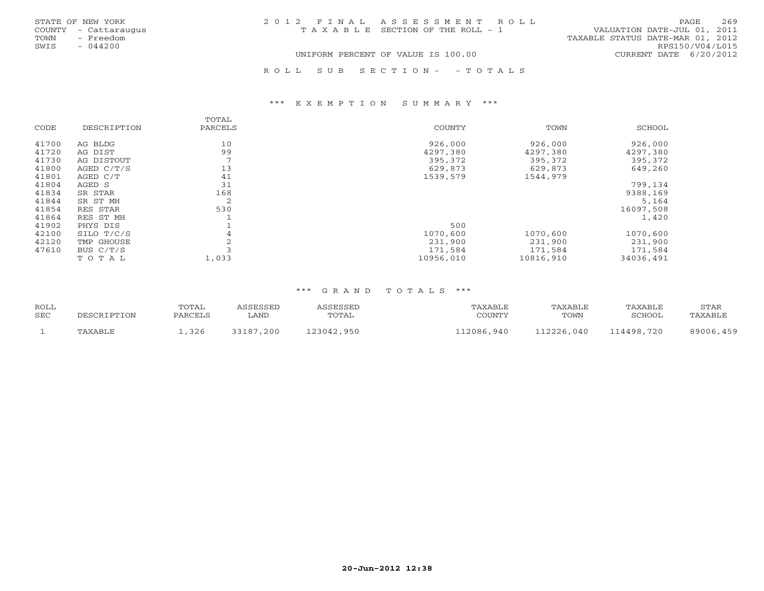| STATE OF NEW YORK    | 2012 FINAL ASSESSMENT ROLL         | 269<br><b>PAGE</b>               |
|----------------------|------------------------------------|----------------------------------|
| COUNTY - Cattaraugus | TAXABLE SECTION OF THE ROLL - 1    | VALUATION DATE-JUL 01, 2011      |
| - Freedom<br>TOWN    |                                    | TAXABLE STATUS DATE-MAR 01, 2012 |
| $-044200$<br>SWIS    |                                    | RPS150/V04/L015                  |
|                      | UNIFORM PERCENT OF VALUE IS 100.00 | CURRENT DATE 6/20/2012           |
|                      |                                    |                                  |

R O L L S U B S E C T I O N - - T O T A L S

### \*\*\* E X E M P T I O N S U M M A R Y \*\*\*

|       |              | TOTAL          |           |           |           |
|-------|--------------|----------------|-----------|-----------|-----------|
| CODE  | DESCRIPTION  | PARCELS        | COUNTY    | TOWN      | SCHOOL    |
| 41700 | AG BLDG      | 10             | 926,000   | 926,000   | 926,000   |
| 41720 | AG DIST      | 99             | 4297,380  | 4297,380  | 4297,380  |
| 41730 | AG DISTOUT   | $\overline{7}$ | 395,372   | 395,372   | 395,372   |
| 41800 | AGED $C/T/S$ | 13             | 629,873   | 629,873   | 649,260   |
| 41801 | AGED C/T     | 41             | 1539,579  | 1544,979  |           |
| 41804 | AGED S       | 31             |           |           | 799,134   |
| 41834 | SR STAR      | 168            |           |           | 9388,169  |
| 41844 | SR ST MH     | 2              |           |           | 5,164     |
| 41854 | RES STAR     | 530            |           |           | 16097,508 |
| 41864 | RES ST MH    |                |           |           | 1,420     |
| 41902 | PHYS DIS     |                | 500       |           |           |
| 42100 | SILO T/C/S   | 4              | 1070,600  | 1070,600  | 1070,600  |
| 42120 | TMP GHOUSE   | 2              | 231,900   | 231,900   | 231,900   |
| 47610 | BUS $C/T/S$  |                | 171,584   | 171,584   | 171,584   |
|       | TOTAL        | 1,033          | 10956,010 | 10816,910 | 34036,491 |

| <b>ROLL</b><br><b>SEC</b> | DESCRIPTION | TOTAL<br>PARCELS | <i><b>SSESSED</b></i><br>LAND | ASSESSED<br>TOTAL | TAXABLE<br>COUNTY | TAXABLE<br>TOWN | TAXABLE<br>SCHOOI | STAR<br>TAXABLE |
|---------------------------|-------------|------------------|-------------------------------|-------------------|-------------------|-----------------|-------------------|-----------------|
|                           | TAXABLE     | .326             | 33187,200                     | 123042,950        | 112086,940        | 112226,040      | 114498,720        | 89006,459       |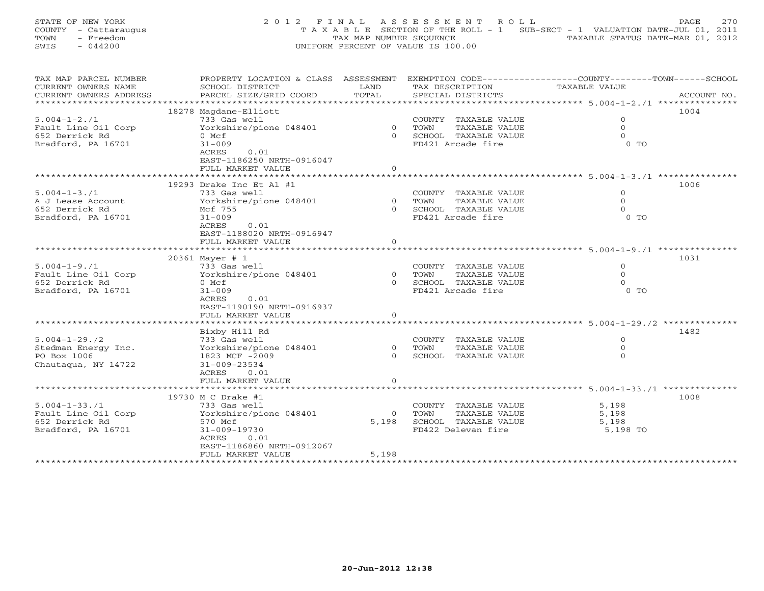STATE OF NEW YORK 200 2012 FINAL ASSESSMENT ROLL PAGE 270 COUNTY - Cattaraugus T A X A B L E SECTION OF THE ROLL - 1 SUB-SECT - 1 VALUATION DATE-JUL 01, 2011 TOWN - Freedom (2012) TAX MAP NUMBER SEQUENCE (2012) TAXABLE STATUS DATE-MAR 101, 2012<br>SWIS - 044200 SWIS - 044200 UNIFORM PERCENT OF VALUE IS 100.00

| TAX MAP PARCEL NUMBER  | PROPERTY LOCATION & CLASS ASSESSMENT |          | EXEMPTION CODE-----------------COUNTY-------TOWN------SCHOOL |                      |             |
|------------------------|--------------------------------------|----------|--------------------------------------------------------------|----------------------|-------------|
| CURRENT OWNERS NAME    | SCHOOL DISTRICT                      | LAND     | TAX DESCRIPTION                                              | TAXABLE VALUE        |             |
| CURRENT OWNERS ADDRESS | PARCEL SIZE/GRID COORD               | TOTAL    | SPECIAL DISTRICTS                                            |                      | ACCOUNT NO. |
| ********************** |                                      |          |                                                              |                      |             |
|                        | 18278 Magdane-Elliott                |          |                                                              |                      | 1004        |
| $5.004 - 1 - 2.71$     | 733 Gas well                         |          | COUNTY TAXABLE VALUE                                         | $\circ$              |             |
| Fault Line Oil Corp    | Yorkshire/pione 048401               |          | 0 TOWN<br>TAXABLE VALUE                                      | $\circ$              |             |
| 652 Derrick Rd         | 0 Mcf                                |          | 0 SCHOOL TAXABLE VALUE                                       | $\Omega$             |             |
| Bradford, PA 16701     | $31 - 009$                           |          | FD421 Arcade fire                                            | $0$ TO               |             |
|                        | 0.01<br>ACRES                        |          |                                                              |                      |             |
|                        | EAST-1186250 NRTH-0916047            |          |                                                              |                      |             |
|                        | FULL MARKET VALUE                    | $\Omega$ |                                                              |                      |             |
|                        |                                      |          |                                                              |                      |             |
|                        | 19293 Drake Inc Et Al $#1$           |          |                                                              |                      | 1006        |
| $5.004 - 1 - 3.71$     | 733 Gas well                         |          | COUNTY TAXABLE VALUE                                         | $\Omega$             |             |
| A J Lease Account      | Yorkshire/pione 048401               | 0 TOWN   | TAXABLE VALUE                                                | $\circ$              |             |
| 652 Derrick Rd         | Mcf 755                              |          | 0 SCHOOL TAXABLE VALUE                                       | $\Omega$             |             |
| Bradford, PA 16701     | $31 - 009$                           |          | FD421 Arcade fire                                            | $0$ TO               |             |
|                        | 0.01<br>ACRES                        |          |                                                              |                      |             |
|                        | EAST-1188020 NRTH-0916947            |          |                                                              |                      |             |
|                        | FULL MARKET VALUE                    | $\Omega$ |                                                              |                      |             |
|                        |                                      |          |                                                              |                      |             |
|                        |                                      |          |                                                              |                      | 1031        |
|                        | 20361 Mayer # 1                      |          |                                                              |                      |             |
| $5.004 - 1 - 9.71$     | 733 Gas well                         |          | COUNTY TAXABLE VALUE                                         | $\Omega$             |             |
| Fault Line Oil Corp    | Yorkshire/pione 048401               |          | 0 TOWN<br>TAXABLE VALUE                                      | $\Omega$<br>$\Omega$ |             |
| 652 Derrick Rd         | 0 Mcf                                |          | 0 SCHOOL TAXABLE VALUE                                       |                      |             |
| Bradford, PA 16701     | $31 - 009$                           |          | FD421 Arcade fire                                            | $0$ TO               |             |
|                        | ACRES<br>0.01                        |          |                                                              |                      |             |
|                        | EAST-1190190 NRTH-0916937            |          |                                                              |                      |             |
|                        | FULL MARKET VALUE                    | $\circ$  |                                                              |                      |             |
|                        |                                      |          |                                                              |                      |             |
|                        | Bixby Hill Rd                        |          |                                                              |                      | 1482        |
| $5.004 - 1 - 29.72$    | 733 Gas well                         |          | COUNTY TAXABLE VALUE                                         | $\Omega$             |             |
| Stedman Energy Inc.    | Yorkshire/pione 048401               |          | 0 TOWN<br>TAXABLE VALUE                                      | $\Omega$             |             |
| PO Box 1006            | 1823 MCF -2009                       |          | 0 SCHOOL TAXABLE VALUE                                       | $\Omega$             |             |
| Chautaqua, NY 14722    | $31 - 009 - 23534$                   |          |                                                              |                      |             |
|                        | ACRES<br>0.01                        |          |                                                              |                      |             |
|                        | FULL MARKET VALUE                    | $\circ$  |                                                              |                      |             |
|                        |                                      |          |                                                              |                      |             |
|                        | 19730 M C Drake #1                   |          |                                                              |                      | 1008        |
| $5.004 - 1 - 33.71$    | 733 Gas well                         |          | COUNTY TAXABLE VALUE                                         | 5,198                |             |
| Fault Line Oil Corp    | Yorkshire/pione 048401               | $\Omega$ | TOWN<br>TAXABLE VALUE                                        | 5,198                |             |
| 652 Derrick Rd         | 570 Mcf                              | 5,198    | SCHOOL TAXABLE VALUE                                         | 5,198                |             |
| Bradford, PA 16701     | 31-009-19730                         |          | FD422 Delevan fire                                           | 5,198 TO             |             |
|                        | ACRES<br>0.01                        |          |                                                              |                      |             |
|                        | EAST-1186860 NRTH-0912067            |          |                                                              |                      |             |
|                        | FULL MARKET VALUE                    | 5,198    |                                                              |                      |             |
|                        |                                      |          |                                                              |                      |             |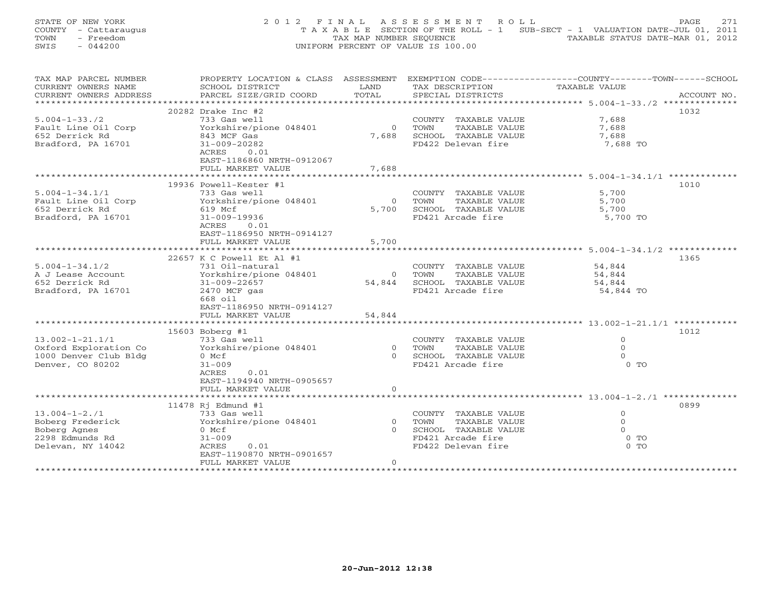|      | STATE OF NEW YORK    | 2012 FINAL ASSESSMENT ROLL         |                         |  |                                                                                | PAGE. | 2.71 |
|------|----------------------|------------------------------------|-------------------------|--|--------------------------------------------------------------------------------|-------|------|
|      | COUNTY - Cattaraugus |                                    |                         |  | T A X A B L E SECTION OF THE ROLL - 1 SUB-SECT - 1 VALUATION DATE-JUL 01, 2011 |       |      |
| TOWN | - Freedom            |                                    | TAX MAP NUMBER SEOUENCE |  | TAXABLE STATUS DATE-MAR 01, 2012                                               |       |      |
| SWIS | $-044200$            | UNIFORM PERCENT OF VALUE IS 100.00 |                         |  |                                                                                |       |      |

| TAX MAP PARCEL NUMBER  | PROPERTY LOCATION & CLASS ASSESSMENT EXEMPTION CODE---------------COUNTY-------TOWN------SCHOOL |                |                             |                |             |
|------------------------|-------------------------------------------------------------------------------------------------|----------------|-----------------------------|----------------|-------------|
| CURRENT OWNERS NAME    | SCHOOL DISTRICT                                                                                 | LAND           | TAX DESCRIPTION             | TAXABLE VALUE  |             |
| CURRENT OWNERS ADDRESS | PARCEL SIZE/GRID COORD                                                                          | TOTAL          | SPECIAL DISTRICTS           |                | ACCOUNT NO. |
|                        |                                                                                                 |                |                             |                |             |
|                        | $20282$ Drake Inc #2                                                                            |                |                             |                | 1032        |
| $5.004 - 1 - 33.72$    | 733 Gas well                                                                                    |                | COUNTY TAXABLE VALUE        | 7,688          |             |
| Fault Line Oil Corp    | Yorkshire/pione 048401                                                                          | $\overline{0}$ | TOWN<br>TAXABLE VALUE       | 7,688          |             |
| 652 Derrick Rd         | 843 MCF Gas                                                                                     |                | 7,688 SCHOOL TAXABLE VALUE  | 7,688          |             |
| Bradford, PA 16701     | 31-009-20282                                                                                    |                | FD422 Delevan fire          | 7,688 TO       |             |
|                        | ACRES<br>0.01                                                                                   |                |                             |                |             |
|                        |                                                                                                 |                |                             |                |             |
|                        | EAST-1186860 NRTH-0912067                                                                       |                |                             |                |             |
|                        | FULL MARKET VALUE                                                                               | 7,688          |                             |                |             |
|                        |                                                                                                 |                |                             |                |             |
|                        | 19936 Powell-Kester #1                                                                          |                |                             |                | 1010        |
| $5.004 - 1 - 34.1/1$   | 733 Gas well                                                                                    |                | COUNTY TAXABLE VALUE        | 5,700          |             |
| Fault Line Oil Corp    | Yorkshire/pione 048401                                                                          | $\overline{0}$ | TAXABLE VALUE<br>TOWN       | 5,700          |             |
| 652 Derrick Rd         | 619 Mcf                                                                                         |                | 5,700 SCHOOL TAXABLE VALUE  | 5,700          |             |
| Bradford, PA 16701     | 31-009-19936                                                                                    |                | FD421 Arcade fire           | 5,700 TO       |             |
|                        | ACRES<br>0.01                                                                                   |                |                             |                |             |
|                        | EAST-1186950 NRTH-0914127                                                                       |                |                             |                |             |
|                        | FULL MARKET VALUE                                                                               | 5,700          |                             |                |             |
|                        |                                                                                                 |                |                             |                |             |
|                        | 22657 K C Powell Et Al #1                                                                       |                |                             |                | 1365        |
| $5.004 - 1 - 34.1/2$   | 731 Oil-natural                                                                                 |                | COUNTY TAXABLE VALUE        | 54,844         |             |
|                        |                                                                                                 | $\overline{0}$ |                             |                |             |
| A J Lease Account      | Yorkshire/pione 048401                                                                          |                | TAXABLE VALUE<br>TOWN       | 54,844         |             |
| 652 Derrick Rd         | $31 - 009 - 22657$                                                                              |                | 54,844 SCHOOL TAXABLE VALUE | 54,844         |             |
| Bradford, PA 16701     | $2470$ MCF gas                                                                                  |                | FD421 Arcade fire           | 54,844 TO      |             |
|                        | 668 oil                                                                                         |                |                             |                |             |
|                        | EAST-1186950 NRTH-0914127                                                                       |                |                             |                |             |
|                        | FULL MARKET VALUE                                                                               | 54,844         |                             |                |             |
|                        |                                                                                                 |                |                             |                |             |
|                        | 15603 Boberg #1                                                                                 |                |                             |                | 1012        |
| $13.002 - 1 - 21.1/1$  | 733 Gas well                                                                                    |                | COUNTY TAXABLE VALUE        | $\Omega$       |             |
| Oxford Exploration Co  | Yorkshire/pione 048401                                                                          | $\Omega$       | TAXABLE VALUE<br>TOWN       | $\Omega$       |             |
| 1000 Denver Club Bldg  | 0 Mcf                                                                                           |                | 0 SCHOOL TAXABLE VALUE      | $\Omega$       |             |
| Denver, CO 80202       | $31 - 009$                                                                                      |                | FD421 Arcade fire           | $0$ TO         |             |
|                        | ACRES<br>0.01                                                                                   |                |                             |                |             |
|                        | EAST-1194940 NRTH-0905657                                                                       |                |                             |                |             |
|                        | FULL MARKET VALUE                                                                               | $\circ$        |                             |                |             |
|                        |                                                                                                 |                |                             |                |             |
|                        |                                                                                                 |                |                             |                | 0899        |
|                        | 11478 Rj Edmund #1                                                                              |                |                             |                |             |
| $13.004 - 1 - 2.71$    | 733 Gas well                                                                                    |                | COUNTY TAXABLE VALUE        | $\circ$        |             |
| Boberg Frederick       | Yorkshire/pione 048401                                                                          | $\Omega$       | TAXABLE VALUE<br>TOWN       | $\overline{0}$ |             |
| Boberg Agnes           | 0 Mcf                                                                                           | $\cap$         | SCHOOL TAXABLE VALUE        | $\Omega$       |             |
| 2298 Edmunds Rd        | $31 - 009$                                                                                      |                | FD421 Arcade fire           | $0$ TO         |             |
| Delevan, NY 14042      | ACRES<br>0.01                                                                                   |                | FD422 Delevan fire          | $0$ TO         |             |
|                        | EAST-1190870 NRTH-0901657                                                                       |                |                             |                |             |
|                        | FULL MARKET VALUE                                                                               | $\circ$        |                             |                |             |
|                        |                                                                                                 |                |                             |                |             |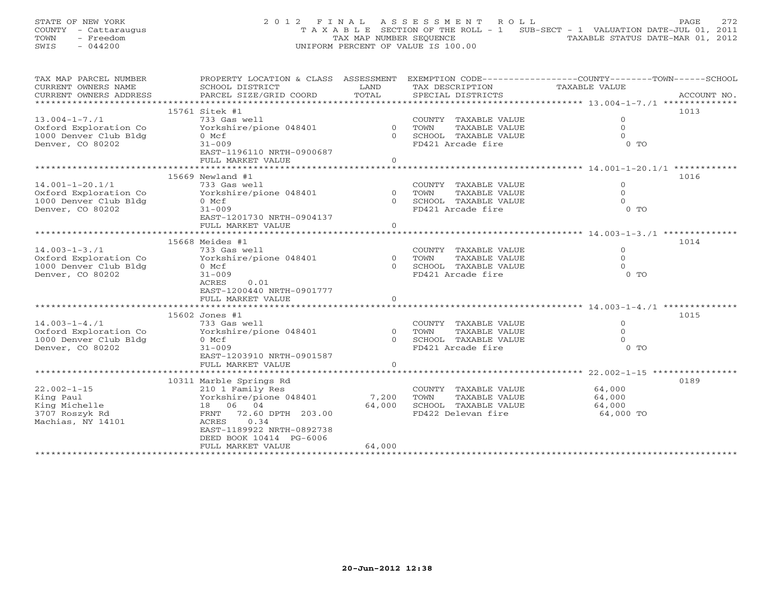STATE OF NEW YORK 22 0 1 2 F I N A L A S S E S S M E N T R O L L PAGE 272 COUNTY - Cattaraugus T A X A B L E SECTION OF THE ROLL - 1 SUB-SECT - 1 VALUATION DATE-JUL 01, 2011 TOWN - Freedom (2012) TAX MAP NUMBER SEQUENCE (2012) TAXABLE STATUS DATE-MAR 101, 2012<br>SWIS - 044200 SWIS - 044200 UNIFORM PERCENT OF VALUE IS 100.00

| TAX MAP PARCEL NUMBER | PROPERTY LOCATION & CLASS ASSESSMENT EXEMPTION CODE---------------COUNTY-------TOWN-----SCHOOL |          |                         |                |      |
|-----------------------|------------------------------------------------------------------------------------------------|----------|-------------------------|----------------|------|
| CURRENT OWNERS NAME   | SCHOOL DISTRICT                                                                                | LAND     | TAX DESCRIPTION         | TAXABLE VALUE  |      |
|                       |                                                                                                |          |                         |                |      |
|                       |                                                                                                |          |                         |                |      |
|                       | 15761 Sitek #1                                                                                 |          |                         |                | 1013 |
| $13.004 - 1 - 7.71$   | 733 Gas well                                                                                   |          | COUNTY TAXABLE VALUE    | $\Omega$       |      |
| Oxford Exploration Co | Yorkshire/pione 048401 0 TOWN                                                                  |          | TAXABLE VALUE           | $\Omega$       |      |
| 1000 Denver Club Bldg | 0 Mcf                                                                                          |          | 0 SCHOOL TAXABLE VALUE  | $\Omega$       |      |
|                       |                                                                                                |          |                         | $0$ TO         |      |
| Denver, CO 80202      | $31 - 009$                                                                                     |          | FD421 Arcade fire       |                |      |
|                       | EAST-1196110 NRTH-0900687                                                                      |          |                         |                |      |
|                       | FULL MARKET VALUE                                                                              | $\Omega$ |                         |                |      |
|                       |                                                                                                |          |                         |                |      |
|                       | 15669 Newland #1                                                                               |          |                         |                | 1016 |
| $14.001 - 1 - 20.1/1$ | 733 Gas well                                                                                   |          | COUNTY TAXABLE VALUE    | $\Omega$       |      |
| Oxford Exploration Co | Yorkshire/pione 048401                                                                         |          | 0 TOWN<br>TAXABLE VALUE | $\circ$        |      |
| 1000 Denver Club Bldg | $0$ Mcf                                                                                        |          | 0 SCHOOL TAXABLE VALUE  | $\Omega$       |      |
| Denver, CO 80202      | $31 - 009$                                                                                     |          | FD421 Arcade fire       | $0$ TO         |      |
|                       | EAST-1201730 NRTH-0904137                                                                      |          |                         |                |      |
|                       | FULL MARKET VALUE                                                                              | $\circ$  |                         |                |      |
|                       |                                                                                                |          |                         |                |      |
|                       | 15668 Meides #1                                                                                |          |                         |                | 1014 |
| $14.003 - 1 - 3.71$   | 733 Gas well                                                                                   |          | COUNTY TAXABLE VALUE    | $\overline{O}$ |      |
|                       | Yorkshire/pione 048401                                                                         | 0 TOWN   |                         | $\Omega$       |      |
| Oxford Exploration Co |                                                                                                |          | TAXABLE VALUE           |                |      |
| 1000 Denver Club Bldg | 0 Mcf                                                                                          |          | 0 SCHOOL TAXABLE VALUE  | $\Omega$       |      |
| Denver, CO 80202      | $31 - 009$                                                                                     |          | FD421 Arcade fire       | $0$ TO         |      |
|                       | 0.01<br>ACRES                                                                                  |          |                         |                |      |
|                       | EAST-1200440 NRTH-0901777                                                                      |          |                         |                |      |
|                       | FULL MARKET VALUE                                                                              | $\Omega$ |                         |                |      |
|                       |                                                                                                |          |                         |                |      |
|                       | 15602 Jones #1                                                                                 |          |                         |                | 1015 |
| $14.003 - 1 - 4.71$   | 733 Gas well                                                                                   |          | COUNTY TAXABLE VALUE    | $\Omega$       |      |
| Oxford Exploration Co | Yorkshire/pione 048401                                                                         |          | 0 TOWN<br>TAXABLE VALUE | $\Omega$       |      |
| 1000 Denver Club Bldg | 0 Mcf                                                                                          |          | 0 SCHOOL TAXABLE VALUE  | $\Omega$       |      |
| Denver, CO 80202      | $31 - 009$                                                                                     |          | FD421 Arcade fire       | $0$ TO         |      |
|                       | EAST-1203910 NRTH-0901587                                                                      |          |                         |                |      |
|                       | FULL MARKET VALUE                                                                              | $\Omega$ |                         |                |      |
|                       |                                                                                                |          |                         |                |      |
|                       |                                                                                                |          |                         |                |      |
|                       | 10311 Marble Springs Rd                                                                        |          |                         |                | 0189 |
| $22.002 - 1 - 15$     | 210 1 Family Res                                                                               |          | COUNTY TAXABLE VALUE    | 64,000         |      |
| King Paul             | Yorkshire/pione 048401                                                                         | 7,200    | TAXABLE VALUE<br>TOWN   | 64,000         |      |
| King Michelle         | 18  06  04                                                                                     | 64,000   | SCHOOL TAXABLE VALUE    | 64,000         |      |
| 3707 Roszyk Rd        | FRNT 72.60 DPTH 203.00                                                                         |          | FD422 Delevan fire      | 64,000 TO      |      |
| Machias, NY 14101     | 0.34<br>ACRES                                                                                  |          |                         |                |      |
|                       | EAST-1189922 NRTH-0892738                                                                      |          |                         |                |      |
|                       | DEED BOOK 10414 PG-6006                                                                        |          |                         |                |      |
|                       | FULL MARKET VALUE                                                                              | 64,000   |                         |                |      |
|                       |                                                                                                |          |                         |                |      |
|                       |                                                                                                |          |                         |                |      |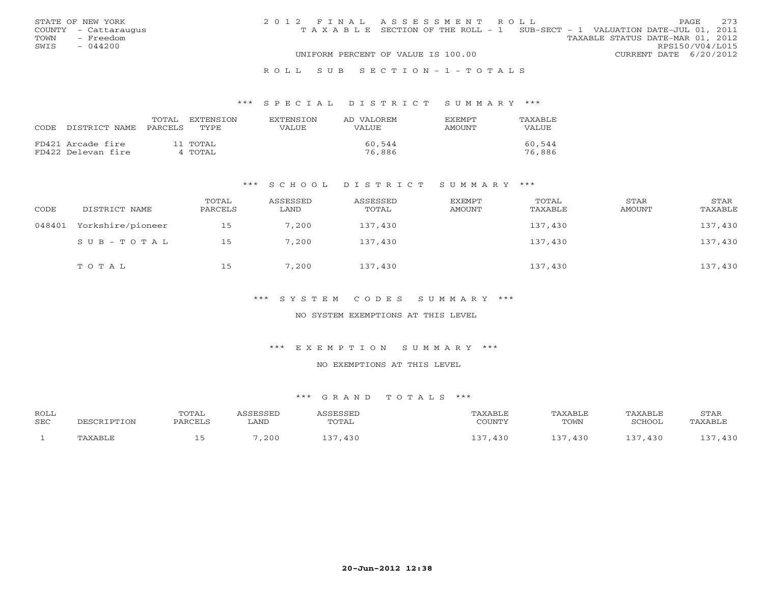|      | STATE OF NEW YORK    | 2012 FINAL ASSESSMENT ROLL |                                                                                |                                  |                        | <b>PAGE</b> | 2.73 |
|------|----------------------|----------------------------|--------------------------------------------------------------------------------|----------------------------------|------------------------|-------------|------|
|      | COUNTY - Cattaraugus |                            | T A X A B L E SECTION OF THE ROLL - 1 SUB-SECT - 1 VALUATION DATE-JUL 01, 2011 |                                  |                        |             |      |
| TOWN | - Freedom            |                            |                                                                                | TAXABLE STATUS DATE-MAR 01, 2012 |                        |             |      |
| SWIS | $-044200$            |                            |                                                                                |                                  | RPS150/V04/L015        |             |      |
|      |                      |                            | UNIFORM PERCENT OF VALUE IS 100.00                                             |                                  | CURRENT DATE 6/20/2012 |             |      |
|      |                      |                            |                                                                                |                                  |                        |             |      |

### R O L L S U B S E C T I O N - 1 - T O T A L S

### \*\*\* S P E C I A L D I S T R I C T S U M M A R Y \*\*\*

| CODE DISTRICT NAME PARCELS              | TOTAL | EXTENSTON<br>TYPE   | <b>EXTENSION</b><br>VALUE | AD VALOREM<br>VALUE | <b>EXEMPT</b><br>AMOUNT | TAXABLE<br>VALUE |
|-----------------------------------------|-------|---------------------|---------------------------|---------------------|-------------------------|------------------|
| FD421 Arcade fire<br>FD422 Delevan fire |       | 11 TOTAL<br>4 TOTAL |                           | 60,544<br>76,886    |                         | 60,544<br>76,886 |

### \*\*\* S C H O O L D I S T R I C T S U M M A R Y \*\*\*

| CODE   | DISTRICT NAME     | TOTAL<br>PARCELS | ASSESSED<br>LAND | ASSESSED<br>TOTAL | <b>EXEMPT</b><br><b>AMOUNT</b> | TOTAL<br>TAXABLE | STAR<br><b>AMOUNT</b> | STAR<br>TAXABLE |
|--------|-------------------|------------------|------------------|-------------------|--------------------------------|------------------|-----------------------|-----------------|
| 048401 | Yorkshire/pioneer | 15               | 7,200            | 137,430           |                                | 137,430          |                       | 137,430         |
|        | SUB-TOTAL         | 15               | 7,200            | 137,430           |                                | 137,430          |                       | 137,430         |
|        | TOTAL             | 15               | 7,200            | 137,430           |                                | 137,430          |                       | 137,430         |

\*\*\* S Y S T E M C O D E S S U M M A R Y \*\*\*

NO SYSTEM EXEMPTIONS AT THIS LEVEL

\*\*\* E X E M P T I O N S U M M A R Y \*\*\*

NO EXEMPTIONS AT THIS LEVEL

| ROLL | TOTAL     |      | <b>ACCECCET</b> |                                   |      | <b>TAXABLF</b> | STAR                 |
|------|-----------|------|-----------------|-----------------------------------|------|----------------|----------------------|
| SEC  | DA DO TIT | LAND | TOTAL           | $\gamma$ $\cap$ the true $\gamma$ | TOWN | SCHOOL         | . AXABL <sub>L</sub> |
|      |           | ,200 | $-430$          | 430                               | 430  | 430            | 430                  |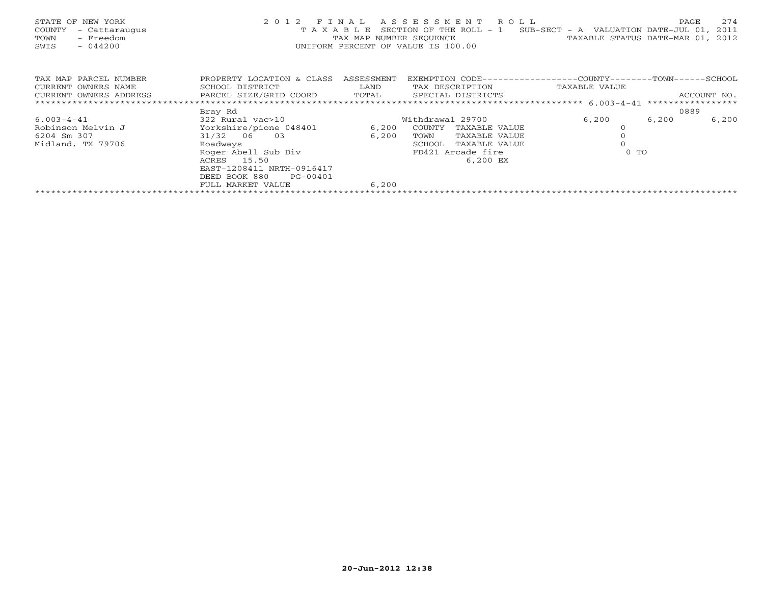| STATE OF NEW YORK<br>COUNTY<br>- Cattaraugus<br>- Freedom<br>TOWN<br>$-044200$<br>SWIS | 2012 FINAL<br>TAXABLE                                                                                                                                                                      | TAX MAP NUMBER SEQUENCE | A S S E S S M E N T R O L L<br>SECTION OF THE ROLL - $1$ SUB-SECT - A VALUATION DATE-JUL 01,<br>UNIFORM PERCENT OF VALUE IS 100.00 | TAXABLE STATUS DATE-MAR 01, | 274<br>PAGE<br>2011<br>2012 |
|----------------------------------------------------------------------------------------|--------------------------------------------------------------------------------------------------------------------------------------------------------------------------------------------|-------------------------|------------------------------------------------------------------------------------------------------------------------------------|-----------------------------|-----------------------------|
| TAX MAP PARCEL NUMBER<br>CURRENT OWNERS NAME<br>CURRENT OWNERS ADDRESS                 | PROPERTY LOCATION & CLASS ASSESSMENT<br>SCHOOL DISTRICT<br>PARCEL SIZE/GRID COORD TOTAL SPECIAL DISTRICTS                                                                                  | <b>Example 12</b> LAND  | EXEMPTION CODE-----------------COUNTY-------TOWN------SCHOOL<br>TAX DESCRIPTION                                                    | TAXABLE VALUE               | ACCOUNT NO.                 |
|                                                                                        | Bray Rd                                                                                                                                                                                    |                         |                                                                                                                                    |                             | 0889                        |
| $6.003 - 4 - 41$<br>Robinson Melvin J<br>6204 Sm 307<br>Midland, TX 79706              | 322 Rural vac>10<br>Yorkshire/pione 048401<br>31/32 06 03<br>Roadways<br>Roger Abell Sub Div<br>ACRES 15.50<br>EAST-1208411 NRTH-0916417<br>DEED BOOK 880<br>PG-00401<br>FULL MARKET VALUE | 6,200<br>6,200<br>6,200 | Withdrawal 29700<br>COUNTY<br>TAXABLE VALUE<br>TOWN<br>TAXABLE VALUE<br>SCHOOL<br>TAXABLE VALUE<br>FD421 Arcade fire<br>6,200 EX   | 6,200<br>6,200<br>$0$ TO    | 6,200                       |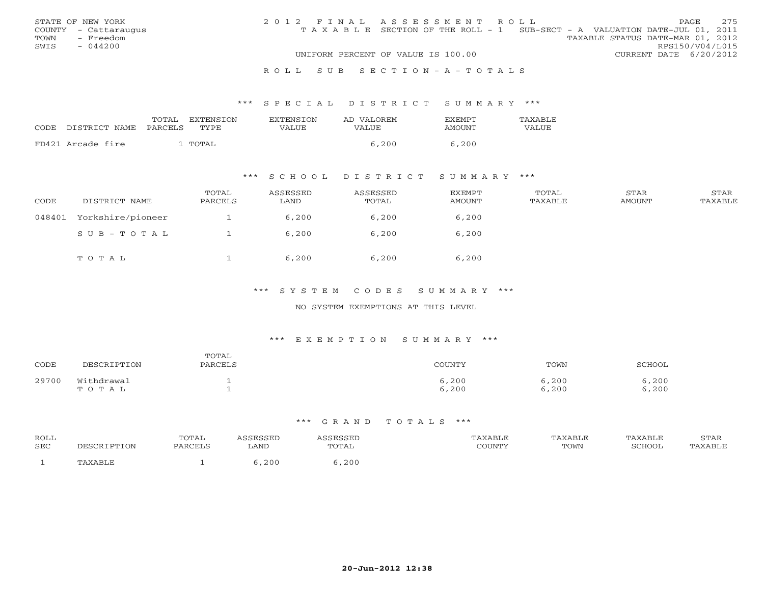|      | STATE OF NEW YORK    | 2012 FINAL ASSESSMENT ROLL |                                                                                |                                  |                        | PAGE. | 275 |
|------|----------------------|----------------------------|--------------------------------------------------------------------------------|----------------------------------|------------------------|-------|-----|
|      | COUNTY - Cattaraugus |                            | T A X A B L E SECTION OF THE ROLL - 1 SUB-SECT - A VALUATION DATE-JUL 01, 2011 |                                  |                        |       |     |
| TOWN | - Freedom            |                            |                                                                                | TAXABLE STATUS DATE-MAR 01, 2012 |                        |       |     |
| SWIS | $-044200$            |                            |                                                                                |                                  | RPS150/V04/L015        |       |     |
|      |                      |                            | UNIFORM PERCENT OF VALUE IS 100.00                                             |                                  | CURRENT DATE 6/20/2012 |       |     |
|      |                      |                            |                                                                                |                                  |                        |       |     |

### R O L L S U B S E C T I O N - A - T O T A L S

### \*\*\* S P E C I A L D I S T R I C T S U M M A R Y \*\*\*

|      |                   | TOTAL   | EXTENSTON | <b>EXTENSION</b> | AD VALOREM | <b>FXFMPT</b> | <b>TAXABLE</b> |
|------|-------------------|---------|-----------|------------------|------------|---------------|----------------|
| CODE | DISTRICT NAME     | PARCELS | TYPE      | VALUE            | VALUE      | AMOUNT        | VALUE          |
|      | FD421 Arcade fire |         | TOTAL     |                  | 5.200      | 6,200         |                |
|      |                   |         |           |                  |            |               |                |

# \*\*\* S C H O O L D I S T R I C T S U M M A R Y \*\*\*

| CODE   | DISTRICT NAME     | TOTAL<br>PARCELS | ASSESSED<br>LAND | ASSESSED<br>TOTAL | <b>EXEMPT</b><br><b>AMOUNT</b> | TOTAL<br>TAXABLE | STAR<br><b>AMOUNT</b> | STAR<br>TAXABLE |
|--------|-------------------|------------------|------------------|-------------------|--------------------------------|------------------|-----------------------|-----------------|
| 048401 | Yorkshire/pioneer |                  | 6,200            | 6,200             | 6,200                          |                  |                       |                 |
|        | SUB-TOTAL         |                  | 6,200            | 6,200             | 6,200                          |                  |                       |                 |
|        | TOTAL             |                  | 6,200            | 6,200             | 6,200                          |                  |                       |                 |

# \*\*\* S Y S T E M C O D E S S U M M A R Y \*\*\*

## NO SYSTEM EXEMPTIONS AT THIS LEVEL

### \*\*\* E X E M P T I O N S U M M A R Y \*\*\*

| CODE  | DESCRIPTION         | TOTAL<br>PARCELS | COUNTY         | TOWN           | SCHOOL         |
|-------|---------------------|------------------|----------------|----------------|----------------|
| 29700 | Withdrawal<br>TOTAL |                  | 6,200<br>6,200 | 6,200<br>6,200 | 6,200<br>6,200 |

| ROLL<br>SEC | DESCRIPTION | TOTAL<br>PARCELS | LAND | <i>\SSESSED</i><br>TOTAL | TAXABLE<br>COUNTY | TAXABLE<br>TOWN | TAXABLE<br>SCHOOL | STAR<br>'AXABLE |
|-------------|-------------|------------------|------|--------------------------|-------------------|-----------------|-------------------|-----------------|
|             |             |                  | ,200 | , 200                    |                   |                 |                   |                 |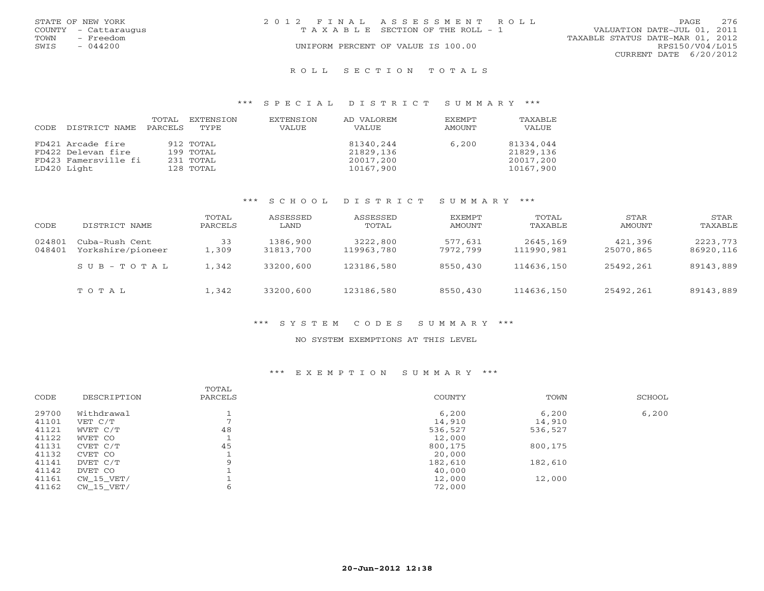|      | STATE OF NEW YORK    | 2012 FINAL ASSESSMENT ROLL |                                    |                                  | PAGE            | 2.76 |
|------|----------------------|----------------------------|------------------------------------|----------------------------------|-----------------|------|
|      | COUNTY - Cattaraugus |                            | TAXABLE SECTION OF THE ROLL - 1    | VALUATION DATE-JUL 01, 2011      |                 |      |
| TOWN | - Freedom            |                            |                                    | TAXABLE STATUS DATE-MAR 01, 2012 |                 |      |
| SWIS | $-044200$            |                            | UNIFORM PERCENT OF VALUE IS 100.00 |                                  | RPS150/V04/L015 |      |
|      |                      |                            |                                    | CURRENT DATE 6/20/2012           |                 |      |
|      |                      |                            |                                    |                                  |                 |      |

#### R O L L S E C T I O N T O T A L S

### \*\*\* S P E C I A L D I S T R I C T S U M M A R Y \*\*\*

| CODE | DISTRICT NAME        | TOTAL<br>PARCELS | EXTENSION<br>TYPE | EXTENSION<br>VALUE | AD VALOREM<br><b>VALUE</b> | <b>EXEMPT</b><br>AMOUNT | TAXABLE<br>VALUE |
|------|----------------------|------------------|-------------------|--------------------|----------------------------|-------------------------|------------------|
|      | FD421 Arcade fire    |                  | 912 TOTAL         |                    | 81340,244                  | 6,200                   | 81334,044        |
|      | FD422 Delevan fire   |                  | 199 TOTAL         |                    | 21829,136                  |                         | 21829,136        |
|      | FD423 Famersville fi |                  | 231 TOTAL         |                    | 20017,200                  |                         | 20017,200        |
|      | LD420 Light          |                  | 128 TOTAL         |                    | 10167,900                  |                         | 10167,900        |

# \*\*\* S C H O O L D I S T R I C T S U M M A R Y \*\*\*

| CODE             | DISTRICT NAME                       | TOTAL<br>PARCELS | ASSESSED<br>LAND      | ASSESSED<br>TOTAL      | <b>EXEMPT</b><br>AMOUNT | TOTAL<br>TAXABLE       | STAR<br>AMOUNT       | <b>STAR</b><br>TAXABLE |
|------------------|-------------------------------------|------------------|-----------------------|------------------------|-------------------------|------------------------|----------------------|------------------------|
| 024801<br>048401 | Cuba-Rush Cent<br>Yorkshire/pioneer | 33<br>1,309      | 1386,900<br>31813,700 | 3222,800<br>119963,780 | 577,631<br>7972,799     | 2645,169<br>111990,981 | 421,396<br>25070,865 | 2223,773<br>86920,116  |
|                  | SUB-TOTAL                           | 1,342            | 33200,600             | 123186,580             | 8550,430                | 114636,150             | 25492,261            | 89143,889              |
|                  | TOTAL                               | 1,342            | 33200,600             | 123186,580             | 8550,430                | 114636,150             | 25492,261            | 89143,889              |

# \*\*\* S Y S T E M C O D E S S U M M A R Y \*\*\*

### NO SYSTEM EXEMPTIONS AT THIS LEVEL

# \*\*\* E X E M P T I O N S U M M A R Y \*\*\*

| CODE  | DESCRIPTION  | TOTAL<br>PARCELS | COUNTY  | TOWN    | SCHOOL |
|-------|--------------|------------------|---------|---------|--------|
| 29700 | Withdrawal   |                  | 6,200   | 6,200   | 6,200  |
| 41101 | VET C/T      |                  | 14,910  | 14,910  |        |
| 41121 | WVET C/T     | 48               | 536,527 | 536,527 |        |
| 41122 | WVET CO      |                  | 12,000  |         |        |
| 41131 | CVET C/T     | 45               | 800,175 | 800,175 |        |
| 41132 | CVET CO      |                  | 20,000  |         |        |
| 41141 | DVET C/T     | $\Omega$         | 182,610 | 182,610 |        |
| 41142 | DVET CO      |                  | 40,000  |         |        |
| 41161 | CW 15 VET/   |                  | 12,000  | 12,000  |        |
| 41162 | $CW_15_VET/$ |                  | 72,000  |         |        |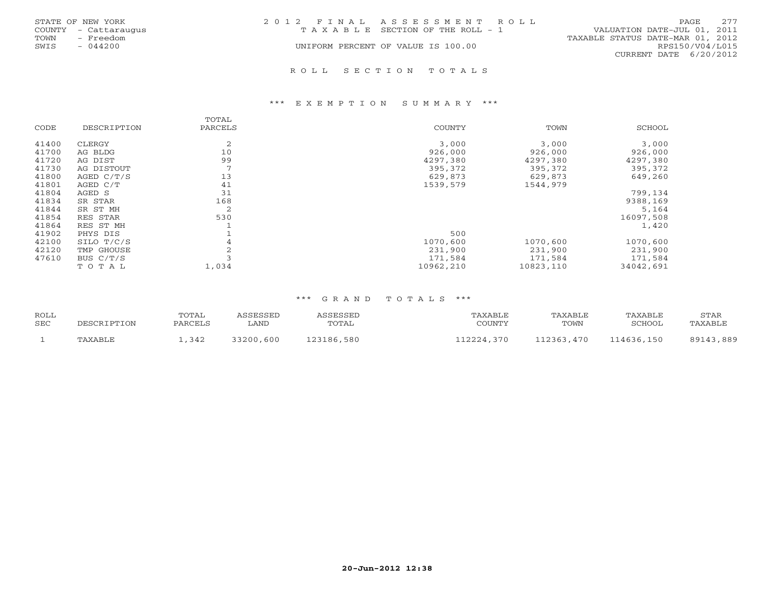|      | STATE OF NEW YORK    | 2012 FINAL ASSESSMENT ROLL |                                       |                                  | <b>PAGE</b>     | 2.77 |
|------|----------------------|----------------------------|---------------------------------------|----------------------------------|-----------------|------|
|      | COUNTY - Cattaraugus |                            | T A X A B L E SECTION OF THE ROLL - 1 | VALUATION DATE-JUL 01, 2011      |                 |      |
| TOWN | - Freedom            |                            |                                       | TAXABLE STATUS DATE-MAR 01, 2012 |                 |      |
| SWIS | $-044200$            |                            | UNIFORM PERCENT OF VALUE IS 100.00    |                                  | RPS150/V04/L015 |      |
|      |                      |                            |                                       | CURRENT DATE 6/20/2012           |                 |      |
|      |                      |                            |                                       |                                  |                 |      |

#### R O L L S E C T I O N T O T A L S

### \*\*\* E X E M P T I O N S U M M A R Y \*\*\*

|       |             | TOTAL   |           |           |           |
|-------|-------------|---------|-----------|-----------|-----------|
| CODE  | DESCRIPTION | PARCELS | COUNTY    | TOWN      | SCHOOL    |
| 41400 | CLERGY      | 2       | 3,000     | 3,000     | 3,000     |
| 41700 | AG BLDG     | 10      | 926,000   | 926,000   | 926,000   |
| 41720 | AG DIST     | 99      | 4297,380  | 4297,380  | 4297,380  |
| 41730 | AG DISTOUT  |         | 395,372   | 395,372   | 395,372   |
| 41800 | AGED C/T/S  | 13      | 629,873   | 629,873   | 649,260   |
| 41801 | AGED C/T    | 41      | 1539,579  | 1544,979  |           |
| 41804 | AGED S      | 31      |           |           | 799,134   |
| 41834 | SR STAR     | 168     |           |           | 9388,169  |
| 41844 | SR ST MH    | 2       |           |           | 5,164     |
| 41854 | RES STAR    | 530     |           |           | 16097,508 |
| 41864 | RES ST MH   |         |           |           | 1,420     |
| 41902 | PHYS DIS    |         | 500       |           |           |
| 42100 | SILO T/C/S  | 4       | 1070,600  | 1070,600  | 1070,600  |
| 42120 | TMP GHOUSE  | 2       | 231,900   | 231,900   | 231,900   |
| 47610 | BUS C/T/S   |         | 171,584   | 171,584   | 171,584   |
|       | TOTAL       | 1,034   | 10962,210 | 10823,110 | 34042,691 |

| <b>ROLL</b> | DESCRIPTION | TOTAL   | ASSESSED  | ASSESSED   | TAXABLE    | TAXABLE    | TAXABLE    | STAR      |
|-------------|-------------|---------|-----------|------------|------------|------------|------------|-----------|
| SEC         |             | PARCELS | . AND     | TOTAL      | COUNTY     | TOWN       | SCHOOL     | TAXABLE   |
|             | TAXABLE     | ,342    | 33200,600 | 123186,580 | 112224,370 | 112363,470 | 114636,150 | 89143,889 |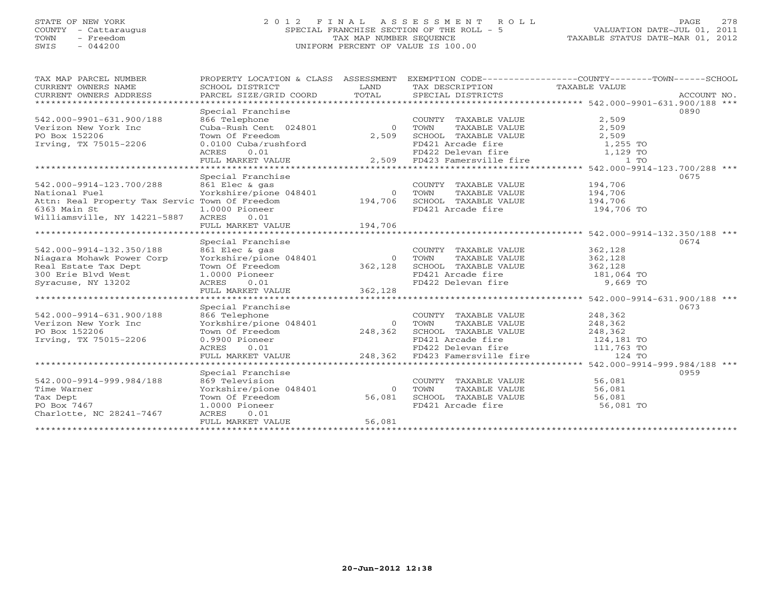# STATE OF NEW YORK 2 0 1 2 F I N A L A S S E S S M E N T R O L L PAGE 278 COUNTY - Cattaraugus SPECIAL FRANCHISE SECTION OF THE ROLL - 5 VALUATION DATE-JUL 01, 2011 TOWN - Freedom TAX MAP NUMBER SEQUENCE TAXABLE STATUS DATE-MAR 01, 2012 SWIS - 044200 UNIFORM PERCENT OF VALUE IS 100.00UNIFORM PERCENT OF VALUE IS 100.00

| TAX MAP PARCEL NUMBER<br>CURRENT OWNERS NAME<br>CURRENT OWNERS ADDRESS | PROPERTY LOCATION & CLASS ASSESSMENT<br>SCHOOL DISTRICT<br>PARCEL SIZE/GRID COORD | LAND<br>TOTAL | TAX DESCRIPTION<br>SPECIAL DISTRICTS      | EXEMPTION CODE-----------------COUNTY-------TOWN------SCHOOL<br>TAXABLE VALUE | ACCOUNT NO. |
|------------------------------------------------------------------------|-----------------------------------------------------------------------------------|---------------|-------------------------------------------|-------------------------------------------------------------------------------|-------------|
| ***********************                                                |                                                                                   |               |                                           |                                                                               |             |
|                                                                        | Special Franchise                                                                 |               |                                           |                                                                               | 0890        |
| 542.000-9901-631.900/188                                               | 866 Telephone                                                                     |               | COUNTY TAXABLE VALUE                      | 2,509                                                                         |             |
| Verizon New York Inc                                                   | Cuba-Rush Cent 024801                                                             | $\Omega$      | TOWN<br>TAXABLE VALUE                     | 2,509                                                                         |             |
| PO Box 152206                                                          | Town Of Freedom                                                                   | 2,509         | SCHOOL TAXABLE VALUE                      | 2,509                                                                         |             |
| Irving, TX 75015-2206                                                  | 0.0100 Cuba/rushford                                                              |               | FD421 Arcade fire                         | 1,255 TO                                                                      |             |
|                                                                        | 0.01<br>ACRES                                                                     |               | FD422 Delevan fire                        | 1,129 TO                                                                      |             |
|                                                                        | FULL MARKET VALUE                                                                 | 2,509         | FD423 Famersville fire                    | $1$ TO                                                                        |             |
|                                                                        |                                                                                   |               |                                           | ********************************** 542.000-9914-123.700/288 ***               |             |
|                                                                        | Special Franchise                                                                 |               |                                           |                                                                               | 0675        |
| 542.000-9914-123.700/288                                               | 861 Elec & gas                                                                    |               | COUNTY TAXABLE VALUE                      | 194,706                                                                       |             |
| National Fuel                                                          | Yorkshire/pione 048401                                                            | $\Omega$      | TOWN<br>TAXABLE VALUE                     | 194,706                                                                       |             |
| Attn: Real Property Tax Servic Town Of Freedom                         |                                                                                   | 194,706       | SCHOOL TAXABLE VALUE                      | 194,706                                                                       |             |
| 6363 Main St                                                           | 1.0000 Pioneer                                                                    |               | FD421 Arcade fire                         | 194,706 TO                                                                    |             |
| Williamsville, NY 14221-5887                                           | <b>ACRES</b><br>0.01                                                              |               |                                           |                                                                               |             |
|                                                                        | FULL MARKET VALUE                                                                 | 194,706       |                                           |                                                                               |             |
|                                                                        |                                                                                   |               |                                           |                                                                               |             |
|                                                                        | Special Franchise                                                                 |               |                                           |                                                                               | 0674        |
| 542.000-9914-132.350/188                                               | 861 Elec & gas                                                                    |               | COUNTY TAXABLE VALUE                      | 362,128<br>362,128                                                            |             |
| Niagara Mohawk Power Corp                                              | Yorkshire/pione 048401                                                            | $\circ$       | TOWN<br>TAXABLE VALUE                     |                                                                               |             |
| Real Estate Tax Dept<br>300 Erie Blyd West                             | Town Of Freedom                                                                   | 362,128       | SCHOOL TAXABLE VALUE<br>FD421 Arcade fire | 362,128<br>181,064 TO                                                         |             |
| Syracuse, NY 13202                                                     | 1.0000 Pioneer<br>0.01<br>ACRES                                                   |               | FD422 Delevan fire                        | 9,669 TO                                                                      |             |
|                                                                        | FULL MARKET VALUE                                                                 | 362,128       |                                           |                                                                               |             |
|                                                                        |                                                                                   |               |                                           |                                                                               |             |
|                                                                        | Special Franchise                                                                 |               |                                           |                                                                               | 0673        |
| 542.000-9914-631.900/188                                               | 866 Telephone                                                                     |               | COUNTY TAXABLE VALUE                      | 248,362                                                                       |             |
| Verizon New York Inc                                                   | Yorkshire/pione 048401                                                            | $\Omega$      | TAXABLE VALUE<br>TOWN                     | 248,362                                                                       |             |
| PO Box 152206                                                          | Town Of Freedom                                                                   | 248,362       | SCHOOL TAXABLE VALUE                      | 248,362                                                                       |             |
| Irving, TX 75015-2206                                                  | 0.9900 Pioneer                                                                    |               | FD421 Arcade fire                         | 124,181 TO                                                                    |             |
|                                                                        | 0.01<br>ACRES                                                                     |               | FD422 Delevan fire                        | 111,763 TO                                                                    |             |
|                                                                        | FULL MARKET VALUE                                                                 | 248,362       | FD423 Famersville fire                    | 124 TO                                                                        |             |
|                                                                        | * * * * * * * * * * * * * * * * * * *                                             |               |                                           | ********************************* 542.000-9914-999.984/188 ***                |             |
|                                                                        | Special Franchise                                                                 |               |                                           |                                                                               | 0959        |
| 542.000-9914-999.984/188                                               | 869 Television                                                                    |               | COUNTY TAXABLE VALUE                      | 56,081                                                                        |             |
| Time Warner                                                            | Yorkshire/pione 048401                                                            | $\Omega$      | TOWN<br>TAXABLE VALUE                     | 56,081                                                                        |             |
| Tax Dept                                                               | Town Of Freedom                                                                   | 56,081        | SCHOOL TAXABLE VALUE                      | 56,081                                                                        |             |
| PO Box 7467                                                            | 1.0000 Pioneer                                                                    |               | FD421 Arcade fire                         | 56,081 TO                                                                     |             |
| Charlotte, NC 28241-7467                                               | ACRES<br>0.01                                                                     |               |                                           |                                                                               |             |
|                                                                        | FULL MARKET VALUE                                                                 | 56,081        |                                           |                                                                               |             |
| ******************                                                     |                                                                                   |               |                                           |                                                                               |             |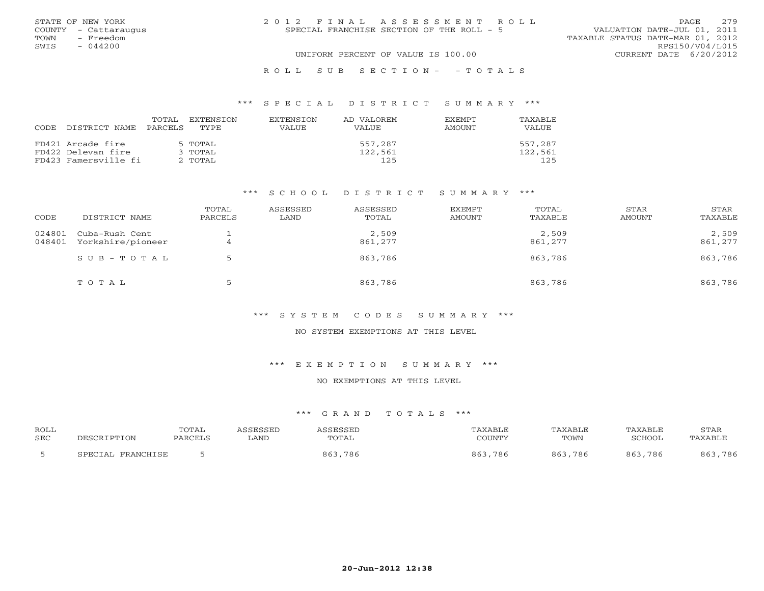| STATE OF NEW YORK    | 2012 FINAL ASSESSMENT ROLL                | 2.79<br>PAGE.                    |
|----------------------|-------------------------------------------|----------------------------------|
| COUNTY - Cattaraugus | SPECIAL FRANCHISE SECTION OF THE ROLL - 5 | VALUATION DATE-JUL 01, 2011      |
| TOWN<br>- Freedom    |                                           | TAXABLE STATUS DATE-MAR 01, 2012 |
| SWIS<br>$-044200$    |                                           | RPS150/V04/L015                  |
|                      | UNIFORM PERCENT OF VALUE IS 100.00        | CURRENT DATE 6/20/2012           |
|                      | ROLL SUB SECTION- - TOTALS                |                                  |

# \*\*\* S P E C I A L D I S T R I C T S U M M A R Y \*\*\*

| CODE | DISTRICT NAME        | TOTAL<br>PARCELS | EXTENSTON<br>TYPE | <b>EXTENSION</b><br>VALUE | AD VALOREM<br>VALUE | <b>EXEMPT</b><br>AMOUNT | TAXABLE<br>VALUE |
|------|----------------------|------------------|-------------------|---------------------------|---------------------|-------------------------|------------------|
|      | FD421 Arcade fire    |                  | 5 TOTAL           |                           | 557,287             |                         | 557,287          |
|      | FD422 Delevan fire   |                  | 3 TOTAL           |                           | 122,561             |                         | 122,561          |
|      | FD423 Famersville fi |                  | 2 TOTAL           |                           | 125                 |                         | 125              |

### \*\*\* S C H O O L D I S T R I C T S U M M A R Y \*\*\*

| CODE             | DISTRICT NAME                       | TOTAL<br>PARCELS | ASSESSED<br>LAND | ASSESSED<br>TOTAL | EXEMPT<br>AMOUNT | TOTAL<br>TAXABLE | STAR<br>AMOUNT | STAR<br>TAXABLE  |
|------------------|-------------------------------------|------------------|------------------|-------------------|------------------|------------------|----------------|------------------|
| 024801<br>048401 | Cuba-Rush Cent<br>Yorkshire/pioneer | 4                |                  | 2,509<br>861,277  |                  | 2,509<br>861,277 |                | 2,509<br>861,277 |
|                  | SUB-TOTAL                           |                  |                  | 863,786           |                  | 863,786          |                | 863,786          |
|                  | TOTAL                               |                  |                  | 863,786           |                  | 863,786          |                | 863,786          |

# \*\*\* S Y S T E M C O D E S S U M M A R Y \*\*\*

#### NO SYSTEM EXEMPTIONS AT THIS LEVEL

### \*\*\* E X E M P T I O N S U M M A R Y \*\*\*

# NO EXEMPTIONS AT THIS LEVEL

| <b>ROLI</b><br><b>SEC</b> | TON                       | TOTAL<br>$PARCF+$ | LAND | <b>CECCET</b><br>TOTAL | AXABLF<br>COUNTY | AXABLF<br>TOWN | ם זם גיע איז<br>∩מח¤ר  | STAF<br>. DY ∆RT |
|---------------------------|---------------------------|-------------------|------|------------------------|------------------|----------------|------------------------|------------------|
|                           | <b>PDAMCUTCP</b><br>ים חי |                   |      | 86.<br>786             | 786<br>863       | 786<br>ឧ ៩     | 86 <sup>-</sup><br>786 | . 786<br>$R$ $F$ |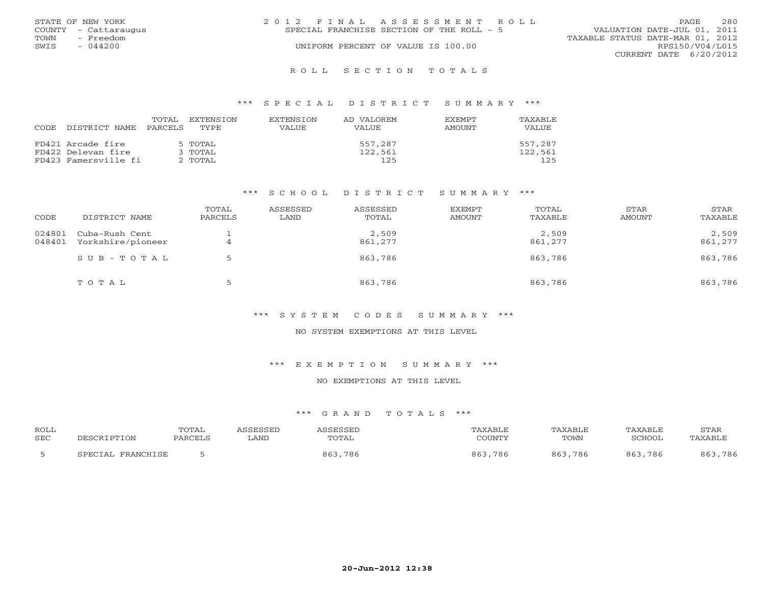|      | STATE OF NEW YORK    | 2012 FINAL ASSESSMENT ROLL                                               | PAGE.                  | 280 |
|------|----------------------|--------------------------------------------------------------------------|------------------------|-----|
|      | COUNTY - Cattaraugus | VALUATION DATE-JUL 01, 2011<br>SPECIAL FRANCHISE SECTION OF THE ROLL - 5 |                        |     |
| TOWN | - Freedom            | TAXABLE STATUS DATE-MAR 01, 2012                                         |                        |     |
| SWIS | $-044200$            | UNIFORM PERCENT OF VALUE IS 100.00                                       | RPS150/V04/L015        |     |
|      |                      |                                                                          | CURRENT DATE 6/20/2012 |     |
|      |                      |                                                                          |                        |     |

### R O L L S E C T I O N T O T A L S

### \*\*\* S P E C I A L D I S T R I C T S U M M A R Y \*\*\*

| CODE. | DISTRICT NAME        | TOTAL<br>PARCELS | EXTENSION<br>TYPE. | <b>EXTENSION</b><br><b>VALUE</b> | AD VALOREM<br><b>VALUE</b> | <b>EXEMPT</b><br>AMOUNT | TAXABLE<br>VALUE |
|-------|----------------------|------------------|--------------------|----------------------------------|----------------------------|-------------------------|------------------|
|       | FD421 Arcade fire    |                  | 5 TOTAL            |                                  | 557,287                    |                         | 557,287          |
|       | FD422 Delevan fire   |                  | 3 TOTAL            |                                  | 122,561                    |                         | 122,561          |
|       | FD423 Famersville fi |                  | 2 TOTAL            |                                  | 125                        |                         | 125              |

### \*\*\* S C H O O L D I S T R I C T S U M M A R Y \*\*\*

| CODE             | DISTRICT NAME                       | TOTAL<br>PARCELS | ASSESSED<br>LAND | ASSESSED<br>TOTAL | EXEMPT<br>AMOUNT | TOTAL<br>TAXABLE | STAR<br>AMOUNT | STAR<br>TAXABLE  |
|------------------|-------------------------------------|------------------|------------------|-------------------|------------------|------------------|----------------|------------------|
| 024801<br>048401 | Cuba-Rush Cent<br>Yorkshire/pioneer |                  |                  | 2,509<br>861,277  |                  | 2,509<br>861,277 |                | 2,509<br>861,277 |
|                  | SUB-TOTAL                           |                  |                  | 863,786           |                  | 863,786          |                | 863,786          |
|                  | TOTAL                               |                  |                  | 863,786           |                  | 863,786          |                | 863,786          |

# \*\*\* S Y S T E M C O D E S S U M M A R Y \*\*\*

#### NO SYSTEM EXEMPTIONS AT THIS LEVEL

### \*\*\* E X E M P T I O N S U M M A R Y \*\*\*

# NO EXEMPTIONS AT THIS LEVEL

| <b>ROLL</b> |                                  | TOTAL                |      |            | XABLF             | <b><i>PAXABLF</i></b> | TAXABLE                | STAF        |
|-------------|----------------------------------|----------------------|------|------------|-------------------|-----------------------|------------------------|-------------|
| <b>SEC</b>  |                                  | $DA$ $D$ $C$ $F$ $T$ | LAND | TOTAL      | COLINTA           | TOWN                  | ∩מח¤ר                  | .'∆ Y ∆ R T |
|             | <b>PDAMCUTCP</b><br>ΤΔ.<br>ש הדר |                      |      | 867<br>786 | 786<br>$86^\circ$ | 786                   | 86 <sup>-</sup><br>786 | . 786       |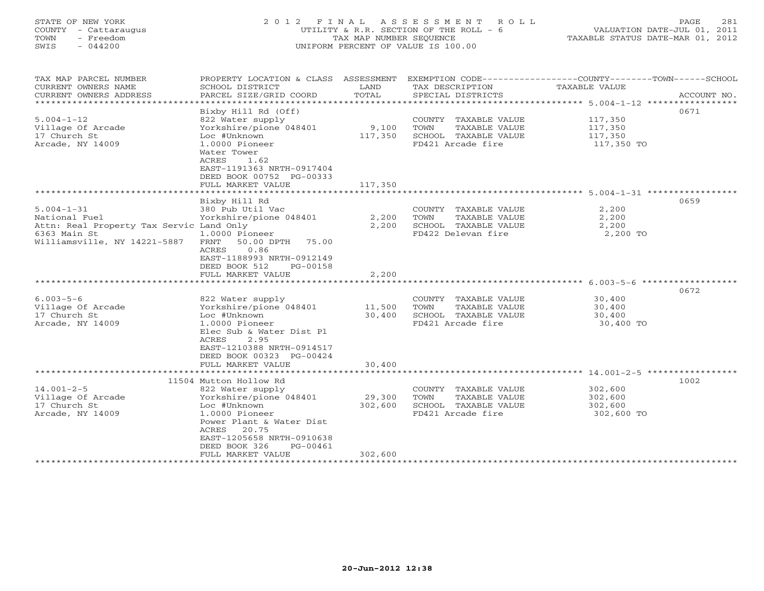# STATE OF NEW YORK 2 0 1 2 F I N A L A S S E S S M E N T R O L L PAGE 281 COUNTY - Cattaraugus UTILITY & R.R. SECTION OF THE ROLL - 6 VALUATION DATE-JUL 01, 2011 TOWN - Freedom TAX MAP NUMBER SEQUENCE TAXABLE STATUS DATE-MAR 01, 2012 SWIS - 044200 UNIFORM PERCENT OF VALUE IS 100.00UNIFORM PERCENT OF VALUE IS 100.00

| TAX MAP PARCEL NUMBER<br>CURRENT OWNERS NAME<br>CURRENT OWNERS ADDRESS<br>*************************                                | PROPERTY LOCATION & CLASS ASSESSMENT<br>SCHOOL DISTRICT<br>PARCEL SIZE/GRID COORD                                                                                                                                                        | LAND<br>TOTAL                | TAX DESCRIPTION<br>SPECIAL DISTRICTS                                                        | EXEMPTION CODE-----------------COUNTY-------TOWN------SCHOOL<br><b>TAXABLE VALUE</b><br>ACCOUNT NO. |
|------------------------------------------------------------------------------------------------------------------------------------|------------------------------------------------------------------------------------------------------------------------------------------------------------------------------------------------------------------------------------------|------------------------------|---------------------------------------------------------------------------------------------|-----------------------------------------------------------------------------------------------------|
| $5.004 - 1 - 12$<br>Village Of Arcade<br>17 Church St<br>Arcade, NY 14009                                                          | Bixby Hill Rd (Off)<br>822 Water supply<br>Yorkshire/pione 048401<br>Loc #Unknown<br>1.0000 Pioneer<br>Water Tower<br>ACRES<br>1.62<br>EAST-1191363 NRTH-0917404<br>DEED BOOK 00752 PG-00333<br>FULL MARKET VALUE<br>******************* | 9,100<br>117,350<br>117,350  | COUNTY TAXABLE VALUE<br>TOWN<br>TAXABLE VALUE<br>SCHOOL TAXABLE VALUE<br>FD421 Arcade fire  | 0671<br>117,350<br>117,350<br>117,350<br>117,350 TO                                                 |
|                                                                                                                                    |                                                                                                                                                                                                                                          |                              |                                                                                             | 0659                                                                                                |
| $5.004 - 1 - 31$<br>National Fuel<br>Attn: Real Property Tax Servic Land Only<br>6363 Main St<br>Williamsville, NY 14221-5887 FRNT | Bixby Hill Rd<br>380 Pub Util Vac<br>Yorkshire/pione 048401<br>$1.0000$ Pioneer<br>50.00 DPTH 75.00<br>0.86<br>ACRES<br>EAST-1188993 NRTH-0912149<br>DEED BOOK 512<br>PG-00158<br>FULL MARKET VALUE                                      | 2,200<br>2,200<br>2,200      | COUNTY TAXABLE VALUE<br>TOWN<br>TAXABLE VALUE<br>SCHOOL TAXABLE VALUE<br>FD422 Delevan fire | 2,200<br>2,200<br>2,200<br>2,200 TO                                                                 |
|                                                                                                                                    |                                                                                                                                                                                                                                          |                              |                                                                                             |                                                                                                     |
|                                                                                                                                    |                                                                                                                                                                                                                                          |                              |                                                                                             | 0672                                                                                                |
| $6.003 - 5 - 6$<br>Village Of Arcade<br>17 Church St<br>Arcade, NY 14009                                                           | 822 Water supply<br>Yorkshire/pione 048401<br>Loc #Unknown<br>$1.0000$ Pioneer<br>Elec Sub & Water Dist Pl<br>2.95<br>ACRES<br>EAST-1210388 NRTH-0914517<br>DEED BOOK 00323 PG-00424                                                     | 11,500<br>30,400             | COUNTY TAXABLE VALUE<br>TAXABLE VALUE<br>TOWN<br>SCHOOL TAXABLE VALUE<br>FD421 Arcade fire  | 30,400<br>30,400<br>30,400<br>30,400 TO                                                             |
|                                                                                                                                    | FULL MARKET VALUE                                                                                                                                                                                                                        | 30,400                       |                                                                                             |                                                                                                     |
|                                                                                                                                    | 11504 Mutton Hollow Rd                                                                                                                                                                                                                   | ************                 |                                                                                             | 1002                                                                                                |
| $14.001 - 2 - 5$<br>Village Of Arcade<br>17 Church St<br>Arcade, NY 14009                                                          | 822 Water supply<br>Yorkshire/pione 048401<br>Loc #Unknown<br>1.0000 Pioneer<br>Power Plant & Water Dist<br>ACRES 20.75<br>EAST-1205658 NRTH-0910638<br>DEED BOOK 326<br>PG-00461<br>FULL MARKET VALUE                                   | 29,300<br>302,600<br>302,600 | COUNTY TAXABLE VALUE<br>TOWN<br>TAXABLE VALUE<br>SCHOOL TAXABLE VALUE<br>FD421 Arcade fire  | 302,600<br>302,600<br>302,600<br>302,600 TO                                                         |
|                                                                                                                                    |                                                                                                                                                                                                                                          |                              |                                                                                             |                                                                                                     |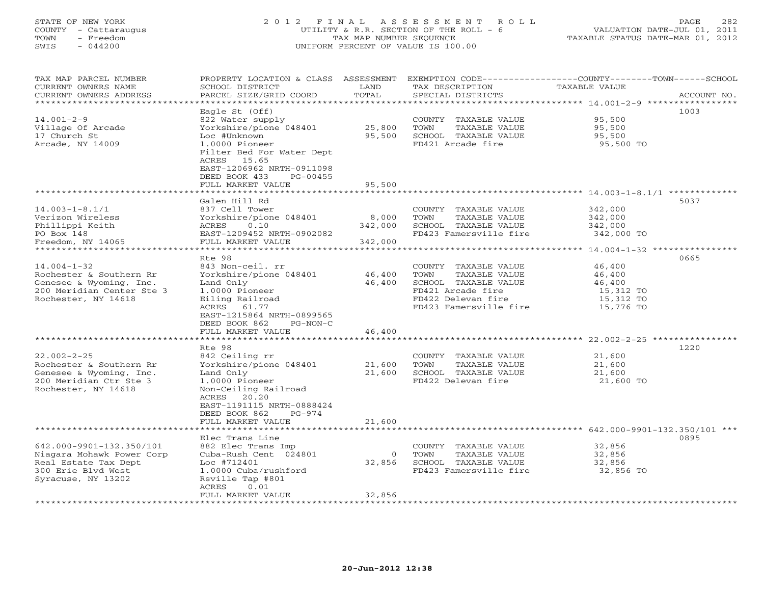# STATE OF NEW YORK 2 0 1 2 F I N A L A S S E S S M E N T R O L L PAGE 282 COUNTY - Cattaraugus UTILITY & R.R. SECTION OF THE ROLL - 6 VALUATION DATE-JUL 01, 2011 TOWN - Freedom TAX MAP NUMBER SEQUENCE TAXABLE STATUS DATE-MAR 01, 2012 SWIS - 044200 UNIFORM PERCENT OF VALUE IS 100.00UNIFORM PERCENT OF VALUE IS 100.00

| TAX MAP PARCEL NUMBER<br>CURRENT OWNERS NAME<br>CURRENT OWNERS ADDRESS | PROPERTY LOCATION & CLASS ASSESSMENT<br>SCHOOL DISTRICT<br>PARCEL SIZE/GRID COORD | LAND<br>TOTAL | EXEMPTION CODE-----------------COUNTY-------TOWN------SCHOOL<br>TAX DESCRIPTION<br>SPECIAL DISTRICTS | <b>TAXABLE VALUE</b>                               | ACCOUNT NO. |
|------------------------------------------------------------------------|-----------------------------------------------------------------------------------|---------------|------------------------------------------------------------------------------------------------------|----------------------------------------------------|-------------|
| *******************                                                    |                                                                                   |               |                                                                                                      |                                                    |             |
|                                                                        | Eagle St (Off)                                                                    |               |                                                                                                      |                                                    | 1003        |
| $14.001 - 2 - 9$                                                       | 822 Water supply                                                                  |               | COUNTY TAXABLE VALUE                                                                                 | 95,500                                             |             |
| Village Of Arcade                                                      | Yorkshire/pione 048401                                                            | 25,800        | TOWN<br>TAXABLE VALUE                                                                                | 95,500                                             |             |
| 17 Church St                                                           | Loc #Unknown                                                                      | 95,500        | SCHOOL TAXABLE VALUE                                                                                 | 95,500                                             |             |
| Arcade, NY 14009                                                       | 1.0000 Pioneer                                                                    |               | FD421 Arcade fire                                                                                    | 95,500 TO                                          |             |
|                                                                        | Filter Bed For Water Dept                                                         |               |                                                                                                      |                                                    |             |
|                                                                        | ACRES 15.65<br>EAST-1206962 NRTH-0911098                                          |               |                                                                                                      |                                                    |             |
|                                                                        | DEED BOOK 433<br>$PG-00455$                                                       |               |                                                                                                      |                                                    |             |
|                                                                        | FULL MARKET VALUE                                                                 | 95,500        |                                                                                                      |                                                    |             |
|                                                                        | ******************                                                                | ***********   |                                                                                                      | ********************* 14.003-1-8.1/1 ************* |             |
|                                                                        | Galen Hill Rd                                                                     |               |                                                                                                      |                                                    | 5037        |
| $14.003 - 1 - 8.1/1$                                                   | 837 Cell Tower                                                                    |               | COUNTY TAXABLE VALUE                                                                                 | 342,000                                            |             |
| Verizon Wireless                                                       | Yorkshire/pione 048401                                                            | 8,000         | TOWN<br>TAXABLE VALUE                                                                                | 342,000                                            |             |
| Phillippi Keith                                                        | 0.10<br>ACRES                                                                     | 342,000       | SCHOOL TAXABLE VALUE                                                                                 | 342,000                                            |             |
| PO Box 148<br>Freedom, NY 14065                                        | EAST-1209452 NRTH-0902082<br>FULL MARKET VALUE                                    | 342,000       | FD423 Famersville fire                                                                               | 342,000 TO                                         |             |
| ******************                                                     | *********************************                                                 |               |                                                                                                      | ********* 14.004-1-32 ****************             |             |
|                                                                        | Rte 98                                                                            |               |                                                                                                      |                                                    | 0665        |
| $14.004 - 1 - 32$                                                      | 843 Non-ceil. rr                                                                  |               | COUNTY TAXABLE VALUE                                                                                 | 46,400                                             |             |
| Rochester & Southern Rr                                                | Yorkshire/pione 048401                                                            | 46,400        | <b>TAXABLE VALUE</b><br>TOWN                                                                         | 46,400                                             |             |
| Genesee & Wyoming, Inc.                                                | Land Only                                                                         | 46,400        | SCHOOL TAXABLE VALUE                                                                                 | 46,400                                             |             |
| 200 Meridian Center Ste 3                                              | 1.0000 Pioneer                                                                    |               | FD421 Arcade fire                                                                                    | 15,312 TO                                          |             |
| Rochester, NY 14618                                                    | Eiling Railroad                                                                   |               | FD422 Delevan fire                                                                                   | 15,312 TO                                          |             |
|                                                                        | ACRES<br>61.77<br>EAST-1215864 NRTH-0899565                                       |               | FD423 Famersville fire                                                                               | 15,776 TO                                          |             |
|                                                                        | DEED BOOK 862<br>$PG-NON-C$                                                       |               |                                                                                                      |                                                    |             |
|                                                                        | FULL MARKET VALUE                                                                 | 46,400        |                                                                                                      |                                                    |             |
|                                                                        |                                                                                   |               |                                                                                                      | ************ 22.002-2-25 *********                 |             |
|                                                                        | Rte 98                                                                            |               |                                                                                                      |                                                    | 1220        |
| $22.002 - 2 - 25$                                                      | 842 Ceiling rr                                                                    |               | COUNTY TAXABLE VALUE                                                                                 | 21,600                                             |             |
| Rochester & Southern Rr                                                | Yorkshire/pione 048401                                                            | 21,600        | <b>TAXABLE VALUE</b><br>TOWN                                                                         | 21,600                                             |             |
| Genesee & Wyoming, Inc.                                                | Land Only                                                                         | 21,600        | SCHOOL TAXABLE VALUE                                                                                 | 21,600                                             |             |
| 200 Meridian Ctr Ste 3<br>Rochester, NY 14618                          | 1.0000 Pioneer<br>Non-Ceiling Railroad                                            |               | FD422 Delevan fire                                                                                   | 21,600 TO                                          |             |
|                                                                        | ACRES 20.20                                                                       |               |                                                                                                      |                                                    |             |
|                                                                        | EAST-1191115 NRTH-0888424                                                         |               |                                                                                                      |                                                    |             |
|                                                                        | DEED BOOK 862<br>$PG-974$                                                         |               |                                                                                                      |                                                    |             |
|                                                                        | FULL MARKET VALUE                                                                 | 21,600        |                                                                                                      |                                                    |             |
|                                                                        |                                                                                   |               |                                                                                                      | 642.000-9901-132.350/101 ***                       |             |
|                                                                        | Elec Trans Line                                                                   |               |                                                                                                      |                                                    | 0895        |
| 642.000-9901-132.350/101                                               | 882 Elec Trans Imp                                                                |               | COUNTY TAXABLE VALUE                                                                                 | 32,856                                             |             |
| Niagara Mohawk Power Corp                                              | Cuba-Rush Cent 024801                                                             | $\Omega$      | TOWN<br><b>TAXABLE VALUE</b>                                                                         | 32,856                                             |             |
| Real Estate Tax Dept<br>300 Erie Blvd West                             | Loc #712401<br>1.0000 Cuba/rushford                                               | 32,856        | SCHOOL TAXABLE VALUE<br>FD423 Famersville fire                                                       | 32,856<br>32,856 TO                                |             |
| Syracuse, NY 13202                                                     | Rsville Tap #801                                                                  |               |                                                                                                      |                                                    |             |
|                                                                        | ACRES<br>0.01                                                                     |               |                                                                                                      |                                                    |             |
|                                                                        | FULL MARKET VALUE                                                                 | 32,856        |                                                                                                      |                                                    |             |
|                                                                        |                                                                                   |               |                                                                                                      |                                                    |             |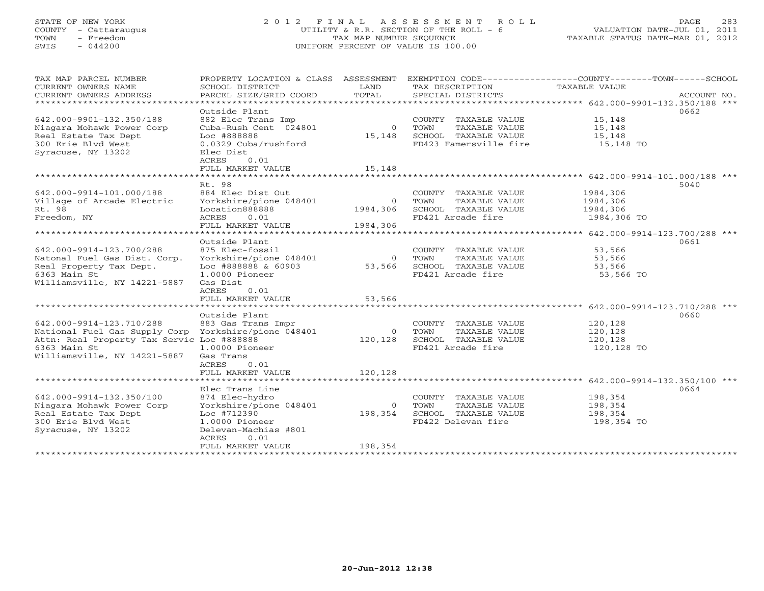# STATE OF NEW YORK 2 0 1 2 F I N A L A S S E S S M E N T R O L L PAGE 283 COUNTY - Cattaraugus UTILITY & R.R. SECTION OF THE ROLL - 6 VALUATION DATE-JUL 01, 2011 TOWN - Freedom TAX MAP NUMBER SEQUENCE TAXABLE STATUS DATE-MAR 01, 2012 SWIS - 044200 UNIFORM PERCENT OF VALUE IS 100.00UNIFORM PERCENT OF VALUE IS 100.00

| TAX MAP PARCEL NUMBER<br>CURRENT OWNERS NAME         | PROPERTY LOCATION & CLASS ASSESSMENT<br>SCHOOL DISTRICT | LAND<br>TOTAL  | TAX DESCRIPTION                                             | EXEMPTION CODE-----------------COUNTY-------TOWN------SCHOOL<br>TAXABLE VALUE |             |
|------------------------------------------------------|---------------------------------------------------------|----------------|-------------------------------------------------------------|-------------------------------------------------------------------------------|-------------|
| CURRENT OWNERS ADDRESS                               | PARCEL SIZE/GRID COORD                                  |                | SPECIAL DISTRICTS                                           |                                                                               | ACCOUNT NO. |
|                                                      | Outside Plant                                           |                |                                                             |                                                                               | 0662        |
| 642.000-9901-132.350/188                             | 882 Elec Trans Imp                                      |                | COUNTY TAXABLE VALUE                                        | 15,148                                                                        |             |
| Niagara Mohawk Power Corp                            | 882 Elec Trans Imp<br>Cuba-Rush Cent 024801             | $0$ TOWN       | TAXABLE VALUE                                               | 15,148                                                                        |             |
| Real Estate Tax Dept                                 | Loc #888888                                             |                | 15,148 SCHOOL TAXABLE VALUE                                 | 15,148                                                                        |             |
| 300 Erie Blyd West                                   | 0.0329 Cuba/rushford                                    |                | FD423 Famersville fire                                      | 15,148 TO                                                                     |             |
| Syracuse, NY 13202                                   | Elec Dist                                               |                |                                                             |                                                                               |             |
|                                                      | ACRES<br>0.01                                           |                |                                                             |                                                                               |             |
|                                                      | FULL MARKET VALUE                                       | 15, 148        |                                                             |                                                                               |             |
|                                                      |                                                         |                |                                                             |                                                                               |             |
|                                                      | Rt. 98                                                  |                |                                                             |                                                                               | 5040        |
| 642.000-9914-101.000/188                             | 884 Elec Dist Out                                       |                | COUNTY TAXABLE VALUE                                        | 1984,306                                                                      |             |
| Village of Arcade Electric                           | Yorkshire/pione 048401                                  | $\overline{0}$ | TAXABLE VALUE<br>TOWN                                       | 1984,306                                                                      |             |
| Rt. 98                                               | Location888888                                          | 1984,306       | SCHOOL TAXABLE VALUE                                        | 1984,306                                                                      |             |
| Freedom, NY                                          | ACRES<br>0.01                                           |                | FD421 Arcade fire                                           | 1984,306 TO                                                                   |             |
|                                                      | FULL MARKET VALUE                                       | 1984,306       |                                                             |                                                                               |             |
| *****************************                        |                                                         |                |                                                             |                                                                               |             |
|                                                      | Outside Plant                                           |                |                                                             |                                                                               | 0661        |
| 642.000-9914-123.700/288                             | 875 Elec-fossil                                         |                | COUNTY TAXABLE VALUE 53,566                                 |                                                                               |             |
| Natonal Fuel Gas Dist. Corp.                         | Yorkshire/pione 048401<br>Loc #888888 & 60903           |                | 0 TOWN<br>TOWN      TAXABLE VALUE<br>SCHOOL   TAXABLE VALUE | 53,566<br>53,500<br>53,566                                                    |             |
| Real Property Tax Dept.                              |                                                         | 53,566         |                                                             |                                                                               |             |
| 6363 Main St                                         | $1.0000$ Pioneer                                        |                | FD421 Arcade fire 53,566 TO                                 |                                                                               |             |
| Williamsville, NY 14221-5887                         | Gas Dist                                                |                |                                                             |                                                                               |             |
|                                                      | 0.01<br>ACRES                                           |                |                                                             |                                                                               |             |
|                                                      | FULL MARKET VALUE                                       | 53,566         |                                                             |                                                                               |             |
|                                                      | Outside Plant                                           |                |                                                             |                                                                               | 0660        |
| 642.000-9914-123.710/288                             | 883 Gas Trans Impr                                      |                | COUNTY TAXABLE VALUE                                        | 120,128                                                                       |             |
| National Fuel Gas Supply Corp Yorkshire/pione 048401 |                                                         |                | 0 TOWN<br>TAXABLE VALUE                                     | 120,128                                                                       |             |
| Attn: Real Property Tax Servic Loc #888888           |                                                         |                | 120,128 SCHOOL TAXABLE VALUE                                | 120,128                                                                       |             |
| 6363 Main St                                         | 1.0000 Pioneer                                          |                | FD421 Arcade fire                                           | 120,128 TO                                                                    |             |
| Williamsville, NY 14221-5887                         | Gas Trans                                               |                |                                                             |                                                                               |             |
|                                                      | ACRES<br>0.01                                           |                |                                                             |                                                                               |             |
|                                                      | FULL MARKET VALUE                                       | 120,128        |                                                             |                                                                               |             |
|                                                      |                                                         |                |                                                             |                                                                               |             |
|                                                      | Elec Trans Line                                         |                |                                                             |                                                                               | 0664        |
| 642.000-9914-132.350/100                             | 874 Elec-hydro                                          |                | COUNTY TAXABLE VALUE                                        | 198,354                                                                       |             |
| Niagara Mohawk Power Corp                            | Yorkshire/pione 048401                                  |                | TAXABLE VALUE<br>0 TOWN                                     | 198,354                                                                       |             |
| Real Estate Tax Dept                                 | Loc #712390                                             | 198,354        | SCHOOL TAXABLE VALUE                                        | 198,354                                                                       |             |
| 300 Erie Blvd West                                   | 1.0000 Pioneer                                          |                | FD422 Delevan fire                                          | 198,354 TO                                                                    |             |
| Syracuse, NY 13202                                   | Delevan-Machias #801                                    |                |                                                             |                                                                               |             |
|                                                      | 0.01<br>ACRES                                           |                |                                                             |                                                                               |             |
|                                                      | FULL MARKET VALUE                                       | 198,354        |                                                             |                                                                               |             |
|                                                      |                                                         |                |                                                             |                                                                               |             |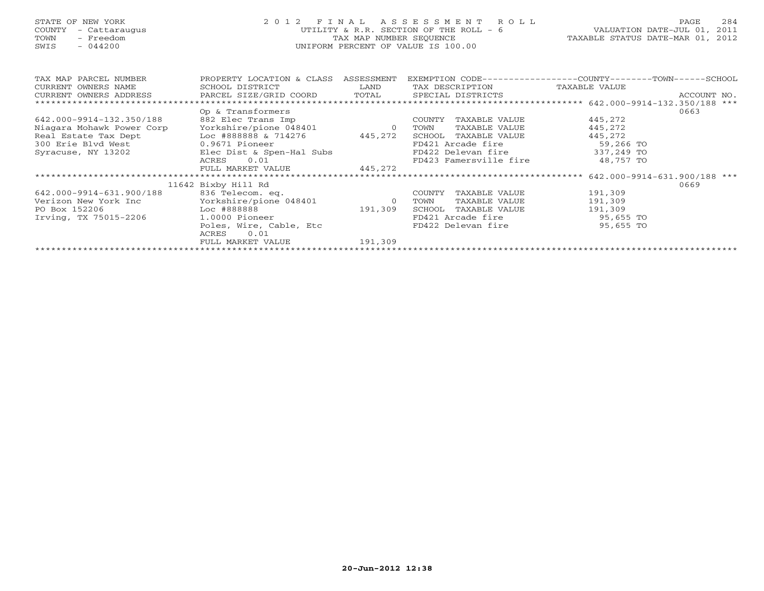# STATE OF NEW YORK 2 0 1 2 F I N A L A S S E S S M E N T R O L L PAGE 284 COUNTY - Cattaraugus UTILITY & R.R. SECTION OF THE ROLL - 6 VALUATION DATE-JUL 01, 2011 TOWN - Freedom TAX MAP NUMBER SEQUENCE TAXABLE STATUS DATE-MAR 01, 2012 SWIS - 044200 UNIFORM PERCENT OF VALUE IS 100.00UNIFORM PERCENT OF VALUE IS 100.00

| TAX MAP PARCEL NUMBER                                      | PROPERTY LOCATION & CLASS       | ASSESSMENT     | EXEMPTION CODE----------------COUNTY-------TOWN------SCHOOL |               |             |
|------------------------------------------------------------|---------------------------------|----------------|-------------------------------------------------------------|---------------|-------------|
| CURRENT OWNERS NAME                                        | SCHOOL DISTRICT                 | LAND           | TAX DESCRIPTION                                             | TAXABLE VALUE |             |
| CURRENT OWNERS ADDRESS PARCEL SIZE/GRID COORD              |                                 |                | TOTAL SPECIAL DISTRICTS                                     |               | ACCOUNT NO. |
|                                                            |                                 |                |                                                             |               |             |
|                                                            | Op & Transformers               |                |                                                             |               | 0663        |
| 642.000-9914-132.350/188                                   | 882 Elec Trans Imp              |                | TAXABLE VALUE<br>COUNTY                                     | 445,272       |             |
| Niagara Mohawk Power Corp                                  | Yorkshire/pione 048401        0 |                | TAXABLE VALUE<br>TOWN                                       | 445,272       |             |
| Real Estate Tax Dept                                       | Loc #888888 & 714276            | 445,272        | SCHOOL TAXABLE VALUE                                        | 445,272       |             |
| 300 Erie Blvd West                                         | 0.9671 Pioneer                  |                | FD421 Arcade fire                                           | 59,266 TO     |             |
| Syracuse, NY 13202                                         | Elec Dist & Spen-Hal Subs       |                | FD422 Delevan fire 337,249 TO                               |               |             |
|                                                            | 0.01<br>ACRES                   |                | FD423 Famersville fire                                      | 48,757 TO     |             |
|                                                            | FULL MARKET VALUE               | 445,272        |                                                             |               |             |
|                                                            |                                 |                |                                                             |               |             |
|                                                            | 11642 Bixby Hill Rd             |                |                                                             |               | 0669        |
| 642.000-9914-631.900/188                                   | 836 Telecom. eq.                |                | COUNTY<br>TAXABLE VALUE                                     | 191,309       |             |
| Verizon New York Inc                Yorkshire/pione 048401 |                                 | $\overline{0}$ | TOWN<br>TAXABLE VALUE                                       | 191,309       |             |
| PO Box 152206<br>Loc #888888                               |                                 | 191,309        | SCHOOL<br>TAXABLE VALUE                                     | 191,309       |             |
| Irving, TX 75015-2206                                      | 1.0000 Pioneer                  |                | FD421 Arcade fire                                           | 95,655 TO     |             |
|                                                            | Poles, Wire, Cable, Etc         |                | FD422 Delevan fire                                          | 95,655 TO     |             |
|                                                            | 0.01<br>ACRES                   |                |                                                             |               |             |
|                                                            | FULL MARKET VALUE               | 191,309        |                                                             |               |             |
|                                                            |                                 |                |                                                             |               |             |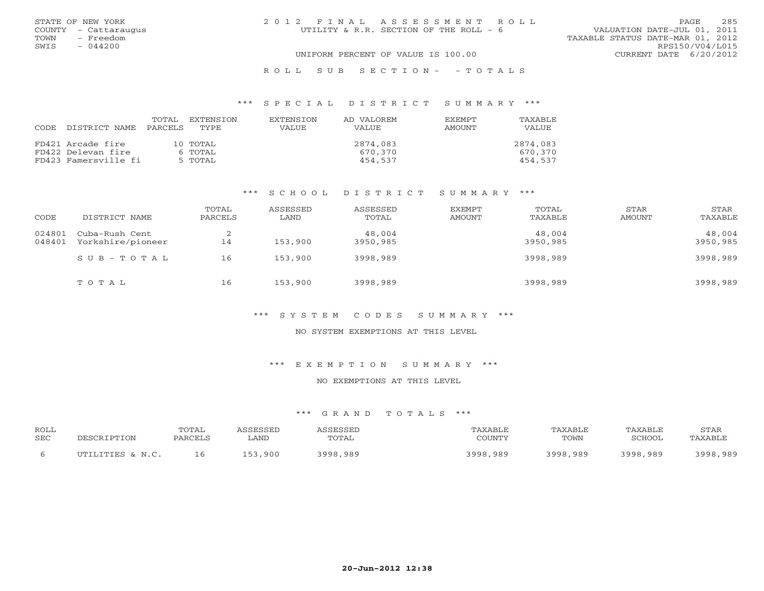|      | STATE OF NEW YORK    | 2012 FINAL ASSESSMENT ROLL             | 285<br>PAGE.                     |
|------|----------------------|----------------------------------------|----------------------------------|
|      | COUNTY - Cattaraugus | UTILITY & R.R. SECTION OF THE ROLL - 6 | VALUATION DATE-JUL 01, 2011      |
| TOWN | - Freedom            |                                        | TAXABLE STATUS DATE-MAR 01, 2012 |
| SWIS | $-044200$            |                                        | RPS150/V04/L015                  |
|      |                      | UNIFORM PERCENT OF VALUE IS 100.00     | CURRENT DATE 6/20/2012           |
|      |                      |                                        |                                  |

#### R O L L S U B S E C T I O N - - T O T A L S

#### \*\*\* S P E C I A L D I S T R I C T S U M M A R Y \*\*\*

| CODE. | DISTRICT NAME        | TOTAL<br>PARCELS | EXTENSTON<br>TYPE | EXTENSION<br><b>VALUE</b> | AD VALOREM<br><b>VALUE</b> | <b>EXEMPT</b><br>AMOUNT | TAXABLE<br>VALUE |
|-------|----------------------|------------------|-------------------|---------------------------|----------------------------|-------------------------|------------------|
|       | FD421 Arcade fire    |                  | 10 TOTAL          |                           | 2874,083                   |                         | 2874,083         |
|       | FD422 Delevan fire   |                  | 6 TOTAL           |                           | 670.370                    |                         | 670,370          |
|       | FD423 Famersville fi |                  | 5 TOTAL           |                           | 454.537                    |                         | 454.537          |

### \*\*\* S C H O O L D I S T R I C T S U M M A R Y \*\*\*

| CODE             | DISTRICT NAME                       | TOTAL<br>PARCELS      | ASSESSED<br>LAND | ASSESSED<br>TOTAL  | <b>EXEMPT</b><br>AMOUNT | TOTAL<br>TAXABLE   | STAR<br>AMOUNT | STAR<br>TAXABLE    |
|------------------|-------------------------------------|-----------------------|------------------|--------------------|-------------------------|--------------------|----------------|--------------------|
| 024801<br>048401 | Cuba-Rush Cent<br>Yorkshire/pioneer | $\bigcirc$<br>∠<br>14 | 153,900          | 48,004<br>3950,985 |                         | 48,004<br>3950,985 |                | 48,004<br>3950,985 |
|                  | $SUB - TO T AL$                     | 16                    | 153,900          | 3998,989           |                         | 3998,989           |                | 3998,989           |
|                  | TOTAL                               | 16                    | 153,900          | 3998,989           |                         | 3998,989           |                | 3998,989           |

# \*\*\* S Y S T E M C O D E S S U M M A R Y \*\*\*

#### NO SYSTEM EXEMPTIONS AT THIS LEVEL

# \*\*\* E X E M P T I O N S U M M A R Y \*\*\*

# NO EXEMPTIONS AT THIS LEVEL

| ROLL<br><b>SEC</b> | $\cap$             | TOTAL<br>PARCEL. | ∟AND        | CCFCCFT<br>TOTAL | 'AXABLE<br>COUNTY | TAXABI F<br>TOWN | TAXABLE<br><b>RCHOOL</b> | STAF<br>TAXABI . |
|--------------------|--------------------|------------------|-------------|------------------|-------------------|------------------|--------------------------|------------------|
|                    | ILTITITITIES & N C | 16               | ,900<br>イロン | 3998.989         | 3002<br>, 989     | 3998,989         | 3998,989                 | 3998,989         |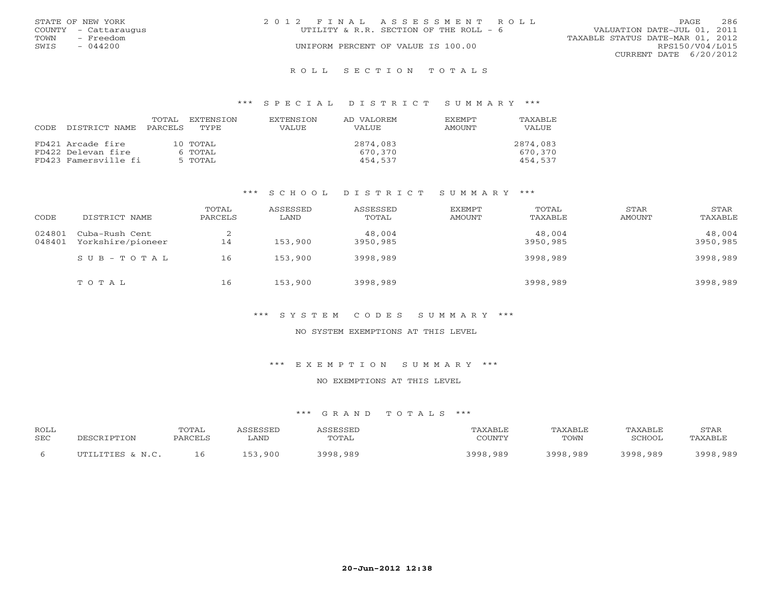|      | STATE OF NEW YORK    | 2012 FINAL ASSESSMENT ROLL                                            | PAGE            | 286 |
|------|----------------------|-----------------------------------------------------------------------|-----------------|-----|
|      | COUNTY - Cattaraugus | VALUATION DATE-JUL 01, 2011<br>UTILITY & R.R. SECTION OF THE ROLL - 6 |                 |     |
| TOWN | - Freedom            | TAXABLE STATUS DATE-MAR 01, 2012                                      |                 |     |
| SWIS | $-044200$            | UNIFORM PERCENT OF VALUE IS 100.00                                    | RPS150/V04/L015 |     |
|      |                      | CURRENT DATE 6/20/2012                                                |                 |     |
|      |                      |                                                                       |                 |     |

#### R O L L S E C T I O N T O T A L S

### \*\*\* S P E C I A L D I S T R I C T S U M M A R Y \*\*\*

| CODE | DISTRICT NAME        | TOTAL<br>PARCELS | EXTENSTON<br>TYPE | <b>EXTENSION</b><br>VALUE. | AD VALOREM<br><b>VALUE</b> | <b>EXEMPT</b><br>AMOUNT | TAXABLE<br>VALUE |
|------|----------------------|------------------|-------------------|----------------------------|----------------------------|-------------------------|------------------|
|      | FD421 Arcade fire    |                  | $10$ TOTAL        |                            | 2874,083                   |                         | 2874,083         |
|      | FD422 Delevan fire   |                  | 6 TOTAL           |                            | 670,370                    |                         | 670,370          |
|      | FD423 Famersville fi |                  | 5 TOTAL           |                            | 454,537                    |                         | 454.537          |

### \*\*\* S C H O O L D I S T R I C T S U M M A R Y \*\*\*

| CODE             | DISTRICT NAME                       | TOTAL<br>PARCELS | ASSESSED<br>LAND | ASSESSED<br>TOTAL  | <b>EXEMPT</b><br>AMOUNT | TOTAL<br>TAXABLE   | STAR<br>AMOUNT | STAR<br>TAXABLE    |
|------------------|-------------------------------------|------------------|------------------|--------------------|-------------------------|--------------------|----------------|--------------------|
| 024801<br>048401 | Cuba-Rush Cent<br>Yorkshire/pioneer | ∠<br>14          | 153,900          | 48,004<br>3950,985 |                         | 48,004<br>3950,985 |                | 48,004<br>3950,985 |
|                  | $S$ U B - T O T A L                 | 16               | 153,900          | 3998,989           |                         | 3998,989           |                | 3998,989           |
|                  | TOTAL                               | 16               | 153,900          | 3998,989           |                         | 3998,989           |                | 3998,989           |

# \*\*\* S Y S T E M C O D E S S U M M A R Y \*\*\*

#### NO SYSTEM EXEMPTIONS AT THIS LEVEL

### \*\*\* E X E M P T I O N S U M M A R Y \*\*\*

# NO EXEMPTIONS AT THIS LEVEL

| ROLL       | DESCRIPTION      | <b>TOTAL</b> | ASSESSED | ASSESSED | TAXABLE  | <b>TAXABLE</b> | TAXABLE  | STAR     |
|------------|------------------|--------------|----------|----------|----------|----------------|----------|----------|
| <b>SEC</b> |                  | PARCELS      | ∟AND     | TOTAL    | COUNTY   | TOWN           | SCHOOL   | TAXABLE  |
|            | UTILITIES & N.C. | 16           | 153,900  | 3998,989 | 3998,989 | 3998,989       | 3998,989 | 3998,989 |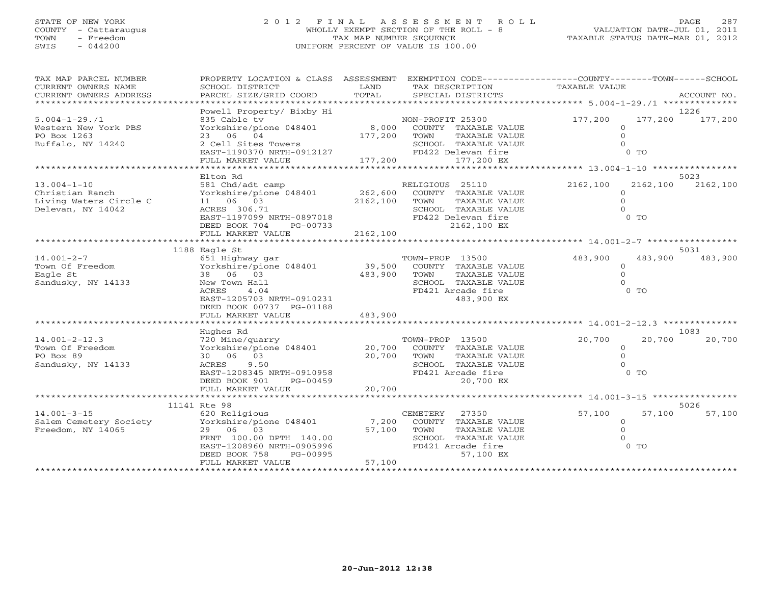# STATE OF NEW YORK 2 0 1 2 F I N A L A S S E S S M E N T R O L L PAGE 287 COUNTY - Cattaraugus WHOLLY EXEMPT SECTION OF THE ROLL - 8 VALUATION DATE-JUL 01, 2011 TOWN - Freedom TAX MAP NUMBER SEQUENCE TAXABLE STATUS DATE-MAR 01, 2012 SWIS - 044200 UNIFORM PERCENT OF VALUE IS 100.00

| TAX MAP PARCEL NUMBER<br>CURRENT OWNERS NAME<br>CURRENT OWNERS ADDRESS | PROPERTY LOCATION & CLASS ASSESSMENT<br>SCHOOL DISTRICT<br>PARCEL SIZE/GRID COORD | LAND<br>TOTAL  | TAX DESCRIPTION<br>SPECIAL DISTRICTS      | EXEMPTION CODE-----------------COUNTY-------TOWN------SCHOOL<br>TAXABLE VALUE | ACCOUNT NO. |
|------------------------------------------------------------------------|-----------------------------------------------------------------------------------|----------------|-------------------------------------------|-------------------------------------------------------------------------------|-------------|
|                                                                        |                                                                                   |                |                                           |                                                                               |             |
|                                                                        | Powell Property/ Bixby Hi                                                         |                |                                           |                                                                               | 1226        |
| $5.004 - 1 - 29.71$                                                    | 835 Cable tv                                                                      |                | NON-PROFIT 25300                          | 177,200<br>177,200                                                            | 177,200     |
| Western New York PBS                                                   | Yorkshire/pione 048401                                                            | 8,000          | COUNTY TAXABLE VALUE                      | $\circ$                                                                       |             |
| PO Box 1263                                                            | 23 06 04                                                                          | 177,200        | TAXABLE VALUE<br>TOWN                     | $\Omega$                                                                      |             |
| Buffalo, NY 14240                                                      | 2 Cell Sites Towers<br>2 Cell Sites Towers<br>EAST-1190370 NRTH-0912127           |                | SCHOOL TAXABLE VALUE                      | $\Omega$                                                                      |             |
|                                                                        |                                                                                   |                | FD422 Delevan fire                        | 0 <sub>0</sub>                                                                |             |
|                                                                        |                                                                                   |                |                                           |                                                                               |             |
|                                                                        | Elton Rd                                                                          |                |                                           |                                                                               | 5023        |
| $13.004 - 1 - 10$                                                      | 581 Chd/adt camp                                                                  |                | RELIGIOUS 25110                           | 2162,100<br>2162,100                                                          | 2162,100    |
| Christian Ranch                                                        | Yorkshire/pione 048401                                                            | 262,600        | COUNTY TAXABLE VALUE                      | $\Omega$                                                                      |             |
| Living Waters Circle C                                                 | 11 06 03                                                                          | 2162,100       | TOWN<br>TAXABLE VALUE                     | $\Omega$                                                                      |             |
| Delevan, NY 14042                                                      | ACRES 306.71                                                                      |                | SCHOOL TAXABLE VALUE                      | $\Omega$                                                                      |             |
|                                                                        | EAST-1197099 NRTH-0897018                                                         |                | FD422 Delevan fire                        | 0 <sub>T</sub>                                                                |             |
|                                                                        | DEED BOOK 704<br>PG-00733                                                         |                | 2162,100 EX                               |                                                                               |             |
|                                                                        | FULL MARKET VALUE                                                                 | 2162,100       |                                           |                                                                               |             |
|                                                                        |                                                                                   |                |                                           |                                                                               |             |
|                                                                        | 1188 Eagle St                                                                     |                |                                           |                                                                               | 5031        |
| $14.001 - 2 - 7$                                                       | 651 Highway gar                                                                   |                | TOWN-PROP 13500                           | 483,900<br>483,900                                                            | 483,900     |
| Town Of Freedom                                                        | Yorkshire/pione 048401                                                            | 39,500         | COUNTY TAXABLE VALUE                      | $\circ$                                                                       |             |
| Eagle St                                                               | 38 06 03                                                                          | 483,900        | TOWN<br>TAXABLE VALUE                     | $\Omega$<br>$\cap$                                                            |             |
| Sandusky, NY 14133                                                     | New Town Hall<br>ACRES<br>4.04                                                    |                | SCHOOL TAXABLE VALUE<br>FD421 Arcade fire | $0$ TO                                                                        |             |
|                                                                        | EAST-1205703 NRTH-0910231                                                         |                | 483,900 EX                                |                                                                               |             |
|                                                                        | DEED BOOK 00737 PG-01188                                                          |                |                                           |                                                                               |             |
|                                                                        | FULL MARKET VALUE                                                                 | 483,900        |                                           |                                                                               |             |
|                                                                        | ******************                                                                | ************** |                                           | ************************************** 14.001-2-12.3 ***************          |             |
|                                                                        | Hughes Rd                                                                         |                |                                           |                                                                               | 1083        |
| $14.001 - 2 - 12.3$                                                    | 720 Mine/quarry                                                                   |                | TOWN-PROP 13500                           | 20,700<br>20,700                                                              | 20,700      |
| Town Of Freedom                                                        | Yorkshire/pione 048401                                                            | 20,700         | COUNTY TAXABLE VALUE                      | $\circ$                                                                       |             |
| PO Box 89                                                              | 30 06 03                                                                          | 20,700         | TOWN<br>TAXABLE VALUE                     | $\Omega$                                                                      |             |
| Sandusky, NY 14133                                                     | ACRES<br>9.50                                                                     |                | SCHOOL TAXABLE VALUE                      | $\Omega$                                                                      |             |
|                                                                        | EAST-1208345 NRTH-0910958                                                         |                | FD421 Arcade fire                         | 0 <sub>T</sub>                                                                |             |
|                                                                        | DEED BOOK 901<br>PG-00459                                                         |                | 20,700 EX                                 |                                                                               |             |
|                                                                        | FULL MARKET VALUE<br>***************************                                  | 20,700         |                                           |                                                                               |             |
|                                                                        | 11141 Rte 98                                                                      |                |                                           |                                                                               | 5026        |
| $14.001 - 3 - 15$                                                      | 620 Religious                                                                     |                | CEMETERY<br>27350                         | 57,100<br>57,100                                                              | 57,100      |
| Salem Cemetery Society                                                 | Yorkshire/pione 048401                                                            | 7,200          | COUNTY TAXABLE VALUE                      | $\overline{0}$                                                                |             |
| Freedom, NY 14065                                                      | 29 06<br>03                                                                       | 57,100         | TAXABLE VALUE<br>TOWN                     | $\circ$                                                                       |             |
|                                                                        | FRNT 100.00 DPTH 140.00                                                           |                | SCHOOL TAXABLE VALUE                      |                                                                               |             |
|                                                                        | EAST-1208960 NRTH-0905996                                                         |                | FD421 Arcade fire                         | $0$ TO                                                                        |             |
|                                                                        | PG-00995<br>DEED BOOK 758                                                         |                | 57,100 EX                                 |                                                                               |             |
|                                                                        | FULL MARKET VALUE                                                                 | 57,100         |                                           |                                                                               |             |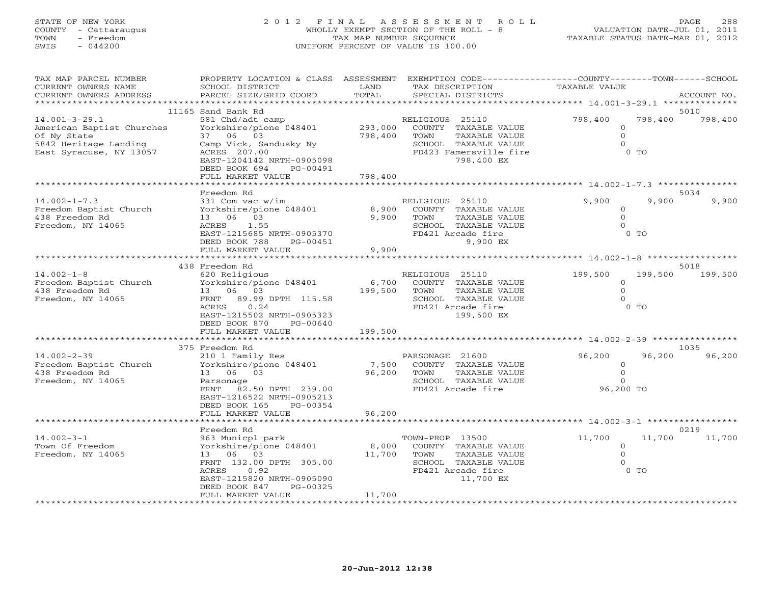# STATE OF NEW YORK 2 0 1 2 F I N A L A S S E S S M E N T R O L L PAGE 288 COUNTY - Cattaraugus WHOLLY EXEMPT SECTION OF THE ROLL - 8 VALUATION DATE-JUL 01, 2011 TOWN - Freedom TAX MAP NUMBER SEQUENCE TAXABLE STATUS DATE-MAR 01, 2012 SWIS - 044200 UNIFORM PERCENT OF VALUE IS 100.00

| TAX MAP PARCEL NUMBER<br>CURRENT OWNERS NAME<br>CURRENT OWNERS ADDRESS                                              | PROPERTY LOCATION & CLASS ASSESSMENT<br>SCHOOL DISTRICT<br>PARCEL SIZE/GRID COORD                                                                                                                     | LAND<br>TOTAL                 | TAX DESCRIPTION<br>SPECIAL DISTRICTS                                                                                             | EXEMPTION CODE-----------------COUNTY-------TOWN-----SCHOOL<br><b>TAXABLE VALUE</b> | ACCOUNT NO.     |
|---------------------------------------------------------------------------------------------------------------------|-------------------------------------------------------------------------------------------------------------------------------------------------------------------------------------------------------|-------------------------------|----------------------------------------------------------------------------------------------------------------------------------|-------------------------------------------------------------------------------------|-----------------|
| **********************                                                                                              |                                                                                                                                                                                                       |                               |                                                                                                                                  |                                                                                     |                 |
| $14.001 - 3 - 29.1$<br>American Baptist Churches<br>Of Ny State<br>5842 Heritage Landing<br>East Syracuse, NY 13057 | 11165 Sand Bank Rd<br>581 Chd/adt camp<br>Yorkshire/pione 048401<br>37 06 03<br>Camp Vick, Sandusky Ny<br>ACRES 207.00<br>EAST-1204142 NRTH-0905098<br>DEED BOOK 694<br>PG-00491<br>FULL MARKET VALUE | 293,000<br>798,400<br>798,400 | RELIGIOUS 25110<br>COUNTY TAXABLE VALUE<br>TAXABLE VALUE<br>TOWN<br>SCHOOL TAXABLE VALUE<br>FD423 Famersville fire<br>798,400 EX | 798,400<br>798,400<br>$\Omega$<br>$\mathbf{0}$<br>$\Omega$<br>$0$ TO                | 5010<br>798,400 |
|                                                                                                                     |                                                                                                                                                                                                       |                               |                                                                                                                                  |                                                                                     |                 |
| $14.002 - 1 - 7.3$<br>Freedom Baptist Church<br>438 Freedom Rd<br>Freedom, NY 14065                                 | Freedom Rd<br>331 Com vac w/im<br>Yorkshire/pione 048401<br>13 06 03<br>1.55<br>ACRES<br>EAST-1215685 NRTH-0905370<br>DEED BOOK 788<br>PG-00451<br>FULL MARKET VALUE                                  | 8,900<br>9,900<br>9,900       | RELIGIOUS 25110<br>COUNTY TAXABLE VALUE<br>TAXABLE VALUE<br>TOWN<br>SCHOOL TAXABLE VALUE<br>FD421 Arcade fire<br>9,900 EX        | 9,900<br>9,900<br>0<br>$\circ$<br>$\Omega$<br>$0$ TO                                | 5034<br>9,900   |
|                                                                                                                     |                                                                                                                                                                                                       |                               |                                                                                                                                  | ************************ 14.002-1-8                                                 |                 |
| $14.002 - 1 - 8$<br>Freedom Baptist Church<br>438 Freedom Rd<br>Freedom, NY 14065                                   | 438 Freedom Rd<br>620 Religious<br>Yorkshire/pione 048401<br>06 03<br>13<br>89.99 DPTH 115.58<br>FRNT<br>0.24<br>ACRES<br>EAST-1215502 NRTH-0905323<br>DEED BOOK 870<br>PG-00640<br>FULL MARKET VALUE | 6,700<br>199,500<br>199,500   | RELIGIOUS 25110<br>COUNTY TAXABLE VALUE<br>TAXABLE VALUE<br>TOWN<br>SCHOOL TAXABLE VALUE<br>FD421 Arcade fire<br>199,500 EX      | 199,500<br>199,500<br>$\mathbf{0}$<br>$\Omega$<br>$\Omega$<br>$0$ TO                | 5018<br>199,500 |
|                                                                                                                     | ********************                                                                                                                                                                                  |                               |                                                                                                                                  |                                                                                     | 1035            |
| $14.002 - 2 - 39$<br>Freedom Baptist Church<br>438 Freedom Rd<br>Freedom, NY 14065                                  | 375 Freedom Rd<br>210 1 Family Res<br>Yorkshire/pione 048401<br>13 06 03<br>Parsonage<br>FRNT 82.50 DPTH 239.00<br>EAST-1216522 NRTH-0905213<br>DEED BOOK 165<br>PG-00354                             | 7,500<br>96,200               | PARSONAGE 21600<br>COUNTY TAXABLE VALUE<br>TAXABLE VALUE<br>TOWN<br>SCHOOL TAXABLE VALUE<br>FD421 Arcade fire                    | 96,200<br>96,200<br>$\circ$<br>$\mathbf{0}$<br>$\Omega$<br>96,200 TO                | 96,200          |
|                                                                                                                     | FULL MARKET VALUE                                                                                                                                                                                     | 96,200                        |                                                                                                                                  |                                                                                     |                 |
| $14.002 - 3 - 1$<br>Town Of Freedom<br>Freedom, NY 14065                                                            | Freedom Rd<br>963 Municpl park<br>Yorkshire/pione 048401<br>13 06 03<br>FRNT 132.00 DPTH 305.00<br>0.92<br>ACRES<br>EAST-1215820 NRTH-0905090<br>DEED BOOK 847<br>PG-00325<br>FULL MARKET VALUE       | 8,000<br>11,700<br>11,700     | TOWN-PROP 13500<br>COUNTY TAXABLE VALUE<br>TOWN<br>TAXABLE VALUE<br>SCHOOL TAXABLE VALUE<br>FD421 Arcade fire<br>11,700 EX       | 11,700<br>11,700<br>$\mathbf{0}$<br>$\circ$<br>$\Omega$<br>$0$ TO                   | 0219<br>11,700  |
|                                                                                                                     |                                                                                                                                                                                                       |                               |                                                                                                                                  |                                                                                     |                 |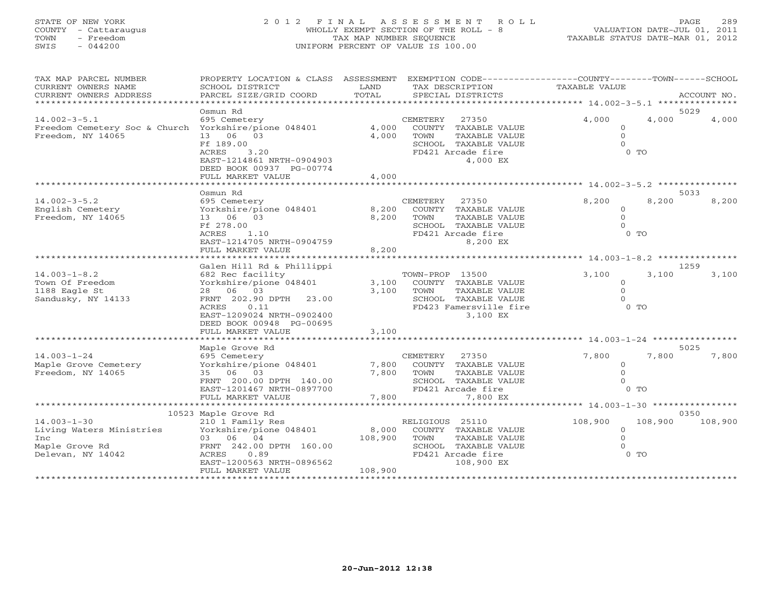# STATE OF NEW YORK 2 0 1 2 F I N A L A S S E S S M E N T R O L L PAGE 289 COUNTY - Cattaraugus WHOLLY EXEMPT SECTION OF THE ROLL - 8 VALUATION DATE-JUL 01, 2011 TOWN - Freedom TAX MAP NUMBER SEQUENCE TAXABLE STATUS DATE-MAR 01, 2012 SWIS - 044200 UNIFORM PERCENT OF VALUE IS 100.00

| TAX MAP PARCEL NUMBER<br>CURRENT OWNERS NAME<br>CURRENT OWNERS ADDRESS                          | PROPERTY LOCATION & CLASS ASSESSMENT<br>SCHOOL DISTRICT<br>PARCEL SIZE/GRID COORD                                                                                                                               | LAND<br>TOTAL               | EXEMPTION CODE-----------------COUNTY-------TOWN------SCHOOL<br>TAX DESCRIPTION<br>SPECIAL DISTRICTS                               | <b>TAXABLE VALUE</b>                                | ACCOUNT NO.   |         |
|-------------------------------------------------------------------------------------------------|-----------------------------------------------------------------------------------------------------------------------------------------------------------------------------------------------------------------|-----------------------------|------------------------------------------------------------------------------------------------------------------------------------|-----------------------------------------------------|---------------|---------|
| *************************                                                                       |                                                                                                                                                                                                                 |                             |                                                                                                                                    |                                                     |               | ******  |
| $14.002 - 3 - 5.1$<br>Freedom Cemetery Soc & Church Yorkshire/pione 048401<br>Freedom, NY 14065 | Osmun Rd<br>695 Cemetery<br>13 06 03<br>Ff 189.00<br>3.20<br>ACRES<br>EAST-1214861 NRTH-0904903                                                                                                                 | 4,000<br>4,000              | CEMETERY<br>27350<br>COUNTY TAXABLE VALUE<br>TOWN<br>TAXABLE VALUE<br>SCHOOL TAXABLE VALUE<br>FD421 Arcade fire<br>4,000 EX        | 4,000<br>$\circ$<br>$\Omega$<br>$\Omega$<br>$0$ TO  | 5029<br>4,000 | 4,000   |
|                                                                                                 | DEED BOOK 00937 PG-00774<br>FULL MARKET VALUE                                                                                                                                                                   | 4,000                       |                                                                                                                                    |                                                     |               |         |
|                                                                                                 | Osmun Rd                                                                                                                                                                                                        |                             |                                                                                                                                    |                                                     | 5033          |         |
| $14.002 - 3 - 5.2$<br>English Cemetery<br>Freedom, NY 14065                                     | 695 Cemetery<br>Yorkshire/pione 048401<br>13 06 03<br>Ff 278.00<br>1.10<br>ACRES<br>EAST-1214705 NRTH-0904759<br>FULL MARKET VALUE                                                                              | 8,200<br>8,200<br>8,200     | CEMETERY<br>27350<br>COUNTY TAXABLE VALUE<br>TOWN<br>TAXABLE VALUE<br>SCHOOL TAXABLE VALUE<br>FD421 Arcade fire<br>8,200 EX        | 8,200<br>$\Omega$<br>$\Omega$<br>$\Omega$<br>$0$ TO | 8,200         | 8,200   |
|                                                                                                 |                                                                                                                                                                                                                 |                             |                                                                                                                                    |                                                     |               |         |
| $14.003 - 1 - 8.2$<br>Town Of Freedom<br>1188 Eagle St<br>Sandusky, NY 14133                    | Galen Hill Rd & Phillippi<br>682 Rec facility<br>Yorkshire/pione 048401<br>28 06 03<br>FRNT 202.90 DPTH<br>23.00<br>ACRES<br>0.11<br>EAST-1209024 NRTH-0902400<br>DEED BOOK 00948 PG-00695<br>FULL MARKET VALUE | 3,100<br>3,100<br>3,100     | TOWN-PROP 13500<br>COUNTY TAXABLE VALUE<br>TAXABLE VALUE<br>TOWN<br>SCHOOL TAXABLE VALUE<br>FD423 Famersville fire<br>3,100 EX     | 3,100<br>$\Omega$<br>$\Omega$<br>$\Omega$<br>$0$ TO | 1259<br>3,100 | 3,100   |
|                                                                                                 | *******************                                                                                                                                                                                             |                             |                                                                                                                                    |                                                     |               |         |
| $14.003 - 1 - 24$<br>Maple Grove Cemetery<br>Freedom, NY 14065                                  | Maple Grove Rd<br>695 Cemetery<br>Yorkshire/pione 048401<br>35 06 03<br>FRNT 200.00 DPTH 140.00<br>EAST-1201467 NRTH-0897700<br>FULL MARKET VALUE                                                               | 7,800<br>7,800<br>7,800     | <b>CEMETERY</b><br>27350<br>COUNTY TAXABLE VALUE<br>TOWN<br>TAXABLE VALUE<br>SCHOOL TAXABLE VALUE<br>FD421 Arcade fire<br>7,800 EX | 7,800<br>$\circ$<br>$\circ$<br>$\Omega$<br>$0$ TO   | 5025<br>7,800 | 7,800   |
|                                                                                                 | ******************                                                                                                                                                                                              | *********                   | ***********                                                                                                                        | $******** 14.003 - 1 - 30$ ****************         |               |         |
|                                                                                                 | 10523 Maple Grove Rd                                                                                                                                                                                            |                             |                                                                                                                                    |                                                     | 0350          |         |
| $14.003 - 1 - 30$<br>Living Waters Ministries<br>Inc<br>Maple Grove Rd<br>Delevan, NY 14042     | 210 1 Family Res<br>Yorkshire/pione 048401<br>03 06 04<br>FRNT 242.00 DPTH 160.00<br>0.89<br>ACRES<br>EAST-1200563 NRTH-0896562<br>FULL MARKET VALUE                                                            | 8,000<br>108,900<br>108,900 | RELIGIOUS 25110<br>COUNTY TAXABLE VALUE<br>TOWN<br>TAXABLE VALUE<br>SCHOOL TAXABLE VALUE<br>FD421 Arcade fire<br>108,900 EX        | 108,900<br>$\circ$<br>$\circ$<br>$\Omega$<br>$0$ TO | 108,900       | 108,900 |
|                                                                                                 |                                                                                                                                                                                                                 |                             |                                                                                                                                    |                                                     |               |         |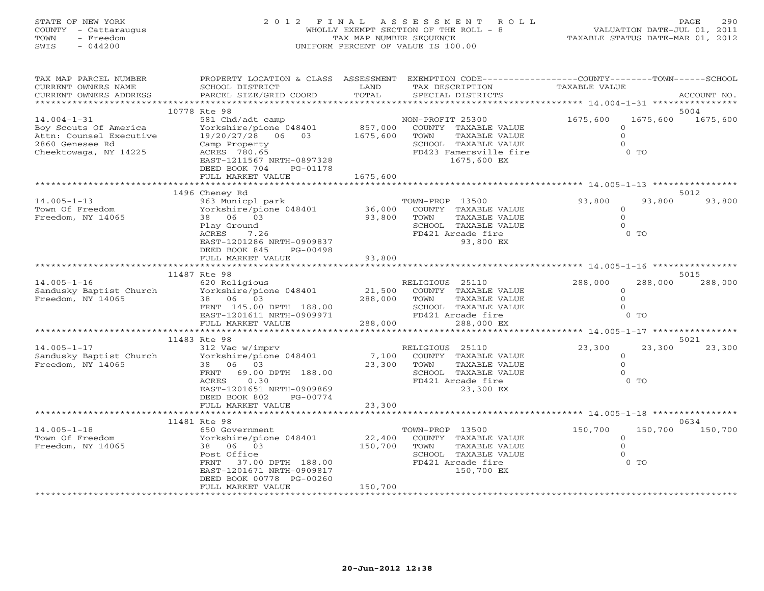# STATE OF NEW YORK 2 0 1 2 F I N A L A S S E S S M E N T R O L L PAGE 290 COUNTY - Cattaraugus WHOLLY EXEMPT SECTION OF THE ROLL - 8 VALUATION DATE-JUL 01, 2011 TOWN - Freedom TAX MAP NUMBER SEQUENCE TAXABLE STATUS DATE-MAR 01, 2012 SWIS - 044200 UNIFORM PERCENT OF VALUE IS 100.00

| TAX MAP PARCEL NUMBER<br>CURRENT OWNERS NAME<br>CURRENT OWNERS ADDRESS                                            | PROPERTY LOCATION & CLASS ASSESSMENT<br>SCHOOL DISTRICT<br>PARCEL SIZE/GRID COORD                                                                                                               | LAND<br>TOTAL                   | EXEMPTION CODE-----------------COUNTY-------TOWN------SCHOOL<br>TAX DESCRIPTION<br>SPECIAL DISTRICTS                               | TAXABLE VALUE                                    |                    | ACCOUNT NO.      |
|-------------------------------------------------------------------------------------------------------------------|-------------------------------------------------------------------------------------------------------------------------------------------------------------------------------------------------|---------------------------------|------------------------------------------------------------------------------------------------------------------------------------|--------------------------------------------------|--------------------|------------------|
|                                                                                                                   |                                                                                                                                                                                                 |                                 |                                                                                                                                    |                                                  |                    |                  |
| $14.004 - 1 - 31$<br>Boy Scouts Of America<br>Attn: Counsel Executive<br>2860 Genesee Rd<br>Cheektowaga, NY 14225 | 10778 Rte 98<br>581 Chd/adt camp<br>Yorkshire/pione 048401<br>19/20/27/28 06 03<br>Camp Property<br>ACRES 780.65<br>EAST-1211567 NRTH-0897328<br>DEED BOOK 704<br>PG-01178<br>FULL MARKET VALUE | 857,000<br>1675,600<br>1675,600 | NON-PROFIT 25300<br>COUNTY TAXABLE VALUE<br>TAXABLE VALUE<br>TOWN<br>SCHOOL TAXABLE VALUE<br>FD423 Famersville fire<br>1675,600 EX | 1675,600<br>$\Omega$<br>$\mathbf{O}$<br>$\Omega$ | 1675,600<br>$0$ TO | 5004<br>1675,600 |
|                                                                                                                   | 1496 Cheney Rd                                                                                                                                                                                  |                                 |                                                                                                                                    |                                                  |                    | 5012             |
| $14.005 - 1 - 13$<br>Town Of Freedom<br>Freedom, NY 14065                                                         | 963 Municpl park<br>Yorkshire/pione 048401<br>38 06 03<br>Play Ground<br>ACRES<br>7.26<br>EAST-1201286 NRTH-0909837<br>DEED BOOK 845<br>PG-00498                                                | 36,000<br>93,800                | TOWN-PROP 13500<br>COUNTY TAXABLE VALUE<br>TOWN<br>TAXABLE VALUE<br>SCHOOL TAXABLE VALUE<br>FD421 Arcade fire<br>93,800 EX         | 93,800<br>$\circ$<br>$\circ$<br>$\Omega$         | 93,800<br>$0$ TO   | 93,800           |
|                                                                                                                   | FULL MARKET VALUE                                                                                                                                                                               | 93,800                          |                                                                                                                                    |                                                  |                    |                  |
|                                                                                                                   | 11487 Rte 98                                                                                                                                                                                    |                                 |                                                                                                                                    |                                                  |                    | 5015             |
| $14.005 - 1 - 16$<br>Sandusky Baptist Church<br>Freedom, NY 14065                                                 | 620 Religious<br>Yorkshire/pione 048401<br>38 06 03<br>FRNT 145.00 DPTH 188.00<br>EAST-1201611 NRTH-0909971<br>FULL MARKET VALUE                                                                | 21,500<br>288,000<br>288,000    | RELIGIOUS 25110<br>COUNTY TAXABLE VALUE<br>TOWN<br>TAXABLE VALUE<br>SCHOOL TAXABLE VALUE<br>FD421 Arcade fire<br>288,000 EX        | 288,000<br>$\circ$<br>$\Omega$<br>$\cap$         | 288,000<br>$0$ TO  | 288,000          |
|                                                                                                                   | 11483 Rte 98                                                                                                                                                                                    |                                 |                                                                                                                                    |                                                  |                    | 5021             |
| $14.005 - 1 - 17$<br>Sandusky Baptist Church<br>Freedom, NY 14065                                                 | 312 Vac w/imprv<br>Yorkshire/pione 048401<br>06 03<br>38<br>FRNT<br>69.00 DPTH 188.00<br>ACRES<br>0.30<br>EAST-1201651 NRTH-0909869<br>DEED BOOK 802<br>PG-00774                                | 7,100<br>23,300                 | RELIGIOUS 25110<br>COUNTY TAXABLE VALUE<br>TOWN<br>TAXABLE VALUE<br>SCHOOL TAXABLE VALUE<br>FD421 Arcade fire<br>23,300 EX         | 23,300<br>$\circ$<br>$\Omega$<br>$\Omega$        | 23,300<br>$0$ TO   | 23,300           |
|                                                                                                                   | FULL MARKET VALUE                                                                                                                                                                               | 23,300                          |                                                                                                                                    |                                                  |                    |                  |
|                                                                                                                   | 11481 Rte 98                                                                                                                                                                                    |                                 | ********************************** 14.005-1-18 *******                                                                             |                                                  |                    | 0634             |
| $14.005 - 1 - 18$<br>Town Of Freedom<br>Freedom, NY 14065                                                         | 650 Government<br>Yorkshire/pione 048401<br>38 06 03<br>Post Office<br>FRNT<br>37.00 DPTH 188.00<br>EAST-1201671 NRTH-0909817<br>DEED BOOK 00778 PG-00260<br>FULL MARKET VALUE                  | 22,400<br>150,700<br>150,700    | TOWN-PROP 13500<br>COUNTY TAXABLE VALUE<br>TOWN<br>TAXABLE VALUE<br>SCHOOL TAXABLE VALUE<br>FD421 Arcade fire<br>150,700 EX        | 150,700<br>$\circ$<br>$\Omega$                   | 150,700<br>$0$ TO  | 150,700          |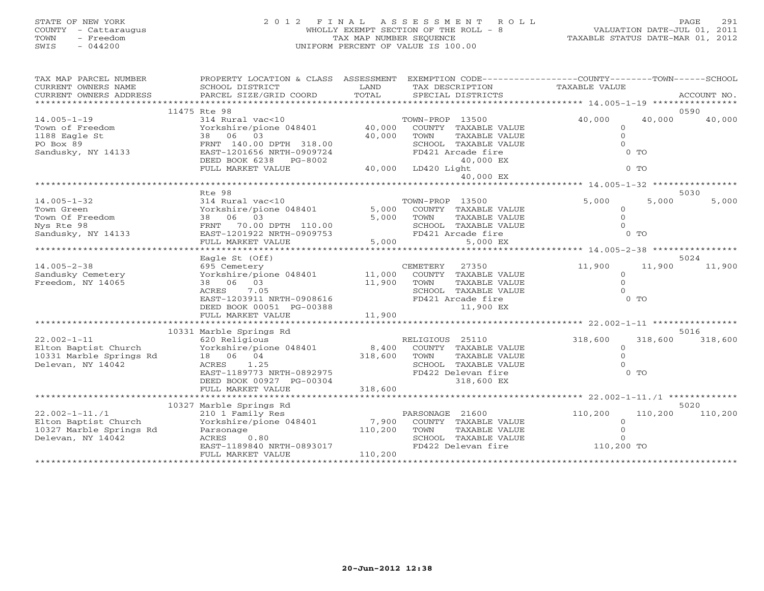# STATE OF NEW YORK 2 0 1 2 F I N A L A S S E S S M E N T R O L L PAGE 291 COUNTY - Cattaraugus WHOLLY EXEMPT SECTION OF THE ROLL - 8 VALUATION DATE-JUL 01, 2011 TOWN - Freedom TAX MAP NUMBER SEQUENCE TAXABLE STATUS DATE-MAR 01, 2012 SWIS - 044200 UNIFORM PERCENT OF VALUE IS 100.00

| TAX MAP PARCEL NUMBER   | PROPERTY LOCATION & CLASS ASSESSMENT EXEMPTION CODE---------------COUNTY-------TOWN------SCHOOL |         |                                 |               |         |             |
|-------------------------|-------------------------------------------------------------------------------------------------|---------|---------------------------------|---------------|---------|-------------|
| CURRENT OWNERS NAME     | SCHOOL DISTRICT                                                                                 | LAND    | TAX DESCRIPTION                 | TAXABLE VALUE |         |             |
| CURRENT OWNERS ADDRESS  | PARCEL SIZE/GRID COORD                                                                          | TOTAL   | SPECIAL DISTRICTS               |               |         | ACCOUNT NO. |
|                         |                                                                                                 |         |                                 |               |         |             |
|                         | 11475 Rte 98                                                                                    |         |                                 |               |         | 0590        |
| $14.005 - 1 - 19$       | 314 Rural vac<10                                                                                |         | TOWN-PROP 13500                 | 40,000        | 40,000  | 40,000      |
| Town of Freedom         | Yorkshire/pione 048401                                                                          | 40,000  | COUNTY TAXABLE VALUE            | $\circ$       |         |             |
| 1188 Eagle St           | 38 06 03                                                                                        | 40,000  | TOWN<br>TAXABLE VALUE           | $\circ$       |         |             |
| PO Box 89               | FRNT 140.00 DPTH 318.00                                                                         |         | SCHOOL TAXABLE VALUE            | $\Omega$      |         |             |
| Sandusky, NY 14133      | EAST-1201656 NRTH-0909724                                                                       |         | FD421 Arcade fire               |               | $0$ TO  |             |
|                         | DEED BOOK 6238 PG-8002                                                                          |         | 40,000 EX<br>40,000 LD420 Light |               | $0$ TO  |             |
|                         | FULL MARKET VALUE                                                                               |         | 40,000 EX                       |               |         |             |
|                         |                                                                                                 |         |                                 |               |         |             |
|                         | Rte 98                                                                                          |         |                                 |               |         | 5030        |
| $14.005 - 1 - 32$       | 314 Rural vac<10                                                                                |         | TOWN-PROP 13500                 | 5,000         | 5,000   | 5,000       |
| Town Green              | Yorkshire/pione 048401                                                                          |         | 5,000 COUNTY TAXABLE VALUE      | $\circ$       |         |             |
| Town Of Freedom         | 38 06 03                                                                                        | 5,000   | TOWN<br>TAXABLE VALUE           | $\Omega$      |         |             |
| Nys Rte 98              | FRNT 70.00 DPTH 110.00                                                                          |         | SCHOOL TAXABLE VALUE            | $\Omega$      |         |             |
| Sandusky, NY 14133      | EAST-1201922 NRTH-0909753                                                                       |         | FD421 Arcade fire               |               | $0$ TO  |             |
|                         | FULL MARKET VALUE                                                                               | 5,000   | 5,000 EX                        |               |         |             |
|                         |                                                                                                 |         |                                 |               |         |             |
|                         | Eagle St (Off)                                                                                  |         |                                 |               |         | 5024        |
| $14.005 - 2 - 38$       | 695 Cemetery                                                                                    |         | CEMETERY<br>27350               | 11,900        | 11,900  | 11,900      |
| Sandusky Cemetery       | Yorkshire/pione 048401                                                                          | 11,000  | COUNTY TAXABLE VALUE            | $\Omega$      |         |             |
| Freedom, NY 14065       | 38 06 03                                                                                        | 11,900  | TOWN<br>TAXABLE VALUE           | $\circ$       |         |             |
|                         | 7.05<br>ACRES                                                                                   |         | SCHOOL TAXABLE VALUE            | $\cap$        |         |             |
|                         | EAST-1203911 NRTH-0908616                                                                       |         | FD421 Arcade fire               |               | $0$ TO  |             |
|                         | DEED BOOK 00051 PG-00388                                                                        | 11,900  | 11,900 EX                       |               |         |             |
|                         | FULL MARKET VALUE                                                                               |         |                                 |               |         |             |
|                         | 10331 Marble Springs Rd                                                                         |         |                                 |               |         | 5016        |
| $22.002 - 1 - 11$       | 620 Religious                                                                                   |         | RELIGIOUS 25110                 | 318,600       | 318,600 | 318,600     |
| Elton Baptist Church    | Yorkshire/pione 048401                                                                          | 8,400   | COUNTY TAXABLE VALUE            | $\circ$       |         |             |
| 10331 Marble Springs Rd | 18 06 04                                                                                        | 318,600 | TOWN<br>TAXABLE VALUE           | $\circ$       |         |             |
| Delevan, NY 14042       | ACRES 1.25                                                                                      |         | SCHOOL TAXABLE VALUE            | $\Omega$      |         |             |
|                         | EAST-1189773 NRTH-0892975                                                                       |         | FD422 Delevan fire              |               | $0$ TO  |             |
|                         | DEED BOOK 00927 PG-00304                                                                        |         | 318,600 EX                      |               |         |             |
|                         | FULL MARKET VALUE                                                                               | 318,600 |                                 |               |         |             |
|                         |                                                                                                 |         |                                 |               |         |             |
|                         | 10327 Marble Springs Rd                                                                         |         |                                 |               |         | 5020        |
| $22.002 - 1 - 11.71$    | 210 1 Family Res                                                                                |         | PARSONAGE 21600                 | 110,200       | 110,200 | 110,200     |
| Elton Baptist Church    | Yorkshire/pione 048401 7,900                                                                    |         | COUNTY TAXABLE VALUE            | $\Omega$      |         |             |
| 10327 Marble Springs Rd | Parsonage                                                                                       | 110,200 | TOWN<br>TAXABLE VALUE           | $\Omega$      |         |             |
| Delevan, NY 14042       | ACRES 0.80                                                                                      |         | SCHOOL TAXABLE VALUE            | $\Omega$      |         |             |
|                         | EAST-1189840 NRTH-0893017                                                                       |         | FD422 Delevan fire 110,200 TO   |               |         |             |
|                         | FULL MARKET VALUE                                                                               | 110,200 |                                 |               |         |             |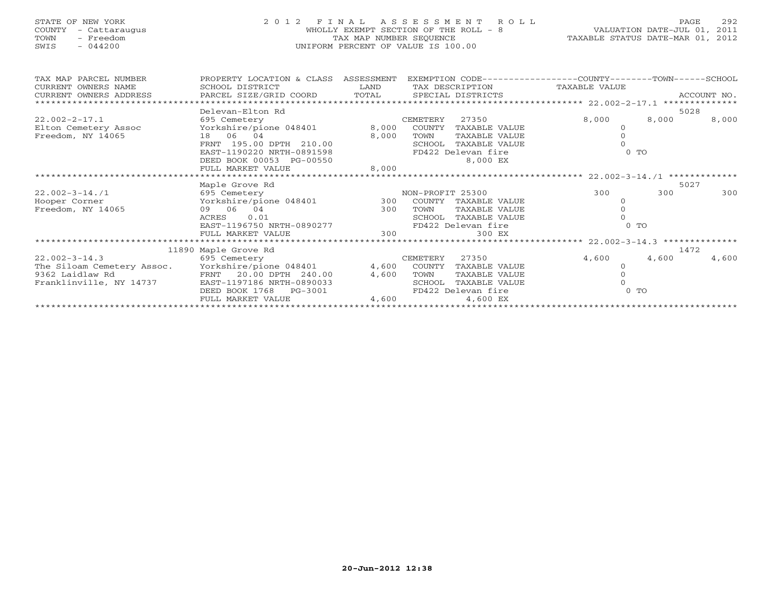| STATE OF NEW YORK<br>COUNTY<br>- Cattaraugus<br>TOWN<br>- Freedom<br>$-044200$<br>SWIS          | 2 0 1 2<br>FINAL ASSESSMENT ROLL<br>WHOLLY EXEMPT SECTION OF THE ROLL - 8<br>TAX MAP NUMBER SEQUENCE<br>UNIFORM PERCENT OF VALUE IS 100.00                  | TAXABLE STATUS DATE-MAR 01, 2012 | PAGE<br>VALUATION DATE-JUL 01, 2011                                                            | 292                                             |                                                                               |                         |             |
|-------------------------------------------------------------------------------------------------|-------------------------------------------------------------------------------------------------------------------------------------------------------------|----------------------------------|------------------------------------------------------------------------------------------------|-------------------------------------------------|-------------------------------------------------------------------------------|-------------------------|-------------|
| TAX MAP PARCEL NUMBER<br>CURRENT OWNERS NAME<br>CURRENT OWNERS ADDRESS                          | PROPERTY LOCATION & CLASS ASSESSMENT<br>SCHOOL DISTRICT<br>PARCEL SIZE/GRID COORD                                                                           | <b>T.AND</b><br>TOTAL            | TAX DESCRIPTION<br>SPECIAL DISTRICTS                                                           |                                                 | EXEMPTION CODE-----------------COUNTY-------TOWN------SCHOOL<br>TAXABLE VALUE |                         | ACCOUNT NO. |
|                                                                                                 | Delevan-Elton Rd                                                                                                                                            |                                  |                                                                                                |                                                 |                                                                               | 5028                    |             |
| $22.002 - 2 - 17.1$<br>Elton Cemetery Assoc<br>Freedom, NY 14065                                | 695 Cemetery<br>Yorkshire/pione 048401<br>18 06 04<br>FRNT 195.00 DPTH 210.00<br>EAST-1190220 NRTH-0891598<br>DEED BOOK 00053 PG-00550<br>FULL MARKET VALUE | 8,000<br>8,000<br>8,000          | CEMETERY<br>27350<br>COUNTY TAXABLE VALUE<br>TOWN<br>SCHOOL<br>FD422 Delevan fire              | TAXABLE VALUE<br>TAXABLE VALUE<br>8,000 EX      | 8,000<br>$\Omega$<br>$\Omega$<br>$\Omega$                                     | 8,000<br>0 <sub>T</sub> | 8,000       |
|                                                                                                 | Maple Grove Rd                                                                                                                                              |                                  |                                                                                                |                                                 |                                                                               | 5027                    |             |
| $22.002 - 3 - 14.71$<br>Hooper Corner<br>Freedom, NY 14065                                      | 695 Cemetery<br>Yorkshire/pione 048401<br>09 06 04<br>ACRES<br>0.01<br>EAST-1196750 NRTH-0890277<br>FULL MARKET VALUE                                       | 300<br>300<br>300                | NON-PROFIT 25300<br>COUNTY TAXABLE VALUE<br>TOWN<br>SCHOOL TAXABLE VALUE<br>FD422 Delevan fire | TAXABLE VALUE<br>300 EX                         | 300<br>$\Omega$<br>$\Omega$<br>$\Omega$<br>0 <sub>T</sub>                     | 300                     | 300         |
|                                                                                                 | 11890 Maple Grove Rd                                                                                                                                        |                                  |                                                                                                |                                                 |                                                                               | 1472                    |             |
| $22.002 - 3 - 14.3$<br>The Siloam Cemetery Assoc.<br>9362 Laidlaw Rd<br>Franklinville, NY 14737 | 695 Cemetery<br>Yorkshire/pione 048401<br>20.00 DPTH 240.00<br>FRNT<br>EAST-1197186 NRTH-0890033<br>DEED BOOK 1768<br>$PG-3001$<br>סוו וגזו חסשם את דווס    | 4,600<br>4,600<br>1.600          | CEMETERY<br>27350<br>COUNTY<br>TOWN<br>SCHOOL<br>FD422 Delevan fire                            | TAXABLE VALUE<br>TAXABLE VALUE<br>TAXABLE VALUE | 4,600<br>$\Omega$<br>$\Omega$<br>$\Omega$                                     | 4,600<br>0 <sub>0</sub> | 4,600       |

FULL MARKET VALUE 4,600 4,600 EX \*\*\*\*\*\*\*\*\*\*\*\*\*\*\*\*\*\*\*\*\*\*\*\*\*\*\*\*\*\*\*\*\*\*\*\*\*\*\*\*\*\*\*\*\*\*\*\*\*\*\*\*\*\*\*\*\*\*\*\*\*\*\*\*\*\*\*\*\*\*\*\*\*\*\*\*\*\*\*\*\*\*\*\*\*\*\*\*\*\*\*\*\*\*\*\*\*\*\*\*\*\*\*\*\*\*\*\*\*\*\*\*\*\*\*\*\*\*\*\*\*\*\*\*\*\*\*\*\*\*\*\*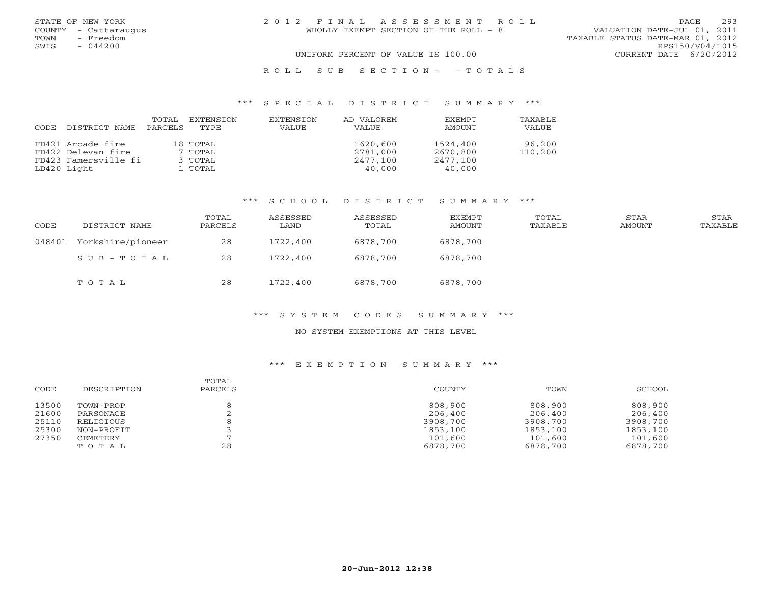|      | STATE OF NEW YORK    | 2012 FINAL ASSESSMENT ROLL                                           | PAGE                   | 293 |
|------|----------------------|----------------------------------------------------------------------|------------------------|-----|
|      | COUNTY - Cattaraugus | VALUATION DATE-JUL 01, 2011<br>WHOLLY EXEMPT SECTION OF THE ROLL - 8 |                        |     |
| TOWN | - Freedom            | TAXABLE STATUS DATE-MAR 01, 2012                                     |                        |     |
| SWIS | $-044200$            |                                                                      | RPS150/V04/L015        |     |
|      |                      | UNIFORM PERCENT OF VALUE IS 100.00                                   | CURRENT DATE 6/20/2012 |     |
|      |                      | ROLL SUB SECTION- - TOTALS                                           |                        |     |

## \*\*\* S P E C I A L D I S T R I C T S U M M A R Y \*\*\*

| CODE | DISTRICT NAME        | TOTAL<br>PARCELS | EXTENSION<br>TYPE | EXTENSION<br>VALUE | AD VALOREM<br>VALUE | <b>EXEMPT</b><br>AMOUNT | <b>TAXABLF</b><br>VALUE |
|------|----------------------|------------------|-------------------|--------------------|---------------------|-------------------------|-------------------------|
|      | FD421 Arcade fire    |                  | 18 TOTAL          |                    | 1620,600            | 1524,400                | 96,200                  |
|      | FD422 Delevan fire   |                  | 7 TOTAL           |                    | 2781,000            | 2670,800                | 110,200                 |
|      | FD423 Famersville fi |                  | 3 TOTAL           |                    | 2477,100            | 2477,100                |                         |
|      | LD420 Light          |                  | 1 TOTAL           |                    | 40,000              | 40,000                  |                         |

# \*\*\* S C H O O L D I S T R I C T S U M M A R Y \*\*\*

| CODE   | DISTRICT NAME     | TOTAL<br>PARCELS | ASSESSED<br>LAND | ASSESSED<br>TOTAL | EXEMPT<br>AMOUNT | TOTAL<br>TAXABLE | STAR<br>AMOUNT | STAR<br>TAXABLE |
|--------|-------------------|------------------|------------------|-------------------|------------------|------------------|----------------|-----------------|
| 048401 | Yorkshire/pioneer | 28               | 1722,400         | 6878,700          | 6878,700         |                  |                |                 |
|        | SUB-TOTAL         | 28               | 1722,400         | 6878,700          | 6878,700         |                  |                |                 |
|        | TOTAL             | 28               | 1722,400         | 6878,700          | 6878,700         |                  |                |                 |

## \*\*\* S Y S T E M C O D E S S U M M A R Y \*\*\*

#### NO SYSTEM EXEMPTIONS AT THIS LEVEL

| CODE  | DESCRIPTION | TOTAL<br>PARCELS | COUNTY   | TOWN     | SCHOOL   |
|-------|-------------|------------------|----------|----------|----------|
| 13500 | TOWN-PROP   |                  | 808,900  | 808,900  | 808,900  |
| 21600 | PARSONAGE   |                  | 206,400  | 206,400  | 206,400  |
| 25110 | RELIGIOUS   |                  | 3908,700 | 3908,700 | 3908,700 |
| 25300 | NON-PROFIT  |                  | 1853,100 | 1853,100 | 1853,100 |
| 27350 | CEMETERY    |                  | 101,600  | 101,600  | 101,600  |
|       | TOTAL       | 28               | 6878,700 | 6878,700 | 6878,700 |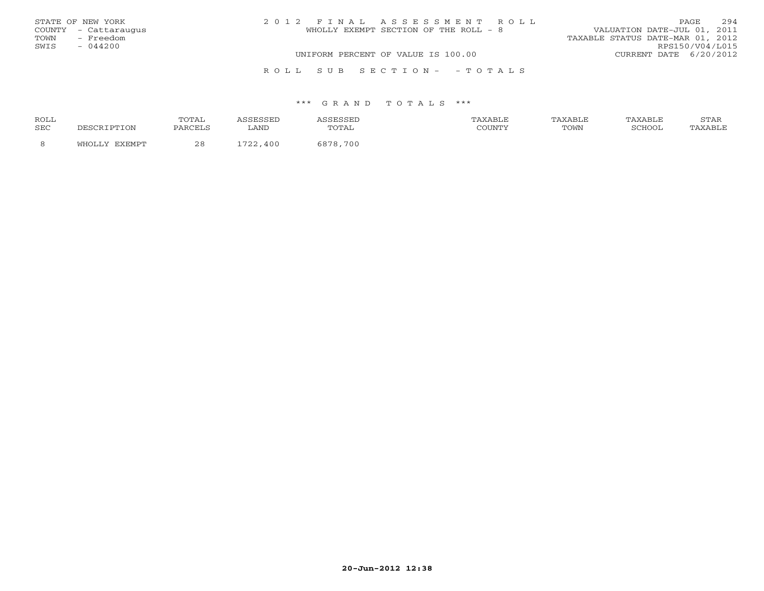| STATE OF NEW YORK    | 2012 FINAL ASSESSMENT ROLL            | 294<br><b>PAGE</b>               |
|----------------------|---------------------------------------|----------------------------------|
| COUNTY - Cattaraugus | WHOLLY EXEMPT SECTION OF THE ROLL - 8 | VALUATION DATE-JUL 01, 2011      |
| TOWN - Freedom       |                                       | TAXABLE STATUS DATE-MAR 01, 2012 |
| SWIS<br>$-044200$    |                                       | RPS150/V04/L015                  |
|                      | UNIFORM PERCENT OF VALUE IS 100.00    | CURRENT DATE 6/20/2012           |
|                      | ROLL SUB SECTION- - TOTALS            |                                  |

### \*\*\* G R A N D T O T A L S \*\*\*

| <b>ROLL</b> |                 | ጥ∩ጥ Δ΄     |                         | .                              | ∖XABI F |      | AXABLE | rma:<br>بمدعدت |
|-------------|-----------------|------------|-------------------------|--------------------------------|---------|------|--------|----------------|
| <b>SEC</b>  | $\tau_{\rm ON}$ | PARCELS    | LAND                    | TOTAL                          | COUNTY  | TOWN | SCHOOT |                |
|             |                 | າ ໐<br>ے د | $\neg \neg \neg$<br>400 | 700<br>$\circ$ $\circ$ $\circ$ |         |      |        |                |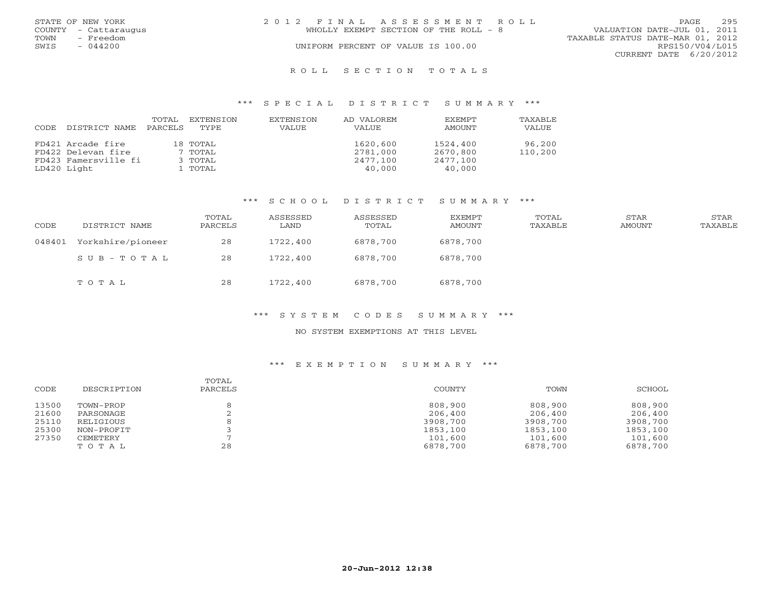|      | STATE OF NEW YORK    | 2012 FINAL ASSESSMENT ROLL            | PAGE                             | 295 |
|------|----------------------|---------------------------------------|----------------------------------|-----|
|      | COUNTY - Cattaraugus | WHOLLY EXEMPT SECTION OF THE ROLL - 8 | VALUATION DATE-JUL 01, 2011      |     |
| TOWN | - Freedom            |                                       | TAXABLE STATUS DATE-MAR 01, 2012 |     |
| SWIS | $-044200$            | UNIFORM PERCENT OF VALUE IS 100.00    | RPS150/V04/L015                  |     |
|      |                      |                                       | CURRENT DATE 6/20/2012           |     |
|      |                      | ROLL SECTION TOTALS                   |                                  |     |

## \*\*\* S P E C I A L D I S T R I C T S U M M A R Y \*\*\*

| CODE | DISTRICT NAME        | TOTAL<br>PARCELS | EXTENSION<br>TYPE | EXTENSION<br>VALUE | AD VALOREM<br>VALUE | <b>EXEMPT</b><br>AMOUNT | TAXABLE<br>VALUE |
|------|----------------------|------------------|-------------------|--------------------|---------------------|-------------------------|------------------|
|      | FD421 Arcade fire    |                  | 18 TOTAL          |                    | 1620,600            | 1524,400                | 96,200           |
|      | FD422 Delevan fire   |                  | 7 TOTAL           |                    | 2781,000            | 2670,800                | 110,200          |
|      | FD423 Famersville fi |                  | 3 TOTAL           |                    | 2477,100            | 2477,100                |                  |
|      | LD420 Light          |                  | 1 TOTAL           |                    | 40,000              | 40,000                  |                  |

# \*\*\* S C H O O L D I S T R I C T S U M M A R Y \*\*\*

| CODE   | DISTRICT NAME     | TOTAL<br>PARCELS | ASSESSED<br>LAND | ASSESSED<br>TOTAL | EXEMPT<br>AMOUNT | TOTAL<br>TAXABLE | STAR<br>AMOUNT | STAR<br>TAXABLE |
|--------|-------------------|------------------|------------------|-------------------|------------------|------------------|----------------|-----------------|
| 048401 | Yorkshire/pioneer | 28               | 1722,400         | 6878,700          | 6878,700         |                  |                |                 |
|        | SUB-TOTAL         | 28               | 1722,400         | 6878,700          | 6878,700         |                  |                |                 |
|        | TOTAL             | 28               | 1722,400         | 6878,700          | 6878,700         |                  |                |                 |

## \*\*\* S Y S T E M C O D E S S U M M A R Y \*\*\*

#### NO SYSTEM EXEMPTIONS AT THIS LEVEL

| CODE  | DESCRIPTION | TOTAL<br>PARCELS | COUNTY   | TOWN     | SCHOOL   |
|-------|-------------|------------------|----------|----------|----------|
| 13500 | TOWN-PROP   |                  | 808,900  | 808,900  | 808,900  |
| 21600 | PARSONAGE   |                  | 206,400  | 206,400  | 206,400  |
| 25110 | RELIGIOUS   |                  | 3908,700 | 3908,700 | 3908,700 |
| 25300 | NON-PROFIT  |                  | 1853,100 | 1853,100 | 1853,100 |
| 27350 | CEMETERY    |                  | 101,600  | 101,600  | 101,600  |
|       | TOTAL       | 28               | 6878,700 | 6878,700 | 6878,700 |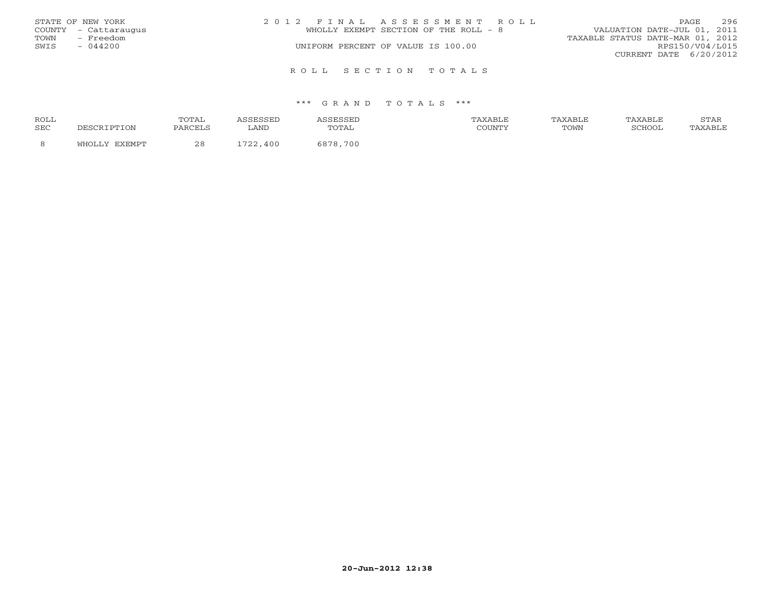|      | STATE OF NEW YORK    | 2012 FINAL ASSESSMENT ROLL            | 296<br><b>PAGE</b>               |
|------|----------------------|---------------------------------------|----------------------------------|
|      | COUNTY - Cattaraugus | WHOLLY EXEMPT SECTION OF THE ROLL - 8 | VALUATION DATE-JUL 01, 2011      |
| TOWN | - Freedom            |                                       | TAXABLE STATUS DATE-MAR 01, 2012 |
| SWIS | $-044200$            | UNIFORM PERCENT OF VALUE IS 100.00    | RPS150/V04/L015                  |
|      |                      |                                       | CURRENT DATE 6/20/2012           |
|      |                      |                                       |                                  |
|      |                      | ROLL SECTION TOTALS                   |                                  |

### \*\*\* G R A N D T O T A L S \*\*\*

| ROLL       |        | <b>TOTA1</b> |                         |               | <b>XABLF</b> | AXABLE | TAXABLF | <b>CERT</b><br>י בתיכו |
|------------|--------|--------------|-------------------------|---------------|--------------|--------|---------|------------------------|
| <b>SEC</b> | DTION  | PARCELS      | LAND                    | utal          | COUNTY       | TOWN   | COHOOT  |                        |
|            | "חרד - | າ ຂ<br>ے د   | $\Box \cap \Box$<br>400 | 700<br>$\cap$ |              |        |         |                        |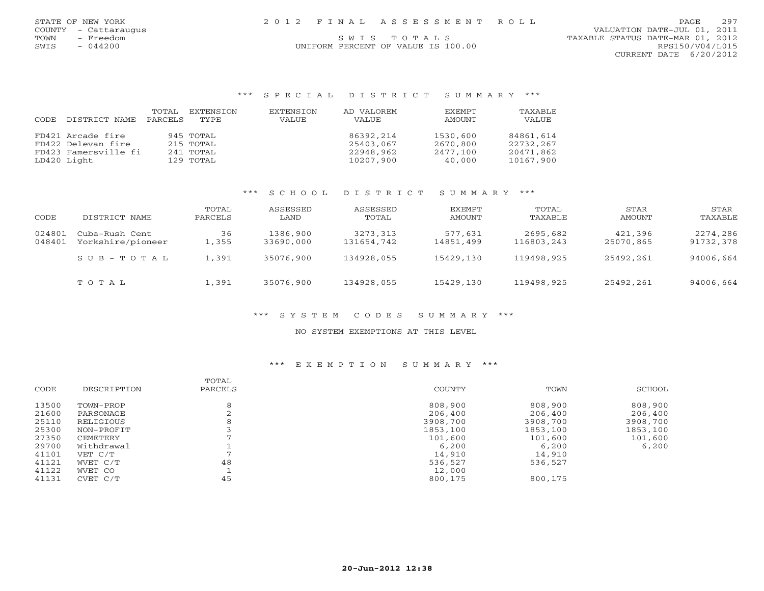SWIS - 044200 UNIFORM PERCENT OF VALUE IS 100.00 RPS150/V04/L015 CURRENT DATE 6/20/2012

## \*\*\* S P E C I A L D I S T R I C T S U M M A R Y \*\*\*

| CODE | DISTRICT NAME        | TOTAL<br>PARCELS | EXTENSION<br>TYPE | EXTENSION<br>VALUE | AD VALOREM<br>VALUE | <b>FXEMPT</b><br>AMOUNT | TAXABLE<br>VALUE |
|------|----------------------|------------------|-------------------|--------------------|---------------------|-------------------------|------------------|
|      | FD421 Arcade fire    |                  | 945 TOTAL         |                    | 86392,214           | 1530,600                | 84861,614        |
|      | FD422 Delevan fire   |                  | 215 TOTAL         |                    | 25403,067           | 2670,800                | 22732,267        |
|      | FD423 Famersville fi |                  | 241 TOTAL         |                    | 22948,962           | 2477,100                | 20471,862        |
|      | LD420 Light          |                  | 129 TOTAL         |                    | 10207,900           | 40,000                  | 10167,900        |

## \*\*\* S C H O O L D I S T R I C T S U M M A R Y \*\*\*

| CODE             | DISTRICT NAME                       | TOTAL<br>PARCELS  | ASSESSED<br>LAND      | ASSESSED<br>TOTAL      | EXEMPT<br>AMOUNT     | TOTAL<br>TAXABLE       | STAR<br>AMOUNT       | STAR<br>TAXABLE       |
|------------------|-------------------------------------|-------------------|-----------------------|------------------------|----------------------|------------------------|----------------------|-----------------------|
| 024801<br>048401 | Cuba-Rush Cent<br>Yorkshire/pioneer | 36<br>$\pm$ , 355 | 1386,900<br>33690,000 | 3273,313<br>131654,742 | 577,631<br>14851,499 | 2695,682<br>116803,243 | 421,396<br>25070,865 | 2274,286<br>91732,378 |
|                  | SUB-TOTAL                           | 1,391             | 35076,900             | 134928,055             | 15429,130            | 119498,925             | 25492,261            | 94006,664             |
|                  | TOTAL                               | 1,391             | 35076,900             | 134928,055             | 15429,130            | 119498,925             | 25492,261            | 94006,664             |

## \*\*\* S Y S T E M C O D E S S U M M A R Y \*\*\*

### NO SYSTEM EXEMPTIONS AT THIS LEVEL

|       |             | TOTAL   |          |          |          |
|-------|-------------|---------|----------|----------|----------|
| CODE  | DESCRIPTION | PARCELS | COUNTY   | TOWN     | SCHOOL   |
| 13500 | TOWN-PROP   | 8       | 808,900  | 808,900  | 808,900  |
| 21600 | PARSONAGE   |         | 206,400  | 206,400  | 206,400  |
| 25110 | RELIGIOUS   | 8       | 3908,700 | 3908,700 | 3908,700 |
| 25300 | NON-PROFIT  |         | 1853,100 | 1853,100 | 1853,100 |
| 27350 | CEMETERY    |         | 101,600  | 101,600  | 101,600  |
| 29700 | Withdrawal  |         | 6,200    | 6,200    | 6,200    |
| 41101 | VET C/T     |         | 14,910   | 14,910   |          |
| 41121 | WVET C/T    | 48      | 536,527  | 536,527  |          |
| 41122 | WVET CO     |         | 12,000   |          |          |
| 41131 | CVET C/T    | 45      | 800,175  | 800,175  |          |
|       |             |         |          |          |          |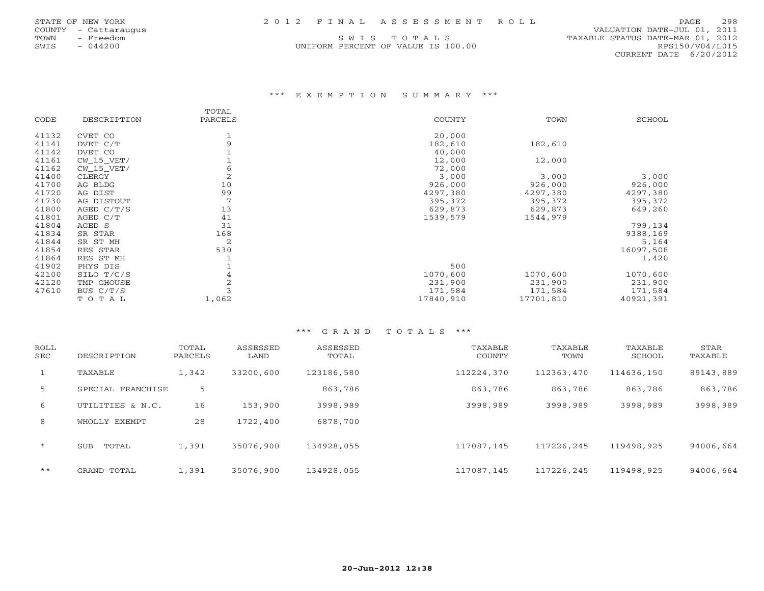TOWN - Freedom S W I S T O T A L S TAXABLE STATUS DATE-MAR 01, 2012 UNIFORM PERCENT OF VALUE IS 100.00 RPS150/V04/L015

## \*\*\* E X E M P T I O N S U M M A R Y \*\*\*

|       |              | TOTAL   |           |           |           |
|-------|--------------|---------|-----------|-----------|-----------|
| CODE  | DESCRIPTION  | PARCELS | COUNTY    | TOWN      | SCHOOL    |
| 41132 | CVET CO      |         | 20,000    |           |           |
| 41141 | DVET C/T     | 9       | 182,610   | 182,610   |           |
| 41142 | DVET CO      |         | 40,000    |           |           |
| 41161 | $CW_15_VET/$ |         | 12,000    | 12,000    |           |
| 41162 | $CW_15_VET/$ | 6       | 72,000    |           |           |
| 41400 | CLERGY       | 2       | 3,000     | 3,000     | 3,000     |
| 41700 | AG BLDG      | 10      | 926,000   | 926,000   | 926,000   |
| 41720 | AG DIST      | 99      | 4297,380  | 4297,380  | 4297,380  |
| 41730 | AG DISTOUT   |         | 395,372   | 395,372   | 395,372   |
| 41800 | AGED $C/T/S$ | 13      | 629,873   | 629,873   | 649,260   |
| 41801 | AGED C/T     | 41      | 1539,579  | 1544,979  |           |
| 41804 | AGED S       | 31      |           |           | 799,134   |
| 41834 | SR STAR      | 168     |           |           | 9388,169  |
| 41844 | SR ST MH     | 2       |           |           | 5,164     |
| 41854 | RES STAR     | 530     |           |           | 16097,508 |
| 41864 | RES ST MH    |         |           |           | 1,420     |
| 41902 | PHYS DIS     |         | 500       |           |           |
| 42100 | SILO T/C/S   | 4       | 1070,600  | 1070,600  | 1070,600  |
| 42120 | TMP GHOUSE   | 2       | 231,900   | 231,900   | 231,900   |
| 47610 | BUS C/T/S    |         | 171,584   | 171,584   | 171,584   |
|       | TOTAL        | 1,062   | 17840,910 | 17701,810 | 40921,391 |

#### \*\*\* G R A N D T O T A L S \*\*\*

| ROLL<br><b>SEC</b> | DESCRIPTION         | TOTAL<br>PARCELS | ASSESSED<br>LAND | ASSESSED<br>TOTAL | TAXABLE<br>COUNTY | TAXABLE<br>TOWN | TAXABLE<br>SCHOOL | STAR<br>TAXABLE |
|--------------------|---------------------|------------------|------------------|-------------------|-------------------|-----------------|-------------------|-----------------|
| $\mathbf{1}$       | TAXABLE             | 1,342            | 33200,600        | 123186,580        | 112224,370        | 112363,470      | 114636,150        | 89143,889       |
| 5                  | SPECIAL FRANCHISE   | 5                |                  | 863,786           | 863,786           | 863,786         | 863,786           | 863,786         |
| 6                  | UTILITIES & N.C.    | 16               | 153,900          | 3998,989          | 3998,989          | 3998,989        | 3998,989          | 3998,989        |
| 8                  | WHOLLY EXEMPT       | 28               | 1722,400         | 6878,700          |                   |                 |                   |                 |
| $\star$            | TOTAL<br><b>SUB</b> | 1,391            | 35076,900        | 134928,055        | 117087,145        | 117226,245      | 119498,925        | 94006,664       |
| $***$              | GRAND TOTAL         | 1,391            | 35076,900        | 134928,055        | 117087,145        | 117226,245      | 119498,925        | 94006,664       |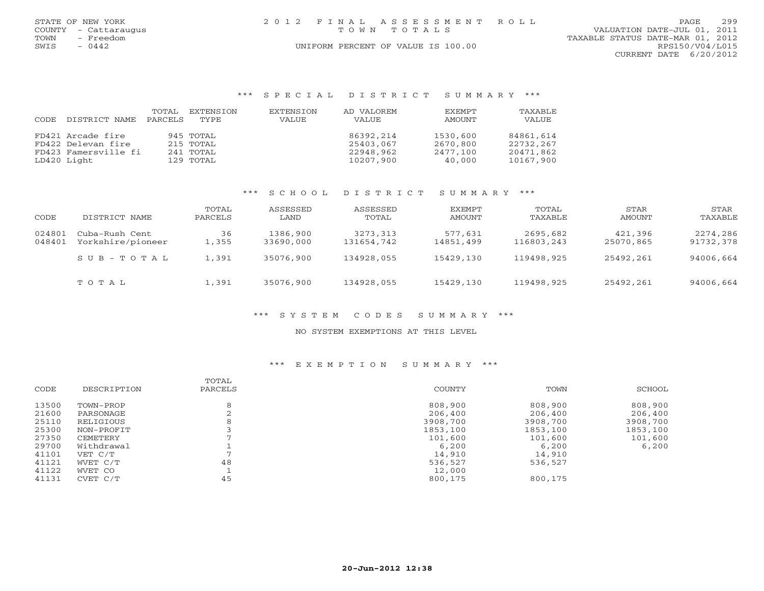|      | STATE OF NEW YORK    | 2012 FINAL ASSESSMENT ROLL         | 299<br>PAGE                      |
|------|----------------------|------------------------------------|----------------------------------|
|      | COUNTY - Cattaraugus | TOWN TOTALS                        | VALUATION DATE-JUL 01, 2011      |
| TOWN | - Freedom            |                                    | TAXABLE STATUS DATE-MAR 01, 2012 |
| SWIS | $-0442$              | UNIFORM PERCENT OF VALUE IS 100.00 | RPS150/V04/L015                  |
|      |                      |                                    | CURRENT DATE 6/20/2012           |

### \*\*\* S P E C I A L D I S T R I C T S U M M A R Y \*\*\*

|       |                      | TOTAL   | EXTENSION | EXTENSION | AD VALOREM | EXEMPT   | TAXABLE   |
|-------|----------------------|---------|-----------|-----------|------------|----------|-----------|
| CODE. | DISTRICT NAME        | PARCELS | TYPE      | VALUE     | VALUE      | AMOUNT   | VALUE     |
|       | FD421 Arcade fire    |         | 945 TOTAL |           | 86392,214  | 1530,600 | 84861,614 |
|       | FD422 Delevan fire   |         | 215 TOTAL |           | 25403,067  | 2670,800 | 22732,267 |
|       | FD423 Famersville fi |         | 241 TOTAL |           | 22948,962  | 2477,100 | 20471,862 |
|       | LD420 Light          |         | 129 TOTAL |           | 10207,900  | 40,000   | 10167,900 |

## \*\*\* S C H O O L D I S T R I C T S U M M A R Y \*\*\*

| CODE             | DISTRICT NAME                       | TOTAL<br>PARCELS | ASSESSED<br>LAND      | ASSESSED<br>TOTAL      | EXEMPT<br>AMOUNT     | TOTAL<br>TAXABLE       | STAR<br>AMOUNT       | STAR<br>TAXABLE       |
|------------------|-------------------------------------|------------------|-----------------------|------------------------|----------------------|------------------------|----------------------|-----------------------|
| 024801<br>048401 | Cuba-Rush Cent<br>Yorkshire/pioneer | 36<br>1,355      | 1386,900<br>33690,000 | 3273,313<br>131654,742 | 577,631<br>14851,499 | 2695,682<br>116803,243 | 421,396<br>25070,865 | 2274,286<br>91732,378 |
|                  | SUB-TOTAL                           | 1,391            | 35076,900             | 134928,055             | 15429,130            | 119498,925             | 25492,261            | 94006,664             |
|                  | TOTAL                               | 1,391            | 35076,900             | 134928,055             | 15429,130            | 119498,925             | 25492,261            | 94006,664             |

## \*\*\* S Y S T E M C O D E S S U M M A R Y \*\*\*

#### NO SYSTEM EXEMPTIONS AT THIS LEVEL

|       |             | TOTAL   |          |          |          |
|-------|-------------|---------|----------|----------|----------|
| CODE  | DESCRIPTION | PARCELS | COUNTY   | TOWN     | SCHOOL   |
| 13500 | TOWN-PROP   |         | 808,900  | 808,900  | 808,900  |
| 21600 | PARSONAGE   |         | 206,400  | 206,400  | 206,400  |
| 25110 | RELIGIOUS   |         | 3908,700 | 3908,700 | 3908,700 |
| 25300 | NON-PROFIT  |         | 1853,100 | 1853,100 | 1853,100 |
| 27350 | CEMETERY    |         | 101,600  | 101,600  | 101,600  |
| 29700 | Withdrawal  |         | 6,200    | 6,200    | 6,200    |
| 41101 | VET C/T     |         | 14,910   | 14,910   |          |
| 41121 | WVET C/T    | 48      | 536,527  | 536,527  |          |
| 41122 | WVET CO     |         | 12,000   |          |          |
| 41131 | CVET C/T    | 45      | 800,175  | 800,175  |          |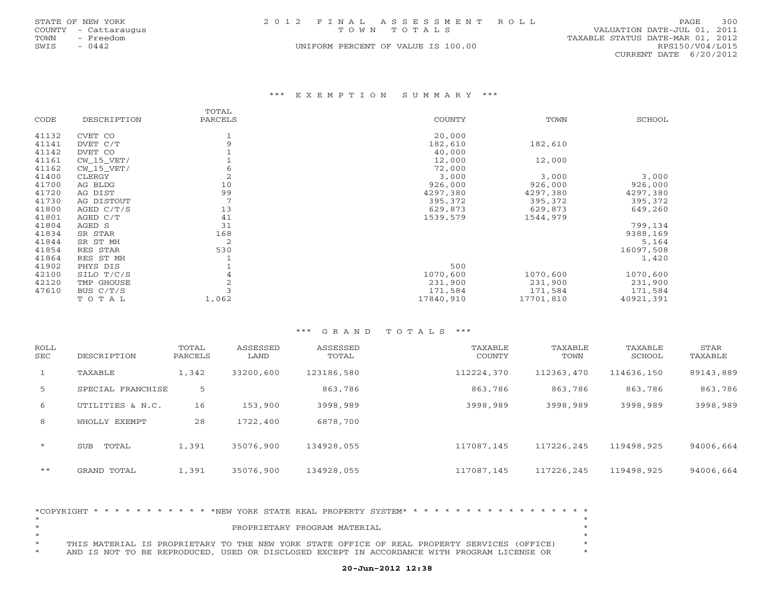|      | STATE OF NEW YORK    | 2012 FINAL ASSESSMENT ROLL         |                                  | PAGE            | 300 |
|------|----------------------|------------------------------------|----------------------------------|-----------------|-----|
|      | COUNTY - Cattaraugus | TOWN TOTALS                        | VALUATION DATE-JUL 01, 2011      |                 |     |
| TOWN | - Freedom            |                                    | TAXABLE STATUS DATE-MAR 01, 2012 |                 |     |
| SWIS | $-0442$              | UNIFORM PERCENT OF VALUE IS 100.00 |                                  | RPS150/V04/L015 |     |
|      |                      |                                    | CURRENT DATE 6/20/2012           |                 |     |

#### \*\*\* E X E M P T I O N S U M M A R Y \*\*\*

|       |              | TOTAL          |               |           |           |
|-------|--------------|----------------|---------------|-----------|-----------|
| CODE  | DESCRIPTION  | PARCELS        | <b>COUNTY</b> | TOWN      | SCHOOL    |
| 41132 | CVET CO      |                | 20,000        |           |           |
| 41141 | DVET C/T     | 9              | 182,610       | 182,610   |           |
| 41142 | DVET CO      |                | 40,000        |           |           |
| 41161 | $CW_15_VET/$ |                | 12,000        | 12,000    |           |
| 41162 | $CW_15_VET/$ | 6              | 72,000        |           |           |
| 41400 | CLERGY       | $\overline{2}$ | 3,000         | 3,000     | 3,000     |
| 41700 | AG BLDG      | 10             | 926,000       | 926,000   | 926,000   |
| 41720 | AG DIST      | 99             | 4297,380      | 4297,380  | 4297,380  |
| 41730 | AG DISTOUT   |                | 395,372       | 395,372   | 395,372   |
| 41800 | AGED C/T/S   | 13             | 629,873       | 629,873   | 649,260   |
| 41801 | AGED C/T     | 41             | 1539,579      | 1544,979  |           |
| 41804 | AGED S       | 31             |               |           | 799,134   |
| 41834 | SR STAR      | 168            |               |           | 9388,169  |
| 41844 | SR ST MH     | 2              |               |           | 5,164     |
| 41854 | RES STAR     | 530            |               |           | 16097,508 |
| 41864 | RES ST MH    |                |               |           | 1,420     |
| 41902 | PHYS DIS     |                | 500           |           |           |
| 42100 | SILO T/C/S   | 4              | 1070,600      | 1070,600  | 1070,600  |
| 42120 | TMP GHOUSE   | $\overline{2}$ | 231,900       | 231,900   | 231,900   |
| 47610 | BUS C/T/S    |                | 171,584       | 171,584   | 171,584   |
|       | TOTAL        | 1,062          | 17840,910     | 17701,810 | 40921,391 |

#### \*\*\* G R A N D T O T A L S \*\*\*

| ROLL<br>SEC    | DESCRIPTION         | TOTAL<br>PARCELS | ASSESSED<br>LAND | ASSESSED<br>TOTAL | TAXABLE<br>COUNTY | TAXABLE<br>TOWN | TAXABLE<br>SCHOOL | STAR<br>TAXABLE |
|----------------|---------------------|------------------|------------------|-------------------|-------------------|-----------------|-------------------|-----------------|
| $\mathbf{1}$   | TAXABLE             | 1,342            | 33200,600        | 123186,580        | 112224,370        | 112363,470      | 114636,150        | 89143,889       |
| 5 <sup>1</sup> | SPECIAL FRANCHISE   | 5                |                  | 863,786           | 863,786           | 863,786         | 863,786           | 863,786         |
| 6              | UTILITIES & N.C.    | 16               | 153,900          | 3998,989          | 3998,989          | 3998,989        | 3998,989          | 3998,989        |
| 8              | WHOLLY EXEMPT       | 28               | 1722,400         | 6878,700          |                   |                 |                   |                 |
| $\star$        | TOTAL<br><b>SUB</b> | 1,391            | 35076,900        | 134928,055        | 117087,145        | 117226,245      | 119498,925        | 94006,664       |
| $***$          | GRAND TOTAL         | 1,391            | 35076,900        | 134928,055        | 117087,145        | 117226,245      | 119498,925        | 94006,664       |

|  |  |  |  |  |  |  |  | PROPRIETARY PROGRAM MATERIAL                                                                 |  |  |  |  |  |  |  |  |         |
|--|--|--|--|--|--|--|--|----------------------------------------------------------------------------------------------|--|--|--|--|--|--|--|--|---------|
|  |  |  |  |  |  |  |  |                                                                                              |  |  |  |  |  |  |  |  |         |
|  |  |  |  |  |  |  |  | THIS MATERIAL IS PROPRIETARY TO THE NEW YORK STATE OFFICE OF REAL PROPERTY SERVICES (OFFICE) |  |  |  |  |  |  |  |  | $\star$ |
|  |  |  |  |  |  |  |  | AND IS NOT TO BE REPRODUCED, USED OR DISCLOSED EXCEPT IN ACCORDANCE WITH PROGRAM LICENSE OR  |  |  |  |  |  |  |  |  |         |

# **20-Jun-2012 12:38**